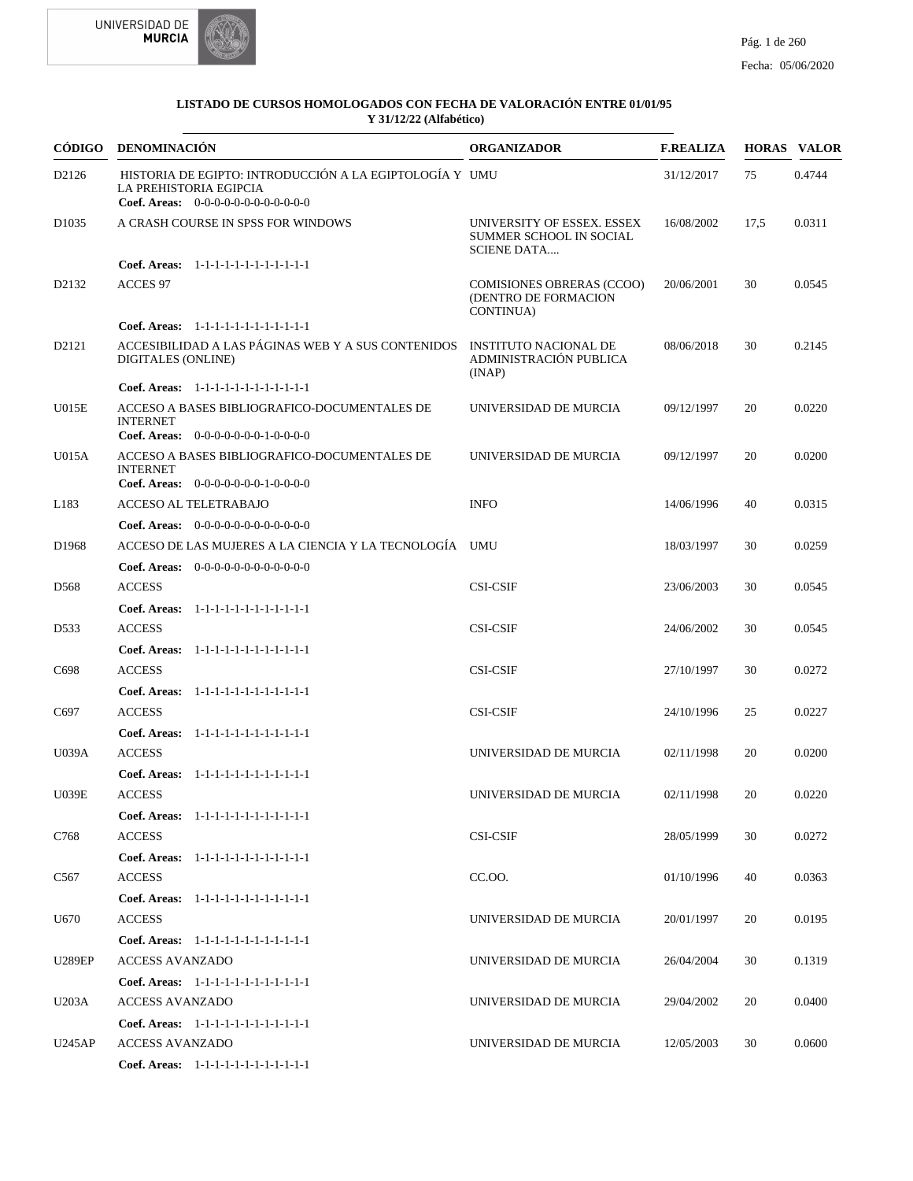



| CÓDIGO            | <b>DENOMINACIÓN</b>                                                                                                              | <b>ORGANIZADOR</b>                                                          | <b>F.REALIZA</b> |      | <b>HORAS VALOR</b> |
|-------------------|----------------------------------------------------------------------------------------------------------------------------------|-----------------------------------------------------------------------------|------------------|------|--------------------|
| D2126             | HISTORIA DE EGIPTO: INTRODUCCIÓN A LA EGIPTOLOGÍA Y UMU<br><b>LA PREHISTORIA EGIPCIA</b><br>Coef. Areas: $0-0-0-0-0-0-0-0-0-0-0$ |                                                                             | 31/12/2017       | 75   | 0.4744             |
| D <sub>1035</sub> | A CRASH COURSE IN SPSS FOR WINDOWS                                                                                               | UNIVERSITY OF ESSEX. ESSEX<br>SUMMER SCHOOL IN SOCIAL<br><b>SCIENE DATA</b> | 16/08/2002       | 17,5 | 0.0311             |
|                   | Coef. Areas: 1-1-1-1-1-1-1-1-1-1-1-1-1                                                                                           |                                                                             |                  |      |                    |
| D2132             | <b>ACCES 97</b>                                                                                                                  | <b>COMISIONES OBRERAS (CCOO)</b><br>(DENTRO DE FORMACION<br>CONTINUA)       | 20/06/2001       | 30   | 0.0545             |
|                   | Coef. Areas: 1-1-1-1-1-1-1-1-1-1-1-1-1                                                                                           |                                                                             |                  |      |                    |
| D2121             | ACCESIBILIDAD A LAS PÁGINAS WEB Y A SUS CONTENIDOS<br>DIGITALES (ONLINE)                                                         | INSTITUTO NACIONAL DE<br>ADMINISTRACIÓN PUBLICA<br>(INAP)                   | 08/06/2018       | 30   | 0.2145             |
|                   | Coef. Areas: 1-1-1-1-1-1-1-1-1-1-1-1-1                                                                                           |                                                                             |                  |      |                    |
| U015E             | ACCESO A BASES BIBLIOGRAFICO-DOCUMENTALES DE<br><b>INTERNET</b><br><b>Coef. Areas:</b> $0-0-0-0-0-0-1-0-0-0-0$                   | UNIVERSIDAD DE MURCIA                                                       | 09/12/1997       | 20   | 0.0220             |
| U015A             | ACCESO A BASES BIBLIOGRAFICO-DOCUMENTALES DE<br><b>INTERNET</b><br><b>Coef. Areas:</b> $0-0-0-0-0-0-1-0-0-0-0$                   | UNIVERSIDAD DE MURCIA                                                       | 09/12/1997       | 20   | 0.0200             |
| L183              | ACCESO AL TELETRABAJO                                                                                                            | <b>INFO</b>                                                                 | 14/06/1996       | 40   | 0.0315             |
|                   | Coef. Areas: $0-0-0-0-0-0-0-0-0-0-0$                                                                                             |                                                                             |                  |      |                    |
| D1968             | ACCESO DE LAS MUJERES A LA CIENCIA Y LA TECNOLOGÍA UMU                                                                           |                                                                             | 18/03/1997       | 30   | 0.0259             |
|                   | <b>Coef. Areas:</b> $0-0-0-0-0-0-0-0-0-0-0-0$                                                                                    |                                                                             |                  |      |                    |
| D <sub>568</sub>  | <b>ACCESS</b>                                                                                                                    | <b>CSI-CSIF</b>                                                             | 23/06/2003       | 30   | 0.0545             |
|                   | Coef. Areas: 1-1-1-1-1-1-1-1-1-1-1-1-1                                                                                           |                                                                             |                  |      |                    |
| D533              | <b>ACCESS</b>                                                                                                                    | <b>CSI-CSIF</b>                                                             | 24/06/2002       | 30   | 0.0545             |
|                   | Coef. Areas: 1-1-1-1-1-1-1-1-1-1-1-1-1                                                                                           |                                                                             |                  |      |                    |
| C698              | <b>ACCESS</b>                                                                                                                    | <b>CSI-CSIF</b>                                                             | 27/10/1997       | 30   | 0.0272             |
|                   | Coef. Areas: 1-1-1-1-1-1-1-1-1-1-1-1-1                                                                                           |                                                                             |                  |      |                    |
| C697              | <b>ACCESS</b>                                                                                                                    | <b>CSI-CSIF</b>                                                             | 24/10/1996       | 25   | 0.0227             |
|                   | Coef. Areas: 1-1-1-1-1-1-1-1-1-1-1-1-1                                                                                           |                                                                             |                  |      |                    |
| <b>U039A</b>      | <b>ACCESS</b>                                                                                                                    | UNIVERSIDAD DE MURCIA                                                       | 02/11/1998       | 20   | 0.0200             |
|                   | Coef. Areas: 1-1-1-1-1-1-1-1-1-1-1-1-1                                                                                           |                                                                             |                  |      |                    |
| <b>U039E</b>      | <b>ACCESS</b>                                                                                                                    | UNIVERSIDAD DE MURCIA                                                       | 02/11/1998       | 20   | 0.0220             |
|                   | Coef. Areas: 1-1-1-1-1-1-1-1-1-1-1-1-1                                                                                           |                                                                             |                  |      |                    |
| C768              | <b>ACCESS</b>                                                                                                                    | <b>CSI-CSIF</b>                                                             | 28/05/1999       | 30   | 0.0272             |
|                   | Coef. Areas: 1-1-1-1-1-1-1-1-1-1-1-1-1                                                                                           |                                                                             |                  |      |                    |
| C567              | <b>ACCESS</b>                                                                                                                    | CC.OO.                                                                      | 01/10/1996       | 40   | 0.0363             |
|                   | Coef. Areas: 1-1-1-1-1-1-1-1-1-1-1-1-1                                                                                           |                                                                             |                  |      |                    |
| U670              | <b>ACCESS</b>                                                                                                                    | UNIVERSIDAD DE MURCIA                                                       | 20/01/1997       | 20   | 0.0195             |
|                   | Coef. Areas: 1-1-1-1-1-1-1-1-1-1-1-1-1                                                                                           |                                                                             |                  |      |                    |
| <b>U289EP</b>     | <b>ACCESS AVANZADO</b>                                                                                                           | UNIVERSIDAD DE MURCIA                                                       | 26/04/2004       | 30   | 0.1319             |
|                   | Coef. Areas: 1-1-1-1-1-1-1-1-1-1-1-1-1                                                                                           |                                                                             |                  |      |                    |
| U203A             | <b>ACCESS AVANZADO</b>                                                                                                           | UNIVERSIDAD DE MURCIA                                                       | 29/04/2002       | 20   | 0.0400             |
| U245AP            | Coef. Areas: 1-1-1-1-1-1-1-1-1-1-1-1-1<br><b>ACCESS AVANZADO</b>                                                                 | UNIVERSIDAD DE MURCIA                                                       | 12/05/2003       | 30   | 0.0600             |
|                   | Coef. Areas: 1-1-1-1-1-1-1-1-1-1-1-1-1                                                                                           |                                                                             |                  |      |                    |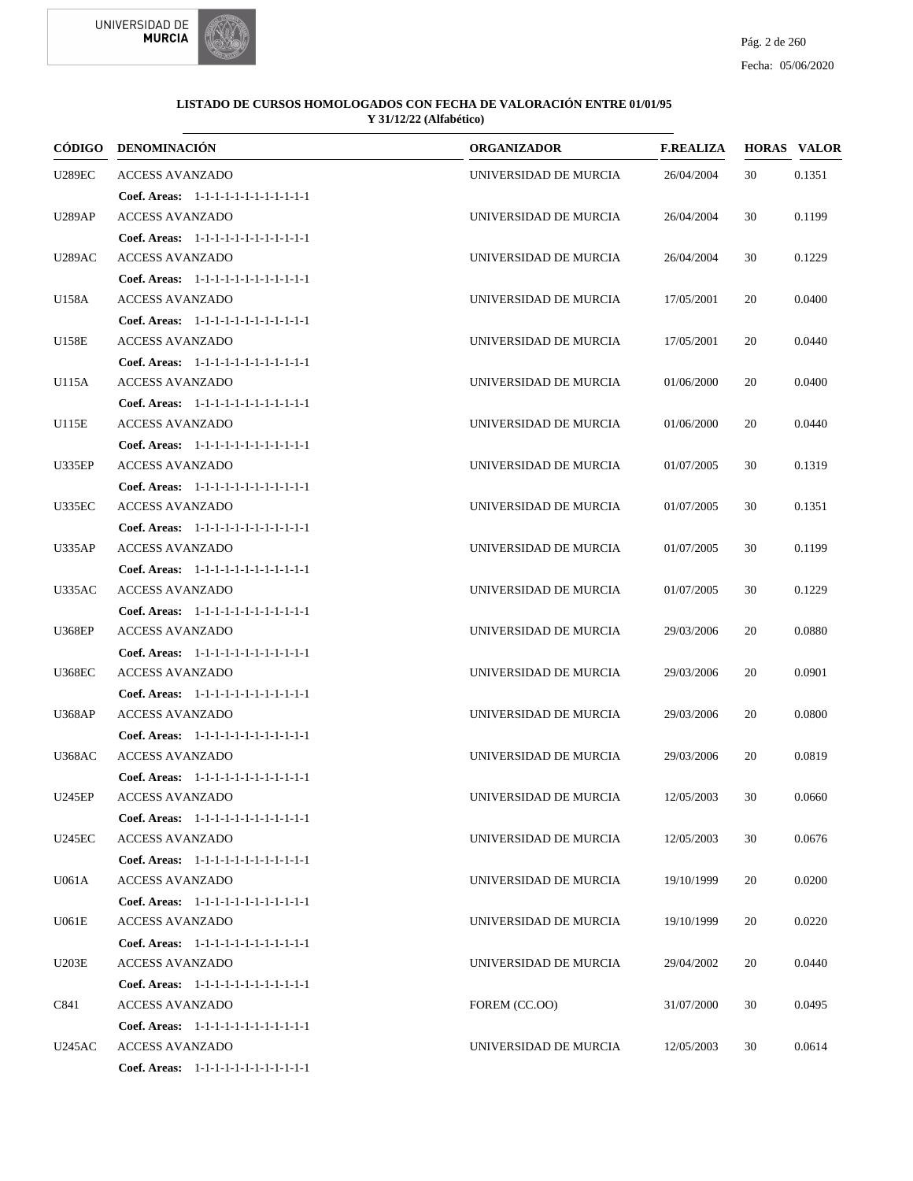



|               | CÓDIGO DENOMINACIÓN                    | <b>ORGANIZADOR</b>    | <b>F.REALIZA</b> |    | <b>HORAS VALOR</b> |
|---------------|----------------------------------------|-----------------------|------------------|----|--------------------|
| <b>U289EC</b> | <b>ACCESS AVANZADO</b>                 | UNIVERSIDAD DE MURCIA | 26/04/2004       | 30 | 0.1351             |
|               | Coef. Areas: 1-1-1-1-1-1-1-1-1-1-1-1-1 |                       |                  |    |                    |
| <b>U289AP</b> | <b>ACCESS AVANZADO</b>                 | UNIVERSIDAD DE MURCIA | 26/04/2004       | 30 | 0.1199             |
|               | Coef. Areas: 1-1-1-1-1-1-1-1-1-1-1-1-1 |                       |                  |    |                    |
| <b>U289AC</b> | <b>ACCESS AVANZADO</b>                 | UNIVERSIDAD DE MURCIA | 26/04/2004       | 30 | 0.1229             |
|               | Coef. Areas: 1-1-1-1-1-1-1-1-1-1-1-1-1 |                       |                  |    |                    |
| U158A         | <b>ACCESS AVANZADO</b>                 | UNIVERSIDAD DE MURCIA | 17/05/2001       | 20 | 0.0400             |
|               | Coef. Areas: 1-1-1-1-1-1-1-1-1-1-1-1-1 |                       |                  |    |                    |
| U158E         | <b>ACCESS AVANZADO</b>                 | UNIVERSIDAD DE MURCIA | 17/05/2001       | 20 | 0.0440             |
|               | Coef. Areas: 1-1-1-1-1-1-1-1-1-1-1-1-1 |                       |                  |    |                    |
| U115A         | <b>ACCESS AVANZADO</b>                 | UNIVERSIDAD DE MURCIA | 01/06/2000       | 20 | 0.0400             |
|               | Coef. Areas: 1-1-1-1-1-1-1-1-1-1-1-1-1 |                       |                  |    |                    |
| U115E         | <b>ACCESS AVANZADO</b>                 | UNIVERSIDAD DE MURCIA | 01/06/2000       | 20 | 0.0440             |
|               | Coef. Areas: 1-1-1-1-1-1-1-1-1-1-1-1-1 |                       |                  |    |                    |
| <b>U335EP</b> | <b>ACCESS AVANZADO</b>                 | UNIVERSIDAD DE MURCIA | 01/07/2005       | 30 | 0.1319             |
|               | Coef. Areas: 1-1-1-1-1-1-1-1-1-1-1-1-1 |                       |                  |    |                    |
| <b>U335EC</b> | <b>ACCESS AVANZADO</b>                 | UNIVERSIDAD DE MURCIA | 01/07/2005       | 30 | 0.1351             |
|               | Coef. Areas: 1-1-1-1-1-1-1-1-1-1-1-1-1 |                       |                  |    |                    |
| <b>U335AP</b> | <b>ACCESS AVANZADO</b>                 | UNIVERSIDAD DE MURCIA | 01/07/2005       | 30 | 0.1199             |
|               | Coef. Areas: 1-1-1-1-1-1-1-1-1-1-1-1-1 |                       |                  |    |                    |
| <b>U335AC</b> | <b>ACCESS AVANZADO</b>                 | UNIVERSIDAD DE MURCIA | 01/07/2005       | 30 | 0.1229             |
|               | Coef. Areas: 1-1-1-1-1-1-1-1-1-1-1-1-1 |                       |                  |    |                    |
| <b>U368EP</b> | <b>ACCESS AVANZADO</b>                 | UNIVERSIDAD DE MURCIA | 29/03/2006       | 20 | 0.0880             |
|               | Coef. Areas: 1-1-1-1-1-1-1-1-1-1-1-1-1 |                       |                  |    |                    |
| <b>U368EC</b> | <b>ACCESS AVANZADO</b>                 | UNIVERSIDAD DE MURCIA | 29/03/2006       | 20 | 0.0901             |
|               | Coef. Areas: 1-1-1-1-1-1-1-1-1-1-1-1-1 |                       |                  |    |                    |
| <b>U368AP</b> | <b>ACCESS AVANZADO</b>                 | UNIVERSIDAD DE MURCIA | 29/03/2006       | 20 | 0.0800             |
|               | Coef. Areas: 1-1-1-1-1-1-1-1-1-1-1-1-1 |                       |                  |    |                    |
| <b>U368AC</b> | <b>ACCESS AVANZADO</b>                 | UNIVERSIDAD DE MURCIA | 29/03/2006       | 20 | 0.0819             |
|               | Coef. Areas: 1-1-1-1-1-1-1-1-1-1-1-1-1 |                       |                  |    |                    |
| <b>U245EP</b> | <b>ACCESS AVANZADO</b>                 | UNIVERSIDAD DE MURCIA | 12/05/2003       | 30 | 0.0660             |
|               | Coef. Areas: 1-1-1-1-1-1-1-1-1-1-1-1-1 |                       |                  |    |                    |
| <b>U245EC</b> | <b>ACCESS AVANZADO</b>                 | UNIVERSIDAD DE MURCIA | 12/05/2003       | 30 | 0.0676             |
|               | Coef. Areas: 1-1-1-1-1-1-1-1-1-1-1-1-1 |                       |                  |    |                    |
| U061A         | <b>ACCESS AVANZADO</b>                 | UNIVERSIDAD DE MURCIA | 19/10/1999       | 20 | 0.0200             |
|               | Coef. Areas: 1-1-1-1-1-1-1-1-1-1-1-1-1 |                       |                  |    |                    |
| U061E         | <b>ACCESS AVANZADO</b>                 | UNIVERSIDAD DE MURCIA | 19/10/1999       | 20 | 0.0220             |
|               | Coef. Areas: 1-1-1-1-1-1-1-1-1-1-1-1-1 |                       |                  |    |                    |
| <b>U203E</b>  | <b>ACCESS AVANZADO</b>                 | UNIVERSIDAD DE MURCIA | 29/04/2002       | 20 | 0.0440             |
|               | Coef. Areas: 1-1-1-1-1-1-1-1-1-1-1-1-1 |                       |                  |    |                    |
| C841          | <b>ACCESS AVANZADO</b>                 | FOREM (CC.OO)         | 31/07/2000       | 30 | 0.0495             |
|               | Coef. Areas: 1-1-1-1-1-1-1-1-1-1-1-1-1 |                       |                  |    |                    |
| U245AC        | <b>ACCESS AVANZADO</b>                 | UNIVERSIDAD DE MURCIA | 12/05/2003       | 30 | 0.0614             |
|               | Coef. Areas: 1-1-1-1-1-1-1-1-1-1-1-1-1 |                       |                  |    |                    |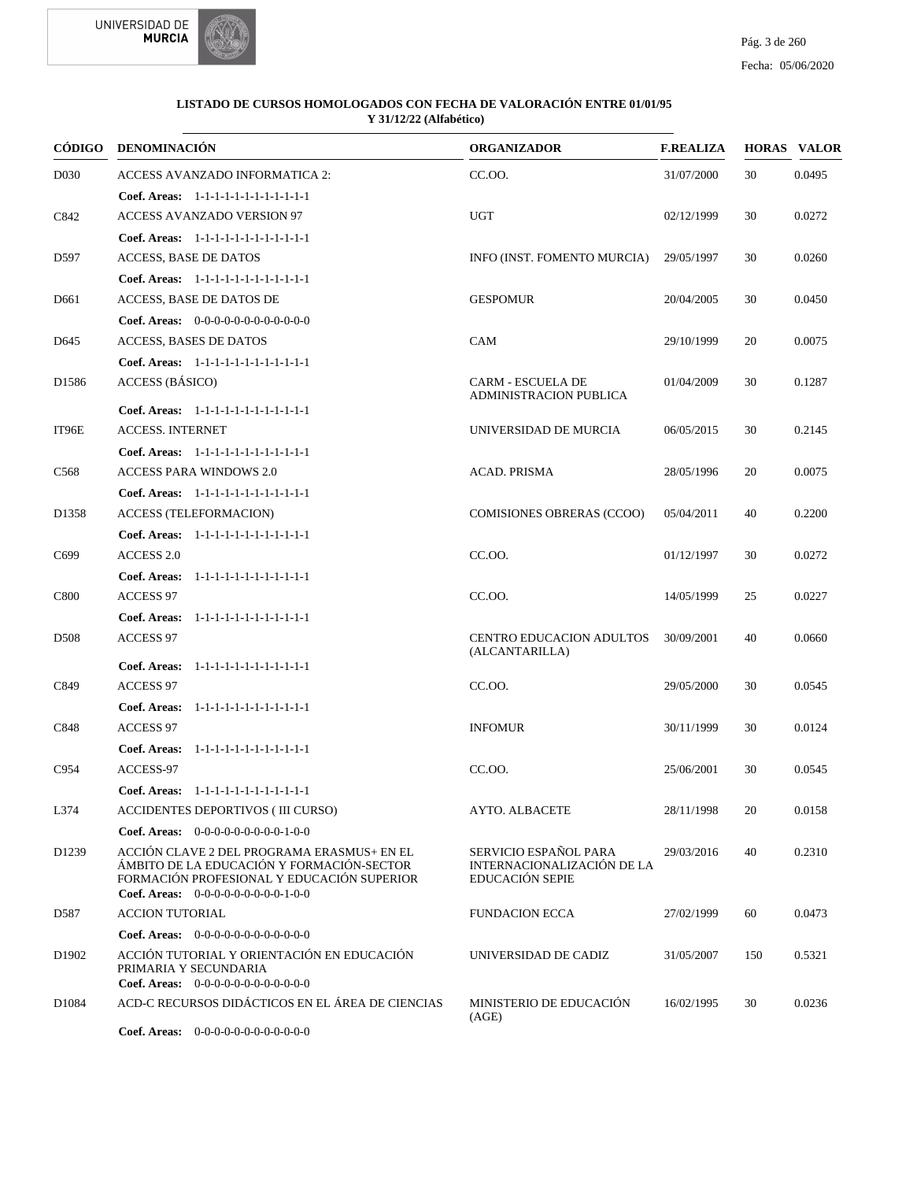



|                   | CÓDIGO DENOMINACIÓN                                                                                                                                                           | <b>ORGANIZADOR</b>                                                            | <b>F.REALIZA</b> |     | <b>HORAS VALOR</b> |
|-------------------|-------------------------------------------------------------------------------------------------------------------------------------------------------------------------------|-------------------------------------------------------------------------------|------------------|-----|--------------------|
| D030              | <b>ACCESS AVANZADO INFORMATICA 2:</b>                                                                                                                                         | CC.OO.                                                                        | 31/07/2000       | 30  | 0.0495             |
|                   | Coef. Areas: 1-1-1-1-1-1-1-1-1-1-1-1-1                                                                                                                                        |                                                                               |                  |     |                    |
| C842              | <b>ACCESS AVANZADO VERSION 97</b>                                                                                                                                             | <b>UGT</b>                                                                    | 02/12/1999       | 30  | 0.0272             |
|                   | Coef. Areas: 1-1-1-1-1-1-1-1-1-1-1-1-1                                                                                                                                        |                                                                               |                  |     |                    |
| D597              | ACCESS, BASE DE DATOS                                                                                                                                                         | INFO (INST. FOMENTO MURCIA)                                                   | 29/05/1997       | 30  | 0.0260             |
|                   | Coef. Areas: 1-1-1-1-1-1-1-1-1-1-1-1-1                                                                                                                                        |                                                                               |                  |     |                    |
| D661              | ACCESS, BASE DE DATOS DE                                                                                                                                                      | <b>GESPOMUR</b>                                                               | 20/04/2005       | 30  | 0.0450             |
|                   | Coef. Areas: $0-0-0-0-0-0-0-0-0-0-0$                                                                                                                                          |                                                                               |                  |     |                    |
| D645              | ACCESS, BASES DE DATOS                                                                                                                                                        | CAM                                                                           | 29/10/1999       | 20  | 0.0075             |
|                   | Coef. Areas: 1-1-1-1-1-1-1-1-1-1-1-1-1                                                                                                                                        |                                                                               |                  |     |                    |
| D1586             | <b>ACCESS</b> (BÁSICO)                                                                                                                                                        | <b>CARM - ESCUELA DE</b><br><b>ADMINISTRACION PUBLICA</b>                     | 01/04/2009       | 30  | 0.1287             |
|                   | Coef. Areas: $1-1-1-1-1-1-1-1-1-1-1$                                                                                                                                          |                                                                               |                  |     |                    |
| IT96E             | <b>ACCESS. INTERNET</b>                                                                                                                                                       | UNIVERSIDAD DE MURCIA                                                         | 06/05/2015       | 30  | 0.2145             |
|                   | Coef. Areas: 1-1-1-1-1-1-1-1-1-1-1-1-1                                                                                                                                        |                                                                               |                  |     |                    |
| C <sub>568</sub>  | <b>ACCESS PARA WINDOWS 2.0</b>                                                                                                                                                | <b>ACAD. PRISMA</b>                                                           | 28/05/1996       | 20  | 0.0075             |
|                   | Coef. Areas: 1-1-1-1-1-1-1-1-1-1-1-1-1                                                                                                                                        |                                                                               |                  |     |                    |
| D1358             | <b>ACCESS (TELEFORMACION)</b>                                                                                                                                                 | <b>COMISIONES OBRERAS (CCOO)</b>                                              | 05/04/2011       | 40  | 0.2200             |
|                   | Coef. Areas: 1-1-1-1-1-1-1-1-1-1-1-1-1                                                                                                                                        |                                                                               |                  |     |                    |
| C699              | <b>ACCESS 2.0</b>                                                                                                                                                             | CC.OO.                                                                        | 01/12/1997       | 30  | 0.0272             |
|                   | Coef. Areas: 1-1-1-1-1-1-1-1-1-1-1-1-1                                                                                                                                        |                                                                               |                  |     |                    |
| C800              | <b>ACCESS 97</b>                                                                                                                                                              | CC.00.                                                                        | 14/05/1999       | 25  | 0.0227             |
|                   | Coef. Areas: 1-1-1-1-1-1-1-1-1-1-1-1-1                                                                                                                                        |                                                                               |                  |     |                    |
| D <sub>508</sub>  | <b>ACCESS 97</b>                                                                                                                                                              | CENTRO EDUCACION ADULTOS<br>(ALCANTARILLA)                                    | 30/09/2001       | 40  | 0.0660             |
|                   | Coef. Areas: 1-1-1-1-1-1-1-1-1-1-1-1-1                                                                                                                                        |                                                                               |                  |     |                    |
| C849              | <b>ACCESS 97</b>                                                                                                                                                              | CC.OO.                                                                        | 29/05/2000       | 30  | 0.0545             |
|                   | Coef. Areas: 1-1-1-1-1-1-1-1-1-1-1-1-1                                                                                                                                        |                                                                               |                  |     |                    |
| C848              | <b>ACCESS 97</b>                                                                                                                                                              | <b>INFOMUR</b>                                                                | 30/11/1999       | 30  | 0.0124             |
|                   | Coef. Areas: 1-1-1-1-1-1-1-1-1-1-1-1-1                                                                                                                                        |                                                                               |                  |     |                    |
| C954              | ACCESS-97                                                                                                                                                                     | CC.00.                                                                        | 25/06/2001       | 30  | 0.0545             |
|                   | Coef. Areas: 1-1-1-1-1-1-1-1-1-1-1-1-1                                                                                                                                        |                                                                               |                  |     |                    |
| L374              | ACCIDENTES DEPORTIVOS (III CURSO)                                                                                                                                             | AYTO. ALBACETE                                                                | 28/11/1998       | 20  | 0.0158             |
|                   | Coef. Areas: $0-0-0-0-0-0-0-0-0-1-0-0$                                                                                                                                        |                                                                               |                  |     |                    |
| D1239             | ACCIÓN CLAVE 2 DEL PROGRAMA ERASMUS+ EN EL<br>ÁMBITO DE LA EDUCACIÓN Y FORMACIÓN-SECTOR<br>FORMACIÓN PROFESIONAL Y EDUCACIÓN SUPERIOR<br>Coef. Areas: $0-0-0-0-0-0-0-0-1-0-0$ | SERVICIO ESPAÑOL PARA<br>INTERNACIONALIZACIÓN DE LA<br><b>EDUCACIÓN SEPIE</b> | 29/03/2016       | 40  | 0.2310             |
| D587              | <b>ACCION TUTORIAL</b>                                                                                                                                                        | <b>FUNDACION ECCA</b>                                                         | 27/02/1999       | 60  | 0.0473             |
|                   | <b>Coef. Areas:</b> $0-0-0-0-0-0-0-0-0-0-0-0$                                                                                                                                 |                                                                               |                  |     |                    |
| D <sub>1902</sub> | ACCIÓN TUTORIAL Y ORIENTACIÓN EN EDUCACIÓN<br>PRIMARIA Y SECUNDARIA<br>Coef. Areas: 0-0-0-0-0-0-0-0-0-0-0-0-0                                                                 | UNIVERSIDAD DE CADIZ                                                          | 31/05/2007       | 150 | 0.5321             |
| D <sub>1084</sub> | ACD-C RECURSOS DIDÁCTICOS EN EL ÁREA DE CIENCIAS                                                                                                                              | MINISTERIO DE EDUCACIÓN<br>(AGE)                                              | 16/02/1995       | 30  | 0.0236             |
|                   | <b>Coef. Areas:</b> $0-0-0-0-0-0-0-0-0-0-0-0$                                                                                                                                 |                                                                               |                  |     |                    |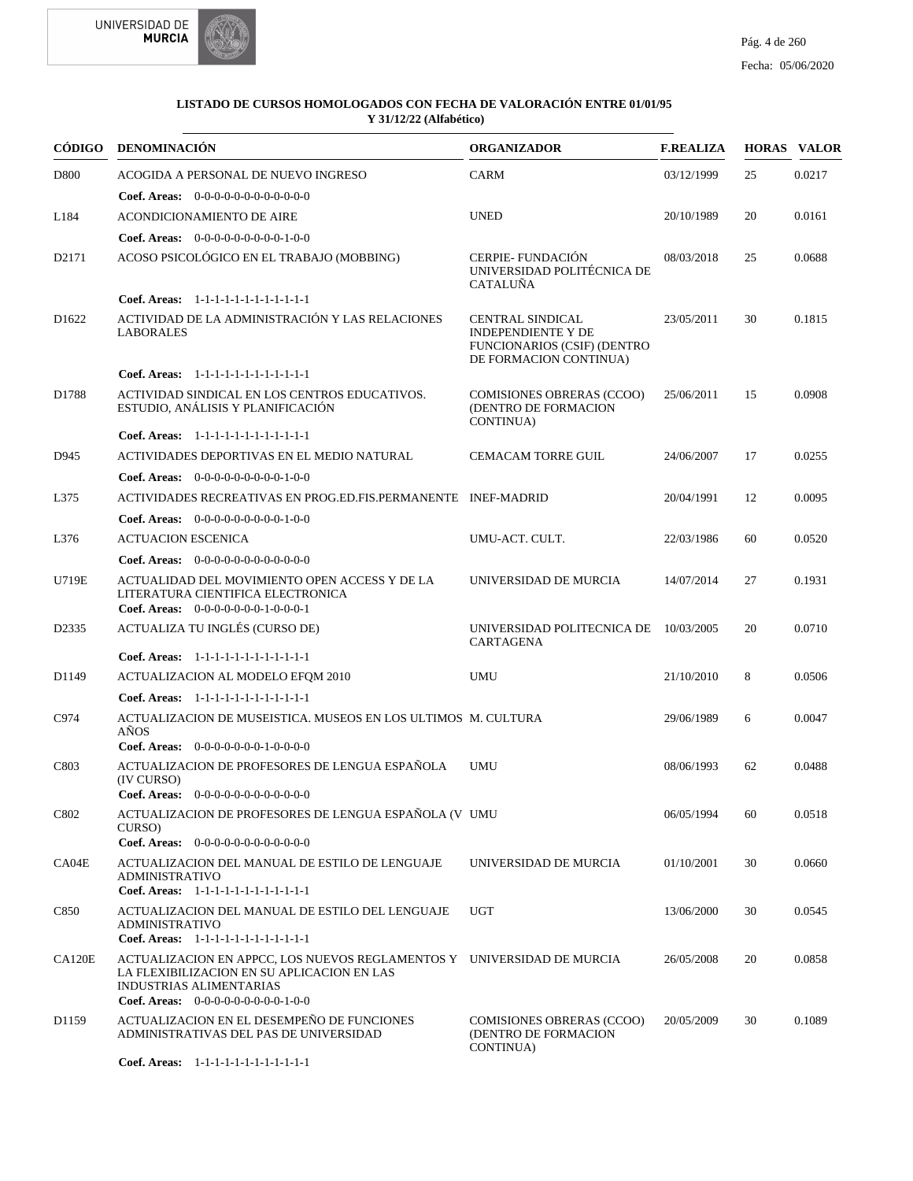

| CÓDIGO            | <b>DENOMINACIÓN</b>                                                                                                                                                                            | <b>ORGANIZADOR</b>                                                                                                   | <b>F.REALIZA</b> |    | <b>HORAS VALOR</b> |
|-------------------|------------------------------------------------------------------------------------------------------------------------------------------------------------------------------------------------|----------------------------------------------------------------------------------------------------------------------|------------------|----|--------------------|
| D800              | ACOGIDA A PERSONAL DE NUEVO INGRESO                                                                                                                                                            | <b>CARM</b>                                                                                                          | 03/12/1999       | 25 | 0.0217             |
|                   | <b>Coef. Areas:</b> $0-0-0-0-0-0-0-0-0-0-0-0$                                                                                                                                                  |                                                                                                                      |                  |    |                    |
| L184              | <b>ACONDICIONAMIENTO DE AIRE</b>                                                                                                                                                               | <b>UNED</b>                                                                                                          | 20/10/1989       | 20 | 0.0161             |
|                   | Coef. Areas: $0-0-0-0-0-0-0-0-1-0-0$                                                                                                                                                           |                                                                                                                      |                  |    |                    |
| D2171             | ACOSO PSICOLÓGICO EN EL TRABAJO (MOBBING)                                                                                                                                                      | <b>CERPIE-FUNDACIÓN</b><br>UNIVERSIDAD POLITÉCNICA DE<br><b>CATALUÑA</b>                                             | 08/03/2018       | 25 | 0.0688             |
|                   | Coef. Areas: $1-1-1-1-1-1-1-1-1-1-1$                                                                                                                                                           |                                                                                                                      |                  |    |                    |
| D1622             | ACTIVIDAD DE LA ADMINISTRACIÓN Y LAS RELACIONES<br><b>LABORALES</b>                                                                                                                            | <b>CENTRAL SINDICAL</b><br><b>INDEPENDIENTE Y DE</b><br><b>FUNCIONARIOS (CSIF) (DENTRO</b><br>DE FORMACION CONTINUA) | 23/05/2011       | 30 | 0.1815             |
|                   | Coef. Areas: 1-1-1-1-1-1-1-1-1-1-1-1-1                                                                                                                                                         |                                                                                                                      |                  |    |                    |
| D1788             | ACTIVIDAD SINDICAL EN LOS CENTROS EDUCATIVOS.<br>ESTUDIO, ANÁLISIS Y PLANIFICACIÓN                                                                                                             | <b>COMISIONES OBRERAS (CCOO)</b><br>(DENTRO DE FORMACION<br>CONTINUA)                                                | 25/06/2011       | 15 | 0.0908             |
|                   | Coef. Areas: 1-1-1-1-1-1-1-1-1-1-1-1-1                                                                                                                                                         |                                                                                                                      |                  |    |                    |
| D945              | ACTIVIDADES DEPORTIVAS EN EL MEDIO NATURAL                                                                                                                                                     | CEMACAM TORRE GUIL                                                                                                   | 24/06/2007       | 17 | 0.0255             |
|                   | Coef. Areas: $0-0-0-0-0-0-0-0-1-0-0$                                                                                                                                                           |                                                                                                                      |                  |    |                    |
| L375              | ACTIVIDADES RECREATIVAS EN PROG.ED.FIS.PERMANENTE INEF-MADRID                                                                                                                                  |                                                                                                                      | 20/04/1991       | 12 | 0.0095             |
|                   | Coef. Areas: $0-0-0-0-0-0-0-0-0-1-0-0$                                                                                                                                                         |                                                                                                                      |                  |    |                    |
| L376              | <b>ACTUACION ESCENICA</b>                                                                                                                                                                      | UMU-ACT. CULT.                                                                                                       | 22/03/1986       | 60 | 0.0520             |
|                   | Coef. Areas: $0-0-0-0-0-0-0-0-0-0-0$                                                                                                                                                           |                                                                                                                      |                  |    |                    |
| U719E             | ACTUALIDAD DEL MOVIMIENTO OPEN ACCESS Y DE LA<br>LITERATURA CIENTIFICA ELECTRONICA<br>Coef. Areas: $0-0-0-0-0-0-1-0-0-0-1$                                                                     | UNIVERSIDAD DE MURCIA                                                                                                | 14/07/2014       | 27 | 0.1931             |
| D <sub>2335</sub> | ACTUALIZA TU INGLÉS (CURSO DE)                                                                                                                                                                 | UNIVERSIDAD POLITECNICA DE 10/03/2005<br>CARTAGENA                                                                   |                  | 20 | 0.0710             |
|                   | Coef. Areas: 1-1-1-1-1-1-1-1-1-1-1-1-1                                                                                                                                                         |                                                                                                                      |                  |    |                    |
| D <sub>1149</sub> | ACTUALIZACION AL MODELO EFQM 2010                                                                                                                                                              | <b>UMU</b>                                                                                                           | 21/10/2010       | 8  | 0.0506             |
|                   | Coef. Areas: 1-1-1-1-1-1-1-1-1-1-1-1-1                                                                                                                                                         |                                                                                                                      |                  |    |                    |
| C974              | ACTUALIZACION DE MUSEISTICA. MUSEOS EN LOS ULTIMOS M. CULTURA<br>AÑOS                                                                                                                          |                                                                                                                      | 29/06/1989       | 6  | 0.0047             |
|                   | Coef. Areas: $0-0-0-0-0-0-1-0-0-0-0$                                                                                                                                                           |                                                                                                                      |                  |    |                    |
| C803              | ACTUALIZACION DE PROFESORES DE LENGUA ESPAÑOLA<br>(IV CURSO)<br>Coef. Areas: $0-0-0-0-0-0-0-0-0-0-0$                                                                                           | <b>UMU</b>                                                                                                           | 08/06/1993       | 62 | 0.0488             |
| C802              | ACTUALIZACION DE PROFESORES DE LENGUA ESPAÑOLA (V UMU<br>CURSO)                                                                                                                                |                                                                                                                      | 06/05/1994       | 60 | 0.0518             |
|                   | Coef. Areas: $0-0-0-0-0-0-0-0-0-0-0$                                                                                                                                                           |                                                                                                                      |                  |    |                    |
| CA04E             | ACTUALIZACION DEL MANUAL DE ESTILO DE LENGUAJE<br><b>ADMINISTRATIVO</b><br>Coef. Areas: 1-1-1-1-1-1-1-1-1-1-1-1-1                                                                              | UNIVERSIDAD DE MURCIA                                                                                                | 01/10/2001       | 30 | 0.0660             |
| C850              | ACTUALIZACION DEL MANUAL DE ESTILO DEL LENGUAJE<br><b>ADMINISTRATIVO</b><br>Coef. Areas: 1-1-1-1-1-1-1-1-1-1-1-1-1                                                                             | <b>UGT</b>                                                                                                           | 13/06/2000       | 30 | 0.0545             |
| CA120E            | ACTUALIZACION EN APPCC, LOS NUEVOS REGLAMENTOS Y UNIVERSIDAD DE MURCIA<br>LA FLEXIBILIZACION EN SU APLICACION EN LAS<br><b>INDUSTRIAS ALIMENTARIAS</b><br>Coef. Areas: $0-0-0-0-0-0-0-0-1-0-0$ |                                                                                                                      | 26/05/2008       | 20 | 0.0858             |
| D1159             | ACTUALIZACION EN EL DESEMPEÑO DE FUNCIONES<br>ADMINISTRATIVAS DEL PAS DE UNIVERSIDAD                                                                                                           | <b>COMISIONES OBRERAS (CCOO)</b><br>(DENTRO DE FORMACION<br>CONTINUA)                                                | 20/05/2009       | 30 | 0.1089             |
|                   | Coef. Areas: 1-1-1-1-1-1-1-1-1-1-1-1-1                                                                                                                                                         |                                                                                                                      |                  |    |                    |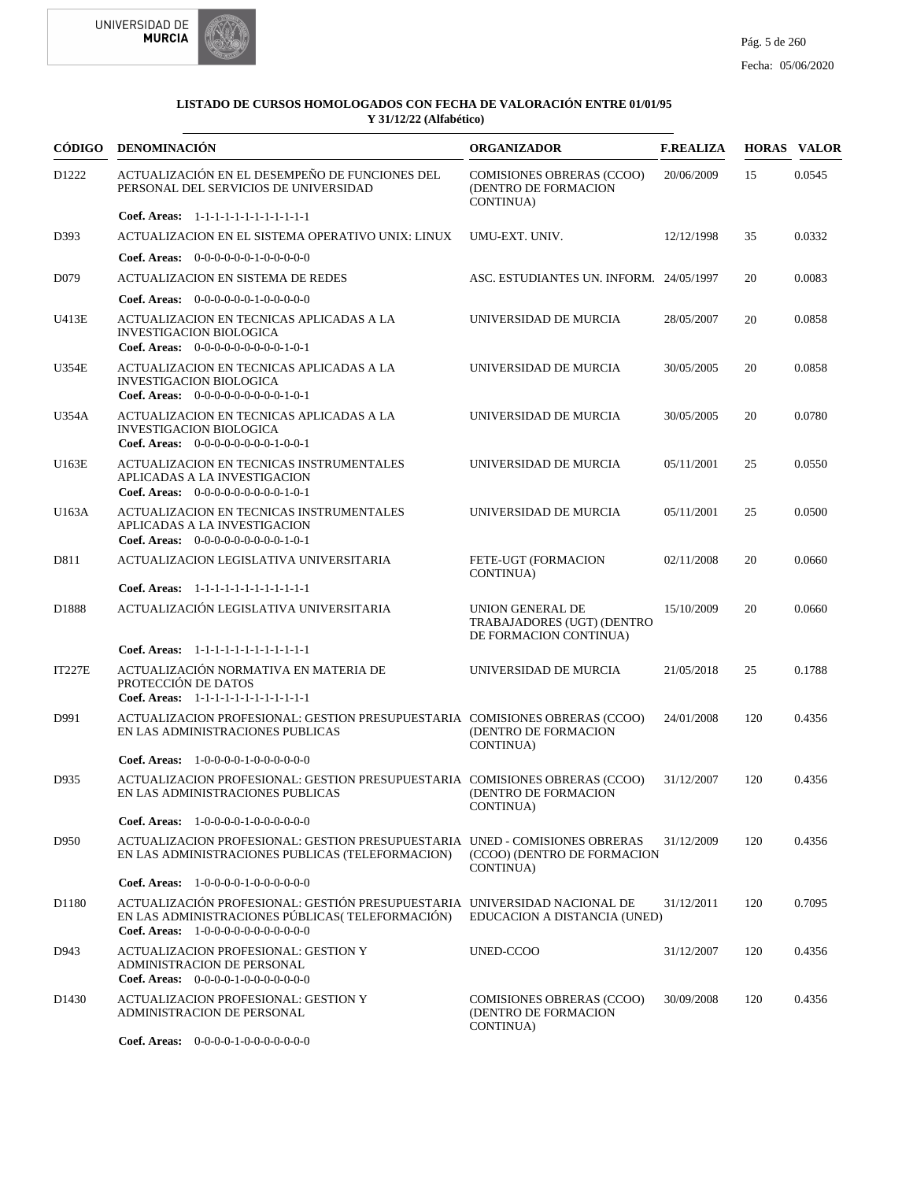



|                   | CÓDIGO DENOMINACIÓN                                                                                                                                                    | <b>ORGANIZADOR</b>                                                       | <b>F.REALIZA</b> |     | <b>HORAS VALOR</b> |
|-------------------|------------------------------------------------------------------------------------------------------------------------------------------------------------------------|--------------------------------------------------------------------------|------------------|-----|--------------------|
| D1222             | ACTUALIZACIÓN EN EL DESEMPEÑO DE FUNCIONES DEL<br>PERSONAL DEL SERVICIOS DE UNIVERSIDAD                                                                                | COMISIONES OBRERAS (CCOO)<br>(DENTRO DE FORMACION<br><b>CONTINUA</b> )   | 20/06/2009       | 15  | 0.0545             |
|                   | Coef. Areas: 1-1-1-1-1-1-1-1-1-1-1-1-1                                                                                                                                 |                                                                          |                  |     |                    |
| D393              | ACTUALIZACION EN EL SISTEMA OPERATIVO UNIX: LINUX                                                                                                                      | UMU-EXT. UNIV.                                                           | 12/12/1998       | 35  | 0.0332             |
|                   | <b>Coef. Areas:</b> $0-0-0-0-0-1-0-0-0-0-0$                                                                                                                            |                                                                          |                  |     |                    |
| D079              | ACTUALIZACION EN SISTEMA DE REDES                                                                                                                                      | ASC. ESTUDIANTES UN. INFORM. 24/05/1997                                  |                  | 20  | 0.0083             |
|                   | Coef. Areas: $0-0-0-0-0-1-0-0-0-0-0$                                                                                                                                   |                                                                          |                  |     |                    |
| U413E             | ACTUALIZACION EN TECNICAS APLICADAS A LA<br><b>INVESTIGACION BIOLOGICA</b><br>Coef. Areas: $0-0-0-0-0-0-0-0-1-0-1$                                                     | UNIVERSIDAD DE MURCIA                                                    | 28/05/2007       | 20  | 0.0858             |
| U354E             | ACTUALIZACION EN TECNICAS APLICADAS A LA<br><b>INVESTIGACION BIOLOGICA</b><br>Coef. Areas: $0-0-0-0-0-0-0-0-1-0-1$                                                     | UNIVERSIDAD DE MURCIA                                                    | 30/05/2005       | 20  | 0.0858             |
| U354A             | ACTUALIZACION EN TECNICAS APLICADAS A LA<br><b>INVESTIGACION BIOLOGICA</b><br>Coef. Areas: $0-0-0-0-0-0-0-1-0-0-1$                                                     | UNIVERSIDAD DE MURCIA                                                    | 30/05/2005       | 20  | 0.0780             |
| U163E             | ACTUALIZACION EN TECNICAS INSTRUMENTALES<br>APLICADAS A LA INVESTIGACION<br>Coef. Areas: $0-0-0-0-0-0-0-0-1-0-1$                                                       | UNIVERSIDAD DE MURCIA                                                    | 05/11/2001       | 25  | 0.0550             |
| U163A             | ACTUALIZACION EN TECNICAS INSTRUMENTALES<br>APLICADAS A LA INVESTIGACION<br>Coef. Areas: $0-0-0-0-0-0-0-0-1-0-1$                                                       | UNIVERSIDAD DE MURCIA                                                    | 05/11/2001       | 25  | 0.0500             |
| D811              | ACTUALIZACION LEGISLATIVA UNIVERSITARIA                                                                                                                                | FETE-UGT (FORMACION<br>CONTINUA)                                         | 02/11/2008       | 20  | 0.0660             |
|                   | Coef. Areas: 1-1-1-1-1-1-1-1-1-1-1-1-1                                                                                                                                 |                                                                          |                  |     |                    |
| D1888             | ACTUALIZACIÓN LEGISLATIVA UNIVERSITARIA                                                                                                                                | UNION GENERAL DE<br>TRABAJADORES (UGT) (DENTRO<br>DE FORMACION CONTINUA) | 15/10/2009       | 20  | 0.0660             |
|                   | Coef. Areas: 1-1-1-1-1-1-1-1-1-1-1-1-1                                                                                                                                 |                                                                          |                  |     |                    |
| <b>IT227E</b>     | ACTUALIZACIÓN NORMATIVA EN MATERIA DE<br>PROTECCIÓN DE DATOS<br>Coef. Areas: 1-1-1-1-1-1-1-1-1-1-1-1-1                                                                 | UNIVERSIDAD DE MURCIA                                                    | 21/05/2018       | 25  | 0.1788             |
| D991              | ACTUALIZACION PROFESIONAL: GESTION PRESUPUESTARIA COMISIONES OBRERAS (CCOO)<br>EN LAS ADMINISTRACIONES PUBLICAS                                                        | (DENTRO DE FORMACION<br>CONTINUA)                                        | 24/01/2008       | 120 | 0.4356             |
|                   | <b>Coef. Areas:</b> $1-0-0-0-1-0-0-0-0-0-0$                                                                                                                            |                                                                          |                  |     |                    |
| D935              | ACTUALIZACION PROFESIONAL: GESTION PRESUPUESTARIA COMISIONES OBRERAS (CCOO)<br>EN LAS ADMINISTRACIONES PUBLICAS                                                        | (DENTRO DE FORMACION<br>CONTINUA)                                        | 31/12/2007       | 120 | 0.4356             |
|                   | <b>Coef. Areas:</b> $1-0-0-0-1-0-0-0-0-0-0$                                                                                                                            |                                                                          |                  |     |                    |
| D950              | ACTUALIZACION PROFESIONAL: GESTION PRESUPUESTARIA UNED - COMISIONES OBRERAS<br>EN LAS ADMINISTRACIONES PUBLICAS (TELEFORMACION)                                        | (CCOO) (DENTRO DE FORMACION<br>CONTINUA)                                 | 31/12/2009       | 120 | 0.4356             |
|                   | Coef. Areas: $1-0-0-0-1-0-0-0-0-0-0$                                                                                                                                   |                                                                          |                  |     |                    |
| D1180             | ACTUALIZACIÓN PROFESIONAL: GESTIÓN PRESUPUESTARIA UNIVERSIDAD NACIONAL DE<br>EN LAS ADMINISTRACIONES PÚBLICAS(TELEFORMACIÓN)<br>Coef. Areas: 1-0-0-0-0-0-0-0-0-0-0-0-0 | EDUCACION A DISTANCIA (UNED)                                             | 31/12/2011       | 120 | 0.7095             |
| D943              | ACTUALIZACION PROFESIONAL: GESTION Y<br>ADMINISTRACION DE PERSONAL<br>Coef. Areas: $0-0-0-0-1-0-0-0-0-0-0$                                                             | UNED-CCOO                                                                | 31/12/2007       | 120 | 0.4356             |
| D <sub>1430</sub> | ACTUALIZACION PROFESIONAL: GESTION Y<br>ADMINISTRACION DE PERSONAL                                                                                                     | <b>COMISIONES OBRERAS (CCOO)</b><br>(DENTRO DE FORMACION<br>CONTINUA)    | 30/09/2008       | 120 | 0.4356             |
|                   |                                                                                                                                                                        |                                                                          |                  |     |                    |

0-0-0-0-1-0-0-0-0-0-0-0 **Coef. Areas:**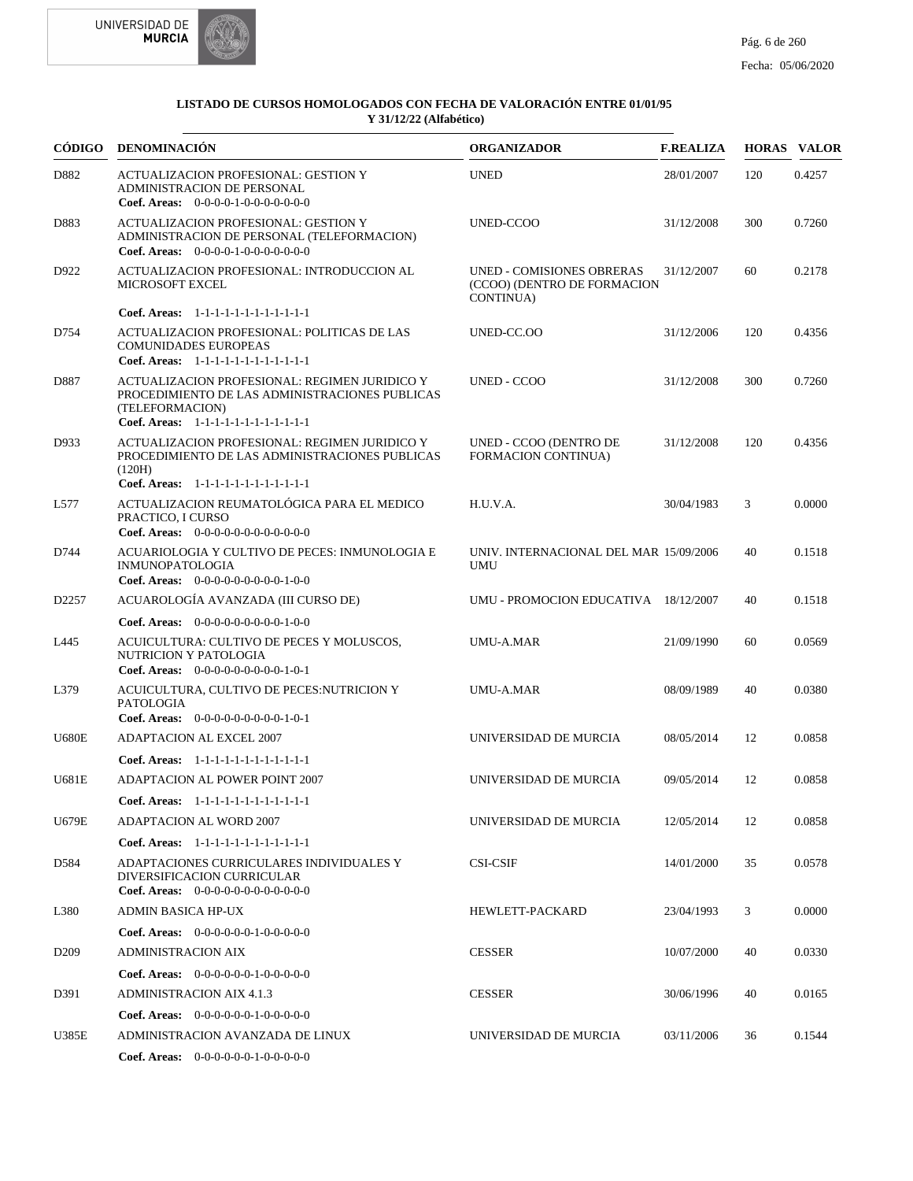



|                   | CÓDIGO DENOMINACIÓN                                                                                                                                          | <b>ORGANIZADOR</b>                                                    | <b>F.REALIZA</b> |     | <b>HORAS VALOR</b> |
|-------------------|--------------------------------------------------------------------------------------------------------------------------------------------------------------|-----------------------------------------------------------------------|------------------|-----|--------------------|
| D882              | <b>ACTUALIZACION PROFESIONAL: GESTION Y</b><br><b>ADMINISTRACION DE PERSONAL</b><br>Coef. Areas: $0-0-0-0-1-0-0-0-0-0-0$                                     | <b>UNED</b>                                                           | 28/01/2007       | 120 | 0.4257             |
| D883              | <b>ACTUALIZACION PROFESIONAL: GESTION Y</b><br>ADMINISTRACION DE PERSONAL (TELEFORMACION)<br>Coef. Areas: $0-0-0-0-1-0-0-0-0-0-0$                            | UNED-CCOO                                                             | 31/12/2008       | 300 | 0.7260             |
| D922              | ACTUALIZACION PROFESIONAL: INTRODUCCION AL<br><b>MICROSOFT EXCEL</b>                                                                                         | UNED - COMISIONES OBRERAS<br>(CCOO) (DENTRO DE FORMACION<br>CONTINUA) | 31/12/2007       | 60  | 0.2178             |
|                   | Coef. Areas: 1-1-1-1-1-1-1-1-1-1-1-1-1                                                                                                                       |                                                                       |                  |     |                    |
| D754              | ACTUALIZACION PROFESIONAL: POLITICAS DE LAS<br><b>COMUNIDADES EUROPEAS</b><br>Coef. Areas: 1-1-1-1-1-1-1-1-1-1-1-1-1                                         | UNED-CC.OO                                                            | 31/12/2006       | 120 | 0.4356             |
| D887              | ACTUALIZACION PROFESIONAL: REGIMEN JURIDICO Y<br>PROCEDIMIENTO DE LAS ADMINISTRACIONES PUBLICAS<br>(TELEFORMACION)<br>Coef. Areas: 1-1-1-1-1-1-1-1-1-1-1-1-1 | UNED - CCOO                                                           | 31/12/2008       | 300 | 0.7260             |
| D933              | ACTUALIZACION PROFESIONAL: REGIMEN JURIDICO Y<br>PROCEDIMIENTO DE LAS ADMINISTRACIONES PUBLICAS<br>(120H)<br>Coef. Areas: 1-1-1-1-1-1-1-1-1-1-1-1-1          | UNED - CCOO (DENTRO DE<br><b>FORMACION CONTINUA)</b>                  | 31/12/2008       | 120 | 0.4356             |
| L577              | ACTUALIZACION REUMATOLÓGICA PARA EL MEDICO<br>PRACTICO, I CURSO<br>Coef. Areas: 0-0-0-0-0-0-0-0-0-0-0-0-0                                                    | H.U.V.A.                                                              | 30/04/1983       | 3   | 0.0000             |
| D744              | ACUARIOLOGIA Y CULTIVO DE PECES: INMUNOLOGIA E<br><b>INMUNOPATOLOGIA</b><br>Coef. Areas: $0-0-0-0-0-0-0-0-1-0-0$                                             | UNIV. INTERNACIONAL DEL MAR 15/09/2006<br><b>UMU</b>                  |                  | 40  | 0.1518             |
| D <sub>2257</sub> | ACUAROLOGÍA AVANZADA (III CURSO DE)                                                                                                                          | UMU - PROMOCION EDUCATIVA 18/12/2007                                  |                  | 40  | 0.1518             |
|                   | <b>Coef. Areas:</b> $0-0-0-0-0-0-0-0-1-0-0$                                                                                                                  |                                                                       |                  |     |                    |
| L445              | ACUICULTURA: CULTIVO DE PECES Y MOLUSCOS,<br>NUTRICION Y PATOLOGIA<br>Coef. Areas: $0-0-0-0-0-0-0-0-1-0-1$                                                   | <b>UMU-A.MAR</b>                                                      | 21/09/1990       | 60  | 0.0569             |
| L379              | ACUICULTURA, CULTIVO DE PECES: NUTRICION Y<br>PATOLOGIA<br><b>Coef. Areas:</b> $0-0-0-0-0-0-0-0-1-0-1$                                                       | <b>UMU-A.MAR</b>                                                      | 08/09/1989       | 40  | 0.0380             |
| <b>U680E</b>      | <b>ADAPTACION AL EXCEL 2007</b>                                                                                                                              | UNIVERSIDAD DE MURCIA                                                 | 08/05/2014       | 12  | 0.0858             |
|                   | Coef. Areas: 1-1-1-1-1-1-1-1-1-1-1-1-1                                                                                                                       |                                                                       |                  |     |                    |
| <b>U681E</b>      | <b>ADAPTACION AL POWER POINT 2007</b>                                                                                                                        | UNIVERSIDAD DE MURCIA                                                 | 09/05/2014       | 12  | 0.0858             |
|                   | Coef. Areas: $1-1-1-1-1-1-1-1-1-1-1$                                                                                                                         |                                                                       |                  |     |                    |
| U679E             | <b>ADAPTACION AL WORD 2007</b>                                                                                                                               | UNIVERSIDAD DE MURCIA                                                 | 12/05/2014       | 12  | 0.0858             |
|                   | Coef. Areas: 1-1-1-1-1-1-1-1-1-1-1-1-1                                                                                                                       |                                                                       |                  |     |                    |
| D584              | ADAPTACIONES CURRICULARES INDIVIDUALES Y<br>DIVERSIFICACION CURRICULAR<br>Coef. Areas: $0-0-0-0-0-0-0-0-0-0-0$                                               | <b>CSI-CSIF</b>                                                       | 14/01/2000       | 35  | 0.0578             |
| L380              | <b>ADMIN BASICA HP-UX</b>                                                                                                                                    | <b>HEWLETT-PACKARD</b>                                                | 23/04/1993       | 3   | 0.0000             |
|                   | <b>Coef. Areas:</b> $0-0-0-0-0-1-0-0-0-0-0$                                                                                                                  |                                                                       |                  |     |                    |
| D <sub>209</sub>  | <b>ADMINISTRACION AIX</b>                                                                                                                                    | <b>CESSER</b>                                                         | 10/07/2000       | 40  | 0.0330             |
|                   | <b>Coef. Areas:</b> $0-0-0-0-0-1-0-0-0-0-0$                                                                                                                  |                                                                       |                  |     |                    |
| D391              | <b>ADMINISTRACION AIX 4.1.3</b>                                                                                                                              | <b>CESSER</b>                                                         | 30/06/1996       | 40  | 0.0165             |
|                   | <b>Coef. Areas:</b> $0-0-0-0-0-1-0-0-0-0-0$                                                                                                                  |                                                                       |                  |     |                    |
| U385E             | ADMINISTRACION AVANZADA DE LINUX                                                                                                                             | UNIVERSIDAD DE MURCIA                                                 | 03/11/2006       | 36  | 0.1544             |
|                   | <b>Coef. Areas:</b> $0-0-0-0-0-1-0-0-0-0-0$                                                                                                                  |                                                                       |                  |     |                    |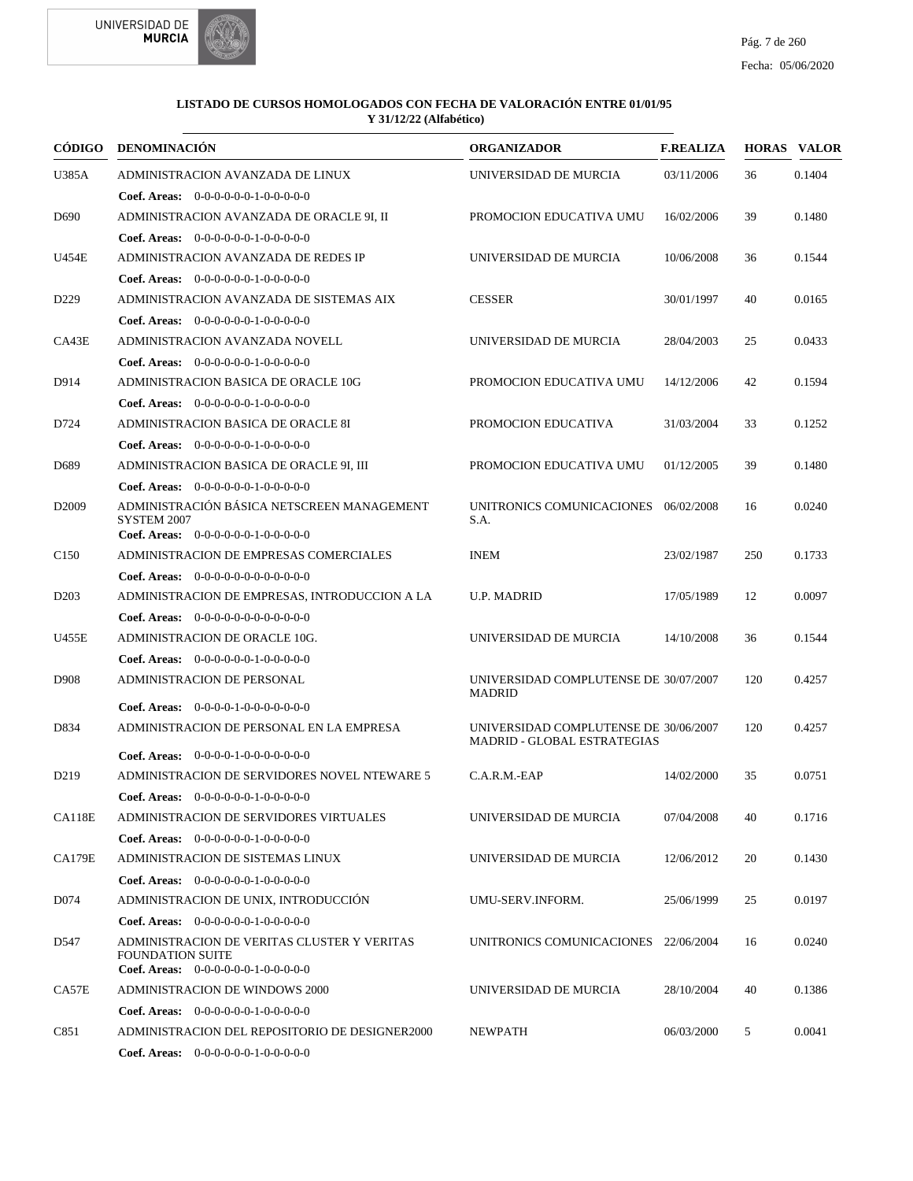



|                   | CÓDIGO DENOMINACIÓN                                                                                                   | <b>ORGANIZADOR</b>                                                          | <b>F.REALIZA</b> |     | <b>HORAS VALOR</b> |
|-------------------|-----------------------------------------------------------------------------------------------------------------------|-----------------------------------------------------------------------------|------------------|-----|--------------------|
| U385A             | ADMINISTRACION AVANZADA DE LINUX                                                                                      | UNIVERSIDAD DE MURCIA                                                       | 03/11/2006       | 36  | 0.1404             |
|                   | <b>Coef. Areas:</b> $0-0-0-0-0-1-0-0-0-0-0$                                                                           |                                                                             |                  |     |                    |
| D <sub>690</sub>  | ADMINISTRACION AVANZADA DE ORACLE 9I, II                                                                              | PROMOCION EDUCATIVA UMU                                                     | 16/02/2006       | 39  | 0.1480             |
|                   | <b>Coef. Areas:</b> $0-0-0-0-0-1-0-0-0-0-0$                                                                           |                                                                             |                  |     |                    |
| U454E             | ADMINISTRACION AVANZADA DE REDES IP                                                                                   | UNIVERSIDAD DE MURCIA                                                       | 10/06/2008       | 36  | 0.1544             |
|                   | <b>Coef. Areas:</b> $0-0-0-0-0-1-0-0-0-0-0$                                                                           |                                                                             |                  |     |                    |
| D <sub>229</sub>  | ADMINISTRACION AVANZADA DE SISTEMAS AIX                                                                               | <b>CESSER</b>                                                               | 30/01/1997       | 40  | 0.0165             |
|                   | <b>Coef. Areas:</b> $0-0-0-0-0-1-0-0-0-0-0$                                                                           |                                                                             |                  |     |                    |
| CA43E             | ADMINISTRACION AVANZADA NOVELL                                                                                        | UNIVERSIDAD DE MURCIA                                                       | 28/04/2003       | 25  | 0.0433             |
|                   | <b>Coef. Areas:</b> $0-0-0-0-0-1-0-0-0-0-0$                                                                           |                                                                             |                  |     |                    |
| D914              | ADMINISTRACION BASICA DE ORACLE 10G                                                                                   | PROMOCION EDUCATIVA UMU                                                     | 14/12/2006       | 42  | 0.1594             |
|                   | <b>Coef. Areas:</b> $0-0-0-0-0-1-0-0-0-0-0$                                                                           |                                                                             |                  |     |                    |
| D724              | ADMINISTRACION BASICA DE ORACLE 8I                                                                                    | PROMOCION EDUCATIVA                                                         | 31/03/2004       | 33  | 0.1252             |
|                   | Coef. Areas: $0-0-0-0-0-1-0-0-0-0-0$                                                                                  |                                                                             |                  |     |                    |
| D <sub>689</sub>  | ADMINISTRACION BASICA DE ORACLE 9I, III                                                                               | PROMOCION EDUCATIVA UMU                                                     | 01/12/2005       | 39  | 0.1480             |
|                   | Coef. Areas: $0-0-0-0-0-1-0-0-0-0-0$                                                                                  |                                                                             |                  |     |                    |
| D <sub>2009</sub> | ADMINISTRACIÓN BÁSICA NETSCREEN MANAGEMENT                                                                            | UNITRONICS COMUNICACIONES 06/02/2008                                        |                  | 16  | 0.0240             |
|                   | SYSTEM 2007<br><b>Coef. Areas:</b> $0-0-0-0-0-1-0-0-0-0-0$                                                            | S.A.                                                                        |                  |     |                    |
| C <sub>150</sub>  | ADMINISTRACION DE EMPRESAS COMERCIALES                                                                                | <b>INEM</b>                                                                 | 23/02/1987       | 250 | 0.1733             |
|                   | <b>Coef. Areas:</b> $0-0-0-0-0-0-0-0-0-0-0-0$                                                                         |                                                                             |                  |     |                    |
| D <sub>203</sub>  | ADMINISTRACION DE EMPRESAS, INTRODUCCION A LA                                                                         | <b>U.P. MADRID</b>                                                          | 17/05/1989       | 12  | 0.0097             |
|                   | Coef. Areas: $0-0-0-0-0-0-0-0-0-0-0$                                                                                  |                                                                             |                  |     |                    |
| U455E             | ADMINISTRACION DE ORACLE 10G.                                                                                         | UNIVERSIDAD DE MURCIA                                                       | 14/10/2008       | 36  | 0.1544             |
|                   | Coef. Areas: $0-0-0-0-0-1-0-0-0-0-0$                                                                                  |                                                                             |                  |     |                    |
| D <sub>908</sub>  | <b>ADMINISTRACION DE PERSONAL</b>                                                                                     | UNIVERSIDAD COMPLUTENSE DE 30/07/2007                                       |                  | 120 | 0.4257             |
|                   |                                                                                                                       | <b>MADRID</b>                                                               |                  |     |                    |
|                   | Coef. Areas: $0-0-0-0-1-0-0-0-0-0-0$                                                                                  |                                                                             |                  |     |                    |
| D834              | ADMINISTRACION DE PERSONAL EN LA EMPRESA                                                                              | UNIVERSIDAD COMPLUTENSE DE 30/06/2007<br><b>MADRID - GLOBAL ESTRATEGIAS</b> |                  | 120 | 0.4257             |
|                   | Coef. Areas: $0-0-0-0-1-0-0-0-0-0-0$                                                                                  |                                                                             |                  |     |                    |
| D <sub>219</sub>  | ADMINISTRACION DE SERVIDORES NOVEL NTEWARE 5                                                                          | $C.A.R.M.-EAP$                                                              | 14/02/2000       | 35  | 0.0751             |
|                   | <b>Coef. Areas:</b> $0-0-0-0-0-1-0-0-0-0-0$                                                                           |                                                                             |                  |     |                    |
| <b>CA118E</b>     | ADMINISTRACION DE SERVIDORES VIRTUALES                                                                                | UNIVERSIDAD DE MURCIA                                                       | 07/04/2008       | 40  | 0.1716             |
|                   | <b>Coef. Areas:</b> $0-0-0-0-0-1-0-0-0-0-0$                                                                           |                                                                             |                  |     |                    |
| <b>CA179E</b>     | ADMINISTRACION DE SISTEMAS LINUX                                                                                      | UNIVERSIDAD DE MURCIA                                                       | 12/06/2012       | 20  | 0.1430             |
|                   | Coef. Areas: 0-0-0-0-0-0-1-0-0-0-0-0                                                                                  |                                                                             |                  |     |                    |
| D <sub>074</sub>  | ADMINISTRACION DE UNIX, INTRODUCCIÓN                                                                                  | UMU-SERV.INFORM.                                                            | 25/06/1999       | 25  | 0.0197             |
|                   | Coef. Areas: $0-0-0-0-0-1-0-0-0-0-0$                                                                                  |                                                                             |                  |     |                    |
| D547              | ADMINISTRACION DE VERITAS CLUSTER Y VERITAS<br><b>FOUNDATION SUITE</b><br><b>Coef. Areas:</b> $0-0-0-0-0-1-0-0-0-0-0$ | UNITRONICS COMUNICACIONES 22/06/2004                                        |                  | 16  | 0.0240             |
| CA57E             | <b>ADMINISTRACION DE WINDOWS 2000</b>                                                                                 | UNIVERSIDAD DE MURCIA                                                       | 28/10/2004       | 40  | 0.1386             |
|                   | <b>Coef. Areas:</b> $0-0-0-0-0-1-0-0-0-0-0$                                                                           |                                                                             |                  |     |                    |
| C851              | ADMINISTRACION DEL REPOSITORIO DE DESIGNER2000                                                                        | <b>NEWPATH</b>                                                              | 06/03/2000       | 5   | 0.0041             |
|                   | Coef. Areas: $0-0-0-0-0-1-0-0-0-0-0$                                                                                  |                                                                             |                  |     |                    |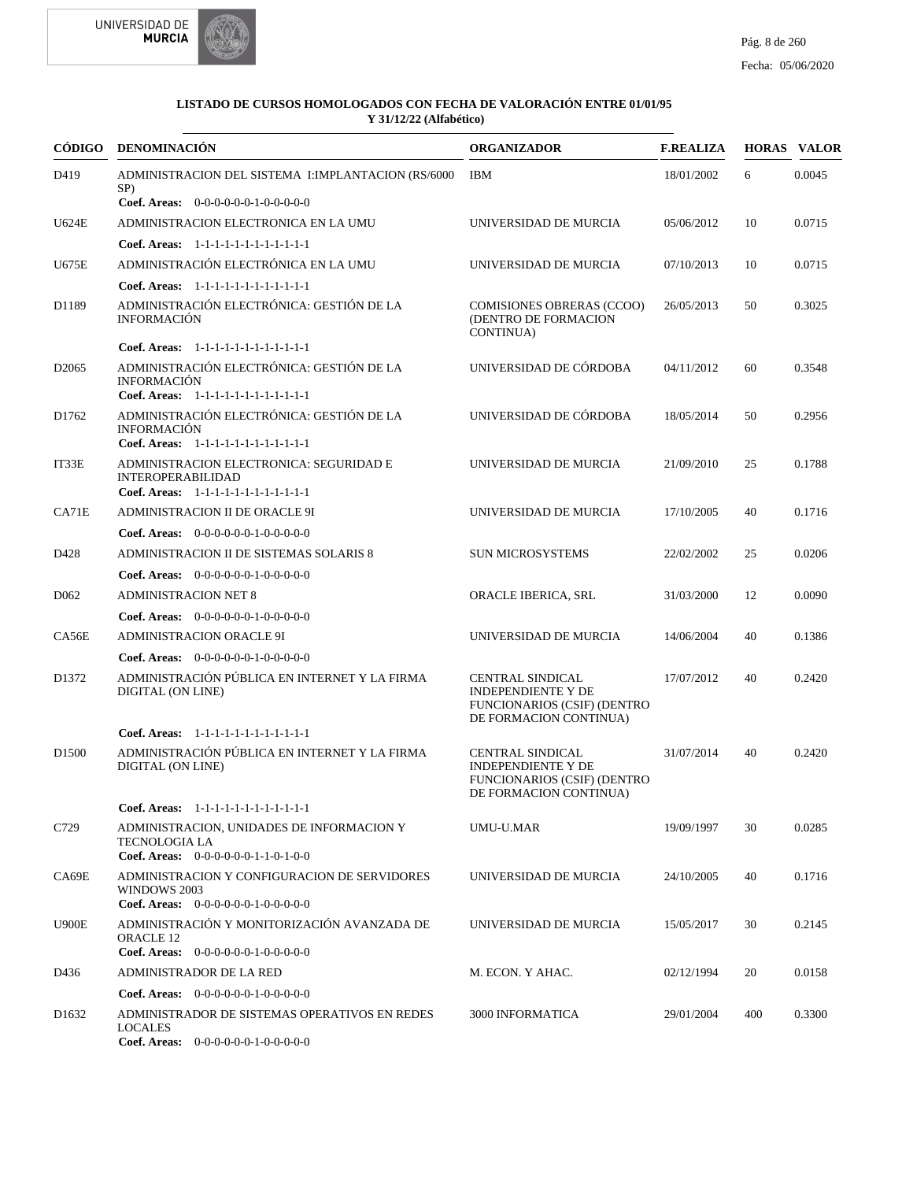



| CÓDIGO            | DENOMINACIÓN                                                                                                  | <b>ORGANIZADOR</b>                                                                                                   | <b>F.REALIZA</b> |     | <b>HORAS VALOR</b> |
|-------------------|---------------------------------------------------------------------------------------------------------------|----------------------------------------------------------------------------------------------------------------------|------------------|-----|--------------------|
| D419              | ADMINISTRACION DEL SISTEMA I:IMPLANTACION (RS/6000<br>SP)                                                     | <b>IBM</b>                                                                                                           | 18/01/2002       | 6   | 0.0045             |
|                   | Coef. Areas: 0-0-0-0-0-0-1-0-0-0-0-0                                                                          |                                                                                                                      |                  |     |                    |
| U624E             | ADMINISTRACION ELECTRONICA EN LA UMU                                                                          | UNIVERSIDAD DE MURCIA                                                                                                | 05/06/2012       | 10  | 0.0715             |
|                   | Coef. Areas: 1-1-1-1-1-1-1-1-1-1-1-1-1                                                                        |                                                                                                                      |                  |     |                    |
| <b>U675E</b>      | ADMINISTRACIÓN ELECTRÓNICA EN LA UMU                                                                          | UNIVERSIDAD DE MURCIA                                                                                                | 07/10/2013       | 10  | 0.0715             |
|                   | Coef. Areas: 1-1-1-1-1-1-1-1-1-1-1-1-1                                                                        |                                                                                                                      |                  |     |                    |
| D1189             | ADMINISTRACIÓN ELECTRÓNICA: GESTIÓN DE LA<br><b>INFORMACIÓN</b>                                               | <b>COMISIONES OBRERAS (CCOO)</b><br>(DENTRO DE FORMACION<br>CONTINUA)                                                | 26/05/2013       | 50  | 0.3025             |
|                   | Coef. Areas: 1-1-1-1-1-1-1-1-1-1-1-1-1                                                                        |                                                                                                                      |                  |     |                    |
| D <sub>2065</sub> | ADMINISTRACIÓN ELECTRÓNICA: GESTIÓN DE LA<br><b>INFORMACIÓN</b><br>Coef. Areas: 1-1-1-1-1-1-1-1-1-1-1-1-1     | UNIVERSIDAD DE CÓRDOBA                                                                                               | 04/11/2012       | 60  | 0.3548             |
| D1762             | ADMINISTRACIÓN ELECTRÓNICA: GESTIÓN DE LA<br><b>INFORMACIÓN</b><br>Coef. Areas: 1-1-1-1-1-1-1-1-1-1-1-1-1     | UNIVERSIDAD DE CÓRDOBA                                                                                               | 18/05/2014       | 50  | 0.2956             |
| IT33E             | ADMINISTRACION ELECTRONICA: SEGURIDAD E<br><b>INTEROPERABILIDAD</b><br>Coef. Areas: 1-1-1-1-1-1-1-1-1-1-1-1-1 | UNIVERSIDAD DE MURCIA                                                                                                | 21/09/2010       | 25  | 0.1788             |
| CA71E             | ADMINISTRACION II DE ORACLE 9I                                                                                | UNIVERSIDAD DE MURCIA                                                                                                | 17/10/2005       | 40  | 0.1716             |
|                   | Coef. Areas: $0-0-0-0-0-1-0-0-0-0-0$                                                                          |                                                                                                                      |                  |     |                    |
| D428              | ADMINISTRACION II DE SISTEMAS SOLARIS 8                                                                       | <b>SUN MICROSYSTEMS</b>                                                                                              | 22/02/2002       | 25  | 0.0206             |
|                   | Coef. Areas: $0-0-0-0-0-1-0-0-0-0-0$                                                                          |                                                                                                                      |                  |     |                    |
| D <sub>062</sub>  | <b>ADMINISTRACION NET 8</b>                                                                                   | ORACLE IBERICA, SRL                                                                                                  | 31/03/2000       | 12  | 0.0090             |
|                   | <b>Coef. Areas:</b> $0-0-0-0-0-1-0-0-0-0-0$                                                                   |                                                                                                                      |                  |     |                    |
| CA56E             | <b>ADMINISTRACION ORACLE 9I</b>                                                                               | UNIVERSIDAD DE MURCIA                                                                                                | 14/06/2004       | 40  | 0.1386             |
|                   | Coef. Areas: $0-0-0-0-0-1-0-0-0-0-0$                                                                          |                                                                                                                      |                  |     |                    |
| D1372             | ADMINISTRACIÓN PÚBLICA EN INTERNET Y LA FIRMA<br>DIGITAL (ON LINE)                                            | CENTRAL SINDICAL<br><b>INDEPENDIENTE Y DE</b><br><b>FUNCIONARIOS (CSIF) (DENTRO</b><br>DE FORMACION CONTINUA)        | 17/07/2012       | 40  | 0.2420             |
|                   | Coef. Areas: 1-1-1-1-1-1-1-1-1-1-1-1-1                                                                        |                                                                                                                      |                  |     |                    |
| D <sub>1500</sub> | ADMINISTRACIÓN PÚBLICA EN INTERNET Y LA FIRMA<br>DIGITAL (ON LINE)                                            | <b>CENTRAL SINDICAL</b><br><b>INDEPENDIENTE Y DE</b><br><b>FUNCIONARIOS (CSIF) (DENTRO</b><br>DE FORMACION CONTINUA) | 31/07/2014       | 40  | 0.2420             |
|                   | Coef. Areas: 1-1-1-1-1-1-1-1-1-1-1-1-1                                                                        |                                                                                                                      |                  |     |                    |
| C729              | ADMINISTRACION, UNIDADES DE INFORMACION Y<br><b>TECNOLOGIA LA</b><br>Coef. Areas: $0-0-0-0-0-1-1-0-1-0-0$     | UMU-U.MAR                                                                                                            | 19/09/1997       | 30  | 0.0285             |
| CA69E             | ADMINISTRACION Y CONFIGURACION DE SERVIDORES<br>WINDOWS 2003<br>Coef. Areas: $0-0-0-0-0-1-0-0-0-0-0$          | UNIVERSIDAD DE MURCIA                                                                                                | 24/10/2005       | 40  | 0.1716             |
| <b>U900E</b>      | ADMINISTRACIÓN Y MONITORIZACIÓN AVANZADA DE<br><b>ORACLE 12</b><br>Coef. Areas: 0-0-0-0-0-0-1-0-0-0-0-0       | UNIVERSIDAD DE MURCIA                                                                                                | 15/05/2017       | 30  | 0.2145             |
| D436              | ADMINISTRADOR DE LA RED                                                                                       | M. ECON. Y AHAC.                                                                                                     | 02/12/1994       | 20  | 0.0158             |
|                   | <b>Coef. Areas:</b> $0-0-0-0-0-1-0-0-0-0-0$                                                                   |                                                                                                                      |                  |     |                    |
| D <sub>1632</sub> | ADMINISTRADOR DE SISTEMAS OPERATIVOS EN REDES<br><b>LOCALES</b><br>Coef. Areas: $0-0-0-0-0-1-0-0-0-0-0$       | <b>3000 INFORMATICA</b>                                                                                              | 29/01/2004       | 400 | 0.3300             |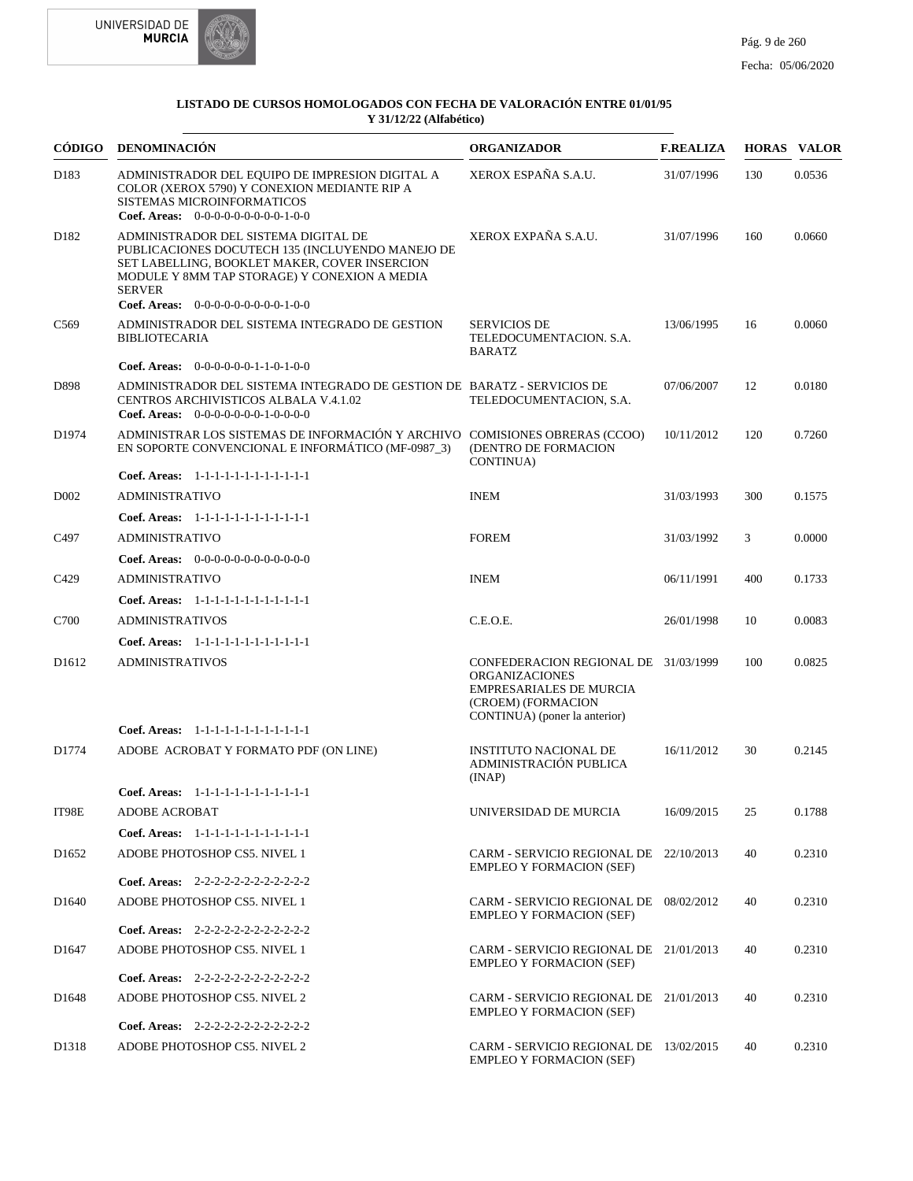

| CÓDIGO            | <b>DENOMINACIÓN</b>                                                                                                                                                                                                                                | <b>ORGANIZADOR</b>                                                                                                                                     | <b>F.REALIZA</b> |     | <b>HORAS VALOR</b> |
|-------------------|----------------------------------------------------------------------------------------------------------------------------------------------------------------------------------------------------------------------------------------------------|--------------------------------------------------------------------------------------------------------------------------------------------------------|------------------|-----|--------------------|
| D183              | ADMINISTRADOR DEL EQUIPO DE IMPRESION DIGITAL A<br>COLOR (XEROX 5790) Y CONEXION MEDIANTE RIP A<br>SISTEMAS MICROINFORMATICOS<br><b>Coef. Areas:</b> $0-0-0-0-0-0-0-0-1-0-0$                                                                       | XEROX ESPAÑA S.A.U.                                                                                                                                    | 31/07/1996       | 130 | 0.0536             |
| D <sub>182</sub>  | ADMINISTRADOR DEL SISTEMA DIGITAL DE<br>PUBLICACIONES DOCUTECH 135 (INCLUYENDO MANEJO DE<br>SET LABELLING, BOOKLET MAKER, COVER INSERCION<br>MODULE Y 8MM TAP STORAGE) Y CONEXION A MEDIA<br><b>SERVER</b><br>Coef. Areas: 0-0-0-0-0-0-0-0-0-1-0-0 | XEROX EXPAÑA S.A.U.                                                                                                                                    | 31/07/1996       | 160 | 0.0660             |
| C <sub>569</sub>  | ADMINISTRADOR DEL SISTEMA INTEGRADO DE GESTION                                                                                                                                                                                                     | <b>SERVICIOS DE</b>                                                                                                                                    | 13/06/1995       | 16  | 0.0060             |
|                   | <b>BIBLIOTECARIA</b>                                                                                                                                                                                                                               | TELEDOCUMENTACION, S.A.<br><b>BARATZ</b>                                                                                                               |                  |     |                    |
|                   | <b>Coef. Areas:</b> $0-0-0-0-0-1-1-0-1-0-0$                                                                                                                                                                                                        |                                                                                                                                                        |                  |     |                    |
| D898              | ADMINISTRADOR DEL SISTEMA INTEGRADO DE GESTION DE BARATZ - SERVICIOS DE<br>CENTROS ARCHIVISTICOS ALBALA V.4.1.02<br>Coef. Areas: $0-0-0-0-0-0-1-0-0-0-0$                                                                                           | TELEDOCUMENTACION, S.A.                                                                                                                                | 07/06/2007       | 12  | 0.0180             |
| D1974             | ADMINISTRAR LOS SISTEMAS DE INFORMACIÓN Y ARCHIVO COMISIONES OBRERAS (CCOO)<br>EN SOPORTE CONVENCIONAL E INFORMÁTICO (MF-0987 3)                                                                                                                   | (DENTRO DE FORMACION<br><b>CONTINUA)</b>                                                                                                               | 10/11/2012       | 120 | 0.7260             |
|                   | Coef. Areas: 1-1-1-1-1-1-1-1-1-1-1-1-1                                                                                                                                                                                                             |                                                                                                                                                        |                  |     |                    |
| D <sub>0</sub> 02 | <b>ADMINISTRATIVO</b>                                                                                                                                                                                                                              | <b>INEM</b>                                                                                                                                            | 31/03/1993       | 300 | 0.1575             |
|                   | Coef. Areas: 1-1-1-1-1-1-1-1-1-1-1-1-1                                                                                                                                                                                                             |                                                                                                                                                        |                  |     |                    |
| C <sub>497</sub>  | <b>ADMINISTRATIVO</b>                                                                                                                                                                                                                              | <b>FOREM</b>                                                                                                                                           | 31/03/1992       | 3   | 0.0000             |
|                   | Coef. Areas: $0-0-0-0-0-0-0-0-0-0-0$                                                                                                                                                                                                               |                                                                                                                                                        |                  |     |                    |
| C <sub>429</sub>  | <b>ADMINISTRATIVO</b>                                                                                                                                                                                                                              | <b>INEM</b>                                                                                                                                            | 06/11/1991       | 400 | 0.1733             |
|                   | Coef. Areas: 1-1-1-1-1-1-1-1-1-1-1-1-1                                                                                                                                                                                                             |                                                                                                                                                        |                  |     |                    |
| C700              | <b>ADMINISTRATIVOS</b>                                                                                                                                                                                                                             | C.E.O.E.                                                                                                                                               | 26/01/1998       | 10  | 0.0083             |
|                   | Coef. Areas: 1-1-1-1-1-1-1-1-1-1-1-1-1                                                                                                                                                                                                             |                                                                                                                                                        |                  |     |                    |
| D <sub>1612</sub> | <b>ADMINISTRATIVOS</b>                                                                                                                                                                                                                             | CONFEDERACION REGIONAL DE 31/03/1999<br><b>ORGANIZACIONES</b><br><b>EMPRESARIALES DE MURCIA</b><br>(CROEM) (FORMACION<br>CONTINUA) (poner la anterior) |                  | 100 | 0.0825             |
|                   | Coef. Areas: 1-1-1-1-1-1-1-1-1-1-1-1-1                                                                                                                                                                                                             |                                                                                                                                                        |                  |     |                    |
| D1774             | ADOBE ACROBAT Y FORMATO PDF (ON LINE)                                                                                                                                                                                                              | <b>INSTITUTO NACIONAL DE</b><br>ADMINISTRACIÓN PUBLICA<br>(INAP)                                                                                       | 16/11/2012       | 30  | 0.2145             |
|                   | Coef. Areas: 1-1-1-1-1-1-1-1-1-1-1-1-1                                                                                                                                                                                                             |                                                                                                                                                        |                  |     |                    |
| IT98E             | <b>ADOBE ACROBAT</b>                                                                                                                                                                                                                               | UNIVERSIDAD DE MURCIA                                                                                                                                  | 16/09/2015       | 25  | 0.1788             |
|                   | Coef. Areas: 1-1-1-1-1-1-1-1-1-1-1-1-1                                                                                                                                                                                                             |                                                                                                                                                        |                  |     |                    |
| D <sub>1652</sub> | ADOBE PHOTOSHOP CS5. NIVEL 1                                                                                                                                                                                                                       | CARM - SERVICIO REGIONAL DE 22/10/2013<br><b>EMPLEO Y FORMACION (SEF)</b>                                                                              |                  | 40  | 0.2310             |
|                   | Coef. Areas: 2-2-2-2-2-2-2-2-2-2-2-2                                                                                                                                                                                                               |                                                                                                                                                        |                  |     |                    |
| D <sub>1640</sub> | ADOBE PHOTOSHOP CS5. NIVEL 1                                                                                                                                                                                                                       | CARM - SERVICIO REGIONAL DE 08/02/2012<br><b>EMPLEO Y FORMACION (SEF)</b>                                                                              |                  | 40  | 0.2310             |
|                   | Coef. Areas: $2-2-2-2-2-2-2-2-2-2-2$                                                                                                                                                                                                               |                                                                                                                                                        |                  |     |                    |
| D <sub>1647</sub> | ADOBE PHOTOSHOP CS5. NIVEL 1                                                                                                                                                                                                                       | CARM - SERVICIO REGIONAL DE 21/01/2013<br><b>EMPLEO Y FORMACION (SEF)</b>                                                                              |                  | 40  | 0.2310             |
|                   | Coef. Areas: $2-2-2-2-2-2-2-2-2-2-2$                                                                                                                                                                                                               |                                                                                                                                                        |                  |     |                    |
| D <sub>1648</sub> | ADOBE PHOTOSHOP CS5. NIVEL 2                                                                                                                                                                                                                       | CARM - SERVICIO REGIONAL DE 21/01/2013<br><b>EMPLEO Y FORMACION (SEF)</b>                                                                              |                  | 40  | 0.2310             |
|                   | Coef. Areas: $2-2-2-2-2-2-2-2-2-2-2$                                                                                                                                                                                                               |                                                                                                                                                        |                  |     |                    |
| D1318             | ADOBE PHOTOSHOP CS5. NIVEL 2                                                                                                                                                                                                                       | CARM - SERVICIO REGIONAL DE 13/02/2015<br><b>EMPLEO Y FORMACION (SEF)</b>                                                                              |                  | 40  | 0.2310             |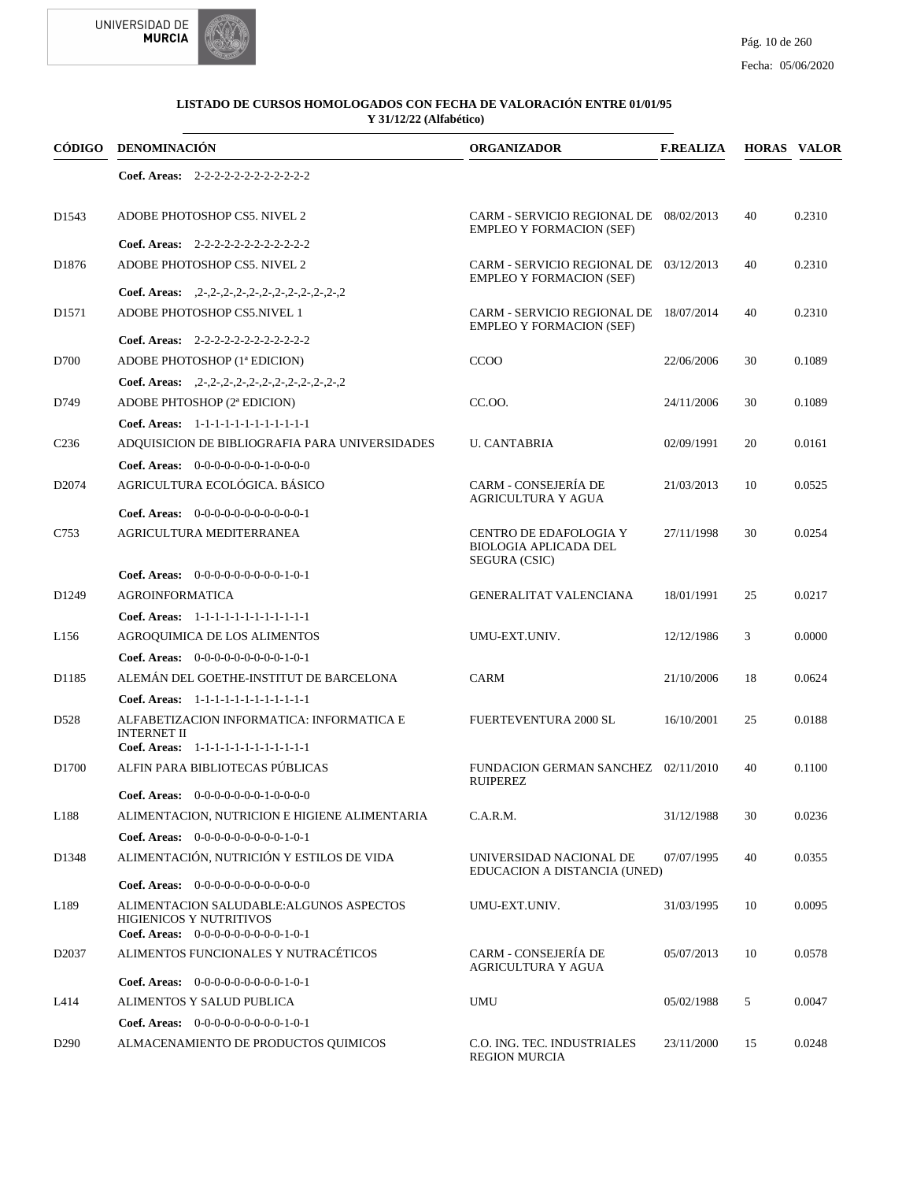



|                   | CÓDIGO DENOMINACIÓN                                                                                                | <b>ORGANIZADOR</b>                                                        | <b>F.REALIZA</b> |    | <b>HORAS VALOR</b> |
|-------------------|--------------------------------------------------------------------------------------------------------------------|---------------------------------------------------------------------------|------------------|----|--------------------|
|                   | Coef. Areas: $2-2-2-2-2-2-2-2-2-2-2$                                                                               |                                                                           |                  |    |                    |
| D <sub>1543</sub> | ADOBE PHOTOSHOP CS5. NIVEL 2                                                                                       | CARM - SERVICIO REGIONAL DE 08/02/2013<br><b>EMPLEO Y FORMACION (SEF)</b> |                  | 40 | 0.2310             |
|                   | Coef. Areas: $2-2-2-2-2-2-2-2-2-2-2$                                                                               |                                                                           |                  |    |                    |
| D1876             | ADOBE PHOTOSHOP CS5. NIVEL 2                                                                                       | CARM - SERVICIO REGIONAL DE 03/12/2013<br><b>EMPLEO Y FORMACION (SEF)</b> |                  | 40 | 0.2310             |
|                   | Coef. Areas: $, 2-, 2-, 2-, 2-, 2-, 2-, 2-, 2-, 2-, 2-, 2$                                                         |                                                                           |                  |    |                    |
| D <sub>1571</sub> | ADOBE PHOTOSHOP CS5.NIVEL 1                                                                                        | CARM - SERVICIO REGIONAL DE 18/07/2014<br><b>EMPLEO Y FORMACION (SEF)</b> |                  | 40 | 0.2310             |
|                   | Coef. Areas: $2-2-2-2-2-2-2-2-2-2-2$                                                                               |                                                                           |                  |    |                    |
| D700              | ADOBE PHOTOSHOP (1ª EDICION)                                                                                       | <b>CCOO</b>                                                               | 22/06/2006       | 30 | 0.1089             |
|                   | Coef. Areas: $2-2-2-2-2-2-2-2-2-2-2-2-2$                                                                           |                                                                           |                  |    |                    |
| D749              | ADOBE PHTOSHOP (2ª EDICION)                                                                                        | CC.00.                                                                    | 24/11/2006       | 30 | 0.1089             |
|                   | Coef. Areas: 1-1-1-1-1-1-1-1-1-1-1-1-1                                                                             |                                                                           |                  |    |                    |
| C <sub>236</sub>  | ADQUISICION DE BIBLIOGRAFIA PARA UNIVERSIDADES                                                                     | <b>U. CANTABRIA</b>                                                       | 02/09/1991       | 20 | 0.0161             |
|                   | Coef. Areas: $0-0-0-0-0-0-1-0-0-0-0$                                                                               |                                                                           |                  |    |                    |
| D <sub>2074</sub> | AGRICULTURA ECOLÓGICA. BÁSICO                                                                                      | <b>CARM - CONSEJERÍA DE</b><br>AGRICULTURA Y AGUA                         | 21/03/2013       | 10 | 0.0525             |
|                   | Coef. Areas: $0-0-0-0-0-0-0-0-0-0-1$                                                                               |                                                                           |                  |    |                    |
| C753              | AGRICULTURA MEDITERRANEA                                                                                           | CENTRO DE EDAFOLOGIA Y<br>BIOLOGIA APLICADA DEL<br>SEGURA (CSIC)          | 27/11/1998       | 30 | 0.0254             |
|                   | Coef. Areas: $0-0-0-0-0-0-0-0-1-0-1$                                                                               |                                                                           |                  |    |                    |
| D <sub>1249</sub> | <b>AGROINFORMATICA</b>                                                                                             | <b>GENERALITAT VALENCIANA</b>                                             | 18/01/1991       | 25 | 0.0217             |
|                   | Coef. Areas: 1-1-1-1-1-1-1-1-1-1-1-1-1                                                                             |                                                                           |                  |    |                    |
| L156              | AGROQUIMICA DE LOS ALIMENTOS                                                                                       | UMU-EXT.UNIV.                                                             | 12/12/1986       | 3  | 0.0000             |
|                   | Coef. Areas: $0-0-0-0-0-0-0-0-1-0-1$                                                                               |                                                                           |                  |    |                    |
| D1185             | ALEMÁN DEL GOETHE-INSTITUT DE BARCELONA                                                                            | <b>CARM</b>                                                               | 21/10/2006       | 18 | 0.0624             |
|                   | Coef. Areas: 1-1-1-1-1-1-1-1-1-1-1-1-1                                                                             |                                                                           |                  |    |                    |
| D <sub>528</sub>  | ALFABETIZACION INFORMATICA: INFORMATICA E<br><b>INTERNET II</b>                                                    | <b>FUERTEVENTURA 2000 SL</b>                                              | 16/10/2001       | 25 | 0.0188             |
|                   | Coef. Areas: 1-1-1-1-1-1-1-1-1-1-1-1-1                                                                             |                                                                           |                  |    |                    |
| D <sub>1700</sub> | ALFIN PARA BIBLIOTECAS PÚBLICAS                                                                                    | FUNDACION GERMAN SANCHEZ 02/11/2010<br><b>RUIPEREZ</b>                    |                  | 40 | 0.1100             |
|                   | <b>Coef. Areas:</b> $0-0-0-0-0-0-1-0-0-0-0$                                                                        |                                                                           | 31/12/1988       |    |                    |
| L188              | ALIMENTACION, NUTRICION E HIGIENE ALIMENTARIA                                                                      | C.A.R.M.                                                                  |                  | 30 | 0.0236             |
|                   | Coef. Areas: $0-0-0-0-0-0-0-0-1-0-1$                                                                               |                                                                           |                  |    |                    |
| D1348             | ALIMENTACIÓN, NUTRICIÓN Y ESTILOS DE VIDA                                                                          | UNIVERSIDAD NACIONAL DE<br>EDUCACION A DISTANCIA (UNED)                   | 07/07/1995       | 40 | 0.0355             |
|                   | Coef. Areas: $0-0-0-0-0-0-0-0-0-0-0$                                                                               |                                                                           |                  |    |                    |
| L189              | ALIMENTACION SALUDABLE: ALGUNOS ASPECTOS<br><b>HIGIENICOS Y NUTRITIVOS</b><br>Coef. Areas: $0-0-0-0-0-0-0-0-1-0-1$ | UMU-EXT.UNIV.                                                             | 31/03/1995       | 10 | 0.0095             |
| D <sub>2037</sub> | ALIMENTOS FUNCIONALES Y NUTRACÉTICOS                                                                               | <b>CARM - CONSEJERÍA DE</b><br>AGRICULTURA Y AGUA                         | 05/07/2013       | 10 | 0.0578             |
|                   | Coef. Areas: $0-0-0-0-0-0-0-0-1-0-1$                                                                               |                                                                           |                  |    |                    |
| L414              | ALIMENTOS Y SALUD PUBLICA                                                                                          | UMU                                                                       | 05/02/1988       | 5  | 0.0047             |
|                   | <b>Coef. Areas:</b> $0-0-0-0-0-0-0-0-1-0-1$                                                                        |                                                                           |                  |    |                    |
| D <sub>290</sub>  | ALMACENAMIENTO DE PRODUCTOS QUIMICOS                                                                               | C.O. ING. TEC. INDUSTRIALES<br><b>REGION MURCIA</b>                       | 23/11/2000       | 15 | 0.0248             |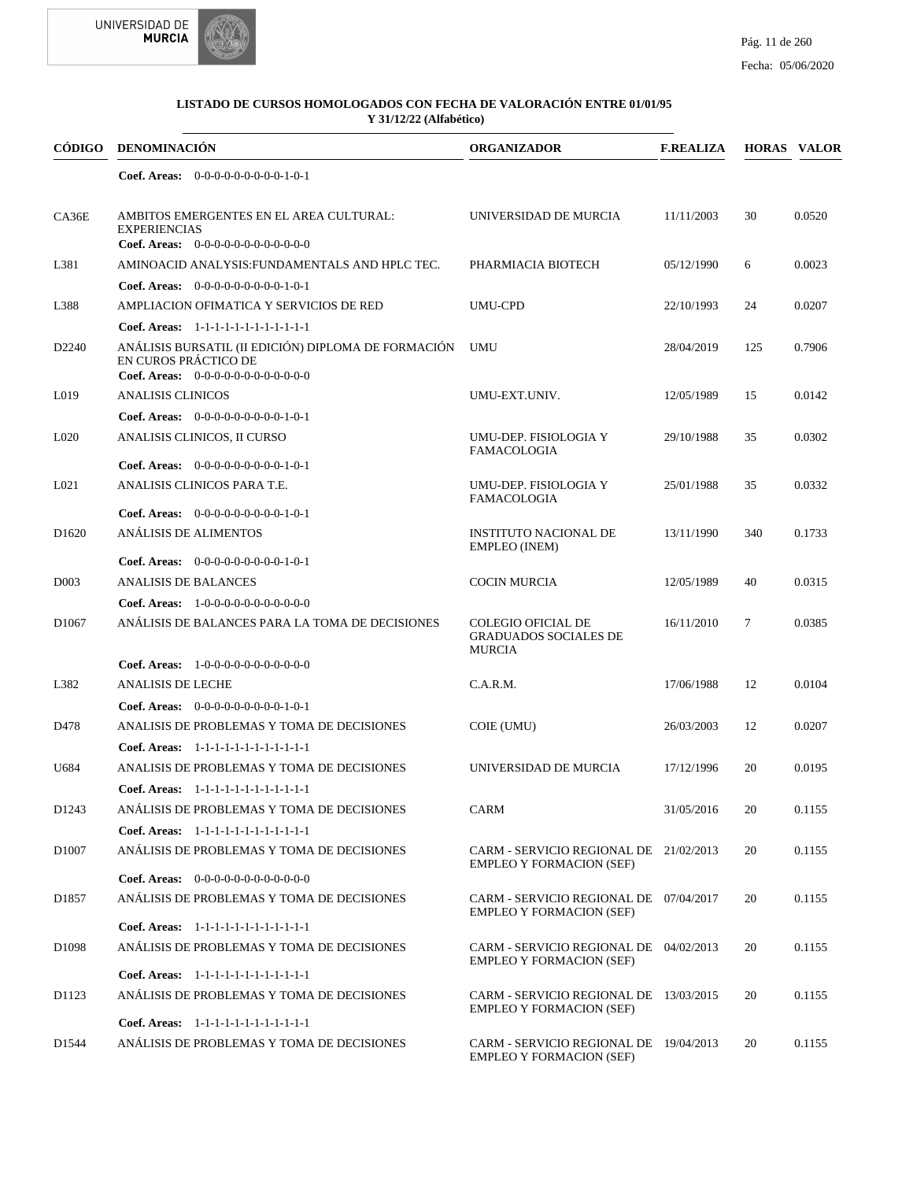



| <b>CÓDIGO</b>     | DENOMINACIÓN                                                                                                        | <b>ORGANIZADOR</b>                                                         | <b>F.REALIZA</b> |        | <b>HORAS VALOR</b> |
|-------------------|---------------------------------------------------------------------------------------------------------------------|----------------------------------------------------------------------------|------------------|--------|--------------------|
|                   | Coef. Areas: $0-0-0-0-0-0-0-0-1-0-1$                                                                                |                                                                            |                  |        |                    |
| CA36E             | AMBITOS EMERGENTES EN EL AREA CULTURAL:<br><b>EXPERIENCIAS</b><br>Coef. Areas: 0-0-0-0-0-0-0-0-0-0-0-0-0            | UNIVERSIDAD DE MURCIA                                                      | 11/11/2003       | 30     | 0.0520             |
| L381              | AMINOACID ANALYSIS: FUNDAMENTALS AND HPLC TEC.                                                                      | PHARMIACIA BIOTECH                                                         | 05/12/1990       | 6      | 0.0023             |
|                   | Coef. Areas: $0-0-0-0-0-0-0-0-1-0-1$                                                                                |                                                                            |                  |        |                    |
| L388              | AMPLIACION OFIMATICA Y SERVICIOS DE RED                                                                             | UMU-CPD                                                                    | 22/10/1993       | 24     | 0.0207             |
|                   | Coef. Areas: 1-1-1-1-1-1-1-1-1-1-1-1-1                                                                              |                                                                            |                  |        |                    |
| D <sub>2240</sub> | ANÁLISIS BURSATIL (II EDICIÓN) DIPLOMA DE FORMACIÓN<br>EN CUROS PRÁCTICO DE<br>Coef. Areas: $0-0-0-0-0-0-0-0-0-0-0$ | <b>UMU</b>                                                                 | 28/04/2019       | 125    | 0.7906             |
| L019              | <b>ANALISIS CLINICOS</b>                                                                                            | UMU-EXT.UNIV.                                                              | 12/05/1989       | 15     | 0.0142             |
|                   | Coef. Areas: $0-0-0-0-0-0-0-0-1-0-1$                                                                                |                                                                            |                  |        |                    |
| L <sub>020</sub>  | ANALISIS CLINICOS, II CURSO                                                                                         | UMU-DEP. FISIOLOGIA Y<br><b>FAMACOLOGIA</b>                                | 29/10/1988       | 35     | 0.0302             |
|                   | Coef. Areas: $0-0-0-0-0-0-0-0-1-0-1$                                                                                |                                                                            |                  |        |                    |
| L <sub>021</sub>  | ANALISIS CLINICOS PARA T.E.                                                                                         | UMU-DEP. FISIOLOGIA Y<br><b>FAMACOLOGIA</b>                                | 25/01/1988       | 35     | 0.0332             |
| D <sub>1620</sub> | <b>Coef. Areas:</b> $0-0-0-0-0-0-0-0-1-0-1$<br>ANÁLISIS DE ALIMENTOS                                                | <b>INSTITUTO NACIONAL DE</b>                                               | 13/11/1990       | 340    | 0.1733             |
|                   | Coef. Areas: $0-0-0-0-0-0-0-0-1-0-1$                                                                                | <b>EMPLEO</b> (INEM)                                                       |                  |        |                    |
| D <sub>003</sub>  | <b>ANALISIS DE BALANCES</b>                                                                                         | <b>COCIN MURCIA</b>                                                        | 12/05/1989       | 40     | 0.0315             |
|                   | <b>Coef. Areas:</b> $1-0-0-0-0-0-0-0-0-0-0-0$                                                                       |                                                                            |                  |        |                    |
| D <sub>1067</sub> | ANÁLISIS DE BALANCES PARA LA TOMA DE DECISIONES                                                                     | <b>COLEGIO OFICIAL DE</b><br><b>GRADUADOS SOCIALES DE</b><br><b>MURCIA</b> | 16/11/2010       | $\tau$ | 0.0385             |
|                   | <b>Coef. Areas:</b> $1-0-0-0-0-0-0-0-0-0-0$                                                                         |                                                                            |                  |        |                    |
| L382              | <b>ANALISIS DE LECHE</b>                                                                                            | C.A.R.M.                                                                   | 17/06/1988       | 12     | 0.0104             |
|                   | Coef. Areas: $0-0-0-0-0-0-0-0-1-0-1$                                                                                |                                                                            |                  |        |                    |
| D478              | ANALISIS DE PROBLEMAS Y TOMA DE DECISIONES                                                                          | COIE (UMU)                                                                 | 26/03/2003       | 12     | 0.0207             |
|                   | Coef. Areas: 1-1-1-1-1-1-1-1-1-1-1-1-1                                                                              |                                                                            |                  |        |                    |
| U684              | ANALISIS DE PROBLEMAS Y TOMA DE DECISIONES                                                                          | UNIVERSIDAD DE MURCIA                                                      | 17/12/1996       | 20     | 0.0195             |
|                   | Coef. Areas: 1-1-1-1-1-1-1-1-1-1-1-1-1                                                                              |                                                                            |                  |        |                    |
| D <sub>1243</sub> | ANÁLISIS DE PROBLEMAS Y TOMA DE DECISIONES                                                                          | CARM                                                                       | 31/05/2016       | 20     | 0.1155             |
|                   | Coef. Areas: 1-1-1-1-1-1-1-1-1-1-1-1-1                                                                              |                                                                            |                  |        |                    |
| D <sub>1007</sub> | ANALISIS DE PROBLEMAS Y TOMA DE DECISIONES                                                                          | CARM - SERVICIO REGIONAL DE 21/02/2013<br><b>EMPLEO Y FORMACION (SEF)</b>  |                  | 20     | 0.1155             |
|                   | Coef. Areas: $0-0-0-0-0-0-0-0-0-0-0$                                                                                |                                                                            |                  |        |                    |
| D <sub>1857</sub> | ANÁLISIS DE PROBLEMAS Y TOMA DE DECISIONES<br>Coef. Areas: 1-1-1-1-1-1-1-1-1-1-1-1-1                                | CARM - SERVICIO REGIONAL DE 07/04/2017<br><b>EMPLEO Y FORMACION (SEF)</b>  |                  | 20     | 0.1155             |
| D <sub>1098</sub> | ANÁLISIS DE PROBLEMAS Y TOMA DE DECISIONES                                                                          | CARM - SERVICIO REGIONAL DE 04/02/2013                                     |                  | 20     | 0.1155             |
|                   | Coef. Areas: 1-1-1-1-1-1-1-1-1-1-1-1-1                                                                              | <b>EMPLEO Y FORMACION (SEF)</b>                                            |                  |        |                    |
| D1123             | ANÁLISIS DE PROBLEMAS Y TOMA DE DECISIONES                                                                          | CARM - SERVICIO REGIONAL DE 13/03/2015                                     |                  | 20     | 0.1155             |
|                   |                                                                                                                     | <b>EMPLEO Y FORMACION (SEF)</b>                                            |                  |        |                    |
| D1544             | Coef. Areas: 1-1-1-1-1-1-1-1-1-1-1-1-1<br>ANÁLISIS DE PROBLEMAS Y TOMA DE DECISIONES                                | CARM - SERVICIO REGIONAL DE 19/04/2013<br><b>EMPLEO Y FORMACION (SEF)</b>  |                  | 20     | 0.1155             |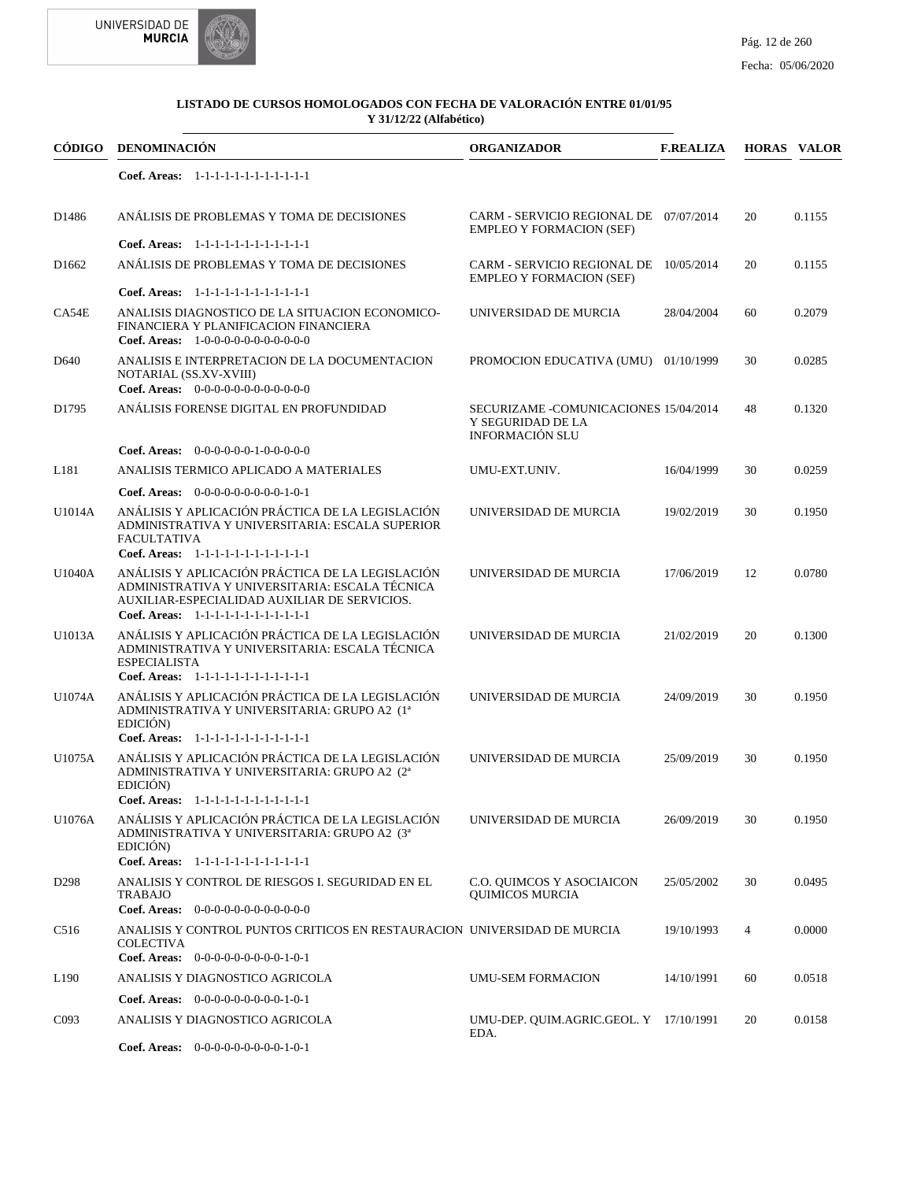



|                   | CÓDIGO DENOMINACIÓN                                                                                                                                                                            | <b>ORGANIZADOR</b>                                                                    | <b>F.REALIZA</b> |    | <b>HORAS VALOR</b> |
|-------------------|------------------------------------------------------------------------------------------------------------------------------------------------------------------------------------------------|---------------------------------------------------------------------------------------|------------------|----|--------------------|
|                   | Coef. Areas: 1-1-1-1-1-1-1-1-1-1-1-1-1                                                                                                                                                         |                                                                                       |                  |    |                    |
| D1486             | ANÁLISIS DE PROBLEMAS Y TOMA DE DECISIONES                                                                                                                                                     | CARM - SERVICIO REGIONAL DE 07/07/2014<br><b>EMPLEO Y FORMACION (SEF)</b>             |                  | 20 | 0.1155             |
| D <sub>1662</sub> | Coef. Areas: 1-1-1-1-1-1-1-1-1-1-1-1-1<br>ANÁLISIS DE PROBLEMAS Y TOMA DE DECISIONES                                                                                                           | CARM - SERVICIO REGIONAL DE 10/05/2014<br><b>EMPLEO Y FORMACION (SEF)</b>             |                  | 20 | 0.1155             |
|                   | Coef. Areas: 1-1-1-1-1-1-1-1-1-1-1-1-1                                                                                                                                                         |                                                                                       |                  |    |                    |
| CA54E             | ANALISIS DIAGNOSTICO DE LA SITUACION ECONOMICO-<br>FINANCIERA Y PLANIFICACION FINANCIERA<br>Coef. Areas: $1-0-0-0-0-0-0-0-0-0-0-0$                                                             | UNIVERSIDAD DE MURCIA                                                                 | 28/04/2004       | 60 | 0.2079             |
| D <sub>640</sub>  | ANALISIS E INTERPRETACION DE LA DOCUMENTACION<br>NOTARIAL (SS.XV-XVIII)<br>Coef. Areas: 0-0-0-0-0-0-0-0-0-0-0-0-0                                                                              | PROMOCION EDUCATIVA (UMU) 01/10/1999                                                  |                  | 30 | 0.0285             |
| D1795             | ANÁLISIS FORENSE DIGITAL EN PROFUNDIDAD                                                                                                                                                        | SECURIZAME - COMUNICACIONES 15/04/2014<br>Y SEGURIDAD DE LA<br><b>INFORMACIÓN SLU</b> |                  | 48 | 0.1320             |
|                   | Coef. Areas: $0-0-0-0-0-1-0-0-0-0-0$                                                                                                                                                           |                                                                                       |                  |    |                    |
| L181              | ANALISIS TERMICO APLICADO A MATERIALES                                                                                                                                                         | UMU-EXT.UNIV.                                                                         | 16/04/1999       | 30 | 0.0259             |
|                   | Coef. Areas: $0-0-0-0-0-0-0-0-1-0-1$                                                                                                                                                           |                                                                                       |                  |    |                    |
| U1014A            | ANÁLISIS Y APLICACIÓN PRÁCTICA DE LA LEGISLACIÓN<br>ADMINISTRATIVA Y UNIVERSITARIA: ESCALA SUPERIOR<br><b>FACULTATIVA</b><br>Coef. Areas: 1-1-1-1-1-1-1-1-1-1-1-1-1                            | UNIVERSIDAD DE MURCIA                                                                 | 19/02/2019       | 30 | 0.1950             |
| U1040A            | ANÁLISIS Y APLICACIÓN PRÁCTICA DE LA LEGISLACIÓN<br>ADMINISTRATIVA Y UNIVERSITARIA: ESCALA TÉCNICA<br>AUXILIAR-ESPECIALIDAD AUXILIAR DE SERVICIOS.<br>Coef. Areas: 1-1-1-1-1-1-1-1-1-1-1-1-1   | UNIVERSIDAD DE MURCIA                                                                 | 17/06/2019       | 12 | 0.0780             |
| U1013A            | ANÁLISIS Y APLICACIÓN PRÁCTICA DE LA LEGISLACIÓN<br>ADMINISTRATIVA Y UNIVERSITARIA: ESCALA TÉCNICA<br><b>ESPECIALISTA</b><br>Coef. Areas: 1-1-1-1-1-1-1-1-1-1-1-1-1                            | UNIVERSIDAD DE MURCIA                                                                 | 21/02/2019       | 20 | 0.1300             |
| U1074A            | ANÁLISIS Y APLICACIÓN PRÁCTICA DE LA LEGISLACIÓN<br>ADMINISTRATIVA Y UNIVERSITARIA: GRUPO A2 (1ª<br>EDICIÓN)                                                                                   | UNIVERSIDAD DE MURCIA                                                                 | 24/09/2019       | 30 | 0.1950             |
| U1075A            | Coef. Areas: 1-1-1-1-1-1-1-1-1-1-1-1-1<br>ANÁLISIS Y APLICACIÓN PRÁCTICA DE LA LEGISLACIÓN<br>ADMINISTRATIVA Y UNIVERSITARIA: GRUPO A2 (2ª<br>EDICIÓN)                                         | UNIVERSIDAD DE MURCIA                                                                 | 25/09/2019       | 30 | 0.1950             |
| U1076A            | Coef. Areas: $1-1-1-1-1-1-1-1-1-1-1$<br>ANÁLISIS Y APLICACIÓN PRÁCTICA DE LA LEGISLACIÓN<br>ADMINISTRATIVA Y UNIVERSITARIA: GRUPO A2 (3ª<br>EDICIÓN)<br>Coef. Areas: 1-1-1-1-1-1-1-1-1-1-1-1-1 | UNIVERSIDAD DE MURCIA                                                                 | 26/09/2019       | 30 | 0.1950             |
| D <sub>298</sub>  | ANALISIS Y CONTROL DE RIESGOS I. SEGURIDAD EN EL<br><b>TRABAJO</b><br>Coef. Areas: $0-0-0-0-0-0-0-0-0-0-0$                                                                                     | C.O. QUIMCOS Y ASOCIAICON<br><b>OUIMICOS MURCIA</b>                                   | 25/05/2002       | 30 | 0.0495             |
| C <sub>516</sub>  | ANALISIS Y CONTROL PUNTOS CRITICOS EN RESTAURACION UNIVERSIDAD DE MURCIA<br><b>COLECTIVA</b><br>Coef. Areas: $0-0-0-0-0-0-0-0-1-0-1$                                                           |                                                                                       | 19/10/1993       | 4  | 0.0000             |
| L <sub>190</sub>  | ANALISIS Y DIAGNOSTICO AGRICOLA                                                                                                                                                                | <b>UMU-SEM FORMACION</b>                                                              | 14/10/1991       | 60 | 0.0518             |
|                   | <b>Coef. Areas:</b> $0-0-0-0-0-0-0-0-1-0-1$                                                                                                                                                    |                                                                                       |                  |    |                    |
| C <sub>093</sub>  | ANALISIS Y DIAGNOSTICO AGRICOLA                                                                                                                                                                | UMU-DEP. QUIM.AGRIC.GEOL. Y 17/10/1991<br>EDA.                                        |                  | 20 | 0.0158             |
|                   |                                                                                                                                                                                                |                                                                                       |                  |    |                    |

0-0-0-0-0-0-0-0-0-1-0-1 **Coef. Areas:**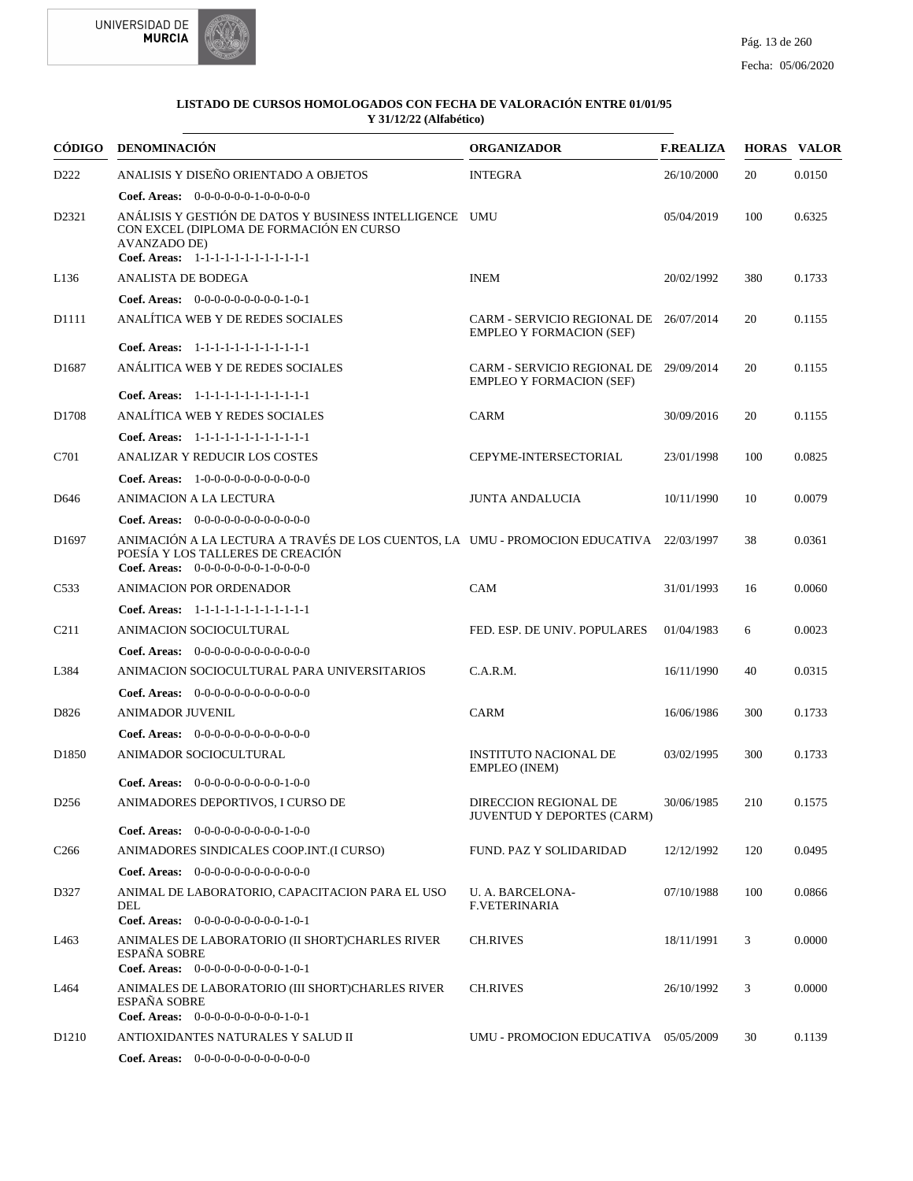



|                   | CÓDIGO DENOMINACIÓN                                                                                                                                                  | <b>ORGANIZADOR</b>                                                        | <b>F.REALIZA</b> |     | <b>HORAS VALOR</b> |
|-------------------|----------------------------------------------------------------------------------------------------------------------------------------------------------------------|---------------------------------------------------------------------------|------------------|-----|--------------------|
| D222              | ANALISIS Y DISEÑO ORIENTADO A OBJETOS                                                                                                                                | <b>INTEGRA</b>                                                            | 26/10/2000       | 20  | 0.0150             |
|                   | Coef. Areas: $0-0-0-0-0-1-0-0-0-0-0$                                                                                                                                 |                                                                           |                  |     |                    |
| D2321             | ANÁLISIS Y GESTIÓN DE DATOS Y BUSINESS INTELLIGENCE UMU<br>CON EXCEL (DIPLOMA DE FORMACIÓN EN CURSO<br><b>AVANZADO DE)</b><br>Coef. Areas: 1-1-1-1-1-1-1-1-1-1-1-1-1 |                                                                           | 05/04/2019       | 100 | 0.6325             |
| L <sub>136</sub>  | ANALISTA DE BODEGA                                                                                                                                                   | <b>INEM</b>                                                               | 20/02/1992       | 380 | 0.1733             |
|                   | Coef. Areas: $0-0-0-0-0-0-0-0-1-0-1$                                                                                                                                 |                                                                           |                  |     |                    |
| D1111             | ANALÍTICA WEB Y DE REDES SOCIALES                                                                                                                                    | CARM - SERVICIO REGIONAL DE 26/07/2014<br><b>EMPLEO Y FORMACION (SEF)</b> |                  | 20  | 0.1155             |
|                   | Coef. Areas: 1-1-1-1-1-1-1-1-1-1-1-1-1                                                                                                                               |                                                                           |                  |     |                    |
| D <sub>1687</sub> | ANÁLITICA WEB Y DE REDES SOCIALES                                                                                                                                    | CARM - SERVICIO REGIONAL DE 29/09/2014<br><b>EMPLEO Y FORMACION (SEF)</b> |                  | 20  | 0.1155             |
|                   | Coef. Areas: 1-1-1-1-1-1-1-1-1-1-1-1-1                                                                                                                               |                                                                           |                  |     |                    |
| D1708             | ANALÍTICA WEB Y REDES SOCIALES                                                                                                                                       | <b>CARM</b>                                                               | 30/09/2016       | 20  | 0.1155             |
|                   | Coef. Areas: 1-1-1-1-1-1-1-1-1-1-1-1-1                                                                                                                               |                                                                           |                  |     |                    |
| C701              | ANALIZAR Y REDUCIR LOS COSTES                                                                                                                                        | CEPYME-INTERSECTORIAL                                                     | 23/01/1998       | 100 | 0.0825             |
|                   | <b>Coef. Areas:</b> $1-0-0-0-0-0-0-0-0-0-0$                                                                                                                          |                                                                           |                  |     |                    |
| D <sub>646</sub>  | ANIMACION A LA LECTURA                                                                                                                                               | <b>JUNTA ANDALUCIA</b>                                                    | 10/11/1990       | 10  | 0.0079             |
|                   | Coef. Areas: 0-0-0-0-0-0-0-0-0-0-0-0-0                                                                                                                               |                                                                           |                  |     |                    |
| D <sub>1697</sub> | ANIMACIÓN A LA LECTURA A TRAVÉS DE LOS CUENTOS, LA UMU - PROMOCION EDUCATIVA 22/03/1997<br>POESÍA Y LOS TALLERES DE CREACIÓN<br>Coef. Areas: $0-0-0-0-0-0-1-0-0-0-0$ |                                                                           |                  | 38  | 0.0361             |
| C <sub>533</sub>  | ANIMACION POR ORDENADOR                                                                                                                                              | CAM                                                                       | 31/01/1993       | 16  | 0.0060             |
|                   | Coef. Areas: 1-1-1-1-1-1-1-1-1-1-1-1-1                                                                                                                               |                                                                           |                  |     |                    |
| C <sub>211</sub>  | ANIMACION SOCIOCULTURAL                                                                                                                                              | FED. ESP. DE UNIV. POPULARES                                              | 01/04/1983       | 6   | 0.0023             |
|                   | Coef. Areas: 0-0-0-0-0-0-0-0-0-0-0-0-0                                                                                                                               |                                                                           |                  |     |                    |
| L384              | ANIMACION SOCIOCULTURAL PARA UNIVERSITARIOS                                                                                                                          | C.A.R.M.                                                                  | 16/11/1990       | 40  | 0.0315             |
|                   | <b>Coef. Areas:</b> $0-0-0-0-0-0-0-0-0-0-0-0$                                                                                                                        |                                                                           |                  |     |                    |
| D826              | <b>ANIMADOR JUVENIL</b>                                                                                                                                              | <b>CARM</b>                                                               | 16/06/1986       | 300 | 0.1733             |
|                   | <b>Coef. Areas:</b> $0-0-0-0-0-0-0-0-0-0-0-0$                                                                                                                        |                                                                           |                  |     |                    |
| D <sub>1850</sub> | ANIMADOR SOCIOCULTURAL                                                                                                                                               | <b>INSTITUTO NACIONAL DE</b><br><b>EMPLEO</b> (INEM)                      | 03/02/1995       | 300 | 0.1733             |
|                   | Coef. Areas: $0-0-0-0-0-0-0-0-1-0-0$                                                                                                                                 |                                                                           |                  |     |                    |
| D <sub>256</sub>  | ANIMADORES DEPORTIVOS, I CURSO DE                                                                                                                                    | DIRECCION REGIONAL DE<br><b>JUVENTUD Y DEPORTES (CARM)</b>                | 30/06/1985       | 210 | 0.1575             |
|                   | <b>Coef. Areas:</b> $0-0-0-0-0-0-0-0-1-0-0$                                                                                                                          |                                                                           |                  |     |                    |
| C <sub>266</sub>  | ANIMADORES SINDICALES COOP.INT.(I CURSO)                                                                                                                             | FUND. PAZ Y SOLIDARIDAD                                                   | 12/12/1992       | 120 | 0.0495             |
|                   | Coef. Areas: $0-0-0-0-0-0-0-0-0-0-0$                                                                                                                                 |                                                                           |                  |     |                    |
| D327              | ANIMAL DE LABORATORIO, CAPACITACION PARA EL USO<br>DEL<br>Coef. Areas: $0-0-0-0-0-0-0-0-1-0-1$                                                                       | U. A. BARCELONA-<br><b>F.VETERINARIA</b>                                  | 07/10/1988       | 100 | 0.0866             |
| L463              | ANIMALES DE LABORATORIO (II SHORT)CHARLES RIVER<br><b>ESPAÑA SOBRE</b><br>Coef. Areas: $0-0-0-0-0-0-0-0-1-0-1$                                                       | <b>CH.RIVES</b>                                                           | 18/11/1991       | 3   | 0.0000             |
| L464              | ANIMALES DE LABORATORIO (III SHORT)CHARLES RIVER<br><b>ESPAÑA SOBRE</b><br>Coef. Areas: $0-0-0-0-0-0-0-0-1-0-1$                                                      | <b>CH.RIVES</b>                                                           | 26/10/1992       | 3   | 0.0000             |
| D <sub>1210</sub> | ANTIOXIDANTES NATURALES Y SALUD II                                                                                                                                   | UMU - PROMOCION EDUCATIVA 05/05/2009                                      |                  | 30  | 0.1139             |
|                   | Coef. Areas: $0-0-0-0-0-0-0-0-0-0-0$                                                                                                                                 |                                                                           |                  |     |                    |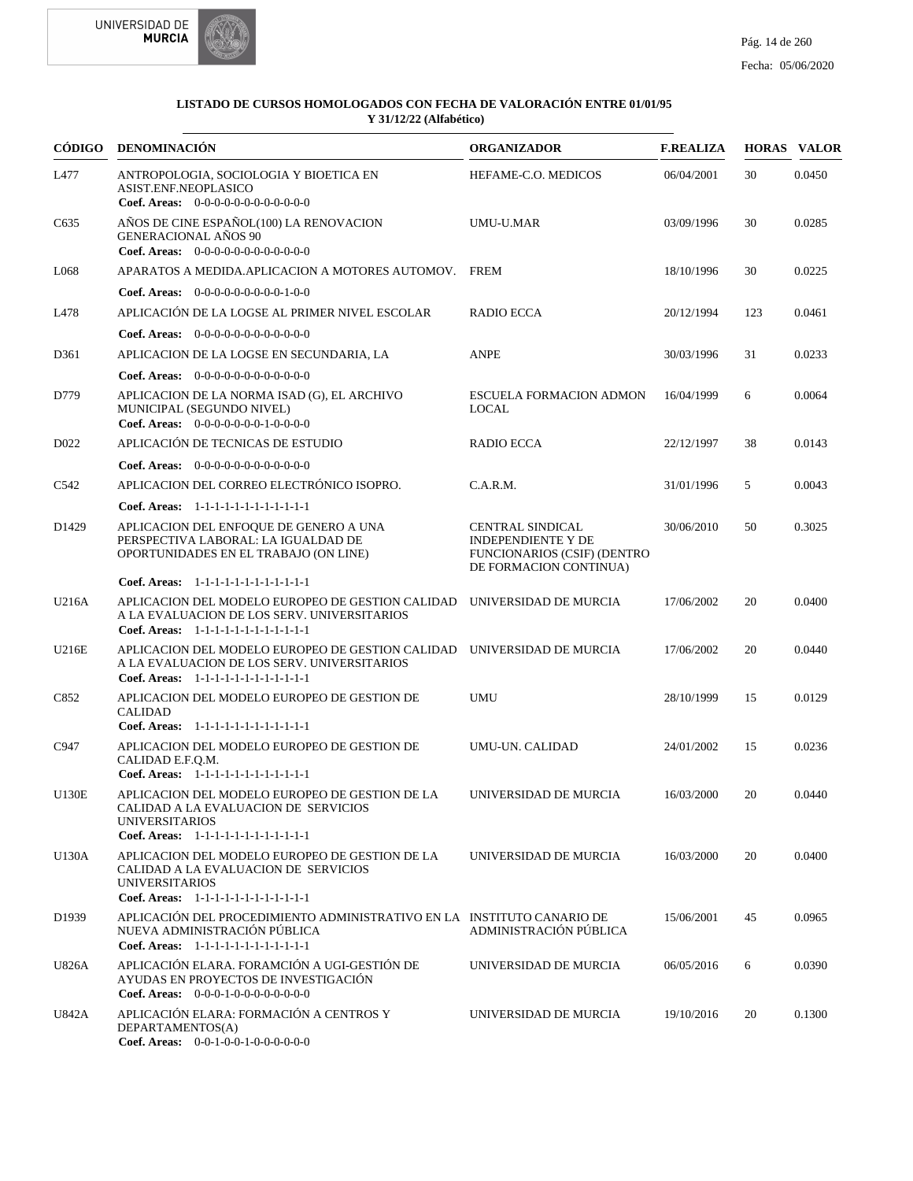



|                   | CÓDIGO DENOMINACIÓN                                                                                                                                             | <b>ORGANIZADOR</b>                                                                                                   | <b>F.REALIZA</b> |     | <b>HORAS VALOR</b> |
|-------------------|-----------------------------------------------------------------------------------------------------------------------------------------------------------------|----------------------------------------------------------------------------------------------------------------------|------------------|-----|--------------------|
| L477              | ANTROPOLOGIA, SOCIOLOGIA Y BIOETICA EN<br>ASIST.ENF.NEOPLASICO<br>Coef. Areas: $0-0-0-0-0-0-0-0-0-0-0$                                                          | HEFAME-C.O. MEDICOS                                                                                                  | 06/04/2001       | 30  | 0.0450             |
| C635              | AÑOS DE CINE ESPAÑOL(100) LA RENOVACION<br>GENERACIONAL AÑOS 90<br><b>Coef. Areas:</b> $0-0-0-0-0-0-0-0-0-0-0-0$                                                | UMU-U.MAR                                                                                                            | 03/09/1996       | 30  | 0.0285             |
| L068              | APARATOS A MEDIDA. APLICACION A MOTORES AUTOMOV. FREM                                                                                                           |                                                                                                                      | 18/10/1996       | 30  | 0.0225             |
|                   | <b>Coef. Areas:</b> $0-0-0-0-0-0-0-0-1-0-0$                                                                                                                     |                                                                                                                      |                  |     |                    |
| L478              | APLICACIÓN DE LA LOGSE AL PRIMER NIVEL ESCOLAR                                                                                                                  | RADIO ECCA                                                                                                           | 20/12/1994       | 123 | 0.0461             |
|                   | Coef. Areas: $0-0-0-0-0-0-0-0-0-0-0$                                                                                                                            |                                                                                                                      |                  |     |                    |
| D361              | APLICACION DE LA LOGSE EN SECUNDARIA, LA                                                                                                                        | <b>ANPE</b>                                                                                                          | 30/03/1996       | 31  | 0.0233             |
|                   | <b>Coef. Areas:</b> $0-0-0-0-0-0-0-0-0-0-0-0$                                                                                                                   |                                                                                                                      |                  |     |                    |
| D779              | APLICACION DE LA NORMA ISAD (G), EL ARCHIVO<br>MUNICIPAL (SEGUNDO NIVEL)<br>Coef. Areas: $0-0-0-0-0-0-1-0-0-0-0$                                                | <b>ESCUELA FORMACION ADMON</b><br><b>LOCAL</b>                                                                       | 16/04/1999       | 6   | 0.0064             |
| D <sub>022</sub>  | APLICACIÓN DE TECNICAS DE ESTUDIO                                                                                                                               | RADIO ECCA                                                                                                           | 22/12/1997       | 38  | 0.0143             |
|                   | Coef. Areas: $0-0-0-0-0-0-0-0-0-0-0-0$                                                                                                                          |                                                                                                                      |                  |     |                    |
| C <sub>542</sub>  | APLICACION DEL CORREO ELECTRÓNICO ISOPRO.                                                                                                                       | C.A.R.M.                                                                                                             | 31/01/1996       | 5   | 0.0043             |
|                   | Coef. Areas: 1-1-1-1-1-1-1-1-1-1-1-1-1                                                                                                                          |                                                                                                                      |                  |     |                    |
| D <sub>1429</sub> | APLICACION DEL ENFOQUE DE GENERO A UNA<br>PERSPECTIVA LABORAL: LA IGUALDAD DE<br>OPORTUNIDADES EN EL TRABAJO (ON LINE)                                          | <b>CENTRAL SINDICAL</b><br><b>INDEPENDIENTE Y DE</b><br><b>FUNCIONARIOS (CSIF) (DENTRO</b><br>DE FORMACION CONTINUA) | 30/06/2010       | 50  | 0.3025             |
|                   | Coef. Areas: $1-1-1-1-1-1-1-1-1-1-1$                                                                                                                            |                                                                                                                      |                  |     |                    |
| U216A             | APLICACION DEL MODELO EUROPEO DE GESTION CALIDAD<br>A LA EVALUACION DE LOS SERV. UNIVERSITARIOS<br>Coef. Areas: $1-1-1-1-1-1-1-1-1-1-1$                         | UNIVERSIDAD DE MURCIA                                                                                                | 17/06/2002       | 20  | 0.0400             |
| U216E             | APLICACION DEL MODELO EUROPEO DE GESTION CALIDAD UNIVERSIDAD DE MURCIA<br>A LA EVALUACION DE LOS SERV. UNIVERSITARIOS<br>Coef. Areas: 1-1-1-1-1-1-1-1-1-1-1-1-1 |                                                                                                                      | 17/06/2002       | 20  | 0.0440             |
| C852              | APLICACION DEL MODELO EUROPEO DE GESTION DE<br><b>CALIDAD</b><br>Coef. Areas: 1-1-1-1-1-1-1-1-1-1-1-1-1                                                         | <b>UMU</b>                                                                                                           | 28/10/1999       | 15  | 0.0129             |
| C947              | APLICACION DEL MODELO EUROPEO DE GESTION DE<br>CALIDAD E.F.Q.M.<br>Coef. Areas: 1-1-1-1-1-1-1-1-1-1-1-1-1                                                       | UMU-UN. CALIDAD                                                                                                      | 24/01/2002       | 15  | 0.0236             |
| <b>U130E</b>      | APLICACION DEL MODELO EUROPEO DE GESTION DE LA<br>CALIDAD A LA EVALUACION DE SERVICIOS<br><b>UNIVERSITARIOS</b><br>Coef. Areas: 1-1-1-1-1-1-1-1-1-1-1-1-1       | UNIVERSIDAD DE MURCIA                                                                                                | 16/03/2000       | 20  | 0.0440             |
| U130A             | APLICACION DEL MODELO EUROPEO DE GESTION DE LA<br>CALIDAD A LA EVALUACION DE SERVICIOS<br><b>UNIVERSITARIOS</b><br>Coef. Areas: 1-1-1-1-1-1-1-1-1-1-1-1-1       | UNIVERSIDAD DE MURCIA                                                                                                | 16/03/2000       | 20  | 0.0400             |
| D <sub>1939</sub> | APLICACIÓN DEL PROCEDIMIENTO ADMINISTRATIVO EN LA INSTITUTO CANARIO DE<br>NUEVA ADMINISTRACIÓN PÚBLICA<br>Coef. Areas: 1-1-1-1-1-1-1-1-1-1-1-1-1                | ADMINISTRACIÓN PÚBLICA                                                                                               | 15/06/2001       | 45  | 0.0965             |
| U826A             | APLICACIÓN ELARA. FORAMCIÓN A UGI-GESTIÓN DE<br>AYUDAS EN PROYECTOS DE INVESTIGACIÓN<br>Coef. Areas: $0-0-0-1-0-0-0-0-0-0-0$                                    | UNIVERSIDAD DE MURCIA                                                                                                | 06/05/2016       | 6   | 0.0390             |
| U842A             | APLICACIÓN ELARA: FORMACIÓN A CENTROS Y<br>DEPARTAMENTOS(A)<br>Coef. Areas: $0-0-1-0-0-1-0-0-0-0-0-0$                                                           | UNIVERSIDAD DE MURCIA                                                                                                | 19/10/2016       | 20  | 0.1300             |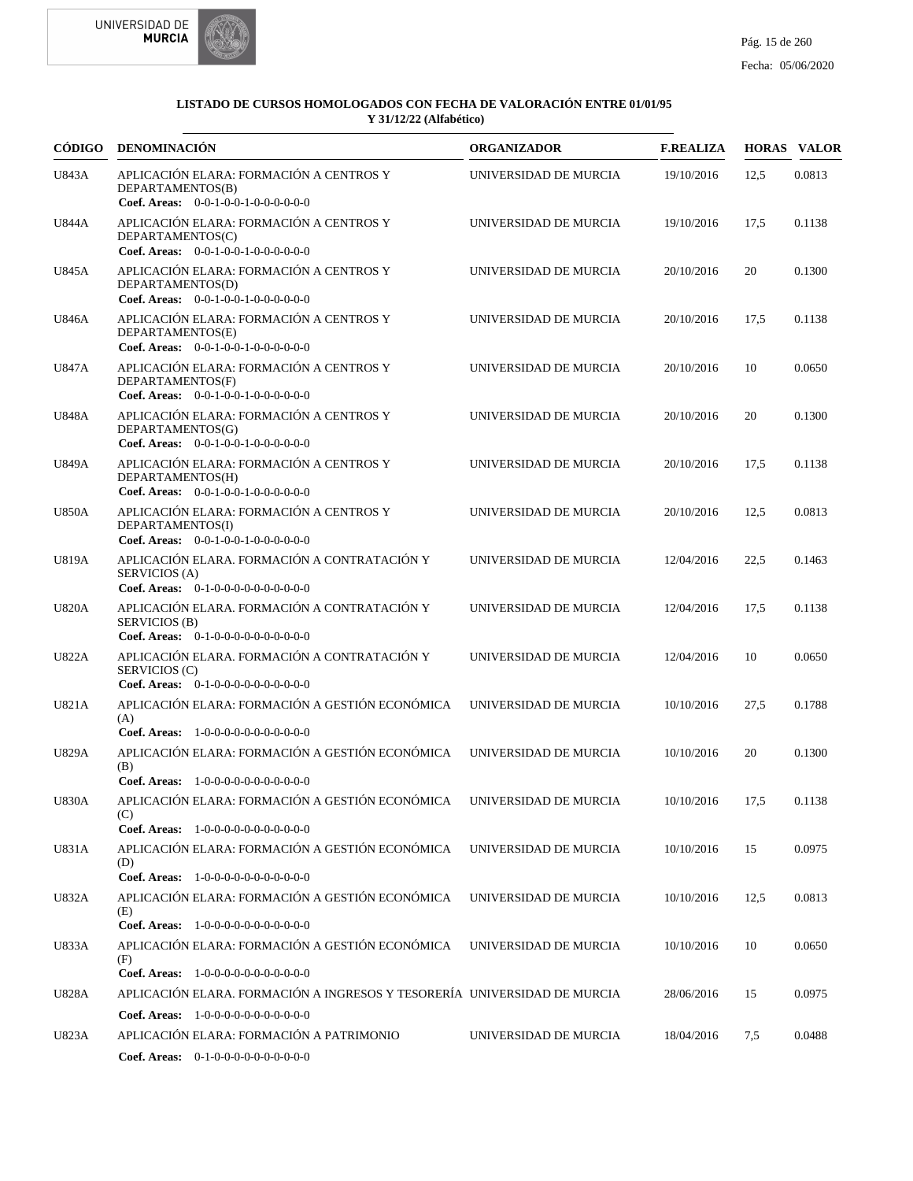



|              | CÓDIGO DENOMINACIÓN                                                                                                      | <b>ORGANIZADOR</b>    | <b>F.REALIZA</b> |      | <b>HORAS VALOR</b> |
|--------------|--------------------------------------------------------------------------------------------------------------------------|-----------------------|------------------|------|--------------------|
| U843A        | APLICACIÓN ELARA: FORMACIÓN A CENTROS Y<br>DEPARTAMENTOS(B)<br>Coef. Areas: $0-0-1-0-0-1-0-0-0-0-0$                      | UNIVERSIDAD DE MURCIA | 19/10/2016       | 12,5 | 0.0813             |
| U844A        | APLICACIÓN ELARA: FORMACIÓN A CENTROS Y<br>DEPARTAMENTOS(C)<br>Coef. Areas: $0-0-1-0-0-1-0-0-0-0-0-0$                    | UNIVERSIDAD DE MURCIA | 19/10/2016       | 17,5 | 0.1138             |
| U845A        | APLICACIÓN ELARA: FORMACIÓN A CENTROS Y<br>DEPARTAMENTOS(D)<br>Coef. Areas: 0-0-1-0-0-1-0-0-0-0-0-0-0                    | UNIVERSIDAD DE MURCIA | 20/10/2016       | 20   | 0.1300             |
| U846A        | APLICACIÓN ELARA: FORMACIÓN A CENTROS Y<br>DEPARTAMENTOS(E)<br>Coef. Areas: 0-0-1-0-0-1-0-0-0-0-0-0-0                    | UNIVERSIDAD DE MURCIA | 20/10/2016       | 17,5 | 0.1138             |
| U847A        | APLICACIÓN ELARA: FORMACIÓN A CENTROS Y<br>DEPARTAMENTOS(F)<br>Coef. Areas: 0-0-1-0-0-1-0-0-0-0-0-0-0                    | UNIVERSIDAD DE MURCIA | 20/10/2016       | 10   | 0.0650             |
| <b>U848A</b> | APLICACIÓN ELARA: FORMACIÓN A CENTROS Y<br>DEPARTAMENTOS(G)<br>Coef. Areas: 0-0-1-0-0-1-0-0-0-0-0-0-0                    | UNIVERSIDAD DE MURCIA | 20/10/2016       | 20   | 0.1300             |
| U849A        | APLICACIÓN ELARA: FORMACIÓN A CENTROS Y<br>DEPARTAMENTOS(H)<br>Coef. Areas: 0-0-1-0-0-1-0-0-0-0-0-0-0                    | UNIVERSIDAD DE MURCIA | 20/10/2016       | 17,5 | 0.1138             |
| <b>U850A</b> | APLICACIÓN ELARA: FORMACIÓN A CENTROS Y<br>DEPARTAMENTOS(I)<br>Coef. Areas: $0-0-1-0-0-1-0-0-0-0-0-0$                    | UNIVERSIDAD DE MURCIA | 20/10/2016       | 12.5 | 0.0813             |
| U819A        | APLICACIÓN ELARA. FORMACIÓN A CONTRATACIÓN Y<br>SERVICIOS (A)<br>Coef. Areas: 0-1-0-0-0-0-0-0-0-0-0-0-0                  | UNIVERSIDAD DE MURCIA | 12/04/2016       | 22,5 | 0.1463             |
| <b>U820A</b> | APLICACIÓN ELARA. FORMACIÓN A CONTRATACIÓN Y<br>SERVICIOS (B)<br>Coef. Areas: 0-1-0-0-0-0-0-0-0-0-0-0-0                  | UNIVERSIDAD DE MURCIA | 12/04/2016       | 17,5 | 0.1138             |
| <b>U822A</b> | APLICACIÓN ELARA. FORMACIÓN A CONTRATACIÓN Y<br>SERVICIOS (C)<br>Coef. Areas: $0-1-0-0-0-0-0-0-0-0-0$                    | UNIVERSIDAD DE MURCIA | 12/04/2016       | 10   | 0.0650             |
| U821A        | APLICACIÓN ELARA: FORMACIÓN A GESTIÓN ECONÓMICA<br>(A)<br>Coef. Areas: 1-0-0-0-0-0-0-0-0-0-0-0-0                         | UNIVERSIDAD DE MURCIA | 10/10/2016       | 27,5 | 0.1788             |
| <b>U829A</b> | APLICACIÓN ELARA: FORMACIÓN A GESTIÓN ECONÓMICA<br>(B)<br>Coef. Areas: 1-0-0-0-0-0-0-0-0-0-0-0-0                         | UNIVERSIDAD DE MURCIA | 10/10/2016       | 20   | 0.1300             |
| <b>U830A</b> | APLICACIÓN ELARA: FORMACIÓN A GESTIÓN ECONÓMICA UNIVERSIDAD DE MURCIA<br>(C)<br>Coef. Areas: $1-0-0-0-0-0-0-0-0-0-0$     |                       | 10/10/2016       | 17,5 | 0.1138             |
| U831A        | APLICACIÓN ELARA: FORMACIÓN A GESTIÓN ECONÓMICA<br>(D)<br>Coef. Areas: 1-0-0-0-0-0-0-0-0-0-0-0-0                         | UNIVERSIDAD DE MURCIA | 10/10/2016       | 15   | 0.0975             |
| U832A        | APLICACIÓN ELARA: FORMACIÓN A GESTIÓN ECONÓMICA<br>(E)<br>Coef. Areas: 1-0-0-0-0-0-0-0-0-0-0-0-0                         | UNIVERSIDAD DE MURCIA | 10/10/2016       | 12,5 | 0.0813             |
| U833A        | APLICACIÓN ELARA: FORMACIÓN A GESTIÓN ECONÓMICA<br>(F)<br>Coef. Areas: 1-0-0-0-0-0-0-0-0-0-0-0-0                         | UNIVERSIDAD DE MURCIA | 10/10/2016       | 10   | 0.0650             |
| U828A        | APLICACIÓN ELARA. FORMACIÓN A INGRESOS Y TESORERÍA UNIVERSIDAD DE MURCIA                                                 |                       | 28/06/2016       | 15   | 0.0975             |
| U823A        | Coef. Areas: 1-0-0-0-0-0-0-0-0-0-0-0<br>APLICACIÓN ELARA: FORMACIÓN A PATRIMONIO<br>Coef. Areas: 0-1-0-0-0-0-0-0-0-0-0-0 | UNIVERSIDAD DE MURCIA | 18/04/2016       | 7,5  | 0.0488             |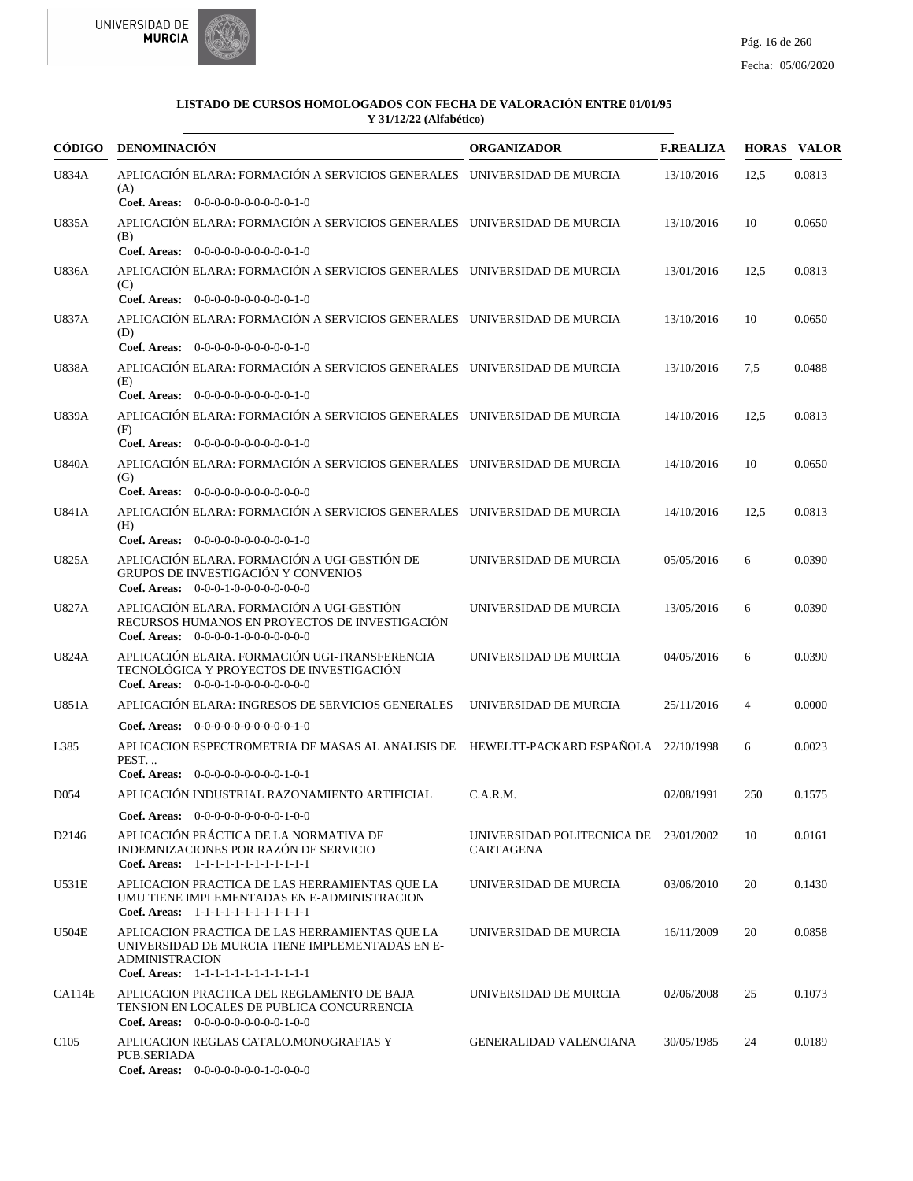



| <b>CÓDIGO</b>    | DENOMINACIÓN                                                                                                                                                         | <b>ORGANIZADOR</b>                                 | <b>F.REALIZA</b> |      | <b>HORAS VALOR</b> |
|------------------|----------------------------------------------------------------------------------------------------------------------------------------------------------------------|----------------------------------------------------|------------------|------|--------------------|
| U834A            | APLICACIÓN ELARA: FORMACIÓN A SERVICIOS GENERALES UNIVERSIDAD DE MURCIA<br>(A)                                                                                       |                                                    | 13/10/2016       | 12.5 | 0.0813             |
| U835A            | Coef. Areas: $0-0-0-0-0-0-0-0-0-1-0$<br>APLICACIÓN ELARA: FORMACIÓN A SERVICIOS GENERALES UNIVERSIDAD DE MURCIA                                                      |                                                    | 13/10/2016       | 10   | 0.0650             |
|                  | (B)<br>Coef. Areas: $0-0-0-0-0-0-0-0-0-1-0$                                                                                                                          |                                                    |                  |      |                    |
| U836A            | APLICACIÓN ELARA: FORMACIÓN A SERVICIOS GENERALES UNIVERSIDAD DE MURCIA<br>(C)                                                                                       |                                                    | 13/01/2016       | 12,5 | 0.0813             |
|                  | Coef. Areas: $0-0-0-0-0-0-0-0-0-0-1-0$                                                                                                                               |                                                    |                  |      |                    |
| <b>U837A</b>     | APLICACIÓN ELARA: FORMACIÓN A SERVICIOS GENERALES UNIVERSIDAD DE MURCIA<br>(D)<br>Coef. Areas: $0-0-0-0-0-0-0-0-0-0-1-0$                                             |                                                    | 13/10/2016       | 10   | 0.0650             |
| <b>U838A</b>     | APLICACIÓN ELARA: FORMACIÓN A SERVICIOS GENERALES UNIVERSIDAD DE MURCIA                                                                                              |                                                    | 13/10/2016       |      | 0.0488             |
|                  | (E)                                                                                                                                                                  |                                                    |                  | 7,5  |                    |
|                  | Coef. Areas: $0-0-0-0-0-0-0-0-0-1-0$                                                                                                                                 |                                                    |                  |      |                    |
| U839A            | APLICACIÓN ELARA: FORMACIÓN A SERVICIOS GENERALES UNIVERSIDAD DE MURCIA<br>(F)                                                                                       |                                                    | 14/10/2016       | 12,5 | 0.0813             |
|                  | Coef. Areas: 0-0-0-0-0-0-0-0-0-0-1-0                                                                                                                                 |                                                    |                  |      |                    |
| <b>U840A</b>     | APLICACIÓN ELARA: FORMACIÓN A SERVICIOS GENERALES UNIVERSIDAD DE MURCIA<br>(G)                                                                                       |                                                    | 14/10/2016       | 10   | 0.0650             |
|                  | Coef. Areas: 0-0-0-0-0-0-0-0-0-0-0-0-0                                                                                                                               |                                                    |                  |      |                    |
| U841A            | APLICACIÓN ELARA: FORMACIÓN A SERVICIOS GENERALES UNIVERSIDAD DE MURCIA<br>(H)<br>Coef. Areas: 0-0-0-0-0-0-0-0-0-0-1-0                                               |                                                    | 14/10/2016       | 12.5 | 0.0813             |
| U825A            | APLICACIÓN ELARA. FORMACIÓN A UGI-GESTIÓN DE                                                                                                                         | UNIVERSIDAD DE MURCIA                              | 05/05/2016       | 6    | 0.0390             |
|                  | GRUPOS DE INVESTIGACIÓN Y CONVENIOS<br>Coef. Areas: $0-0-0-1-0-0-0-0-0-0-0$                                                                                          |                                                    |                  |      |                    |
| U827A            | APLICACIÓN ELARA. FORMACIÓN A UGI-GESTIÓN<br>RECURSOS HUMANOS EN PROYECTOS DE INVESTIGACIÓN<br>Coef. Areas: $0-0-0-0-1-0-0-0-0-0-0$                                  | UNIVERSIDAD DE MURCIA                              | 13/05/2016       | 6    | 0.0390             |
| U824A            | APLICACIÓN ELARA. FORMACIÓN UGI-TRANSFERENCIA<br>TECNOLÓGICA Y PROYECTOS DE INVESTIGACIÓN<br>Coef. Areas: $0-0-0-1-0-0-0-0-0-0-0$                                    | UNIVERSIDAD DE MURCIA                              | 04/05/2016       | 6    | 0.0390             |
| U851A            | APLICACIÓN ELARA: INGRESOS DE SERVICIOS GENERALES                                                                                                                    | UNIVERSIDAD DE MURCIA                              | 25/11/2016       | 4    | 0.0000             |
|                  | Coef. Areas: $0-0-0-0-0-0-0-0-0-0-1-0$                                                                                                                               |                                                    |                  |      |                    |
| L385             | APLICACION ESPECTROMETRIA DE MASAS AL ANALISIS DE HEWELTT-PACKARD ESPAÑOLA 22/10/1998<br>PEST                                                                        |                                                    |                  | 6    | 0.0023             |
|                  | Coef. Areas: 0-0-0-0-0-0-0-0-0-1-0-1                                                                                                                                 |                                                    |                  |      |                    |
| D <sub>054</sub> | APLICACIÓN INDUSTRIAL RAZONAMIENTO ARTIFICIAL                                                                                                                        | C.A.R.M.                                           | 02/08/1991       | 250  | 0.1575             |
|                  | <b>Coef. Areas:</b> $0-0-0-0-0-0-0-0-1-0-0$                                                                                                                          |                                                    |                  |      |                    |
| D2146            | APLICACIÓN PRÁCTICA DE LA NORMATIVA DE<br>INDEMNIZACIONES POR RAZÓN DE SERVICIO<br>Coef. Areas: 1-1-1-1-1-1-1-1-1-1-1-1-1                                            | UNIVERSIDAD POLITECNICA DE 23/01/2002<br>CARTAGENA |                  | 10   | 0.0161             |
| U531E            | APLICACION PRACTICA DE LAS HERRAMIENTAS QUE LA<br>UMU TIENE IMPLEMENTADAS EN E-ADMINISTRACION<br>Coef. Areas: 1-1-1-1-1-1-1-1-1-1-1-1-1                              | UNIVERSIDAD DE MURCIA                              | 03/06/2010       | 20   | 0.1430             |
| U504E            | APLICACION PRACTICA DE LAS HERRAMIENTAS QUE LA<br>UNIVERSIDAD DE MURCIA TIENE IMPLEMENTADAS EN E-<br><b>ADMINISTRACION</b><br>Coef. Areas: 1-1-1-1-1-1-1-1-1-1-1-1-1 | UNIVERSIDAD DE MURCIA                              | 16/11/2009       | 20   | 0.0858             |
| CA114E           | APLICACION PRACTICA DEL REGLAMENTO DE BAJA<br>TENSION EN LOCALES DE PUBLICA CONCURRENCIA<br><b>Coef. Areas:</b> $0-0-0-0-0-0-0-0-1-0-0$                              | UNIVERSIDAD DE MURCIA                              | 02/06/2008       | 25   | 0.1073             |
| C <sub>105</sub> | APLICACION REGLAS CATALO.MONOGRAFIAS Y<br>PUB.SERIADA<br>Coef. Areas: 0-0-0-0-0-0-0-1-0-0-0-0                                                                        | <b>GENERALIDAD VALENCIANA</b>                      | 30/05/1985       | 24   | 0.0189             |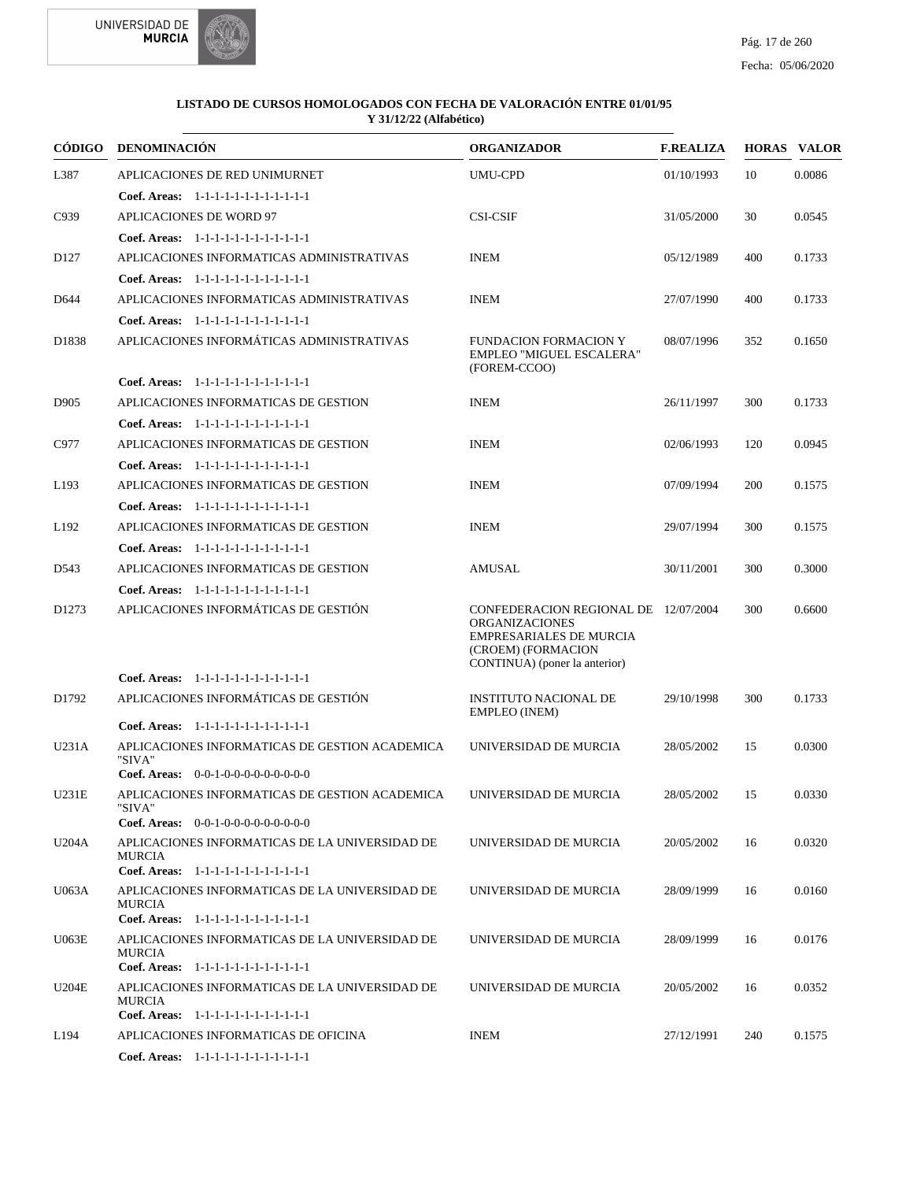

| CÓDIGO            | <b>DENOMINACIÓN</b>                                                                                       | <b>ORGANIZADOR</b>                                                                                                                                     | <b>F.REALIZA</b> |     | <b>HORAS VALOR</b> |
|-------------------|-----------------------------------------------------------------------------------------------------------|--------------------------------------------------------------------------------------------------------------------------------------------------------|------------------|-----|--------------------|
| L387              | APLICACIONES DE RED UNIMURNET                                                                             | <b>UMU-CPD</b>                                                                                                                                         | 01/10/1993       | 10  | 0.0086             |
|                   | Coef. Areas: $1-1-1-1-1-1-1-1-1-1-1$                                                                      |                                                                                                                                                        |                  |     |                    |
| C939              | APLICACIONES DE WORD 97                                                                                   | <b>CSI-CSIF</b>                                                                                                                                        | 31/05/2000       | 30  | 0.0545             |
|                   | Coef. Areas: 1-1-1-1-1-1-1-1-1-1-1-1-1                                                                    |                                                                                                                                                        |                  |     |                    |
| D <sub>127</sub>  | APLICACIONES INFORMATICAS ADMINISTRATIVAS                                                                 | <b>INEM</b>                                                                                                                                            | 05/12/1989       | 400 | 0.1733             |
|                   | Coef. Areas: 1-1-1-1-1-1-1-1-1-1-1-1-1                                                                    |                                                                                                                                                        |                  |     |                    |
| D644              | APLICACIONES INFORMATICAS ADMINISTRATIVAS                                                                 | <b>INEM</b>                                                                                                                                            | 27/07/1990       | 400 | 0.1733             |
|                   | Coef. Areas: 1-1-1-1-1-1-1-1-1-1-1-1-1                                                                    |                                                                                                                                                        |                  |     |                    |
| D1838             | APLICACIONES INFORMÁTICAS ADMINISTRATIVAS                                                                 | <b>FUNDACION FORMACION Y</b><br>EMPLEO "MIGUEL ESCALERA"<br>(FOREM-CCOO)                                                                               | 08/07/1996       | 352 | 0.1650             |
|                   | Coef. Areas: 1-1-1-1-1-1-1-1-1-1-1-1-1                                                                    |                                                                                                                                                        |                  |     |                    |
| D905              | APLICACIONES INFORMATICAS DE GESTION                                                                      | <b>INEM</b>                                                                                                                                            | 26/11/1997       | 300 | 0.1733             |
|                   | Coef. Areas: 1-1-1-1-1-1-1-1-1-1-1-1-1                                                                    |                                                                                                                                                        |                  |     |                    |
| C977              | APLICACIONES INFORMATICAS DE GESTION                                                                      | <b>INEM</b>                                                                                                                                            | 02/06/1993       | 120 | 0.0945             |
|                   | Coef. Areas: 1-1-1-1-1-1-1-1-1-1-1-1-1                                                                    |                                                                                                                                                        |                  |     |                    |
| L <sub>193</sub>  | APLICACIONES INFORMATICAS DE GESTION                                                                      | <b>INEM</b>                                                                                                                                            | 07/09/1994       | 200 | 0.1575             |
|                   | Coef. Areas: 1-1-1-1-1-1-1-1-1-1-1-1-1                                                                    |                                                                                                                                                        |                  |     |                    |
| L <sub>192</sub>  | APLICACIONES INFORMATICAS DE GESTION                                                                      | <b>INEM</b>                                                                                                                                            | 29/07/1994       | 300 | 0.1575             |
|                   | Coef. Areas: 1-1-1-1-1-1-1-1-1-1-1-1-1                                                                    |                                                                                                                                                        |                  |     |                    |
| D543              | APLICACIONES INFORMATICAS DE GESTION                                                                      | AMUSAL                                                                                                                                                 | 30/11/2001       | 300 | 0.3000             |
|                   | Coef. Areas: $1-1-1-1-1-1-1-1-1-1-1$                                                                      |                                                                                                                                                        |                  |     |                    |
| D <sub>1273</sub> | APLICACIONES INFORMÁTICAS DE GESTIÓN                                                                      | CONFEDERACION REGIONAL DE 12/07/2004<br><b>ORGANIZACIONES</b><br><b>EMPRESARIALES DE MURCIA</b><br>(CROEM) (FORMACION<br>CONTINUA) (poner la anterior) |                  | 300 | 0.6600             |
|                   | Coef. Areas: 1-1-1-1-1-1-1-1-1-1-1-1-1                                                                    |                                                                                                                                                        |                  |     |                    |
| D1792             | APLICACIONES INFORMÁTICAS DE GESTIÓN                                                                      | <b>INSTITUTO NACIONAL DE</b><br>EMPLEO (INEM)                                                                                                          | 29/10/1998       | 300 | 0.1733             |
|                   | Coef. Areas: 1-1-1-1-1-1-1-1-1-1-1-1-1                                                                    |                                                                                                                                                        |                  |     |                    |
| U231A             | APLICACIONES INFORMATICAS DE GESTION ACADEMICA<br>"SIVA"                                                  | UNIVERSIDAD DE MURCIA                                                                                                                                  | 28/05/2002       | 15  | 0.0300             |
|                   | <b>Coef. Areas:</b> $0-0-1-0-0-0-0-0-0-0-0-0$                                                             |                                                                                                                                                        |                  |     |                    |
| U231E             | APLICACIONES INFORMATICAS DE GESTION ACADEMICA<br>"SIVA"                                                  | UNIVERSIDAD DE MURCIA                                                                                                                                  | 28/05/2002       | 15  | 0.0330             |
|                   | <b>Coef. Areas:</b> $0-0-1-0-0-0-0-0-0-0-0-0$                                                             |                                                                                                                                                        |                  |     |                    |
| U204A             | APLICACIONES INFORMATICAS DE LA UNIVERSIDAD DE<br><b>MURCIA</b><br>Coef. Areas: 1-1-1-1-1-1-1-1-1-1-1-1-1 | UNIVERSIDAD DE MURCIA                                                                                                                                  | 20/05/2002       | 16  | 0.0320             |
| U063A             | APLICACIONES INFORMATICAS DE LA UNIVERSIDAD DE                                                            | UNIVERSIDAD DE MURCIA                                                                                                                                  | 28/09/1999       | 16  | 0.0160             |
|                   | <b>MURCIA</b><br>Coef. Areas: 1-1-1-1-1-1-1-1-1-1-1-1-1                                                   |                                                                                                                                                        |                  |     |                    |
| U063E             | APLICACIONES INFORMATICAS DE LA UNIVERSIDAD DE<br><b>MURCIA</b>                                           | UNIVERSIDAD DE MURCIA                                                                                                                                  | 28/09/1999       | 16  | 0.0176             |
|                   | Coef. Areas: 1-1-1-1-1-1-1-1-1-1-1-1-1                                                                    |                                                                                                                                                        |                  |     |                    |
| U204E             | APLICACIONES INFORMATICAS DE LA UNIVERSIDAD DE<br>MURCIA<br>Coef. Areas: 1-1-1-1-1-1-1-1-1-1-1-1-1        | UNIVERSIDAD DE MURCIA                                                                                                                                  | 20/05/2002       | 16  | 0.0352             |
| L194              | APLICACIONES INFORMATICAS DE OFICINA                                                                      | <b>INEM</b>                                                                                                                                            | 27/12/1991       | 240 | 0.1575             |
|                   | Coef. Areas: 1-1-1-1-1-1-1-1-1-1-1-1-1                                                                    |                                                                                                                                                        |                  |     |                    |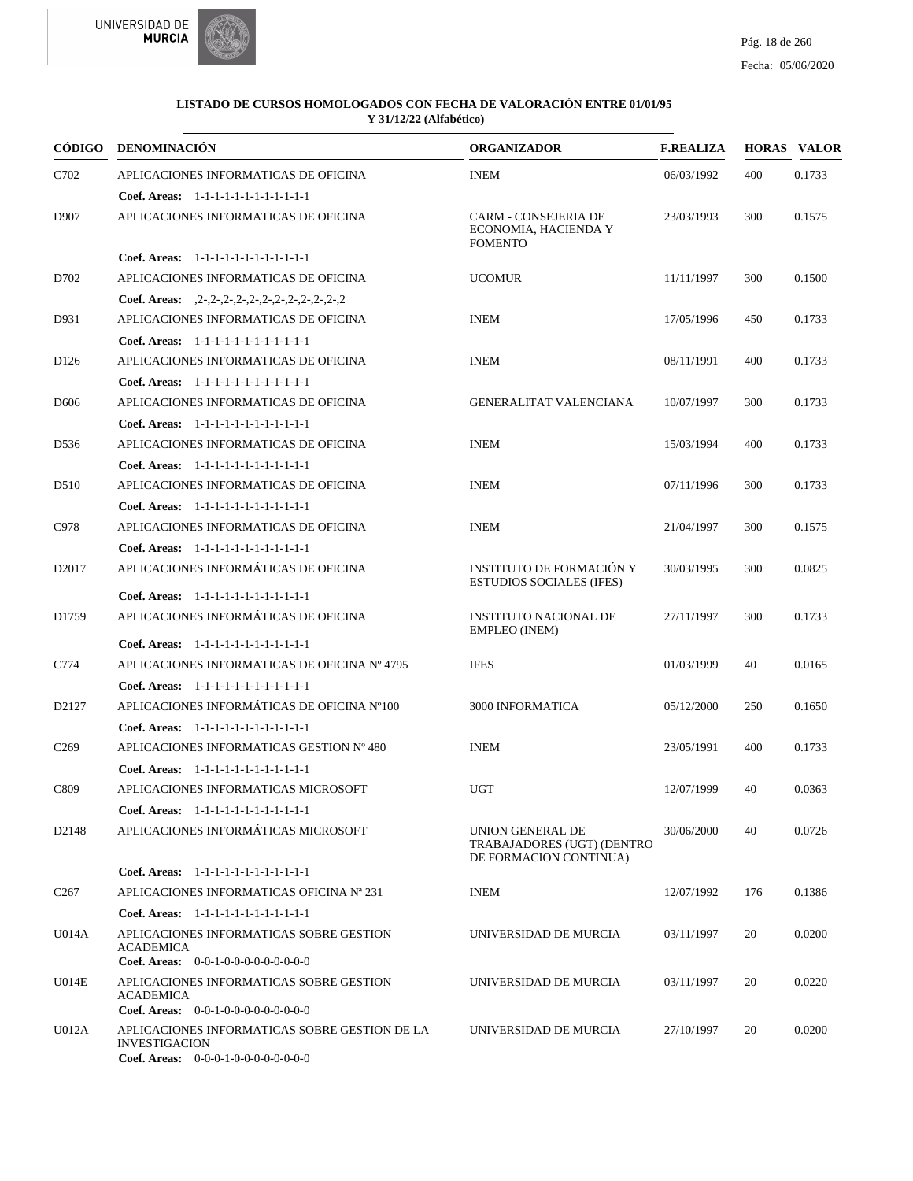



| CÓDIGO            | DENOMINACIÓN                                                                                                    | <b>ORGANIZADOR</b>                                                       | <b>F.REALIZA</b> |     | <b>HORAS VALOR</b> |
|-------------------|-----------------------------------------------------------------------------------------------------------------|--------------------------------------------------------------------------|------------------|-----|--------------------|
| C702              | APLICACIONES INFORMATICAS DE OFICINA                                                                            | <b>INEM</b>                                                              | 06/03/1992       | 400 | 0.1733             |
|                   | Coef. Areas: $1-1-1-1-1-1-1-1-1-1-1$                                                                            |                                                                          |                  |     |                    |
| D907              | APLICACIONES INFORMATICAS DE OFICINA                                                                            | CARM - CONSEJERIA DE<br>ECONOMIA, HACIENDA Y<br><b>FOMENTO</b>           | 23/03/1993       | 300 | 0.1575             |
|                   | Coef. Areas: 1-1-1-1-1-1-1-1-1-1-1-1-1                                                                          |                                                                          |                  |     |                    |
| D702              | APLICACIONES INFORMATICAS DE OFICINA                                                                            | <b>UCOMUR</b>                                                            | 11/11/1997       | 300 | 0.1500             |
|                   | Coef. Areas: $2-2-2-2-2-2-2-2-2-2-2-2-2$                                                                        |                                                                          |                  |     |                    |
| D931              | APLICACIONES INFORMATICAS DE OFICINA                                                                            | <b>INEM</b>                                                              | 17/05/1996       | 450 | 0.1733             |
|                   | Coef. Areas: 1-1-1-1-1-1-1-1-1-1-1-1-1                                                                          |                                                                          |                  |     |                    |
| D <sub>126</sub>  | APLICACIONES INFORMATICAS DE OFICINA                                                                            | <b>INEM</b>                                                              | 08/11/1991       | 400 | 0.1733             |
|                   | Coef. Areas: 1-1-1-1-1-1-1-1-1-1-1-1-1                                                                          |                                                                          |                  |     |                    |
| D <sub>6</sub> 06 | APLICACIONES INFORMATICAS DE OFICINA                                                                            | <b>GENERALITAT VALENCIANA</b>                                            | 10/07/1997       | 300 | 0.1733             |
|                   | Coef. Areas: 1-1-1-1-1-1-1-1-1-1-1-1-1                                                                          |                                                                          |                  |     |                    |
| D536              | APLICACIONES INFORMATICAS DE OFICINA                                                                            | <b>INEM</b>                                                              | 15/03/1994       | 400 | 0.1733             |
|                   | Coef. Areas: $1-1-1-1-1-1-1-1-1-1-1$                                                                            |                                                                          |                  |     |                    |
| D510              | APLICACIONES INFORMATICAS DE OFICINA                                                                            | <b>INEM</b>                                                              | 07/11/1996       | 300 | 0.1733             |
|                   | Coef. Areas: 1-1-1-1-1-1-1-1-1-1-1-1-1                                                                          |                                                                          |                  |     |                    |
| C978              | APLICACIONES INFORMATICAS DE OFICINA                                                                            | <b>INEM</b>                                                              | 21/04/1997       | 300 | 0.1575             |
|                   | Coef. Areas: 1-1-1-1-1-1-1-1-1-1-1-1-1                                                                          |                                                                          |                  |     |                    |
| D <sub>2017</sub> | APLICACIONES INFORMÁTICAS DE OFICINA                                                                            | INSTITUTO DE FORMACIÓN Y<br><b>ESTUDIOS SOCIALES (IFES)</b>              | 30/03/1995       | 300 | 0.0825             |
|                   | Coef. Areas: 1-1-1-1-1-1-1-1-1-1-1-1-1                                                                          |                                                                          |                  |     |                    |
| D <sub>1759</sub> | APLICACIONES INFORMÁTICAS DE OFICINA                                                                            | <b>INSTITUTO NACIONAL DE</b><br><b>EMPLEO</b> (INEM)                     | 27/11/1997       | 300 | 0.1733             |
|                   | Coef. Areas: 1-1-1-1-1-1-1-1-1-1-1-1-1                                                                          |                                                                          |                  |     |                    |
| C774              | APLICACIONES INFORMATICAS DE OFICINA Nº 4795                                                                    | <b>IFES</b>                                                              | 01/03/1999       | 40  | 0.0165             |
|                   | Coef. Areas: 1-1-1-1-1-1-1-1-1-1-1-1-1                                                                          |                                                                          |                  |     |                    |
| D2127             | APLICACIONES INFORMÁTICAS DE OFICINA Nº100                                                                      | 3000 INFORMATICA                                                         | 05/12/2000       | 250 | 0.1650             |
|                   | Coef. Areas: 1-1-1-1-1-1-1-1-1-1-1-1-1                                                                          |                                                                          |                  |     |                    |
| C <sub>269</sub>  | APLICACIONES INFORMATICAS GESTION Nº 480                                                                        | <b>INEM</b>                                                              | 23/05/1991       | 400 | 0.1733             |
|                   | Coef. Areas: 1-1-1-1-1-1-1-1-1-1-1-1-1                                                                          |                                                                          |                  |     |                    |
| C809              | APLICACIONES INFORMATICAS MICROSOFT                                                                             | <b>UGT</b>                                                               | 12/07/1999       | 40  | 0.0363             |
|                   | Coef. Areas: 1-1-1-1-1-1-1-1-1-1-1-1-1                                                                          |                                                                          |                  |     |                    |
| D <sub>2148</sub> | APLICACIONES INFORMÁTICAS MICROSOFT                                                                             | UNION GENERAL DE<br>TRABAJADORES (UGT) (DENTRO<br>DE FORMACION CONTINUA) | 30/06/2000       | 40  | 0.0726             |
|                   | Coef. Areas: 1-1-1-1-1-1-1-1-1-1-1-1-1                                                                          |                                                                          |                  |     |                    |
| C <sub>267</sub>  | APLICACIONES INFORMATICAS OFICINA Nª 231                                                                        | <b>INEM</b>                                                              | 12/07/1992       | 176 | 0.1386             |
|                   | Coef. Areas: 1-1-1-1-1-1-1-1-1-1-1-1-1                                                                          |                                                                          |                  |     |                    |
| U014A             | APLICACIONES INFORMATICAS SOBRE GESTION<br>ACADEMICA<br>Coef. Areas: 0-0-1-0-0-0-0-0-0-0-0-0                    | UNIVERSIDAD DE MURCIA                                                    | 03/11/1997       | 20  | 0.0200             |
| U014E             | APLICACIONES INFORMATICAS SOBRE GESTION                                                                         | UNIVERSIDAD DE MURCIA                                                    | 03/11/1997       | 20  | 0.0220             |
|                   | <b>ACADEMICA</b><br>Coef. Areas: 0-0-1-0-0-0-0-0-0-0-0-0-0                                                      |                                                                          |                  |     |                    |
| U012A             | APLICACIONES INFORMATICAS SOBRE GESTION DE LA<br><b>INVESTIGACION</b><br>Coef. Areas: 0-0-0-1-0-0-0-0-0-0-0-0-0 | UNIVERSIDAD DE MURCIA                                                    | 27/10/1997       | 20  | 0.0200             |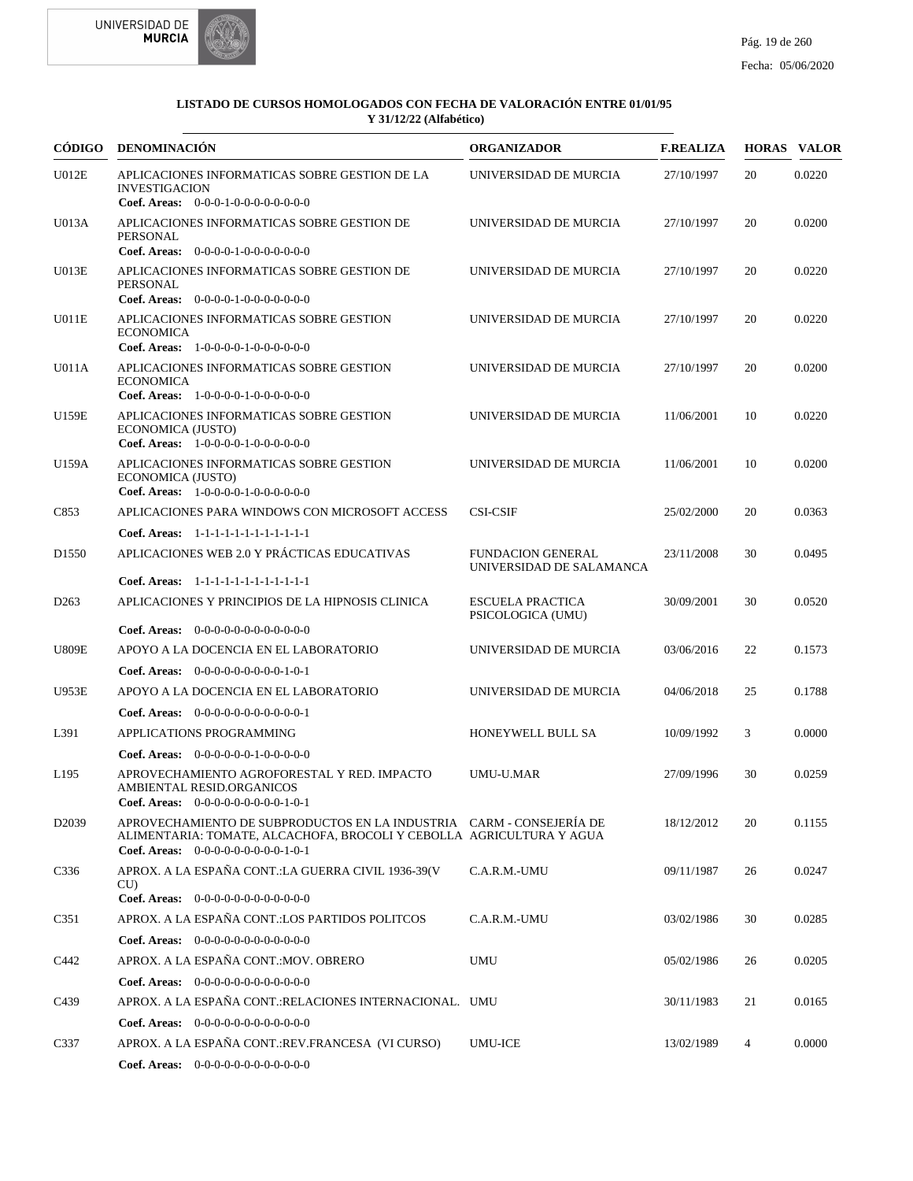



|                    | CÓDIGO DENOMINACIÓN                                                                                                                                                                  | <b>ORGANIZADOR</b>                                   | <b>F.REALIZA</b> |    | <b>HORAS VALOR</b> |
|--------------------|--------------------------------------------------------------------------------------------------------------------------------------------------------------------------------------|------------------------------------------------------|------------------|----|--------------------|
| U012E              | APLICACIONES INFORMATICAS SOBRE GESTION DE LA<br><b>INVESTIGACION</b><br>Coef. Areas: $0-0-0-1-0-0-0-0-0-0-0$                                                                        | UNIVERSIDAD DE MURCIA                                | 27/10/1997       | 20 | 0.0220             |
| U013A              | APLICACIONES INFORMATICAS SOBRE GESTION DE<br><b>PERSONAL</b><br>Coef. Areas: $0-0-0-0-1-0-0-0-0-0-0$                                                                                | UNIVERSIDAD DE MURCIA                                | 27/10/1997       | 20 | 0.0200             |
| U013E              | APLICACIONES INFORMATICAS SOBRE GESTION DE<br>PERSONAL<br>Coef. Areas: 0-0-0-0-1-0-0-0-0-0-0-0                                                                                       | UNIVERSIDAD DE MURCIA                                | 27/10/1997       | 20 | 0.0220             |
| U011E              | APLICACIONES INFORMATICAS SOBRE GESTION<br><b>ECONOMICA</b><br>Coef. Areas: 1-0-0-0-0-1-0-0-0-0-0-0                                                                                  | UNIVERSIDAD DE MURCIA                                | 27/10/1997       | 20 | 0.0220             |
| U011A              | APLICACIONES INFORMATICAS SOBRE GESTION<br><b>ECONOMICA</b><br>Coef. Areas: 1-0-0-0-0-1-0-0-0-0-0-0                                                                                  | UNIVERSIDAD DE MURCIA                                | 27/10/1997       | 20 | 0.0200             |
| U159E              | APLICACIONES INFORMATICAS SOBRE GESTION<br>ECONOMICA (JUSTO)<br>Coef. Areas: $1-0-0-0-1-0-0-0-0-0-0$                                                                                 | UNIVERSIDAD DE MURCIA                                | 11/06/2001       | 10 | 0.0220             |
| U159A              | APLICACIONES INFORMATICAS SOBRE GESTION<br>ECONOMICA (JUSTO)<br>Coef. Areas: $1-0-0-0-1-0-0-0-0-0-0$                                                                                 | UNIVERSIDAD DE MURCIA                                | 11/06/2001       | 10 | 0.0200             |
| C853               | APLICACIONES PARA WINDOWS CON MICROSOFT ACCESS                                                                                                                                       | <b>CSI-CSIF</b>                                      | 25/02/2000       | 20 | 0.0363             |
|                    | Coef. Areas: 1-1-1-1-1-1-1-1-1-1-1-1-1                                                                                                                                               |                                                      |                  |    |                    |
| D <sub>1550</sub>  | APLICACIONES WEB 2.0 Y PRÁCTICAS EDUCATIVAS                                                                                                                                          | <b>FUNDACION GENERAL</b><br>UNIVERSIDAD DE SALAMANCA | 23/11/2008       | 30 | 0.0495             |
|                    | Coef. Areas: $1-1-1-1-1-1-1-1-1-1-1$                                                                                                                                                 |                                                      |                  |    |                    |
| D <sub>263</sub>   | APLICACIONES Y PRINCIPIOS DE LA HIPNOSIS CLINICA<br><b>Coef. Areas:</b> $0-0-0-0-0-0-0-0-0-0-0-0$                                                                                    | <b>ESCUELA PRACTICA</b><br>PSICOLOGICA (UMU)         | 30/09/2001       | 30 | 0.0520             |
| <b>U809E</b>       | APOYO A LA DOCENCIA EN EL LABORATORIO                                                                                                                                                | UNIVERSIDAD DE MURCIA                                | 03/06/2016       | 22 | 0.1573             |
|                    | <b>Coef. Areas:</b> $0-0-0-0-0-0-0-0-1-0-1$                                                                                                                                          |                                                      |                  |    |                    |
| <b>U953E</b>       | APOYO A LA DOCENCIA EN EL LABORATORIO                                                                                                                                                | UNIVERSIDAD DE MURCIA                                | 04/06/2018       | 25 | 0.1788             |
|                    | <b>Coef. Areas:</b> $0-0-0-0-0-0-0-0-0-0-0-1$                                                                                                                                        |                                                      |                  |    |                    |
| L391               | APPLICATIONS PROGRAMMING                                                                                                                                                             | HONEYWELL BULL SA                                    | 10/09/1992       | 3  | 0.0000             |
|                    | <b>Coef. Areas:</b> $0-0-0-0-0-1-0-0-0-0-0$                                                                                                                                          |                                                      |                  |    |                    |
| L <sub>195</sub>   | APROVECHAMIENTO AGROFORESTAL Y RED. IMPACTO<br>AMBIENTAL RESID.ORGANICOS<br><b>Coef. Areas:</b> $0-0-0-0-0-0-0-0-1-0-1$                                                              | <b>UMU-U.MAR</b>                                     | 27/09/1996       | 30 | 0.0259             |
| D <sub>20</sub> 39 | APROVECHAMIENTO DE SUBPRODUCTOS EN LA INDUSTRIA CARM - CONSEJERÍA DE<br>ALIMENTARIA: TOMATE, ALCACHOFA, BROCOLI Y CEBOLLA AGRICULTURA Y AGUA<br>Coef. Areas: $0-0-0-0-0-0-0-0-1-0-1$ |                                                      | 18/12/2012       | 20 | 0.1155             |
| C336               | APROX. A LA ESPAÑA CONT.: LA GUERRA CIVIL 1936-39(V<br>CU)<br>Coef. Areas: 0-0-0-0-0-0-0-0-0-0-0-0-0                                                                                 | C.A.R.M.-UMU                                         | 09/11/1987       | 26 | 0.0247             |
| C351               | APROX. A LA ESPAÑA CONT.:LOS PARTIDOS POLITCOS                                                                                                                                       | C.A.R.M.-UMU                                         | 03/02/1986       | 30 | 0.0285             |
|                    | Coef. Areas: $0-0-0-0-0-0-0-0-0-0-0$                                                                                                                                                 |                                                      |                  |    |                    |
| C442               | APROX. A LA ESPAÑA CONT.: MOV. OBRERO                                                                                                                                                | UMU                                                  | 05/02/1986       | 26 | 0.0205             |
|                    | Coef. Areas: $0-0-0-0-0-0-0-0-0-0-0-0$                                                                                                                                               |                                                      |                  |    |                    |
| C439               | APROX. A LA ESPAÑA CONT.:RELACIONES INTERNACIONAL. UMU                                                                                                                               |                                                      | 30/11/1983       | 21 | 0.0165             |
|                    | Coef. Areas: $0-0-0-0-0-0-0-0-0-0-0$                                                                                                                                                 |                                                      |                  |    |                    |
| C337               | APROX. A LA ESPAÑA CONT.:REV.FRANCESA (VI CURSO)                                                                                                                                     | UMU-ICE                                              | 13/02/1989       | 4  | 0.0000             |
|                    | Coef. Areas: 0-0-0-0-0-0-0-0-0-0-0-0-0                                                                                                                                               |                                                      |                  |    |                    |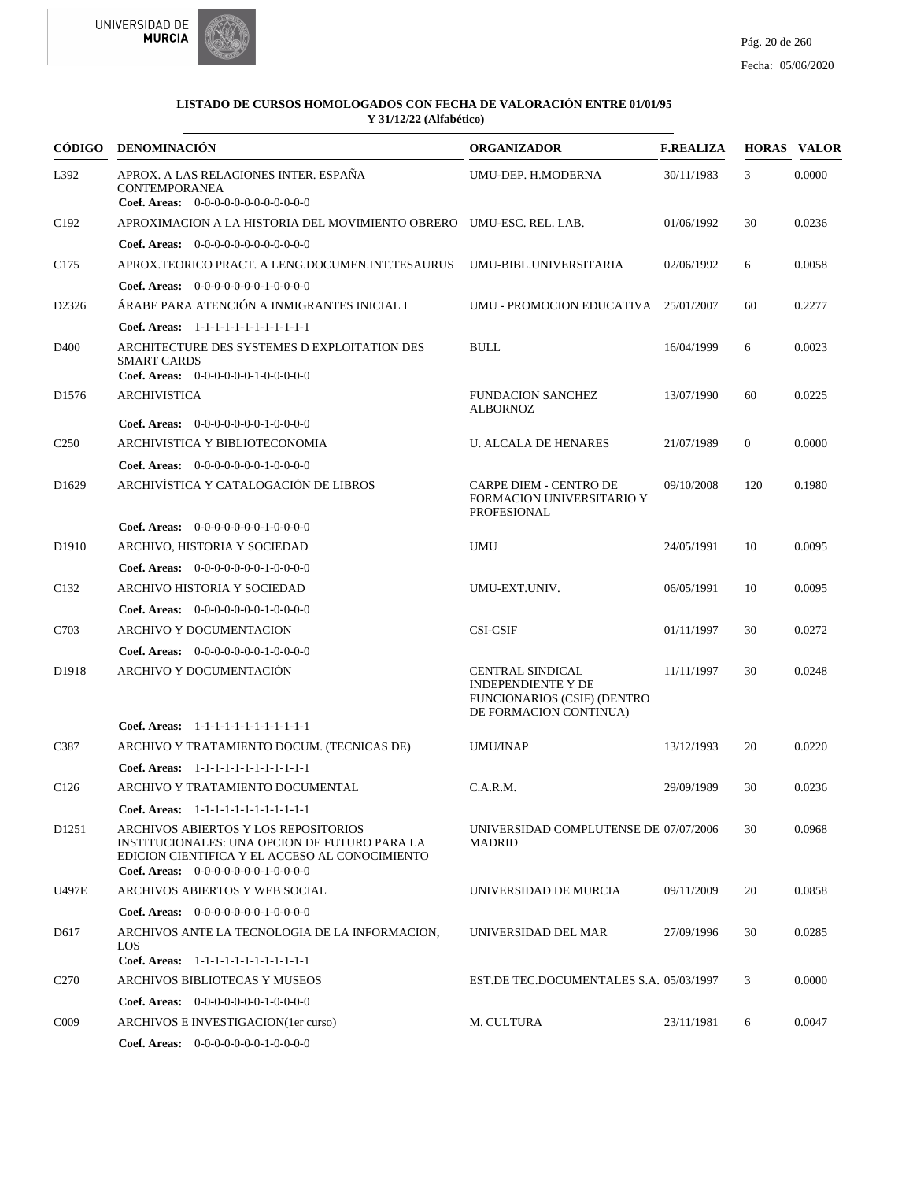



| CÓDIGO            | <b>DENOMINACIÓN</b>                                                                                                                                                             | <b>ORGANIZADOR</b>                                                                                                   | <b>F.REALIZA</b> |                | <b>HORAS VALOR</b> |
|-------------------|---------------------------------------------------------------------------------------------------------------------------------------------------------------------------------|----------------------------------------------------------------------------------------------------------------------|------------------|----------------|--------------------|
| L392              | APROX. A LAS RELACIONES INTER. ESPAÑA<br><b>CONTEMPORANEA</b><br><b>Coef. Areas:</b> $0-0-0-0-0-0-0-0-0-0-0-0$                                                                  | UMU-DEP. H.MODERNA                                                                                                   | 30/11/1983       | 3              | 0.0000             |
| C <sub>192</sub>  | APROXIMACION A LA HISTORIA DEL MOVIMIENTO OBRERO UMU-ESC. REL. LAB.                                                                                                             |                                                                                                                      | 01/06/1992       | 30             | 0.0236             |
|                   | <b>Coef. Areas:</b> $0-0-0-0-0-0-0-0-0-0-0-0$                                                                                                                                   |                                                                                                                      |                  |                |                    |
| C <sub>175</sub>  | APROX.TEORICO PRACT. A LENG.DOCUMEN.INT.TESAURUS                                                                                                                                | UMU-BIBL.UNIVERSITARIA                                                                                               | 02/06/1992       | 6              | 0.0058             |
|                   | Coef. Areas: $0-0-0-0-0-0-1-0-0-0-0$                                                                                                                                            |                                                                                                                      |                  |                |                    |
| D <sub>2326</sub> | ÁRABE PARA ATENCIÓN A INMIGRANTES INICIAL I                                                                                                                                     | UMU - PROMOCION EDUCATIVA                                                                                            | 25/01/2007       | 60             | 0.2277             |
|                   | Coef. Areas: 1-1-1-1-1-1-1-1-1-1-1-1-1                                                                                                                                          |                                                                                                                      |                  |                |                    |
| D <sub>400</sub>  | ARCHITECTURE DES SYSTEMES D EXPLOITATION DES<br><b>SMART CARDS</b><br>Coef. Areas: $0-0-0-0-0-1-0-0-0-0-0$                                                                      | <b>BULL</b>                                                                                                          | 16/04/1999       | 6              | 0.0023             |
| D <sub>1576</sub> | <b>ARCHIVISTICA</b>                                                                                                                                                             | <b>FUNDACION SANCHEZ</b>                                                                                             | 13/07/1990       | 60             | 0.0225             |
|                   | <b>Coef. Areas:</b> $0-0-0-0-0-0-1-0-0-0-0$                                                                                                                                     | <b>ALBORNOZ</b>                                                                                                      |                  |                |                    |
| C <sub>250</sub>  | ARCHIVISTICA Y BIBLIOTECONOMIA                                                                                                                                                  | <b>U. ALCALA DE HENARES</b>                                                                                          | 21/07/1989       | $\overline{0}$ | 0.0000             |
|                   | Coef. Areas: $0-0-0-0-0-0-1-0-0-0-0$                                                                                                                                            |                                                                                                                      |                  |                |                    |
| D <sub>1629</sub> | ARCHIVÍSTICA Y CATALOGACIÓN DE LIBROS                                                                                                                                           | <b>CARPE DIEM - CENTRO DE</b><br>FORMACION UNIVERSITARIO Y<br>PROFESIONAL                                            | 09/10/2008       | 120            | 0.1980             |
|                   | <b>Coef. Areas:</b> $0-0-0-0-0-0-1-0-0-0-0$                                                                                                                                     |                                                                                                                      |                  |                |                    |
| D <sub>1910</sub> | ARCHIVO, HISTORIA Y SOCIEDAD                                                                                                                                                    | UMU                                                                                                                  | 24/05/1991       | 10             | 0.0095             |
|                   | Coef. Areas: $0-0-0-0-0-0-1-0-0-0-0$                                                                                                                                            |                                                                                                                      |                  |                |                    |
| C <sub>132</sub>  | ARCHIVO HISTORIA Y SOCIEDAD                                                                                                                                                     | UMU-EXT.UNIV.                                                                                                        | 06/05/1991       | 10             | 0.0095             |
|                   | <b>Coef. Areas:</b> $0-0-0-0-0-0-1-0-0-0-0$                                                                                                                                     |                                                                                                                      |                  |                |                    |
| C703              | ARCHIVO Y DOCUMENTACION                                                                                                                                                         | <b>CSI-CSIF</b>                                                                                                      | 01/11/1997       | 30             | 0.0272             |
|                   | Coef. Areas: $0-0-0-0-0-0-1-0-0-0-0$                                                                                                                                            |                                                                                                                      |                  |                |                    |
| D1918             | ARCHIVO Y DOCUMENTACIÓN                                                                                                                                                         | <b>CENTRAL SINDICAL</b><br><b>INDEPENDIENTE Y DE</b><br><b>FUNCIONARIOS (CSIF) (DENTRO</b><br>DE FORMACION CONTINUA) | 11/11/1997       | 30             | 0.0248             |
|                   | Coef. Areas: 1-1-1-1-1-1-1-1-1-1-1-1-1                                                                                                                                          |                                                                                                                      |                  |                |                    |
| C387              | ARCHIVO Y TRATAMIENTO DOCUM. (TECNICAS DE)                                                                                                                                      | UMU/INAP                                                                                                             | 13/12/1993       | 20             | 0.0220             |
|                   | Coef. Areas: 1-1-1-1-1-1-1-1-1-1-1-1-1                                                                                                                                          |                                                                                                                      |                  |                |                    |
| C <sub>126</sub>  | ARCHIVO Y TRATAMIENTO DOCUMENTAL                                                                                                                                                | C.A.R.M.                                                                                                             | 29/09/1989       | 30             | 0.0236             |
|                   | Coef. Areas: 1-1-1-1-1-1-1-1-1-1-1-1-1                                                                                                                                          |                                                                                                                      |                  |                |                    |
| D <sub>1251</sub> | ARCHIVOS ABIERTOS Y LOS REPOSITORIOS<br>INSTITUCIONALES: UNA OPCION DE FUTURO PARA LA<br>EDICION CIENTIFICA Y EL ACCESO AL CONOCIMIENTO<br>Coef. Areas: $0-0-0-0-0-0-1-0-0-0-0$ | UNIVERSIDAD COMPLUTENSE DE 07/07/2006<br><b>MADRID</b>                                                               |                  | 30             | 0.0968             |
| U497E             | ARCHIVOS ABIERTOS Y WEB SOCIAL                                                                                                                                                  | UNIVERSIDAD DE MURCIA                                                                                                | 09/11/2009       | 20             | 0.0858             |
|                   | Coef. Areas: $0-0-0-0-0-0-1-0-0-0-0$                                                                                                                                            |                                                                                                                      |                  |                |                    |
| D617              | ARCHIVOS ANTE LA TECNOLOGIA DE LA INFORMACION,<br>LOS<br>Coef. Areas: 1-1-1-1-1-1-1-1-1-1-1-1-1                                                                                 | UNIVERSIDAD DEL MAR                                                                                                  | 27/09/1996       | 30             | 0.0285             |
| C <sub>270</sub>  | ARCHIVOS BIBLIOTECAS Y MUSEOS                                                                                                                                                   | EST.DE TEC.DOCUMENTALES S.A. 05/03/1997                                                                              |                  | 3              | 0.0000             |
|                   |                                                                                                                                                                                 |                                                                                                                      |                  |                |                    |
|                   | <b>Coef. Areas:</b> $0-0-0-0-0-0-1-0-0-0-0$                                                                                                                                     |                                                                                                                      |                  |                |                    |
| C <sub>009</sub>  | ARCHIVOS E INVESTIGACION(1er curso)                                                                                                                                             | M. CULTURA                                                                                                           | 23/11/1981       | 6              | 0.0047             |
|                   | <b>Coef. Areas:</b> $0-0-0-0-0-0-1-0-0-0-0$                                                                                                                                     |                                                                                                                      |                  |                |                    |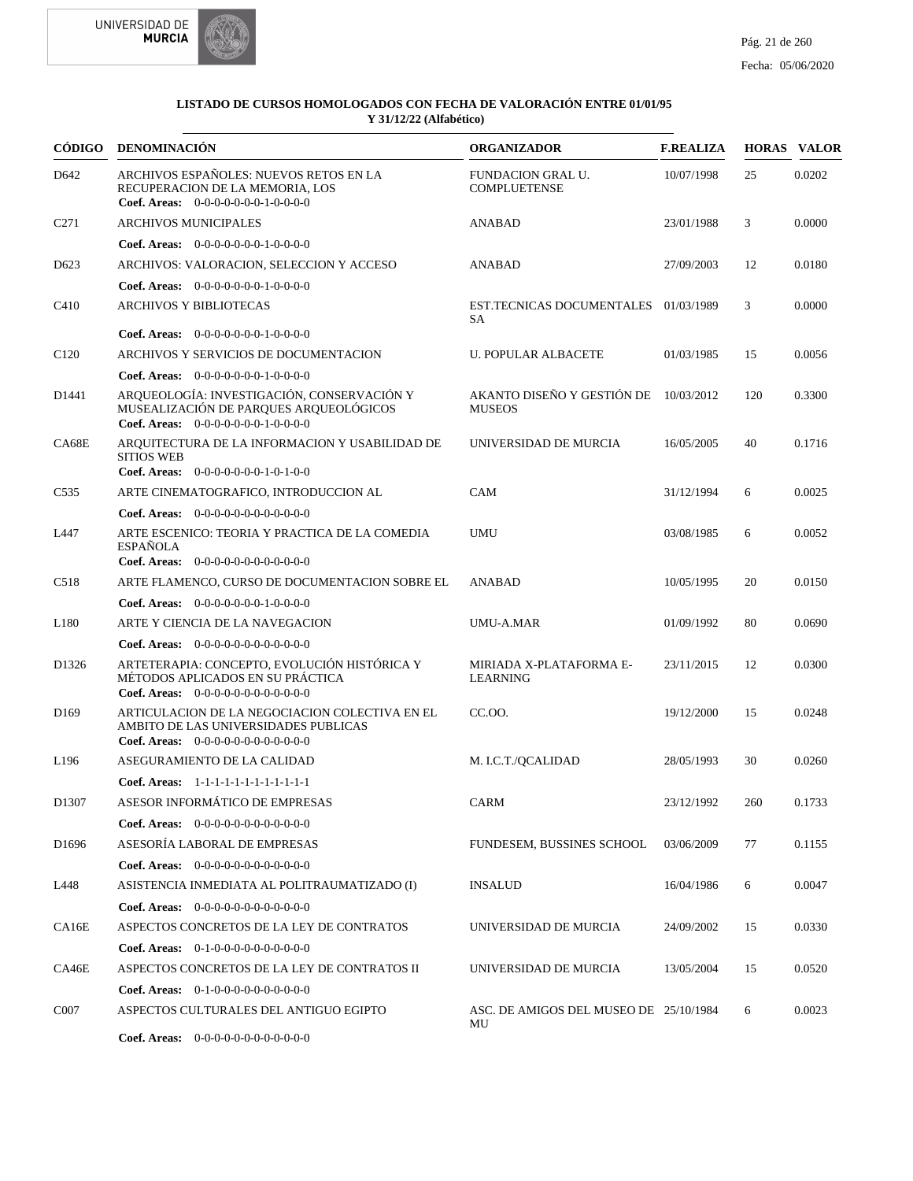



| CÓDIGO            | <b>DENOMINACIÓN</b>                                                                                                                     | <b>ORGANIZADOR</b>                           | <b>F.REALIZA</b> |     | <b>HORAS VALOR</b> |
|-------------------|-----------------------------------------------------------------------------------------------------------------------------------------|----------------------------------------------|------------------|-----|--------------------|
| D <sub>642</sub>  | ARCHIVOS ESPAÑOLES: NUEVOS RETOS EN LA<br>RECUPERACION DE LA MEMORIA. LOS<br>Coef. Areas: $0-0-0-0-0-0-1-0-0-0-0$                       | FUNDACION GRAL U.<br><b>COMPLUETENSE</b>     | 10/07/1998       | 25  | 0.0202             |
| C <sub>271</sub>  | <b>ARCHIVOS MUNICIPALES</b>                                                                                                             | <b>ANABAD</b>                                | 23/01/1988       | 3   | 0.0000             |
|                   | Coef. Areas: $0-0-0-0-0-0-1-0-0-0-0$                                                                                                    |                                              |                  |     |                    |
| D <sub>623</sub>  | ARCHIVOS: VALORACION, SELECCION Y ACCESO                                                                                                | <b>ANABAD</b>                                | 27/09/2003       | 12  | 0.0180             |
|                   | Coef. Areas: $0-0-0-0-0-0-1-0-0-0-0$                                                                                                    |                                              |                  |     |                    |
| C <sub>410</sub>  | <b>ARCHIVOS Y BIBLIOTECAS</b>                                                                                                           | EST.TECNICAS DOCUMENTALES 01/03/1989<br>SA   |                  | 3   | 0.0000             |
|                   | Coef. Areas: $0-0-0-0-0-0-1-0-0-0-0$                                                                                                    |                                              |                  |     |                    |
| C <sub>120</sub>  | ARCHIVOS Y SERVICIOS DE DOCUMENTACION                                                                                                   | <b>U. POPULAR ALBACETE</b>                   | 01/03/1985       | 15  | 0.0056             |
|                   | Coef. Areas: 0-0-0-0-0-0-0-1-0-0-0-0                                                                                                    |                                              |                  |     |                    |
| D1441             | ARQUEOLOGÍA: INVESTIGACIÓN, CONSERVACIÓN Y<br>MUSEALIZACIÓN DE PARQUES ARQUEOLÓGICOS<br>Coef. Areas: $0-0-0-0-0-0-1-0-0-0-0$            | AKANTO DISEÑO Y GESTIÓN DE<br><b>MUSEOS</b>  | 10/03/2012       | 120 | 0.3300             |
| CA68E             | ARQUITECTURA DE LA INFORMACION Y USABILIDAD DE<br><b>SITIOS WEB</b>                                                                     | UNIVERSIDAD DE MURCIA                        | 16/05/2005       | 40  | 0.1716             |
|                   | Coef. Areas: 0-0-0-0-0-0-0-1-0-1-0-0                                                                                                    |                                              |                  |     |                    |
| C <sub>535</sub>  | ARTE CINEMATOGRAFICO, INTRODUCCION AL                                                                                                   | CAM                                          | 31/12/1994       | 6   | 0.0025             |
|                   | <b>Coef. Areas:</b> $0-0-0-0-0-0-0-0-0-0-0-0$                                                                                           |                                              |                  |     |                    |
| L447              | ARTE ESCENICO: TEORIA Y PRACTICA DE LA COMEDIA<br><b>ESPAÑOLA</b><br>Coef. Areas: $0-0-0-0-0-0-0-0-0-0-0-0$                             | <b>UMU</b>                                   | 03/08/1985       | 6   | 0.0052             |
| C <sub>518</sub>  | ARTE FLAMENCO, CURSO DE DOCUMENTACION SOBRE EL                                                                                          | <b>ANABAD</b>                                | 10/05/1995       | 20  | 0.0150             |
|                   |                                                                                                                                         |                                              |                  |     |                    |
|                   | <b>Coef. Areas:</b> $0-0-0-0-0-0-1-0-0-0-0$                                                                                             |                                              |                  |     |                    |
| L <sub>180</sub>  | ARTE Y CIENCIA DE LA NAVEGACION                                                                                                         | <b>UMU-A.MAR</b>                             | 01/09/1992       | 80  | 0.0690             |
|                   | <b>Coef. Areas:</b> $0-0-0-0-0-0-0-0-0-0-0-0$                                                                                           |                                              |                  |     |                    |
| D1326             | ARTETERAPIA: CONCEPTO, EVOLUCIÓN HISTÓRICA Y<br>MÉTODOS APLICADOS EN SU PRÁCTICA<br>Coef. Areas: $0-0-0-0-0-0-0-0-0-0-0$                | MIRIADA X-PLATAFORMA E-<br><b>LEARNING</b>   | 23/11/2015       | 12  | 0.0300             |
| D <sub>169</sub>  | ARTICULACION DE LA NEGOCIACION COLECTIVA EN EL<br>AMBITO DE LAS UNIVERSIDADES PUBLICAS<br><b>Coef. Areas:</b> $0-0-0-0-0-0-0-0-0-0-0-0$ | CC.OO.                                       | 19/12/2000       | 15  | 0.0248             |
| L <sub>196</sub>  | ASEGURAMIENTO DE LA CALIDAD                                                                                                             | M. I.C.T./QCALIDAD                           | 28/05/1993       | 30  | 0.0260             |
|                   | Coef. Areas: 1-1-1-1-1-1-1-1-1-1-1-1-1                                                                                                  |                                              |                  |     |                    |
| D <sub>1307</sub> | ASESOR INFORMÁTICO DE EMPRESAS                                                                                                          | CARM                                         | 23/12/1992       | 260 | 0.1733             |
|                   | <b>Coef. Areas:</b> $0-0-0-0-0-0-0-0-0-0-0-0$                                                                                           |                                              |                  |     |                    |
| D <sub>1696</sub> | ASESORÍA LABORAL DE EMPRESAS                                                                                                            | FUNDESEM, BUSSINES SCHOOL                    | 03/06/2009       | 77  | 0.1155             |
|                   | Coef. Areas: $0-0-0-0-0-0-0-0-0-0-0$                                                                                                    |                                              |                  |     |                    |
| L448              | ASISTENCIA INMEDIATA AL POLITRAUMATIZADO (I)                                                                                            | <b>INSALUD</b>                               | 16/04/1986       | 6   | 0.0047             |
|                   | Coef. Areas: $0-0-0-0-0-0-0-0-0-0-0$                                                                                                    |                                              |                  |     |                    |
| CA16E             | ASPECTOS CONCRETOS DE LA LEY DE CONTRATOS                                                                                               | UNIVERSIDAD DE MURCIA                        | 24/09/2002       | 15  | 0.0330             |
|                   | Coef. Areas: $0-1-0-0-0-0-0-0-0-0-0$                                                                                                    |                                              |                  |     |                    |
| CA46E             | ASPECTOS CONCRETOS DE LA LEY DE CONTRATOS II                                                                                            | UNIVERSIDAD DE MURCIA                        | 13/05/2004       | 15  | 0.0520             |
|                   | Coef. Areas: $0-1-0-0-0-0-0-0-0-0-0$                                                                                                    |                                              |                  |     |                    |
| C <sub>0</sub> 07 | ASPECTOS CULTURALES DEL ANTIGUO EGIPTO                                                                                                  | ASC. DE AMIGOS DEL MUSEO DE 25/10/1984<br>MU |                  | 6   | 0.0023             |
|                   | Coef. Areas: 0-0-0-0-0-0-0-0-0-0-0-0-0                                                                                                  |                                              |                  |     |                    |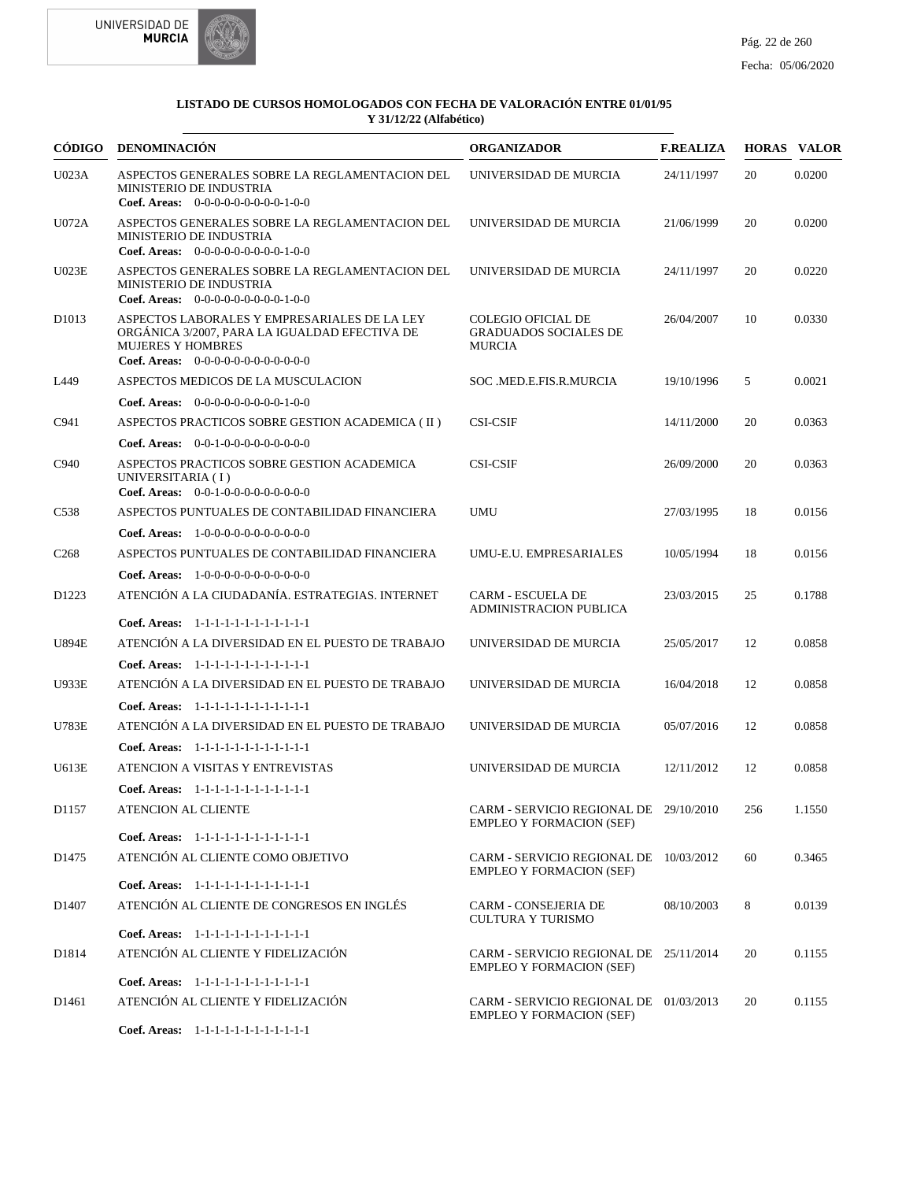



| CÓDIGO            | DENOMINACIÓN                                                                                                                                                      | <b>ORGANIZADOR</b>                                                         | <b>F.REALIZA</b> |     | <b>HORAS VALOR</b> |
|-------------------|-------------------------------------------------------------------------------------------------------------------------------------------------------------------|----------------------------------------------------------------------------|------------------|-----|--------------------|
| <b>U023A</b>      | ASPECTOS GENERALES SOBRE LA REGLAMENTACION DEL<br><b>MINISTERIO DE INDUSTRIA</b><br>Coef. Areas: $0-0-0-0-0-0-0-0-1-0-0$                                          | UNIVERSIDAD DE MURCIA                                                      | 24/11/1997       | 20  | 0.0200             |
| U072A             | ASPECTOS GENERALES SOBRE LA REGLAMENTACION DEL<br>MINISTERIO DE INDUSTRIA<br>Coef. Areas: $0-0-0-0-0-0-0-0-1-0-0$                                                 | UNIVERSIDAD DE MURCIA                                                      | 21/06/1999       | 20  | 0.0200             |
| U023E             | ASPECTOS GENERALES SOBRE LA REGLAMENTACION DEL<br>MINISTERIO DE INDUSTRIA<br>Coef. Areas: $0-0-0-0-0-0-0-0-1-0-0$                                                 | UNIVERSIDAD DE MURCIA                                                      | 24/11/1997       | 20  | 0.0220             |
| D1013             | ASPECTOS LABORALES Y EMPRESARIALES DE LA LEY<br>ORGÁNICA 3/2007, PARA LA IGUALDAD EFECTIVA DE<br><b>MUJERES Y HOMBRES</b><br>Coef. Areas: $0-0-0-0-0-0-0-0-0-0-0$ | <b>COLEGIO OFICIAL DE</b><br><b>GRADUADOS SOCIALES DE</b><br><b>MURCIA</b> | 26/04/2007       | 10  | 0.0330             |
| L449              | ASPECTOS MEDICOS DE LA MUSCULACION                                                                                                                                | SOC .MED.E.FIS.R.MURCIA                                                    | 19/10/1996       | 5   | 0.0021             |
|                   | <b>Coef. Areas:</b> $0-0-0-0-0-0-0-0-1-0-0$                                                                                                                       |                                                                            |                  |     |                    |
| C941              | ASPECTOS PRACTICOS SOBRE GESTION ACADEMICA (II)                                                                                                                   | <b>CSI-CSIF</b>                                                            | 14/11/2000       | 20  | 0.0363             |
|                   | Coef. Areas: 0-0-1-0-0-0-0-0-0-0-0-0                                                                                                                              |                                                                            |                  |     |                    |
| C940              | ASPECTOS PRACTICOS SOBRE GESTION ACADEMICA<br>UNIVERSITARIA (I)<br>Coef. Areas: $0-0-1-0-0-0-0-0-0-0-0$                                                           | <b>CSI-CSIF</b>                                                            | 26/09/2000       | 20  | 0.0363             |
| C <sub>538</sub>  | ASPECTOS PUNTUALES DE CONTABILIDAD FINANCIERA                                                                                                                     | <b>UMU</b>                                                                 | 27/03/1995       | 18  | 0.0156             |
|                   | <b>Coef. Areas:</b> $1-0-0-0-0-0-0-0-0-0-0-0$                                                                                                                     |                                                                            |                  |     |                    |
| C <sub>268</sub>  | ASPECTOS PUNTUALES DE CONTABILIDAD FINANCIERA                                                                                                                     | UMU-E.U. EMPRESARIALES                                                     | 10/05/1994       | 18  | 0.0156             |
|                   | <b>Coef. Areas:</b> $1-0-0-0-0-0-0-0-0-0-0-0$                                                                                                                     |                                                                            |                  |     |                    |
| D1223             | ATENCIÓN A LA CIUDADANÍA. ESTRATEGIAS. INTERNET                                                                                                                   | <b>CARM - ESCUELA DE</b><br><b>ADMINISTRACION PUBLICA</b>                  | 23/03/2015       | 25  | 0.1788             |
|                   | Coef. Areas: 1-1-1-1-1-1-1-1-1-1-1-1-1                                                                                                                            |                                                                            |                  |     |                    |
| <b>U894E</b>      | ATENCIÓN A LA DIVERSIDAD EN EL PUESTO DE TRABAJO                                                                                                                  | UNIVERSIDAD DE MURCIA                                                      | 25/05/2017       | 12  | 0.0858             |
| <b>U933E</b>      | Coef. Areas: $1-1-1-1-1-1-1-1-1-1-1$<br>ATENCIÓN A LA DIVERSIDAD EN EL PUESTO DE TRABAJO                                                                          |                                                                            |                  | 12  | 0.0858             |
|                   | Coef. Areas: 1-1-1-1-1-1-1-1-1-1-1-1-1                                                                                                                            | UNIVERSIDAD DE MURCIA                                                      | 16/04/2018       |     |                    |
| <b>U783E</b>      | ATENCIÓN A LA DIVERSIDAD EN EL PUESTO DE TRABAJO                                                                                                                  | UNIVERSIDAD DE MURCIA                                                      | 05/07/2016       | 12  | 0.0858             |
|                   | Coef. Areas: $1-1-1-1-1-1-1-1-1-1-1$                                                                                                                              |                                                                            |                  |     |                    |
| <b>U613E</b>      | ATENCION A VISITAS Y ENTREVISTAS                                                                                                                                  | UNIVERSIDAD DE MURCIA                                                      | 12/11/2012       | 12  | 0.0858             |
|                   |                                                                                                                                                                   |                                                                            |                  |     |                    |
| D1157             | Coef. Areas: 1-1-1-1-1-1-1-1-1-1-1-1-1<br>ATENCION AL CLIENTE                                                                                                     | CARM - SERVICIO REGIONAL DE 29/10/2010<br><b>EMPLEO Y FORMACION (SEF)</b>  |                  | 256 | 1.1550             |
|                   | Coef. Areas: 1-1-1-1-1-1-1-1-1-1-1-1-1                                                                                                                            |                                                                            |                  |     |                    |
| D <sub>1475</sub> | ATENCIÓN AL CLIENTE COMO OBJETIVO<br>Coef. Areas: 1-1-1-1-1-1-1-1-1-1-1-1-1                                                                                       | CARM - SERVICIO REGIONAL DE 10/03/2012<br><b>EMPLEO Y FORMACION (SEF)</b>  |                  | 60  | 0.3465             |
| D <sub>1407</sub> | ATENCIÓN AL CLIENTE DE CONGRESOS EN INGLÉS                                                                                                                        | <b>CARM - CONSEJERIA DE</b>                                                | 08/10/2003       | 8   | 0.0139             |
|                   |                                                                                                                                                                   | <b>CULTURA Y TURISMO</b>                                                   |                  |     |                    |
|                   | Coef. Areas: 1-1-1-1-1-1-1-1-1-1-1-1-1                                                                                                                            |                                                                            |                  |     |                    |
| D1814             | ATENCIÓN AL CLIENTE Y FIDELIZACIÓN                                                                                                                                | CARM - SERVICIO REGIONAL DE 25/11/2014<br><b>EMPLEO Y FORMACION (SEF)</b>  |                  | 20  | 0.1155             |
|                   | Coef. Areas: 1-1-1-1-1-1-1-1-1-1-1-1-1                                                                                                                            |                                                                            |                  |     |                    |
| D <sub>1461</sub> | ATENCIÓN AL CLIENTE Y FIDELIZACIÓN                                                                                                                                | CARM - SERVICIO REGIONAL DE 01/03/2013<br><b>EMPLEO Y FORMACION (SEF)</b>  |                  | 20  | 0.1155             |
|                   | Coef. Areas: 1-1-1-1-1-1-1-1-1-1-1-1-1                                                                                                                            |                                                                            |                  |     |                    |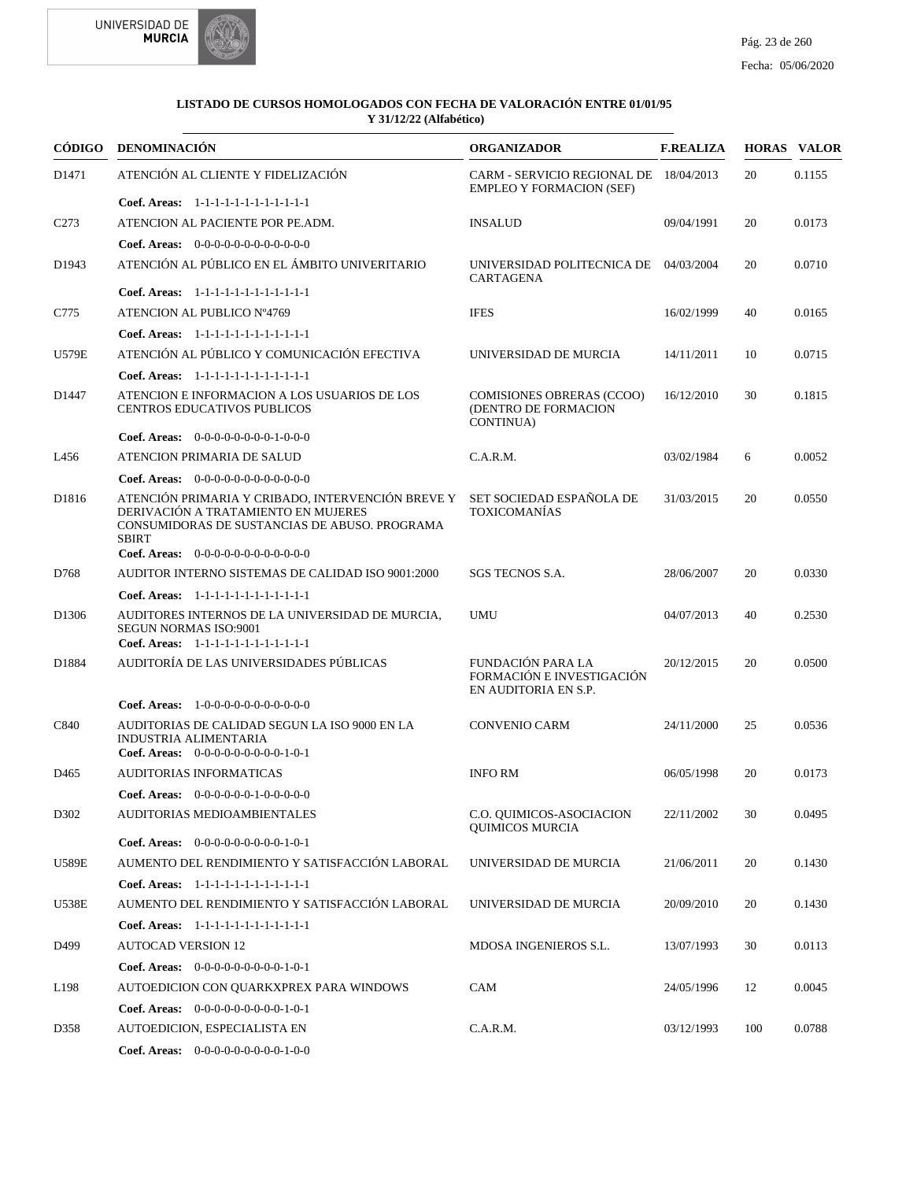

| CÓDIGO            | <b>DENOMINACIÓN</b>                                                                                                                                       | <b>ORGANIZADOR</b>                                                            | <b>F.REALIZA</b> |     | <b>HORAS VALOR</b> |
|-------------------|-----------------------------------------------------------------------------------------------------------------------------------------------------------|-------------------------------------------------------------------------------|------------------|-----|--------------------|
| D1471             | ATENCIÓN AL CLIENTE Y FIDELIZACIÓN                                                                                                                        | CARM - SERVICIO REGIONAL DE 18/04/2013<br><b>EMPLEO Y FORMACION (SEF)</b>     |                  | 20  | 0.1155             |
|                   | Coef. Areas: 1-1-1-1-1-1-1-1-1-1-1-1-1                                                                                                                    |                                                                               |                  |     |                    |
| C <sub>273</sub>  | ATENCION AL PACIENTE POR PE.ADM.                                                                                                                          | <b>INSALUD</b>                                                                | 09/04/1991       | 20  | 0.0173             |
|                   | Coef. Areas: $0-0-0-0-0-0-0-0-0-0-0$                                                                                                                      |                                                                               |                  |     |                    |
| D1943             | ATENCIÓN AL PÚBLICO EN EL ÁMBITO UNIVERITARIO                                                                                                             | UNIVERSIDAD POLITECNICA DE 04/03/2004<br>CARTAGENA                            |                  | 20  | 0.0710             |
|                   | Coef. Areas: 1-1-1-1-1-1-1-1-1-1-1-1-1                                                                                                                    |                                                                               |                  |     |                    |
| C775              | ATENCION AL PUBLICO Nº4769                                                                                                                                | <b>IFES</b>                                                                   | 16/02/1999       | 40  | 0.0165             |
|                   | Coef. Areas: 1-1-1-1-1-1-1-1-1-1-1-1-1                                                                                                                    |                                                                               |                  |     |                    |
| <b>U579E</b>      | ATENCIÓN AL PÚBLICO Y COMUNICACIÓN EFECTIVA                                                                                                               | UNIVERSIDAD DE MURCIA                                                         | 14/11/2011       | 10  | 0.0715             |
|                   | Coef. Areas: 1-1-1-1-1-1-1-1-1-1-1-1-1                                                                                                                    |                                                                               |                  |     |                    |
| D1447             | ATENCION E INFORMACION A LOS USUARIOS DE LOS<br><b>CENTROS EDUCATIVOS PUBLICOS</b>                                                                        | <b>COMISIONES OBRERAS (CCOO)</b><br>(DENTRO DE FORMACION<br>CONTINUA)         | 16/12/2010       | 30  | 0.1815             |
|                   | Coef. Areas: 0-0-0-0-0-0-0-0-1-0-0-0                                                                                                                      |                                                                               |                  |     |                    |
| L456              | ATENCION PRIMARIA DE SALUD                                                                                                                                | C.A.R.M.                                                                      | 03/02/1984       | 6   | 0.0052             |
|                   | Coef. Areas: 0-0-0-0-0-0-0-0-0-0-0-0-0                                                                                                                    |                                                                               |                  |     |                    |
| D1816             | ATENCIÓN PRIMARIA Y CRIBADO, INTERVENCIÓN BREVE Y<br>DERIVACIÓN A TRATAMIENTO EN MUJERES<br>CONSUMIDORAS DE SUSTANCIAS DE ABUSO. PROGRAMA<br><b>SBIRT</b> | SET SOCIEDAD ESPAÑOLA DE<br><b>TOXICOMANÍAS</b>                               | 31/03/2015       | 20  | 0.0550             |
|                   | Coef. Areas: 0-0-0-0-0-0-0-0-0-0-0-0-0                                                                                                                    |                                                                               |                  |     |                    |
| D768              | AUDITOR INTERNO SISTEMAS DE CALIDAD ISO 9001:2000                                                                                                         | SGS TECNOS S.A.                                                               | 28/06/2007       | 20  | 0.0330             |
|                   | Coef. Areas: 1-1-1-1-1-1-1-1-1-1-1-1-1                                                                                                                    |                                                                               |                  |     |                    |
| D <sub>1306</sub> | AUDITORES INTERNOS DE LA UNIVERSIDAD DE MURCIA,<br><b>SEGUN NORMAS ISO:9001</b><br>Coef. Areas: 1-1-1-1-1-1-1-1-1-1-1-1-1                                 | UMU                                                                           | 04/07/2013       | 40  | 0.2530             |
| D1884             | AUDITORÍA DE LAS UNIVERSIDADES PÚBLICAS                                                                                                                   | <b>FUNDACIÓN PARA LA</b><br>FORMACIÓN E INVESTIGACIÓN<br>EN AUDITORIA EN S.P. | 20/12/2015       | 20  | 0.0500             |
|                   | <b>Coef. Areas:</b> $1-0-0-0-0-0-0-0-0-0-0$                                                                                                               |                                                                               |                  |     |                    |
| C840              | AUDITORIAS DE CALIDAD SEGUN LA ISO 9000 EN LA<br>INDUSTRIA ALIMENTARIA<br>Coef. Areas: $0-0-0-0-0-0-0-0-1-0-1$                                            | <b>CONVENIO CARM</b>                                                          | 24/11/2000       | 25  | 0.0536             |
| D <sub>465</sub>  | <b>AUDITORIAS INFORMATICAS</b>                                                                                                                            | <b>INFO RM</b>                                                                | 06/05/1998       | 20  | 0.0173             |
|                   | Coef. Areas: $0-0-0-0-0-1-0-0-0-0-0$                                                                                                                      |                                                                               |                  |     |                    |
| D302              | AUDITORIAS MEDIOAMBIENTALES                                                                                                                               | C.O. QUIMICOS-ASOCIACION                                                      | 22/11/2002       | 30  | 0.0495             |
|                   |                                                                                                                                                           | <b>QUIMICOS MURCIA</b>                                                        |                  |     |                    |
|                   | Coef. Areas: $0-0-0-0-0-0-0-0-1-0-1$                                                                                                                      |                                                                               |                  |     |                    |
| <b>U589E</b>      | AUMENTO DEL RENDIMIENTO Y SATISFACCIÓN LABORAL                                                                                                            | UNIVERSIDAD DE MURCIA                                                         | 21/06/2011       | 20  | 0.1430             |
|                   | Coef. Areas: 1-1-1-1-1-1-1-1-1-1-1-1-1                                                                                                                    |                                                                               |                  |     |                    |
| <b>U538E</b>      | AUMENTO DEL RENDIMIENTO Y SATISFACCIÓN LABORAL                                                                                                            | UNIVERSIDAD DE MURCIA                                                         | 20/09/2010       | 20  | 0.1430             |
|                   | Coef. Areas: $1-1-1-1-1-1-1-1-1-1-1$                                                                                                                      |                                                                               |                  |     |                    |
| D499              | <b>AUTOCAD VERSION 12</b>                                                                                                                                 | MDOSA INGENIEROS S.L.                                                         | 13/07/1993       | 30  | 0.0113             |
|                   | Coef. Areas: $0-0-0-0-0-0-0-0-1-0-1$                                                                                                                      |                                                                               |                  |     |                    |
| L198              | AUTOEDICION CON QUARKXPREX PARA WINDOWS                                                                                                                   | CAM                                                                           | 24/05/1996       | 12  | 0.0045             |
|                   | Coef. Areas: $0-0-0-0-0-0-0-0-1-0-1$                                                                                                                      |                                                                               |                  |     |                    |
| D358              | AUTOEDICION, ESPECIALISTA EN                                                                                                                              | C.A.R.M.                                                                      | 03/12/1993       | 100 | 0.0788             |
|                   | Coef. Areas: 0-0-0-0-0-0-0-0-0-1-0-0                                                                                                                      |                                                                               |                  |     |                    |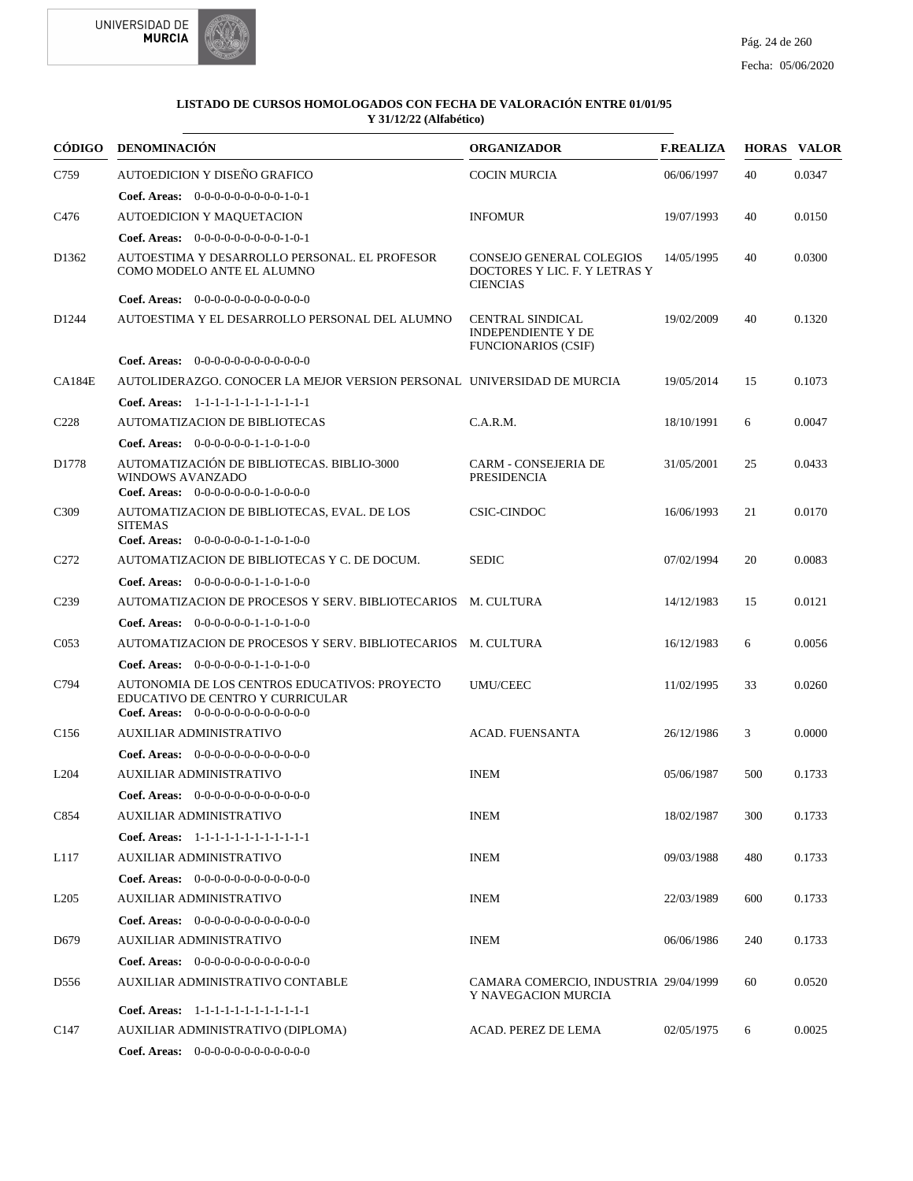



|                   | CÓDIGO DENOMINACIÓN                                                                                                       | <b>ORGANIZADOR</b>                                                                 | <b>F.REALIZA</b> |     | <b>HORAS VALOR</b> |
|-------------------|---------------------------------------------------------------------------------------------------------------------------|------------------------------------------------------------------------------------|------------------|-----|--------------------|
| C759              | AUTOEDICION Y DISEÑO GRAFICO                                                                                              | <b>COCIN MURCIA</b>                                                                | 06/06/1997       | 40  | 0.0347             |
|                   | Coef. Areas: $0-0-0-0-0-0-0-0-1-0-1$                                                                                      |                                                                                    |                  |     |                    |
| C <sub>476</sub>  | AUTOEDICION Y MAQUETACION                                                                                                 | <b>INFOMUR</b>                                                                     | 19/07/1993       | 40  | 0.0150             |
|                   | Coef. Areas: 0-0-0-0-0-0-0-0-0-1-0-1                                                                                      |                                                                                    |                  |     |                    |
| D1362             | AUTOESTIMA Y DESARROLLO PERSONAL. EL PROFESOR<br>COMO MODELO ANTE EL ALUMNO                                               | CONSEJO GENERAL COLEGIOS<br>DOCTORES Y LIC. F. Y LETRAS Y<br><b>CIENCIAS</b>       | 14/05/1995       | 40  | 0.0300             |
|                   | Coef. Areas: 0-0-0-0-0-0-0-0-0-0-0-0-0                                                                                    |                                                                                    |                  |     |                    |
| D <sub>1244</sub> | AUTOESTIMA Y EL DESARROLLO PERSONAL DEL ALUMNO                                                                            | <b>CENTRAL SINDICAL</b><br><b>INDEPENDIENTE Y DE</b><br><b>FUNCIONARIOS (CSIF)</b> | 19/02/2009       | 40  | 0.1320             |
|                   | <b>Coef. Areas:</b> $0-0-0-0-0-0-0-0-0-0-0-0$                                                                             |                                                                                    |                  |     |                    |
| <b>CA184E</b>     | AUTOLIDERAZGO. CONOCER LA MEJOR VERSION PERSONAL UNIVERSIDAD DE MURCIA                                                    |                                                                                    | 19/05/2014       | 15  | 0.1073             |
|                   | Coef. Areas: 1-1-1-1-1-1-1-1-1-1-1-1-1                                                                                    |                                                                                    |                  |     |                    |
| C <sub>228</sub>  | <b>AUTOMATIZACION DE BIBLIOTECAS</b>                                                                                      | C.A.R.M.                                                                           | 18/10/1991       | 6   | 0.0047             |
|                   | <b>Coef. Areas:</b> $0-0-0-0-0-1-1-0-1-0-0$                                                                               |                                                                                    |                  |     |                    |
| D1778             | AUTOMATIZACIÓN DE BIBLIOTECAS. BIBLIO-3000<br><b>WINDOWS AVANZADO</b><br>Coef. Areas: $0-0-0-0-0-0-1-0-0-0-0$             | <b>CARM - CONSEJERIA DE</b><br>PRESIDENCIA                                         | 31/05/2001       | 25  | 0.0433             |
| C <sub>3</sub> 09 | AUTOMATIZACION DE BIBLIOTECAS, EVAL. DE LOS<br><b>SITEMAS</b><br><b>Coef. Areas:</b> $0-0-0-0-0-1-1-0-1-0-0$              | CSIC-CINDOC                                                                        | 16/06/1993       | 21  | 0.0170             |
| C <sub>272</sub>  | AUTOMATIZACION DE BIBLIOTECAS Y C. DE DOCUM.                                                                              | <b>SEDIC</b>                                                                       | 07/02/1994       | 20  | 0.0083             |
|                   | Coef. Areas: $0-0-0-0-0-1-1-0-1-0-0$                                                                                      |                                                                                    |                  |     |                    |
| C <sub>239</sub>  | AUTOMATIZACION DE PROCESOS Y SERV. BIBLIOTECARIOS M. CULTURA                                                              |                                                                                    | 14/12/1983       | 15  | 0.0121             |
|                   | <b>Coef. Areas:</b> $0-0-0-0-0-1-1-0-1-0-0$                                                                               |                                                                                    |                  |     |                    |
| CO <sub>53</sub>  | AUTOMATIZACION DE PROCESOS Y SERV. BIBLIOTECARIOS M. CULTURA                                                              |                                                                                    | 16/12/1983       | 6   | 0.0056             |
|                   | <b>Coef. Areas:</b> $0-0-0-0-0-1-1-0-1-0-0$                                                                               |                                                                                    |                  |     |                    |
| C794              | AUTONOMIA DE LOS CENTROS EDUCATIVOS: PROYECTO<br>EDUCATIVO DE CENTRO Y CURRICULAR<br>Coef. Areas: $0-0-0-0-0-0-0-0-0-0-0$ | <b>UMU/CEEC</b>                                                                    | 11/02/1995       | 33  | 0.0260             |
| C <sub>156</sub>  | <b>AUXILIAR ADMINISTRATIVO</b>                                                                                            | <b>ACAD. FUENSANTA</b>                                                             | 26/12/1986       | 3   | 0.0000             |
|                   | <b>Coef. Areas:</b> $0-0-0-0-0-0-0-0-0-0-0-0$                                                                             |                                                                                    |                  |     |                    |
| L <sub>204</sub>  | <b>AUXILIAR ADMINISTRATIVO</b>                                                                                            | <b>INEM</b>                                                                        | 05/06/1987       | 500 | 0.1733             |
|                   | Coef. Areas: 0-0-0-0-0-0-0-0-0-0-0-0-0                                                                                    |                                                                                    |                  |     |                    |
| C854              | <b>AUXILIAR ADMINISTRATIVO</b>                                                                                            | <b>INEM</b>                                                                        | 18/02/1987       | 300 | 0.1733             |
|                   | Coef. Areas: 1-1-1-1-1-1-1-1-1-1-1-1-1                                                                                    |                                                                                    |                  |     |                    |
| L117              | AUXILIAR ADMINISTRATIVO                                                                                                   | <b>INEM</b>                                                                        | 09/03/1988       | 480 | 0.1733             |
|                   | Coef. Areas: $0-0-0-0-0-0-0-0-0-0-0$                                                                                      |                                                                                    |                  |     |                    |
| L <sub>205</sub>  | <b>AUXILIAR ADMINISTRATIVO</b>                                                                                            | <b>INEM</b>                                                                        | 22/03/1989       | 600 | 0.1733             |
|                   | <b>Coef. Areas:</b> $0-0-0-0-0-0-0-0-0-0-0$                                                                               |                                                                                    |                  |     |                    |
| D <sub>679</sub>  | AUXILIAR ADMINISTRATIVO                                                                                                   | <b>INEM</b>                                                                        | 06/06/1986       | 240 | 0.1733             |
|                   | Coef. Areas: $0-0-0-0-0-0-0-0-0-0-0$                                                                                      |                                                                                    |                  |     |                    |
| D556              | AUXILIAR ADMINISTRATIVO CONTABLE                                                                                          | CAMARA COMERCIO, INDUSTRIA 29/04/1999<br>Y NAVEGACION MURCIA                       |                  | 60  | 0.0520             |
|                   | Coef. Areas: 1-1-1-1-1-1-1-1-1-1-1-1-1                                                                                    |                                                                                    |                  |     |                    |
| C <sub>147</sub>  | AUXILIAR ADMINISTRATIVO (DIPLOMA)                                                                                         | ACAD. PEREZ DE LEMA                                                                | 02/05/1975       | 6   | 0.0025             |
|                   | <b>Coef. Areas:</b> $0-0-0-0-0-0-0-0-0-0-0$                                                                               |                                                                                    |                  |     |                    |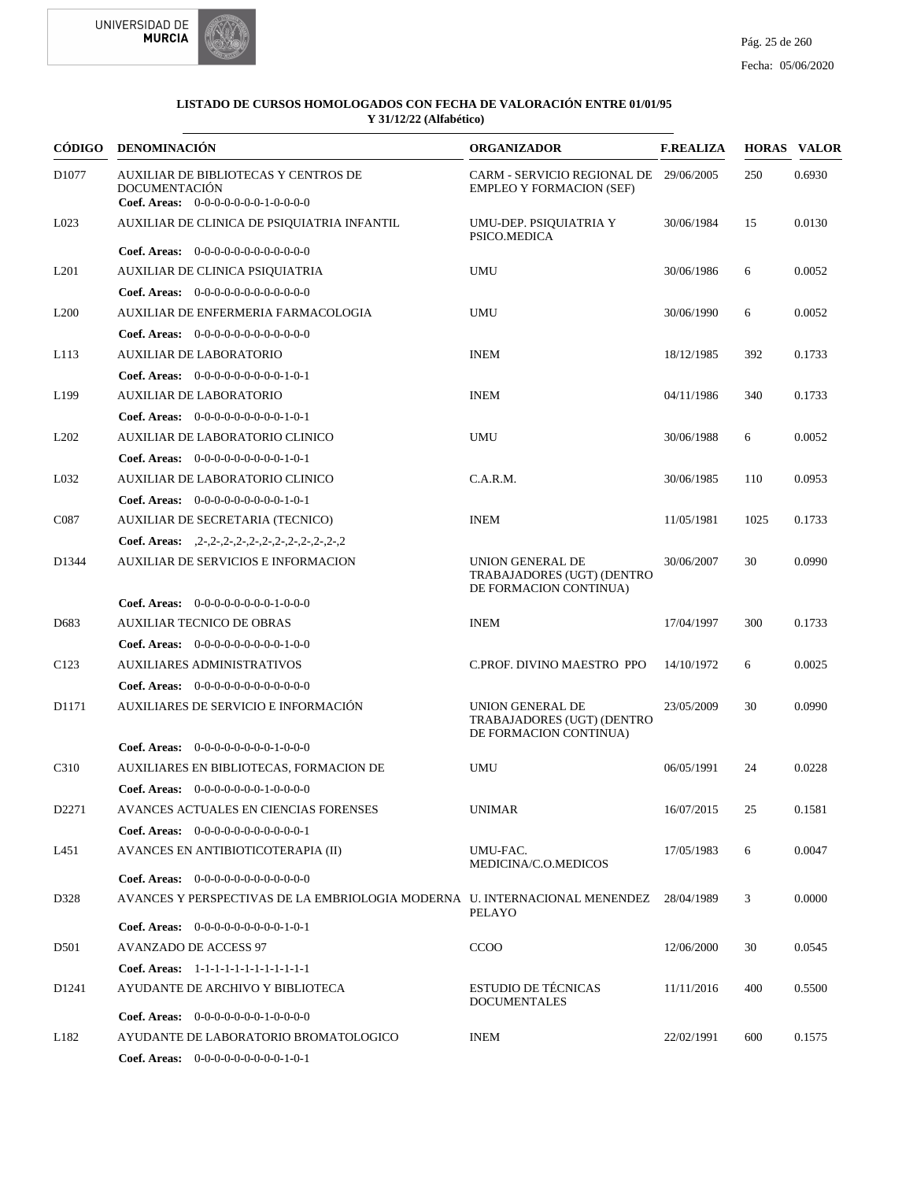



| <b>CÓDIGO</b>     | <b>DENOMINACIÓN</b>                                                                                  | <b>ORGANIZADOR</b>                                                        | <b>F.REALIZA</b> |      | <b>HORAS VALOR</b> |
|-------------------|------------------------------------------------------------------------------------------------------|---------------------------------------------------------------------------|------------------|------|--------------------|
| D <sub>1077</sub> | AUXILIAR DE BIBLIOTECAS Y CENTROS DE<br><b>DOCUMENTACIÓN</b><br>Coef. Areas: 0-0-0-0-0-0-0-1-0-0-0-0 | CARM - SERVICIO REGIONAL DE 29/06/2005<br><b>EMPLEO Y FORMACION (SEF)</b> |                  | 250  | 0.6930             |
| L023              | AUXILIAR DE CLINICA DE PSIQUIATRIA INFANTIL                                                          | UMU-DEP. PSIQUIATRIA Y<br>PSICO.MEDICA                                    | 30/06/1984       | 15   | 0.0130             |
|                   | Coef. Areas: $0-0-0-0-0-0-0-0-0-0-0$                                                                 |                                                                           |                  |      |                    |
| L <sub>201</sub>  | AUXILIAR DE CLINICA PSIQUIATRIA                                                                      | <b>UMU</b>                                                                | 30/06/1986       | 6    | 0.0052             |
|                   | Coef. Areas: $0-0-0-0-0-0-0-0-0-0-0$                                                                 |                                                                           |                  |      |                    |
| L <sub>200</sub>  | AUXILIAR DE ENFERMERIA FARMACOLOGIA                                                                  | <b>UMU</b>                                                                | 30/06/1990       | 6    | 0.0052             |
|                   | <b>Coef. Areas:</b> $0-0-0-0-0-0-0-0-0-0-0-0$                                                        |                                                                           |                  |      |                    |
| L113              | <b>AUXILIAR DE LABORATORIO</b>                                                                       | <b>INEM</b>                                                               | 18/12/1985       | 392  | 0.1733             |
|                   | <b>Coef. Areas:</b> $0-0-0-0-0-0-0-0-1-0-1$                                                          |                                                                           |                  |      |                    |
| L <sub>199</sub>  | <b>AUXILIAR DE LABORATORIO</b>                                                                       | <b>INEM</b>                                                               | 04/11/1986       | 340  | 0.1733             |
|                   | Coef. Areas: $0-0-0-0-0-0-0-0-1-0-1$                                                                 |                                                                           |                  |      |                    |
| L <sub>202</sub>  | AUXILIAR DE LABORATORIO CLINICO                                                                      | <b>UMU</b>                                                                | 30/06/1988       | 6    | 0.0052             |
|                   | <b>Coef. Areas:</b> $0-0-0-0-0-0-0-0-1-0-1$                                                          |                                                                           |                  |      |                    |
| L032              | AUXILIAR DE LABORATORIO CLINICO                                                                      | C.A.R.M.                                                                  | 30/06/1985       | 110  | 0.0953             |
|                   | Coef. Areas: $0-0-0-0-0-0-0-0-1-0-1$                                                                 |                                                                           |                  |      |                    |
| C <sub>087</sub>  | AUXILIAR DE SECRETARIA (TECNICO)                                                                     | <b>INEM</b>                                                               | 11/05/1981       | 1025 | 0.1733             |
|                   | Coef. Areas: $2-2-2-2-2-2-2-2-2-2-2-2-2$                                                             |                                                                           |                  |      |                    |
| D1344             | <b>AUXILIAR DE SERVICIOS E INFORMACION</b>                                                           | UNION GENERAL DE<br>TRABAJADORES (UGT) (DENTRO<br>DE FORMACION CONTINUA)  | 30/06/2007       | 30   | 0.0990             |
|                   | <b>Coef. Areas:</b> $0-0-0-0-0-0-0-1-0-0-0$                                                          |                                                                           |                  |      |                    |
| D683              | <b>AUXILIAR TECNICO DE OBRAS</b>                                                                     | <b>INEM</b>                                                               | 17/04/1997       | 300  | 0.1733             |
|                   | Coef. Areas: $0-0-0-0-0-0-0-0-1-0-0$                                                                 |                                                                           |                  |      |                    |
| C <sub>123</sub>  | <b>AUXILIARES ADMINISTRATIVOS</b>                                                                    | C.PROF. DIVINO MAESTRO PPO                                                | 14/10/1972       | 6    | 0.0025             |
|                   | Coef. Areas: $0-0-0-0-0-0-0-0-0-0-0$                                                                 |                                                                           |                  |      |                    |
| D1171             | AUXILIARES DE SERVICIO E INFORMACIÓN                                                                 | UNION GENERAL DE<br>TRABAJADORES (UGT) (DENTRO<br>DE FORMACION CONTINUA)  | 23/05/2009       | 30   | 0.0990             |
|                   | <b>Coef. Areas:</b> $0-0-0-0-0-0-0-1-0-0-0$                                                          |                                                                           |                  |      |                    |
| C310              | AUXILIARES EN BIBLIOTECAS, FORMACION DE                                                              | <b>UMU</b>                                                                | 06/05/1991       | 24   | 0.0228             |
|                   | <b>Coef. Areas:</b> $0-0-0-0-0-0-1-0-0-0-0$                                                          |                                                                           |                  |      |                    |
| D <sub>2271</sub> | AVANCES ACTUALES EN CIENCIAS FORENSES                                                                | <b>UNIMAR</b>                                                             | 16/07/2015       | 25   | 0.1581             |
|                   | Coef. Areas: $0-0-0-0-0-0-0-0-0-0-0-1$                                                               |                                                                           |                  |      |                    |
| L451              | AVANCES EN ANTIBIOTICOTERAPIA (II)                                                                   | UMU-FAC.<br>MEDICINA/C.O.MEDICOS                                          | 17/05/1983       | 6    | 0.0047             |
|                   | <b>Coef. Areas:</b> $0-0-0-0-0-0-0-0-0-0-0$                                                          |                                                                           |                  |      |                    |
| D328              | AVANCES Y PERSPECTIVAS DE LA EMBRIOLOGIA MODERNA U. INTERNACIONAL MENENDEZ 28/04/1989                | PELAYO                                                                    |                  | 3    | 0.0000             |
|                   | Coef. Areas: 0-0-0-0-0-0-0-0-0-1-0-1                                                                 |                                                                           |                  |      |                    |
| D <sub>501</sub>  | <b>AVANZADO DE ACCESS 97</b>                                                                         | <b>CCOO</b>                                                               | 12/06/2000       | 30   | 0.0545             |
|                   | Coef. Areas: 1-1-1-1-1-1-1-1-1-1-1-1-1                                                               |                                                                           |                  |      |                    |
| D <sub>1241</sub> | AYUDANTE DE ARCHIVO Y BIBLIOTECA                                                                     | <b>ESTUDIO DE TÉCNICAS</b><br><b>DOCUMENTALES</b>                         | 11/11/2016       | 400  | 0.5500             |
|                   | <b>Coef. Areas:</b> $0-0-0-0-0-0-1-0-0-0-0$                                                          |                                                                           |                  |      |                    |
| L182              | AYUDANTE DE LABORATORIO BROMATOLOGICO                                                                | <b>INEM</b>                                                               | 22/02/1991       | 600  | 0.1575             |
|                   | <b>Coef. Areas:</b> $0-0-0-0-0-0-0-0-1-0-1$                                                          |                                                                           |                  |      |                    |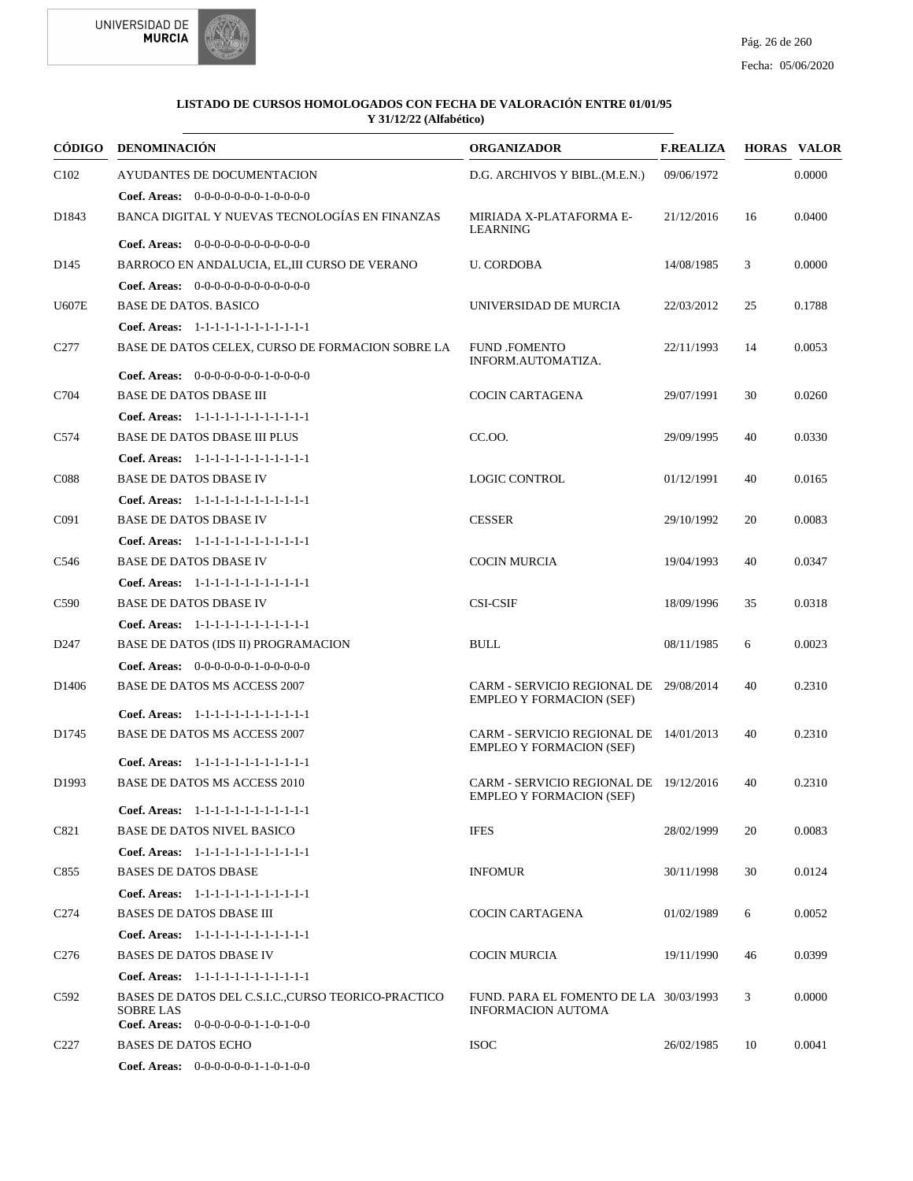



| CÓDIGO            | <b>DENOMINACIÓN</b>                                                     | <b>ORGANIZADOR</b>                                                        | <b>F.REALIZA</b> |    | <b>HORAS VALOR</b> |
|-------------------|-------------------------------------------------------------------------|---------------------------------------------------------------------------|------------------|----|--------------------|
| C <sub>102</sub>  | AYUDANTES DE DOCUMENTACION                                              | D.G. ARCHIVOS Y BIBL.(M.E.N.)                                             | 09/06/1972       |    | 0.0000             |
|                   | <b>Coef. Areas:</b> $0-0-0-0-0-0-1-0-0-0-0$                             |                                                                           |                  |    |                    |
| D1843             | BANCA DIGITAL Y NUEVAS TECNOLOGÍAS EN FINANZAS                          | MIRIADA X-PLATAFORMA E-<br><b>LEARNING</b>                                | 21/12/2016       | 16 | 0.0400             |
|                   | Coef. Areas: 0-0-0-0-0-0-0-0-0-0-0-0-0                                  |                                                                           |                  |    |                    |
| D <sub>145</sub>  | BARROCO EN ANDALUCIA, EL, III CURSO DE VERANO                           | <b>U. CORDOBA</b>                                                         | 14/08/1985       | 3  | 0.0000             |
|                   | <b>Coef. Areas:</b> $0-0-0-0-0-0-0-0-0-0-0-0$                           |                                                                           |                  |    |                    |
| <b>U607E</b>      | <b>BASE DE DATOS, BASICO</b>                                            | UNIVERSIDAD DE MURCIA                                                     | 22/03/2012       | 25 | 0.1788             |
|                   | Coef. Areas: 1-1-1-1-1-1-1-1-1-1-1-1-1                                  |                                                                           |                  |    |                    |
| C <sub>277</sub>  | BASE DE DATOS CELEX, CURSO DE FORMACION SOBRE LA                        | <b>FUND FOMENTO</b><br>INFORM.AUTOMATIZA.                                 | 22/11/1993       | 14 | 0.0053             |
|                   | <b>Coef. Areas:</b> $0-0-0-0-0-0-1-0-0-0-0$                             |                                                                           |                  |    |                    |
| C704              | <b>BASE DE DATOS DBASE III</b>                                          | <b>COCIN CARTAGENA</b>                                                    | 29/07/1991       | 30 | 0.0260             |
|                   | Coef. Areas: 1-1-1-1-1-1-1-1-1-1-1-1-1                                  |                                                                           |                  |    |                    |
| C574              | <b>BASE DE DATOS DBASE III PLUS</b>                                     | CC.OO.                                                                    | 29/09/1995       | 40 | 0.0330             |
|                   | Coef. Areas: 1-1-1-1-1-1-1-1-1-1-1-1-1                                  |                                                                           |                  |    |                    |
| C <sub>088</sub>  | <b>BASE DE DATOS DBASE IV</b>                                           | <b>LOGIC CONTROL</b>                                                      | 01/12/1991       | 40 | 0.0165             |
|                   | Coef. Areas: 1-1-1-1-1-1-1-1-1-1-1-1-1                                  |                                                                           |                  |    |                    |
| C <sub>091</sub>  | <b>BASE DE DATOS DBASE IV</b>                                           | <b>CESSER</b>                                                             | 29/10/1992       | 20 | 0.0083             |
|                   | Coef. Areas: 1-1-1-1-1-1-1-1-1-1-1-1-1                                  |                                                                           |                  |    |                    |
| C546              | <b>BASE DE DATOS DBASE IV</b>                                           | <b>COCIN MURCIA</b>                                                       | 19/04/1993       | 40 | 0.0347             |
|                   | Coef. Areas: 1-1-1-1-1-1-1-1-1-1-1-1-1                                  |                                                                           |                  |    |                    |
| C <sub>590</sub>  | <b>BASE DE DATOS DBASE IV</b>                                           | <b>CSI-CSIF</b>                                                           | 18/09/1996       | 35 | 0.0318             |
|                   | Coef. Areas: 1-1-1-1-1-1-1-1-1-1-1-1-1                                  |                                                                           |                  |    |                    |
| D <sub>247</sub>  | BASE DE DATOS (IDS II) PROGRAMACION                                     | <b>BULL</b>                                                               | 08/11/1985       | 6  | 0.0023             |
|                   | <b>Coef. Areas:</b> $0-0-0-0-0-1-0-0-0-0-0$                             |                                                                           |                  |    |                    |
| D <sub>1406</sub> | BASE DE DATOS MS ACCESS 2007                                            | CARM - SERVICIO REGIONAL DE 29/08/2014<br><b>EMPLEO Y FORMACION (SEF)</b> |                  | 40 | 0.2310             |
|                   | Coef. Areas: $1-1-1-1-1-1-1-1-1-1-1$                                    |                                                                           |                  |    |                    |
| D1745             | BASE DE DATOS MS ACCESS 2007                                            | CARM - SERVICIO REGIONAL DE 14/01/2013<br><b>EMPLEO Y FORMACION (SEF)</b> |                  | 40 | 0.2310             |
|                   | Coef. Areas: 1-1-1-1-1-1-1-1-1-1-1-1-1                                  |                                                                           |                  |    |                    |
| D <sub>1993</sub> | BASE DE DATOS MS ACCESS 2010                                            | CARM - SERVICIO REGIONAL DE 19/12/2016<br><b>EMPLEO Y FORMACION (SEF)</b> |                  | 40 | 0.2310             |
|                   | Coef. Areas: 1-1-1-1-1-1-1-1-1-1-1-1-1                                  |                                                                           |                  |    |                    |
| C821              | <b>BASE DE DATOS NIVEL BASICO</b>                                       | <b>IFES</b>                                                               | 28/02/1999       | 20 | 0.0083             |
|                   | Coef. Areas: 1-1-1-1-1-1-1-1-1-1-1-1-1                                  |                                                                           |                  |    |                    |
| C855              | <b>BASES DE DATOS DBASE</b>                                             | <b>INFOMUR</b>                                                            | 30/11/1998       | 30 | 0.0124             |
|                   | Coef. Areas: $1-1-1-1-1-1-1-1-1-1-1$                                    |                                                                           |                  |    |                    |
| C <sub>274</sub>  | <b>BASES DE DATOS DBASE III</b>                                         | <b>COCIN CARTAGENA</b>                                                    | 01/02/1989       | 6  | 0.0052             |
|                   | Coef. Areas: 1-1-1-1-1-1-1-1-1-1-1-1-1                                  |                                                                           |                  |    |                    |
| C <sub>276</sub>  | <b>BASES DE DATOS DBASE IV</b>                                          | <b>COCIN MURCIA</b>                                                       | 19/11/1990       | 46 | 0.0399             |
|                   | Coef. Areas: 1-1-1-1-1-1-1-1-1-1-1-1-1                                  |                                                                           |                  |    |                    |
| C592              | BASES DE DATOS DEL C.S.I.C., CURSO TEORICO-PRACTICO<br><b>SOBRE LAS</b> | FUND. PARA EL FOMENTO DE LA 30/03/1993<br><b>INFORMACION AUTOMA</b>       |                  | 3  | 0.0000             |
|                   | <b>Coef. Areas:</b> $0-0-0-0-0-1-1-0-1-0-0$                             |                                                                           |                  |    |                    |
| C <sub>227</sub>  | <b>BASES DE DATOS ECHO</b>                                              | <b>ISOC</b>                                                               | 26/02/1985       | 10 | 0.0041             |
|                   | <b>Coef. Areas:</b> $0-0-0-0-0-1-1-0-1-0-0$                             |                                                                           |                  |    |                    |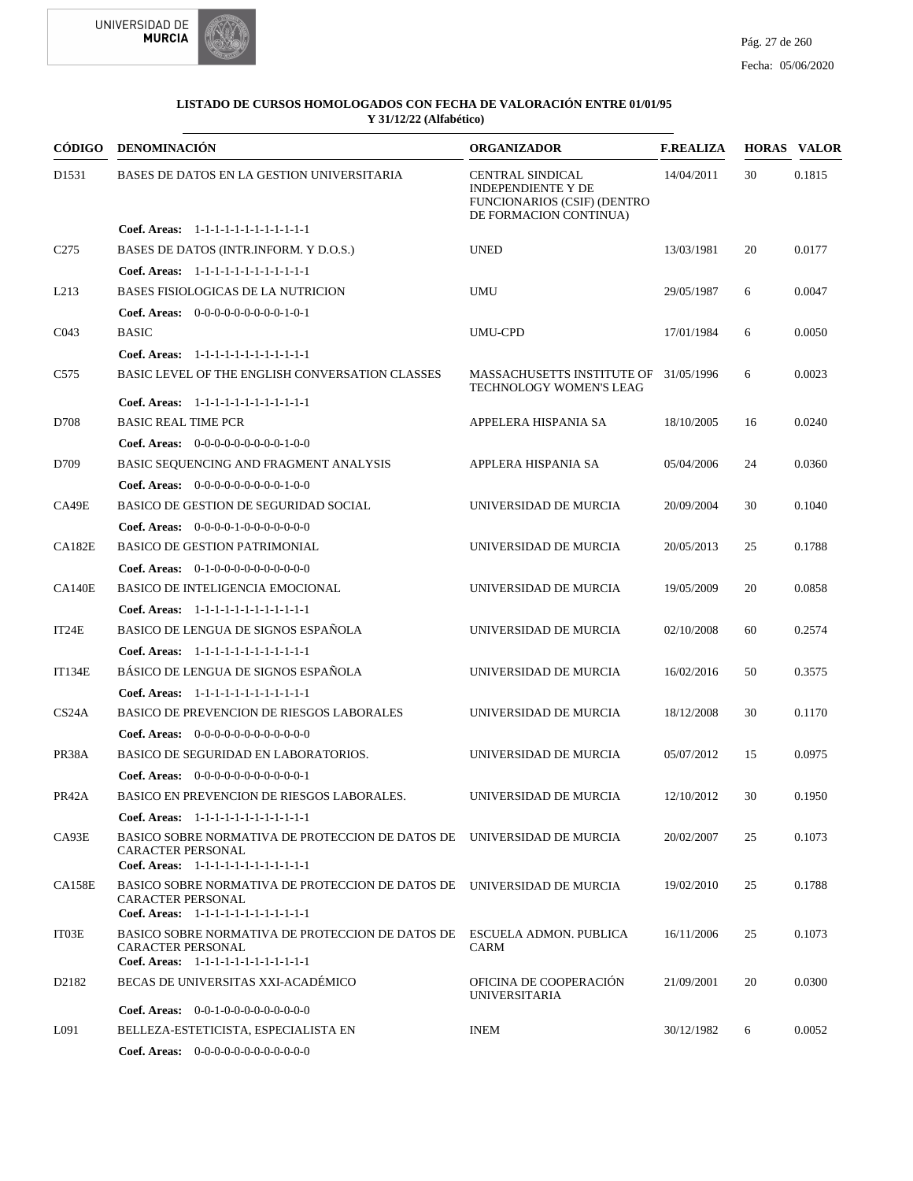



| CÓDIGO                         | <b>DENOMINACIÓN</b>                                                                                                                           | <b>ORGANIZADOR</b>                                                                                                   | <b>F.REALIZA</b> |    | <b>HORAS VALOR</b> |
|--------------------------------|-----------------------------------------------------------------------------------------------------------------------------------------------|----------------------------------------------------------------------------------------------------------------------|------------------|----|--------------------|
| D1531                          | BASES DE DATOS EN LA GESTION UNIVERSITARIA                                                                                                    | <b>CENTRAL SINDICAL</b><br><b>INDEPENDIENTE Y DE</b><br><b>FUNCIONARIOS (CSIF) (DENTRO</b><br>DE FORMACION CONTINUA) | 14/04/2011       | 30 | 0.1815             |
|                                | Coef. Areas: $1-1-1-1-1-1-1-1-1-1-1$                                                                                                          |                                                                                                                      |                  |    |                    |
| C <sub>275</sub>               | BASES DE DATOS (INTR.INFORM. Y D.O.S.)                                                                                                        | <b>UNED</b>                                                                                                          | 13/03/1981       | 20 | 0.0177             |
|                                | Coef. Areas: 1-1-1-1-1-1-1-1-1-1-1-1-1                                                                                                        |                                                                                                                      |                  |    |                    |
| L <sub>213</sub>               | <b>BASES FISIOLOGICAS DE LA NUTRICION</b>                                                                                                     | <b>UMU</b>                                                                                                           | 29/05/1987       | 6  | 0.0047             |
|                                | Coef. Areas: $0-0-0-0-0-0-0-0-1-0-1$                                                                                                          |                                                                                                                      |                  |    |                    |
| CO <sub>43</sub>               | <b>BASIC</b>                                                                                                                                  | <b>UMU-CPD</b>                                                                                                       | 17/01/1984       | 6  | 0.0050             |
|                                | Coef. Areas: 1-1-1-1-1-1-1-1-1-1-1-1-1                                                                                                        |                                                                                                                      |                  |    |                    |
| C <sub>575</sub>               | BASIC LEVEL OF THE ENGLISH CONVERSATION CLASSES                                                                                               | MASSACHUSETTS INSTITUTE OF 31/05/1996<br>TECHNOLOGY WOMEN'S LEAG                                                     |                  | 6  | 0.0023             |
|                                | Coef. Areas: 1-1-1-1-1-1-1-1-1-1-1-1-1                                                                                                        |                                                                                                                      |                  |    |                    |
| D708                           | <b>BASIC REAL TIME PCR</b>                                                                                                                    | APPELERA HISPANIA SA                                                                                                 | 18/10/2005       | 16 | 0.0240             |
|                                | <b>Coef. Areas:</b> $0-0-0-0-0-0-0-0-1-0-0$                                                                                                   |                                                                                                                      |                  |    |                    |
| D709                           | BASIC SEQUENCING AND FRAGMENT ANALYSIS                                                                                                        | APPLERA HISPANIA SA                                                                                                  | 05/04/2006       | 24 | 0.0360             |
|                                | Coef. Areas: $0-0-0-0-0-0-0-0-1-0-0$                                                                                                          |                                                                                                                      |                  |    |                    |
| CA49E                          | <b>BASICO DE GESTION DE SEGURIDAD SOCIAL</b>                                                                                                  | UNIVERSIDAD DE MURCIA                                                                                                | 20/09/2004       | 30 | 0.1040             |
|                                | Coef. Areas: 0-0-0-0-1-0-0-0-0-0-0-0                                                                                                          |                                                                                                                      |                  |    |                    |
| <b>CA182E</b>                  | <b>BASICO DE GESTION PATRIMONIAL</b>                                                                                                          | UNIVERSIDAD DE MURCIA                                                                                                | 20/05/2013       | 25 | 0.1788             |
|                                | <b>Coef. Areas:</b> $0-1-0-0-0-0-0-0-0-0-0-0$                                                                                                 |                                                                                                                      |                  |    |                    |
| CA140E                         | BASICO DE INTELIGENCIA EMOCIONAL                                                                                                              | UNIVERSIDAD DE MURCIA                                                                                                | 19/05/2009       | 20 | 0.0858             |
|                                | Coef. Areas: 1-1-1-1-1-1-1-1-1-1-1-1-1                                                                                                        |                                                                                                                      |                  |    |                    |
| IT24E                          | BASICO DE LENGUA DE SIGNOS ESPAÑOLA                                                                                                           | UNIVERSIDAD DE MURCIA                                                                                                | 02/10/2008       | 60 | 0.2574             |
|                                | Coef. Areas: 1-1-1-1-1-1-1-1-1-1-1-1-1                                                                                                        |                                                                                                                      |                  |    |                    |
| <b>IT134E</b>                  | BÁSICO DE LENGUA DE SIGNOS ESPAÑOLA                                                                                                           | UNIVERSIDAD DE MURCIA                                                                                                | 16/02/2016       | 50 | 0.3575             |
|                                | Coef. Areas: 1-1-1-1-1-1-1-1-1-1-1-1-1                                                                                                        |                                                                                                                      |                  |    |                    |
| CS <sub>24</sub> A             | BASICO DE PREVENCION DE RIESGOS LABORALES                                                                                                     | UNIVERSIDAD DE MURCIA                                                                                                | 18/12/2008       | 30 | 0.1170             |
|                                | <b>Coef. Areas:</b> $0-0-0-0-0-0-0-0-0-0-0-0$                                                                                                 |                                                                                                                      |                  |    |                    |
| PR38A                          | BASICO DE SEGURIDAD EN LABORATORIOS.                                                                                                          | UNIVERSIDAD DE MURCIA                                                                                                | 05/07/2012       | 15 | 0.0975             |
|                                | <b>Coef. Areas:</b> $0-0-0-0-0-0-0-0-0-0-1$                                                                                                   |                                                                                                                      |                  |    |                    |
| PR42A                          | BASICO EN PREVENCION DE RIESGOS LABORALES.                                                                                                    | UNIVERSIDAD DE MURCIA                                                                                                | 12/10/2012       | 30 | 0.1950             |
|                                | Coef. Areas: 1-1-1-1-1-1-1-1-1-1-1-1-1                                                                                                        |                                                                                                                      |                  |    |                    |
| CA93E                          | BASICO SOBRE NORMATIVA DE PROTECCION DE DATOS DE UNIVERSIDAD DE MURCIA<br><b>CARACTER PERSONAL</b><br>Coef. Areas: 1-1-1-1-1-1-1-1-1-1-1-1-1  |                                                                                                                      | 20/02/2007       | 25 | 0.1073             |
| <b>CA158E</b>                  | BASICO SOBRE NORMATIVA DE PROTECCION DE DATOS DE UNIVERSIDAD DE MURCIA<br><b>CARACTER PERSONAL</b><br>Coef. Areas: 1-1-1-1-1-1-1-1-1-1-1-1-1  |                                                                                                                      | 19/02/2010       | 25 | 0.1788             |
| IT03E                          | BASICO SOBRE NORMATIVA DE PROTECCION DE DATOS DE ESCUELA ADMON. PUBLICA<br><b>CARACTER PERSONAL</b><br>Coef. Areas: 1-1-1-1-1-1-1-1-1-1-1-1-1 | CARM                                                                                                                 | 16/11/2006       | 25 | 0.1073             |
| D <sub>2</sub> 18 <sub>2</sub> | BECAS DE UNIVERSITAS XXI-ACADÉMICO                                                                                                            | OFICINA DE COOPERACIÓN<br><b>UNIVERSITARIA</b>                                                                       | 21/09/2001       | 20 | 0.0300             |
|                                | <b>Coef. Areas:</b> $0-0-1-0-0-0-0-0-0-0-0$                                                                                                   |                                                                                                                      |                  |    |                    |
| L091                           | BELLEZA-ESTETICISTA, ESPECIALISTA EN                                                                                                          | <b>INEM</b>                                                                                                          | 30/12/1982       | 6  | 0.0052             |
|                                | <b>Coef. Areas:</b> $0-0-0-0-0-0-0-0-0-0-0$                                                                                                   |                                                                                                                      |                  |    |                    |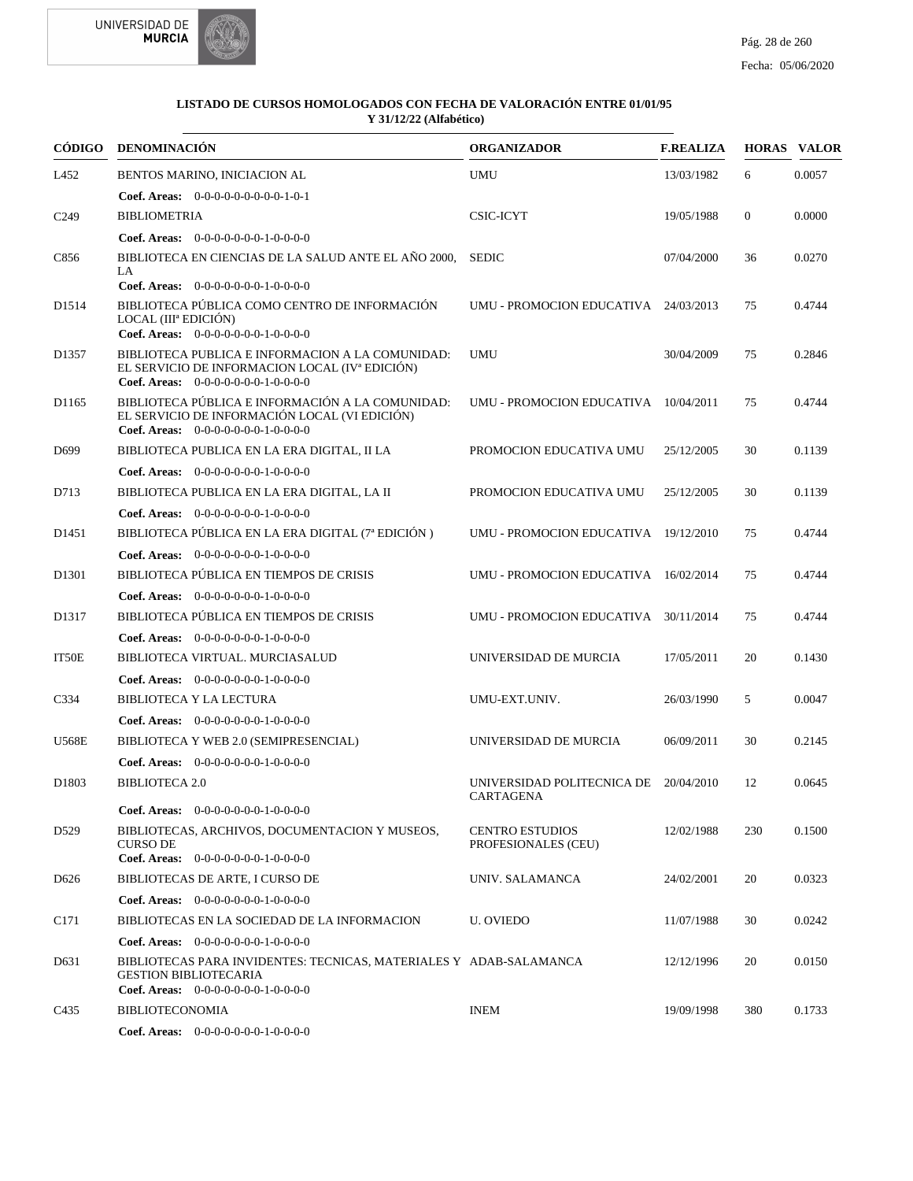



|                   | CÓDIGO DENOMINACIÓN                                                                                                                                    | <b>ORGANIZADOR</b>                                 | <b>F.REALIZA</b> |                | <b>HORAS VALOR</b> |
|-------------------|--------------------------------------------------------------------------------------------------------------------------------------------------------|----------------------------------------------------|------------------|----------------|--------------------|
| L452              | BENTOS MARINO, INICIACION AL                                                                                                                           | <b>UMU</b>                                         | 13/03/1982       | 6              | 0.0057             |
|                   | Coef. Areas: $0-0-0-0-0-0-0-0-1-0-1$                                                                                                                   |                                                    |                  |                |                    |
| C <sub>249</sub>  | <b>BIBLIOMETRIA</b>                                                                                                                                    | CSIC-ICYT                                          | 19/05/1988       | $\overline{0}$ | 0.0000             |
|                   | Coef. Areas: 0-0-0-0-0-0-0-1-0-0-0-0                                                                                                                   |                                                    |                  |                |                    |
| C856              | BIBLIOTECA EN CIENCIAS DE LA SALUD ANTE EL AÑO 2000,<br>LA.                                                                                            | <b>SEDIC</b>                                       | 07/04/2000       | 36             | 0.0270             |
| D <sub>1514</sub> | Coef. Areas: $0-0-0-0-0-0-1-0-0-0-0$<br>BIBLIOTECA PÚBLICA COMO CENTRO DE INFORMACIÓN<br>LOCAL (IIIª EDICIÓN)<br>Coef. Areas: 0-0-0-0-0-0-0-1-0-0-0-0  | UMU - PROMOCION EDUCATIVA 24/03/2013               |                  | 75             | 0.4744             |
| D1357             | BIBLIOTECA PUBLICA E INFORMACION A LA COMUNIDAD:<br>EL SERVICIO DE INFORMACION LOCAL (IV <sup>a</sup> EDICIÓN)<br>Coef. Areas: $0-0-0-0-0-0-1-0-0-0-0$ | <b>UMU</b>                                         | 30/04/2009       | 75             | 0.2846             |
| D1165             | BIBLIOTECA PÚBLICA E INFORMACIÓN A LA COMUNIDAD:<br>EL SERVICIO DE INFORMACIÓN LOCAL (VI EDICIÓN)<br>Coef. Areas: 0-0-0-0-0-0-0-1-0-0-0-0              | UMU - PROMOCION EDUCATIVA 10/04/2011               |                  | 75             | 0.4744             |
| D <sub>699</sub>  | BIBLIOTECA PUBLICA EN LA ERA DIGITAL, II LA                                                                                                            | PROMOCION EDUCATIVA UMU                            | 25/12/2005       | 30             | 0.1139             |
|                   | Coef. Areas: $0-0-0-0-0-0-1-0-0-0-0$                                                                                                                   |                                                    |                  |                |                    |
| D713              | BIBLIOTECA PUBLICA EN LA ERA DIGITAL, LA II                                                                                                            | PROMOCION EDUCATIVA UMU                            | 25/12/2005       | 30             | 0.1139             |
|                   | <b>Coef. Areas:</b> $0-0-0-0-0-0-1-0-0-0-0$                                                                                                            |                                                    |                  |                |                    |
| D <sub>1451</sub> | BIBLIOTECA PÚBLICA EN LA ERA DIGITAL (7ª EDICIÓN)                                                                                                      | UMU - PROMOCION EDUCATIVA 19/12/2010               |                  | 75             | 0.4744             |
|                   | Coef. Areas: $0-0-0-0-0-0-1-0-0-0-0$                                                                                                                   |                                                    |                  |                |                    |
| D <sub>1301</sub> | BIBLIOTECA PÚBLICA EN TIEMPOS DE CRISIS                                                                                                                | UMU - PROMOCION EDUCATIVA 16/02/2014               |                  | 75             | 0.4744             |
|                   | Coef. Areas: $0-0-0-0-0-0-1-0-0-0-0$                                                                                                                   |                                                    |                  |                |                    |
| D1317             | BIBLIOTECA PÚBLICA EN TIEMPOS DE CRISIS                                                                                                                | UMU - PROMOCION EDUCATIVA 30/11/2014               |                  | 75             | 0.4744             |
|                   | <b>Coef. Areas:</b> $0-0-0-0-0-0-1-0-0-0-0$                                                                                                            |                                                    |                  |                |                    |
| IT50E             | BIBLIOTECA VIRTUAL. MURCIASALUD                                                                                                                        | UNIVERSIDAD DE MURCIA                              | 17/05/2011       | 20             | 0.1430             |
|                   | <b>Coef. Areas:</b> $0-0-0-0-0-0-1-0-0-0-0$                                                                                                            |                                                    |                  |                |                    |
| C334              | BIBLIOTECA Y LA LECTURA                                                                                                                                | UMU-EXT.UNIV.                                      | 26/03/1990       | 5              | 0.0047             |
|                   | Coef. Areas: $0-0-0-0-0-0-1-0-0-0-0$                                                                                                                   |                                                    |                  |                |                    |
| <b>U568E</b>      | BIBLIOTECA Y WEB 2.0 (SEMIPRESENCIAL)                                                                                                                  | UNIVERSIDAD DE MURCIA                              | 06/09/2011       | 30             | 0.2145             |
|                   | Coef. Areas: 0-0-0-0-0-0-0-1-0-0-0-0                                                                                                                   |                                                    |                  |                |                    |
| D1803             | <b>BIBLIOTECA 2.0</b>                                                                                                                                  | UNIVERSIDAD POLITECNICA DE 20/04/2010<br>CARTAGENA |                  | 12             | 0.0645             |
|                   | <b>Coef. Areas:</b> $0-0-0-0-0-0-1-0-0-0-0$                                                                                                            |                                                    |                  |                |                    |
| D <sub>529</sub>  | BIBLIOTECAS, ARCHIVOS, DOCUMENTACION Y MUSEOS,<br><b>CURSO DE</b><br>Coef. Areas: $0-0-0-0-0-0-1-0-0-0-0$                                              | <b>CENTRO ESTUDIOS</b><br>PROFESIONALES (CEU)      | 12/02/1988       | 230            | 0.1500             |
| D <sub>626</sub>  | BIBLIOTECAS DE ARTE, I CURSO DE                                                                                                                        | UNIV. SALAMANCA                                    | 24/02/2001       | 20             | 0.0323             |
|                   | <b>Coef. Areas:</b> $0-0-0-0-0-0-1-0-0-0-0$                                                                                                            |                                                    |                  |                |                    |
| C <sub>171</sub>  | BIBLIOTECAS EN LA SOCIEDAD DE LA INFORMACION                                                                                                           | <b>U. OVIEDO</b>                                   | 11/07/1988       | 30             | 0.0242             |
|                   | <b>Coef. Areas:</b> $0-0-0-0-0-0-1-0-0-0-0$                                                                                                            |                                                    |                  |                |                    |
| D631              | BIBLIOTECAS PARA INVIDENTES: TECNICAS, MATERIALES Y ADAB-SALAMANCA<br><b>GESTION BIBLIOTECARIA</b><br><b>Coef. Areas:</b> $0-0-0-0-0-0-1-0-0-0-0$      |                                                    | 12/12/1996       | 20             | 0.0150             |
| C <sub>4</sub> 35 | <b>BIBLIOTECONOMIA</b>                                                                                                                                 | <b>INEM</b>                                        | 19/09/1998       | 380            | 0.1733             |
|                   | Coef. Areas: $0-0-0-0-0-0-1-0-0-0-0$                                                                                                                   |                                                    |                  |                |                    |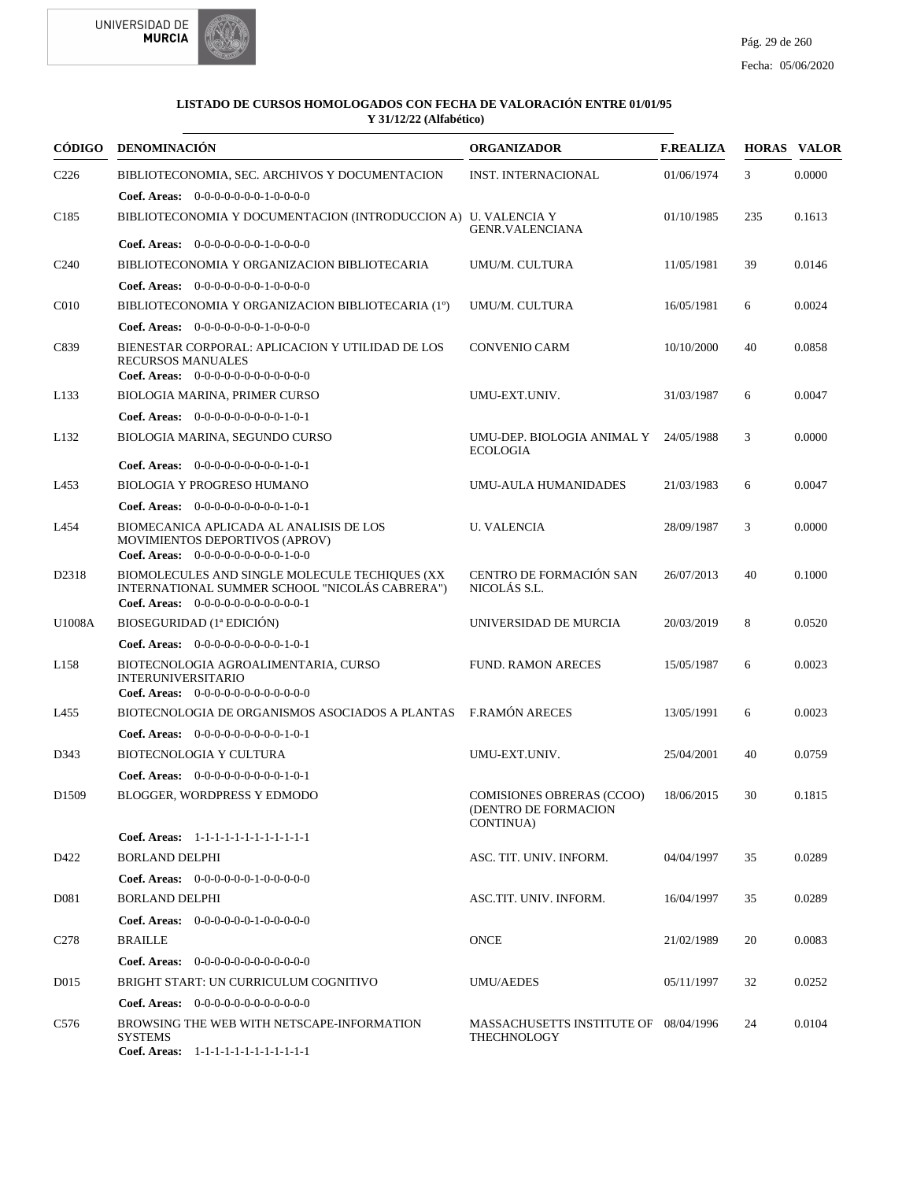



| CÓDIGO            | <b>DENOMINACIÓN</b>                                                                                                                      | <b>ORGANIZADOR</b>                                                            | <b>F.REALIZA</b> |     | <b>HORAS VALOR</b> |
|-------------------|------------------------------------------------------------------------------------------------------------------------------------------|-------------------------------------------------------------------------------|------------------|-----|--------------------|
| C <sub>226</sub>  | BIBLIOTECONOMIA, SEC. ARCHIVOS Y DOCUMENTACION<br><b>Coef. Areas:</b> $0-0-0-0-0-0-1-0-0-0-0$                                            | INST. INTERNACIONAL                                                           | 01/06/1974       | 3   | 0.0000             |
| C <sub>185</sub>  | BIBLIOTECONOMIA Y DOCUMENTACION (INTRODUCCION A) U. VALENCIA Y                                                                           | <b>GENR.VALENCIANA</b>                                                        | 01/10/1985       | 235 | 0.1613             |
|                   | <b>Coef. Areas:</b> $0-0-0-0-0-0-1-0-0-0-0$                                                                                              |                                                                               |                  |     |                    |
| C <sub>240</sub>  | BIBLIOTECONOMIA Y ORGANIZACION BIBLIOTECARIA                                                                                             | UMU/M. CULTURA                                                                | 11/05/1981       | 39  | 0.0146             |
|                   | Coef. Areas: $0-0-0-0-0-0-1-0-0-0-0$                                                                                                     |                                                                               |                  |     |                    |
| C <sub>010</sub>  | BIBLIOTECONOMIA Y ORGANIZACION BIBLIOTECARIA (1°)                                                                                        | UMU/M. CULTURA                                                                | 16/05/1981       | 6   | 0.0024             |
|                   | <b>Coef. Areas:</b> $0-0-0-0-0-0-1-0-0-0-0$                                                                                              |                                                                               |                  |     |                    |
| C839              | BIENESTAR CORPORAL: APLICACION Y UTILIDAD DE LOS<br><b>RECURSOS MANUALES</b><br>Coef. Areas: $0-0-0-0-0-0-0-0-0-0-0$                     | <b>CONVENIO CARM</b>                                                          | 10/10/2000       | 40  | 0.0858             |
| L133              | BIOLOGIA MARINA, PRIMER CURSO                                                                                                            | UMU-EXT.UNIV.                                                                 | 31/03/1987       | 6   | 0.0047             |
|                   | Coef. Areas: $0-0-0-0-0-0-0-0-1-0-1$                                                                                                     |                                                                               |                  |     |                    |
| L132              | BIOLOGIA MARINA, SEGUNDO CURSO                                                                                                           | UMU-DEP. BIOLOGIA ANIMAL Y 24/05/1988<br><b>ECOLOGIA</b>                      |                  | 3   | 0.0000             |
|                   | Coef. Areas: $0-0-0-0-0-0-0-0-1-0-1$                                                                                                     |                                                                               |                  |     |                    |
| L453              | <b>BIOLOGIA Y PROGRESO HUMANO</b>                                                                                                        | <b>UMU-AULA HUMANIDADES</b>                                                   | 21/03/1983       | 6   | 0.0047             |
|                   | Coef. Areas: $0-0-0-0-0-0-0-0-1-0-1$                                                                                                     |                                                                               |                  |     |                    |
| L454              | BIOMECANICA APLICADA AL ANALISIS DE LOS<br>MOVIMIENTOS DEPORTIVOS (APROV)<br>Coef. Areas: $0-0-0-0-0-0-0-0-1-0-0$                        | <b>U. VALENCIA</b>                                                            | 28/09/1987       | 3   | 0.0000             |
| D2318             | BIOMOLECULES AND SINGLE MOLECULE TECHIQUES (XX<br>INTERNATIONAL SUMMER SCHOOL "NICOLÁS CABRERA")<br>Coef. Areas: $0-0-0-0-0-0-0-0-0-0-1$ | CENTRO DE FORMACIÓN SAN<br>NICOLÁS S.L.                                       | 26/07/2013       | 40  | 0.1000             |
| U1008A            | BIOSEGURIDAD (1ª EDICIÓN)                                                                                                                | UNIVERSIDAD DE MURCIA                                                         | 20/03/2019       | 8   | 0.0520             |
|                   | Coef. Areas: $0-0-0-0-0-0-0-0-1-0-1$                                                                                                     |                                                                               |                  |     |                    |
| L158              | BIOTECNOLOGIA AGROALIMENTARIA, CURSO<br><b>INTERUNIVERSITARIO</b><br>Coef. Areas: 0-0-0-0-0-0-0-0-0-0-0-0-0                              | <b>FUND. RAMON ARECES</b>                                                     | 15/05/1987       | 6   | 0.0023             |
| L455              | BIOTECNOLOGIA DE ORGANISMOS ASOCIADOS A PLANTAS F.RAMÓN ARECES                                                                           |                                                                               | 13/05/1991       | 6   | 0.0023             |
|                   | <b>Coef. Areas:</b> $0-0-0-0-0-0-0-0-1-0-1$                                                                                              |                                                                               |                  |     |                    |
| D343              | <b>BIOTECNOLOGIA Y CULTURA</b>                                                                                                           | UMU-EXT.UNIV.                                                                 | 25/04/2001       | 40  | 0.0759             |
|                   | Coef. Areas: 0-0-0-0-0-0-0-0-0-1-0-1                                                                                                     |                                                                               |                  |     |                    |
| D <sub>1509</sub> | <b>BLOGGER, WORDPRESS Y EDMODO</b>                                                                                                       | <b>COMISIONES OBRERAS (CCOO)</b><br>(DENTRO DE FORMACION<br><b>CONTINUA</b> ) | 18/06/2015       | 30  | 0.1815             |
|                   | Coef. Areas: 1-1-1-1-1-1-1-1-1-1-1-1-1                                                                                                   |                                                                               |                  |     |                    |
| D422              | <b>BORLAND DELPHI</b>                                                                                                                    | ASC. TIT. UNIV. INFORM.                                                       | 04/04/1997       | 35  | 0.0289             |
|                   | <b>Coef. Areas:</b> $0-0-0-0-0-1-0-0-0-0-0$                                                                                              |                                                                               |                  |     |                    |
| D <sub>0</sub> 81 | <b>BORLAND DELPHI</b>                                                                                                                    | ASC.TIT. UNIV. INFORM.                                                        | 16/04/1997       | 35  | 0.0289             |
|                   | <b>Coef. Areas:</b> $0-0-0-0-0-1-0-0-0-0-0$                                                                                              |                                                                               |                  |     |                    |
| C <sub>278</sub>  | <b>BRAILLE</b>                                                                                                                           | <b>ONCE</b>                                                                   | 21/02/1989       | 20  | 0.0083             |
|                   | <b>Coef. Areas:</b> $0-0-0-0-0-0-0-0-0-0-0-0$                                                                                            |                                                                               |                  |     |                    |
| D <sub>015</sub>  | BRIGHT START: UN CURRICULUM COGNITIVO                                                                                                    | UMU/AEDES                                                                     | 05/11/1997       | 32  | 0.0252             |
|                   | <b>Coef. Areas:</b> $0-0-0-0-0-0-0-0-0-0-0-0$                                                                                            |                                                                               |                  |     |                    |
| C576              | BROWSING THE WEB WITH NETSCAPE-INFORMATION<br><b>SYSTEMS</b>                                                                             | MASSACHUSETTS INSTITUTE OF 08/04/1996<br>THECHNOLOGY                          |                  | 24  | 0.0104             |
|                   | Coef. Areas: $1-1-1-1-1-1-1-1-1-1-1$                                                                                                     |                                                                               |                  |     |                    |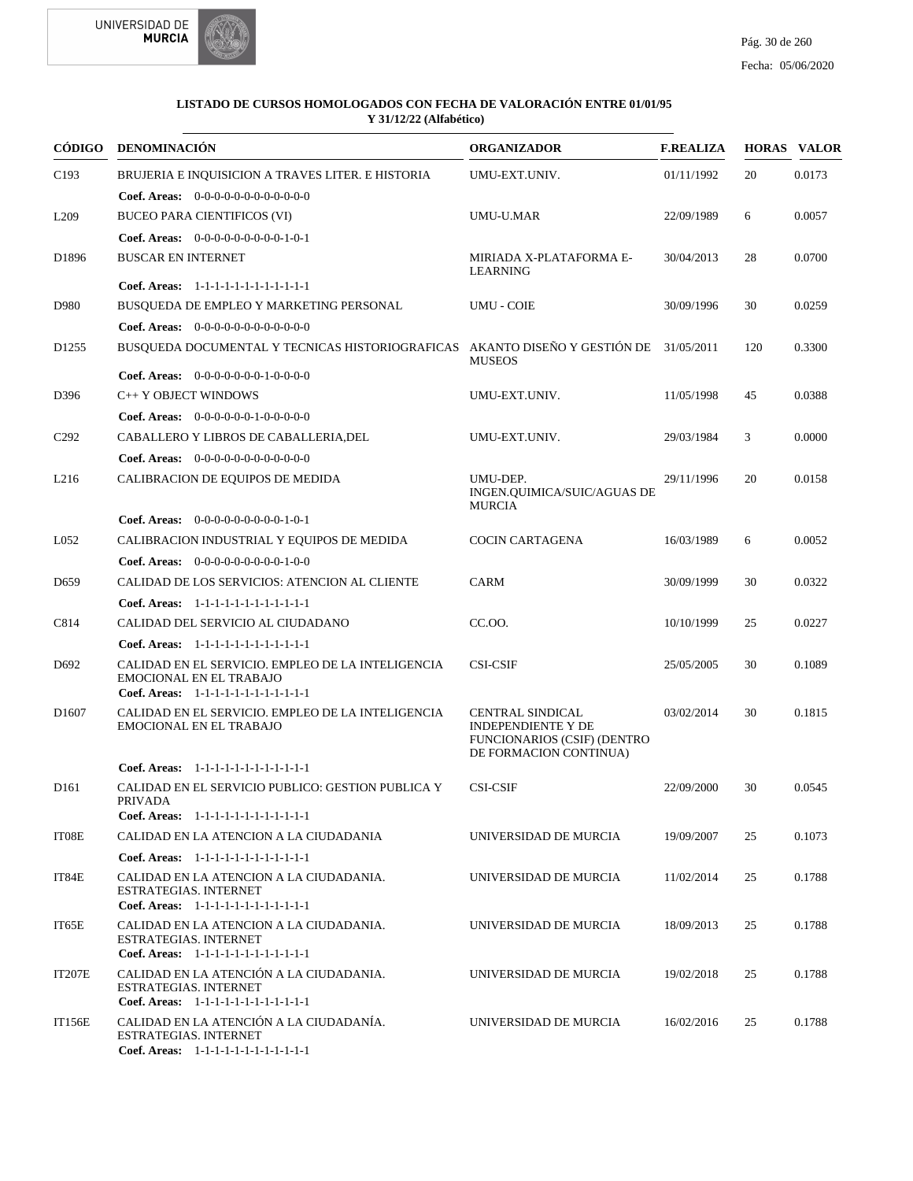



|                   | CÓDIGO DENOMINACIÓN                                                                                                           | <b>ORGANIZADOR</b>                                                                                            | <b>F.REALIZA</b> |     | <b>HORAS VALOR</b> |
|-------------------|-------------------------------------------------------------------------------------------------------------------------------|---------------------------------------------------------------------------------------------------------------|------------------|-----|--------------------|
| C193              | BRUJERIA E INQUISICION A TRAVES LITER. E HISTORIA                                                                             | UMU-EXT.UNIV.                                                                                                 | 01/11/1992       | 20  | 0.0173             |
|                   | <b>Coef. Areas:</b> $0-0-0-0-0-0-0-0-0-0-0$                                                                                   |                                                                                                               |                  |     |                    |
| L <sub>209</sub>  | <b>BUCEO PARA CIENTIFICOS (VI)</b>                                                                                            | UMU-U.MAR                                                                                                     | 22/09/1989       | 6   | 0.0057             |
|                   | Coef. Areas: $0-0-0-0-0-0-0-0-1-0-1$                                                                                          |                                                                                                               |                  |     |                    |
| D <sub>1896</sub> | <b>BUSCAR EN INTERNET</b>                                                                                                     | MIRIADA X-PLATAFORMA E-<br><b>LEARNING</b>                                                                    | 30/04/2013       | 28  | 0.0700             |
|                   | Coef. Areas: 1-1-1-1-1-1-1-1-1-1-1-1-1                                                                                        |                                                                                                               |                  |     |                    |
| D980              | BUSQUEDA DE EMPLEO Y MARKETING PERSONAL                                                                                       | <b>UMU - COIE</b>                                                                                             | 30/09/1996       | 30  | 0.0259             |
|                   | Coef. Areas: $0-0-0-0-0-0-0-0-0-0-0$                                                                                          |                                                                                                               |                  |     |                    |
| D <sub>1255</sub> | BUSQUEDA DOCUMENTAL Y TECNICAS HISTORIOGRAFICAS AKANTO DISEÑO Y GESTIÓN DE                                                    | <b>MUSEOS</b>                                                                                                 | 31/05/2011       | 120 | 0.3300             |
|                   | <b>Coef. Areas:</b> $0-0-0-0-0-0-1-0-0-0-0$                                                                                   |                                                                                                               |                  |     |                    |
| D396              | C++ Y OBJECT WINDOWS                                                                                                          | UMU-EXT.UNIV.                                                                                                 | 11/05/1998       | 45  | 0.0388             |
|                   | Coef. Areas: $0-0-0-0-0-1-0-0-0-0-0$                                                                                          |                                                                                                               |                  |     |                    |
| C <sub>292</sub>  | CABALLERO Y LIBROS DE CABALLERIA, DEL                                                                                         | UMU-EXT.UNIV.                                                                                                 | 29/03/1984       | 3   | 0.0000             |
|                   | <b>Coef. Areas:</b> $0-0-0-0-0-0-0-0-0-0-0-0$                                                                                 |                                                                                                               |                  |     |                    |
| L <sub>216</sub>  | CALIBRACION DE EQUIPOS DE MEDIDA                                                                                              | UMU-DEP.<br>INGEN.OUIMICA/SUIC/AGUAS DE<br><b>MURCIA</b>                                                      | 29/11/1996       | 20  | 0.0158             |
|                   | <b>Coef. Areas:</b> $0-0-0-0-0-0-0-0-1-0-1$                                                                                   |                                                                                                               |                  |     |                    |
| L052              | CALIBRACION INDUSTRIAL Y EQUIPOS DE MEDIDA                                                                                    | <b>COCIN CARTAGENA</b>                                                                                        | 16/03/1989       | 6   | 0.0052             |
|                   | Coef. Areas: $0-0-0-0-0-0-0-0-1-0-0$                                                                                          |                                                                                                               |                  |     |                    |
| D <sub>659</sub>  | CALIDAD DE LOS SERVICIOS: ATENCION AL CLIENTE                                                                                 | <b>CARM</b>                                                                                                   | 30/09/1999       | 30  | 0.0322             |
|                   | Coef. Areas: 1-1-1-1-1-1-1-1-1-1-1-1-1                                                                                        |                                                                                                               |                  |     |                    |
| C814              | CALIDAD DEL SERVICIO AL CIUDADANO                                                                                             | CC.OO.                                                                                                        | 10/10/1999       | 25  | 0.0227             |
|                   | Coef. Areas: 1-1-1-1-1-1-1-1-1-1-1-1-1                                                                                        |                                                                                                               |                  |     |                    |
| D <sub>692</sub>  | CALIDAD EN EL SERVICIO. EMPLEO DE LA INTELIGENCIA<br><b>EMOCIONAL EN EL TRABAJO</b><br>Coef. Areas: 1-1-1-1-1-1-1-1-1-1-1-1-1 | <b>CSI-CSIF</b>                                                                                               | 25/05/2005       | 30  | 0.1089             |
| D <sub>1607</sub> | CALIDAD EN EL SERVICIO. EMPLEO DE LA INTELIGENCIA<br><b>EMOCIONAL EN EL TRABAJO</b>                                           | <b>CENTRAL SINDICAL</b><br><b>INDEPENDIENTE Y DE</b><br>FUNCIONARIOS (CSIF) (DENTRO<br>DE FORMACION CONTINUA) | 03/02/2014       | 30  | 0.1815             |
|                   | Coef. Areas: 1-1-1-1-1-1-1-1-1-1-1-1-1                                                                                        |                                                                                                               |                  |     |                    |
| D <sub>161</sub>  | CALIDAD EN EL SERVICIO PUBLICO: GESTION PUBLICA Y<br>PRIVADA<br>Coef. Areas: 1-1-1-1-1-1-1-1-1-1-1-1-1                        | <b>CSI-CSIF</b>                                                                                               | 22/09/2000       | 30  | 0.0545             |
| IT08E             | CALIDAD EN LA ATENCION A LA CIUDADANIA                                                                                        | UNIVERSIDAD DE MURCIA                                                                                         | 19/09/2007       | 25  | 0.1073             |
|                   | Coef. Areas: 1-1-1-1-1-1-1-1-1-1-1-1-1                                                                                        |                                                                                                               |                  |     |                    |
| IT84E             | CALIDAD EN LA ATENCION A LA CIUDADANIA.<br><b>ESTRATEGIAS. INTERNET</b><br>Coef. Areas: 1-1-1-1-1-1-1-1-1-1-1-1-1             | UNIVERSIDAD DE MURCIA                                                                                         | 11/02/2014       | 25  | 0.1788             |
| IT65E             | CALIDAD EN LA ATENCION A LA CIUDADANIA.<br><b>ESTRATEGIAS. INTERNET</b><br>Coef. Areas: 1-1-1-1-1-1-1-1-1-1-1-1-1             | UNIVERSIDAD DE MURCIA                                                                                         | 18/09/2013       | 25  | 0.1788             |
| <b>IT207E</b>     | CALIDAD EN LA ATENCIÓN A LA CIUDADANIA.<br><b>ESTRATEGIAS. INTERNET</b><br>Coef. Areas: 1-1-1-1-1-1-1-1-1-1-1-1-1             | UNIVERSIDAD DE MURCIA                                                                                         | 19/02/2018       | 25  | 0.1788             |
| <b>IT156E</b>     | CALIDAD EN LA ATENCIÓN A LA CIUDADANÍA.<br><b>ESTRATEGIAS. INTERNET</b><br>Coef. Areas: 1-1-1-1-1-1-1-1-1-1-1-1-1             | UNIVERSIDAD DE MURCIA                                                                                         | 16/02/2016       | 25  | 0.1788             |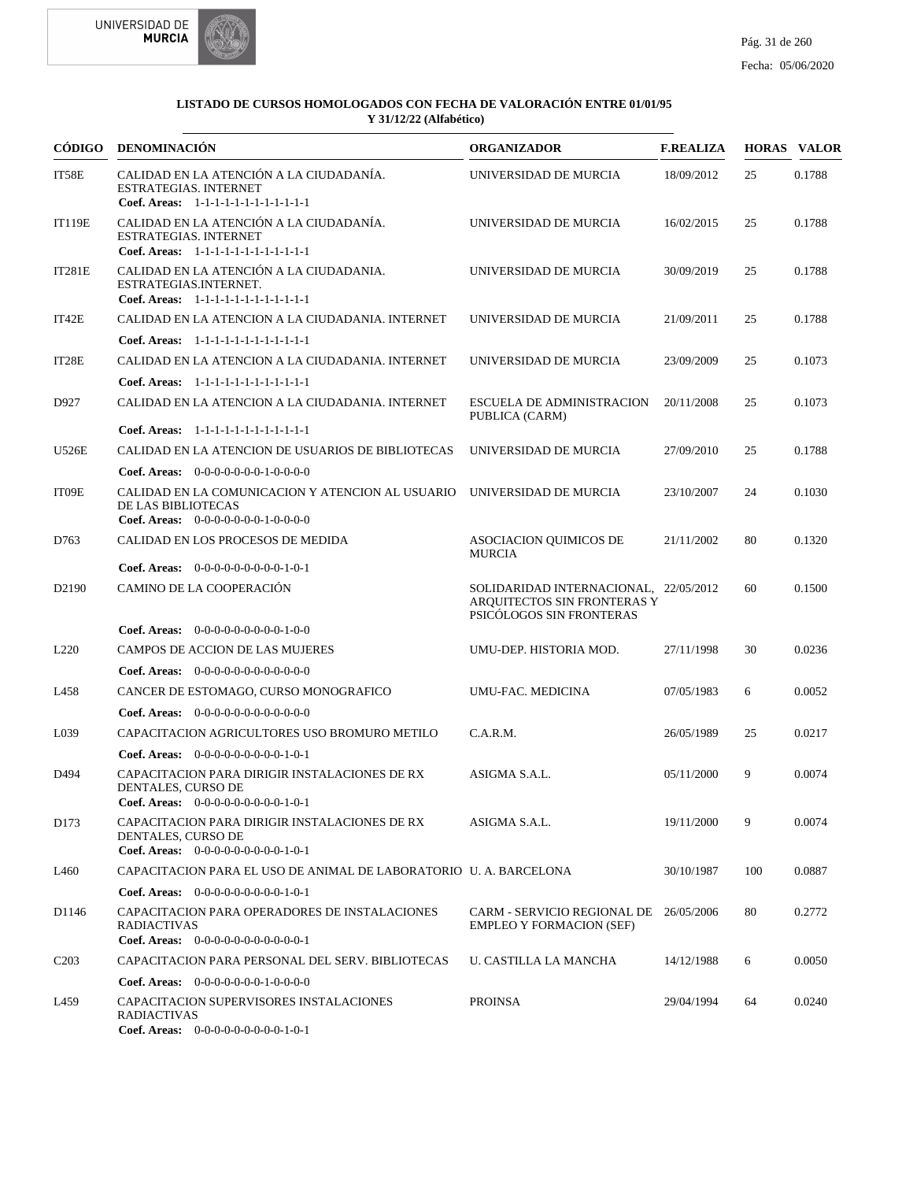



| CÓDIGO            | <b>DENOMINACIÓN</b>                                                                                               | <b>ORGANIZADOR</b>                                                                               | <b>F.REALIZA</b> |     | <b>HORAS VALOR</b> |
|-------------------|-------------------------------------------------------------------------------------------------------------------|--------------------------------------------------------------------------------------------------|------------------|-----|--------------------|
| IT58E             | CALIDAD EN LA ATENCIÓN A LA CIUDADANÍA.<br>ESTRATEGIAS. INTERNET<br>Coef. Areas: 1-1-1-1-1-1-1-1-1-1-1-1-1        | UNIVERSIDAD DE MURCIA                                                                            | 18/09/2012       | 25  | 0.1788             |
| <b>IT119E</b>     | CALIDAD EN LA ATENCIÓN A LA CIUDADANÍA.<br><b>ESTRATEGIAS. INTERNET</b><br>Coef. Areas: 1-1-1-1-1-1-1-1-1-1-1-1-1 | UNIVERSIDAD DE MURCIA                                                                            | 16/02/2015       | 25  | 0.1788             |
| <b>IT281E</b>     | CALIDAD EN LA ATENCIÓN A LA CIUDADANIA.<br>ESTRATEGIAS.INTERNET.<br>Coef. Areas: 1-1-1-1-1-1-1-1-1-1-1-1-1        | UNIVERSIDAD DE MURCIA                                                                            | 30/09/2019       | 25  | 0.1788             |
| IT42E             | CALIDAD EN LA ATENCION A LA CIUDADANIA. INTERNET                                                                  | UNIVERSIDAD DE MURCIA                                                                            | 21/09/2011       | 25  | 0.1788             |
|                   | Coef. Areas: $1-1-1-1-1-1-1-1-1-1-1$                                                                              |                                                                                                  |                  |     |                    |
| IT28E             | CALIDAD EN LA ATENCION A LA CIUDADANIA. INTERNET                                                                  | UNIVERSIDAD DE MURCIA                                                                            | 23/09/2009       | 25  | 0.1073             |
|                   | Coef. Areas: 1-1-1-1-1-1-1-1-1-1-1-1-1                                                                            |                                                                                                  |                  |     |                    |
| D927              | CALIDAD EN LA ATENCION A LA CIUDADANIA. INTERNET                                                                  | <b>ESCUELA DE ADMINISTRACION</b><br>PUBLICA (CARM)                                               | 20/11/2008       | 25  | 0.1073             |
|                   | Coef. Areas: 1-1-1-1-1-1-1-1-1-1-1-1-1                                                                            |                                                                                                  |                  |     |                    |
| U526E             | CALIDAD EN LA ATENCION DE USUARIOS DE BIBLIOTECAS                                                                 | UNIVERSIDAD DE MURCIA                                                                            | 27/09/2010       | 25  | 0.1788             |
|                   | Coef. Areas: 0-0-0-0-0-0-0-1-0-0-0-0                                                                              |                                                                                                  |                  |     |                    |
| IT09E             | CALIDAD EN LA COMUNICACION Y ATENCION AL USUARIO UNIVERSIDAD DE MURCIA<br>DE LAS BIBLIOTECAS                      |                                                                                                  | 23/10/2007       | 24  | 0.1030             |
|                   | Coef. Areas: $0-0-0-0-0-0-1-0-0-0-0$                                                                              |                                                                                                  |                  |     |                    |
| D763              | CALIDAD EN LOS PROCESOS DE MEDIDA<br><b>Coef. Areas:</b> $0-0-0-0-0-0-0-0-1-0-1$                                  | ASOCIACION QUIMICOS DE<br><b>MURCIA</b>                                                          | 21/11/2002       | 80  | 0.1320             |
| D <sub>2190</sub> | CAMINO DE LA COOPERACIÓN                                                                                          | SOLIDARIDAD INTERNACIONAL, 22/05/2012<br>ARQUITECTOS SIN FRONTERAS Y<br>PSICÓLOGOS SIN FRONTERAS |                  | 60  | 0.1500             |
|                   | Coef. Areas: 0-0-0-0-0-0-0-0-0-1-0-0                                                                              |                                                                                                  |                  |     |                    |
| L <sub>220</sub>  | CAMPOS DE ACCION DE LAS MUJERES                                                                                   | UMU-DEP. HISTORIA MOD.                                                                           | 27/11/1998       | 30  | 0.0236             |
|                   | <b>Coef. Areas:</b> $0-0-0-0-0-0-0-0-0-0-0-0$                                                                     |                                                                                                  |                  |     |                    |
| L458              | CANCER DE ESTOMAGO, CURSO MONOGRAFICO                                                                             | UMU-FAC. MEDICINA                                                                                | 07/05/1983       | 6   | 0.0052             |
|                   | Coef. Areas: $0-0-0-0-0-0-0-0-0-0-0-0$                                                                            |                                                                                                  |                  |     |                    |
| L039              | CAPACITACION AGRICULTORES USO BROMURO METILO                                                                      | C.A.R.M.                                                                                         | 26/05/1989       | 25  | 0.0217             |
|                   | <b>Coef. Areas:</b> $0-0-0-0-0-0-0-0-1-0-1$                                                                       |                                                                                                  |                  |     |                    |
| D494              | CAPACITACION PARA DIRIGIR INSTALACIONES DE RX<br>DENTALES, CURSO DE<br>Coef. Areas: 0-0-0-0-0-0-0-0-0-1-0-1       | ASIGMA S.A.L.                                                                                    | 05/11/2000       | 9   | 0.0074             |
| D173              | CAPACITACION PARA DIRIGIR INSTALACIONES DE RX<br>DENTALES, CURSO DE<br>Coef. Areas: $0-0-0-0-0-0-0-0-1-0-1$       | ASIGMA S.A.L.                                                                                    | 19/11/2000       | 9   | 0.0074             |
| L460              | CAPACITACION PARA EL USO DE ANIMAL DE LABORATORIO U. A. BARCELONA                                                 |                                                                                                  | 30/10/1987       | 100 | 0.0887             |
|                   | <b>Coef. Areas:</b> $0-0-0-0-0-0-0-0-1-0-1$                                                                       |                                                                                                  |                  |     |                    |
| D <sub>1146</sub> | CAPACITACION PARA OPERADORES DE INSTALACIONES<br><b>RADIACTIVAS</b><br>Coef. Areas: $0-0-0-0-0-0-0-0-0-0-1$       | CARM - SERVICIO REGIONAL DE 26/05/2006<br><b>EMPLEO Y FORMACION (SEF)</b>                        |                  | 80  | 0.2772             |
| C <sub>2</sub> 03 | CAPACITACION PARA PERSONAL DEL SERV. BIBLIOTECAS                                                                  | U. CASTILLA LA MANCHA                                                                            | 14/12/1988       | 6   | 0.0050             |
|                   | <b>Coef. Areas:</b> $0-0-0-0-0-0-1-0-0-0-0$                                                                       |                                                                                                  |                  |     |                    |
| L459              | CAPACITACION SUPERVISORES INSTALACIONES<br><b>RADIACTIVAS</b><br>Coef. Areas: 0-0-0-0-0-0-0-0-0-1-0-1             | <b>PROINSA</b>                                                                                   | 29/04/1994       | 64  | 0.0240             |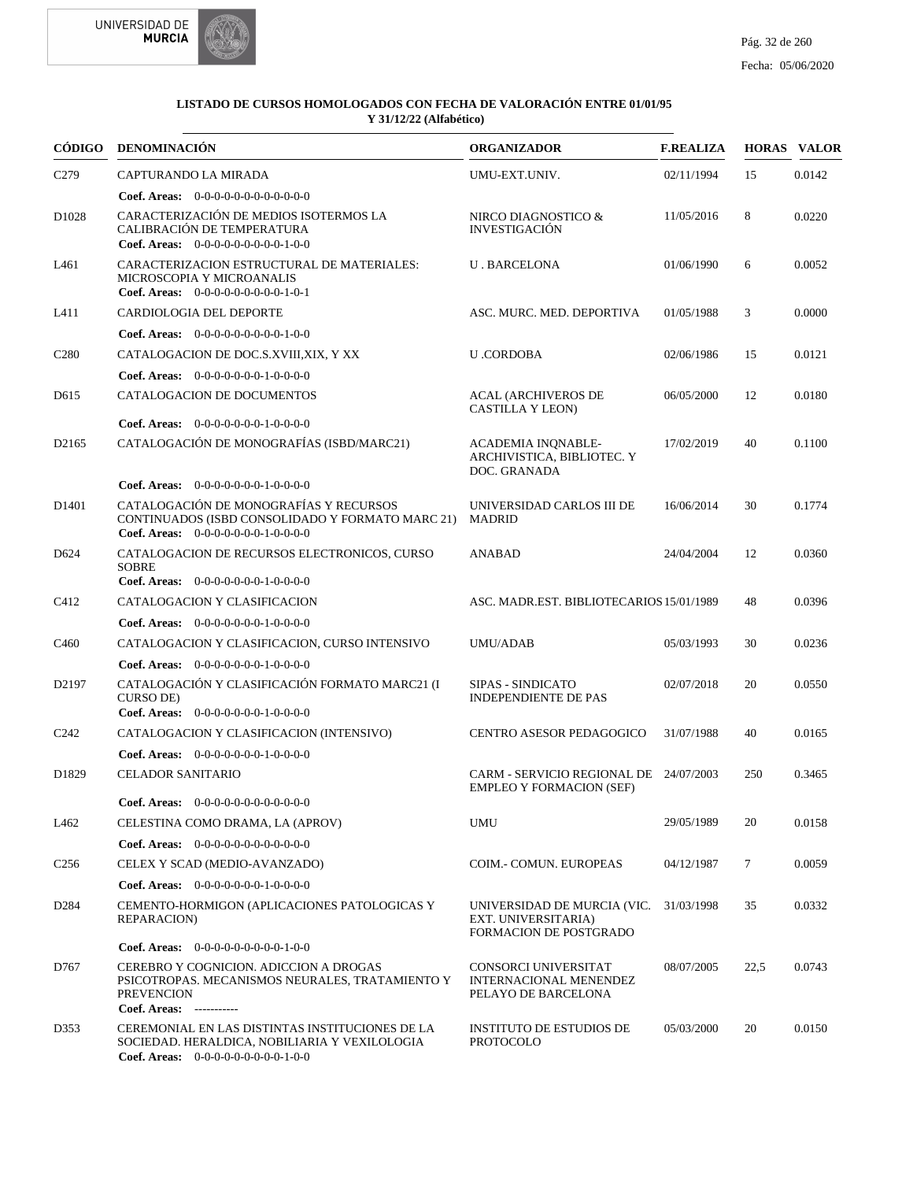



| CÓDIGO             | <b>DENOMINACIÓN</b>                                                                                                                        | <b>ORGANIZADOR</b>                                                                  | <b>F.REALIZA</b> |      | <b>HORAS VALOR</b> |
|--------------------|--------------------------------------------------------------------------------------------------------------------------------------------|-------------------------------------------------------------------------------------|------------------|------|--------------------|
| C <sub>279</sub>   | CAPTURANDO LA MIRADA                                                                                                                       | UMU-EXT.UNIV.                                                                       | 02/11/1994       | 15   | 0.0142             |
|                    | Coef. Areas: 0-0-0-0-0-0-0-0-0-0-0-0-0                                                                                                     |                                                                                     |                  |      |                    |
| D <sub>1028</sub>  | CARACTERIZACIÓN DE MEDIOS ISOTERMOS LA<br>CALIBRACIÓN DE TEMPERATURA<br>Coef. Areas: $0-0-0-0-0-0-0-0-1-0-0$                               | NIRCO DIAGNOSTICO &<br><b>INVESTIGACIÓN</b>                                         | 11/05/2016       | 8    | 0.0220             |
| L461               | CARACTERIZACION ESTRUCTURAL DE MATERIALES:<br>MICROSCOPIA Y MICROANALIS<br>Coef. Areas: $0-0-0-0-0-0-0-0-1-0-1$                            | <b>U. BARCELONA</b>                                                                 | 01/06/1990       | 6    | 0.0052             |
| L411               | CARDIOLOGIA DEL DEPORTE                                                                                                                    | ASC. MURC. MED. DEPORTIVA                                                           | 01/05/1988       | 3    | 0.0000             |
|                    | <b>Coef. Areas:</b> $0-0-0-0-0-0-0-0-1-0-0$                                                                                                |                                                                                     |                  |      |                    |
| C <sub>280</sub>   | CATALOGACION DE DOC.S.XVIII,XIX, Y XX                                                                                                      | <b>U.CORDOBA</b>                                                                    | 02/06/1986       | 15   | 0.0121             |
|                    | <b>Coef. Areas:</b> $0-0-0-0-0-0-1-0-0-0-0$                                                                                                |                                                                                     |                  |      |                    |
| D <sub>615</sub>   | CATALOGACION DE DOCUMENTOS                                                                                                                 | <b>ACAL (ARCHIVEROS DE</b><br>CASTILLA Y LEON)                                      | 06/05/2000       | 12   | 0.0180             |
|                    | Coef. Areas: $0-0-0-0-0-0-1-0-0-0-0$                                                                                                       |                                                                                     |                  |      |                    |
| D <sub>2165</sub>  | CATALOGACIÓN DE MONOGRAFÍAS (ISBD/MARC21)                                                                                                  | <b>ACADEMIA INONABLE-</b><br>ARCHIVISTICA, BIBLIOTEC. Y<br>DOC. GRANADA             | 17/02/2019       | 40   | 0.1100             |
|                    | <b>Coef. Areas:</b> $0-0-0-0-0-0-1-0-0-0-0$                                                                                                |                                                                                     |                  |      |                    |
| D <sub>1401</sub>  | CATALOGACIÓN DE MONOGRAFÍAS Y RECURSOS<br>CONTINUADOS (ISBD CONSOLIDADO Y FORMATO MARC 21)<br>Coef. Areas: $0-0-0-0-0-0-1-0-0-0-0$         | UNIVERSIDAD CARLOS III DE<br><b>MADRID</b>                                          | 16/06/2014       | 30   | 0.1774             |
| D624               | CATALOGACION DE RECURSOS ELECTRONICOS, CURSO<br><b>SOBRE</b><br>Coef. Areas: 0-0-0-0-0-0-0-1-0-0-0-0                                       | ANABAD                                                                              | 24/04/2004       | 12   | 0.0360             |
| C412               | CATALOGACION Y CLASIFICACION                                                                                                               | ASC. MADR.EST. BIBLIOTECARIOS 15/01/1989                                            |                  | 48   | 0.0396             |
|                    | Coef. Areas: $0-0-0-0-0-0-1-0-0-0-0$                                                                                                       |                                                                                     |                  |      |                    |
| C <sub>460</sub>   | CATALOGACION Y CLASIFICACION, CURSO INTENSIVO                                                                                              | UMU/ADAB                                                                            | 05/03/1993       | 30   | 0.0236             |
|                    | <b>Coef. Areas:</b> $0-0-0-0-0-0-1-0-0-0-0$                                                                                                |                                                                                     |                  |      |                    |
| D <sub>2</sub> 197 | CATALOGACIÓN Y CLASIFICACIÓN FORMATO MARC21 (I<br>CURSO DE)<br><b>Coef. Areas:</b> $0-0-0-0-0-0-1-0-0-0-0$                                 | SIPAS - SINDICATO<br><b>INDEPENDIENTE DE PAS</b>                                    | 02/07/2018       | 20   | 0.0550             |
| C <sub>242</sub>   | CATALOGACION Y CLASIFICACION (INTENSIVO)                                                                                                   | CENTRO ASESOR PEDAGOGICO                                                            | 31/07/1988       | 40   | 0.0165             |
|                    | <b>Coef. Areas:</b> $0-0-0-0-0-0-1-0-0-0-0$                                                                                                |                                                                                     |                  |      |                    |
| D1829              | <b>CELADOR SANITARIO</b>                                                                                                                   | CARM - SERVICIO REGIONAL DE 24/07/2003<br><b>EMPLEO Y FORMACION (SEF)</b>           |                  | 250  | 0.3465             |
|                    | <b>Coef. Areas:</b> $0-0-0-0-0-0-0-0-0-0-0$                                                                                                |                                                                                     |                  |      |                    |
| L462               | CELESTINA COMO DRAMA, LA (APROV)                                                                                                           | UMU                                                                                 | 29/05/1989       | 20   | 0.0158             |
|                    | Coef. Areas: 0-0-0-0-0-0-0-0-0-0-0-0-0                                                                                                     |                                                                                     |                  |      |                    |
| C <sub>256</sub>   | CELEX Y SCAD (MEDIO-AVANZADO)                                                                                                              | COIM.- COMUN. EUROPEAS                                                              | 04/12/1987       | 7    | 0.0059             |
|                    | <b>Coef. Areas:</b> $0-0-0-0-0-0-1-0-0-0-0$                                                                                                |                                                                                     |                  |      |                    |
| D <sub>284</sub>   | CEMENTO-HORMIGON (APLICACIONES PATOLOGICAS Y<br><b>REPARACION)</b>                                                                         | UNIVERSIDAD DE MURCIA (VIC.<br>EXT. UNIVERSITARIA)<br><b>FORMACION DE POSTGRADO</b> | 31/03/1998       | 35   | 0.0332             |
|                    | <b>Coef. Areas:</b> $0-0-0-0-0-0-0-0-1-0-0$                                                                                                |                                                                                     |                  |      |                    |
| D767               | CEREBRO Y COGNICION. ADICCION A DROGAS<br>PSICOTROPAS. MECANISMOS NEURALES, TRATAMIENTO Y<br><b>PREVENCION</b><br>Coef. Areas: ----------- | CONSORCI UNIVERSITAT<br>INTERNACIONAL MENENDEZ<br>PELAYO DE BARCELONA               | 08/07/2005       | 22,5 | 0.0743             |
| D353               | CEREMONIAL EN LAS DISTINTAS INSTITUCIONES DE LA<br>SOCIEDAD. HERALDICA, NOBILIARIA Y VEXILOLOGIA<br>Coef. Areas: $0-0-0-0-0-0-0-0-1-0-0$   | <b>INSTITUTO DE ESTUDIOS DE</b><br><b>PROTOCOLO</b>                                 | 05/03/2000       | 20   | 0.0150             |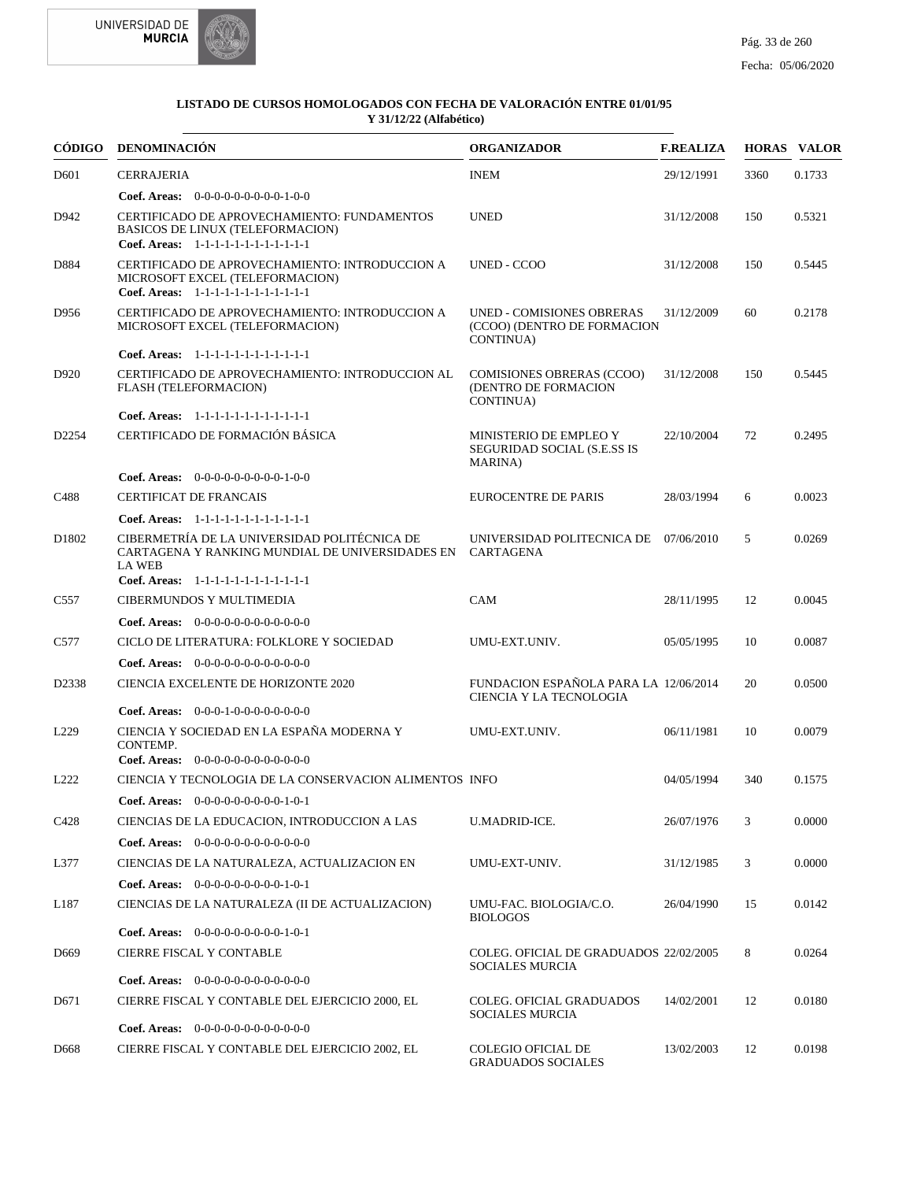

| CÓDIGO           | DENOMINACIÓN                                                                                                                                                         | <b>ORGANIZADOR</b>                                                           | <b>F.REALIZA</b> |      | <b>HORAS VALOR</b> |
|------------------|----------------------------------------------------------------------------------------------------------------------------------------------------------------------|------------------------------------------------------------------------------|------------------|------|--------------------|
| D <sub>601</sub> | <b>CERRAJERIA</b>                                                                                                                                                    | <b>INEM</b>                                                                  | 29/12/1991       | 3360 | 0.1733             |
|                  | Coef. Areas: 0-0-0-0-0-0-0-0-0-1-0-0                                                                                                                                 |                                                                              |                  |      |                    |
| D942             | CERTIFICADO DE APROVECHAMIENTO: FUNDAMENTOS<br>BASICOS DE LINUX (TELEFORMACION)<br>Coef. Areas: 1-1-1-1-1-1-1-1-1-1-1-1-1                                            | <b>UNED</b>                                                                  | 31/12/2008       | 150  | 0.5321             |
| D884             | CERTIFICADO DE APROVECHAMIENTO: INTRODUCCION A<br>MICROSOFT EXCEL (TELEFORMACION)<br>Coef. Areas: 1-1-1-1-1-1-1-1-1-1-1-1-1                                          | UNED - CCOO                                                                  | 31/12/2008       | 150  | 0.5445             |
| D956             | CERTIFICADO DE APROVECHAMIENTO: INTRODUCCION A<br>MICROSOFT EXCEL (TELEFORMACION)                                                                                    | <b>UNED - COMISIONES OBRERAS</b><br>(CCOO) (DENTRO DE FORMACION<br>CONTINUA) | 31/12/2009       | 60   | 0.2178             |
|                  | Coef. Areas: 1-1-1-1-1-1-1-1-1-1-1-1-1                                                                                                                               |                                                                              |                  |      |                    |
| D920             | CERTIFICADO DE APROVECHAMIENTO: INTRODUCCION AL<br>FLASH (TELEFORMACION)                                                                                             | <b>COMISIONES OBRERAS (CCOO)</b><br>(DENTRO DE FORMACION<br>CONTINUA)        | 31/12/2008       | 150  | 0.5445             |
|                  | Coef. Areas: 1-1-1-1-1-1-1-1-1-1-1-1-1                                                                                                                               |                                                                              |                  |      |                    |
| D2254            | CERTIFICADO DE FORMACIÓN BÁSICA                                                                                                                                      | MINISTERIO DE EMPLEO Y<br>SEGURIDAD SOCIAL (S.E.SS IS<br><b>MARINA</b> )     | 22/10/2004       | 72   | 0.2495             |
|                  | <b>Coef. Areas:</b> $0-0-0-0-0-0-0-0-1-0-0$                                                                                                                          |                                                                              |                  |      |                    |
| C <sub>488</sub> | <b>CERTIFICAT DE FRANCAIS</b>                                                                                                                                        | <b>EUROCENTRE DE PARIS</b>                                                   | 28/03/1994       | 6    | 0.0023             |
|                  | Coef. Areas: 1-1-1-1-1-1-1-1-1-1-1-1-1                                                                                                                               |                                                                              |                  |      |                    |
| D1802            | CIBERMETRÍA DE LA UNIVERSIDAD POLITÉCNICA DE<br>CARTAGENA Y RANKING MUNDIAL DE UNIVERSIDADES EN CARTAGENA<br><b>LA WEB</b><br>Coef. Areas: 1-1-1-1-1-1-1-1-1-1-1-1-1 | UNIVERSIDAD POLITECNICA DE 07/06/2010                                        |                  | 5    | 0.0269             |
| C <sub>557</sub> | CIBERMUNDOS Y MULTIMEDIA                                                                                                                                             | CAM                                                                          | 28/11/1995       | 12   | 0.0045             |
|                  | <b>Coef. Areas:</b> $0-0-0-0-0-0-0-0-0-0-0-0$                                                                                                                        |                                                                              |                  |      |                    |
| C577             | CICLO DE LITERATURA: FOLKLORE Y SOCIEDAD                                                                                                                             | UMU-EXT.UNIV.                                                                | 05/05/1995       | 10   | 0.0087             |
|                  |                                                                                                                                                                      |                                                                              |                  |      |                    |
| D2338            | <b>Coef. Areas:</b> $0-0-0-0-0-0-0-0-0-0-0-0$<br>CIENCIA EXCELENTE DE HORIZONTE 2020                                                                                 | FUNDACION ESPAÑOLA PARA LA 12/06/2014                                        |                  | 20   | 0.0500             |
|                  |                                                                                                                                                                      | CIENCIA Y LA TECNOLOGIA                                                      |                  |      |                    |
|                  | <b>Coef. Areas:</b> $0-0-0-1-0-0-0-0-0-0-0-0$                                                                                                                        |                                                                              |                  |      |                    |
| L <sub>229</sub> | CIENCIA Y SOCIEDAD EN LA ESPAÑA MODERNA Y<br>CONTEMP.<br>Coef. Areas: 0-0-0-0-0-0-0-0-0-0-0-0-0                                                                      | UMU-EXT.UNIV.                                                                | 06/11/1981       | 10   | 0.0079             |
| L <sub>222</sub> | CIENCIA Y TECNOLOGIA DE LA CONSERVACION ALIMENTOS INFO                                                                                                               |                                                                              | 04/05/1994       | 340  | 0.1575             |
|                  | <b>Coef. Areas:</b> $0-0-0-0-0-0-0-0-1-0-1$                                                                                                                          |                                                                              |                  |      |                    |
| C <sub>428</sub> | CIENCIAS DE LA EDUCACION, INTRODUCCION A LAS                                                                                                                         | <b>U.MADRID-ICE.</b>                                                         | 26/07/1976       | 3    | 0.0000             |
|                  | Coef. Areas: $0-0-0-0-0-0-0-0-0-0-0$                                                                                                                                 |                                                                              |                  |      |                    |
| L377             | CIENCIAS DE LA NATURALEZA, ACTUALIZACION EN                                                                                                                          | UMU-EXT-UNIV.                                                                | 31/12/1985       | 3    | 0.0000             |
|                  | <b>Coef. Areas:</b> $0-0-0-0-0-0-0-0-1-0-1$                                                                                                                          |                                                                              |                  |      |                    |
| L187             | CIENCIAS DE LA NATURALEZA (II DE ACTUALIZACION)                                                                                                                      | UMU-FAC. BIOLOGIA/C.O.<br><b>BIOLOGOS</b>                                    | 26/04/1990       | 15   | 0.0142             |
|                  | Coef. Areas: $0-0-0-0-0-0-0-0-1-0-1$                                                                                                                                 |                                                                              |                  |      |                    |
| D <sub>669</sub> | CIERRE FISCAL Y CONTABLE                                                                                                                                             | COLEG. OFICIAL DE GRADUADOS 22/02/2005<br><b>SOCIALES MURCIA</b>             |                  | 8    | 0.0264             |
|                  | <b>Coef. Areas:</b> $0-0-0-0-0-0-0-0-0-0-0-0$                                                                                                                        |                                                                              |                  |      |                    |
| D671             | CIERRE FISCAL Y CONTABLE DEL EJERCICIO 2000, EL<br><b>Coef. Areas:</b> $0-0-0-0-0-0-0-0-0-0-0-0$                                                                     | COLEG. OFICIAL GRADUADOS<br><b>SOCIALES MURCIA</b>                           | 14/02/2001       | 12   | 0.0180             |
| D <sub>668</sub> | CIERRE FISCAL Y CONTABLE DEL EJERCICIO 2002, EL                                                                                                                      | <b>COLEGIO OFICIAL DE</b><br><b>GRADUADOS SOCIALES</b>                       | 13/02/2003       | 12   | 0.0198             |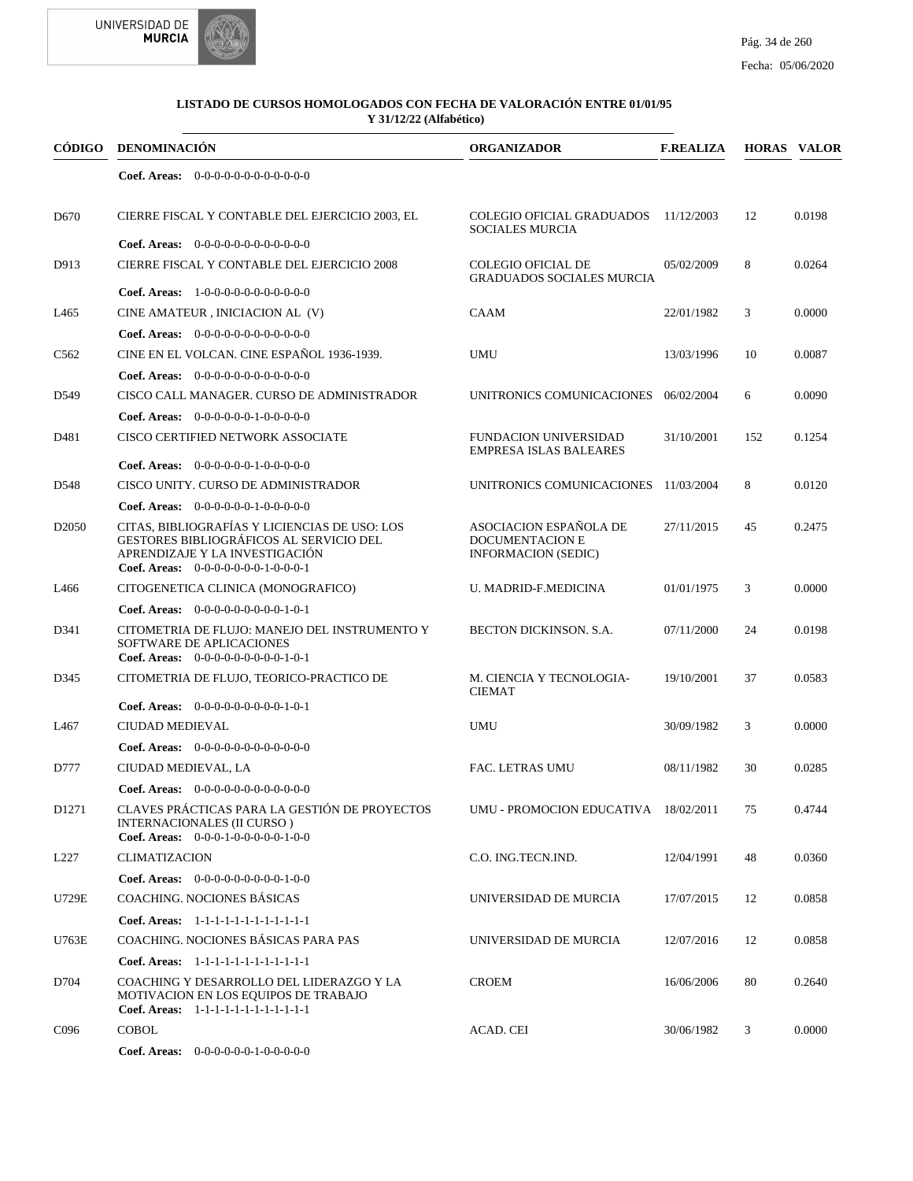



|                   | CÓDIGO DENOMINACIÓN                                                                                                                                                | <b>ORGANIZADOR</b>                                                      | <b>F.REALIZA</b> |     | <b>HORAS VALOR</b> |
|-------------------|--------------------------------------------------------------------------------------------------------------------------------------------------------------------|-------------------------------------------------------------------------|------------------|-----|--------------------|
|                   | <b>Coef. Areas:</b> $0-0-0-0-0-0-0-0-0-0-0-0$                                                                                                                      |                                                                         |                  |     |                    |
| D <sub>670</sub>  | CIERRE FISCAL Y CONTABLE DEL EJERCICIO 2003, EL                                                                                                                    | COLEGIO OFICIAL GRADUADOS 11/12/2003<br><b>SOCIALES MURCIA</b>          |                  | 12  | 0.0198             |
|                   | <b>Coef. Areas:</b> $0-0-0-0-0-0-0-0-0-0-0-0$                                                                                                                      |                                                                         |                  |     |                    |
| D913              | CIERRE FISCAL Y CONTABLE DEL EJERCICIO 2008                                                                                                                        | <b>COLEGIO OFICIAL DE</b><br><b>GRADUADOS SOCIALES MURCIA</b>           | 05/02/2009       | 8   | 0.0264             |
|                   | <b>Coef. Areas:</b> $1-0-0-0-0-0-0-0-0-0-0-0$                                                                                                                      |                                                                         |                  |     |                    |
| L465              | CINE AMATEUR, INICIACION AL (V)                                                                                                                                    | <b>CAAM</b>                                                             | 22/01/1982       | 3   | 0.0000             |
|                   | Coef. Areas: $0-0-0-0-0-0-0-0-0-0-0$                                                                                                                               |                                                                         |                  |     |                    |
| C <sub>562</sub>  | CINE EN EL VOLCAN. CINE ESPAÑOL 1936-1939.                                                                                                                         | <b>UMU</b>                                                              | 13/03/1996       | 10  | 0.0087             |
|                   | Coef. Areas: $0-0-0-0-0-0-0-0-0-0-0$                                                                                                                               |                                                                         |                  |     |                    |
| D549              | CISCO CALL MANAGER. CURSO DE ADMINISTRADOR                                                                                                                         | UNITRONICS COMUNICACIONES 06/02/2004                                    |                  | 6   | 0.0090             |
|                   | <b>Coef. Areas:</b> $0-0-0-0-0-1-0-0-0-0-0$                                                                                                                        |                                                                         |                  |     |                    |
| D481              | CISCO CERTIFIED NETWORK ASSOCIATE                                                                                                                                  | <b>FUNDACION UNIVERSIDAD</b><br><b>EMPRESA ISLAS BALEARES</b>           | 31/10/2001       | 152 | 0.1254             |
|                   | <b>Coef. Areas:</b> $0-0-0-0-0-1-0-0-0-0-0$                                                                                                                        |                                                                         |                  |     |                    |
| D <sub>548</sub>  | CISCO UNITY. CURSO DE ADMINISTRADOR                                                                                                                                | UNITRONICS COMUNICACIONES 11/03/2004                                    |                  | 8   | 0.0120             |
|                   | <b>Coef. Areas:</b> $0-0-0-0-0-1-0-0-0-0-0$                                                                                                                        |                                                                         |                  |     |                    |
| D <sub>2050</sub> | CITAS, BIBLIOGRAFÍAS Y LICIENCIAS DE USO: LOS<br>GESTORES BIBLIOGRÁFICOS AL SERVICIO DEL<br>APRENDIZAJE Y LA INVESTIGACIÓN<br>Coef. Areas: $0-0-0-0-0-0-1-0-0-0-1$ | ASOCIACION ESPAÑOLA DE<br><b>DOCUMENTACION E</b><br>INFORMACION (SEDIC) | 27/11/2015       | 45  | 0.2475             |
| L466              | CITOGENETICA CLINICA (MONOGRAFICO)                                                                                                                                 | U. MADRID-F.MEDICINA                                                    | 01/01/1975       | 3   | 0.0000             |
|                   | Coef. Areas: $0-0-0-0-0-0-0-0-1-0-1$                                                                                                                               |                                                                         |                  |     |                    |
| D341              | CITOMETRIA DE FLUJO: MANEJO DEL INSTRUMENTO Y<br>SOFTWARE DE APLICACIONES<br>Coef. Areas: $0-0-0-0-0-0-0-0-1-0-1$                                                  | BECTON DICKINSON. S.A.                                                  | 07/11/2000       | 24  | 0.0198             |
| D345              | CITOMETRIA DE FLUJO, TEORICO-PRACTICO DE                                                                                                                           | M. CIENCIA Y TECNOLOGIA-                                                | 19/10/2001       | 37  | 0.0583             |
|                   |                                                                                                                                                                    | <b>CIEMAT</b>                                                           |                  |     |                    |
|                   | <b>Coef. Areas:</b> $0-0-0-0-0-0-0-0-1-0-1$                                                                                                                        |                                                                         |                  |     |                    |
| L467              | <b>CIUDAD MEDIEVAL</b>                                                                                                                                             | <b>UMU</b>                                                              | 30/09/1982       | 3   | 0.0000             |
|                   | Coef. Areas: $0-0-0-0-0-0-0-0-0-0-0$                                                                                                                               |                                                                         |                  |     |                    |
| D777              | CIUDAD MEDIEVAL, LA                                                                                                                                                | FAC. LETRAS UMU                                                         | 08/11/1982       | 30  | 0.0285             |
|                   | Coef. Areas: $0-0-0-0-0-0-0-0-0-0-0-0$                                                                                                                             |                                                                         |                  |     |                    |
| D <sub>1271</sub> | CLAVES PRÁCTICAS PARA LA GESTIÓN DE PROYECTOS<br>INTERNACIONALES (II CURSO)<br>Coef. Areas: $0-0-0-1-0-0-0-0-1-0-0$                                                | UMU - PROMOCION EDUCATIVA 18/02/2011                                    |                  | 75  | 0.4744             |
| L <sub>227</sub>  | <b>CLIMATIZACION</b>                                                                                                                                               | C.O. ING.TECN.IND.                                                      | 12/04/1991       | 48  | 0.0360             |
|                   | Coef. Areas: $0-0-0-0-0-0-0-0-1-0-0$                                                                                                                               |                                                                         |                  |     |                    |
| U729E             | COACHING. NOCIONES BÁSICAS                                                                                                                                         | UNIVERSIDAD DE MURCIA                                                   | 17/07/2015       | 12  | 0.0858             |
|                   | Coef. Areas: 1-1-1-1-1-1-1-1-1-1-1-1-1                                                                                                                             |                                                                         |                  |     |                    |
| U763E             | COACHING. NOCIONES BÁSICAS PARA PAS                                                                                                                                | UNIVERSIDAD DE MURCIA                                                   | 12/07/2016       | 12  | 0.0858             |
|                   |                                                                                                                                                                    |                                                                         |                  |     |                    |
|                   | Coef. Areas: 1-1-1-1-1-1-1-1-1-1-1-1-1                                                                                                                             |                                                                         |                  |     |                    |
| D704              | COACHING Y DESARROLLO DEL LIDERAZGO Y LA<br>MOTIVACION EN LOS EQUIPOS DE TRABAJO<br>Coef. Areas: 1-1-1-1-1-1-1-1-1-1-1-1-1                                         | <b>CROEM</b>                                                            | 16/06/2006       | 80  | 0.2640             |
| C <sub>096</sub>  | <b>COBOL</b>                                                                                                                                                       | ACAD. CEI                                                               | 30/06/1982       | 3   | 0.0000             |
|                   | Coef. Areas: 0-0-0-0-0-0-1-0-0-0-0-0                                                                                                                               |                                                                         |                  |     |                    |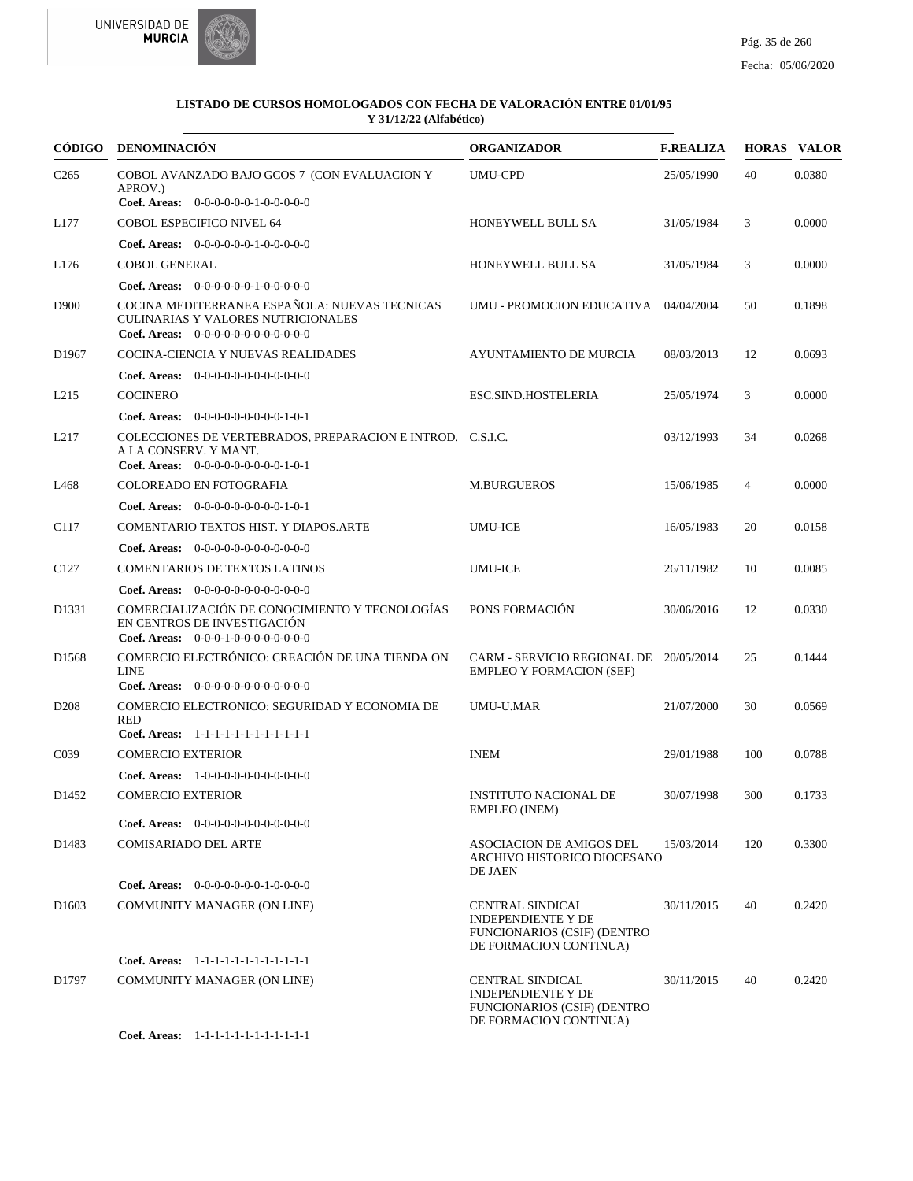



|                   | CÓDIGO DENOMINACIÓN                                                                                                         | <b>ORGANIZADOR</b>                                                                                                   | <b>F.REALIZA</b> |     | <b>HORAS VALOR</b> |
|-------------------|-----------------------------------------------------------------------------------------------------------------------------|----------------------------------------------------------------------------------------------------------------------|------------------|-----|--------------------|
| C <sub>265</sub>  | COBOL AVANZADO BAJO GCOS 7 (CON EVALUACION Y<br>APROV.)                                                                     | <b>UMU-CPD</b>                                                                                                       | 25/05/1990       | 40  | 0.0380             |
|                   | Coef. Areas: $0-0-0-0-0-1-0-0-0-0-0$                                                                                        |                                                                                                                      |                  |     |                    |
| L177              | <b>COBOL ESPECIFICO NIVEL 64</b>                                                                                            | HONEYWELL BULL SA                                                                                                    | 31/05/1984       | 3   | 0.0000             |
|                   | <b>Coef. Areas:</b> $0-0-0-0-0-1-0-0-0-0-0$                                                                                 |                                                                                                                      |                  |     |                    |
| L176              | <b>COBOL GENERAL</b>                                                                                                        | HONEYWELL BULL SA                                                                                                    | 31/05/1984       | 3   | 0.0000             |
|                   | Coef. Areas: $0-0-0-0-0-1-0-0-0-0-0$                                                                                        |                                                                                                                      |                  |     |                    |
| D900              | COCINA MEDITERRANEA ESPAÑOLA: NUEVAS TECNICAS<br>CULINARIAS Y VALORES NUTRICIONALES<br>Coef. Areas: $0-0-0-0-0-0-0-0-0-0-0$ | UMU - PROMOCION EDUCATIVA                                                                                            | 04/04/2004       | 50  | 0.1898             |
| D1967             | COCINA-CIENCIA Y NUEVAS REALIDADES                                                                                          | AYUNTAMIENTO DE MURCIA                                                                                               | 08/03/2013       | 12  | 0.0693             |
|                   | <b>Coef. Areas:</b> $0-0-0-0-0-0-0-0-0-0-0-0$                                                                               |                                                                                                                      |                  |     |                    |
| L <sub>215</sub>  | <b>COCINERO</b>                                                                                                             | ESC.SIND.HOSTELERIA                                                                                                  | 25/05/1974       | 3   | 0.0000             |
|                   | Coef. Areas: $0-0-0-0-0-0-0-0-1-0-1$                                                                                        |                                                                                                                      |                  |     |                    |
| L <sub>217</sub>  | COLECCIONES DE VERTEBRADOS, PREPARACION E INTROD. C.S.I.C.<br>A LA CONSERV. Y MANT.<br>Coef. Areas: $0-0-0-0-0-0-0-0-1-0-1$ |                                                                                                                      | 03/12/1993       | 34  | 0.0268             |
| L468              | COLOREADO EN FOTOGRAFIA                                                                                                     | <b>M.BURGUEROS</b>                                                                                                   | 15/06/1985       | 4   | 0.0000             |
|                   | <b>Coef. Areas:</b> $0-0-0-0-0-0-0-0-1-0-1$                                                                                 |                                                                                                                      |                  |     |                    |
| C <sub>117</sub>  | COMENTARIO TEXTOS HIST. Y DIAPOS.ARTE                                                                                       | <b>UMU-ICE</b>                                                                                                       | 16/05/1983       | 20  | 0.0158             |
|                   | <b>Coef. Areas:</b> $0-0-0-0-0-0-0-0-0-0-0$                                                                                 |                                                                                                                      |                  |     |                    |
| C <sub>127</sub>  | <b>COMENTARIOS DE TEXTOS LATINOS</b>                                                                                        | <b>UMU-ICE</b>                                                                                                       | 26/11/1982       | 10  | 0.0085             |
|                   | <b>Coef. Areas:</b> $0-0-0-0-0-0-0-0-0-0-0-0$                                                                               |                                                                                                                      |                  |     |                    |
| D1331             | COMERCIALIZACIÓN DE CONOCIMIENTO Y TECNOLOGÍAS<br>EN CENTROS DE INVESTIGACIÓN<br>Coef. Areas: $0-0-0-1-0-0-0-0-0-0-0$       | PONS FORMACIÓN                                                                                                       | 30/06/2016       | 12  | 0.0330             |
| D <sub>1568</sub> | COMERCIO ELECTRÓNICO: CREACIÓN DE UNA TIENDA ON<br><b>LINE</b><br>Coef. Areas: $0-0-0-0-0-0-0-0-0-0-0$                      | CARM - SERVICIO REGIONAL DE 20/05/2014<br><b>EMPLEO Y FORMACION (SEF)</b>                                            |                  | 25  | 0.1444             |
| D <sub>208</sub>  | COMERCIO ELECTRONICO: SEGURIDAD Y ECONOMIA DE                                                                               | UMU-U.MAR                                                                                                            | 21/07/2000       | 30  | 0.0569             |
|                   | <b>RED</b>                                                                                                                  |                                                                                                                      |                  |     |                    |
|                   | Coef. Areas: 1-1-1-1-1-1-1-1-1-1-1-1-1                                                                                      |                                                                                                                      |                  |     |                    |
| C <sub>0</sub> 39 | <b>COMERCIO EXTERIOR</b>                                                                                                    | <b>INEM</b>                                                                                                          | 29/01/1988       | 100 | 0.0788             |
| D <sub>1452</sub> | Coef. Areas: 1-0-0-0-0-0-0-0-0-0-0-0<br><b>COMERCIO EXTERIOR</b>                                                            | <b>INSTITUTO NACIONAL DE</b><br>EMPLEO (INEM)                                                                        | 30/07/1998       | 300 | 0.1733             |
|                   | Coef. Areas: $0-0-0-0-0-0-0-0-0-0-0$                                                                                        |                                                                                                                      |                  |     |                    |
| D1483             | <b>COMISARIADO DEL ARTE</b>                                                                                                 | ASOCIACION DE AMIGOS DEL<br>ARCHIVO HISTORICO DIOCESANO<br>DE JAEN                                                   | 15/03/2014       | 120 | 0.3300             |
|                   | <b>Coef. Areas:</b> $0-0-0-0-0-0-1-0-0-0-0$                                                                                 |                                                                                                                      |                  |     |                    |
| D <sub>1603</sub> | <b>COMMUNITY MANAGER (ON LINE)</b>                                                                                          | CENTRAL SINDICAL<br><b>INDEPENDIENTE Y DE</b><br><b>FUNCIONARIOS (CSIF) (DENTRO</b><br>DE FORMACION CONTINUA)        | 30/11/2015       | 40  | 0.2420             |
|                   | Coef. Areas: 1-1-1-1-1-1-1-1-1-1-1-1-1                                                                                      |                                                                                                                      |                  |     |                    |
| D1797             | COMMUNITY MANAGER (ON LINE)                                                                                                 | <b>CENTRAL SINDICAL</b><br><b>INDEPENDIENTE Y DE</b><br><b>FUNCIONARIOS (CSIF) (DENTRO</b><br>DE FORMACION CONTINUA) | 30/11/2015       | 40  | 0.2420             |
|                   | Coef. Areas: 1-1-1-1-1-1-1-1-1-1-1-1-1                                                                                      |                                                                                                                      |                  |     |                    |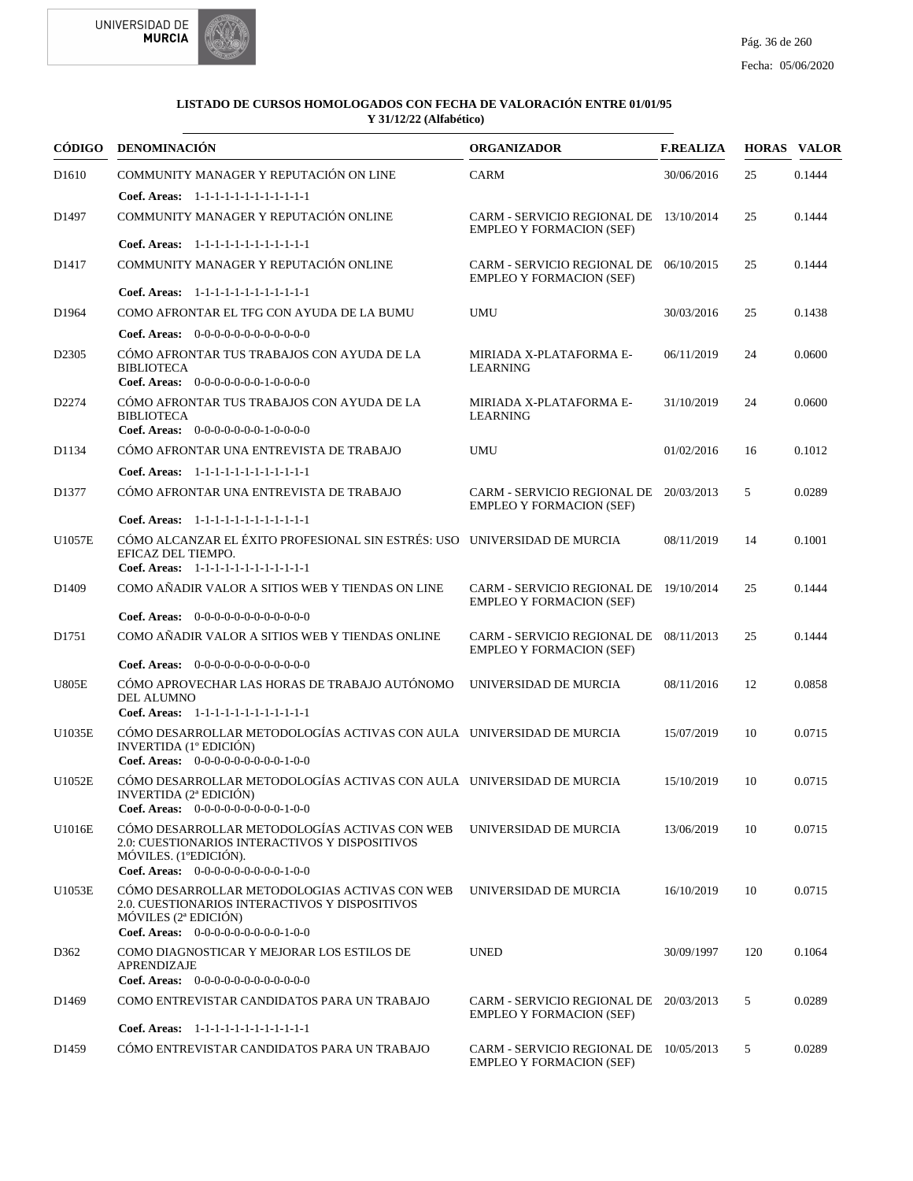



|                   | CÓDIGO DENOMINACIÓN                                                                                                                                              | <b>ORGANIZADOR</b>                                                        | <b>F.REALIZA</b> |     | <b>HORAS VALOR</b> |
|-------------------|------------------------------------------------------------------------------------------------------------------------------------------------------------------|---------------------------------------------------------------------------|------------------|-----|--------------------|
| D <sub>1610</sub> | COMMUNITY MANAGER Y REPUTACIÓN ON LINE                                                                                                                           | <b>CARM</b>                                                               | 30/06/2016       | 25  | 0.1444             |
|                   | Coef. Areas: 1-1-1-1-1-1-1-1-1-1-1-1-1                                                                                                                           |                                                                           |                  |     |                    |
| D1497             | COMMUNITY MANAGER Y REPUTACIÓN ONLINE                                                                                                                            | CARM - SERVICIO REGIONAL DE 13/10/2014<br><b>EMPLEO Y FORMACION (SEF)</b> |                  | 25  | 0.1444             |
|                   | Coef. Areas: 1-1-1-1-1-1-1-1-1-1-1-1-1                                                                                                                           |                                                                           |                  |     |                    |
| D <sub>1417</sub> | COMMUNITY MANAGER Y REPUTACIÓN ONLINE                                                                                                                            | CARM - SERVICIO REGIONAL DE 06/10/2015<br><b>EMPLEO Y FORMACION (SEF)</b> |                  | 25  | 0.1444             |
|                   | Coef. Areas: 1-1-1-1-1-1-1-1-1-1-1-1-1                                                                                                                           |                                                                           |                  |     |                    |
| D1964             | COMO AFRONTAR EL TFG CON AYUDA DE LA BUMU                                                                                                                        | <b>UMU</b>                                                                | 30/03/2016       | 25  | 0.1438             |
|                   | <b>Coef. Areas:</b> $0-0-0-0-0-0-0-0-0-0-0-0$                                                                                                                    |                                                                           |                  |     |                    |
| D <sub>2305</sub> | CÓMO AFRONTAR TUS TRABAJOS CON AYUDA DE LA<br><b>BIBLIOTECA</b><br><b>Coef. Areas:</b> $0-0-0-0-0-0-1-0-0-0-0$                                                   | MIRIADA X-PLATAFORMA E-<br><b>LEARNING</b>                                | 06/11/2019       | 24  | 0.0600             |
| D2274             | CÓMO AFRONTAR TUS TRABAJOS CON AYUDA DE LA<br><b>BIBLIOTECA</b>                                                                                                  | MIRIADA X-PLATAFORMA E-<br><b>LEARNING</b>                                | 31/10/2019       | 24  | 0.0600             |
|                   | Coef. Areas: $0-0-0-0-0-0-1-0-0-0-0$                                                                                                                             |                                                                           |                  |     |                    |
| D1134             | CÓMO AFRONTAR UNA ENTREVISTA DE TRABAJO                                                                                                                          | <b>UMU</b>                                                                | 01/02/2016       | 16  | 0.1012             |
|                   | Coef. Areas: 1-1-1-1-1-1-1-1-1-1-1-1-1                                                                                                                           |                                                                           |                  |     |                    |
| D1377             | CÓMO AFRONTAR UNA ENTREVISTA DE TRABAJO                                                                                                                          | CARM - SERVICIO REGIONAL DE 20/03/2013<br><b>EMPLEO Y FORMACION (SEF)</b> |                  | 5   | 0.0289             |
|                   | Coef. Areas: 1-1-1-1-1-1-1-1-1-1-1-1-1<br>CÓMO ALCANZAR EL ÉXITO PROFESIONAL SIN ESTRÉS: USO UNIVERSIDAD DE MURCIA                                               |                                                                           |                  |     |                    |
| U1057E            | EFICAZ DEL TIEMPO.<br>Coef. Areas: 1-1-1-1-1-1-1-1-1-1-1-1-1                                                                                                     |                                                                           | 08/11/2019       | 14  | 0.1001             |
| D <sub>1409</sub> | COMO AÑADIR VALOR A SITIOS WEB Y TIENDAS ON LINE                                                                                                                 | CARM - SERVICIO REGIONAL DE 19/10/2014<br><b>EMPLEO Y FORMACION (SEF)</b> |                  | 25  | 0.1444             |
|                   | Coef. Areas: $0-0-0-0-0-0-0-0-0-0-0$                                                                                                                             |                                                                           |                  |     |                    |
| D <sub>1751</sub> | COMO AÑADIR VALOR A SITIOS WEB Y TIENDAS ONLINE                                                                                                                  | CARM - SERVICIO REGIONAL DE 08/11/2013<br><b>EMPLEO Y FORMACION (SEF)</b> |                  | 25  | 0.1444             |
|                   | <b>Coef. Areas:</b> $0-0-0-0-0-0-0-0-0-0-0-0$                                                                                                                    |                                                                           |                  |     |                    |
| <b>U805E</b>      | CÓMO APROVECHAR LAS HORAS DE TRABAJO AUTÓNOMO<br><b>DEL ALUMNO</b><br>Coef. Areas: 1-1-1-1-1-1-1-1-1-1-1-1-1                                                     | UNIVERSIDAD DE MURCIA                                                     | 08/11/2016       | 12  | 0.0858             |
| U1035E            | CÓMO DESARROLLAR METODOLOGÍAS ACTIVAS CON AULA UNIVERSIDAD DE MURCIA<br>INVERTIDA (1º EDICIÓN)<br>Coef. Areas: 0-0-0-0-0-0-0-0-0-1-0-0                           |                                                                           | 15/07/2019       | 10  | 0.0715             |
| U1052E            | CÓMO DESARROLLAR METODOLOGÍAS ACTIVAS CON AULA UNIVERSIDAD DE MURCIA<br>INVERTIDA (2ª EDICIÓN)<br>Coef. Areas: $0-0-0-0-0-0-0-0-1-0-0$                           |                                                                           | 15/10/2019       | 10  | 0.0715             |
| U1016E            | CÓMO DESARROLLAR METODOLOGÍAS ACTIVAS CON WEB<br>2.0: CUESTIONARIOS INTERACTIVOS Y DISPOSITIVOS<br>MÓVILES. (1ºEDICIÓN).<br>Coef. Areas: $0-0-0-0-0-0-0-0-1-0-0$ | UNIVERSIDAD DE MURCIA                                                     | 13/06/2019       | 10  | 0.0715             |
| U1053E            | CÓMO DESARROLLAR METODOLOGIAS ACTIVAS CON WEB<br>2.0. CUESTIONARIOS INTERACTIVOS Y DISPOSITIVOS<br>MÓVILES (2ª EDICIÓN)<br>Coef. Areas: 0-0-0-0-0-0-0-0-0-1-0-0  | UNIVERSIDAD DE MURCIA                                                     | 16/10/2019       | 10  | 0.0715             |
| D362              | COMO DIAGNOSTICAR Y MEJORAR LOS ESTILOS DE<br>APRENDIZAJE                                                                                                        | <b>UNED</b>                                                               | 30/09/1997       | 120 | 0.1064             |
|                   | Coef. Areas: 0-0-0-0-0-0-0-0-0-0-0-0-0                                                                                                                           |                                                                           |                  |     |                    |
| D <sub>1469</sub> | COMO ENTREVISTAR CANDIDATOS PARA UN TRABAJO<br>Coef. Areas: 1-1-1-1-1-1-1-1-1-1-1-1-1                                                                            | CARM - SERVICIO REGIONAL DE 20/03/2013<br><b>EMPLEO Y FORMACION (SEF)</b> |                  | 5   | 0.0289             |
| D <sub>1459</sub> | CÓMO ENTREVISTAR CANDIDATOS PARA UN TRABAJO                                                                                                                      | CARM - SERVICIO REGIONAL DE 10/05/2013<br><b>EMPLEO Y FORMACION (SEF)</b> |                  | 5   | 0.0289             |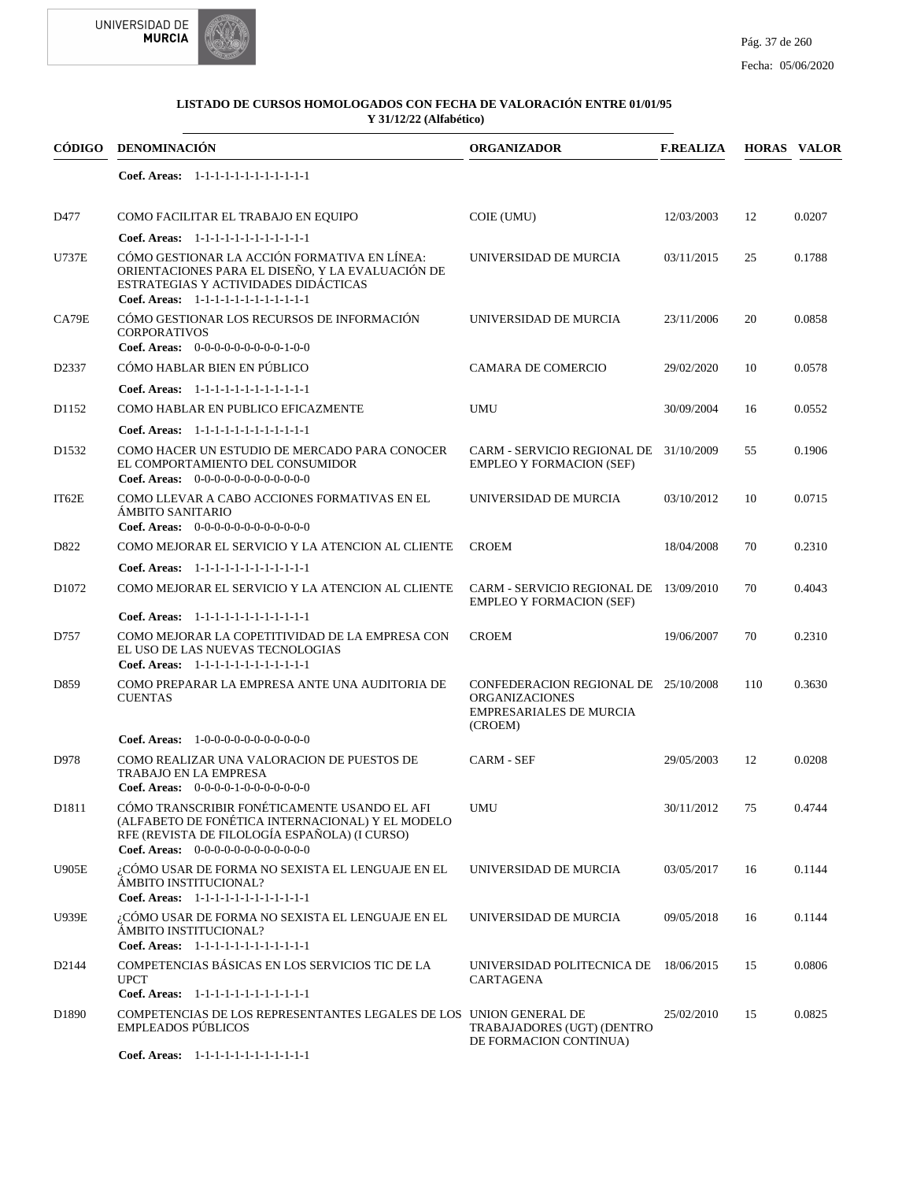



|                   | CÓDIGO DENOMINACIÓN                                                                                                                                                                       | <b>ORGANIZADOR</b>                                                                                         | <b>F.REALIZA</b> |     | <b>HORAS VALOR</b> |
|-------------------|-------------------------------------------------------------------------------------------------------------------------------------------------------------------------------------------|------------------------------------------------------------------------------------------------------------|------------------|-----|--------------------|
|                   | Coef. Areas: 1-1-1-1-1-1-1-1-1-1-1-1-1                                                                                                                                                    |                                                                                                            |                  |     |                    |
| D477              | COMO FACILITAR EL TRABAJO EN EQUIPO                                                                                                                                                       | COIE (UMU)                                                                                                 | 12/03/2003       | 12  | 0.0207             |
|                   | Coef. Areas: 1-1-1-1-1-1-1-1-1-1-1-1-1                                                                                                                                                    |                                                                                                            |                  |     |                    |
| U737E             | CÓMO GESTIONAR LA ACCIÓN FORMATIVA EN LÍNEA:<br>ORIENTACIONES PARA EL DISEÑO, Y LA EVALUACIÓN DE<br>ESTRATEGIAS Y ACTIVIDADES DIDÁCTICAS<br>Coef. Areas: 1-1-1-1-1-1-1-1-1-1-1-1-1        | UNIVERSIDAD DE MURCIA                                                                                      | 03/11/2015       | 25  | 0.1788             |
| CA79E             | CÓMO GESTIONAR LOS RECURSOS DE INFORMACIÓN<br><b>CORPORATIVOS</b><br>Coef. Areas: $0-0-0-0-0-0-0-0-1-0-0$                                                                                 | UNIVERSIDAD DE MURCIA                                                                                      | 23/11/2006       | 20  | 0.0858             |
| D2337             | CÓMO HABLAR BIEN EN PÚBLICO                                                                                                                                                               | CAMARA DE COMERCIO                                                                                         | 29/02/2020       | 10  | 0.0578             |
|                   | Coef. Areas: 1-1-1-1-1-1-1-1-1-1-1-1-1                                                                                                                                                    |                                                                                                            |                  |     |                    |
| D1152             | COMO HABLAR EN PUBLICO EFICAZMENTE                                                                                                                                                        | <b>UMU</b>                                                                                                 | 30/09/2004       | 16  | 0.0552             |
|                   | Coef. Areas: 1-1-1-1-1-1-1-1-1-1-1-1-1                                                                                                                                                    |                                                                                                            |                  |     |                    |
| D <sub>1532</sub> | COMO HACER UN ESTUDIO DE MERCADO PARA CONOCER<br>EL COMPORTAMIENTO DEL CONSUMIDOR<br><b>Coef. Areas:</b> $0-0-0-0-0-0-0-0-0-0-0-0$                                                        | CARM - SERVICIO REGIONAL DE 31/10/2009<br><b>EMPLEO Y FORMACION (SEF)</b>                                  |                  | 55  | 0.1906             |
| IT62E             | COMO LLEVAR A CABO ACCIONES FORMATIVAS EN EL<br>ÁMBITO SANITARIO<br>Coef. Areas: $0-0-0-0-0-0-0-0-0-0-0$                                                                                  | UNIVERSIDAD DE MURCIA                                                                                      | 03/10/2012       | 10  | 0.0715             |
| D822              | COMO MEJORAR EL SERVICIO Y LA ATENCION AL CLIENTE                                                                                                                                         | <b>CROEM</b>                                                                                               | 18/04/2008       | 70  | 0.2310             |
|                   | Coef. Areas: 1-1-1-1-1-1-1-1-1-1-1-1-1                                                                                                                                                    |                                                                                                            |                  |     |                    |
| D1072             | COMO MEJORAR EL SERVICIO Y LA ATENCION AL CLIENTE                                                                                                                                         | CARM - SERVICIO REGIONAL DE 13/09/2010<br><b>EMPLEO Y FORMACION (SEF)</b>                                  |                  | 70  | 0.4043             |
|                   | Coef. Areas: 1-1-1-1-1-1-1-1-1-1-1-1-1                                                                                                                                                    |                                                                                                            |                  |     |                    |
| D757              | COMO MEJORAR LA COPETITIVIDAD DE LA EMPRESA CON<br>EL USO DE LAS NUEVAS TECNOLOGIAS<br>Coef. Areas: 1-1-1-1-1-1-1-1-1-1-1-1-1                                                             | <b>CROEM</b>                                                                                               | 19/06/2007       | 70  | 0.2310             |
| D859              | COMO PREPARAR LA EMPRESA ANTE UNA AUDITORIA DE<br><b>CUENTAS</b>                                                                                                                          | CONFEDERACION REGIONAL DE 25/10/2008<br><b>ORGANIZACIONES</b><br><b>EMPRESARIALES DE MURCIA</b><br>(CROEM) |                  | 110 | 0.3630             |
|                   | Coef. Areas: $1-0-0-0-0-0-0-0-0-0-0$                                                                                                                                                      |                                                                                                            |                  |     |                    |
| D978              | COMO REALIZAR UNA VALORACION DE PUESTOS DE<br>TRABAJO EN LA EMPRESA<br>Coef. Areas: $0-0-0-0-1-0-0-0-0-0-0-0$                                                                             | <b>CARM - SEF</b>                                                                                          | 29/05/2003       | 12  | 0.0208             |
| D1811             | CÓMO TRANSCRIBIR FONÉTICAMENTE USANDO EL AFI<br>(ALFABETO DE FONÉTICA INTERNACIONAL) Y EL MODELO<br>RFE (REVISTA DE FILOLOGÍA ESPAÑOLA) (I CURSO)<br>Coef. Areas: $0-0-0-0-0-0-0-0-0-0-0$ | <b>UMU</b>                                                                                                 | 30/11/2012       | 75  | 0.4744             |
| <b>U905E</b>      | ¿CÓMO USAR DE FORMA NO SEXISTA EL LENGUAJE EN EL<br>ÁMBITO INSTITUCIONAL?<br>Coef. Areas: 1-1-1-1-1-1-1-1-1-1-1-1-1                                                                       | UNIVERSIDAD DE MURCIA                                                                                      | 03/05/2017       | 16  | 0.1144             |
| <b>U939E</b>      | ¿CÓMO USAR DE FORMA NO SEXISTA EL LENGUAJE EN EL<br>ÁMBITO INSTITUCIONAL?<br>Coef. Areas: 1-1-1-1-1-1-1-1-1-1-1-1-1                                                                       | UNIVERSIDAD DE MURCIA                                                                                      | 09/05/2018       | 16  | 0.1144             |
| D <sub>2144</sub> | COMPETENCIAS BÁSICAS EN LOS SERVICIOS TIC DE LA<br><b>UPCT</b><br>Coef. Areas: 1-1-1-1-1-1-1-1-1-1-1-1-1                                                                                  | UNIVERSIDAD POLITECNICA DE 18/06/2015<br>CARTAGENA                                                         |                  | 15  | 0.0806             |
| D1890             | COMPETENCIAS DE LOS REPRESENTANTES LEGALES DE LOS UNION GENERAL DE<br><b>EMPLEADOS PÚBLICOS</b>                                                                                           | TRABAJADORES (UGT) (DENTRO<br>DE FORMACION CONTINUA)                                                       | 25/02/2010       | 15  | 0.0825             |
|                   | Coef. Areas: 1-1-1-1-1-1-1-1-1-1-1-1-1                                                                                                                                                    |                                                                                                            |                  |     |                    |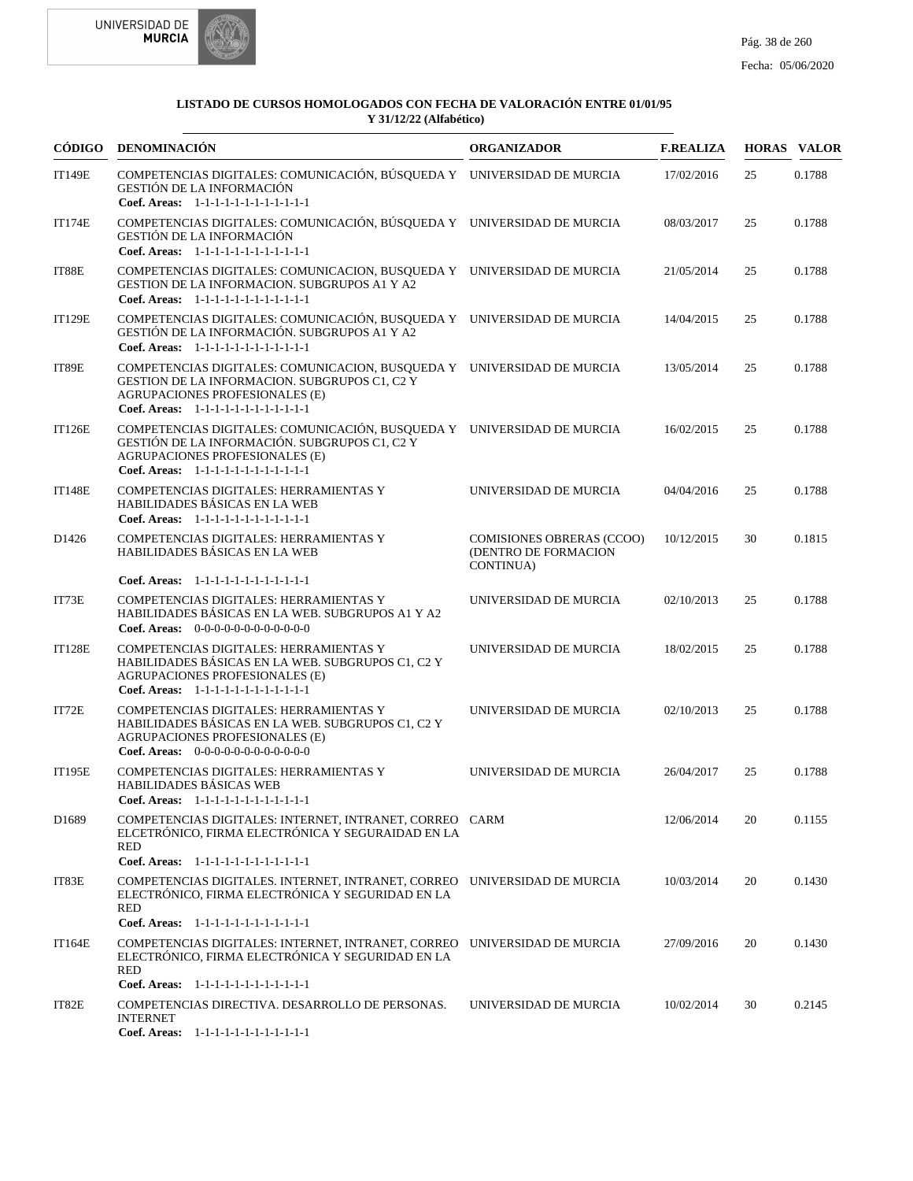



|                   | CÓDIGO DENOMINACIÓN                                                                                                                                                                                 | <b>ORGANIZADOR</b>                                                    | <b>F.REALIZA</b> |    | <b>HORAS VALOR</b> |
|-------------------|-----------------------------------------------------------------------------------------------------------------------------------------------------------------------------------------------------|-----------------------------------------------------------------------|------------------|----|--------------------|
| <b>IT149E</b>     | COMPETENCIAS DIGITALES: COMUNICACIÓN, BÚSQUEDA Y UNIVERSIDAD DE MURCIA<br>GESTIÓN DE LA INFORMACIÓN<br>Coef. Areas: 1-1-1-1-1-1-1-1-1-1-1-1-1                                                       |                                                                       | 17/02/2016       | 25 | 0.1788             |
| <b>IT174E</b>     | COMPETENCIAS DIGITALES: COMUNICACIÓN, BÚSQUEDA Y UNIVERSIDAD DE MURCIA<br>GESTIÓN DE LA INFORMACIÓN<br>Coef. Areas: 1-1-1-1-1-1-1-1-1-1-1-1-1                                                       |                                                                       | 08/03/2017       | 25 | 0.1788             |
| IT88E             | COMPETENCIAS DIGITALES: COMUNICACION, BUSQUEDA Y UNIVERSIDAD DE MURCIA<br>GESTION DE LA INFORMACION. SUBGRUPOS A1 Y A2<br>Coef. Areas: 1-1-1-1-1-1-1-1-1-1-1-1-1                                    |                                                                       | 21/05/2014       | 25 | 0.1788             |
| <b>IT129E</b>     | COMPETENCIAS DIGITALES: COMUNICACIÓN, BUSQUEDA Y UNIVERSIDAD DE MURCIA<br>GESTIÓN DE LA INFORMACIÓN. SUBGRUPOS A1 Y A2<br>Coef. Areas: 1-1-1-1-1-1-1-1-1-1-1-1-1                                    |                                                                       | 14/04/2015       | 25 | 0.1788             |
| IT89E             | COMPETENCIAS DIGITALES: COMUNICACION, BUSQUEDA Y UNIVERSIDAD DE MURCIA<br>GESTION DE LA INFORMACION. SUBGRUPOS C1, C2 Y<br>AGRUPACIONES PROFESIONALES (E)<br>Coef. Areas: 1-1-1-1-1-1-1-1-1-1-1-1-1 |                                                                       | 13/05/2014       | 25 | 0.1788             |
| <b>IT126E</b>     | COMPETENCIAS DIGITALES: COMUNICACIÓN, BUSQUEDA Y UNIVERSIDAD DE MURCIA<br>GESTIÓN DE LA INFORMACIÓN. SUBGRUPOS C1, C2 Y<br>AGRUPACIONES PROFESIONALES (E)<br>Coef. Areas: 1-1-1-1-1-1-1-1-1-1-1-1-1 |                                                                       | 16/02/2015       | 25 | 0.1788             |
| <b>IT148E</b>     | COMPETENCIAS DIGITALES: HERRAMIENTAS Y<br>HABILIDADES BÁSICAS EN LA WEB<br>Coef. Areas: 1-1-1-1-1-1-1-1-1-1-1-1-1                                                                                   | UNIVERSIDAD DE MURCIA                                                 | 04/04/2016       | 25 | 0.1788             |
| D <sub>1426</sub> | COMPETENCIAS DIGITALES: HERRAMIENTAS Y<br>HABILIDADES BÁSICAS EN LA WEB                                                                                                                             | <b>COMISIONES OBRERAS (CCOO)</b><br>(DENTRO DE FORMACION<br>CONTINUA) | 10/12/2015       | 30 | 0.1815             |
|                   | Coef. Areas: 1-1-1-1-1-1-1-1-1-1-1-1-1                                                                                                                                                              |                                                                       |                  |    |                    |
| IT73E             | COMPETENCIAS DIGITALES: HERRAMIENTAS Y<br>HABILIDADES BÁSICAS EN LA WEB. SUBGRUPOS A1 Y A2<br>Coef. Areas: $0-0-0-0-0-0-0-0-0-0-0$                                                                  | UNIVERSIDAD DE MURCIA                                                 | 02/10/2013       | 25 | 0.1788             |
| <b>IT128E</b>     | COMPETENCIAS DIGITALES: HERRAMIENTAS Y<br>HABILIDADES BÁSICAS EN LA WEB. SUBGRUPOS C1, C2 Y<br><b>AGRUPACIONES PROFESIONALES (E)</b><br>Coef. Areas: 1-1-1-1-1-1-1-1-1-1-1-1-1                      | UNIVERSIDAD DE MURCIA                                                 | 18/02/2015       | 25 | 0.1788             |
| IT72E             | COMPETENCIAS DIGITALES: HERRAMIENTAS Y<br>HABILIDADES BÁSICAS EN LA WEB. SUBGRUPOS C1, C2 Y<br><b>AGRUPACIONES PROFESIONALES (E)</b><br>Coef. Areas: $0-0-0-0-0-0-0-0-0-0-0-0$                      | UNIVERSIDAD DE MURCIA                                                 | 02/10/2013       | 25 | 0.1788             |
| <b>IT195E</b>     | COMPETENCIAS DIGITALES: HERRAMIENTAS Y<br><b>HABILIDADES BÁSICAS WEB</b><br>Coef. Areas: 1-1-1-1-1-1-1-1-1-1-1-1-1                                                                                  | UNIVERSIDAD DE MURCIA                                                 | 26/04/2017       | 25 | 0.1788             |
| D1689             | COMPETENCIAS DIGITALES: INTERNET, INTRANET, CORREO CARM<br>ELCETRÓNICO, FIRMA ELECTRÓNICA Y SEGURAIDAD EN LA<br><b>RED</b>                                                                          |                                                                       | 12/06/2014       | 20 | 0.1155             |
|                   | Coef. Areas: 1-1-1-1-1-1-1-1-1-1-1-1-1                                                                                                                                                              |                                                                       |                  |    |                    |
| IT83E             | COMPETENCIAS DIGITALES. INTERNET, INTRANET, CORREO UNIVERSIDAD DE MURCIA<br>ELECTRÓNICO, FIRMA ELECTRÓNICA Y SEGURIDAD EN LA<br><b>RED</b>                                                          |                                                                       | 10/03/2014       | 20 | 0.1430             |
|                   | Coef. Areas: 1-1-1-1-1-1-1-1-1-1-1-1-1                                                                                                                                                              |                                                                       |                  |    |                    |
| <b>IT164E</b>     | COMPETENCIAS DIGITALES: INTERNET, INTRANET, CORREO UNIVERSIDAD DE MURCIA<br>ELECTRÓNICO, FIRMA ELECTRÓNICA Y SEGURIDAD EN LA<br><b>RED</b>                                                          |                                                                       | 27/09/2016       | 20 | 0.1430             |
|                   | Coef. Areas: 1-1-1-1-1-1-1-1-1-1-1-1-1                                                                                                                                                              |                                                                       |                  |    |                    |
| IT82E             | COMPETENCIAS DIRECTIVA. DESARROLLO DE PERSONAS.<br><b>INTERNET</b><br>Coef. Areas: 1-1-1-1-1-1-1-1-1-1-1-1-1                                                                                        | UNIVERSIDAD DE MURCIA                                                 | 10/02/2014       | 30 | 0.2145             |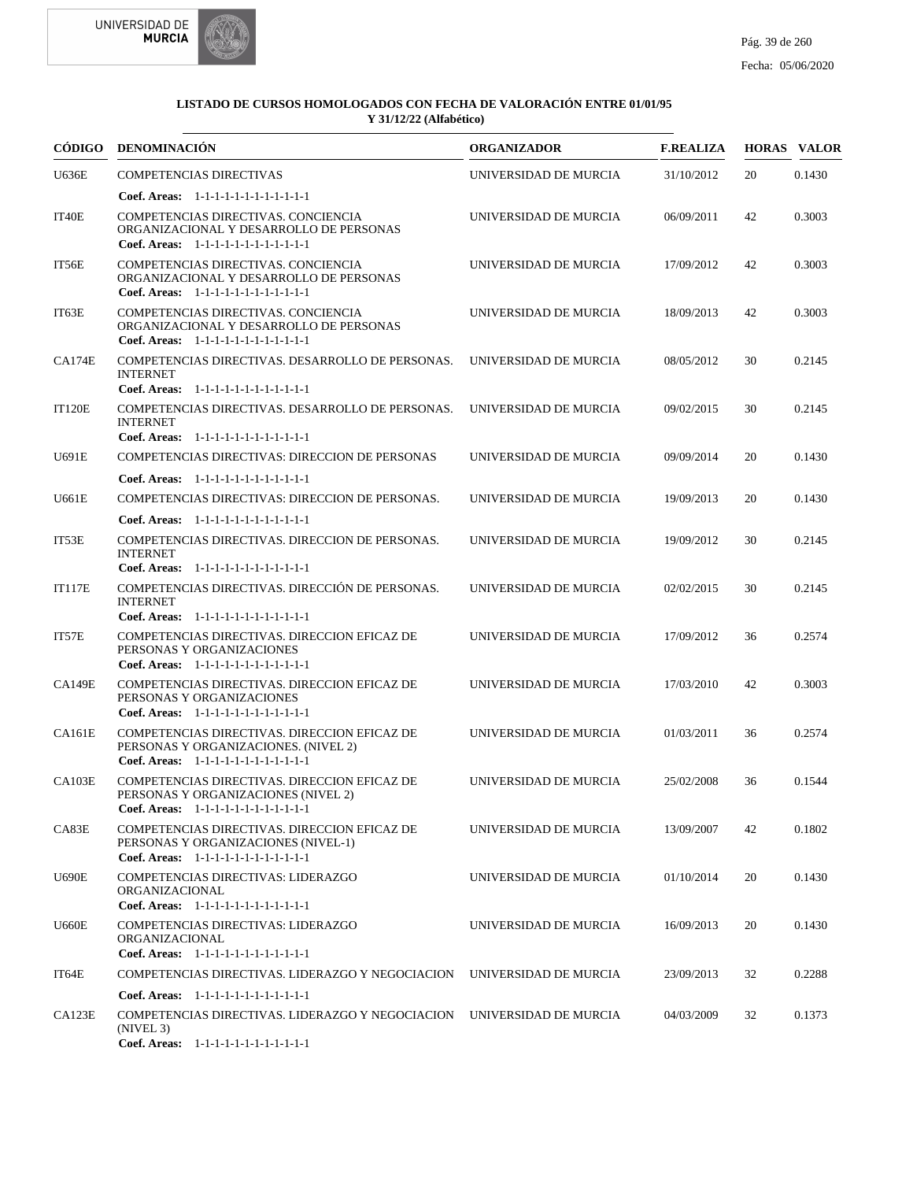



| CÓDIGO        | <b>DENOMINACIÓN</b>                                                                                                            | <b>ORGANIZADOR</b>    | <b>F.REALIZA</b> |    | <b>HORAS VALOR</b> |
|---------------|--------------------------------------------------------------------------------------------------------------------------------|-----------------------|------------------|----|--------------------|
| U636E         | <b>COMPETENCIAS DIRECTIVAS</b>                                                                                                 | UNIVERSIDAD DE MURCIA | 31/10/2012       | 20 | 0.1430             |
|               | Coef. Areas: $1-1-1-1-1-1-1-1-1-1-1$                                                                                           |                       |                  |    |                    |
| IT40E         | COMPETENCIAS DIRECTIVAS. CONCIENCIA<br>ORGANIZACIONAL Y DESARROLLO DE PERSONAS<br>Coef. Areas: 1-1-1-1-1-1-1-1-1-1-1-1-1       | UNIVERSIDAD DE MURCIA | 06/09/2011       | 42 | 0.3003             |
| IT56E         | COMPETENCIAS DIRECTIVAS. CONCIENCIA<br>ORGANIZACIONAL Y DESARROLLO DE PERSONAS<br>Coef. Areas: 1-1-1-1-1-1-1-1-1-1-1-1-1       | UNIVERSIDAD DE MURCIA | 17/09/2012       | 42 | 0.3003             |
| IT63E         | COMPETENCIAS DIRECTIVAS. CONCIENCIA<br>ORGANIZACIONAL Y DESARROLLO DE PERSONAS<br>Coef. Areas: 1-1-1-1-1-1-1-1-1-1-1-1-1       | UNIVERSIDAD DE MURCIA | 18/09/2013       | 42 | 0.3003             |
| CA174E        | COMPETENCIAS DIRECTIVAS. DESARROLLO DE PERSONAS.<br><b>INTERNET</b><br>Coef. Areas: 1-1-1-1-1-1-1-1-1-1-1-1-1                  | UNIVERSIDAD DE MURCIA | 08/05/2012       | 30 | 0.2145             |
| <b>IT120E</b> | COMPETENCIAS DIRECTIVAS. DESARROLLO DE PERSONAS.<br><b>INTERNET</b><br>Coef. Areas: 1-1-1-1-1-1-1-1-1-1-1-1-1                  | UNIVERSIDAD DE MURCIA | 09/02/2015       | 30 | 0.2145             |
| U691E         | COMPETENCIAS DIRECTIVAS: DIRECCION DE PERSONAS                                                                                 | UNIVERSIDAD DE MURCIA | 09/09/2014       | 20 | 0.1430             |
|               | Coef. Areas: 1-1-1-1-1-1-1-1-1-1-1-1-1                                                                                         |                       |                  |    |                    |
| U661E         | COMPETENCIAS DIRECTIVAS: DIRECCION DE PERSONAS.                                                                                | UNIVERSIDAD DE MURCIA | 19/09/2013       | 20 | 0.1430             |
|               | Coef. Areas: 1-1-1-1-1-1-1-1-1-1-1-1-1                                                                                         |                       |                  |    |                    |
| IT53E         | COMPETENCIAS DIRECTIVAS. DIRECCION DE PERSONAS.<br><b>INTERNET</b><br>Coef. Areas: 1-1-1-1-1-1-1-1-1-1-1-1-1                   | UNIVERSIDAD DE MURCIA | 19/09/2012       | 30 | 0.2145             |
| <b>IT117E</b> | COMPETENCIAS DIRECTIVAS. DIRECCIÓN DE PERSONAS.<br><b>INTERNET</b><br>Coef. Areas: 1-1-1-1-1-1-1-1-1-1-1-1-1                   | UNIVERSIDAD DE MURCIA | 02/02/2015       | 30 | 0.2145             |
| IT57E         | COMPETENCIAS DIRECTIVAS. DIRECCION EFICAZ DE<br>PERSONAS Y ORGANIZACIONES                                                      | UNIVERSIDAD DE MURCIA | 17/09/2012       | 36 | 0.2574             |
|               | Coef. Areas: 1-1-1-1-1-1-1-1-1-1-1-1-1                                                                                         |                       |                  |    |                    |
| <b>CA149E</b> | COMPETENCIAS DIRECTIVAS. DIRECCION EFICAZ DE<br>PERSONAS Y ORGANIZACIONES<br>Coef. Areas: 1-1-1-1-1-1-1-1-1-1-1-1-1            | UNIVERSIDAD DE MURCIA | 17/03/2010       | 42 | 0.3003             |
| <b>CA161E</b> | COMPETENCIAS DIRECTIVAS. DIRECCION EFICAZ DE<br>PERSONAS Y ORGANIZACIONES. (NIVEL 2)<br>Coef. Areas: 1-1-1-1-1-1-1-1-1-1-1-1-1 | UNIVERSIDAD DE MURCIA | 01/03/2011       | 36 | 0.2574             |
| <b>CA103E</b> | COMPETENCIAS DIRECTIVAS. DIRECCION EFICAZ DE<br>PERSONAS Y ORGANIZACIONES (NIVEL 2)<br>Coef. Areas: 1-1-1-1-1-1-1-1-1-1-1-1-1  | UNIVERSIDAD DE MURCIA | 25/02/2008       | 36 | 0.1544             |
| CAS3E         | COMPETENCIAS DIRECTIVAS. DIRECCION EFICAZ DE<br>PERSONAS Y ORGANIZACIONES (NIVEL-1)<br>Coef. Areas: 1-1-1-1-1-1-1-1-1-1-1-1-1  | UNIVERSIDAD DE MURCIA | 13/09/2007       | 42 | 0.1802             |
| <b>U690E</b>  | COMPETENCIAS DIRECTIVAS: LIDERAZGO<br>ORGANIZACIONAL<br>Coef. Areas: 1-1-1-1-1-1-1-1-1-1-1-1-1                                 | UNIVERSIDAD DE MURCIA | 01/10/2014       | 20 | 0.1430             |
| <b>U660E</b>  | COMPETENCIAS DIRECTIVAS: LIDERAZGO<br>ORGANIZACIONAL<br>Coef. Areas: 1-1-1-1-1-1-1-1-1-1-1-1-1                                 | UNIVERSIDAD DE MURCIA | 16/09/2013       | 20 | 0.1430             |
| IT64E         | COMPETENCIAS DIRECTIVAS. LIDERAZGO Y NEGOCIACION                                                                               | UNIVERSIDAD DE MURCIA | 23/09/2013       | 32 | 0.2288             |
|               | Coef. Areas: 1-1-1-1-1-1-1-1-1-1-1-1-1                                                                                         |                       |                  |    |                    |
| CA123E        | COMPETENCIAS DIRECTIVAS. LIDERAZGO Y NEGOCIACION UNIVERSIDAD DE MURCIA<br>(NIVEL 3)<br>Coef. Areas: 1-1-1-1-1-1-1-1-1-1-1-1-1  |                       | 04/03/2009       | 32 | 0.1373             |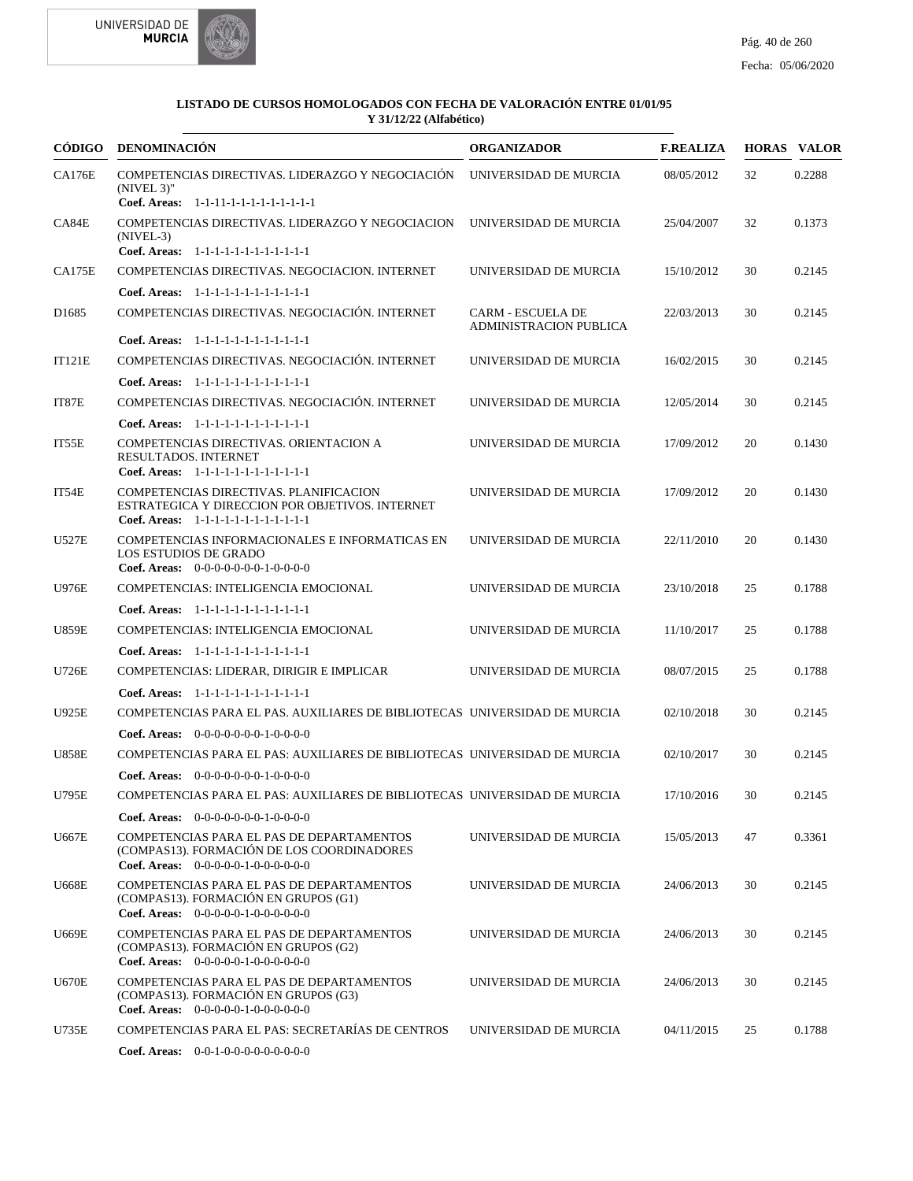



|                   | CÓDIGO DENOMINACIÓN                                                                                                                                                     | <b>ORGANIZADOR</b>                                        | <b>F.REALIZA</b> |    | <b>HORAS VALOR</b> |
|-------------------|-------------------------------------------------------------------------------------------------------------------------------------------------------------------------|-----------------------------------------------------------|------------------|----|--------------------|
| <b>CA176E</b>     | COMPETENCIAS DIRECTIVAS. LIDERAZGO Y NEGOCIACIÓN<br>$(NIVEL 3)$ "<br>Coef. Areas: 1-1-11-1-1-1-1-1-1-1-1-1-1                                                            | UNIVERSIDAD DE MURCIA                                     | 08/05/2012       | 32 | 0.2288             |
| CA84E             | COMPETENCIAS DIRECTIVAS. LIDERAZGO Y NEGOCIACION<br>$(NIVEL-3)$                                                                                                         | UNIVERSIDAD DE MURCIA                                     | 25/04/2007       | 32 | 0.1373             |
|                   | Coef. Areas: 1-1-1-1-1-1-1-1-1-1-1-1-1                                                                                                                                  |                                                           |                  |    |                    |
| <b>CA175E</b>     | COMPETENCIAS DIRECTIVAS. NEGOCIACION. INTERNET<br>Coef. Areas: 1-1-1-1-1-1-1-1-1-1-1-1-1                                                                                | UNIVERSIDAD DE MURCIA                                     | 15/10/2012       | 30 | 0.2145             |
| D <sub>1685</sub> | COMPETENCIAS DIRECTIVAS. NEGOCIACIÓN. INTERNET                                                                                                                          | <b>CARM - ESCUELA DE</b><br><b>ADMINISTRACION PUBLICA</b> | 22/03/2013       | 30 | 0.2145             |
|                   | Coef. Areas: 1-1-1-1-1-1-1-1-1-1-1-1-1                                                                                                                                  |                                                           |                  |    |                    |
| <b>IT121E</b>     | COMPETENCIAS DIRECTIVAS. NEGOCIACIÓN. INTERNET                                                                                                                          | UNIVERSIDAD DE MURCIA                                     | 16/02/2015       | 30 | 0.2145             |
|                   | Coef. Areas: 1-1-1-1-1-1-1-1-1-1-1-1-1                                                                                                                                  |                                                           |                  |    |                    |
| IT87E             | COMPETENCIAS DIRECTIVAS. NEGOCIACIÓN. INTERNET                                                                                                                          | UNIVERSIDAD DE MURCIA                                     | 12/05/2014       | 30 | 0.2145             |
|                   | Coef. Areas: 1-1-1-1-1-1-1-1-1-1-1-1-1                                                                                                                                  |                                                           |                  |    |                    |
| IT55E             | COMPETENCIAS DIRECTIVAS. ORIENTACION A<br>RESULTADOS. INTERNET<br>Coef. Areas: 1-1-1-1-1-1-1-1-1-1-1-1-1                                                                | UNIVERSIDAD DE MURCIA                                     | 17/09/2012       | 20 | 0.1430             |
| IT54E             | COMPETENCIAS DIRECTIVAS. PLANIFICACION<br>ESTRATEGICA Y DIRECCION POR OBJETIVOS. INTERNET<br>Coef. Areas: 1-1-1-1-1-1-1-1-1-1-1-1-1                                     | UNIVERSIDAD DE MURCIA                                     | 17/09/2012       | 20 | 0.1430             |
| U527E             | COMPETENCIAS INFORMACIONALES E INFORMATICAS EN<br><b>LOS ESTUDIOS DE GRADO</b><br>Coef. Areas: $0-0-0-0-0-0-1-0-0-0-0$                                                  | UNIVERSIDAD DE MURCIA                                     | 22/11/2010       | 20 | 0.1430             |
| <b>U976E</b>      | COMPETENCIAS: INTELIGENCIA EMOCIONAL                                                                                                                                    | UNIVERSIDAD DE MURCIA                                     | 23/10/2018       | 25 | 0.1788             |
|                   | Coef. Areas: 1-1-1-1-1-1-1-1-1-1-1-1-1                                                                                                                                  |                                                           |                  |    |                    |
| <b>U859E</b>      | COMPETENCIAS: INTELIGENCIA EMOCIONAL                                                                                                                                    | UNIVERSIDAD DE MURCIA                                     | 11/10/2017       | 25 | 0.1788             |
|                   | Coef. Areas: $1-1-1-1-1-1-1-1-1-1-1$                                                                                                                                    |                                                           |                  |    |                    |
| U726E             | COMPETENCIAS: LIDERAR, DIRIGIR E IMPLICAR                                                                                                                               | UNIVERSIDAD DE MURCIA                                     | 08/07/2015       | 25 | 0.1788             |
|                   | Coef. Areas: $1-1-1-1-1-1-1-1-1-1-1$                                                                                                                                    |                                                           |                  |    |                    |
| <b>U925E</b>      | COMPETENCIAS PARA EL PAS. AUXILIARES DE BIBLIOTECAS UNIVERSIDAD DE MURCIA                                                                                               |                                                           | 02/10/2018       | 30 | 0.2145             |
|                   | <b>Coef. Areas:</b> $0-0-0-0-0-0-1-0-0-0-0$                                                                                                                             |                                                           |                  |    |                    |
| <b>U858E</b>      | COMPETENCIAS PARA EL PAS: AUXILIARES DE BIBLIOTECAS UNIVERSIDAD DE MURCIA                                                                                               |                                                           | 02/10/2017       | 30 | 0.2145             |
|                   |                                                                                                                                                                         |                                                           |                  |    |                    |
|                   | <b>Coef. Areas:</b> $0-0-0-0-0-0-1-0-0-0-0$                                                                                                                             |                                                           |                  |    |                    |
| U795E             | COMPETENCIAS PARA EL PAS: AUXILIARES DE BIBLIOTECAS UNIVERSIDAD DE MURCIA                                                                                               |                                                           | 17/10/2016       | 30 | 0.2145             |
| U667E             | Coef. Areas: $0-0-0-0-0-0-1-0-0-0-0$<br>COMPETENCIAS PARA EL PAS DE DEPARTAMENTOS<br>(COMPAS13). FORMACIÓN DE LOS COORDINADORES<br>Coef. Areas: $0-0-0-0-1-0-0-0-0-0-0$ | UNIVERSIDAD DE MURCIA                                     | 15/05/2013       | 47 | 0.3361             |
| U668E             | COMPETENCIAS PARA EL PAS DE DEPARTAMENTOS<br>(COMPAS13). FORMACIÓN EN GRUPOS (G1)<br>Coef. Areas: 0-0-0-0-0-1-0-0-0-0-0-0                                               | UNIVERSIDAD DE MURCIA                                     | 24/06/2013       | 30 | 0.2145             |
| U669E             | COMPETENCIAS PARA EL PAS DE DEPARTAMENTOS<br>(COMPAS13). FORMACIÓN EN GRUPOS (G2)<br>Coef. Areas: 0-0-0-0-0-1-0-0-0-0-0-0                                               | UNIVERSIDAD DE MURCIA                                     | 24/06/2013       | 30 | 0.2145             |
| <b>U670E</b>      | COMPETENCIAS PARA EL PAS DE DEPARTAMENTOS<br>(COMPAS13). FORMACIÓN EN GRUPOS (G3)<br>Coef. Areas: 0-0-0-0-0-1-0-0-0-0-0-0                                               | UNIVERSIDAD DE MURCIA                                     | 24/06/2013       | 30 | 0.2145             |
| U735E             | COMPETENCIAS PARA EL PAS: SECRETARÍAS DE CENTROS                                                                                                                        | UNIVERSIDAD DE MURCIA                                     | 04/11/2015       | 25 | 0.1788             |
|                   | Coef. Areas: $0-0-1-0-0-0-0-0-0-0-0$                                                                                                                                    |                                                           |                  |    |                    |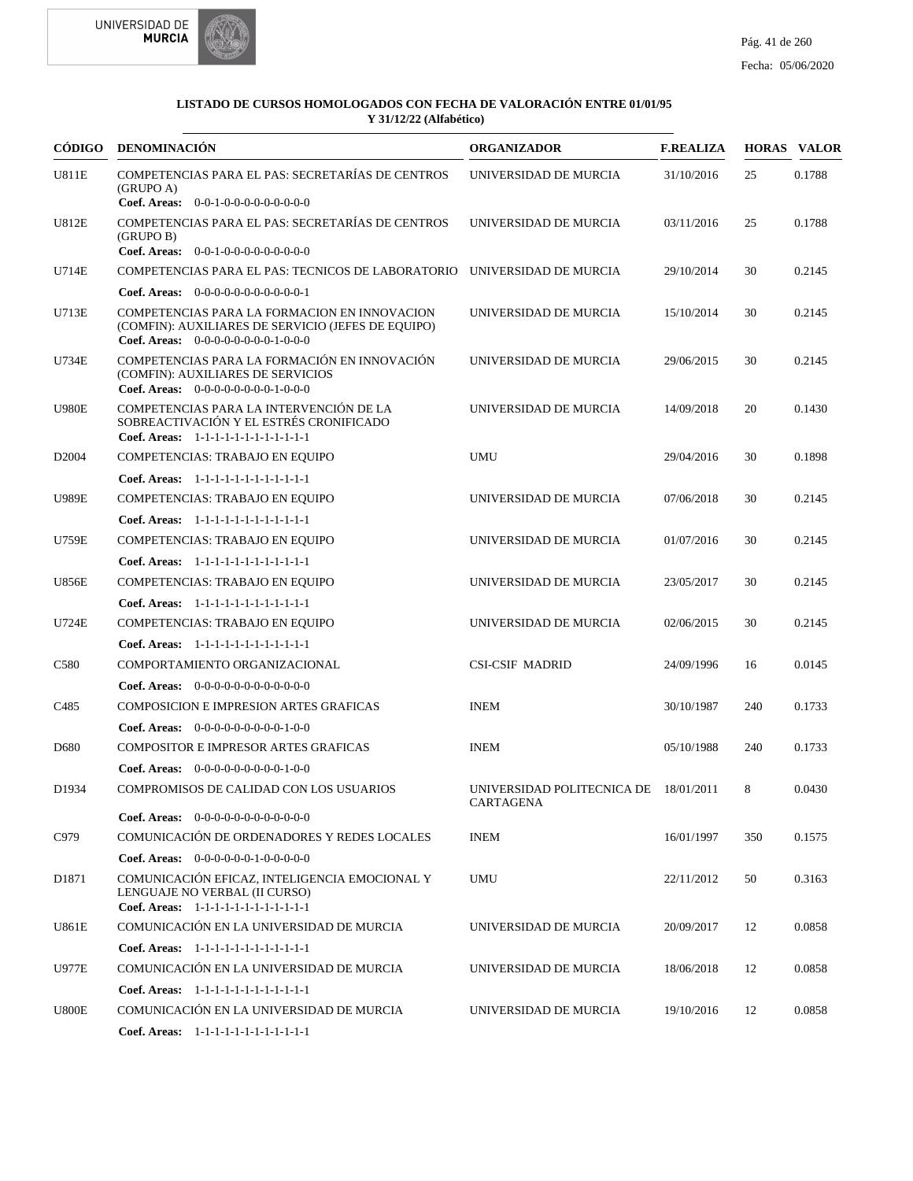



| CÓDIGO            | <b>DENOMINACIÓN</b>                                                                                                                        | <b>ORGANIZADOR</b>                                 | <b>F.REALIZA</b> |     | <b>HORAS VALOR</b> |
|-------------------|--------------------------------------------------------------------------------------------------------------------------------------------|----------------------------------------------------|------------------|-----|--------------------|
| U811E             | COMPETENCIAS PARA EL PAS: SECRETARÍAS DE CENTROS<br>(GRUPO A)<br>Coef. Areas: $0-0-1-0-0-0-0-0-0-0-0$                                      | UNIVERSIDAD DE MURCIA                              | 31/10/2016       | 25  | 0.1788             |
| <b>U812E</b>      | COMPETENCIAS PARA EL PAS: SECRETARÍAS DE CENTROS<br>(GRUPO B)<br>Coef. Areas: $0-0-1-0-0-0-0-0-0-0-0$                                      | UNIVERSIDAD DE MURCIA                              | 03/11/2016       | 25  | 0.1788             |
| U714E             | COMPETENCIAS PARA EL PAS: TECNICOS DE LABORATORIO UNIVERSIDAD DE MURCIA                                                                    |                                                    | 29/10/2014       | 30  | 0.2145             |
|                   | Coef. Areas: $0-0-0-0-0-0-0-0-0-0-0-1$                                                                                                     |                                                    |                  |     |                    |
| U713E             | COMPETENCIAS PARA LA FORMACION EN INNOVACION<br>(COMFIN): AUXILIARES DE SERVICIO (JEFES DE EQUIPO)<br>Coef. Areas: $0-0-0-0-0-0-0-1-0-0-0$ | UNIVERSIDAD DE MURCIA                              | 15/10/2014       | 30  | 0.2145             |
| U734E             | COMPETENCIAS PARA LA FORMACIÓN EN INNOVACIÓN<br>(COMFIN): AUXILIARES DE SERVICIOS<br>Coef. Areas: $0-0-0-0-0-0-0-1-0-0-0$                  | UNIVERSIDAD DE MURCIA                              | 29/06/2015       | 30  | 0.2145             |
| <b>U980E</b>      | COMPETENCIAS PARA LA INTERVENCIÓN DE LA<br>SOBREACTIVACIÓN Y EL ESTRÉS CRONIFICADO<br>Coef. Areas: 1-1-1-1-1-1-1-1-1-1-1-1-1               | UNIVERSIDAD DE MURCIA                              | 14/09/2018       | 20  | 0.1430             |
| D <sub>2004</sub> | COMPETENCIAS: TRABAJO EN EQUIPO                                                                                                            | <b>UMU</b>                                         | 29/04/2016       | 30  | 0.1898             |
|                   | Coef. Areas: 1-1-1-1-1-1-1-1-1-1-1-1-1                                                                                                     |                                                    |                  |     |                    |
| <b>U989E</b>      | COMPETENCIAS: TRABAJO EN EQUIPO                                                                                                            | UNIVERSIDAD DE MURCIA                              | 07/06/2018       | 30  | 0.2145             |
|                   | Coef. Areas: 1-1-1-1-1-1-1-1-1-1-1-1-1                                                                                                     |                                                    |                  |     |                    |
| U759E             | COMPETENCIAS: TRABAJO EN EQUIPO                                                                                                            | UNIVERSIDAD DE MURCIA                              | 01/07/2016       | 30  | 0.2145             |
|                   | Coef. Areas: 1-1-1-1-1-1-1-1-1-1-1-1-1                                                                                                     |                                                    |                  |     |                    |
| <b>U856E</b>      | COMPETENCIAS: TRABAJO EN EQUIPO                                                                                                            | UNIVERSIDAD DE MURCIA                              | 23/05/2017       | 30  | 0.2145             |
|                   | Coef. Areas: 1-1-1-1-1-1-1-1-1-1-1-1-1                                                                                                     |                                                    |                  |     |                    |
| U724E             | COMPETENCIAS: TRABAJO EN EQUIPO                                                                                                            | UNIVERSIDAD DE MURCIA                              | 02/06/2015       | 30  | 0.2145             |
|                   | Coef. Areas: 1-1-1-1-1-1-1-1-1-1-1-1-1                                                                                                     |                                                    |                  |     |                    |
| C <sub>580</sub>  | COMPORTAMIENTO ORGANIZACIONAL                                                                                                              | <b>CSI-CSIF MADRID</b>                             | 24/09/1996       | 16  | 0.0145             |
|                   | <b>Coef. Areas:</b> $0-0-0-0-0-0-0-0-0-0-0-0$                                                                                              |                                                    |                  |     |                    |
| C <sub>4</sub> 85 | COMPOSICION E IMPRESION ARTES GRAFICAS                                                                                                     | <b>INEM</b>                                        | 30/10/1987       | 240 | 0.1733             |
|                   | <b>Coef. Areas:</b> $0-0-0-0-0-0-0-0-1-0-0$                                                                                                |                                                    |                  |     |                    |
| D680              | <b>COMPOSITOR E IMPRESOR ARTES GRAFICAS</b>                                                                                                | <b>INEM</b>                                        | 05/10/1988       | 240 | 0.1733             |
|                   | Coef. Areas: $0-0-0-0-0-0-0-0-1-0-0$                                                                                                       |                                                    |                  |     |                    |
| D1934             | COMPROMISOS DE CALIDAD CON LOS USUARIOS<br><b>Coef. Areas:</b> $0-0-0-0-0-0-0-0-0-0-0-0$                                                   | UNIVERSIDAD POLITECNICA DE 18/01/2011<br>CARTAGENA |                  | 8   | 0.0430             |
| C979              | COMUNICACIÓN DE ORDENADORES Y REDES LOCALES                                                                                                | <b>INEM</b>                                        | 16/01/1997       | 350 | 0.1575             |
|                   | Coef. Areas: $0-0-0-0-0-1-0-0-0-0-0$                                                                                                       |                                                    |                  |     |                    |
| D <sub>1871</sub> | COMUNICACIÓN EFICAZ, INTELIGENCIA EMOCIONAL Y<br>LENGUAJE NO VERBAL (II CURSO)<br>Coef. Areas: 1-1-1-1-1-1-1-1-1-1-1-1-1                   | <b>UMU</b>                                         | 22/11/2012       | 50  | 0.3163             |
| U861E             | COMUNICACIÓN EN LA UNIVERSIDAD DE MURCIA                                                                                                   | UNIVERSIDAD DE MURCIA                              | 20/09/2017       | 12  | 0.0858             |
|                   | Coef. Areas: 1-1-1-1-1-1-1-1-1-1-1-1-1                                                                                                     |                                                    |                  |     |                    |
| <b>U977E</b>      | COMUNICACIÓN EN LA UNIVERSIDAD DE MURCIA                                                                                                   | UNIVERSIDAD DE MURCIA                              | 18/06/2018       | 12  | 0.0858             |
|                   | Coef. Areas: 1-1-1-1-1-1-1-1-1-1-1-1-1                                                                                                     |                                                    |                  |     |                    |
| <b>U800E</b>      | COMUNICACIÓN EN LA UNIVERSIDAD DE MURCIA                                                                                                   | UNIVERSIDAD DE MURCIA                              | 19/10/2016       | 12  | 0.0858             |
|                   | Coef. Areas: 1-1-1-1-1-1-1-1-1-1-1-1-1                                                                                                     |                                                    |                  |     |                    |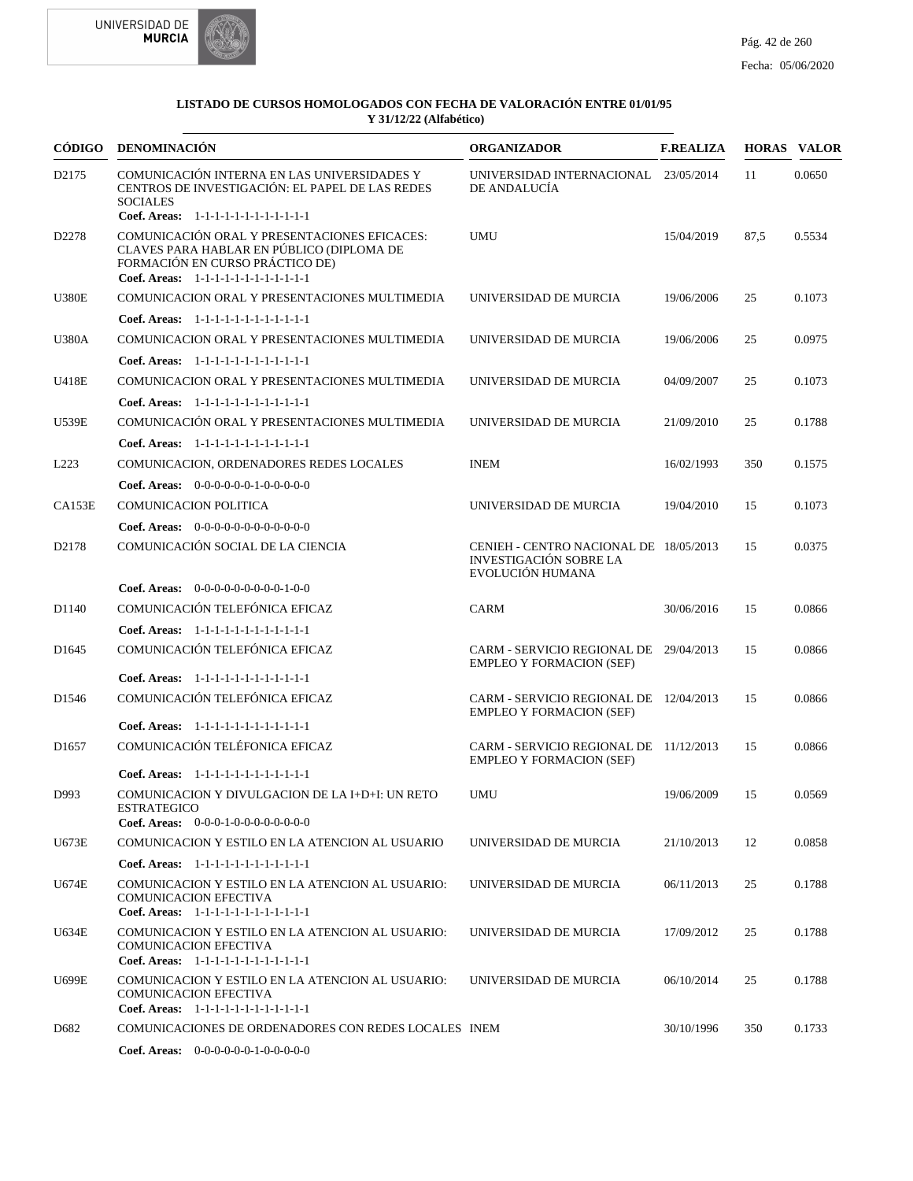



| CÓDIGO            | <b>DENOMINACIÓN</b>                                                                                                                                                    | <b>ORGANIZADOR</b>                                                                          | <b>F.REALIZA</b> |      | <b>HORAS VALOR</b> |
|-------------------|------------------------------------------------------------------------------------------------------------------------------------------------------------------------|---------------------------------------------------------------------------------------------|------------------|------|--------------------|
| D <sub>2175</sub> | COMUNICACIÓN INTERNA EN LAS UNIVERSIDADES Y<br>CENTROS DE INVESTIGACIÓN: EL PAPEL DE LAS REDES<br><b>SOCIALES</b><br>Coef. Areas: 1-1-1-1-1-1-1-1-1-1-1-1-1            | UNIVERSIDAD INTERNACIONAL 23/05/2014<br>DE ANDALUCÍA                                        |                  | 11   | 0.0650             |
| D2278             | COMUNICACIÓN ORAL Y PRESENTACIONES EFICACES:<br>CLAVES PARA HABLAR EN PÚBLICO (DIPLOMA DE<br>FORMACIÓN EN CURSO PRÁCTICO DE)<br>Coef. Areas: 1-1-1-1-1-1-1-1-1-1-1-1-1 | <b>UMU</b>                                                                                  | 15/04/2019       | 87,5 | 0.5534             |
| <b>U380E</b>      | COMUNICACION ORAL Y PRESENTACIONES MULTIMEDIA                                                                                                                          | UNIVERSIDAD DE MURCIA                                                                       | 19/06/2006       | 25   | 0.1073             |
|                   | Coef. Areas: $1-1-1-1-1-1-1-1-1-1-1$                                                                                                                                   |                                                                                             |                  |      |                    |
| <b>U380A</b>      | COMUNICACION ORAL Y PRESENTACIONES MULTIMEDIA                                                                                                                          | UNIVERSIDAD DE MURCIA                                                                       | 19/06/2006       | 25   | 0.0975             |
|                   | Coef. Areas: 1-1-1-1-1-1-1-1-1-1-1-1-1                                                                                                                                 |                                                                                             |                  |      |                    |
| U418E             | COMUNICACION ORAL Y PRESENTACIONES MULTIMEDIA                                                                                                                          | UNIVERSIDAD DE MURCIA                                                                       | 04/09/2007       | 25   | 0.1073             |
|                   | Coef. Areas: $1-1-1-1-1-1-1-1-1-1-1$                                                                                                                                   |                                                                                             |                  |      |                    |
| <b>U539E</b>      | COMUNICACIÓN ORAL Y PRESENTACIONES MULTIMEDIA                                                                                                                          | UNIVERSIDAD DE MURCIA                                                                       | 21/09/2010       | 25   | 0.1788             |
|                   | Coef. Areas: $1-1-1-1-1-1-1-1-1-1-1$                                                                                                                                   |                                                                                             |                  |      |                    |
| L <sub>223</sub>  | COMUNICACION, ORDENADORES REDES LOCALES                                                                                                                                | <b>INEM</b>                                                                                 | 16/02/1993       | 350  | 0.1575             |
|                   | <b>Coef. Areas:</b> $0-0-0-0-0-1-0-0-0-0-0$                                                                                                                            |                                                                                             |                  |      |                    |
| CA153E            | <b>COMUNICACION POLITICA</b>                                                                                                                                           | UNIVERSIDAD DE MURCIA                                                                       | 19/04/2010       | 15   | 0.1073             |
|                   | Coef. Areas: $0-0-0-0-0-0-0-0-0-0-0$                                                                                                                                   |                                                                                             |                  |      |                    |
| D <sub>2178</sub> | COMUNICACIÓN SOCIAL DE LA CIENCIA                                                                                                                                      | CENIEH - CENTRO NACIONAL DE 18/05/2013<br><b>INVESTIGACIÓN SOBRE LA</b><br>EVOLUCIÓN HUMANA |                  | 15   | 0.0375             |
|                   | <b>Coef. Areas:</b> $0-0-0-0-0-0-0-0-1-0-0$                                                                                                                            |                                                                                             |                  |      |                    |
| D1140             | COMUNICACIÓN TELEFÓNICA EFICAZ                                                                                                                                         | <b>CARM</b>                                                                                 | 30/06/2016       | 15   | 0.0866             |
|                   | Coef. Areas: 1-1-1-1-1-1-1-1-1-1-1-1-1                                                                                                                                 |                                                                                             |                  |      |                    |
| D <sub>1645</sub> | COMUNICACIÓN TELEFÓNICA EFICAZ                                                                                                                                         | CARM - SERVICIO REGIONAL DE 29/04/2013<br><b>EMPLEO Y FORMACION (SEF)</b>                   |                  | 15   | 0.0866             |
|                   | Coef. Areas: 1-1-1-1-1-1-1-1-1-1-1-1-1                                                                                                                                 |                                                                                             |                  |      |                    |
| D <sub>1546</sub> | COMUNICACIÓN TELEFÓNICA EFICAZ                                                                                                                                         | CARM - SERVICIO REGIONAL DE 12/04/2013<br><b>EMPLEO Y FORMACION (SEF)</b>                   |                  | 15   | 0.0866             |
|                   | Coef. Areas: 1-1-1-1-1-1-1-1-1-1-1-1-1                                                                                                                                 |                                                                                             |                  |      |                    |
| D <sub>1657</sub> | COMUNICACIÓN TELÉFONICA EFICAZ                                                                                                                                         | CARM - SERVICIO REGIONAL DE 11/12/2013<br><b>EMPLEO Y FORMACION (SEF)</b>                   |                  | 15   | 0.0866             |
|                   | Coef. Areas: 1-1-1-1-1-1-1-1-1-1-1-1-1                                                                                                                                 |                                                                                             |                  |      |                    |
| D993              | COMUNICACION Y DIVULGACION DE LA I+D+I: UN RETO<br>ESTRATEGICO                                                                                                         | <b>UMU</b>                                                                                  | 19/06/2009       | 15   | 0.0569             |
|                   | <b>Coef. Areas:</b> $0-0-0-1-0-0-0-0-0-0-0-0$                                                                                                                          |                                                                                             |                  |      |                    |
| U673E             | COMUNICACION Y ESTILO EN LA ATENCION AL USUARIO                                                                                                                        | UNIVERSIDAD DE MURCIA                                                                       | 21/10/2013       | 12   | 0.0858             |
|                   | Coef. Areas: 1-1-1-1-1-1-1-1-1-1-1-1-1                                                                                                                                 |                                                                                             |                  |      |                    |
| U674E             | COMUNICACION Y ESTILO EN LA ATENCION AL USUARIO:<br><b>COMUNICACION EFECTIVA</b><br>Coef. Areas: 1-1-1-1-1-1-1-1-1-1-1-1-1                                             | UNIVERSIDAD DE MURCIA                                                                       | 06/11/2013       | 25   | 0.1788             |
| U634E             | COMUNICACION Y ESTILO EN LA ATENCION AL USUARIO:<br><b>COMUNICACION EFECTIVA</b><br>Coef. Areas: 1-1-1-1-1-1-1-1-1-1-1-1-1                                             | UNIVERSIDAD DE MURCIA                                                                       | 17/09/2012       | 25   | 0.1788             |
| <b>U699E</b>      | COMUNICACION Y ESTILO EN LA ATENCION AL USUARIO:<br><b>COMUNICACION EFECTIVA</b><br>Coef. Areas: 1-1-1-1-1-1-1-1-1-1-1-1-1                                             | UNIVERSIDAD DE MURCIA                                                                       | 06/10/2014       | 25   | 0.1788             |
| D <sub>682</sub>  | COMUNICACIONES DE ORDENADORES CON REDES LOCALES INEM                                                                                                                   |                                                                                             | 30/10/1996       | 350  | 0.1733             |
|                   | <b>Coef. Areas:</b> $0-0-0-0-0-1-0-0-0-0-0$                                                                                                                            |                                                                                             |                  |      |                    |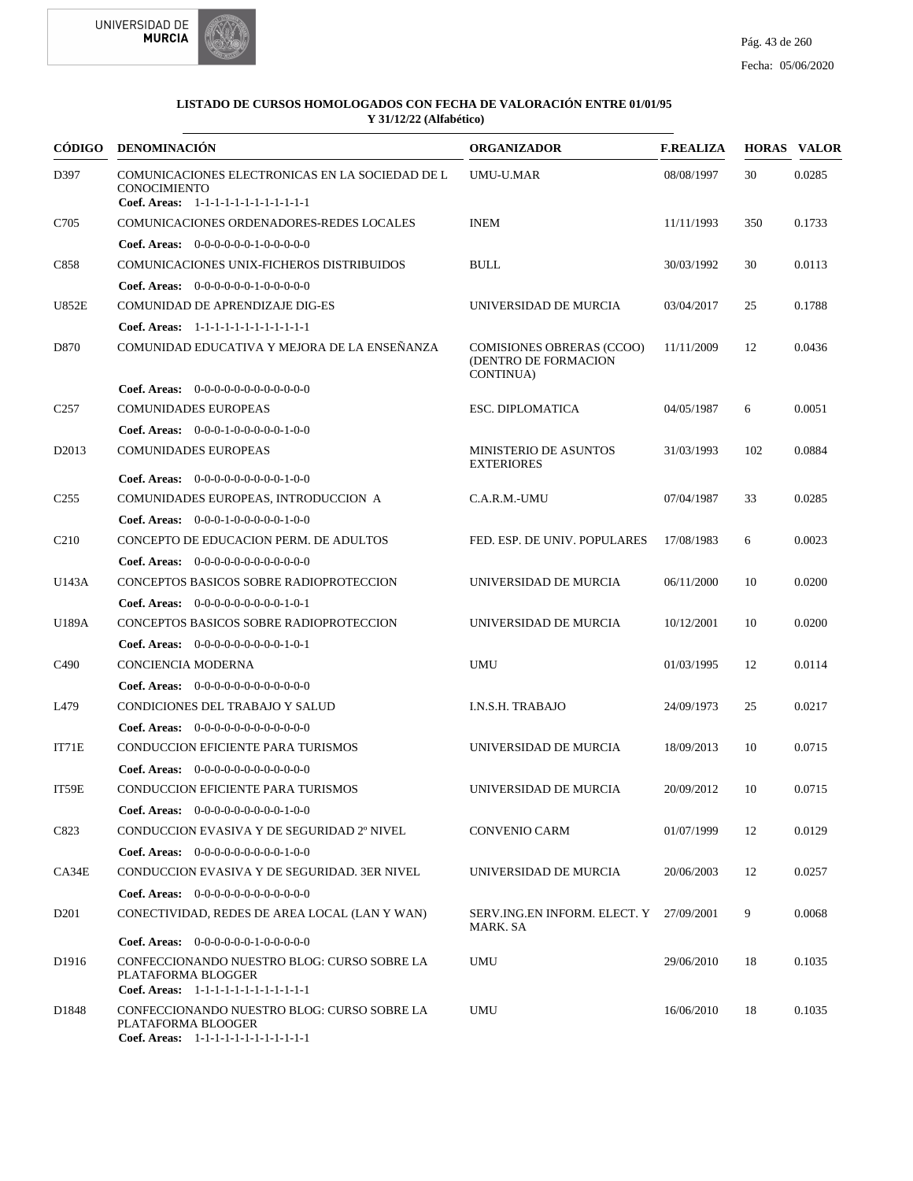



| <b>CÓDIGO</b>     | <b>DENOMINACIÓN</b>                                                                                              | <b>ORGANIZADOR</b>                                                    | <b>F.REALIZA</b> |     | <b>HORAS VALOR</b> |
|-------------------|------------------------------------------------------------------------------------------------------------------|-----------------------------------------------------------------------|------------------|-----|--------------------|
| D397              | COMUNICACIONES ELECTRONICAS EN LA SOCIEDAD DE L<br><b>CONOCIMIENTO</b><br>Coef. Areas: 1-1-1-1-1-1-1-1-1-1-1-1-1 | <b>UMU-U.MAR</b>                                                      | 08/08/1997       | 30  | 0.0285             |
| C705              | COMUNICACIONES ORDENADORES-REDES LOCALES                                                                         | <b>INEM</b>                                                           | 11/11/1993       | 350 | 0.1733             |
|                   | <b>Coef. Areas:</b> $0-0-0-0-0-1-0-0-0-0-0$                                                                      |                                                                       |                  |     |                    |
| C858              | COMUNICACIONES UNIX-FICHEROS DISTRIBUIDOS                                                                        | <b>BULL</b>                                                           | 30/03/1992       | 30  | 0.0113             |
|                   | <b>Coef. Areas:</b> $0-0-0-0-0-1-0-0-0-0-0$                                                                      |                                                                       |                  |     |                    |
| <b>U852E</b>      | COMUNIDAD DE APRENDIZAJE DIG-ES                                                                                  | UNIVERSIDAD DE MURCIA                                                 | 03/04/2017       | 25  | 0.1788             |
|                   | Coef. Areas: 1-1-1-1-1-1-1-1-1-1-1-1-1                                                                           |                                                                       |                  |     |                    |
| D870              | COMUNIDAD EDUCATIVA Y MEJORA DE LA ENSEÑANZA                                                                     | <b>COMISIONES OBRERAS (CCOO)</b><br>(DENTRO DE FORMACION<br>CONTINUA) | 11/11/2009       | 12  | 0.0436             |
|                   | <b>Coef. Areas:</b> $0-0-0-0-0-0-0-0-0-0-0-0$                                                                    |                                                                       |                  |     |                    |
| C <sub>257</sub>  | <b>COMUNIDADES EUROPEAS</b>                                                                                      | <b>ESC. DIPLOMATICA</b>                                               | 04/05/1987       | 6   | 0.0051             |
|                   | Coef. Areas: $0-0-0-1-0-0-0-0-1-0-0$                                                                             |                                                                       |                  |     |                    |
| D <sub>2013</sub> | <b>COMUNIDADES EUROPEAS</b>                                                                                      | <b>MINISTERIO DE ASUNTOS</b><br><b>EXTERIORES</b>                     | 31/03/1993       | 102 | 0.0884             |
|                   | <b>Coef. Areas:</b> $0-0-0-0-0-0-0-0-1-0-0$                                                                      |                                                                       |                  |     |                    |
| C <sub>255</sub>  | COMUNIDADES EUROPEAS, INTRODUCCION A                                                                             | C.A.R.M.-UMU                                                          | 07/04/1987       | 33  | 0.0285             |
|                   | Coef. Areas: $0-0-0-1-0-0-0-0-1-0-0$                                                                             |                                                                       |                  |     |                    |
| C <sub>210</sub>  | CONCEPTO DE EDUCACION PERM. DE ADULTOS                                                                           | FED. ESP. DE UNIV. POPULARES                                          | 17/08/1983       | 6   | 0.0023             |
|                   | <b>Coef. Areas:</b> $0-0-0-0-0-0-0-0-0-0-0-0$                                                                    |                                                                       |                  |     |                    |
| U143A             | CONCEPTOS BASICOS SOBRE RADIOPROTECCION                                                                          | UNIVERSIDAD DE MURCIA                                                 | 06/11/2000       | 10  | 0.0200             |
|                   | <b>Coef. Areas:</b> $0-0-0-0-0-0-0-0-1-0-1$                                                                      |                                                                       |                  |     |                    |
| U189A             | CONCEPTOS BASICOS SOBRE RADIOPROTECCION                                                                          | UNIVERSIDAD DE MURCIA                                                 | 10/12/2001       | 10  | 0.0200             |
|                   | <b>Coef. Areas:</b> $0-0-0-0-0-0-0-0-1-0-1$                                                                      |                                                                       |                  |     |                    |
| C <sub>490</sub>  | CONCIENCIA MODERNA                                                                                               | <b>UMU</b>                                                            | 01/03/1995       | 12  | 0.0114             |
|                   | <b>Coef. Areas:</b> $0-0-0-0-0-0-0-0-0-0-0-0$                                                                    |                                                                       |                  |     |                    |
| L479              | CONDICIONES DEL TRABAJO Y SALUD                                                                                  | I.N.S.H. TRABAJO                                                      | 24/09/1973       | 25  | 0.0217             |
|                   | <b>Coef. Areas:</b> $0-0-0-0-0-0-0-0-0-0-0-0$                                                                    |                                                                       |                  |     |                    |
| IT71E             | <b>CONDUCCION EFICIENTE PARA TURISMOS</b>                                                                        | UNIVERSIDAD DE MURCIA                                                 | 18/09/2013       | 10  | 0.0715             |
|                   | <b>Coef. Areas:</b> $0-0-0-0-0-0-0-0-0-0-0-0$                                                                    |                                                                       |                  |     |                    |
| IT59E             | <b>CONDUCCION EFICIENTE PARA TURISMOS</b>                                                                        | UNIVERSIDAD DE MURCIA                                                 | 20/09/2012       | 10  | 0.0715             |
|                   | Coef. Areas: $0-0-0-0-0-0-0-0-1-0-0$                                                                             |                                                                       |                  |     |                    |
| C823              | CONDUCCION EVASIVA Y DE SEGURIDAD 2º NIVEL                                                                       | <b>CONVENIO CARM</b>                                                  | 01/07/1999       | 12  | 0.0129             |
|                   | Coef. Areas: $0-0-0-0-0-0-0-0-1-0-0$                                                                             |                                                                       |                  |     |                    |
| CA34E             | CONDUCCION EVASIVA Y DE SEGURIDAD. 3ER NIVEL                                                                     | UNIVERSIDAD DE MURCIA                                                 | 20/06/2003       | 12  | 0.0257             |
|                   | <b>Coef. Areas:</b> $0-0-0-0-0-0-0-0-0-0-0-0$                                                                    |                                                                       |                  |     |                    |
| D <sub>201</sub>  | CONECTIVIDAD, REDES DE AREA LOCAL (LAN Y WAN)                                                                    | SERV.ING.EN INFORM. ELECT. Y 27/09/2001<br>MARK. SA                   |                  | 9   | 0.0068             |
|                   | <b>Coef. Areas:</b> $0-0-0-0-0-1-0-0-0-0-0$                                                                      |                                                                       |                  |     |                    |
| D1916             | CONFECCIONANDO NUESTRO BLOG: CURSO SOBRE LA<br>PLATAFORMA BLOGGER<br>Coef. Areas: 1-1-1-1-1-1-1-1-1-1-1-1-1      | <b>UMU</b>                                                            | 29/06/2010       | 18  | 0.1035             |
| D1848             | CONFECCIONANDO NUESTRO BLOG: CURSO SOBRE LA<br>PLATAFORMA BLOOGER<br>Coef. Areas: 1-1-1-1-1-1-1-1-1-1-1-1-1      | UMU                                                                   | 16/06/2010       | 18  | 0.1035             |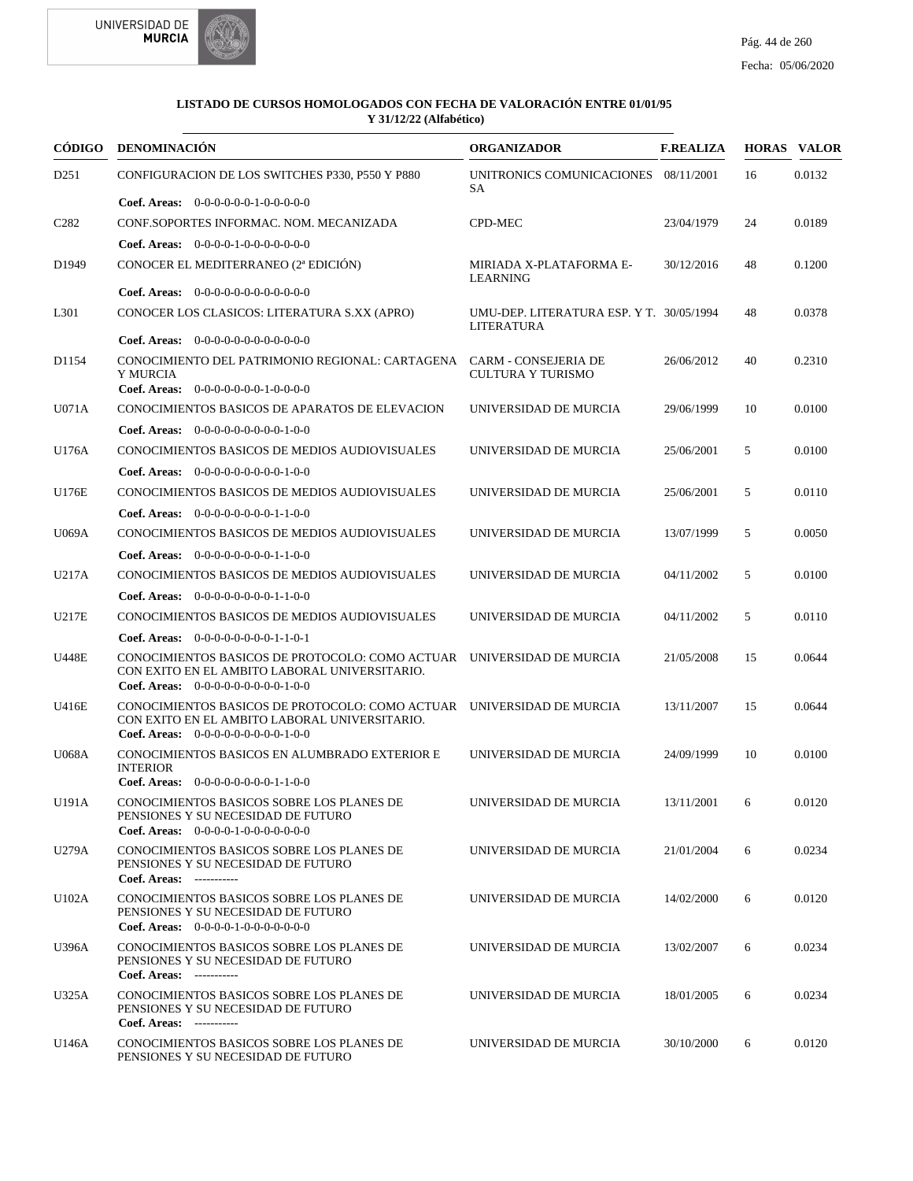



|                               | CÓDIGO DENOMINACIÓN                                                                                                                                            | <b>ORGANIZADOR</b>                                     | <b>F.REALIZA</b> |    | <b>HORAS VALOR</b> |
|-------------------------------|----------------------------------------------------------------------------------------------------------------------------------------------------------------|--------------------------------------------------------|------------------|----|--------------------|
| D251                          | CONFIGURACION DE LOS SWITCHES P330, P550 Y P880                                                                                                                | UNITRONICS COMUNICACIONES 08/11/2001<br>SА             |                  | 16 | 0.0132             |
|                               | <b>Coef. Areas:</b> $0-0-0-0-0-1-0-0-0-0-0$                                                                                                                    |                                                        |                  |    |                    |
| C <sub>2</sub> 8 <sub>2</sub> | CONF.SOPORTES INFORMAC. NOM. MECANIZADA                                                                                                                        | <b>CPD-MEC</b>                                         | 23/04/1979       | 24 | 0.0189             |
|                               | <b>Coef. Areas:</b> $0-0-0-0-1-0-0-0-0-0-0-0$                                                                                                                  |                                                        |                  |    |                    |
| D <sub>1949</sub>             | CONOCER EL MEDITERRANEO (2ª EDICIÓN)                                                                                                                           | MIRIADA X-PLATAFORMA E-<br>LEARNING                    | 30/12/2016       | 48 | 0.1200             |
|                               | Coef. Areas: 0-0-0-0-0-0-0-0-0-0-0-0-0                                                                                                                         |                                                        |                  |    |                    |
| L301                          | CONOCER LOS CLASICOS: LITERATURA S.XX (APRO)                                                                                                                   | UMU-DEP. LITERATURA ESP. Y T. 30/05/1994<br>LITERATURA |                  | 48 | 0.0378             |
|                               | Coef. Areas: $0-0-0-0-0-0-0-0-0-0-0$                                                                                                                           |                                                        |                  |    |                    |
| D1154                         | CONOCIMIENTO DEL PATRIMONIO REGIONAL: CARTAGENA CARM - CONSEJERIA DE<br>Y MURCIA                                                                               | CULTURA Y TURISMO                                      | 26/06/2012       | 40 | 0.2310             |
|                               | Coef. Areas: 0-0-0-0-0-0-0-1-0-0-0-0                                                                                                                           |                                                        |                  |    |                    |
| U071A                         | CONOCIMIENTOS BASICOS DE APARATOS DE ELEVACION                                                                                                                 | UNIVERSIDAD DE MURCIA                                  | 29/06/1999       | 10 | 0.0100             |
|                               | Coef. Areas: $0-0-0-0-0-0-0-0-1-0-0$                                                                                                                           |                                                        |                  |    |                    |
| U176A                         | CONOCIMIENTOS BASICOS DE MEDIOS AUDIOVISUALES                                                                                                                  | UNIVERSIDAD DE MURCIA                                  | 25/06/2001       | 5  | 0.0100             |
|                               | <b>Coef. Areas:</b> $0-0-0-0-0-0-0-0-1-0-0$                                                                                                                    |                                                        |                  |    |                    |
| U176E                         | CONOCIMIENTOS BASICOS DE MEDIOS AUDIOVISUALES                                                                                                                  | UNIVERSIDAD DE MURCIA                                  | 25/06/2001       | 5  | 0.0110             |
|                               | <b>Coef. Areas:</b> $0-0-0-0-0-0-0-1-1-0-0$                                                                                                                    |                                                        |                  |    |                    |
| <b>U069A</b>                  | CONOCIMIENTOS BASICOS DE MEDIOS AUDIOVISUALES                                                                                                                  | UNIVERSIDAD DE MURCIA                                  | 13/07/1999       | 5  | 0.0050             |
|                               | Coef. Areas: 0-0-0-0-0-0-0-0-1-1-0-0                                                                                                                           |                                                        |                  |    |                    |
| U217A                         | CONOCIMIENTOS BASICOS DE MEDIOS AUDIOVISUALES                                                                                                                  | UNIVERSIDAD DE MURCIA                                  | 04/11/2002       | 5  | 0.0100             |
|                               | <b>Coef. Areas:</b> $0-0-0-0-0-0-0-1-1-0-0$                                                                                                                    |                                                        |                  |    |                    |
| U217E                         | CONOCIMIENTOS BASICOS DE MEDIOS AUDIOVISUALES                                                                                                                  | UNIVERSIDAD DE MURCIA                                  | 04/11/2002       | 5  | 0.0110             |
|                               | Coef. Areas: $0-0-0-0-0-0-0-1-1-0-1$                                                                                                                           |                                                        |                  |    |                    |
| <b>U448E</b>                  | CONOCIMIENTOS BASICOS DE PROTOCOLO: COMO ACTUAR UNIVERSIDAD DE MURCIA<br>CON EXITO EN EL AMBITO LABORAL UNIVERSITARIO.<br>Coef. Areas: $0-0-0-0-0-0-0-0-1-0-0$ |                                                        | 21/05/2008       | 15 | 0.0644             |
| U416E                         | CONOCIMIENTOS BASICOS DE PROTOCOLO: COMO ACTUAR UNIVERSIDAD DE MURCIA<br>CON EXITO EN EL AMBITO LABORAL UNIVERSITARIO.<br>Coef. Areas: $0-0-0-0-0-0-0-0-1-0-0$ |                                                        | 13/11/2007       | 15 | 0.0644             |
| <b>U068A</b>                  | CONOCIMIENTOS BASICOS EN ALUMBRADO EXTERIOR E<br><b>INTERIOR</b><br>Coef. Areas: $0-0-0-0-0-0-0-1-1-0-0$                                                       | UNIVERSIDAD DE MURCIA                                  | 24/09/1999       | 10 | 0.0100             |
| U191A                         | CONOCIMIENTOS BASICOS SOBRE LOS PLANES DE<br>PENSIONES Y SU NECESIDAD DE FUTURO                                                                                | UNIVERSIDAD DE MURCIA                                  | 13/11/2001 6     |    | 0.0120             |
| U279A                         | Coef. Areas: $0-0-0-0-1-0-0-0-0-0-0$<br>CONOCIMIENTOS BASICOS SOBRE LOS PLANES DE<br>PENSIONES Y SU NECESIDAD DE FUTURO<br>Coef. Areas: -----------            | UNIVERSIDAD DE MURCIA                                  | 21/01/2004       | 6  | 0.0234             |
| U102A                         | CONOCIMIENTOS BASICOS SOBRE LOS PLANES DE<br>PENSIONES Y SU NECESIDAD DE FUTURO<br>Coef. Areas: $0-0-0-0-1-0-0-0-0-0-0$                                        | UNIVERSIDAD DE MURCIA                                  | 14/02/2000       | 6  | 0.0120             |
| U396A                         | CONOCIMIENTOS BASICOS SOBRE LOS PLANES DE<br>PENSIONES Y SU NECESIDAD DE FUTURO<br>Coef. Areas: -----------                                                    | UNIVERSIDAD DE MURCIA                                  | 13/02/2007       | 6  | 0.0234             |
| U325A                         | CONOCIMIENTOS BASICOS SOBRE LOS PLANES DE<br>PENSIONES Y SU NECESIDAD DE FUTURO<br>Coef. Areas: -----------                                                    | UNIVERSIDAD DE MURCIA                                  | 18/01/2005       | 6  | 0.0234             |
| U146A                         | CONOCIMIENTOS BASICOS SOBRE LOS PLANES DE<br>PENSIONES Y SU NECESIDAD DE FUTURO                                                                                | UNIVERSIDAD DE MURCIA                                  | 30/10/2000       | 6  | 0.0120             |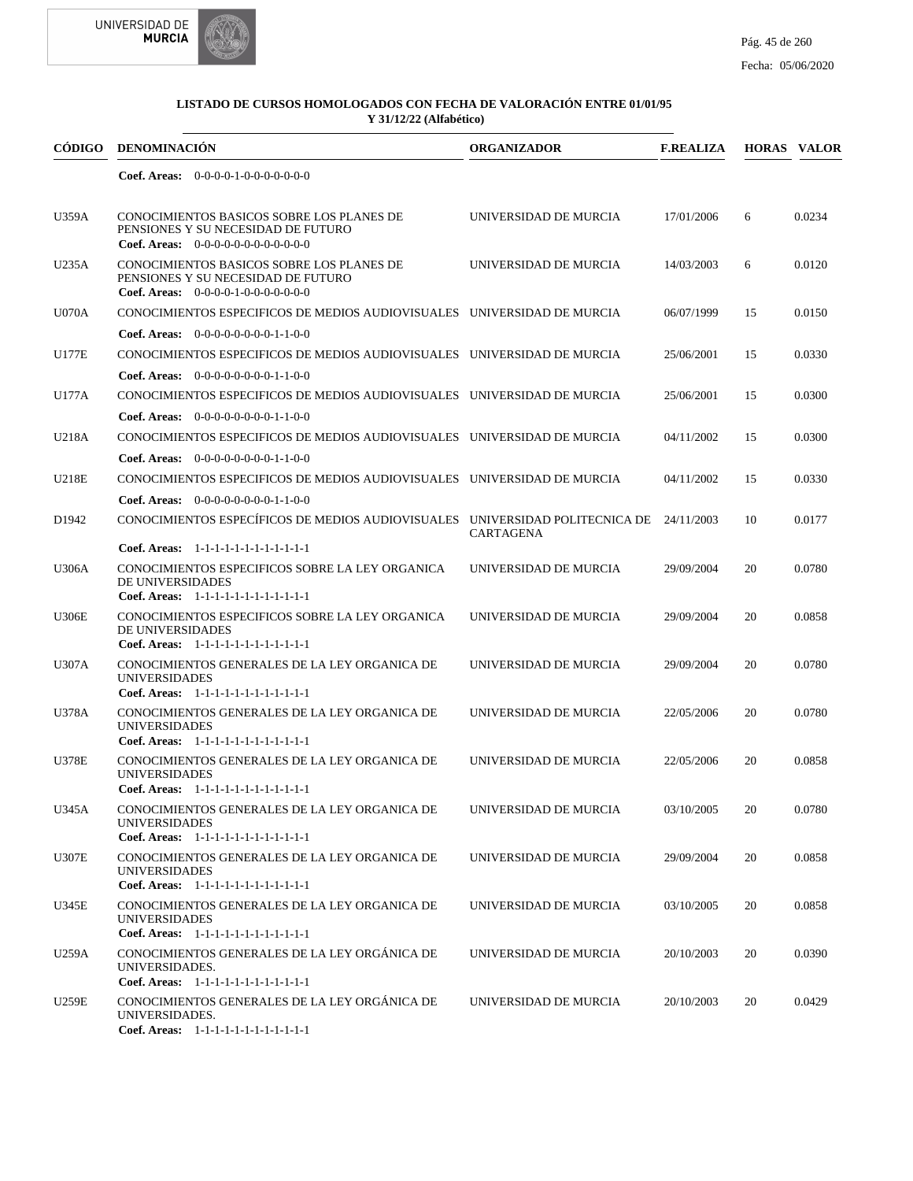



| <b>CÓDIGO</b>     | <b>DENOMINACIÓN</b>                                                                                                                                                   | <b>ORGANIZADOR</b>    | <b>F.REALIZA</b> |    | <b>HORAS VALOR</b> |
|-------------------|-----------------------------------------------------------------------------------------------------------------------------------------------------------------------|-----------------------|------------------|----|--------------------|
|                   | Coef. Areas: $0-0-0-0-1-0-0-0-0-0-0$                                                                                                                                  |                       |                  |    |                    |
| <b>U359A</b>      | CONOCIMIENTOS BASICOS SOBRE LOS PLANES DE<br>PENSIONES Y SU NECESIDAD DE FUTURO<br><b>Coef. Areas:</b> $0-0-0-0-0-0-0-0-0-0-0-0$                                      | UNIVERSIDAD DE MURCIA | 17/01/2006       | 6  | 0.0234             |
| U235A             | CONOCIMIENTOS BASICOS SOBRE LOS PLANES DE<br>PENSIONES Y SU NECESIDAD DE FUTURO<br>Coef. Areas: $0-0-0-0-1-0-0-0-0-0-0$                                               | UNIVERSIDAD DE MURCIA | 14/03/2003       | 6  | 0.0120             |
| <b>U070A</b>      | CONOCIMIENTOS ESPECIFICOS DE MEDIOS AUDIOVISUALES UNIVERSIDAD DE MURCIA                                                                                               |                       | 06/07/1999       | 15 | 0.0150             |
| <b>U177E</b>      | <b>Coef. Areas:</b> $0-0-0-0-0-0-0-1-1-0-0$<br>CONOCIMIENTOS ESPECIFICOS DE MEDIOS AUDIOVISUALES UNIVERSIDAD DE MURCIA<br><b>Coef. Areas:</b> $0-0-0-0-0-0-0-1-1-0-0$ |                       | 25/06/2001       | 15 | 0.0330             |
| U177A             | CONOCIMIENTOS ESPECIFICOS DE MEDIOS AUDIOVISUALES UNIVERSIDAD DE MURCIA                                                                                               |                       | 25/06/2001       | 15 | 0.0300             |
| U218A             | <b>Coef. Areas:</b> $0-0-0-0-0-0-0-1-1-0-0$<br>CONOCIMIENTOS ESPECIFICOS DE MEDIOS AUDIOVISUALES UNIVERSIDAD DE MURCIA                                                |                       | 04/11/2002       | 15 | 0.0300             |
| U218E             | <b>Coef. Areas:</b> $0-0-0-0-0-0-0-1-1-0-0$<br>CONOCIMIENTOS ESPECIFICOS DE MEDIOS AUDIOVISUALES UNIVERSIDAD DE MURCIA                                                |                       | 04/11/2002       | 15 | 0.0330             |
| D <sub>1942</sub> | Coef. Areas: $0-0-0-0-0-0-0-1-1-0-0$<br>CONOCIMIENTOS ESPECÍFICOS DE MEDIOS AUDIOVISUALES UNIVERSIDAD POLITECNICA DE 24/11/2003                                       | CARTAGENA             |                  | 10 | 0.0177             |
| <b>U306A</b>      | Coef. Areas: 1-1-1-1-1-1-1-1-1-1-1-1-1<br>CONOCIMIENTOS ESPECIFICOS SOBRE LA LEY ORGANICA<br>DE UNIVERSIDADES<br>Coef. Areas: 1-1-1-1-1-1-1-1-1-1-1-1-1               | UNIVERSIDAD DE MURCIA | 29/09/2004       | 20 | 0.0780             |
| <b>U306E</b>      | CONOCIMIENTOS ESPECIFICOS SOBRE LA LEY ORGANICA<br>DE UNIVERSIDADES<br>Coef. Areas: 1-1-1-1-1-1-1-1-1-1-1-1-1                                                         | UNIVERSIDAD DE MURCIA | 29/09/2004       | 20 | 0.0858             |
| <b>U307A</b>      | CONOCIMIENTOS GENERALES DE LA LEY ORGANICA DE<br><b>UNIVERSIDADES</b><br>Coef. Areas: 1-1-1-1-1-1-1-1-1-1-1-1-1                                                       | UNIVERSIDAD DE MURCIA | 29/09/2004       | 20 | 0.0780             |
| <b>U378A</b>      | CONOCIMIENTOS GENERALES DE LA LEY ORGANICA DE<br><b>UNIVERSIDADES</b><br>Coef. Areas: 1-1-1-1-1-1-1-1-1-1-1-1-1                                                       | UNIVERSIDAD DE MURCIA | 22/05/2006       | 20 | 0.0780             |
| <b>U378E</b>      | CONOCIMIENTOS GENERALES DE LA LEY ORGANICA DE<br><b>UNIVERSIDADES</b><br>Coef. Areas: 1-1-1-1-1-1-1-1-1-1-1-1-1                                                       | UNIVERSIDAD DE MURCIA | 22/05/2006       | 20 | 0.0858             |
| U345A             | CONOCIMIENTOS GENERALES DE LA LEY ORGANICA DE<br><b>UNIVERSIDADES</b><br>Coef. Areas: 1-1-1-1-1-1-1-1-1-1-1-1-1                                                       | UNIVERSIDAD DE MURCIA | 03/10/2005       | 20 | 0.0780             |
| <b>U307E</b>      | CONOCIMIENTOS GENERALES DE LA LEY ORGANICA DE<br><b>UNIVERSIDADES</b>                                                                                                 | UNIVERSIDAD DE MURCIA | 29/09/2004       | 20 | 0.0858             |
| U345E             | Coef. Areas: 1-1-1-1-1-1-1-1-1-1-1-1-1<br>CONOCIMIENTOS GENERALES DE LA LEY ORGANICA DE<br><b>UNIVERSIDADES</b><br>Coef. Areas: 1-1-1-1-1-1-1-1-1-1-1-1-1             | UNIVERSIDAD DE MURCIA | 03/10/2005       | 20 | 0.0858             |
| U259A             | CONOCIMIENTOS GENERALES DE LA LEY ORGÁNICA DE<br>UNIVERSIDADES.<br>Coef. Areas: 1-1-1-1-1-1-1-1-1-1-1-1-1                                                             | UNIVERSIDAD DE MURCIA | 20/10/2003       | 20 | 0.0390             |
| U259E             | CONOCIMIENTOS GENERALES DE LA LEY ORGÁNICA DE<br>UNIVERSIDADES.<br>Coef. Areas: 1-1-1-1-1-1-1-1-1-1-1-1-1                                                             | UNIVERSIDAD DE MURCIA | 20/10/2003       | 20 | 0.0429             |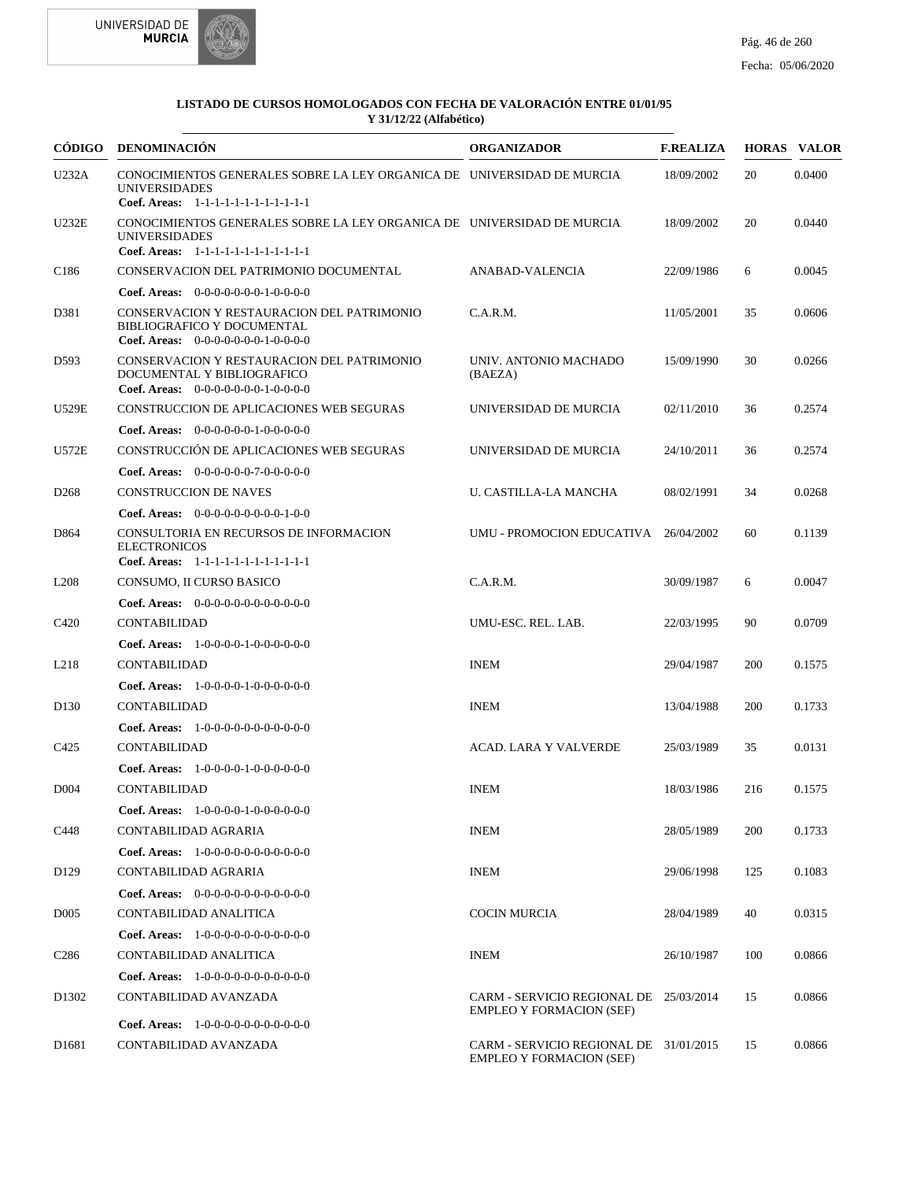



|                   | CÓDIGO DENOMINACIÓN                                                                                                                      | <b>ORGANIZADOR</b>                                                        | <b>F.REALIZA</b> |     | <b>HORAS VALOR</b> |
|-------------------|------------------------------------------------------------------------------------------------------------------------------------------|---------------------------------------------------------------------------|------------------|-----|--------------------|
| U232A             | CONOCIMIENTOS GENERALES SOBRE LA LEY ORGANICA DE UNIVERSIDAD DE MURCIA<br><b>UNIVERSIDADES</b><br>Coef. Areas: 1-1-1-1-1-1-1-1-1-1-1-1-1 |                                                                           | 18/09/2002       | 20  | 0.0400             |
| <b>U232E</b>      | CONOCIMIENTOS GENERALES SOBRE LA LEY ORGANICA DE UNIVERSIDAD DE MURCIA<br><b>UNIVERSIDADES</b><br>Coef. Areas: 1-1-1-1-1-1-1-1-1-1-1-1-1 |                                                                           | 18/09/2002       | 20  | 0.0440             |
| C <sub>186</sub>  | CONSERVACION DEL PATRIMONIO DOCUMENTAL                                                                                                   | ANABAD-VALENCIA                                                           | 22/09/1986       | 6   | 0.0045             |
|                   | <b>Coef. Areas:</b> $0-0-0-0-0-0-1-0-0-0-0$                                                                                              |                                                                           |                  |     |                    |
| D381              | CONSERVACION Y RESTAURACION DEL PATRIMONIO<br><b>BIBLIOGRAFICO Y DOCUMENTAL</b><br>Coef. Areas: $0-0-0-0-0-0-1-0-0-0-0$                  | C.A.R.M.                                                                  | 11/05/2001       | 35  | 0.0606             |
| D593              | CONSERVACION Y RESTAURACION DEL PATRIMONIO<br>DOCUMENTAL Y BIBLIOGRAFICO<br><b>Coef. Areas:</b> $0-0-0-0-0-0-1-0-0-0-0$                  | UNIV. ANTONIO MACHADO<br>(BAEZA)                                          | 15/09/1990       | 30  | 0.0266             |
| U529E             | CONSTRUCCION DE APLICACIONES WEB SEGURAS                                                                                                 | UNIVERSIDAD DE MURCIA                                                     | 02/11/2010       | 36  | 0.2574             |
|                   | <b>Coef. Areas:</b> $0-0-0-0-0-1-0-0-0-0-0$                                                                                              |                                                                           |                  |     |                    |
| <b>U572E</b>      | CONSTRUCCIÓN DE APLICACIONES WEB SEGURAS                                                                                                 | UNIVERSIDAD DE MURCIA                                                     | 24/10/2011       | 36  | 0.2574             |
|                   | <b>Coef. Areas:</b> $0-0-0-0-0-0-0-0-0-0-0-0$                                                                                            |                                                                           |                  |     |                    |
| D <sub>268</sub>  | <b>CONSTRUCCION DE NAVES</b>                                                                                                             | U. CASTILLA-LA MANCHA                                                     | 08/02/1991       | 34  | 0.0268             |
|                   | <b>Coef. Areas:</b> $0-0-0-0-0-0-0-0-1-0-0$                                                                                              |                                                                           |                  |     |                    |
| D864              | CONSULTORIA EN RECURSOS DE INFORMACION<br><b>ELECTRONICOS</b><br>Coef. Areas: 1-1-1-1-1-1-1-1-1-1-1-1-1                                  | UMU - PROMOCION EDUCATIVA 26/04/2002                                      |                  | 60  | 0.1139             |
| L <sub>208</sub>  | CONSUMO, II CURSO BASICO                                                                                                                 | C.A.R.M.                                                                  | 30/09/1987       | 6   | 0.0047             |
|                   | Coef. Areas: $0-0-0-0-0-0-0-0-0-0-0$                                                                                                     |                                                                           |                  |     |                    |
| C <sub>420</sub>  | CONTABILIDAD                                                                                                                             | UMU-ESC. REL. LAB.                                                        | 22/03/1995       | 90  | 0.0709             |
|                   | <b>Coef. Areas:</b> $1-0-0-0-1-0-0-0-0-0-0$                                                                                              |                                                                           |                  |     |                    |
| L <sub>218</sub>  | CONTABILIDAD                                                                                                                             | <b>INEM</b>                                                               | 29/04/1987       | 200 | 0.1575             |
|                   | <b>Coef. Areas:</b> $1-0-0-0-1-0-0-0-0-0-0$                                                                                              |                                                                           |                  |     |                    |
| D <sub>130</sub>  | <b>CONTABILIDAD</b>                                                                                                                      | <b>INEM</b>                                                               | 13/04/1988       | 200 | 0.1733             |
|                   | <b>Coef. Areas:</b> $1-0-0-0-0-0-0-0-0-0-0-0$                                                                                            |                                                                           |                  |     |                    |
| C <sub>425</sub>  | CONTABILIDAD                                                                                                                             | ACAD. LARA Y VALVERDE                                                     | 25/03/1989       | 35  | 0.0131             |
|                   | Coef. Areas: $1-0-0-0-1-0-0-0-0-0-0$                                                                                                     |                                                                           |                  |     |                    |
| D <sub>004</sub>  | CONTABILIDAD                                                                                                                             | <b>INEM</b>                                                               | 18/03/1986       | 216 | 0.1575             |
|                   | Coef. Areas: $1-0-0-0-1-0-0-0-0-0-0$                                                                                                     |                                                                           |                  |     |                    |
| C448              | CONTABILIDAD AGRARIA                                                                                                                     | <b>INEM</b>                                                               | 28/05/1989       | 200 | 0.1733             |
|                   | <b>Coef. Areas:</b> $1-0-0-0-0-0-0-0-0-0-0$                                                                                              |                                                                           |                  |     |                    |
| D <sub>129</sub>  | CONTABILIDAD AGRARIA                                                                                                                     | <b>INEM</b>                                                               | 29/06/1998       | 125 | 0.1083             |
|                   | <b>Coef. Areas:</b> $0-0-0-0-0-0-0-0-0-0-0-0$                                                                                            |                                                                           |                  |     |                    |
| D <sub>005</sub>  | CONTABILIDAD ANALITICA                                                                                                                   | <b>COCIN MURCIA</b>                                                       | 28/04/1989       | 40  | 0.0315             |
|                   | <b>Coef. Areas:</b> $1-0-0-0-0-0-0-0-0-0-0$                                                                                              |                                                                           |                  |     |                    |
| C <sub>286</sub>  | CONTABILIDAD ANALITICA                                                                                                                   | <b>INEM</b>                                                               | 26/10/1987       | 100 | 0.0866             |
|                   | <b>Coef. Areas:</b> $1-0-0-0-0-0-0-0-0-0-0$                                                                                              |                                                                           |                  |     |                    |
| D1302             | CONTABILIDAD AVANZADA                                                                                                                    | CARM - SERVICIO REGIONAL DE 25/03/2014                                    |                  | 15  | 0.0866             |
|                   |                                                                                                                                          | <b>EMPLEO Y FORMACION (SEF)</b>                                           |                  |     |                    |
| D <sub>1681</sub> | <b>Coef. Areas:</b> $1-0-0-0-0-0-0-0-0-0-0-0$<br>CONTABILIDAD AVANZADA                                                                   | CARM - SERVICIO REGIONAL DE 31/01/2015<br><b>EMPLEO Y FORMACION (SEF)</b> |                  | 15  | 0.0866             |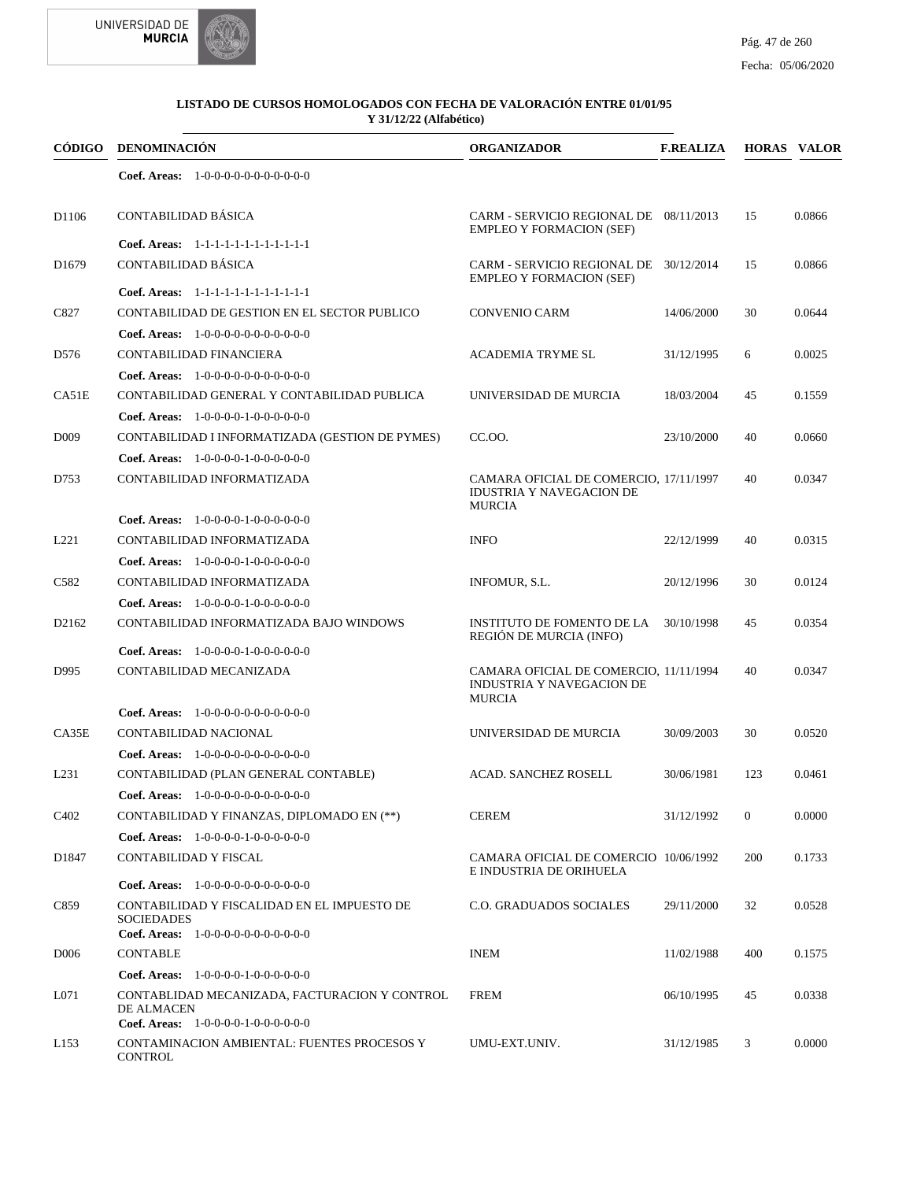



| CÓDIGO                        | <b>DENOMINACIÓN</b>                                                                                        | <b>ORGANIZADOR</b>                                                                         | <b>F.REALIZA</b> |              | <b>HORAS VALOR</b> |
|-------------------------------|------------------------------------------------------------------------------------------------------------|--------------------------------------------------------------------------------------------|------------------|--------------|--------------------|
|                               | Coef. Areas: $1-0-0-0-0-0-0-0-0-0-0-0$                                                                     |                                                                                            |                  |              |                    |
| D <sub>1106</sub>             | CONTABILIDAD BÁSICA                                                                                        | CARM - SERVICIO REGIONAL DE 08/11/2013<br><b>EMPLEO Y FORMACION (SEF)</b>                  |                  | 15           | 0.0866             |
|                               | Coef. Areas: 1-1-1-1-1-1-1-1-1-1-1-1-1                                                                     |                                                                                            |                  |              |                    |
| D <sub>1679</sub>             | CONTABILIDAD BÁSICA                                                                                        | CARM - SERVICIO REGIONAL DE 30/12/2014<br><b>EMPLEO Y FORMACION (SEF)</b>                  |                  | 15           | 0.0866             |
|                               | Coef. Areas: 1-1-1-1-1-1-1-1-1-1-1-1-1                                                                     |                                                                                            |                  |              |                    |
| C827                          | CONTABILIDAD DE GESTION EN EL SECTOR PUBLICO                                                               | <b>CONVENIO CARM</b>                                                                       | 14/06/2000       | 30           | 0.0644             |
|                               | <b>Coef. Areas:</b> $1-0-0-0-0-0-0-0-0-0-0$                                                                |                                                                                            |                  |              |                    |
| D576                          | CONTABILIDAD FINANCIERA                                                                                    | <b>ACADEMIA TRYME SL</b>                                                                   | 31/12/1995       | 6            | 0.0025             |
|                               | <b>Coef. Areas:</b> $1-0-0-0-0-0-0-0-0-0-0$                                                                |                                                                                            |                  |              |                    |
| CA51E                         | CONTABILIDAD GENERAL Y CONTABILIDAD PUBLICA                                                                | UNIVERSIDAD DE MURCIA                                                                      | 18/03/2004       | 45           | 0.1559             |
|                               | Coef. Areas: $1-0-0-0-1-0-0-0-0-0-0$                                                                       |                                                                                            |                  |              |                    |
| D <sub>009</sub>              | CONTABILIDAD I INFORMATIZADA (GESTION DE PYMES)                                                            | CC.00.                                                                                     | 23/10/2000       | 40           | 0.0660             |
|                               | <b>Coef. Areas:</b> $1-0-0-0-1-0-0-0-0-0-0$                                                                |                                                                                            |                  |              |                    |
| D753                          | CONTABILIDAD INFORMATIZADA                                                                                 | CAMARA OFICIAL DE COMERCIO, 17/11/1997<br><b>IDUSTRIA Y NAVEGACION DE</b><br><b>MURCIA</b> |                  | 40           | 0.0347             |
|                               | <b>Coef. Areas:</b> $1-0-0-0-1-0-0-0-0-0-0$                                                                |                                                                                            |                  |              |                    |
| L221                          | CONTABILIDAD INFORMATIZADA                                                                                 | <b>INFO</b>                                                                                | 22/12/1999       | 40           | 0.0315             |
|                               | Coef. Areas: $1-0-0-0-1-0-0-0-0-0-0$                                                                       |                                                                                            |                  |              |                    |
| C <sub>582</sub>              | CONTABILIDAD INFORMATIZADA                                                                                 | INFOMUR, S.L.                                                                              | 20/12/1996       | 30           | 0.0124             |
|                               | <b>Coef. Areas:</b> $1-0-0-0-1-0-0-0-0-0-0$                                                                |                                                                                            |                  |              |                    |
| D <sub>2162</sub>             | CONTABILIDAD INFORMATIZADA BAJO WINDOWS                                                                    | INSTITUTO DE FOMENTO DE LA<br>REGIÓN DE MURCIA (INFO)                                      | 30/10/1998       | 45           | 0.0354             |
|                               | <b>Coef. Areas:</b> $1-0-0-0-1-0-0-0-0-0-0$                                                                |                                                                                            |                  |              |                    |
| D995                          | CONTABILIDAD MECANIZADA                                                                                    | CAMARA OFICIAL DE COMERCIO, 11/11/1994<br>INDUSTRIA Y NAVEGACION DE<br><b>MURCIA</b>       |                  | 40           | 0.0347             |
|                               | <b>Coef. Areas:</b> $1-0-0-0-0-0-0-0-0-0-0$                                                                |                                                                                            |                  |              |                    |
| CA35E                         | CONTABILIDAD NACIONAL                                                                                      | UNIVERSIDAD DE MURCIA                                                                      | 30/09/2003       | 30           | 0.0520             |
|                               | <b>Coef. Areas:</b> $1-0-0-0-0-0-0-0-0-0-0-0$                                                              |                                                                                            |                  |              |                    |
| L <sub>231</sub>              | CONTABILIDAD (PLAN GENERAL CONTABLE)                                                                       | <b>ACAD. SANCHEZ ROSELL</b>                                                                | 30/06/1981       | 123          | 0.0461             |
|                               | <b>Coef. Areas:</b> $1-0-0-0-0-0-0-0-0-0-0$                                                                |                                                                                            |                  |              |                    |
| C <sub>4</sub> 0 <sub>2</sub> | CONTABILIDAD Y FINANZAS, DIPLOMADO EN (**)                                                                 | <b>CEREM</b>                                                                               | 31/12/1992       | $\mathbf{0}$ | 0.0000             |
|                               | Coef. Areas: $1-0-0-0-1-0-0-0-0-0-0$                                                                       |                                                                                            |                  |              |                    |
| D1847                         | CONTABILIDAD Y FISCAL                                                                                      | CAMARA OFICIAL DE COMERCIO 10/06/1992<br>E INDUSTRIA DE ORIHUELA                           |                  | 200          | 0.1733             |
|                               | <b>Coef. Areas:</b> $1-0-0-0-0-0-0-0-0-0-0$                                                                |                                                                                            |                  |              |                    |
| C859                          | CONTABILIDAD Y FISCALIDAD EN EL IMPUESTO DE<br><b>SOCIEDADES</b><br>Coef. Areas: 1-0-0-0-0-0-0-0-0-0-0-0-0 | C.O. GRADUADOS SOCIALES                                                                    | 29/11/2000       | 32           | 0.0528             |
| D <sub>006</sub>              | <b>CONTABLE</b>                                                                                            | <b>INEM</b>                                                                                | 11/02/1988       | 400          | 0.1575             |
|                               | <b>Coef. Areas:</b> $1-0-0-0-1-0-0-0-0-0-0$                                                                |                                                                                            |                  |              |                    |
| L071                          | CONTABLIDAD MECANIZADA, FACTURACION Y CONTROL                                                              | <b>FREM</b>                                                                                | 06/10/1995       | 45           | 0.0338             |
|                               | DE ALMACEN<br>Coef. Areas: $1-0-0-0-1-0-0-0-0-0-0$                                                         |                                                                                            |                  |              |                    |
| L <sub>153</sub>              | CONTAMINACION AMBIENTAL: FUENTES PROCESOS Y<br><b>CONTROL</b>                                              | UMU-EXT.UNIV.                                                                              | 31/12/1985       | 3            | 0.0000             |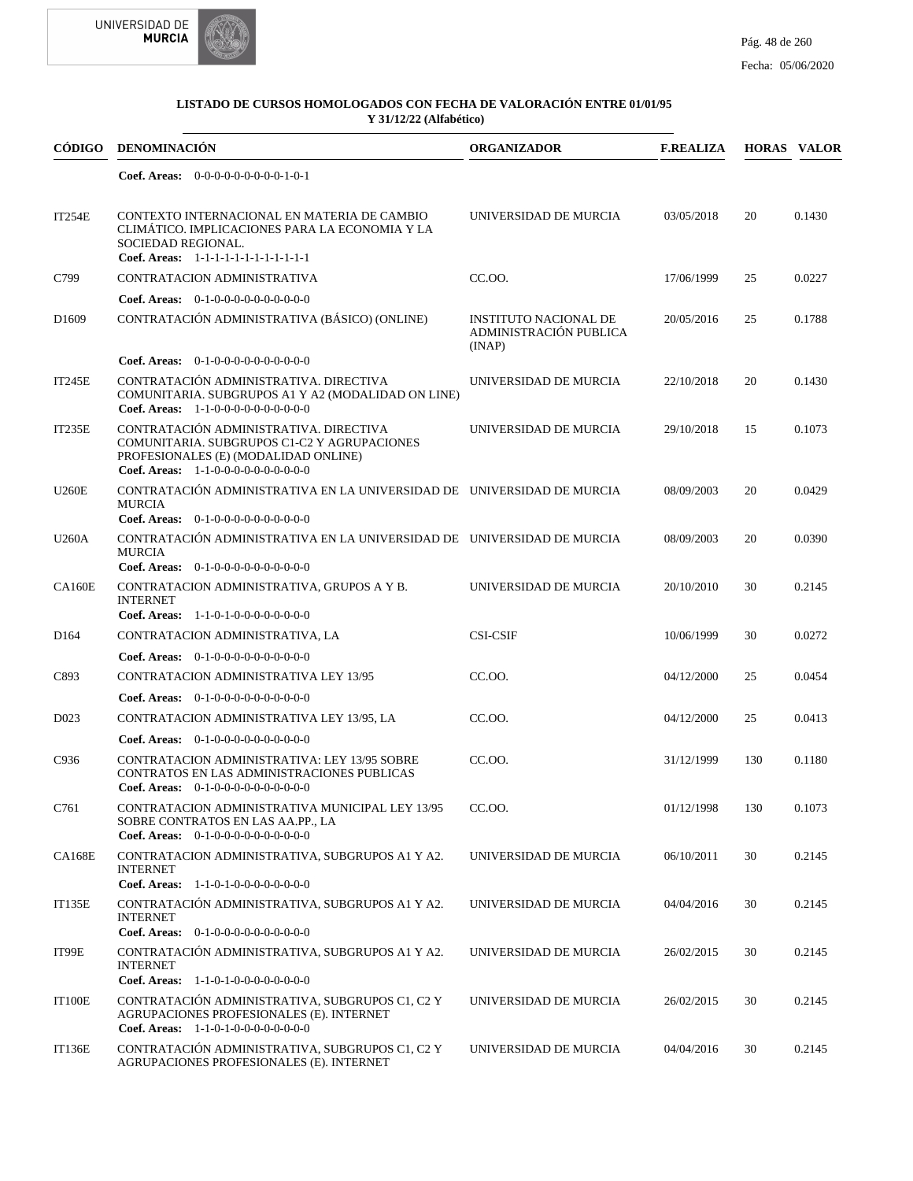

| CÓDIGO            | <b>DENOMINACIÓN</b>                                                                                                                                                   | <b>ORGANIZADOR</b>                                               | <b>F.REALIZA</b> |     | <b>HORAS VALOR</b> |
|-------------------|-----------------------------------------------------------------------------------------------------------------------------------------------------------------------|------------------------------------------------------------------|------------------|-----|--------------------|
|                   | Coef. Areas: $0-0-0-0-0-0-0-0-1-0-1$                                                                                                                                  |                                                                  |                  |     |                    |
| <b>IT254E</b>     | CONTEXTO INTERNACIONAL EN MATERIA DE CAMBIO<br>CLIMÁTICO. IMPLICACIONES PARA LA ECONOMIA Y LA<br>SOCIEDAD REGIONAL.<br>Coef. Areas: 1-1-1-1-1-1-1-1-1-1-1-1-1         | UNIVERSIDAD DE MURCIA                                            | 03/05/2018       | 20  | 0.1430             |
| C799              | CONTRATACION ADMINISTRATIVA                                                                                                                                           | CC.OO.                                                           | 17/06/1999       | 25  | 0.0227             |
|                   | Coef. Areas: $0-1-0-0-0-0-0-0-0-0-0-0$                                                                                                                                |                                                                  |                  |     |                    |
| D <sub>1609</sub> | CONTRATACIÓN ADMINISTRATIVA (BÁSICO) (ONLINE)                                                                                                                         | <b>INSTITUTO NACIONAL DE</b><br>ADMINISTRACIÓN PUBLICA<br>(INAP) | 20/05/2016       | 25  | 0.1788             |
|                   | <b>Coef. Areas:</b> $0-1-0-0-0-0-0-0-0-0-0$                                                                                                                           |                                                                  |                  |     |                    |
| <b>IT245E</b>     | CONTRATACIÓN ADMINISTRATIVA. DIRECTIVA<br>COMUNITARIA. SUBGRUPOS A1 Y A2 (MODALIDAD ON LINE)<br>Coef. Areas: 1-1-0-0-0-0-0-0-0-0-0-0-0                                | UNIVERSIDAD DE MURCIA                                            | 22/10/2018       | 20  | 0.1430             |
| IT235E            | CONTRATACIÓN ADMINISTRATIVA. DIRECTIVA<br>COMUNITARIA. SUBGRUPOS C1-C2 Y AGRUPACIONES<br>PROFESIONALES (E) (MODALIDAD ONLINE)<br>Coef. Areas: $1-1-0-0-0-0-0-0-0-0-0$ | UNIVERSIDAD DE MURCIA                                            | 29/10/2018       | 15  | 0.1073             |
| <b>U260E</b>      | CONTRATACIÓN ADMINISTRATIVA EN LA UNIVERSIDAD DE UNIVERSIDAD DE MURCIA<br><b>MURCIA</b><br>Coef. Areas: 0-1-0-0-0-0-0-0-0-0-0-0-0                                     |                                                                  | 08/09/2003       | 20  | 0.0429             |
| <b>U260A</b>      | CONTRATACIÓN ADMINISTRATIVA EN LA UNIVERSIDAD DE UNIVERSIDAD DE MURCIA<br><b>MURCIA</b><br>Coef. Areas: $0-1-0-0-0-0-0-0-0-0-0$                                       |                                                                  | 08/09/2003       | 20  | 0.0390             |
| <b>CA160E</b>     | CONTRATACION ADMINISTRATIVA, GRUPOS A Y B.<br><b>INTERNET</b><br>Coef. Areas: $1-1-0-1-0-0-0-0-0-0-0$                                                                 | UNIVERSIDAD DE MURCIA                                            | 20/10/2010       | 30  | 0.2145             |
| D <sub>164</sub>  | CONTRATACION ADMINISTRATIVA, LA                                                                                                                                       | <b>CSI-CSIF</b>                                                  | 10/06/1999       | 30  | 0.0272             |
|                   | <b>Coef. Areas:</b> $0-1-0-0-0-0-0-0-0-0-0$                                                                                                                           |                                                                  |                  |     |                    |
| C893              | CONTRATACION ADMINISTRATIVA LEY 13/95                                                                                                                                 | CC.OO.                                                           | 04/12/2000       | 25  | 0.0454             |
|                   | Coef. Areas: $0-1-0-0-0-0-0-0-0-0-0$                                                                                                                                  |                                                                  |                  |     |                    |
| D <sub>023</sub>  | CONTRATACION ADMINISTRATIVA LEY 13/95, LA                                                                                                                             | CC.OO.                                                           | 04/12/2000       | 25  | 0.0413             |
|                   | Coef. Areas: $0-1-0-0-0-0-0-0-0-0-0$                                                                                                                                  |                                                                  |                  |     |                    |
| C936              | CONTRATACION ADMINISTRATIVA: LEY 13/95 SOBRE<br>CONTRATOS EN LAS ADMINISTRACIONES PUBLICAS<br>Coef. Areas: $0-1-0-0-0-0-0-0-0-0-0$                                    | CC.OO.                                                           | 31/12/1999       | 130 | 0.1180             |
| C761              | CONTRATACION ADMINISTRATIVA MUNICIPAL LEY 13/95<br>SOBRE CONTRATOS EN LAS AA.PP., LA<br>Coef. Areas: $0-1-0-0-0-0-0-0-0-0-0$                                          | CC.00.                                                           | 01/12/1998       | 130 | 0.1073             |
| <b>CA168E</b>     | CONTRATACION ADMINISTRATIVA, SUBGRUPOS A1 Y A2.<br><b>INTERNET</b><br>Coef. Areas: $1-1-0-1-0-0-0-0-0-0-0$                                                            | UNIVERSIDAD DE MURCIA                                            | 06/10/2011       | 30  | 0.2145             |
| <b>IT135E</b>     | CONTRATACIÓN ADMINISTRATIVA, SUBGRUPOS A1 Y A2.<br><b>INTERNET</b><br><b>Coef. Areas:</b> $0-1-0-0-0-0-0-0-0-0-0$                                                     | UNIVERSIDAD DE MURCIA                                            | 04/04/2016       | 30  | 0.2145             |
| IT99E             | CONTRATACIÓN ADMINISTRATIVA, SUBGRUPOS A1 Y A2.<br><b>INTERNET</b><br>Coef. Areas: 1-1-0-1-0-0-0-0-0-0-0-0                                                            | UNIVERSIDAD DE MURCIA                                            | 26/02/2015       | 30  | 0.2145             |
|                   |                                                                                                                                                                       |                                                                  |                  |     |                    |
| IT100E            | CONTRATACIÓN ADMINISTRATIVA, SUBGRUPOS C1, C2 Y<br>AGRUPACIONES PROFESIONALES (E). INTERNET<br>Coef. Areas: $1-1-0-1-0-0-0-0-0-0-0$                                   | UNIVERSIDAD DE MURCIA                                            | 26/02/2015       | 30  | 0.2145             |
| <b>IT136E</b>     | CONTRATACIÓN ADMINISTRATIVA, SUBGRUPOS C1, C2 Y<br>AGRUPACIONES PROFESIONALES (E). INTERNET                                                                           | UNIVERSIDAD DE MURCIA                                            | 04/04/2016       | 30  | 0.2145             |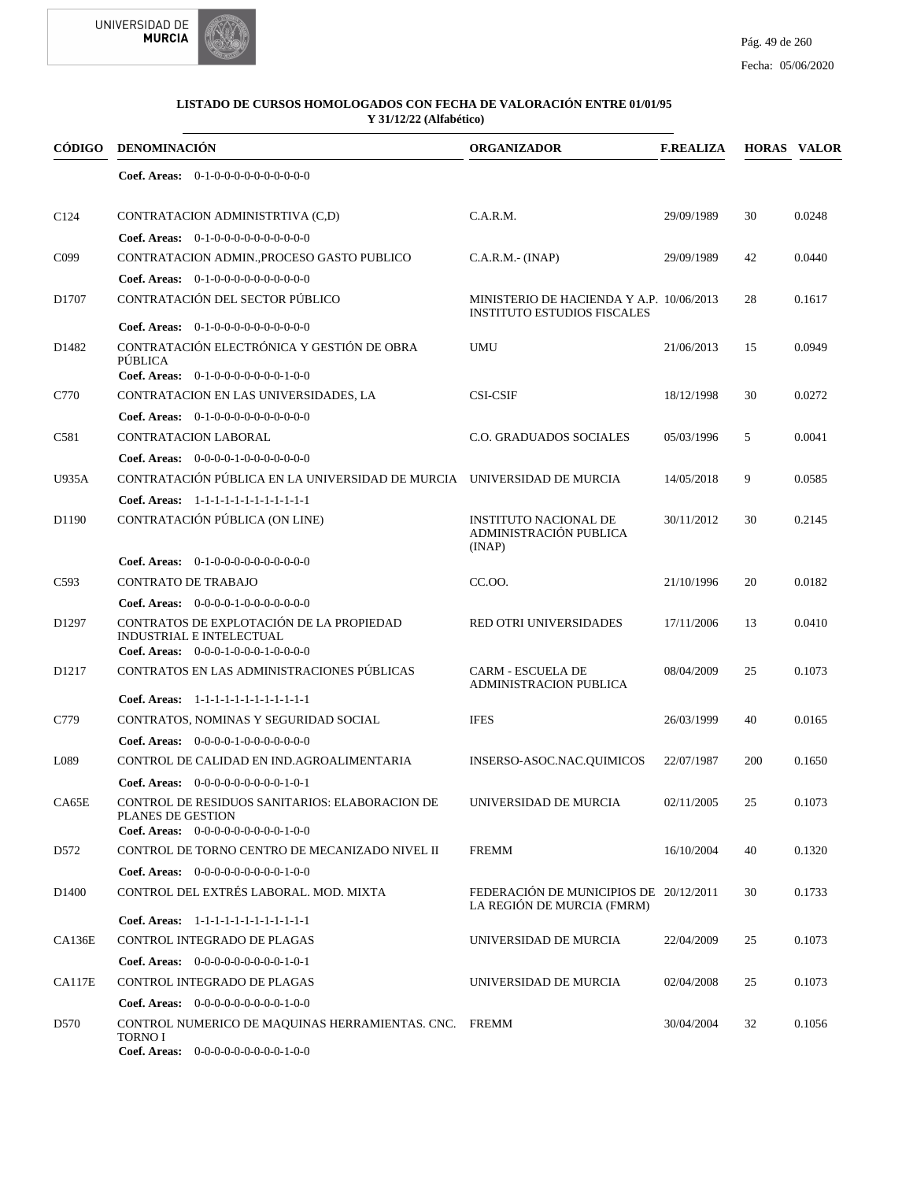



| <b>CÓDIGO</b>     | <b>DENOMINACIÓN</b>                                                                                             | <b>ORGANIZADOR</b>                                                             | <b>F.REALIZA</b> |     | <b>HORAS VALOR</b> |
|-------------------|-----------------------------------------------------------------------------------------------------------------|--------------------------------------------------------------------------------|------------------|-----|--------------------|
|                   | Coef. Areas: $0-1-0-0-0-0-0-0-0-0-0$                                                                            |                                                                                |                  |     |                    |
| C <sub>124</sub>  | CONTRATACION ADMINISTRTIVA (C,D)                                                                                | C.A.R.M.                                                                       | 29/09/1989       | 30  | 0.0248             |
|                   | <b>Coef. Areas:</b> $0-1-0-0-0-0-0-0-0-0-0-0$                                                                   |                                                                                |                  |     |                    |
| C <sub>099</sub>  | CONTRATACION ADMIN., PROCESO GASTO PUBLICO                                                                      | $C.A.R.M.-(INAP)$                                                              | 29/09/1989       | 42  | 0.0440             |
|                   | Coef. Areas: $0-1-0-0-0-0-0-0-0-0-0$                                                                            |                                                                                |                  |     |                    |
| D1707             | CONTRATACIÓN DEL SECTOR PÚBLICO                                                                                 | MINISTERIO DE HACIENDA Y A.P. 10/06/2013<br><b>INSTITUTO ESTUDIOS FISCALES</b> |                  | 28  | 0.1617             |
|                   | Coef. Areas: $0-1-0-0-0-0-0-0-0-0-0$                                                                            |                                                                                |                  |     |                    |
| D1482             | CONTRATACIÓN ELECTRÓNICA Y GESTIÓN DE OBRA<br>PÚBLICA<br>Coef. Areas: 0-1-0-0-0-0-0-0-0-1-0-0                   | <b>UMU</b>                                                                     | 21/06/2013       | 15  | 0.0949             |
|                   |                                                                                                                 |                                                                                |                  |     |                    |
| C770              | CONTRATACION EN LAS UNIVERSIDADES, LA                                                                           | <b>CSI-CSIF</b>                                                                | 18/12/1998       | 30  | 0.0272             |
|                   | Coef. Areas: $0-1-0-0-0-0-0-0-0-0-0$                                                                            |                                                                                |                  |     |                    |
| C581              | CONTRATACION LABORAL                                                                                            | <b>C.O. GRADUADOS SOCIALES</b>                                                 | 05/03/1996       | 5   | 0.0041             |
|                   | Coef. Areas: $0-0-0-0-1-0-0-0-0-0-0$                                                                            |                                                                                |                  |     |                    |
| U935A             | CONTRATACIÓN PÚBLICA EN LA UNIVERSIDAD DE MURCIA UNIVERSIDAD DE MURCIA                                          |                                                                                | 14/05/2018       | 9   | 0.0585             |
|                   | Coef. Areas: 1-1-1-1-1-1-1-1-1-1-1-1-1                                                                          |                                                                                |                  |     |                    |
| D1190             | CONTRATACIÓN PÚBLICA (ON LINE)                                                                                  | <b>INSTITUTO NACIONAL DE</b><br>ADMINISTRACIÓN PUBLICA<br>(INAP)               | 30/11/2012       | 30  | 0.2145             |
|                   | <b>Coef. Areas:</b> $0-1-0-0-0-0-0-0-0-0-0-0$                                                                   |                                                                                |                  |     |                    |
| C <sub>593</sub>  | <b>CONTRATO DE TRABAJO</b>                                                                                      | CC.OO.                                                                         | 21/10/1996       | 20  | 0.0182             |
|                   | Coef. Areas: $0-0-0-0-1-0-0-0-0-0-0$                                                                            |                                                                                |                  |     |                    |
| D <sub>1297</sub> | CONTRATOS DE EXPLOTACIÓN DE LA PROPIEDAD<br>INDUSTRIAL E INTELECTUAL<br>Coef. Areas: $0-0-0-1-0-0-1-0-0-0-0$    | RED OTRI UNIVERSIDADES                                                         | 17/11/2006       | 13  | 0.0410             |
| D <sub>1217</sub> | CONTRATOS EN LAS ADMINISTRACIONES PÚBLICAS                                                                      | <b>CARM - ESCUELA DE</b><br><b>ADMINISTRACION PUBLICA</b>                      | 08/04/2009       | 25  | 0.1073             |
|                   | Coef. Areas: 1-1-1-1-1-1-1-1-1-1-1-1-1                                                                          |                                                                                |                  |     |                    |
| C779              | CONTRATOS, NOMINAS Y SEGURIDAD SOCIAL                                                                           | <b>IFES</b>                                                                    | 26/03/1999       | 40  | 0.0165             |
|                   | Coef. Areas: $0-0-0-0-1-0-0-0-0-0-0$                                                                            |                                                                                |                  |     |                    |
| L089              | CONTROL DE CALIDAD EN IND.AGROALIMENTARIA                                                                       | INSERSO-ASOC.NAC.QUIMICOS                                                      | 22/07/1987       | 200 | 0.1650             |
|                   | Coef. Areas: $0-0-0-0-0-0-0-0-1-0-1$                                                                            |                                                                                |                  |     |                    |
| CA65E             | CONTROL DE RESIDUOS SANITARIOS: ELABORACION DE<br>PLANES DE GESTION<br>Coef. Areas: $0-0-0-0-0-0-0-0-1-0-0$     | UNIVERSIDAD DE MURCIA                                                          | 02/11/2005       | 25  | 0.1073             |
| D <sub>572</sub>  | CONTROL DE TORNO CENTRO DE MECANIZADO NIVEL II                                                                  | <b>FREMM</b>                                                                   | 16/10/2004       | 40  | 0.1320             |
|                   | Coef. Areas: $0-0-0-0-0-0-0-0-1-0-0$                                                                            |                                                                                |                  |     |                    |
| D <sub>1400</sub> | CONTROL DEL EXTRÉS LABORAL. MOD. MIXTA                                                                          | FEDERACIÓN DE MUNICIPIOS DE 20/12/2011                                         |                  | 30  | 0.1733             |
|                   |                                                                                                                 | LA REGIÓN DE MURCIA (FMRM)                                                     |                  |     |                    |
|                   | Coef. Areas: 1-1-1-1-1-1-1-1-1-1-1-1-1                                                                          |                                                                                |                  |     |                    |
| CA136E            | CONTROL INTEGRADO DE PLAGAS                                                                                     | UNIVERSIDAD DE MURCIA                                                          | 22/04/2009       | 25  | 0.1073             |
|                   | <b>Coef. Areas:</b> $0-0-0-0-0-0-0-0-1-0-1$                                                                     |                                                                                |                  |     |                    |
| CA117E            | CONTROL INTEGRADO DE PLAGAS                                                                                     | UNIVERSIDAD DE MURCIA                                                          | 02/04/2008       | 25  | 0.1073             |
|                   | Coef. Areas: $0-0-0-0-0-0-0-0-1-0-0$                                                                            |                                                                                |                  |     |                    |
| D <sub>570</sub>  | CONTROL NUMERICO DE MAQUINAS HERRAMIENTAS. CNC. FREMM<br><b>TORNO I</b><br>Coef. Areas: 0-0-0-0-0-0-0-0-0-1-0-0 |                                                                                | 30/04/2004       | 32  | 0.1056             |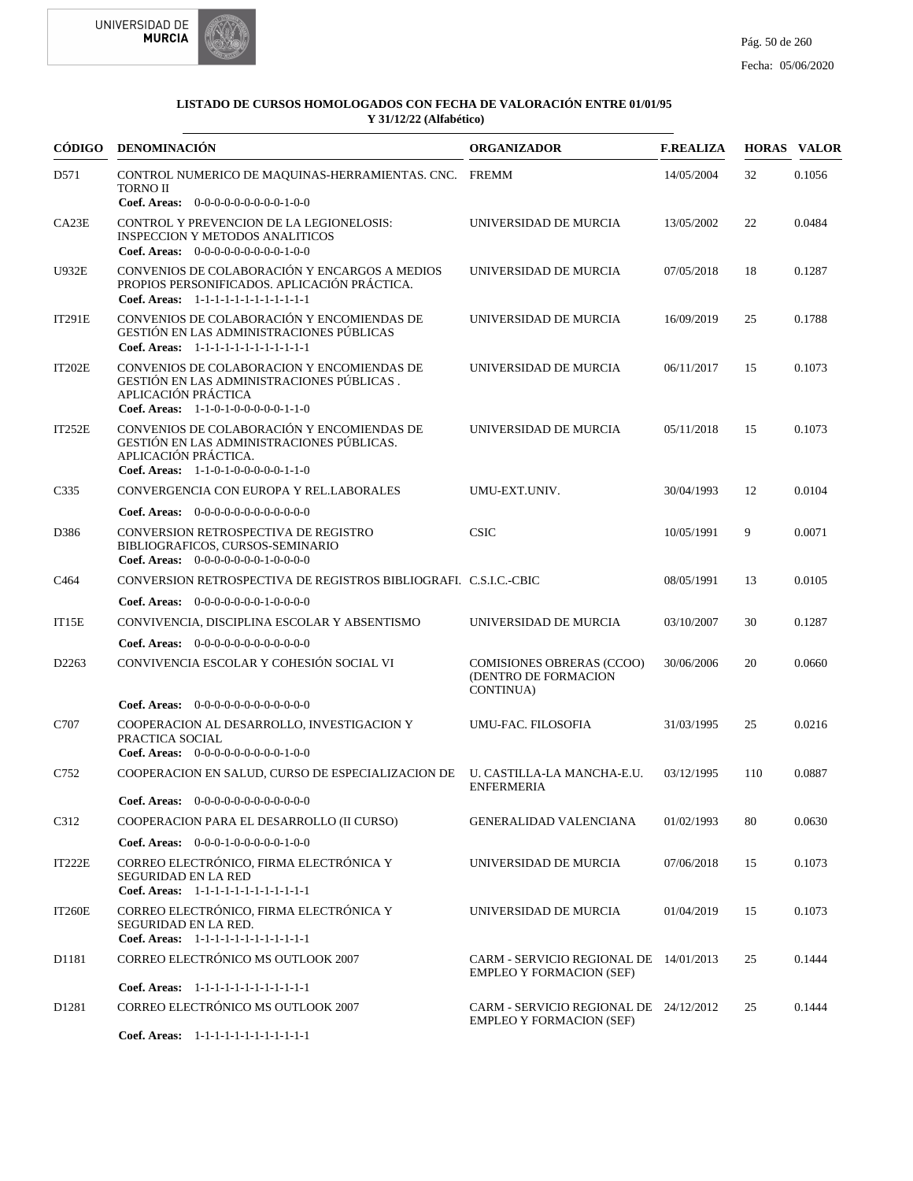



|                   | CÓDIGO DENOMINACIÓN                                                                                                                                                       | <b>ORGANIZADOR</b>                                                        | <b>F.REALIZA</b> |     | <b>HORAS VALOR</b> |
|-------------------|---------------------------------------------------------------------------------------------------------------------------------------------------------------------------|---------------------------------------------------------------------------|------------------|-----|--------------------|
| D571              | CONTROL NUMERICO DE MAQUINAS-HERRAMIENTAS. CNC. FREMM<br><b>TORNO II</b>                                                                                                  |                                                                           | 14/05/2004       | 32  | 0.1056             |
| CA23E             | Coef. Areas: $0-0-0-0-0-0-0-0-1-0-0$<br><b>CONTROL Y PREVENCION DE LA LEGIONELOSIS:</b><br><b>INSPECCION Y METODOS ANALITICOS</b><br>Coef. Areas: 0-0-0-0-0-0-0-0-0-1-0-0 | UNIVERSIDAD DE MURCIA                                                     | 13/05/2002       | 22  | 0.0484             |
| <b>U932E</b>      | CONVENIOS DE COLABORACIÓN Y ENCARGOS A MEDIOS<br>PROPIOS PERSONIFICADOS. APLICACIÓN PRÁCTICA.<br>Coef. Areas: 1-1-1-1-1-1-1-1-1-1-1-1-1                                   | UNIVERSIDAD DE MURCIA                                                     | 07/05/2018       | 18  | 0.1287             |
| <b>IT291E</b>     | CONVENIOS DE COLABORACIÓN Y ENCOMIENDAS DE<br>GESTIÓN EN LAS ADMINISTRACIONES PÚBLICAS<br>Coef. Areas: 1-1-1-1-1-1-1-1-1-1-1-1-1                                          | UNIVERSIDAD DE MURCIA                                                     | 16/09/2019       | 25  | 0.1788             |
| <b>IT202E</b>     | CONVENIOS DE COLABORACION Y ENCOMIENDAS DE<br>GESTIÓN EN LAS ADMINISTRACIONES PÚBLICAS.<br>APLICACIÓN PRÁCTICA<br>Coef. Areas: $1-1-0-1-0-0-0-0-0-1-1-0$                  | UNIVERSIDAD DE MURCIA                                                     | 06/11/2017       | 15  | 0.1073             |
| IT252E            | CONVENIOS DE COLABORACIÓN Y ENCOMIENDAS DE<br>GESTIÓN EN LAS ADMINISTRACIONES PÚBLICAS.<br>APLICACIÓN PRÁCTICA.<br>Coef. Areas: $1-1-0-1-0-0-0-0-1-1-0$                   | UNIVERSIDAD DE MURCIA                                                     | 05/11/2018       | 15  | 0.1073             |
| C <sub>335</sub>  | CONVERGENCIA CON EUROPA Y REL.LABORALES                                                                                                                                   | UMU-EXT.UNIV.                                                             | 30/04/1993       | 12  | 0.0104             |
|                   | Coef. Areas: $0-0-0-0-0-0-0-0-0-0-0$                                                                                                                                      |                                                                           |                  |     |                    |
| D386              | CONVERSION RETROSPECTIVA DE REGISTRO<br>BIBLIOGRAFICOS, CURSOS-SEMINARIO<br>Coef. Areas: $0-0-0-0-0-0-1-0-0-0-0$                                                          | <b>CSIC</b>                                                               | 10/05/1991       | 9   | 0.0071             |
| C <sub>464</sub>  | CONVERSION RETROSPECTIVA DE REGISTROS BIBLIOGRAFI. C.S.I.C.-CBIC                                                                                                          |                                                                           | 08/05/1991       | 13  | 0.0105             |
|                   | <b>Coef. Areas:</b> $0-0-0-0-0-0-1-0-0-0-0$                                                                                                                               |                                                                           |                  |     |                    |
| IT15E             | CONVIVENCIA, DISCIPLINA ESCOLAR Y ABSENTISMO                                                                                                                              | UNIVERSIDAD DE MURCIA                                                     | 03/10/2007       | 30  | 0.1287             |
|                   | <b>Coef. Areas:</b> $0-0-0-0-0-0-0-0-0-0-0-0$                                                                                                                             |                                                                           |                  |     |                    |
| D2263             | CONVIVENCIA ESCOLAR Y COHESIÓN SOCIAL VI                                                                                                                                  | <b>COMISIONES OBRERAS (CCOO)</b><br>(DENTRO DE FORMACION<br>CONTINUA)     | 30/06/2006       | 20  | 0.0660             |
|                   | <b>Coef. Areas:</b> $0-0-0-0-0-0-0-0-0-0-0-0$                                                                                                                             |                                                                           |                  |     |                    |
| C707              | COOPERACION AL DESARROLLO, INVESTIGACION Y<br>PRACTICA SOCIAL<br>Coef. Areas: 0-0-0-0-0-0-0-0-0-1-0-0                                                                     | UMU-FAC. FILOSOFIA                                                        | 31/03/1995       | 25  | 0.0216             |
| C752              | COOPERACION EN SALUD, CURSO DE ESPECIALIZACION DE<br><b>Coef. Areas:</b> $0-0-0-0-0-0-0-0-0-0-0-0$                                                                        | U. CASTILLA-LA MANCHA-E.U.<br><b>ENFERMERIA</b>                           | 03/12/1995       | 110 | 0.0887             |
| C312              | COOPERACION PARA EL DESARROLLO (II CURSO)                                                                                                                                 | GENERALIDAD VALENCIANA                                                    | 01/02/1993       | 80  | 0.0630             |
|                   | Coef. Areas: $0-0-0-1-0-0-0-0-1-0-0$                                                                                                                                      |                                                                           |                  |     |                    |
| <b>IT222E</b>     | CORREO ELECTRÓNICO, FIRMA ELECTRÓNICA Y                                                                                                                                   | UNIVERSIDAD DE MURCIA                                                     | 07/06/2018       | 15  | 0.1073             |
|                   | <b>SEGURIDAD EN LA RED</b><br>Coef. Areas: 1-1-1-1-1-1-1-1-1-1-1-1-1                                                                                                      |                                                                           |                  |     |                    |
| <b>IT260E</b>     | CORREO ELECTRÓNICO, FIRMA ELECTRÓNICA Y<br>SEGURIDAD EN LA RED.<br>Coef. Areas: 1-1-1-1-1-1-1-1-1-1-1-1-1                                                                 | UNIVERSIDAD DE MURCIA                                                     | 01/04/2019       | 15  | 0.1073             |
| D1181             | CORREO ELECTRÓNICO MS OUTLOOK 2007                                                                                                                                        | CARM - SERVICIO REGIONAL DE 14/01/2013<br><b>EMPLEO Y FORMACION (SEF)</b> |                  | 25  | 0.1444             |
|                   | Coef. Areas: 1-1-1-1-1-1-1-1-1-1-1-1-1                                                                                                                                    |                                                                           |                  |     |                    |
| D <sub>1281</sub> | CORREO ELECTRÓNICO MS OUTLOOK 2007                                                                                                                                        | CARM - SERVICIO REGIONAL DE 24/12/2012<br><b>EMPLEO Y FORMACION (SEF)</b> |                  | 25  | 0.1444             |
|                   | Coef. Areas: 1-1-1-1-1-1-1-1-1-1-1-1-1                                                                                                                                    |                                                                           |                  |     |                    |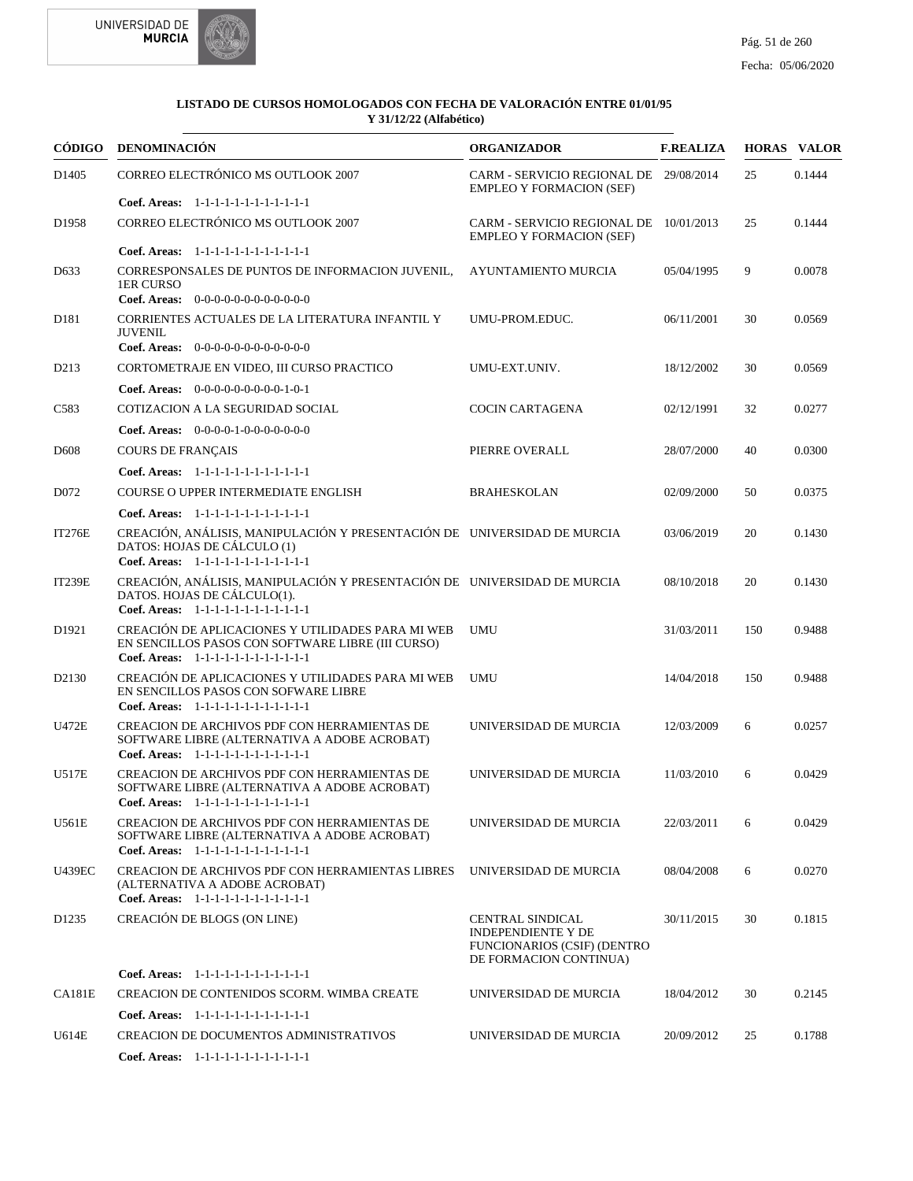



|                   | CÓDIGO DENOMINACIÓN                                                                                                                               | <b>ORGANIZADOR</b>                                                                                                   | <b>F.REALIZA</b> |     | <b>HORAS VALOR</b> |
|-------------------|---------------------------------------------------------------------------------------------------------------------------------------------------|----------------------------------------------------------------------------------------------------------------------|------------------|-----|--------------------|
| D1405             | CORREO ELECTRÓNICO MS OUTLOOK 2007                                                                                                                | CARM - SERVICIO REGIONAL DE 29/08/2014<br><b>EMPLEO Y FORMACION (SEF)</b>                                            |                  | 25  | 0.1444             |
|                   | Coef. Areas: 1-1-1-1-1-1-1-1-1-1-1-1-1                                                                                                            |                                                                                                                      |                  |     |                    |
| D <sub>1958</sub> | CORREO ELECTRÓNICO MS OUTLOOK 2007                                                                                                                | CARM - SERVICIO REGIONAL DE 10/01/2013<br><b>EMPLEO Y FORMACION (SEF)</b>                                            |                  | 25  | 0.1444             |
|                   | Coef. Areas: 1-1-1-1-1-1-1-1-1-1-1-1-1                                                                                                            |                                                                                                                      |                  |     |                    |
| D <sub>6</sub> 33 | CORRESPONSALES DE PUNTOS DE INFORMACION JUVENIL,<br>1ER CURSO                                                                                     | AYUNTAMIENTO MURCIA                                                                                                  | 05/04/1995       | 9   | 0.0078             |
|                   | Coef. Areas: $0-0-0-0-0-0-0-0-0-0-0$                                                                                                              |                                                                                                                      |                  |     |                    |
| D <sub>181</sub>  | CORRIENTES ACTUALES DE LA LITERATURA INFANTIL Y<br><b>JUVENIL</b><br>Coef. Areas: $0-0-0-0-0-0-0-0-0-0-0$                                         | UMU-PROM.EDUC.                                                                                                       | 06/11/2001       | 30  | 0.0569             |
| D <sub>213</sub>  | CORTOMETRAJE EN VIDEO, III CURSO PRACTICO                                                                                                         | UMU-EXT.UNIV.                                                                                                        | 18/12/2002       | 30  | 0.0569             |
|                   |                                                                                                                                                   |                                                                                                                      |                  |     |                    |
|                   | Coef. Areas: $0-0-0-0-0-0-0-0-1-0-1$                                                                                                              |                                                                                                                      |                  |     |                    |
| C583              | COTIZACION A LA SEGURIDAD SOCIAL                                                                                                                  | <b>COCIN CARTAGENA</b>                                                                                               | 02/12/1991       | 32  | 0.0277             |
|                   | <b>Coef. Areas:</b> $0-0-0-0-1-0-0-0-0-0-0-0$                                                                                                     |                                                                                                                      |                  |     |                    |
| D <sub>608</sub>  | <b>COURS DE FRANCAIS</b>                                                                                                                          | PIERRE OVERALL                                                                                                       | 28/07/2000       | 40  | 0.0300             |
|                   | Coef. Areas: 1-1-1-1-1-1-1-1-1-1-1-1-1                                                                                                            |                                                                                                                      |                  |     |                    |
| D <sub>072</sub>  | COURSE O UPPER INTERMEDIATE ENGLISH                                                                                                               | <b>BRAHESKOLAN</b>                                                                                                   | 02/09/2000       | 50  | 0.0375             |
|                   | Coef. Areas: $1-1-1-1-1-1-1-1-1-1-1$                                                                                                              |                                                                                                                      |                  |     |                    |
| <b>IT276E</b>     | CREACIÓN, ANÁLISIS, MANIPULACIÓN Y PRESENTACIÓN DE UNIVERSIDAD DE MURCIA<br>DATOS: HOJAS DE CÁLCULO (1)<br>Coef. Areas: 1-1-1-1-1-1-1-1-1-1-1-1-1 |                                                                                                                      | 03/06/2019       | 20  | 0.1430             |
| <b>IT239E</b>     | CREACIÓN, ANÁLISIS, MANIPULACIÓN Y PRESENTACIÓN DE UNIVERSIDAD DE MURCIA<br>DATOS. HOJAS DE CÁLCULO(1).<br>Coef. Areas: 1-1-1-1-1-1-1-1-1-1-1-1-1 |                                                                                                                      | 08/10/2018       | 20  | 0.1430             |
| D <sub>1921</sub> | CREACIÓN DE APLICACIONES Y UTILIDADES PARA MI WEB<br>EN SENCILLOS PASOS CON SOFTWARE LIBRE (III CURSO)<br>Coef. Areas: 1-1-1-1-1-1-1-1-1-1-1-1-1  | <b>UMU</b>                                                                                                           | 31/03/2011       | 150 | 0.9488             |
| D <sub>2130</sub> | CREACIÓN DE APLICACIONES Y UTILIDADES PARA MI WEB<br>EN SENCILLOS PASOS CON SOFWARE LIBRE<br>Coef. Areas: 1-1-1-1-1-1-1-1-1-1-1-1-1               | <b>UMU</b>                                                                                                           | 14/04/2018       | 150 | 0.9488             |
| <b>U472E</b>      | CREACION DE ARCHIVOS PDF CON HERRAMIENTAS DE<br>SOFTWARE LIBRE (ALTERNATIVA A ADOBE ACROBAT)<br>Coef. Areas: 1-1-1-1-1-1-1-1-1-1-1-1-1            | UNIVERSIDAD DE MURCIA                                                                                                | 12/03/2009       | 6   | 0.0257             |
| U517E             | CREACION DE ARCHIVOS PDF CON HERRAMIENTAS DE<br>SOFTWARE LIBRE (ALTERNATIVA A ADOBE ACROBAT)<br>Coef. Areas: $1-1-1-1-1-1-1-1-1-1-1$              | UNIVERSIDAD DE MURCIA                                                                                                | 11/03/2010       | 6   | 0.0429             |
| U561E             | CREACION DE ARCHIVOS PDF CON HERRAMIENTAS DE<br>SOFTWARE LIBRE (ALTERNATIVA A ADOBE ACROBAT)<br>Coef. Areas: 1-1-1-1-1-1-1-1-1-1-1-1-1            | UNIVERSIDAD DE MURCIA                                                                                                | 22/03/2011       | 6   | 0.0429             |
| <b>U439EC</b>     | CREACION DE ARCHIVOS PDF CON HERRAMIENTAS LIBRES<br>(ALTERNATIVA A ADOBE ACROBAT)<br>Coef. Areas: 1-1-1-1-1-1-1-1-1-1-1-1-1                       | UNIVERSIDAD DE MURCIA                                                                                                | 08/04/2008       | 6   | 0.0270             |
| D <sub>1235</sub> | CREACIÓN DE BLOGS (ON LINE)                                                                                                                       | <b>CENTRAL SINDICAL</b><br><b>INDEPENDIENTE Y DE</b><br><b>FUNCIONARIOS (CSIF) (DENTRO</b><br>DE FORMACION CONTINUA) | 30/11/2015       | 30  | 0.1815             |
|                   | Coef. Areas: 1-1-1-1-1-1-1-1-1-1-1-1-1                                                                                                            |                                                                                                                      |                  |     |                    |
| <b>CA181E</b>     | CREACION DE CONTENIDOS SCORM. WIMBA CREATE                                                                                                        | UNIVERSIDAD DE MURCIA                                                                                                | 18/04/2012       | 30  | 0.2145             |
|                   | Coef. Areas: 1-1-1-1-1-1-1-1-1-1-1-1-1                                                                                                            |                                                                                                                      |                  |     |                    |
| U614E             | <b>CREACION DE DOCUMENTOS ADMINISTRATIVOS</b>                                                                                                     | UNIVERSIDAD DE MURCIA                                                                                                | 20/09/2012       | 25  | 0.1788             |
|                   | Coef. Areas: 1-1-1-1-1-1-1-1-1-1-1-1-1                                                                                                            |                                                                                                                      |                  |     |                    |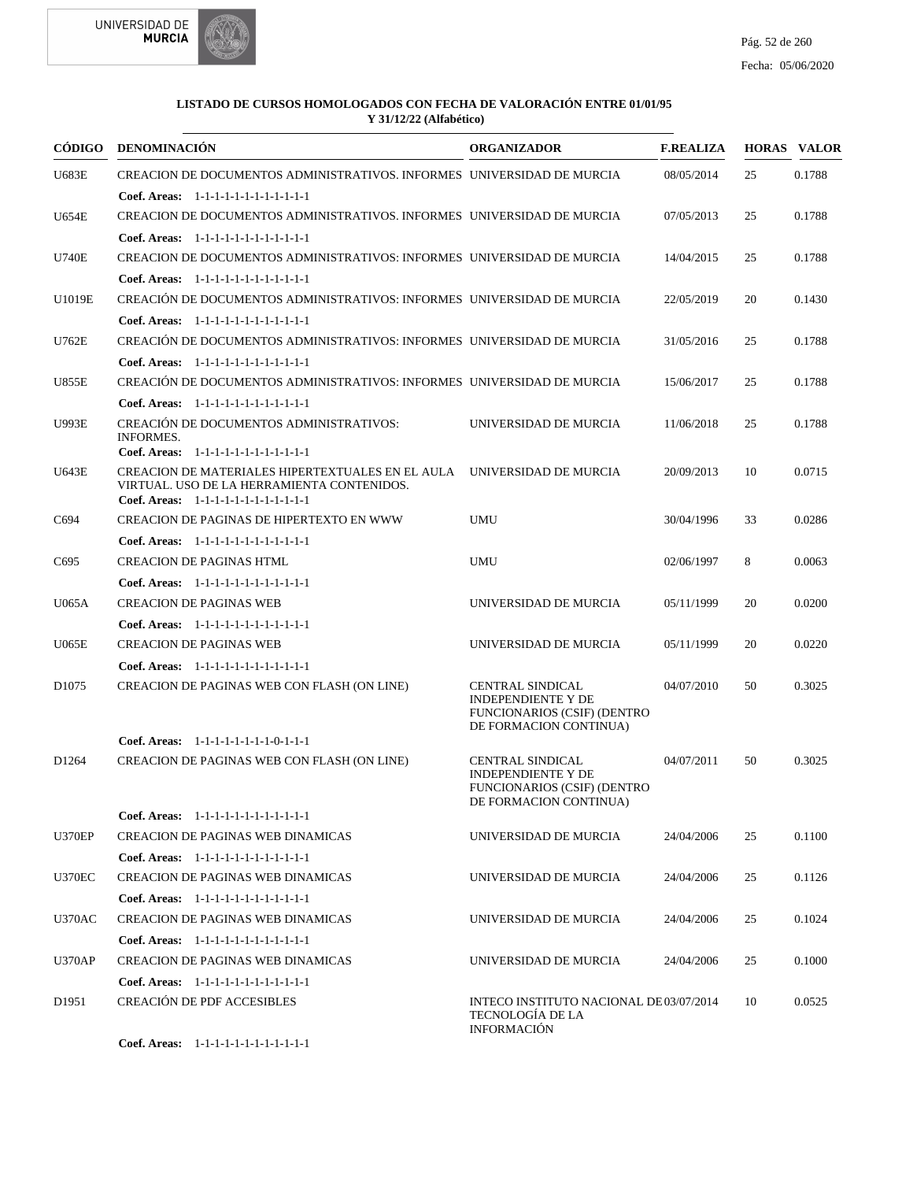



|                   | CÓDIGO DENOMINACIÓN                                                                                                                      | <b>ORGANIZADOR</b>                                                                                                   | <b>F.REALIZA</b> |    | <b>HORAS VALOR</b> |
|-------------------|------------------------------------------------------------------------------------------------------------------------------------------|----------------------------------------------------------------------------------------------------------------------|------------------|----|--------------------|
| <b>U683E</b>      | CREACION DE DOCUMENTOS ADMINISTRATIVOS. INFORMES UNIVERSIDAD DE MURCIA                                                                   |                                                                                                                      | 08/05/2014       | 25 | 0.1788             |
|                   | Coef. Areas: $1-1-1-1-1-1-1-1-1-1-1$                                                                                                     |                                                                                                                      |                  |    |                    |
| <b>U654E</b>      | CREACION DE DOCUMENTOS ADMINISTRATIVOS. INFORMES UNIVERSIDAD DE MURCIA                                                                   |                                                                                                                      | 07/05/2013       | 25 | 0.1788             |
|                   | Coef. Areas: 1-1-1-1-1-1-1-1-1-1-1-1-1                                                                                                   |                                                                                                                      |                  |    |                    |
| <b>U740E</b>      | CREACION DE DOCUMENTOS ADMINISTRATIVOS: INFORMES UNIVERSIDAD DE MURCIA                                                                   |                                                                                                                      | 14/04/2015       | 25 | 0.1788             |
|                   | Coef. Areas: $1-1-1-1-1-1-1-1-1-1-1$                                                                                                     |                                                                                                                      |                  |    |                    |
| U1019E            | CREACIÓN DE DOCUMENTOS ADMINISTRATIVOS: INFORMES UNIVERSIDAD DE MURCIA                                                                   |                                                                                                                      | 22/05/2019       | 20 | 0.1430             |
|                   | Coef. Areas: 1-1-1-1-1-1-1-1-1-1-1-1-1                                                                                                   |                                                                                                                      |                  |    |                    |
| <b>U762E</b>      | CREACIÓN DE DOCUMENTOS ADMINISTRATIVOS: INFORMES UNIVERSIDAD DE MURCIA                                                                   |                                                                                                                      | 31/05/2016       | 25 | 0.1788             |
|                   | Coef. Areas: 1-1-1-1-1-1-1-1-1-1-1-1-1                                                                                                   |                                                                                                                      |                  |    |                    |
| <b>U855E</b>      | CREACIÓN DE DOCUMENTOS ADMINISTRATIVOS: INFORMES UNIVERSIDAD DE MURCIA                                                                   |                                                                                                                      | 15/06/2017       | 25 | 0.1788             |
|                   | Coef. Areas: 1-1-1-1-1-1-1-1-1-1-1-1-1                                                                                                   |                                                                                                                      |                  |    |                    |
| U993E             | CREACIÓN DE DOCUMENTOS ADMINISTRATIVOS:<br><b>INFORMES.</b>                                                                              | UNIVERSIDAD DE MURCIA                                                                                                | 11/06/2018       | 25 | 0.1788             |
|                   | Coef. Areas: 1-1-1-1-1-1-1-1-1-1-1-1-1                                                                                                   |                                                                                                                      |                  |    |                    |
| <b>U643E</b>      | CREACION DE MATERIALES HIPERTEXTUALES EN EL AULA<br>VIRTUAL. USO DE LA HERRAMIENTA CONTENIDOS.<br>Coef. Areas: 1-1-1-1-1-1-1-1-1-1-1-1-1 | UNIVERSIDAD DE MURCIA                                                                                                | 20/09/2013       | 10 | 0.0715             |
| C694              | CREACION DE PAGINAS DE HIPERTEXTO EN WWW                                                                                                 | <b>UMU</b>                                                                                                           | 30/04/1996       | 33 | 0.0286             |
|                   | Coef. Areas: 1-1-1-1-1-1-1-1-1-1-1-1-1                                                                                                   |                                                                                                                      |                  |    |                    |
| C695              | <b>CREACION DE PAGINAS HTML</b>                                                                                                          | UMU                                                                                                                  | 02/06/1997       | 8  | 0.0063             |
|                   | Coef. Areas: 1-1-1-1-1-1-1-1-1-1-1-1-1                                                                                                   |                                                                                                                      |                  |    |                    |
| U065A             | <b>CREACION DE PAGINAS WEB</b>                                                                                                           | UNIVERSIDAD DE MURCIA                                                                                                | 05/11/1999       | 20 | 0.0200             |
|                   | Coef. Areas: 1-1-1-1-1-1-1-1-1-1-1-1-1                                                                                                   |                                                                                                                      |                  |    |                    |
| <b>U065E</b>      | <b>CREACION DE PAGINAS WEB</b>                                                                                                           | UNIVERSIDAD DE MURCIA                                                                                                | 05/11/1999       | 20 | 0.0220             |
|                   | Coef. Areas: 1-1-1-1-1-1-1-1-1-1-1-1-1                                                                                                   |                                                                                                                      |                  |    |                    |
| D <sub>1075</sub> | CREACION DE PAGINAS WEB CON FLASH (ON LINE)                                                                                              | <b>CENTRAL SINDICAL</b><br><b>INDEPENDIENTE Y DE</b><br><b>FUNCIONARIOS (CSIF) (DENTRO</b><br>DE FORMACION CONTINUA) | 04/07/2010       | 50 | 0.3025             |
|                   | Coef. Areas: $1-1-1-1-1-1-1-0-1-1-1$                                                                                                     |                                                                                                                      |                  |    |                    |
| D1264             | CREACION DE PAGINAS WEB CON FLASH (ON LINE)                                                                                              | CENTRAL SINDICAL<br><b>INDEPENDIENTE Y DE</b><br><b>FUNCIONARIOS (CSIF) (DENTRO</b><br>DE FORMACION CONTINUA)        | 04/07/2011       | 50 | 0.3025             |
|                   | Coef. Areas: 1-1-1-1-1-1-1-1-1-1-1-1-1                                                                                                   |                                                                                                                      |                  |    |                    |
| <b>U370EP</b>     | <b>CREACION DE PAGINAS WEB DINAMICAS</b>                                                                                                 | UNIVERSIDAD DE MURCIA                                                                                                | 24/04/2006       | 25 | 0.1100             |
|                   | Coef. Areas: 1-1-1-1-1-1-1-1-1-1-1-1-1                                                                                                   |                                                                                                                      |                  |    |                    |
| <b>U370EC</b>     | <b>CREACION DE PAGINAS WEB DINAMICAS</b>                                                                                                 | UNIVERSIDAD DE MURCIA                                                                                                | 24/04/2006       | 25 | 0.1126             |
|                   | Coef. Areas: 1-1-1-1-1-1-1-1-1-1-1-1-1                                                                                                   |                                                                                                                      |                  |    |                    |
| <b>U370AC</b>     | <b>CREACION DE PAGINAS WEB DINAMICAS</b>                                                                                                 | UNIVERSIDAD DE MURCIA                                                                                                | 24/04/2006       | 25 | 0.1024             |
|                   | Coef. Areas: 1-1-1-1-1-1-1-1-1-1-1-1-1                                                                                                   |                                                                                                                      |                  |    |                    |
| <b>U370AP</b>     | <b>CREACION DE PAGINAS WEB DINAMICAS</b>                                                                                                 | UNIVERSIDAD DE MURCIA                                                                                                | 24/04/2006       | 25 | 0.1000             |
|                   | Coef. Areas: 1-1-1-1-1-1-1-1-1-1-1-1-1                                                                                                   |                                                                                                                      |                  |    |                    |
| D <sub>1951</sub> | <b>CREACIÓN DE PDF ACCESIBLES</b>                                                                                                        | INTECO INSTITUTO NACIONAL DE03/07/2014<br>TECNOLOGÍA DE LA<br><b>INFORMACIÓN</b>                                     |                  | 10 | 0.0525             |
|                   | Coef. Areas: 1-1-1-1-1-1-1-1-1-1-1-1-1                                                                                                   |                                                                                                                      |                  |    |                    |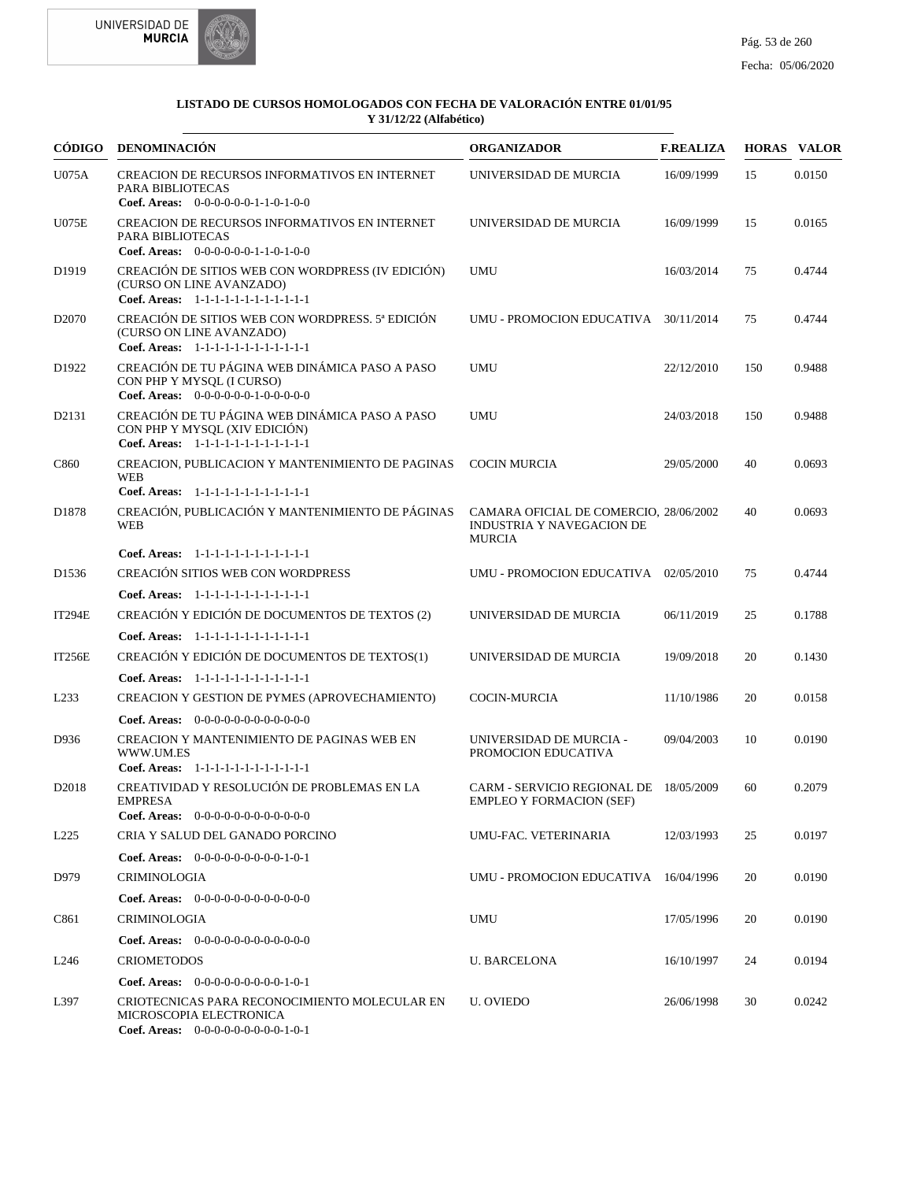



| CÓDIGO            | DENOMINACIÓN                                                                                                                                      | <b>ORGANIZADOR</b>                                                                   | <b>F.REALIZA</b> |     | <b>HORAS VALOR</b> |
|-------------------|---------------------------------------------------------------------------------------------------------------------------------------------------|--------------------------------------------------------------------------------------|------------------|-----|--------------------|
| U075A             | <b>CREACION DE RECURSOS INFORMATIVOS EN INTERNET</b><br>PARA BIBLIOTECAS                                                                          | UNIVERSIDAD DE MURCIA                                                                | 16/09/1999       | 15  | 0.0150             |
| U075E             | Coef. Areas: $0-0-0-0-0-1-1-0-1-0-0$<br>CREACION DE RECURSOS INFORMATIVOS EN INTERNET<br>PARA BIBLIOTECAS<br>Coef. Areas: $0-0-0-0-0-1-1-0-1-0-0$ | UNIVERSIDAD DE MURCIA                                                                | 16/09/1999       | 15  | 0.0165             |
| D <sub>1919</sub> | CREACIÓN DE SITIOS WEB CON WORDPRESS (IV EDICIÓN)<br>(CURSO ON LINE AVANZADO)<br>Coef. Areas: 1-1-1-1-1-1-1-1-1-1-1-1-1                           | <b>UMU</b>                                                                           | 16/03/2014       | 75  | 0.4744             |
| D <sub>2070</sub> | CREACIÓN DE SITIOS WEB CON WORDPRESS. 5ª EDICIÓN<br>(CURSO ON LINE AVANZADO)<br>Coef. Areas: 1-1-1-1-1-1-1-1-1-1-1-1-1                            | UMU - PROMOCION EDUCATIVA 30/11/2014                                                 |                  | 75  | 0.4744             |
| D <sub>1922</sub> | CREACIÓN DE TU PÁGINA WEB DINÁMICA PASO A PASO<br>CON PHP Y MYSQL (I CURSO)<br>Coef. Areas: 0-0-0-0-0-0-1-0-0-0-0-0                               | <b>UMU</b>                                                                           | 22/12/2010       | 150 | 0.9488             |
| D2131             | CREACIÓN DE TU PÁGINA WEB DINÁMICA PASO A PASO<br>CON PHP Y MYSOL (XIV EDICIÓN)<br>Coef. Areas: 1-1-1-1-1-1-1-1-1-1-1-1-1                         | <b>UMU</b>                                                                           | 24/03/2018       | 150 | 0.9488             |
| C860              | CREACION, PUBLICACION Y MANTENIMIENTO DE PAGINAS<br><b>WEB</b><br>Coef. Areas: 1-1-1-1-1-1-1-1-1-1-1-1-1                                          | <b>COCIN MURCIA</b>                                                                  | 29/05/2000       | 40  | 0.0693             |
| D <sub>1878</sub> | CREACIÓN, PUBLICACIÓN Y MANTENIMIENTO DE PÁGINAS<br><b>WEB</b>                                                                                    | CAMARA OFICIAL DE COMERCIO, 28/06/2002<br>INDUSTRIA Y NAVEGACION DE<br><b>MURCIA</b> |                  | 40  | 0.0693             |
|                   | Coef. Areas: 1-1-1-1-1-1-1-1-1-1-1-1-1                                                                                                            |                                                                                      |                  |     |                    |
| D <sub>1536</sub> | <b>CREACIÓN SITIOS WEB CON WORDPRESS</b>                                                                                                          | UMU - PROMOCION EDUCATIVA 02/05/2010                                                 |                  | 75  | 0.4744             |
|                   | Coef. Areas: 1-1-1-1-1-1-1-1-1-1-1-1-1                                                                                                            |                                                                                      |                  |     |                    |
| <b>IT294E</b>     | CREACIÓN Y EDICIÓN DE DOCUMENTOS DE TEXTOS (2)                                                                                                    | UNIVERSIDAD DE MURCIA                                                                | 06/11/2019       | 25  | 0.1788             |
|                   | Coef. Areas: 1-1-1-1-1-1-1-1-1-1-1-1-1                                                                                                            |                                                                                      |                  |     |                    |
| IT256E            | CREACIÓN Y EDICIÓN DE DOCUMENTOS DE TEXTOS(1)                                                                                                     | UNIVERSIDAD DE MURCIA                                                                | 19/09/2018       | 20  | 0.1430             |
|                   | Coef. Areas: 1-1-1-1-1-1-1-1-1-1-1-1-1                                                                                                            |                                                                                      |                  |     |                    |
| L <sub>233</sub>  | CREACION Y GESTION DE PYMES (APROVECHAMIENTO)                                                                                                     | <b>COCIN-MURCIA</b>                                                                  | 11/10/1986       | 20  | 0.0158             |
|                   | Coef. Areas: $0-0-0-0-0-0-0-0-0-0-0$                                                                                                              |                                                                                      |                  |     |                    |
| D936              | CREACION Y MANTENIMIENTO DE PAGINAS WEB EN<br>WWW.UM.ES<br>Coef. Areas: 1-1-1-1-1-1-1-1-1-1-1-1-1                                                 | UNIVERSIDAD DE MURCIA -<br>PROMOCION EDUCATIVA                                       | 09/04/2003       | 10  | 0.0190             |
| D <sub>2018</sub> | CREATIVIDAD Y RESOLUCIÓN DE PROBLEMAS EN LA<br><b>EMPRESA</b><br><b>Coef. Areas:</b> $0-0-0-0-0-0-0-0-0-0-0-0$                                    | CARM - SERVICIO REGIONAL DE 18/05/2009<br><b>EMPLEO Y FORMACION (SEF)</b>            |                  | 60  | 0.2079             |
| L <sub>225</sub>  | CRIA Y SALUD DEL GANADO PORCINO                                                                                                                   | UMU-FAC. VETERINARIA                                                                 | 12/03/1993       | 25  | 0.0197             |
|                   | Coef. Areas: $0-0-0-0-0-0-0-0-1-0-1$                                                                                                              |                                                                                      |                  |     |                    |
| D979              | <b>CRIMINOLOGIA</b>                                                                                                                               | UMU - PROMOCION EDUCATIVA 16/04/1996                                                 |                  | 20  | 0.0190             |
|                   | <b>Coef. Areas:</b> $0-0-0-0-0-0-0-0-0-0-0-0$                                                                                                     |                                                                                      |                  |     |                    |
| C861              | <b>CRIMINOLOGIA</b>                                                                                                                               | UMU                                                                                  | 17/05/1996       | 20  | 0.0190             |
|                   | <b>Coef. Areas:</b> $0-0-0-0-0-0-0-0-0-0-0$                                                                                                       |                                                                                      |                  |     |                    |
| L <sub>246</sub>  | <b>CRIOMETODOS</b>                                                                                                                                | <b>U. BARCELONA</b>                                                                  | 16/10/1997       | 24  | 0.0194             |
|                   | <b>Coef. Areas:</b> $0-0-0-0-0-0-0-0-1-0-1$                                                                                                       |                                                                                      |                  |     |                    |
| L397              | CRIOTECNICAS PARA RECONOCIMIENTO MOLECULAR EN<br>MICROSCOPIA ELECTRONICA<br>Coef. Areas: $0-0-0-0-0-0-0-0-1-0-1$                                  | U. OVIEDO                                                                            | 26/06/1998       | 30  | 0.0242             |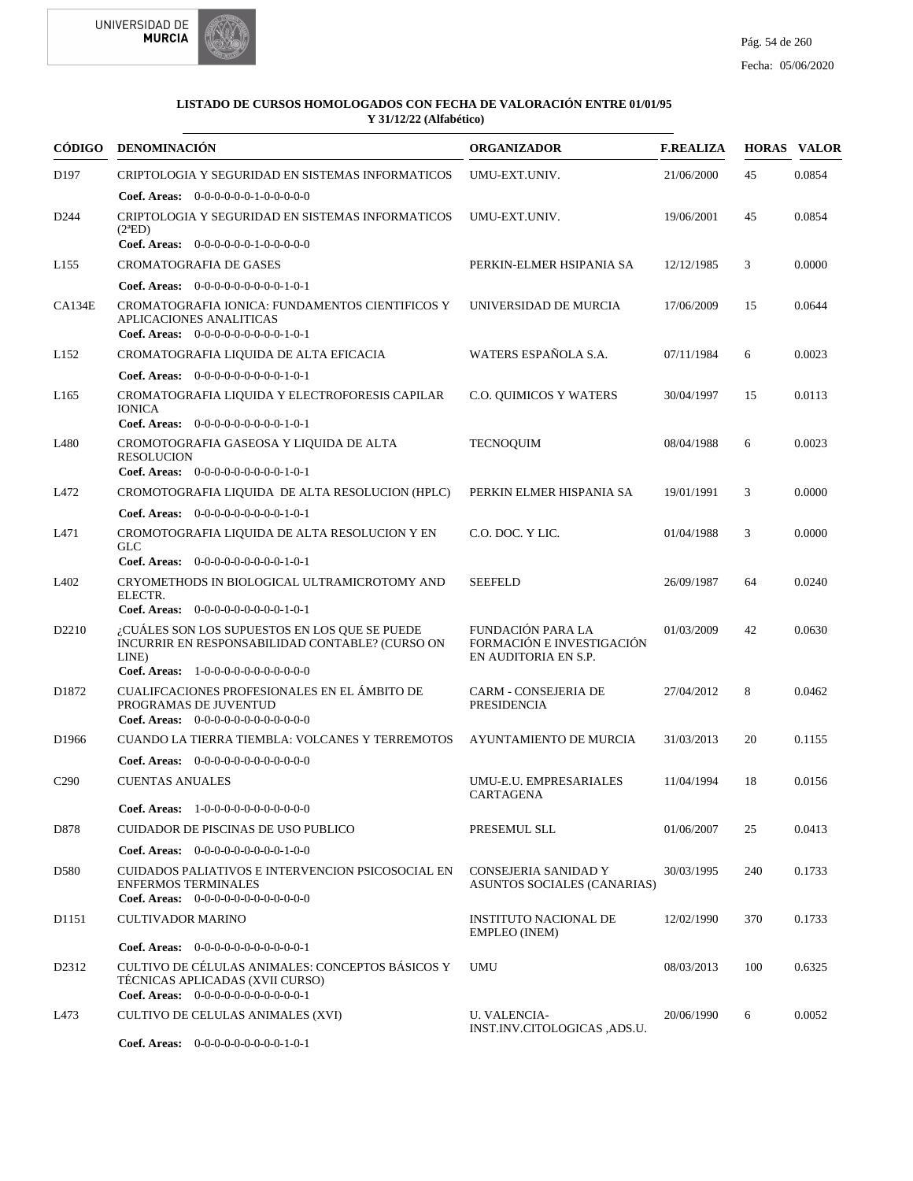



|                   | CÓDIGO DENOMINACIÓN                                                                                                                                 | <b>ORGANIZADOR</b>                                                            | <b>F.REALIZA</b> |     | <b>HORAS VALOR</b> |
|-------------------|-----------------------------------------------------------------------------------------------------------------------------------------------------|-------------------------------------------------------------------------------|------------------|-----|--------------------|
| D <sub>197</sub>  | CRIPTOLOGIA Y SEGURIDAD EN SISTEMAS INFORMATICOS                                                                                                    | UMU-EXT.UNIV.                                                                 | 21/06/2000       | 45  | 0.0854             |
|                   | <b>Coef. Areas:</b> $0-0-0-0-0-1-0-0-0-0-0$                                                                                                         |                                                                               |                  |     |                    |
| D <sub>244</sub>  | CRIPTOLOGIA Y SEGURIDAD EN SISTEMAS INFORMATICOS<br>$(2^aED)$                                                                                       | UMU-EXT.UNIV.                                                                 | 19/06/2001       | 45  | 0.0854             |
|                   | Coef. Areas: 0-0-0-0-0-0-1-0-0-0-0-0                                                                                                                |                                                                               |                  |     |                    |
| L155              | <b>CROMATOGRAFIA DE GASES</b>                                                                                                                       | PERKIN-ELMER HSIPANIA SA                                                      | 12/12/1985       | 3   | 0.0000             |
|                   | Coef. Areas: $0-0-0-0-0-0-0-0-1-0-1$                                                                                                                |                                                                               |                  |     |                    |
| CA134E            | CROMATOGRAFIA IONICA: FUNDAMENTOS CIENTIFICOS Y<br>APLICACIONES ANALITICAS<br>Coef. Areas: $0-0-0-0-0-0-0-0-1-0-1$                                  | UNIVERSIDAD DE MURCIA                                                         | 17/06/2009       | 15  | 0.0644             |
| L152              | CROMATOGRAFIA LIQUIDA DE ALTA EFICACIA                                                                                                              | WATERS ESPAÑOLA S.A.                                                          | 07/11/1984       | 6   | 0.0023             |
|                   | Coef. Areas: $0-0-0-0-0-0-0-0-1-0-1$                                                                                                                |                                                                               |                  |     |                    |
| L <sub>165</sub>  | CROMATOGRAFIA LIQUIDA Y ELECTROFORESIS CAPILAR<br><b>IONICA</b>                                                                                     | C.O. QUIMICOS Y WATERS                                                        | 30/04/1997       | 15  | 0.0113             |
|                   | <b>Coef. Areas:</b> $0-0-0-0-0-0-0-0-1-0-1$                                                                                                         |                                                                               |                  |     |                    |
| L480              | CROMOTOGRAFIA GASEOSA Y LIQUIDA DE ALTA<br><b>RESOLUCION</b><br>Coef. Areas: $0-0-0-0-0-0-0-0-1-0-1$                                                | <b>TECNOOUIM</b>                                                              | 08/04/1988       | 6   | 0.0023             |
| L472              | CROMOTOGRAFIA LIQUIDA DE ALTA RESOLUCION (HPLC)                                                                                                     | PERKIN ELMER HISPANIA SA                                                      | 19/01/1991       | 3   | 0.0000             |
|                   | Coef. Areas: $0-0-0-0-0-0-0-0-1-0-1$                                                                                                                |                                                                               |                  |     |                    |
| L471              | CROMOTOGRAFIA LIQUIDA DE ALTA RESOLUCION Y EN<br><b>GLC</b>                                                                                         | C.O. DOC. Y LIC.                                                              | 01/04/1988       | 3   | 0.0000             |
|                   | Coef. Areas: $0-0-0-0-0-0-0-0-1-0-1$                                                                                                                |                                                                               |                  |     |                    |
| L <sub>4</sub> 02 | CRYOMETHODS IN BIOLOGICAL ULTRAMICROTOMY AND<br>ELECTR.<br>Coef. Areas: $0-0-0-0-0-0-0-0-1-0-1$                                                     | <b>SEEFELD</b>                                                                | 26/09/1987       | 64  | 0.0240             |
| D <sub>2210</sub> | ¿CUÁLES SON LOS SUPUESTOS EN LOS QUE SE PUEDE<br>INCURRIR EN RESPONSABILIDAD CONTABLE? (CURSO ON<br>LINE)<br>Coef. Areas: 1-0-0-0-0-0-0-0-0-0-0-0-0 | <b>FUNDACIÓN PARA LA</b><br>FORMACIÓN E INVESTIGACIÓN<br>EN AUDITORIA EN S.P. | 01/03/2009       | 42  | 0.0630             |
| D1872             | CUALIFCACIONES PROFESIONALES EN EL ÁMBITO DE<br>PROGRAMAS DE JUVENTUD<br>Coef. Areas: $0-0-0-0-0-0-0-0-0-0-0$                                       | CARM - CONSEJERIA DE<br>PRESIDENCIA                                           | 27/04/2012       | 8   | 0.0462             |
| D1966             | <b>CUANDO LA TIERRA TIEMBLA: VOLCANES Y TERREMOTOS</b>                                                                                              | AYUNTAMIENTO DE MURCIA                                                        | 31/03/2013       | 20  | 0.1155             |
|                   | <b>Coef. Areas:</b> $0-0-0-0-0-0-0-0-0-0-0-0$                                                                                                       |                                                                               |                  |     |                    |
| C <sub>290</sub>  | <b>CUENTAS ANUALES</b>                                                                                                                              | UMU-E.U. EMPRESARIALES<br>CARTAGENA                                           | 11/04/1994       | 18  | 0.0156             |
|                   | Coef. Areas: $1-0-0-0-0-0-0-0-0-0-0$                                                                                                                |                                                                               |                  |     |                    |
| D878              | CUIDADOR DE PISCINAS DE USO PUBLICO                                                                                                                 | PRESEMUL SLL                                                                  | 01/06/2007       | 25  | 0.0413             |
|                   | <b>Coef. Areas:</b> $0-0-0-0-0-0-0-0-1-0-0$                                                                                                         |                                                                               |                  |     |                    |
| D580              | CUIDADOS PALIATIVOS E INTERVENCION PSICOSOCIAL EN<br><b>ENFERMOS TERMINALES</b><br>Coef. Areas: $0-0-0-0-0-0-0-0-0-0-0$                             | CONSEJERIA SANIDAD Y<br>ASUNTOS SOCIALES (CANARIAS)                           | 30/03/1995       | 240 | 0.1733             |
| D1151             | <b>CULTIVADOR MARINO</b>                                                                                                                            | <b>INSTITUTO NACIONAL DE</b><br><b>EMPLEO</b> (INEM)                          | 12/02/1990       | 370 | 0.1733             |
|                   | Coef. Areas: $0-0-0-0-0-0-0-0-0-0-0-1$                                                                                                              |                                                                               |                  |     |                    |
| D2312             | CULTIVO DE CÉLULAS ANIMALES: CONCEPTOS BÁSICOS Y<br>TÉCNICAS APLICADAS (XVII CURSO)<br>Coef. Areas: $0-0-0-0-0-0-0-0-0-0-0-1$                       | <b>UMU</b>                                                                    | 08/03/2013       | 100 | 0.6325             |
| L473              | CULTIVO DE CELULAS ANIMALES (XVI)                                                                                                                   | U. VALENCIA-<br>INST.INV.CITOLOGICAS ,ADS.U.                                  | 20/06/1990       | 6   | 0.0052             |
|                   | Coef. Areas: $0-0-0-0-0-0-0-0-1-0-1$                                                                                                                |                                                                               |                  |     |                    |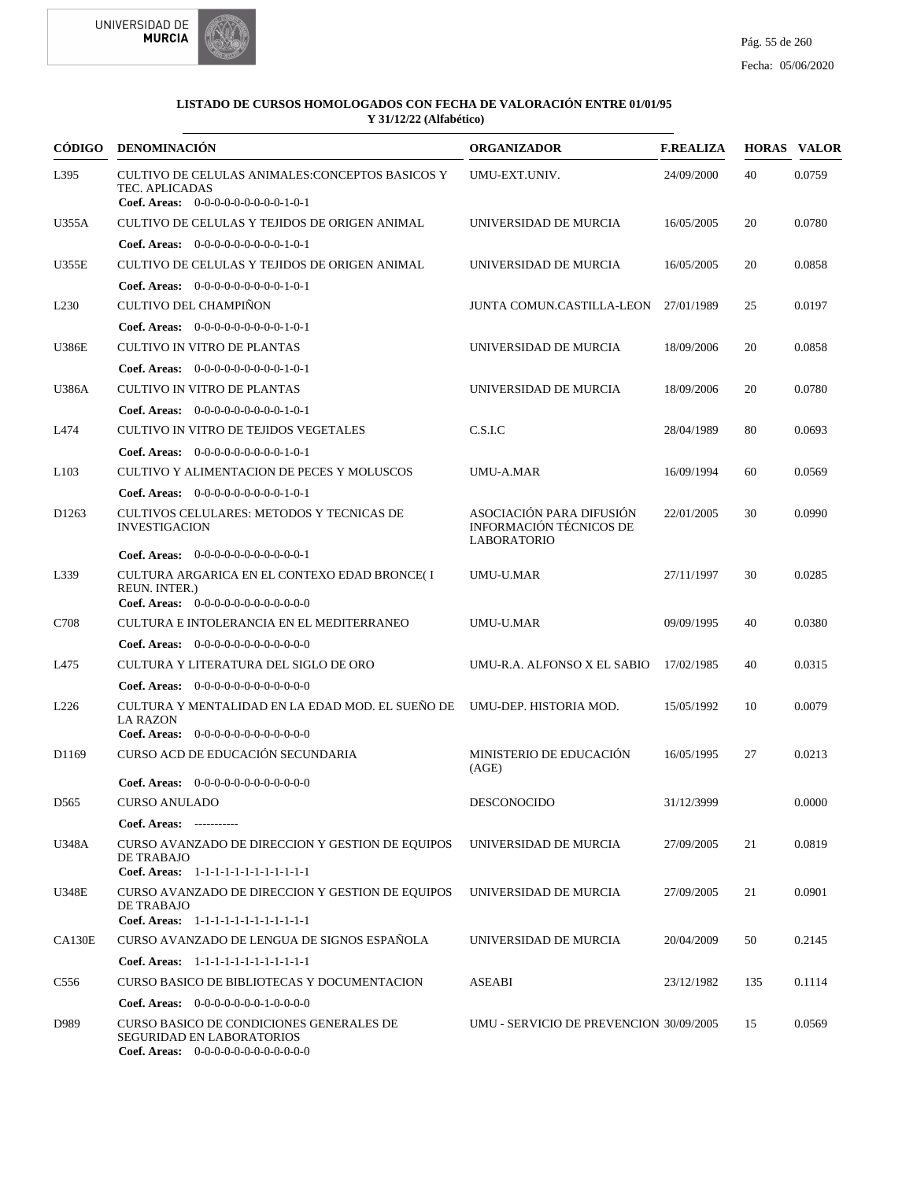



| <b>CÓDIGO</b>     | <b>DENOMINACIÓN</b>                                                                                                                                                   | <b>ORGANIZADOR</b>                                                        | <b>F.REALIZA</b> |     | <b>HORAS VALOR</b> |
|-------------------|-----------------------------------------------------------------------------------------------------------------------------------------------------------------------|---------------------------------------------------------------------------|------------------|-----|--------------------|
| L395              | CULTIVO DE CELULAS ANIMALES:CONCEPTOS BASICOS Y<br>TEC. APLICADAS<br>Coef. Areas: $0-0-0-0-0-0-0-0-1-0-1$                                                             | UMU-EXT.UNIV.                                                             | 24/09/2000       | 40  | 0.0759             |
| U355A             | CULTIVO DE CELULAS Y TEJIDOS DE ORIGEN ANIMAL                                                                                                                         | UNIVERSIDAD DE MURCIA                                                     | 16/05/2005       | 20  | 0.0780             |
|                   | <b>Coef. Areas:</b> $0-0-0-0-0-0-0-0-1-0-1$                                                                                                                           |                                                                           |                  |     |                    |
| <b>U355E</b>      | CULTIVO DE CELULAS Y TEJIDOS DE ORIGEN ANIMAL                                                                                                                         | UNIVERSIDAD DE MURCIA                                                     | 16/05/2005       | 20  | 0.0858             |
|                   | <b>Coef. Areas:</b> $0-0-0-0-0-0-0-0-1-0-1$                                                                                                                           |                                                                           |                  |     |                    |
| L <sub>230</sub>  | <b>CULTIVO DEL CHAMPIÑON</b>                                                                                                                                          | <b>JUNTA COMUN.CASTILLA-LEON</b>                                          | 27/01/1989       | 25  | 0.0197             |
|                   | Coef. Areas: $0-0-0-0-0-0-0-0-1-0-1$                                                                                                                                  |                                                                           |                  |     |                    |
| <b>U386E</b>      | CULTIVO IN VITRO DE PLANTAS                                                                                                                                           | UNIVERSIDAD DE MURCIA                                                     | 18/09/2006       | 20  | 0.0858             |
|                   | <b>Coef. Areas:</b> $0-0-0-0-0-0-0-0-1-0-1$                                                                                                                           |                                                                           |                  |     |                    |
| U386A             | <b>CULTIVO IN VITRO DE PLANTAS</b>                                                                                                                                    | UNIVERSIDAD DE MURCIA                                                     | 18/09/2006       | 20  | 0.0780             |
|                   | <b>Coef. Areas:</b> $0-0-0-0-0-0-0-0-1-0-1$                                                                                                                           |                                                                           |                  |     |                    |
| L474              | CULTIVO IN VITRO DE TEJIDOS VEGETALES                                                                                                                                 | C.S.I.C                                                                   | 28/04/1989       | 80  | 0.0693             |
|                   | <b>Coef. Areas:</b> $0-0-0-0-0-0-0-0-1-0-1$                                                                                                                           |                                                                           |                  |     |                    |
| L <sub>103</sub>  | CULTIVO Y ALIMENTACION DE PECES Y MOLUSCOS                                                                                                                            | <b>UMU-A.MAR</b>                                                          | 16/09/1994       | 60  | 0.0569             |
|                   | <b>Coef. Areas:</b> $0-0-0-0-0-0-0-0-1-0-1$                                                                                                                           |                                                                           |                  |     |                    |
| D <sub>1263</sub> | CULTIVOS CELULARES: METODOS Y TECNICAS DE<br><b>INVESTIGACION</b>                                                                                                     | ASOCIACIÓN PARA DIFUSIÓN<br>INFORMACIÓN TÉCNICOS DE<br><b>LABORATORIO</b> | 22/01/2005       | 30  | 0.0990             |
|                   | <b>Coef. Areas:</b> $0-0-0-0-0-0-0-0-0-0-1$                                                                                                                           |                                                                           |                  |     |                    |
| L339              | CULTURA ARGARICA EN EL CONTEXO EDAD BRONCE(I<br>REUN. INTER.)<br><b>Coef. Areas:</b> $0-0-0-0-0-0-0-0-0-0-0-0$                                                        | UMU-U.MAR                                                                 | 27/11/1997       | 30  | 0.0285             |
| C708              | CULTURA E INTOLERANCIA EN EL MEDITERRANEO                                                                                                                             | <b>UMU-U.MAR</b>                                                          | 09/09/1995       | 40  | 0.0380             |
|                   | <b>Coef. Areas:</b> $0-0-0-0-0-0-0-0-0-0-0-0$                                                                                                                         |                                                                           |                  |     |                    |
| L475              | CULTURA Y LITERATURA DEL SIGLO DE ORO                                                                                                                                 | UMU-R.A. ALFONSO X EL SABIO                                               | 17/02/1985       | 40  | 0.0315             |
|                   | <b>Coef. Areas:</b> $0-0-0-0-0-0-0-0-0-0-0-0$                                                                                                                         |                                                                           |                  |     |                    |
| L <sub>226</sub>  | CULTURA Y MENTALIDAD EN LA EDAD MOD. EL SUEÑO DE UMU-DEP. HISTORIA MOD.                                                                                               |                                                                           | 15/05/1992       | 10  | 0.0079             |
|                   | <b>LA RAZON</b>                                                                                                                                                       |                                                                           |                  |     |                    |
|                   | <b>Coef. Areas:</b> $0-0-0-0-0-0-0-0-0-0-0-0$                                                                                                                         |                                                                           |                  |     |                    |
| D <sub>1169</sub> | CURSO ACD DE EDUCACIÓN SECUNDARIA                                                                                                                                     | MINISTERIO DE EDUCACIÓN<br>(AGE)                                          | 16/05/1995       | 27  | 0.0213             |
|                   | <b>Coef. Areas:</b> $0-0-0-0-0-0-0-0-0-0-0-0$                                                                                                                         |                                                                           |                  |     |                    |
| D <sub>565</sub>  | CURSO ANULADO                                                                                                                                                         | DESCONOCIDO                                                               | 31/12/3999       |     | 0.0000             |
|                   | Coef. Areas: -----------                                                                                                                                              |                                                                           |                  |     |                    |
| U348A             | CURSO AVANZADO DE DIRECCION Y GESTION DE EQUIPOS<br>DE TRABAJO<br>Coef. Areas: 1-1-1-1-1-1-1-1-1-1-1-1-1                                                              | UNIVERSIDAD DE MURCIA                                                     | 27/09/2005       | 21  | 0.0819             |
| U348E             | CURSO AVANZADO DE DIRECCION Y GESTION DE EQUIPOS<br>DE TRABAJO<br>Coef. Areas: 1-1-1-1-1-1-1-1-1-1-1-1-1                                                              | UNIVERSIDAD DE MURCIA                                                     | 27/09/2005       | 21  | 0.0901             |
| <b>CA130E</b>     | CURSO AVANZADO DE LENGUA DE SIGNOS ESPANOLA                                                                                                                           | UNIVERSIDAD DE MURCIA                                                     | 20/04/2009       | 50  | 0.2145             |
|                   |                                                                                                                                                                       |                                                                           |                  |     |                    |
|                   | Coef. Areas: 1-1-1-1-1-1-1-1-1-1-1-1-1                                                                                                                                |                                                                           |                  |     |                    |
| C <sub>556</sub>  | CURSO BASICO DE BIBLIOTECAS Y DOCUMENTACION                                                                                                                           | ASEABI                                                                    | 23/12/1982       | 135 | 0.1114             |
| D989              | <b>Coef. Areas:</b> $0-0-0-0-0-0-1-0-0-0-0$<br>CURSO BASICO DE CONDICIONES GENERALES DE<br><b>SEGURIDAD EN LABORATORIOS</b><br>Coef. Areas: 0-0-0-0-0-0-0-0-0-0-0-0-0 | UMU - SERVICIO DE PREVENCION 30/09/2005                                   |                  | 15  | 0.0569             |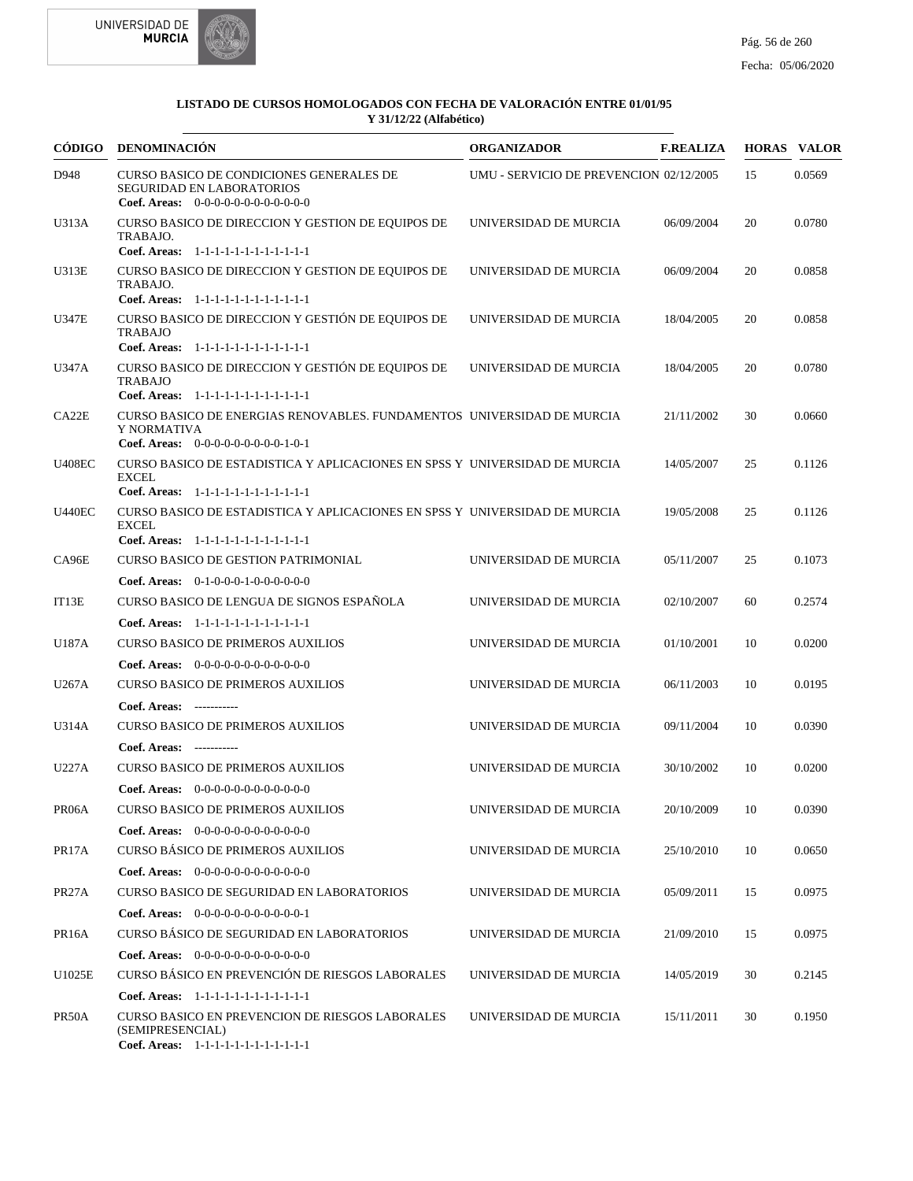



| CÓDIGO             | DENOMINACIÓN                                                                                                                         | <b>ORGANIZADOR</b>                      | <b>F.REALIZA</b> |    | <b>HORAS VALOR</b> |
|--------------------|--------------------------------------------------------------------------------------------------------------------------------------|-----------------------------------------|------------------|----|--------------------|
| D948               | CURSO BASICO DE CONDICIONES GENERALES DE<br>SEGURIDAD EN LABORATORIOS<br>Coef. Areas: $0-0-0-0-0-0-0-0-0-0-0$                        | UMU - SERVICIO DE PREVENCION 02/12/2005 |                  | 15 | 0.0569             |
| U313A              | CURSO BASICO DE DIRECCION Y GESTION DE EQUIPOS DE<br>TRABAJO.<br>Coef. Areas: 1-1-1-1-1-1-1-1-1-1-1-1-1                              | UNIVERSIDAD DE MURCIA                   | 06/09/2004       | 20 | 0.0780             |
| U313E              | CURSO BASICO DE DIRECCION Y GESTION DE EQUIPOS DE<br>TRABAJO.<br>Coef. Areas: 1-1-1-1-1-1-1-1-1-1-1-1-1                              | UNIVERSIDAD DE MURCIA                   | 06/09/2004       | 20 | 0.0858             |
| U347E              | CURSO BASICO DE DIRECCION Y GESTIÓN DE EQUIPOS DE<br><b>TRABAJO</b><br>Coef. Areas: 1-1-1-1-1-1-1-1-1-1-1-1-1                        | UNIVERSIDAD DE MURCIA                   | 18/04/2005       | 20 | 0.0858             |
| U347A              | CURSO BASICO DE DIRECCION Y GESTIÓN DE EQUIPOS DE<br><b>TRABAJO</b><br>Coef. Areas: 1-1-1-1-1-1-1-1-1-1-1-1-1                        | UNIVERSIDAD DE MURCIA                   | 18/04/2005       | 20 | 0.0780             |
| CA22E              | CURSO BASICO DE ENERGIAS RENOVABLES. FUNDAMENTOS UNIVERSIDAD DE MURCIA<br>Y NORMATIVA<br>Coef. Areas: $0-0-0-0-0-0-0-0-1-0-1$        |                                         | 21/11/2002       | 30 | 0.0660             |
| <b>U408EC</b>      | CURSO BASICO DE ESTADISTICA Y APLICACIONES EN SPSS Y UNIVERSIDAD DE MURCIA<br><b>EXCEL</b><br>Coef. Areas: 1-1-1-1-1-1-1-1-1-1-1-1-1 |                                         | 14/05/2007       | 25 | 0.1126             |
| <b>U440EC</b>      | CURSO BASICO DE ESTADISTICA Y APLICACIONES EN SPSS Y UNIVERSIDAD DE MURCIA<br><b>EXCEL</b><br>Coef. Areas: 1-1-1-1-1-1-1-1-1-1-1-1-1 |                                         | 19/05/2008       | 25 | 0.1126             |
| CA96E              | <b>CURSO BASICO DE GESTION PATRIMONIAL</b>                                                                                           | UNIVERSIDAD DE MURCIA                   | 05/11/2007       | 25 | 0.1073             |
| IT13E              | Coef. Areas: $0-1-0-0-0-1-0-0-0-0-0-0$<br>CURSO BASICO DE LENGUA DE SIGNOS ESPAÑOLA<br>Coef. Areas: 1-1-1-1-1-1-1-1-1-1-1-1-1        | UNIVERSIDAD DE MURCIA                   | 02/10/2007       | 60 | 0.2574             |
| U187A              | <b>CURSO BASICO DE PRIMEROS AUXILIOS</b><br><b>Coef. Areas:</b> $0-0-0-0-0-0-0-0-0-0-0-0$                                            | UNIVERSIDAD DE MURCIA                   | 01/10/2001       | 10 | 0.0200             |
| U267A              | <b>CURSO BASICO DE PRIMEROS AUXILIOS</b><br>Coef. Areas: -----------                                                                 | UNIVERSIDAD DE MURCIA                   | 06/11/2003       | 10 | 0.0195             |
| U314A              | <b>CURSO BASICO DE PRIMEROS AUXILIOS</b><br>Coef. Areas: -----------                                                                 | UNIVERSIDAD DE MURCIA                   | 09/11/2004       | 10 | 0.0390             |
| U227A              | <b>CURSO BASICO DE PRIMEROS AUXILIOS</b><br><b>Coef. Areas:</b> $0-0-0-0-0-0-0-0-0-0-0-0$                                            | UNIVERSIDAD DE MURCIA                   | 30/10/2002       | 10 | 0.0200             |
| PR <sub>06</sub> A | <b>CURSO BASICO DE PRIMEROS AUXILIOS</b><br>Coef. Areas: $0-0-0-0-0-0-0-0-0-0-0$                                                     | UNIVERSIDAD DE MURCIA                   | 20/10/2009       | 10 | 0.0390             |
| PR <sub>17</sub> A | <b>CURSO BÁSICO DE PRIMEROS AUXILIOS</b><br>Coef. Areas: $0-0-0-0-0-0-0-0-0-0-0-0$                                                   | UNIVERSIDAD DE MURCIA                   | 25/10/2010       | 10 | 0.0650             |
| PR <sub>27</sub> A | CURSO BASICO DE SEGURIDAD EN LABORATORIOS<br><b>Coef. Areas:</b> $0-0-0-0-0-0-0-0-0-0-1$                                             | UNIVERSIDAD DE MURCIA                   | 05/09/2011       | 15 | 0.0975             |
| PR <sub>16</sub> A | CURSO BÁSICO DE SEGURIDAD EN LABORATORIOS<br><b>Coef. Areas:</b> $0-0-0-0-0-0-0-0-0-0-0-0$                                           | UNIVERSIDAD DE MURCIA                   | 21/09/2010       | 15 | 0.0975             |
| U1025E             | CURSO BÁSICO EN PREVENCIÓN DE RIESGOS LABORALES<br>Coef. Areas: 1-1-1-1-1-1-1-1-1-1-1-1-1                                            | UNIVERSIDAD DE MURCIA                   | 14/05/2019       | 30 | 0.2145             |
| PR <sub>50</sub> A | <b>CURSO BASICO EN PREVENCION DE RIESGOS LABORALES</b><br>(SEMIPRESENCIAL)<br>Coef. Areas: 1-1-1-1-1-1-1-1-1-1-1-1-1                 | UNIVERSIDAD DE MURCIA                   | 15/11/2011       | 30 | 0.1950             |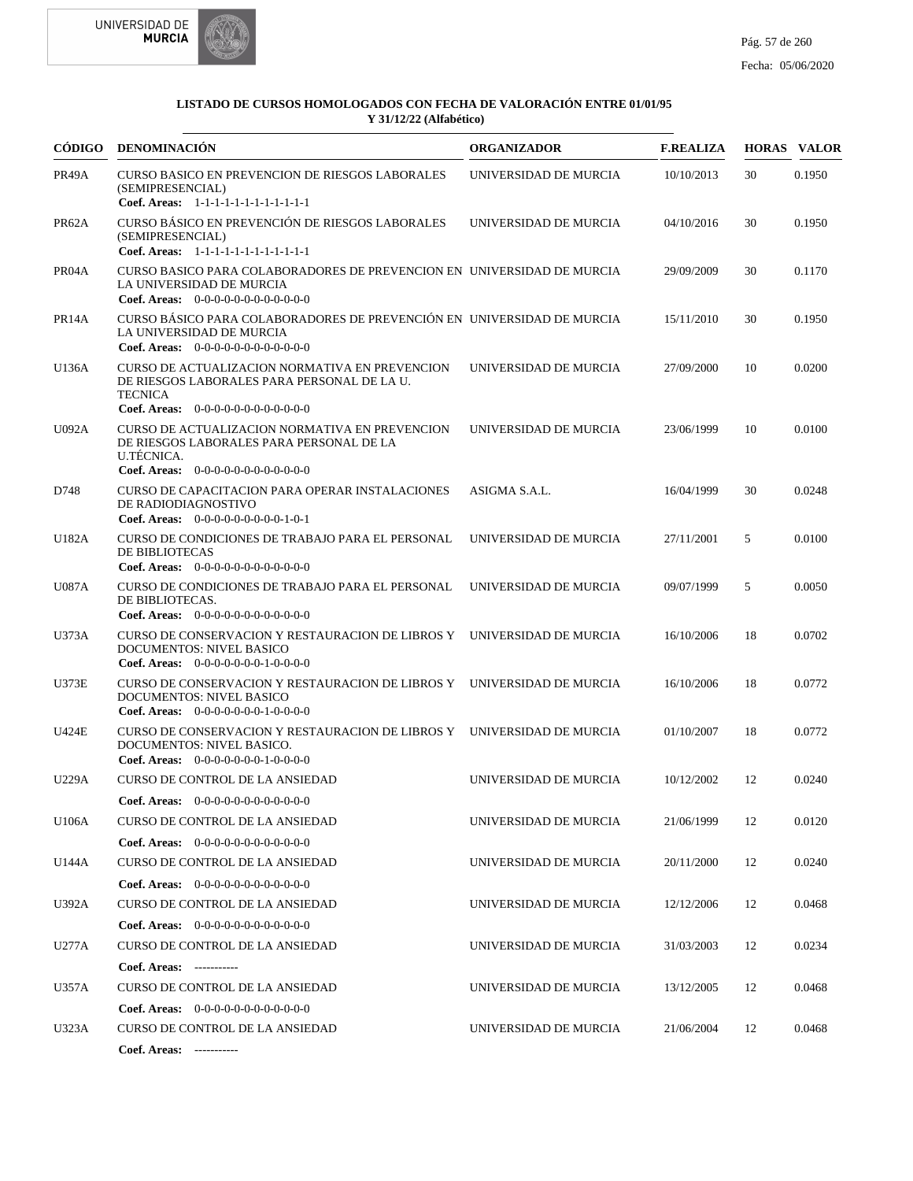



| CÓDIGO             | DENOMINACIÓN                                                                                                                                                                                | <b>ORGANIZADOR</b>    | <b>F.REALIZA</b> |    | <b>HORAS VALOR</b> |
|--------------------|---------------------------------------------------------------------------------------------------------------------------------------------------------------------------------------------|-----------------------|------------------|----|--------------------|
| PR49A              | <b>CURSO BASICO EN PREVENCION DE RIESGOS LABORALES</b><br>(SEMIPRESENCIAL)<br>Coef. Areas: 1-1-1-1-1-1-1-1-1-1-1-1-1                                                                        | UNIVERSIDAD DE MURCIA | 10/10/2013       | 30 | 0.1950             |
| PR62A              | CURSO BÁSICO EN PREVENCIÓN DE RIESGOS LABORALES<br>(SEMIPRESENCIAL)<br>Coef. Areas: 1-1-1-1-1-1-1-1-1-1-1-1-1                                                                               | UNIVERSIDAD DE MURCIA | 04/10/2016       | 30 | 0.1950             |
| PR04A              | CURSO BASICO PARA COLABORADORES DE PREVENCION EN UNIVERSIDAD DE MURCIA<br>LA UNIVERSIDAD DE MURCIA                                                                                          |                       | 29/09/2009       | 30 | 0.1170             |
| PR <sub>14</sub> A | <b>Coef. Areas:</b> $0-0-0-0-0-0-0-0-0-0-0-0$<br>CURSO BÁSICO PARA COLABORADORES DE PREVENCIÓN EN UNIVERSIDAD DE MURCIA<br>LA UNIVERSIDAD DE MURCIA<br>Coef. Areas: $0-0-0-0-0-0-0-0-0-0-0$ |                       | 15/11/2010       | 30 | 0.1950             |
| U136A              | CURSO DE ACTUALIZACION NORMATIVA EN PREVENCION<br>DE RIESGOS LABORALES PARA PERSONAL DE LA U.<br><b>TECNICA</b><br>Coef. Areas: $0-0-0-0-0-0-0-0-0-0-0-0$                                   | UNIVERSIDAD DE MURCIA | 27/09/2000       | 10 | 0.0200             |
| <b>U092A</b>       | CURSO DE ACTUALIZACION NORMATIVA EN PREVENCION<br>DE RIESGOS LABORALES PARA PERSONAL DE LA<br>U.TÉCNICA.<br>Coef. Areas: $0-0-0-0-0-0-0-0-0-0-0$                                            | UNIVERSIDAD DE MURCIA | 23/06/1999       | 10 | 0.0100             |
| D748               | CURSO DE CAPACITACION PARA OPERAR INSTALACIONES<br>DE RADIODIAGNOSTIVO<br>Coef. Areas: $0-0-0-0-0-0-0-0-1-0-1$                                                                              | ASIGMA S.A.L.         | 16/04/1999       | 30 | 0.0248             |
| U182A              | CURSO DE CONDICIONES DE TRABAJO PARA EL PERSONAL<br>DE BIBLIOTECAS<br>Coef. Areas: $0-0-0-0-0-0-0-0-0-0-0$                                                                                  | UNIVERSIDAD DE MURCIA | 27/11/2001       | 5  | 0.0100             |
| U087A              | CURSO DE CONDICIONES DE TRABAJO PARA EL PERSONAL<br>DE BIBLIOTECAS.<br><b>Coef. Areas:</b> $0-0-0-0-0-0-0-0-0-0-0-0$                                                                        | UNIVERSIDAD DE MURCIA | 09/07/1999       | 5  | 0.0050             |
| U373A              | CURSO DE CONSERVACION Y RESTAURACION DE LIBROS Y UNIVERSIDAD DE MURCIA<br>DOCUMENTOS: NIVEL BASICO<br>Coef. Areas: $0-0-0-0-0-0-1-0-0-0-0$                                                  |                       | 16/10/2006       | 18 | 0.0702             |
| <b>U373E</b>       | CURSO DE CONSERVACION Y RESTAURACION DE LIBROS Y UNIVERSIDAD DE MURCIA<br>DOCUMENTOS: NIVEL BASICO<br>Coef. Areas: $0-0-0-0-0-0-1-0-0-0-0$                                                  |                       | 16/10/2006       | 18 | 0.0772             |
| <b>U424E</b>       | CURSO DE CONSERVACION Y RESTAURACION DE LIBROS Y<br>DOCUMENTOS: NIVEL BASICO.<br>Coef. Areas: $0-0-0-0-0-0-1-0-0-0-0$                                                                       | UNIVERSIDAD DE MURCIA | 01/10/2007       | 18 | 0.0772             |
| U229A              | <b>CURSO DE CONTROL DE LA ANSIEDAD</b><br>Coef. Areas: $0-0-0-0-0-0-0-0-0-0-0$                                                                                                              | UNIVERSIDAD DE MURCIA | 10/12/2002       | 12 | 0.0240             |
| U106A              | CURSO DE CONTROL DE LA ANSIEDAD<br><b>Coef. Areas:</b> $0-0-0-0-0-0-0-0-0-0-0-0$                                                                                                            | UNIVERSIDAD DE MURCIA | 21/06/1999       | 12 | 0.0120             |
| U144A              | <b>CURSO DE CONTROL DE LA ANSIEDAD</b><br>Coef. Areas: $0-0-0-0-0-0-0-0-0-0-0$                                                                                                              | UNIVERSIDAD DE MURCIA | 20/11/2000       | 12 | 0.0240             |
| U392A              | <b>CURSO DE CONTROL DE LA ANSIEDAD</b><br>Coef. Areas: $0-0-0-0-0-0-0-0-0-0-0$                                                                                                              | UNIVERSIDAD DE MURCIA | 12/12/2006       | 12 | 0.0468             |
| U277A              | <b>CURSO DE CONTROL DE LA ANSIEDAD</b>                                                                                                                                                      | UNIVERSIDAD DE MURCIA | 31/03/2003       | 12 | 0.0234             |
| U357A              | Coef. Areas: -----------<br>CURSO DE CONTROL DE LA ANSIEDAD<br><b>Coef. Areas:</b> $0-0-0-0-0-0-0-0-0-0-0-0$                                                                                | UNIVERSIDAD DE MURCIA | 13/12/2005       | 12 | 0.0468             |
| U323A              | <b>CURSO DE CONTROL DE LA ANSIEDAD</b><br>Coef. Areas: -----------                                                                                                                          | UNIVERSIDAD DE MURCIA | 21/06/2004       | 12 | 0.0468             |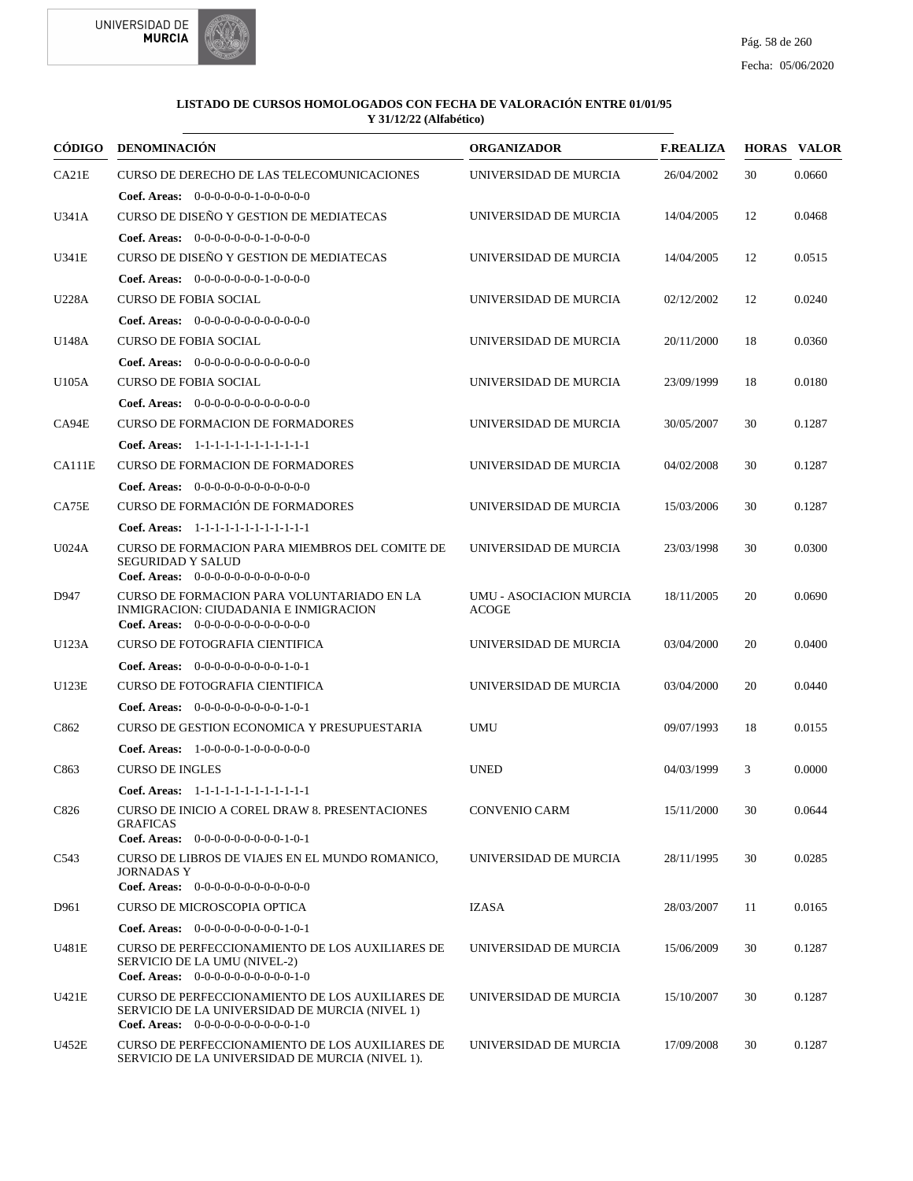



| CÓDIGO        | <b>DENOMINACIÓN</b>                                                                                                                       | <b>ORGANIZADOR</b>                      | <b>F.REALIZA</b> |    | <b>HORAS VALOR</b> |
|---------------|-------------------------------------------------------------------------------------------------------------------------------------------|-----------------------------------------|------------------|----|--------------------|
| CA21E         | CURSO DE DERECHO DE LAS TELECOMUNICACIONES                                                                                                | UNIVERSIDAD DE MURCIA                   | 26/04/2002       | 30 | 0.0660             |
|               | <b>Coef. Areas:</b> $0-0-0-0-0-1-0-0-0-0-0$                                                                                               |                                         |                  |    |                    |
| U341A         | CURSO DE DISEÑO Y GESTION DE MEDIATECAS                                                                                                   | UNIVERSIDAD DE MURCIA                   | 14/04/2005       | 12 | 0.0468             |
|               | <b>Coef. Areas:</b> $0-0-0-0-0-0-1-0-0-0-0$                                                                                               |                                         |                  |    |                    |
| U341E         | CURSO DE DISEÑO Y GESTION DE MEDIATECAS                                                                                                   | UNIVERSIDAD DE MURCIA                   | 14/04/2005       | 12 | 0.0515             |
|               | <b>Coef. Areas:</b> $0-0-0-0-0-0-1-0-0-0-0$                                                                                               |                                         |                  |    |                    |
| U228A         | <b>CURSO DE FOBIA SOCIAL</b>                                                                                                              | UNIVERSIDAD DE MURCIA                   | 02/12/2002       | 12 | 0.0240             |
|               | <b>Coef. Areas:</b> $0-0-0-0-0-0-0-0-0-0-0-0$                                                                                             |                                         |                  |    |                    |
| U148A         | <b>CURSO DE FOBIA SOCIAL</b>                                                                                                              | UNIVERSIDAD DE MURCIA                   | 20/11/2000       | 18 | 0.0360             |
|               | <b>Coef. Areas:</b> $0-0-0-0-0-0-0-0-0-0-0-0$                                                                                             |                                         |                  |    |                    |
| U105A         | <b>CURSO DE FOBIA SOCIAL</b>                                                                                                              | UNIVERSIDAD DE MURCIA                   | 23/09/1999       | 18 | 0.0180             |
|               | Coef. Areas: $0-0-0-0-0-0-0-0-0-0-0$                                                                                                      |                                         |                  |    |                    |
| CA94E         | <b>CURSO DE FORMACION DE FORMADORES</b>                                                                                                   | UNIVERSIDAD DE MURCIA                   | 30/05/2007       | 30 | 0.1287             |
|               | Coef. Areas: 1-1-1-1-1-1-1-1-1-1-1-1-1                                                                                                    |                                         |                  |    |                    |
| <b>CA111E</b> | <b>CURSO DE FORMACION DE FORMADORES</b>                                                                                                   | UNIVERSIDAD DE MURCIA                   | 04/02/2008       | 30 | 0.1287             |
|               | Coef. Areas: 0-0-0-0-0-0-0-0-0-0-0-0-0                                                                                                    |                                         |                  |    |                    |
| CA75E         | CURSO DE FORMACIÓN DE FORMADORES                                                                                                          | UNIVERSIDAD DE MURCIA                   | 15/03/2006       | 30 | 0.1287             |
|               | Coef. Areas: 1-1-1-1-1-1-1-1-1-1-1-1-1                                                                                                    |                                         |                  |    |                    |
| <b>U024A</b>  | CURSO DE FORMACION PARA MIEMBROS DEL COMITE DE<br><b>SEGURIDAD Y SALUD</b><br>Coef. Areas: $0-0-0-0-0-0-0-0-0-0-0$                        | UNIVERSIDAD DE MURCIA                   | 23/03/1998       | 30 | 0.0300             |
| D947          | CURSO DE FORMACION PARA VOLUNTARIADO EN LA<br>INMIGRACION: CIUDADANIA E INMIGRACION<br>Coef. Areas: $0-0-0-0-0-0-0-0-0-0-0$               | UMU - ASOCIACION MURCIA<br><b>ACOGE</b> | 18/11/2005       | 20 | 0.0690             |
| U123A         | CURSO DE FOTOGRAFIA CIENTIFICA                                                                                                            | UNIVERSIDAD DE MURCIA                   | 03/04/2000       | 20 | 0.0400             |
|               | Coef. Areas: 0-0-0-0-0-0-0-0-0-1-0-1                                                                                                      |                                         |                  |    |                    |
| U123E         | CURSO DE FOTOGRAFIA CIENTIFICA                                                                                                            | UNIVERSIDAD DE MURCIA                   | 03/04/2000       | 20 | 0.0440             |
|               | Coef. Areas: $0-0-0-0-0-0-0-0-1-0-1$                                                                                                      |                                         |                  |    |                    |
| C862          | CURSO DE GESTION ECONOMICA Y PRESUPUESTARIA                                                                                               | UMU                                     | 09/07/1993       | 18 | 0.0155             |
|               | <b>Coef. Areas:</b> $1-0-0-0-1-0-0-0-0-0-0$                                                                                               |                                         |                  |    |                    |
| C863          | <b>CURSO DE INGLES</b>                                                                                                                    | <b>UNED</b>                             | 04/03/1999       | 3  | 0.0000             |
|               | Coef. Areas: 1-1-1-1-1-1-1-1-1-1-1-1-1                                                                                                    |                                         |                  |    |                    |
| C826          | CURSO DE INICIO A COREL DRAW 8. PRESENTACIONES<br><b>GRAFICAS</b><br>Coef. Areas: $0-0-0-0-0-0-0-0-1-0-1$                                 | CONVENIO CARM                           | 15/11/2000       | 30 | 0.0644             |
| C543          | CURSO DE LIBROS DE VIAJES EN EL MUNDO ROMANICO,<br><b>JORNADAS Y</b>                                                                      | UNIVERSIDAD DE MURCIA                   | 28/11/1995       | 30 | 0.0285             |
|               | <b>Coef. Areas:</b> $0-0-0-0-0-0-0-0-0-0-0-0$                                                                                             |                                         |                  |    |                    |
| D961          | CURSO DE MICROSCOPIA OPTICA                                                                                                               | IZASA                                   | 28/03/2007       | 11 | 0.0165             |
|               | Coef. Areas: $0-0-0-0-0-0-0-0-1-0-1$                                                                                                      |                                         |                  |    |                    |
| U481E         | CURSO DE PERFECCIONAMIENTO DE LOS AUXILIARES DE<br>SERVICIO DE LA UMU (NIVEL-2)<br>Coef. Areas: $0-0-0-0-0-0-0-0-0-0-1-0$                 | UNIVERSIDAD DE MURCIA                   | 15/06/2009       | 30 | 0.1287             |
| U421E         | CURSO DE PERFECCIONAMIENTO DE LOS AUXILIARES DE<br>SERVICIO DE LA UNIVERSIDAD DE MURCIA (NIVEL 1)<br>Coef. Areas: $0-0-0-0-0-0-0-0-0-1-0$ | UNIVERSIDAD DE MURCIA                   | 15/10/2007       | 30 | 0.1287             |
| U452E         | CURSO DE PERFECCIONAMIENTO DE LOS AUXILIARES DE<br>SERVICIO DE LA UNIVERSIDAD DE MURCIA (NIVEL 1).                                        | UNIVERSIDAD DE MURCIA                   | 17/09/2008       | 30 | 0.1287             |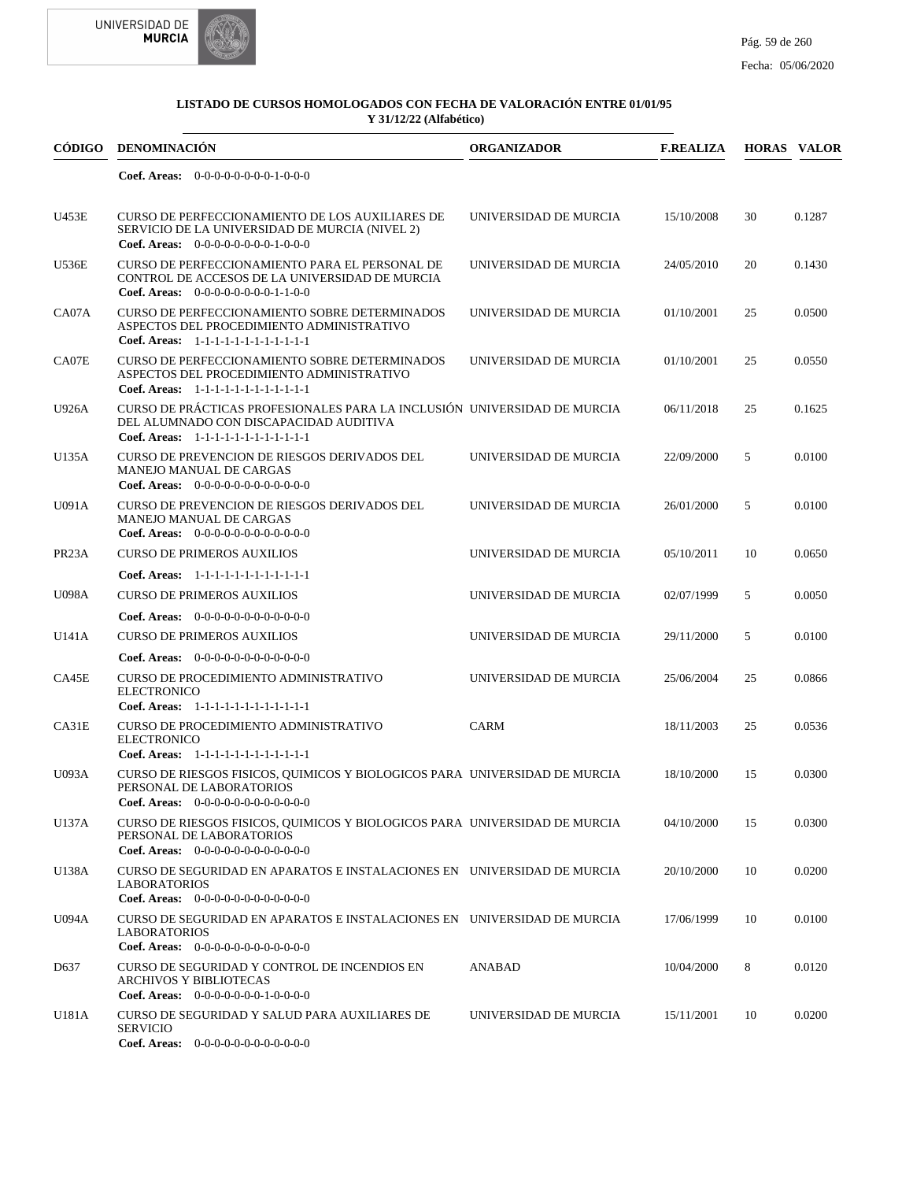

| CÓDIGO             | <b>DENOMINACIÓN</b>                                                                                                                                          | <b>ORGANIZADOR</b>    | <b>F.REALIZA</b> |    | <b>HORAS VALOR</b> |
|--------------------|--------------------------------------------------------------------------------------------------------------------------------------------------------------|-----------------------|------------------|----|--------------------|
|                    | Coef. Areas: $0-0-0-0-0-0-0-1-0-0-0$                                                                                                                         |                       |                  |    |                    |
| U453E              | CURSO DE PERFECCIONAMIENTO DE LOS AUXILIARES DE<br>SERVICIO DE LA UNIVERSIDAD DE MURCIA (NIVEL 2)<br>Coef. Areas: $0-0-0-0-0-0-0-1-0-0-0$                    | UNIVERSIDAD DE MURCIA | 15/10/2008       | 30 | 0.1287             |
| <b>U536E</b>       | CURSO DE PERFECCIONAMIENTO PARA EL PERSONAL DE<br>CONTROL DE ACCESOS DE LA UNIVERSIDAD DE MURCIA<br>Coef. Areas: $0-0-0-0-0-0-0-1-1-0-0$                     | UNIVERSIDAD DE MURCIA | 24/05/2010       | 20 | 0.1430             |
| CA07A              | CURSO DE PERFECCIONAMIENTO SOBRE DETERMINADOS<br>ASPECTOS DEL PROCEDIMIENTO ADMINISTRATIVO<br>Coef. Areas: 1-1-1-1-1-1-1-1-1-1-1-1-1                         | UNIVERSIDAD DE MURCIA | 01/10/2001       | 25 | 0.0500             |
| CA07E              | CURSO DE PERFECCIONAMIENTO SOBRE DETERMINADOS<br>ASPECTOS DEL PROCEDIMIENTO ADMINISTRATIVO<br>Coef. Areas: 1-1-1-1-1-1-1-1-1-1-1-1-1                         | UNIVERSIDAD DE MURCIA | 01/10/2001       | 25 | 0.0550             |
| U926A              | CURSO DE PRÁCTICAS PROFESIONALES PARA LA INCLUSIÓN UNIVERSIDAD DE MURCIA<br>DEL ALUMNADO CON DISCAPACIDAD AUDITIVA<br>Coef. Areas: 1-1-1-1-1-1-1-1-1-1-1-1-1 |                       | 06/11/2018       | 25 | 0.1625             |
| U135A              | CURSO DE PREVENCION DE RIESGOS DERIVADOS DEL<br><b>MANEJO MANUAL DE CARGAS</b><br>Coef. Areas: $0-0-0-0-0-0-0-0-0-0-0$                                       | UNIVERSIDAD DE MURCIA | 22/09/2000       | 5  | 0.0100             |
| U091A              | <b>CURSO DE PREVENCION DE RIESGOS DERIVADOS DEL</b><br><b>MANEJO MANUAL DE CARGAS</b><br><b>Coef. Areas:</b> $0-0-0-0-0-0-0-0-0-0-0-0$                       | UNIVERSIDAD DE MURCIA | 26/01/2000       | 5  | 0.0100             |
| PR <sub>23</sub> A | <b>CURSO DE PRIMEROS AUXILIOS</b>                                                                                                                            | UNIVERSIDAD DE MURCIA | 05/10/2011       | 10 | 0.0650             |
|                    | Coef. Areas: 1-1-1-1-1-1-1-1-1-1-1-1-1                                                                                                                       |                       |                  |    |                    |
| <b>U098A</b>       | <b>CURSO DE PRIMEROS AUXILIOS</b>                                                                                                                            | UNIVERSIDAD DE MURCIA | 02/07/1999       | 5  | 0.0050             |
|                    | <b>Coef. Areas:</b> $0-0-0-0-0-0-0-0-0-0-0$                                                                                                                  |                       |                  |    |                    |
| U141A              | <b>CURSO DE PRIMEROS AUXILIOS</b>                                                                                                                            | UNIVERSIDAD DE MURCIA | 29/11/2000       | 5  | 0.0100             |
|                    | <b>Coef. Areas:</b> $0-0-0-0-0-0-0-0-0-0-0$                                                                                                                  |                       |                  |    |                    |
| CA45E              | CURSO DE PROCEDIMIENTO ADMINISTRATIVO<br><b>ELECTRONICO</b><br>Coef. Areas: 1-1-1-1-1-1-1-1-1-1-1-1-1                                                        | UNIVERSIDAD DE MURCIA | 25/06/2004       | 25 | 0.0866             |
| CA31E              | CURSO DE PROCEDIMIENTO ADMINISTRATIVO<br><b>ELECTRONICO</b><br>Coef. Areas: 1-1-1-1-1-1-1-1-1-1-1-1-1                                                        | CARM                  | 18/11/2003       | 25 | 0.0536             |
| U093A              | CURSO DE RIESGOS FISICOS, QUIMICOS Y BIOLOGICOS PARA UNIVERSIDAD DE MURCIA<br>PERSONAL DE LABORATORIOS<br><b>Coef. Areas:</b> $0-0-0-0-0-0-0-0-0-0-0$        |                       | 18/10/2000       | 15 | 0.0300             |
| U137A              | CURSO DE RIESGOS FISICOS, QUIMICOS Y BIOLOGICOS PARA UNIVERSIDAD DE MURCIA<br>PERSONAL DE LABORATORIOS<br>Coef. Areas: $0-0-0-0-0-0-0-0-0-0-0-0$             |                       | 04/10/2000       | 15 | 0.0300             |
| U138A              | CURSO DE SEGURIDAD EN APARATOS E INSTALACIONES EN UNIVERSIDAD DE MURCIA<br><b>LABORATORIOS</b><br><b>Coef. Areas:</b> $0-0-0-0-0-0-0-0-0-0-0$                |                       | 20/10/2000       | 10 | 0.0200             |
| U094A              | CURSO DE SEGURIDAD EN APARATOS E INSTALACIONES EN UNIVERSIDAD DE MURCIA<br><b>LABORATORIOS</b><br>Coef. Areas: 0-0-0-0-0-0-0-0-0-0-0-0-0                     |                       | 17/06/1999       | 10 | 0.0100             |
| D637               | CURSO DE SEGURIDAD Y CONTROL DE INCENDIOS EN<br><b>ARCHIVOS Y BIBLIOTECAS</b><br>Coef. Areas: $0-0-0-0-0-0-1-0-0-0-0$                                        | ANABAD                | 10/04/2000       | 8  | 0.0120             |
| U181A              | CURSO DE SEGURIDAD Y SALUD PARA AUXILIARES DE<br><b>SERVICIO</b><br>Coef. Areas: 0-0-0-0-0-0-0-0-0-0-0-0-0                                                   | UNIVERSIDAD DE MURCIA | 15/11/2001       | 10 | 0.0200             |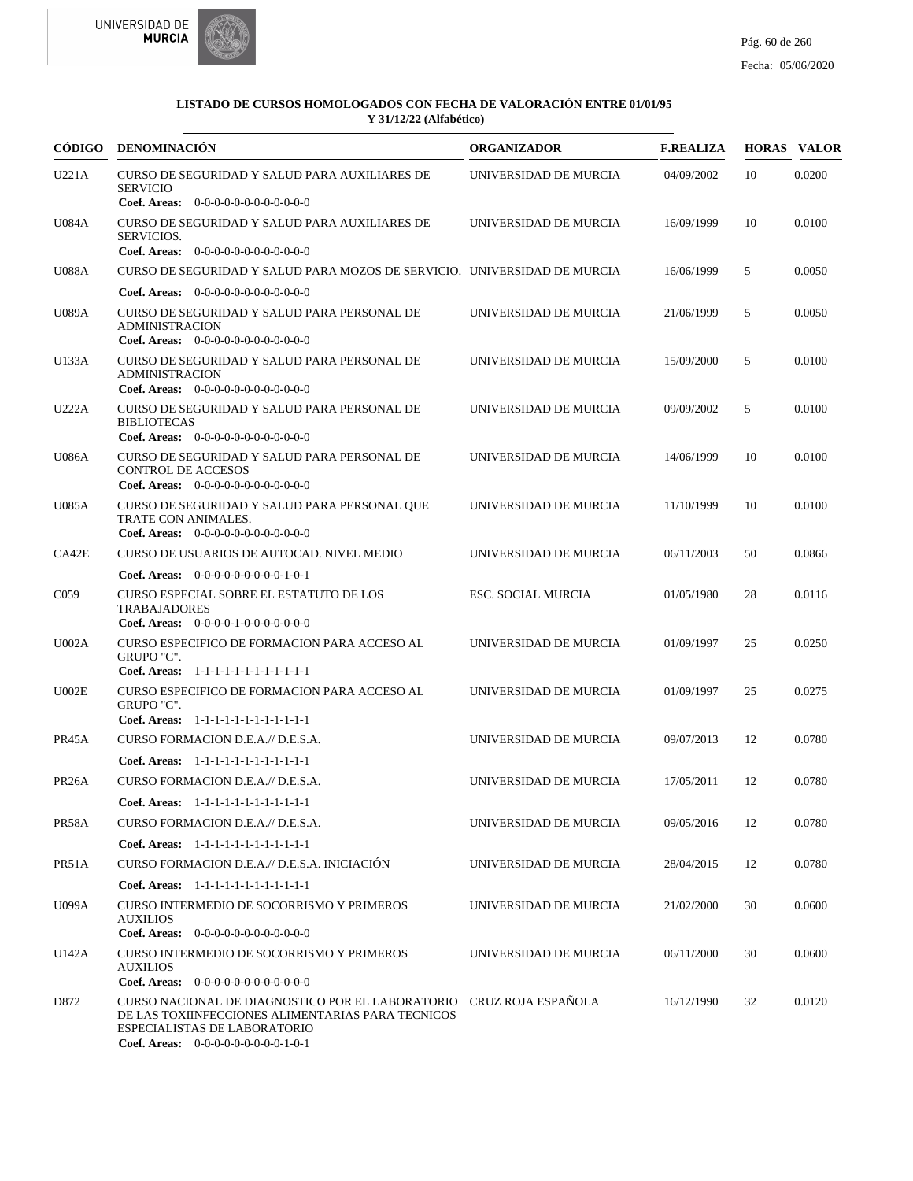



| <b>CÓDIGO</b>      | <b>DENOMINACIÓN</b>                                                                                                                                                                              | <b>ORGANIZADOR</b>    | <b>F.REALIZA</b> |    | <b>HORAS VALOR</b> |
|--------------------|--------------------------------------------------------------------------------------------------------------------------------------------------------------------------------------------------|-----------------------|------------------|----|--------------------|
| U221A              | CURSO DE SEGURIDAD Y SALUD PARA AUXILIARES DE<br><b>SERVICIO</b>                                                                                                                                 | UNIVERSIDAD DE MURCIA | 04/09/2002       | 10 | 0.0200             |
|                    | Coef. Areas: $0-0-0-0-0-0-0-0-0-0-0$                                                                                                                                                             |                       |                  |    |                    |
| <b>U084A</b>       | CURSO DE SEGURIDAD Y SALUD PARA AUXILIARES DE<br>SERVICIOS.<br>Coef. Areas: 0-0-0-0-0-0-0-0-0-0-0-0-0                                                                                            | UNIVERSIDAD DE MURCIA | 16/09/1999       | 10 | 0.0100             |
| <b>U088A</b>       | CURSO DE SEGURIDAD Y SALUD PARA MOZOS DE SERVICIO. UNIVERSIDAD DE MURCIA                                                                                                                         |                       | 16/06/1999       | 5  | 0.0050             |
|                    | <b>Coef. Areas:</b> $0-0-0-0-0-0-0-0-0-0-0-0$                                                                                                                                                    |                       |                  |    |                    |
| <b>U089A</b>       | CURSO DE SEGURIDAD Y SALUD PARA PERSONAL DE<br><b>ADMINISTRACION</b><br>Coef. Areas: 0-0-0-0-0-0-0-0-0-0-0-0-0                                                                                   | UNIVERSIDAD DE MURCIA | 21/06/1999       | 5  | 0.0050             |
| U133A              | CURSO DE SEGURIDAD Y SALUD PARA PERSONAL DE<br><b>ADMINISTRACION</b><br>Coef. Areas: 0-0-0-0-0-0-0-0-0-0-0-0-0                                                                                   | UNIVERSIDAD DE MURCIA | 15/09/2000       | 5  | 0.0100             |
| U222A              | CURSO DE SEGURIDAD Y SALUD PARA PERSONAL DE<br><b>BIBLIOTECAS</b><br>Coef. Areas: 0-0-0-0-0-0-0-0-0-0-0-0-0                                                                                      | UNIVERSIDAD DE MURCIA | 09/09/2002       | 5  | 0.0100             |
| <b>U086A</b>       | CURSO DE SEGURIDAD Y SALUD PARA PERSONAL DE<br><b>CONTROL DE ACCESOS</b><br>Coef. Areas: $0-0-0-0-0-0-0-0-0-0-0$                                                                                 | UNIVERSIDAD DE MURCIA | 14/06/1999       | 10 | 0.0100             |
| U085A              | CURSO DE SEGURIDAD Y SALUD PARA PERSONAL QUE<br>TRATE CON ANIMALES.<br><b>Coef. Areas:</b> $0-0-0-0-0-0-0-0-0-0-0-0$                                                                             | UNIVERSIDAD DE MURCIA | 11/10/1999       | 10 | 0.0100             |
| CA42E              | CURSO DE USUARIOS DE AUTOCAD. NIVEL MEDIO                                                                                                                                                        | UNIVERSIDAD DE MURCIA | 06/11/2003       | 50 | 0.0866             |
|                    | <b>Coef. Areas:</b> $0-0-0-0-0-0-0-0-1-0-1$                                                                                                                                                      |                       |                  |    |                    |
| C <sub>059</sub>   | <b>CURSO ESPECIAL SOBRE EL ESTATUTO DE LOS</b><br><b>TRABAJADORES</b><br>Coef. Areas: $0-0-0-0-1-0-0-0-0-0-0$                                                                                    | ESC. SOCIAL MURCIA    | 01/05/1980       | 28 | 0.0116             |
| U002A              | CURSO ESPECIFICO DE FORMACION PARA ACCESO AL<br>GRUPO "C".<br>Coef. Areas: 1-1-1-1-1-1-1-1-1-1-1-1-1                                                                                             | UNIVERSIDAD DE MURCIA | 01/09/1997       | 25 | 0.0250             |
| U002E              | CURSO ESPECIFICO DE FORMACION PARA ACCESO AL<br>GRUPO "C".<br>Coef. Areas: 1-1-1-1-1-1-1-1-1-1-1-1-1                                                                                             | UNIVERSIDAD DE MURCIA | 01/09/1997       | 25 | 0.0275             |
| PR45A              | CURSO FORMACION D.E.A.// D.E.S.A.                                                                                                                                                                | UNIVERSIDAD DE MURCIA | 09/07/2013       | 12 | 0.0780             |
|                    | Coef. Areas: 1-1-1-1-1-1-1-1-1-1-1-1-1                                                                                                                                                           |                       |                  |    |                    |
|                    | CURSO FORMACION D.E.A.// D.E.S.A.                                                                                                                                                                | UNIVERSIDAD DE MURCIA | 17/05/2011       | 12 |                    |
| PR <sub>26</sub> A |                                                                                                                                                                                                  |                       |                  |    | 0.0780             |
|                    | Coef. Areas: $1-1-1-1-1-1-1-1-1-1-1$                                                                                                                                                             |                       |                  |    |                    |
| PR58A              | CURSO FORMACION D.E.A.// D.E.S.A.                                                                                                                                                                | UNIVERSIDAD DE MURCIA | 09/05/2016       | 12 | 0.0780             |
|                    | Coef. Areas: 1-1-1-1-1-1-1-1-1-1-1-1-1                                                                                                                                                           |                       |                  |    |                    |
| PR51A              | CURSO FORMACION D.E.A.// D.E.S.A. INICIACIÓN                                                                                                                                                     | UNIVERSIDAD DE MURCIA | 28/04/2015       | 12 | 0.0780             |
|                    | Coef. Areas: 1-1-1-1-1-1-1-1-1-1-1-1-1                                                                                                                                                           |                       |                  |    |                    |
| <b>U099A</b>       | CURSO INTERMEDIO DE SOCORRISMO Y PRIMEROS<br><b>AUXILIOS</b><br>Coef. Areas: $0-0-0-0-0-0-0-0-0-0-0$                                                                                             | UNIVERSIDAD DE MURCIA | 21/02/2000       | 30 | 0.0600             |
| U142A              | <b>CURSO INTERMEDIO DE SOCORRISMO Y PRIMEROS</b><br><b>AUXILIOS</b><br><b>Coef. Areas:</b> $0-0-0-0-0-0-0-0-0-0-0-0$                                                                             | UNIVERSIDAD DE MURCIA | 06/11/2000       | 30 | 0.0600             |
| D872               | CURSO NACIONAL DE DIAGNOSTICO POR EL LABORATORIO CRUZ ROJA ESPAÑOLA<br>DE LAS TOXIINFECCIONES ALIMENTARIAS PARA TECNICOS<br>ESPECIALISTAS DE LABORATORIO<br>Coef. Areas: $0-0-0-0-0-0-0-0-1-0-1$ |                       | 16/12/1990       | 32 | 0.0120             |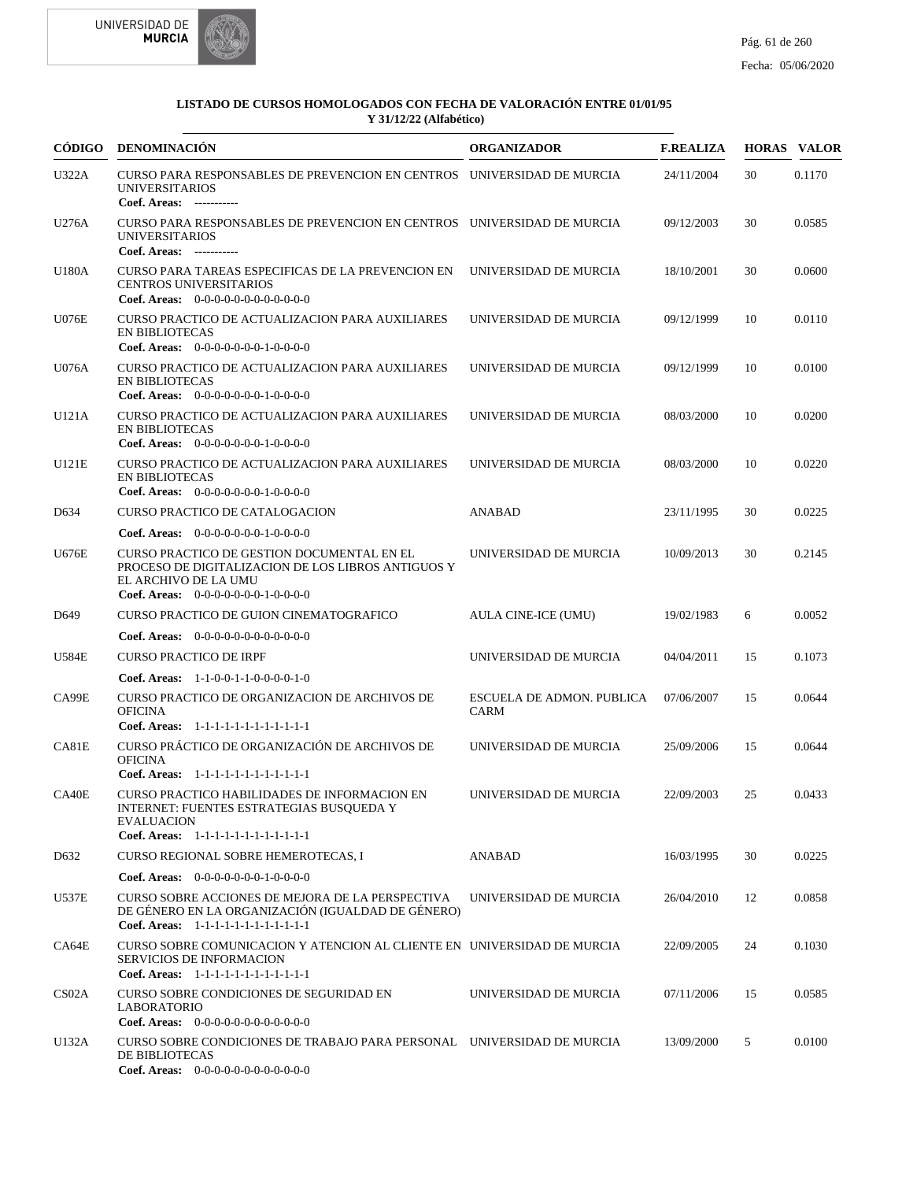



|                    | CÓDIGO DENOMINACIÓN                                                                                                                                              | <b>ORGANIZADOR</b>                       | <b>F.REALIZA</b> |    | <b>HORAS VALOR</b> |
|--------------------|------------------------------------------------------------------------------------------------------------------------------------------------------------------|------------------------------------------|------------------|----|--------------------|
| U322A              | CURSO PARA RESPONSABLES DE PREVENCION EN CENTROS UNIVERSIDAD DE MURCIA<br><b>UNIVERSITARIOS</b><br>Coef. Areas: -----------                                      |                                          | 24/11/2004       | 30 | 0.1170             |
| U276A              | CURSO PARA RESPONSABLES DE PREVENCION EN CENTROS UNIVERSIDAD DE MURCIA<br><b>UNIVERSITARIOS</b><br>Coef. Areas: -----------                                      |                                          | 09/12/2003       | 30 | 0.0585             |
| U180A              | CURSO PARA TAREAS ESPECIFICAS DE LA PREVENCION EN<br><b>CENTROS UNIVERSITARIOS</b><br>Coef. Areas: $0-0-0-0-0-0-0-0-0-0-0-0$                                     | UNIVERSIDAD DE MURCIA                    | 18/10/2001       | 30 | 0.0600             |
| <b>U076E</b>       | CURSO PRACTICO DE ACTUALIZACION PARA AUXILIARES<br><b>EN BIBLIOTECAS</b><br><b>Coef. Areas:</b> $0-0-0-0-0-0-1-0-0-0-0$                                          | UNIVERSIDAD DE MURCIA                    | 09/12/1999       | 10 | 0.0110             |
| <b>U076A</b>       | CURSO PRACTICO DE ACTUALIZACION PARA AUXILIARES<br><b>EN BIBLIOTECAS</b><br>Coef. Areas: $0-0-0-0-0-0-1-0-0-0-0$                                                 | UNIVERSIDAD DE MURCIA                    | 09/12/1999       | 10 | 0.0100             |
| U121A              | CURSO PRACTICO DE ACTUALIZACION PARA AUXILIARES<br><b>EN BIBLIOTECAS</b><br>Coef. Areas: 0-0-0-0-0-0-0-1-0-0-0-0                                                 | UNIVERSIDAD DE MURCIA                    | 08/03/2000       | 10 | 0.0200             |
| U121E              | CURSO PRACTICO DE ACTUALIZACION PARA AUXILIARES<br><b>EN BIBLIOTECAS</b><br>Coef. Areas: 0-0-0-0-0-0-0-1-0-0-0-0                                                 | UNIVERSIDAD DE MURCIA                    | 08/03/2000       | 10 | 0.0220             |
| D <sub>6</sub> 34  | <b>CURSO PRACTICO DE CATALOGACION</b>                                                                                                                            | <b>ANABAD</b>                            | 23/11/1995       | 30 | 0.0225             |
|                    | <b>Coef. Areas:</b> $0-0-0-0-0-0-1-0-0-0-0$                                                                                                                      |                                          |                  |    |                    |
| <b>U676E</b>       | CURSO PRACTICO DE GESTION DOCUMENTAL EN EL<br>PROCESO DE DIGITALIZACION DE LOS LIBROS ANTIGUOS Y<br>EL ARCHIVO DE LA UMU<br>Coef. Areas: $0-0-0-0-0-0-1-0-0-0-0$ | UNIVERSIDAD DE MURCIA                    | 10/09/2013       | 30 | 0.2145             |
| D <sub>649</sub>   | CURSO PRACTICO DE GUION CINEMATOGRAFICO                                                                                                                          | <b>AULA CINE-ICE (UMU)</b>               | 19/02/1983       | 6  | 0.0052             |
|                    | <b>Coef. Areas:</b> $0-0-0-0-0-0-0-0-0-0-0-0$                                                                                                                    |                                          |                  |    |                    |
| <b>U584E</b>       | <b>CURSO PRACTICO DE IRPF</b>                                                                                                                                    | UNIVERSIDAD DE MURCIA                    | 04/04/2011       | 15 | 0.1073             |
|                    | <b>Coef. Areas:</b> $1-1-0-0-1-1-0-0-0-0-1-0$                                                                                                                    |                                          |                  |    |                    |
| CA99E              | CURSO PRACTICO DE ORGANIZACION DE ARCHIVOS DE<br><b>OFICINA</b><br>Coef. Areas: 1-1-1-1-1-1-1-1-1-1-1-1-1                                                        | ESCUELA DE ADMON. PUBLICA<br><b>CARM</b> | 07/06/2007       | 15 | 0.0644             |
| CA81E              | CURSO PRÁCTICO DE ORGANIZACIÓN DE ARCHIVOS DE<br><b>OFICINA</b><br>Coef. Areas: 1-1-1-1-1-1-1-1-1-1-1-1-1                                                        | UNIVERSIDAD DE MURCIA                    | 25/09/2006       | 15 | 0.0644             |
| CA40E              | CURSO PRACTICO HABILIDADES DE INFORMACION EN<br>INTERNET: FUENTES ESTRATEGIAS BUSQUEDA Y<br><b>EVALUACION</b><br>Coef. Areas: 1-1-1-1-1-1-1-1-1-1-1-1-1          | UNIVERSIDAD DE MURCIA                    | 22/09/2003       | 25 | 0.0433             |
| D <sub>6</sub> 32  | CURSO REGIONAL SOBRE HEMEROTECAS, I                                                                                                                              | <b>ANABAD</b>                            | 16/03/1995       | 30 | 0.0225             |
|                    | <b>Coef. Areas:</b> $0-0-0-0-0-0-1-0-0-0-0$                                                                                                                      |                                          |                  |    |                    |
| <b>U537E</b>       | CURSO SOBRE ACCIONES DE MEJORA DE LA PERSPECTIVA<br>DE GÉNERO EN LA ORGANIZACIÓN (IGUALDAD DE GÉNERO)<br>Coef. Areas: 1-1-1-1-1-1-1-1-1-1-1-1-1                  | UNIVERSIDAD DE MURCIA                    | 26/04/2010       | 12 | 0.0858             |
| CA64E              | CURSO SOBRE COMUNICACION Y ATENCION AL CLIENTE EN UNIVERSIDAD DE MURCIA<br><b>SERVICIOS DE INFORMACION</b><br>Coef. Areas: 1-1-1-1-1-1-1-1-1-1-1-1-1             |                                          | 22/09/2005       | 24 | 0.1030             |
| CS <sub>02</sub> A | CURSO SOBRE CONDICIONES DE SEGURIDAD EN<br><b>LABORATORIO</b><br><b>Coef. Areas:</b> $0-0-0-0-0-0-0-0-0-0-0-0$                                                   | UNIVERSIDAD DE MURCIA                    | 07/11/2006       | 15 | 0.0585             |
| U132A              | CURSO SOBRE CONDICIONES DE TRABAJO PARA PERSONAL UNIVERSIDAD DE MURCIA<br>DE BIBLIOTECAS<br>Coef. Areas: $0-0-0-0-0-0-0-0-0-0-0$                                 |                                          | 13/09/2000       | 5  | 0.0100             |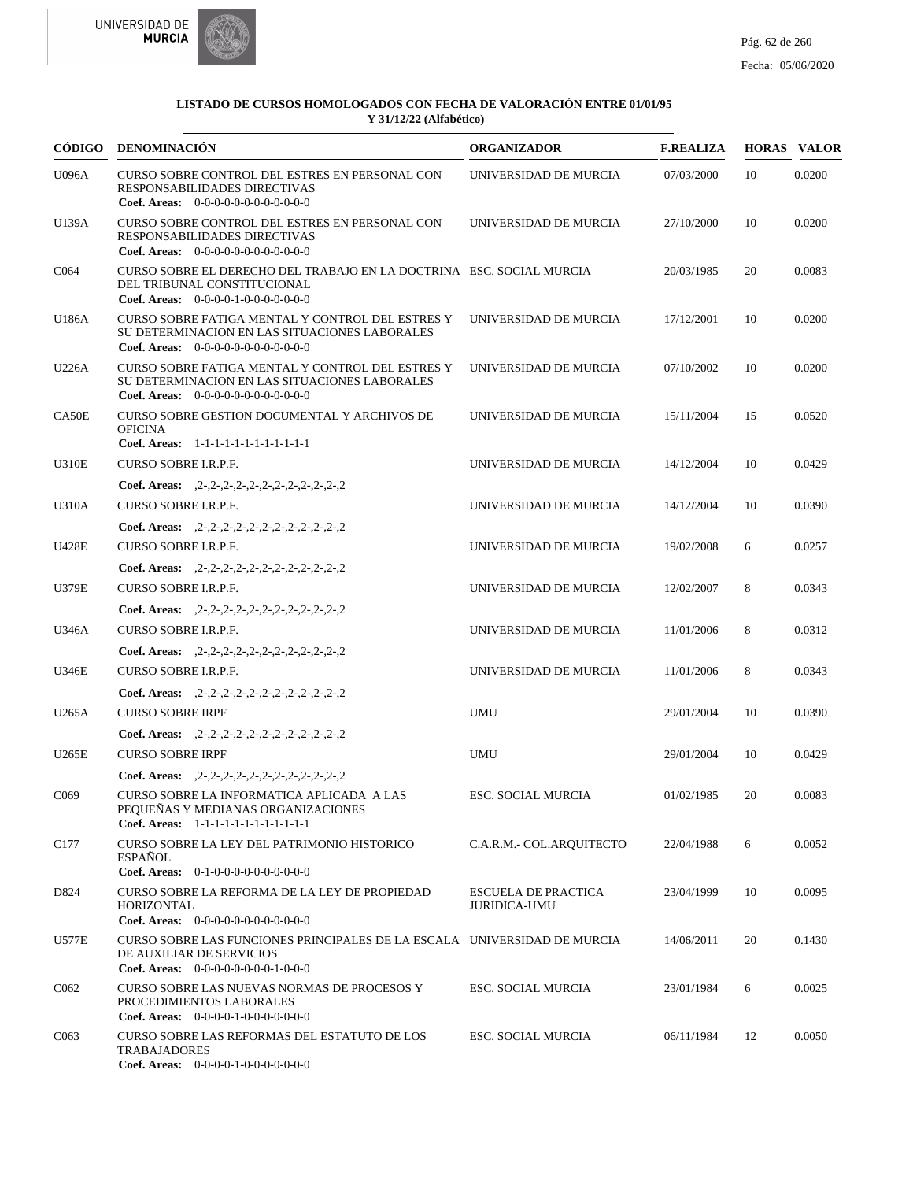



| CÓDIGO           | <b>DENOMINACIÓN</b>                                                                                                                                                   | <b>ORGANIZADOR</b>                                | <b>F.REALIZA</b> |    | <b>HORAS VALOR</b> |
|------------------|-----------------------------------------------------------------------------------------------------------------------------------------------------------------------|---------------------------------------------------|------------------|----|--------------------|
| U096A            | CURSO SOBRE CONTROL DEL ESTRES EN PERSONAL CON<br>RESPONSABILIDADES DIRECTIVAS<br>Coef. Areas: $0-0-0-0-0-0-0-0-0-0-0$                                                | UNIVERSIDAD DE MURCIA                             | 07/03/2000       | 10 | 0.0200             |
| U139A            | CURSO SOBRE CONTROL DEL ESTRES EN PERSONAL CON<br>RESPONSABILIDADES DIRECTIVAS<br>Coef. Areas: 0-0-0-0-0-0-0-0-0-0-0-0-0                                              | UNIVERSIDAD DE MURCIA                             | 27/10/2000       | 10 | 0.0200             |
| C <sub>064</sub> | CURSO SOBRE EL DERECHO DEL TRABAJO EN LA DOCTRINA ESC. SOCIAL MURCIA<br>DEL TRIBUNAL CONSTITUCIONAL<br>Coef. Areas: $0-0-0-0-1-0-0-0-0-0-0$                           |                                                   | 20/03/1985       | 20 | 0.0083             |
| U186A            | CURSO SOBRE FATIGA MENTAL Y CONTROL DEL ESTRES Y<br>SU DETERMINACION EN LAS SITUACIONES LABORALES<br>Coef. Areas: $0-0-0-0-0-0-0-0-0-0-0$                             | UNIVERSIDAD DE MURCIA                             | 17/12/2001       | 10 | 0.0200             |
| U226A            | CURSO SOBRE FATIGA MENTAL Y CONTROL DEL ESTRES Y<br>SU DETERMINACION EN LAS SITUACIONES LABORALES<br>Coef. Areas: 0-0-0-0-0-0-0-0-0-0-0-0-0                           | UNIVERSIDAD DE MURCIA                             | 07/10/2002       | 10 | 0.0200             |
| CA50E            | CURSO SOBRE GESTION DOCUMENTAL Y ARCHIVOS DE<br><b>OFICINA</b><br>Coef. Areas: 1-1-1-1-1-1-1-1-1-1-1-1-1                                                              | UNIVERSIDAD DE MURCIA                             | 15/11/2004       | 15 | 0.0520             |
| <b>U310E</b>     | <b>CURSO SOBRE I.R.P.F.</b>                                                                                                                                           | UNIVERSIDAD DE MURCIA                             | 14/12/2004       | 10 | 0.0429             |
| U310A            | Coef. Areas: $2-2-2-2-2-2-2-2-2-2-2-2-2$<br>CURSO SOBRE I.R.P.F.<br>Coef. Areas: $, 2-, 2-, 2-, 2-, 2-, 2-, 2-, 2-, 2-, 2-, 2$                                        | UNIVERSIDAD DE MURCIA                             | 14/12/2004       | 10 | 0.0390             |
| U428E            | CURSO SOBRE I.R.P.F.<br>Coef. Areas: $2-2-2-2-2-2-2-2-2-2-2-2-2$                                                                                                      | UNIVERSIDAD DE MURCIA                             | 19/02/2008       | 6  | 0.0257             |
| <b>U379E</b>     | CURSO SOBRE I.R.P.F.<br>Coef. Areas: $2-2-2-2-2-2-2-2-2-2-2-2-2$                                                                                                      | UNIVERSIDAD DE MURCIA                             | 12/02/2007       | 8  | 0.0343             |
| U346A            | CURSO SOBRE I.R.P.F.<br>Coef. Areas: $2-2-2-2-2-2-2-2-2-2-2-2-2$                                                                                                      | UNIVERSIDAD DE MURCIA                             | 11/01/2006       | 8  | 0.0312             |
| U346E            | CURSO SOBRE I.R.P.F.                                                                                                                                                  | UNIVERSIDAD DE MURCIA                             | 11/01/2006       | 8  | 0.0343             |
| U265A            | Coef. Areas: $2-2-2-2-2-2-2-2-2-2-2-2-2$<br><b>CURSO SOBRE IRPF</b>                                                                                                   | <b>UMU</b>                                        | 29/01/2004       | 10 | 0.0390             |
| U265E            | Coef. Areas: $2-2-2-2-2-2-2-2-2-2-2-2-2$<br><b>CURSO SOBRE IRPF</b>                                                                                                   | <b>UMU</b>                                        | 29/01/2004       | 10 | 0.0429             |
| C <sub>069</sub> | Coef. Areas: $2-2-2-2-2-2-2-2-2-2-2-2-2$<br>CURSO SOBRE LA INFORMATICA APLICADA A LAS<br>PEQUENAS Y MEDIANAS ORGANIZACIONES<br>Coef. Areas: 1-1-1-1-1-1-1-1-1-1-1-1-1 | <b>ESC. SOCIAL MURCIA</b>                         | 01/02/1985       | 20 | 0.0083             |
| C177             | CURSO SOBRE LA LEY DEL PATRIMONIO HISTORICO<br><b>ESPAÑOL</b><br>Coef. Areas: $0-1-0-0-0-0-0-0-0-0-0$                                                                 | C.A.R.M.- COL.ARQUITECTO                          | 22/04/1988       | 6  | 0.0052             |
| D824             | CURSO SOBRE LA REFORMA DE LA LEY DE PROPIEDAD<br><b>HORIZONTAL</b><br>Coef. Areas: 0-0-0-0-0-0-0-0-0-0-0-0-0                                                          | <b>ESCUELA DE PRACTICA</b><br><b>JURIDICA-UMU</b> | 23/04/1999       | 10 | 0.0095             |
| U577E            | CURSO SOBRE LAS FUNCIONES PRINCIPALES DE LA ESCALA UNIVERSIDAD DE MURCIA<br>DE AUXILIAR DE SERVICIOS<br>Coef. Areas: $0-0-0-0-0-0-0-1-0-0-0$                          |                                                   | 14/06/2011       | 20 | 0.1430             |
| C <sub>062</sub> | CURSO SOBRE LAS NUEVAS NORMAS DE PROCESOS Y<br>PROCEDIMIENTOS LABORALES<br>Coef. Areas: $0-0-0-0-1-0-0-0-0-0-0$                                                       | <b>ESC. SOCIAL MURCIA</b>                         | 23/01/1984       | 6  | 0.0025             |
| C <sub>063</sub> | CURSO SOBRE LAS REFORMAS DEL ESTATUTO DE LOS<br><b>TRABAJADORES</b><br>Coef. Areas: $0-0-0-0-1-0-0-0-0-0-0$                                                           | <b>ESC. SOCIAL MURCIA</b>                         | 06/11/1984       | 12 | 0.0050             |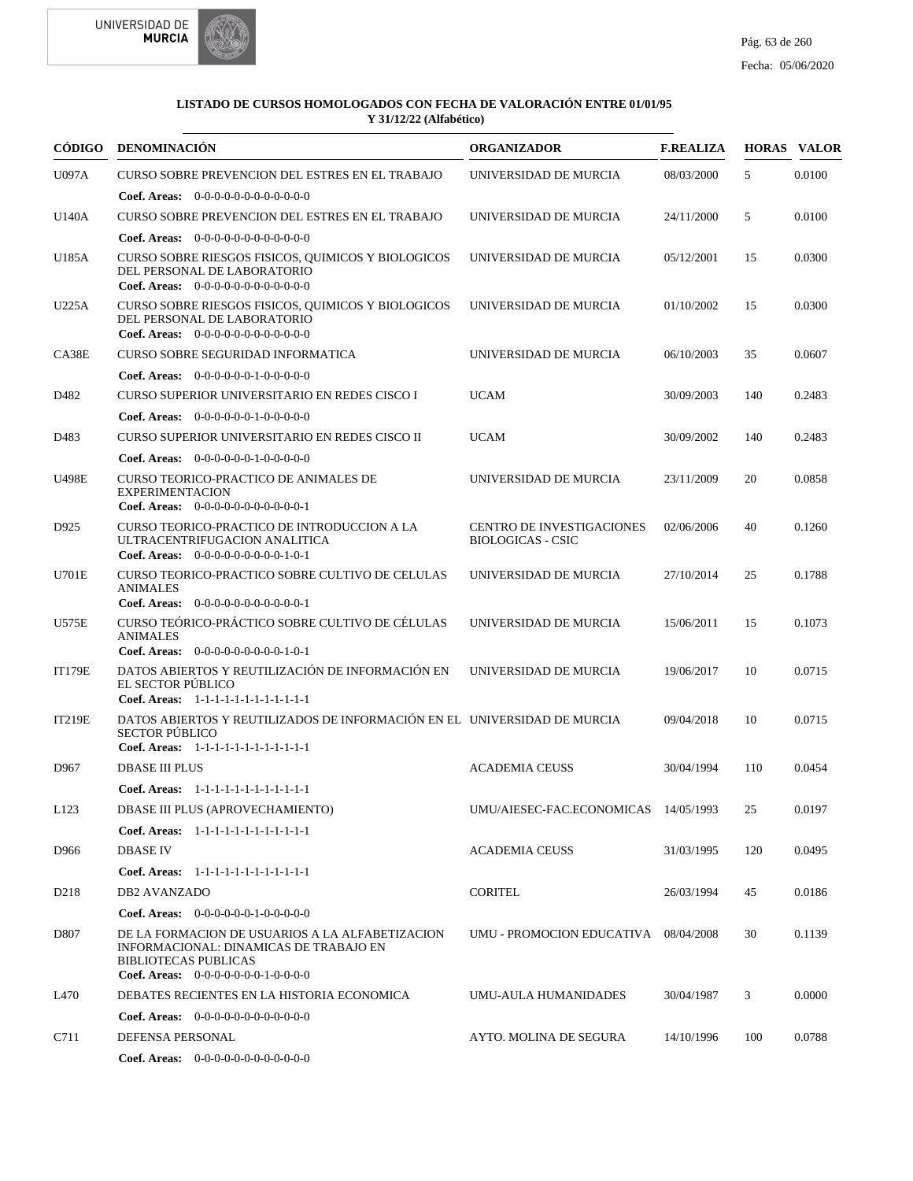



|                  | CÓDIGO DENOMINACIÓN                                                                                                                                              | <b>ORGANIZADOR</b>                                           | <b>F.REALIZA</b> |     | <b>HORAS VALOR</b> |
|------------------|------------------------------------------------------------------------------------------------------------------------------------------------------------------|--------------------------------------------------------------|------------------|-----|--------------------|
| <b>U097A</b>     | <b>CURSO SOBRE PREVENCION DEL ESTRES EN EL TRABAJO</b>                                                                                                           | UNIVERSIDAD DE MURCIA                                        | 08/03/2000       | 5   | 0.0100             |
|                  | <b>Coef. Areas:</b> $0-0-0-0-0-0-0-0-0-0-0-0$                                                                                                                    |                                                              |                  |     |                    |
| <b>U140A</b>     | <b>CURSO SOBRE PREVENCION DEL ESTRES EN EL TRABAJO</b>                                                                                                           | UNIVERSIDAD DE MURCIA                                        | 24/11/2000       | 5   | 0.0100             |
|                  | <b>Coef. Areas:</b> $0-0-0-0-0-0-0-0-0-0-0-0$                                                                                                                    |                                                              |                  |     |                    |
| U185A            | CURSO SOBRE RIESGOS FISICOS, QUIMICOS Y BIOLOGICOS<br>DEL PERSONAL DE LABORATORIO<br>Coef. Areas: $0-0-0-0-0-0-0-0-0-0-0-0$                                      | UNIVERSIDAD DE MURCIA                                        | 05/12/2001       | 15  | 0.0300             |
| <b>U225A</b>     | CURSO SOBRE RIESGOS FISICOS, QUIMICOS Y BIOLOGICOS<br>DEL PERSONAL DE LABORATORIO<br><b>Coef. Areas:</b> $0-0-0-0-0-0-0-0-0-0-0-0$                               | UNIVERSIDAD DE MURCIA                                        | 01/10/2002       | 15  | 0.0300             |
| CA38E            | CURSO SOBRE SEGURIDAD INFORMATICA                                                                                                                                | UNIVERSIDAD DE MURCIA                                        | 06/10/2003       | 35  | 0.0607             |
|                  | <b>Coef. Areas:</b> $0-0-0-0-0-1-0-0-0-0-0$                                                                                                                      |                                                              |                  |     |                    |
| D482             | CURSO SUPERIOR UNIVERSITARIO EN REDES CISCO I                                                                                                                    | <b>UCAM</b>                                                  | 30/09/2003       | 140 | 0.2483             |
|                  | <b>Coef. Areas:</b> $0-0-0-0-0-1-0-0-0-0-0$                                                                                                                      |                                                              |                  |     |                    |
| D483             | CURSO SUPERIOR UNIVERSITARIO EN REDES CISCO II                                                                                                                   | <b>UCAM</b>                                                  | 30/09/2002       | 140 | 0.2483             |
|                  | Coef. Areas: $0-0-0-0-0-1-0-0-0-0-0$                                                                                                                             |                                                              |                  |     |                    |
| <b>U498E</b>     | CURSO TEORICO-PRACTICO DE ANIMALES DE<br><b>EXPERIMENTACION</b><br>Coef. Areas: $0-0-0-0-0-0-0-0-0-0-0-1$                                                        | UNIVERSIDAD DE MURCIA                                        | 23/11/2009       | 20  | 0.0858             |
| D925             | CURSO TEORICO-PRACTICO DE INTRODUCCION A LA<br>ULTRACENTRIFUGACION ANALITICA<br>Coef. Areas: $0-0-0-0-0-0-0-0-1-0-1$                                             | <b>CENTRO DE INVESTIGACIONES</b><br><b>BIOLOGICAS - CSIC</b> | 02/06/2006       | 40  | 0.1260             |
| U701E            | CURSO TEORICO-PRACTICO SOBRE CULTIVO DE CELULAS<br><b>ANIMALES</b><br>Coef. Areas: $0-0-0-0-0-0-0-0-0-0-0-1$                                                     | UNIVERSIDAD DE MURCIA                                        | 27/10/2014       | 25  | 0.1788             |
| U575E            | CURSO TEÓRICO-PRÁCTICO SOBRE CULTIVO DE CÉLULAS<br><b>ANIMALES</b><br>Coef. Areas: 0-0-0-0-0-0-0-0-0-1-0-1                                                       | UNIVERSIDAD DE MURCIA                                        | 15/06/2011       | 15  | 0.1073             |
| <b>IT179E</b>    | DATOS ABIERTOS Y REUTILIZACIÓN DE INFORMACIÓN EN<br>EL SECTOR PÚBLICO<br>Coef. Areas: 1-1-1-1-1-1-1-1-1-1-1-1-1                                                  | UNIVERSIDAD DE MURCIA                                        | 19/06/2017       | 10  | 0.0715             |
| <b>IT219E</b>    | DATOS ABIERTOS Y REUTILIZADOS DE INFORMACIÓN EN EL UNIVERSIDAD DE MURCIA<br><b>SECTOR PÚBLICO</b><br>Coef. Areas: 1-1-1-1-1-1-1-1-1-1-1-1-1                      |                                                              | 09/04/2018       | 10  | 0.0715             |
| D967             | <b>DBASE III PLUS</b>                                                                                                                                            | <b>ACADEMIA CEUSS</b>                                        | 30/04/1994       | 110 | 0.0454             |
|                  | Coef. Areas: 1-1-1-1-1-1-1-1-1-1-1-1-1                                                                                                                           |                                                              |                  |     |                    |
| L123             | DBASE III PLUS (APROVECHAMIENTO)                                                                                                                                 | UMU/AIESEC-FAC.ECONOMICAS 14/05/1993                         |                  | 25  | 0.0197             |
|                  | Coef. Areas: 1-1-1-1-1-1-1-1-1-1-1-1-1                                                                                                                           |                                                              |                  |     |                    |
| D966             | <b>DBASE IV</b>                                                                                                                                                  | <b>ACADEMIA CEUSS</b>                                        | 31/03/1995       | 120 | 0.0495             |
|                  | Coef. Areas: 1-1-1-1-1-1-1-1-1-1-1-1-1                                                                                                                           |                                                              |                  |     |                    |
| D <sub>218</sub> | <b>DB2 AVANZADO</b>                                                                                                                                              | <b>CORITEL</b>                                               | 26/03/1994       | 45  | 0.0186             |
|                  | <b>Coef. Areas:</b> $0-0-0-0-0-1-0-0-0-0-0$                                                                                                                      |                                                              |                  |     |                    |
| D807             | DE LA FORMACION DE USUARIOS A LA ALFABETIZACION<br>INFORMACIONAL: DINAMICAS DE TRABAJO EN<br><b>BIBLIOTECAS PUBLICAS</b><br>Coef. Areas: $0-0-0-0-0-0-1-0-0-0-0$ | UMU - PROMOCION EDUCATIVA 08/04/2008                         |                  | 30  | 0.1139             |
| L470             | DEBATES RECIENTES EN LA HISTORIA ECONOMICA                                                                                                                       | UMU-AULA HUMANIDADES                                         | 30/04/1987       | 3   | 0.0000             |
|                  | <b>Coef. Areas:</b> $0-0-0-0-0-0-0-0-0-0-0$                                                                                                                      |                                                              |                  |     |                    |
| C711             | DEFENSA PERSONAL                                                                                                                                                 | AYTO. MOLINA DE SEGURA                                       | 14/10/1996       | 100 | 0.0788             |
|                  | Coef. Areas: $0-0-0-0-0-0-0-0-0-0-0$                                                                                                                             |                                                              |                  |     |                    |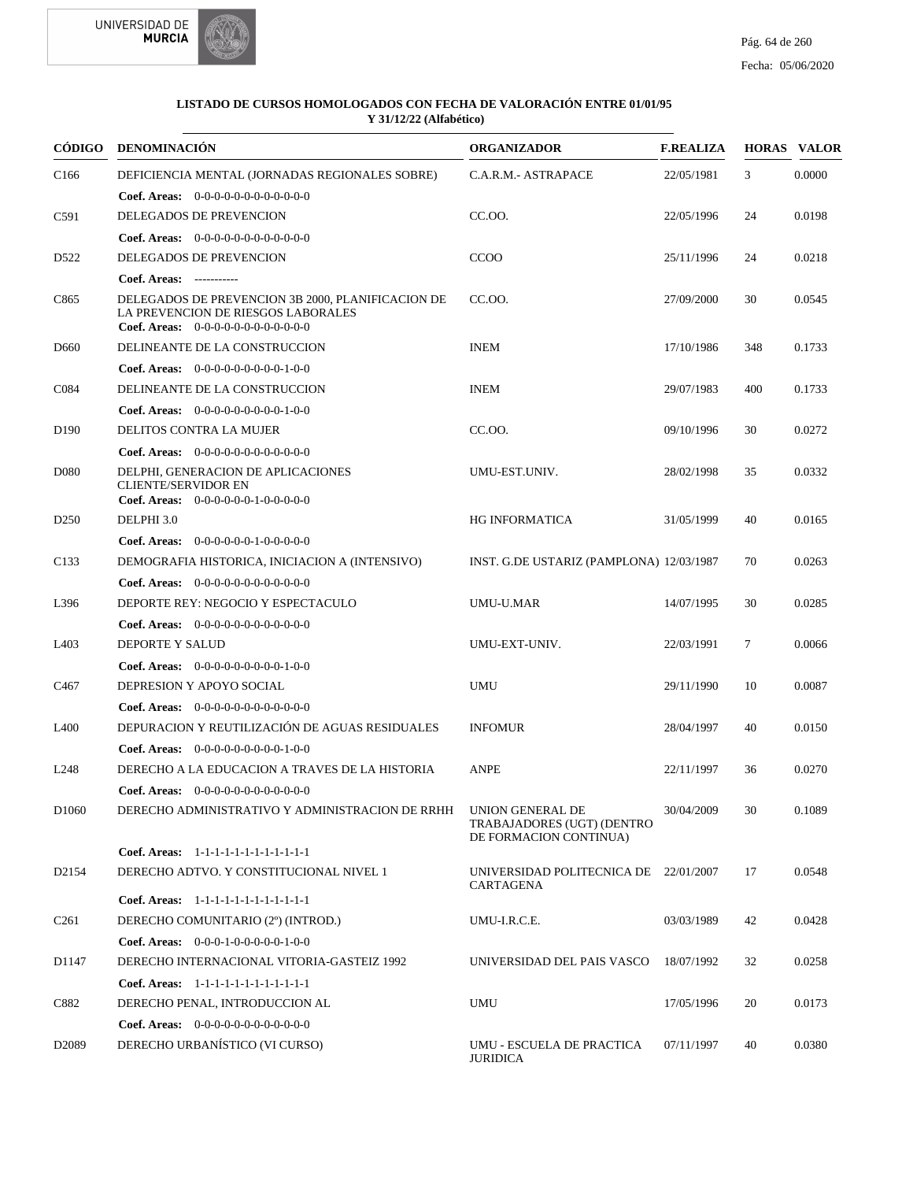

| CÓDIGO            | <b>DENOMINACIÓN</b>                                                                                                                      | <b>ORGANIZADOR</b>                                                       | <b>F.REALIZA</b> |        | <b>HORAS VALOR</b> |
|-------------------|------------------------------------------------------------------------------------------------------------------------------------------|--------------------------------------------------------------------------|------------------|--------|--------------------|
| C <sub>166</sub>  | DEFICIENCIA MENTAL (JORNADAS REGIONALES SOBRE)                                                                                           | C.A.R.M.- ASTRAPACE                                                      | 22/05/1981       | 3      | 0.0000             |
|                   | <b>Coef. Areas:</b> $0-0-0-0-0-0-0-0-0-0-0-0$                                                                                            |                                                                          |                  |        |                    |
| C591              | DELEGADOS DE PREVENCION                                                                                                                  | CC.OO.                                                                   | 22/05/1996       | 24     | 0.0198             |
|                   | Coef. Areas: $0-0-0-0-0-0-0-0-0-0-0$                                                                                                     |                                                                          |                  |        |                    |
| D <sub>522</sub>  | DELEGADOS DE PREVENCION                                                                                                                  | <b>CCOO</b>                                                              | 25/11/1996       | 24     | 0.0218             |
|                   | Coef. Areas: -----------                                                                                                                 |                                                                          |                  |        |                    |
| C865              | DELEGADOS DE PREVENCION 3B 2000, PLANIFICACION DE<br>LA PREVENCION DE RIESGOS LABORALES<br><b>Coef. Areas:</b> $0-0-0-0-0-0-0-0-0-0-0-0$ | CC.00.                                                                   | 27/09/2000       | 30     | 0.0545             |
| D <sub>660</sub>  | DELINEANTE DE LA CONSTRUCCION                                                                                                            | <b>INEM</b>                                                              | 17/10/1986       | 348    | 0.1733             |
|                   | <b>Coef. Areas:</b> $0-0-0-0-0-0-0-0-1-0-0$                                                                                              |                                                                          |                  |        |                    |
| C084              | DELINEANTE DE LA CONSTRUCCION                                                                                                            | <b>INEM</b>                                                              | 29/07/1983       | 400    | 0.1733             |
|                   | <b>Coef. Areas:</b> $0-0-0-0-0-0-0-0-1-0-0$                                                                                              |                                                                          |                  |        |                    |
| D <sub>190</sub>  | DELITOS CONTRA LA MUJER                                                                                                                  | CC.OO.                                                                   | 09/10/1996       | 30     | 0.0272             |
|                   | <b>Coef. Areas:</b> $0-0-0-0-0-0-0-0-0-0-0-0$                                                                                            |                                                                          |                  |        |                    |
| D <sub>0</sub> 80 | DELPHI, GENERACION DE APLICACIONES<br><b>CLIENTE/SERVIDOR EN</b><br>Coef. Areas: $0-0-0-0-0-1-0-0-0-0-0$                                 | UMU-EST.UNIV.                                                            | 28/02/1998       | 35     | 0.0332             |
| D <sub>250</sub>  | DELPHI 3.0                                                                                                                               | <b>HG INFORMATICA</b>                                                    | 31/05/1999       | 40     | 0.0165             |
|                   | Coef. Areas: 0-0-0-0-0-0-1-0-0-0-0-0                                                                                                     |                                                                          |                  |        |                    |
| C <sub>133</sub>  | DEMOGRAFIA HISTORICA, INICIACION A (INTENSIVO)                                                                                           | INST. G.DE USTARIZ (PAMPLONA) 12/03/1987                                 |                  | 70     | 0.0263             |
|                   | <b>Coef. Areas:</b> $0-0-0-0-0-0-0-0-0-0-0$                                                                                              |                                                                          |                  |        |                    |
| L396              | DEPORTE REY: NEGOCIO Y ESPECTACULO                                                                                                       | UMU-U.MAR                                                                | 14/07/1995       | 30     | 0.0285             |
|                   | <b>Coef. Areas:</b> $0-0-0-0-0-0-0-0-0-0-0$                                                                                              |                                                                          |                  |        |                    |
| L <sub>403</sub>  | DEPORTE Y SALUD                                                                                                                          | UMU-EXT-UNIV.                                                            | 22/03/1991       | $\tau$ | 0.0066             |
|                   | <b>Coef. Areas:</b> $0-0-0-0-0-0-0-0-1-0-0$                                                                                              |                                                                          |                  |        |                    |
| C <sub>467</sub>  | DEPRESION Y APOYO SOCIAL                                                                                                                 | <b>UMU</b>                                                               | 29/11/1990       | 10     | 0.0087             |
|                   | Coef. Areas: 0-0-0-0-0-0-0-0-0-0-0-0-0                                                                                                   |                                                                          |                  |        |                    |
| L <sub>400</sub>  | DEPURACION Y REUTILIZACIÓN DE AGUAS RESIDUALES                                                                                           | <b>INFOMUR</b>                                                           | 28/04/1997       | 40     | 0.0150             |
|                   | <b>Coef. Areas:</b> $0-0-0-0-0-0-0-0-1-0-0$                                                                                              |                                                                          |                  |        |                    |
| L <sub>248</sub>  | DERECHO A LA EDUCACION A TRAVES DE LA HISTORIA                                                                                           | <b>ANPE</b>                                                              | 22/11/1997       | 36     | 0.0270             |
|                   | <b>Coef. Areas:</b> $0-0-0-0-0-0-0-0-0-0-0$                                                                                              |                                                                          |                  |        |                    |
| D <sub>1060</sub> | DERECHO ADMINISTRATIVO Y ADMINISTRACION DE RRHH                                                                                          | UNION GENERAL DE<br>TRABAJADORES (UGT) (DENTRO<br>DE FORMACION CONTINUA) | 30/04/2009       | 30     | 0.1089             |
|                   | Coef. Areas: 1-1-1-1-1-1-1-1-1-1-1-1-1                                                                                                   |                                                                          |                  |        |                    |
| D <sub>2154</sub> | DERECHO ADTVO. Y CONSTITUCIONAL NIVEL 1                                                                                                  | UNIVERSIDAD POLITECNICA DE 22/01/2007<br><b>CARTAGENA</b>                |                  | 17     | 0.0548             |
|                   | Coef. Areas: 1-1-1-1-1-1-1-1-1-1-1-1-1                                                                                                   |                                                                          |                  |        |                    |
| C <sub>261</sub>  | DERECHO COMUNITARIO (2°) (INTROD.)                                                                                                       | UMU-I.R.C.E.                                                             | 03/03/1989       | 42     | 0.0428             |
|                   | Coef. Areas: $0-0-0-1-0-0-0-0-1-0-0$                                                                                                     |                                                                          |                  |        |                    |
| D1147             | DERECHO INTERNACIONAL VITORIA-GASTEIZ 1992                                                                                               | UNIVERSIDAD DEL PAIS VASCO                                               | 18/07/1992       | 32     | 0.0258             |
|                   | Coef. Areas: 1-1-1-1-1-1-1-1-1-1-1-1-1                                                                                                   |                                                                          |                  |        |                    |
| C882              | DERECHO PENAL, INTRODUCCION AL                                                                                                           | UMU                                                                      | 17/05/1996       | 20     | 0.0173             |
|                   | Coef. Areas: $0-0-0-0-0-0-0-0-0-0-0$                                                                                                     |                                                                          |                  |        |                    |
| D <sub>2089</sub> | DERECHO URBANÍSTICO (VI CURSO)                                                                                                           | UMU - ESCUELA DE PRACTICA<br><b>JURIDICA</b>                             | 07/11/1997       | 40     | 0.0380             |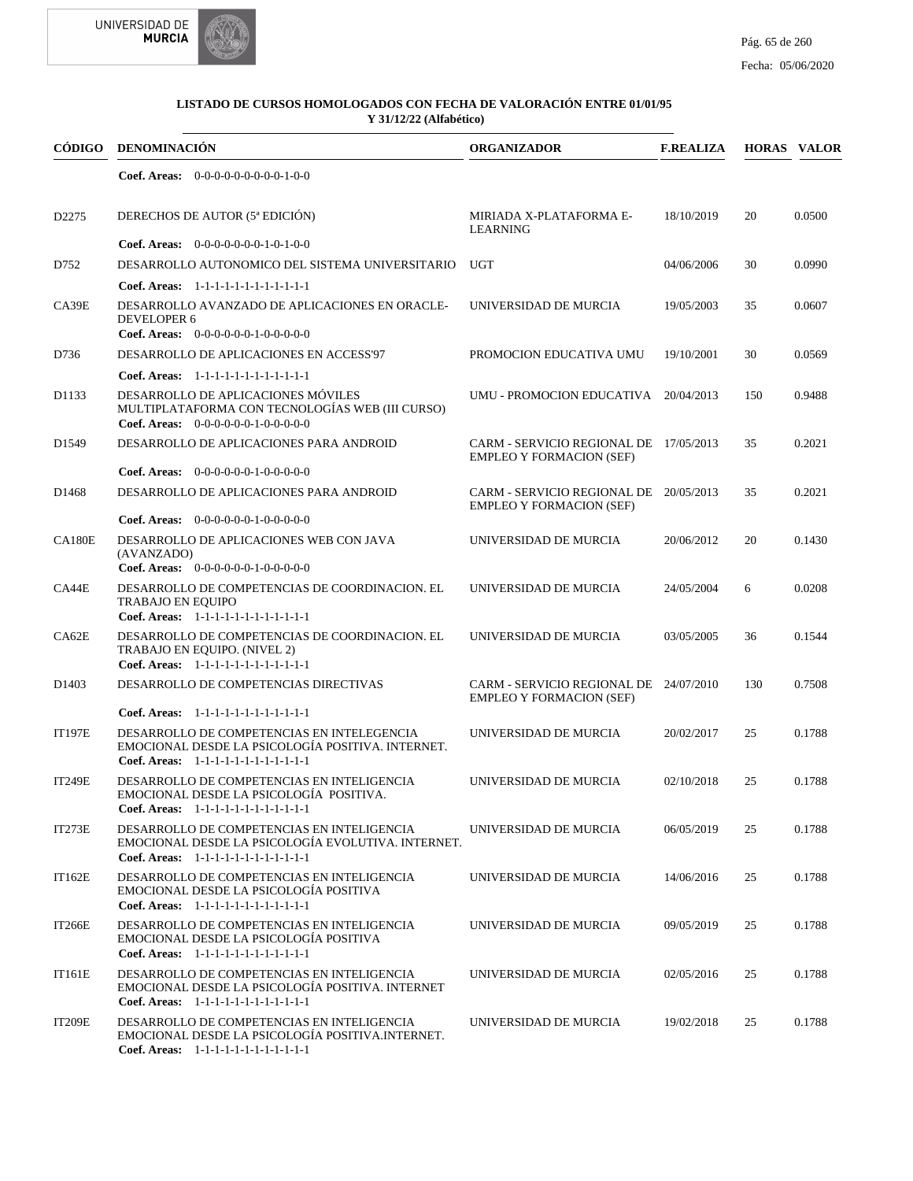

| CÓDIGO             | DENOMINACIÓN                                                                                                                               | <b>ORGANIZADOR</b>                                                        | <b>F.REALIZA</b> |     | <b>HORAS VALOR</b> |
|--------------------|--------------------------------------------------------------------------------------------------------------------------------------------|---------------------------------------------------------------------------|------------------|-----|--------------------|
|                    | <b>Coef. Areas:</b> $0-0-0-0-0-0-0-0-1-0-0$                                                                                                |                                                                           |                  |     |                    |
| D <sub>2275</sub>  | DERECHOS DE AUTOR (5ª EDICIÓN)                                                                                                             | MIRIADA X-PLATAFORMA E-<br><b>LEARNING</b>                                | 18/10/2019       | 20  | 0.0500             |
|                    | Coef. Areas: 0-0-0-0-0-0-0-1-0-1-0-0                                                                                                       |                                                                           |                  |     |                    |
| D752               | DESARROLLO AUTONOMICO DEL SISTEMA UNIVERSITARIO                                                                                            | <b>UGT</b>                                                                | 04/06/2006       | 30  | 0.0990             |
|                    | Coef. Areas: 1-1-1-1-1-1-1-1-1-1-1-1-1                                                                                                     |                                                                           |                  |     |                    |
| CA39E              | DESARROLLO AVANZADO DE APLICACIONES EN ORACLE-<br><b>DEVELOPER 6</b><br>Coef. Areas: 0-0-0-0-0-0-1-0-0-0-0-0                               | UNIVERSIDAD DE MURCIA                                                     | 19/05/2003       | 35  | 0.0607             |
| D736               | DESARROLLO DE APLICACIONES EN ACCESS'97                                                                                                    | PROMOCION EDUCATIVA UMU                                                   | 19/10/2001       | 30  | 0.0569             |
|                    | Coef. Areas: 1-1-1-1-1-1-1-1-1-1-1-1-1                                                                                                     |                                                                           |                  |     |                    |
| D1133              | DESARROLLO DE APLICACIONES MÓVILES<br>MULTIPLATAFORMA CON TECNOLOGÍAS WEB (III CURSO)<br><b>Coef. Areas:</b> $0-0-0-0-0-1-0-0-0-0-0$       | UMU - PROMOCION EDUCATIVA 20/04/2013                                      |                  | 150 | 0.9488             |
| D1549              | DESARROLLO DE APLICACIONES PARA ANDROID                                                                                                    | CARM - SERVICIO REGIONAL DE 17/05/2013<br><b>EMPLEO Y FORMACION (SEF)</b> |                  | 35  | 0.2021             |
|                    | <b>Coef. Areas:</b> $0-0-0-0-0-1-0-0-0-0-0$                                                                                                |                                                                           |                  |     |                    |
| D1468              | DESARROLLO DE APLICACIONES PARA ANDROID<br><b>Coef. Areas:</b> $0-0-0-0-0-1-0-0-0-0-0$                                                     | CARM - SERVICIO REGIONAL DE 20/05/2013<br><b>EMPLEO Y FORMACION (SEF)</b> |                  | 35  | 0.2021             |
| <b>CA180E</b>      | DESARROLLO DE APLICACIONES WEB CON JAVA<br>(AVANZADO)<br>Coef. Areas: $0-0-0-0-0-1-0-0-0-0-0$                                              | UNIVERSIDAD DE MURCIA                                                     | 20/06/2012       | 20  | 0.1430             |
| CA44E              | DESARROLLO DE COMPETENCIAS DE COORDINACION. EL<br><b>TRABAJO EN EQUIPO</b><br>Coef. Areas: 1-1-1-1-1-1-1-1-1-1-1-1-1                       | UNIVERSIDAD DE MURCIA                                                     | 24/05/2004       | 6   | 0.0208             |
| CA62E              | DESARROLLO DE COMPETENCIAS DE COORDINACION. EL<br>TRABAJO EN EQUIPO. (NIVEL 2)<br>Coef. Areas: 1-1-1-1-1-1-1-1-1-1-1-1-1                   | UNIVERSIDAD DE MURCIA                                                     | 03/05/2005       | 36  | 0.1544             |
| D <sub>140</sub> 3 | DESARROLLO DE COMPETENCIAS DIRECTIVAS                                                                                                      | CARM - SERVICIO REGIONAL DE 24/07/2010<br><b>EMPLEO Y FORMACION (SEF)</b> |                  | 130 | 0.7508             |
|                    | Coef. Areas: 1-1-1-1-1-1-1-1-1-1-1-1-1                                                                                                     |                                                                           |                  |     |                    |
| <b>IT197E</b>      | DESARROLLO DE COMPETENCIAS EN INTELEGENCIA<br>EMOCIONAL DESDE LA PSICOLOGÍA POSITIVA. INTERNET.<br>Coef. Areas: 1-1-1-1-1-1-1-1-1-1-1-1-1  | UNIVERSIDAD DE MURCIA                                                     | 20/02/2017       | 25  | 0.1788             |
| <b>IT249E</b>      | DESARROLLO DE COMPETENCIAS EN INTELIGENCIA<br>EMOCIONAL DESDE LA PSICOLOGÍA POSITIVA.<br>Coef. Areas: $1-1-1-1-1-1-1-1-1-1-1$              | UNIVERSIDAD DE MURCIA                                                     | 02/10/2018       | 25  | 0.1788             |
| IT273E             | DESARROLLO DE COMPETENCIAS EN INTELIGENCIA<br>EMOCIONAL DESDE LA PSICOLOGÍA EVOLUTIVA. INTERNET.<br>Coef. Areas: 1-1-1-1-1-1-1-1-1-1-1-1-1 | UNIVERSIDAD DE MURCIA                                                     | 06/05/2019       | 25  | 0.1788             |
| <b>IT162E</b>      | DESARROLLO DE COMPETENCIAS EN INTELIGENCIA<br>EMOCIONAL DESDE LA PSICOLOGÍA POSITIVA<br>Coef. Areas: 1-1-1-1-1-1-1-1-1-1-1-1-1             | UNIVERSIDAD DE MURCIA                                                     | 14/06/2016       | 25  | 0.1788             |
| IT266E             | DESARROLLO DE COMPETENCIAS EN INTELIGENCIA<br>EMOCIONAL DESDE LA PSICOLOGÍA POSITIVA<br>Coef. Areas: 1-1-1-1-1-1-1-1-1-1-1-1-1             | UNIVERSIDAD DE MURCIA                                                     | 09/05/2019       | 25  | 0.1788             |
| <b>IT161E</b>      | DESARROLLO DE COMPETENCIAS EN INTELIGENCIA<br>EMOCIONAL DESDE LA PSICOLOGÍA POSITIVA. INTERNET<br>Coef. Areas: 1-1-1-1-1-1-1-1-1-1-1-1-1   | UNIVERSIDAD DE MURCIA                                                     | 02/05/2016       | 25  | 0.1788             |
| <b>IT209E</b>      | DESARROLLO DE COMPETENCIAS EN INTELIGENCIA<br>EMOCIONAL DESDE LA PSICOLOGÍA POSITIVA.INTERNET.<br>Coef. Areas: 1-1-1-1-1-1-1-1-1-1-1-1-1   | UNIVERSIDAD DE MURCIA                                                     | 19/02/2018       | 25  | 0.1788             |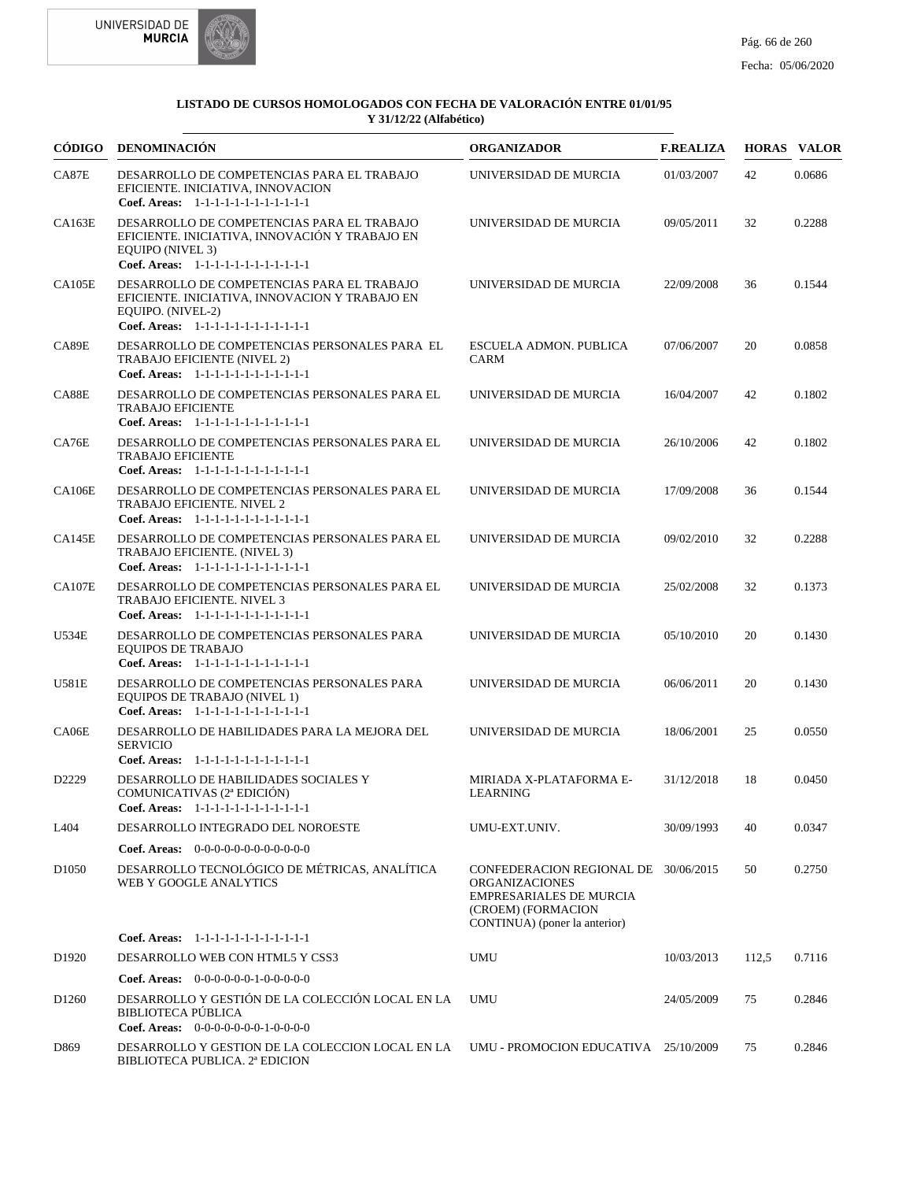



|                   | CÓDIGO DENOMINACIÓN                                                                                                                                         | <b>ORGANIZADOR</b>                                                                                                                                     | <b>F.REALIZA</b> |       | <b>HORAS VALOR</b> |
|-------------------|-------------------------------------------------------------------------------------------------------------------------------------------------------------|--------------------------------------------------------------------------------------------------------------------------------------------------------|------------------|-------|--------------------|
| CA87E             | DESARROLLO DE COMPETENCIAS PARA EL TRABAJO<br>EFICIENTE. INICIATIVA, INNOVACION<br>Coef. Areas: 1-1-1-1-1-1-1-1-1-1-1-1-1                                   | UNIVERSIDAD DE MURCIA                                                                                                                                  | 01/03/2007       | 42    | 0.0686             |
| CA163E            | DESARROLLO DE COMPETENCIAS PARA EL TRABAJO<br>EFICIENTE. INICIATIVA, INNOVACIÓN Y TRABAJO EN<br>EQUIPO (NIVEL 3)<br>Coef. Areas: 1-1-1-1-1-1-1-1-1-1-1-1-1  | UNIVERSIDAD DE MURCIA                                                                                                                                  | 09/05/2011       | 32    | 0.2288             |
| CA105E            | DESARROLLO DE COMPETENCIAS PARA EL TRABAJO<br>EFICIENTE. INICIATIVA, INNOVACION Y TRABAJO EN<br>EQUIPO. (NIVEL-2)<br>Coef. Areas: 1-1-1-1-1-1-1-1-1-1-1-1-1 | UNIVERSIDAD DE MURCIA                                                                                                                                  | 22/09/2008       | 36    | 0.1544             |
| CA89E             | DESARROLLO DE COMPETENCIAS PERSONALES PARA EL<br><b>TRABAJO EFICIENTE (NIVEL 2)</b><br>Coef. Areas: 1-1-1-1-1-1-1-1-1-1-1-1-1                               | ESCUELA ADMON. PUBLICA<br>CARM                                                                                                                         | 07/06/2007       | 20    | 0.0858             |
| CA88E             | DESARROLLO DE COMPETENCIAS PERSONALES PARA EL<br><b>TRABAJO EFICIENTE</b><br>Coef. Areas: 1-1-1-1-1-1-1-1-1-1-1-1-1                                         | UNIVERSIDAD DE MURCIA                                                                                                                                  | 16/04/2007       | 42    | 0.1802             |
| CA76E             | DESARROLLO DE COMPETENCIAS PERSONALES PARA EL<br><b>TRABAJO EFICIENTE</b><br>Coef. Areas: 1-1-1-1-1-1-1-1-1-1-1-1-1                                         | UNIVERSIDAD DE MURCIA                                                                                                                                  | 26/10/2006       | 42    | 0.1802             |
| <b>CA106E</b>     | DESARROLLO DE COMPETENCIAS PERSONALES PARA EL<br>TRABAJO EFICIENTE. NIVEL 2<br>Coef. Areas: 1-1-1-1-1-1-1-1-1-1-1-1-1                                       | UNIVERSIDAD DE MURCIA                                                                                                                                  | 17/09/2008       | 36    | 0.1544             |
| CA145E            | DESARROLLO DE COMPETENCIAS PERSONALES PARA EL<br>TRABAJO EFICIENTE. (NIVEL 3)<br>Coef. Areas: 1-1-1-1-1-1-1-1-1-1-1-1-1                                     | UNIVERSIDAD DE MURCIA                                                                                                                                  | 09/02/2010       | 32    | 0.2288             |
| <b>CA107E</b>     | DESARROLLO DE COMPETENCIAS PERSONALES PARA EL<br>TRABAJO EFICIENTE. NIVEL 3<br>Coef. Areas: 1-1-1-1-1-1-1-1-1-1-1-1-1                                       | UNIVERSIDAD DE MURCIA                                                                                                                                  | 25/02/2008       | 32    | 0.1373             |
| U534E             | DESARROLLO DE COMPETENCIAS PERSONALES PARA<br><b>EQUIPOS DE TRABAJO</b><br>Coef. Areas: 1-1-1-1-1-1-1-1-1-1-1-1-1                                           | UNIVERSIDAD DE MURCIA                                                                                                                                  | 05/10/2010       | 20    | 0.1430             |
| U581E             | DESARROLLO DE COMPETENCIAS PERSONALES PARA<br>EQUIPOS DE TRABAJO (NIVEL 1)<br>Coef. Areas: 1-1-1-1-1-1-1-1-1-1-1-1-1                                        | UNIVERSIDAD DE MURCIA                                                                                                                                  | 06/06/2011       | 20    | 0.1430             |
| CA06E             | DESARROLLO DE HABILIDADES PARA LA MEJORA DEL<br><b>SERVICIO</b><br>Coef. Areas: 1-1-1-1-1-1-1-1-1-1-1-1-1                                                   | UNIVERSIDAD DE MURCIA                                                                                                                                  | 18/06/2001       | 25    | 0.0550             |
| D2229             | DESARROLLO DE HABILIDADES SOCIALES Y<br>COMUNICATIVAS (2ª EDICIÓN)<br>Coef. Areas: 1-1-1-1-1-1-1-1-1-1-1-1-1                                                | MIRIADA X-PLATAFORMA E-<br>LEARNING                                                                                                                    | 31/12/2018       | 18    | 0.0450             |
| L404              | DESARROLLO INTEGRADO DEL NOROESTE                                                                                                                           | UMU-EXT.UNIV.                                                                                                                                          | 30/09/1993       | 40    | 0.0347             |
|                   | <b>Coef. Areas:</b> $0-0-0-0-0-0-0-0-0-0-0-0$                                                                                                               |                                                                                                                                                        |                  |       |                    |
| D <sub>1050</sub> | DESARROLLO TECNOLÓGICO DE MÉTRICAS, ANALÍTICA<br>WEB Y GOOGLE ANALYTICS                                                                                     | CONFEDERACION REGIONAL DE 30/06/2015<br><b>ORGANIZACIONES</b><br><b>EMPRESARIALES DE MURCIA</b><br>(CROEM) (FORMACION<br>CONTINUA) (poner la anterior) |                  | 50    | 0.2750             |
|                   | Coef. Areas: 1-1-1-1-1-1-1-1-1-1-1-1-1                                                                                                                      |                                                                                                                                                        |                  |       |                    |
| D <sub>1920</sub> | DESARROLLO WEB CON HTML5 Y CSS3                                                                                                                             | UMU                                                                                                                                                    | 10/03/2013       | 112,5 | 0.7116             |
|                   | Coef. Areas: $0-0-0-0-0-1-0-0-0-0-0$                                                                                                                        |                                                                                                                                                        |                  |       |                    |
| D <sub>1260</sub> | DESARROLLO Y GESTIÓN DE LA COLECCIÓN LOCAL EN LA<br><b>BIBLIOTECA PÚBLICA</b><br><b>Coef. Areas:</b> $0-0-0-0-0-0-1-0-0-0-0$                                | <b>UMU</b>                                                                                                                                             | 24/05/2009       | 75    | 0.2846             |
| D869              | DESARROLLO Y GESTION DE LA COLECCION LOCAL EN LA<br>BIBLIOTECA PUBLICA. 2ª EDICION                                                                          | UMU - PROMOCION EDUCATIVA 25/10/2009                                                                                                                   |                  | 75    | 0.2846             |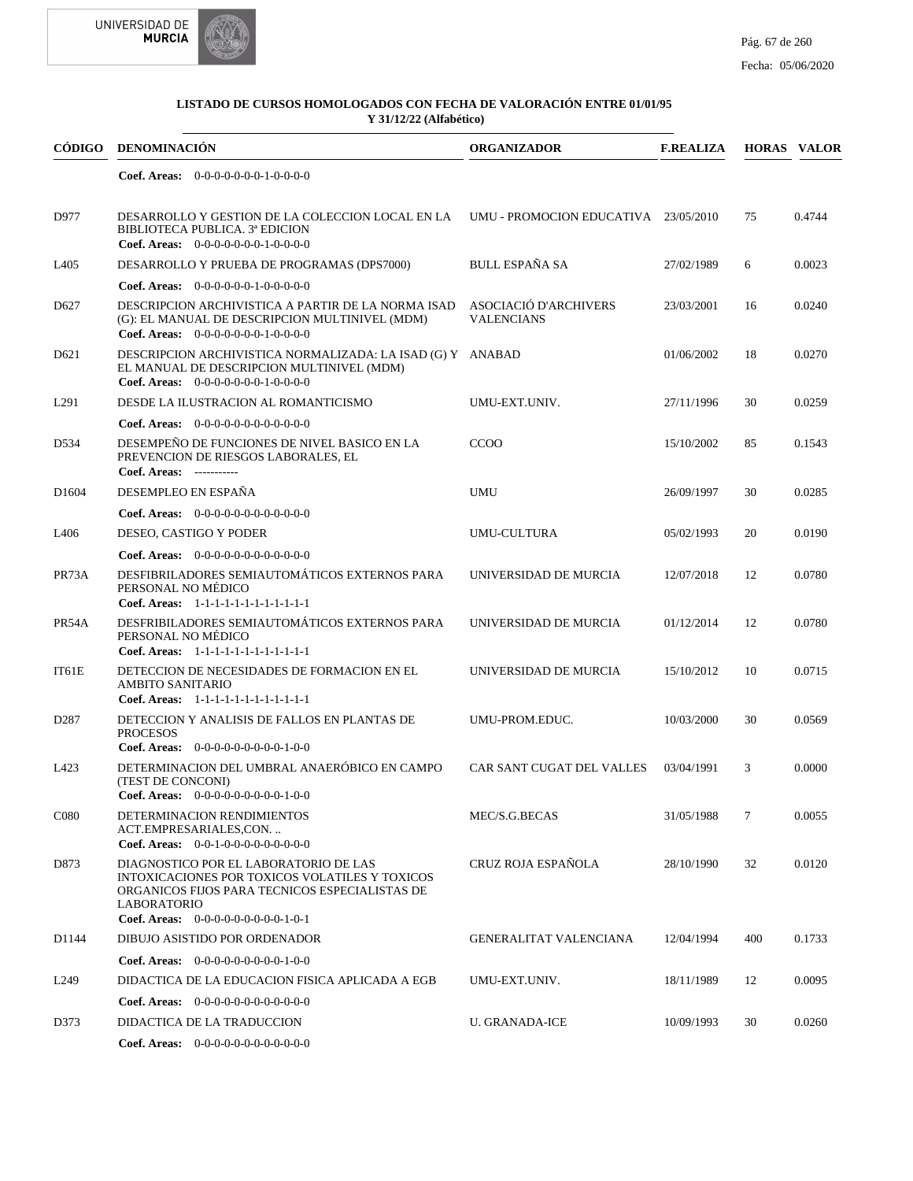



| CÓDIGO           | <b>DENOMINACIÓN</b>                                                                                                                                                                                     | <b>ORGANIZADOR</b>                         | <b>F.REALIZA</b> |        | <b>HORAS VALOR</b> |
|------------------|---------------------------------------------------------------------------------------------------------------------------------------------------------------------------------------------------------|--------------------------------------------|------------------|--------|--------------------|
|                  | Coef. Areas: $0-0-0-0-0-0-1-0-0-0-0$                                                                                                                                                                    |                                            |                  |        |                    |
| D977             | DESARROLLO Y GESTION DE LA COLECCION LOCAL EN LA<br>BIBLIOTECA PUBLICA. 3ª EDICION<br>Coef. Areas: $0-0-0-0-0-0-1-0-0-0-0$                                                                              | UMU - PROMOCION EDUCATIVA 23/05/2010       |                  | 75     | 0.4744             |
| L405             | DESARROLLO Y PRUEBA DE PROGRAMAS (DPS7000)                                                                                                                                                              | <b>BULL ESPAÑA SA</b>                      | 27/02/1989       | 6      | 0.0023             |
|                  | Coef. Areas: $0-0-0-0-0-1-0-0-0-0-0$                                                                                                                                                                    |                                            |                  |        |                    |
| D <sub>627</sub> | DESCRIPCION ARCHIVISTICA A PARTIR DE LA NORMA ISAD<br>(G): EL MANUAL DE DESCRIPCION MULTINIVEL (MDM)<br>Coef. Areas: $0-0-0-0-0-0-1-0-0-0-0$                                                            | ASOCIACIÓ D'ARCHIVERS<br><b>VALENCIANS</b> | 23/03/2001       | 16     | 0.0240             |
| D <sub>621</sub> | DESCRIPCION ARCHIVISTICA NORMALIZADA: LA ISAD (G) Y ANABAD<br>EL MANUAL DE DESCRIPCION MULTINIVEL (MDM)<br>Coef. Areas: $0-0-0-0-0-0-1-0-0-0-0$                                                         |                                            | 01/06/2002       | 18     | 0.0270             |
| L291             | DESDE LA ILUSTRACION AL ROMANTICISMO                                                                                                                                                                    | UMU-EXT.UNIV.                              | 27/11/1996       | 30     | 0.0259             |
|                  | <b>Coef. Areas:</b> $0-0-0-0-0-0-0-0-0-0-0-0$                                                                                                                                                           |                                            |                  |        |                    |
| D534             | DESEMPEÑO DE FUNCIONES DE NIVEL BASICO EN LA<br>PREVENCION DE RIESGOS LABORALES, EL<br>Coef. Areas: -----------                                                                                         | CCOO                                       | 15/10/2002       | 85     | 0.1543             |
| D1604            | DESEMPLEO EN ESPAÑA                                                                                                                                                                                     | <b>UMU</b>                                 | 26/09/1997       | 30     | 0.0285             |
|                  | Coef. Areas: 0-0-0-0-0-0-0-0-0-0-0-0-0                                                                                                                                                                  |                                            |                  |        |                    |
| L <sub>406</sub> | DESEO, CASTIGO Y PODER                                                                                                                                                                                  | <b>UMU-CULTURA</b>                         | 05/02/1993       | 20     | 0.0190             |
|                  | Coef. Areas: $0-0-0-0-0-0-0-0-0-0-0-0$                                                                                                                                                                  |                                            |                  |        |                    |
| PR73A            | DESFIBRILADORES SEMIAUTOMÁTICOS EXTERNOS PARA<br>PERSONAL NO MÉDICO<br>Coef. Areas: 1-1-1-1-1-1-1-1-1-1-1-1-1                                                                                           | UNIVERSIDAD DE MURCIA                      | 12/07/2018       | 12     | 0.0780             |
| PR54A            | DESFRIBILADORES SEMIAUTOMÁTICOS EXTERNOS PARA<br>PERSONAL NO MÉDICO<br>Coef. Areas: 1-1-1-1-1-1-1-1-1-1-1-1-1                                                                                           | UNIVERSIDAD DE MURCIA                      | 01/12/2014       | 12     | 0.0780             |
| IT61E            | DETECCION DE NECESIDADES DE FORMACION EN EL<br><b>AMBITO SANITARIO</b><br>Coef. Areas: 1-1-1-1-1-1-1-1-1-1-1-1-1                                                                                        | UNIVERSIDAD DE MURCIA                      | 15/10/2012       | 10     | 0.0715             |
| D <sub>287</sub> | DETECCION Y ANALISIS DE FALLOS EN PLANTAS DE<br><b>PROCESOS</b><br>Coef. Areas: $0-0-0-0-0-0-0-0-1-0-0$                                                                                                 | UMU-PROM.EDUC.                             | 10/03/2000       | 30     | 0.0569             |
| L423             | DETERMINACION DEL UMBRAL ANAERÓBICO EN CAMPO<br>(TEST DE CONCONI)<br>Coef. Areas: $0-0-0-0-0-0-0-0-1-0-0$                                                                                               | CAR SANT CUGAT DEL VALLES                  | 03/04/1991       | 3      | 0.0000             |
| C <sub>080</sub> | DETERMINACION RENDIMIENTOS<br>ACT.EMPRESARIALES,CON<br>Coef. Areas: $0-0-1-0-0-0-0-0-0-0-0$                                                                                                             | $MEC/S.G.BECAS$                            | 31/05/1988       | $\tau$ | 0.0055             |
| D873             | DIAGNOSTICO POR EL LABORATORIO DE LAS<br>INTOXICACIONES POR TOXICOS VOLATILES Y TOXICOS<br>ORGANICOS FIJOS PARA TECNICOS ESPECIALISTAS DE<br><b>LABORATORIO</b><br>Coef. Areas: $0-0-0-0-0-0-0-0-1-0-1$ | CRUZ ROJA ESPAÑOLA                         | 28/10/1990       | 32     | 0.0120             |
| D1144            | DIBUJO ASISTIDO POR ORDENADOR                                                                                                                                                                           | <b>GENERALITAT VALENCIANA</b>              | 12/04/1994       | 400    | 0.1733             |
|                  | <b>Coef. Areas:</b> $0-0-0-0-0-0-0-0-1-0-0$                                                                                                                                                             |                                            |                  |        |                    |
| L <sub>249</sub> | DIDACTICA DE LA EDUCACION FISICA APLICADA A EGB                                                                                                                                                         | UMU-EXT.UNIV.                              | 18/11/1989       | 12     | 0.0095             |
|                  | Coef. Areas: $0-0-0-0-0-0-0-0-0-0-0$                                                                                                                                                                    |                                            |                  |        |                    |
| D373             | DIDACTICA DE LA TRADUCCION                                                                                                                                                                              | <b>U. GRANADA-ICE</b>                      | 10/09/1993       | 30     | 0.0260             |
|                  | Coef. Areas: $0-0-0-0-0-0-0-0-0-0-0$                                                                                                                                                                    |                                            |                  |        |                    |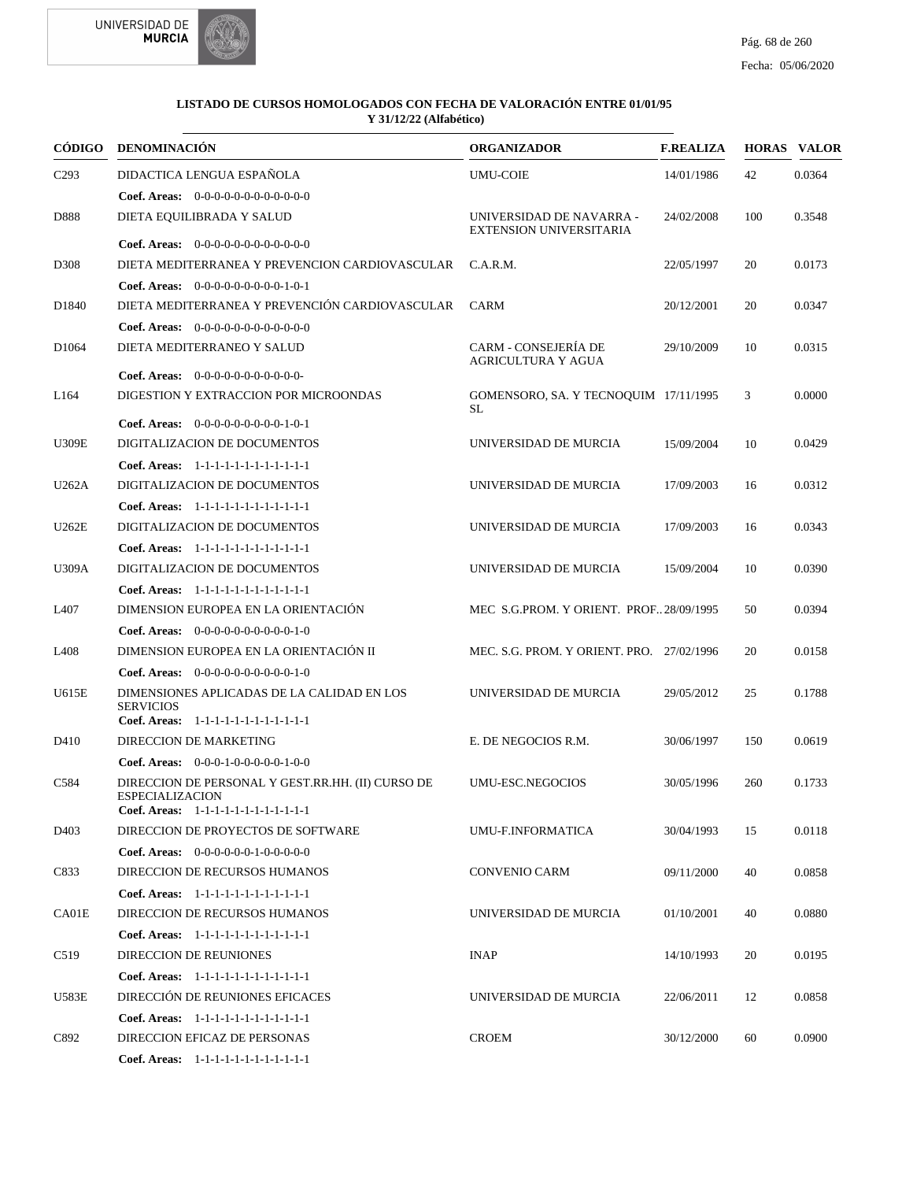



|                   | CÓDIGO DENOMINACIÓN                                                                                                 | <b>ORGANIZADOR</b>                                         | <b>F.REALIZA</b> |     | <b>HORAS VALOR</b> |
|-------------------|---------------------------------------------------------------------------------------------------------------------|------------------------------------------------------------|------------------|-----|--------------------|
| C <sub>293</sub>  | DIDACTICA LENGUA ESPAÑOLA                                                                                           | <b>UMU-COIE</b>                                            | 14/01/1986       | 42  | 0.0364             |
|                   | <b>Coef. Areas:</b> $0-0-0-0-0-0-0-0-0-0-0-0$                                                                       |                                                            |                  |     |                    |
| D888              | DIETA EQUILIBRADA Y SALUD                                                                                           | UNIVERSIDAD DE NAVARRA -<br><b>EXTENSION UNIVERSITARIA</b> | 24/02/2008       | 100 | 0.3548             |
|                   | Coef. Areas: 0-0-0-0-0-0-0-0-0-0-0-0-0                                                                              |                                                            |                  |     |                    |
| D308              | DIETA MEDITERRANEA Y PREVENCION CARDIOVASCULAR                                                                      | C.A.R.M.                                                   | 22/05/1997       | 20  | 0.0173             |
|                   | Coef. Areas: $0-0-0-0-0-0-0-0-1-0-1$                                                                                |                                                            |                  |     |                    |
| D <sub>1840</sub> | DIETA MEDITERRANEA Y PREVENCIÓN CARDIOVASCULAR                                                                      | <b>CARM</b>                                                | 20/12/2001       | 20  | 0.0347             |
|                   | <b>Coef. Areas:</b> $0-0-0-0-0-0-0-0-0-0-0-0$                                                                       |                                                            |                  |     |                    |
| D <sub>1064</sub> | DIETA MEDITERRANEO Y SALUD                                                                                          | <b>CARM - CONSEJERÍA DE</b><br>AGRICULTURA Y AGUA          | 29/10/2009       | 10  | 0.0315             |
|                   |                                                                                                                     |                                                            |                  |     |                    |
| L <sub>164</sub>  | DIGESTION Y EXTRACCION POR MICROONDAS                                                                               | GOMENSORO, SA. Y TECNOQUIM 17/11/1995<br><b>SL</b>         |                  | 3   | 0.0000             |
|                   | <b>Coef. Areas:</b> $0-0-0-0-0-0-0-0-1-0-1$                                                                         |                                                            |                  |     |                    |
| <b>U309E</b>      | DIGITALIZACION DE DOCUMENTOS                                                                                        | UNIVERSIDAD DE MURCIA                                      | 15/09/2004       | 10  | 0.0429             |
|                   | Coef. Areas: 1-1-1-1-1-1-1-1-1-1-1-1-1                                                                              |                                                            |                  |     |                    |
| U262A             | DIGITALIZACION DE DOCUMENTOS                                                                                        | UNIVERSIDAD DE MURCIA                                      | 17/09/2003       | 16  | 0.0312             |
|                   | Coef. Areas: 1-1-1-1-1-1-1-1-1-1-1-1-1                                                                              |                                                            |                  |     |                    |
| U262E             | DIGITALIZACION DE DOCUMENTOS                                                                                        | UNIVERSIDAD DE MURCIA                                      | 17/09/2003       | 16  | 0.0343             |
|                   | Coef. Areas: 1-1-1-1-1-1-1-1-1-1-1-1-1                                                                              |                                                            |                  |     |                    |
| <b>U309A</b>      | DIGITALIZACION DE DOCUMENTOS                                                                                        | UNIVERSIDAD DE MURCIA                                      | 15/09/2004       | 10  | 0.0390             |
|                   | Coef. Areas: 1-1-1-1-1-1-1-1-1-1-1-1-1                                                                              |                                                            |                  |     |                    |
| L407              | DIMENSION EUROPEA EN LA ORIENTACIÓN                                                                                 | MEC S.G.PROM. Y ORIENT. PROF. 28/09/1995                   |                  | 50  | 0.0394             |
|                   | <b>Coef. Areas:</b> $0-0-0-0-0-0-0-0-0-1-0$                                                                         |                                                            |                  |     |                    |
| L408              | DIMENSION EUROPEA EN LA ORIENTACIÓN II                                                                              | MEC. S.G. PROM. Y ORIENT. PRO. 27/02/1996                  |                  | 20  | 0.0158             |
|                   | <b>Coef. Areas:</b> $0-0-0-0-0-0-0-0-0-1-0$                                                                         |                                                            |                  |     |                    |
| U615E             | DIMENSIONES APLICADAS DE LA CALIDAD EN LOS<br><b>SERVICIOS</b>                                                      | UNIVERSIDAD DE MURCIA                                      | 29/05/2012       | 25  | 0.1788             |
|                   | Coef. Areas: 1-1-1-1-1-1-1-1-1-1-1-1-1                                                                              |                                                            |                  |     |                    |
| D410              | DIRECCION DE MARKETING                                                                                              | E. DE NEGOCIOS R.M.                                        | 30/06/1997       | 150 | 0.0619             |
|                   | <b>Coef. Areas:</b> $0-0-0-1-0-0-0-0-1-0-0$                                                                         |                                                            |                  |     |                    |
| C584              | DIRECCION DE PERSONAL Y GEST.RR.HH. (II) CURSO DE<br><b>ESPECIALIZACION</b><br>Coef. Areas: $1-1-1-1-1-1-1-1-1-1-1$ | UMU-ESC.NEGOCIOS                                           | 30/05/1996       | 260 | 0.1733             |
| D <sub>40</sub> 3 | DIRECCION DE PROYECTOS DE SOFTWARE                                                                                  | UMU-F.INFORMATICA                                          | 30/04/1993       | 15  | 0.0118             |
|                   | <b>Coef. Areas:</b> $0-0-0-0-0-1-0-0-0-0-0$                                                                         |                                                            |                  |     |                    |
| C833              | DIRECCION DE RECURSOS HUMANOS                                                                                       | <b>CONVENIO CARM</b>                                       | 09/11/2000       | 40  | 0.0858             |
|                   | Coef. Areas: 1-1-1-1-1-1-1-1-1-1-1-1-1                                                                              |                                                            |                  |     |                    |
| CA01E             | DIRECCION DE RECURSOS HUMANOS                                                                                       | UNIVERSIDAD DE MURCIA                                      | 01/10/2001       | 40  | 0.0880             |
|                   | Coef. Areas: $1-1-1-1-1-1-1-1-1-1-1$                                                                                |                                                            |                  |     |                    |
| C519              | <b>DIRECCION DE REUNIONES</b>                                                                                       | <b>INAP</b>                                                | 14/10/1993       | 20  | 0.0195             |
|                   | Coef. Areas: 1-1-1-1-1-1-1-1-1-1-1-1-1                                                                              |                                                            |                  |     |                    |
| U583E             | DIRECCIÓN DE REUNIONES EFICACES                                                                                     | UNIVERSIDAD DE MURCIA                                      | 22/06/2011       | 12  | 0.0858             |
|                   | Coef. Areas: 1-1-1-1-1-1-1-1-1-1-1-1-1                                                                              |                                                            |                  |     |                    |
| C892              | DIRECCION EFICAZ DE PERSONAS                                                                                        | <b>CROEM</b>                                               | 30/12/2000       | 60  | 0.0900             |
|                   | Coef. Areas: 1-1-1-1-1-1-1-1-1-1-1-1-1                                                                              |                                                            |                  |     |                    |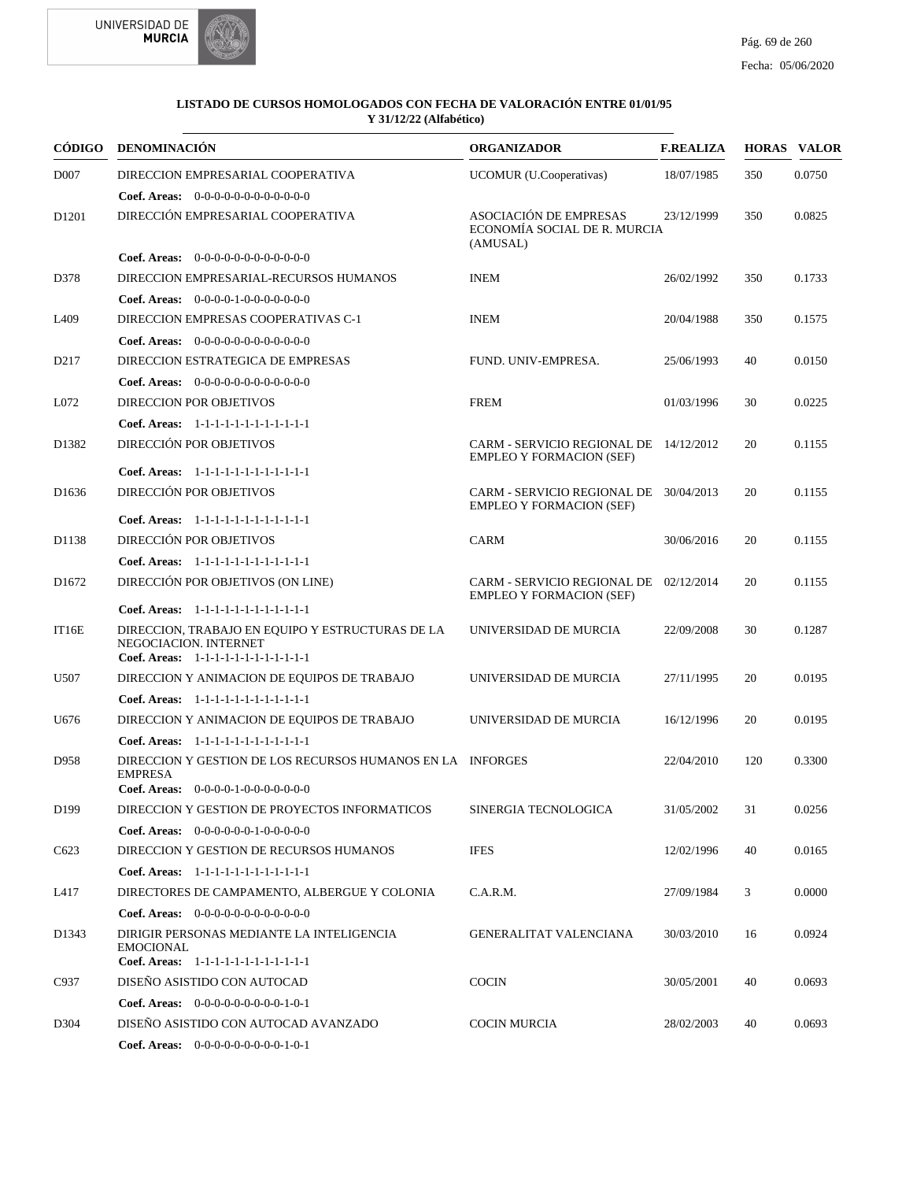



| CÓDIGO            | <b>DENOMINACIÓN</b>                                                                                                 | <b>ORGANIZADOR</b>                                                        | <b>F.REALIZA</b> |     | <b>HORAS VALOR</b> |
|-------------------|---------------------------------------------------------------------------------------------------------------------|---------------------------------------------------------------------------|------------------|-----|--------------------|
| D <sub>007</sub>  | DIRECCION EMPRESARIAL COOPERATIVA                                                                                   | UCOMUR (U.Cooperativas)                                                   | 18/07/1985       | 350 | 0.0750             |
|                   | Coef. Areas: 0-0-0-0-0-0-0-0-0-0-0-0-0                                                                              |                                                                           |                  |     |                    |
| D <sub>1201</sub> | DIRECCIÓN EMPRESARIAL COOPERATIVA                                                                                   | ASOCIACIÓN DE EMPRESAS<br>ECONOMÍA SOCIAL DE R. MURCIA<br>(AMUSAL)        | 23/12/1999       | 350 | 0.0825             |
|                   | Coef. Areas: 0-0-0-0-0-0-0-0-0-0-0-0-0                                                                              |                                                                           |                  |     |                    |
| D378              | DIRECCION EMPRESARIAL-RECURSOS HUMANOS                                                                              | <b>INEM</b>                                                               | 26/02/1992       | 350 | 0.1733             |
|                   | Coef. Areas: $0-0-0-0-1-0-0-0-0-0-0$                                                                                |                                                                           |                  |     |                    |
| L <sub>409</sub>  | DIRECCION EMPRESAS COOPERATIVAS C-1                                                                                 | <b>INEM</b>                                                               | 20/04/1988       | 350 | 0.1575             |
|                   | <b>Coef. Areas:</b> $0-0-0-0-0-0-0-0-0-0-0-0$                                                                       |                                                                           |                  |     |                    |
| D <sub>217</sub>  | DIRECCION ESTRATEGICA DE EMPRESAS                                                                                   | FUND. UNIV-EMPRESA.                                                       | 25/06/1993       | 40  | 0.0150             |
|                   | <b>Coef. Areas:</b> $0-0-0-0-0-0-0-0-0-0-0-0$                                                                       |                                                                           |                  |     |                    |
| L072              | <b>DIRECCION POR OBJETIVOS</b>                                                                                      | <b>FREM</b>                                                               | 01/03/1996       | 30  | 0.0225             |
|                   | Coef. Areas: 1-1-1-1-1-1-1-1-1-1-1-1-1                                                                              |                                                                           |                  |     |                    |
| D1382             | DIRECCIÓN POR OBJETIVOS                                                                                             | CARM - SERVICIO REGIONAL DE 14/12/2012<br><b>EMPLEO Y FORMACION (SEF)</b> |                  | 20  | 0.1155             |
|                   | Coef. Areas: 1-1-1-1-1-1-1-1-1-1-1-1-1                                                                              |                                                                           |                  |     |                    |
| D <sub>1636</sub> | DIRECCIÓN POR OBJETIVOS<br>Coef. Areas: 1-1-1-1-1-1-1-1-1-1-1-1-1                                                   | CARM - SERVICIO REGIONAL DE 30/04/2013<br><b>EMPLEO Y FORMACION (SEF)</b> |                  | 20  | 0.1155             |
| D1138             | DIRECCIÓN POR OBJETIVOS                                                                                             | <b>CARM</b>                                                               | 30/06/2016       | 20  | 0.1155             |
|                   | Coef. Areas: 1-1-1-1-1-1-1-1-1-1-1-1-1                                                                              |                                                                           |                  |     |                    |
|                   |                                                                                                                     | CARM - SERVICIO REGIONAL DE 02/12/2014                                    |                  |     |                    |
| D <sub>1672</sub> | DIRECCIÓN POR OBJETIVOS (ON LINE)                                                                                   | <b>EMPLEO Y FORMACION (SEF)</b>                                           |                  | 20  | 0.1155             |
|                   | Coef. Areas: 1-1-1-1-1-1-1-1-1-1-1-1-1                                                                              |                                                                           |                  |     |                    |
| IT16E             | DIRECCION, TRABAJO EN EQUIPO Y ESTRUCTURAS DE LA<br>NEGOCIACION. INTERNET<br>Coef. Areas: 1-1-1-1-1-1-1-1-1-1-1-1-1 | UNIVERSIDAD DE MURCIA                                                     | 22/09/2008       | 30  | 0.1287             |
| U507              | DIRECCION Y ANIMACION DE EQUIPOS DE TRABAJO                                                                         | UNIVERSIDAD DE MURCIA                                                     | 27/11/1995       | 20  | 0.0195             |
|                   | Coef. Areas: 1-1-1-1-1-1-1-1-1-1-1-1-1                                                                              |                                                                           |                  |     |                    |
| U676              | DIRECCION Y ANIMACION DE EQUIPOS DE TRABAJO                                                                         | UNIVERSIDAD DE MURCIA                                                     | 16/12/1996       | 20  | 0.0195             |
|                   | Coef. Areas: 1-1-1-1-1-1-1-1-1-1-1-1-1                                                                              |                                                                           |                  |     |                    |
| D958              | DIRECCION Y GESTION DE LOS RECURSOS HUMANOS EN LA INFORGES<br><b>EMPRESA</b>                                        |                                                                           | 22/04/2010       | 120 | 0.3300             |
|                   | Coef. Areas: $0-0-0-0-1-0-0-0-0-0-0$                                                                                |                                                                           |                  |     |                    |
| D199              | DIRECCION Y GESTION DE PROYECTOS INFORMATICOS                                                                       | SINERGIA TECNOLOGICA                                                      | 31/05/2002       | 31  | 0.0256             |
|                   | Coef. Areas: $0-0-0-0-0-1-0-0-0-0-0$                                                                                |                                                                           |                  |     |                    |
| C623              | DIRECCION Y GESTION DE RECURSOS HUMANOS                                                                             | <b>IFES</b>                                                               | 12/02/1996       | 40  | 0.0165             |
|                   | Coef. Areas: $1-1-1-1-1-1-1-1-1-1-1$                                                                                |                                                                           |                  |     |                    |
| L417              | DIRECTORES DE CAMPAMENTO, ALBERGUE Y COLONIA                                                                        | C.A.R.M.                                                                  | 27/09/1984       | 3   | 0.0000             |
|                   | <b>Coef. Areas:</b> $0-0-0-0-0-0-0-0-0-0-0-0$                                                                       |                                                                           |                  |     |                    |
| D1343             | DIRIGIR PERSONAS MEDIANTE LA INTELIGENCIA<br>EMOCIONAL                                                              | <b>GENERALITAT VALENCIANA</b>                                             | 30/03/2010       | 16  | 0.0924             |
|                   | Coef. Areas: 1-1-1-1-1-1-1-1-1-1-1-1-1                                                                              |                                                                           |                  |     |                    |
| C937              | DISEÑO ASISTIDO CON AUTOCAD                                                                                         | <b>COCIN</b>                                                              | 30/05/2001       | 40  | 0.0693             |
|                   | Coef. Areas: $0-0-0-0-0-0-0-0-1-0-1$                                                                                |                                                                           |                  |     |                    |
| D304              | DISENO ASISTIDO CON AUTOCAD AVANZADO                                                                                | <b>COCIN MURCIA</b>                                                       | 28/02/2003       | 40  | 0.0693             |
|                   | Coef. Areas: $0-0-0-0-0-0-0-0-1-0-1$                                                                                |                                                                           |                  |     |                    |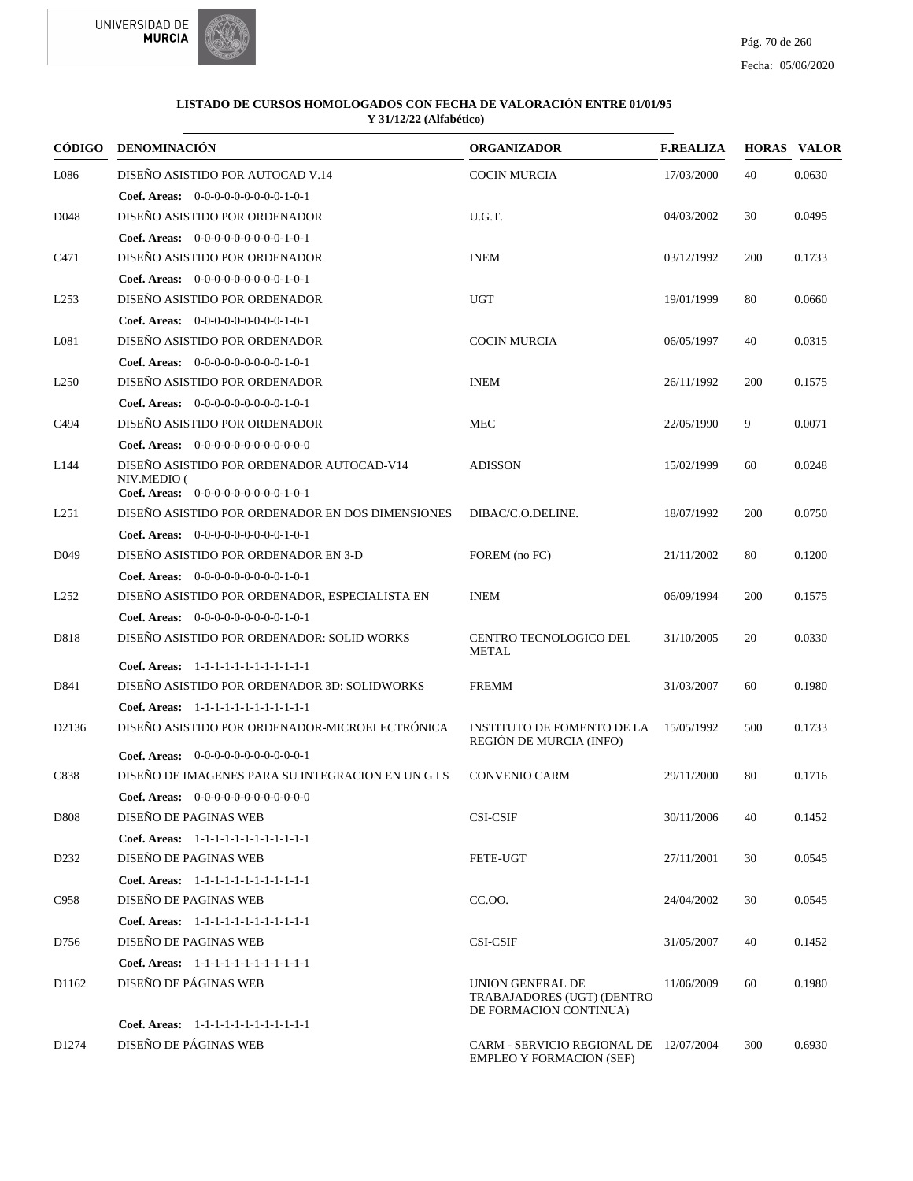

| CÓDIGO            | <b>DENOMINACIÓN</b>                                      | <b>ORGANIZADOR</b>                                                        | <b>F.REALIZA</b> |     | <b>HORAS VALOR</b> |
|-------------------|----------------------------------------------------------|---------------------------------------------------------------------------|------------------|-----|--------------------|
| L086              | DISEÑO ASISTIDO POR AUTOCAD V.14                         | <b>COCIN MURCIA</b>                                                       | 17/03/2000       | 40  | 0.0630             |
|                   | Coef. Areas: $0-0-0-0-0-0-0-0-1-0-1$                     |                                                                           |                  |     |                    |
| D <sub>048</sub>  | DISEÑO ASISTIDO POR ORDENADOR                            | U.G.T.                                                                    | 04/03/2002       | 30  | 0.0495             |
|                   | Coef. Areas: $0-0-0-0-0-0-0-0-1-0-1$                     |                                                                           |                  |     |                    |
| C471              | DISEÑO ASISTIDO POR ORDENADOR                            | <b>INEM</b>                                                               | 03/12/1992       | 200 | 0.1733             |
|                   | Coef. Areas: 0-0-0-0-0-0-0-0-0-1-0-1                     |                                                                           |                  |     |                    |
| L <sub>253</sub>  | DISEÑO ASISTIDO POR ORDENADOR                            | <b>UGT</b>                                                                | 19/01/1999       | 80  | 0.0660             |
|                   | Coef. Areas: $0-0-0-0-0-0-0-0-1-0-1$                     |                                                                           |                  |     |                    |
| L081              | DISEÑO ASISTIDO POR ORDENADOR                            | <b>COCIN MURCIA</b>                                                       | 06/05/1997       | 40  | 0.0315             |
|                   | Coef. Areas: $0-0-0-0-0-0-0-0-1-0-1$                     |                                                                           |                  |     |                    |
| L <sub>250</sub>  | DISEÑO ASISTIDO POR ORDENADOR                            | <b>INEM</b>                                                               | 26/11/1992       | 200 | 0.1575             |
|                   | Coef. Areas: $0-0-0-0-0-0-0-0-1-0-1$                     |                                                                           |                  |     |                    |
| C494              | DISEÑO ASISTIDO POR ORDENADOR                            | <b>MEC</b>                                                                | 22/05/1990       | 9   | 0.0071             |
|                   | Coef. Areas: $0-0-0-0-0-0-0-0-0-0-0$                     |                                                                           |                  |     |                    |
| L144              | DISEÑO ASISTIDO POR ORDENADOR AUTOCAD-V14<br>NIV.MEDIO ( | <b>ADISSON</b>                                                            | 15/02/1999       | 60  | 0.0248             |
|                   | Coef. Areas: $0-0-0-0-0-0-0-0-1-0-1$                     |                                                                           |                  |     |                    |
| L <sub>251</sub>  | DISEÑO ASISTIDO POR ORDENADOR EN DOS DIMENSIONES         | DIBAC/C.O.DELINE.                                                         | 18/07/1992       | 200 | 0.0750             |
|                   | <b>Coef. Areas:</b> $0-0-0-0-0-0-0-0-1-0-1$              |                                                                           |                  |     |                    |
| D <sub>049</sub>  | DISEÑO ASISTIDO POR ORDENADOR EN 3-D                     | FOREM (no FC)                                                             | 21/11/2002       | 80  | 0.1200             |
|                   | Coef. Areas: $0-0-0-0-0-0-0-0-1-0-1$                     |                                                                           |                  |     |                    |
| L <sub>252</sub>  | DISEÑO ASISTIDO POR ORDENADOR, ESPECIALISTA EN           | <b>INEM</b>                                                               | 06/09/1994       | 200 | 0.1575             |
|                   | <b>Coef. Areas:</b> $0-0-0-0-0-0-0-0-1-0-1$              |                                                                           |                  |     |                    |
| D818              | DISEÑO ASISTIDO POR ORDENADOR: SOLID WORKS               | CENTRO TECNOLOGICO DEL<br><b>METAL</b>                                    | 31/10/2005       | 20  | 0.0330             |
|                   | Coef. Areas: 1-1-1-1-1-1-1-1-1-1-1-1-1                   |                                                                           |                  |     |                    |
| D841              | DISEÑO ASISTIDO POR ORDENADOR 3D: SOLIDWORKS             | <b>FREMM</b>                                                              | 31/03/2007       | 60  | 0.1980             |
|                   | Coef. Areas: 1-1-1-1-1-1-1-1-1-1-1-1-1                   |                                                                           |                  |     |                    |
| D <sub>2136</sub> | DISEÑO ASISTIDO POR ORDENADOR-MICROELECTRÓNICA           | <b>INSTITUTO DE FOMENTO DE LA</b><br>REGIÓN DE MURCIA (INFO)              | 15/05/1992       | 500 | 0.1733             |
|                   | Coef. Areas: $0-0-0-0-0-0-0-0-0-0-0-1$                   |                                                                           |                  |     |                    |
| C838              | DISEÑO DE IMAGENES PARA SU INTEGRACION EN UN G I S       | <b>CONVENIO CARM</b>                                                      | 29/11/2000       | 80  | 0.1716             |
|                   | <b>Coef. Areas:</b> $0-0-0-0-0-0-0-0-0-0-0-0$            |                                                                           |                  |     |                    |
| D808              | DISEÑO DE PAGINAS WEB                                    | <b>CSI-CSIF</b>                                                           | 30/11/2006       | 40  | 0.1452             |
|                   | Coef. Areas: 1-1-1-1-1-1-1-1-1-1-1-1-1                   |                                                                           |                  |     |                    |
| D <sub>2</sub> 32 | DISEÑO DE PAGINAS WEB                                    | FETE-UGT                                                                  | 27/11/2001       | 30  | 0.0545             |
|                   | Coef. Areas: 1-1-1-1-1-1-1-1-1-1-1-1-1                   |                                                                           |                  |     |                    |
| C958              | DISEÑO DE PAGINAS WEB                                    | CC.00.                                                                    | 24/04/2002       | 30  | 0.0545             |
|                   | Coef. Areas: 1-1-1-1-1-1-1-1-1-1-1-1-1                   |                                                                           |                  |     |                    |
| D756              | DISEÑO DE PAGINAS WEB                                    | <b>CSI-CSIF</b>                                                           | 31/05/2007       | 40  | 0.1452             |
|                   | Coef. Areas: 1-1-1-1-1-1-1-1-1-1-1-1-1                   |                                                                           |                  |     |                    |
| D1162             | DISEÑO DE PÁGINAS WEB                                    | UNION GENERAL DE<br>TRABAJADORES (UGT) (DENTRO<br>DE FORMACION CONTINUA)  | 11/06/2009       | 60  | 0.1980             |
|                   | Coef. Areas: 1-1-1-1-1-1-1-1-1-1-1-1-1                   |                                                                           |                  |     |                    |
| D <sub>1274</sub> | DISEÑO DE PÁGINAS WEB                                    | CARM - SERVICIO REGIONAL DE 12/07/2004<br><b>EMPLEO Y FORMACION (SEF)</b> |                  | 300 | 0.6930             |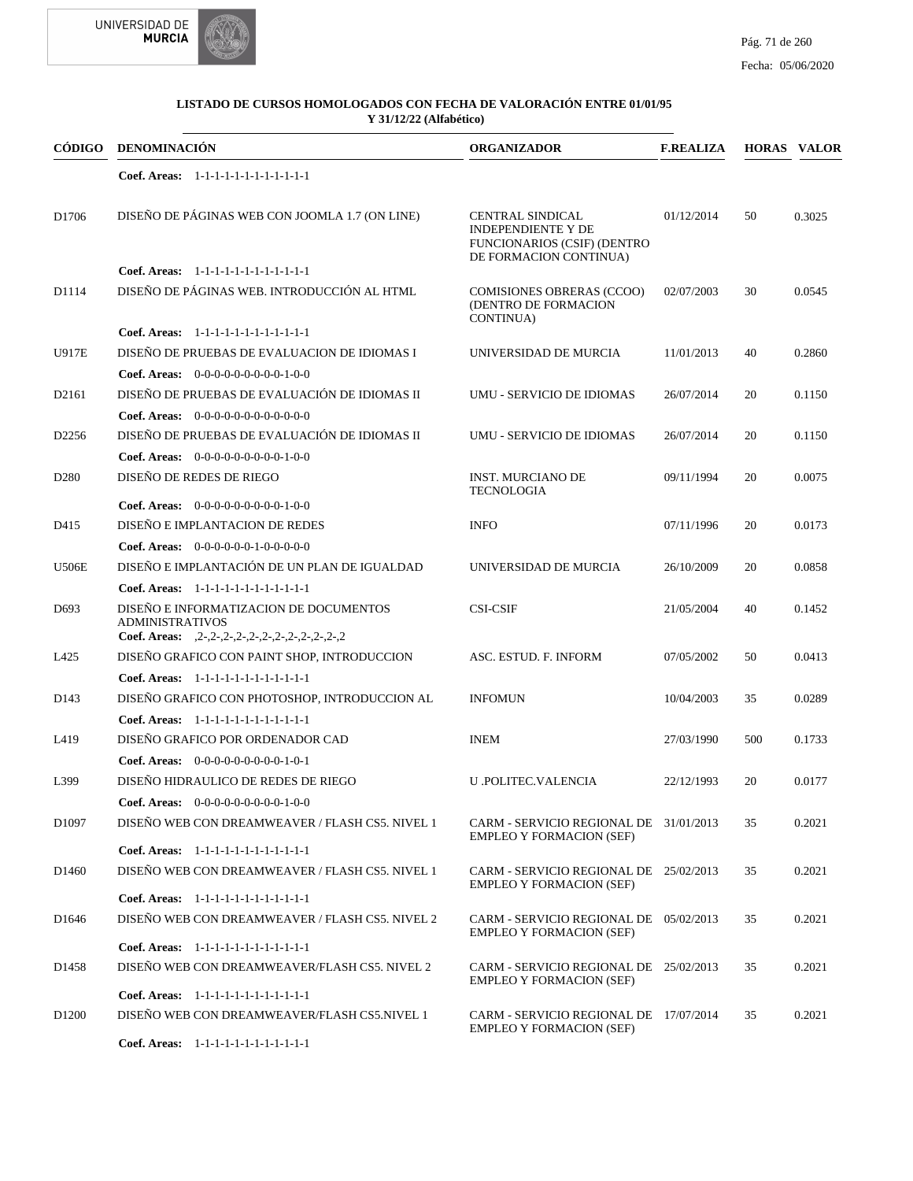



| CÓDIGO            | DENOMINACIÓN                                                                              | <b>ORGANIZADOR</b>                                                                                                   | <b>F.REALIZA</b> |     | <b>HORAS VALOR</b> |
|-------------------|-------------------------------------------------------------------------------------------|----------------------------------------------------------------------------------------------------------------------|------------------|-----|--------------------|
|                   | Coef. Areas: 1-1-1-1-1-1-1-1-1-1-1-1-1                                                    |                                                                                                                      |                  |     |                    |
| D <sub>1706</sub> | DISEÑO DE PÁGINAS WEB CON JOOMLA 1.7 (ON LINE)                                            | <b>CENTRAL SINDICAL</b><br><b>INDEPENDIENTE Y DE</b><br><b>FUNCIONARIOS (CSIF) (DENTRO</b><br>DE FORMACION CONTINUA) | 01/12/2014       | 50  | 0.3025             |
|                   | Coef. Areas: 1-1-1-1-1-1-1-1-1-1-1-1-1                                                    |                                                                                                                      |                  |     |                    |
| D1114             | DISEÑO DE PÁGINAS WEB. INTRODUCCIÓN AL HTML                                               | COMISIONES OBRERAS (CCOO)<br>(DENTRO DE FORMACION<br><b>CONTINUA)</b>                                                | 02/07/2003       | 30  | 0.0545             |
|                   | Coef. Areas: 1-1-1-1-1-1-1-1-1-1-1-1-1                                                    |                                                                                                                      |                  |     |                    |
| <b>U917E</b>      | DISEÑO DE PRUEBAS DE EVALUACION DE IDIOMAS I                                              | UNIVERSIDAD DE MURCIA                                                                                                | 11/01/2013       | 40  | 0.2860             |
|                   | <b>Coef. Areas:</b> $0-0-0-0-0-0-0-0-1-0-0$                                               |                                                                                                                      |                  |     |                    |
| D <sub>2161</sub> | DISEÑO DE PRUEBAS DE EVALUACIÓN DE IDIOMAS II                                             | UMU - SERVICIO DE IDIOMAS                                                                                            | 26/07/2014       | 20  | 0.1150             |
|                   | Coef. Areas: $0-0-0-0-0-0-0-0-0-0-0$                                                      |                                                                                                                      |                  |     |                    |
| D <sub>2256</sub> | DISEÑO DE PRUEBAS DE EVALUACIÓN DE IDIOMAS II                                             | UMU - SERVICIO DE IDIOMAS                                                                                            | 26/07/2014       | 20  | 0.1150             |
|                   | Coef. Areas: $0-0-0-0-0-0-0-0-1-0-0$                                                      |                                                                                                                      |                  |     |                    |
| D <sub>280</sub>  | DISEÑO DE REDES DE RIEGO                                                                  | <b>INST. MURCIANO DE</b><br><b>TECNOLOGIA</b>                                                                        | 09/11/1994       | 20  | 0.0075             |
|                   | Coef. Areas: $0-0-0-0-0-0-0-0-1-0-0$                                                      |                                                                                                                      |                  |     |                    |
| D415              | DISEÑO E IMPLANTACION DE REDES                                                            | <b>INFO</b>                                                                                                          | 07/11/1996       | 20  | 0.0173             |
|                   | Coef. Areas: $0-0-0-0-0-1-0-0-0-0-0$                                                      |                                                                                                                      |                  |     |                    |
| <b>U506E</b>      | DISEÑO E IMPLANTACIÓN DE UN PLAN DE IGUALDAD                                              | UNIVERSIDAD DE MURCIA                                                                                                | 26/10/2009       | 20  | 0.0858             |
|                   | Coef. Areas: 1-1-1-1-1-1-1-1-1-1-1-1-1                                                    |                                                                                                                      |                  |     |                    |
| D <sub>693</sub>  | DISEÑO E INFORMATIZACION DE DOCUMENTOS<br><b>ADMINISTRATIVOS</b>                          | <b>CSI-CSIF</b>                                                                                                      | 21/05/2004       | 40  | 0.1452             |
|                   | Coef. Areas: $,2-,2-,2-,2-,2-,2-,2-,2-,2-,2-,2$                                           |                                                                                                                      |                  |     |                    |
| L425              | DISEÑO GRAFICO CON PAINT SHOP, INTRODUCCION                                               | ASC. ESTUD. F. INFORM                                                                                                | 07/05/2002       | 50  | 0.0413             |
|                   | Coef. Areas: 1-1-1-1-1-1-1-1-1-1-1-1-1                                                    |                                                                                                                      |                  |     |                    |
| D <sub>143</sub>  | DISEÑO GRAFICO CON PHOTOSHOP, INTRODUCCION AL                                             | <b>INFOMUN</b>                                                                                                       | 10/04/2003       | 35  | 0.0289             |
|                   | Coef. Areas: 1-1-1-1-1-1-1-1-1-1-1-1-1                                                    |                                                                                                                      |                  |     |                    |
| L419              | DISEÑO GRAFICO POR ORDENADOR CAD                                                          | <b>INEM</b>                                                                                                          | 27/03/1990       | 500 | 0.1733             |
|                   | Coef. Areas: $0-0-0-0-0-0-0-0-1-0-1$                                                      |                                                                                                                      |                  |     |                    |
| L399              | DISEÑO HIDRAULICO DE REDES DE RIEGO                                                       | U .POLITEC.VALENCIA                                                                                                  | 22/12/1993       | 20  | 0.0177             |
|                   | Coef. Areas: 0-0-0-0-0-0-0-0-0-1-0-0                                                      |                                                                                                                      |                  |     |                    |
| D <sub>1097</sub> | DISENO WEB CON DREAMWEAVER / FLASH CS5. NIVEL 1<br>Coef. Areas: 1-1-1-1-1-1-1-1-1-1-1-1-1 | CARM - SERVICIO REGIONAL DE 31/01/2013<br><b>EMPLEO Y FORMACION (SEF)</b>                                            |                  | 35  | 0.2021             |
| D <sub>1460</sub> | DISEÑO WEB CON DREAMWEAVER / FLASH CS5. NIVEL 1                                           | CARM - SERVICIO REGIONAL DE 25/02/2013                                                                               |                  | 35  | 0.2021             |
|                   |                                                                                           | <b>EMPLEO Y FORMACION (SEF)</b>                                                                                      |                  |     |                    |
|                   | Coef. Areas: 1-1-1-1-1-1-1-1-1-1-1-1-1                                                    |                                                                                                                      |                  |     |                    |
| D <sub>1646</sub> | DISENO WEB CON DREAMWEAVER / FLASH CS5. NIVEL 2                                           | CARM - SERVICIO REGIONAL DE 05/02/2013<br><b>EMPLEO Y FORMACION (SEF)</b>                                            |                  | 35  | 0.2021             |
|                   | Coef. Areas: 1-1-1-1-1-1-1-1-1-1-1-1-1                                                    |                                                                                                                      |                  |     |                    |
| D <sub>1458</sub> | DISEÑO WEB CON DREAMWEAVER/FLASH CS5. NIVEL 2<br>Coef. Areas: 1-1-1-1-1-1-1-1-1-1-1-1-1   | CARM - SERVICIO REGIONAL DE 25/02/2013<br><b>EMPLEO Y FORMACION (SEF)</b>                                            |                  | 35  | 0.2021             |
| D <sub>1200</sub> | DISEÑO WEB CON DREAMWEAVER/FLASH CS5.NIVEL 1                                              | CARM - SERVICIO REGIONAL DE 17/07/2014                                                                               |                  | 35  | 0.2021             |
|                   |                                                                                           | <b>EMPLEO Y FORMACION (SEF)</b>                                                                                      |                  |     |                    |

1-1-1-1-1-1-1-1-1-1-1-1 **Coef. Areas:**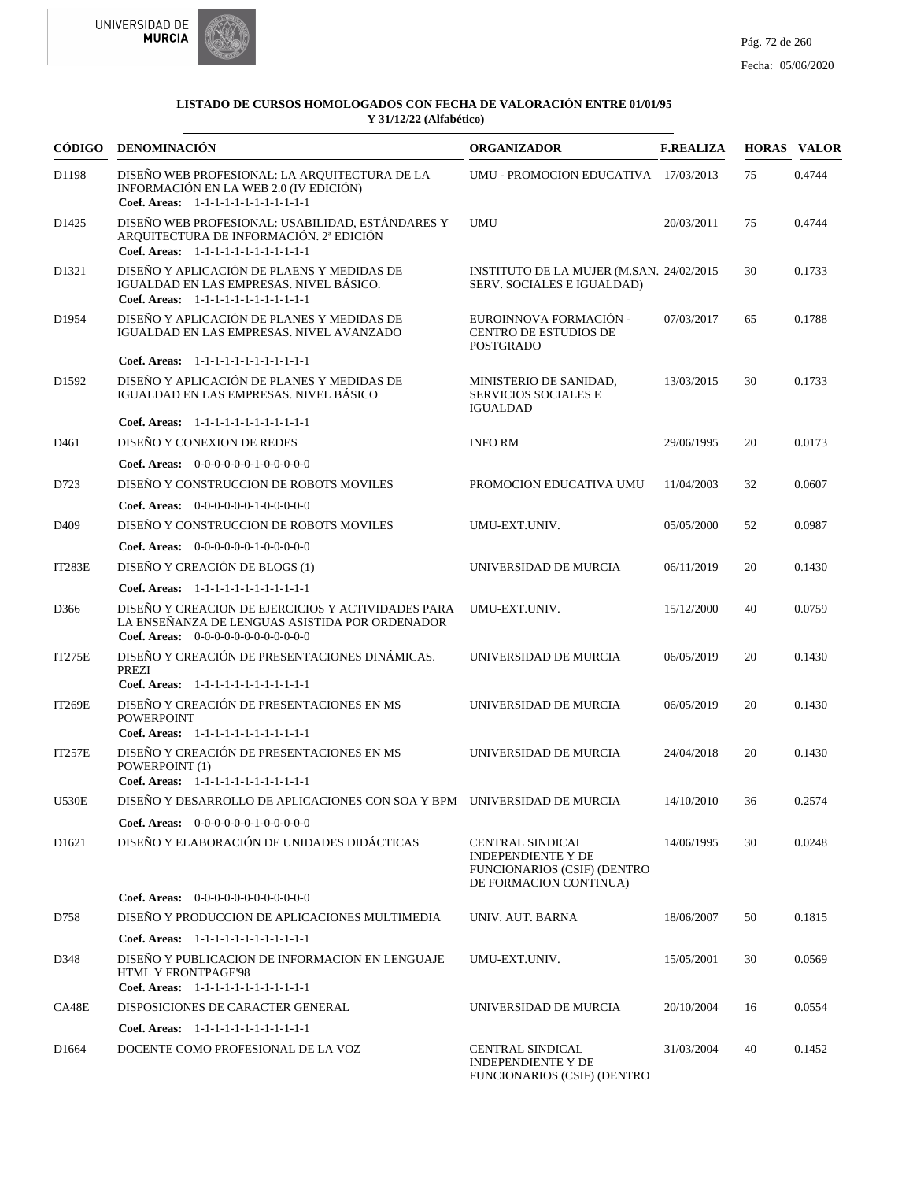



|                   | CÓDIGO DENOMINACIÓN                                                                                                                            | <b>ORGANIZADOR</b>                                                                                            | <b>F.REALIZA</b> |    | <b>HORAS VALOR</b> |
|-------------------|------------------------------------------------------------------------------------------------------------------------------------------------|---------------------------------------------------------------------------------------------------------------|------------------|----|--------------------|
| D1198             | DISEÑO WEB PROFESIONAL: LA ARQUITECTURA DE LA<br>INFORMACIÓN EN LA WEB 2.0 (IV EDICIÓN)<br>Coef. Areas: 1-1-1-1-1-1-1-1-1-1-1-1-1              | UMU - PROMOCION EDUCATIVA 17/03/2013                                                                          |                  | 75 | 0.4744             |
| D <sub>1425</sub> | DISEÑO WEB PROFESIONAL: USABILIDAD, ESTÁNDARES Y<br>ARQUITECTURA DE INFORMACIÓN. 2ª EDICIÓN<br>Coef. Areas: 1-1-1-1-1-1-1-1-1-1-1-1-1          | <b>UMU</b>                                                                                                    | 20/03/2011       | 75 | 0.4744             |
| D <sub>1321</sub> | DISEÑO Y APLICACIÓN DE PLAENS Y MEDIDAS DE<br>IGUALDAD EN LAS EMPRESAS. NIVEL BÁSICO.<br>Coef. Areas: 1-1-1-1-1-1-1-1-1-1-1-1-1                | INSTITUTO DE LA MUJER (M.SAN. 24/02/2015)<br>SERV. SOCIALES E IGUALDAD)                                       |                  | 30 | 0.1733             |
| D1954             | DISEÑO Y APLICACIÓN DE PLANES Y MEDIDAS DE<br>IGUALDAD EN LAS EMPRESAS. NIVEL AVANZADO                                                         | EUROINNOVA FORMACIÓN -<br><b>CENTRO DE ESTUDIOS DE</b><br><b>POSTGRADO</b>                                    | 07/03/2017       | 65 | 0.1788             |
|                   | Coef. Areas: 1-1-1-1-1-1-1-1-1-1-1-1-1                                                                                                         |                                                                                                               |                  |    |                    |
| D <sub>1592</sub> | DISEÑO Y APLICACIÓN DE PLANES Y MEDIDAS DE<br>IGUALDAD EN LAS EMPRESAS. NIVEL BÁSICO                                                           | MINISTERIO DE SANIDAD,<br><b>SERVICIOS SOCIALES E</b><br><b>IGUALDAD</b>                                      | 13/03/2015       | 30 | 0.1733             |
|                   | Coef. Areas: 1-1-1-1-1-1-1-1-1-1-1-1-1                                                                                                         |                                                                                                               |                  |    |                    |
| D <sub>461</sub>  | DISEÑO Y CONEXION DE REDES                                                                                                                     | <b>INFO RM</b>                                                                                                | 29/06/1995       | 20 | 0.0173             |
|                   | <b>Coef. Areas:</b> $0-0-0-0-0-1-0-0-0-0-0$                                                                                                    |                                                                                                               |                  |    |                    |
| D723              | DISEÑO Y CONSTRUCCION DE ROBOTS MOVILES                                                                                                        | PROMOCION EDUCATIVA UMU                                                                                       | 11/04/2003       | 32 | 0.0607             |
|                   | Coef. Areas: $0-0-0-0-0-1-0-0-0-0-0$                                                                                                           |                                                                                                               |                  |    |                    |
| D <sub>409</sub>  | DISEÑO Y CONSTRUCCION DE ROBOTS MOVILES                                                                                                        | UMU-EXT.UNIV.                                                                                                 | 05/05/2000       | 52 | 0.0987             |
|                   | <b>Coef. Areas:</b> $0-0-0-0-0-1-0-0-0-0-0$                                                                                                    |                                                                                                               |                  |    |                    |
| IT283E            | DISEÑO Y CREACIÓN DE BLOGS (1)                                                                                                                 | UNIVERSIDAD DE MURCIA                                                                                         | 06/11/2019       | 20 | 0.1430             |
|                   | Coef. Areas: 1-1-1-1-1-1-1-1-1-1-1-1-1                                                                                                         |                                                                                                               |                  |    |                    |
| D366              | DISEÑO Y CREACION DE EJERCICIOS Y ACTIVIDADES PARA<br>LA ENSEÑANZA DE LENGUAS ASISTIDA POR ORDENADOR<br>Coef. Areas: 0-0-0-0-0-0-0-0-0-0-0-0-0 | UMU-EXT.UNIV.                                                                                                 | 15/12/2000       | 40 | 0.0759             |
| IT275E            | DISEÑO Y CREACIÓN DE PRESENTACIONES DINÁMICAS.<br>PREZI                                                                                        | UNIVERSIDAD DE MURCIA                                                                                         | 06/05/2019       | 20 | 0.1430             |
|                   | Coef. Areas: 1-1-1-1-1-1-1-1-1-1-1-1-1                                                                                                         |                                                                                                               |                  |    |                    |
| <b>IT269E</b>     | DISEÑO Y CREACIÓN DE PRESENTACIONES EN MS<br><b>POWERPOINT</b><br>Coef. Areas: 1-1-1-1-1-1-1-1-1-1-1-1-1                                       | UNIVERSIDAD DE MURCIA                                                                                         | 06/05/2019       | 20 | 0.1430             |
| IT257E            | DISEÑO Y CREACIÓN DE PRESENTACIONES EN MS<br>POWERPOINT (1)<br>Coef. Areas: 1-1-1-1-1-1-1-1-1-1-1-1-1                                          | UNIVERSIDAD DE MURCIA                                                                                         | 24/04/2018       | 20 | 0.1430             |
| <b>U530E</b>      | DISEÑO Y DESARROLLO DE APLICACIONES CON SOA Y BPM UNIVERSIDAD DE MURCIA                                                                        |                                                                                                               | 14/10/2010       | 36 | 0.2574             |
|                   |                                                                                                                                                |                                                                                                               |                  |    |                    |
| D <sub>1621</sub> | <b>Coef. Areas:</b> $0-0-0-0-0-1-0-0-0-0-0$<br>DISEÑO Y ELABORACIÓN DE UNIDADES DIDÁCTICAS                                                     | <b>CENTRAL SINDICAL</b><br><b>INDEPENDIENTE Y DE</b><br>FUNCIONARIOS (CSIF) (DENTRO<br>DE FORMACION CONTINUA) | 14/06/1995       | 30 | 0.0248             |
|                   | Coef. Areas: 0-0-0-0-0-0-0-0-0-0-0-0-0                                                                                                         |                                                                                                               |                  |    |                    |
| D758              | DISEÑO Y PRODUCCION DE APLICACIONES MULTIMEDIA                                                                                                 | UNIV. AUT. BARNA                                                                                              | 18/06/2007       | 50 | 0.1815             |
|                   | Coef. Areas: 1-1-1-1-1-1-1-1-1-1-1-1-1                                                                                                         |                                                                                                               |                  |    |                    |
| D348              | DISEÑO Y PUBLICACION DE INFORMACION EN LENGUAJE<br><b>HTML Y FRONTPAGE'98</b><br>Coef. Areas: 1-1-1-1-1-1-1-1-1-1-1-1-1                        | UMU-EXT.UNIV.                                                                                                 | 15/05/2001       | 30 | 0.0569             |
| CA48E             | DISPOSICIONES DE CARACTER GENERAL                                                                                                              | UNIVERSIDAD DE MURCIA                                                                                         | 20/10/2004       | 16 | 0.0554             |
|                   | Coef. Areas: 1-1-1-1-1-1-1-1-1-1-1-1-1                                                                                                         |                                                                                                               |                  |    |                    |
| D <sub>1664</sub> | DOCENTE COMO PROFESIONAL DE LA VOZ                                                                                                             | <b>CENTRAL SINDICAL</b><br>INDEPENDIENTE Y DE<br><b>FUNCIONARIOS (CSIF) (DENTRO</b>                           | 31/03/2004       | 40 | 0.1452             |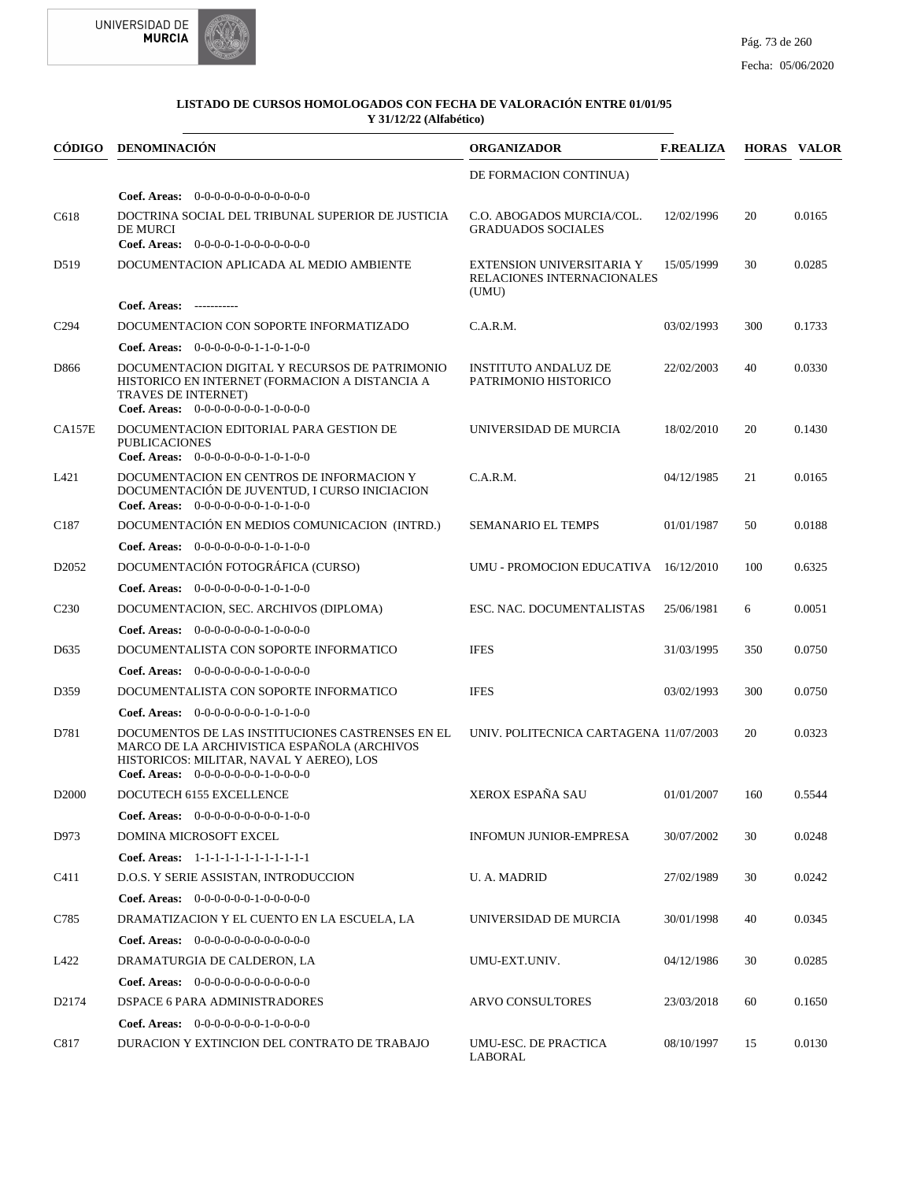



|                   | CÓDIGO DENOMINACIÓN                                                                                                                                                                        | <b>ORGANIZADOR</b>                                               | <b>F.REALIZA</b> |     | <b>HORAS VALOR</b> |
|-------------------|--------------------------------------------------------------------------------------------------------------------------------------------------------------------------------------------|------------------------------------------------------------------|------------------|-----|--------------------|
|                   |                                                                                                                                                                                            | DE FORMACION CONTINUA)                                           |                  |     |                    |
|                   | Coef. Areas: $0-0-0-0-0-0-0-0-0-0-0-0$                                                                                                                                                     |                                                                  |                  |     |                    |
| C618              | DOCTRINA SOCIAL DEL TRIBUNAL SUPERIOR DE JUSTICIA<br><b>DE MURCI</b><br>Coef. Areas: $0-0-0-0-1-0-0-0-0-0-0$                                                                               | C.O. ABOGADOS MURCIA/COL.<br><b>GRADUADOS SOCIALES</b>           | 12/02/1996       | 20  | 0.0165             |
|                   |                                                                                                                                                                                            |                                                                  |                  |     |                    |
| D519              | DOCUMENTACION APLICADA AL MEDIO AMBIENTE                                                                                                                                                   | EXTENSION UNIVERSITARIA Y<br>RELACIONES INTERNACIONALES<br>(UMU) | 15/05/1999       | 30  | 0.0285             |
|                   | Coef. Areas: -----------                                                                                                                                                                   |                                                                  |                  |     |                    |
| C <sub>294</sub>  | DOCUMENTACION CON SOPORTE INFORMATIZADO                                                                                                                                                    | C.A.R.M.                                                         | 03/02/1993       | 300 | 0.1733             |
|                   | <b>Coef. Areas:</b> $0-0-0-0-0-1-1-0-1-0-0$                                                                                                                                                |                                                                  |                  |     |                    |
| D866              | DOCUMENTACION DIGITAL Y RECURSOS DE PATRIMONIO<br>HISTORICO EN INTERNET (FORMACION A DISTANCIA A<br><b>TRAVES DE INTERNET)</b><br>Coef. Areas: 0-0-0-0-0-0-0-1-0-0-0-0                     | <b>INSTITUTO ANDALUZ DE</b><br>PATRIMONIO HISTORICO              | 22/02/2003       | 40  | 0.0330             |
| <b>CA157E</b>     | DOCUMENTACION EDITORIAL PARA GESTION DE<br><b>PUBLICACIONES</b>                                                                                                                            | UNIVERSIDAD DE MURCIA                                            | 18/02/2010       | 20  | 0.1430             |
|                   | Coef. Areas: $0-0-0-0-0-0-1-0-1-0-0$                                                                                                                                                       |                                                                  |                  |     |                    |
| L421              | DOCUMENTACION EN CENTROS DE INFORMACION Y<br>DOCUMENTACIÓN DE JUVENTUD, I CURSO INICIACION<br>Coef. Areas: $0-0-0-0-0-0-1-0-1-0-0$                                                         | C.A.R.M.                                                         | 04/12/1985       | 21  | 0.0165             |
| C187              | DOCUMENTACIÓN EN MEDIOS COMUNICACION (INTRD.)                                                                                                                                              | <b>SEMANARIO EL TEMPS</b>                                        | 01/01/1987       | 50  | 0.0188             |
|                   | Coef. Areas: $0-0-0-0-0-0-1-0-1-0-0$                                                                                                                                                       |                                                                  |                  |     |                    |
| D <sub>2052</sub> | DOCUMENTACIÓN FOTOGRÁFICA (CURSO)                                                                                                                                                          | UMU - PROMOCION EDUCATIVA 16/12/2010                             |                  | 100 | 0.6325             |
|                   | Coef. Areas: $0-0-0-0-0-0-1-0-1-0-0$                                                                                                                                                       |                                                                  |                  |     |                    |
| C <sub>230</sub>  | DOCUMENTACION, SEC. ARCHIVOS (DIPLOMA)                                                                                                                                                     | ESC. NAC. DOCUMENTALISTAS                                        | 25/06/1981       | 6   | 0.0051             |
|                   | <b>Coef. Areas:</b> $0-0-0-0-0-0-1-0-0-0-0$                                                                                                                                                |                                                                  |                  |     |                    |
| D <sub>6</sub> 35 | DOCUMENTALISTA CON SOPORTE INFORMATICO                                                                                                                                                     | <b>IFES</b>                                                      | 31/03/1995       | 350 | 0.0750             |
|                   | <b>Coef. Areas:</b> $0-0-0-0-0-0-1-0-0-0-0$                                                                                                                                                |                                                                  |                  |     |                    |
| D359              | DOCUMENTALISTA CON SOPORTE INFORMATICO                                                                                                                                                     | <b>IFES</b>                                                      | 03/02/1993       | 300 | 0.0750             |
|                   | <b>Coef. Areas:</b> $0-0-0-0-0-0-1-0-1-0-0$                                                                                                                                                |                                                                  |                  |     |                    |
| D781              | DOCUMENTOS DE LAS INSTITUCIONES CASTRENSES EN EL<br>MARCO DE LA ARCHIVISTICA ESPAÑOLA (ARCHIVOS<br>HISTORICOS: MILITAR, NAVAL Y AEREO), LOS<br><b>Coef. Areas:</b> $0-0-0-0-0-0-1-0-0-0-0$ | UNIV. POLITECNICA CARTAGENA 11/07/2003                           |                  | 20  | 0.0323             |
| D <sub>2000</sub> | DOCUTECH 6155 EXCELLENCE                                                                                                                                                                   | XEROX ESPAÑA SAU                                                 | 01/01/2007       | 160 | 0.5544             |
|                   | <b>Coef. Areas:</b> $0-0-0-0-0-0-0-0-1-0-0$                                                                                                                                                |                                                                  |                  |     |                    |
| D973              | DOMINA MICROSOFT EXCEL                                                                                                                                                                     | INFOMUN JUNIOR-EMPRESA                                           | 30/07/2002       | 30  | 0.0248             |
|                   | Coef. Areas: 1-1-1-1-1-1-1-1-1-1-1-1-1                                                                                                                                                     |                                                                  |                  |     |                    |
| C411              | D.O.S. Y SERIE ASSISTAN, INTRODUCCION                                                                                                                                                      | U. A. MADRID                                                     | 27/02/1989       | 30  | 0.0242             |
|                   | Coef. Areas: $0-0-0-0-0-1-0-0-0-0-0$                                                                                                                                                       |                                                                  |                  |     |                    |
| C785              | DRAMATIZACION Y EL CUENTO EN LA ESCUELA, LA                                                                                                                                                | UNIVERSIDAD DE MURCIA                                            | 30/01/1998       | 40  | 0.0345             |
|                   | <b>Coef. Areas:</b> $0-0-0-0-0-0-0-0-0-0-0-0$                                                                                                                                              |                                                                  |                  |     |                    |
| L422              | DRAMATURGIA DE CALDERON, LA                                                                                                                                                                | UMU-EXT.UNIV.                                                    | 04/12/1986       | 30  | 0.0285             |
|                   | <b>Coef. Areas:</b> $0-0-0-0-0-0-0-0-0-0-0-0$                                                                                                                                              |                                                                  |                  |     |                    |
| D <sub>2174</sub> | DSPACE 6 PARA ADMINISTRADORES                                                                                                                                                              | <b>ARVO CONSULTORES</b>                                          | 23/03/2018       | 60  | 0.1650             |
|                   | Coef. Areas: $0-0-0-0-0-0-1-0-0-0-0$                                                                                                                                                       |                                                                  |                  |     |                    |
| C817              | DURACION Y EXTINCION DEL CONTRATO DE TRABAJO                                                                                                                                               | UMU-ESC. DE PRACTICA<br>LABORAL                                  | 08/10/1997       | 15  | 0.0130             |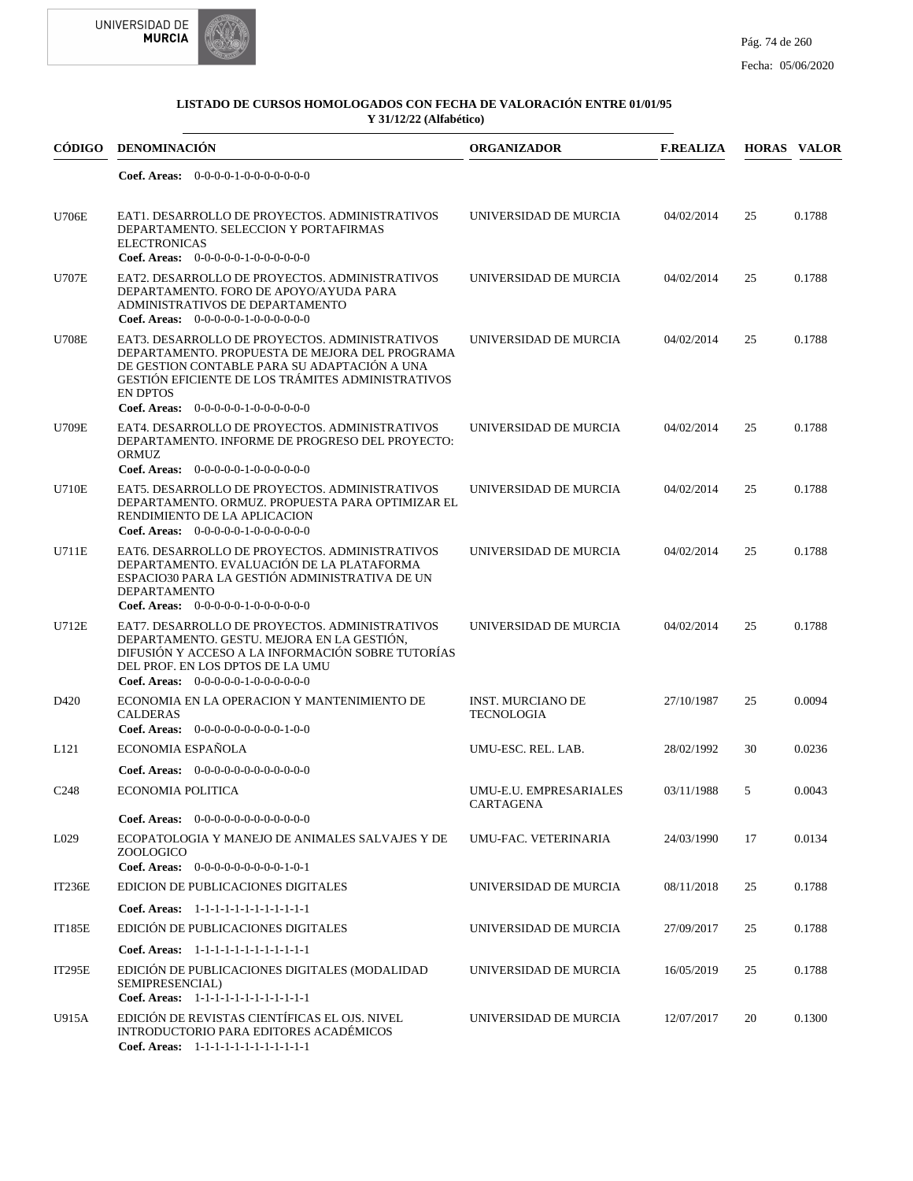



| CÓDIGO           | DENOMINACIÓN                                                                                                                                                                                                                                                            | <b>ORGANIZADOR</b>                            | <b>F.REALIZA</b> |    | <b>HORAS VALOR</b> |
|------------------|-------------------------------------------------------------------------------------------------------------------------------------------------------------------------------------------------------------------------------------------------------------------------|-----------------------------------------------|------------------|----|--------------------|
|                  | Coef. Areas: $0-0-0-0-1-0-0-0-0-0-0$                                                                                                                                                                                                                                    |                                               |                  |    |                    |
| <b>U706E</b>     | EAT1. DESARROLLO DE PROYECTOS. ADMINISTRATIVOS<br>DEPARTAMENTO. SELECCION Y PORTAFIRMAS<br><b>ELECTRONICAS</b><br>Coef. Areas: $0-0-0-0-1-0-0-0-0-0-0$                                                                                                                  | UNIVERSIDAD DE MURCIA                         | 04/02/2014       | 25 | 0.1788             |
| <b>U707E</b>     | EAT2. DESARROLLO DE PROYECTOS. ADMINISTRATIVOS<br>DEPARTAMENTO. FORO DE APOYO/AYUDA PARA<br>ADMINISTRATIVOS DE DEPARTAMENTO<br>Coef. Areas: $0-0-0-0-1-0-0-0-0-0-0$                                                                                                     | UNIVERSIDAD DE MURCIA                         | 04/02/2014       | 25 | 0.1788             |
| U708E            | EAT3. DESARROLLO DE PROYECTOS. ADMINISTRATIVOS<br>DEPARTAMENTO. PROPUESTA DE MEJORA DEL PROGRAMA<br>DE GESTION CONTABLE PARA SU ADAPTACIÓN A UNA<br><b>GESTIÓN EFICIENTE DE LOS TRÁMITES ADMINISTRATIVOS</b><br><b>EN DPTOS</b><br>Coef. Areas: $0-0-0-0-1-0-0-0-0-0-0$ | UNIVERSIDAD DE MURCIA                         | 04/02/2014       | 25 | 0.1788             |
| <b>U709E</b>     | EAT4. DESARROLLO DE PROYECTOS. ADMINISTRATIVOS<br>DEPARTAMENTO. INFORME DE PROGRESO DEL PROYECTO:<br>ORMUZ<br>Coef. Areas: $0-0-0-0-1-0-0-0-0-0-0$                                                                                                                      | UNIVERSIDAD DE MURCIA                         | 04/02/2014       | 25 | 0.1788             |
| <b>U710E</b>     | EAT5. DESARROLLO DE PROYECTOS. ADMINISTRATIVOS<br>DEPARTAMENTO, ORMUZ, PROPUESTA PARA OPTIMIZAR EL<br>RENDIMIENTO DE LA APLICACION<br>Coef. Areas: $0-0-0-0-1-0-0-0-0-0-0$                                                                                              | UNIVERSIDAD DE MURCIA                         | 04/02/2014       | 25 | 0.1788             |
| U711E            | EAT6. DESARROLLO DE PROYECTOS. ADMINISTRATIVOS<br>DEPARTAMENTO. EVALUACIÓN DE LA PLATAFORMA<br>ESPACIO30 PARA LA GESTIÓN ADMINISTRATIVA DE UN<br><b>DEPARTAMENTO</b><br>Coef. Areas: $0-0-0-0-1-0-0-0-0-0-0$                                                            | UNIVERSIDAD DE MURCIA                         | 04/02/2014       | 25 | 0.1788             |
| U712E            | EAT7. DESARROLLO DE PROYECTOS. ADMINISTRATIVOS<br>DEPARTAMENTO. GESTU. MEJORA EN LA GESTIÓN,<br>DIFUSIÓN Y ACCESO A LA INFORMACIÓN SOBRE TUTORÍAS<br>DEL PROF. EN LOS DPTOS DE LA UMU<br>Coef. Areas: $0-0-0-0-0-1-0-0-0-0-0-0$                                         | UNIVERSIDAD DE MURCIA                         | 04/02/2014       | 25 | 0.1788             |
| D420             | ECONOMIA EN LA OPERACION Y MANTENIMIENTO DE<br><b>CALDERAS</b><br>Coef. Areas: 0-0-0-0-0-0-0-0-0-1-0-0                                                                                                                                                                  | <b>INST. MURCIANO DE</b><br><b>TECNOLOGIA</b> | 27/10/1987       | 25 | 0.0094             |
| L <sub>121</sub> | ECONOMIA ESPAÑOLA                                                                                                                                                                                                                                                       | UMU-ESC. REL. LAB.                            | 28/02/1992       | 30 | 0.0236             |
|                  | <b>Coef. Areas:</b> $0-0-0-0-0-0-0-0-0-0-0-0$                                                                                                                                                                                                                           |                                               |                  |    |                    |
| C <sub>248</sub> | <b>ECONOMIA POLITICA</b>                                                                                                                                                                                                                                                | UMU-E.U. EMPRESARIALES<br>CARTAGENA           | 03/11/1988       | 5  | 0.0043             |
|                  | <b>Coef. Areas:</b> $0-0-0-0-0-0-0-0-0-0-0-0$                                                                                                                                                                                                                           |                                               |                  |    |                    |
| L029             | ECOPATOLOGIA Y MANEJO DE ANIMALES SALVAJES Y DE<br>ZOOLOGICO<br><b>Coef. Areas:</b> $0-0-0-0-0-0-0-0-1-0-1$                                                                                                                                                             | UMU-FAC. VETERINARIA                          | 24/03/1990       | 17 | 0.0134             |
| <b>IT236E</b>    | EDICION DE PUBLICACIONES DIGITALES                                                                                                                                                                                                                                      | UNIVERSIDAD DE MURCIA                         | 08/11/2018       | 25 | 0.1788             |
|                  | Coef. Areas: 1-1-1-1-1-1-1-1-1-1-1-1-1                                                                                                                                                                                                                                  |                                               |                  |    |                    |
| <b>IT185E</b>    | EDICIÓN DE PUBLICACIONES DIGITALES                                                                                                                                                                                                                                      | UNIVERSIDAD DE MURCIA                         | 27/09/2017       | 25 | 0.1788             |
|                  | Coef. Areas: 1-1-1-1-1-1-1-1-1-1-1-1-1                                                                                                                                                                                                                                  |                                               |                  |    |                    |
| <b>IT295E</b>    | EDICIÓN DE PUBLICACIONES DIGITALES (MODALIDAD<br>SEMIPRESENCIAL)<br>Coef. Areas: 1-1-1-1-1-1-1-1-1-1-1-1-1                                                                                                                                                              | UNIVERSIDAD DE MURCIA                         | 16/05/2019       | 25 | 0.1788             |
| U915A            | EDICIÓN DE REVISTAS CIENTÍFICAS EL OJS. NIVEL<br>INTRODUCTORIO PARA EDITORES ACADÉMICOS<br>Coef. Areas: 1-1-1-1-1-1-1-1-1-1-1-1-1                                                                                                                                       | UNIVERSIDAD DE MURCIA                         | 12/07/2017       | 20 | 0.1300             |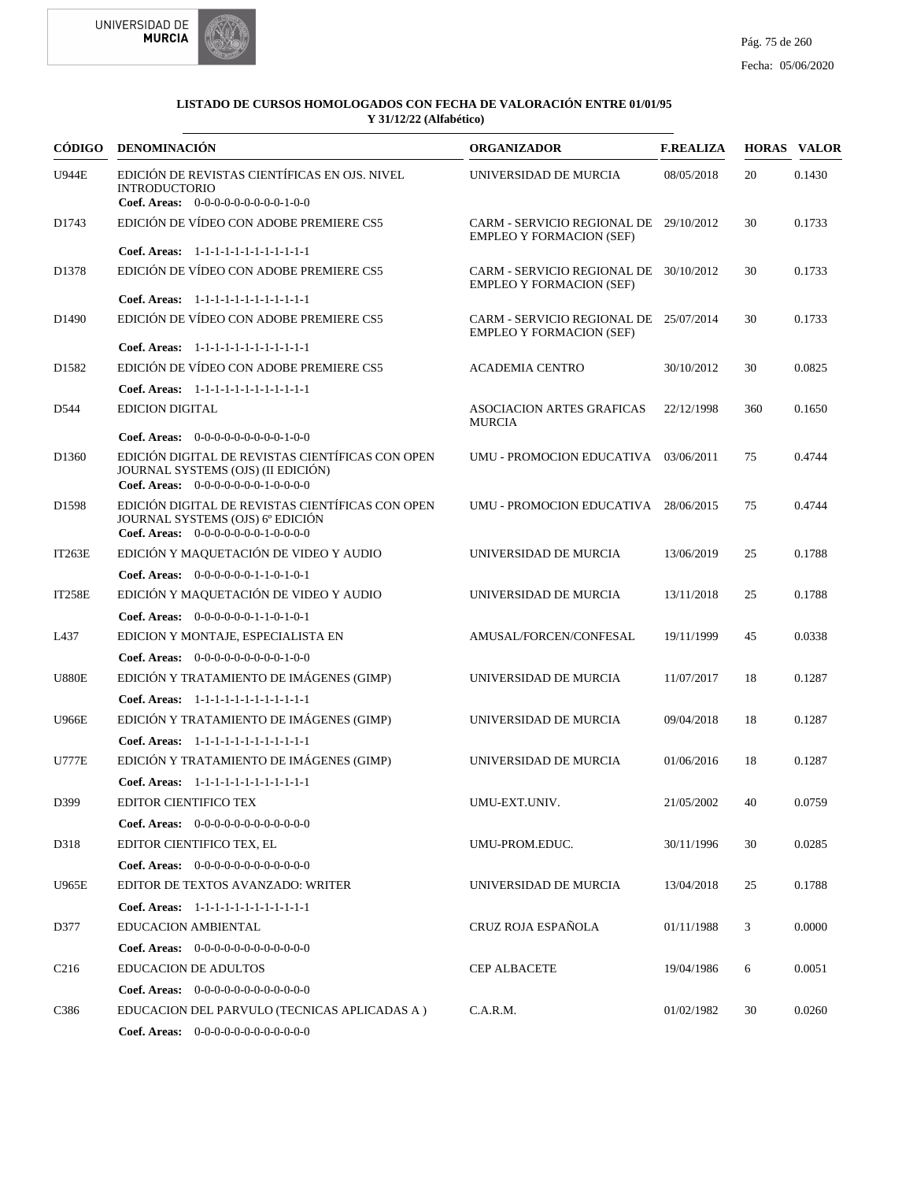



|                   | CÓDIGO DENOMINACIÓN                                                                                                            | <b>ORGANIZADOR</b>                                                        | <b>F.REALIZA</b> |     | <b>HORAS VALOR</b> |
|-------------------|--------------------------------------------------------------------------------------------------------------------------------|---------------------------------------------------------------------------|------------------|-----|--------------------|
| <b>U944E</b>      | EDICIÓN DE REVISTAS CIENTÍFICAS EN OJS. NIVEL<br><b>INTRODUCTORIO</b><br>Coef. Areas: $0-0-0-0-0-0-0-0-1-0-0$                  | UNIVERSIDAD DE MURCIA                                                     | 08/05/2018       | 20  | 0.1430             |
| D1743             | EDICIÓN DE VÍDEO CON ADOBE PREMIERE CS5                                                                                        | CARM - SERVICIO REGIONAL DE 29/10/2012<br><b>EMPLEO Y FORMACION (SEF)</b> |                  | 30  | 0.1733             |
|                   | Coef. Areas: 1-1-1-1-1-1-1-1-1-1-1-1-1                                                                                         |                                                                           |                  |     |                    |
| D <sub>1378</sub> | EDICIÓN DE VÍDEO CON ADOBE PREMIERE CS5                                                                                        | CARM - SERVICIO REGIONAL DE 30/10/2012<br><b>EMPLEO Y FORMACION (SEF)</b> |                  | 30  | 0.1733             |
|                   | Coef. Areas: 1-1-1-1-1-1-1-1-1-1-1-1-1                                                                                         |                                                                           |                  |     |                    |
| D <sub>1490</sub> | EDICIÓN DE VÍDEO CON ADOBE PREMIERE CS5                                                                                        | CARM - SERVICIO REGIONAL DE 25/07/2014<br><b>EMPLEO Y FORMACION (SEF)</b> |                  | 30  | 0.1733             |
|                   | Coef. Areas: 1-1-1-1-1-1-1-1-1-1-1-1-1                                                                                         |                                                                           |                  |     |                    |
| D <sub>1582</sub> | EDICIÓN DE VÍDEO CON ADOBE PREMIERE CS5                                                                                        | <b>ACADEMIA CENTRO</b>                                                    | 30/10/2012       | 30  | 0.0825             |
|                   | Coef. Areas: 1-1-1-1-1-1-1-1-1-1-1-1-1                                                                                         |                                                                           |                  |     |                    |
| D544              | <b>EDICION DIGITAL</b>                                                                                                         | <b>ASOCIACION ARTES GRAFICAS</b><br><b>MURCIA</b>                         | 22/12/1998       | 360 | 0.1650             |
|                   | Coef. Areas: $0-0-0-0-0-0-0-0-1-0-0$                                                                                           |                                                                           |                  |     |                    |
| D <sub>1360</sub> | EDICIÓN DIGITAL DE REVISTAS CIENTÍFICAS CON OPEN<br>JOURNAL SYSTEMS (OJS) (II EDICIÓN)<br>Coef. Areas: $0-0-0-0-0-0-1-0-0-0-0$ | UMU - PROMOCION EDUCATIVA 03/06/2011                                      |                  | 75  | 0.4744             |
| D <sub>1598</sub> | EDICIÓN DIGITAL DE REVISTAS CIENTÍFICAS CON OPEN<br>JOURNAL SYSTEMS (OJS) 6° EDICIÓN<br>Coef. Areas: 0-0-0-0-0-0-0-1-0-0-0-0   | UMU - PROMOCION EDUCATIVA 28/06/2015                                      |                  | 75  | 0.4744             |
| IT263E            | EDICIÓN Y MAQUETACIÓN DE VIDEO Y AUDIO                                                                                         | UNIVERSIDAD DE MURCIA                                                     | 13/06/2019       | 25  | 0.1788             |
|                   | Coef. Areas: $0-0-0-0-0-1-1-0-1-0-1$                                                                                           |                                                                           |                  |     |                    |
| <b>IT258E</b>     | EDICIÓN Y MAQUETACIÓN DE VIDEO Y AUDIO                                                                                         | UNIVERSIDAD DE MURCIA                                                     | 13/11/2018       | 25  | 0.1788             |
|                   | Coef. Areas: $0-0-0-0-0-1-1-0-1-0-1$                                                                                           |                                                                           |                  |     |                    |
| L437              | EDICION Y MONTAJE, ESPECIALISTA EN                                                                                             | AMUSAL/FORCEN/CONFESAL                                                    | 19/11/1999       | 45  | 0.0338             |
|                   | Coef. Areas: $0-0-0-0-0-0-0-0-1-0-0$                                                                                           |                                                                           |                  |     |                    |
| <b>U880E</b>      | EDICIÓN Y TRATAMIENTO DE IMÁGENES (GIMP)                                                                                       | UNIVERSIDAD DE MURCIA                                                     | 11/07/2017       | 18  | 0.1287             |
|                   | Coef. Areas: 1-1-1-1-1-1-1-1-1-1-1-1-1                                                                                         |                                                                           |                  |     |                    |
| <b>U966E</b>      | EDICIÓN Y TRATAMIENTO DE IMÁGENES (GIMP)                                                                                       | UNIVERSIDAD DE MURCIA                                                     | 09/04/2018       | 18  | 0.1287             |
|                   | Coef. Areas: 1-1-1-1-1-1-1-1-1-1-1-1-1                                                                                         |                                                                           |                  |     |                    |
| <b>U777E</b>      | EDICIÓN Y TRATAMIENTO DE IMÁGENES (GIMP)                                                                                       | UNIVERSIDAD DE MURCIA                                                     | 01/06/2016       | 18  | 0.1287             |
|                   | Coef. Areas: 1-1-1-1-1-1-1-1-1-1-1-1-1                                                                                         |                                                                           |                  |     |                    |
| D399              | EDITOR CIENTIFICO TEX                                                                                                          | UMU-EXT.UNIV.                                                             | 21/05/2002       | 40  | 0.0759             |
|                   | <b>Coef. Areas:</b> $0-0-0-0-0-0-0-0-0-0-0-0$                                                                                  |                                                                           |                  |     |                    |
| D318              | EDITOR CIENTIFICO TEX, EL                                                                                                      | UMU-PROM.EDUC.                                                            | 30/11/1996       | 30  | 0.0285             |
|                   |                                                                                                                                |                                                                           |                  |     |                    |
|                   | <b>Coef. Areas:</b> $0-0-0-0-0-0-0-0-0-0-0-0$                                                                                  |                                                                           |                  |     |                    |
| <b>U965E</b>      | EDITOR DE TEXTOS AVANZADO: WRITER                                                                                              | UNIVERSIDAD DE MURCIA                                                     | 13/04/2018       | 25  | 0.1788             |
|                   | Coef. Areas: 1-1-1-1-1-1-1-1-1-1-1-1-1                                                                                         |                                                                           |                  |     |                    |
| D377              | EDUCACION AMBIENTAL                                                                                                            | CRUZ ROJA ESPAÑOLA                                                        | 01/11/1988       | 3   | 0.0000             |
|                   | Coef. Areas: $0-0-0-0-0-0-0-0-0-0-0$                                                                                           |                                                                           |                  |     |                    |
| C <sub>216</sub>  | <b>EDUCACION DE ADULTOS</b>                                                                                                    | <b>CEP ALBACETE</b>                                                       | 19/04/1986       | 6   | 0.0051             |
|                   | Coef. Areas: $0-0-0-0-0-0-0-0-0-0-0-0$                                                                                         |                                                                           |                  |     |                    |
| C386              | EDUCACION DEL PARVULO (TECNICAS APLICADAS A)                                                                                   | C.A.R.M.                                                                  | 01/02/1982       | 30  | 0.0260             |
|                   | <b>Coef. Areas:</b> $0-0-0-0-0-0-0-0-0-0-0$                                                                                    |                                                                           |                  |     |                    |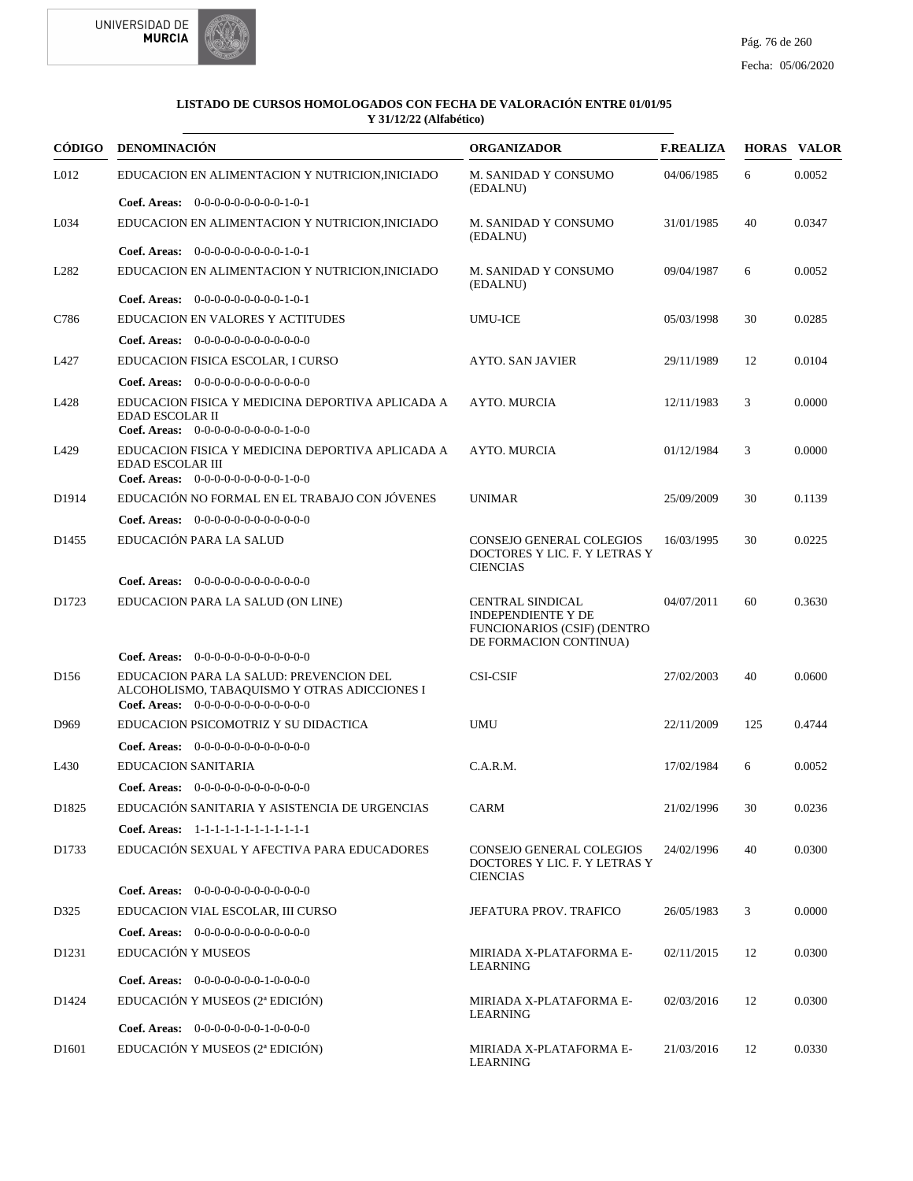



| CÓDIGO            | DENOMINACIÓN                                                                                                                    | <b>ORGANIZADOR</b>                                                                                                   | <b>F.REALIZA</b> |     | <b>HORAS VALOR</b> |
|-------------------|---------------------------------------------------------------------------------------------------------------------------------|----------------------------------------------------------------------------------------------------------------------|------------------|-----|--------------------|
| L012              | EDUCACION EN ALIMENTACION Y NUTRICION, INICIADO                                                                                 | M. SANIDAD Y CONSUMO<br>(EDALNU)                                                                                     | 04/06/1985       | 6   | 0.0052             |
|                   | Coef. Areas: $0-0-0-0-0-0-0-0-1-0-1$                                                                                            |                                                                                                                      |                  |     |                    |
| L034              | EDUCACION EN ALIMENTACION Y NUTRICION, INICIADO                                                                                 | M. SANIDAD Y CONSUMO<br>(EDALNU)                                                                                     | 31/01/1985       | 40  | 0.0347             |
|                   | Coef. Areas: $0-0-0-0-0-0-0-0-1-0-1$                                                                                            |                                                                                                                      |                  |     |                    |
| L <sub>282</sub>  | EDUCACION EN ALIMENTACION Y NUTRICION, INICIADO                                                                                 | M. SANIDAD Y CONSUMO<br>(EDALNU)                                                                                     | 09/04/1987       | 6   | 0.0052             |
|                   | <b>Coef. Areas:</b> $0-0-0-0-0-0-0-0-1-0-1$                                                                                     |                                                                                                                      |                  |     |                    |
| C786              | EDUCACION EN VALORES Y ACTITUDES                                                                                                | <b>UMU-ICE</b>                                                                                                       | 05/03/1998       | 30  | 0.0285             |
|                   | Coef. Areas: $0-0-0-0-0-0-0-0-0-0-0-0$                                                                                          |                                                                                                                      |                  |     |                    |
| L427              | EDUCACION FISICA ESCOLAR, I CURSO                                                                                               | <b>AYTO. SAN JAVIER</b>                                                                                              | 29/11/1989       | 12  | 0.0104             |
|                   | Coef. Areas: $0-0-0-0-0-0-0-0-0-0-0$                                                                                            |                                                                                                                      |                  |     |                    |
| L428              | EDUCACION FISICA Y MEDICINA DEPORTIVA APLICADA A<br>EDAD ESCOLAR II<br>Coef. Areas: $0-0-0-0-0-0-0-0-1-0-0$                     | AYTO. MURCIA                                                                                                         | 12/11/1983       | 3   | 0.0000             |
| L429              | EDUCACION FISICA Y MEDICINA DEPORTIVA APLICADA A<br><b>EDAD ESCOLAR III</b><br>Coef. Areas: $0-0-0-0-0-0-0-0-0-1-0-0$           | <b>AYTO. MURCIA</b>                                                                                                  | 01/12/1984       | 3   | 0.0000             |
| D1914             | EDUCACIÓN NO FORMAL EN EL TRABAJO CON JÓVENES                                                                                   | <b>UNIMAR</b>                                                                                                        | 25/09/2009       | 30  | 0.1139             |
|                   | Coef. Areas: $0-0-0-0-0-0-0-0-0-0-0-0$                                                                                          |                                                                                                                      |                  |     |                    |
| D <sub>1455</sub> | EDUCACIÓN PARA LA SALUD                                                                                                         | <b>CONSEJO GENERAL COLEGIOS</b><br>DOCTORES Y LIC. F. Y LETRAS Y<br><b>CIENCIAS</b>                                  | 16/03/1995       | 30  | 0.0225             |
|                   | <b>Coef. Areas:</b> $0-0-0-0-0-0-0-0-0-0-0$                                                                                     |                                                                                                                      |                  |     |                    |
| D1723             | EDUCACION PARA LA SALUD (ON LINE)                                                                                               | <b>CENTRAL SINDICAL</b><br><b>INDEPENDIENTE Y DE</b><br><b>FUNCIONARIOS (CSIF) (DENTRO</b><br>DE FORMACION CONTINUA) | 04/07/2011       | 60  | 0.3630             |
|                   | <b>Coef. Areas:</b> $0-0-0-0-0-0-0-0-0-0-0-0$                                                                                   |                                                                                                                      |                  |     |                    |
| D <sub>156</sub>  | EDUCACION PARA LA SALUD: PREVENCION DEL<br>ALCOHOLISMO, TABAQUISMO Y OTRAS ADICCIONES I<br>Coef. Areas: $0-0-0-0-0-0-0-0-0-0-0$ | <b>CSI-CSIF</b>                                                                                                      | 27/02/2003       | 40  | 0.0600             |
| D <sub>969</sub>  | EDUCACION PSICOMOTRIZ Y SU DIDACTICA                                                                                            | <b>UMU</b>                                                                                                           | 22/11/2009       | 125 | 0.4744             |
|                   | Coef. Areas: 0-0-0-0-0-0-0-0-0-0-0-0-0                                                                                          |                                                                                                                      |                  |     |                    |
| L430              | <b>EDUCACION SANITARIA</b>                                                                                                      | C.A.R.M.                                                                                                             | 17/02/1984       | 6   | 0.0052             |
|                   | Coef. Areas: $0-0-0-0-0-0-0-0-0-0-0$                                                                                            |                                                                                                                      |                  |     |                    |
| D <sub>1825</sub> | EDUCACIÓN SANITARIA Y ASISTENCIA DE URGENCIAS                                                                                   | CARM                                                                                                                 | 21/02/1996       | 30  | 0.0236             |
|                   | Coef. Areas: 1-1-1-1-1-1-1-1-1-1-1-1-1                                                                                          |                                                                                                                      |                  |     |                    |
| D1733             | EDUCACIÓN SEXUAL Y AFECTIVA PARA EDUCADORES                                                                                     | CONSEJO GENERAL COLEGIOS<br>DOCTORES Y LIC. F. Y LETRAS Y<br><b>CIENCIAS</b>                                         | 24/02/1996       | 40  | 0.0300             |
|                   | Coef. Areas: $0-0-0-0-0-0-0-0-0-0-0$                                                                                            |                                                                                                                      |                  |     |                    |
| D325              | EDUCACION VIAL ESCOLAR, III CURSO                                                                                               | JEFATURA PROV. TRAFICO                                                                                               | 26/05/1983       | 3   | 0.0000             |
|                   | Coef. Areas: $0-0-0-0-0-0-0-0-0-0-0$                                                                                            |                                                                                                                      |                  |     |                    |
| D <sub>1231</sub> | EDUCACIÓN Y MUSEOS                                                                                                              | MIRIADA X-PLATAFORMA E-<br>LEARNING                                                                                  | 02/11/2015       | 12  | 0.0300             |
|                   | Coef. Areas: $0-0-0-0-0-0-1-0-0-0-0$                                                                                            |                                                                                                                      |                  |     |                    |
| D1424             | EDUCACIÓN Y MUSEOS (2ª EDICIÓN)                                                                                                 | MIRIADA X-PLATAFORMA E-<br>LEARNING                                                                                  | 02/03/2016       | 12  | 0.0300             |
|                   | Coef. Areas: $0-0-0-0-0-0-1-0-0-0-0$                                                                                            |                                                                                                                      |                  |     |                    |
| D <sub>1601</sub> | EDUCACIÓN Y MUSEOS (2ª EDICIÓN)                                                                                                 | MIRIADA X-PLATAFORMA E-<br>LEARNING                                                                                  | 21/03/2016       | 12  | 0.0330             |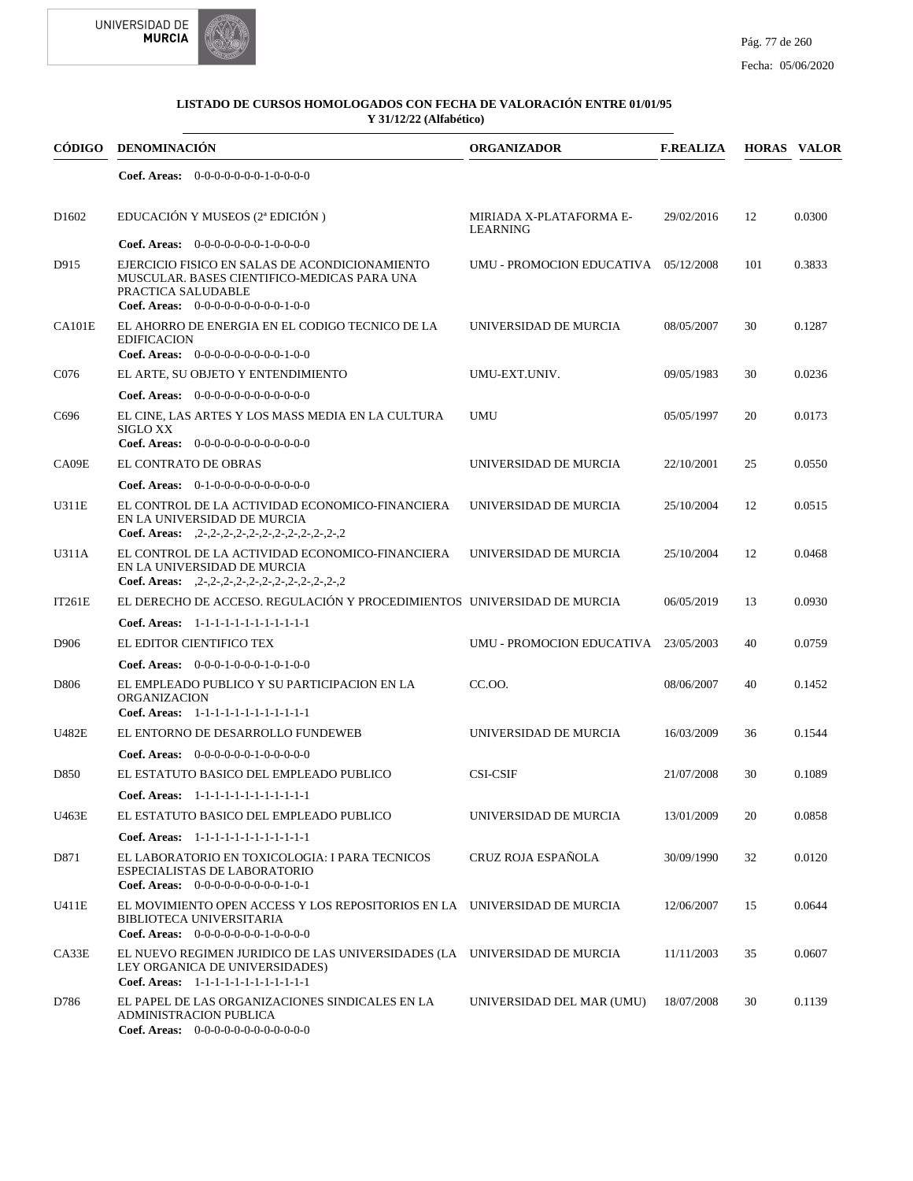



| <b>CÓDIGO</b>     | <b>DENOMINACIÓN</b>                                                                                                                                         | <b>ORGANIZADOR</b>                         | <b>F.REALIZA</b> |     | <b>HORAS VALOR</b> |
|-------------------|-------------------------------------------------------------------------------------------------------------------------------------------------------------|--------------------------------------------|------------------|-----|--------------------|
|                   | <b>Coef. Areas:</b> $0-0-0-0-0-0-1-0-0-0-0$                                                                                                                 |                                            |                  |     |                    |
| D <sub>1602</sub> | EDUCACIÓN Y MUSEOS (2ª EDICIÓN)                                                                                                                             | MIRIADA X-PLATAFORMA E-<br><b>LEARNING</b> | 29/02/2016       | 12  | 0.0300             |
|                   | <b>Coef. Areas:</b> $0-0-0-0-0-0-1-0-0-0-0$                                                                                                                 |                                            |                  |     |                    |
| D915              | EJERCICIO FISICO EN SALAS DE ACONDICIONAMIENTO<br>MUSCULAR. BASES CIENTIFICO-MEDICAS PARA UNA<br>PRACTICA SALUDABLE<br>Coef. Areas: $0-0-0-0-0-0-0-0-1-0-0$ | UMU - PROMOCION EDUCATIVA 05/12/2008       |                  | 101 | 0.3833             |
|                   |                                                                                                                                                             |                                            |                  |     |                    |
| CA101E            | EL AHORRO DE ENERGIA EN EL CODIGO TECNICO DE LA<br><b>EDIFICACION</b><br>Coef. Areas: $0-0-0-0-0-0-0-0-1-0-0$                                               | UNIVERSIDAD DE MURCIA                      | 08/05/2007       | 30  | 0.1287             |
| C076              | EL ARTE, SU OBJETO Y ENTENDIMIENTO                                                                                                                          | UMU-EXT.UNIV.                              | 09/05/1983       | 30  | 0.0236             |
|                   | <b>Coef. Areas:</b> $0-0-0-0-0-0-0-0-0-0-0-0$                                                                                                               |                                            |                  |     |                    |
| C <sub>696</sub>  | EL CINE, LAS ARTES Y LOS MASS MEDIA EN LA CULTURA<br><b>SIGLO XX</b><br>Coef. Areas: 0-0-0-0-0-0-0-0-0-0-0-0-0                                              | <b>UMU</b>                                 | 05/05/1997       | 20  | 0.0173             |
| CA09E             | EL CONTRATO DE OBRAS                                                                                                                                        | UNIVERSIDAD DE MURCIA                      | 22/10/2001       | 25  | 0.0550             |
|                   | <b>Coef. Areas:</b> $0-1-0-0-0-0-0-0-0-0-0$                                                                                                                 |                                            |                  |     |                    |
| U311E             | EL CONTROL DE LA ACTIVIDAD ECONOMICO-FINANCIERA<br>EN LA UNIVERSIDAD DE MURCIA<br>Coef. Areas: $2-2-2-2-2-2-2-2-2-2-2-2-2$                                  | UNIVERSIDAD DE MURCIA                      | 25/10/2004       | 12  | 0.0515             |
| U311A             | EL CONTROL DE LA ACTIVIDAD ECONOMICO-FINANCIERA<br>EN LA UNIVERSIDAD DE MURCIA                                                                              | UNIVERSIDAD DE MURCIA                      | 25/10/2004       | 12  | 0.0468             |
|                   | Coef. Areas: $2-2-2-2-2-2-2-2-2-2-2-2-2$                                                                                                                    |                                            |                  |     |                    |
| IT261E            | EL DERECHO DE ACCESO. REGULACIÓN Y PROCEDIMIENTOS UNIVERSIDAD DE MURCIA                                                                                     |                                            | 06/05/2019       | 13  | 0.0930             |
|                   | Coef. Areas: 1-1-1-1-1-1-1-1-1-1-1-1-1                                                                                                                      |                                            |                  |     |                    |
| D906              | EL EDITOR CIENTIFICO TEX                                                                                                                                    | UMU - PROMOCION EDUCATIVA 23/05/2003       |                  | 40  | 0.0759             |
|                   | <b>Coef. Areas:</b> $0-0-0-1-0-0-1-0-1-0-0$                                                                                                                 |                                            |                  |     |                    |
| D806              | EL EMPLEADO PUBLICO Y SU PARTICIPACION EN LA<br><b>ORGANIZACION</b><br>Coef. Areas: 1-1-1-1-1-1-1-1-1-1-1-1-1                                               | CC.00.                                     | 08/06/2007       | 40  | 0.1452             |
| U482E             | EL ENTORNO DE DESARROLLO FUNDEWEB                                                                                                                           | UNIVERSIDAD DE MURCIA                      | 16/03/2009       | 36  | 0.1544             |
|                   | Coef. Areas: $0-0-0-0-0-1-0-0-0-0-0$                                                                                                                        |                                            |                  |     |                    |
|                   |                                                                                                                                                             | <b>CSI-CSIF</b>                            |                  | 30  |                    |
| D850              | EL ESTATUTO BASICO DEL EMPLEADO PUBLICO                                                                                                                     |                                            | 21/07/2008       |     | 0.1089             |
|                   | Coef. Areas: 1-1-1-1-1-1-1-1-1-1-1-1-1                                                                                                                      |                                            |                  |     |                    |
| U463E             | EL ESTATUTO BASICO DEL EMPLEADO PUBLICO                                                                                                                     | UNIVERSIDAD DE MURCIA                      | 13/01/2009       | 20  | 0.0858             |
|                   | Coef. Areas: 1-1-1-1-1-1-1-1-1-1-1-1-1                                                                                                                      |                                            |                  |     |                    |
| D871              | EL LABORATORIO EN TOXICOLOGIA: I PARA TECNICOS<br>ESPECIALISTAS DE LABORATORIO<br><b>Coef. Areas:</b> $0-0-0-0-0-0-0-0-1-0-1$                               | CRUZ ROJA ESPAÑOLA                         | 30/09/1990       | 32  | 0.0120             |
| U411E             | EL MOVIMIENTO OPEN ACCESS Y LOS REPOSITORIOS EN LA UNIVERSIDAD DE MURCIA<br>BIBLIOTECA UNIVERSITARIA<br>Coef. Areas: $0-0-0-0-0-0-1-0-0-0-0$                |                                            | 12/06/2007       | 15  | 0.0644             |
| CA33E             | EL NUEVO REGIMEN JURIDICO DE LAS UNIVERSIDADES (LA UNIVERSIDAD DE MURCIA<br>LEY ORGANICA DE UNIVERSIDADES)<br>Coef. Areas: 1-1-1-1-1-1-1-1-1-1-1-1-1        |                                            | 11/11/2003       | 35  | 0.0607             |
| D786              | EL PAPEL DE LAS ORGANIZACIONES SINDICALES EN LA<br>ADMINISTRACION PUBLICA<br>Coef. Areas: 0-0-0-0-0-0-0-0-0-0-0-0-0                                         | UNIVERSIDAD DEL MAR (UMU)                  | 18/07/2008       | 30  | 0.1139             |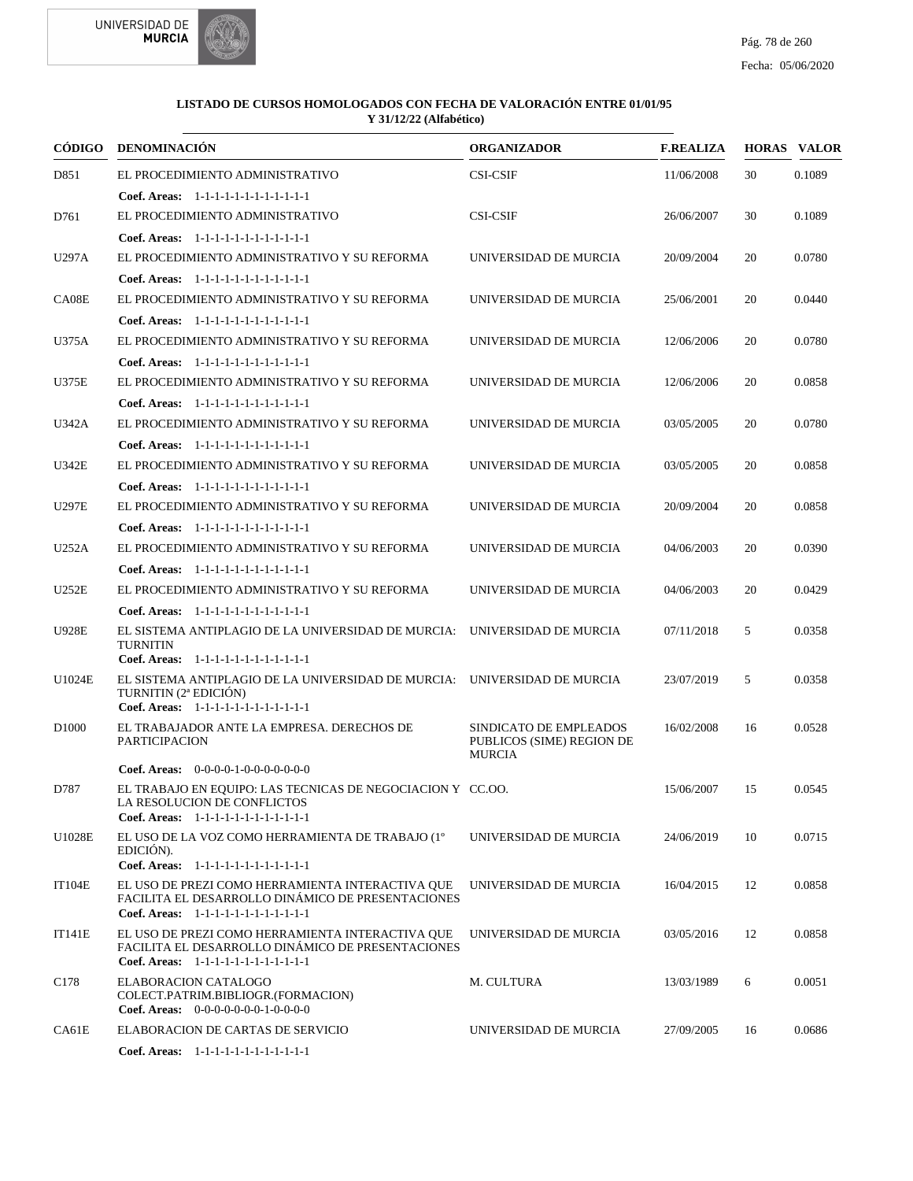

| CÓDIGO            | <b>DENOMINACIÓN</b>                                                                                                                             | <b>ORGANIZADOR</b>                                  | <b>F.REALIZA</b> |    | <b>HORAS VALOR</b> |
|-------------------|-------------------------------------------------------------------------------------------------------------------------------------------------|-----------------------------------------------------|------------------|----|--------------------|
| D851              | EL PROCEDIMIENTO ADMINISTRATIVO                                                                                                                 | <b>CSI-CSIF</b>                                     | 11/06/2008       | 30 | 0.1089             |
|                   | Coef. Areas: 1-1-1-1-1-1-1-1-1-1-1-1-1                                                                                                          |                                                     |                  |    |                    |
| D761              | EL PROCEDIMIENTO ADMINISTRATIVO                                                                                                                 | <b>CSI-CSIF</b>                                     | 26/06/2007       | 30 | 0.1089             |
|                   | Coef. Areas: 1-1-1-1-1-1-1-1-1-1-1-1-1                                                                                                          |                                                     |                  |    |                    |
| U297A             | EL PROCEDIMIENTO ADMINISTRATIVO Y SU REFORMA                                                                                                    | UNIVERSIDAD DE MURCIA                               | 20/09/2004       | 20 | 0.0780             |
|                   | Coef. Areas: 1-1-1-1-1-1-1-1-1-1-1-1-1                                                                                                          |                                                     |                  |    |                    |
| CA08E             | EL PROCEDIMIENTO ADMINISTRATIVO Y SU REFORMA                                                                                                    | UNIVERSIDAD DE MURCIA                               | 25/06/2001       | 20 | 0.0440             |
|                   | Coef. Areas: 1-1-1-1-1-1-1-1-1-1-1-1-1                                                                                                          |                                                     |                  |    |                    |
| U375A             | EL PROCEDIMIENTO ADMINISTRATIVO Y SU REFORMA                                                                                                    | UNIVERSIDAD DE MURCIA                               | 12/06/2006       | 20 | 0.0780             |
|                   | Coef. Areas: $1-1-1-1-1-1-1-1-1-1-1$                                                                                                            |                                                     |                  |    |                    |
| U375E             | EL PROCEDIMIENTO ADMINISTRATIVO Y SU REFORMA                                                                                                    | UNIVERSIDAD DE MURCIA                               | 12/06/2006       | 20 | 0.0858             |
|                   | Coef. Areas: 1-1-1-1-1-1-1-1-1-1-1-1-1                                                                                                          |                                                     |                  |    |                    |
| U342A             | EL PROCEDIMIENTO ADMINISTRATIVO Y SU REFORMA                                                                                                    | UNIVERSIDAD DE MURCIA                               | 03/05/2005       | 20 | 0.0780             |
|                   | Coef. Areas: 1-1-1-1-1-1-1-1-1-1-1-1-1                                                                                                          |                                                     |                  |    |                    |
| U342E             | EL PROCEDIMIENTO ADMINISTRATIVO Y SU REFORMA                                                                                                    | UNIVERSIDAD DE MURCIA                               | 03/05/2005       | 20 | 0.0858             |
|                   | Coef. Areas: $1-1-1-1-1-1-1-1-1-1-1$                                                                                                            |                                                     |                  |    |                    |
| U297E             | EL PROCEDIMIENTO ADMINISTRATIVO Y SU REFORMA                                                                                                    | UNIVERSIDAD DE MURCIA                               | 20/09/2004       | 20 | 0.0858             |
|                   | Coef. Areas: 1-1-1-1-1-1-1-1-1-1-1-1-1                                                                                                          |                                                     |                  |    |                    |
| U252A             | EL PROCEDIMIENTO ADMINISTRATIVO Y SU REFORMA                                                                                                    | UNIVERSIDAD DE MURCIA                               | 04/06/2003       | 20 | 0.0390             |
|                   | Coef. Areas: 1-1-1-1-1-1-1-1-1-1-1-1-1                                                                                                          |                                                     |                  |    |                    |
| U252E             | EL PROCEDIMIENTO ADMINISTRATIVO Y SU REFORMA                                                                                                    | UNIVERSIDAD DE MURCIA                               | 04/06/2003       | 20 | 0.0429             |
|                   | Coef. Areas: 1-1-1-1-1-1-1-1-1-1-1-1-1                                                                                                          |                                                     |                  |    |                    |
| <b>U928E</b>      | EL SISTEMA ANTIPLAGIO DE LA UNIVERSIDAD DE MURCIA: UNIVERSIDAD DE MURCIA<br><b>TURNITIN</b>                                                     |                                                     | 07/11/2018       | 5  | 0.0358             |
|                   | Coef. Areas: 1-1-1-1-1-1-1-1-1-1-1-1-1<br>EL SISTEMA ANTIPLAGIO DE LA UNIVERSIDAD DE MURCIA: UNIVERSIDAD DE MURCIA                              |                                                     |                  |    |                    |
| U1024E            | TURNITIN (2 <sup>ª</sup> EDICIÓN)<br>Coef. Areas: 1-1-1-1-1-1-1-1-1-1-1-1-1                                                                     |                                                     | 23/07/2019       | 5  | 0.0358             |
| D <sub>1000</sub> | EL TRABAJADOR ANTE LA EMPRESA. DERECHOS DE<br><b>PARTICIPACION</b>                                                                              | SINDICATO DE EMPLEADOS<br>PUBLICOS (SIME) REGION DE | 16/02/2008       | 16 | 0.0528             |
|                   | <b>Coef. Areas:</b> $0-0-0-0-1-0-0-0-0-0-0-0$                                                                                                   | <b>MURCIA</b>                                       |                  |    |                    |
| D787              | EL TRABAJO EN EQUIPO: LAS TECNICAS DE NEGOCIACION Y CC.OO.<br>LA RESOLUCION DE CONFLICTOS<br>Coef. Areas: 1-1-1-1-1-1-1-1-1-1-1-1-1             |                                                     | 15/06/2007       | 15 | 0.0545             |
| U1028E            | EL USO DE LA VOZ COMO HERRAMIENTA DE TRABAJO (1º<br>EDICIÓN).                                                                                   | UNIVERSIDAD DE MURCIA                               | 24/06/2019       | 10 | 0.0715             |
|                   | Coef. Areas: 1-1-1-1-1-1-1-1-1-1-1-1-1                                                                                                          |                                                     |                  |    |                    |
| <b>IT104E</b>     | EL USO DE PREZI COMO HERRAMIENTA INTERACTIVA QUE<br>FACILITA EL DESARROLLO DINÁMICO DE PRESENTACIONES<br>Coef. Areas: 1-1-1-1-1-1-1-1-1-1-1-1-1 | UNIVERSIDAD DE MURCIA                               | 16/04/2015       | 12 | 0.0858             |
| <b>IT141E</b>     | EL USO DE PREZI COMO HERRAMIENTA INTERACTIVA QUE<br>FACILITA EL DESARROLLO DINÁMICO DE PRESENTACIONES<br>Coef. Areas: 1-1-1-1-1-1-1-1-1-1-1-1-1 | UNIVERSIDAD DE MURCIA                               | 03/05/2016       | 12 | 0.0858             |
| C <sub>178</sub>  | ELABORACION CATALOGO<br>COLECT.PATRIM.BIBLIOGR.(FORMACION)<br>Coef. Areas: $0-0-0-0-0-0-1-0-0-0-0$                                              | M. CULTURA                                          | 13/03/1989       | 6  | 0.0051             |
| CA61E             | ELABORACION DE CARTAS DE SERVICIO                                                                                                               | UNIVERSIDAD DE MURCIA                               | 27/09/2005       | 16 | 0.0686             |
|                   | Coef. Areas: 1-1-1-1-1-1-1-1-1-1-1-1-1                                                                                                          |                                                     |                  |    |                    |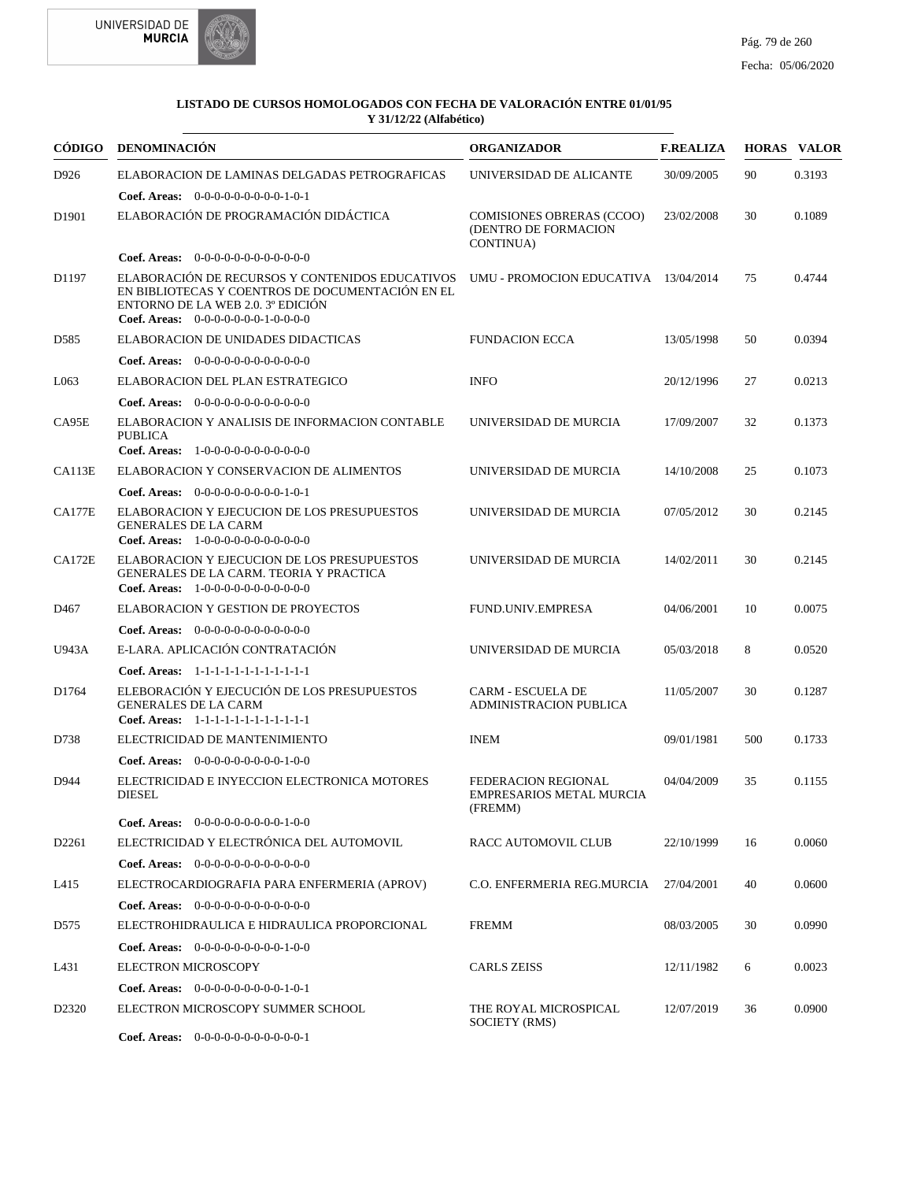



|                   | CÓDIGO DENOMINACIÓN                                                                                                                                                              | <b>ORGANIZADOR</b>                                                    | <b>F.REALIZA</b> |     | <b>HORAS VALOR</b> |
|-------------------|----------------------------------------------------------------------------------------------------------------------------------------------------------------------------------|-----------------------------------------------------------------------|------------------|-----|--------------------|
| D926              | ELABORACION DE LAMINAS DELGADAS PETROGRAFICAS                                                                                                                                    | UNIVERSIDAD DE ALICANTE                                               | 30/09/2005       | 90  | 0.3193             |
|                   | <b>Coef. Areas:</b> $0-0-0-0-0-0-0-0-1-0-1$                                                                                                                                      |                                                                       |                  |     |                    |
| D <sub>1901</sub> | ELABORACIÓN DE PROGRAMACIÓN DIDÁCTICA                                                                                                                                            | <b>COMISIONES OBRERAS (CCOO)</b><br>(DENTRO DE FORMACION<br>CONTINUA) | 23/02/2008       | 30  | 0.1089             |
|                   | <b>Coef. Areas:</b> $0-0-0-0-0-0-0-0-0-0-0-0$                                                                                                                                    |                                                                       |                  |     |                    |
| D1197             | ELABORACIÓN DE RECURSOS Y CONTENIDOS EDUCATIVOS<br>EN BIBLIOTECAS Y COENTROS DE DOCUMENTACIÓN EN EL<br>ENTORNO DE LA WEB 2.0. 3º EDICIÓN<br>Coef. Areas: $0-0-0-0-0-0-1-0-0-0-0$ | UMU - PROMOCION EDUCATIVA 13/04/2014                                  |                  | 75  | 0.4744             |
| D <sub>585</sub>  | ELABORACION DE UNIDADES DIDACTICAS                                                                                                                                               | <b>FUNDACION ECCA</b>                                                 | 13/05/1998       | 50  | 0.0394             |
|                   | <b>Coef. Areas:</b> $0-0-0-0-0-0-0-0-0-0-0-0$                                                                                                                                    |                                                                       |                  |     |                    |
| L063              | ELABORACION DEL PLAN ESTRATEGICO                                                                                                                                                 | <b>INFO</b>                                                           | 20/12/1996       | 27  | 0.0213             |
|                   | <b>Coef. Areas:</b> $0-0-0-0-0-0-0-0-0-0-0-0$                                                                                                                                    |                                                                       |                  |     |                    |
| CA95E             | ELABORACION Y ANALISIS DE INFORMACION CONTABLE<br><b>PUBLICA</b>                                                                                                                 | UNIVERSIDAD DE MURCIA                                                 | 17/09/2007       | 32  | 0.1373             |
|                   | Coef. Areas: 1-0-0-0-0-0-0-0-0-0-0-0-0                                                                                                                                           |                                                                       |                  |     |                    |
| CA113E            | ELABORACION Y CONSERVACION DE ALIMENTOS                                                                                                                                          | UNIVERSIDAD DE MURCIA                                                 | 14/10/2008       | 25  | 0.1073             |
|                   | Coef. Areas: $0-0-0-0-0-0-0-0-1-0-1$                                                                                                                                             |                                                                       |                  |     |                    |
| <b>CA177E</b>     | ELABORACION Y EJECUCION DE LOS PRESUPUESTOS<br><b>GENERALES DE LA CARM</b><br><b>Coef. Areas:</b> $1-0-0-0-0-0-0-0-0-0-0$                                                        | UNIVERSIDAD DE MURCIA                                                 | 07/05/2012       | 30  | 0.2145             |
| CA172E            | ELABORACION Y EJECUCION DE LOS PRESUPUESTOS<br><b>GENERALES DE LA CARM. TEORIA Y PRACTICA</b><br>Coef. Areas: $1-0-0-0-0-0-0-0-0-0-0$                                            | UNIVERSIDAD DE MURCIA                                                 | 14/02/2011       | 30  | 0.2145             |
| D <sub>467</sub>  | ELABORACION Y GESTION DE PROYECTOS                                                                                                                                               | <b>FUND.UNIV.EMPRESA</b>                                              | 04/06/2001       | 10  | 0.0075             |
|                   | <b>Coef. Areas:</b> $0-0-0-0-0-0-0-0-0-0-0-0$                                                                                                                                    |                                                                       |                  |     |                    |
| U943A             | E-LARA. APLICACIÓN CONTRATACIÓN                                                                                                                                                  | UNIVERSIDAD DE MURCIA                                                 | 05/03/2018       | 8   | 0.0520             |
|                   | Coef. Areas: 1-1-1-1-1-1-1-1-1-1-1-1-1                                                                                                                                           |                                                                       |                  |     |                    |
| D1764             | ELEBORACIÓN Y EJECUCIÓN DE LOS PRESUPUESTOS<br><b>GENERALES DE LA CARM</b><br>Coef. Areas: 1-1-1-1-1-1-1-1-1-1-1-1-1                                                             | <b>CARM - ESCUELA DE</b><br><b>ADMINISTRACION PUBLICA</b>             | 11/05/2007       | 30  | 0.1287             |
| D738              | ELECTRICIDAD DE MANTENIMIENTO                                                                                                                                                    | <b>INEM</b>                                                           | 09/01/1981       | 500 | 0.1733             |
|                   | <b>Coef. Areas:</b> $0-0-0-0-0-0-0-0-1-0-0$                                                                                                                                      |                                                                       |                  |     |                    |
| D944              | ELECTRICIDAD E INYECCION ELECTRONICA MOTORES<br><b>DIESEL</b>                                                                                                                    | FEDERACION REGIONAL<br><b>EMPRESARIOS METAL MURCIA</b><br>(FREMM)     | 04/04/2009       | 35  | 0.1155             |
|                   | Coef. Areas: $0-0-0-0-0-0-0-0-1-0-0$                                                                                                                                             |                                                                       |                  |     |                    |
| D2261             | ELECTRICIDAD Y ELECTRÓNICA DEL AUTOMOVIL                                                                                                                                         | RACC AUTOMOVIL CLUB                                                   | 22/10/1999       | 16  | 0.0060             |
|                   | Coef. Areas: $0-0-0-0-0-0-0-0-0-0-0$                                                                                                                                             |                                                                       |                  |     |                    |
| L415              | ELECTROCARDIOGRAFIA PARA ENFERMERIA (APROV)                                                                                                                                      | C.O. ENFERMERIA REG.MURCIA                                            | 27/04/2001       | 40  | 0.0600             |
|                   | Coef. Areas: 0-0-0-0-0-0-0-0-0-0-0-0-0                                                                                                                                           |                                                                       |                  |     |                    |
| D <sub>575</sub>  | ELECTROHIDRAULICA E HIDRAULICA PROPORCIONAL                                                                                                                                      | <b>FREMM</b>                                                          | 08/03/2005       | 30  | 0.0990             |
|                   | <b>Coef. Areas:</b> $0-0-0-0-0-0-0-0-1-0-0$                                                                                                                                      |                                                                       |                  |     |                    |
| L431              | <b>ELECTRON MICROSCOPY</b>                                                                                                                                                       | CARLS ZEISS                                                           | 12/11/1982       | 6   | 0.0023             |
|                   | Coef. Areas: 0-0-0-0-0-0-0-0-0-1-0-1                                                                                                                                             |                                                                       |                  |     |                    |
| D <sub>2320</sub> | ELECTRON MICROSCOPY SUMMER SCHOOL                                                                                                                                                | THE ROYAL MICROSPICAL<br>SOCIETY (RMS)                                | 12/07/2019       | 36  | 0.0900             |
|                   | <b>Coef. Areas:</b> $0-0-0-0-0-0-0-0-0-0-1$                                                                                                                                      |                                                                       |                  |     |                    |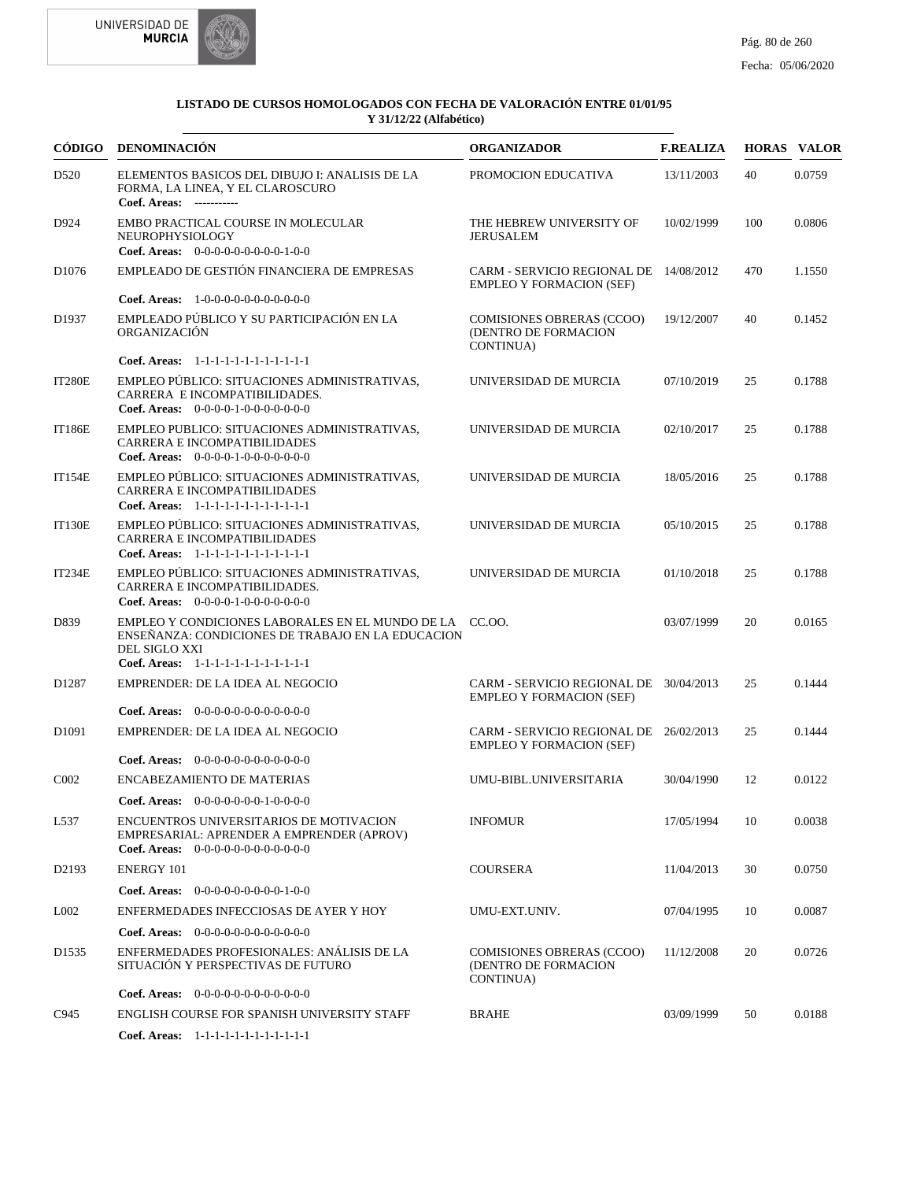



|                   | CÓDIGO DENOMINACIÓN                                                                                                                                                     | <b>ORGANIZADOR</b>                                                        | <b>F.REALIZA</b> |     | <b>HORAS VALOR</b> |
|-------------------|-------------------------------------------------------------------------------------------------------------------------------------------------------------------------|---------------------------------------------------------------------------|------------------|-----|--------------------|
| D <sub>520</sub>  | ELEMENTOS BASICOS DEL DIBUJO I: ANALISIS DE LA<br>FORMA, LA LINEA, Y EL CLAROSCURO<br>Coef. Areas: -----------                                                          | PROMOCION EDUCATIVA                                                       | 13/11/2003       | 40  | 0.0759             |
| D924              | EMBO PRACTICAL COURSE IN MOLECULAR<br>NEUROPHYSIOLOGY<br>Coef. Areas: $0-0-0-0-0-0-0-0-1-0-0$                                                                           | THE HEBREW UNIVERSITY OF<br>JERUSALEM                                     | 10/02/1999       | 100 | 0.0806             |
| D <sub>1076</sub> | EMPLEADO DE GESTIÓN FINANCIERA DE EMPRESAS                                                                                                                              | CARM - SERVICIO REGIONAL DE 14/08/2012<br><b>EMPLEO Y FORMACION (SEF)</b> |                  | 470 | 1.1550             |
|                   | <b>Coef. Areas:</b> $1-0-0-0-0-0-0-0-0-0-0-0$                                                                                                                           |                                                                           |                  |     |                    |
| D1937             | EMPLEADO PÚBLICO Y SU PARTICIPACIÓN EN LA<br>ORGANIZACIÓN                                                                                                               | COMISIONES OBRERAS (CCOO)<br>(DENTRO DE FORMACION<br>CONTINUA)            | 19/12/2007       | 40  | 0.1452             |
|                   | Coef. Areas: 1-1-1-1-1-1-1-1-1-1-1-1-1                                                                                                                                  |                                                                           |                  |     |                    |
| <b>IT280E</b>     | EMPLEO PÚBLICO: SITUACIONES ADMINISTRATIVAS,<br>CARRERA E INCOMPATIBILIDADES.<br>Coef. Areas: $0-0-0-0-1-0-0-0-0-0-0$                                                   | UNIVERSIDAD DE MURCIA                                                     | 07/10/2019       | 25  | 0.1788             |
| <b>IT186E</b>     | EMPLEO PUBLICO: SITUACIONES ADMINISTRATIVAS,<br>CARRERA E INCOMPATIBILIDADES<br>Coef. Areas: $0-0-0-0-1-0-0-0-0-0-0$                                                    | UNIVERSIDAD DE MURCIA                                                     | 02/10/2017       | 25  | 0.1788             |
| <b>IT154E</b>     | EMPLEO PÚBLICO: SITUACIONES ADMINISTRATIVAS,<br>CARRERA E INCOMPATIBILIDADES<br>Coef. Areas: 1-1-1-1-1-1-1-1-1-1-1-1-1                                                  | UNIVERSIDAD DE MURCIA                                                     | 18/05/2016       | 25  | 0.1788             |
| <b>IT130E</b>     | EMPLEO PÚBLICO: SITUACIONES ADMINISTRATIVAS,<br>CARRERA E INCOMPATIBILIDADES<br>Coef. Areas: 1-1-1-1-1-1-1-1-1-1-1-1-1                                                  | UNIVERSIDAD DE MURCIA                                                     | 05/10/2015       | 25  | 0.1788             |
| IT234E            | EMPLEO PÚBLICO: SITUACIONES ADMINISTRATIVAS,<br>CARRERA E INCOMPATIBILIDADES.<br>Coef. Areas: $0-0-0-0-1-0-0-0-0-0-0$                                                   | UNIVERSIDAD DE MURCIA                                                     | 01/10/2018       | 25  | 0.1788             |
| D839              | EMPLEO Y CONDICIONES LABORALES EN EL MUNDO DE LA CC.OO.<br>ENSEÑANZA: CONDICIONES DE TRABAJO EN LA EDUCACION<br>DEL SIGLO XXI<br>Coef. Areas: 1-1-1-1-1-1-1-1-1-1-1-1-1 |                                                                           | 03/07/1999       | 20  | 0.0165             |
| D <sub>1287</sub> | EMPRENDER: DE LA IDEA AL NEGOCIO                                                                                                                                        | CARM - SERVICIO REGIONAL DE 30/04/2013<br><b>EMPLEO Y FORMACION (SEF)</b> |                  | 25  | 0.1444             |
|                   | <b>Coef. Areas:</b> $0-0-0-0-0-0-0-0-0-0-0-0$                                                                                                                           |                                                                           |                  |     |                    |
| D <sub>1091</sub> | EMPRENDER: DE LA IDEA AL NEGOCIO<br><b>Coef. Areas:</b> $0-0-0-0-0-0-0-0-0-0-0-0$                                                                                       | CARM - SERVICIO REGIONAL DE 26/02/2013<br><b>EMPLEO Y FORMACION (SEF)</b> |                  | 25  | 0.1444             |
| C002              | <b>ENCABEZAMIENTO DE MATERIAS</b>                                                                                                                                       | UMU-BIBL.UNIVERSITARIA                                                    | 30/04/1990       | 12  | 0.0122             |
|                   |                                                                                                                                                                         |                                                                           |                  |     |                    |
| L537              | Coef. Areas: $0-0-0-0-0-0-1-0-0-0-0$<br>ENCUENTROS UNIVERSITARIOS DE MOTIVACION<br>EMPRESARIAL: APRENDER A EMPRENDER (APROV)<br>Coef. Areas: $0-0-0-0-0-0-0-0-0-0-0$    | <b>INFOMUR</b>                                                            | 17/05/1994       | 10  | 0.0038             |
| D2193             | <b>ENERGY 101</b>                                                                                                                                                       | <b>COURSERA</b>                                                           | 11/04/2013       | 30  | 0.0750             |
|                   | <b>Coef. Areas:</b> $0-0-0-0-0-0-0-0-1-0-0$                                                                                                                             |                                                                           |                  |     |                    |
| L002              | ENFERMEDADES INFECCIOSAS DE AYER Y HOY                                                                                                                                  | UMU-EXT.UNIV.                                                             | 07/04/1995       | 10  | 0.0087             |
|                   |                                                                                                                                                                         |                                                                           |                  |     |                    |
| D <sub>1535</sub> | <b>Coef. Areas:</b> $0-0-0-0-0-0-0-0-0-0-0-0$<br>ENFERMEDADES PROFESIONALES: ANÁLISIS DE LA<br>SITUACIÓN Y PERSPECTIVAS DE FUTURO                                       | <b>COMISIONES OBRERAS (CCOO)</b><br>(DENTRO DE FORMACION<br>CONTINUA)     | 11/12/2008       | 20  | 0.0726             |
|                   | <b>Coef. Areas:</b> $0-0-0-0-0-0-0-0-0-0-0-0$                                                                                                                           |                                                                           |                  |     |                    |
| C945              | ENGLISH COURSE FOR SPANISH UNIVERSITY STAFF                                                                                                                             | <b>BRAHE</b>                                                              | 03/09/1999       | 50  | 0.0188             |
|                   | Coef. Areas: 1-1-1-1-1-1-1-1-1-1-1-1-1                                                                                                                                  |                                                                           |                  |     |                    |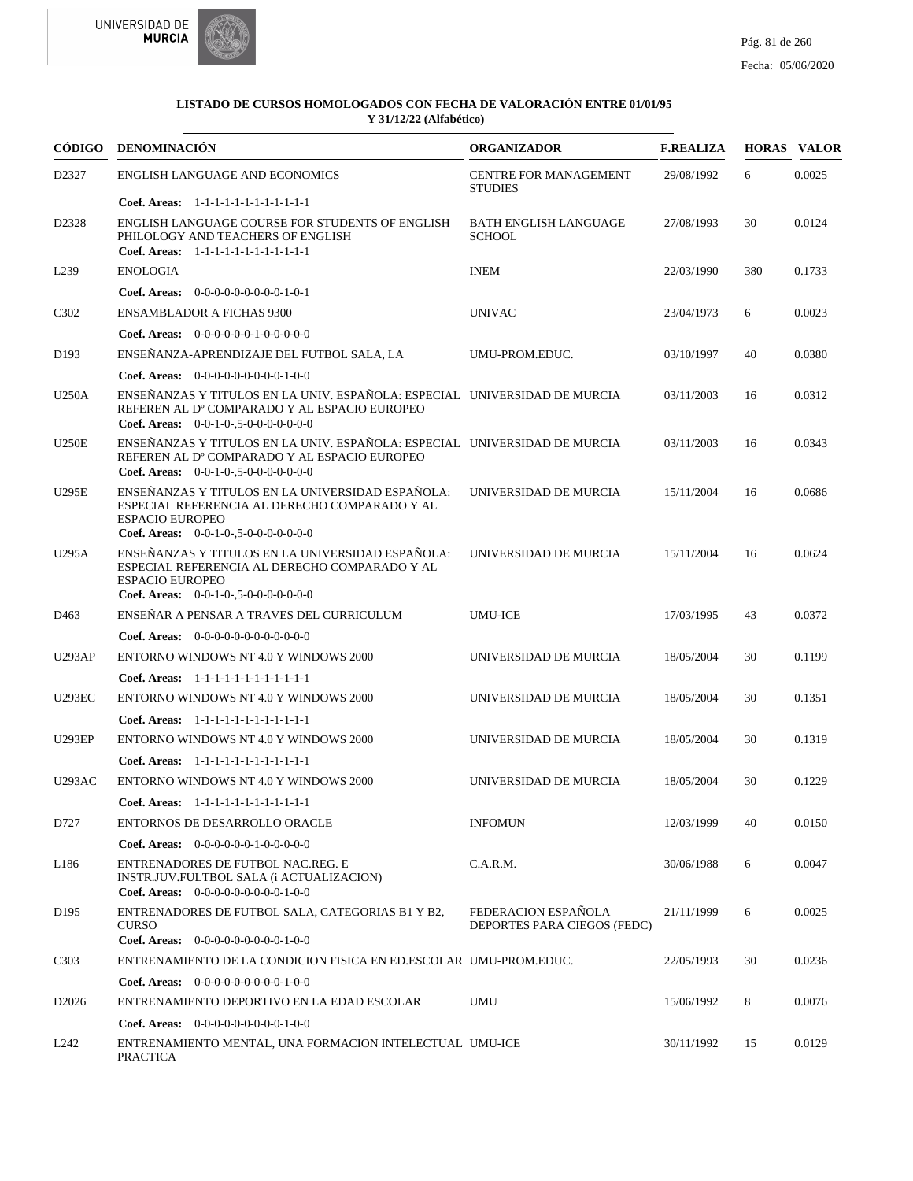



|                               | CÓDIGO DENOMINACIÓN                                                                                                                                                 | <b>ORGANIZADOR</b>                                 | <b>F.REALIZA</b> |     | <b>HORAS VALOR</b> |
|-------------------------------|---------------------------------------------------------------------------------------------------------------------------------------------------------------------|----------------------------------------------------|------------------|-----|--------------------|
| D2327                         | ENGLISH LANGUAGE AND ECONOMICS                                                                                                                                      | <b>CENTRE FOR MANAGEMENT</b><br><b>STUDIES</b>     | 29/08/1992       | 6   | 0.0025             |
|                               | Coef. Areas: 1-1-1-1-1-1-1-1-1-1-1-1-1                                                                                                                              |                                                    |                  |     |                    |
| D2328                         | ENGLISH LANGUAGE COURSE FOR STUDENTS OF ENGLISH<br>PHILOLOGY AND TEACHERS OF ENGLISH<br>Coef. Areas: 1-1-1-1-1-1-1-1-1-1-1-1-1                                      | <b>BATH ENGLISH LANGUAGE</b><br><b>SCHOOL</b>      | 27/08/1993       | 30  | 0.0124             |
| L <sub>239</sub>              | <b>ENOLOGIA</b>                                                                                                                                                     | <b>INEM</b>                                        | 22/03/1990       | 380 | 0.1733             |
|                               | Coef. Areas: $0-0-0-0-0-0-0-0-1-0-1$                                                                                                                                |                                                    |                  |     |                    |
| C <sub>3</sub> 0 <sub>2</sub> | <b>ENSAMBLADOR A FICHAS 9300</b>                                                                                                                                    | <b>UNIVAC</b>                                      | 23/04/1973       | 6   | 0.0023             |
|                               | <b>Coef. Areas:</b> $0-0-0-0-0-1-0-0-0-0-0$                                                                                                                         |                                                    |                  |     |                    |
| D <sub>193</sub>              | ENSEÑANZA-APRENDIZAJE DEL FUTBOL SALA, LA                                                                                                                           | UMU-PROM.EDUC.                                     | 03/10/1997       | 40  | 0.0380             |
|                               | <b>Coef. Areas:</b> $0-0-0-0-0-0-0-0-1-0-0$                                                                                                                         |                                                    |                  |     |                    |
| U250A                         | ENSEÑANZAS Y TITULOS EN LA UNIV. ESPAÑOLA: ESPECIAL UNIVERSIDAD DE MURCIA<br>REFEREN AL D° COMPARADO Y AL ESPACIO EUROPEO<br>Coef. Areas: $0-0-1-0-0.5-0-0-0-0-0-0$ |                                                    | 03/11/2003       | 16  | 0.0312             |
| <b>U250E</b>                  | ENSEÑANZAS Y TITULOS EN LA UNIV. ESPAÑOLA: ESPECIAL UNIVERSIDAD DE MURCIA<br>REFEREN AL D° COMPARADO Y AL ESPACIO EUROPEO<br>Coef. Areas: $0-0-1-0-0-0-0-0-0-0-0$   |                                                    | 03/11/2003       | 16  | 0.0343             |
| U295E                         | ENSEÑANZAS Y TITULOS EN LA UNIVERSIDAD ESPAÑOLA:<br>ESPECIAL REFERENCIA AL DERECHO COMPARADO Y AL<br><b>ESPACIO EUROPEO</b>                                         | UNIVERSIDAD DE MURCIA                              | 15/11/2004       | 16  | 0.0686             |
| U295A                         | Coef. Areas: $0-0-1-0-0-0-0-0-0-0-0$<br>ENSEÑANZAS Y TITULOS EN LA UNIVERSIDAD ESPAÑOLA:<br>ESPECIAL REFERENCIA AL DERECHO COMPARADO Y AL<br><b>ESPACIO EUROPEO</b> | UNIVERSIDAD DE MURCIA                              | 15/11/2004       | 16  | 0.0624             |
|                               | <b>Coef. Areas:</b> $0-0-1-0-0.5-0-0-0-0-0-0-0$                                                                                                                     |                                                    |                  |     |                    |
| D <sub>463</sub>              | ENSEÑAR A PENSAR A TRAVES DEL CURRICULUM                                                                                                                            | <b>UMU-ICE</b>                                     | 17/03/1995       | 43  | 0.0372             |
|                               | <b>Coef. Areas:</b> $0-0-0-0-0-0-0-0-0-0-0-0$                                                                                                                       |                                                    |                  |     |                    |
| <b>U293AP</b>                 | <b>ENTORNO WINDOWS NT 4.0 Y WINDOWS 2000</b>                                                                                                                        | UNIVERSIDAD DE MURCIA                              | 18/05/2004       | 30  | 0.1199             |
|                               | Coef. Areas: 1-1-1-1-1-1-1-1-1-1-1-1-1                                                                                                                              |                                                    |                  |     |                    |
| <b>U293EC</b>                 | ENTORNO WINDOWS NT 4.0 Y WINDOWS 2000                                                                                                                               | UNIVERSIDAD DE MURCIA                              | 18/05/2004       | 30  | 0.1351             |
|                               | Coef. Areas: 1-1-1-1-1-1-1-1-1-1-1-1-1                                                                                                                              |                                                    |                  |     |                    |
| <b>U293EP</b>                 | ENTORNO WINDOWS NT 4.0 Y WINDOWS 2000                                                                                                                               | UNIVERSIDAD DE MURCIA                              | 18/05/2004       | 30  | 0.1319             |
|                               | Coef. Areas: 1-1-1-1-1-1-1-1-1-1-1-1-1                                                                                                                              |                                                    |                  |     |                    |
| <b>U293AC</b>                 | ENTORNO WINDOWS NT 4.0 Y WINDOWS 2000                                                                                                                               | UNIVERSIDAD DE MURCIA                              | 18/05/2004       | 30  | 0.1229             |
|                               | Coef. Areas: $1-1-1-1-1-1-1-1-1-1-1$                                                                                                                                |                                                    |                  |     |                    |
| D727                          | ENTORNOS DE DESARROLLO ORACLE                                                                                                                                       | <b>INFOMUN</b>                                     | 12/03/1999       | 40  | 0.0150             |
|                               | <b>Coef. Areas:</b> $0-0-0-0-0-1-0-0-0-0-0$                                                                                                                         |                                                    |                  |     |                    |
| L186                          | ENTRENADORES DE FUTBOL NAC.REG. E<br>INSTR.JUV.FULTBOL SALA (i ACTUALIZACION)<br>Coef. Areas: $0-0-0-0-0-0-0-0-1-0-0$                                               | C.A.R.M.                                           | 30/06/1988       | 6   | 0.0047             |
| D <sub>195</sub>              | ENTRENADORES DE FUTBOL SALA, CATEGORIAS B1 Y B2,<br><b>CURSO</b><br>Coef. Areas: $0-0-0-0-0-0-0-0-1-0-0$                                                            | FEDERACION ESPAÑOLA<br>DEPORTES PARA CIEGOS (FEDC) | 21/11/1999       | 6   | 0.0025             |
| C <sub>3</sub> 0 <sub>3</sub> | ENTRENAMIENTO DE LA CONDICION FISICA EN ED.ESCOLAR UMU-PROM.EDUC.                                                                                                   |                                                    | 22/05/1993       | 30  | 0.0236             |
|                               | <b>Coef. Areas:</b> $0-0-0-0-0-0-0-0-1-0-0$                                                                                                                         |                                                    |                  |     |                    |
| D2026                         | ENTRENAMIENTO DEPORTIVO EN LA EDAD ESCOLAR                                                                                                                          | <b>UMU</b>                                         | 15/06/1992       | 8   | 0.0076             |
|                               | <b>Coef. Areas:</b> $0-0-0-0-0-0-0-0-1-0-0$                                                                                                                         |                                                    |                  |     |                    |
| L <sub>242</sub>              | ENTRENAMIENTO MENTAL, UNA FORMACION INTELECTUAL UMU-ICE<br><b>PRACTICA</b>                                                                                          |                                                    | 30/11/1992       | 15  | 0.0129             |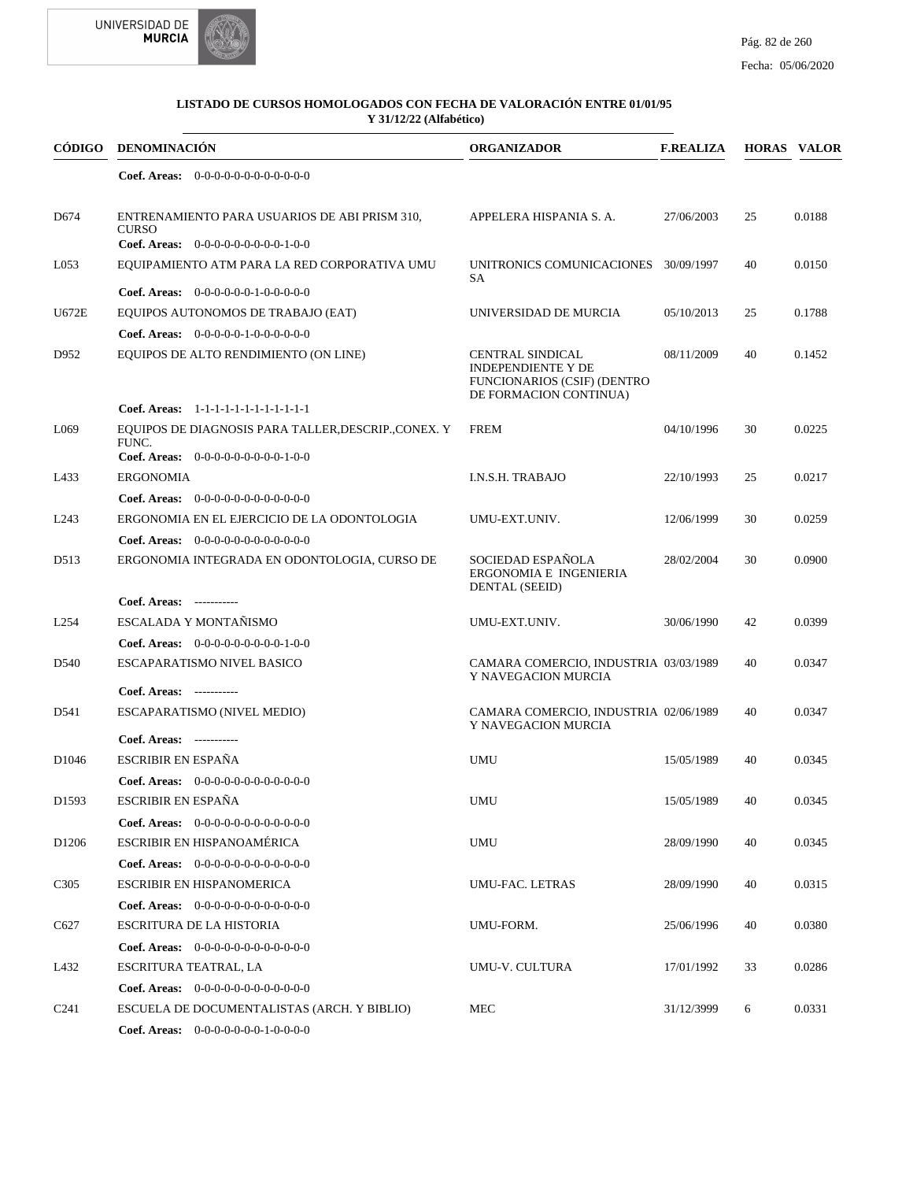



| CÓDIGO            | <b>DENOMINACIÓN</b>                                                                  | <b>ORGANIZADOR</b>                                                                                                   | <b>F.REALIZA</b> |    | <b>HORAS VALOR</b> |
|-------------------|--------------------------------------------------------------------------------------|----------------------------------------------------------------------------------------------------------------------|------------------|----|--------------------|
|                   | Coef. Areas: $0-0-0-0-0-0-0-0-0-0-0$                                                 |                                                                                                                      |                  |    |                    |
| D <sub>674</sub>  | ENTRENAMIENTO PARA USUARIOS DE ABI PRISM 310,<br><b>CURSO</b>                        | APPELERA HISPANIA S. A.                                                                                              | 27/06/2003       | 25 | 0.0188             |
| L <sub>053</sub>  | Coef. Areas: $0-0-0-0-0-0-0-0-1-0-0$<br>EQUIPAMIENTO ATM PARA LA RED CORPORATIVA UMU | UNITRONICS COMUNICACIONES 30/09/1997<br>SA                                                                           |                  | 40 | 0.0150             |
|                   | Coef. Areas: $0-0-0-0-0-1-0-0-0-0-0$                                                 |                                                                                                                      |                  |    |                    |
| U672E             | EQUIPOS AUTONOMOS DE TRABAJO (EAT)                                                   | UNIVERSIDAD DE MURCIA                                                                                                | 05/10/2013       | 25 | 0.1788             |
|                   | Coef. Areas: $0-0-0-0-1-0-0-0-0-0-0$                                                 |                                                                                                                      |                  |    |                    |
| D952              | EQUIPOS DE ALTO RENDIMIENTO (ON LINE)                                                | <b>CENTRAL SINDICAL</b><br><b>INDEPENDIENTE Y DE</b><br><b>FUNCIONARIOS (CSIF) (DENTRO</b><br>DE FORMACION CONTINUA) | 08/11/2009       | 40 | 0.1452             |
|                   | Coef. Areas: 1-1-1-1-1-1-1-1-1-1-1-1-1                                               |                                                                                                                      |                  |    |                    |
| L069              | EQUIPOS DE DIAGNOSIS PARA TALLER, DESCRIP., CONEX. Y<br>FUNC.                        | <b>FREM</b>                                                                                                          | 04/10/1996       | 30 | 0.0225             |
|                   | Coef. Areas: $0-0-0-0-0-0-0-0-1-0-0$                                                 |                                                                                                                      |                  |    |                    |
| L433              | <b>ERGONOMIA</b>                                                                     | I.N.S.H. TRABAJO                                                                                                     | 22/10/1993       | 25 | 0.0217             |
|                   | <b>Coef. Areas:</b> $0-0-0-0-0-0-0-0-0-0-0-0$                                        |                                                                                                                      |                  |    |                    |
| L <sub>243</sub>  | ERGONOMIA EN EL EJERCICIO DE LA ODONTOLOGIA                                          | UMU-EXT.UNIV.                                                                                                        | 12/06/1999       | 30 | 0.0259             |
|                   | Coef. Areas: 0-0-0-0-0-0-0-0-0-0-0-0-0                                               |                                                                                                                      |                  |    |                    |
| D513              | ERGONOMIA INTEGRADA EN ODONTOLOGIA, CURSO DE                                         | SOCIEDAD ESPAÑOLA<br>ERGONOMIA E INGENIERIA<br><b>DENTAL (SEEID)</b>                                                 | 28/02/2004       | 30 | 0.0900             |
|                   | Coef. Areas: -----------                                                             |                                                                                                                      |                  |    |                    |
| L <sub>254</sub>  | ESCALADA Y MONTAÑISMO                                                                | UMU-EXT.UNIV.                                                                                                        | 30/06/1990       | 42 | 0.0399             |
|                   | <b>Coef. Areas:</b> $0-0-0-0-0-0-0-0-1-0-0$                                          |                                                                                                                      |                  |    |                    |
| D <sub>540</sub>  | ESCAPARATISMO NIVEL BASICO                                                           | CAMARA COMERCIO, INDUSTRIA 03/03/1989<br>Y NAVEGACION MURCIA                                                         |                  | 40 | 0.0347             |
|                   | Coef. Areas: -----------                                                             |                                                                                                                      |                  |    |                    |
| D541              | ESCAPARATISMO (NIVEL MEDIO)<br>Coef. Areas: -----------                              | CAMARA COMERCIO, INDUSTRIA 02/06/1989<br>Y NAVEGACION MURCIA                                                         |                  | 40 | 0.0347             |
|                   | <b>ESCRIBIR EN ESPAÑA</b>                                                            |                                                                                                                      |                  | 40 |                    |
| D <sub>1046</sub> | Coef. Areas: $0-0-0-0-0-0-0-0-0-0-0-0$                                               | <b>UMU</b>                                                                                                           | 15/05/1989       |    | 0.0345             |
|                   | ESCRIBIR EN ESPAÑA                                                                   |                                                                                                                      |                  |    |                    |
| D1593             |                                                                                      | UMU                                                                                                                  | 15/05/1989       | 40 | 0.0345             |
|                   | <b>Coef. Areas:</b> $0-0-0-0-0-0-0-0-0-0-0-0$                                        |                                                                                                                      |                  |    |                    |
| D <sub>1206</sub> | ESCRIBIR EN HISPANOAMÉRICA                                                           | UMU                                                                                                                  | 28/09/1990       | 40 | 0.0345             |
|                   | Coef. Areas: $0-0-0-0-0-0-0-0-0-0-0$                                                 |                                                                                                                      |                  |    |                    |
| C <sub>3</sub> 05 | ESCRIBIR EN HISPANOMERICA                                                            | UMU-FAC. LETRAS                                                                                                      | 28/09/1990       | 40 | 0.0315             |
|                   | Coef. Areas: 0-0-0-0-0-0-0-0-0-0-0-0-0                                               |                                                                                                                      |                  |    |                    |
| C627              | ESCRITURA DE LA HISTORIA                                                             | UMU-FORM.                                                                                                            | 25/06/1996       | 40 | 0.0380             |
|                   | Coef. Areas: $0-0-0-0-0-0-0-0-0-0-0$                                                 |                                                                                                                      |                  |    |                    |
| L432              | ESCRITURA TEATRAL, LA                                                                | UMU-V. CULTURA                                                                                                       | 17/01/1992       | 33 | 0.0286             |
|                   | Coef. Areas: $0-0-0-0-0-0-0-0-0-0-0$                                                 |                                                                                                                      |                  |    |                    |
| C <sub>241</sub>  | ESCUELA DE DOCUMENTALISTAS (ARCH. Y BIBLIO)                                          | MEC                                                                                                                  | 31/12/3999       | 6  | 0.0331             |
|                   | <b>Coef. Areas:</b> $0-0-0-0-0-0-1-0-0-0-0$                                          |                                                                                                                      |                  |    |                    |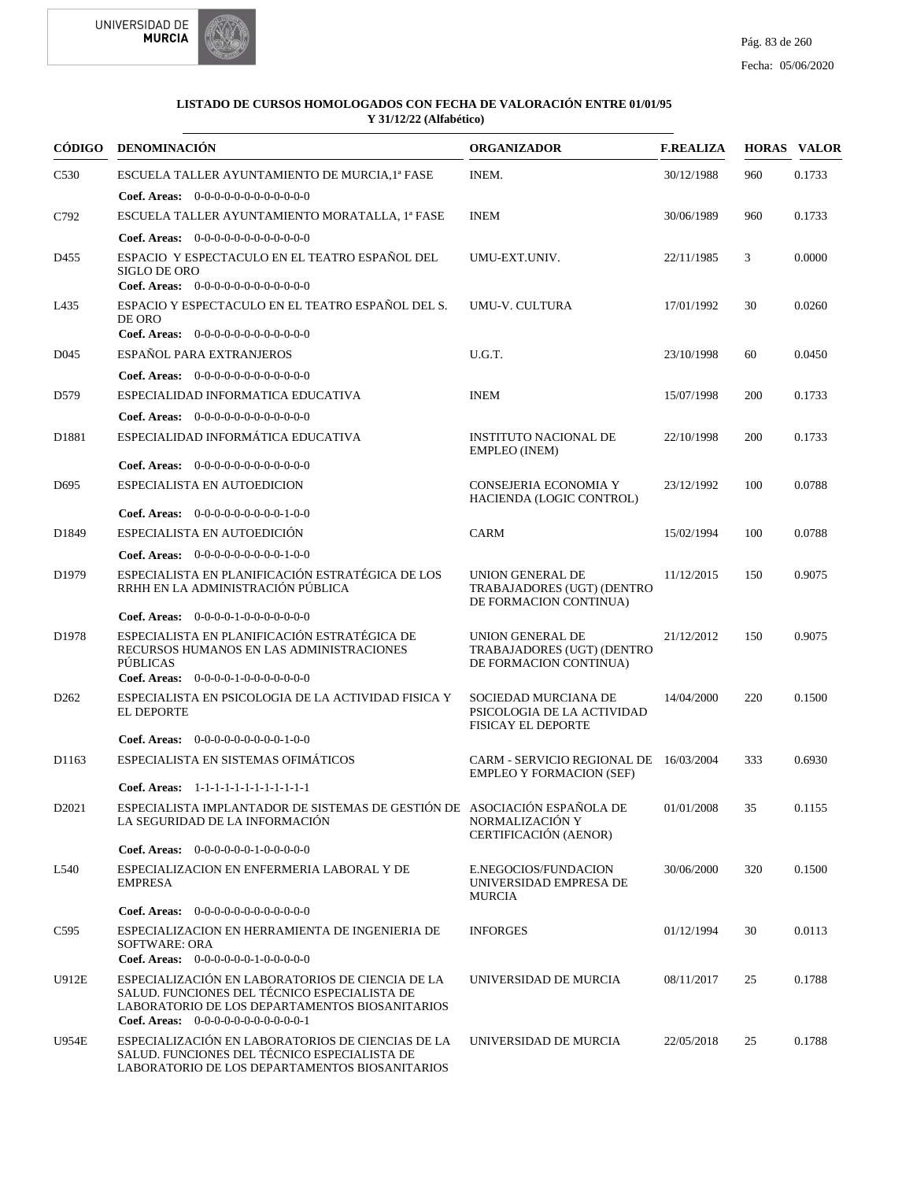



|                   | CÓDIGO DENOMINACIÓN                                                                                                                                                                        | <b>ORGANIZADOR</b>                                                              | <b>F.REALIZA</b> |     | <b>HORAS VALOR</b> |
|-------------------|--------------------------------------------------------------------------------------------------------------------------------------------------------------------------------------------|---------------------------------------------------------------------------------|------------------|-----|--------------------|
| C <sub>530</sub>  | ESCUELA TALLER AYUNTAMIENTO DE MURCIA, 1ª FASE                                                                                                                                             | INEM.                                                                           | 30/12/1988       | 960 | 0.1733             |
|                   | <b>Coef. Areas:</b> $0-0-0-0-0-0-0-0-0-0-0-0$                                                                                                                                              |                                                                                 |                  |     |                    |
| C792              | ESCUELA TALLER AYUNTAMIENTO MORATALLA, 1ª FASE                                                                                                                                             | <b>INEM</b>                                                                     | 30/06/1989       | 960 | 0.1733             |
|                   | <b>Coef. Areas:</b> $0-0-0-0-0-0-0-0-0-0-0-0$                                                                                                                                              |                                                                                 |                  |     |                    |
| D455              | ESPACIO Y ESPECTACULO EN EL TEATRO ESPAÑOL DEL<br><b>SIGLO DE ORO</b><br>Coef. Areas: $0-0-0-0-0-0-0-0-0-0-0$                                                                              | UMU-EXT.UNIV.                                                                   | 22/11/1985       | 3   | 0.0000             |
| L435              | ESPACIO Y ESPECTACULO EN EL TEATRO ESPAÑOL DEL S.<br>DE ORO<br>Coef. Areas: 0-0-0-0-0-0-0-0-0-0-0-0-0                                                                                      | UMU-V. CULTURA                                                                  | 17/01/1992       | 30  | 0.0260             |
| D <sub>045</sub>  | ESPAÑOL PARA EXTRANJEROS                                                                                                                                                                   | U.G.T.                                                                          | 23/10/1998       | 60  | 0.0450             |
|                   | <b>Coef. Areas:</b> $0-0-0-0-0-0-0-0-0-0-0-0$                                                                                                                                              |                                                                                 |                  |     |                    |
| D579              | ESPECIALIDAD INFORMATICA EDUCATIVA                                                                                                                                                         | <b>INEM</b>                                                                     | 15/07/1998       | 200 | 0.1733             |
|                   | Coef. Areas: 0-0-0-0-0-0-0-0-0-0-0-0-0                                                                                                                                                     |                                                                                 |                  |     |                    |
| D1881             | ESPECIALIDAD INFORMÁTICA EDUCATIVA                                                                                                                                                         | <b>INSTITUTO NACIONAL DE</b><br>EMPLEO (INEM)                                   | 22/10/1998       | 200 | 0.1733             |
|                   | Coef. Areas: $0-0-0-0-0-0-0-0-0-0-0-0$                                                                                                                                                     |                                                                                 |                  |     |                    |
| D <sub>695</sub>  | ESPECIALISTA EN AUTOEDICION                                                                                                                                                                | CONSEJERIA ECONOMIA Y<br>HACIENDA (LOGIC CONTROL)                               | 23/12/1992       | 100 | 0.0788             |
|                   | <b>Coef. Areas:</b> $0-0-0-0-0-0-0-0-1-0-0$<br>ESPECIALISTA EN AUTOEDICIÓN                                                                                                                 |                                                                                 | 15/02/1994       |     |                    |
| D1849             |                                                                                                                                                                                            | <b>CARM</b>                                                                     |                  | 100 | 0.0788             |
|                   | <b>Coef. Areas:</b> $0-0-0-0-0-0-0-0-1-0-0$                                                                                                                                                |                                                                                 |                  |     |                    |
| D <sub>1979</sub> | ESPECIALISTA EN PLANIFICACIÓN ESTRATÉGICA DE LOS<br>RRHH EN LA ADMINISTRACIÓN PÚBLICA                                                                                                      | UNION GENERAL DE<br>TRABAJADORES (UGT) (DENTRO<br>DE FORMACION CONTINUA)        | 11/12/2015       | 150 | 0.9075             |
|                   | Coef. Areas: $0-0-0-0-1-0-0-0-0-0-0$                                                                                                                                                       |                                                                                 |                  |     |                    |
| D <sub>1978</sub> | ESPECIALISTA EN PLANIFICACIÓN ESTRATÉGICA DE<br>RECURSOS HUMANOS EN LAS ADMINISTRACIONES<br><b>PÚBLICAS</b>                                                                                | UNION GENERAL DE<br>TRABAJADORES (UGT) (DENTRO<br>DE FORMACION CONTINUA)        | 21/12/2012       | 150 | 0.9075             |
|                   | Coef. Areas: $0-0-0-0-1-0-0-0-0-0-0$                                                                                                                                                       |                                                                                 |                  |     |                    |
| D <sub>262</sub>  | ESPECIALISTA EN PSICOLOGIA DE LA ACTIVIDAD FISICA Y<br><b>EL DEPORTE</b>                                                                                                                   | SOCIEDAD MURCIANA DE<br>PSICOLOGIA DE LA ACTIVIDAD<br><b>FISICAY EL DEPORTE</b> | 14/04/2000       | 220 | 0.1500             |
|                   | <b>Coef. Areas:</b> $0-0-0-0-0-0-0-0-1-0-0$                                                                                                                                                |                                                                                 |                  |     |                    |
| D1163             | ESPECIALISTA EN SISTEMAS OFIMÁTICOS                                                                                                                                                        | CARM - SERVICIO REGIONAL DE 16/03/2004<br><b>EMPLEO Y FORMACION (SEF)</b>       |                  | 333 | 0.6930             |
|                   | Coef. Areas: 1-1-1-1-1-1-1-1-1-1-1-1-1<br>ESPECIALISTA IMPLANTADOR DE SISTEMAS DE GESTIÓN DE ASOCIACIÓN ESPAÑOLA DE                                                                        |                                                                                 |                  |     |                    |
| D <sub>2021</sub> | LA SEGURIDAD DE LA INFORMACIÓN                                                                                                                                                             | NORMALIZACIÓN Y<br>CERTIFICACIÓN (AENOR)                                        | 01/01/2008       | 35  | 0.1155             |
|                   | Coef. Areas: $0-0-0-0-0-1-0-0-0-0-0$                                                                                                                                                       |                                                                                 |                  |     |                    |
| L540              | ESPECIALIZACION EN ENFERMERIA LABORAL Y DE<br><b>EMPRESA</b>                                                                                                                               | E.NEGOCIOS/FUNDACION<br>UNIVERSIDAD EMPRESA DE<br><b>MURCIA</b>                 | 30/06/2000       | 320 | 0.1500             |
|                   | <b>Coef. Areas:</b> $0-0-0-0-0-0-0-0-0-0-0-0$                                                                                                                                              |                                                                                 |                  |     |                    |
| C595              | ESPECIALIZACION EN HERRAMIENTA DE INGENIERIA DE<br><b>SOFTWARE: ORA</b><br>Coef. Areas: 0-0-0-0-0-0-1-0-0-0-0-0                                                                            | <b>INFORGES</b>                                                                 | 01/12/1994       | 30  | 0.0113             |
| U912E             | ESPECIALIZACIÓN EN LABORATORIOS DE CIENCIA DE LA<br>SALUD. FUNCIONES DEL TÉCNICO ESPECIALISTA DE<br>LABORATORIO DE LOS DEPARTAMENTOS BIOSANITARIOS<br>Coef. Areas: $0-0-0-0-0-0-0-0-0-0-1$ | UNIVERSIDAD DE MURCIA                                                           | 08/11/2017       | 25  | 0.1788             |
| U954E             | ESPECIALIZACIÓN EN LABORATORIOS DE CIENCIAS DE LA<br>SALUD. FUNCIONES DEL TÉCNICO ESPECIALISTA DE<br>LABORATORIO DE LOS DEPARTAMENTOS BIOSANITARIOS                                        | UNIVERSIDAD DE MURCIA                                                           | 22/05/2018       | 25  | 0.1788             |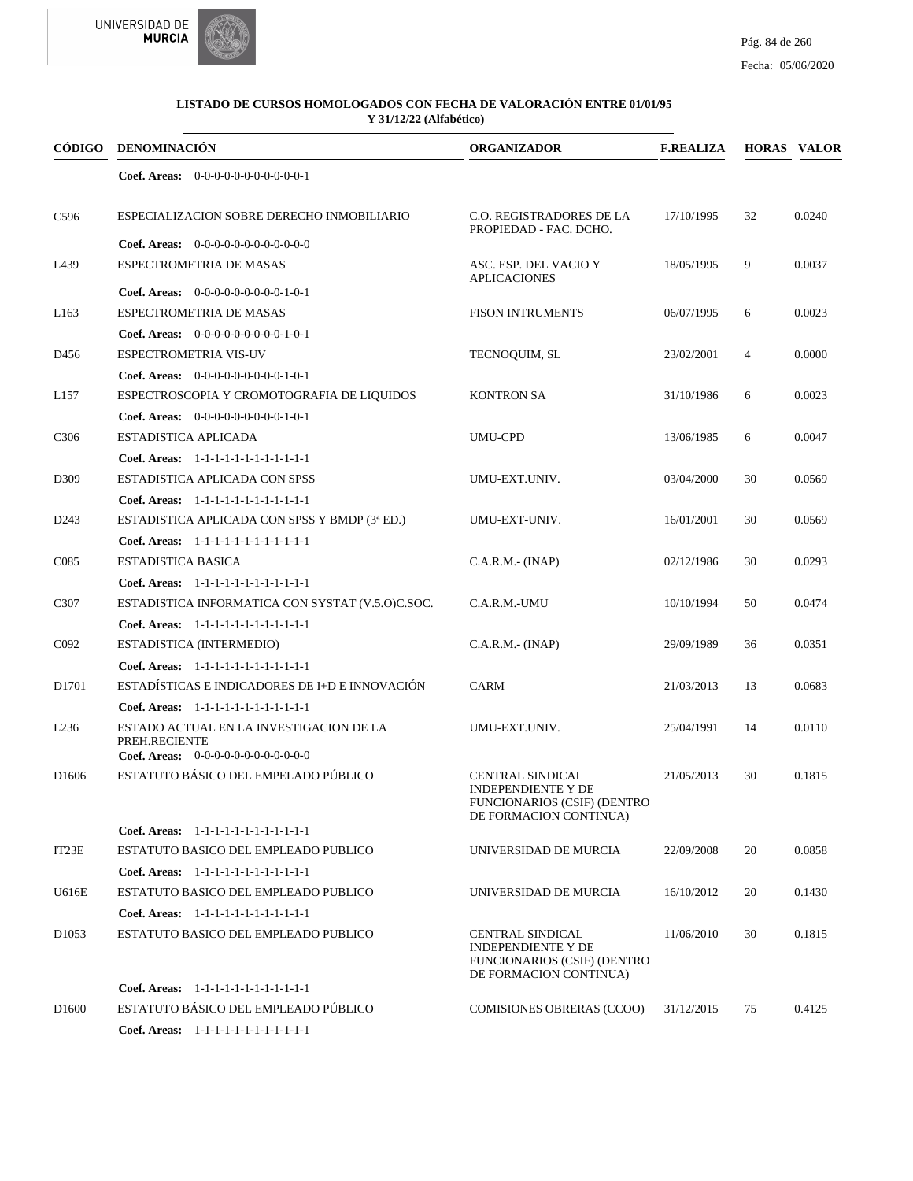



1-1-1-1-1-1-1-1-1-1-1-1 **Coef. Areas:**

| CÓDIGO            | <b>DENOMINACIÓN</b>                                                                                           | <b>ORGANIZADOR</b>                                                                                                   | <b>F.REALIZA</b> |                | <b>HORAS VALOR</b> |
|-------------------|---------------------------------------------------------------------------------------------------------------|----------------------------------------------------------------------------------------------------------------------|------------------|----------------|--------------------|
|                   | Coef. Areas: $0-0-0-0-0-0-0-0-0-0-0-1$                                                                        |                                                                                                                      |                  |                |                    |
| C <sub>596</sub>  | ESPECIALIZACION SOBRE DERECHO INMOBILIARIO                                                                    | C.O. REGISTRADORES DE LA<br>PROPIEDAD - FAC. DCHO.                                                                   | 17/10/1995       | 32             | 0.0240             |
| L439              | <b>Coef. Areas:</b> $0-0-0-0-0-0-0-0-0-0-0-0$<br>ESPECTROMETRIA DE MASAS                                      | ASC. ESP. DEL VACIO Y<br><b>APLICACIONES</b>                                                                         | 18/05/1995       | 9              | 0.0037             |
| L <sub>163</sub>  | Coef. Areas: $0-0-0-0-0-0-0-0-1-0-1$<br>ESPECTROMETRIA DE MASAS                                               | <b>FISON INTRUMENTS</b>                                                                                              | 06/07/1995       | 6              | 0.0023             |
| D456              | Coef. Areas: $0-0-0-0-0-0-0-0-1-0-1$<br>ESPECTROMETRIA VIS-UV                                                 | TECNOQUIM, SL                                                                                                        | 23/02/2001       | $\overline{4}$ | 0.0000             |
| L157              | Coef. Areas: $0-0-0-0-0-0-0-0-1-0-1$<br>ESPECTROSCOPIA Y CROMOTOGRAFIA DE LIQUIDOS                            | <b>KONTRON SA</b>                                                                                                    | 31/10/1986       | 6              | 0.0023             |
| C <sub>3</sub> 06 | <b>Coef. Areas:</b> $0-0-0-0-0-0-0-0-1-0-1$<br>ESTADISTICA APLICADA<br>Coef. Areas: 1-1-1-1-1-1-1-1-1-1-1-1-1 | <b>UMU-CPD</b>                                                                                                       | 13/06/1985       | 6              | 0.0047             |
| D309              | ESTADISTICA APLICADA CON SPSS<br>Coef. Areas: 1-1-1-1-1-1-1-1-1-1-1-1-1                                       | UMU-EXT.UNIV.                                                                                                        | 03/04/2000       | 30             | 0.0569             |
| D <sub>243</sub>  | ESTADISTICA APLICADA CON SPSS Y BMDP (3ª ED.)<br>Coef. Areas: 1-1-1-1-1-1-1-1-1-1-1-1-1                       | UMU-EXT-UNIV.                                                                                                        | 16/01/2001       | 30             | 0.0569             |
| C <sub>085</sub>  | ESTADISTICA BASICA<br>Coef. Areas: 1-1-1-1-1-1-1-1-1-1-1-1-1                                                  | $C.A.R.M.-(INAP)$                                                                                                    | 02/12/1986       | 30             | 0.0293             |
| C307              | ESTADISTICA INFORMATICA CON SYSTAT (V.5.0)C.SOC.<br>Coef. Areas: 1-1-1-1-1-1-1-1-1-1-1-1-1                    | C.A.R.M.-UMU                                                                                                         | 10/10/1994       | 50             | 0.0474             |
| C <sub>092</sub>  | ESTADISTICA (INTERMEDIO)<br>Coef. Areas: 1-1-1-1-1-1-1-1-1-1-1-1-1                                            | $C.A.R.M.-(INAP)$                                                                                                    | 29/09/1989       | 36             | 0.0351             |
| D <sub>1701</sub> | ESTADÍSTICAS E INDICADORES DE I+D E INNOVACIÓN<br>Coef. Areas: 1-1-1-1-1-1-1-1-1-1-1-1-1                      | CARM                                                                                                                 | 21/03/2013       | 13             | 0.0683             |
| L <sub>236</sub>  | ESTADO ACTUAL EN LA INVESTIGACION DE LA<br>PREH.RECIENTE<br>Coef. Areas: $0-0-0-0-0-0-0-0-0-0-0$              | UMU-EXT.UNIV.                                                                                                        | 25/04/1991       | 14             | 0.0110             |
| D <sub>1606</sub> | ESTATUTO BÁSICO DEL EMPELADO PÚBLICO                                                                          | CENTRAL SINDICAL<br>INDEPENDIENTE Y DE<br>FUNCIONARIOS (CSIF) (DENTRO<br>DE FORMACION CONTINUA)                      | 21/05/2013       | 30             | 0.1815             |
|                   | Coef. Areas: 1-1-1-1-1-1-1-1-1-1-1-1-1                                                                        |                                                                                                                      |                  |                |                    |
| IT23E             | ESTATUTO BASICO DEL EMPLEADO PUBLICO                                                                          | UNIVERSIDAD DE MURCIA                                                                                                | 22/09/2008       | 20             | 0.0858             |
|                   | Coef. Areas: 1-1-1-1-1-1-1-1-1-1-1-1-1                                                                        |                                                                                                                      |                  |                |                    |
| U616E             | ESTATUTO BASICO DEL EMPLEADO PUBLICO                                                                          | UNIVERSIDAD DE MURCIA                                                                                                | 16/10/2012       | 20             | 0.1430             |
|                   | Coef. Areas: 1-1-1-1-1-1-1-1-1-1-1-1-1                                                                        |                                                                                                                      |                  |                |                    |
| D <sub>1053</sub> | ESTATUTO BASICO DEL EMPLEADO PUBLICO                                                                          | <b>CENTRAL SINDICAL</b><br><b>INDEPENDIENTE Y DE</b><br><b>FUNCIONARIOS (CSIF) (DENTRO</b><br>DE FORMACION CONTINUA) | 11/06/2010       | 30             | 0.1815             |
|                   | Coef. Areas: 1-1-1-1-1-1-1-1-1-1-1-1-1                                                                        |                                                                                                                      |                  |                |                    |
| D <sub>1600</sub> | ESTATUTO BÁSICO DEL EMPLEADO PÚBLICO                                                                          | COMISIONES OBRERAS (CCOO)                                                                                            | 31/12/2015       | 75             | 0.4125             |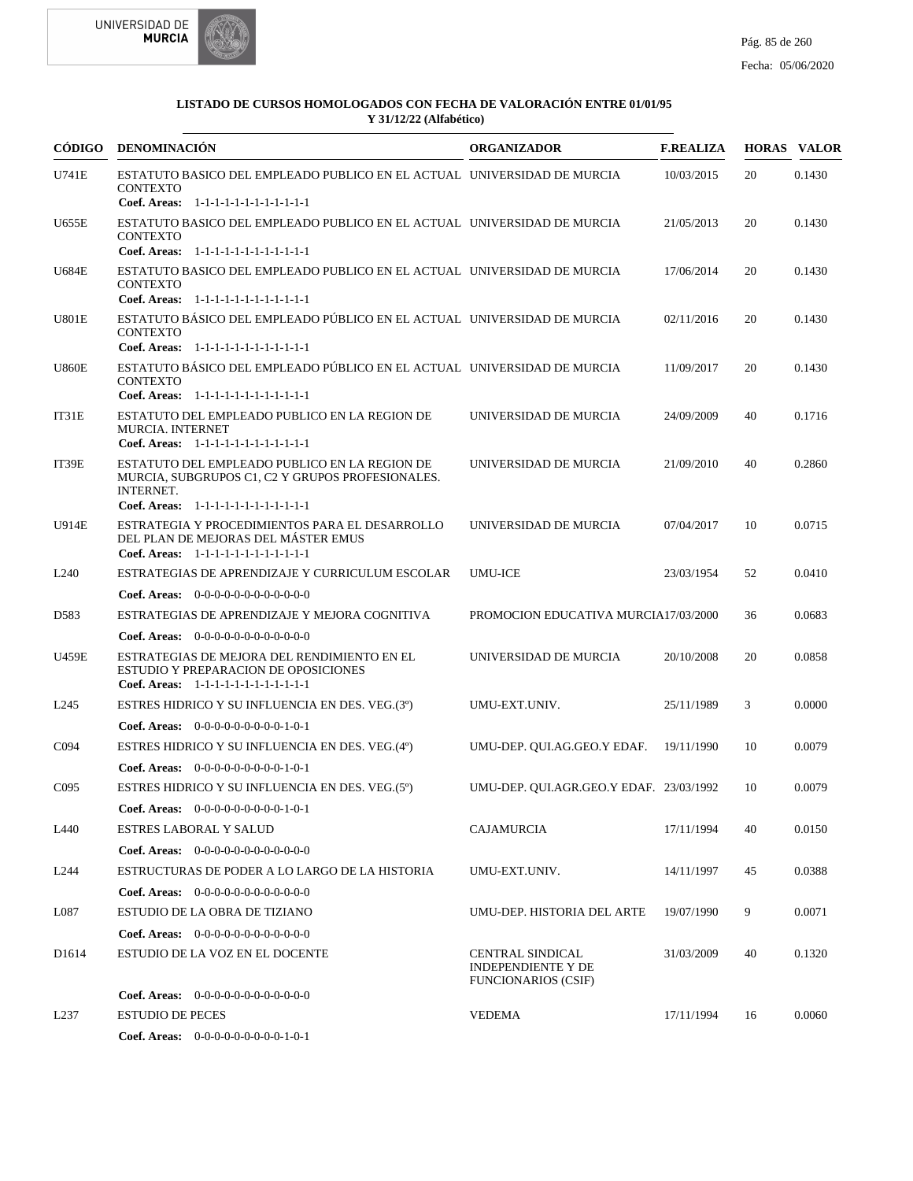



| CÓDIGO            | DENOMINACIÓN                                                                                                                                                                   | <b>ORGANIZADOR</b>                                                                 | <b>F.REALIZA</b> |    | <b>HORAS VALOR</b> |
|-------------------|--------------------------------------------------------------------------------------------------------------------------------------------------------------------------------|------------------------------------------------------------------------------------|------------------|----|--------------------|
| U741E             | ESTATUTO BASICO DEL EMPLEADO PUBLICO EN EL ACTUAL UNIVERSIDAD DE MURCIA<br><b>CONTEXTO</b><br>Coef. Areas: 1-1-1-1-1-1-1-1-1-1-1-1-1                                           |                                                                                    | 10/03/2015       | 20 | 0.1430             |
| U655E             | ESTATUTO BASICO DEL EMPLEADO PUBLICO EN EL ACTUAL UNIVERSIDAD DE MURCIA<br><b>CONTEXTO</b><br>Coef. Areas: 1-1-1-1-1-1-1-1-1-1-1-1-1                                           |                                                                                    | 21/05/2013       | 20 | 0.1430             |
| <b>U684E</b>      | ESTATUTO BASICO DEL EMPLEADO PUBLICO EN EL ACTUAL UNIVERSIDAD DE MURCIA<br><b>CONTEXTO</b>                                                                                     |                                                                                    | 17/06/2014       | 20 | 0.1430             |
| <b>U801E</b>      | Coef. Areas: 1-1-1-1-1-1-1-1-1-1-1-1-1<br>ESTATUTO BÁSICO DEL EMPLEADO PÚBLICO EN EL ACTUAL UNIVERSIDAD DE MURCIA<br><b>CONTEXTO</b><br>Coef. Areas: 1-1-1-1-1-1-1-1-1-1-1-1-1 |                                                                                    | 02/11/2016       | 20 | 0.1430             |
| <b>U860E</b>      | ESTATUTO BÁSICO DEL EMPLEADO PÚBLICO EN EL ACTUAL UNIVERSIDAD DE MURCIA<br><b>CONTEXTO</b><br>Coef. Areas: 1-1-1-1-1-1-1-1-1-1-1-1-1                                           |                                                                                    | 11/09/2017       | 20 | 0.1430             |
| IT31E             | ESTATUTO DEL EMPLEADO PUBLICO EN LA REGION DE<br><b>MURCIA. INTERNET</b><br>Coef. Areas: $1-1-1-1-1-1-1-1-1-1-1$                                                               | UNIVERSIDAD DE MURCIA                                                              | 24/09/2009       | 40 | 0.1716             |
| IT39E             | ESTATUTO DEL EMPLEADO PUBLICO EN LA REGION DE<br>MURCIA, SUBGRUPOS C1, C2 Y GRUPOS PROFESIONALES.<br><b>INTERNET.</b>                                                          | UNIVERSIDAD DE MURCIA                                                              | 21/09/2010       | 40 | 0.2860             |
| U914E             | Coef. Areas: 1-1-1-1-1-1-1-1-1-1-1-1-1<br>ESTRATEGIA Y PROCEDIMIENTOS PARA EL DESARROLLO<br>DEL PLAN DE MEJORAS DEL MÁSTER EMUS<br>Coef. Areas: 1-1-1-1-1-1-1-1-1-1-1-1-1      | UNIVERSIDAD DE MURCIA                                                              | 07/04/2017       | 10 | 0.0715             |
| L <sub>240</sub>  | ESTRATEGIAS DE APRENDIZAJE Y CURRICULUM ESCOLAR                                                                                                                                | <b>UMU-ICE</b>                                                                     | 23/03/1954       | 52 | 0.0410             |
|                   | <b>Coef. Areas:</b> $0-0-0-0-0-0-0-0-0-0-0-0$                                                                                                                                  |                                                                                    |                  |    |                    |
| D583              | ESTRATEGIAS DE APRENDIZAJE Y MEJORA COGNITIVA                                                                                                                                  | PROMOCION EDUCATIVA MURCIA17/03/2000                                               |                  | 36 | 0.0683             |
|                   | <b>Coef. Areas:</b> $0-0-0-0-0-0-0-0-0-0-0-0$                                                                                                                                  |                                                                                    |                  |    |                    |
| <b>U459E</b>      | ESTRATEGIAS DE MEJORA DEL RENDIMIENTO EN EL<br>ESTUDIO Y PREPARACION DE OPOSICIONES<br>Coef. Areas: 1-1-1-1-1-1-1-1-1-1-1-1-1                                                  | UNIVERSIDAD DE MURCIA                                                              | 20/10/2008       | 20 | 0.0858             |
| L <sub>245</sub>  | ESTRES HIDRICO Y SU INFLUENCIA EN DES. VEG.(3°)                                                                                                                                | UMU-EXT.UNIV.                                                                      | 25/11/1989       | 3  | 0.0000             |
|                   | <b>Coef. Areas:</b> $0-0-0-0-0-0-0-0-1-0-1$                                                                                                                                    |                                                                                    |                  |    |                    |
| C <sub>094</sub>  | ESTRES HIDRICO Y SU INFLUENCIA EN DES. VEG.(4°)                                                                                                                                | UMU-DEP. QUI.AG.GEO.Y EDAF.                                                        | 19/11/1990       | 10 | 0.0079             |
|                   | Coef. Areas: $0-0-0-0-0-0-0-0-1-0-1$                                                                                                                                           |                                                                                    |                  |    |                    |
| C <sub>095</sub>  | ESTRES HIDRICO Y SU INFLUENCIA EN DES. VEG.(5°)                                                                                                                                | UMU-DEP. QUI.AGR.GEO.Y EDAF. 23/03/1992                                            |                  | 10 | 0.0079             |
|                   | Coef. Areas: 0-0-0-0-0-0-0-0-0-1-0-1                                                                                                                                           |                                                                                    |                  |    |                    |
| L440              | ESTRES LABORAL Y SALUD                                                                                                                                                         | <b>CAJAMURCIA</b>                                                                  | 17/11/1994       | 40 | 0.0150             |
|                   | Coef. Areas: $0-0-0-0-0-0-0-0-0-0-0-0$                                                                                                                                         |                                                                                    |                  |    |                    |
| L <sub>244</sub>  | ESTRUCTURAS DE PODER A LO LARGO DE LA HISTORIA                                                                                                                                 | UMU-EXT.UNIV.                                                                      | 14/11/1997       | 45 | 0.0388             |
|                   | <b>Coef. Areas:</b> $0-0-0-0-0-0-0-0-0-0-0-0$                                                                                                                                  |                                                                                    |                  |    |                    |
| L087              | ESTUDIO DE LA OBRA DE TIZIANO                                                                                                                                                  | UMU-DEP. HISTORIA DEL ARTE                                                         | 19/07/1990       | 9  | 0.0071             |
|                   | <b>Coef. Areas:</b> $0-0-0-0-0-0-0-0-0-0-0-0$                                                                                                                                  |                                                                                    |                  |    |                    |
| D <sub>1614</sub> | ESTUDIO DE LA VOZ EN EL DOCENTE                                                                                                                                                | <b>CENTRAL SINDICAL</b><br><b>INDEPENDIENTE Y DE</b><br><b>FUNCIONARIOS (CSIF)</b> | 31/03/2009       | 40 | 0.1320             |
|                   | <b>Coef. Areas:</b> $0-0-0-0-0-0-0-0-0-0-0-0$                                                                                                                                  |                                                                                    |                  |    |                    |
| L <sub>237</sub>  | <b>ESTUDIO DE PECES</b>                                                                                                                                                        | <b>VEDEMA</b>                                                                      | 17/11/1994       | 16 | 0.0060             |
|                   | Coef. Areas: $0-0-0-0-0-0-0-0-1-0-1$                                                                                                                                           |                                                                                    |                  |    |                    |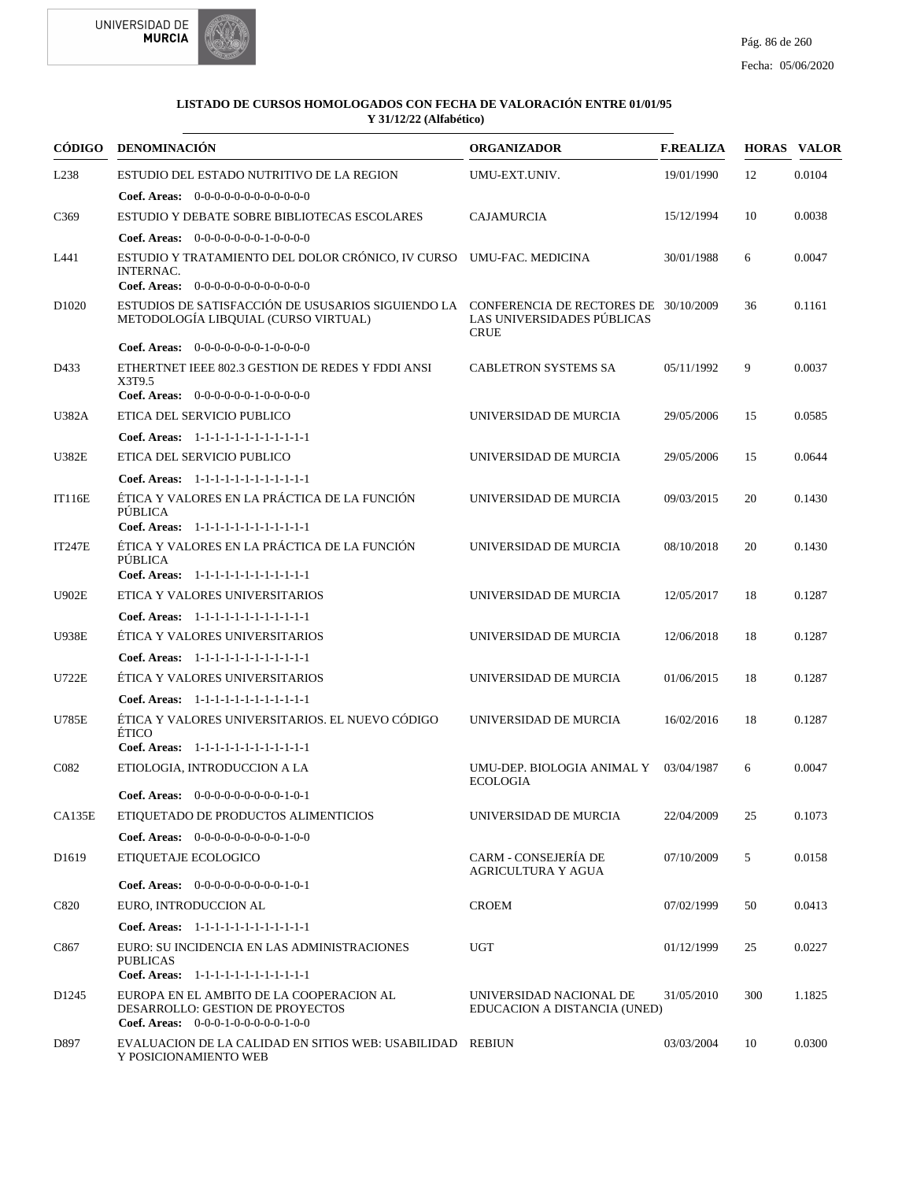



|                   | CÓDIGO DENOMINACIÓN                                                                                                              | <b>ORGANIZADOR</b>                                      | <b>F.REALIZA</b> |     | <b>HORAS VALOR</b> |
|-------------------|----------------------------------------------------------------------------------------------------------------------------------|---------------------------------------------------------|------------------|-----|--------------------|
| L238              | ESTUDIO DEL ESTADO NUTRITIVO DE LA REGION                                                                                        | UMU-EXT.UNIV.                                           | 19/01/1990       | 12  | 0.0104             |
|                   | <b>Coef. Areas:</b> $0-0-0-0-0-0-0-0-0-0-0-0$                                                                                    |                                                         |                  |     |                    |
| C <sub>369</sub>  | ESTUDIO Y DEBATE SOBRE BIBLIOTECAS ESCOLARES                                                                                     | <b>CAJAMURCIA</b>                                       | 15/12/1994       | 10  | 0.0038             |
|                   | Coef. Areas: $0-0-0-0-0-0-1-0-0-0-0$                                                                                             |                                                         |                  |     |                    |
| L441              | ESTUDIO Y TRATAMIENTO DEL DOLOR CRÓNICO, IV CURSO UMU-FAC. MEDICINA<br><b>INTERNAC.</b>                                          |                                                         | 30/01/1988       | 6   | 0.0047             |
|                   | <b>Coef. Areas:</b> $0-0-0-0-0-0-0-0-0-0-0-0$                                                                                    |                                                         |                  |     |                    |
| D <sub>1020</sub> | ESTUDIOS DE SATISFACCIÓN DE USUSARIOS SIGUIENDO LA CONFERENCIA DE RECTORES DE 30/10/2009<br>METODOLOGÍA LIBOUIAL (CURSO VIRTUAL) | LAS UNIVERSIDADES PÚBLICAS<br><b>CRUE</b>               |                  | 36  | 0.1161             |
|                   | Coef. Areas: $0-0-0-0-0-0-1-0-0-0-0$                                                                                             |                                                         |                  |     |                    |
| D433              | ETHERTNET IEEE 802.3 GESTION DE REDES Y FDDI ANSI<br>X3T9.5<br>Coef. Areas: 0-0-0-0-0-0-1-0-0-0-0-0                              | <b>CABLETRON SYSTEMS SA</b>                             | 05/11/1992       | 9   | 0.0037             |
|                   |                                                                                                                                  |                                                         |                  |     |                    |
| <b>U382A</b>      | ETICA DEL SERVICIO PUBLICO                                                                                                       | UNIVERSIDAD DE MURCIA                                   | 29/05/2006       | 15  | 0.0585             |
|                   | Coef. Areas: 1-1-1-1-1-1-1-1-1-1-1-1-1                                                                                           |                                                         |                  |     |                    |
| <b>U382E</b>      | ETICA DEL SERVICIO PUBLICO                                                                                                       | UNIVERSIDAD DE MURCIA                                   | 29/05/2006       | 15  | 0.0644             |
| <b>IT116E</b>     | Coef. Areas: $1-1-1-1-1-1-1-1-1-1-1$<br>ÉTICA Y VALORES EN LA PRÁCTICA DE LA FUNCIÓN<br>PÚBLICA                                  | UNIVERSIDAD DE MURCIA                                   | 09/03/2015       | 20  | 0.1430             |
|                   | Coef. Areas: 1-1-1-1-1-1-1-1-1-1-1-1-1                                                                                           |                                                         |                  |     |                    |
| <b>IT247E</b>     | ÉTICA Y VALORES EN LA PRÁCTICA DE LA FUNCIÓN<br>PÚBLICA<br>Coef. Areas: 1-1-1-1-1-1-1-1-1-1-1-1-1                                | UNIVERSIDAD DE MURCIA                                   | 08/10/2018       | 20  | 0.1430             |
| <b>U902E</b>      | ETICA Y VALORES UNIVERSITARIOS                                                                                                   | UNIVERSIDAD DE MURCIA                                   | 12/05/2017       | 18  | 0.1287             |
|                   |                                                                                                                                  |                                                         |                  |     |                    |
|                   | Coef. Areas: $1-1-1-1-1-1-1-1-1-1-1$                                                                                             |                                                         |                  |     |                    |
| <b>U938E</b>      | ÉTICA Y VALORES UNIVERSITARIOS                                                                                                   | UNIVERSIDAD DE MURCIA                                   | 12/06/2018       | 18  | 0.1287             |
|                   | Coef. Areas: $1-1-1-1-1-1-1-1-1-1-1$                                                                                             |                                                         |                  |     |                    |
| <b>U722E</b>      | ÉTICA Y VALORES UNIVERSITARIOS                                                                                                   | UNIVERSIDAD DE MURCIA                                   | 01/06/2015       | 18  | 0.1287             |
|                   | Coef. Areas: 1-1-1-1-1-1-1-1-1-1-1-1-1                                                                                           |                                                         |                  |     |                    |
| U785E             | ÉTICA Y VALORES UNIVERSITARIOS. EL NUEVO CÓDIGO<br>ÉTICO<br>Coef. Areas: 1-1-1-1-1-1-1-1-1-1-1-1-1                               | UNIVERSIDAD DE MURCIA                                   | 16/02/2016       | 18  | 0.1287             |
| C <sub>0</sub> 82 | ETIOLOGIA, INTRODUCCION A LA                                                                                                     | UMU-DEP. BIOLOGIA ANIMAL Y 03/04/1987                   |                  | 6   | 0.0047             |
|                   | <b>Coef. Areas:</b> $0-0-0-0-0-0-0-0-1-0-1$                                                                                      | <b>ECOLOGIA</b>                                         |                  |     |                    |
| CA135E            | ETIQUETADO DE PRODUCTOS ALIMENTICIOS                                                                                             | UNIVERSIDAD DE MURCIA                                   | 22/04/2009       | 25  | 0.1073             |
|                   | Coef. Areas: $0-0-0-0-0-0-0-0-1-0-0$                                                                                             |                                                         |                  |     |                    |
| D <sub>1619</sub> | ETIQUETAJE ECOLOGICO                                                                                                             | <b>CARM - CONSEJERÍA DE</b><br>AGRICULTURA Y AGUA       | 07/10/2009       | 5   | 0.0158             |
|                   | <b>Coef. Areas:</b> $0-0-0-0-0-0-0-0-1-0-1$                                                                                      |                                                         |                  |     |                    |
| C820              | EURO, INTRODUCCION AL                                                                                                            | <b>CROEM</b>                                            | 07/02/1999       | 50  | 0.0413             |
|                   | Coef. Areas: 1-1-1-1-1-1-1-1-1-1-1-1-1                                                                                           |                                                         |                  |     |                    |
| C867              | EURO: SU INCIDENCIA EN LAS ADMINISTRACIONES<br><b>PUBLICAS</b><br>Coef. Areas: 1-1-1-1-1-1-1-1-1-1-1-1-1                         | <b>UGT</b>                                              | 01/12/1999       | 25  | 0.0227             |
| D <sub>1245</sub> | EUROPA EN EL AMBITO DE LA COOPERACION AL<br>DESARROLLO: GESTION DE PROYECTOS<br><b>Coef. Areas:</b> $0-0-0-1-0-0-0-0-1-0-0$      | UNIVERSIDAD NACIONAL DE<br>EDUCACION A DISTANCIA (UNED) | 31/05/2010       | 300 | 1.1825             |
| D897              | EVALUACION DE LA CALIDAD EN SITIOS WEB: USABILIDAD REBIUN<br>Y POSICIONAMIENTO WEB                                               |                                                         | 03/03/2004       | 10  | 0.0300             |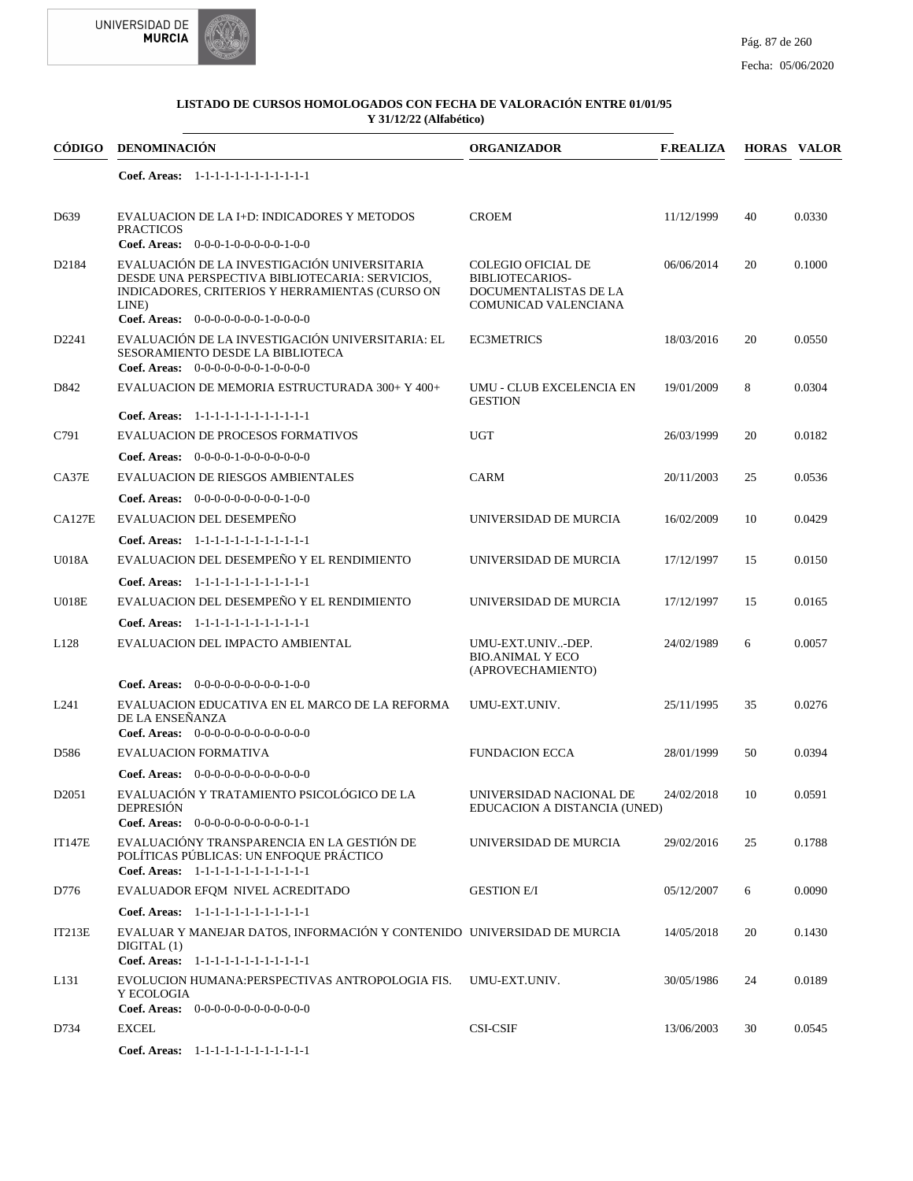



| CÓDIGO            | <b>DENOMINACIÓN</b>                                                                                                                                                                                 | <b>ORGANIZADOR</b>                                                                                          | <b>F.REALIZA</b> |    | <b>HORAS VALOR</b> |
|-------------------|-----------------------------------------------------------------------------------------------------------------------------------------------------------------------------------------------------|-------------------------------------------------------------------------------------------------------------|------------------|----|--------------------|
|                   | Coef. Areas: 1-1-1-1-1-1-1-1-1-1-1-1-1                                                                                                                                                              |                                                                                                             |                  |    |                    |
| D <sub>6</sub> 39 | EVALUACION DE LA I+D: INDICADORES Y METODOS<br><b>PRACTICOS</b><br>Coef. Areas: 0-0-0-1-0-0-0-0-0-1-0-0                                                                                             | <b>CROEM</b>                                                                                                | 11/12/1999       | 40 | 0.0330             |
| D2184             | EVALUACIÓN DE LA INVESTIGACIÓN UNIVERSITARIA<br>DESDE UNA PERSPECTIVA BIBLIOTECARIA: SERVICIOS,<br>INDICADORES, CRITERIOS Y HERRAMIENTAS (CURSO ON<br>LINE)<br>Coef. Areas: $0-0-0-0-0-0-1-0-0-0-0$ | <b>COLEGIO OFICIAL DE</b><br><b>BIBLIOTECARIOS-</b><br>DOCUMENTALISTAS DE LA<br><b>COMUNICAD VALENCIANA</b> | 06/06/2014       | 20 | 0.1000             |
| D2241             | EVALUACIÓN DE LA INVESTIGACIÓN UNIVERSITARIA: EL<br>SESORAMIENTO DESDE LA BIBLIOTECA<br>Coef. Areas: $0-0-0-0-0-0-1-0-0-0-0$                                                                        | <b>EC3METRICS</b>                                                                                           | 18/03/2016       | 20 | 0.0550             |
| D842              | EVALUACION DE MEMORIA ESTRUCTURADA 300+ Y 400+                                                                                                                                                      | UMU - CLUB EXCELENCIA EN<br><b>GESTION</b>                                                                  | 19/01/2009       | 8  | 0.0304             |
| C791              | Coef. Areas: 1-1-1-1-1-1-1-1-1-1-1-1-1<br><b>EVALUACION DE PROCESOS FORMATIVOS</b>                                                                                                                  | <b>UGT</b>                                                                                                  | 26/03/1999       | 20 | 0.0182             |
| CA37E             | Coef. Areas: $0-0-0-0-1-0-0-0-0-0-0-0$<br><b>EVALUACION DE RIESGOS AMBIENTALES</b><br>Coef. Areas: $0-0-0-0-0-0-0-0-1-0-0$                                                                          | <b>CARM</b>                                                                                                 | 20/11/2003       | 25 | 0.0536             |
| <b>CA127E</b>     | EVALUACION DEL DESEMPEÑO<br>Coef. Areas: 1-1-1-1-1-1-1-1-1-1-1-1-1                                                                                                                                  | UNIVERSIDAD DE MURCIA                                                                                       | 16/02/2009       | 10 | 0.0429             |
| <b>U018A</b>      | EVALUACION DEL DESEMPEÑO Y EL RENDIMIENTO<br>Coef. Areas: 1-1-1-1-1-1-1-1-1-1-1-1-1                                                                                                                 | UNIVERSIDAD DE MURCIA                                                                                       | 17/12/1997       | 15 | 0.0150             |
| <b>U018E</b>      | EVALUACION DEL DESEMPEÑO Y EL RENDIMIENTO<br>Coef. Areas: 1-1-1-1-1-1-1-1-1-1-1-1-1                                                                                                                 | UNIVERSIDAD DE MURCIA                                                                                       | 17/12/1997       | 15 | 0.0165             |
| L128              | EVALUACION DEL IMPACTO AMBIENTAL                                                                                                                                                                    | UMU-EXT.UNIV-DEP.<br><b>BIO.ANIMAL Y ECO</b><br>(APROVECHAMIENTO)                                           | 24/02/1989       | 6  | 0.0057             |
| L <sub>241</sub>  | <b>Coef. Areas:</b> $0-0-0-0-0-0-0-0-1-0-0$<br>EVALUACION EDUCATIVA EN EL MARCO DE LA REFORMA<br>DE LA ENSEÑANZA<br>Coef. Areas: $0-0-0-0-0-0-0-0-0-0-0$                                            | UMU-EXT.UNIV.                                                                                               | 25/11/1995       | 35 | 0.0276             |
| D <sub>586</sub>  | <b>EVALUACION FORMATIVA</b>                                                                                                                                                                         | <b>FUNDACION ECCA</b>                                                                                       | 28/01/1999       | 50 | 0.0394             |
| D <sub>2051</sub> | Coef. Areas: $0-0-0-0-0-0-0-0-0-0-0$<br>EVALUACIÓN Y TRATAMIENTO PSICOLÓGICO DE LA<br><b>DEPRESION</b><br>Coef. Areas: $0-0-0-0-0-0-0-0-0-1-1$                                                      | UNIVERSIDAD NACIONAL DE<br>EDUCACION A DISTANCIA (UNED)                                                     | 24/02/2018       | 10 | 0.0591             |
| <b>IT147E</b>     | EVALUACIÓNY TRANSPARENCIA EN LA GESTIÓN DE<br>POLÍTICAS PÚBLICAS: UN ENFOQUE PRÁCTICO<br>Coef. Areas: 1-1-1-1-1-1-1-1-1-1-1-1-1                                                                     | UNIVERSIDAD DE MURCIA                                                                                       | 29/02/2016       | 25 | 0.1788             |
| D776              | EVALUADOR EFOM NIVEL ACREDITADO                                                                                                                                                                     | <b>GESTION E/I</b>                                                                                          | 05/12/2007       | 6  | 0.0090             |
| IT213E            | Coef. Areas: 1-1-1-1-1-1-1-1-1-1-1-1-1<br>EVALUAR Y MANEJAR DATOS, INFORMACIÓN Y CONTENIDO UNIVERSIDAD DE MURCIA<br>DIGITAL(1)<br>Coef. Areas: 1-1-1-1-1-1-1-1-1-1-1-1-1                            |                                                                                                             | 14/05/2018       | 20 | 0.1430             |
| L131              | EVOLUCION HUMANA: PERSPECTIVAS ANTROPOLOGIA FIS.<br>Y ECOLOGIA<br><b>Coef. Areas:</b> $0-0-0-0-0-0-0-0-0-0-0-0$                                                                                     | UMU-EXT.UNIV.                                                                                               | 30/05/1986       | 24 | 0.0189             |
| D734              | <b>EXCEL</b><br>Coef. Areas: 1-1-1-1-1-1-1-1-1-1-1-1-1                                                                                                                                              | <b>CSI-CSIF</b>                                                                                             | 13/06/2003       | 30 | 0.0545             |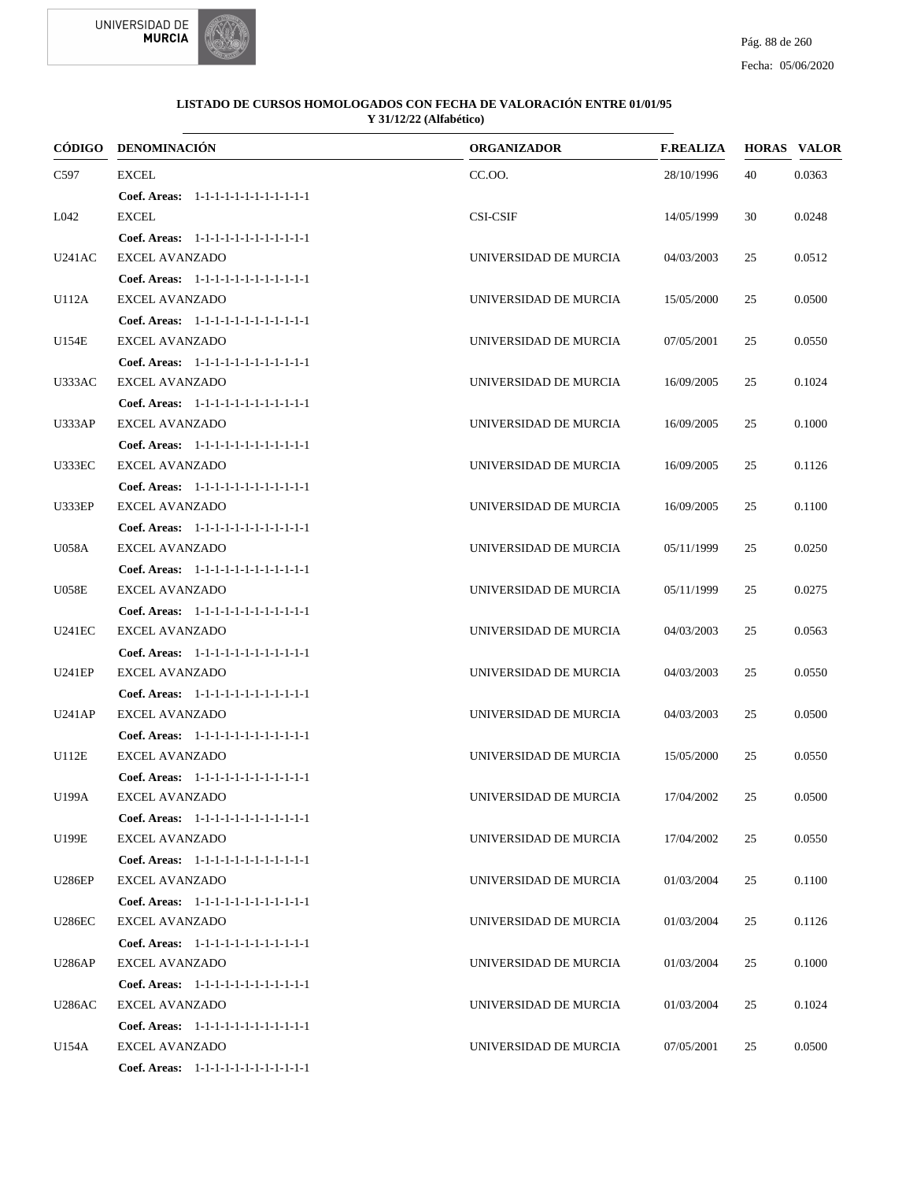



|               | CÓDIGO DENOMINACIÓN                    | <b>ORGANIZADOR</b>    | <b>F.REALIZA</b> |    | <b>HORAS VALOR</b> |
|---------------|----------------------------------------|-----------------------|------------------|----|--------------------|
| C597          | <b>EXCEL</b>                           | CC.OO.                | 28/10/1996       | 40 | 0.0363             |
|               | Coef. Areas: 1-1-1-1-1-1-1-1-1-1-1-1-1 |                       |                  |    |                    |
| L042          | <b>EXCEL</b>                           | <b>CSI-CSIF</b>       | 14/05/1999       | 30 | 0.0248             |
|               | Coef. Areas: 1-1-1-1-1-1-1-1-1-1-1-1-1 |                       |                  |    |                    |
| U241AC        | <b>EXCEL AVANZADO</b>                  | UNIVERSIDAD DE MURCIA | 04/03/2003       | 25 | 0.0512             |
|               | Coef. Areas: 1-1-1-1-1-1-1-1-1-1-1-1-1 |                       |                  |    |                    |
| U112A         | <b>EXCEL AVANZADO</b>                  | UNIVERSIDAD DE MURCIA | 15/05/2000       | 25 | 0.0500             |
|               | Coef. Areas: 1-1-1-1-1-1-1-1-1-1-1-1-1 |                       |                  |    |                    |
| U154E         | <b>EXCEL AVANZADO</b>                  | UNIVERSIDAD DE MURCIA | 07/05/2001       | 25 | 0.0550             |
|               | Coef. Areas: 1-1-1-1-1-1-1-1-1-1-1-1-1 |                       |                  |    |                    |
| U333AC        | <b>EXCEL AVANZADO</b>                  | UNIVERSIDAD DE MURCIA | 16/09/2005       | 25 | 0.1024             |
|               | Coef. Areas: 1-1-1-1-1-1-1-1-1-1-1-1-1 |                       |                  |    |                    |
| U333AP        | <b>EXCEL AVANZADO</b>                  | UNIVERSIDAD DE MURCIA | 16/09/2005       | 25 | 0.1000             |
|               | Coef. Areas: 1-1-1-1-1-1-1-1-1-1-1-1-1 |                       |                  |    |                    |
| <b>U333EC</b> | <b>EXCEL AVANZADO</b>                  | UNIVERSIDAD DE MURCIA | 16/09/2005       | 25 | 0.1126             |
|               | Coef. Areas: 1-1-1-1-1-1-1-1-1-1-1-1-1 |                       |                  |    |                    |
| <b>U333EP</b> | <b>EXCEL AVANZADO</b>                  | UNIVERSIDAD DE MURCIA | 16/09/2005       | 25 | 0.1100             |
|               | Coef. Areas: 1-1-1-1-1-1-1-1-1-1-1-1-1 |                       |                  |    |                    |
| U058A         | <b>EXCEL AVANZADO</b>                  | UNIVERSIDAD DE MURCIA | 05/11/1999       | 25 | 0.0250             |
|               | Coef. Areas: 1-1-1-1-1-1-1-1-1-1-1-1-1 |                       |                  |    |                    |
| <b>U058E</b>  | <b>EXCEL AVANZADO</b>                  | UNIVERSIDAD DE MURCIA | 05/11/1999       | 25 | 0.0275             |
|               | Coef. Areas: $1-1-1-1-1-1-1-1-1-1-1$   |                       |                  |    |                    |
| <b>U241EC</b> | <b>EXCEL AVANZADO</b>                  | UNIVERSIDAD DE MURCIA | 04/03/2003       | 25 | 0.0563             |
|               | Coef. Areas: 1-1-1-1-1-1-1-1-1-1-1-1-1 |                       |                  |    |                    |
| <b>U241EP</b> | <b>EXCEL AVANZADO</b>                  | UNIVERSIDAD DE MURCIA | 04/03/2003       | 25 | 0.0550             |
|               | Coef. Areas: 1-1-1-1-1-1-1-1-1-1-1-1-1 |                       |                  |    |                    |
| <b>U241AP</b> | <b>EXCEL AVANZADO</b>                  | UNIVERSIDAD DE MURCIA | 04/03/2003       | 25 | 0.0500             |
|               | Coef. Areas: 1-1-1-1-1-1-1-1-1-1-1-1-1 |                       |                  |    |                    |
| U112E         | <b>EXCEL AVANZADO</b>                  | UNIVERSIDAD DE MURCIA | 15/05/2000       | 25 | 0.0550             |
|               | Coef. Areas: 1-1-1-1-1-1-1-1-1-1-1-1-1 |                       |                  |    |                    |
| U199A         | <b>EXCEL AVANZADO</b>                  | UNIVERSIDAD DE MURCIA | 17/04/2002       | 25 | 0.0500             |
|               | Coef. Areas: 1-1-1-1-1-1-1-1-1-1-1-1-1 |                       |                  |    |                    |
| U199E         | <b>EXCEL AVANZADO</b>                  | UNIVERSIDAD DE MURCIA | 17/04/2002       | 25 | 0.0550             |
|               | Coef. Areas: 1-1-1-1-1-1-1-1-1-1-1-1-1 |                       |                  |    |                    |
| <b>U286EP</b> | <b>EXCEL AVANZADO</b>                  | UNIVERSIDAD DE MURCIA | 01/03/2004       | 25 | 0.1100             |
|               | Coef. Areas: 1-1-1-1-1-1-1-1-1-1-1-1-1 |                       |                  |    |                    |
| <b>U286EC</b> | <b>EXCEL AVANZADO</b>                  | UNIVERSIDAD DE MURCIA | 01/03/2004       | 25 | 0.1126             |
|               | Coef. Areas: 1-1-1-1-1-1-1-1-1-1-1-1-1 |                       |                  |    |                    |
| <b>U286AP</b> | <b>EXCEL AVANZADO</b>                  | UNIVERSIDAD DE MURCIA | 01/03/2004       | 25 | 0.1000             |
|               | Coef. Areas: 1-1-1-1-1-1-1-1-1-1-1-1-1 |                       |                  |    |                    |
| U286AC        | <b>EXCEL AVANZADO</b>                  | UNIVERSIDAD DE MURCIA | 01/03/2004       | 25 | 0.1024             |
|               | Coef. Areas: 1-1-1-1-1-1-1-1-1-1-1-1-1 |                       |                  |    |                    |
| U154A         | <b>EXCEL AVANZADO</b>                  | UNIVERSIDAD DE MURCIA | 07/05/2001       | 25 | 0.0500             |
|               | Coef. Areas: 1-1-1-1-1-1-1-1-1-1-1-1-1 |                       |                  |    |                    |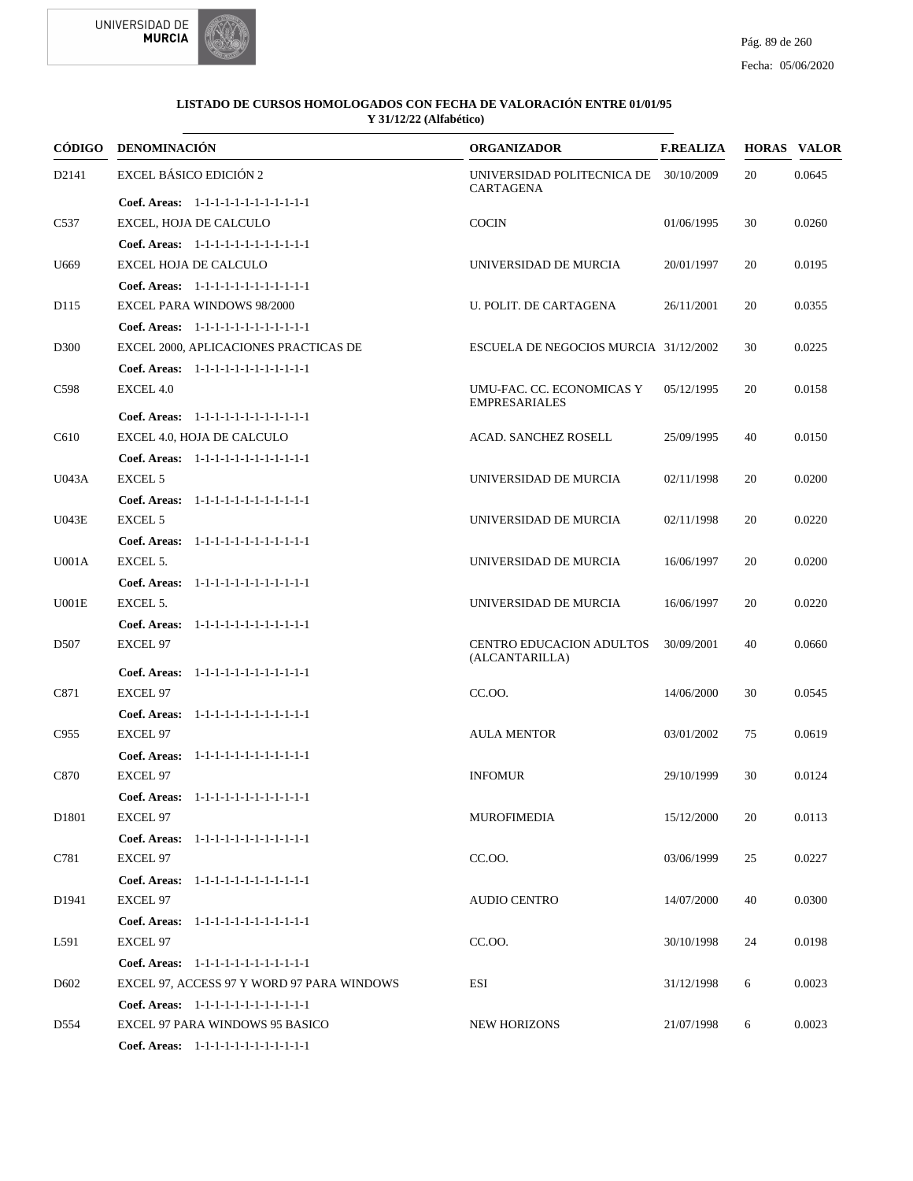



| CÓDIGO            | <b>DENOMINACIÓN</b>                        | <b>ORGANIZADOR</b>                                 | <b>F.REALIZA</b> |    | <b>HORAS VALOR</b> |
|-------------------|--------------------------------------------|----------------------------------------------------|------------------|----|--------------------|
| D2141             | EXCEL BÁSICO EDICIÓN 2                     | UNIVERSIDAD POLITECNICA DE 30/10/2009<br>CARTAGENA |                  | 20 | 0.0645             |
|                   | Coef. Areas: 1-1-1-1-1-1-1-1-1-1-1-1-1     |                                                    |                  |    |                    |
| C537              | EXCEL, HOJA DE CALCULO                     | <b>COCIN</b>                                       | 01/06/1995       | 30 | 0.0260             |
|                   | Coef. Areas: 1-1-1-1-1-1-1-1-1-1-1-1-1     |                                                    |                  |    |                    |
| U669              | EXCEL HOJA DE CALCULO                      | UNIVERSIDAD DE MURCIA                              | 20/01/1997       | 20 | 0.0195             |
|                   | Coef. Areas: 1-1-1-1-1-1-1-1-1-1-1-1-1     |                                                    |                  |    |                    |
| D115              | <b>EXCEL PARA WINDOWS 98/2000</b>          | U. POLIT. DE CARTAGENA                             | 26/11/2001       | 20 | 0.0355             |
|                   | Coef. Areas: 1-1-1-1-1-1-1-1-1-1-1-1-1     |                                                    |                  |    |                    |
| D300              | EXCEL 2000, APLICACIONES PRACTICAS DE      | ESCUELA DE NEGOCIOS MURCIA 31/12/2002              |                  | 30 | 0.0225             |
|                   | Coef. Areas: 1-1-1-1-1-1-1-1-1-1-1-1-1     |                                                    |                  |    |                    |
| C598              | EXCEL 4.0                                  | UMU-FAC. CC. ECONOMICAS Y<br><b>EMPRESARIALES</b>  | 05/12/1995       | 20 | 0.0158             |
|                   | Coef. Areas: 1-1-1-1-1-1-1-1-1-1-1-1-1     |                                                    |                  |    |                    |
| C610              | EXCEL 4.0, HOJA DE CALCULO                 | <b>ACAD. SANCHEZ ROSELL</b>                        | 25/09/1995       | 40 | 0.0150             |
|                   | Coef. Areas: 1-1-1-1-1-1-1-1-1-1-1-1-1     |                                                    |                  |    |                    |
| U043A             | <b>EXCEL 5</b>                             | UNIVERSIDAD DE MURCIA                              | 02/11/1998       | 20 | 0.0200             |
|                   | Coef. Areas: 1-1-1-1-1-1-1-1-1-1-1-1-1     |                                                    |                  |    |                    |
| U043E             | <b>EXCEL 5</b>                             | UNIVERSIDAD DE MURCIA                              | 02/11/1998       | 20 | 0.0220             |
|                   | Coef. Areas: 1-1-1-1-1-1-1-1-1-1-1-1-1     |                                                    |                  |    |                    |
| <b>U001A</b>      | EXCEL 5.                                   | UNIVERSIDAD DE MURCIA                              | 16/06/1997       | 20 | 0.0200             |
|                   | Coef. Areas: 1-1-1-1-1-1-1-1-1-1-1-1-1     |                                                    |                  |    |                    |
| U001E             | EXCEL 5.                                   | UNIVERSIDAD DE MURCIA                              | 16/06/1997       | 20 | 0.0220             |
|                   | Coef. Areas: 1-1-1-1-1-1-1-1-1-1-1-1-1     |                                                    |                  |    |                    |
| D <sub>507</sub>  | <b>EXCEL 97</b>                            | CENTRO EDUCACION ADULTOS<br>(ALCANTARILLA)         | 30/09/2001       | 40 | 0.0660             |
|                   | Coef. Areas: 1-1-1-1-1-1-1-1-1-1-1-1-1     |                                                    |                  |    |                    |
| C871              | <b>EXCEL 97</b>                            | CC.OO.                                             | 14/06/2000       | 30 | 0.0545             |
|                   | Coef. Areas: 1-1-1-1-1-1-1-1-1-1-1-1-1     |                                                    |                  |    |                    |
| C955              | <b>EXCEL 97</b>                            | <b>AULA MENTOR</b>                                 | 03/01/2002       | 75 | 0.0619             |
|                   | Coef. Areas: 1-1-1-1-1-1-1-1-1-1-1-1-1     |                                                    |                  |    |                    |
| C870              | <b>EXCEL 97</b>                            | <b>INFOMUR</b>                                     | 29/10/1999       | 30 | 0.0124             |
|                   | Coef. Areas: 1-1-1-1-1-1-1-1-1-1-1-1-1     |                                                    |                  |    |                    |
| D <sub>1801</sub> | <b>EXCEL 97</b>                            | MUROFIMEDIA                                        | 15/12/2000       | 20 | 0.0113             |
|                   | Coef. Areas: 1-1-1-1-1-1-1-1-1-1-1-1-1     |                                                    |                  |    |                    |
| C781              | <b>EXCEL 97</b>                            | CC.OO.                                             | 03/06/1999       | 25 | 0.0227             |
|                   | Coef. Areas: 1-1-1-1-1-1-1-1-1-1-1-1-1     |                                                    |                  |    |                    |
| D <sub>1941</sub> | <b>EXCEL 97</b>                            | <b>AUDIO CENTRO</b>                                | 14/07/2000       | 40 | 0.0300             |
|                   | Coef. Areas: 1-1-1-1-1-1-1-1-1-1-1-1-1     |                                                    |                  |    |                    |
| L591              | <b>EXCEL 97</b>                            | CC.OO.                                             | 30/10/1998       | 24 | 0.0198             |
|                   | Coef. Areas: 1-1-1-1-1-1-1-1-1-1-1-1-1     |                                                    |                  |    |                    |
| D <sub>6</sub> 02 | EXCEL 97, ACCESS 97 Y WORD 97 PARA WINDOWS | ESI                                                | 31/12/1998       | 6  | 0.0023             |
|                   | Coef. Areas: 1-1-1-1-1-1-1-1-1-1-1-1-1     |                                                    |                  |    |                    |
| D554              | EXCEL 97 PARA WINDOWS 95 BASICO            | <b>NEW HORIZONS</b>                                | 21/07/1998       | 6  | 0.0023             |
|                   | Coef. Areas: 1-1-1-1-1-1-1-1-1-1-1-1-1     |                                                    |                  |    |                    |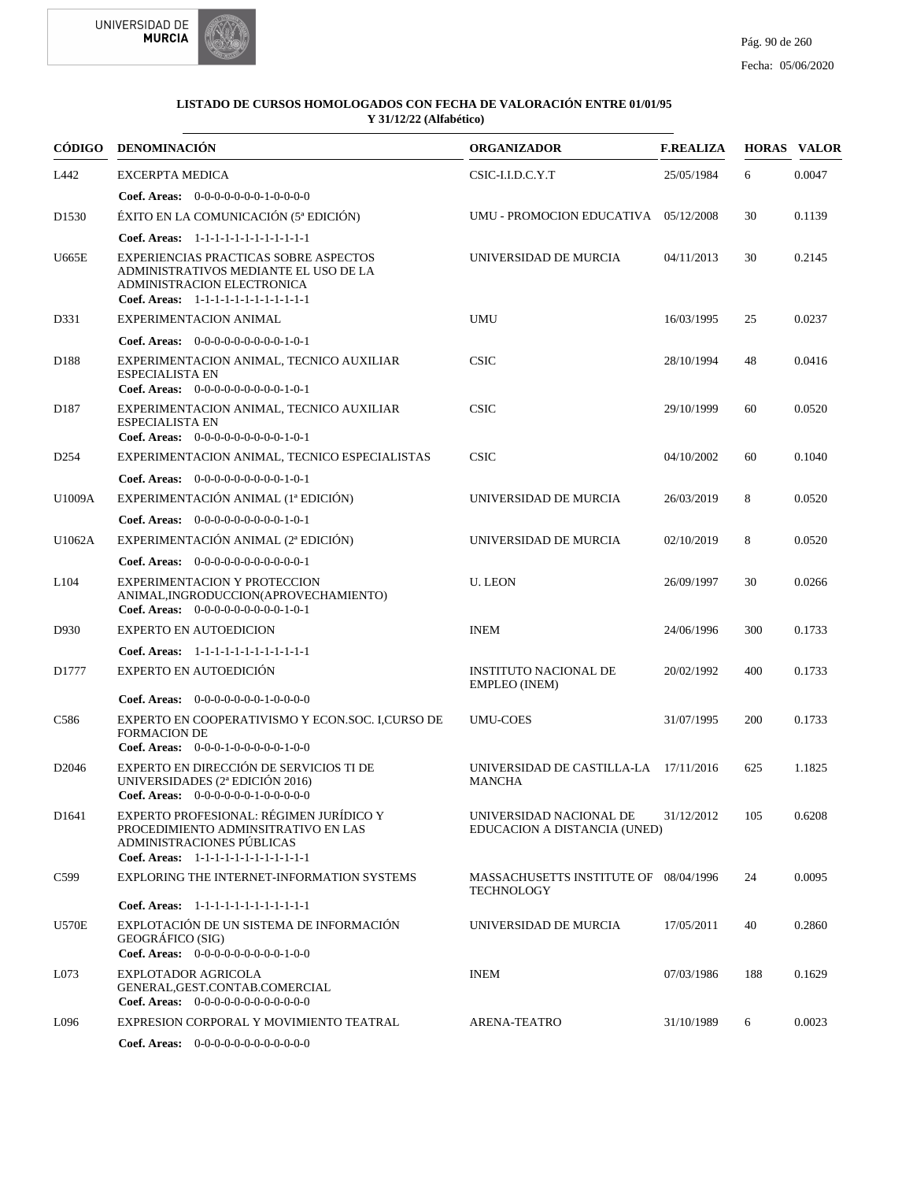

|                   | CÓDIGO DENOMINACIÓN                                                                                                                                    | <b>ORGANIZADOR</b>                                         | <b>F.REALIZA</b> |     | <b>HORAS VALOR</b> |
|-------------------|--------------------------------------------------------------------------------------------------------------------------------------------------------|------------------------------------------------------------|------------------|-----|--------------------|
| L442              | <b>EXCERPTA MEDICA</b>                                                                                                                                 | CSIC-I.I.D.C.Y.T                                           | 25/05/1984       | 6   | 0.0047             |
|                   | Coef. Areas: $0-0-0-0-0-0-1-0-0-0-0$                                                                                                                   |                                                            |                  |     |                    |
| D <sub>1530</sub> | ÉXITO EN LA COMUNICACIÓN (5ª EDICIÓN)                                                                                                                  | UMU - PROMOCION EDUCATIVA 05/12/2008                       |                  | 30  | 0.1139             |
|                   | Coef. Areas: 1-1-1-1-1-1-1-1-1-1-1-1-1                                                                                                                 |                                                            |                  |     |                    |
| <b>U665E</b>      | EXPERIENCIAS PRACTICAS SOBRE ASPECTOS<br>ADMINISTRATIVOS MEDIANTE EL USO DE LA<br>ADMINISTRACION ELECTRONICA<br>Coef. Areas: 1-1-1-1-1-1-1-1-1-1-1-1-1 | UNIVERSIDAD DE MURCIA                                      | 04/11/2013       | 30  | 0.2145             |
| D331              | EXPERIMENTACION ANIMAL                                                                                                                                 | <b>UMU</b>                                                 | 16/03/1995       | 25  | 0.0237             |
|                   | Coef. Areas: $0-0-0-0-0-0-0-0-1-0-1$                                                                                                                   |                                                            |                  |     |                    |
| D188              | EXPERIMENTACION ANIMAL, TECNICO AUXILIAR<br><b>ESPECIALISTA EN</b><br>Coef. Areas: $0-0-0-0-0-0-0-0-1-0-1$                                             | <b>CSIC</b>                                                | 28/10/1994       | 48  | 0.0416             |
| D <sub>187</sub>  | EXPERIMENTACION ANIMAL, TECNICO AUXILIAR<br><b>ESPECIALISTA EN</b><br>Coef. Areas: $0-0-0-0-0-0-0-0-1-0-1$                                             | <b>CSIC</b>                                                | 29/10/1999       | 60  | 0.0520             |
| D <sub>254</sub>  | EXPERIMENTACION ANIMAL, TECNICO ESPECIALISTAS                                                                                                          | <b>CSIC</b>                                                | 04/10/2002       | 60  | 0.1040             |
|                   | Coef. Areas: $0-0-0-0-0-0-0-0-1-0-1$                                                                                                                   |                                                            |                  |     |                    |
| U1009A            | EXPERIMENTACIÓN ANIMAL (1ª EDICIÓN)                                                                                                                    | UNIVERSIDAD DE MURCIA                                      | 26/03/2019       | 8   | 0.0520             |
|                   | Coef. Areas: $0-0-0-0-0-0-0-0-1-0-1$                                                                                                                   |                                                            |                  |     |                    |
| U1062A            | EXPERIMENTACIÓN ANIMAL (2ª EDICIÓN)                                                                                                                    | UNIVERSIDAD DE MURCIA                                      | 02/10/2019       | 8   | 0.0520             |
|                   | Coef. Areas: $0-0-0-0-0-0-0-0-0-0-1$                                                                                                                   |                                                            |                  |     |                    |
| L <sub>104</sub>  | <b>EXPERIMENTACION Y PROTECCION</b><br>ANIMAL, INGRODUCCION (APROVECHAMIENTO)<br>Coef. Areas: $0-0-0-0-0-0-0-0-1-0-1$                                  | <b>U. LEON</b>                                             | 26/09/1997       | 30  | 0.0266             |
| D930              | <b>EXPERTO EN AUTOEDICION</b>                                                                                                                          | <b>INEM</b>                                                | 24/06/1996       | 300 | 0.1733             |
|                   | Coef. Areas: 1-1-1-1-1-1-1-1-1-1-1-1-1                                                                                                                 |                                                            |                  |     |                    |
| D1777             | EXPERTO EN AUTOEDICIÓN                                                                                                                                 | <b>INSTITUTO NACIONAL DE</b><br>EMPLEO (INEM)              | 20/02/1992       | 400 | 0.1733             |
|                   | <b>Coef. Areas:</b> $0-0-0-0-0-0-1-0-0-0-0$                                                                                                            |                                                            |                  |     |                    |
| C586              | EXPERTO EN COOPERATIVISMO Y ECON.SOC. I.CURSO DE<br><b>FORMACION DE</b><br>Coef. Areas: $0-0-0-1-0-0-0-0-1-0-0$                                        | <b>UMU-COES</b>                                            | 31/07/1995       | 200 | 0.1733             |
| D <sub>2046</sub> | EXPERTO EN DIRECCIÓN DE SERVICIOS TI DE<br>UNIVERSIDADES (2ª EDICIÓN 2016)<br>Coef. Areas: $0-0-0-0-0-1-0-0-0-0-0$                                     | UNIVERSIDAD DE CASTILLA-LA 17/11/2016<br><b>MANCHA</b>     |                  | 625 | 1.1825             |
| D <sub>1641</sub> | EXPERTO PROFESIONAL: RÉGIMEN JURÍDICO Y<br>PROCEDIMIENTO ADMINSITRATIVO EN LAS<br>ADMINISTRACIONES PÚBLICAS<br>Coef. Areas: 1-1-1-1-1-1-1-1-1-1-1-1-1  | UNIVERSIDAD NACIONAL DE<br>EDUCACION A DISTANCIA (UNED)    | 31/12/2012       | 105 | 0.6208             |
| C <sub>599</sub>  | EXPLORING THE INTERNET-INFORMATION SYSTEMS                                                                                                             | MASSACHUSETTS INSTITUTE OF 08/04/1996<br><b>TECHNOLOGY</b> |                  | 24  | 0.0095             |
|                   | Coef. Areas: 1-1-1-1-1-1-1-1-1-1-1-1-1                                                                                                                 |                                                            |                  |     |                    |
| <b>U570E</b>      | EXPLOTACIÓN DE UN SISTEMA DE INFORMACIÓN<br>GEOGRÁFICO (SIG)<br>Coef. Areas: 0-0-0-0-0-0-0-0-0-1-0-0                                                   | UNIVERSIDAD DE MURCIA                                      | 17/05/2011       | 40  | 0.2860             |
| L073              | EXPLOTADOR AGRICOLA<br>GENERAL, GEST.CONTAB.COMERCIAL<br>Coef. Areas: $0-0-0-0-0-0-0-0-0-0-0$                                                          | <b>INEM</b>                                                | 07/03/1986       | 188 | 0.1629             |
| L096              | EXPRESION CORPORAL Y MOVIMIENTO TEATRAL                                                                                                                | <b>ARENA-TEATRO</b>                                        | 31/10/1989       | 6   | 0.0023             |
|                   | Coef. Areas: $0-0-0-0-0-0-0-0-0-0-0$                                                                                                                   |                                                            |                  |     |                    |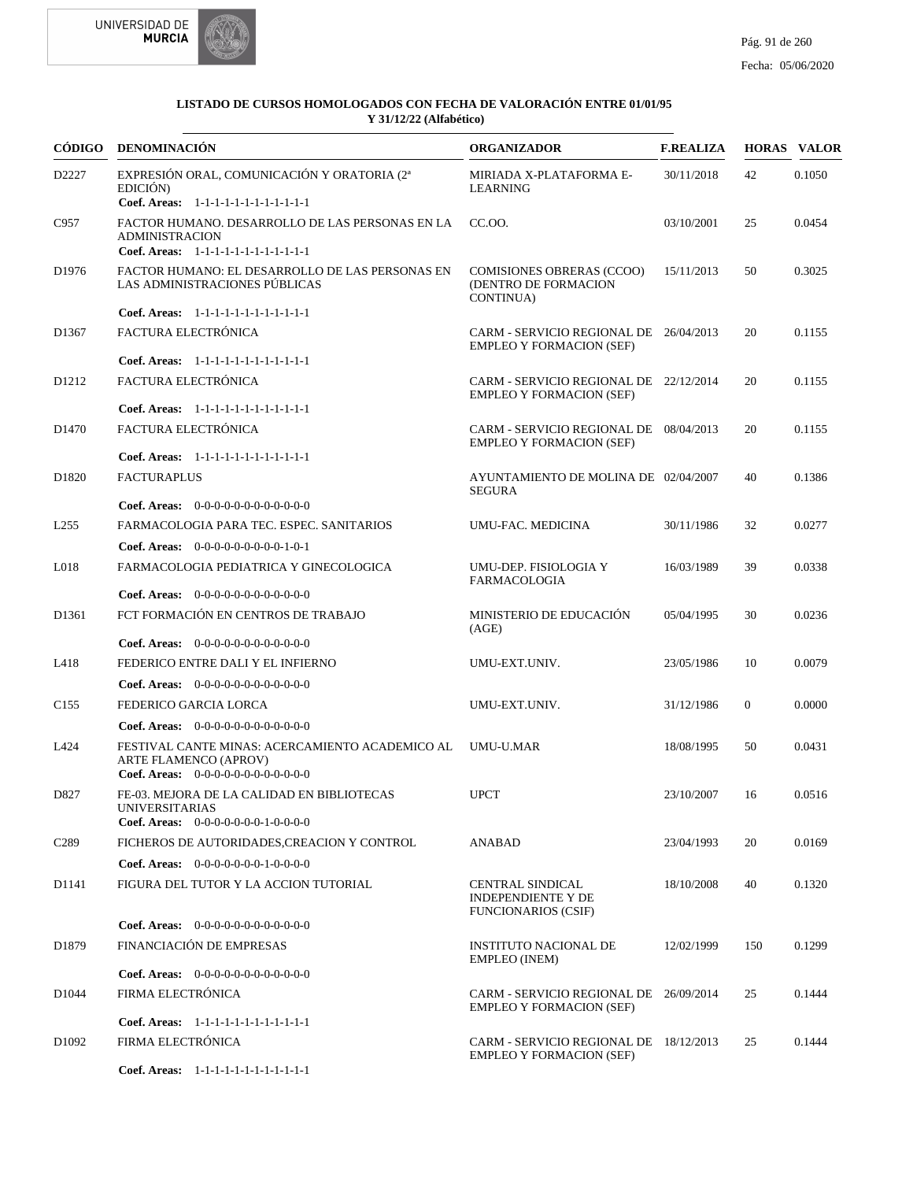



| CÓDIGO            | DENOMINACIÓN                                                                                                                     | <b>ORGANIZADOR</b>                                                                 | <b>F.REALIZA</b> |              | <b>HORAS VALOR</b> |
|-------------------|----------------------------------------------------------------------------------------------------------------------------------|------------------------------------------------------------------------------------|------------------|--------------|--------------------|
| D2227             | EXPRESIÓN ORAL, COMUNICACIÓN Y ORATORIA (2ª<br>EDICIÓN)<br>Coef. Areas: 1-1-1-1-1-1-1-1-1-1-1-1-1                                | MIRIADA X-PLATAFORMA E-<br><b>LEARNING</b>                                         | 30/11/2018       | 42           | 0.1050             |
| C957              | FACTOR HUMANO. DESARROLLO DE LAS PERSONAS EN LA<br><b>ADMINISTRACION</b><br>Coef. Areas: 1-1-1-1-1-1-1-1-1-1-1-1-1               | CC.00.                                                                             | 03/10/2001       | 25           | 0.0454             |
| D <sub>1976</sub> | FACTOR HUMANO: EL DESARROLLO DE LAS PERSONAS EN<br>LAS ADMINISTRACIONES PÚBLICAS                                                 | <b>COMISIONES OBRERAS (CCOO)</b><br>(DENTRO DE FORMACION<br><b>CONTINUA)</b>       | 15/11/2013       | 50           | 0.3025             |
|                   | Coef. Areas: 1-1-1-1-1-1-1-1-1-1-1-1-1                                                                                           |                                                                                    |                  |              |                    |
| D1367             | FACTURA ELECTRÓNICA                                                                                                              | CARM - SERVICIO REGIONAL DE 26/04/2013<br><b>EMPLEO Y FORMACION (SEF)</b>          |                  | 20           | 0.1155             |
|                   | Coef. Areas: 1-1-1-1-1-1-1-1-1-1-1-1-1                                                                                           |                                                                                    |                  |              |                    |
| D <sub>1212</sub> | FACTURA ELECTRÓNICA                                                                                                              | CARM - SERVICIO REGIONAL DE 22/12/2014<br><b>EMPLEO Y FORMACION (SEF)</b>          |                  | 20           | 0.1155             |
|                   | Coef. Areas: 1-1-1-1-1-1-1-1-1-1-1-1-1                                                                                           |                                                                                    |                  |              |                    |
| D <sub>1470</sub> | FACTURA ELECTRÓNICA                                                                                                              | CARM - SERVICIO REGIONAL DE 08/04/2013<br><b>EMPLEO Y FORMACION (SEF)</b>          |                  | 20           | 0.1155             |
|                   | Coef. Areas: 1-1-1-1-1-1-1-1-1-1-1-1-1                                                                                           |                                                                                    |                  |              |                    |
| D1820             | <b>FACTURAPLUS</b>                                                                                                               | AYUNTAMIENTO DE MOLINA DE 02/04/2007<br>SEGURA                                     |                  | 40           | 0.1386             |
|                   | <b>Coef. Areas:</b> $0-0-0-0-0-0-0-0-0-0-0-0$                                                                                    |                                                                                    |                  |              |                    |
| L <sub>255</sub>  | FARMACOLOGIA PARA TEC. ESPEC. SANITARIOS                                                                                         | UMU-FAC. MEDICINA                                                                  | 30/11/1986       | 32           | 0.0277             |
|                   | Coef. Areas: $0-0-0-0-0-0-0-0-1-0-1$                                                                                             |                                                                                    |                  |              |                    |
| L018              | FARMACOLOGIA PEDIATRICA Y GINECOLOGICA                                                                                           | UMU-DEP. FISIOLOGIA Y<br><b>FARMACOLOGIA</b>                                       | 16/03/1989       | 39           | 0.0338             |
|                   | Coef. Areas: 0-0-0-0-0-0-0-0-0-0-0-0-0                                                                                           |                                                                                    |                  |              |                    |
| D <sub>1361</sub> | FCT FORMACIÓN EN CENTROS DE TRABAJO                                                                                              | MINISTERIO DE EDUCACIÓN<br>(AGE)                                                   | 05/04/1995       | 30           | 0.0236             |
|                   | <b>Coef. Areas:</b> $0-0-0-0-0-0-0-0-0-0-0$                                                                                      |                                                                                    |                  |              |                    |
| L418              | FEDERICO ENTRE DALI Y EL INFIERNO                                                                                                | UMU-EXT.UNIV.                                                                      | 23/05/1986       | 10           | 0.0079             |
|                   | Coef. Areas: $0-0-0-0-0-0-0-0-0-0-0$                                                                                             |                                                                                    |                  |              |                    |
| C <sub>155</sub>  | FEDERICO GARCIA LORCA                                                                                                            | UMU-EXT.UNIV.                                                                      | 31/12/1986       | $\mathbf{0}$ | 0.0000             |
|                   | Coef. Areas: 0-0-0-0-0-0-0-0-0-0-0-0-0                                                                                           |                                                                                    |                  |              |                    |
| L424              | FESTIVAL CANTE MINAS: ACERCAMIENTO ACADEMICO AL<br><b>ARTE FLAMENCO (APROV)</b><br><b>Coef. Areas:</b> $0-0-0-0-0-0-0-0-0-0-0-0$ | <b>UMU-U.MAR</b>                                                                   | 18/08/1995       | 50           | 0.0431             |
| D827              | FE-03. MEJORA DE LA CALIDAD EN BIBLIOTECAS<br>UNIVERSITARIAS<br><b>Coef. Areas:</b> $0-0-0-0-0-0-1-0-0-0-0$                      | <b>UPCT</b>                                                                        | 23/10/2007       | 16           | 0.0516             |
| C <sub>289</sub>  | FICHEROS DE AUTORIDADES, CREACION Y CONTROL                                                                                      | <b>ANABAD</b>                                                                      | 23/04/1993       | 20           | 0.0169             |
|                   |                                                                                                                                  |                                                                                    |                  |              |                    |
|                   | Coef. Areas: 0-0-0-0-0-0-0-1-0-0-0-0                                                                                             |                                                                                    |                  |              |                    |
| D1141             | FIGURA DEL TUTOR Y LA ACCION TUTORIAL                                                                                            | <b>CENTRAL SINDICAL</b><br><b>INDEPENDIENTE Y DE</b><br><b>FUNCIONARIOS (CSIF)</b> | 18/10/2008       | 40           | 0.1320             |
|                   | Coef. Areas: $0-0-0-0-0-0-0-0-0-0-0$                                                                                             |                                                                                    |                  |              |                    |
| D1879             | FINANCIACIÓN DE EMPRESAS                                                                                                         | INSTITUTO NACIONAL DE<br>EMPLEO (INEM)                                             | 12/02/1999       | 150          | 0.1299             |
|                   | Coef. Areas: $0-0-0-0-0-0-0-0-0-0-0$                                                                                             |                                                                                    |                  |              |                    |
| D1044             | FIRMA ELECTRÓNICA                                                                                                                | CARM - SERVICIO REGIONAL DE 26/09/2014<br><b>EMPLEO Y FORMACION (SEF)</b>          |                  | 25           | 0.1444             |
|                   | Coef. Areas: 1-1-1-1-1-1-1-1-1-1-1-1-1                                                                                           |                                                                                    |                  |              |                    |
| D <sub>1092</sub> | FIRMA ELECTRÓNICA                                                                                                                | CARM - SERVICIO REGIONAL DE 18/12/2013<br><b>EMPLEO Y FORMACION (SEF)</b>          |                  | 25           | 0.1444             |
|                   | Coef. Areas: 1-1-1-1-1-1-1-1-1-1-1-1-1                                                                                           |                                                                                    |                  |              |                    |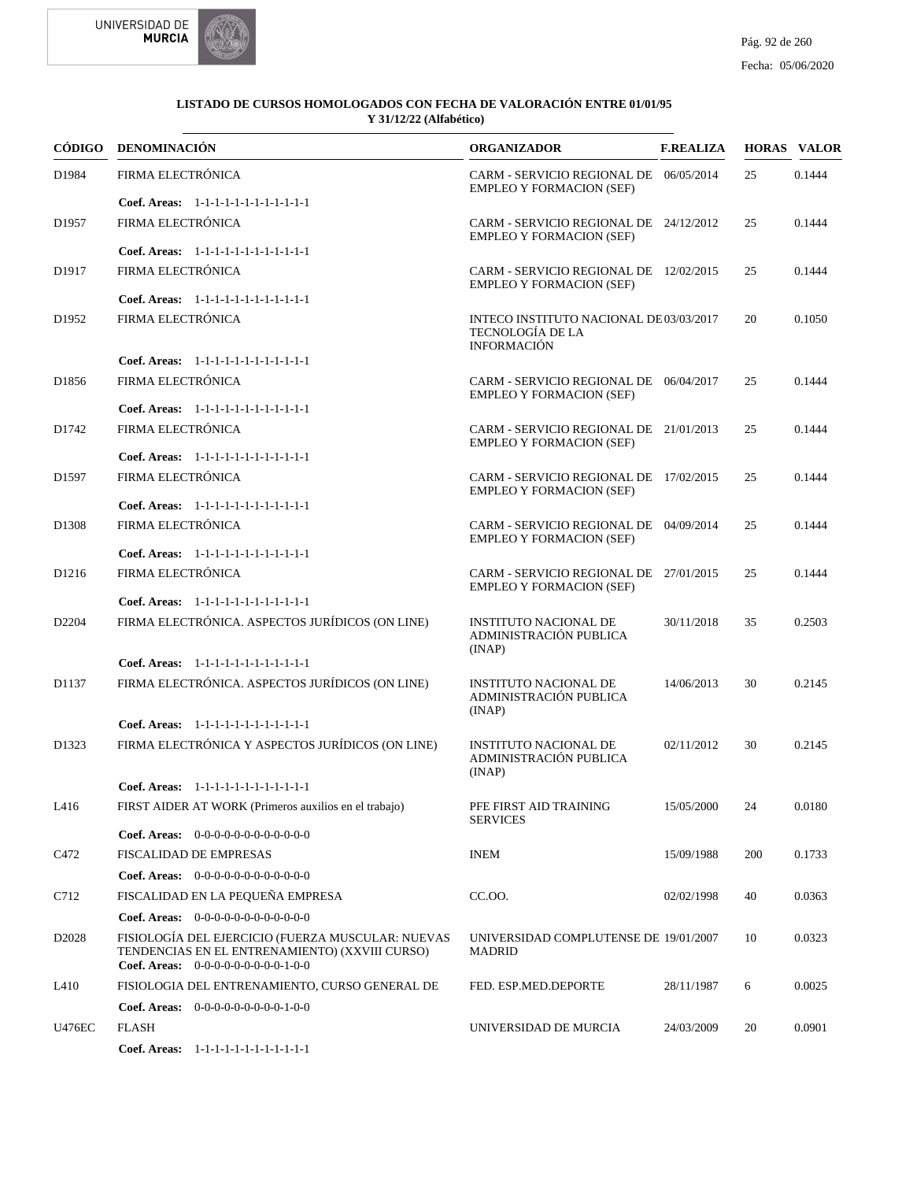



|                   | CÓDIGO DENOMINACIÓN                                                                                                                           | <b>ORGANIZADOR</b>                                                               | <b>F.REALIZA</b> |     | <b>HORAS VALOR</b> |
|-------------------|-----------------------------------------------------------------------------------------------------------------------------------------------|----------------------------------------------------------------------------------|------------------|-----|--------------------|
| D1984             | FIRMA ELECTRÓNICA                                                                                                                             | CARM - SERVICIO REGIONAL DE 06/05/2014<br><b>EMPLEO Y FORMACION (SEF)</b>        |                  | 25  | 0.1444             |
|                   | Coef. Areas: 1-1-1-1-1-1-1-1-1-1-1-1-1                                                                                                        |                                                                                  |                  |     |                    |
| D <sub>1957</sub> | FIRMA ELECTRÓNICA                                                                                                                             | CARM - SERVICIO REGIONAL DE 24/12/2012<br><b>EMPLEO Y FORMACION (SEF)</b>        |                  | 25  | 0.1444             |
|                   | Coef. Areas: 1-1-1-1-1-1-1-1-1-1-1-1-1                                                                                                        |                                                                                  |                  |     |                    |
| D1917             | FIRMA ELECTRÓNICA                                                                                                                             | CARM - SERVICIO REGIONAL DE 12/02/2015<br><b>EMPLEO Y FORMACION (SEF)</b>        |                  | 25  | 0.1444             |
|                   | Coef. Areas: 1-1-1-1-1-1-1-1-1-1-1-1-1                                                                                                        |                                                                                  |                  |     |                    |
| D1952             | FIRMA ELECTRÓNICA                                                                                                                             | INTECO INSTITUTO NACIONAL DE03/03/2017<br>TECNOLOGÍA DE LA<br><b>INFORMACIÓN</b> |                  | 20  | 0.1050             |
|                   | Coef. Areas: 1-1-1-1-1-1-1-1-1-1-1-1-1                                                                                                        |                                                                                  |                  |     |                    |
| D <sub>1856</sub> | FIRMA ELECTRÓNICA                                                                                                                             | CARM - SERVICIO REGIONAL DE 06/04/2017<br><b>EMPLEO Y FORMACION (SEF)</b>        |                  | 25  | 0.1444             |
|                   | Coef. Areas: 1-1-1-1-1-1-1-1-1-1-1-1-1                                                                                                        |                                                                                  |                  |     |                    |
| D1742             | FIRMA ELECTRÓNICA                                                                                                                             | CARM - SERVICIO REGIONAL DE 21/01/2013<br><b>EMPLEO Y FORMACION (SEF)</b>        |                  | 25  | 0.1444             |
|                   | Coef. Areas: 1-1-1-1-1-1-1-1-1-1-1-1-1                                                                                                        |                                                                                  |                  |     |                    |
| D1597             | FIRMA ELECTRÓNICA                                                                                                                             | CARM - SERVICIO REGIONAL DE 17/02/2015<br><b>EMPLEO Y FORMACION (SEF)</b>        |                  | 25  | 0.1444             |
|                   | Coef. Areas: 1-1-1-1-1-1-1-1-1-1-1-1-1                                                                                                        |                                                                                  |                  |     |                    |
| D1308             | FIRMA ELECTRÓNICA                                                                                                                             | CARM - SERVICIO REGIONAL DE 04/09/2014<br><b>EMPLEO Y FORMACION (SEF)</b>        |                  | 25  | 0.1444             |
|                   | Coef. Areas: 1-1-1-1-1-1-1-1-1-1-1-1-1                                                                                                        |                                                                                  |                  |     |                    |
| D <sub>1216</sub> | FIRMA ELECTRÓNICA<br>Coef. Areas: 1-1-1-1-1-1-1-1-1-1-1-1-1                                                                                   | CARM - SERVICIO REGIONAL DE 27/01/2015<br><b>EMPLEO Y FORMACION (SEF)</b>        |                  | 25  | 0.1444             |
|                   |                                                                                                                                               |                                                                                  |                  |     |                    |
| D2204             | FIRMA ELECTRÓNICA. ASPECTOS JURÍDICOS (ON LINE)                                                                                               | <b>INSTITUTO NACIONAL DE</b><br>ADMINISTRACIÓN PUBLICA<br>(INAP)                 | 30/11/2018       | 35  | 0.2503             |
|                   | Coef. Areas: 1-1-1-1-1-1-1-1-1-1-1-1-1                                                                                                        |                                                                                  |                  |     |                    |
| D1137             | FIRMA ELECTRÓNICA. ASPECTOS JURÍDICOS (ON LINE)                                                                                               | <b>INSTITUTO NACIONAL DE</b><br>ADMINISTRACIÓN PUBLICA<br>(INAP)                 | 14/06/2013       | 30  | 0.2145             |
|                   | Coef. Areas: 1-1-1-1-1-1-1-1-1-1-1-1-1                                                                                                        |                                                                                  |                  |     |                    |
| D1323             | FIRMA ELECTRÓNICA Y ASPECTOS JURÍDICOS (ON LINE)                                                                                              | <b>INSTITUTO NACIONAL DE</b><br>ADMINISTRACIÓN PUBLICA<br>(INAP)                 | 02/11/2012       | 30  | 0.2145             |
|                   | Coef. Areas: 1-1-1-1-1-1-1-1-1-1-1-1-1                                                                                                        |                                                                                  |                  |     |                    |
| L416              | FIRST AIDER AT WORK (Primeros auxilios en el trabajo)                                                                                         | PFE FIRST AID TRAINING<br><b>SERVICES</b>                                        | 15/05/2000 24    |     | 0.0180             |
|                   | Coef. Areas: $0-0-0-0-0-0-0-0-0-0-0-0$                                                                                                        |                                                                                  |                  |     |                    |
| C472              | <b>FISCALIDAD DE EMPRESAS</b>                                                                                                                 | <b>INEM</b>                                                                      | 15/09/1988       | 200 | 0.1733             |
|                   | Coef. Areas: $0-0-0-0-0-0-0-0-0-0-0$                                                                                                          |                                                                                  |                  |     |                    |
| C712              | FISCALIDAD EN LA PEQUEÑA EMPRESA                                                                                                              | CC.00.                                                                           | 02/02/1998       | 40  | 0.0363             |
|                   | Coef. Areas: $0-0-0-0-0-0-0-0-0-0-0-0$                                                                                                        |                                                                                  |                  |     |                    |
| D <sub>2028</sub> | FISIOLOGÍA DEL EJERCICIO (FUERZA MUSCULAR: NUEVAS<br>TENDENCIAS EN EL ENTRENAMIENTO) (XXVIII CURSO)<br>Coef. Areas: $0-0-0-0-0-0-0-0-0-1-0-0$ | UNIVERSIDAD COMPLUTENSE DE 19/01/2007<br><b>MADRID</b>                           |                  | 10  | 0.0323             |
| L410              | FISIOLOGIA DEL ENTRENAMIENTO, CURSO GENERAL DE                                                                                                | FED. ESP.MED.DEPORTE                                                             | 28/11/1987       | 6   | 0.0025             |
|                   | Coef. Areas: 0-0-0-0-0-0-0-0-0-1-0-0                                                                                                          |                                                                                  |                  |     |                    |
| <b>U476EC</b>     | FLASH                                                                                                                                         | UNIVERSIDAD DE MURCIA                                                            | 24/03/2009       | 20  | 0.0901             |
|                   | Coef. Areas: 1-1-1-1-1-1-1-1-1-1-1-1-1                                                                                                        |                                                                                  |                  |     |                    |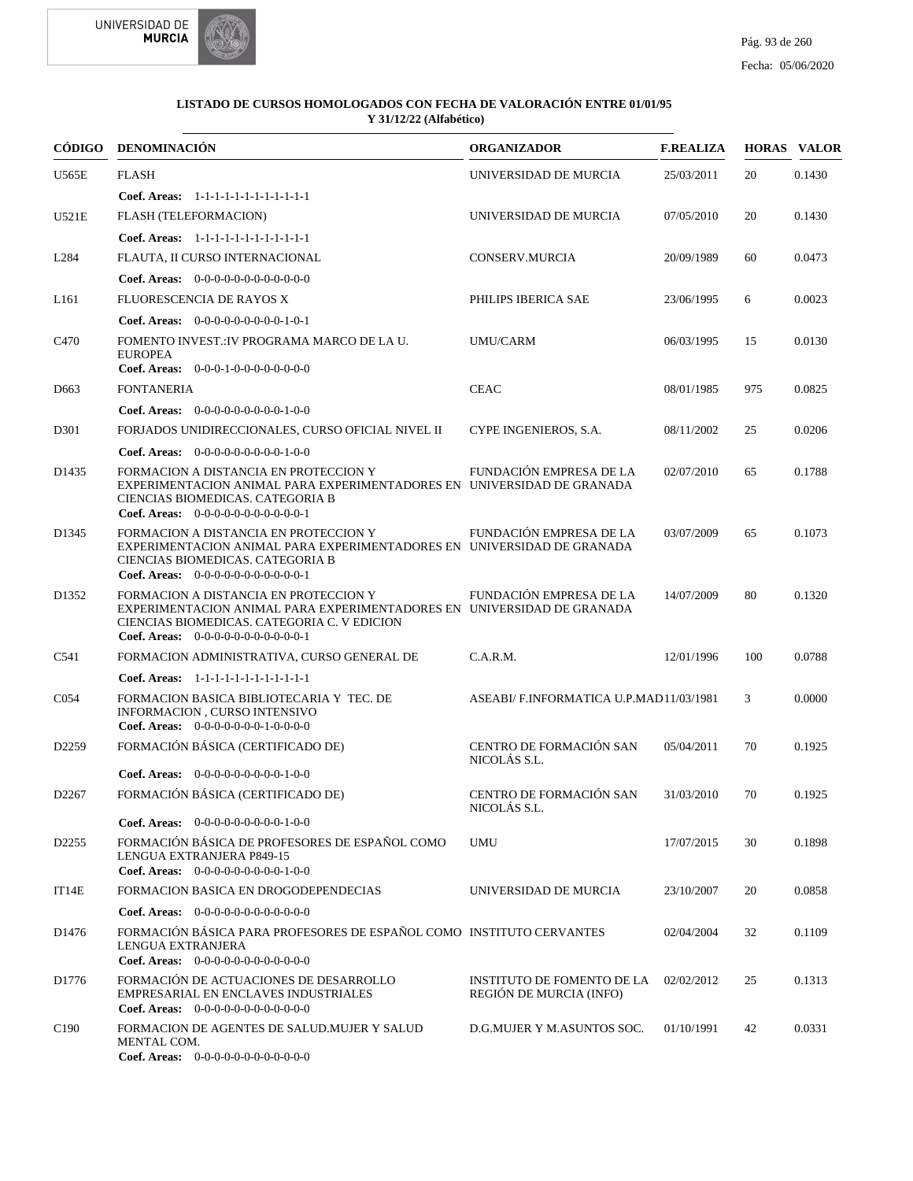

|                   | CÓDIGO DENOMINACIÓN                                                                                                                                                                                    | <b>ORGANIZADOR</b>                                           | <b>F.REALIZA</b> |     | <b>HORAS VALOR</b> |
|-------------------|--------------------------------------------------------------------------------------------------------------------------------------------------------------------------------------------------------|--------------------------------------------------------------|------------------|-----|--------------------|
| U565E             | <b>FLASH</b>                                                                                                                                                                                           | UNIVERSIDAD DE MURCIA                                        | 25/03/2011       | 20  | 0.1430             |
|                   | Coef. Areas: 1-1-1-1-1-1-1-1-1-1-1-1-1                                                                                                                                                                 |                                                              |                  |     |                    |
| U521E             | FLASH (TELEFORMACION)                                                                                                                                                                                  | UNIVERSIDAD DE MURCIA                                        | 07/05/2010       | 20  | 0.1430             |
|                   | Coef. Areas: 1-1-1-1-1-1-1-1-1-1-1-1-1                                                                                                                                                                 |                                                              |                  |     |                    |
| L <sub>284</sub>  | FLAUTA, II CURSO INTERNACIONAL                                                                                                                                                                         | CONSERV.MURCIA                                               | 20/09/1989       | 60  | 0.0473             |
|                   | <b>Coef. Areas:</b> $0-0-0-0-0-0-0-0-0-0-0-0$                                                                                                                                                          |                                                              |                  |     |                    |
| L <sub>161</sub>  | <b>FLUORESCENCIA DE RAYOS X</b>                                                                                                                                                                        | PHILIPS IBERICA SAE                                          | 23/06/1995       | 6   | 0.0023             |
|                   | Coef. Areas: $0-0-0-0-0-0-0-0-1-0-1$                                                                                                                                                                   |                                                              |                  |     |                    |
| C <sub>470</sub>  | FOMENTO INVEST.: IV PROGRAMA MARCO DE LA U.<br><b>EUROPEA</b>                                                                                                                                          | <b>UMU/CARM</b>                                              | 06/03/1995       | 15  | 0.0130             |
|                   | <b>Coef. Areas:</b> $0-0-0-1-0-0-0-0-0-0-0-0$                                                                                                                                                          |                                                              |                  |     |                    |
| D <sub>663</sub>  | <b>FONTANERIA</b>                                                                                                                                                                                      | <b>CEAC</b>                                                  | 08/01/1985       | 975 | 0.0825             |
|                   | Coef. Areas: 0-0-0-0-0-0-0-0-0-1-0-0                                                                                                                                                                   |                                                              |                  |     |                    |
| D301              | FORJADOS UNIDIRECCIONALES, CURSO OFICIAL NIVEL II<br><b>Coef. Areas:</b> $0-0-0-0-0-0-0-0-1-0-0$                                                                                                       | CYPE INGENIEROS, S.A.                                        | 08/11/2002       | 25  | 0.0206             |
| D <sub>1435</sub> | FORMACION A DISTANCIA EN PROTECCION Y<br>EXPERIMENTACION ANIMAL PARA EXPERIMENTADORES EN UNIVERSIDAD DE GRANADA<br>CIENCIAS BIOMEDICAS. CATEGORIA B<br>Coef. Areas: $0-0-0-0-0-0-0-0-0-0-1$            | FUNDACIÓN EMPRESA DE LA                                      | 02/07/2010       | 65  | 0.1788             |
| D1345             | FORMACION A DISTANCIA EN PROTECCION Y<br>EXPERIMENTACION ANIMAL PARA EXPERIMENTADORES EN UNIVERSIDAD DE GRANADA<br>CIENCIAS BIOMEDICAS. CATEGORIA B<br>Coef. Areas: $0-0-0-0-0-0-0-0-0-0-0-1$          | FUNDACIÓN EMPRESA DE LA                                      | 03/07/2009       | 65  | 0.1073             |
| D1352             | FORMACION A DISTANCIA EN PROTECCION Y<br>EXPERIMENTACION ANIMAL PARA EXPERIMENTADORES EN UNIVERSIDAD DE GRANADA<br>CIENCIAS BIOMEDICAS. CATEGORIA C. V EDICION<br>Coef. Areas: $0-0-0-0-0-0-0-0-0-0-1$ | FUNDACIÓN EMPRESA DE LA                                      | 14/07/2009       | 80  | 0.1320             |
| C541              | FORMACION ADMINISTRATIVA, CURSO GENERAL DE                                                                                                                                                             | C.A.R.M.                                                     | 12/01/1996       | 100 | 0.0788             |
|                   | Coef. Areas: 1-1-1-1-1-1-1-1-1-1-1-1-1                                                                                                                                                                 |                                                              |                  |     |                    |
| C <sub>054</sub>  | FORMACION BASICA BIBLIOTECARIA Y TEC. DE<br><b>INFORMACION . CURSO INTENSIVO</b><br>Coef. Areas: $0-0-0-0-0-0-1-0-0-0-0$                                                                               | ASEABI/F.INFORMATICA U.P.MAD11/03/1981                       |                  | 3   | 0.0000             |
| D <sub>2259</sub> | FORMACIÓN BÁSICA (CERTIFICADO DE)                                                                                                                                                                      | CENTRO DE FORMACIÓN SAN<br>NICOLÁS S.L.                      | 05/04/2011       | 70  | 0.1925             |
|                   | Coef. Areas: $0-0-0-0-0-0-0-0-1-0-0$                                                                                                                                                                   |                                                              |                  |     |                    |
| D <sub>2267</sub> | FORMACIÓN BÁSICA (CERTIFICADO DE)                                                                                                                                                                      | CENTRO DE FORMACIÓN SAN<br>NICOLAS S.L.                      | 31/03/2010       | 70  | 0.1925             |
|                   | <b>Coef. Areas:</b> $0-0-0-0-0-0-0-0-1-0-0$                                                                                                                                                            |                                                              |                  |     |                    |
| D <sub>2255</sub> | FORMACIÓN BÁSICA DE PROFESORES DE ESPAÑOL COMO<br>LENGUA EXTRANJERA P849-15<br>Coef. Areas: $0-0-0-0-0-0-0-0-1-0-0$                                                                                    | <b>UMU</b>                                                   | 17/07/2015       | 30  | 0.1898             |
| IT14E             | FORMACION BASICA EN DROGODEPENDECIAS                                                                                                                                                                   | UNIVERSIDAD DE MURCIA                                        | 23/10/2007       | 20  | 0.0858             |
|                   | <b>Coef. Areas:</b> $0-0-0-0-0-0-0-0-0-0-0$                                                                                                                                                            |                                                              |                  |     |                    |
| D1476             | FORMACIÓN BÁSICA PARA PROFESORES DE ESPAÑOL COMO INSTITUTO CERVANTES<br>LENGUA EXTRANJERA<br>Coef. Areas: $0-0-0-0-0-0-0-0-0-0-0$                                                                      |                                                              | 02/04/2004       | 32  | 0.1109             |
| D1776             | FORMACIÓN DE ACTUACIONES DE DESARROLLO<br>EMPRESARIAL EN ENCLAVES INDUSTRIALES<br>Coef. Areas: $0-0-0-0-0-0-0-0-0-0-0$                                                                                 | <b>INSTITUTO DE FOMENTO DE LA</b><br>REGIÓN DE MURCIA (INFO) | 02/02/2012       | 25  | 0.1313             |
| C <sub>190</sub>  | FORMACION DE AGENTES DE SALUD.MUJER Y SALUD<br>MENTAL COM.<br>Coef. Areas: $0-0-0-0-0-0-0-0-0-0-0$                                                                                                     | D.G.MUJER Y M.ASUNTOS SOC.                                   | 01/10/1991       | 42  | 0.0331             |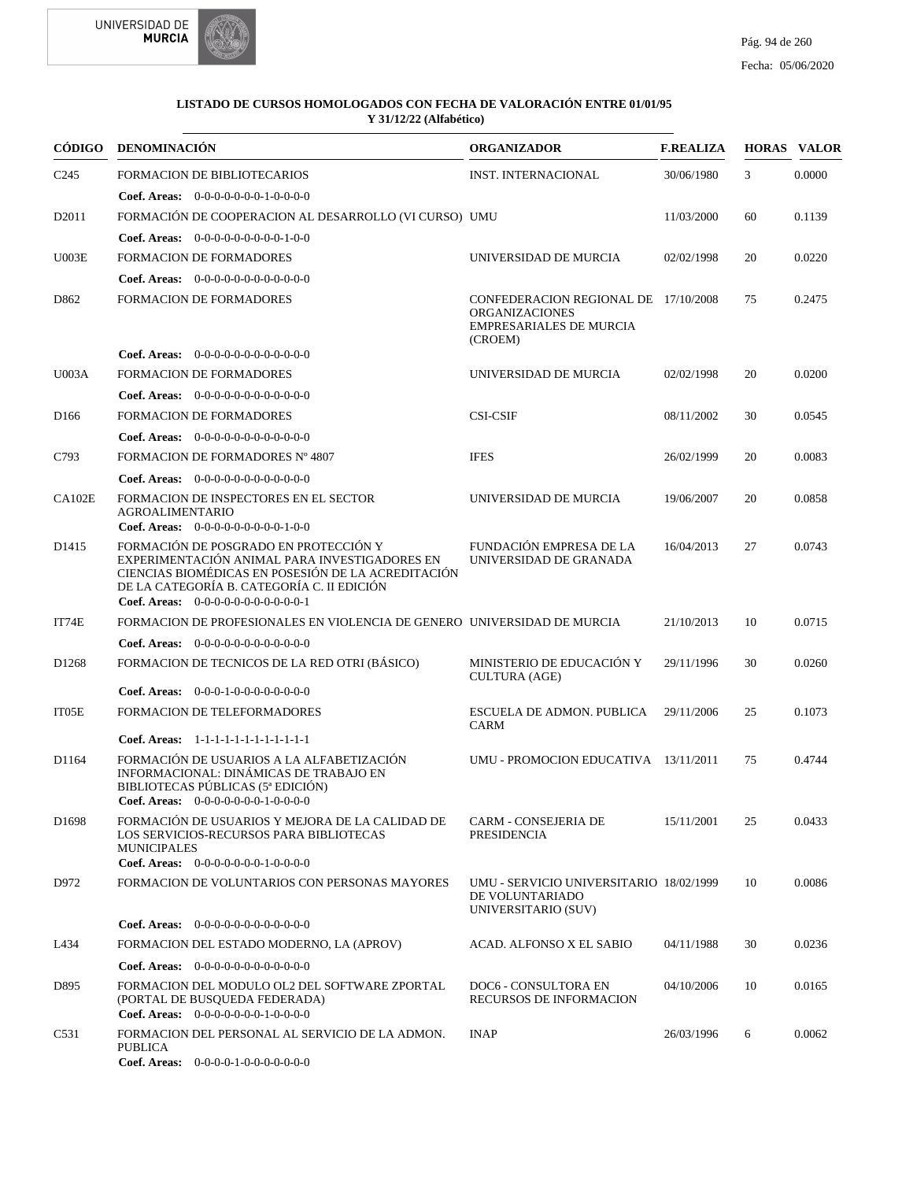



|                   | CÓDIGO DENOMINACIÓN                                                                                                                                                                                                                  | <b>ORGANIZADOR</b>                                                                                         | <b>F.REALIZA</b> |    | <b>HORAS VALOR</b> |
|-------------------|--------------------------------------------------------------------------------------------------------------------------------------------------------------------------------------------------------------------------------------|------------------------------------------------------------------------------------------------------------|------------------|----|--------------------|
| C <sub>245</sub>  | <b>FORMACION DE BIBLIOTECARIOS</b>                                                                                                                                                                                                   | <b>INST. INTERNACIONAL</b>                                                                                 | 30/06/1980       | 3  | 0.0000             |
|                   | Coef. Areas: $0-0-0-0-0-0-1-0-0-0-0$                                                                                                                                                                                                 |                                                                                                            |                  |    |                    |
| D2011             | FORMACIÓN DE COOPERACION AL DESARROLLO (VI CURSO) UMU                                                                                                                                                                                |                                                                                                            | 11/03/2000       | 60 | 0.1139             |
|                   | Coef. Areas: $0-0-0-0-0-0-0-0-1-0-0$                                                                                                                                                                                                 |                                                                                                            |                  |    |                    |
| U003E             | <b>FORMACION DE FORMADORES</b>                                                                                                                                                                                                       | UNIVERSIDAD DE MURCIA                                                                                      | 02/02/1998       | 20 | 0.0220             |
|                   | <b>Coef. Areas:</b> $0-0-0-0-0-0-0-0-0-0-0-0$                                                                                                                                                                                        |                                                                                                            |                  |    |                    |
| D862              | <b>FORMACION DE FORMADORES</b>                                                                                                                                                                                                       | CONFEDERACION REGIONAL DE 17/10/2008<br><b>ORGANIZACIONES</b><br><b>EMPRESARIALES DE MURCIA</b><br>(CROEM) |                  | 75 | 0.2475             |
|                   | <b>Coef. Areas:</b> $0-0-0-0-0-0-0-0-0-0-0-0$                                                                                                                                                                                        |                                                                                                            |                  |    |                    |
| <b>U003A</b>      | FORMACION DE FORMADORES                                                                                                                                                                                                              | UNIVERSIDAD DE MURCIA                                                                                      | 02/02/1998       | 20 | 0.0200             |
|                   | <b>Coef. Areas:</b> $0-0-0-0-0-0-0-0-0-0-0-0$                                                                                                                                                                                        |                                                                                                            |                  |    |                    |
| D <sub>166</sub>  | <b>FORMACION DE FORMADORES</b>                                                                                                                                                                                                       | <b>CSI-CSIF</b>                                                                                            | 08/11/2002       | 30 | 0.0545             |
|                   | Coef. Areas: $0-0-0-0-0-0-0-0-0-0-0$                                                                                                                                                                                                 |                                                                                                            |                  |    |                    |
| C793              | FORMACION DE FORMADORES Nº 4807                                                                                                                                                                                                      | <b>IFES</b>                                                                                                | 26/02/1999       | 20 | 0.0083             |
|                   | <b>Coef. Areas:</b> $0-0-0-0-0-0-0-0-0-0-0-0$                                                                                                                                                                                        |                                                                                                            |                  |    |                    |
| CA102E            | FORMACION DE INSPECTORES EN EL SECTOR<br><b>AGROALIMENTARIO</b><br>Coef. Areas: $0-0-0-0-0-0-0-0-0-1-0-0$                                                                                                                            | UNIVERSIDAD DE MURCIA                                                                                      | 19/06/2007       | 20 | 0.0858             |
| D <sub>1415</sub> | FORMACIÓN DE POSGRADO EN PROTECCIÓN Y<br>EXPERIMENTACIÓN ANIMAL PARA INVESTIGADORES EN<br>CIENCIAS BIOMÉDICAS EN POSESIÓN DE LA ACREDITACIÓN<br>DE LA CATEGORÍA B. CATEGORÍA C. II EDICIÓN<br>Coef. Areas: $0-0-0-0-0-0-0-0-0-0-0-1$ | FUNDACIÓN EMPRESA DE LA<br>UNIVERSIDAD DE GRANADA                                                          | 16/04/2013       | 27 | 0.0743             |
| IT74E             | FORMACION DE PROFESIONALES EN VIOLENCIA DE GENERO UNIVERSIDAD DE MURCIA                                                                                                                                                              |                                                                                                            | 21/10/2013       | 10 | 0.0715             |
|                   | Coef. Areas: $0-0-0-0-0-0-0-0-0-0-0$                                                                                                                                                                                                 |                                                                                                            |                  |    |                    |
| D <sub>1268</sub> | FORMACION DE TECNICOS DE LA RED OTRI (BÁSICO)                                                                                                                                                                                        | MINISTERIO DE EDUCACIÓN Y<br><b>CULTURA (AGE)</b>                                                          | 29/11/1996       | 30 | 0.0260             |
|                   | <b>Coef. Areas:</b> $0-0-0-1-0-0-0-0-0-0-0-0$                                                                                                                                                                                        |                                                                                                            |                  |    |                    |
| IT05E             | FORMACION DE TELEFORMADORES<br>Coef. Areas: 1-1-1-1-1-1-1-1-1-1-1-1-1                                                                                                                                                                | ESCUELA DE ADMON. PUBLICA<br>CARM                                                                          | 29/11/2006       | 25 | 0.1073             |
| D <sub>1164</sub> | FORMACIÓN DE USUARIOS A LA ALFABETIZACIÓN                                                                                                                                                                                            | UMU - PROMOCION EDUCATIVA 13/11/2011                                                                       |                  | 75 | 0.4744             |
|                   | INFORMACIONAL: DINÁMICAS DE TRABAJO EN<br>BIBLIOTECAS PÚBLICAS (5ª EDICIÓN)<br>Coef. Areas: 0-0-0-0-0-0-0-1-0-0-0-0                                                                                                                  |                                                                                                            |                  |    |                    |
| D <sub>1698</sub> | FORMACIÓN DE USUARIOS Y MEJORA DE LA CALIDAD DE<br>LOS SERVICIOS-RECURSOS PARA BIBLIOTECAS<br><b>MUNICIPALES</b><br>Coef. Areas: $0-0-0-0-0-0-1-0-0-0-0$                                                                             | CARM - CONSEJERIA DE<br>PRESIDENCIA                                                                        | 15/11/2001       | 25 | 0.0433             |
| D972              | FORMACION DE VOLUNTARIOS CON PERSONAS MAYORES                                                                                                                                                                                        | UMU - SERVICIO UNIVERSITARIO 18/02/1999<br>DE VOLUNTARIADO<br>UNIVERSITARIO (SUV)                          |                  | 10 | 0.0086             |
|                   | Coef. Areas: 0-0-0-0-0-0-0-0-0-0-0-0-0                                                                                                                                                                                               |                                                                                                            |                  |    |                    |
| L434              | FORMACION DEL ESTADO MODERNO, LA (APROV)                                                                                                                                                                                             | ACAD. ALFONSO X EL SABIO                                                                                   | 04/11/1988       | 30 | 0.0236             |
|                   | Coef. Areas: $0-0-0-0-0-0-0-0-0-0-0$                                                                                                                                                                                                 |                                                                                                            |                  |    |                    |
| D895              | FORMACION DEL MODULO OL2 DEL SOFTWARE ZPORTAL<br>(PORTAL DE BUSQUEDA FEDERADA)<br>Coef. Areas: $0-0-0-0-0-0-1-0-0-0-0$                                                                                                               | DOC6 - CONSULTORA EN<br><b>RECURSOS DE INFORMACION</b>                                                     | 04/10/2006       | 10 | 0.0165             |
| C531              | FORMACION DEL PERSONAL AL SERVICIO DE LA ADMON.<br><b>PUBLICA</b><br>Coef. Areas: $0-0-0-0-1-0-0-0-0-0-0$                                                                                                                            | <b>INAP</b>                                                                                                | 26/03/1996       | 6  | 0.0062             |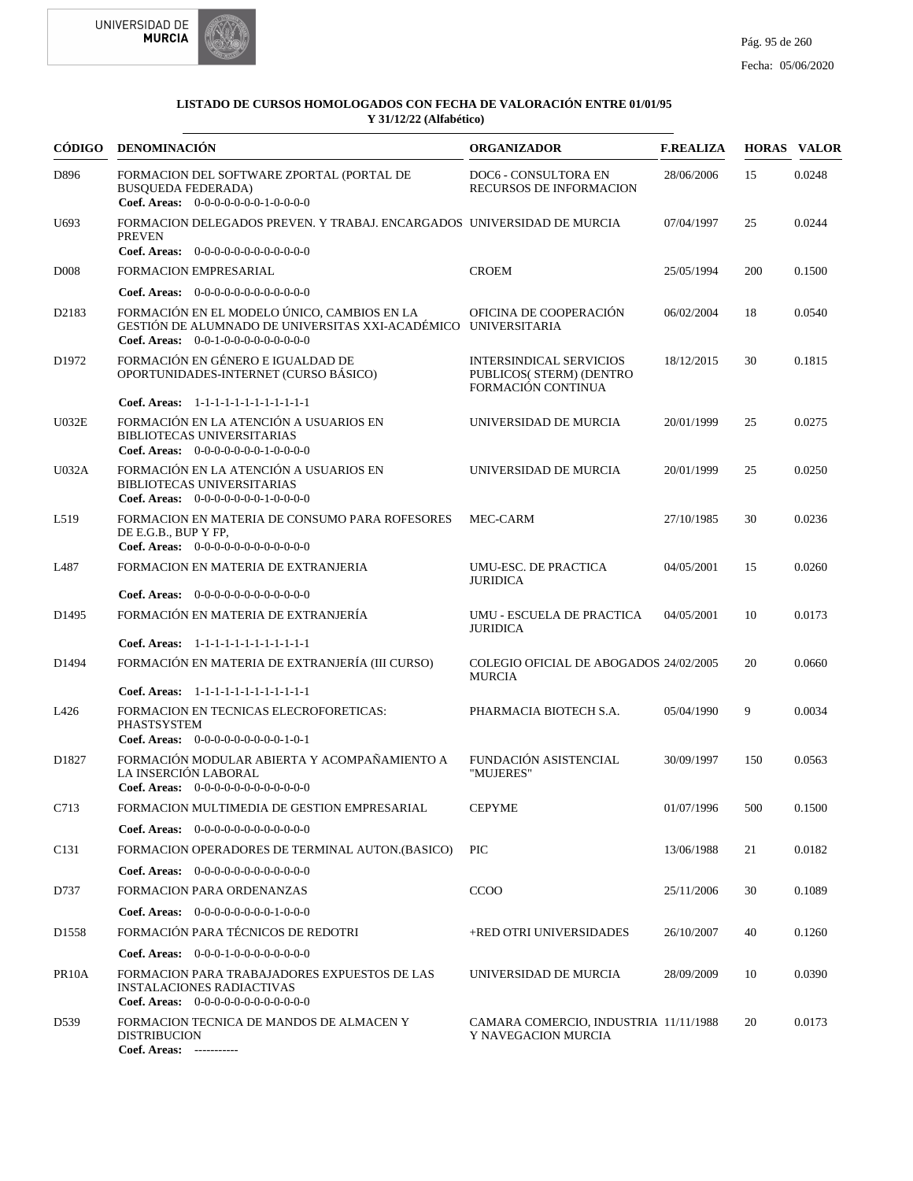



|                    | CÓDIGO DENOMINACIÓN                                                                                                                                   | <b>ORGANIZADOR</b>                                                               | <b>F.REALIZA</b> |     | <b>HORAS VALOR</b> |
|--------------------|-------------------------------------------------------------------------------------------------------------------------------------------------------|----------------------------------------------------------------------------------|------------------|-----|--------------------|
| D896               | FORMACION DEL SOFTWARE ZPORTAL (PORTAL DE<br><b>BUSQUEDA FEDERADA)</b><br><b>Coef. Areas:</b> $0-0-0-0-0-0-1-0-0-0-0$                                 | DOC6 - CONSULTORA EN<br><b>RECURSOS DE INFORMACION</b>                           | 28/06/2006       | 15  | 0.0248             |
| U <sub>693</sub>   | FORMACION DELEGADOS PREVEN. Y TRABAJ. ENCARGADOS UNIVERSIDAD DE MURCIA<br><b>PREVEN</b><br>Coef. Areas: $0-0-0-0-0-0-0-0-0-0-0$                       |                                                                                  | 07/04/1997       | 25  | 0.0244             |
| D <sub>008</sub>   | FORMACION EMPRESARIAL                                                                                                                                 | <b>CROEM</b>                                                                     | 25/05/1994       | 200 | 0.1500             |
|                    | Coef. Areas: $0-0-0-0-0-0-0-0-0-0-0$                                                                                                                  |                                                                                  |                  |     |                    |
| D2183              | FORMACIÓN EN EL MODELO ÚNICO, CAMBIOS EN LA<br>GESTIÓN DE ALUMNADO DE UNIVERSITAS XXI-ACADÉMICO UNIVERSITARIA<br>Coef. Areas: $0-0-1-0-0-0-0-0-0-0-0$ | OFICINA DE COOPERACIÓN                                                           | 06/02/2004       | 18  | 0.0540             |
| D <sub>1972</sub>  | FORMACIÓN EN GÉNERO E IGUALDAD DE<br>OPORTUNIDADES-INTERNET (CURSO BÁSICO)                                                                            | <b>INTERSINDICAL SERVICIOS</b><br>PUBLICOS( STERM) (DENTRO<br>FORMACIÓN CONTINUA | 18/12/2015       | 30  | 0.1815             |
|                    | Coef. Areas: 1-1-1-1-1-1-1-1-1-1-1-1-1                                                                                                                |                                                                                  |                  |     |                    |
| U032E              | FORMACIÓN EN LA ATENCIÓN A USUARIOS EN<br>BIBLIOTECAS UNIVERSITARIAS<br>Coef. Areas: $0-0-0-0-0-0-1-0-0-0-0$                                          | UNIVERSIDAD DE MURCIA                                                            | 20/01/1999       | 25  | 0.0275             |
| U032A              | FORMACIÓN EN LA ATENCIÓN A USUARIOS EN<br><b>BIBLIOTECAS UNIVERSITARIAS</b><br>Coef. Areas: $0-0-0-0-0-0-1-0-0-0-0$                                   | UNIVERSIDAD DE MURCIA                                                            | 20/01/1999       | 25  | 0.0250             |
| L519               | FORMACION EN MATERIA DE CONSUMO PARA ROFESORES<br>DE E.G.B., BUP Y FP,<br>Coef. Areas: $0-0-0-0-0-0-0-0-0-0-0-0$                                      | MEC-CARM                                                                         | 27/10/1985       | 30  | 0.0236             |
| L487               | FORMACION EN MATERIA DE EXTRANJERIA                                                                                                                   | UMU-ESC. DE PRACTICA<br><b>JURIDICA</b>                                          | 04/05/2001       | 15  | 0.0260             |
|                    | <b>Coef. Areas:</b> $0-0-0-0-0-0-0-0-0-0-0-0$                                                                                                         |                                                                                  |                  |     |                    |
| D <sub>1495</sub>  | FORMACIÓN EN MATERIA DE EXTRANJERÍA                                                                                                                   | UMU - ESCUELA DE PRACTICA<br><b>JURIDICA</b>                                     | 04/05/2001       | 10  | 0.0173             |
|                    | Coef. Areas: 1-1-1-1-1-1-1-1-1-1-1-1-1                                                                                                                |                                                                                  |                  |     |                    |
| D <sub>1494</sub>  | FORMACIÓN EN MATERIA DE EXTRANJERÍA (III CURSO)                                                                                                       | COLEGIO OFICIAL DE ABOGADOS 24/02/2005<br><b>MURCIA</b>                          |                  | 20  | 0.0660             |
|                    | Coef. Areas: 1-1-1-1-1-1-1-1-1-1-1-1-1                                                                                                                |                                                                                  |                  |     |                    |
| L426               | FORMACION EN TECNICAS ELECROFORETICAS:<br><b>PHASTSYSTEM</b><br>Coef. Areas: $0-0-0-0-0-0-0-0-1-0-1$                                                  | PHARMACIA BIOTECH S.A.                                                           | 05/04/1990       | 9   | 0.0034             |
| D <sub>1827</sub>  | FORMACIÓN MODULAR ABIERTA Y ACOMPAÑAMIENTO A<br>LA INSERCIÓN LABORAL<br>Coef. Areas: $0-0-0-0-0-0-0-0-0-0-0-0$                                        | FUNDACIÓN ASISTENCIAL<br>"MUJERES"                                               | 30/09/1997       | 150 | 0.0563             |
| C713               | FORMACION MULTIMEDIA DE GESTION EMPRESARIAL                                                                                                           | <b>CEPYME</b>                                                                    | 01/07/1996       | 500 | 0.1500             |
|                    | <b>Coef. Areas:</b> $0-0-0-0-0-0-0-0-0-0-0-0$                                                                                                         |                                                                                  |                  |     |                    |
| C131               | FORMACION OPERADORES DE TERMINAL AUTON.(BASICO)                                                                                                       | <b>PIC</b>                                                                       | 13/06/1988       | 21  | 0.0182             |
|                    | <b>Coef. Areas:</b> $0-0-0-0-0-0-0-0-0-0-0$                                                                                                           |                                                                                  |                  |     |                    |
| D737               | FORMACION PARA ORDENANZAS                                                                                                                             | <b>CCOO</b>                                                                      | 25/11/2006       | 30  | 0.1089             |
|                    | Coef. Areas: 0-0-0-0-0-0-0-0-1-0-0-0                                                                                                                  |                                                                                  |                  |     |                    |
| D <sub>1558</sub>  | FORMACIÓN PARA TÉCNICOS DE REDOTRI                                                                                                                    | +RED OTRI UNIVERSIDADES                                                          | 26/10/2007       | 40  | 0.1260             |
|                    | Coef. Areas: $0-0-0-1-0-0-0-0-0-0-0$                                                                                                                  |                                                                                  |                  |     |                    |
| PR <sub>10</sub> A | FORMACION PARA TRABAJADORES EXPUESTOS DE LAS<br><b>INSTALACIONES RADIACTIVAS</b><br>Coef. Areas: $0-0-0-0-0-0-0-0-0-0-0$                              | UNIVERSIDAD DE MURCIA                                                            | 28/09/2009       | 10  | 0.0390             |
| D539               | FORMACION TECNICA DE MANDOS DE ALMACEN Y<br><b>DISTRIBUCION</b><br>Coef. Areas: -----------                                                           | CAMARA COMERCIO, INDUSTRIA 11/11/1988<br>Y NAVEGACION MURCIA                     |                  | 20  | 0.0173             |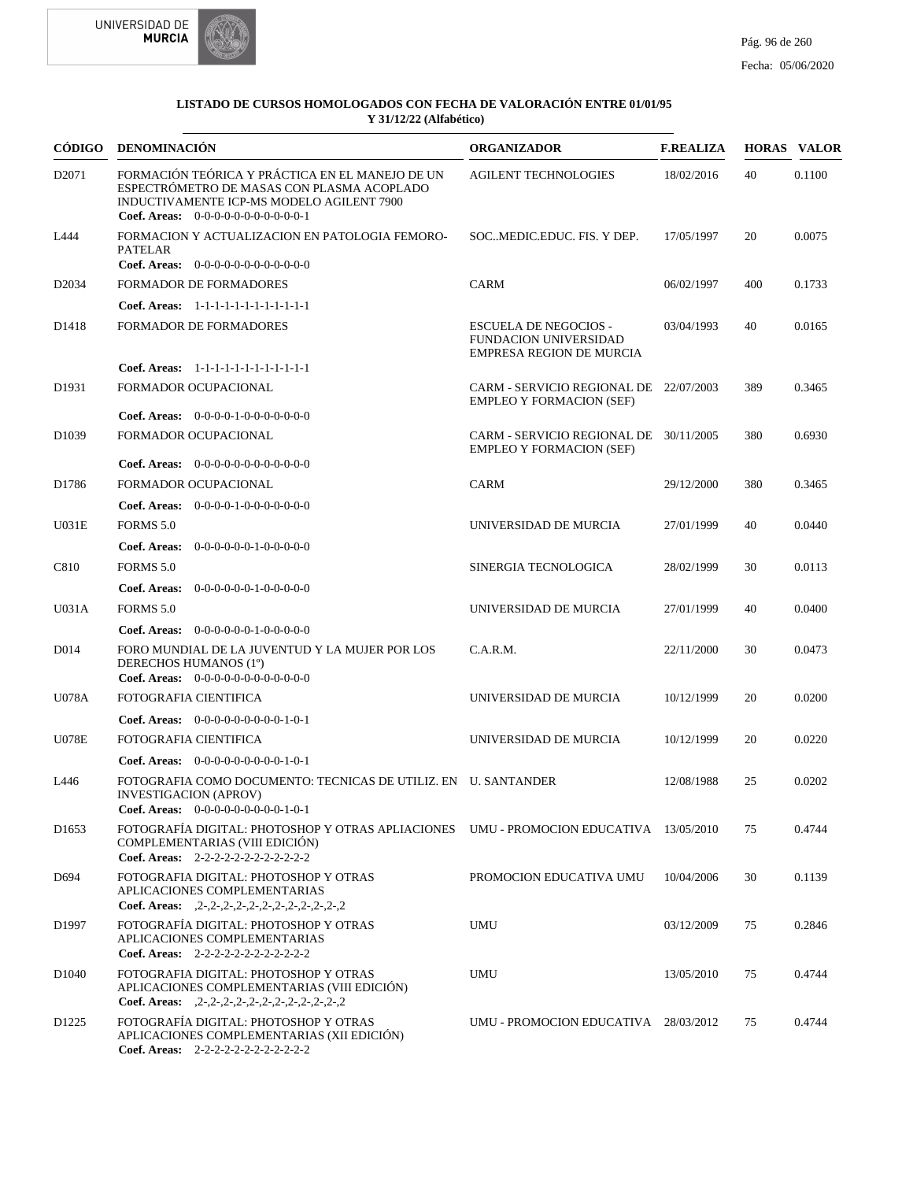



| CÓDIGO             | <b>DENOMINACIÓN</b>                                                                                                                                                                  | <b>ORGANIZADOR</b>                                                                       | <b>F.REALIZA</b> |     | <b>HORAS VALOR</b> |
|--------------------|--------------------------------------------------------------------------------------------------------------------------------------------------------------------------------------|------------------------------------------------------------------------------------------|------------------|-----|--------------------|
| D <sub>2071</sub>  | FORMACIÓN TEÓRICA Y PRÁCTICA EN EL MANEJO DE UN<br>ESPECTRÓMETRO DE MASAS CON PLASMA ACOPLADO<br>INDUCTIVAMENTE ICP-MS MODELO AGILENT 7900<br>Coef. Areas: $0-0-0-0-0-0-0-0-0-0-0-1$ | <b>AGILENT TECHNOLOGIES</b>                                                              | 18/02/2016       | 40  | 0.1100             |
| L444               | FORMACION Y ACTUALIZACION EN PATOLOGIA FEMORO-<br><b>PATELAR</b><br>Coef. Areas: $0-0-0-0-0-0-0-0-0-0-0$                                                                             | SOCMEDIC.EDUC. FIS. Y DEP.                                                               | 17/05/1997       | 20  | 0.0075             |
| D <sub>20</sub> 34 | <b>FORMADOR DE FORMADORES</b>                                                                                                                                                        | CARM                                                                                     | 06/02/1997       | 400 | 0.1733             |
|                    | Coef. Areas: $1-1-1-1-1-1-1-1-1-1-1$                                                                                                                                                 |                                                                                          |                  |     |                    |
| D <sub>1418</sub>  | <b>FORMADOR DE FORMADORES</b>                                                                                                                                                        | <b>ESCUELA DE NEGOCIOS -</b><br>FUNDACION UNIVERSIDAD<br><b>EMPRESA REGION DE MURCIA</b> | 03/04/1993       | 40  | 0.0165             |
|                    | Coef. Areas: 1-1-1-1-1-1-1-1-1-1-1-1-1                                                                                                                                               |                                                                                          |                  |     |                    |
| D <sub>1931</sub>  | FORMADOR OCUPACIONAL                                                                                                                                                                 | CARM - SERVICIO REGIONAL DE 22/07/2003<br><b>EMPLEO Y FORMACION (SEF)</b>                |                  | 389 | 0.3465             |
|                    | <b>Coef. Areas:</b> $0-0-0-0-1-0-0-0-0-0-0-0$                                                                                                                                        |                                                                                          |                  |     |                    |
| D1039              | FORMADOR OCUPACIONAL                                                                                                                                                                 | CARM - SERVICIO REGIONAL DE 30/11/2005<br><b>EMPLEO Y FORMACION (SEF)</b>                |                  | 380 | 0.6930             |
|                    | <b>Coef. Areas:</b> $0-0-0-0-0-0-0-0-0-0-0$                                                                                                                                          |                                                                                          |                  |     |                    |
| D1786              | FORMADOR OCUPACIONAL                                                                                                                                                                 | CARM                                                                                     | 29/12/2000       | 380 | 0.3465             |
|                    | <b>Coef. Areas:</b> $0-0-0-0-1-0-0-0-0-0-0-0$                                                                                                                                        |                                                                                          |                  |     |                    |
| U031E              | FORMS 5.0                                                                                                                                                                            | UNIVERSIDAD DE MURCIA                                                                    | 27/01/1999       | 40  | 0.0440             |
|                    | <b>Coef. Areas:</b> $0-0-0-0-0-1-0-0-0-0-0$                                                                                                                                          |                                                                                          |                  |     |                    |
| C810               | FORMS 5.0                                                                                                                                                                            | SINERGIA TECNOLOGICA                                                                     | 28/02/1999       | 30  | 0.0113             |
| U031A              | <b>Coef. Areas:</b> $0-0-0-0-0-1-0-0-0-0-0$<br>FORMS 5.0                                                                                                                             | UNIVERSIDAD DE MURCIA                                                                    |                  | 40  | 0.0400             |
|                    | <b>Coef. Areas:</b> $0-0-0-0-0-1-0-0-0-0-0$                                                                                                                                          |                                                                                          | 27/01/1999       |     |                    |
| D <sub>014</sub>   | FORO MUNDIAL DE LA JUVENTUD Y LA MUJER POR LOS<br>DERECHOS HUMANOS (1°)<br>Coef. Areas: $0-0-0-0-0-0-0-0-0-0-0$                                                                      | C.A.R.M.                                                                                 | 22/11/2000       | 30  | 0.0473             |
| <b>U078A</b>       | FOTOGRAFIA CIENTIFICA                                                                                                                                                                | UNIVERSIDAD DE MURCIA                                                                    | 10/12/1999       | 20  | 0.0200             |
|                    | <b>Coef. Areas:</b> $0-0-0-0-0-0-0-0-1-0-1$                                                                                                                                          |                                                                                          |                  |     |                    |
| <b>U078E</b>       | FOTOGRAFIA CIENTIFICA                                                                                                                                                                | UNIVERSIDAD DE MURCIA                                                                    | 10/12/1999       | 20  | 0.0220             |
|                    | Coef. Areas: $0-0-0-0-0-0-0-0-1-0-1$                                                                                                                                                 |                                                                                          |                  |     |                    |
| L446               | FOTOGRAFIA COMO DOCUMENTO: TECNICAS DE UTILIZ. EN U. SANTANDER<br>INVESTIGACION (APROV)<br>Coef. Areas: $0-0-0-0-0-0-0-0-1-0-1$                                                      |                                                                                          | 12/08/1988       | 25  | 0.0202             |
| D <sub>1653</sub>  | FOTOGRAFÍA DIGITAL: PHOTOSHOP Y OTRAS APLIACIONES UMU - PROMOCION EDUCATIVA 13/05/2010<br>COMPLEMENTARIAS (VIII EDICIÓN)<br>Coef. Areas: $2-2-2-2-2-2-2-2-2-2-2$                     |                                                                                          |                  | 75  | 0.4744             |
| D694               | FOTOGRAFIA DIGITAL: PHOTOSHOP Y OTRAS<br>APLICACIONES COMPLEMENTARIAS<br>Coef. Areas: $,2-,2-,2-,2-,2-,2-,2-,2-,2-,2-,2$                                                             | PROMOCION EDUCATIVA UMU                                                                  | 10/04/2006       | 30  | 0.1139             |
| D1997              | FOTOGRAFÍA DIGITAL: PHOTOSHOP Y OTRAS<br>APLICACIONES COMPLEMENTARIAS<br>Coef. Areas: 2-2-2-2-2-2-2-2-2-2-2-2                                                                        | <b>UMU</b>                                                                               | 03/12/2009       | 75  | 0.2846             |
| D <sub>1040</sub>  | FOTOGRAFIA DIGITAL: PHOTOSHOP Y OTRAS<br>APLICACIONES COMPLEMENTARIAS (VIII EDICIÓN)<br>Coef. Areas: $, 2-, 2-, 2-, 2-, 2-, 2-, 2-, 2-, 2-, 2-, 2$                                   | <b>UMU</b>                                                                               | 13/05/2010       | 75  | 0.4744             |
| D <sub>1225</sub>  | FOTOGRAFÍA DIGITAL: PHOTOSHOP Y OTRAS<br>APLICACIONES COMPLEMENTARIAS (XII EDICIÓN)<br>Coef. Areas: 2-2-2-2-2-2-2-2-2-2-2-2                                                          | UMU - PROMOCION EDUCATIVA 28/03/2012                                                     |                  | 75  | 0.4744             |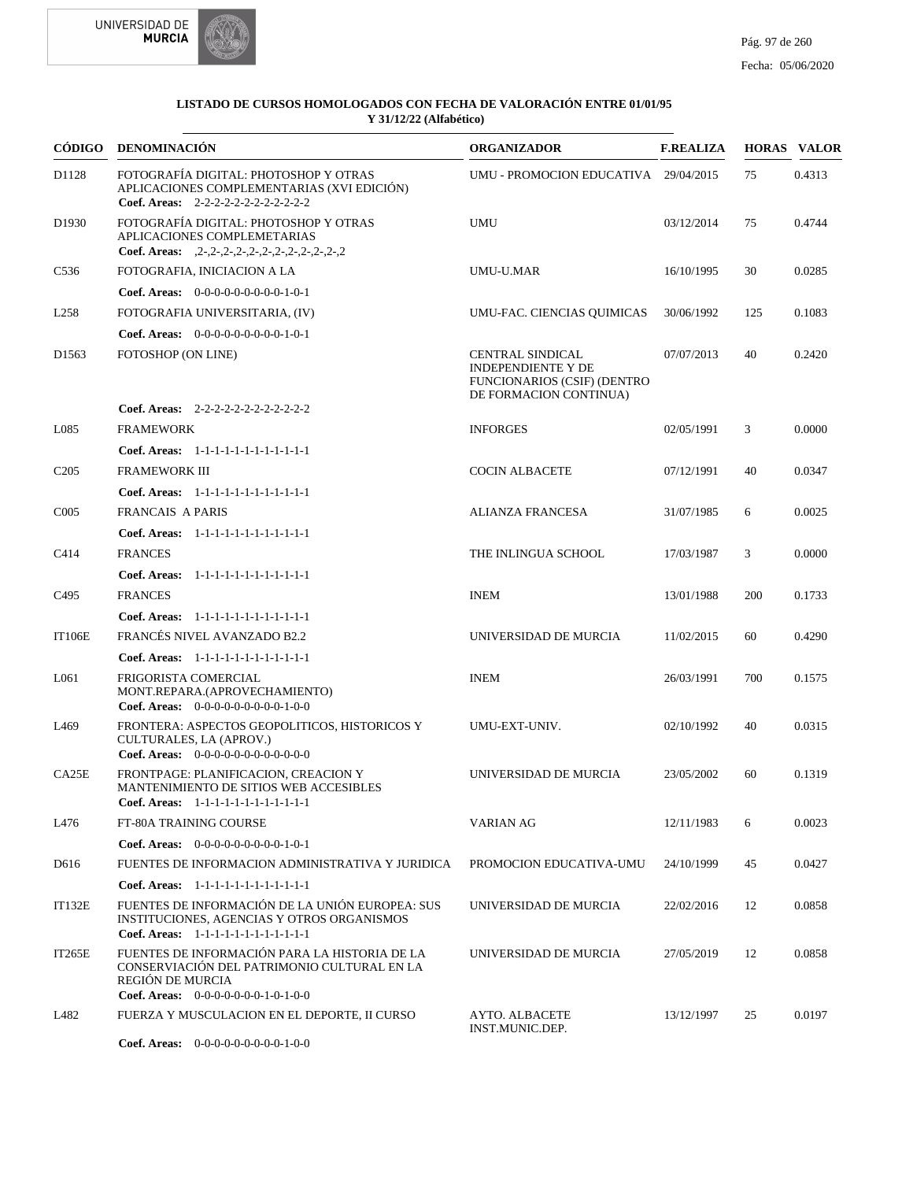



| CÓDIGO            | <b>DENOMINACIÓN</b>                                                                                                                                      | <b>ORGANIZADOR</b>                                                                                                   | <b>F.REALIZA</b> |     | <b>HORAS VALOR</b> |
|-------------------|----------------------------------------------------------------------------------------------------------------------------------------------------------|----------------------------------------------------------------------------------------------------------------------|------------------|-----|--------------------|
| D1128             | FOTOGRAFÍA DIGITAL: PHOTOSHOP Y OTRAS<br>APLICACIONES COMPLEMENTARIAS (XVI EDICIÓN)<br>Coef. Areas: 2-2-2-2-2-2-2-2-2-2-2-2                              | UMU - PROMOCION EDUCATIVA 29/04/2015                                                                                 |                  | 75  | 0.4313             |
| D <sub>1930</sub> | FOTOGRAFÍA DIGITAL: PHOTOSHOP Y OTRAS<br>APLICACIONES COMPLEMETARIAS<br>Coef. Areas: $, 2-, 2-, 2-, 2-, 2-, 2-, 2-, 2-, 2-, 2-, 2$                       | UMU                                                                                                                  | 03/12/2014       | 75  | 0.4744             |
| C <sub>536</sub>  | FOTOGRAFIA, INICIACION A LA                                                                                                                              | UMU-U.MAR                                                                                                            | 16/10/1995       | 30  | 0.0285             |
|                   | Coef. Areas: $0-0-0-0-0-0-0-0-1-0-1$                                                                                                                     |                                                                                                                      |                  |     |                    |
| L <sub>258</sub>  | FOTOGRAFIA UNIVERSITARIA, (IV)                                                                                                                           | UMU-FAC. CIENCIAS QUIMICAS                                                                                           | 30/06/1992       | 125 | 0.1083             |
|                   | Coef. Areas: $0-0-0-0-0-0-0-0-1-0-1$                                                                                                                     |                                                                                                                      |                  |     |                    |
| D <sub>1563</sub> | FOTOSHOP (ON LINE)                                                                                                                                       | <b>CENTRAL SINDICAL</b><br><b>INDEPENDIENTE Y DE</b><br><b>FUNCIONARIOS (CSIF) (DENTRO</b><br>DE FORMACION CONTINUA) | 07/07/2013       | 40  | 0.2420             |
|                   | Coef. Areas: $2-2-2-2-2-2-2-2-2-2-2$                                                                                                                     |                                                                                                                      |                  |     |                    |
| L085              | <b>FRAMEWORK</b>                                                                                                                                         | <b>INFORGES</b>                                                                                                      | 02/05/1991       | 3   | 0.0000             |
|                   | Coef. Areas: 1-1-1-1-1-1-1-1-1-1-1-1-1                                                                                                                   |                                                                                                                      |                  |     |                    |
| C <sub>205</sub>  | <b>FRAMEWORK III</b>                                                                                                                                     | <b>COCIN ALBACETE</b>                                                                                                | 07/12/1991       | 40  | 0.0347             |
|                   | Coef. Areas: 1-1-1-1-1-1-1-1-1-1-1-1-1                                                                                                                   |                                                                                                                      |                  |     |                    |
| C005              | <b>FRANCAIS A PARIS</b>                                                                                                                                  | ALIANZA FRANCESA                                                                                                     | 31/07/1985       | 6   | 0.0025             |
|                   | Coef. Areas: 1-1-1-1-1-1-1-1-1-1-1-1-1                                                                                                                   |                                                                                                                      |                  |     |                    |
| C414              | <b>FRANCES</b>                                                                                                                                           | THE INLINGUA SCHOOL                                                                                                  | 17/03/1987       | 3   | 0.0000             |
|                   | Coef. Areas: 1-1-1-1-1-1-1-1-1-1-1-1-1                                                                                                                   |                                                                                                                      |                  |     |                    |
| C <sub>495</sub>  | <b>FRANCES</b>                                                                                                                                           | <b>INEM</b>                                                                                                          | 13/01/1988       | 200 | 0.1733             |
|                   | Coef. Areas: 1-1-1-1-1-1-1-1-1-1-1-1-1                                                                                                                   |                                                                                                                      |                  |     |                    |
| <b>IT106E</b>     | FRANCÉS NIVEL AVANZADO B2.2                                                                                                                              | UNIVERSIDAD DE MURCIA                                                                                                | 11/02/2015       | 60  | 0.4290             |
|                   | Coef. Areas: 1-1-1-1-1-1-1-1-1-1-1-1-1                                                                                                                   |                                                                                                                      |                  |     |                    |
| L061              | FRIGORISTA COMERCIAL<br>MONT.REPARA.(APROVECHAMIENTO)<br><b>Coef. Areas:</b> $0-0-0-0-0-0-0-0-1-0-0$                                                     | <b>INEM</b>                                                                                                          | 26/03/1991       | 700 | 0.1575             |
| L469              | FRONTERA: ASPECTOS GEOPOLITICOS, HISTORICOS Y<br>CULTURALES, LA (APROV.)<br>Coef. Areas: $0-0-0-0-0-0-0-0-0-0-0$                                         | UMU-EXT-UNIV.                                                                                                        | 02/10/1992       | 40  | 0.0315             |
| CA25E             | FRONTPAGE: PLANIFICACION, CREACION Y<br>MANTENIMIENTO DE SITIOS WEB ACCESIBLES<br>Coef. Areas: $1-1-1-1-1-1-1-1-1-1-1$                                   | UNIVERSIDAD DE MURCIA                                                                                                | 23/05/2002       | 60  | 0.1319             |
| L476              | FT-80A TRAINING COURSE                                                                                                                                   | VARIAN AG                                                                                                            | 12/11/1983       | 6   | 0.0023             |
|                   | Coef. Areas: $0-0-0-0-0-0-0-0-1-0-1$                                                                                                                     |                                                                                                                      |                  |     |                    |
| D616              | FUENTES DE INFORMACION ADMINISTRATIVA Y JURIDICA                                                                                                         | PROMOCION EDUCATIVA-UMU                                                                                              | 24/10/1999       | 45  | 0.0427             |
|                   | Coef. Areas: 1-1-1-1-1-1-1-1-1-1-1-1-1                                                                                                                   |                                                                                                                      |                  |     |                    |
| IT132E            | FUENTES DE INFORMACIÓN DE LA UNIÓN EUROPEA: SUS<br>INSTITUCIONES, AGENCIAS Y OTROS ORGANISMOS<br>Coef. Areas: 1-1-1-1-1-1-1-1-1-1-1-1-1                  | UNIVERSIDAD DE MURCIA                                                                                                | 22/02/2016       | 12  | 0.0858             |
| <b>IT265E</b>     | FUENTES DE INFORMACIÓN PARA LA HISTORIA DE LA<br>CONSERVIACIÓN DEL PATRIMONIO CULTURAL EN LA<br>REGIÓN DE MURCIA<br>Coef. Areas: $0-0-0-0-0-0-1-0-1-0-0$ | UNIVERSIDAD DE MURCIA                                                                                                | 27/05/2019       | 12  | 0.0858             |
| L482              | FUERZA Y MUSCULACION EN EL DEPORTE, II CURSO                                                                                                             | <b>AYTO. ALBACETE</b><br>INST.MUNIC.DEP.                                                                             | 13/12/1997       | 25  | 0.0197             |
|                   | Coef. Areas: $0-0-0-0-0-0-0-0-1-0-0$                                                                                                                     |                                                                                                                      |                  |     |                    |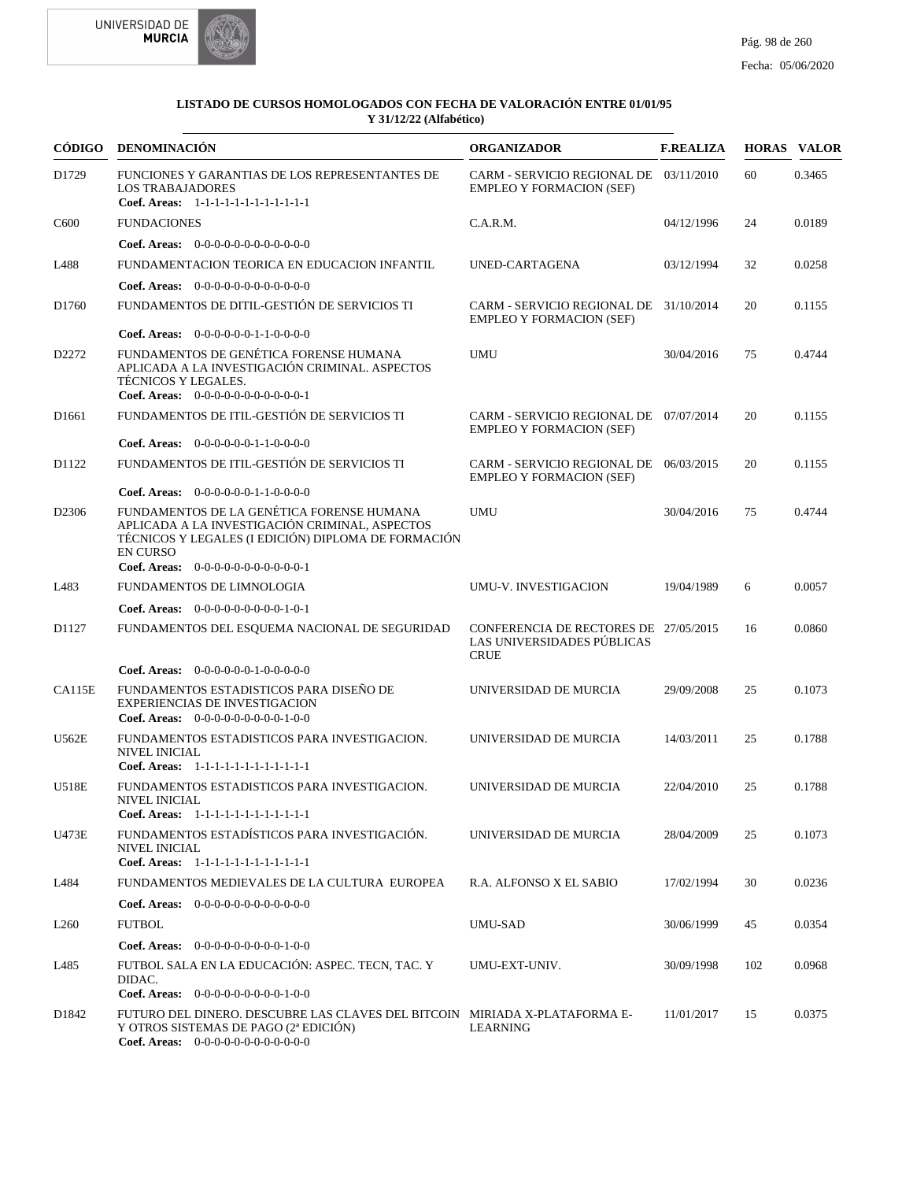



|                   | CÓDIGO DENOMINACIÓN                                                                                                                                                                                           | <b>ORGANIZADOR</b>                                                                 | <b>F.REALIZA</b> |     | <b>HORAS VALOR</b> |
|-------------------|---------------------------------------------------------------------------------------------------------------------------------------------------------------------------------------------------------------|------------------------------------------------------------------------------------|------------------|-----|--------------------|
| D1729             | FUNCIONES Y GARANTIAS DE LOS REPRESENTANTES DE<br><b>LOS TRABAJADORES</b><br>Coef. Areas: 1-1-1-1-1-1-1-1-1-1-1-1-1                                                                                           | CARM - SERVICIO REGIONAL DE 03/11/2010<br><b>EMPLEO Y FORMACION (SEF)</b>          |                  | 60  | 0.3465             |
| C <sub>600</sub>  | <b>FUNDACIONES</b>                                                                                                                                                                                            | C.A.R.M.                                                                           | 04/12/1996       | 24  | 0.0189             |
|                   | <b>Coef. Areas:</b> $0-0-0-0-0-0-0-0-0-0-0-0$                                                                                                                                                                 |                                                                                    |                  |     |                    |
| L488              | FUNDAMENTACION TEORICA EN EDUCACION INFANTIL                                                                                                                                                                  | UNED-CARTAGENA                                                                     | 03/12/1994       | 32  | 0.0258             |
|                   | Coef. Areas: 0-0-0-0-0-0-0-0-0-0-0-0-0                                                                                                                                                                        |                                                                                    |                  |     |                    |
| D <sub>1760</sub> | FUNDAMENTOS DE DITIL-GESTIÓN DE SERVICIOS TI                                                                                                                                                                  | CARM - SERVICIO REGIONAL DE 31/10/2014<br><b>EMPLEO Y FORMACION (SEF)</b>          |                  | 20  | 0.1155             |
|                   | Coef. Areas: $0-0-0-0-0-1-1-0-0-0-0$                                                                                                                                                                          |                                                                                    |                  |     |                    |
| D2272             | FUNDAMENTOS DE GENÉTICA FORENSE HUMANA<br>APLICADA A LA INVESTIGACIÓN CRIMINAL. ASPECTOS<br>TÉCNICOS Y LEGALES.<br>Coef. Areas: $0-0-0-0-0-0-0-0-0-0-1$                                                       | <b>UMU</b>                                                                         | 30/04/2016       | 75  | 0.4744             |
| D <sub>1661</sub> | FUNDAMENTOS DE ITIL-GESTIÓN DE SERVICIOS TI                                                                                                                                                                   | CARM - SERVICIO REGIONAL DE 07/07/2014<br><b>EMPLEO Y FORMACION (SEF)</b>          |                  | 20  | 0.1155             |
|                   | <b>Coef. Areas:</b> $0-0-0-0-0-1-1-0-0-0-0$                                                                                                                                                                   |                                                                                    |                  |     |                    |
| D1122             | FUNDAMENTOS DE ITIL-GESTIÓN DE SERVICIOS TI                                                                                                                                                                   | CARM - SERVICIO REGIONAL DE 06/03/2015<br><b>EMPLEO Y FORMACION (SEF)</b>          |                  | 20  | 0.1155             |
|                   | Coef. Areas: $0-0-0-0-0-1-1-0-0-0-0$                                                                                                                                                                          |                                                                                    |                  |     |                    |
| D2306             | FUNDAMENTOS DE LA GENÉTICA FORENSE HUMANA<br>APLICADA A LA INVESTIGACIÓN CRIMINAL. ASPECTOS<br>TÉCNICOS Y LEGALES (I EDICIÓN) DIPLOMA DE FORMACIÓN<br><b>EN CURSO</b><br>Coef. Areas: $0-0-0-0-0-0-0-0-0-0-1$ | <b>UMU</b>                                                                         | 30/04/2016       | 75  | 0.4744             |
| L483              | <b>FUNDAMENTOS DE LIMNOLOGIA</b>                                                                                                                                                                              | UMU-V. INVESTIGACION                                                               | 19/04/1989       | 6   | 0.0057             |
|                   | Coef. Areas: 0-0-0-0-0-0-0-0-0-1-0-1                                                                                                                                                                          |                                                                                    |                  |     |                    |
| D1127             | FUNDAMENTOS DEL ESQUEMA NACIONAL DE SEGURIDAD                                                                                                                                                                 | CONFERENCIA DE RECTORES DE 27/05/2015<br>LAS UNIVERSIDADES PÚBLICAS<br><b>CRUE</b> |                  | 16  | 0.0860             |
|                   | Coef. Areas: 0-0-0-0-0-0-1-0-0-0-0-0                                                                                                                                                                          |                                                                                    |                  |     |                    |
| <b>CA115E</b>     | FUNDAMENTOS ESTADISTICOS PARA DISEÑO DE<br><b>EXPERIENCIAS DE INVESTIGACION</b><br>Coef. Areas: $0-0-0-0-0-0-0-0-1-0-0$                                                                                       | UNIVERSIDAD DE MURCIA                                                              | 29/09/2008       | 25  | 0.1073             |
| U562E             | FUNDAMENTOS ESTADISTICOS PARA INVESTIGACION.<br><b>NIVEL INICIAL</b><br>Coef. Areas: 1-1-1-1-1-1-1-1-1-1-1-1-1                                                                                                | UNIVERSIDAD DE MURCIA                                                              | 14/03/2011       | 25  | 0.1788             |
| U518E             | FUNDAMENTOS ESTADISTICOS PARA INVESTIGACION.<br>NIVEL INICIAL<br>Coef. Areas: 1-1-1-1-1-1-1-1-1-1-1-1-1                                                                                                       | UNIVERSIDAD DE MURCIA                                                              | 22/04/2010       | 25  | 0.1788             |
| U473E             | FUNDAMENTOS ESTADÍSTICOS PARA INVESTIGACIÓN.<br>NIVEL INICIAL<br>Coef. Areas: $1-1-1-1-1-1-1-1-1-1-1$                                                                                                         | UNIVERSIDAD DE MURCIA                                                              | 28/04/2009       | 25  | 0.1073             |
| L484              | FUNDAMENTOS MEDIEVALES DE LA CULTURA EUROPEA                                                                                                                                                                  | R.A. ALFONSO X EL SABIO                                                            | 17/02/1994       | 30  | 0.0236             |
|                   | <b>Coef. Areas:</b> $0-0-0-0-0-0-0-0-0-0-0$                                                                                                                                                                   |                                                                                    |                  |     |                    |
| L <sub>260</sub>  | <b>FUTBOL</b>                                                                                                                                                                                                 | UMU-SAD                                                                            | 30/06/1999       | 45  | 0.0354             |
|                   | <b>Coef. Areas:</b> $0-0-0-0-0-0-0-0-1-0-0$                                                                                                                                                                   |                                                                                    |                  |     |                    |
| L485              | FUTBOL SALA EN LA EDUCACIÓN: ASPEC. TECN, TAC. Y<br>DIDAC.<br>Coef. Areas: $0-0-0-0-0-0-0-0-0-1-0-0$                                                                                                          | UMU-EXT-UNIV.                                                                      | 30/09/1998       | 102 | 0.0968             |
| D <sub>1842</sub> | FUTURO DEL DINERO. DESCUBRE LAS CLAVES DEL BITCOIN MIRIADA X-PLATAFORMA E-<br>Y OTROS SISTEMAS DE PAGO (2ª EDICIÓN)<br>Coef. Areas: 0-0-0-0-0-0-0-0-0-0-0-0-0                                                 | <b>LEARNING</b>                                                                    | 11/01/2017       | 15  | 0.0375             |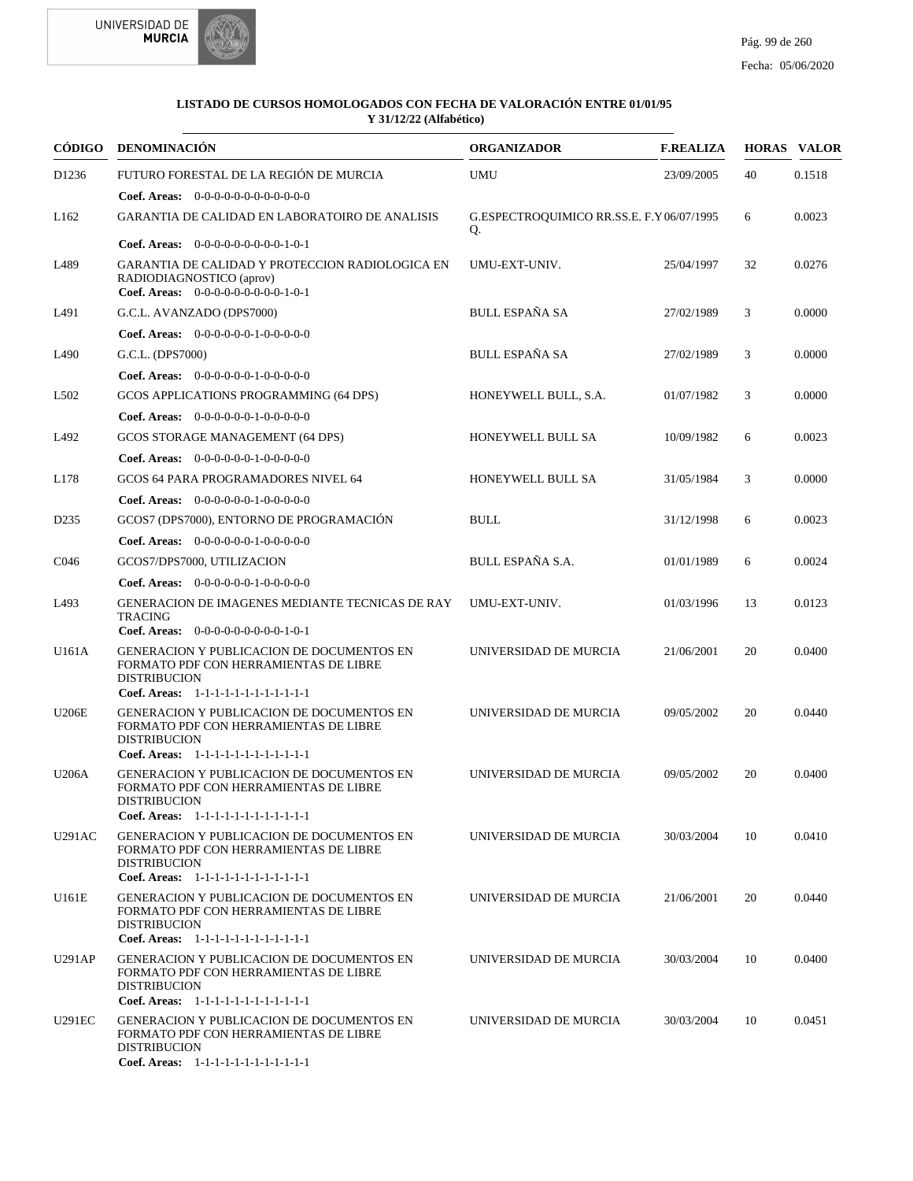



|                   | CÓDIGO DENOMINACIÓN                                                                                                                                        | <b>ORGANIZADOR</b>                             | <b>F.REALIZA</b> |    | <b>HORAS VALOR</b> |
|-------------------|------------------------------------------------------------------------------------------------------------------------------------------------------------|------------------------------------------------|------------------|----|--------------------|
| D <sub>1236</sub> | FUTURO FORESTAL DE LA REGIÓN DE MURCIA                                                                                                                     | <b>UMU</b>                                     | 23/09/2005       | 40 | 0.1518             |
|                   | Coef. Areas: $0-0-0-0-0-0-0-0-0-0-0$                                                                                                                       |                                                |                  |    |                    |
| L <sub>162</sub>  | <b>GARANTIA DE CALIDAD EN LABORATOIRO DE ANALISIS</b>                                                                                                      | G.ESPECTROQUIMICO RR.SS.E. F.Y06/07/1995<br>Q. |                  | 6  | 0.0023             |
|                   | <b>Coef. Areas:</b> $0-0-0-0-0-0-0-0-1-0-1$                                                                                                                |                                                |                  |    |                    |
| L489              | GARANTIA DE CALIDAD Y PROTECCION RADIOLOGICA EN<br>RADIODIAGNOSTICO (aprov)<br>Coef. Areas: $0-0-0-0-0-0-0-0-1-0-1$                                        | UMU-EXT-UNIV.                                  | 25/04/1997       | 32 | 0.0276             |
| L491              | G.C.L. AVANZADO (DPS7000)                                                                                                                                  | BULL ESPAÑA SA                                 | 27/02/1989       | 3  | 0.0000             |
|                   | Coef. Areas: 0-0-0-0-0-0-1-0-0-0-0-0                                                                                                                       |                                                |                  |    |                    |
| L490              | G.C.L. (DPS7000)                                                                                                                                           | <b>BULL ESPAÑA SA</b>                          | 27/02/1989       | 3  | 0.0000             |
|                   | Coef. Areas: $0-0-0-0-0-1-0-0-0-0-0$                                                                                                                       |                                                |                  |    |                    |
| L <sub>5</sub> 02 | GCOS APPLICATIONS PROGRAMMING (64 DPS)                                                                                                                     | HONEYWELL BULL, S.A.                           | 01/07/1982       | 3  | 0.0000             |
|                   | Coef. Areas: 0-0-0-0-0-0-1-0-0-0-0-0                                                                                                                       |                                                |                  |    |                    |
| L492              | GCOS STORAGE MANAGEMENT (64 DPS)                                                                                                                           | HONEYWELL BULL SA                              | 10/09/1982       | 6  | 0.0023             |
|                   | <b>Coef. Areas:</b> $0-0-0-0-0-1-0-0-0-0-0$                                                                                                                |                                                |                  |    |                    |
| L178              | GCOS 64 PARA PROGRAMADORES NIVEL 64                                                                                                                        | HONEYWELL BULL SA                              | 31/05/1984       | 3  | 0.0000             |
|                   | <b>Coef. Areas:</b> $0-0-0-0-0-1-0-0-0-0-0$                                                                                                                |                                                |                  |    |                    |
| D <sub>2</sub> 35 | GCOS7 (DPS7000), ENTORNO DE PROGRAMACIÓN                                                                                                                   | <b>BULL</b>                                    | 31/12/1998       | 6  | 0.0023             |
|                   | Coef. Areas: $0-0-0-0-0-1-0-0-0-0-0$                                                                                                                       |                                                |                  |    |                    |
| C <sub>046</sub>  | GCOS7/DPS7000, UTILIZACION                                                                                                                                 | BULL ESPAÑA S.A.                               | 01/01/1989       | 6  | 0.0024             |
|                   | <b>Coef. Areas:</b> $0-0-0-0-0-1-0-0-0-0-0$                                                                                                                |                                                |                  |    |                    |
| L493              | GENERACION DE IMAGENES MEDIANTE TECNICAS DE RAY<br><b>TRACING</b>                                                                                          | UMU-EXT-UNIV.                                  | 01/03/1996       | 13 | 0.0123             |
|                   | Coef. Areas: 0-0-0-0-0-0-0-0-0-1-0-1                                                                                                                       |                                                |                  |    |                    |
| U161A             | GENERACION Y PUBLICACION DE DOCUMENTOS EN<br>FORMATO PDF CON HERRAMIENTAS DE LIBRE<br><b>DISTRIBUCION</b><br>Coef. Areas: 1-1-1-1-1-1-1-1-1-1-1-1-1        | UNIVERSIDAD DE MURCIA                          | 21/06/2001       | 20 | 0.0400             |
| <b>U206E</b>      | GENERACION Y PUBLICACION DE DOCUMENTOS EN                                                                                                                  | UNIVERSIDAD DE MURCIA                          | 09/05/2002       | 20 | 0.0440             |
|                   | FORMATO PDF CON HERRAMIENTAS DE LIBRE<br><b>DISTRIBUCION</b><br>Coef. Areas: 1-1-1-1-1-1-1-1-1-1-1-1-1                                                     |                                                |                  |    |                    |
| <b>U206A</b>      | <b>GENERACION Y PUBLICACION DE DOCUMENTOS EN</b>                                                                                                           | UNIVERSIDAD DE MURCIA                          | 09/05/2002       | 20 | 0.0400             |
|                   | FORMATO PDF CON HERRAMIENTAS DE LIBRE<br><b>DISTRIBUCION</b><br>Coef. Areas: 1-1-1-1-1-1-1-1-1-1-1-1-1                                                     |                                                |                  |    |                    |
| <b>U291AC</b>     | <b>GENERACION Y PUBLICACION DE DOCUMENTOS EN</b>                                                                                                           | UNIVERSIDAD DE MURCIA                          | 30/03/2004       | 10 | 0.0410             |
|                   | FORMATO PDF CON HERRAMIENTAS DE LIBRE<br><b>DISTRIBUCION</b><br>Coef. Areas: 1-1-1-1-1-1-1-1-1-1-1-1-1                                                     |                                                |                  |    |                    |
| U161E             | <b>GENERACION Y PUBLICACION DE DOCUMENTOS EN</b><br>FORMATO PDF CON HERRAMIENTAS DE LIBRE<br><b>DISTRIBUCION</b>                                           | UNIVERSIDAD DE MURCIA                          | 21/06/2001       | 20 | 0.0440             |
|                   | Coef. Areas: 1-1-1-1-1-1-1-1-1-1-1-1-1                                                                                                                     |                                                |                  |    |                    |
| U291AP            | <b>GENERACION Y PUBLICACION DE DOCUMENTOS EN</b><br>FORMATO PDF CON HERRAMIENTAS DE LIBRE<br><b>DISTRIBUCION</b><br>Coef. Areas: 1-1-1-1-1-1-1-1-1-1-1-1-1 | UNIVERSIDAD DE MURCIA                          | 30/03/2004       | 10 | 0.0400             |
| <b>U291EC</b>     | <b>GENERACION Y PUBLICACION DE DOCUMENTOS EN</b><br>FORMATO PDF CON HERRAMIENTAS DE LIBRE<br><b>DISTRIBUCION</b><br>Coef. Areas: 1-1-1-1-1-1-1-1-1-1-1-1-1 | UNIVERSIDAD DE MURCIA                          | 30/03/2004       | 10 | 0.0451             |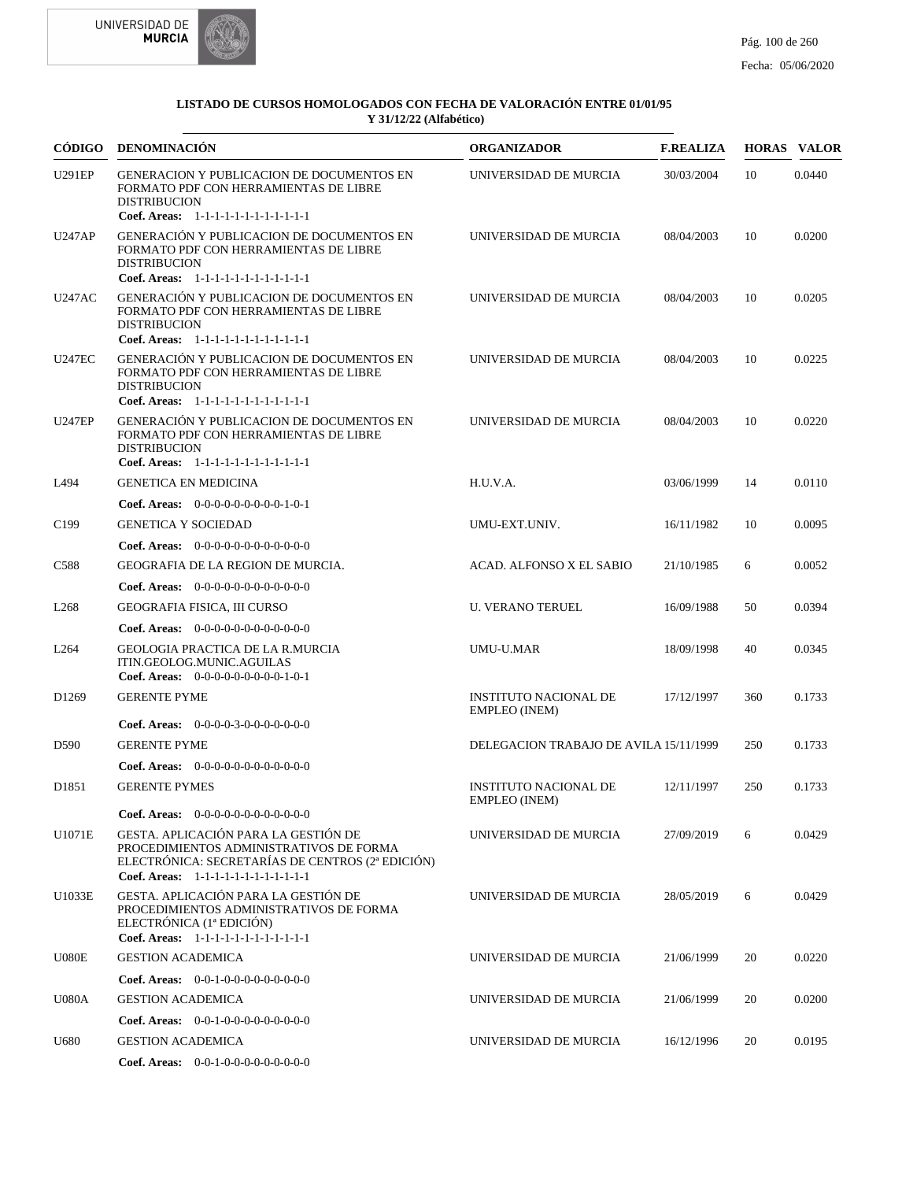

| <b>CÓDIGO</b>     | DENOMINACIÓN                                                                                                                                                                  | <b>ORGANIZADOR</b>                                   | <b>F.REALIZA</b> |     | <b>HORAS VALOR</b> |
|-------------------|-------------------------------------------------------------------------------------------------------------------------------------------------------------------------------|------------------------------------------------------|------------------|-----|--------------------|
| <b>U291EP</b>     | GENERACION Y PUBLICACION DE DOCUMENTOS EN<br>FORMATO PDF CON HERRAMIENTAS DE LIBRE<br><b>DISTRIBUCION</b><br>Coef. Areas: 1-1-1-1-1-1-1-1-1-1-1-1-1                           | UNIVERSIDAD DE MURCIA                                | 30/03/2004       | 10  | 0.0440             |
| <b>U247AP</b>     | GENERACIÓN Y PUBLICACION DE DOCUMENTOS EN<br>FORMATO PDF CON HERRAMIENTAS DE LIBRE<br><b>DISTRIBUCION</b><br>Coef. Areas: 1-1-1-1-1-1-1-1-1-1-1-1-1                           | UNIVERSIDAD DE MURCIA                                | 08/04/2003       | 10  | 0.0200             |
| <b>U247AC</b>     | GENERACIÓN Y PUBLICACION DE DOCUMENTOS EN<br>FORMATO PDF CON HERRAMIENTAS DE LIBRE<br><b>DISTRIBUCION</b><br>Coef. Areas: 1-1-1-1-1-1-1-1-1-1-1-1-1                           | UNIVERSIDAD DE MURCIA                                | 08/04/2003       | 10  | 0.0205             |
| <b>U247EC</b>     | GENERACIÓN Y PUBLICACION DE DOCUMENTOS EN<br>FORMATO PDF CON HERRAMIENTAS DE LIBRE<br><b>DISTRIBUCION</b><br>Coef. Areas: 1-1-1-1-1-1-1-1-1-1-1-1-1                           | UNIVERSIDAD DE MURCIA                                | 08/04/2003       | 10  | 0.0225             |
| <b>U247EP</b>     | GENERACIÓN Y PUBLICACION DE DOCUMENTOS EN<br>FORMATO PDF CON HERRAMIENTAS DE LIBRE<br><b>DISTRIBUCION</b><br>Coef. Areas: 1-1-1-1-1-1-1-1-1-1-1-1-1                           | UNIVERSIDAD DE MURCIA                                | 08/04/2003       | 10  | 0.0220             |
| L494              | <b>GENETICA EN MEDICINA</b>                                                                                                                                                   | H.U.V.A.                                             | 03/06/1999       | 14  | 0.0110             |
|                   | <b>Coef. Areas:</b> $0-0-0-0-0-0-0-0-1-0-1$                                                                                                                                   |                                                      |                  |     |                    |
| C <sub>199</sub>  | <b>GENETICA Y SOCIEDAD</b>                                                                                                                                                    | UMU-EXT.UNIV.                                        | 16/11/1982       | 10  | 0.0095             |
|                   | Coef. Areas: $0-0-0-0-0-0-0-0-0-0-0-0$                                                                                                                                        |                                                      |                  |     |                    |
| C <sub>588</sub>  | GEOGRAFIA DE LA REGION DE MURCIA.                                                                                                                                             | ACAD. ALFONSO X EL SABIO                             | 21/10/1985       | 6   | 0.0052             |
|                   | <b>Coef. Areas:</b> $0-0-0-0-0-0-0-0-0-0-0-0$                                                                                                                                 |                                                      |                  |     |                    |
| L <sub>268</sub>  | GEOGRAFIA FISICA, III CURSO                                                                                                                                                   | <b>U. VERANO TERUEL</b>                              | 16/09/1988       | 50  | 0.0394             |
|                   | <b>Coef. Areas:</b> $0-0-0-0-0-0-0-0-0-0-0-0$                                                                                                                                 |                                                      |                  |     |                    |
| L <sub>264</sub>  | GEOLOGIA PRACTICA DE LA R.MURCIA<br>ITIN.GEOLOG.MUNIC.AGUILAS<br>Coef. Areas: $0-0-0-0-0-0-0-0-1-0-1$                                                                         | UMU-U.MAR                                            | 18/09/1998       | 40  | 0.0345             |
| D <sub>1269</sub> | <b>GERENTE PYME</b>                                                                                                                                                           | <b>INSTITUTO NACIONAL DE</b><br><b>EMPLEO</b> (INEM) | 17/12/1997       | 360 | 0.1733             |
|                   | <b>Coef. Areas:</b> $0-0-0-0-3-0-0-0-0-0-0-0$                                                                                                                                 |                                                      |                  |     |                    |
| D590              | <b>GERENTE PYME</b>                                                                                                                                                           | DELEGACION TRABAJO DE AVILA 15/11/1999               |                  | 250 | 0.1733             |
|                   | <b>Coef. Areas:</b> $0-0-0-0-0-0-0-0-0-0-0-0$                                                                                                                                 | <b>INSTITUTO NACIONAL DE</b>                         |                  |     |                    |
| D <sub>1851</sub> | <b>GERENTE PYMES</b>                                                                                                                                                          | <b>EMPLEO</b> (INEM)                                 | 12/11/1997       | 250 | 0.1733             |
|                   | <b>Coef. Areas:</b> $0-0-0-0-0-0-0-0-0-0-0-0$                                                                                                                                 |                                                      |                  |     |                    |
| U1071E            | GESTA. APLICACIÓN PARA LA GESTIÓN DE<br>PROCEDIMIENTOS ADMINISTRATIVOS DE FORMA<br>ELECTRÓNICA: SECRETARÍAS DE CENTROS (2ª EDICIÓN)<br>Coef. Areas: 1-1-1-1-1-1-1-1-1-1-1-1-1 | UNIVERSIDAD DE MURCIA                                | 27/09/2019       | 6   | 0.0429             |
| U1033E            | GESTA. APLICACIÓN PARA LA GESTIÓN DE<br>PROCEDIMIENTOS ADMINISTRATIVOS DE FORMA<br>ELECTRÓNICA (1ª EDICIÓN)<br>Coef. Areas: 1-1-1-1-1-1-1-1-1-1-1-1-1                         | UNIVERSIDAD DE MURCIA                                | 28/05/2019       | 6   | 0.0429             |
| U080E             | <b>GESTION ACADEMICA</b>                                                                                                                                                      | UNIVERSIDAD DE MURCIA                                | 21/06/1999       | 20  | 0.0220             |
|                   | <b>Coef. Areas:</b> $0-0-1-0-0-0-0-0-0-0-0$                                                                                                                                   |                                                      |                  |     |                    |
| <b>U080A</b>      | <b>GESTION ACADEMICA</b>                                                                                                                                                      | UNIVERSIDAD DE MURCIA                                | 21/06/1999       | 20  | 0.0200             |
|                   | Coef. Areas: $0-0-1-0-0-0-0-0-0-0-0$                                                                                                                                          |                                                      |                  |     |                    |
| U680              | <b>GESTION ACADEMICA</b>                                                                                                                                                      | UNIVERSIDAD DE MURCIA                                | 16/12/1996       | 20  | 0.0195             |
|                   | Coef. Areas: $0-0-1-0-0-0-0-0-0-0-0$                                                                                                                                          |                                                      |                  |     |                    |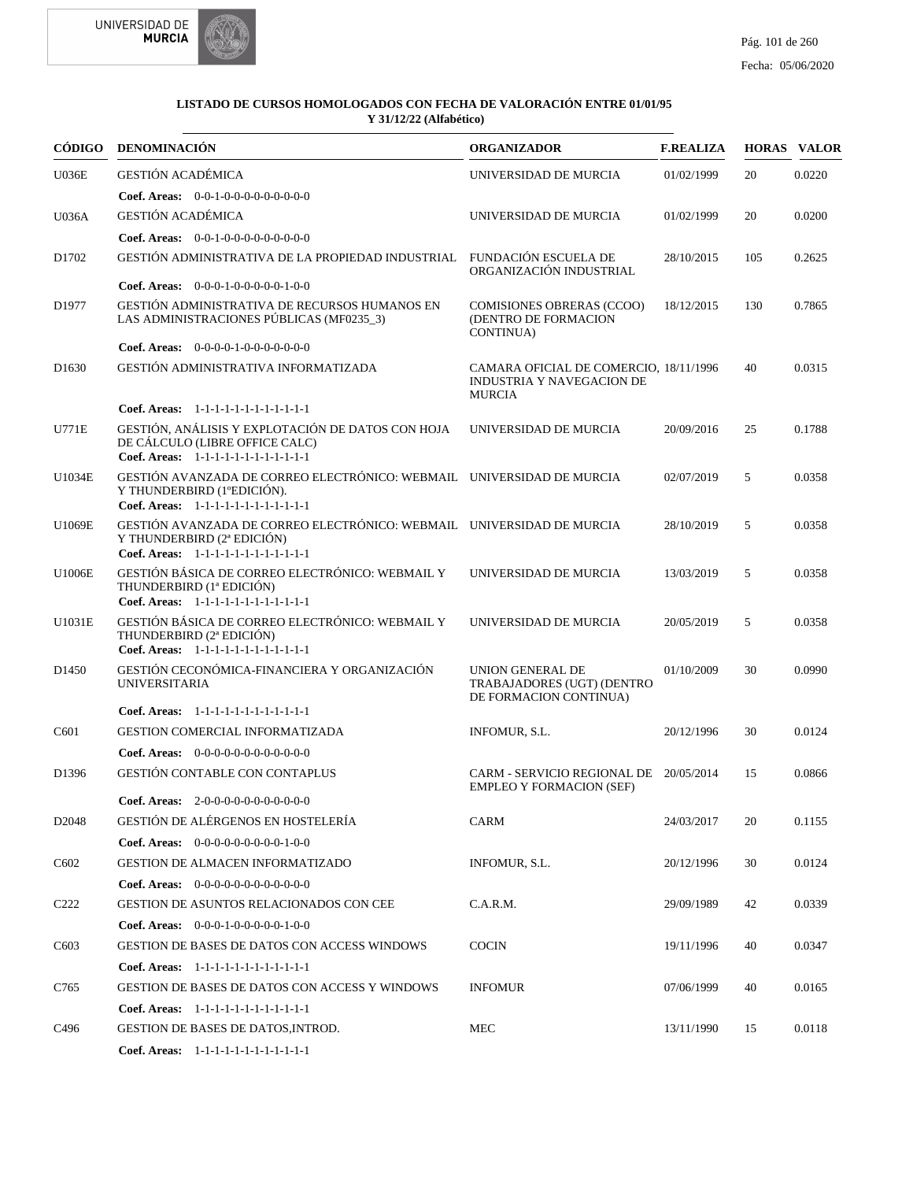



|                   | CÓDIGO DENOMINACIÓN                                                                                                                           | <b>ORGANIZADOR</b>                                                                   | <b>F.REALIZA</b> |     | <b>HORAS VALOR</b> |
|-------------------|-----------------------------------------------------------------------------------------------------------------------------------------------|--------------------------------------------------------------------------------------|------------------|-----|--------------------|
| <b>U036E</b>      | <b>GESTIÓN ACADÉMICA</b>                                                                                                                      | UNIVERSIDAD DE MURCIA                                                                | 01/02/1999       | 20  | 0.0220             |
|                   | Coef. Areas: $0-0-1-0-0-0-0-0-0-0-0$                                                                                                          |                                                                                      |                  |     |                    |
| <b>U036A</b>      | <b>GESTIÓN ACADÉMICA</b>                                                                                                                      | UNIVERSIDAD DE MURCIA                                                                | 01/02/1999       | 20  | 0.0200             |
|                   | Coef. Areas: 0-0-1-0-0-0-0-0-0-0-0-0-0                                                                                                        |                                                                                      |                  |     |                    |
| D1702             | GESTIÓN ADMINISTRATIVA DE LA PROPIEDAD INDUSTRIAL FUNDACIÓN ESCUELA DE                                                                        | ORGANIZACIÓN INDUSTRIAL                                                              | 28/10/2015       | 105 | 0.2625             |
|                   | Coef. Areas: $0-0-0-1-0-0-0-0-1-0-0$                                                                                                          |                                                                                      |                  |     |                    |
| D1977             | GESTIÓN ADMINISTRATIVA DE RECURSOS HUMANOS EN<br>LAS ADMINISTRACIONES PÚBLICAS (MF0235_3)                                                     | <b>COMISIONES OBRERAS (CCOO)</b><br>(DENTRO DE FORMACION<br>CONTINUA)                | 18/12/2015       | 130 | 0.7865             |
|                   | Coef. Areas: $0-0-0-0-1-0-0-0-0-0-0$                                                                                                          |                                                                                      |                  |     |                    |
| D <sub>1630</sub> | GESTIÓN ADMINISTRATIVA INFORMATIZADA                                                                                                          | CAMARA OFICIAL DE COMERCIO, 18/11/1996<br>INDUSTRIA Y NAVEGACION DE<br><b>MURCIA</b> |                  | 40  | 0.0315             |
|                   | Coef. Areas: 1-1-1-1-1-1-1-1-1-1-1-1-1                                                                                                        |                                                                                      |                  |     |                    |
| <b>U771E</b>      | GESTIÓN, ANÁLISIS Y EXPLOTACIÓN DE DATOS CON HOJA<br>DE CÁLCULO (LIBRE OFFICE CALC)<br>Coef. Areas: 1-1-1-1-1-1-1-1-1-1-1-1-1                 | UNIVERSIDAD DE MURCIA                                                                | 20/09/2016       | 25  | 0.1788             |
| U1034E            | GESTIÓN AVANZADA DE CORREO ELECTRÓNICO: WEBMAIL UNIVERSIDAD DE MURCIA<br>Y THUNDERBIRD (1ºEDICIÓN).<br>Coef. Areas: 1-1-1-1-1-1-1-1-1-1-1-1-1 |                                                                                      | 02/07/2019       | 5   | 0.0358             |
| U1069E            | GESTIÓN AVANZADA DE CORREO ELECTRÓNICO: WEBMAIL UNIVERSIDAD DE MURCIA<br>Y THUNDERBIRD (2ª EDICIÓN)<br>Coef. Areas: 1-1-1-1-1-1-1-1-1-1-1-1-1 |                                                                                      | 28/10/2019       | 5   | 0.0358             |
| U1006E            | GESTIÓN BÁSICA DE CORREO ELECTRÓNICO: WEBMAIL Y<br>THUNDERBIRD (1ª EDICIÓN)<br>Coef. Areas: 1-1-1-1-1-1-1-1-1-1-1-1-1                         | UNIVERSIDAD DE MURCIA                                                                | 13/03/2019       | 5   | 0.0358             |
| U1031E            | GESTIÓN BÁSICA DE CORREO ELECTRÓNICO: WEBMAIL Y<br>THUNDERBIRD (2ª EDICIÓN)<br>Coef. Areas: 1-1-1-1-1-1-1-1-1-1-1-1-1                         | UNIVERSIDAD DE MURCIA                                                                | 20/05/2019       | 5   | 0.0358             |
| D <sub>1450</sub> | GESTIÓN CECONÓMICA-FINANCIERA Y ORGANIZACIÓN<br><b>UNIVERSITARIA</b>                                                                          | UNION GENERAL DE<br>TRABAJADORES (UGT) (DENTRO<br>DE FORMACION CONTINUA)             | 01/10/2009       | 30  | 0.0990             |
|                   | Coef. Areas: $1-1-1-1-1-1-1-1-1-1-1$                                                                                                          |                                                                                      |                  |     |                    |
| C601              | GESTION COMERCIAL INFORMATIZADA                                                                                                               | INFOMUR, S.L.                                                                        | 20/12/1996       | 30  | 0.0124             |
|                   | Coef. Areas: $0-0-0-0-0-0-0-0-0-0-0$                                                                                                          |                                                                                      |                  |     |                    |
| D1396             | <b>GESTIÓN CONTABLE CON CONTAPLUS</b>                                                                                                         | CARM - SERVICIO REGIONAL DE 20/05/2014<br><b>EMPLEO Y FORMACION (SEF)</b>            |                  | 15  | 0.0866             |
|                   | Coef. Areas: 2-0-0-0-0-0-0-0-0-0-0-0-0                                                                                                        |                                                                                      |                  |     |                    |
| D <sub>2048</sub> | GESTIÓN DE ALÉRGENOS EN HOSTELERÍA                                                                                                            | CARM                                                                                 | 24/03/2017       | 20  | 0.1155             |
|                   | Coef. Areas: $0-0-0-0-0-0-0-0-1-0-0$                                                                                                          |                                                                                      |                  |     |                    |
| C <sub>6</sub> 02 | <b>GESTION DE ALMACEN INFORMATIZADO</b>                                                                                                       | INFOMUR, S.L.                                                                        | 20/12/1996       | 30  | 0.0124             |
|                   | Coef. Areas: $0-0-0-0-0-0-0-0-0-0-0$                                                                                                          |                                                                                      |                  |     |                    |
| C <sub>222</sub>  | GESTION DE ASUNTOS RELACIONADOS CON CEE                                                                                                       | C.A.R.M.                                                                             | 29/09/1989       | 42  | 0.0339             |
|                   | Coef. Areas: $0-0-0-1-0-0-0-0-1-0-0$                                                                                                          |                                                                                      |                  |     |                    |
| C <sub>6</sub> 03 | <b>GESTION DE BASES DE DATOS CON ACCESS WINDOWS</b>                                                                                           | <b>COCIN</b>                                                                         | 19/11/1996       | 40  | 0.0347             |
|                   | Coef. Areas: 1-1-1-1-1-1-1-1-1-1-1-1-1                                                                                                        |                                                                                      |                  |     |                    |
| C765              | GESTION DE BASES DE DATOS CON ACCESS Y WINDOWS                                                                                                | <b>INFOMUR</b>                                                                       | 07/06/1999       | 40  | 0.0165             |
|                   | Coef. Areas: 1-1-1-1-1-1-1-1-1-1-1-1-1                                                                                                        |                                                                                      |                  |     |                    |
| C496              | GESTION DE BASES DE DATOS, INTROD.                                                                                                            | MEC                                                                                  | 13/11/1990       | 15  | 0.0118             |
|                   | Coef. Areas: 1-1-1-1-1-1-1-1-1-1-1-1-1                                                                                                        |                                                                                      |                  |     |                    |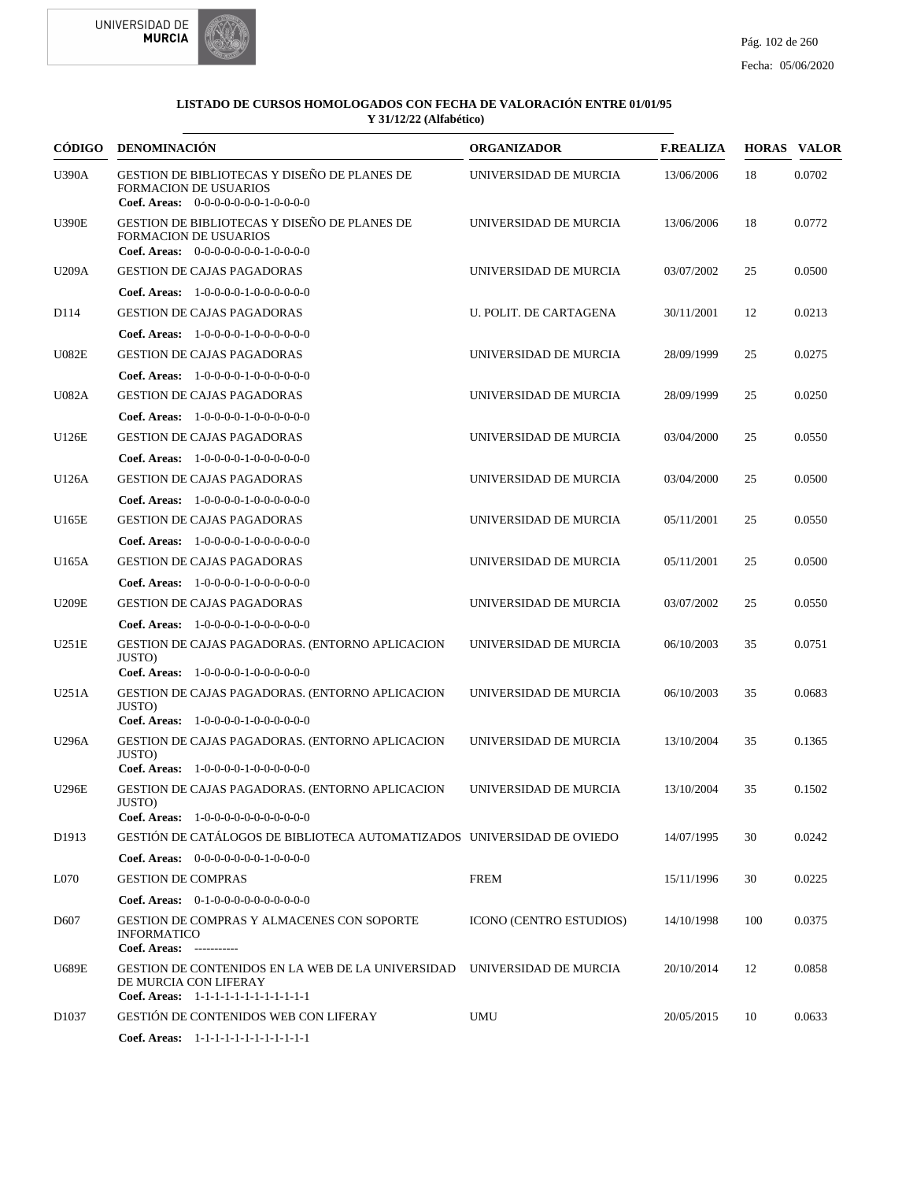



| CÓDIGO            | <b>DENOMINACIÓN</b>                                                                                                                        | <b>ORGANIZADOR</b>             | <b>F.REALIZA</b> |     | <b>HORAS VALOR</b> |
|-------------------|--------------------------------------------------------------------------------------------------------------------------------------------|--------------------------------|------------------|-----|--------------------|
| <b>U390A</b>      | GESTION DE BIBLIOTECAS Y DISEÑO DE PLANES DE<br><b>FORMACION DE USUARIOS</b><br>Coef. Areas: $0-0-0-0-0-0-1-0-0-0-0$                       | UNIVERSIDAD DE MURCIA          | 13/06/2006       | 18  | 0.0702             |
| <b>U390E</b>      | GESTION DE BIBLIOTECAS Y DISEÑO DE PLANES DE<br><b>FORMACION DE USUARIOS</b><br>Coef. Areas: $0-0-0-0-0-0-1-0-0-0-0$                       | UNIVERSIDAD DE MURCIA          | 13/06/2006       | 18  | 0.0772             |
| U209A             | <b>GESTION DE CAJAS PAGADORAS</b>                                                                                                          | UNIVERSIDAD DE MURCIA          | 03/07/2002       | 25  | 0.0500             |
|                   | <b>Coef. Areas:</b> $1-0-0-0-0-1-0-0-0-0-0-0$                                                                                              |                                |                  |     |                    |
| D114              | <b>GESTION DE CAJAS PAGADORAS</b>                                                                                                          | U. POLIT. DE CARTAGENA         | 30/11/2001       | 12  | 0.0213             |
|                   | Coef. Areas: $1-0-0-0-1-0-0-0-0-0-0$                                                                                                       |                                |                  |     |                    |
| <b>U082E</b>      | <b>GESTION DE CAJAS PAGADORAS</b>                                                                                                          | UNIVERSIDAD DE MURCIA          | 28/09/1999       | 25  | 0.0275             |
|                   | <b>Coef. Areas:</b> $1-0-0-0-0-1-0-0-0-0-0-0$                                                                                              |                                |                  |     |                    |
| <b>U082A</b>      | <b>GESTION DE CAJAS PAGADORAS</b>                                                                                                          | UNIVERSIDAD DE MURCIA          | 28/09/1999       | 25  | 0.0250             |
|                   | <b>Coef. Areas:</b> $1-0-0-0-0-1-0-0-0-0-0-0$                                                                                              |                                |                  |     |                    |
| U126E             | <b>GESTION DE CAJAS PAGADORAS</b>                                                                                                          | UNIVERSIDAD DE MURCIA          | 03/04/2000       | 25  | 0.0550             |
|                   | <b>Coef. Areas:</b> $1-0-0-0-0-1-0-0-0-0-0-0$                                                                                              |                                |                  |     |                    |
| U126A             | <b>GESTION DE CAJAS PAGADORAS</b>                                                                                                          | UNIVERSIDAD DE MURCIA          | 03/04/2000       | 25  | 0.0500             |
|                   | <b>Coef. Areas:</b> $1-0-0-0-0-1-0-0-0-0-0-0$                                                                                              |                                |                  |     |                    |
| U165E             | <b>GESTION DE CAJAS PAGADORAS</b>                                                                                                          | UNIVERSIDAD DE MURCIA          | 05/11/2001       | 25  | 0.0550             |
|                   | <b>Coef. Areas:</b> $1-0-0-0-0-1-0-0-0-0-0-0$                                                                                              |                                |                  |     |                    |
| U165A             | <b>GESTION DE CAJAS PAGADORAS</b>                                                                                                          | UNIVERSIDAD DE MURCIA          | 05/11/2001       | 25  | 0.0500             |
|                   | <b>Coef. Areas:</b> $1-0-0-0-0-1-0-0-0-0-0-0$                                                                                              |                                |                  |     |                    |
| <b>U209E</b>      | <b>GESTION DE CAJAS PAGADORAS</b>                                                                                                          | UNIVERSIDAD DE MURCIA          | 03/07/2002       | 25  | 0.0550             |
|                   | <b>Coef. Areas:</b> $1-0-0-0-0-1-0-0-0-0-0-0$                                                                                              |                                |                  |     |                    |
| U251E             | <b>GESTION DE CAJAS PAGADORAS. (ENTORNO APLICACION</b><br>JUSTO)                                                                           | UNIVERSIDAD DE MURCIA          | 06/10/2003       | 35  | 0.0751             |
|                   | <b>Coef. Areas:</b> $1-0-0-0-0-1-0-0-0-0-0-0$                                                                                              |                                |                  |     |                    |
| U251A             | <b>GESTION DE CAJAS PAGADORAS. (ENTORNO APLICACION</b><br>JUSTO)<br>Coef. Areas: 1-0-0-0-0-1-0-0-0-0-0-0                                   | UNIVERSIDAD DE MURCIA          | 06/10/2003       | 35  | 0.0683             |
| U296A             | <b>GESTION DE CAJAS PAGADORAS. (ENTORNO APLICACION</b><br>JUSTO)                                                                           | UNIVERSIDAD DE MURCIA          | 13/10/2004       | 35  | 0.1365             |
|                   | Coef. Areas: 1-0-0-0-0-1-0-0-0-0-0-0                                                                                                       |                                |                  |     |                    |
| <b>U296E</b>      | <b>GESTION DE CAJAS PAGADORAS. (ENTORNO APLICACION</b><br>JUSTO)<br><b>Coef. Areas:</b> $1-0-0-0-0-0-0-0-0-0-0$                            | UNIVERSIDAD DE MURCIA          | 13/10/2004       | 35  | 0.1502             |
| D <sub>1913</sub> | GESTIÓN DE CATÁLOGOS DE BIBLIOTECA AUTOMATIZADOS UNIVERSIDAD DE OVIEDO                                                                     |                                | 14/07/1995       | 30  | 0.0242             |
|                   | <b>Coef. Areas:</b> $0-0-0-0-0-0-1-0-0-0-0$                                                                                                |                                |                  |     |                    |
| L070              | <b>GESTION DE COMPRAS</b>                                                                                                                  | <b>FREM</b>                    | 15/11/1996       | 30  | 0.0225             |
|                   | Coef. Areas: $0-1-0-0-0-0-0-0-0-0-0$                                                                                                       |                                |                  |     |                    |
| D <sub>607</sub>  | <b>GESTION DE COMPRAS Y ALMACENES CON SOPORTE</b><br><b>INFORMATICO</b><br>Coef. Areas: -----------                                        | <b>ICONO (CENTRO ESTUDIOS)</b> | 14/10/1998       | 100 | 0.0375             |
| <b>U689E</b>      | GESTION DE CONTENIDOS EN LA WEB DE LA UNIVERSIDAD UNIVERSIDAD DE MURCIA<br>DE MURCIA CON LIFERAY<br>Coef. Areas: 1-1-1-1-1-1-1-1-1-1-1-1-1 |                                | 20/10/2014       | 12  | 0.0858             |
| D <sub>1037</sub> | <b>GESTIÓN DE CONTENIDOS WEB CON LIFERAY</b>                                                                                               | UMU                            | 20/05/2015       | 10  | 0.0633             |
|                   | Coef. Areas: 1-1-1-1-1-1-1-1-1-1-1-1-1                                                                                                     |                                |                  |     |                    |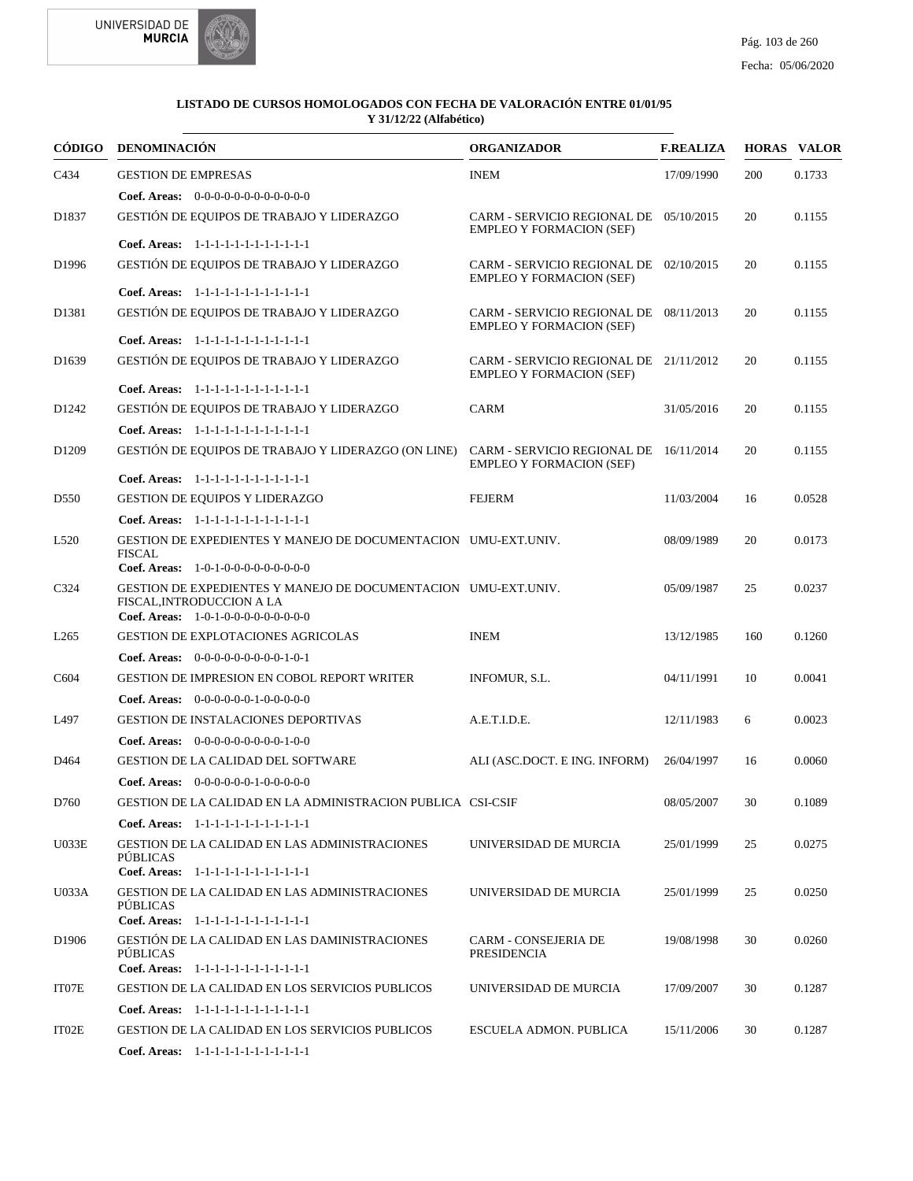

|                   | CÓDIGO DENOMINACIÓN                                                                                                                 | <b>ORGANIZADOR</b>                                                        | <b>F.REALIZA</b> |     | <b>HORAS VALOR</b> |
|-------------------|-------------------------------------------------------------------------------------------------------------------------------------|---------------------------------------------------------------------------|------------------|-----|--------------------|
| C434              | <b>GESTION DE EMPRESAS</b>                                                                                                          | <b>INEM</b>                                                               | 17/09/1990       | 200 | 0.1733             |
|                   | <b>Coef. Areas:</b> $0-0-0-0-0-0-0-0-0-0-0-0$                                                                                       |                                                                           |                  |     |                    |
| D <sub>1837</sub> | GESTIÓN DE EQUIPOS DE TRABAJO Y LIDERAZGO                                                                                           | CARM - SERVICIO REGIONAL DE 05/10/2015<br><b>EMPLEO Y FORMACION (SEF)</b> |                  | 20  | 0.1155             |
|                   | Coef. Areas: 1-1-1-1-1-1-1-1-1-1-1-1-1                                                                                              |                                                                           |                  |     |                    |
| D <sub>1996</sub> | GESTIÓN DE EQUIPOS DE TRABAJO Y LIDERAZGO                                                                                           | CARM - SERVICIO REGIONAL DE 02/10/2015<br><b>EMPLEO Y FORMACION (SEF)</b> |                  | 20  | 0.1155             |
|                   | Coef. Areas: 1-1-1-1-1-1-1-1-1-1-1-1-1                                                                                              |                                                                           |                  |     |                    |
| D1381             | GESTIÓN DE EQUIPOS DE TRABAJO Y LIDERAZGO                                                                                           | CARM - SERVICIO REGIONAL DE 08/11/2013<br><b>EMPLEO Y FORMACION (SEF)</b> |                  | 20  | 0.1155             |
|                   | Coef. Areas: 1-1-1-1-1-1-1-1-1-1-1-1-1                                                                                              |                                                                           |                  |     |                    |
| D <sub>1639</sub> | GESTIÓN DE EQUIPOS DE TRABAJO Y LIDERAZGO                                                                                           | CARM - SERVICIO REGIONAL DE 21/11/2012<br><b>EMPLEO Y FORMACION (SEF)</b> |                  | 20  | 0.1155             |
|                   | Coef. Areas: 1-1-1-1-1-1-1-1-1-1-1-1-1                                                                                              |                                                                           |                  |     |                    |
| D <sub>1242</sub> | GESTIÓN DE EQUIPOS DE TRABAJO Y LIDERAZGO                                                                                           | CARM                                                                      | 31/05/2016       | 20  | 0.1155             |
|                   | Coef. Areas: 1-1-1-1-1-1-1-1-1-1-1-1-1                                                                                              |                                                                           |                  |     |                    |
| D1209             | GESTIÓN DE EQUIPOS DE TRABAJO Y LIDERAZGO (ON LINE)                                                                                 | CARM - SERVICIO REGIONAL DE 16/11/2014<br><b>EMPLEO Y FORMACION (SEF)</b> |                  | 20  | 0.1155             |
|                   | Coef. Areas: 1-1-1-1-1-1-1-1-1-1-1-1-1                                                                                              |                                                                           |                  |     |                    |
| D550              | <b>GESTION DE EQUIPOS Y LIDERAZGO</b>                                                                                               | FEJERM                                                                    | 11/03/2004       | 16  | 0.0528             |
|                   | Coef. Areas: 1-1-1-1-1-1-1-1-1-1-1-1-1                                                                                              |                                                                           |                  |     |                    |
| L <sub>520</sub>  | GESTION DE EXPEDIENTES Y MANEJO DE DOCUMENTACION UMU-EXT.UNIV.<br><b>FISCAL</b><br>Coef. Areas: $1-0-1-0-0-0-0-0-0-0-0$             |                                                                           | 08/09/1989       | 20  | 0.0173             |
| C324              | GESTION DE EXPEDIENTES Y MANEJO DE DOCUMENTACION UMU-EXT.UNIV.<br>FISCAL, INTRODUCCION A LA<br>Coef. Areas: $1-0-1-0-0-0-0-0-0-0-0$ |                                                                           | 05/09/1987       | 25  | 0.0237             |
| L <sub>265</sub>  | <b>GESTION DE EXPLOTACIONES AGRICOLAS</b>                                                                                           | <b>INEM</b>                                                               | 13/12/1985       | 160 | 0.1260             |
|                   | Coef. Areas: $0-0-0-0-0-0-0-0-1-0-1$                                                                                                |                                                                           |                  |     |                    |
| C604              | <b>GESTION DE IMPRESION EN COBOL REPORT WRITER</b>                                                                                  | INFOMUR, S.L.                                                             | 04/11/1991       | 10  | 0.0041             |
|                   | <b>Coef. Areas:</b> $0-0-0-0-0-1-0-0-0-0-0$                                                                                         |                                                                           |                  |     |                    |
| L497              | <b>GESTION DE INSTALACIONES DEPORTIVAS</b>                                                                                          | A.E.T.I.D.E.                                                              | 12/11/1983       | 6   | 0.0023             |
|                   | Coef. Areas: $0-0-0-0-0-0-0-0-1-0-0$                                                                                                |                                                                           |                  |     |                    |
| D464              | <b>GESTION DE LA CALIDAD DEL SOFTWARE</b>                                                                                           | ALI (ASC.DOCT. E ING. INFORM)                                             | 26/04/1997       | 16  | 0.0060             |
|                   | Coef. Areas: $0-0-0-0-0-1-0-0-0-0-0$                                                                                                |                                                                           |                  |     |                    |
| D760              | GESTION DE LA CALIDAD EN LA ADMINISTRACION PUBLICA CSI-CSIF                                                                         |                                                                           | 08/05/2007       | 30  | 0.1089             |
|                   | Coef. Areas: 1-1-1-1-1-1-1-1-1-1-1-1-1                                                                                              |                                                                           |                  |     |                    |
| U033E             | <b>GESTION DE LA CALIDAD EN LAS ADMINISTRACIONES</b><br><b>PÚBLICAS</b>                                                             | UNIVERSIDAD DE MURCIA                                                     | 25/01/1999       | 25  | 0.0275             |
|                   | Coef. Areas: 1-1-1-1-1-1-1-1-1-1-1-1-1                                                                                              |                                                                           |                  |     |                    |
| U033A             | GESTION DE LA CALIDAD EN LAS ADMINISTRACIONES<br>PÚBLICAS<br>Coef. Areas: 1-1-1-1-1-1-1-1-1-1-1-1-1                                 | UNIVERSIDAD DE MURCIA                                                     | 25/01/1999       | 25  | 0.0250             |
|                   |                                                                                                                                     |                                                                           |                  |     |                    |
| D <sub>1906</sub> | GESTIÓN DE LA CALIDAD EN LAS DAMINISTRACIONES<br><b>PÚBLICAS</b><br>Coef. Areas: 1-1-1-1-1-1-1-1-1-1-1-1-1                          | <b>CARM - CONSEJERIA DE</b><br><b>PRESIDENCIA</b>                         | 19/08/1998       | 30  | 0.0260             |
| IT07E             | <b>GESTION DE LA CALIDAD EN LOS SERVICIOS PUBLICOS</b>                                                                              | UNIVERSIDAD DE MURCIA                                                     | 17/09/2007       | 30  | 0.1287             |
|                   | Coef. Areas: 1-1-1-1-1-1-1-1-1-1-1-1-1                                                                                              |                                                                           |                  |     |                    |
| IT02E             | <b>GESTION DE LA CALIDAD EN LOS SERVICIOS PUBLICOS</b>                                                                              | ESCUELA ADMON. PUBLICA                                                    | 15/11/2006       | 30  | 0.1287             |
|                   | Coef. Areas: 1-1-1-1-1-1-1-1-1-1-1-1-1                                                                                              |                                                                           |                  |     |                    |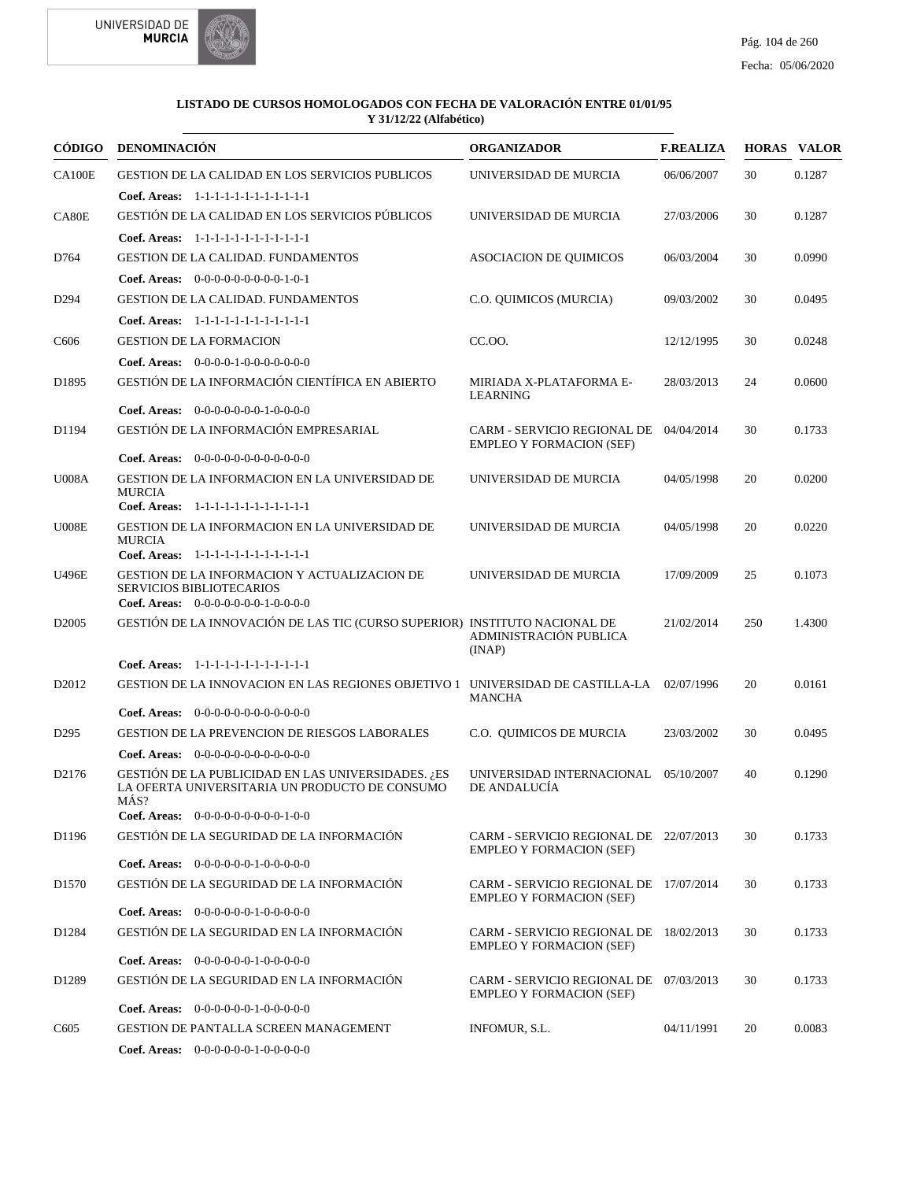



|                    | CÓDIGO DENOMINACIÓN                                                                                                     | <b>ORGANIZADOR</b>                                                        | <b>F.REALIZA</b> |     | <b>HORAS VALOR</b> |
|--------------------|-------------------------------------------------------------------------------------------------------------------------|---------------------------------------------------------------------------|------------------|-----|--------------------|
| <b>CA100E</b>      | GESTION DE LA CALIDAD EN LOS SERVICIOS PUBLICOS                                                                         | UNIVERSIDAD DE MURCIA                                                     | 06/06/2007       | 30  | 0.1287             |
|                    | Coef. Areas: 1-1-1-1-1-1-1-1-1-1-1-1-1                                                                                  |                                                                           |                  |     |                    |
| CA <sub>80</sub> E | GESTIÓN DE LA CALIDAD EN LOS SERVICIOS PÚBLICOS                                                                         | UNIVERSIDAD DE MURCIA                                                     | 27/03/2006       | 30  | 0.1287             |
|                    | Coef. Areas: 1-1-1-1-1-1-1-1-1-1-1-1-1                                                                                  |                                                                           |                  |     |                    |
| D764               | <b>GESTION DE LA CALIDAD. FUNDAMENTOS</b>                                                                               | <b>ASOCIACION DE QUIMICOS</b>                                             | 06/03/2004       | 30  | 0.0990             |
|                    | Coef. Areas: $0-0-0-0-0-0-0-0-1-0-1$                                                                                    |                                                                           |                  |     |                    |
| D <sub>294</sub>   | GESTION DE LA CALIDAD. FUNDAMENTOS                                                                                      | C.O. QUIMICOS (MURCIA)                                                    | 09/03/2002       | 30  | 0.0495             |
|                    | Coef. Areas: 1-1-1-1-1-1-1-1-1-1-1-1-1                                                                                  |                                                                           |                  |     |                    |
| C <sub>6</sub> 06  | <b>GESTION DE LA FORMACION</b>                                                                                          | CC.OO.                                                                    | 12/12/1995       | 30  | 0.0248             |
|                    | Coef. Areas: $0-0-0-0-1-0-0-0-0-0-0$                                                                                    |                                                                           |                  |     |                    |
| D1895              | GESTIÓN DE LA INFORMACIÓN CIENTÍFICA EN ABIERTO                                                                         | MIRIADA X-PLATAFORMA E-<br><b>LEARNING</b>                                | 28/03/2013       | 24  | 0.0600             |
|                    | Coef. Areas: $0-0-0-0-0-0-1-0-0-0-0$                                                                                    |                                                                           |                  |     |                    |
| D1194              | GESTIÓN DE LA INFORMACIÓN EMPRESARIAL                                                                                   | CARM - SERVICIO REGIONAL DE 04/04/2014<br><b>EMPLEO Y FORMACION (SEF)</b> |                  | 30  | 0.1733             |
|                    | Coef. Areas: $0-0-0-0-0-0-0-0-0-0-0$                                                                                    |                                                                           |                  |     |                    |
| <b>U008A</b>       | GESTION DE LA INFORMACION EN LA UNIVERSIDAD DE<br><b>MURCIA</b><br>Coef. Areas: 1-1-1-1-1-1-1-1-1-1-1-1-1               | UNIVERSIDAD DE MURCIA                                                     | 04/05/1998       | 20  | 0.0200             |
| U008E              | GESTION DE LA INFORMACION EN LA UNIVERSIDAD DE<br><b>MURCIA</b>                                                         | UNIVERSIDAD DE MURCIA                                                     | 04/05/1998       | 20  | 0.0220             |
|                    | Coef. Areas: 1-1-1-1-1-1-1-1-1-1-1-1-1                                                                                  |                                                                           |                  |     |                    |
| <b>U496E</b>       | GESTION DE LA INFORMACION Y ACTUALIZACION DE<br><b>SERVICIOS BIBLIOTECARIOS</b><br>Coef. Areas: 0-0-0-0-0-0-0-1-0-0-0-0 | UNIVERSIDAD DE MURCIA                                                     | 17/09/2009       | 25  | 0.1073             |
| D <sub>2005</sub>  | GESTIÓN DE LA INNOVACIÓN DE LAS TIC (CURSO SUPERIOR) INSTITUTO NACIONAL DE                                              | ADMINISTRACIÓN PUBLICA<br>(INAP)                                          | 21/02/2014       | 250 | 1.4300             |
|                    | Coef. Areas: 1-1-1-1-1-1-1-1-1-1-1-1-1                                                                                  |                                                                           |                  |     |                    |
| D2012              | GESTION DE LA INNOVACION EN LAS REGIONES OBJETIVO 1 UNIVERSIDAD DE CASTILLA-LA 02/07/1996                               | <b>MANCHA</b>                                                             |                  | 20  | 0.0161             |
|                    | <b>Coef. Areas:</b> $0-0-0-0-0-0-0-0-0-0-0-0$                                                                           |                                                                           |                  |     |                    |
| D <sub>295</sub>   | <b>GESTION DE LA PREVENCION DE RIESGOS LABORALES</b>                                                                    | C.O. QUIMICOS DE MURCIA                                                   | 23/03/2002       | 30  | 0.0495             |
|                    | Coef. Areas: $0-0-0-0-0-0-0-0-0-0-0$                                                                                    |                                                                           |                  |     |                    |
| D2176              | GESTIÓN DE LA PUBLICIDAD EN LAS UNIVERSIDADES. ¿ES<br>LA OFERTA UNIVERSITARIA UN PRODUCTO DE CONSUMO<br>MÁS?            | UNIVERSIDAD INTERNACIONAL 05/10/2007<br>DE ANDALUCÍA                      |                  | 40  | 0.1290             |
|                    | <b>Coef. Areas:</b> $0-0-0-0-0-0-0-0-1-0-0$                                                                             |                                                                           |                  |     |                    |
| D1196              | GESTIÓN DE LA SEGURIDAD DE LA INFORMACIÓN                                                                               | CARM - SERVICIO REGIONAL DE 22/07/2013<br><b>EMPLEO Y FORMACION (SEF)</b> |                  | 30  | 0.1733             |
|                    | Coef. Areas: $0-0-0-0-0-1-0-0-0-0-0$                                                                                    |                                                                           |                  |     |                    |
| D <sub>1570</sub>  | GESTIÓN DE LA SEGURIDAD DE LA INFORMACIÓN                                                                               | CARM - SERVICIO REGIONAL DE 17/07/2014<br><b>EMPLEO Y FORMACION (SEF)</b> |                  | 30  | 0.1733             |
|                    | Coef. Areas: $0-0-0-0-0-1-0-0-0-0-0$                                                                                    |                                                                           |                  |     |                    |
| D1284              | GESTIÓN DE LA SEGURIDAD EN LA INFORMACIÓN<br><b>Coef. Areas:</b> $0-0-0-0-0-1-0-0-0-0-0$                                | CARM - SERVICIO REGIONAL DE 18/02/2013<br><b>EMPLEO Y FORMACION (SEF)</b> |                  | 30  | 0.1733             |
| D1289              | GESTIÓN DE LA SEGURIDAD EN LA INFORMACIÓN                                                                               | CARM - SERVICIO REGIONAL DE 07/03/2013                                    |                  | 30  | 0.1733             |
|                    | Coef. Areas: $0-0-0-0-0-1-0-0-0-0-0$                                                                                    | <b>EMPLEO Y FORMACION (SEF)</b>                                           |                  |     |                    |
| C <sub>6</sub> 05  | <b>GESTION DE PANTALLA SCREEN MANAGEMENT</b>                                                                            | INFOMUR, S.L.                                                             | 04/11/1991       | 20  | 0.0083             |
|                    | Coef. Areas: $0-0-0-0-0-1-0-0-0-0-0$                                                                                    |                                                                           |                  |     |                    |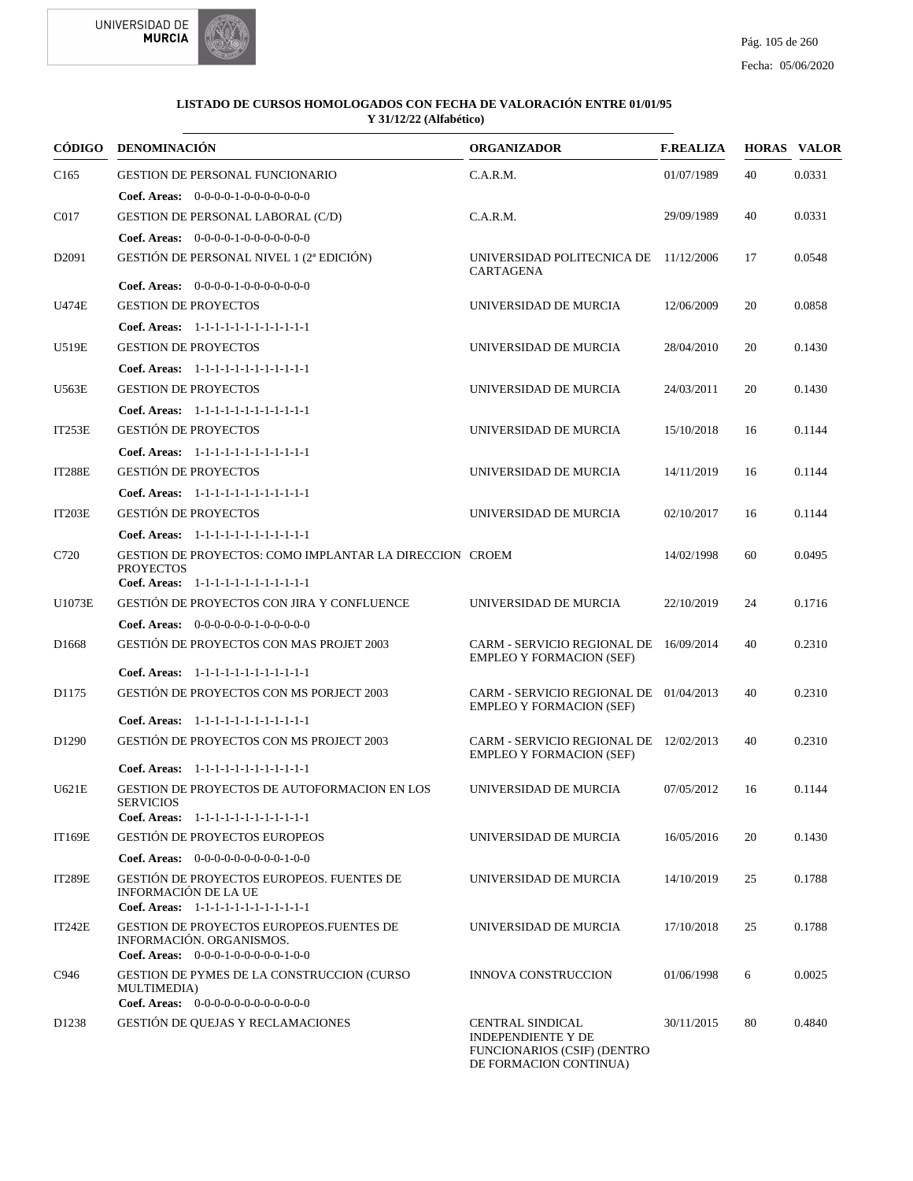



|                   | CÓDIGO DENOMINACIÓN                                                                                                   | <b>ORGANIZADOR</b>                                                                                                   | <b>F.REALIZA</b> |    | <b>HORAS VALOR</b> |
|-------------------|-----------------------------------------------------------------------------------------------------------------------|----------------------------------------------------------------------------------------------------------------------|------------------|----|--------------------|
| C <sub>165</sub>  | <b>GESTION DE PERSONAL FUNCIONARIO</b>                                                                                | C.A.R.M.                                                                                                             | 01/07/1989       | 40 | 0.0331             |
|                   | <b>Coef. Areas:</b> $0-0-0-0-1-0-0-0-0-0-0-0$                                                                         |                                                                                                                      |                  |    |                    |
| C017              | <b>GESTION DE PERSONAL LABORAL (C/D)</b>                                                                              | C.A.R.M.                                                                                                             | 29/09/1989       | 40 | 0.0331             |
|                   | Coef. Areas: $0-0-0-0-1-0-0-0-0-0-0$                                                                                  |                                                                                                                      |                  |    |                    |
| D <sub>2091</sub> | GESTIÓN DE PERSONAL NIVEL 1 (2ª EDICIÓN)                                                                              | UNIVERSIDAD POLITECNICA DE 11/12/2006<br>CARTAGENA                                                                   |                  | 17 | 0.0548             |
|                   | <b>Coef. Areas:</b> $0-0-0-0-1-0-0-0-0-0-0-0$                                                                         |                                                                                                                      |                  |    |                    |
| <b>U474E</b>      | <b>GESTION DE PROYECTOS</b>                                                                                           | UNIVERSIDAD DE MURCIA                                                                                                | 12/06/2009       | 20 | 0.0858             |
|                   | Coef. Areas: 1-1-1-1-1-1-1-1-1-1-1-1-1                                                                                |                                                                                                                      |                  |    |                    |
| U519E             | <b>GESTION DE PROYECTOS</b>                                                                                           | UNIVERSIDAD DE MURCIA                                                                                                | 28/04/2010       | 20 | 0.1430             |
|                   | Coef. Areas: 1-1-1-1-1-1-1-1-1-1-1-1-1                                                                                |                                                                                                                      |                  |    |                    |
| U563E             | <b>GESTION DE PROYECTOS</b>                                                                                           | UNIVERSIDAD DE MURCIA                                                                                                | 24/03/2011       | 20 | 0.1430             |
|                   | Coef. Areas: 1-1-1-1-1-1-1-1-1-1-1-1-1                                                                                |                                                                                                                      |                  |    |                    |
| IT253E            | <b>GESTIÓN DE PROYECTOS</b>                                                                                           | UNIVERSIDAD DE MURCIA                                                                                                | 15/10/2018       | 16 | 0.1144             |
|                   | Coef. Areas: 1-1-1-1-1-1-1-1-1-1-1-1-1                                                                                |                                                                                                                      |                  |    |                    |
| <b>IT288E</b>     | <b>GESTIÓN DE PROYECTOS</b>                                                                                           | UNIVERSIDAD DE MURCIA                                                                                                | 14/11/2019       | 16 | 0.1144             |
|                   | Coef. Areas: 1-1-1-1-1-1-1-1-1-1-1-1-1                                                                                |                                                                                                                      |                  |    |                    |
| <b>IT203E</b>     | <b>GESTIÓN DE PROYECTOS</b>                                                                                           | UNIVERSIDAD DE MURCIA                                                                                                | 02/10/2017       | 16 | 0.1144             |
|                   | Coef. Areas: 1-1-1-1-1-1-1-1-1-1-1-1-1                                                                                |                                                                                                                      |                  |    |                    |
| C720              | GESTION DE PROYECTOS: COMO IMPLANTAR LA DIRECCION CROEM<br><b>PROYECTOS</b><br>Coef. Areas: 1-1-1-1-1-1-1-1-1-1-1-1-1 |                                                                                                                      | 14/02/1998       | 60 | 0.0495             |
| U1073E            | GESTIÓN DE PROYECTOS CON JIRA Y CONFLUENCE                                                                            | UNIVERSIDAD DE MURCIA                                                                                                | 22/10/2019       | 24 | 0.1716             |
|                   |                                                                                                                       |                                                                                                                      |                  |    |                    |
|                   | Coef. Areas: $0-0-0-0-0-1-0-0-0-0-0$<br>GESTIÓN DE PROYECTOS CON MAS PROJET 2003                                      |                                                                                                                      |                  | 40 |                    |
| D <sub>1668</sub> |                                                                                                                       | CARM - SERVICIO REGIONAL DE 16/09/2014<br><b>EMPLEO Y FORMACION (SEF)</b>                                            |                  |    | 0.2310             |
|                   | Coef. Areas: 1-1-1-1-1-1-1-1-1-1-1-1-1                                                                                |                                                                                                                      |                  |    |                    |
| D1175             | GESTIÓN DE PROYECTOS CON MS PORJECT 2003                                                                              | CARM - SERVICIO REGIONAL DE 01/04/2013<br><b>EMPLEO Y FORMACION (SEF)</b>                                            |                  | 40 | 0.2310             |
| D <sub>1290</sub> | Coef. Areas: 1-1-1-1-1-1-1-1-1-1-1-1-1<br><b>GESTIÓN DE PROYECTOS CON MS PROJECT 2003</b>                             | CARM - SERVICIO REGIONAL DE 12/02/2013                                                                               |                  |    |                    |
|                   | Coef. Areas: 1-1-1-1-1-1-1-1-1-1-1-1-1                                                                                | <b>EMPLEO Y FORMACION (SEF)</b>                                                                                      |                  | 40 | 0.2310             |
| U621E             | GESTION DE PROYECTOS DE AUTOFORMACION EN LOS                                                                          | UNIVERSIDAD DE MURCIA                                                                                                | 07/05/2012       | 16 | 0.1144             |
|                   | <b>SERVICIOS</b>                                                                                                      |                                                                                                                      |                  |    |                    |
|                   | Coef. Areas: 1-1-1-1-1-1-1-1-1-1-1-1-1                                                                                |                                                                                                                      |                  |    |                    |
| <b>IT169E</b>     | <b>GESTIÓN DE PROYECTOS EUROPEOS</b>                                                                                  | UNIVERSIDAD DE MURCIA                                                                                                | 16/05/2016       | 20 | 0.1430             |
|                   | Coef. Areas: $0-0-0-0-0-0-0-0-1-0-0$                                                                                  |                                                                                                                      |                  |    |                    |
| <b>IT289E</b>     | <b>GESTIÓN DE PROYECTOS EUROPEOS. FUENTES DE</b><br>INFORMACIÓN DE LA UE<br>Coef. Areas: 1-1-1-1-1-1-1-1-1-1-1-1-1    | UNIVERSIDAD DE MURCIA                                                                                                | 14/10/2019       | 25 | 0.1788             |
| <b>IT242E</b>     | GESTION DE PROYECTOS EUROPEOS.FUENTES DE<br>INFORMACIÓN. ORGANISMOS.<br><b>Coef. Areas:</b> $0-0-0-1-0-0-0-0-1-0-0$   | UNIVERSIDAD DE MURCIA                                                                                                | 17/10/2018       | 25 | 0.1788             |
| C946              | GESTION DE PYMES DE LA CONSTRUCCION (CURSO<br>MULTIMEDIA)<br>Coef. Areas: $0-0-0-0-0-0-0-0-0-0-0$                     | <b>INNOVA CONSTRUCCION</b>                                                                                           | 01/06/1998       | 6  | 0.0025             |
| D <sub>1238</sub> | GESTIÓN DE QUEJAS Y RECLAMACIONES                                                                                     | <b>CENTRAL SINDICAL</b><br><b>INDEPENDIENTE Y DE</b><br><b>FUNCIONARIOS (CSIF) (DENTRO</b><br>DE FORMACION CONTINUA) | 30/11/2015       | 80 | 0.4840             |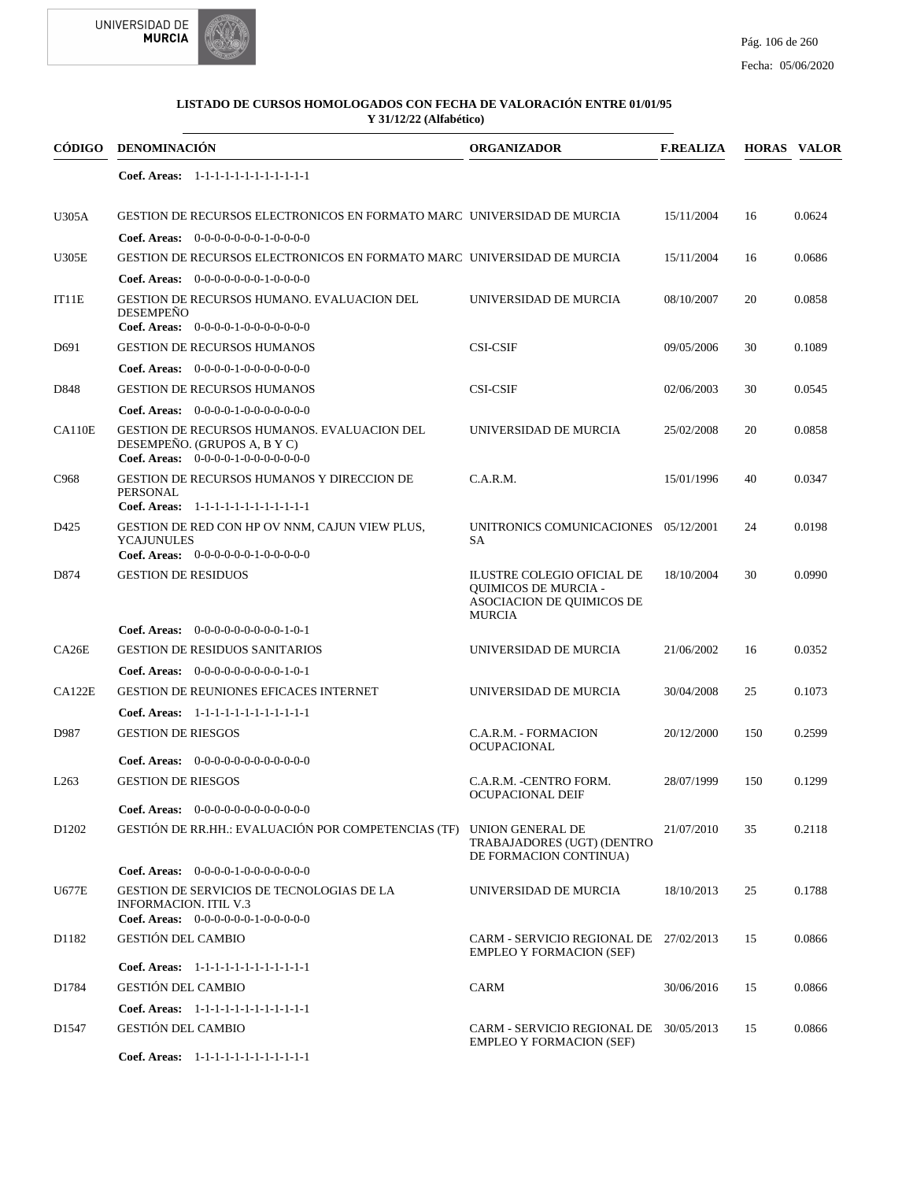



| CÓDIGO            | <b>DENOMINACIÓN</b>                                                                                                        | <b>ORGANIZADOR</b>                                                                                      | <b>F.REALIZA</b> |     | <b>HORAS VALOR</b> |
|-------------------|----------------------------------------------------------------------------------------------------------------------------|---------------------------------------------------------------------------------------------------------|------------------|-----|--------------------|
|                   | Coef. Areas: $1-1-1-1-1-1-1-1-1-1-1$                                                                                       |                                                                                                         |                  |     |                    |
| U305A             | GESTION DE RECURSOS ELECTRONICOS EN FORMATO MARC UNIVERSIDAD DE MURCIA                                                     |                                                                                                         | 15/11/2004       | 16  | 0.0624             |
|                   | <b>Coef. Areas:</b> $0-0-0-0-0-0-1-0-0-0-0$                                                                                |                                                                                                         |                  |     |                    |
| <b>U305E</b>      | GESTION DE RECURSOS ELECTRONICOS EN FORMATO MARC UNIVERSIDAD DE MURCIA                                                     |                                                                                                         | 15/11/2004       | 16  | 0.0686             |
|                   | <b>Coef. Areas:</b> $0-0-0-0-0-0-1-0-0-0-0$                                                                                |                                                                                                         |                  |     |                    |
| IT11E             | GESTION DE RECURSOS HUMANO. EVALUACION DEL<br><b>DESEMPEÑO</b><br>Coef. Areas: $0-0-0-0-1-0-0-0-0-0-0$                     | UNIVERSIDAD DE MURCIA                                                                                   | 08/10/2007       | 20  | 0.0858             |
| D691              | <b>GESTION DE RECURSOS HUMANOS</b>                                                                                         | <b>CSI-CSIF</b>                                                                                         | 09/05/2006       | 30  | 0.1089             |
|                   | Coef. Areas: 0-0-0-0-1-0-0-0-0-0-0-0                                                                                       |                                                                                                         |                  |     |                    |
| D848              | <b>GESTION DE RECURSOS HUMANOS</b>                                                                                         | <b>CSI-CSIF</b>                                                                                         | 02/06/2003       | 30  | 0.0545             |
|                   | <b>Coef. Areas:</b> $0-0-0-0-1-0-0-0-0-0-0-0$                                                                              |                                                                                                         |                  |     |                    |
| CA110E            | <b>GESTION DE RECURSOS HUMANOS. EVALUACION DEL</b><br>DESEMPEÑO. (GRUPOS A, B Y C)<br>Coef. Areas: $0-0-0-0-1-0-0-0-0-0-0$ | UNIVERSIDAD DE MURCIA                                                                                   | 25/02/2008       | 20  | 0.0858             |
| C968              | GESTION DE RECURSOS HUMANOS Y DIRECCION DE<br><b>PERSONAL</b><br>Coef. Areas: 1-1-1-1-1-1-1-1-1-1-1-1-1                    | C.A.R.M.                                                                                                | 15/01/1996       | 40  | 0.0347             |
| D425              | GESTION DE RED CON HP OV NNM, CAJUN VIEW PLUS,<br><b>YCAJUNULES</b><br>Coef. Areas: $0-0-0-0-0-1-0-0-0-0-0$                | UNITRONICS COMUNICACIONES 05/12/2001<br>SA                                                              |                  | 24  | 0.0198             |
| D874              | <b>GESTION DE RESIDUOS</b>                                                                                                 | ILUSTRE COLEGIO OFICIAL DE<br><b>OUIMICOS DE MURCIA -</b><br>ASOCIACION DE QUIMICOS DE<br><b>MURCIA</b> | 18/10/2004       | 30  | 0.0990             |
|                   | Coef. Areas: $0-0-0-0-0-0-0-0-1-0-1$                                                                                       |                                                                                                         |                  |     |                    |
| CA26E             | <b>GESTION DE RESIDUOS SANITARIOS</b>                                                                                      | UNIVERSIDAD DE MURCIA                                                                                   | 21/06/2002       | 16  | 0.0352             |
|                   | <b>Coef. Areas:</b> $0-0-0-0-0-0-0-0-1-0-1$                                                                                |                                                                                                         |                  |     |                    |
| CA122E            | <b>GESTION DE REUNIONES EFICACES INTERNET</b>                                                                              | UNIVERSIDAD DE MURCIA                                                                                   | 30/04/2008       | 25  | 0.1073             |
|                   | Coef. Areas: 1-1-1-1-1-1-1-1-1-1-1-1-1                                                                                     |                                                                                                         |                  |     |                    |
| D987              | <b>GESTION DE RIESGOS</b>                                                                                                  | C.A.R.M. - FORMACION<br><b>OCUPACIONAL</b>                                                              | 20/12/2000       | 150 | 0.2599             |
|                   | <b>Coef. Areas:</b> $0-0-0-0-0-0-0-0-0-0-0-0$                                                                              |                                                                                                         |                  |     |                    |
| L <sub>263</sub>  | <b>GESTION DE RIESGOS</b>                                                                                                  | C.A.R.M. -CENTRO FORM.<br><b>OCUPACIONAL DEIF</b>                                                       | 28/07/1999       | 150 | 0.1299             |
|                   | Coef. Areas: $0-0-0-0-0-0-0-0-0-0-0$                                                                                       |                                                                                                         |                  |     |                    |
| D1202             | GESTIÓN DE RR.HH.: EVALUACIÓN POR COMPETENCIAS (TF) UNION GENERAL DE                                                       | TRABAJADORES (UGT) (DENTRO<br>DE FORMACION CONTINUA)                                                    | 21/07/2010       | 35  | 0.2118             |
|                   | <b>Coef. Areas:</b> $0-0-0-0-1-0-0-0-0-0-0-0$                                                                              |                                                                                                         |                  |     |                    |
| <b>U677E</b>      | GESTION DE SERVICIOS DE TECNOLOGIAS DE LA<br><b>INFORMACION. ITIL V.3</b><br>Coef. Areas: $0-0-0-0-0-1-0-0-0-0-0$          | UNIVERSIDAD DE MURCIA                                                                                   | 18/10/2013       | 25  | 0.1788             |
| D1182             | <b>GESTIÓN DEL CAMBIO</b>                                                                                                  | CARM - SERVICIO REGIONAL DE 27/02/2013<br><b>EMPLEO Y FORMACION (SEF)</b>                               |                  | 15  | 0.0866             |
|                   | Coef. Areas: 1-1-1-1-1-1-1-1-1-1-1-1-1                                                                                     |                                                                                                         |                  |     |                    |
| D1784             | <b>GESTIÓN DEL CAMBIO</b>                                                                                                  | <b>CARM</b>                                                                                             | 30/06/2016       | 15  | 0.0866             |
|                   | Coef. Areas: 1-1-1-1-1-1-1-1-1-1-1-1-1                                                                                     |                                                                                                         |                  |     |                    |
| D <sub>1547</sub> | <b>GESTIÓN DEL CAMBIO</b>                                                                                                  | CARM - SERVICIO REGIONAL DE 30/05/2013<br><b>EMPLEO Y FORMACION (SEF)</b>                               |                  | 15  | 0.0866             |
|                   | Coef. Areas: 1-1-1-1-1-1-1-1-1-1-1-1-1                                                                                     |                                                                                                         |                  |     |                    |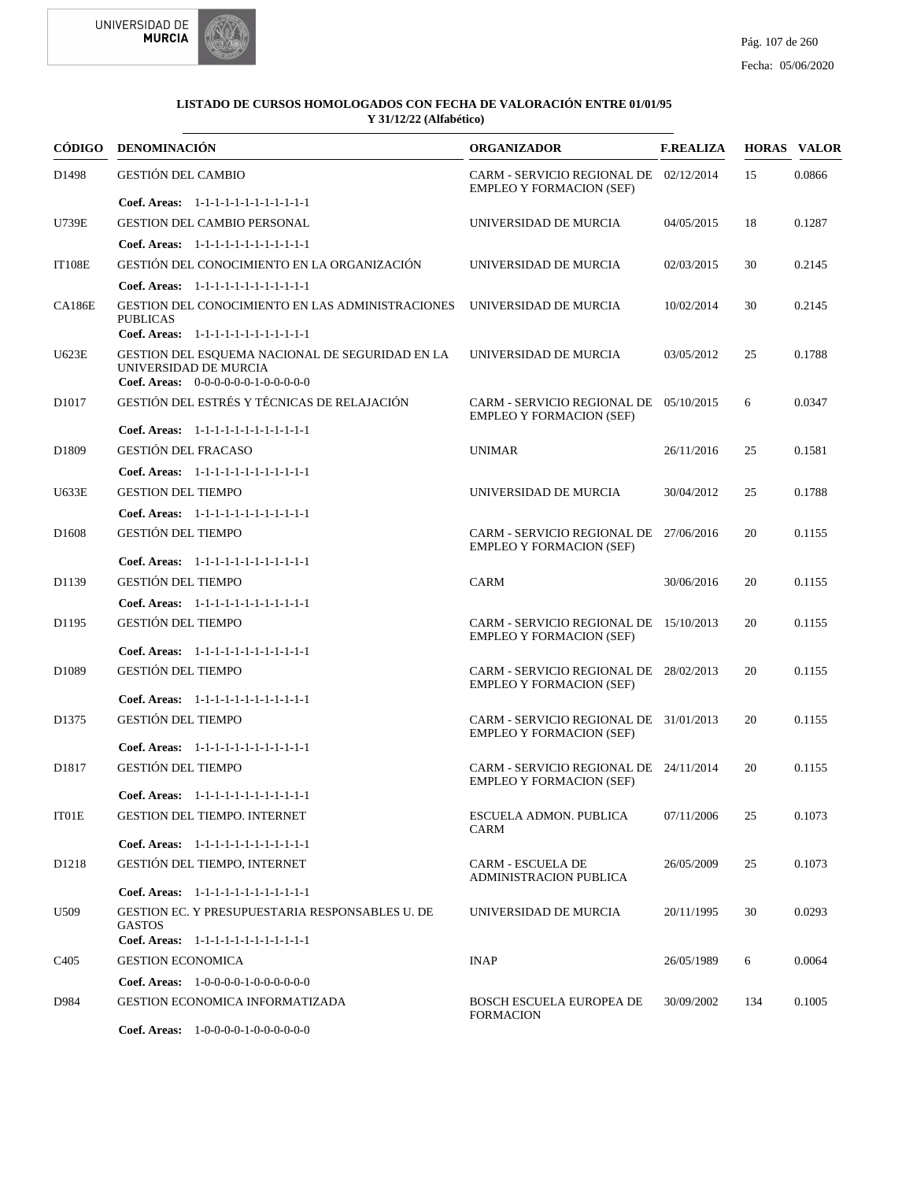



|                   | CÓDIGO DENOMINACIÓN                                                                                              | <b>ORGANIZADOR</b>                                                        | <b>F.REALIZA</b> |     | <b>HORAS VALOR</b> |
|-------------------|------------------------------------------------------------------------------------------------------------------|---------------------------------------------------------------------------|------------------|-----|--------------------|
| D <sub>1498</sub> | <b>GESTIÓN DEL CAMBIO</b>                                                                                        | CARM - SERVICIO REGIONAL DE 02/12/2014<br><b>EMPLEO Y FORMACION (SEF)</b> |                  | 15  | 0.0866             |
|                   | Coef. Areas: 1-1-1-1-1-1-1-1-1-1-1-1-1                                                                           |                                                                           |                  |     |                    |
| <b>U739E</b>      | <b>GESTION DEL CAMBIO PERSONAL</b>                                                                               | UNIVERSIDAD DE MURCIA                                                     | 04/05/2015       | 18  | 0.1287             |
|                   | Coef. Areas: $1-1-1-1-1-1-1-1-1-1-1$                                                                             |                                                                           |                  |     |                    |
| <b>IT108E</b>     | GESTIÓN DEL CONOCIMIENTO EN LA ORGANIZACIÓN                                                                      | UNIVERSIDAD DE MURCIA                                                     | 02/03/2015       | 30  | 0.2145             |
|                   | Coef. Areas: 1-1-1-1-1-1-1-1-1-1-1-1-1                                                                           |                                                                           |                  |     |                    |
| <b>CA186E</b>     | GESTION DEL CONOCIMIENTO EN LAS ADMINISTRACIONES<br><b>PUBLICAS</b>                                              | UNIVERSIDAD DE MURCIA                                                     | 10/02/2014       | 30  | 0.2145             |
|                   | Coef. Areas: 1-1-1-1-1-1-1-1-1-1-1-1-1                                                                           |                                                                           |                  |     |                    |
| U623E             | GESTION DEL ESQUEMA NACIONAL DE SEGURIDAD EN LA<br>UNIVERSIDAD DE MURCIA<br>Coef. Areas: 0-0-0-0-0-0-1-0-0-0-0-0 | UNIVERSIDAD DE MURCIA                                                     | 03/05/2012       | 25  | 0.1788             |
| D <sub>1017</sub> | GESTIÓN DEL ESTRÉS Y TÉCNICAS DE RELAJACIÓN                                                                      | CARM - SERVICIO REGIONAL DE 05/10/2015<br><b>EMPLEO Y FORMACION (SEF)</b> |                  | 6   | 0.0347             |
|                   | Coef. Areas: 1-1-1-1-1-1-1-1-1-1-1-1-1                                                                           |                                                                           |                  |     |                    |
| D1809             | <b>GESTIÓN DEL FRACASO</b>                                                                                       | <b>UNIMAR</b>                                                             | 26/11/2016       | 25  | 0.1581             |
|                   | Coef. Areas: 1-1-1-1-1-1-1-1-1-1-1-1-1                                                                           |                                                                           |                  |     |                    |
| <b>U633E</b>      | <b>GESTION DEL TIEMPO</b>                                                                                        | UNIVERSIDAD DE MURCIA                                                     | 30/04/2012       | 25  | 0.1788             |
|                   | Coef. Areas: 1-1-1-1-1-1-1-1-1-1-1-1-1                                                                           |                                                                           |                  |     |                    |
| D <sub>1608</sub> | <b>GESTIÓN DEL TIEMPO</b>                                                                                        | CARM - SERVICIO REGIONAL DE 27/06/2016<br><b>EMPLEO Y FORMACION (SEF)</b> |                  | 20  | 0.1155             |
|                   | Coef. Areas: 1-1-1-1-1-1-1-1-1-1-1-1-1                                                                           |                                                                           |                  |     |                    |
| D1139             | <b>GESTIÓN DEL TIEMPO</b>                                                                                        | CARM                                                                      | 30/06/2016       | 20  | 0.1155             |
|                   | Coef. Areas: 1-1-1-1-1-1-1-1-1-1-1-1-1                                                                           |                                                                           |                  |     |                    |
| D1195             | <b>GESTIÓN DEL TIEMPO</b>                                                                                        | CARM - SERVICIO REGIONAL DE 15/10/2013<br><b>EMPLEO Y FORMACION (SEF)</b> |                  | 20  | 0.1155             |
|                   | Coef. Areas: 1-1-1-1-1-1-1-1-1-1-1-1-1                                                                           |                                                                           |                  |     |                    |
| D <sub>1089</sub> | <b>GESTIÓN DEL TIEMPO</b>                                                                                        | CARM - SERVICIO REGIONAL DE 28/02/2013<br><b>EMPLEO Y FORMACION (SEF)</b> |                  | 20  | 0.1155             |
|                   | Coef. Areas: 1-1-1-1-1-1-1-1-1-1-1-1-1                                                                           |                                                                           |                  |     |                    |
| D <sub>1375</sub> | <b>GESTIÓN DEL TIEMPO</b>                                                                                        | CARM - SERVICIO REGIONAL DE 31/01/2013<br><b>EMPLEO Y FORMACION (SEF)</b> |                  | 20  | 0.1155             |
|                   | Coef. Areas: 1-1-1-1-1-1-1-1-1-1-1-1-1                                                                           |                                                                           |                  |     |                    |
| D1817             | <b>GESTIÓN DEL TIEMPO</b>                                                                                        | CARM - SERVICIO REGIONAL DE 24/11/2014<br><b>EMPLEO Y FORMACION (SEF)</b> |                  | 20  | 0.1155             |
|                   | Coef. Areas: 1-1-1-1-1-1-1-1-1-1-1-1-1                                                                           |                                                                           |                  |     |                    |
| IT01E             | <b>GESTION DEL TIEMPO. INTERNET</b>                                                                              | <b>ESCUELA ADMON. PUBLICA</b><br><b>CARM</b>                              | 07/11/2006       | 25  | 0.1073             |
|                   | Coef. Areas: 1-1-1-1-1-1-1-1-1-1-1-1-1                                                                           |                                                                           |                  |     |                    |
| D <sub>1218</sub> | GESTIÓN DEL TIEMPO, INTERNET                                                                                     | CARM - ESCUELA DE<br><b>ADMINISTRACION PUBLICA</b>                        | 26/05/2009       | 25  | 0.1073             |
|                   | Coef. Areas: 1-1-1-1-1-1-1-1-1-1-1-1-1                                                                           |                                                                           |                  |     |                    |
| U509              | GESTION EC. Y PRESUPUESTARIA RESPONSABLES U. DE<br><b>GASTOS</b><br>Coef. Areas: 1-1-1-1-1-1-1-1-1-1-1-1-1       | UNIVERSIDAD DE MURCIA                                                     | 20/11/1995       | 30  | 0.0293             |
| C <sub>4</sub> 05 | <b>GESTION ECONOMICA</b>                                                                                         | <b>INAP</b>                                                               | 26/05/1989       | 6   | 0.0064             |
|                   | Coef. Areas: $1-0-0-0-1-0-0-0-0-0-0$                                                                             |                                                                           |                  |     |                    |
| D984              | GESTION ECONOMICA INFORMATIZADA                                                                                  | <b>BOSCH ESCUELA EUROPEA DE</b>                                           | 30/09/2002       | 134 | 0.1005             |
|                   | Coef. Areas: $1-0-0-0-1-0-0-0-0-0-0$                                                                             | <b>FORMACION</b>                                                          |                  |     |                    |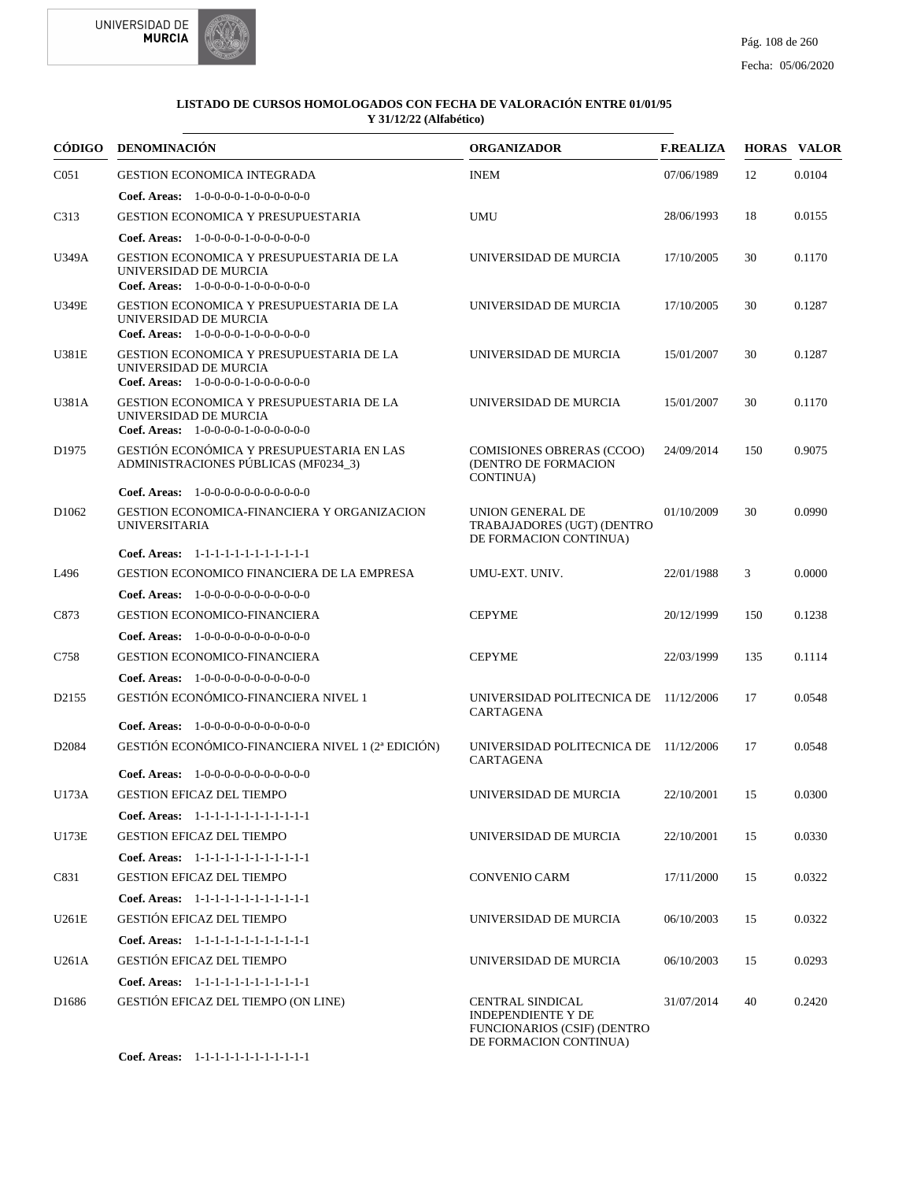



|                   | CÓDIGO DENOMINACIÓN                                                                                                     | <b>ORGANIZADOR</b>                                                                                            | <b>F.REALIZA</b> |     | <b>HORAS VALOR</b> |
|-------------------|-------------------------------------------------------------------------------------------------------------------------|---------------------------------------------------------------------------------------------------------------|------------------|-----|--------------------|
| C <sub>051</sub>  | <b>GESTION ECONOMICA INTEGRADA</b>                                                                                      | <b>INEM</b>                                                                                                   | 07/06/1989       | 12  | 0.0104             |
|                   | <b>Coef. Areas:</b> $1-0-0-0-1-0-0-0-0-0-0$                                                                             |                                                                                                               |                  |     |                    |
| C313              | <b>GESTION ECONOMICA Y PRESUPUESTARIA</b>                                                                               | UMU                                                                                                           | 28/06/1993       | 18  | 0.0155             |
|                   | <b>Coef. Areas:</b> $1-0-0-0-1-0-0-0-0-0-0$                                                                             |                                                                                                               |                  |     |                    |
| U349A             | <b>GESTION ECONOMICA Y PRESUPUESTARIA DE LA</b><br>UNIVERSIDAD DE MURCIA<br>Coef. Areas: $1-0-0-0-1-0-0-0-0-0-0$        | UNIVERSIDAD DE MURCIA                                                                                         | 17/10/2005       | 30  | 0.1170             |
| <b>U349E</b>      | <b>GESTION ECONOMICA Y PRESUPUESTARIA DE LA</b><br>UNIVERSIDAD DE MURCIA<br><b>Coef. Areas:</b> $1-0-0-0-1-0-0-0-0-0-0$ | UNIVERSIDAD DE MURCIA                                                                                         | 17/10/2005       | 30  | 0.1287             |
| U381E             | GESTION ECONOMICA Y PRESUPUESTARIA DE LA<br>UNIVERSIDAD DE MURCIA<br><b>Coef. Areas:</b> $1-0-0-0-1-0-0-0-0-0-0$        | UNIVERSIDAD DE MURCIA                                                                                         | 15/01/2007       | 30  | 0.1287             |
| U381A             | GESTION ECONOMICA Y PRESUPUESTARIA DE LA<br>UNIVERSIDAD DE MURCIA<br>Coef. Areas: $1-0-0-0-1-0-0-0-0-0-0$               | UNIVERSIDAD DE MURCIA                                                                                         | 15/01/2007       | 30  | 0.1170             |
| D <sub>1975</sub> | GESTIÓN ECONÓMICA Y PRESUPUESTARIA EN LAS<br>ADMINISTRACIONES PÚBLICAS (MF0234_3)                                       | <b>COMISIONES OBRERAS (CCOO)</b><br>(DENTRO DE FORMACION<br><b>CONTINUA</b> )                                 | 24/09/2014       | 150 | 0.9075             |
|                   | <b>Coef. Areas:</b> $1-0-0-0-0-0-0-0-0-0-0-0$                                                                           |                                                                                                               |                  |     |                    |
| D <sub>1062</sub> | GESTION ECONOMICA-FINANCIERA Y ORGANIZACION<br><b>UNIVERSITARIA</b>                                                     | UNION GENERAL DE<br>TRABAJADORES (UGT) (DENTRO<br>DE FORMACION CONTINUA)                                      | 01/10/2009       | 30  | 0.0990             |
|                   | Coef. Areas: $1-1-1-1-1-1-1-1-1-1-1$                                                                                    |                                                                                                               |                  |     |                    |
| L496              | GESTION ECONOMICO FINANCIERA DE LA EMPRESA                                                                              | UMU-EXT. UNIV.                                                                                                | 22/01/1988       | 3   | 0.0000             |
|                   | <b>Coef. Areas:</b> $1-0-0-0-0-0-0-0-0-0-0$                                                                             |                                                                                                               |                  |     |                    |
| C873              | <b>GESTION ECONOMICO-FINANCIERA</b>                                                                                     | <b>CEPYME</b>                                                                                                 | 20/12/1999       | 150 | 0.1238             |
| C758              | <b>Coef. Areas:</b> $1-0-0-0-0-0-0-0-0-0-0$<br><b>GESTION ECONOMICO-FINANCIERA</b>                                      | <b>CEPYME</b>                                                                                                 | 22/03/1999       | 135 | 0.1114             |
|                   | <b>Coef. Areas:</b> $1-0-0-0-0-0-0-0-0-0-0$                                                                             |                                                                                                               |                  |     |                    |
| D <sub>2155</sub> | GESTIÓN ECONÓMICO-FINANCIERA NIVEL 1                                                                                    | UNIVERSIDAD POLITECNICA DE 11/12/2006<br>CARTAGENA                                                            |                  | 17  | 0.0548             |
|                   | <b>Coef. Areas:</b> $1-0-0-0-0-0-0-0-0-0-0-0$                                                                           |                                                                                                               |                  |     |                    |
| D <sub>2084</sub> | GESTIÓN ECONÓMICO-FINANCIERA NIVEL 1 (2ª EDICIÓN)                                                                       | UNIVERSIDAD POLITECNICA DE 11/12/2006<br>CARTAGENA                                                            |                  | 17  | 0.0548             |
|                   | <b>Coef. Areas:</b> $1-0-0-0-0-0-0-0-0-0-0$                                                                             |                                                                                                               |                  |     |                    |
| U173A             | <b>GESTION EFICAZ DEL TIEMPO</b>                                                                                        | UNIVERSIDAD DE MURCIA                                                                                         | 22/10/2001       | 15  | 0.0300             |
|                   | Coef. Areas: 1-1-1-1-1-1-1-1-1-1-1-1-1                                                                                  |                                                                                                               |                  |     |                    |
| U173E             | <b>GESTION EFICAZ DEL TIEMPO</b>                                                                                        | UNIVERSIDAD DE MURCIA                                                                                         | 22/10/2001       | 15  | 0.0330             |
|                   | Coef. Areas: 1-1-1-1-1-1-1-1-1-1-1-1-1                                                                                  |                                                                                                               |                  |     |                    |
| C831              | <b>GESTION EFICAZ DEL TIEMPO</b>                                                                                        | <b>CONVENIO CARM</b>                                                                                          | 17/11/2000       | 15  | 0.0322             |
|                   | Coef. Areas: 1-1-1-1-1-1-1-1-1-1-1-1-1                                                                                  |                                                                                                               |                  |     |                    |
| U261E             | <b>GESTIÓN EFICAZ DEL TIEMPO</b>                                                                                        | UNIVERSIDAD DE MURCIA                                                                                         | 06/10/2003       | 15  | 0.0322             |
|                   | Coef. Areas: 1-1-1-1-1-1-1-1-1-1-1-1-1                                                                                  |                                                                                                               |                  |     |                    |
| U261A             | <b>GESTIÓN EFICAZ DEL TIEMPO</b>                                                                                        | UNIVERSIDAD DE MURCIA                                                                                         | 06/10/2003       | 15  | 0.0293             |
|                   | Coef. Areas: 1-1-1-1-1-1-1-1-1-1-1-1-1                                                                                  |                                                                                                               |                  |     |                    |
| D <sub>1686</sub> | GESTIÓN EFICAZ DEL TIEMPO (ON LINE)                                                                                     | CENTRAL SINDICAL<br><b>INDEPENDIENTE Y DE</b><br><b>FUNCIONARIOS (CSIF) (DENTRO</b><br>DE FORMACION CONTINUA) | 31/07/2014       | 40  | 0.2420             |

1-1-1-1-1-1-1-1-1-1-1-1 **Coef. Areas:**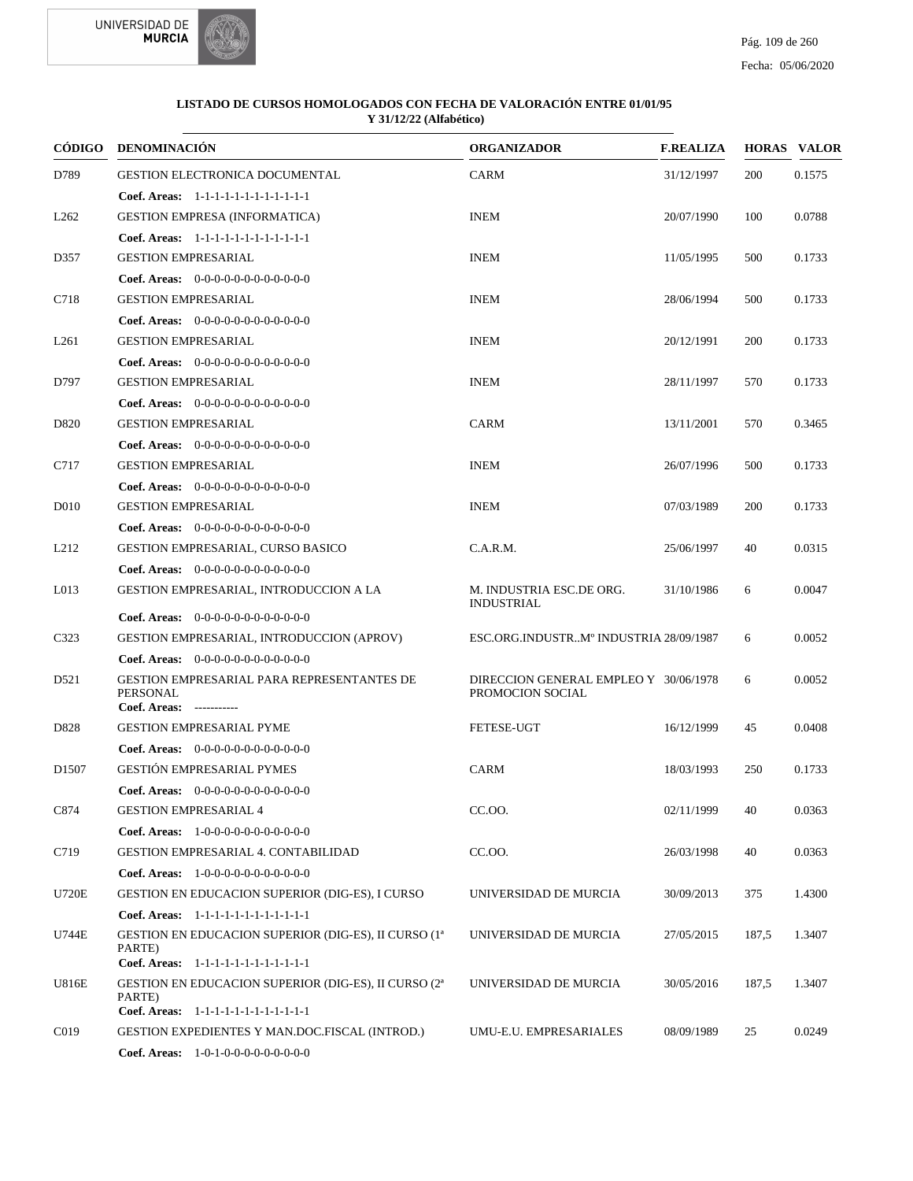

| CÓDIGO            | <b>DENOMINACIÓN</b>                                                                                                  | <b>ORGANIZADOR</b>                                        | <b>F.REALIZA</b> |       | <b>HORAS VALOR</b> |
|-------------------|----------------------------------------------------------------------------------------------------------------------|-----------------------------------------------------------|------------------|-------|--------------------|
| D789              | <b>GESTION ELECTRONICA DOCUMENTAL</b>                                                                                | <b>CARM</b>                                               | 31/12/1997       | 200   | 0.1575             |
|                   | Coef. Areas: 1-1-1-1-1-1-1-1-1-1-1-1-1                                                                               |                                                           |                  |       |                    |
| L <sub>262</sub>  | <b>GESTION EMPRESA (INFORMATICA)</b>                                                                                 | <b>INEM</b>                                               | 20/07/1990       | 100   | 0.0788             |
|                   | Coef. Areas: 1-1-1-1-1-1-1-1-1-1-1-1-1                                                                               |                                                           |                  |       |                    |
| D357              | <b>GESTION EMPRESARIAL</b>                                                                                           | <b>INEM</b>                                               | 11/05/1995       | 500   | 0.1733             |
|                   | <b>Coef. Areas:</b> $0-0-0-0-0-0-0-0-0-0-0-0$                                                                        |                                                           |                  |       |                    |
| C718              | <b>GESTION EMPRESARIAL</b>                                                                                           | <b>INEM</b>                                               | 28/06/1994       | 500   | 0.1733             |
|                   | <b>Coef. Areas:</b> $0-0-0-0-0-0-0-0-0-0-0-0$                                                                        |                                                           |                  |       |                    |
| L <sub>261</sub>  | <b>GESTION EMPRESARIAL</b>                                                                                           | <b>INEM</b>                                               | 20/12/1991       | 200   | 0.1733             |
|                   | Coef. Areas: $0-0-0-0-0-0-0-0-0-0-0$                                                                                 |                                                           |                  |       |                    |
| D797              | <b>GESTION EMPRESARIAL</b>                                                                                           | <b>INEM</b>                                               | 28/11/1997       | 570   | 0.1733             |
|                   | Coef. Areas: 0-0-0-0-0-0-0-0-0-0-0-0-0                                                                               |                                                           |                  |       |                    |
| D820              | <b>GESTION EMPRESARIAL</b>                                                                                           | <b>CARM</b>                                               | 13/11/2001       | 570   | 0.3465             |
|                   | Coef. Areas: 0-0-0-0-0-0-0-0-0-0-0-0-0                                                                               |                                                           |                  |       |                    |
| C717              | <b>GESTION EMPRESARIAL</b>                                                                                           | <b>INEM</b>                                               | 26/07/1996       | 500   | 0.1733             |
|                   | Coef. Areas: $0-0-0-0-0-0-0-0-0-0-0$                                                                                 |                                                           |                  |       |                    |
| D010              | <b>GESTION EMPRESARIAL</b>                                                                                           | <b>INEM</b>                                               | 07/03/1989       | 200   | 0.1733             |
|                   | <b>Coef. Areas:</b> $0-0-0-0-0-0-0-0-0-0-0$                                                                          |                                                           |                  |       |                    |
| L <sub>212</sub>  | GESTION EMPRESARIAL, CURSO BASICO                                                                                    | C.A.R.M.                                                  | 25/06/1997       | 40    | 0.0315             |
|                   | Coef. Areas: $0-0-0-0-0-0-0-0-0-0-0$                                                                                 |                                                           |                  |       |                    |
| L013              | GESTION EMPRESARIAL, INTRODUCCION A LA                                                                               | M. INDUSTRIA ESC.DE ORG.<br><b>INDUSTRIAL</b>             | 31/10/1986       | 6     | 0.0047             |
|                   | <b>Coef. Areas:</b> $0-0-0-0-0-0-0-0-0-0-0-0$                                                                        |                                                           |                  |       |                    |
| C323              | <b>GESTION EMPRESARIAL, INTRODUCCION (APROV)</b>                                                                     | ESC.ORG.INDUSTRMº INDUSTRIA 28/09/1987                    |                  | 6     | 0.0052             |
|                   | Coef. Areas: $0-0-0-0-0-0-0-0-0-0-0$                                                                                 |                                                           |                  |       |                    |
| D521              | GESTION EMPRESARIAL PARA REPRESENTANTES DE<br><b>PERSONAL</b><br>Coef. Areas: -----------                            | DIRECCION GENERAL EMPLEO Y 30/06/1978<br>PROMOCION SOCIAL |                  | 6     | 0.0052             |
| D828              | <b>GESTION EMPRESARIAL PYME</b>                                                                                      | <b>FETESE-UGT</b>                                         | 16/12/1999       | 45    | 0.0408             |
|                   | Coef. Areas: $0-0-0-0-0-0-0-0-0-0-0$                                                                                 |                                                           |                  |       |                    |
| D <sub>1507</sub> | <b>GESTIÓN EMPRESARIAL PYMES</b>                                                                                     | CARM                                                      | 18/03/1993       | 250   | 0.1733             |
|                   | Coef. Areas: $0-0-0-0-0-0-0-0-0-0-0$                                                                                 |                                                           |                  |       |                    |
| C874              | <b>GESTION EMPRESARIAL 4</b>                                                                                         | CC.OO.                                                    | 02/11/1999       | 40    | 0.0363             |
|                   | <b>Coef. Areas:</b> $1-0-0-0-0-0-0-0-0-0-0$                                                                          |                                                           |                  |       |                    |
| C719              | <b>GESTION EMPRESARIAL 4. CONTABILIDAD</b>                                                                           | CC.OO.                                                    | 26/03/1998       | 40    | 0.0363             |
|                   | <b>Coef. Areas:</b> $1-0-0-0-0-0-0-0-0-0-0-0$                                                                        |                                                           |                  |       |                    |
| <b>U720E</b>      | <b>GESTION EN EDUCACION SUPERIOR (DIG-ES), I CURSO</b>                                                               | UNIVERSIDAD DE MURCIA                                     | 30/09/2013       | 375   | 1.4300             |
|                   | Coef. Areas: 1-1-1-1-1-1-1-1-1-1-1-1-1                                                                               |                                                           |                  |       |                    |
| U744E             | GESTION EN EDUCACION SUPERIOR (DIG-ES), II CURSO (1 <sup>ª</sup><br>PARTE)                                           | UNIVERSIDAD DE MURCIA                                     | 27/05/2015       | 187,5 | 1.3407             |
|                   | Coef. Areas: 1-1-1-1-1-1-1-1-1-1-1-1-1                                                                               |                                                           |                  |       |                    |
| <b>U816E</b>      | GESTION EN EDUCACION SUPERIOR (DIG-ES), II CURSO (2 <sup>a</sup><br>PARTE)<br>Coef. Areas: 1-1-1-1-1-1-1-1-1-1-1-1-1 | UNIVERSIDAD DE MURCIA                                     | 30/05/2016       | 187,5 | 1.3407             |
| C <sub>0</sub> 19 | <b>GESTION EXPEDIENTES Y MAN.DOC.FISCAL (INTROD.)</b>                                                                | UMU-E.U. EMPRESARIALES                                    | 08/09/1989       | 25    | 0.0249             |
|                   | <b>Coef. Areas:</b> $1-0-1-0-0-0-0-0-0-0-0$                                                                          |                                                           |                  |       |                    |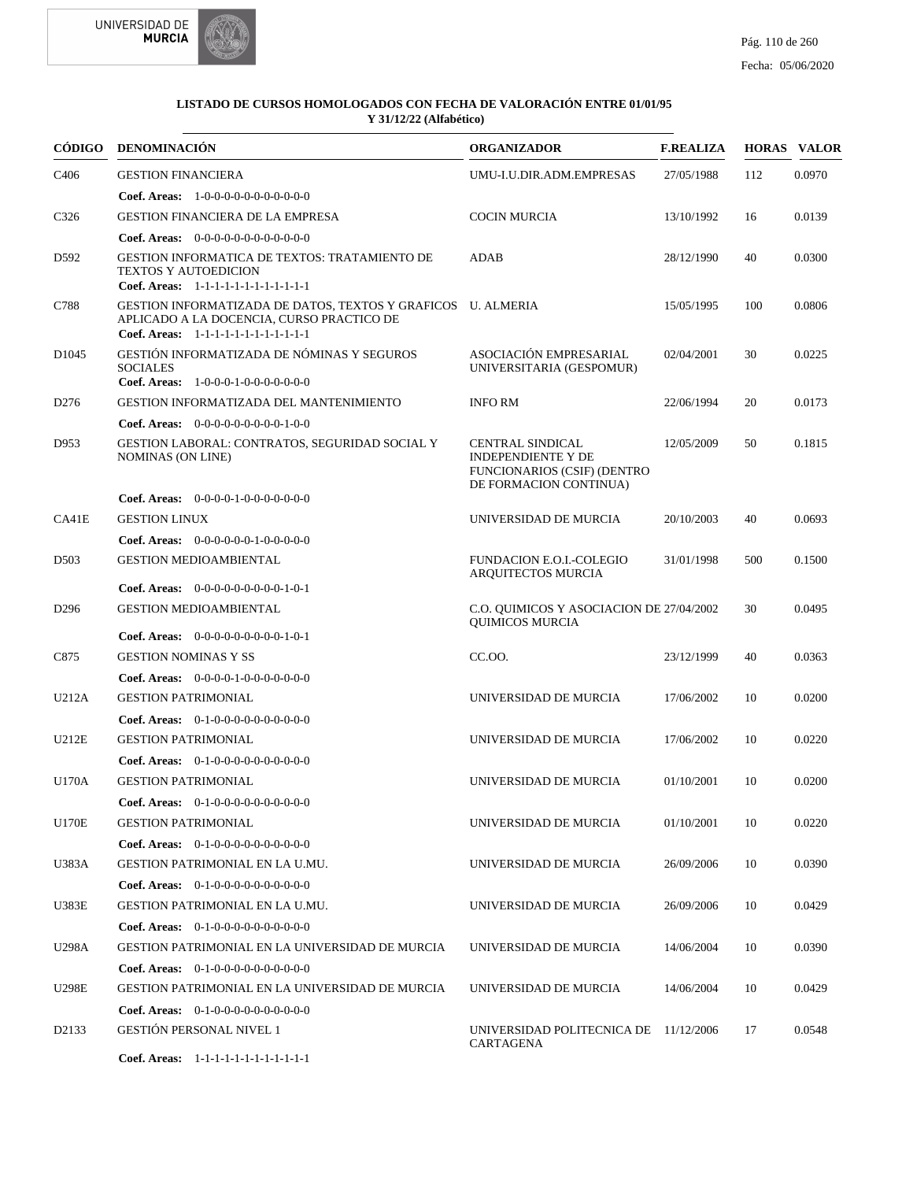

| CÓDIGO            | <b>DENOMINACIÓN</b>                                                                                                                                 | <b>ORGANIZADOR</b>                                                                                                   | <b>F.REALIZA</b> |     | <b>HORAS VALOR</b> |
|-------------------|-----------------------------------------------------------------------------------------------------------------------------------------------------|----------------------------------------------------------------------------------------------------------------------|------------------|-----|--------------------|
| C <sub>4</sub> 06 | <b>GESTION FINANCIERA</b>                                                                                                                           | UMU-I.U.DIR.ADM.EMPRESAS                                                                                             | 27/05/1988       | 112 | 0.0970             |
|                   | <b>Coef. Areas:</b> $1-0-0-0-0-0-0-0-0-0-0-0$                                                                                                       |                                                                                                                      |                  |     |                    |
| C326              | <b>GESTION FINANCIERA DE LA EMPRESA</b>                                                                                                             | <b>COCIN MURCIA</b>                                                                                                  | 13/10/1992       | 16  | 0.0139             |
|                   | <b>Coef. Areas:</b> $0-0-0-0-0-0-0-0-0-0-0-0$                                                                                                       |                                                                                                                      |                  |     |                    |
| D592              | <b>GESTION INFORMATICA DE TEXTOS: TRATAMIENTO DE</b><br>TEXTOS Y AUTOEDICION<br>Coef. Areas: 1-1-1-1-1-1-1-1-1-1-1-1-1                              | ADAB                                                                                                                 | 28/12/1990       | 40  | 0.0300             |
| C788              | GESTION INFORMATIZADA DE DATOS, TEXTOS Y GRAFICOS U. ALMERIA<br>APLICADO A LA DOCENCIA, CURSO PRACTICO DE<br>Coef. Areas: 1-1-1-1-1-1-1-1-1-1-1-1-1 |                                                                                                                      | 15/05/1995       | 100 | 0.0806             |
| D <sub>1045</sub> | GESTIÓN INFORMATIZADA DE NÓMINAS Y SEGUROS<br><b>SOCIALES</b><br>Coef. Areas: 1-0-0-0-1-0-0-0-0-0-0-0                                               | ASOCIACIÓN EMPRESARIAL<br>UNIVERSITARIA (GESPOMUR)                                                                   | 02/04/2001       | 30  | 0.0225             |
| D <sub>276</sub>  | GESTION INFORMATIZADA DEL MANTENIMIENTO                                                                                                             | <b>INFO RM</b>                                                                                                       | 22/06/1994       | 20  | 0.0173             |
|                   | Coef. Areas: $0-0-0-0-0-0-0-0-1-0-0$                                                                                                                |                                                                                                                      |                  |     |                    |
| D953              | <b>GESTION LABORAL: CONTRATOS, SEGURIDAD SOCIAL Y</b><br><b>NOMINAS (ON LINE)</b>                                                                   | <b>CENTRAL SINDICAL</b><br><b>INDEPENDIENTE Y DE</b><br><b>FUNCIONARIOS (CSIF) (DENTRO</b><br>DE FORMACION CONTINUA) | 12/05/2009       | 50  | 0.1815             |
|                   | Coef. Areas: $0-0-0-0-1-0-0-0-0-0-0$                                                                                                                |                                                                                                                      |                  |     |                    |
| CA41E             | <b>GESTION LINUX</b>                                                                                                                                | UNIVERSIDAD DE MURCIA                                                                                                | 20/10/2003       | 40  | 0.0693             |
|                   | Coef. Areas: $0-0-0-0-0-1-0-0-0-0-0$                                                                                                                |                                                                                                                      |                  |     |                    |
| D <sub>503</sub>  | <b>GESTION MEDIOAMBIENTAL</b>                                                                                                                       | <b>FUNDACION E.O.I.-COLEGIO</b><br>ARQUITECTOS MURCIA                                                                | 31/01/1998       | 500 | 0.1500             |
|                   | <b>Coef. Areas:</b> $0-0-0-0-0-0-0-0-1-0-1$                                                                                                         |                                                                                                                      |                  |     |                    |
| D <sub>296</sub>  | <b>GESTION MEDIOAMBIENTAL</b>                                                                                                                       | C.O. QUIMICOS Y ASOCIACION DE 27/04/2002<br><b>QUIMICOS MURCIA</b>                                                   |                  | 30  | 0.0495             |
|                   | <b>Coef. Areas:</b> $0-0-0-0-0-0-0-0-1-0-1$                                                                                                         |                                                                                                                      |                  |     |                    |
| C875              | <b>GESTION NOMINAS Y SS</b>                                                                                                                         | CC.OO.                                                                                                               | 23/12/1999       | 40  | 0.0363             |
|                   | <b>Coef. Areas:</b> $0-0-0-0-1-0-0-0-0-0-0-0$                                                                                                       |                                                                                                                      |                  |     |                    |
| U212A             | <b>GESTION PATRIMONIAL</b>                                                                                                                          | UNIVERSIDAD DE MURCIA                                                                                                | 17/06/2002       | 10  | 0.0200             |
|                   | Coef. Areas: $0-1-0-0-0-0-0-0-0-0-0$                                                                                                                |                                                                                                                      |                  |     |                    |
| U212E             | <b>GESTION PATRIMONIAL</b>                                                                                                                          | UNIVERSIDAD DE MURCIA                                                                                                | 17/06/2002       | 10  | 0.0220             |
|                   | <b>Coef. Areas:</b> $0-1-0-0-0-0-0-0-0-0-0$                                                                                                         |                                                                                                                      |                  |     |                    |
| U170A             | <b>GESTION PATRIMONIAL</b>                                                                                                                          | UNIVERSIDAD DE MURCIA                                                                                                | 01/10/2001       | 10  | 0.0200             |
|                   | Coef. Areas: $0-1-0-0-0-0-0-0-0-0-0$                                                                                                                |                                                                                                                      |                  |     |                    |
| <b>U170E</b>      | <b>GESTION PATRIMONIAL</b>                                                                                                                          | UNIVERSIDAD DE MURCIA                                                                                                | 01/10/2001       | 10  | 0.0220             |
|                   | <b>Coef. Areas:</b> $0-1-0-0-0-0-0-0-0-0-0$                                                                                                         |                                                                                                                      |                  |     |                    |
| U383A             | GESTION PATRIMONIAL EN LA U.MU.                                                                                                                     | UNIVERSIDAD DE MURCIA                                                                                                | 26/09/2006       | 10  | 0.0390             |
|                   | <b>Coef. Areas:</b> $0-1-0-0-0-0-0-0-0-0-0-0$                                                                                                       |                                                                                                                      |                  |     |                    |
| U383E             | GESTION PATRIMONIAL EN LA U.MU.                                                                                                                     | UNIVERSIDAD DE MURCIA                                                                                                | 26/09/2006       | 10  | 0.0429             |
|                   | Coef. Areas: $0-1-0-0-0-0-0-0-0-0-0$                                                                                                                |                                                                                                                      |                  |     |                    |
| U298A             | GESTION PATRIMONIAL EN LA UNIVERSIDAD DE MURCIA                                                                                                     | UNIVERSIDAD DE MURCIA                                                                                                | 14/06/2004       | 10  | 0.0390             |
|                   | <b>Coef. Areas:</b> $0-1-0-0-0-0-0-0-0-0-0$                                                                                                         |                                                                                                                      |                  |     |                    |
| <b>U298E</b>      | GESTION PATRIMONIAL EN LA UNIVERSIDAD DE MURCIA                                                                                                     | UNIVERSIDAD DE MURCIA                                                                                                | 14/06/2004       | 10  | 0.0429             |
|                   | <b>Coef. Areas:</b> $0-1-0-0-0-0-0-0-0-0-0-0$                                                                                                       |                                                                                                                      |                  |     |                    |
| D2133             | <b>GESTIÓN PERSONAL NIVEL 1</b>                                                                                                                     | UNIVERSIDAD POLITECNICA DE 11/12/2006<br>CARTAGENA                                                                   |                  | 17  | 0.0548             |
|                   | Coef. Areas: $1-1-1-1-1-1-1-1-1-1-1$                                                                                                                |                                                                                                                      |                  |     |                    |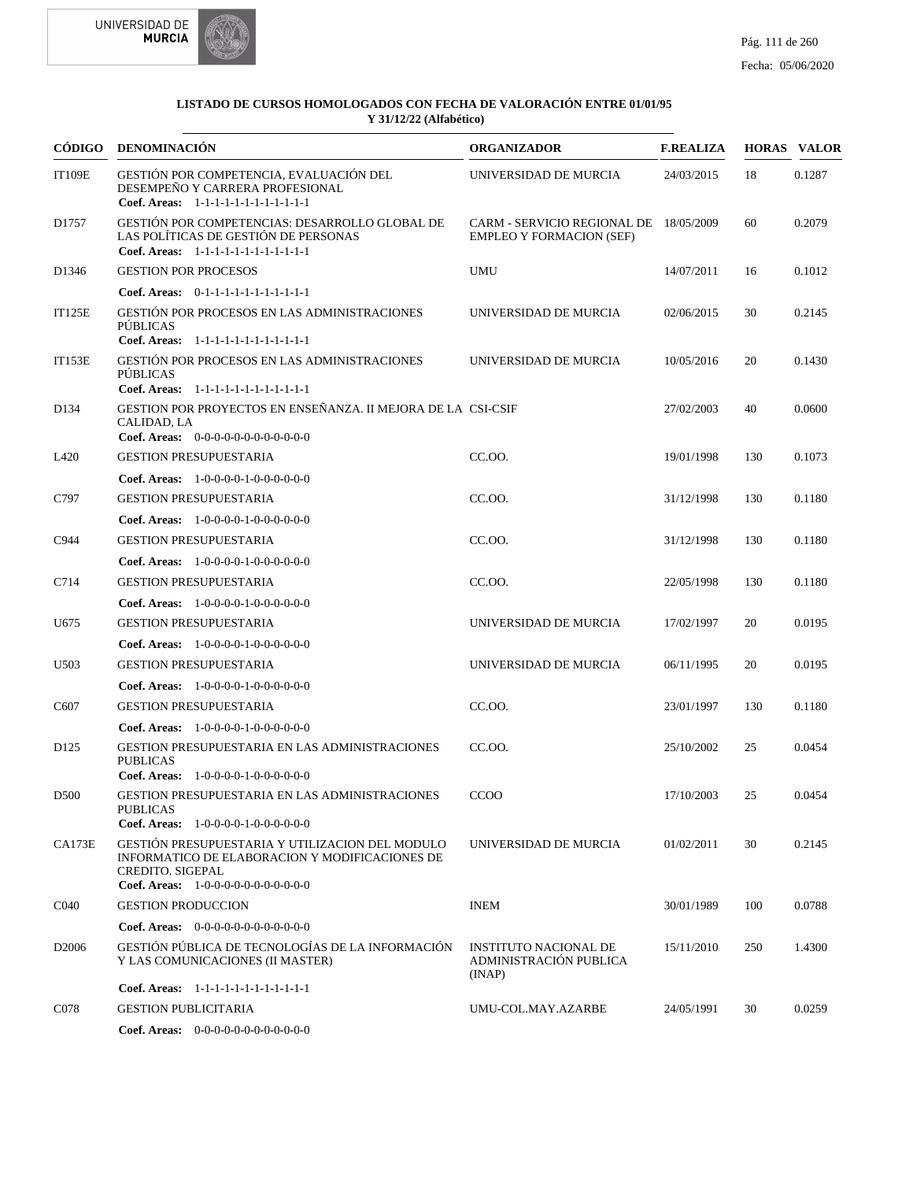



| <b>CÓDIGO</b>     | <b>DENOMINACIÓN</b>                                                                                                                                                                                                          | <b>ORGANIZADOR</b>                                                        | <b>F.REALIZA</b> |     | <b>HORAS VALOR</b> |
|-------------------|------------------------------------------------------------------------------------------------------------------------------------------------------------------------------------------------------------------------------|---------------------------------------------------------------------------|------------------|-----|--------------------|
| <b>IT109E</b>     | GESTIÓN POR COMPETENCIA, EVALUACIÓN DEL<br>DESEMPEÑO Y CARRERA PROFESIONAL<br>Coef. Areas: 1-1-1-1-1-1-1-1-1-1-1-1-1                                                                                                         | UNIVERSIDAD DE MURCIA                                                     | 24/03/2015       | 18  | 0.1287             |
| D1757             | GESTIÓN POR COMPETENCIAS: DESARROLLO GLOBAL DE<br>LAS POLÍTICAS DE GESTIÓN DE PERSONAS<br>Coef. Areas: 1-1-1-1-1-1-1-1-1-1-1-1-1                                                                                             | CARM - SERVICIO REGIONAL DE 18/05/2009<br><b>EMPLEO Y FORMACION (SEF)</b> |                  | 60  | 0.2079             |
| D <sub>1346</sub> | <b>GESTION POR PROCESOS</b>                                                                                                                                                                                                  | <b>UMU</b>                                                                | 14/07/2011       | 16  | 0.1012             |
|                   | Coef. Areas: 0-1-1-1-1-1-1-1-1-1-1-1-1                                                                                                                                                                                       |                                                                           |                  |     |                    |
| <b>IT125E</b>     | <b>GESTIÓN POR PROCESOS EN LAS ADMINISTRACIONES</b><br>PÚBLICAS<br>Coef. Areas: 1-1-1-1-1-1-1-1-1-1-1-1-1                                                                                                                    | UNIVERSIDAD DE MURCIA                                                     | 02/06/2015       | 30  | 0.2145             |
| <b>IT153E</b>     | <b>GESTIÓN POR PROCESOS EN LAS ADMINISTRACIONES</b><br>PÚBLICAS<br>Coef. Areas: 1-1-1-1-1-1-1-1-1-1-1-1-1                                                                                                                    | UNIVERSIDAD DE MURCIA                                                     | 10/05/2016       | 20  | 0.1430             |
| D134              | GESTION POR PROYECTOS EN ENSEÑANZA. II MEJORA DE LA CSI-CSIF<br>CALIDAD, LA<br>Coef. Areas: $0-0-0-0-0-0-0-0-0-0-0$                                                                                                          |                                                                           | 27/02/2003       | 40  | 0.0600             |
| L420              | <b>GESTION PRESUPUESTARIA</b>                                                                                                                                                                                                | CC.OO.                                                                    | 19/01/1998       | 130 | 0.1073             |
|                   | Coef. Areas: $1-0-0-0-1-0-0-0-0-0-0$                                                                                                                                                                                         |                                                                           |                  |     |                    |
| C797              | <b>GESTION PRESUPUESTARIA</b>                                                                                                                                                                                                | CC.OO.                                                                    | 31/12/1998       | 130 | 0.1180             |
|                   | <b>Coef. Areas:</b> $1-0-0-0-0-1-0-0-0-0-0-0$                                                                                                                                                                                |                                                                           |                  |     |                    |
| C944              | <b>GESTION PRESUPUESTARIA</b>                                                                                                                                                                                                | CC.OO.                                                                    | 31/12/1998       | 130 | 0.1180             |
|                   | Coef. Areas: 1-0-0-0-0-1-0-0-0-0-0-0                                                                                                                                                                                         |                                                                           |                  |     |                    |
| C714              | <b>GESTION PRESUPUESTARIA</b>                                                                                                                                                                                                | CC.OO.                                                                    | 22/05/1998       | 130 | 0.1180             |
|                   | <b>Coef. Areas:</b> $1-0-0-0-0-1-0-0-0-0-0-0$                                                                                                                                                                                |                                                                           |                  |     |                    |
| U675              | <b>GESTION PRESUPUESTARIA</b>                                                                                                                                                                                                | UNIVERSIDAD DE MURCIA                                                     | 17/02/1997       | 20  | 0.0195             |
|                   | <b>Coef. Areas:</b> $1-0-0-0-0-1-0-0-0-0-0-0$                                                                                                                                                                                |                                                                           |                  |     |                    |
| U503              | <b>GESTION PRESUPUESTARIA</b>                                                                                                                                                                                                | UNIVERSIDAD DE MURCIA                                                     | 06/11/1995       | 20  | 0.0195             |
|                   | <b>Coef. Areas:</b> $1-0-0-0-0-1-0-0-0-0-0-0$                                                                                                                                                                                |                                                                           |                  |     |                    |
| C607              | <b>GESTION PRESUPUESTARIA</b>                                                                                                                                                                                                | CC.OO.                                                                    | 23/01/1997       | 130 | 0.1180             |
|                   | Coef. Areas: $1-0-0-0-1-0-0-0-0-0-0$                                                                                                                                                                                         |                                                                           |                  |     |                    |
| D <sub>125</sub>  | GESTION PRESUPUESTARIA EN LAS ADMINISTRACIONES<br><b>PUBLICAS</b><br>Coef. Areas: $1-0-0-0-1-0-0-0-0-0-0$                                                                                                                    | CC.00.                                                                    | 25/10/2002       | 25  | 0.0454             |
| D <sub>500</sub>  | <b>GESTION PRESUPUESTARIA EN LAS ADMINISTRACIONES</b><br><b>PUBLICAS</b>                                                                                                                                                     | <b>CCOO</b>                                                               | 17/10/2003       | 25  | 0.0454             |
| CA173E            | <b>Coef. Areas:</b> $1-0-0-0-0-1-0-0-0-0-0-0$<br>GESTIÓN PRESUPUESTARIA Y UTILIZACION DEL MODULO<br>INFORMATICO DE ELABORACION Y MODIFICACIONES DE<br><b>CREDITO. SIGEPAL</b><br><b>Coef. Areas:</b> $1-0-0-0-0-0-0-0-0-0-0$ | UNIVERSIDAD DE MURCIA                                                     | 01/02/2011       | 30  | 0.2145             |
| C <sub>04</sub> 0 | <b>GESTION PRODUCCION</b>                                                                                                                                                                                                    | <b>INEM</b>                                                               | 30/01/1989       | 100 | 0.0788             |
|                   | Coef. Areas: $0-0-0-0-0-0-0-0-0-0-0$                                                                                                                                                                                         |                                                                           |                  |     |                    |
| D <sub>2006</sub> | GESTIÓN PÚBLICA DE TECNOLOGÍAS DE LA INFORMACIÓN<br>Y LAS COMUNICACIONES (II MASTER)                                                                                                                                         | <b>INSTITUTO NACIONAL DE</b><br>ADMINISTRACIÓN PUBLICA<br>(INAP)          | 15/11/2010       | 250 | 1.4300             |
|                   | Coef. Areas: 1-1-1-1-1-1-1-1-1-1-1-1-1                                                                                                                                                                                       |                                                                           |                  |     |                    |
| C078              | <b>GESTION PUBLICITARIA</b>                                                                                                                                                                                                  | UMU-COL.MAY.AZARBE                                                        | 24/05/1991       | 30  | 0.0259             |
|                   | Coef. Areas: $0-0-0-0-0-0-0-0-0-0-0$                                                                                                                                                                                         |                                                                           |                  |     |                    |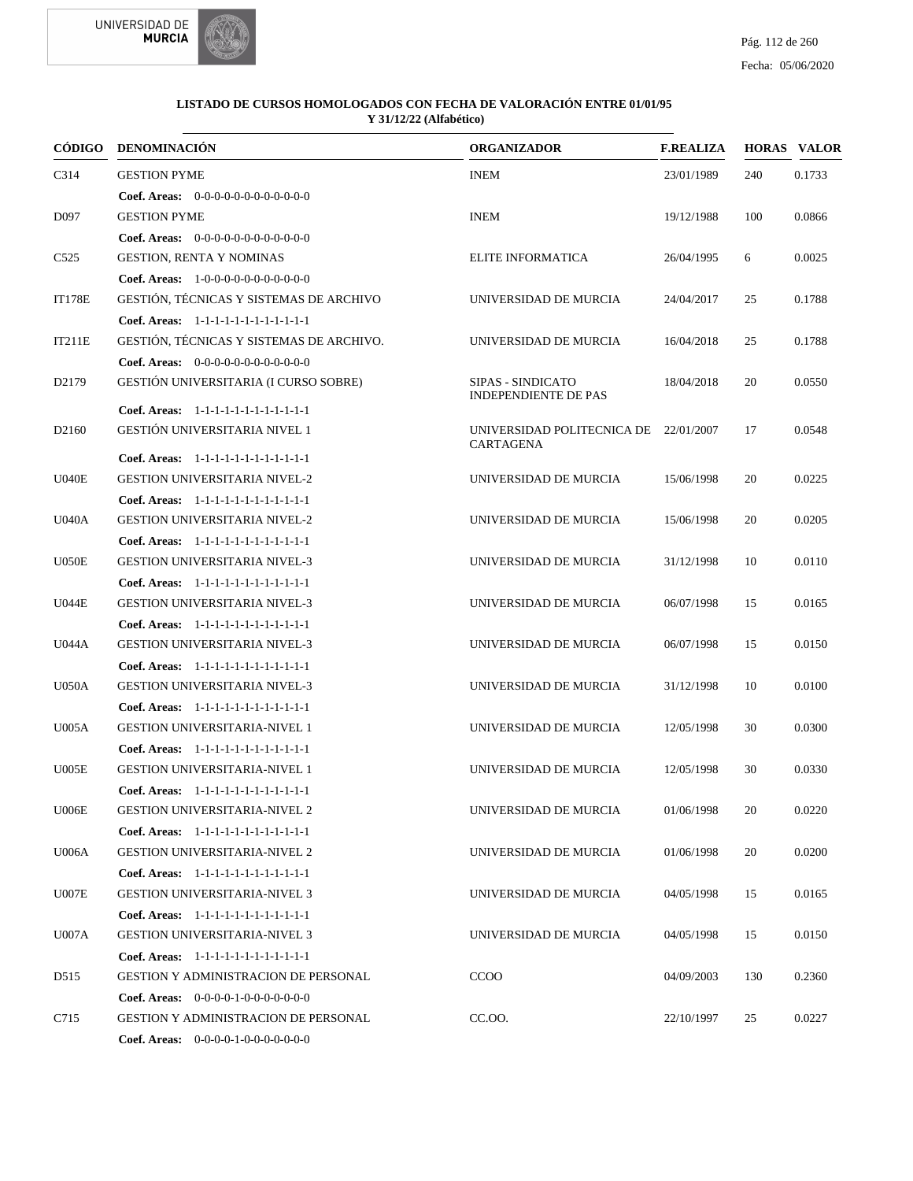



| CÓDIGO            | <b>DENOMINACIÓN</b>                           | <b>ORGANIZADOR</b>                                      | <b>F.REALIZA</b> |     | <b>HORAS VALOR</b> |
|-------------------|-----------------------------------------------|---------------------------------------------------------|------------------|-----|--------------------|
| C314              | <b>GESTION PYME</b>                           | <b>INEM</b>                                             | 23/01/1989       | 240 | 0.1733             |
|                   | <b>Coef. Areas:</b> $0-0-0-0-0-0-0-0-0-0-0-0$ |                                                         |                  |     |                    |
| D097              | <b>GESTION PYME</b>                           | <b>INEM</b>                                             | 19/12/1988       | 100 | 0.0866             |
|                   | Coef. Areas: $0-0-0-0-0-0-0-0-0-0-0$          |                                                         |                  |     |                    |
| C <sub>525</sub>  | <b>GESTION, RENTA Y NOMINAS</b>               | <b>ELITE INFORMATICA</b>                                | 26/04/1995       | 6   | 0.0025             |
|                   | Coef. Areas: 1-0-0-0-0-0-0-0-0-0-0-0-0        |                                                         |                  |     |                    |
| <b>IT178E</b>     | GESTIÓN, TÉCNICAS Y SISTEMAS DE ARCHIVO       | UNIVERSIDAD DE MURCIA                                   | 24/04/2017       | 25  | 0.1788             |
|                   | Coef. Areas: 1-1-1-1-1-1-1-1-1-1-1-1-1        |                                                         |                  |     |                    |
| IT211E            | GESTIÓN, TÉCNICAS Y SISTEMAS DE ARCHIVO.      | UNIVERSIDAD DE MURCIA                                   | 16/04/2018       | 25  | 0.1788             |
|                   | Coef. Areas: $0-0-0-0-0-0-0-0-0-0-0$          |                                                         |                  |     |                    |
| D <sub>2179</sub> | GESTIÓN UNIVERSITARIA (I CURSO SOBRE)         | <b>SIPAS - SINDICATO</b><br><b>INDEPENDIENTE DE PAS</b> | 18/04/2018       | 20  | 0.0550             |
|                   | Coef. Areas: 1-1-1-1-1-1-1-1-1-1-1-1-1        |                                                         |                  |     |                    |
| D <sub>2160</sub> | GESTIÓN UNIVERSITARIA NIVEL 1                 | UNIVERSIDAD POLITECNICA DE 22/01/2007<br>CARTAGENA      |                  | 17  | 0.0548             |
|                   | Coef. Areas: 1-1-1-1-1-1-1-1-1-1-1-1-1        |                                                         |                  |     |                    |
| U040E             | <b>GESTION UNIVERSITARIA NIVEL-2</b>          | UNIVERSIDAD DE MURCIA                                   | 15/06/1998       | 20  | 0.0225             |
|                   | Coef. Areas: 1-1-1-1-1-1-1-1-1-1-1-1-1        |                                                         |                  |     |                    |
| <b>U040A</b>      | <b>GESTION UNIVERSITARIA NIVEL-2</b>          | UNIVERSIDAD DE MURCIA                                   | 15/06/1998       | 20  | 0.0205             |
|                   | Coef. Areas: 1-1-1-1-1-1-1-1-1-1-1-1-1        |                                                         |                  |     |                    |
| U050E             | <b>GESTION UNIVERSITARIA NIVEL-3</b>          | UNIVERSIDAD DE MURCIA                                   | 31/12/1998       | 10  | 0.0110             |
|                   | Coef. Areas: 1-1-1-1-1-1-1-1-1-1-1-1-1        |                                                         |                  |     |                    |
| <b>U044E</b>      | <b>GESTION UNIVERSITARIA NIVEL-3</b>          | UNIVERSIDAD DE MURCIA                                   | 06/07/1998       | 15  | 0.0165             |
|                   | Coef. Areas: 1-1-1-1-1-1-1-1-1-1-1-1-1        |                                                         |                  |     |                    |
| U044A             | <b>GESTION UNIVERSITARIA NIVEL-3</b>          | UNIVERSIDAD DE MURCIA                                   | 06/07/1998       | 15  | 0.0150             |
|                   | Coef. Areas: 1-1-1-1-1-1-1-1-1-1-1-1-1        |                                                         |                  |     |                    |
| <b>U050A</b>      | <b>GESTION UNIVERSITARIA NIVEL-3</b>          | UNIVERSIDAD DE MURCIA                                   | 31/12/1998       | 10  | 0.0100             |
|                   | Coef. Areas: 1-1-1-1-1-1-1-1-1-1-1-1-1        |                                                         |                  |     |                    |
| U005A             | <b>GESTION UNIVERSITARIA-NIVEL 1</b>          | UNIVERSIDAD DE MURCIA                                   | 12/05/1998       | 30  | 0.0300             |
|                   | Coef. Areas: 1-1-1-1-1-1-1-1-1-1-1-1-1        |                                                         |                  |     |                    |
| U005E             | <b>GESTION UNIVERSITARIA-NIVEL 1</b>          | UNIVERSIDAD DE MURCIA                                   | 12/05/1998       | 30  | 0.0330             |
|                   | Coef. Areas: 1-1-1-1-1-1-1-1-1-1-1-1-1        |                                                         |                  |     |                    |
| <b>U006E</b>      | <b>GESTION UNIVERSITARIA-NIVEL 2</b>          | UNIVERSIDAD DE MURCIA                                   | 01/06/1998       | 20  | 0.0220             |
|                   | Coef. Areas: 1-1-1-1-1-1-1-1-1-1-1-1-1        |                                                         |                  |     |                    |
| U006A             | <b>GESTION UNIVERSITARIA-NIVEL 2</b>          | UNIVERSIDAD DE MURCIA                                   | 01/06/1998       | 20  | 0.0200             |
|                   | Coef. Areas: 1-1-1-1-1-1-1-1-1-1-1-1-1        |                                                         |                  |     |                    |
| U007E             | <b>GESTION UNIVERSITARIA-NIVEL 3</b>          | UNIVERSIDAD DE MURCIA                                   | 04/05/1998       | 15  | 0.0165             |
|                   | Coef. Areas: 1-1-1-1-1-1-1-1-1-1-1-1-1        |                                                         |                  |     |                    |
| <b>U007A</b>      | <b>GESTION UNIVERSITARIA-NIVEL 3</b>          | UNIVERSIDAD DE MURCIA                                   | 04/05/1998       | 15  | 0.0150             |
|                   | Coef. Areas: 1-1-1-1-1-1-1-1-1-1-1-1-1        |                                                         |                  |     |                    |
| D515              | <b>GESTION Y ADMINISTRACION DE PERSONAL</b>   | <b>CCOO</b>                                             | 04/09/2003       | 130 | 0.2360             |
|                   | <b>Coef. Areas:</b> $0-0-0-0-1-0-0-0-0-0-0-0$ |                                                         |                  |     |                    |
| C715              | <b>GESTION Y ADMINISTRACION DE PERSONAL</b>   | CC.OO.                                                  | 22/10/1997       | 25  | 0.0227             |
|                   | <b>Coef. Areas:</b> $0-0-0-0-1-0-0-0-0-0-0-0$ |                                                         |                  |     |                    |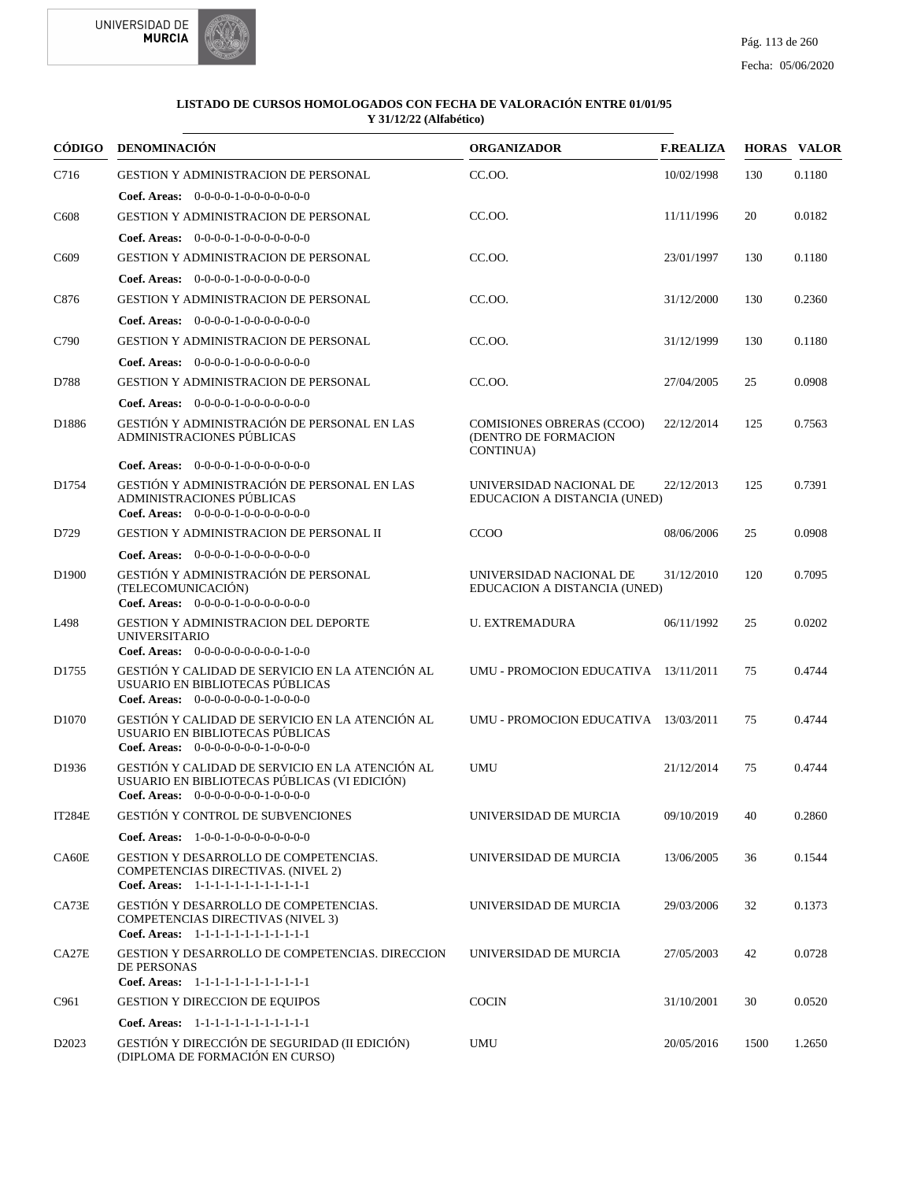

|                   | CÓDIGO DENOMINACIÓN                                                                                                                     | <b>ORGANIZADOR</b>                                             | <b>F.REALIZA</b> |      | <b>HORAS VALOR</b> |
|-------------------|-----------------------------------------------------------------------------------------------------------------------------------------|----------------------------------------------------------------|------------------|------|--------------------|
| C716              | <b>GESTION Y ADMINISTRACION DE PERSONAL</b>                                                                                             | CC.OO.                                                         | 10/02/1998       | 130  | 0.1180             |
|                   | Coef. Areas: $0-0-0-0-1-0-0-0-0-0-0$                                                                                                    |                                                                |                  |      |                    |
| C <sub>608</sub>  | <b>GESTION Y ADMINISTRACION DE PERSONAL</b>                                                                                             | CC.OO.                                                         | 11/11/1996       | 20   | 0.0182             |
|                   | Coef. Areas: $0-0-0-0-1-0-0-0-0-0-0-0$                                                                                                  |                                                                |                  |      |                    |
| C <sub>609</sub>  | <b>GESTION Y ADMINISTRACION DE PERSONAL</b>                                                                                             | CC.OO.                                                         | 23/01/1997       | 130  | 0.1180             |
|                   | Coef. Areas: 0-0-0-0-1-0-0-0-0-0-0-0                                                                                                    |                                                                |                  |      |                    |
| C876              | <b>GESTION Y ADMINISTRACION DE PERSONAL</b>                                                                                             | CC.OO.                                                         | 31/12/2000       | 130  | 0.2360             |
|                   | Coef. Areas: $0-0-0-0-1-0-0-0-0-0-0$                                                                                                    |                                                                |                  |      |                    |
| C790              | <b>GESTION Y ADMINISTRACION DE PERSONAL</b>                                                                                             | CC.00.                                                         | 31/12/1999       | 130  | 0.1180             |
|                   | Coef. Areas: 0-0-0-0-1-0-0-0-0-0-0-0                                                                                                    |                                                                |                  |      |                    |
| D788              | <b>GESTION Y ADMINISTRACION DE PERSONAL</b>                                                                                             | CC.OO.                                                         | 27/04/2005       | 25   | 0.0908             |
|                   | Coef. Areas: $0-0-0-0-1-0-0-0-0-0-0$                                                                                                    |                                                                |                  |      |                    |
| D1886             | GESTIÓN Y ADMINISTRACIÓN DE PERSONAL EN LAS<br>ADMINISTRACIONES PÚBLICAS                                                                | COMISIONES OBRERAS (CCOO)<br>(DENTRO DE FORMACION<br>CONTINUA) | 22/12/2014       | 125  | 0.7563             |
|                   | Coef. Areas: $0-0-0-0-1-0-0-0-0-0-0$                                                                                                    |                                                                |                  |      |                    |
| D1754             | GESTIÓN Y ADMINISTRACIÓN DE PERSONAL EN LAS<br>ADMINISTRACIONES PÚBLICAS<br>Coef. Areas: $0-0-0-0-1-0-0-0-0-0-0$                        | UNIVERSIDAD NACIONAL DE<br>EDUCACION A DISTANCIA (UNED)        | 22/12/2013       | 125  | 0.7391             |
| D729              | <b>GESTION Y ADMINISTRACION DE PERSONAL II</b>                                                                                          | CCOO                                                           | 08/06/2006       | 25   | 0.0908             |
|                   | Coef. Areas: $0-0-0-0-1-0-0-0-0-0-0$                                                                                                    |                                                                |                  |      |                    |
| D <sub>1900</sub> | GESTIÓN Y ADMINISTRACIÓN DE PERSONAL<br>(TELECOMUNICACIÓN)<br>Coef. Areas: $0-0-0-0-1-0-0-0-0-0-0$                                      | UNIVERSIDAD NACIONAL DE<br>EDUCACION A DISTANCIA (UNED)        | 31/12/2010       | 120  | 0.7095             |
| L498              | <b>GESTION Y ADMINISTRACION DEL DEPORTE</b><br><b>UNIVERSITARIO</b><br>Coef. Areas: $0-0-0-0-0-0-0-0-1-0-0$                             | <b>U. EXTREMADURA</b>                                          | 06/11/1992       | 25   | 0.0202             |
| D <sub>1755</sub> | GESTIÓN Y CALIDAD DE SERVICIO EN LA ATENCIÓN AL<br>USUARIO EN BIBLIOTECAS PÚBLICAS<br>Coef. Areas: 0-0-0-0-0-0-0-1-0-0-0-0              | UMU - PROMOCION EDUCATIVA 13/11/2011                           |                  | 75   | 0.4744             |
| D <sub>1070</sub> | GESTIÓN Y CALIDAD DE SERVICIO EN LA ATENCIÓN AL<br>USUARIO EN BIBLIOTECAS PÚBLICAS<br>Coef. Areas: 0-0-0-0-0-0-0-1-0-0-0-0              | UMU - PROMOCION EDUCATIVA 13/03/2011                           |                  | 75   | 0.4744             |
| D1936             | GESTIÓN Y CALIDAD DE SERVICIO EN LA ATENCIÓN AL<br>USUARIO EN BIBLIOTECAS PÚBLICAS (VI EDICIÓN)<br>Coef. Areas: 0-0-0-0-0-0-0-1-0-0-0-0 | <b>UMU</b>                                                     | 21/12/2014       | 75   | 0.4744             |
| <b>IT284E</b>     | GESTIÓN Y CONTROL DE SUBVENCIONES                                                                                                       | UNIVERSIDAD DE MURCIA                                          | 09/10/2019       | 40   | 0.2860             |
|                   | Coef. Areas: $1-0-0-1-0-0-0-0-0-0-0$                                                                                                    |                                                                |                  |      |                    |
| CA60E             | <b>GESTION Y DESARROLLO DE COMPETENCIAS.</b><br>COMPETENCIAS DIRECTIVAS. (NIVEL 2)<br>Coef. Areas: 1-1-1-1-1-1-1-1-1-1-1-1-1            | UNIVERSIDAD DE MURCIA                                          | 13/06/2005       | 36   | 0.1544             |
| CA73E             | <b>GESTIÓN Y DESARROLLO DE COMPETENCIAS.</b><br><b>COMPETENCIAS DIRECTIVAS (NIVEL 3)</b><br>Coef. Areas: 1-1-1-1-1-1-1-1-1-1-1-1-1      | UNIVERSIDAD DE MURCIA                                          | 29/03/2006       | 32   | 0.1373             |
| CA27E             | GESTION Y DESARROLLO DE COMPETENCIAS. DIRECCION<br>DE PERSONAS<br>Coef. Areas: 1-1-1-1-1-1-1-1-1-1-1-1-1                                | UNIVERSIDAD DE MURCIA                                          | 27/05/2003       | 42   | 0.0728             |
| C961              | <b>GESTION Y DIRECCION DE EQUIPOS</b>                                                                                                   | <b>COCIN</b>                                                   | 31/10/2001       | 30   | 0.0520             |
|                   | Coef. Areas: 1-1-1-1-1-1-1-1-1-1-1-1-1                                                                                                  |                                                                |                  |      |                    |
| D <sub>2023</sub> | GESTIÓN Y DIRECCIÓN DE SEGURIDAD (II EDICIÓN)<br>(DIPLOMA DE FORMACIÓN EN CURSO)                                                        | UMU                                                            | 20/05/2016       | 1500 | 1.2650             |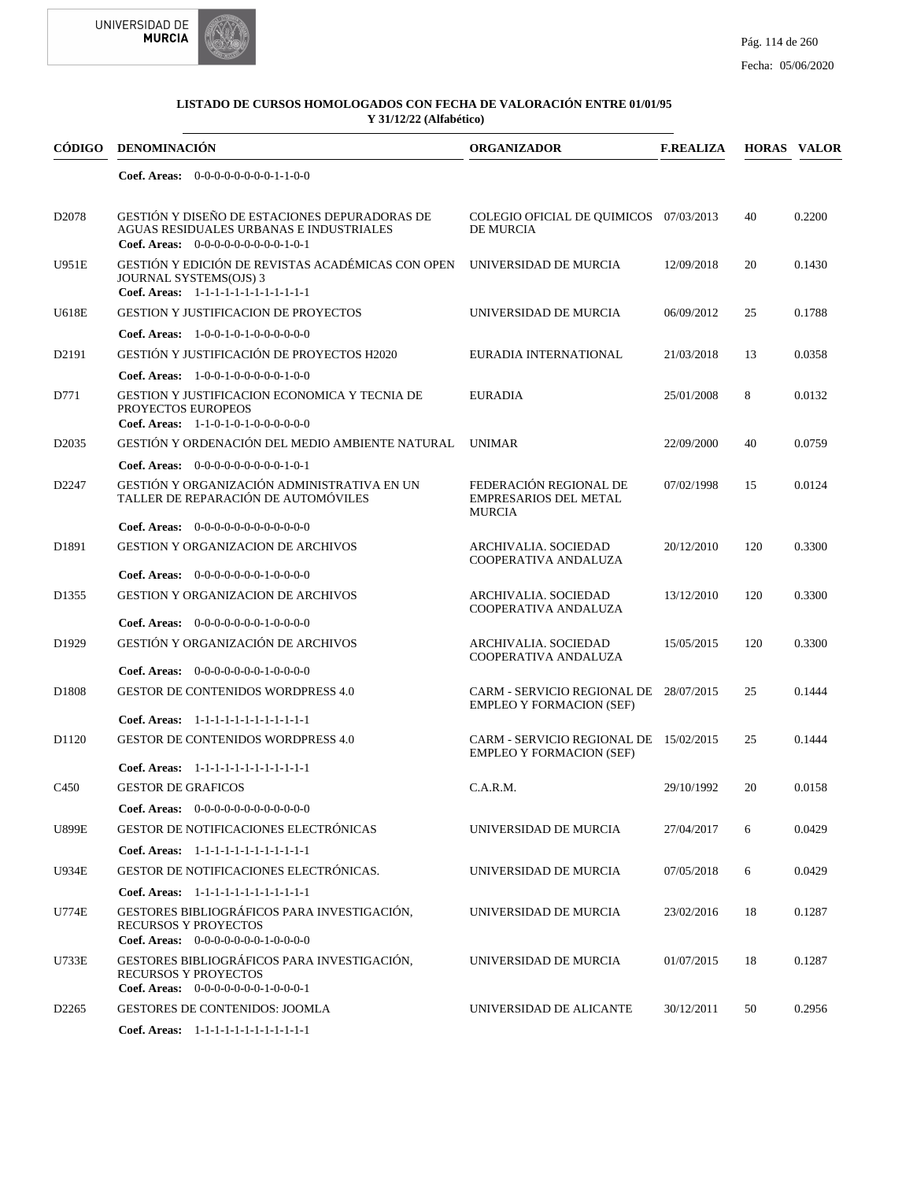



| CÓDIGO            | <b>DENOMINACIÓN</b>                                                                                                              | <b>ORGANIZADOR</b>                                                        | <b>F.REALIZA</b> |     | <b>HORAS VALOR</b> |
|-------------------|----------------------------------------------------------------------------------------------------------------------------------|---------------------------------------------------------------------------|------------------|-----|--------------------|
|                   | Coef. Areas: $0-0-0-0-0-0-0-1-1-0-0$                                                                                             |                                                                           |                  |     |                    |
| D <sub>2078</sub> | GESTIÓN Y DISEÑO DE ESTACIONES DEPURADORAS DE<br>AGUAS RESIDUALES URBANAS E INDUSTRIALES<br>Coef. Areas: $0-0-0-0-0-0-0-0-1-0-1$ | COLEGIO OFICIAL DE QUIMICOS 07/03/2013<br><b>DE MURCIA</b>                |                  | 40  | 0.2200             |
| <b>U951E</b>      | GESTIÓN Y EDICIÓN DE REVISTAS ACADÉMICAS CON OPEN<br>JOURNAL SYSTEMS(OJS) 3<br>Coef. Areas: 1-1-1-1-1-1-1-1-1-1-1-1-1            | UNIVERSIDAD DE MURCIA                                                     | 12/09/2018       | 20  | 0.1430             |
| U618E             | <b>GESTION Y JUSTIFICACION DE PROYECTOS</b>                                                                                      | UNIVERSIDAD DE MURCIA                                                     | 06/09/2012       | 25  | 0.1788             |
|                   | Coef. Areas: $1-0-0-1-0-1-0-0-0-0-0-0$                                                                                           |                                                                           |                  |     |                    |
| D2191             | GESTIÓN Y JUSTIFICACIÓN DE PROYECTOS H2020                                                                                       | EURADIA INTERNATIONAL                                                     | 21/03/2018       | 13  | 0.0358             |
|                   | Coef. Areas: $1-0-0-1-0-0-0-0-1-0-0$                                                                                             |                                                                           |                  |     |                    |
| D771              | GESTION Y JUSTIFICACION ECONOMICA Y TECNIA DE<br>PROYECTOS EUROPEOS<br>Coef. Areas: $1-1-0-1-0-1-0-0-0-0-0-0$                    | <b>EURADIA</b>                                                            | 25/01/2008       | 8   | 0.0132             |
| D <sub>2035</sub> | GESTIÓN Y ORDENACIÓN DEL MEDIO AMBIENTE NATURAL                                                                                  | <b>UNIMAR</b>                                                             | 22/09/2000       | 40  | 0.0759             |
|                   | Coef. Areas: $0-0-0-0-0-0-0-0-1-0-1$                                                                                             |                                                                           |                  |     |                    |
| D2247             | GESTIÓN Y ORGANIZACIÓN ADMINISTRATIVA EN UN<br>TALLER DE REPARACIÓN DE AUTOMÓVILES                                               | FEDERACIÓN REGIONAL DE<br><b>EMPRESARIOS DEL METAL</b><br><b>MURCIA</b>   | 07/02/1998       | 15  | 0.0124             |
|                   | <b>Coef. Areas:</b> $0-0-0-0-0-0-0-0-0-0-0-0$                                                                                    |                                                                           |                  |     |                    |
| D1891             | <b>GESTION Y ORGANIZACION DE ARCHIVOS</b>                                                                                        | ARCHIVALIA. SOCIEDAD<br>COOPERATIVA ANDALUZA                              | 20/12/2010       | 120 | 0.3300             |
|                   | <b>Coef. Areas:</b> $0-0-0-0-0-0-1-0-0-0-0$                                                                                      |                                                                           |                  |     |                    |
| D1355             | <b>GESTION Y ORGANIZACION DE ARCHIVOS</b>                                                                                        | ARCHIVALIA. SOCIEDAD<br>COOPERATIVA ANDALUZA                              | 13/12/2010       | 120 | 0.3300             |
|                   | Coef. Areas: $0-0-0-0-0-0-1-0-0-0-0$                                                                                             |                                                                           |                  |     |                    |
| D <sub>1929</sub> | GESTIÓN Y ORGANIZACIÓN DE ARCHIVOS                                                                                               | ARCHIVALIA. SOCIEDAD<br>COOPERATIVA ANDALUZA                              | 15/05/2015       | 120 | 0.3300             |
|                   | Coef. Areas: 0-0-0-0-0-0-0-1-0-0-0-0                                                                                             |                                                                           |                  |     |                    |
| D1808             | <b>GESTOR DE CONTENIDOS WORDPRESS 4.0</b>                                                                                        | CARM - SERVICIO REGIONAL DE 28/07/2015<br><b>EMPLEO Y FORMACION (SEF)</b> |                  | 25  | 0.1444             |
|                   | Coef. Areas: 1-1-1-1-1-1-1-1-1-1-1-1-1                                                                                           |                                                                           |                  |     |                    |
| D1120             | <b>GESTOR DE CONTENIDOS WORDPRESS 4.0</b>                                                                                        | CARM - SERVICIO REGIONAL DE 15/02/2015<br><b>EMPLEO Y FORMACION (SEF)</b> |                  | 25  | 0.1444             |
|                   | Coef. Areas: 1-1-1-1-1-1-1-1-1-1-1-1-1                                                                                           |                                                                           |                  |     |                    |
| C <sub>450</sub>  | <b>GESTOR DE GRAFICOS</b>                                                                                                        | C.A.R.M.                                                                  | 29/10/1992       | 20  | 0.0158             |
|                   | Coef. Areas: 0-0-0-0-0-0-0-0-0-0-0-0-0                                                                                           |                                                                           |                  |     |                    |
| <b>U899E</b>      | <b>GESTOR DE NOTIFICACIONES ELECTRÓNICAS</b>                                                                                     | UNIVERSIDAD DE MURCIA                                                     | 27/04/2017       | 6   | 0.0429             |
|                   | Coef. Areas: 1-1-1-1-1-1-1-1-1-1-1-1-1                                                                                           |                                                                           |                  |     |                    |
| <b>U934E</b>      | <b>GESTOR DE NOTIFICACIONES ELECTRÓNICAS.</b>                                                                                    | UNIVERSIDAD DE MURCIA                                                     | 07/05/2018       | 6   | 0.0429             |
|                   | Coef. Areas: 1-1-1-1-1-1-1-1-1-1-1-1-1                                                                                           |                                                                           |                  |     |                    |
| <b>U774E</b>      | GESTORES BIBLIOGRÁFICOS PARA INVESTIGACIÓN,<br><b>RECURSOS Y PROYECTOS</b><br>Coef. Areas: $0-0-0-0-0-0-1-0-0-0-0$               | UNIVERSIDAD DE MURCIA                                                     | 23/02/2016       | 18  | 0.1287             |
| U733E             | GESTORES BIBLIOGRÁFICOS PARA INVESTIGACIÓN,<br>RECURSOS Y PROYECTOS<br>Coef. Areas: $0-0-0-0-0-0-1-0-0-0-1$                      | UNIVERSIDAD DE MURCIA                                                     | 01/07/2015       | 18  | 0.1287             |
| D <sub>2265</sub> | <b>GESTORES DE CONTENIDOS: JOOMLA</b>                                                                                            | UNIVERSIDAD DE ALICANTE                                                   | 30/12/2011       | 50  | 0.2956             |
|                   | Coef. Areas: 1-1-1-1-1-1-1-1-1-1-1-1-1                                                                                           |                                                                           |                  |     |                    |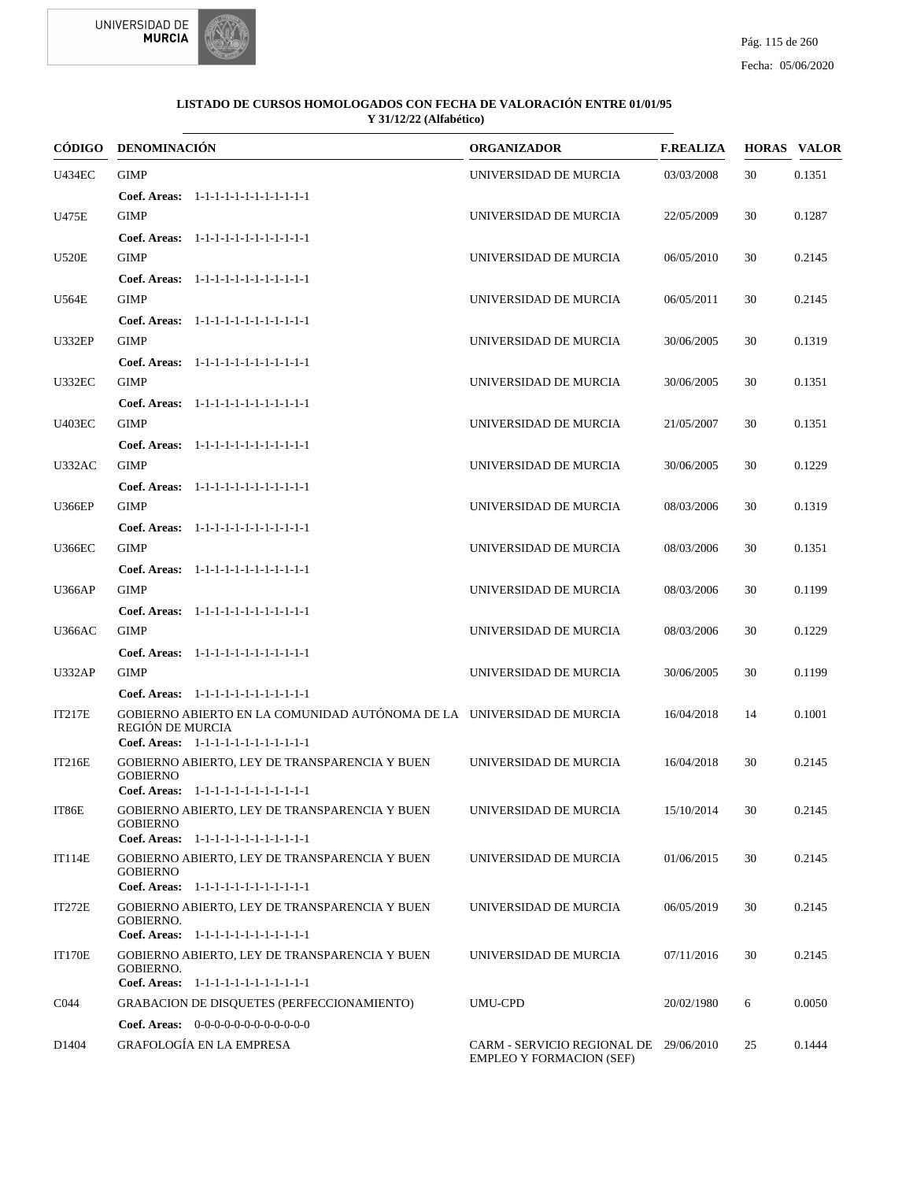



|                   | <b>CÓDIGO DENOMINACIÓN</b>                                                                                                          | <b>ORGANIZADOR</b>                                                        | <b>F.REALIZA</b> |    | <b>HORAS VALOR</b> |
|-------------------|-------------------------------------------------------------------------------------------------------------------------------------|---------------------------------------------------------------------------|------------------|----|--------------------|
| <b>U434EC</b>     | <b>GIMP</b>                                                                                                                         | UNIVERSIDAD DE MURCIA                                                     | 03/03/2008       | 30 | 0.1351             |
|                   | Coef. Areas: 1-1-1-1-1-1-1-1-1-1-1-1-1                                                                                              |                                                                           |                  |    |                    |
| U475E             | <b>GIMP</b>                                                                                                                         | UNIVERSIDAD DE MURCIA                                                     | 22/05/2009       | 30 | 0.1287             |
|                   | Coef. Areas: 1-1-1-1-1-1-1-1-1-1-1-1-1                                                                                              |                                                                           |                  |    |                    |
| <b>U520E</b>      | <b>GIMP</b>                                                                                                                         | UNIVERSIDAD DE MURCIA                                                     | 06/05/2010       | 30 | 0.2145             |
|                   | Coef. Areas: 1-1-1-1-1-1-1-1-1-1-1-1-1                                                                                              |                                                                           |                  |    |                    |
| U564E             | <b>GIMP</b>                                                                                                                         | UNIVERSIDAD DE MURCIA                                                     | 06/05/2011       | 30 | 0.2145             |
|                   | Coef. Areas: 1-1-1-1-1-1-1-1-1-1-1-1-1                                                                                              |                                                                           |                  |    |                    |
| <b>U332EP</b>     | <b>GIMP</b>                                                                                                                         | UNIVERSIDAD DE MURCIA                                                     | 30/06/2005       | 30 | 0.1319             |
|                   | Coef. Areas: 1-1-1-1-1-1-1-1-1-1-1-1-1                                                                                              |                                                                           |                  |    |                    |
| <b>U332EC</b>     | <b>GIMP</b>                                                                                                                         | UNIVERSIDAD DE MURCIA                                                     | 30/06/2005       | 30 | 0.1351             |
|                   | Coef. Areas: 1-1-1-1-1-1-1-1-1-1-1-1-1                                                                                              |                                                                           |                  |    |                    |
| <b>U403EC</b>     | <b>GIMP</b>                                                                                                                         | UNIVERSIDAD DE MURCIA                                                     | 21/05/2007       | 30 | 0.1351             |
|                   | Coef. Areas: 1-1-1-1-1-1-1-1-1-1-1-1-1                                                                                              |                                                                           |                  |    |                    |
| U332AC            | <b>GIMP</b>                                                                                                                         | UNIVERSIDAD DE MURCIA                                                     | 30/06/2005       | 30 | 0.1229             |
|                   | Coef. Areas: 1-1-1-1-1-1-1-1-1-1-1-1-1                                                                                              |                                                                           |                  |    |                    |
| <b>U366EP</b>     | <b>GIMP</b>                                                                                                                         | UNIVERSIDAD DE MURCIA                                                     | 08/03/2006       | 30 | 0.1319             |
|                   | Coef. Areas: 1-1-1-1-1-1-1-1-1-1-1-1-1                                                                                              |                                                                           |                  |    |                    |
| <b>U366EC</b>     | <b>GIMP</b>                                                                                                                         | UNIVERSIDAD DE MURCIA                                                     | 08/03/2006       | 30 | 0.1351             |
|                   | Coef. Areas: 1-1-1-1-1-1-1-1-1-1-1-1-1                                                                                              |                                                                           |                  |    |                    |
| <b>U366AP</b>     | <b>GIMP</b>                                                                                                                         | UNIVERSIDAD DE MURCIA                                                     | 08/03/2006       | 30 | 0.1199             |
|                   | Coef. Areas: 1-1-1-1-1-1-1-1-1-1-1-1-1                                                                                              |                                                                           |                  |    |                    |
| <b>U366AC</b>     | <b>GIMP</b>                                                                                                                         | UNIVERSIDAD DE MURCIA                                                     | 08/03/2006       | 30 | 0.1229             |
|                   | Coef. Areas: 1-1-1-1-1-1-1-1-1-1-1-1-1                                                                                              |                                                                           |                  |    |                    |
| <b>U332AP</b>     | <b>GIMP</b>                                                                                                                         | UNIVERSIDAD DE MURCIA                                                     | 30/06/2005       | 30 | 0.1199             |
|                   | Coef. Areas: 1-1-1-1-1-1-1-1-1-1-1-1-1                                                                                              |                                                                           |                  |    |                    |
| IT217E            | GOBIERNO ABIERTO EN LA COMUNIDAD AUTÓNOMA DE LA UNIVERSIDAD DE MURCIA<br>REGIÓN DE MURCIA<br>Coef. Areas: 1-1-1-1-1-1-1-1-1-1-1-1-1 |                                                                           | 16/04/2018       | 14 | 0.1001             |
| <b>IT216E</b>     | GOBIERNO ABIERTO, LEY DE TRANSPARENCIA Y BUEN                                                                                       | UNIVERSIDAD DE MURCIA                                                     | 16/04/2018       | 30 | 0.2145             |
|                   | <b>GOBIERNO</b>                                                                                                                     |                                                                           |                  |    |                    |
| IT86E             | Coef. Areas: 1-1-1-1-1-1-1-1-1-1-1-1-1<br>GOBIERNO ABIERTO, LEY DE TRANSPARENCIA Y BUEN                                             | UNIVERSIDAD DE MURCIA                                                     | 15/10/2014       | 30 | 0.2145             |
|                   | <b>GOBIERNO</b><br>Coef. Areas: 1-1-1-1-1-1-1-1-1-1-1-1-1                                                                           |                                                                           |                  |    |                    |
| <b>IT114E</b>     | GOBIERNO ABIERTO, LEY DE TRANSPARENCIA Y BUEN                                                                                       | UNIVERSIDAD DE MURCIA                                                     | 01/06/2015       | 30 | 0.2145             |
|                   | <b>GOBIERNO</b>                                                                                                                     |                                                                           |                  |    |                    |
|                   | Coef. Areas: 1-1-1-1-1-1-1-1-1-1-1-1-1                                                                                              |                                                                           |                  |    |                    |
| IT272E            | GOBIERNO ABIERTO, LEY DE TRANSPARENCIA Y BUEN<br><b>GOBIERNO.</b><br>Coef. Areas: 1-1-1-1-1-1-1-1-1-1-1-1-1                         | UNIVERSIDAD DE MURCIA                                                     | 06/05/2019       | 30 | 0.2145             |
| <b>IT170E</b>     | GOBIERNO ABIERTO, LEY DE TRANSPARENCIA Y BUEN                                                                                       | UNIVERSIDAD DE MURCIA                                                     | 07/11/2016       | 30 | 0.2145             |
|                   | <b>GOBIERNO.</b>                                                                                                                    |                                                                           |                  |    |                    |
|                   | Coef. Areas: 1-1-1-1-1-1-1-1-1-1-1-1-1                                                                                              |                                                                           |                  |    |                    |
| C044              | <b>GRABACION DE DISQUETES (PERFECCIONAMIENTO)</b>                                                                                   | UMU-CPD                                                                   | 20/02/1980       | 6  | 0.0050             |
|                   | Coef. Areas: $0-0-0-0-0-0-0-0-0-0-0$                                                                                                |                                                                           |                  |    |                    |
| D <sub>1404</sub> | <b>GRAFOLOGÍA EN LA EMPRESA</b>                                                                                                     | CARM - SERVICIO REGIONAL DE 29/06/2010<br><b>EMPLEO Y FORMACION (SEF)</b> |                  | 25 | 0.1444             |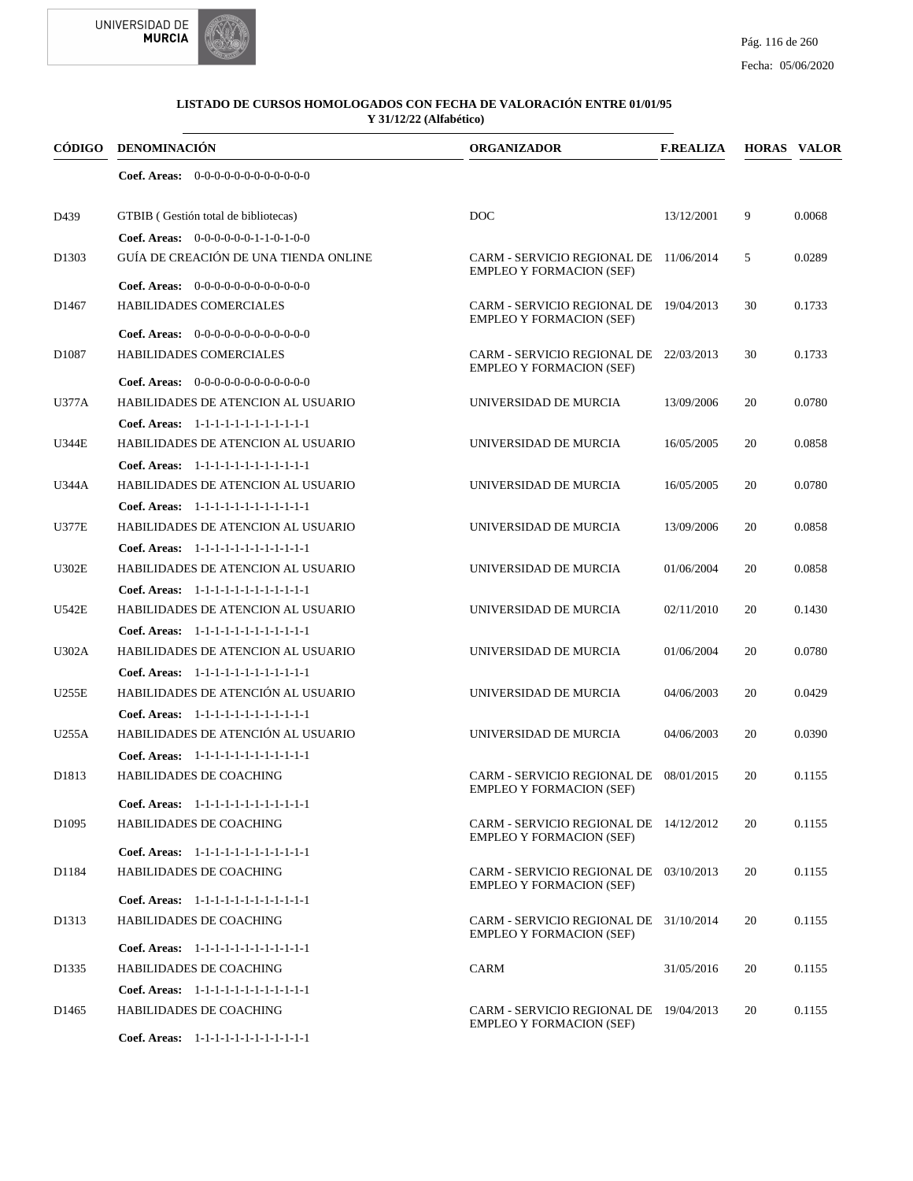



| CÓDIGO            | DENOMINACIÓN                                                      | <b>ORGANIZADOR</b>                                                        | <b>F.REALIZA</b> |    | <b>HORAS VALOR</b> |
|-------------------|-------------------------------------------------------------------|---------------------------------------------------------------------------|------------------|----|--------------------|
|                   | Coef. Areas: $0-0-0-0-0-0-0-0-0-0-0-0$                            |                                                                           |                  |    |                    |
| D439              | GTBIB (Gestión total de bibliotecas)                              | DOC                                                                       | 13/12/2001       | 9  | 0.0068             |
|                   | Coef. Areas: 0-0-0-0-0-0-1-1-0-1-0-0                              |                                                                           |                  |    |                    |
| D <sub>1303</sub> | GUÍA DE CREACIÓN DE UNA TIENDA ONLINE                             | CARM - SERVICIO REGIONAL DE 11/06/2014<br><b>EMPLEO Y FORMACION (SEF)</b> |                  | 5  | 0.0289             |
|                   | <b>Coef. Areas:</b> $0-0-0-0-0-0-0-0-0-0-0-0$                     |                                                                           |                  |    |                    |
| D <sub>1467</sub> | HABILIDADES COMERCIALES                                           | CARM - SERVICIO REGIONAL DE 19/04/2013<br><b>EMPLEO Y FORMACION (SEF)</b> |                  | 30 | 0.1733             |
|                   | Coef. Areas: $0-0-0-0-0-0-0-0-0-0-0$                              |                                                                           |                  |    |                    |
| D <sub>1087</sub> | <b>HABILIDADES COMERCIALES</b>                                    | CARM - SERVICIO REGIONAL DE 22/03/2013<br><b>EMPLEO Y FORMACION (SEF)</b> |                  | 30 | 0.1733             |
|                   | <b>Coef. Areas:</b> $0-0-0-0-0-0-0-0-0-0-0-0$                     |                                                                           |                  |    |                    |
| U377A             | HABILIDADES DE ATENCION AL USUARIO                                | UNIVERSIDAD DE MURCIA                                                     | 13/09/2006       | 20 | 0.0780             |
|                   | Coef. Areas: 1-1-1-1-1-1-1-1-1-1-1-1-1                            |                                                                           |                  |    |                    |
| <b>U344E</b>      | HABILIDADES DE ATENCION AL USUARIO                                | UNIVERSIDAD DE MURCIA                                                     | 16/05/2005       | 20 | 0.0858             |
|                   | Coef. Areas: 1-1-1-1-1-1-1-1-1-1-1-1-1                            |                                                                           |                  |    |                    |
| U344A             | HABILIDADES DE ATENCION AL USUARIO                                | UNIVERSIDAD DE MURCIA                                                     | 16/05/2005       | 20 | 0.0780             |
|                   | Coef. Areas: 1-1-1-1-1-1-1-1-1-1-1-1-1                            |                                                                           |                  |    |                    |
| <b>U377E</b>      | HABILIDADES DE ATENCION AL USUARIO                                | UNIVERSIDAD DE MURCIA                                                     | 13/09/2006       | 20 | 0.0858             |
|                   | Coef. Areas: 1-1-1-1-1-1-1-1-1-1-1-1-1                            |                                                                           |                  |    |                    |
| <b>U302E</b>      | HABILIDADES DE ATENCION AL USUARIO                                | UNIVERSIDAD DE MURCIA                                                     | 01/06/2004       | 20 | 0.0858             |
|                   | Coef. Areas: 1-1-1-1-1-1-1-1-1-1-1-1-1                            |                                                                           |                  |    |                    |
| U542E             | HABILIDADES DE ATENCION AL USUARIO                                | UNIVERSIDAD DE MURCIA                                                     | 02/11/2010       | 20 | 0.1430             |
|                   | Coef. Areas: 1-1-1-1-1-1-1-1-1-1-1-1-1                            |                                                                           |                  |    |                    |
| <b>U302A</b>      | HABILIDADES DE ATENCION AL USUARIO                                | UNIVERSIDAD DE MURCIA                                                     | 01/06/2004       | 20 | 0.0780             |
|                   | Coef. Areas: 1-1-1-1-1-1-1-1-1-1-1-1-1                            |                                                                           |                  |    |                    |
| <b>U255E</b>      | HABILIDADES DE ATENCIÓN AL USUARIO                                | UNIVERSIDAD DE MURCIA                                                     | 04/06/2003       | 20 | 0.0429             |
|                   | Coef. Areas: 1-1-1-1-1-1-1-1-1-1-1-1-1                            |                                                                           |                  |    |                    |
| U255A             | HABILIDADES DE ATENCIÓN AL USUARIO                                | UNIVERSIDAD DE MURCIA                                                     | 04/06/2003       | 20 | 0.0390             |
|                   | Coef. Areas: 1-1-1-1-1-1-1-1-1-1-1-1-1                            |                                                                           |                  |    |                    |
| D1813             | HABILIDADES DE COACHING                                           | CARM - SERVICIO REGIONAL DE 08/01/2015<br><b>EMPLEO Y FORMACION (SEF)</b> |                  | 20 | 0.1155             |
|                   | Coef. Areas: 1-1-1-1-1-1-1-1-1-1-1-1-1                            |                                                                           |                  |    |                    |
| D <sub>1095</sub> | HABILIDADES DE COACHING                                           | CARM - SERVICIO REGIONAL DE 14/12/2012<br><b>EMPLEO Y FORMACION (SEF)</b> |                  | 20 | 0.1155             |
|                   | Coef. Areas: 1-1-1-1-1-1-1-1-1-1-1-1-1                            |                                                                           |                  |    |                    |
| D1184             | HABILIDADES DE COACHING<br>Coef. Areas: 1-1-1-1-1-1-1-1-1-1-1-1-1 | CARM - SERVICIO REGIONAL DE 03/10/2013<br><b>EMPLEO Y FORMACION (SEF)</b> |                  | 20 | 0.1155             |
|                   |                                                                   |                                                                           |                  |    |                    |
| D <sub>1313</sub> | HABILIDADES DE COACHING<br>Coef. Areas: 1-1-1-1-1-1-1-1-1-1-1-1-1 | CARM - SERVICIO REGIONAL DE 31/10/2014<br><b>EMPLEO Y FORMACION (SEF)</b> |                  | 20 | 0.1155             |
|                   | <b>HABILIDADES DE COACHING</b>                                    | <b>CARM</b>                                                               |                  |    |                    |
| D <sub>1335</sub> |                                                                   |                                                                           | 31/05/2016       | 20 | 0.1155             |
|                   | Coef. Areas: 1-1-1-1-1-1-1-1-1-1-1-1-1                            |                                                                           |                  |    |                    |
| D <sub>1465</sub> | HABILIDADES DE COACHING<br>Coef. Areas: 1-1-1-1-1-1-1-1-1-1-1-1-1 | CARM - SERVICIO REGIONAL DE 19/04/2013<br><b>EMPLEO Y FORMACION (SEF)</b> |                  | 20 | 0.1155             |
|                   |                                                                   |                                                                           |                  |    |                    |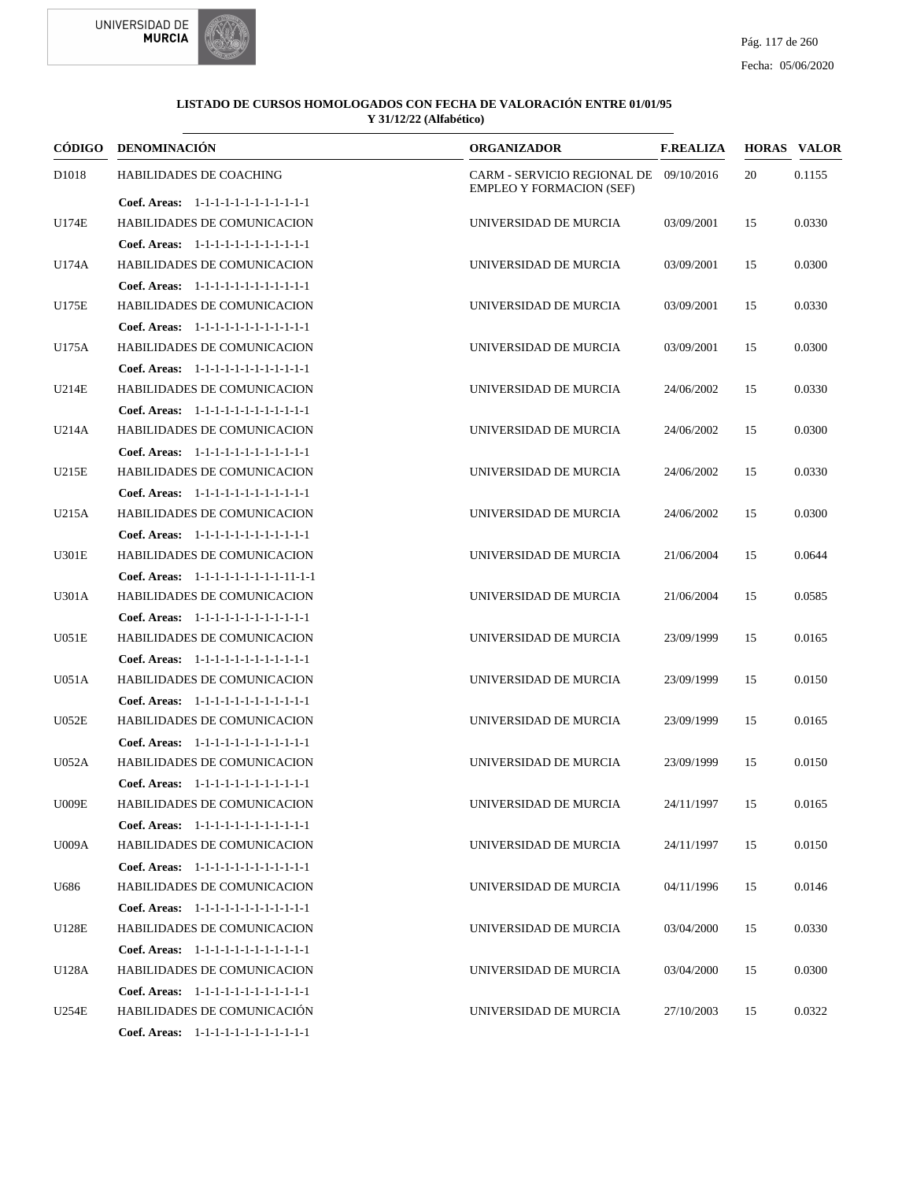



|              | CÓDIGO DENOMINACIÓN                      | <b>ORGANIZADOR</b>                                                        | <b>F.REALIZA</b> |    | <b>HORAS VALOR</b> |
|--------------|------------------------------------------|---------------------------------------------------------------------------|------------------|----|--------------------|
| D1018        | <b>HABILIDADES DE COACHING</b>           | CARM - SERVICIO REGIONAL DE 09/10/2016<br><b>EMPLEO Y FORMACION (SEF)</b> |                  | 20 | 0.1155             |
|              | Coef. Areas: 1-1-1-1-1-1-1-1-1-1-1-1-1   |                                                                           |                  |    |                    |
| U174E        | <b>HABILIDADES DE COMUNICACION</b>       | UNIVERSIDAD DE MURCIA                                                     | 03/09/2001       | 15 | 0.0330             |
|              | Coef. Areas: 1-1-1-1-1-1-1-1-1-1-1-1-1   |                                                                           |                  |    |                    |
| U174A        | HABILIDADES DE COMUNICACION              | UNIVERSIDAD DE MURCIA                                                     | 03/09/2001       | 15 | 0.0300             |
|              | Coef. Areas: 1-1-1-1-1-1-1-1-1-1-1-1-1   |                                                                           |                  |    |                    |
| U175E        | <b>HABILIDADES DE COMUNICACION</b>       | UNIVERSIDAD DE MURCIA                                                     | 03/09/2001       | 15 | 0.0330             |
|              | Coef. Areas: 1-1-1-1-1-1-1-1-1-1-1-1-1   |                                                                           |                  |    |                    |
| U175A        | HABILIDADES DE COMUNICACION              | UNIVERSIDAD DE MURCIA                                                     | 03/09/2001       | 15 | 0.0300             |
|              | Coef. Areas: 1-1-1-1-1-1-1-1-1-1-1-1-1   |                                                                           |                  |    |                    |
| U214E        | <b>HABILIDADES DE COMUNICACION</b>       | UNIVERSIDAD DE MURCIA                                                     | 24/06/2002       | 15 | 0.0330             |
|              | Coef. Areas: 1-1-1-1-1-1-1-1-1-1-1-1-1   |                                                                           |                  |    |                    |
| U214A        | <b>HABILIDADES DE COMUNICACION</b>       | UNIVERSIDAD DE MURCIA                                                     | 24/06/2002       | 15 | 0.0300             |
|              | Coef. Areas: 1-1-1-1-1-1-1-1-1-1-1-1-1   |                                                                           |                  |    |                    |
| U215E        | HABILIDADES DE COMUNICACION              | UNIVERSIDAD DE MURCIA                                                     | 24/06/2002       | 15 | 0.0330             |
|              | Coef. Areas: 1-1-1-1-1-1-1-1-1-1-1-1-1   |                                                                           |                  |    |                    |
| U215A        | <b>HABILIDADES DE COMUNICACION</b>       | UNIVERSIDAD DE MURCIA                                                     | 24/06/2002       | 15 | 0.0300             |
|              | Coef. Areas: 1-1-1-1-1-1-1-1-1-1-1-1-1   |                                                                           |                  |    |                    |
| U301E        | <b>HABILIDADES DE COMUNICACION</b>       | UNIVERSIDAD DE MURCIA                                                     | 21/06/2004       | 15 | 0.0644             |
|              | Coef. Areas: 1-1-1-1-1-1-1-1-1-1-1-1-1-1 |                                                                           |                  |    |                    |
| U301A        | <b>HABILIDADES DE COMUNICACION</b>       | UNIVERSIDAD DE MURCIA                                                     | 21/06/2004       | 15 | 0.0585             |
|              | Coef. Areas: 1-1-1-1-1-1-1-1-1-1-1-1-1   |                                                                           |                  |    |                    |
| U051E        | HABILIDADES DE COMUNICACION              | UNIVERSIDAD DE MURCIA                                                     | 23/09/1999       | 15 | 0.0165             |
|              | Coef. Areas: 1-1-1-1-1-1-1-1-1-1-1-1-1   |                                                                           |                  |    |                    |
| U051A        | <b>HABILIDADES DE COMUNICACION</b>       | UNIVERSIDAD DE MURCIA                                                     | 23/09/1999       | 15 | 0.0150             |
|              | Coef. Areas: 1-1-1-1-1-1-1-1-1-1-1-1-1   |                                                                           |                  |    |                    |
| <b>U052E</b> | <b>HABILIDADES DE COMUNICACION</b>       | UNIVERSIDAD DE MURCIA                                                     | 23/09/1999       | 15 | 0.0165             |
|              | Coef. Areas: 1-1-1-1-1-1-1-1-1-1-1-1-1   |                                                                           |                  |    |                    |
| <b>U052A</b> | HABILIDADES DE COMUNICACION              | UNIVERSIDAD DE MURCIA                                                     | 23/09/1999       | 15 | 0.0150             |
|              | Coef. Areas: 1-1-1-1-1-1-1-1-1-1-1-1-1   |                                                                           |                  |    |                    |
| U009E        | HABILIDADES DE COMUNICACION              | UNIVERSIDAD DE MURCIA                                                     | 24/11/1997       | 15 | 0.0165             |
|              | Coef. Areas: 1-1-1-1-1-1-1-1-1-1-1-1-1   |                                                                           |                  |    |                    |
| <b>U009A</b> | HABILIDADES DE COMUNICACION              | UNIVERSIDAD DE MURCIA                                                     | 24/11/1997       | 15 | 0.0150             |
|              | Coef. Areas: 1-1-1-1-1-1-1-1-1-1-1-1-1   |                                                                           |                  |    |                    |
| U686         | HABILIDADES DE COMUNICACION              | UNIVERSIDAD DE MURCIA                                                     | 04/11/1996       | 15 | 0.0146             |
|              | Coef. Areas: 1-1-1-1-1-1-1-1-1-1-1-1-1   |                                                                           |                  |    |                    |
| U128E        | <b>HABILIDADES DE COMUNICACION</b>       | UNIVERSIDAD DE MURCIA                                                     | 03/04/2000       | 15 | 0.0330             |
|              | Coef. Areas: 1-1-1-1-1-1-1-1-1-1-1-1-1   |                                                                           |                  |    |                    |
| U128A        | <b>HABILIDADES DE COMUNICACION</b>       | UNIVERSIDAD DE MURCIA                                                     | 03/04/2000       | 15 | 0.0300             |
|              | Coef. Areas: 1-1-1-1-1-1-1-1-1-1-1-1-1   |                                                                           |                  |    |                    |
| <b>U254E</b> | HABILIDADES DE COMUNICACIÓN              | UNIVERSIDAD DE MURCIA                                                     | 27/10/2003       | 15 | 0.0322             |
|              | Coef. Areas: 1-1-1-1-1-1-1-1-1-1-1-1-1   |                                                                           |                  |    |                    |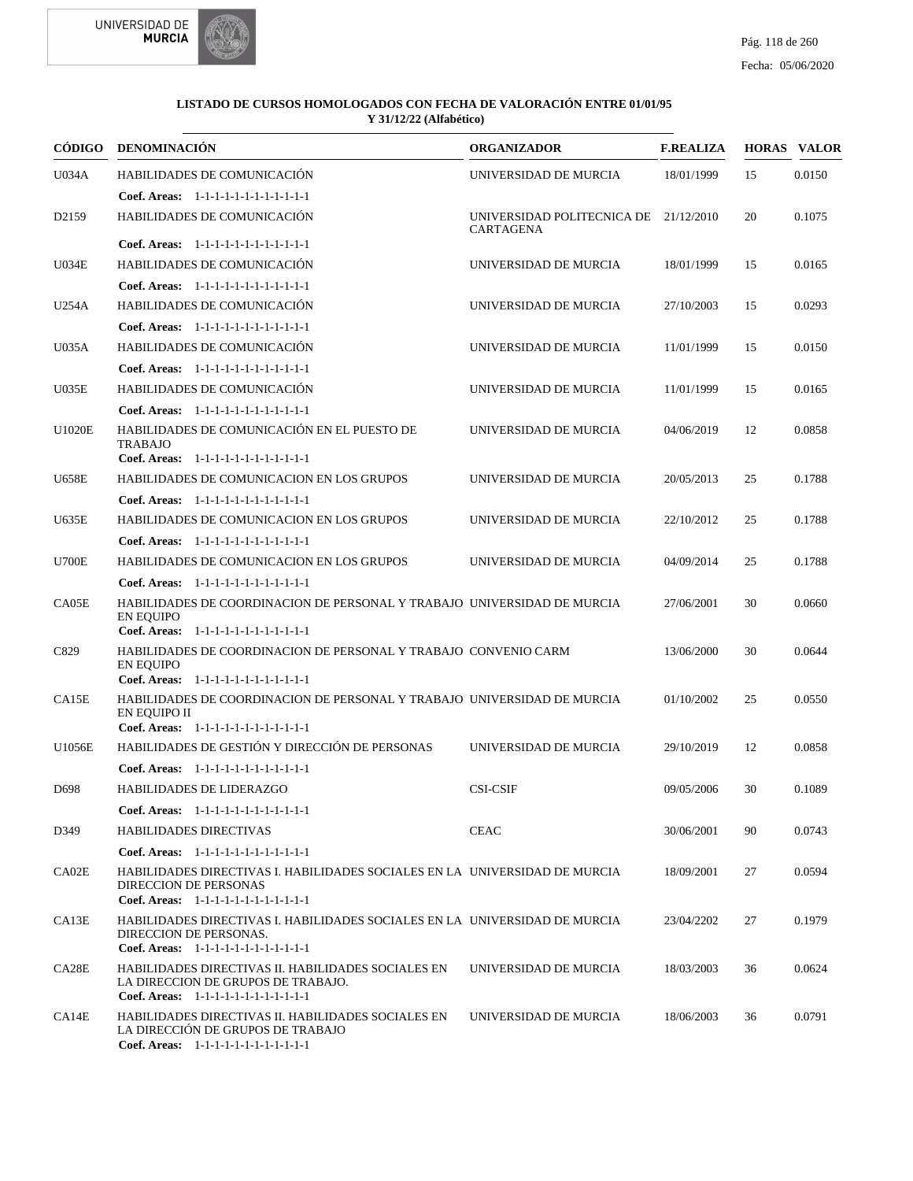



| <b>CÓDIGO</b>     | <b>DENOMINACIÓN</b>                                                                                                                                                         | <b>ORGANIZADOR</b>                                        | <b>F.REALIZA</b> |    | <b>HORAS VALOR</b> |
|-------------------|-----------------------------------------------------------------------------------------------------------------------------------------------------------------------------|-----------------------------------------------------------|------------------|----|--------------------|
| U034A             | HABILIDADES DE COMUNICACIÓN                                                                                                                                                 | UNIVERSIDAD DE MURCIA                                     | 18/01/1999       | 15 | 0.0150             |
|                   | Coef. Areas: 1-1-1-1-1-1-1-1-1-1-1-1-1                                                                                                                                      |                                                           |                  |    |                    |
| D <sub>2159</sub> | HABILIDADES DE COMUNICACIÓN                                                                                                                                                 | UNIVERSIDAD POLITECNICA DE 21/12/2010<br><b>CARTAGENA</b> |                  | 20 | 0.1075             |
|                   | Coef. Areas: 1-1-1-1-1-1-1-1-1-1-1-1-1                                                                                                                                      |                                                           |                  |    |                    |
| <b>U034E</b>      | HABILIDADES DE COMUNICACIÓN                                                                                                                                                 | UNIVERSIDAD DE MURCIA                                     | 18/01/1999       | 15 | 0.0165             |
|                   | Coef. Areas: 1-1-1-1-1-1-1-1-1-1-1-1-1                                                                                                                                      |                                                           |                  |    |                    |
| U254A             | HABILIDADES DE COMUNICACIÓN                                                                                                                                                 | UNIVERSIDAD DE MURCIA                                     | 27/10/2003       | 15 | 0.0293             |
|                   | Coef. Areas: 1-1-1-1-1-1-1-1-1-1-1-1-1                                                                                                                                      |                                                           |                  |    |                    |
| U035A             | HABILIDADES DE COMUNICACIÓN                                                                                                                                                 | UNIVERSIDAD DE MURCIA                                     | 11/01/1999       | 15 | 0.0150             |
|                   | Coef. Areas: 1-1-1-1-1-1-1-1-1-1-1-1-1                                                                                                                                      |                                                           |                  |    |                    |
| <b>U035E</b>      | HABILIDADES DE COMUNICACIÓN                                                                                                                                                 | UNIVERSIDAD DE MURCIA                                     | 11/01/1999       | 15 | 0.0165             |
|                   | Coef. Areas: $1-1-1-1-1-1-1-1-1-1-1$                                                                                                                                        |                                                           |                  |    |                    |
| <b>U1020E</b>     | HABILIDADES DE COMUNICACIÓN EN EL PUESTO DE<br><b>TRABAJO</b>                                                                                                               | UNIVERSIDAD DE MURCIA                                     | 04/06/2019       | 12 | 0.0858             |
|                   | Coef. Areas: 1-1-1-1-1-1-1-1-1-1-1-1-1                                                                                                                                      |                                                           |                  |    |                    |
| <b>U658E</b>      | HABILIDADES DE COMUNICACION EN LOS GRUPOS                                                                                                                                   | UNIVERSIDAD DE MURCIA                                     | 20/05/2013       | 25 | 0.1788             |
|                   | Coef. Areas: 1-1-1-1-1-1-1-1-1-1-1-1-1                                                                                                                                      |                                                           |                  |    |                    |
| <b>U635E</b>      | HABILIDADES DE COMUNICACION EN LOS GRUPOS                                                                                                                                   | UNIVERSIDAD DE MURCIA                                     | 22/10/2012       | 25 | 0.1788             |
|                   | Coef. Areas: 1-1-1-1-1-1-1-1-1-1-1-1-1                                                                                                                                      |                                                           |                  |    |                    |
| <b>U700E</b>      | HABILIDADES DE COMUNICACION EN LOS GRUPOS                                                                                                                                   | UNIVERSIDAD DE MURCIA                                     | 04/09/2014       | 25 | 0.1788             |
|                   | Coef. Areas: 1-1-1-1-1-1-1-1-1-1-1-1-1                                                                                                                                      |                                                           |                  |    |                    |
| CA05E             | HABILIDADES DE COORDINACION DE PERSONAL Y TRABAJO UNIVERSIDAD DE MURCIA<br><b>EN EQUIPO</b><br>Coef. Areas: 1-1-1-1-1-1-1-1-1-1-1-1-1                                       |                                                           | 27/06/2001       | 30 | 0.0660             |
| C829              | HABILIDADES DE COORDINACION DE PERSONAL Y TRABAJO CONVENIO CARM                                                                                                             |                                                           | 13/06/2000       | 30 | 0.0644             |
|                   | <b>EN EQUIPO</b><br>Coef. Areas: 1-1-1-1-1-1-1-1-1-1-1-1-1                                                                                                                  |                                                           |                  |    |                    |
| CA15E             | HABILIDADES DE COORDINACION DE PERSONAL Y TRABAJO UNIVERSIDAD DE MURCIA                                                                                                     |                                                           | 01/10/2002       | 25 | 0.0550             |
|                   | EN EQUIPO II                                                                                                                                                                |                                                           |                  |    |                    |
|                   | Coef. Areas: 1-1-1-1-1-1-1-1-1-1-1-1-1                                                                                                                                      |                                                           |                  |    |                    |
| U1056E            | HABILIDADES DE GESTIÓN Y DIRECCIÓN DE PERSONAS                                                                                                                              | UNIVERSIDAD DE MURCIA                                     | 29/10/2019       | 12 | 0.0858             |
|                   | Coef. Areas: 1-1-1-1-1-1-1-1-1-1-1-1-1                                                                                                                                      |                                                           |                  |    |                    |
| D <sub>698</sub>  | <b>HABILIDADES DE LIDERAZGO</b>                                                                                                                                             | <b>CSI-CSIF</b>                                           | 09/05/2006       | 30 | 0.1089             |
|                   | Coef. Areas: 1-1-1-1-1-1-1-1-1-1-1-1-1                                                                                                                                      |                                                           |                  |    |                    |
| D349              | <b>HABILIDADES DIRECTIVAS</b>                                                                                                                                               | <b>CEAC</b>                                               | 30/06/2001       | 90 | 0.0743             |
|                   | Coef. Areas: 1-1-1-1-1-1-1-1-1-1-1-1-1                                                                                                                                      |                                                           |                  |    |                    |
| CA02E             | HABILIDADES DIRECTIVAS I. HABILIDADES SOCIALES EN LA UNIVERSIDAD DE MURCIA<br><b>DIRECCION DE PERSONAS</b><br>Coef. Areas: 1-1-1-1-1-1-1-1-1-1-1-1-1                        |                                                           | 18/09/2001       | 27 | 0.0594             |
| CA13E             | HABILIDADES DIRECTIVAS I. HABILIDADES SOCIALES EN LA UNIVERSIDAD DE MURCIA<br>DIRECCION DE PERSONAS.<br>Coef. Areas: 1-1-1-1-1-1-1-1-1-1-1-1-1                              |                                                           | 23/04/2202       | 27 | 0.1979             |
| CA28E             | HABILIDADES DIRECTIVAS II. HABILIDADES SOCIALES EN<br>LA DIRECCION DE GRUPOS DE TRABAJO.                                                                                    | UNIVERSIDAD DE MURCIA                                     | 18/03/2003       | 36 | 0.0624             |
| CA14E             | Coef. Areas: 1-1-1-1-1-1-1-1-1-1-1-1-1<br>HABILIDADES DIRECTIVAS II. HABILIDADES SOCIALES EN<br>LA DIRECCIÓN DE GRUPOS DE TRABAJO<br>Coef. Areas: 1-1-1-1-1-1-1-1-1-1-1-1-1 | UNIVERSIDAD DE MURCIA                                     | 18/06/2003       | 36 | 0.0791             |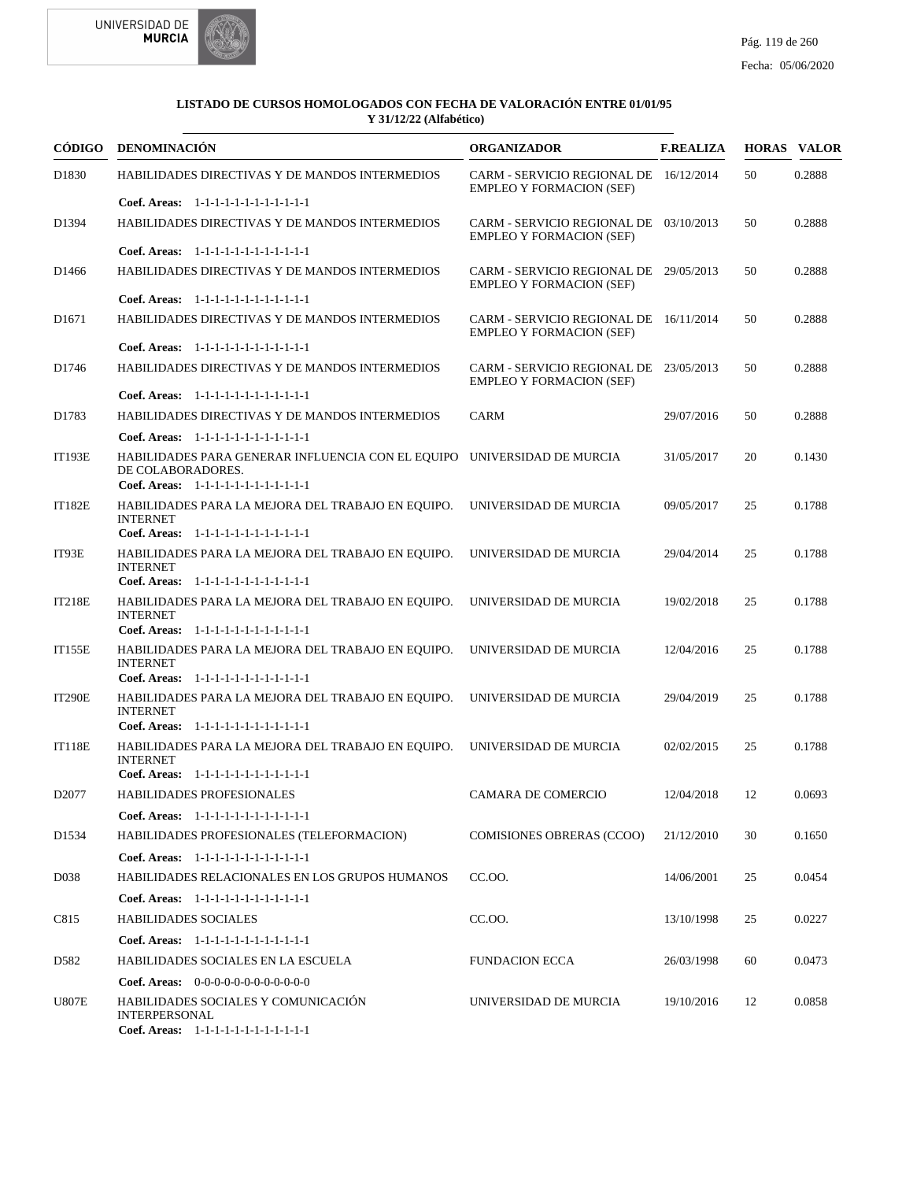



| CÓDIGO            | <b>DENOMINACIÓN</b>                                                                                                                    | <b>ORGANIZADOR</b>                                                        | <b>F.REALIZA</b> |    | <b>HORAS VALOR</b> |
|-------------------|----------------------------------------------------------------------------------------------------------------------------------------|---------------------------------------------------------------------------|------------------|----|--------------------|
| D <sub>1830</sub> | HABILIDADES DIRECTIVAS Y DE MANDOS INTERMEDIOS                                                                                         | CARM - SERVICIO REGIONAL DE 16/12/2014<br><b>EMPLEO Y FORMACION (SEF)</b> |                  | 50 | 0.2888             |
|                   | Coef. Areas: 1-1-1-1-1-1-1-1-1-1-1-1-1                                                                                                 |                                                                           |                  |    |                    |
| D1394             | HABILIDADES DIRECTIVAS Y DE MANDOS INTERMEDIOS                                                                                         | CARM - SERVICIO REGIONAL DE 03/10/2013<br><b>EMPLEO Y FORMACION (SEF)</b> |                  | 50 | 0.2888             |
|                   | Coef. Areas: 1-1-1-1-1-1-1-1-1-1-1-1-1                                                                                                 |                                                                           |                  |    |                    |
| D <sub>1466</sub> | HABILIDADES DIRECTIVAS Y DE MANDOS INTERMEDIOS                                                                                         | CARM - SERVICIO REGIONAL DE 29/05/2013<br><b>EMPLEO Y FORMACION (SEF)</b> |                  | 50 | 0.2888             |
|                   | Coef. Areas: 1-1-1-1-1-1-1-1-1-1-1-1-1                                                                                                 |                                                                           |                  |    |                    |
| D <sub>1671</sub> | HABILIDADES DIRECTIVAS Y DE MANDOS INTERMEDIOS                                                                                         | CARM - SERVICIO REGIONAL DE 16/11/2014<br><b>EMPLEO Y FORMACION (SEF)</b> |                  | 50 | 0.2888             |
|                   | Coef. Areas: 1-1-1-1-1-1-1-1-1-1-1-1-1                                                                                                 |                                                                           |                  |    |                    |
| D1746             | HABILIDADES DIRECTIVAS Y DE MANDOS INTERMEDIOS                                                                                         | CARM - SERVICIO REGIONAL DE 23/05/2013<br><b>EMPLEO Y FORMACION (SEF)</b> |                  | 50 | 0.2888             |
|                   | Coef. Areas: 1-1-1-1-1-1-1-1-1-1-1-1-1                                                                                                 |                                                                           |                  |    |                    |
| D1783             | HABILIDADES DIRECTIVAS Y DE MANDOS INTERMEDIOS                                                                                         | <b>CARM</b>                                                               | 29/07/2016       | 50 | 0.2888             |
|                   | Coef. Areas: 1-1-1-1-1-1-1-1-1-1-1-1-1                                                                                                 |                                                                           |                  |    |                    |
| <b>IT193E</b>     | HABILIDADES PARA GENERAR INFLUENCIA CON EL EQUIPO UNIVERSIDAD DE MURCIA<br>DE COLABORADORES.<br>Coef. Areas: 1-1-1-1-1-1-1-1-1-1-1-1-1 |                                                                           | 31/05/2017       | 20 | 0.1430             |
| <b>IT182E</b>     | HABILIDADES PARA LA MEJORA DEL TRABAJO EN EQUIPO.<br><b>INTERNET</b><br>Coef. Areas: 1-1-1-1-1-1-1-1-1-1-1-1-1                         | UNIVERSIDAD DE MURCIA                                                     | 09/05/2017       | 25 | 0.1788             |
|                   |                                                                                                                                        |                                                                           |                  |    |                    |
| IT93E             | HABILIDADES PARA LA MEJORA DEL TRABAJO EN EQUIPO.<br><b>INTERNET</b><br>Coef. Areas: 1-1-1-1-1-1-1-1-1-1-1-1-1                         | UNIVERSIDAD DE MURCIA                                                     | 29/04/2014       | 25 | 0.1788             |
| <b>IT218E</b>     | HABILIDADES PARA LA MEJORA DEL TRABAJO EN EQUIPO.<br><b>INTERNET</b>                                                                   | UNIVERSIDAD DE MURCIA                                                     | 19/02/2018       | 25 | 0.1788             |
|                   | Coef. Areas: 1-1-1-1-1-1-1-1-1-1-1-1-1                                                                                                 |                                                                           |                  |    |                    |
| <b>IT155E</b>     | HABILIDADES PARA LA MEJORA DEL TRABAJO EN EQUIPO.<br><b>INTERNET</b><br>Coef. Areas: 1-1-1-1-1-1-1-1-1-1-1-1-1                         | UNIVERSIDAD DE MURCIA                                                     | 12/04/2016       | 25 | 0.1788             |
| <b>IT290E</b>     | HABILIDADES PARA LA MEJORA DEL TRABAJO EN EQUIPO.                                                                                      | UNIVERSIDAD DE MURCIA                                                     | 29/04/2019       | 25 | 0.1788             |
|                   | <b>INTERNET</b>                                                                                                                        |                                                                           |                  |    |                    |
|                   | Coef. Areas: 1-1-1-1-1-1-1-1-1-1-1-1-1                                                                                                 |                                                                           |                  |    |                    |
| <b>IT118E</b>     | HABILIDADES PARA LA MEJORA DEL TRABAJO EN EQUIPO.<br><b>INTERNET</b><br>Coef. Areas: 1-1-1-1-1-1-1-1-1-1-1-1-1                         | UNIVERSIDAD DE MURCIA                                                     | 02/02/2015       | 25 | 0.1788             |
| D <sub>2077</sub> | <b>HABILIDADES PROFESIONALES</b>                                                                                                       | <b>CAMARA DE COMERCIO</b>                                                 | 12/04/2018       | 12 | 0.0693             |
|                   | Coef. Areas: 1-1-1-1-1-1-1-1-1-1-1-1-1                                                                                                 |                                                                           |                  |    |                    |
| D <sub>1534</sub> | HABILIDADES PROFESIONALES (TELEFORMACION)                                                                                              | <b>COMISIONES OBRERAS (CCOO)</b>                                          | 21/12/2010       | 30 | 0.1650             |
|                   | Coef. Areas: 1-1-1-1-1-1-1-1-1-1-1-1-1                                                                                                 |                                                                           |                  |    |                    |
| D <sub>0</sub> 38 | HABILIDADES RELACIONALES EN LOS GRUPOS HUMANOS                                                                                         | CC.OO.                                                                    | 14/06/2001       | 25 | 0.0454             |
|                   | Coef. Areas: 1-1-1-1-1-1-1-1-1-1-1-1-1                                                                                                 |                                                                           |                  |    |                    |
| C815              | <b>HABILIDADES SOCIALES</b>                                                                                                            | CC.OO.                                                                    | 13/10/1998       | 25 | 0.0227             |
|                   | Coef. Areas: 1-1-1-1-1-1-1-1-1-1-1-1-1                                                                                                 |                                                                           |                  |    |                    |
| D582              | HABILIDADES SOCIALES EN LA ESCUELA                                                                                                     | <b>FUNDACION ECCA</b>                                                     | 26/03/1998       | 60 | 0.0473             |
|                   | <b>Coef. Areas:</b> $0-0-0-0-0-0-0-0-0-0-0-0$                                                                                          |                                                                           |                  |    |                    |
| <b>U807E</b>      | HABILIDADES SOCIALES Y COMUNICACIÓN<br><b>INTERPERSONAL</b><br>Coef. Areas: 1-1-1-1-1-1-1-1-1-1-1-1-1                                  | UNIVERSIDAD DE MURCIA                                                     | 19/10/2016       | 12 | 0.0858             |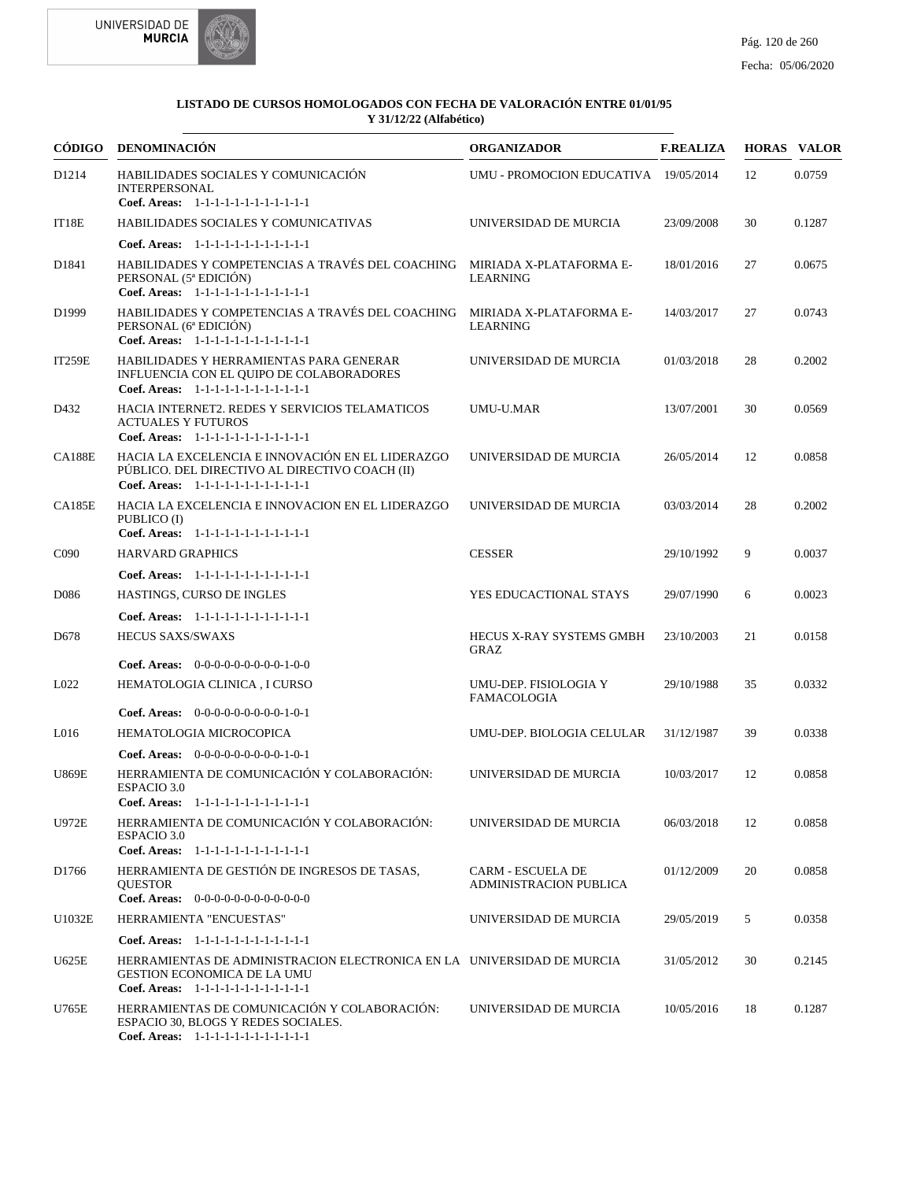

|                   | CÓDIGO DENOMINACIÓN                                                                                                                                     | <b>ORGANIZADOR</b>                                 | <b>F.REALIZA</b> |    | <b>HORAS VALOR</b> |
|-------------------|---------------------------------------------------------------------------------------------------------------------------------------------------------|----------------------------------------------------|------------------|----|--------------------|
| D1214             | HABILIDADES SOCIALES Y COMUNICACIÓN<br><b>INTERPERSONAL</b><br>Coef. Areas: 1-1-1-1-1-1-1-1-1-1-1-1-1                                                   | UMU - PROMOCION EDUCATIVA 19/05/2014               |                  | 12 | 0.0759             |
| IT18E             | HABILIDADES SOCIALES Y COMUNICATIVAS                                                                                                                    | UNIVERSIDAD DE MURCIA                              | 23/09/2008       | 30 | 0.1287             |
|                   | Coef. Areas: 1-1-1-1-1-1-1-1-1-1-1-1-1                                                                                                                  |                                                    |                  |    |                    |
| D1841             | HABILIDADES Y COMPETENCIAS A TRAVÉS DEL COACHING MIRIADA X-PLATAFORMA E-<br>PERSONAL (5 <sup>ª</sup> EDICIÓN)<br>Coef. Areas: 1-1-1-1-1-1-1-1-1-1-1-1-1 | <b>LEARNING</b>                                    | 18/01/2016       | 27 | 0.0675             |
| D <sub>1999</sub> | HABILIDADES Y COMPETENCIAS A TRAVÉS DEL COACHING<br>PERSONAL (6ª EDICIÓN)<br>Coef. Areas: 1-1-1-1-1-1-1-1-1-1-1-1-1                                     | MIRIADA X-PLATAFORMA E-<br><b>LEARNING</b>         | 14/03/2017       | 27 | 0.0743             |
| <b>IT259E</b>     | HABILIDADES Y HERRAMIENTAS PARA GENERAR<br>INFLUENCIA CON EL QUIPO DE COLABORADORES<br>Coef. Areas: 1-1-1-1-1-1-1-1-1-1-1-1-1                           | UNIVERSIDAD DE MURCIA                              | 01/03/2018       | 28 | 0.2002             |
| D432              | HACIA INTERNET2. REDES Y SERVICIOS TELAMATICOS<br><b>ACTUALES Y FUTUROS</b><br>Coef. Areas: 1-1-1-1-1-1-1-1-1-1-1-1-1                                   | UMU-U.MAR                                          | 13/07/2001       | 30 | 0.0569             |
| <b>CA188E</b>     | HACIA LA EXCELENCIA E INNOVACIÓN EN EL LIDERAZGO<br>PÚBLICO. DEL DIRECTIVO AL DIRECTIVO COACH (II)<br>Coef. Areas: 1-1-1-1-1-1-1-1-1-1-1-1-1            | UNIVERSIDAD DE MURCIA                              | 26/05/2014       | 12 | 0.0858             |
| <b>CA185E</b>     | HACIA LA EXCELENCIA E INNOVACION EN EL LIDERAZGO<br>PUBLICO (I)<br>Coef. Areas: 1-1-1-1-1-1-1-1-1-1-1-1-1                                               | UNIVERSIDAD DE MURCIA                              | 03/03/2014       | 28 | 0.2002             |
| C <sub>090</sub>  | <b>HARVARD GRAPHICS</b>                                                                                                                                 | <b>CESSER</b>                                      | 29/10/1992       | 9  | 0.0037             |
|                   | Coef. Areas: $1-1-1-1-1-1-1-1-1-1-1$                                                                                                                    |                                                    |                  |    |                    |
| D086              | HASTINGS, CURSO DE INGLES                                                                                                                               | YES EDUCACTIONAL STAYS                             | 29/07/1990       | 6  | 0.0023             |
|                   | Coef. Areas: 1-1-1-1-1-1-1-1-1-1-1-1-1                                                                                                                  |                                                    |                  |    |                    |
| D <sub>678</sub>  | <b>HECUS SAXS/SWAXS</b>                                                                                                                                 | HECUS X-RAY SYSTEMS GMBH<br>GRAZ                   | 23/10/2003       | 21 | 0.0158             |
|                   | Coef. Areas: $0-0-0-0-0-0-0-0-1-0-0$                                                                                                                    |                                                    |                  |    |                    |
| L022              | HEMATOLOGIA CLINICA, I CURSO                                                                                                                            | UMU-DEP. FISIOLOGIA Y<br><b>FAMACOLOGIA</b>        | 29/10/1988       | 35 | 0.0332             |
|                   | <b>Coef. Areas:</b> $0-0-0-0-0-0-0-0-1-0-1$                                                                                                             |                                                    |                  |    |                    |
| L <sub>016</sub>  | HEMATOLOGIA MICROCOPICA                                                                                                                                 | UMU-DEP. BIOLOGIA CELULAR                          | 31/12/1987       | 39 | 0.0338             |
|                   | Coef. Areas: $0-0-0-0-0-0-0-0-1-0-1$                                                                                                                    |                                                    |                  |    |                    |
| <b>U869E</b>      | HERRAMIENTA DE COMUNICACIÓN Y COLABORACIÓN:<br>ESPACIO 3.0<br>Coef. Areas: 1-1-1-1-1-1-1-1-1-1-1-1-1                                                    | UNIVERSIDAD DE MURCIA                              | 10/03/2017       | 12 | 0.0858             |
| U972E             | HERRAMIENTA DE COMUNICACIÓN Y COLABORACIÓN:<br>ESPACIO 3.0                                                                                              | UNIVERSIDAD DE MURCIA                              | 06/03/2018       | 12 | 0.0858             |
| D1766             | Coef. Areas: 1-1-1-1-1-1-1-1-1-1-1-1-1<br>HERRAMIENTA DE GESTIÓN DE INGRESOS DE TASAS,<br><b>QUESTOR</b>                                                | <b>CARM - ESCUELA DE</b><br>ADMINISTRACION PUBLICA | 01/12/2009       | 20 | 0.0858             |
|                   | Coef. Areas: $0-0-0-0-0-0-0-0-0-0-0$                                                                                                                    |                                                    |                  |    |                    |
| U1032E            | HERRAMIENTA "ENCUESTAS"                                                                                                                                 | UNIVERSIDAD DE MURCIA                              | 29/05/2019       | 5  | 0.0358             |
|                   | Coef. Areas: 1-1-1-1-1-1-1-1-1-1-1-1-1                                                                                                                  |                                                    |                  |    |                    |
| U625E             | HERRAMIENTAS DE ADMINISTRACION ELECTRONICA EN LA UNIVERSIDAD DE MURCIA<br><b>GESTION ECONOMICA DE LA UMU</b><br>Coef. Areas: 1-1-1-1-1-1-1-1-1-1-1-1-1  |                                                    | 31/05/2012       | 30 | 0.2145             |
| U765E             | HERRAMIENTAS DE COMUNICACIÓN Y COLABORACIÓN:<br>ESPACIO 30, BLOGS Y REDES SOCIALES.<br>Coef. Areas: 1-1-1-1-1-1-1-1-1-1-1-1-1                           | UNIVERSIDAD DE MURCIA                              | 10/05/2016       | 18 | 0.1287             |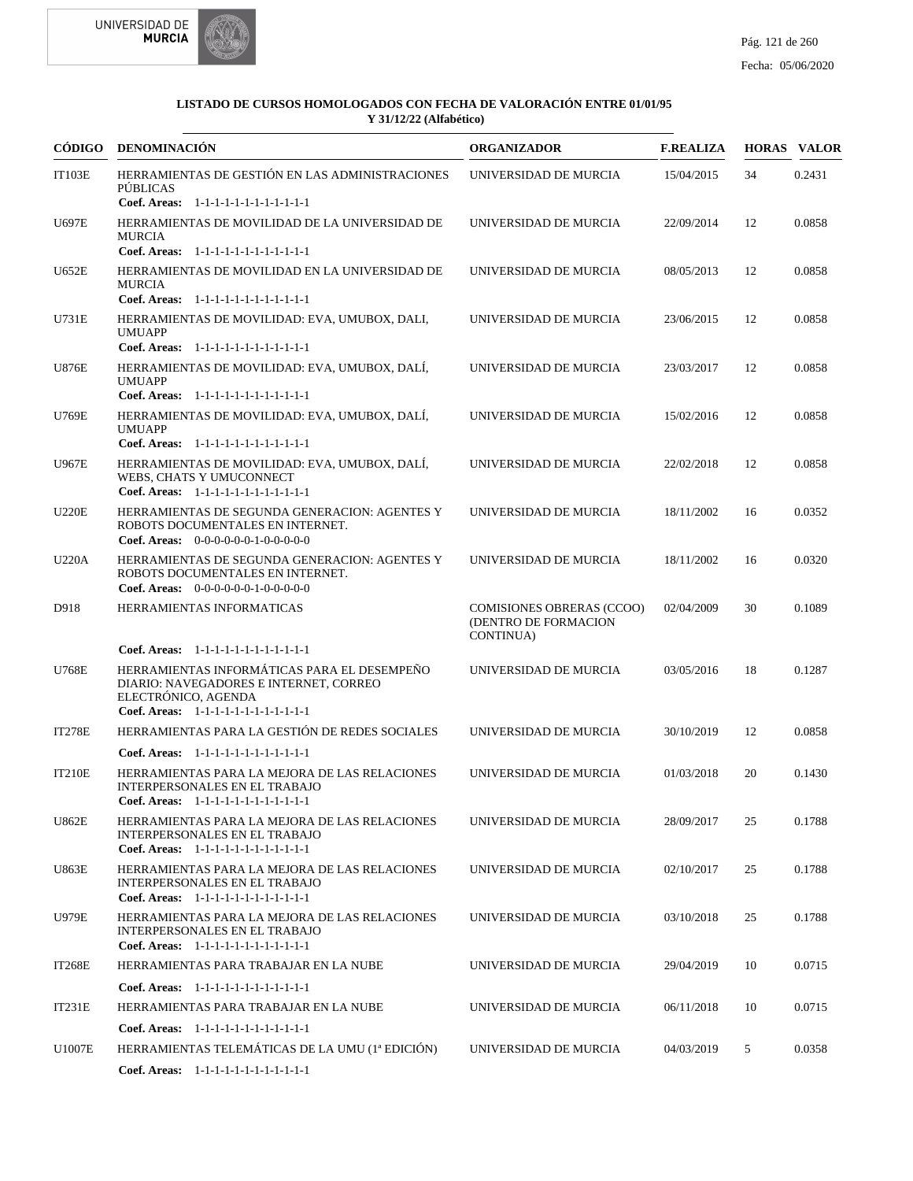



| CÓDIGO        | DENOMINACIÓN                                                                                                                                                                                     | <b>ORGANIZADOR</b>                                                    | <b>F.REALIZA</b> |    | <b>HORAS VALOR</b> |
|---------------|--------------------------------------------------------------------------------------------------------------------------------------------------------------------------------------------------|-----------------------------------------------------------------------|------------------|----|--------------------|
| <b>IT103E</b> | HERRAMIENTAS DE GESTIÓN EN LAS ADMINISTRACIONES<br><b>PÚBLICAS</b><br>Coef. Areas: 1-1-1-1-1-1-1-1-1-1-1-1-1                                                                                     | UNIVERSIDAD DE MURCIA                                                 | 15/04/2015       | 34 | 0.2431             |
| U697E         | HERRAMIENTAS DE MOVILIDAD DE LA UNIVERSIDAD DE<br><b>MURCIA</b><br>Coef. Areas: 1-1-1-1-1-1-1-1-1-1-1-1-1                                                                                        | UNIVERSIDAD DE MURCIA                                                 | 22/09/2014       | 12 | 0.0858             |
| <b>U652E</b>  | HERRAMIENTAS DE MOVILIDAD EN LA UNIVERSIDAD DE<br><b>MURCIA</b><br>Coef. Areas: 1-1-1-1-1-1-1-1-1-1-1-1-1                                                                                        | UNIVERSIDAD DE MURCIA                                                 | 08/05/2013       | 12 | 0.0858             |
| U731E         | HERRAMIENTAS DE MOVILIDAD: EVA, UMUBOX, DALI,<br><b>UMUAPP</b><br>Coef. Areas: 1-1-1-1-1-1-1-1-1-1-1-1-1                                                                                         | UNIVERSIDAD DE MURCIA                                                 | 23/06/2015       | 12 | 0.0858             |
| <b>U876E</b>  | HERRAMIENTAS DE MOVILIDAD: EVA, UMUBOX, DALÍ,<br><b>UMUAPP</b><br>Coef. Areas: 1-1-1-1-1-1-1-1-1-1-1-1-1                                                                                         | UNIVERSIDAD DE MURCIA                                                 | 23/03/2017       | 12 | 0.0858             |
| U769E         | HERRAMIENTAS DE MOVILIDAD: EVA, UMUBOX, DALÍ,<br><b>UMUAPP</b><br>Coef. Areas: 1-1-1-1-1-1-1-1-1-1-1-1-1                                                                                         | UNIVERSIDAD DE MURCIA                                                 | 15/02/2016       | 12 | 0.0858             |
| U967E         | HERRAMIENTAS DE MOVILIDAD: EVA, UMUBOX, DALÍ,<br><b>WEBS, CHATS Y UMUCONNECT</b><br>Coef. Areas: 1-1-1-1-1-1-1-1-1-1-1-1-1                                                                       | UNIVERSIDAD DE MURCIA                                                 | 22/02/2018       | 12 | 0.0858             |
| <b>U220E</b>  | HERRAMIENTAS DE SEGUNDA GENERACION: AGENTES Y<br>ROBOTS DOCUMENTALES EN INTERNET.<br>Coef. Areas: $0-0-0-0-0-1-0-0-0-0-0$                                                                        | UNIVERSIDAD DE MURCIA                                                 | 18/11/2002       | 16 | 0.0352             |
| <b>U220A</b>  | HERRAMIENTAS DE SEGUNDA GENERACION: AGENTES Y<br>ROBOTS DOCUMENTALES EN INTERNET.<br>Coef. Areas: $0-0-0-0-0-1-0-0-0-0-0$                                                                        | UNIVERSIDAD DE MURCIA                                                 | 18/11/2002       | 16 | 0.0320             |
| D918          | HERRAMIENTAS INFORMATICAS                                                                                                                                                                        | <b>COMISIONES OBRERAS (CCOO)</b><br>(DENTRO DE FORMACION<br>CONTINUA) | 02/04/2009       | 30 | 0.1089             |
| U768E         | Coef. Areas: 1-1-1-1-1-1-1-1-1-1-1-1-1<br>HERRAMIENTAS INFORMÁTICAS PARA EL DESEMPEÑO<br>DIARIO: NAVEGADORES E INTERNET, CORREO<br>ELECTRÓNICO, AGENDA<br>Coef. Areas: 1-1-1-1-1-1-1-1-1-1-1-1-1 | UNIVERSIDAD DE MURCIA                                                 | 03/05/2016       | 18 | 0.1287             |
| <b>IT278E</b> | HERRAMIENTAS PARA LA GESTIÓN DE REDES SOCIALES                                                                                                                                                   | UNIVERSIDAD DE MURCIA                                                 | 30/10/2019       | 12 | 0.0858             |
|               | Coef. Areas: $1-1-1-1-1-1-1-1-1-1-1$                                                                                                                                                             |                                                                       |                  |    |                    |
| IT210E        | HERRAMIENTAS PARA LA MEJORA DE LAS RELACIONES<br><b>INTERPERSONALES EN EL TRABAJO</b><br>Coef. Areas: $1-1-1-1-1-1-1-1-1-1-1$                                                                    | UNIVERSIDAD DE MURCIA                                                 | 01/03/2018       | 20 | 0.1430             |
| <b>U862E</b>  | HERRAMIENTAS PARA LA MEJORA DE LAS RELACIONES<br>INTERPERSONALES EN EL TRABAJO<br>Coef. Areas: 1-1-1-1-1-1-1-1-1-1-1-1-1                                                                         | UNIVERSIDAD DE MURCIA                                                 | 28/09/2017       | 25 | 0.1788             |
| <b>U863E</b>  | HERRAMIENTAS PARA LA MEJORA DE LAS RELACIONES<br><b>INTERPERSONALES EN EL TRABAJO</b><br>Coef. Areas: 1-1-1-1-1-1-1-1-1-1-1-1-1                                                                  | UNIVERSIDAD DE MURCIA                                                 | 02/10/2017       | 25 | 0.1788             |
| <b>U979E</b>  | HERRAMIENTAS PARA LA MEJORA DE LAS RELACIONES<br><b>INTERPERSONALES EN EL TRABAJO</b><br>Coef. Areas: 1-1-1-1-1-1-1-1-1-1-1-1-1                                                                  | UNIVERSIDAD DE MURCIA                                                 | 03/10/2018       | 25 | 0.1788             |
| <b>IT268E</b> | HERRAMIENTAS PARA TRABAJAR EN LA NUBE                                                                                                                                                            | UNIVERSIDAD DE MURCIA                                                 | 29/04/2019       | 10 | 0.0715             |
|               | Coef. Areas: 1-1-1-1-1-1-1-1-1-1-1-1-1                                                                                                                                                           |                                                                       |                  |    |                    |
| IT231E        | HERRAMIENTAS PARA TRABAJAR EN LA NUBE                                                                                                                                                            | UNIVERSIDAD DE MURCIA                                                 | 06/11/2018       | 10 | 0.0715             |
|               | Coef. Areas: 1-1-1-1-1-1-1-1-1-1-1-1-1                                                                                                                                                           |                                                                       |                  |    |                    |
| U1007E        | HERRAMIENTAS TELEMÁTICAS DE LA UMU (1ª EDICIÓN)                                                                                                                                                  | UNIVERSIDAD DE MURCIA                                                 | 04/03/2019       | 5  | 0.0358             |
|               | Coef. Areas: 1-1-1-1-1-1-1-1-1-1-1-1-1                                                                                                                                                           |                                                                       |                  |    |                    |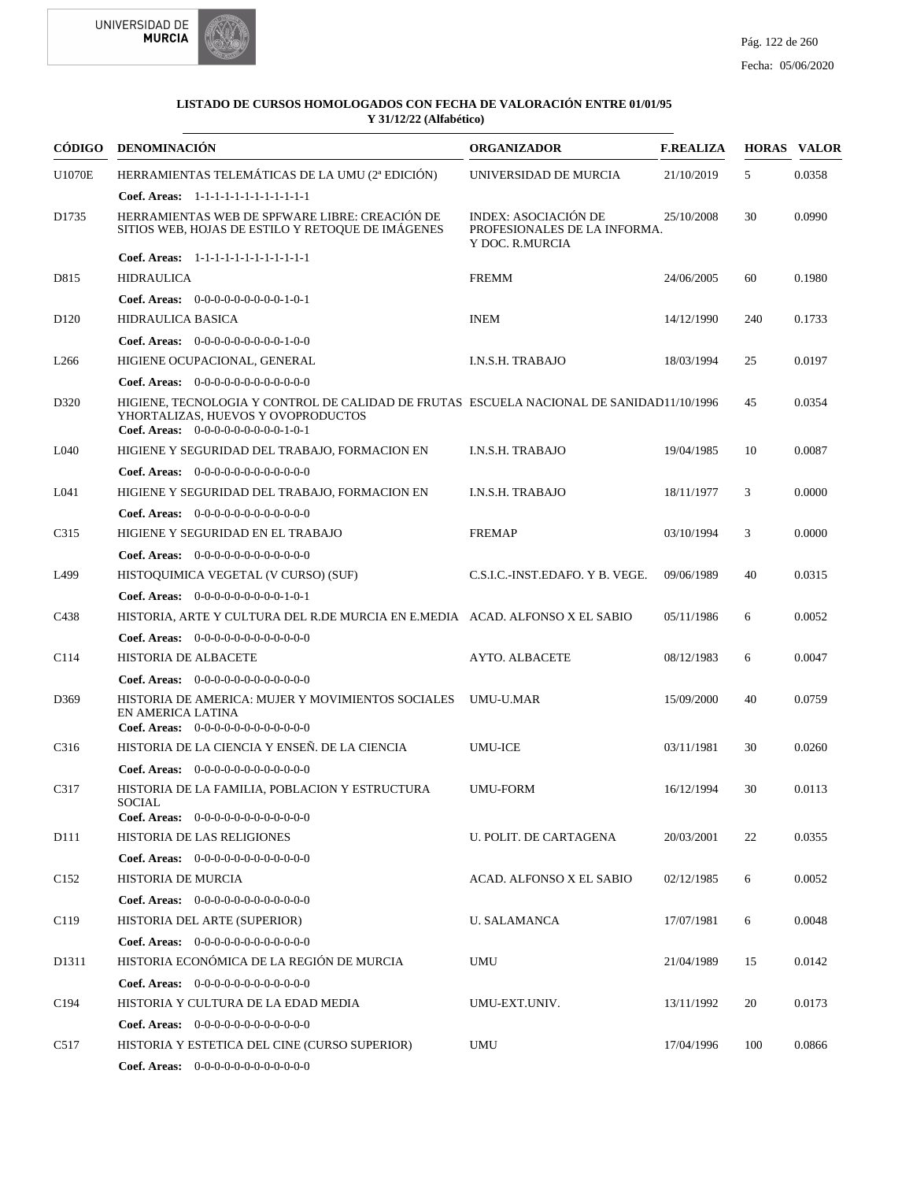



| CÓDIGO            | <b>DENOMINACIÓN</b>                                                                                                                                                    | <b>ORGANIZADOR</b>                                                      | <b>F.REALIZA</b> |     | <b>HORAS VALOR</b> |
|-------------------|------------------------------------------------------------------------------------------------------------------------------------------------------------------------|-------------------------------------------------------------------------|------------------|-----|--------------------|
| <b>U1070E</b>     | HERRAMIENTAS TELEMÁTICAS DE LA UMU (2ª EDICIÓN)                                                                                                                        | UNIVERSIDAD DE MURCIA                                                   | 21/10/2019       | 5   | 0.0358             |
|                   | Coef. Areas: 1-1-1-1-1-1-1-1-1-1-1-1-1                                                                                                                                 |                                                                         |                  |     |                    |
| D1735             | HERRAMIENTAS WEB DE SPFWARE LIBRE: CREACIÓN DE<br>SITIOS WEB, HOJAS DE ESTILO Y RETOQUE DE IMÁGENES                                                                    | INDEX: ASOCIACIÓN DE<br>PROFESIONALES DE LA INFORMA.<br>Y DOC. R.MURCIA | 25/10/2008       | 30  | 0.0990             |
|                   | Coef. Areas: 1-1-1-1-1-1-1-1-1-1-1-1-1                                                                                                                                 |                                                                         |                  |     |                    |
| D815              | <b>HIDRAULICA</b>                                                                                                                                                      | <b>FREMM</b>                                                            | 24/06/2005       | 60  | 0.1980             |
|                   | <b>Coef. Areas:</b> $0-0-0-0-0-0-0-0-1-0-1$                                                                                                                            |                                                                         |                  |     |                    |
| D <sub>120</sub>  | <b>HIDRAULICA BASICA</b>                                                                                                                                               | <b>INEM</b>                                                             | 14/12/1990       | 240 | 0.1733             |
|                   | <b>Coef. Areas:</b> $0-0-0-0-0-0-0-0-1-0-0$                                                                                                                            |                                                                         |                  |     |                    |
| L <sub>266</sub>  | HIGIENE OCUPACIONAL, GENERAL                                                                                                                                           | I.N.S.H. TRABAJO                                                        | 18/03/1994       | 25  | 0.0197             |
|                   | Coef. Areas: $0-0-0-0-0-0-0-0-0-0-0$                                                                                                                                   |                                                                         |                  |     |                    |
| D320              | HIGIENE, TECNOLOGIA Y CONTROL DE CALIDAD DE FRUTAS ESCUELA NACIONAL DE SANIDAD11/10/1996<br>YHORTALIZAS, HUEVOS Y OVOPRODUCTOS<br>Coef. Areas: $0-0-0-0-0-0-0-0-1-0-1$ |                                                                         |                  | 45  | 0.0354             |
| L <sub>040</sub>  | HIGIENE Y SEGURIDAD DEL TRABAJO, FORMACION EN                                                                                                                          | <b>I.N.S.H. TRABAJO</b>                                                 | 19/04/1985       | 10  | 0.0087             |
|                   | Coef. Areas: $0-0-0-0-0-0-0-0-0-0-0$                                                                                                                                   |                                                                         |                  |     |                    |
| L041              | HIGIENE Y SEGURIDAD DEL TRABAJO, FORMACION EN                                                                                                                          | I.N.S.H. TRABAJO                                                        | 18/11/1977       | 3   | 0.0000             |
|                   | <b>Coef. Areas:</b> $0-0-0-0-0-0-0-0-0-0-0-0$                                                                                                                          |                                                                         |                  |     |                    |
| C315              | HIGIENE Y SEGURIDAD EN EL TRABAJO                                                                                                                                      | <b>FREMAP</b>                                                           | 03/10/1994       | 3   | 0.0000             |
|                   | Coef. Areas: $0-0-0-0-0-0-0-0-0-0-0-0$                                                                                                                                 |                                                                         |                  |     |                    |
| L499              | HISTOQUIMICA VEGETAL (V CURSO) (SUF)                                                                                                                                   | C.S.I.C.-INST.EDAFO. Y B. VEGE.                                         | 09/06/1989       | 40  | 0.0315             |
|                   | Coef. Areas: $0-0-0-0-0-0-0-0-1-0-1$                                                                                                                                   |                                                                         |                  |     |                    |
| C <sub>4</sub> 38 | HISTORIA, ARTE Y CULTURA DEL R.DE MURCIA EN E.MEDIA ACAD. ALFONSO X EL SABIO                                                                                           |                                                                         | 05/11/1986       | 6   | 0.0052             |
|                   | <b>Coef. Areas:</b> $0-0-0-0-0-0-0-0-0-0-0-0$                                                                                                                          |                                                                         |                  |     |                    |
| C <sub>114</sub>  | HISTORIA DE ALBACETE                                                                                                                                                   | <b>AYTO. ALBACETE</b>                                                   | 08/12/1983       | 6   | 0.0047             |
|                   | <b>Coef. Areas:</b> $0-0-0-0-0-0-0-0-0-0-0-0$                                                                                                                          |                                                                         |                  |     |                    |
| D369              | HISTORIA DE AMERICA: MUJER Y MOVIMIENTOS SOCIALES<br>EN AMERICA LATINA<br>Coef. Areas: $0-0-0-0-0-0-0-0-0-0-0$                                                         | UMU-U.MAR                                                               | 15/09/2000       | 40  | 0.0759             |
| C316              | HISTORIA DE LA CIENCIA Y ENSEÑ. DE LA CIENCIA                                                                                                                          | <b>UMU-ICE</b>                                                          | 03/11/1981       | 30  | 0.0260             |
|                   | Coef. Areas: $0-0-0-0-0-0-0-0-0-0-0$                                                                                                                                   |                                                                         |                  |     |                    |
| C317              | HISTORIA DE LA FAMILIA, POBLACION Y ESTRUCTURA<br>SOCIAL<br><b>Coef. Areas:</b> $0-0-0-0-0-0-0-0-0-0-0-0$                                                              | <b>UMU-FORM</b>                                                         | 16/12/1994       | 30  | 0.0113             |
| D111              | HISTORIA DE LAS RELIGIONES                                                                                                                                             | U. POLIT. DE CARTAGENA                                                  | 20/03/2001       | 22  | 0.0355             |
|                   | Coef. Areas: $0-0-0-0-0-0-0-0-0-0-0$                                                                                                                                   |                                                                         |                  |     |                    |
| C <sub>152</sub>  | HISTORIA DE MURCIA                                                                                                                                                     | ACAD. ALFONSO X EL SABIO                                                | 02/12/1985       | 6   | 0.0052             |
|                   | Coef. Areas: $0-0-0-0-0-0-0-0-0-0-0$                                                                                                                                   |                                                                         |                  |     |                    |
| C119              | HISTORIA DEL ARTE (SUPERIOR)                                                                                                                                           | <b>U. SALAMANCA</b>                                                     | 17/07/1981       | 6   | 0.0048             |
|                   | Coef. Areas: $0-0-0-0-0-0-0-0-0-0-0-0$                                                                                                                                 |                                                                         |                  |     |                    |
| D1311             | HISTORIA ECONÓMICA DE LA REGIÓN DE MURCIA                                                                                                                              | UMU                                                                     | 21/04/1989       | 15  | 0.0142             |
|                   | Coef. Areas: $0-0-0-0-0-0-0-0-0-0-0$                                                                                                                                   |                                                                         |                  |     |                    |
| C194              | HISTORIA Y CULTURA DE LA EDAD MEDIA                                                                                                                                    | UMU-EXT.UNIV.                                                           | 13/11/1992       | 20  | 0.0173             |
|                   | <b>Coef. Areas:</b> $0-0-0-0-0-0-0-0-0-0-0-0$                                                                                                                          |                                                                         |                  |     |                    |
| C517              | HISTORIA Y ESTETICA DEL CINE (CURSO SUPERIOR)                                                                                                                          | UMU                                                                     | 17/04/1996       | 100 | 0.0866             |
|                   | Coef. Areas: 0-0-0-0-0-0-0-0-0-0-0-0-0                                                                                                                                 |                                                                         |                  |     |                    |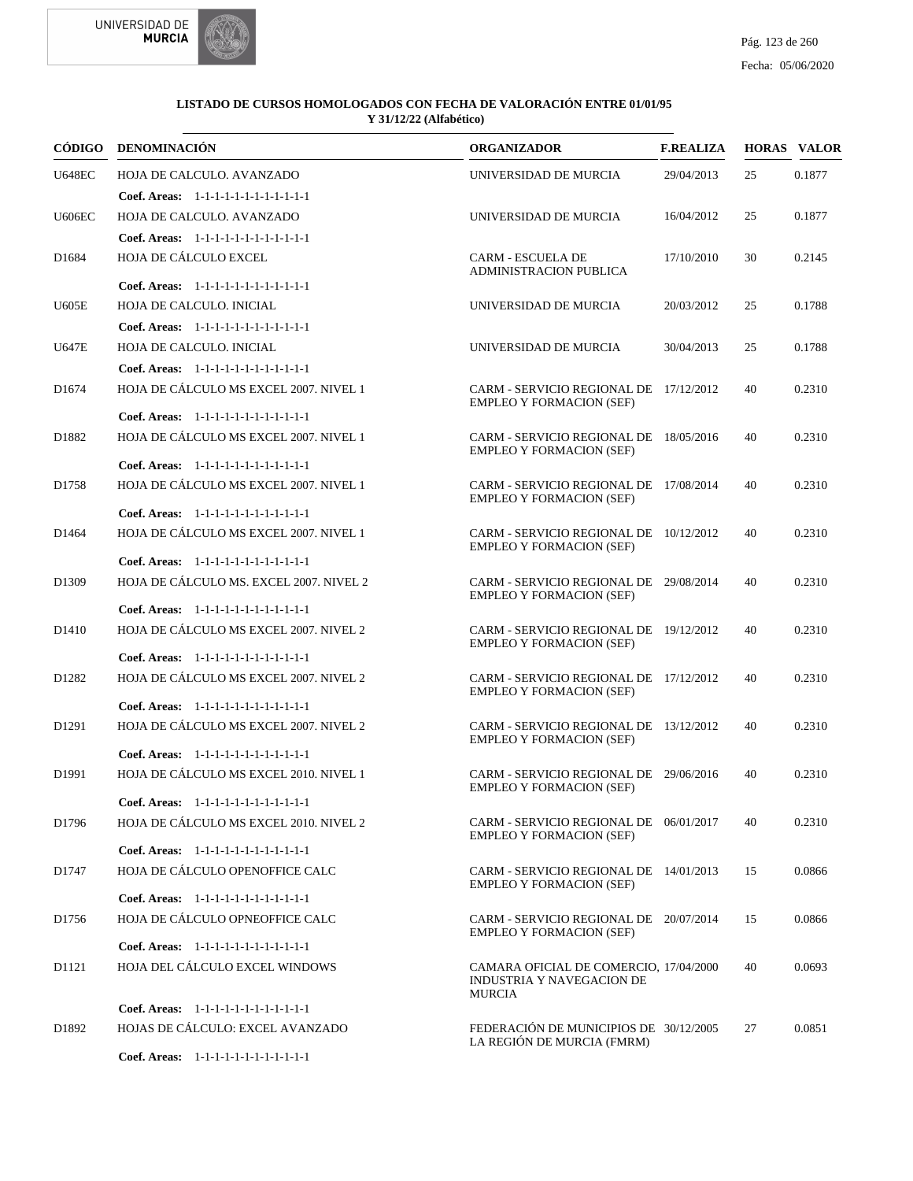



|                   | CÓDIGO DENOMINACIÓN                                                              | <b>ORGANIZADOR</b>                                                            | <b>F.REALIZA</b> |    | <b>HORAS VALOR</b> |
|-------------------|----------------------------------------------------------------------------------|-------------------------------------------------------------------------------|------------------|----|--------------------|
| <b>U648EC</b>     | HOJA DE CALCULO. AVANZADO                                                        | UNIVERSIDAD DE MURCIA                                                         | 29/04/2013       | 25 | 0.1877             |
|                   | Coef. Areas: 1-1-1-1-1-1-1-1-1-1-1-1-1                                           |                                                                               |                  |    |                    |
| <b>U606EC</b>     | HOJA DE CALCULO. AVANZADO                                                        | UNIVERSIDAD DE MURCIA                                                         | 16/04/2012       | 25 | 0.1877             |
|                   | Coef. Areas: 1-1-1-1-1-1-1-1-1-1-1-1-1                                           |                                                                               |                  |    |                    |
| D <sub>1684</sub> | HOJA DE CÁLCULO EXCEL                                                            | <b>CARM - ESCUELA DE</b><br><b>ADMINISTRACION PUBLICA</b>                     | 17/10/2010       | 30 | 0.2145             |
|                   | Coef. Areas: 1-1-1-1-1-1-1-1-1-1-1-1-1                                           |                                                                               |                  |    |                    |
| U605E             | HOJA DE CALCULO. INICIAL                                                         | UNIVERSIDAD DE MURCIA                                                         | 20/03/2012       | 25 | 0.1788             |
|                   | Coef. Areas: 1-1-1-1-1-1-1-1-1-1-1-1-1                                           |                                                                               |                  |    |                    |
| <b>U647E</b>      | HOJA DE CALCULO. INICIAL                                                         | UNIVERSIDAD DE MURCIA                                                         | 30/04/2013       | 25 | 0.1788             |
|                   | Coef. Areas: 1-1-1-1-1-1-1-1-1-1-1-1-1                                           |                                                                               |                  |    |                    |
| D <sub>1674</sub> | HOJA DE CÁLCULO MS EXCEL 2007. NIVEL 1                                           | CARM - SERVICIO REGIONAL DE 17/12/2012<br><b>EMPLEO Y FORMACION (SEF)</b>     |                  | 40 | 0.2310             |
|                   | Coef. Areas: 1-1-1-1-1-1-1-1-1-1-1-1-1                                           |                                                                               |                  |    |                    |
| D1882             | HOJA DE CÁLCULO MS EXCEL 2007. NIVEL 1<br>Coef. Areas: 1-1-1-1-1-1-1-1-1-1-1-1-1 | CARM - SERVICIO REGIONAL DE 18/05/2016<br><b>EMPLEO Y FORMACION (SEF)</b>     |                  | 40 | 0.2310             |
|                   | HOJA DE CÁLCULO MS EXCEL 2007. NIVEL 1                                           | CARM - SERVICIO REGIONAL DE 17/08/2014                                        |                  |    |                    |
| D1758             | Coef. Areas: 1-1-1-1-1-1-1-1-1-1-1-1-1                                           | <b>EMPLEO Y FORMACION (SEF)</b>                                               |                  | 40 | 0.2310             |
| D1464             | HOJA DE CÁLCULO MS EXCEL 2007. NIVEL 1                                           | CARM - SERVICIO REGIONAL DE 10/12/2012                                        |                  | 40 | 0.2310             |
|                   | Coef. Areas: 1-1-1-1-1-1-1-1-1-1-1-1-1                                           | <b>EMPLEO Y FORMACION (SEF)</b>                                               |                  |    |                    |
| D <sub>1309</sub> | HOJA DE CÁLCULO MS. EXCEL 2007. NIVEL 2                                          | CARM - SERVICIO REGIONAL DE 29/08/2014<br><b>EMPLEO Y FORMACION (SEF)</b>     |                  | 40 | 0.2310             |
|                   | Coef. Areas: 1-1-1-1-1-1-1-1-1-1-1-1-1                                           |                                                                               |                  |    |                    |
| D <sub>1410</sub> | HOJA DE CÁLCULO MS EXCEL 2007. NIVEL 2                                           | CARM - SERVICIO REGIONAL DE 19/12/2012<br><b>EMPLEO Y FORMACION (SEF)</b>     |                  | 40 | 0.2310             |
|                   | Coef. Areas: 1-1-1-1-1-1-1-1-1-1-1-1-1                                           |                                                                               |                  |    |                    |
| D1282             | HOJA DE CÁLCULO MS EXCEL 2007. NIVEL 2                                           | CARM - SERVICIO REGIONAL DE 17/12/2012<br><b>EMPLEO Y FORMACION (SEF)</b>     |                  | 40 | 0.2310             |
|                   | Coef. Areas: 1-1-1-1-1-1-1-1-1-1-1-1-1                                           |                                                                               |                  |    |                    |
| D1291             | HOJA DE CÁLCULO MS EXCEL 2007. NIVEL 2<br>Coef. Areas: 1-1-1-1-1-1-1-1-1-1-1-1-1 | CARM - SERVICIO REGIONAL DE 13/12/2012<br><b>EMPLEO Y FORMACION (SEF)</b>     |                  | 40 | 0.2310             |
| D <sub>1991</sub> | HOJA DE CÁLCULO MS EXCEL 2010. NIVEL 1                                           | CARM - SERVICIO REGIONAL DE 29/06/2016<br><b>EMPLEO Y FORMACION (SEF)</b>     |                  | 40 | 0.2310             |
|                   | Coef. Areas: $1-1-1-1-1-1-1-1-1-1-1$                                             |                                                                               |                  |    |                    |
| D1796             | HOJA DE CÁLCULO MS EXCEL 2010. NIVEL 2                                           | CARM - SERVICIO REGIONAL DE 06/01/2017<br><b>EMPLEO Y FORMACION (SEF)</b>     |                  | 40 | 0.2310             |
|                   | Coef. Areas: 1-1-1-1-1-1-1-1-1-1-1-1-1                                           |                                                                               |                  |    |                    |
| D1747             | HOJA DE CÁLCULO OPENOFFICE CALC                                                  | CARM - SERVICIO REGIONAL DE 14/01/2013<br><b>EMPLEO Y FORMACION (SEF)</b>     |                  | 15 | 0.0866             |
|                   | Coef. Areas: 1-1-1-1-1-1-1-1-1-1-1-1-1                                           |                                                                               |                  |    |                    |
| D1756             | HOJA DE CÁLCULO OPNEOFFICE CALC                                                  | CARM - SERVICIO REGIONAL DE 20/07/2014<br><b>EMPLEO Y FORMACION (SEF)</b>     |                  | 15 | 0.0866             |
|                   | Coef. Areas: 1-1-1-1-1-1-1-1-1-1-1-1-1                                           |                                                                               |                  |    |                    |
| D1121             | HOJA DEL CÁLCULO EXCEL WINDOWS                                                   | CAMARA OFICIAL DE COMERCIO, 17/04/2000<br>INDUSTRIA Y NAVEGACION DE<br>MURCIA |                  | 40 | 0.0693             |
|                   | Coef. Areas: 1-1-1-1-1-1-1-1-1-1-1-1-1                                           |                                                                               |                  |    |                    |
| D1892             | HOJAS DE CÁLCULO: EXCEL AVANZADO                                                 | FEDERACIÓN DE MUNICIPIOS DE 30/12/2005<br>LA REGIÓN DE MURCIA (FMRM)          |                  | 27 | 0.0851             |
|                   | Coef. Areas: 1-1-1-1-1-1-1-1-1-1-1-1-1                                           |                                                                               |                  |    |                    |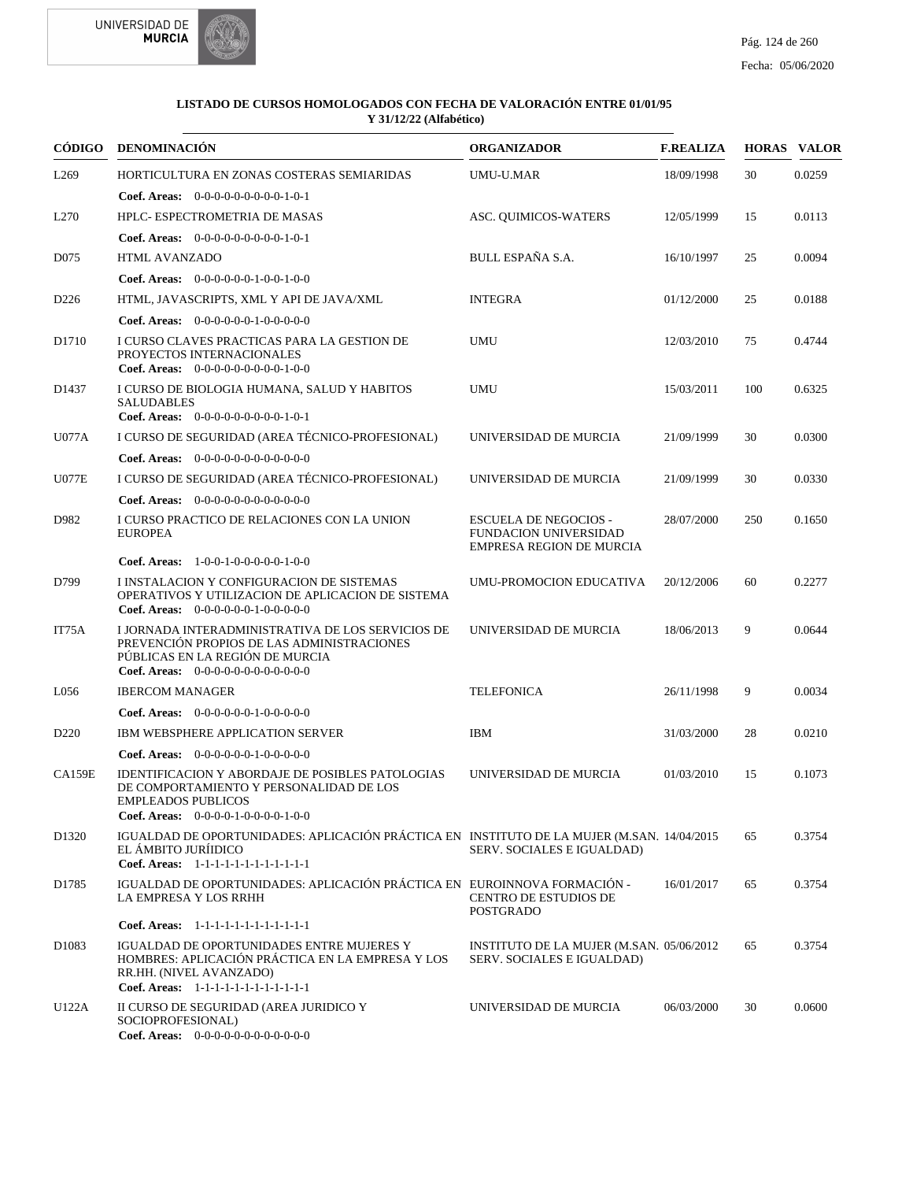



|                   | CÓDIGO DENOMINACIÓN                                                                                                                                                            | <b>ORGANIZADOR</b>                                                                              | <b>F.REALIZA</b> |     | <b>HORAS VALOR</b> |
|-------------------|--------------------------------------------------------------------------------------------------------------------------------------------------------------------------------|-------------------------------------------------------------------------------------------------|------------------|-----|--------------------|
| L <sub>269</sub>  | HORTICULTURA EN ZONAS COSTERAS SEMIARIDAS                                                                                                                                      | <b>UMU-U.MAR</b>                                                                                | 18/09/1998       | 30  | 0.0259             |
|                   | <b>Coef. Areas:</b> $0-0-0-0-0-0-0-0-1-0-1$                                                                                                                                    |                                                                                                 |                  |     |                    |
| L <sub>270</sub>  | HPLC- ESPECTROMETRIA DE MASAS                                                                                                                                                  | ASC. QUIMICOS-WATERS                                                                            | 12/05/1999       | 15  | 0.0113             |
|                   | Coef. Areas: $0-0-0-0-0-0-0-0-1-0-1$                                                                                                                                           |                                                                                                 |                  |     |                    |
| D075              | <b>HTML AVANZADO</b>                                                                                                                                                           | <b>BULL ESPAÑA S.A.</b>                                                                         | 16/10/1997       | 25  | 0.0094             |
|                   | Coef. Areas: 0-0-0-0-0-0-1-0-0-1-0-0                                                                                                                                           |                                                                                                 |                  |     |                    |
| D <sub>226</sub>  | HTML, JAVASCRIPTS, XML Y API DE JAVA/XML                                                                                                                                       | <b>INTEGRA</b>                                                                                  | 01/12/2000       | 25  | 0.0188             |
|                   | Coef. Areas: $0-0-0-0-0-1-0-0-0-0-0$                                                                                                                                           |                                                                                                 |                  |     |                    |
| D <sub>1710</sub> | I CURSO CLAVES PRACTICAS PARA LA GESTION DE<br>PROYECTOS INTERNACIONALES<br>Coef. Areas: $0-0-0-0-0-0-0-0-1-0-0$                                                               | UMU                                                                                             | 12/03/2010       | 75  | 0.4744             |
| D <sub>1437</sub> | I CURSO DE BIOLOGIA HUMANA, SALUD Y HABITOS<br><b>SALUDABLES</b><br>Coef. Areas: 0-0-0-0-0-0-0-0-0-1-0-1                                                                       | <b>UMU</b>                                                                                      | 15/03/2011       | 100 | 0.6325             |
| <b>U077A</b>      | I CURSO DE SEGURIDAD (AREA TÉCNICO-PROFESIONAL)                                                                                                                                | UNIVERSIDAD DE MURCIA                                                                           | 21/09/1999       | 30  | 0.0300             |
|                   | Coef. Areas: $0-0-0-0-0-0-0-0-0-0-0-0$                                                                                                                                         |                                                                                                 |                  |     |                    |
| <b>U077E</b>      | I CURSO DE SEGURIDAD (AREA TÉCNICO-PROFESIONAL)                                                                                                                                | UNIVERSIDAD DE MURCIA                                                                           | 21/09/1999       | 30  | 0.0330             |
|                   | <b>Coef. Areas:</b> $0-0-0-0-0-0-0-0-0-0-0-0$                                                                                                                                  |                                                                                                 |                  |     |                    |
| D982              | I CURSO PRACTICO DE RELACIONES CON LA UNION<br><b>EUROPEA</b>                                                                                                                  | <b>ESCUELA DE NEGOCIOS -</b><br><b>FUNDACION UNIVERSIDAD</b><br><b>EMPRESA REGION DE MURCIA</b> | 28/07/2000       | 250 | 0.1650             |
|                   | <b>Coef. Areas:</b> $1-0-0-1-0-0-0-0-1-0-0$                                                                                                                                    |                                                                                                 |                  |     |                    |
| D799              | I INSTALACION Y CONFIGURACION DE SISTEMAS<br>OPERATIVOS Y UTILIZACION DE APLICACION DE SISTEMA<br>Coef. Areas: $0-0-0-0-0-1-0-0-0-0-0$                                         | UMU-PROMOCION EDUCATIVA                                                                         | 20/12/2006       | 60  | 0.2277             |
| IT75A             | I JORNADA INTERADMINISTRATIVA DE LOS SERVICIOS DE<br>PREVENCIÓN PROPIOS DE LAS ADMINISTRACIONES<br>PÚBLICAS EN LA REGIÓN DE MURCIA<br>Coef. Areas: $0-0-0-0-0-0-0-0-0-0-0$     | UNIVERSIDAD DE MURCIA                                                                           | 18/06/2013       | 9   | 0.0644             |
| L056              | <b>IBERCOM MANAGER</b>                                                                                                                                                         | <b>TELEFONICA</b>                                                                               | 26/11/1998       | 9   | 0.0034             |
|                   | Coef. Areas: 0-0-0-0-0-0-1-0-0-0-0-0                                                                                                                                           |                                                                                                 |                  |     |                    |
| D <sub>220</sub>  | <b>IBM WEBSPHERE APPLICATION SERVER</b>                                                                                                                                        | <b>IBM</b>                                                                                      | 31/03/2000       | 28  | 0.0210             |
|                   | <b>Coef. Areas:</b> $0-0-0-0-0-1-0-0-0-0-0$                                                                                                                                    |                                                                                                 |                  |     |                    |
| <b>CA159E</b>     | <b>IDENTIFICACION Y ABORDAJE DE POSIBLES PATOLOGIAS</b><br>DE COMPORTAMIENTO Y PERSONALIDAD DE LOS<br><b>EMPLEADOS PUBLICOS</b><br><b>Coef. Areas:</b> $0-0-0-0-1-0-0-0-1-0-0$ | UNIVERSIDAD DE MURCIA                                                                           | 01/03/2010       | 15  | 0.1073             |
| D <sub>1320</sub> | IGUALDAD DE OPORTUNIDADES: APLICACIÓN PRÁCTICA EN INSTITUTO DE LA MUJER (M.SAN. 14/04/2015<br>EL ÁMBITO JURÍIDICO<br>Coef. Areas: 1-1-1-1-1-1-1-1-1-1-1-1-1                    | SERV. SOCIALES E IGUALDAD)                                                                      |                  | 65  | 0.3754             |
| D1785             | IGUALDAD DE OPORTUNIDADES: APLICACIÓN PRÁCTICA EN EUROINNOVA FORMACIÓN -<br>LA EMPRESA Y LOS RRHH                                                                              | <b>CENTRO DE ESTUDIOS DE</b><br><b>POSTGRADO</b>                                                | 16/01/2017       | 65  | 0.3754             |
|                   | Coef. Areas: 1-1-1-1-1-1-1-1-1-1-1-1-1                                                                                                                                         |                                                                                                 |                  |     |                    |
| D <sub>1083</sub> | IGUALDAD DE OPORTUNIDADES ENTRE MUJERES Y<br>HOMBRES: APLICACIÓN PRÁCTICA EN LA EMPRESA Y LOS<br>RR.HH. (NIVEL AVANZADO)<br>Coef. Areas: 1-1-1-1-1-1-1-1-1-1-1-1-1             | INSTITUTO DE LA MUJER (M.SAN. 05/06/2012)<br>SERV. SOCIALES E IGUALDAD)                         |                  | 65  | 0.3754             |
| U122A             | II CURSO DE SEGURIDAD (AREA JURIDICO Y<br>SOCIOPROFESIONAL)<br>Coef. Areas: 0-0-0-0-0-0-0-0-0-0-0-0-0                                                                          | UNIVERSIDAD DE MURCIA                                                                           | 06/03/2000       | 30  | 0.0600             |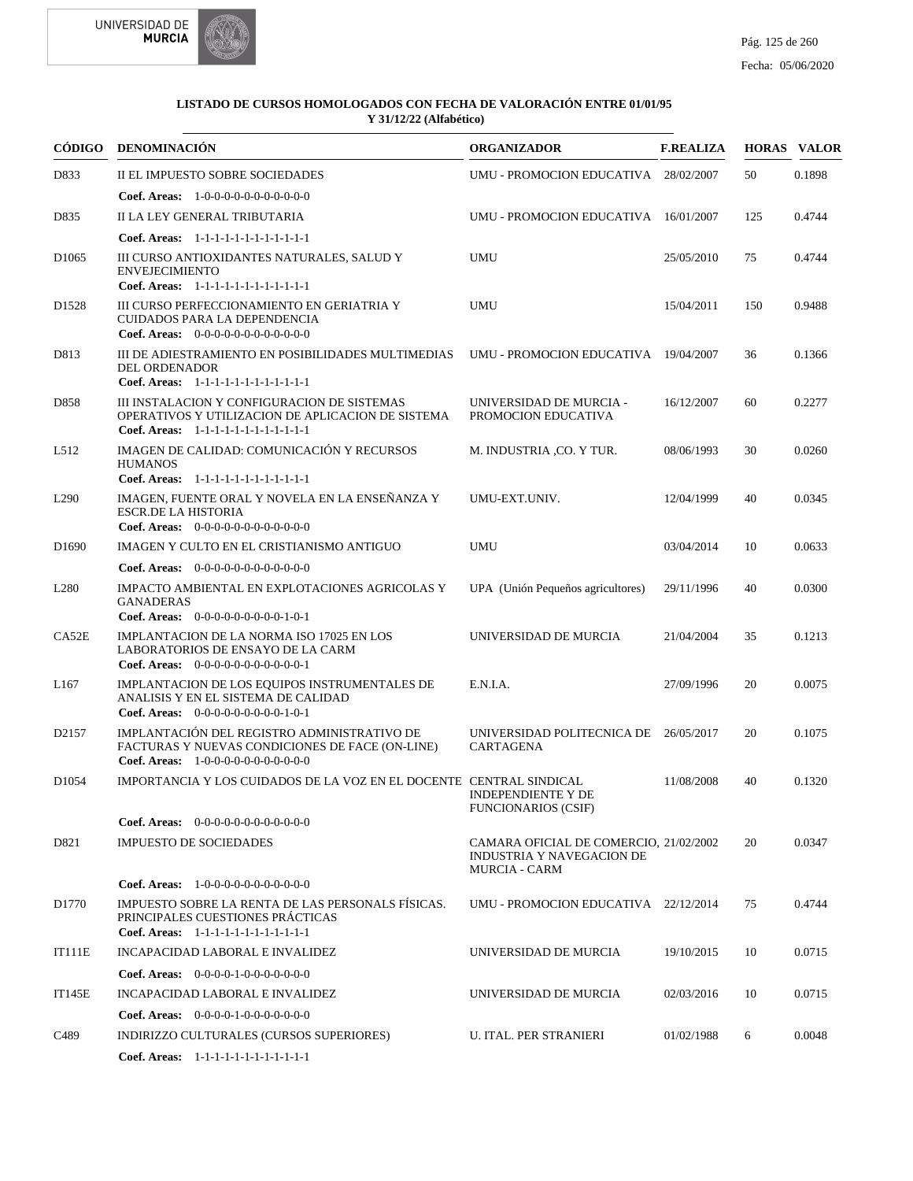

| CÓDIGO            | <b>DENOMINACIÓN</b>                                                                                                                        | <b>ORGANIZADOR</b>                                                                          | <b>F.REALIZA</b> |     | <b>HORAS VALOR</b> |
|-------------------|--------------------------------------------------------------------------------------------------------------------------------------------|---------------------------------------------------------------------------------------------|------------------|-----|--------------------|
| D833              | II EL IMPUESTO SOBRE SOCIEDADES                                                                                                            | UMU - PROMOCION EDUCATIVA 28/02/2007                                                        |                  | 50  | 0.1898             |
|                   | <b>Coef. Areas:</b> $1-0-0-0-0-0-0-0-0-0-0$                                                                                                |                                                                                             |                  |     |                    |
| D835              | II LA LEY GENERAL TRIBUTARIA                                                                                                               | UMU - PROMOCION EDUCATIVA 16/01/2007                                                        |                  | 125 | 0.4744             |
|                   | Coef. Areas: 1-1-1-1-1-1-1-1-1-1-1-1-1                                                                                                     |                                                                                             |                  |     |                    |
| D <sub>1065</sub> | III CURSO ANTIOXIDANTES NATURALES, SALUD Y<br><b>ENVEJECIMIENTO</b><br>Coef. Areas: 1-1-1-1-1-1-1-1-1-1-1-1-1                              | <b>UMU</b>                                                                                  | 25/05/2010       | 75  | 0.4744             |
| D <sub>1528</sub> | III CURSO PERFECCIONAMIENTO EN GERIATRIA Y<br><b>CUIDADOS PARA LA DEPENDENCIA</b><br>Coef. Areas: $0-0-0-0-0-0-0-0-0-0-0$                  | <b>UMU</b>                                                                                  | 15/04/2011       | 150 | 0.9488             |
| D813              | III DE ADIESTRAMIENTO EN POSIBILIDADES MULTIMEDIAS<br>DEL ORDENADOR<br>Coef. Areas: 1-1-1-1-1-1-1-1-1-1-1-1-1                              | UMU - PROMOCION EDUCATIVA 19/04/2007                                                        |                  | 36  | 0.1366             |
| D858              | III INSTALACION Y CONFIGURACION DE SISTEMAS<br>OPERATIVOS Y UTILIZACION DE APLICACION DE SISTEMA<br>Coef. Areas: 1-1-1-1-1-1-1-1-1-1-1-1-1 | UNIVERSIDAD DE MURCIA -<br>PROMOCION EDUCATIVA                                              | 16/12/2007       | 60  | 0.2277             |
| L512              | IMAGEN DE CALIDAD: COMUNICACIÓN Y RECURSOS<br><b>HUMANOS</b><br>Coef. Areas: 1-1-1-1-1-1-1-1-1-1-1-1-1                                     | M. INDUSTRIA ,CO. Y TUR.                                                                    | 08/06/1993       | 30  | 0.0260             |
| L <sub>290</sub>  | IMAGEN. FUENTE ORAL Y NOVELA EN LA ENSEÑANZA Y<br><b>ESCR.DE LA HISTORIA</b><br>Coef. Areas: $0-0-0-0-0-0-0-0-0-0-0$                       | UMU-EXT.UNIV.                                                                               | 12/04/1999       | 40  | 0.0345             |
| D <sub>1690</sub> | IMAGEN Y CULTO EN EL CRISTIANISMO ANTIGUO                                                                                                  | <b>UMU</b>                                                                                  | 03/04/2014       | 10  | 0.0633             |
|                   | Coef. Areas: $0-0-0-0-0-0-0-0-0-0-0$                                                                                                       |                                                                                             |                  |     |                    |
| L <sub>280</sub>  | IMPACTO AMBIENTAL EN EXPLOTACIONES AGRICOLAS Y<br><b>GANADERAS</b><br>Coef. Areas: $0-0-0-0-0-0-0-0-1-0-1$                                 | UPA (Unión Pequeños agricultores)                                                           | 29/11/1996       | 40  | 0.0300             |
| CA52E             | IMPLANTACION DE LA NORMA ISO 17025 EN LOS<br>LABORATORIOS DE ENSAYO DE LA CARM<br>Coef. Areas: $0-0-0-0-0-0-0-0-0-0-0-1$                   | UNIVERSIDAD DE MURCIA                                                                       | 21/04/2004       | 35  | 0.1213             |
| L <sub>167</sub>  | IMPLANTACION DE LOS EQUIPOS INSTRUMENTALES DE<br>ANALISIS Y EN EL SISTEMA DE CALIDAD<br>Coef. Areas: $0-0-0-0-0-0-0-0-1-0-1$               | E.N.I.A.                                                                                    | 27/09/1996       | 20  | 0.0075             |
| D2157             | IMPLANTACIÓN DEL REGISTRO ADMINISTRATIVO DE<br>FACTURAS Y NUEVAS CONDICIONES DE FACE (ON-LINE)<br>Coef. Areas: 1-0-0-0-0-0-0-0-0-0-0-0     | UNIVERSIDAD POLITECNICA DE 26/05/2017<br>CARTAGENA                                          |                  | 20  | 0.1075             |
| D <sub>1054</sub> | IMPORTANCIA Y LOS CUIDADOS DE LA VOZ EN EL DOCENTE CENTRAL SINDICAL                                                                        | <b>INDEPENDIENTE Y DE</b><br>FUNCIONARIOS (CSIF)                                            | 11/08/2008       | 40  | 0.1320             |
|                   | <b>Coef. Areas:</b> $0-0-0-0-0-0-0-0-0-0-0-0$                                                                                              |                                                                                             |                  |     |                    |
| D821              | <b>IMPUESTO DE SOCIEDADES</b>                                                                                                              | CAMARA OFICIAL DE COMERCIO, 21/02/2002<br>INDUSTRIA Y NAVEGACION DE<br><b>MURCIA - CARM</b> |                  | 20  | 0.0347             |
|                   | Coef. Areas: 1-0-0-0-0-0-0-0-0-0-0-0-0                                                                                                     |                                                                                             |                  |     |                    |
| D1770             | IMPUESTO SOBRE LA RENTA DE LAS PERSONALS FÍSICAS.<br>PRINCIPALES CUESTIONES PRÁCTICAS<br>Coef. Areas: 1-1-1-1-1-1-1-1-1-1-1-1-1            | UMU - PROMOCION EDUCATIVA 22/12/2014                                                        |                  | 75  | 0.4744             |
| IT111E            | INCAPACIDAD LABORAL E INVALIDEZ                                                                                                            | UNIVERSIDAD DE MURCIA                                                                       | 19/10/2015       | 10  | 0.0715             |
|                   | <b>Coef. Areas:</b> $0-0-0-0-1-0-0-0-0-0-0-0$                                                                                              |                                                                                             |                  |     |                    |
| <b>IT145E</b>     | INCAPACIDAD LABORAL E INVALIDEZ                                                                                                            | UNIVERSIDAD DE MURCIA                                                                       | 02/03/2016       | 10  | 0.0715             |
|                   | Coef. Areas: 0-0-0-0-1-0-0-0-0-0-0-0                                                                                                       |                                                                                             |                  |     |                    |
| C489              | INDIRIZZO CULTURALES (CURSOS SUPERIORES)                                                                                                   | <b>U. ITAL. PER STRANIERI</b>                                                               | 01/02/1988       | 6   | 0.0048             |
|                   | Coef. Areas: 1-1-1-1-1-1-1-1-1-1-1-1-1                                                                                                     |                                                                                             |                  |     |                    |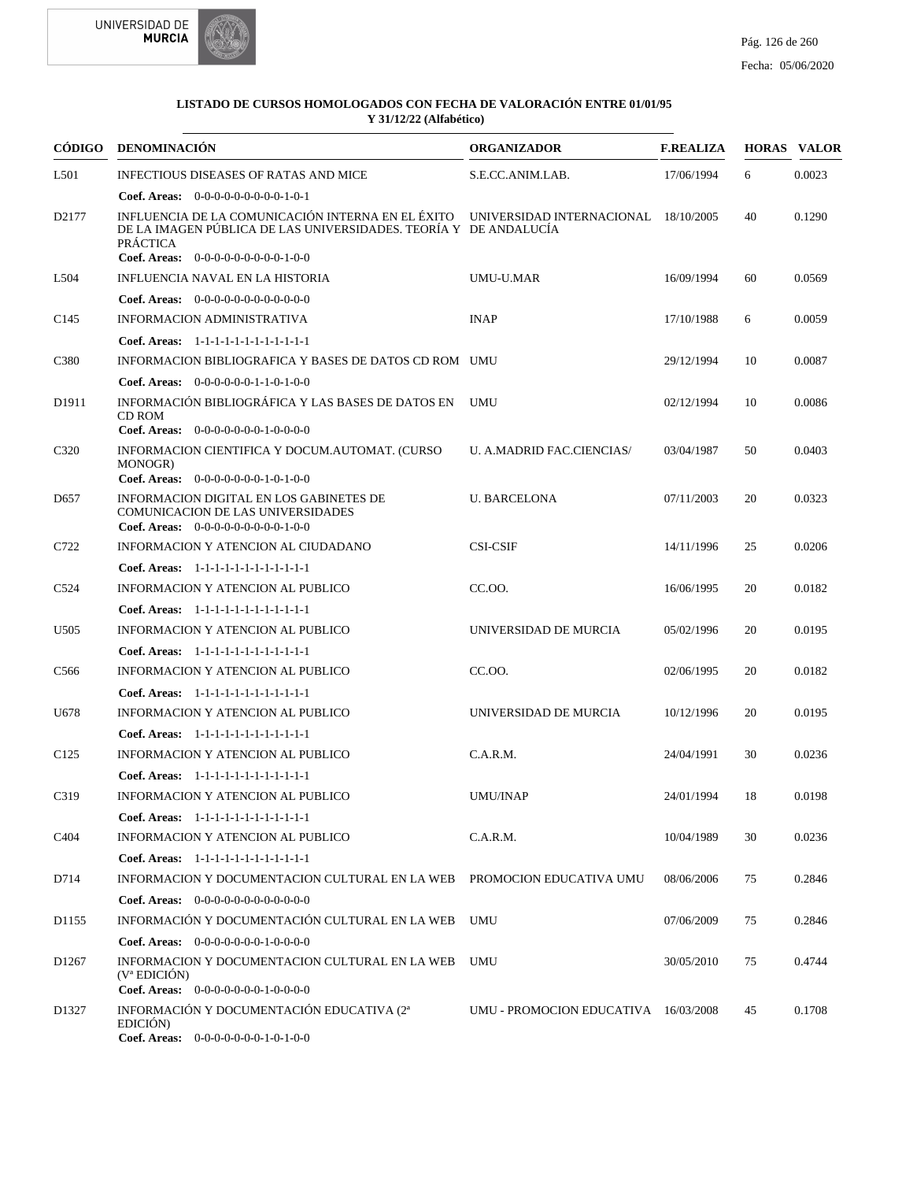



| CÓDIGO            | DENOMINACIÓN                                                                                                                                                                     | <b>ORGANIZADOR</b>                   | <b>F.REALIZA</b> |    | <b>HORAS VALOR</b> |
|-------------------|----------------------------------------------------------------------------------------------------------------------------------------------------------------------------------|--------------------------------------|------------------|----|--------------------|
| L501              | <b>INFECTIOUS DISEASES OF RATAS AND MICE</b>                                                                                                                                     | S.E.CC.ANIM.LAB.                     | 17/06/1994       | 6  | 0.0023             |
|                   | Coef. Areas: $0-0-0-0-0-0-0-0-1-0-1$                                                                                                                                             |                                      |                  |    |                    |
| D2177             | INFLUENCIA DE LA COMUNICACIÓN INTERNA EN EL ÉXITO<br>DE LA IMAGEN PÚBLICA DE LAS UNIVERSIDADES. TEORÍA Y DE ANDALUCÍA<br><b>PRÁCTICA</b><br>Coef. Areas: 0-0-0-0-0-0-0-0-0-1-0-0 | UNIVERSIDAD INTERNACIONAL 18/10/2005 |                  | 40 | 0.1290             |
| L504              | INFLUENCIA NAVAL EN LA HISTORIA                                                                                                                                                  | UMU-U.MAR                            | 16/09/1994       | 60 | 0.0569             |
|                   | <b>Coef. Areas:</b> $0-0-0-0-0-0-0-0-0-0-0-0$                                                                                                                                    |                                      |                  |    |                    |
| C <sub>145</sub>  | <b>INFORMACION ADMINISTRATIVA</b>                                                                                                                                                | <b>INAP</b>                          | 17/10/1988       | 6  | 0.0059             |
|                   | Coef. Areas: 1-1-1-1-1-1-1-1-1-1-1-1-1                                                                                                                                           |                                      |                  |    |                    |
| C <sub>380</sub>  | INFORMACION BIBLIOGRAFICA Y BASES DE DATOS CD ROM UMU                                                                                                                            |                                      |                  | 10 | 0.0087             |
|                   |                                                                                                                                                                                  |                                      | 29/12/1994       |    |                    |
| D <sub>1911</sub> | <b>Coef. Areas:</b> $0-0-0-0-0-1-1-0-1-0-0$<br>INFORMACIÓN BIBLIOGRÁFICA Y LAS BASES DE DATOS EN<br>CD ROM                                                                       | <b>UMU</b>                           | 02/12/1994       | 10 | 0.0086             |
|                   | Coef. Areas: $0-0-0-0-0-0-1-0-0-0-0$                                                                                                                                             |                                      |                  |    |                    |
| C320              | INFORMACION CIENTIFICA Y DOCUM.AUTOMAT. (CURSO<br>MONOGR)<br>Coef. Areas: $0-0-0-0-0-0-1-0-1-0-0$                                                                                | <b>U. A.MADRID FAC.CIENCIAS/</b>     | 03/04/1987       | 50 | 0.0403             |
| D <sub>657</sub>  | INFORMACION DIGITAL EN LOS GABINETES DE<br><b>COMUNICACION DE LAS UNIVERSIDADES</b><br>Coef. Areas: $0-0-0-0-0-0-0-0-0-1-0-0$                                                    | <b>U. BARCELONA</b>                  | 07/11/2003       | 20 | 0.0323             |
| C722              | INFORMACION Y ATENCION AL CIUDADANO                                                                                                                                              | <b>CSI-CSIF</b>                      | 14/11/1996       | 25 | 0.0206             |
|                   | Coef. Areas: $1-1-1-1-1-1-1-1-1-1-1$                                                                                                                                             |                                      |                  |    |                    |
| C <sub>524</sub>  | INFORMACION Y ATENCION AL PUBLICO                                                                                                                                                | CC.OO.                               | 16/06/1995       | 20 | 0.0182             |
|                   | Coef. Areas: 1-1-1-1-1-1-1-1-1-1-1-1-1                                                                                                                                           |                                      |                  |    |                    |
| U <sub>505</sub>  | INFORMACION Y ATENCION AL PUBLICO                                                                                                                                                | UNIVERSIDAD DE MURCIA                | 05/02/1996       | 20 | 0.0195             |
|                   | Coef. Areas: 1-1-1-1-1-1-1-1-1-1-1-1-1                                                                                                                                           |                                      |                  |    |                    |
| C <sub>566</sub>  | INFORMACION Y ATENCION AL PUBLICO                                                                                                                                                | CC.00.                               | 02/06/1995       | 20 | 0.0182             |
|                   | Coef. Areas: 1-1-1-1-1-1-1-1-1-1-1-1-1                                                                                                                                           |                                      |                  |    |                    |
| U678              | INFORMACION Y ATENCION AL PUBLICO                                                                                                                                                | UNIVERSIDAD DE MURCIA                | 10/12/1996       | 20 | 0.0195             |
|                   | Coef. Areas: 1-1-1-1-1-1-1-1-1-1-1-1-1                                                                                                                                           |                                      |                  |    |                    |
| C <sub>125</sub>  | <b>INFORMACION Y ATENCION AL PUBLICO</b>                                                                                                                                         | C.A.R.M.                             | 24/04/1991       | 30 | 0.0236             |
|                   | Coef. Areas: 1-1-1-1-1-1-1-1-1-1-1-1-1                                                                                                                                           |                                      |                  |    |                    |
| C319              | INFORMACION Y ATENCION AL PUBLICO                                                                                                                                                | <b>UMU/INAP</b>                      | 24/01/1994       | 18 | 0.0198             |
|                   | Coef. Areas: 1-1-1-1-1-1-1-1-1-1-1-1-1                                                                                                                                           |                                      |                  |    |                    |
| C <sub>4</sub> 04 | INFORMACION Y ATENCION AL PUBLICO                                                                                                                                                | C.A.R.M.                             | 10/04/1989       | 30 | 0.0236             |
|                   | Coef. Areas: 1-1-1-1-1-1-1-1-1-1-1-1-1                                                                                                                                           |                                      |                  |    |                    |
| D714              | INFORMACION Y DOCUMENTACION CULTURAL EN LA WEB                                                                                                                                   | PROMOCION EDUCATIVA UMU              | 08/06/2006       | 75 | 0.2846             |
|                   | Coef. Areas: $0-0-0-0-0-0-0-0-0-0-0$                                                                                                                                             |                                      |                  |    |                    |
| D1155             | INFORMACIÓN Y DOCUMENTACIÓN CULTURAL EN LA WEB                                                                                                                                   | <b>UMU</b>                           | 07/06/2009       | 75 | 0.2846             |
|                   | Coef. Areas: $0-0-0-0-0-0-1-0-0-0-0$                                                                                                                                             |                                      |                  |    |                    |
| D <sub>1267</sub> | INFORMACION Y DOCUMENTACION CULTURAL EN LA WEB<br>$(V^a$ EDICIÓN)                                                                                                                | UMU                                  | 30/05/2010       | 75 | 0.4744             |
|                   | Coef. Areas: $0-0-0-0-0-0-1-0-0-0-0$                                                                                                                                             |                                      |                  |    |                    |
| D1327             | INFORMACIÓN Y DOCUMENTACIÓN EDUCATIVA (2 <sup>a</sup><br>EDICIÓN)<br>Coef. Areas: 0-0-0-0-0-0-0-1-0-1-0-0                                                                        | UMU - PROMOCION EDUCATIVA 16/03/2008 |                  | 45 | 0.1708             |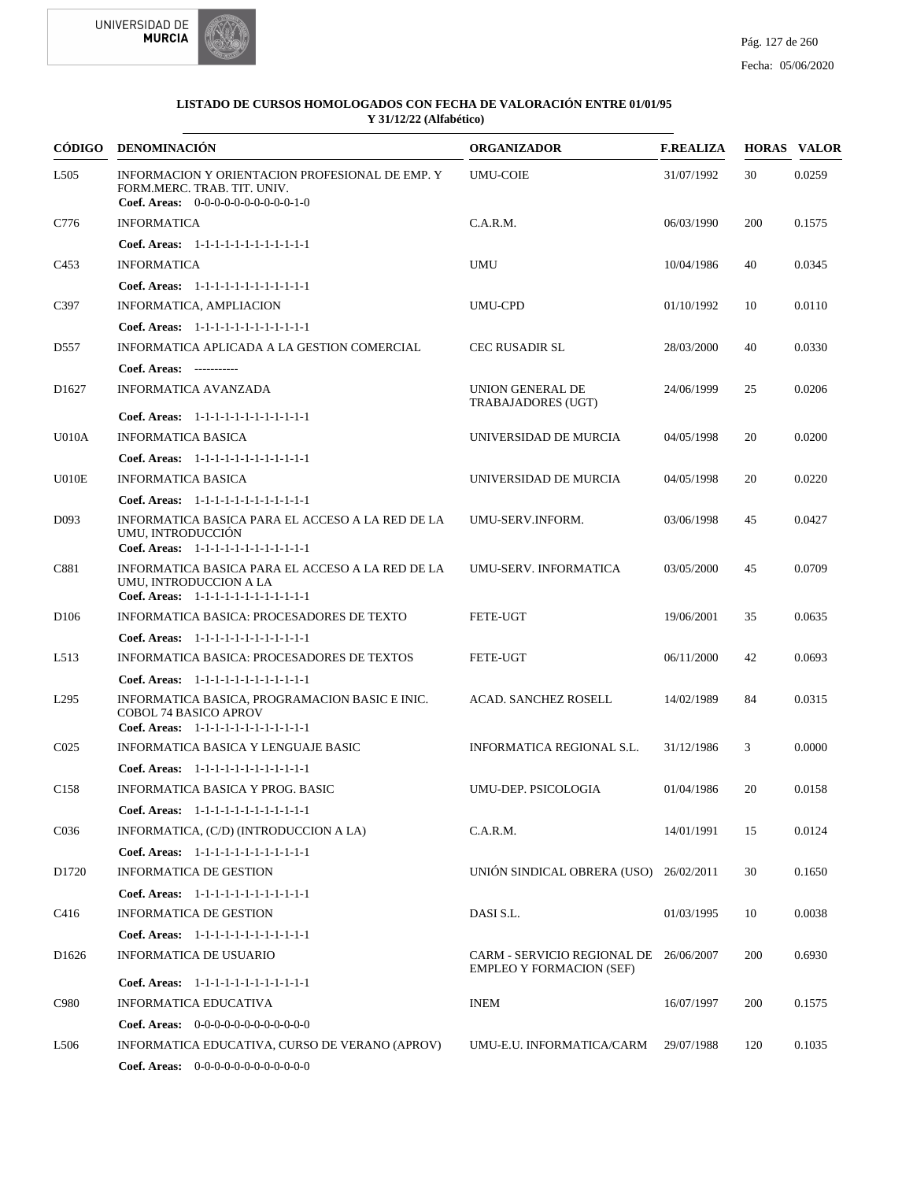



|                   | CÓDIGO DENOMINACIÓN                                                                                                      | <b>ORGANIZADOR</b>                                             | <b>F.REALIZA</b> |     | <b>HORAS VALOR</b> |
|-------------------|--------------------------------------------------------------------------------------------------------------------------|----------------------------------------------------------------|------------------|-----|--------------------|
| L <sub>505</sub>  | INFORMACION Y ORIENTACION PROFESIONAL DE EMP. Y<br>FORM.MERC. TRAB. TIT. UNIV.<br>Coef. Areas: $0-0-0-0-0-0-0-0-0-1-0$   | <b>UMU-COIE</b>                                                | 31/07/1992       | 30  | 0.0259             |
| C776              | <b>INFORMATICA</b>                                                                                                       | C.A.R.M.                                                       | 06/03/1990       | 200 | 0.1575             |
|                   | Coef. Areas: 1-1-1-1-1-1-1-1-1-1-1-1-1                                                                                   |                                                                |                  |     |                    |
| C <sub>453</sub>  | <b>INFORMATICA</b>                                                                                                       | <b>UMU</b>                                                     | 10/04/1986       | 40  | 0.0345             |
|                   | Coef. Areas: $1-1-1-1-1-1-1-1-1-1-1$                                                                                     |                                                                |                  |     |                    |
| C397              | INFORMATICA, AMPLIACION                                                                                                  | <b>UMU-CPD</b>                                                 | 01/10/1992       | 10  | 0.0110             |
|                   | Coef. Areas: 1-1-1-1-1-1-1-1-1-1-1-1-1                                                                                   |                                                                |                  |     |                    |
| D <sub>557</sub>  | INFORMATICA APLICADA A LA GESTION COMERCIAL                                                                              | <b>CEC RUSADIR SL</b>                                          | 28/03/2000       | 40  | 0.0330             |
|                   | Coef. Areas: -----------                                                                                                 |                                                                |                  |     |                    |
| D <sub>1627</sub> | <b>INFORMATICA AVANZADA</b>                                                                                              | <b>UNION GENERAL DE</b><br>TRABAJADORES (UGT)                  | 24/06/1999       | 25  | 0.0206             |
|                   | Coef. Areas: 1-1-1-1-1-1-1-1-1-1-1-1-1                                                                                   |                                                                |                  |     |                    |
| <b>U010A</b>      | <b>INFORMATICA BASICA</b>                                                                                                | UNIVERSIDAD DE MURCIA                                          | 04/05/1998       | 20  | 0.0200             |
|                   | Coef. Areas: $1-1-1-1-1-1-1-1-1-1-1$                                                                                     |                                                                |                  |     |                    |
| U010E             | <b>INFORMATICA BASICA</b>                                                                                                | UNIVERSIDAD DE MURCIA                                          | 04/05/1998       | 20  | 0.0220             |
|                   | Coef. Areas: 1-1-1-1-1-1-1-1-1-1-1-1-1                                                                                   |                                                                |                  |     |                    |
| D <sub>093</sub>  | INFORMATICA BASICA PARA EL ACCESO A LA RED DE LA<br>UMU. INTRODUCCIÓN<br>Coef. Areas: 1-1-1-1-1-1-1-1-1-1-1-1-1          | UMU-SERV.INFORM.                                               | 03/06/1998       | 45  | 0.0427             |
| C881              | INFORMATICA BASICA PARA EL ACCESO A LA RED DE LA<br>UMU, INTRODUCCION A LA<br>Coef. Areas: 1-1-1-1-1-1-1-1-1-1-1-1-1     | UMU-SERV. INFORMATICA                                          | 03/05/2000       | 45  | 0.0709             |
| D <sub>106</sub>  | INFORMATICA BASICA: PROCESADORES DE TEXTO                                                                                | <b>FETE-UGT</b>                                                | 19/06/2001       | 35  | 0.0635             |
|                   | Coef. Areas: $1-1-1-1-1-1-1-1-1-1-1$                                                                                     |                                                                |                  |     |                    |
| L513              | INFORMATICA BASICA: PROCESADORES DE TEXTOS                                                                               | <b>FETE-UGT</b>                                                | 06/11/2000       | 42  | 0.0693             |
|                   | Coef. Areas: $1-1-1-1-1-1-1-1-1-1-1$                                                                                     |                                                                |                  |     |                    |
| L <sub>295</sub>  | INFORMATICA BASICA, PROGRAMACION BASIC E INIC.<br><b>COBOL 74 BASICO APROV</b><br>Coef. Areas: 1-1-1-1-1-1-1-1-1-1-1-1-1 | <b>ACAD. SANCHEZ ROSELL</b>                                    | 14/02/1989       | 84  | 0.0315             |
| CO <sub>25</sub>  | INFORMATICA BASICA Y LENGUAJE BASIC                                                                                      | INFORMATICA REGIONAL S.L.                                      | 31/12/1986       | 3   | 0.0000             |
|                   | Coef. Areas: 1-1-1-1-1-1-1-1-1-1-1-1-1                                                                                   |                                                                |                  |     |                    |
| C <sub>158</sub>  | INFORMATICA BASICA Y PROG. BASIC                                                                                         | UMU-DEP. PSICOLOGIA                                            | 01/04/1986       | 20  | 0.0158             |
|                   | Coef. Areas: $1-1-1-1-1-1-1-1-1-1-1$                                                                                     |                                                                |                  |     |                    |
| C <sub>036</sub>  | INFORMATICA, (C/D) (INTRODUCCION A LA)                                                                                   | C.A.R.M.                                                       | 14/01/1991       | 15  | 0.0124             |
|                   | Coef. Areas: 1-1-1-1-1-1-1-1-1-1-1-1-1                                                                                   |                                                                |                  |     |                    |
| D1720             | <b>INFORMATICA DE GESTION</b>                                                                                            | UNIÓN SINDICAL OBRERA (USO) 26/02/2011                         |                  | 30  | 0.1650             |
|                   | Coef. Areas: 1-1-1-1-1-1-1-1-1-1-1-1-1                                                                                   |                                                                |                  |     |                    |
| C416              | INFORMATICA DE GESTION                                                                                                   | DASI S.L.                                                      | 01/03/1995       | 10  | 0.0038             |
|                   | Coef. Areas: 1-1-1-1-1-1-1-1-1-1-1-1-1                                                                                   |                                                                |                  |     |                    |
| D <sub>1626</sub> | <b>INFORMATICA DE USUARIO</b>                                                                                            | CARM - SERVICIO REGIONAL DE<br><b>EMPLEO Y FORMACION (SEF)</b> | 26/06/2007       | 200 | 0.6930             |
|                   | Coef. Areas: 1-1-1-1-1-1-1-1-1-1-1-1-1                                                                                   |                                                                |                  |     |                    |
| C980              | INFORMATICA EDUCATIVA                                                                                                    | <b>INEM</b>                                                    | 16/07/1997       | 200 | 0.1575             |
|                   | <b>Coef. Areas:</b> $0-0-0-0-0-0-0-0-0-0-0-0$                                                                            |                                                                |                  |     |                    |
| L <sub>506</sub>  | INFORMATICA EDUCATIVA, CURSO DE VERANO (APROV)                                                                           | UMU-E.U. INFORMATICA/CARM                                      | 29/07/1988       | 120 | 0.1035             |
|                   | <b>Coef. Areas:</b> $0-0-0-0-0-0-0-0-0-0-0-0$                                                                            |                                                                |                  |     |                    |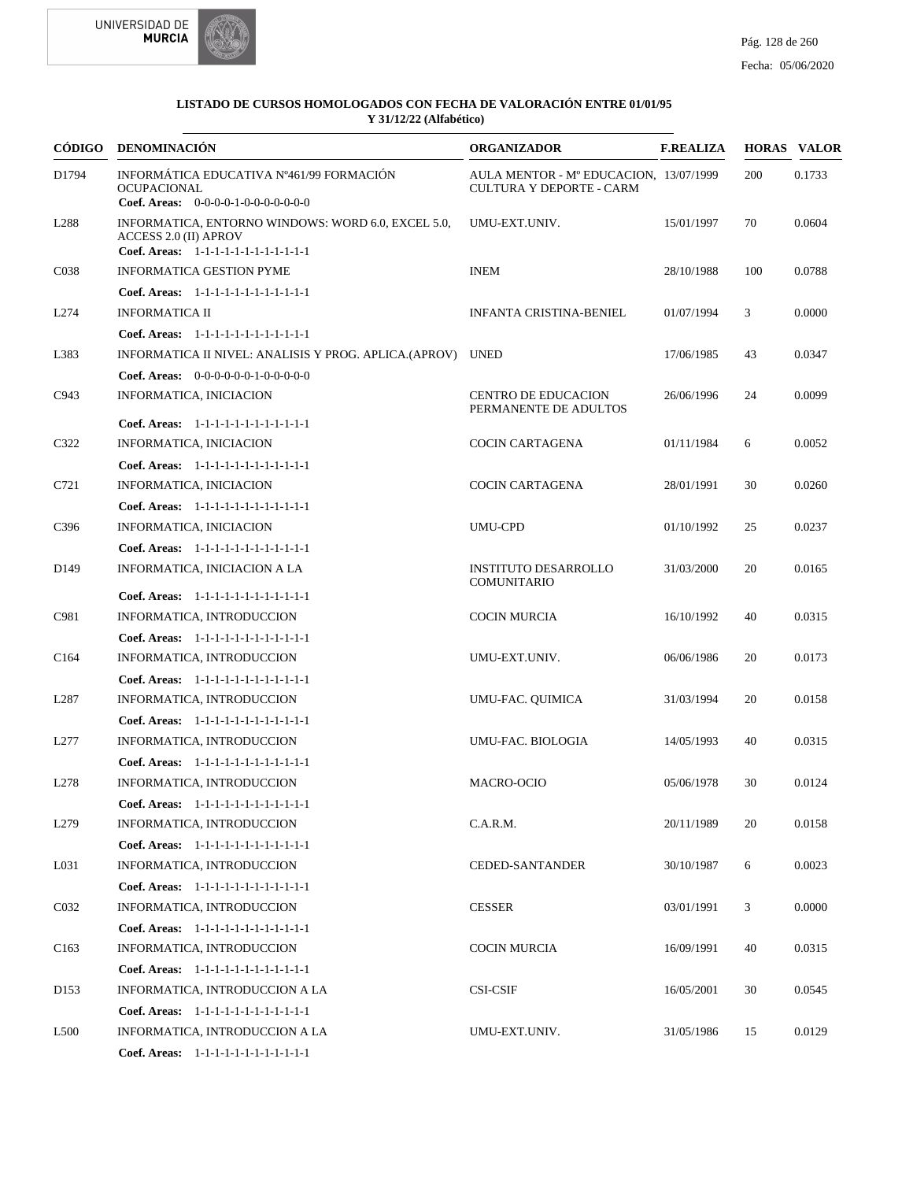



|                   | CÓDIGO DENOMINACIÓN                                                                                                          | <b>ORGANIZADOR</b>                                                        | <b>F.REALIZA</b> |     | <b>HORAS VALOR</b> |
|-------------------|------------------------------------------------------------------------------------------------------------------------------|---------------------------------------------------------------------------|------------------|-----|--------------------|
| D1794             | INFORMÁTICA EDUCATIVA Nº461/99 FORMACIÓN<br><b>OCUPACIONAL</b><br>Coef. Areas: $0-0-0-0-1-0-0-0-0-0-0$                       | AULA MENTOR - M° EDUCACION, 13/07/1999<br><b>CULTURA Y DEPORTE - CARM</b> |                  | 200 | 0.1733             |
| L <sub>288</sub>  | INFORMATICA, ENTORNO WINDOWS: WORD 6.0, EXCEL 5.0,<br><b>ACCESS 2.0 (II) APROV</b><br>Coef. Areas: 1-1-1-1-1-1-1-1-1-1-1-1-1 | UMU-EXT.UNIV.                                                             | 15/01/1997       | 70  | 0.0604             |
| C <sub>038</sub>  | <b>INFORMATICA GESTION PYME</b>                                                                                              | <b>INEM</b>                                                               | 28/10/1988       | 100 | 0.0788             |
|                   | Coef. Areas: 1-1-1-1-1-1-1-1-1-1-1-1-1                                                                                       |                                                                           |                  |     |                    |
| L274              | <b>INFORMATICA II</b>                                                                                                        | <b>INFANTA CRISTINA-BENIEL</b>                                            | 01/07/1994       | 3   | 0.0000             |
|                   | Coef. Areas: $1-1-1-1-1-1-1-1-1-1-1$                                                                                         |                                                                           |                  |     |                    |
| L383              | INFORMATICA II NIVEL: ANALISIS Y PROG. APLICA.(APROV) UNED                                                                   |                                                                           | 17/06/1985       | 43  | 0.0347             |
|                   | <b>Coef. Areas:</b> $0-0-0-0-0-1-0-0-0-0-0$                                                                                  |                                                                           |                  |     |                    |
| C943              | INFORMATICA, INICIACION                                                                                                      | <b>CENTRO DE EDUCACION</b><br>PERMANENTE DE ADULTOS                       | 26/06/1996       | 24  | 0.0099             |
|                   | Coef. Areas: 1-1-1-1-1-1-1-1-1-1-1-1-1                                                                                       |                                                                           |                  |     |                    |
| C322              | INFORMATICA, INICIACION                                                                                                      | <b>COCIN CARTAGENA</b>                                                    | 01/11/1984       | 6   | 0.0052             |
|                   | Coef. Areas: 1-1-1-1-1-1-1-1-1-1-1-1-1                                                                                       |                                                                           |                  |     |                    |
| C721              | INFORMATICA, INICIACION                                                                                                      | <b>COCIN CARTAGENA</b>                                                    | 28/01/1991       | 30  | 0.0260             |
|                   | Coef. Areas: 1-1-1-1-1-1-1-1-1-1-1-1-1                                                                                       |                                                                           |                  |     |                    |
| C396              | INFORMATICA, INICIACION                                                                                                      | <b>UMU-CPD</b>                                                            | 01/10/1992       | 25  | 0.0237             |
|                   | Coef. Areas: 1-1-1-1-1-1-1-1-1-1-1-1-1                                                                                       |                                                                           |                  |     |                    |
| D <sub>149</sub>  | INFORMATICA, INICIACION A LA<br>Coef. Areas: 1-1-1-1-1-1-1-1-1-1-1-1-1                                                       | <b>INSTITUTO DESARROLLO</b><br><b>COMUNITARIO</b>                         | 31/03/2000       | 20  | 0.0165             |
| C981              | INFORMATICA, INTRODUCCION                                                                                                    | <b>COCIN MURCIA</b>                                                       | 16/10/1992       | 40  | 0.0315             |
|                   | Coef. Areas: 1-1-1-1-1-1-1-1-1-1-1-1-1                                                                                       |                                                                           |                  |     |                    |
| C <sub>164</sub>  | INFORMATICA, INTRODUCCION                                                                                                    | UMU-EXT.UNIV.                                                             | 06/06/1986       | 20  | 0.0173             |
|                   | Coef. Areas: 1-1-1-1-1-1-1-1-1-1-1-1-1                                                                                       |                                                                           |                  |     |                    |
| L <sub>287</sub>  | INFORMATICA, INTRODUCCION                                                                                                    | UMU-FAC. QUIMICA                                                          | 31/03/1994       | 20  | 0.0158             |
|                   | Coef. Areas: 1-1-1-1-1-1-1-1-1-1-1-1-1                                                                                       |                                                                           |                  |     |                    |
| L <sub>277</sub>  | INFORMATICA, INTRODUCCION                                                                                                    | UMU-FAC. BIOLOGIA                                                         | 14/05/1993       | 40  | 0.0315             |
|                   | Coef. Areas: 1-1-1-1-1-1-1-1-1-1-1-1-1                                                                                       |                                                                           |                  |     |                    |
| L <sub>278</sub>  | INFORMATICA, INTRODUCCION                                                                                                    | MACRO-OCIO                                                                | 05/06/1978       | 30  | 0.0124             |
|                   | Coef. Areas: $1-1-1-1-1-1-1-1-1-1-1$                                                                                         |                                                                           |                  |     |                    |
| L <sub>279</sub>  | INFORMATICA, INTRODUCCION                                                                                                    | C.A.R.M.                                                                  | 20/11/1989       | 20  | 0.0158             |
|                   | Coef. Areas: 1-1-1-1-1-1-1-1-1-1-1-1-1                                                                                       |                                                                           |                  |     |                    |
| L031              | INFORMATICA, INTRODUCCION                                                                                                    | <b>CEDED-SANTANDER</b>                                                    | 30/10/1987       | 6   | 0.0023             |
|                   | Coef. Areas: 1-1-1-1-1-1-1-1-1-1-1-1-1                                                                                       |                                                                           |                  |     |                    |
| C <sub>0</sub> 32 | INFORMATICA, INTRODUCCION                                                                                                    | <b>CESSER</b>                                                             | 03/01/1991       | 3   | 0.0000             |
|                   | Coef. Areas: 1-1-1-1-1-1-1-1-1-1-1-1-1                                                                                       |                                                                           |                  |     |                    |
| C <sub>163</sub>  | INFORMATICA, INTRODUCCION                                                                                                    | COCIN MURCIA                                                              | 16/09/1991       | 40  | 0.0315             |
|                   | Coef. Areas: 1-1-1-1-1-1-1-1-1-1-1-1-1                                                                                       |                                                                           |                  |     |                    |
| D <sub>153</sub>  | INFORMATICA, INTRODUCCION A LA                                                                                               | <b>CSI-CSIF</b>                                                           | 16/05/2001       | 30  | 0.0545             |
|                   | Coef. Areas: 1-1-1-1-1-1-1-1-1-1-1-1-1                                                                                       |                                                                           |                  |     |                    |
| L <sub>500</sub>  | INFORMATICA, INTRODUCCION A LA                                                                                               | UMU-EXT.UNIV.                                                             | 31/05/1986       | 15  | 0.0129             |
|                   | Coef. Areas: 1-1-1-1-1-1-1-1-1-1-1-1-1                                                                                       |                                                                           |                  |     |                    |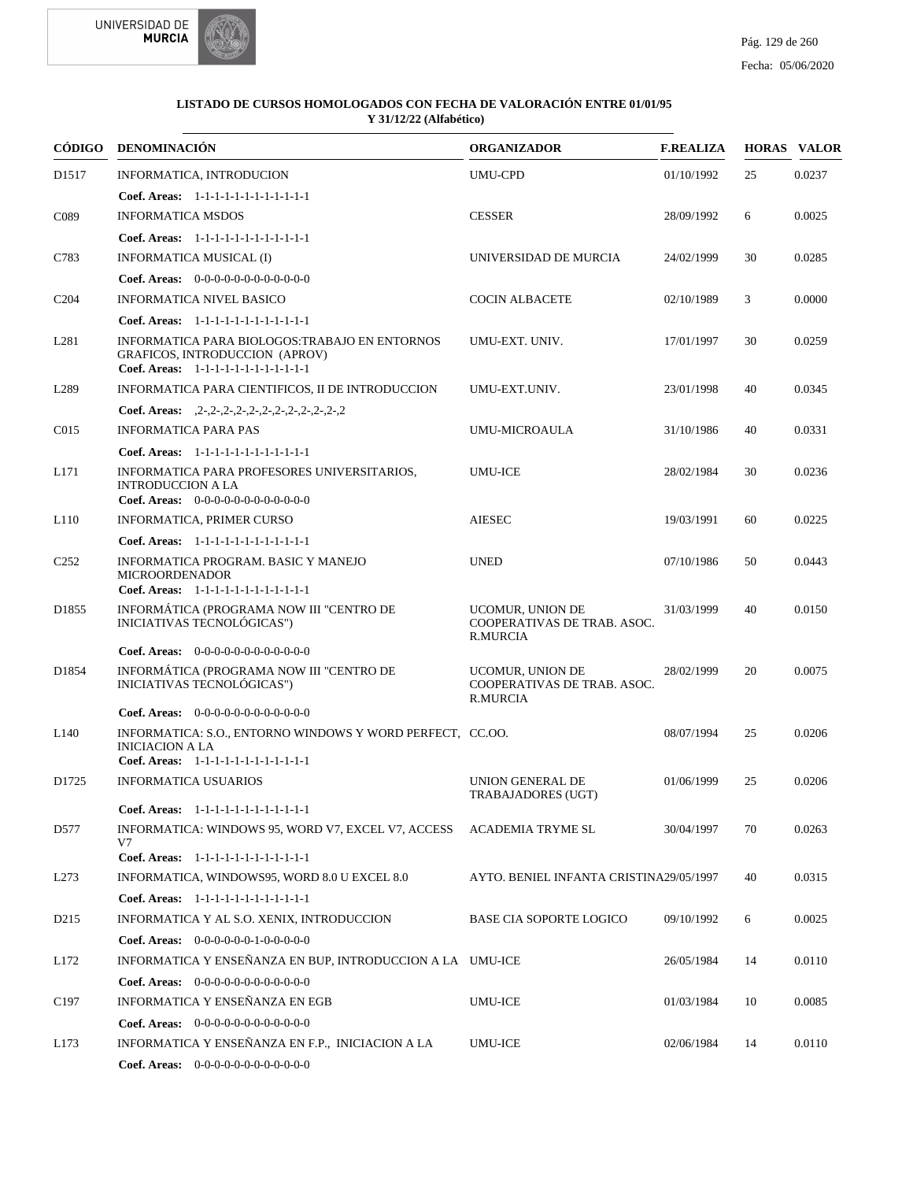



|                   | CÓDIGO DENOMINACIÓN                                                                                                           | <b>ORGANIZADOR</b>                                                        | <b>F.REALIZA</b> |    | <b>HORAS VALOR</b> |
|-------------------|-------------------------------------------------------------------------------------------------------------------------------|---------------------------------------------------------------------------|------------------|----|--------------------|
| D <sub>1517</sub> | INFORMATICA, INTRODUCION                                                                                                      | <b>UMU-CPD</b>                                                            | 01/10/1992       | 25 | 0.0237             |
|                   | Coef. Areas: $1-1-1-1-1-1-1-1-1-1-1$                                                                                          |                                                                           |                  |    |                    |
| C <sub>0</sub> 89 | <b>INFORMATICA MSDOS</b>                                                                                                      | <b>CESSER</b>                                                             | 28/09/1992       | 6  | 0.0025             |
|                   | Coef. Areas: 1-1-1-1-1-1-1-1-1-1-1-1-1                                                                                        |                                                                           |                  |    |                    |
| C783              | INFORMATICA MUSICAL (I)                                                                                                       | UNIVERSIDAD DE MURCIA                                                     | 24/02/1999       | 30 | 0.0285             |
|                   | Coef. Areas: $0-0-0-0-0-0-0-0-0-0-0$                                                                                          |                                                                           |                  |    |                    |
| C <sub>204</sub>  | <b>INFORMATICA NIVEL BASICO</b>                                                                                               | <b>COCIN ALBACETE</b>                                                     | 02/10/1989       | 3  | 0.0000             |
|                   | Coef. Areas: 1-1-1-1-1-1-1-1-1-1-1-1-1                                                                                        |                                                                           |                  |    |                    |
| L <sub>281</sub>  | INFORMATICA PARA BIOLOGOS: TRABAJO EN ENTORNOS<br>GRAFICOS, INTRODUCCION (APROV)<br>Coef. Areas: 1-1-1-1-1-1-1-1-1-1-1-1-1    | UMU-EXT. UNIV.                                                            | 17/01/1997       | 30 | 0.0259             |
| L <sub>289</sub>  | INFORMATICA PARA CIENTIFICOS, II DE INTRODUCCION                                                                              | UMU-EXT.UNIV.                                                             | 23/01/1998       | 40 | 0.0345             |
|                   | Coef. Areas: $2-2-2-2-2-2-2-2-2-2-2-2-2$                                                                                      |                                                                           |                  |    |                    |
| C <sub>015</sub>  | <b>INFORMATICA PARA PAS</b>                                                                                                   | <b>UMU-MICROAULA</b>                                                      | 31/10/1986       | 40 | 0.0331             |
|                   | Coef. Areas: $1-1-1-1-1-1-1-1-1-1-1$                                                                                          |                                                                           |                  |    |                    |
| L171              | INFORMATICA PARA PROFESORES UNIVERSITARIOS,<br><b>INTRODUCCION A LA</b>                                                       | <b>UMU-ICE</b>                                                            | 28/02/1984       | 30 | 0.0236             |
|                   | Coef. Areas: $0-0-0-0-0-0-0-0-0-0-0$                                                                                          |                                                                           |                  |    |                    |
| L110              | INFORMATICA, PRIMER CURSO                                                                                                     | <b>AIESEC</b>                                                             | 19/03/1991       | 60 | 0.0225             |
|                   | Coef. Areas: 1-1-1-1-1-1-1-1-1-1-1-1-1<br>INFORMATICA PROGRAM. BASIC Y MANEJO                                                 |                                                                           |                  |    |                    |
| C <sub>252</sub>  | <b>MICROORDENADOR</b><br>Coef. Areas: 1-1-1-1-1-1-1-1-1-1-1-1-1                                                               | <b>UNED</b>                                                               | 07/10/1986       | 50 | 0.0443             |
| D <sub>1855</sub> | INFORMÁTICA (PROGRAMA NOW III "CENTRO DE<br>INICIATIVAS TECNOLÓGICAS")                                                        | <b>UCOMUR, UNION DE</b><br>COOPERATIVAS DE TRAB. ASOC.<br>R.MURCIA        | 31/03/1999       | 40 | 0.0150             |
|                   | Coef. Areas: $0-0-0-0-0-0-0-0-0-0-0$                                                                                          |                                                                           |                  |    |                    |
| D1854             | INFORMÁTICA (PROGRAMA NOW III "CENTRO DE<br>INICIATIVAS TECNOLÓGICAS")                                                        | <b>UCOMUR, UNION DE</b><br>COOPERATIVAS DE TRAB. ASOC.<br><b>R.MURCIA</b> | 28/02/1999       | 20 | 0.0075             |
|                   | <b>Coef. Areas:</b> $0-0-0-0-0-0-0-0-0-0-0-0$                                                                                 |                                                                           |                  |    |                    |
| L <sub>140</sub>  | INFORMATICA: S.O., ENTORNO WINDOWS Y WORD PERFECT, CC.OO.<br><b>INICIACION A LA</b><br>Coef. Areas: 1-1-1-1-1-1-1-1-1-1-1-1-1 |                                                                           | 08/07/1994       | 25 | 0.0206             |
| D1725             | <b>INFORMATICA USUARIOS</b>                                                                                                   | <b>UNION GENERAL DE</b>                                                   | 01/06/1999       | 25 | 0.0206             |
|                   |                                                                                                                               | TRABAJADORES (UGT)                                                        |                  |    |                    |
|                   | Coef. Areas: 1-1-1-1-1-1-1-1-1-1-1-1-1                                                                                        |                                                                           |                  |    |                    |
| D577              | INFORMATICA: WINDOWS 95, WORD V7, EXCEL V7, ACCESS ACADEMIA TRYME SL<br>V7<br>Coef. Areas: 1-1-1-1-1-1-1-1-1-1-1-1-1          |                                                                           | 30/04/1997       | 70 | 0.0263             |
| L <sub>273</sub>  | INFORMATICA, WINDOWS95, WORD 8.0 U EXCEL 8.0                                                                                  | AYTO. BENIEL INFANTA CRISTINA29/05/1997                                   |                  | 40 | 0.0315             |
|                   | Coef. Areas: 1-1-1-1-1-1-1-1-1-1-1-1-1                                                                                        |                                                                           |                  |    |                    |
| D <sub>2</sub> 15 | INFORMATICA Y AL S.O. XENIX, INTRODUCCION                                                                                     | <b>BASE CIA SOPORTE LOGICO</b>                                            | 09/10/1992       | 6  | 0.0025             |
|                   | <b>Coef. Areas:</b> $0-0-0-0-0-1-0-0-0-0-0$                                                                                   |                                                                           |                  |    |                    |
| L172              | INFORMATICA Y ENSEÑANZA EN BUP, INTRODUCCION A LA UMU-ICE                                                                     |                                                                           | 26/05/1984       | 14 | 0.0110             |
|                   | Coef. Areas: $0-0-0-0-0-0-0-0-0-0-0$                                                                                          |                                                                           |                  |    |                    |
| C <sub>197</sub>  | INFORMATICA Y ENSEÑANZA EN EGB                                                                                                | UMU-ICE                                                                   | 01/03/1984       | 10 | 0.0085             |
|                   | Coef. Areas: $0-0-0-0-0-0-0-0-0-0-0$                                                                                          |                                                                           |                  |    |                    |
| L173              | INFORMATICA Y ENSEÑANZA EN F.P., INICIACION A LA                                                                              | <b>UMU-ICE</b>                                                            | 02/06/1984       | 14 | 0.0110             |
|                   | Coef. Areas: 0-0-0-0-0-0-0-0-0-0-0-0-0                                                                                        |                                                                           |                  |    |                    |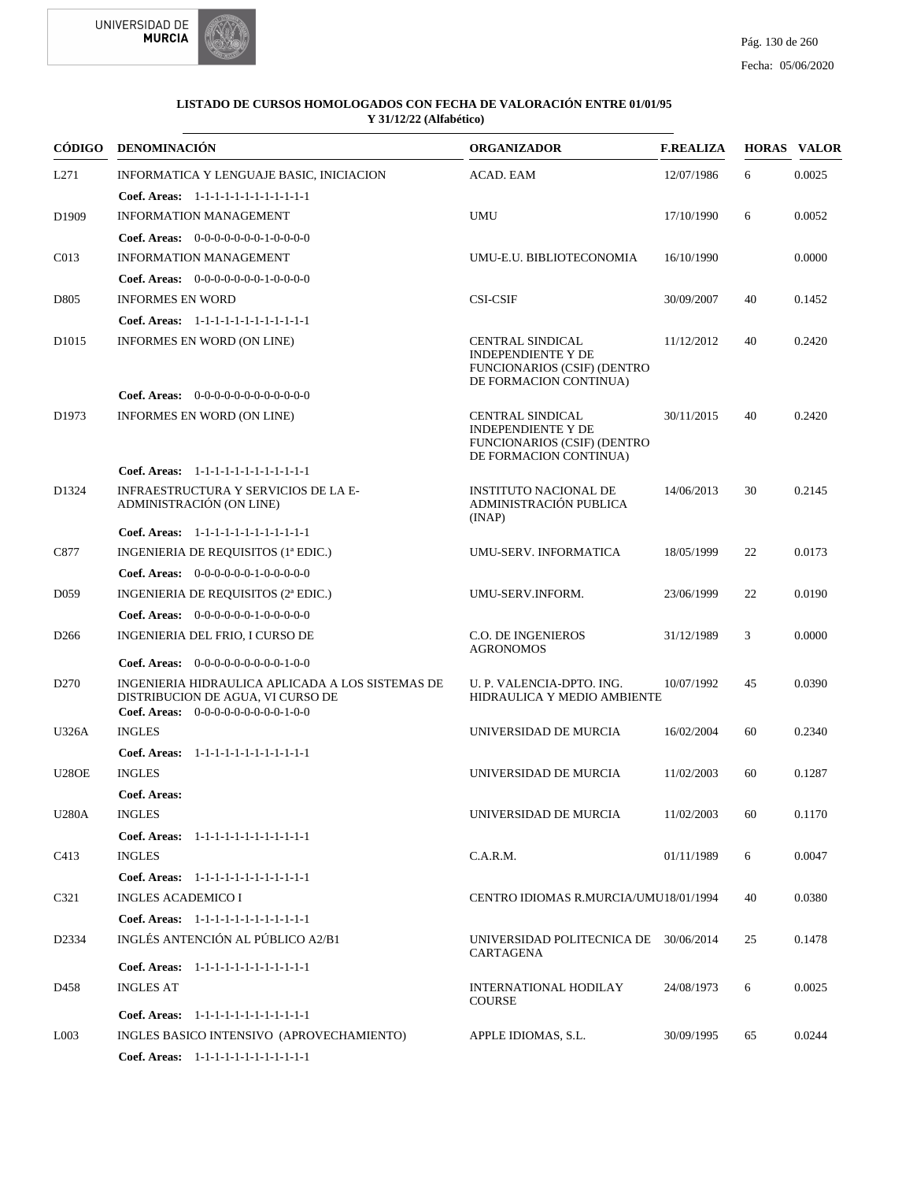



|                    | CÓDIGO DENOMINACIÓN                                                                                                           | <b>ORGANIZADOR</b>                                                                                                   | <b>F.REALIZA</b> |    | <b>HORAS VALOR</b> |
|--------------------|-------------------------------------------------------------------------------------------------------------------------------|----------------------------------------------------------------------------------------------------------------------|------------------|----|--------------------|
| L271               | INFORMATICA Y LENGUAJE BASIC, INICIACION                                                                                      | ACAD. EAM                                                                                                            | 12/07/1986       | 6  | 0.0025             |
|                    | Coef. Areas: 1-1-1-1-1-1-1-1-1-1-1-1-1                                                                                        |                                                                                                                      |                  |    |                    |
| D <sub>1909</sub>  | <b>INFORMATION MANAGEMENT</b>                                                                                                 | <b>UMU</b>                                                                                                           | 17/10/1990       | 6  | 0.0052             |
|                    | Coef. Areas: $0-0-0-0-0-0-1-0-0-0-0$                                                                                          |                                                                                                                      |                  |    |                    |
| C013               | <b>INFORMATION MANAGEMENT</b>                                                                                                 | UMU-E.U. BIBLIOTECONOMIA                                                                                             | 16/10/1990       |    | 0.0000             |
|                    | <b>Coef. Areas:</b> $0-0-0-0-0-0-1-0-0-0-0$                                                                                   |                                                                                                                      |                  |    |                    |
| D805               | <b>INFORMES EN WORD</b>                                                                                                       | <b>CSI-CSIF</b>                                                                                                      | 30/09/2007       | 40 | 0.1452             |
|                    | Coef. Areas: 1-1-1-1-1-1-1-1-1-1-1-1-1                                                                                        |                                                                                                                      |                  |    |                    |
| D <sub>1015</sub>  | <b>INFORMES EN WORD (ON LINE)</b>                                                                                             | <b>CENTRAL SINDICAL</b><br><b>INDEPENDIENTE Y DE</b><br><b>FUNCIONARIOS (CSIF) (DENTRO</b><br>DE FORMACION CONTINUA) | 11/12/2012       | 40 | 0.2420             |
|                    | <b>Coef. Areas:</b> $0-0-0-0-0-0-0-0-0-0-0$                                                                                   |                                                                                                                      |                  |    |                    |
| D <sub>1973</sub>  | INFORMES EN WORD (ON LINE)                                                                                                    | <b>CENTRAL SINDICAL</b><br><b>INDEPENDIENTE Y DE</b><br><b>FUNCIONARIOS (CSIF) (DENTRO</b><br>DE FORMACION CONTINUA) | 30/11/2015       | 40 | 0.2420             |
|                    | Coef. Areas: 1-1-1-1-1-1-1-1-1-1-1-1-1                                                                                        |                                                                                                                      |                  |    |                    |
| D1324              | INFRAESTRUCTURA Y SERVICIOS DE LA E-<br>ADMINISTRACIÓN (ON LINE)                                                              | <b>INSTITUTO NACIONAL DE</b><br>ADMINISTRACIÓN PUBLICA<br>(INAP)                                                     | 14/06/2013       | 30 | 0.2145             |
|                    | Coef. Areas: 1-1-1-1-1-1-1-1-1-1-1-1-1                                                                                        |                                                                                                                      |                  |    |                    |
| C877               | INGENIERIA DE REQUISITOS (1ª EDIC.)                                                                                           | UMU-SERV. INFORMATICA                                                                                                | 18/05/1999       | 22 | 0.0173             |
|                    | Coef. Areas: $0-0-0-0-0-1-0-0-0-0-0$                                                                                          |                                                                                                                      |                  |    |                    |
| D <sub>059</sub>   | INGENIERIA DE REQUISITOS (2ª EDIC.)                                                                                           | UMU-SERV.INFORM.                                                                                                     | 23/06/1999       | 22 | 0.0190             |
|                    | <b>Coef. Areas:</b> $0-0-0-0-0-1-0-0-0-0-0$                                                                                   |                                                                                                                      |                  |    |                    |
| D <sub>266</sub>   | INGENIERIA DEL FRIO, I CURSO DE                                                                                               | <b>C.O. DE INGENIEROS</b><br><b>AGRONOMOS</b>                                                                        | 31/12/1989       | 3  | 0.0000             |
|                    | <b>Coef. Areas:</b> $0-0-0-0-0-0-0-0-1-0-0$                                                                                   |                                                                                                                      |                  |    |                    |
| D <sub>270</sub>   | INGENIERIA HIDRAULICA APLICADA A LOS SISTEMAS DE<br>DISTRIBUCION DE AGUA, VI CURSO DE<br>Coef. Areas: $0-0-0-0-0-0-0-0-1-0-0$ | U. P. VALENCIA-DPTO. ING.<br>HIDRAULICA Y MEDIO AMBIENTE                                                             | 10/07/1992       | 45 | 0.0390             |
| <b>U326A</b>       | <b>INGLES</b>                                                                                                                 | UNIVERSIDAD DE MURCIA                                                                                                | 16/02/2004       | 60 | 0.2340             |
|                    | Coef. Areas: 1-1-1-1-1-1-1-1-1-1-1-1-1                                                                                        |                                                                                                                      |                  |    |                    |
| <b>U28OE</b>       | <b>INGLES</b>                                                                                                                 | UNIVERSIDAD DE MURCIA                                                                                                | 11/02/2003       | 60 | 0.1287             |
|                    | Coef. Areas:                                                                                                                  |                                                                                                                      |                  |    |                    |
| <b>U280A</b>       | <b>INGLES</b>                                                                                                                 | UNIVERSIDAD DE MURCIA                                                                                                | 11/02/2003       | 60 | 0.1170             |
|                    | Coef. Areas: 1-1-1-1-1-1-1-1-1-1-1-1-1                                                                                        |                                                                                                                      |                  |    |                    |
| C413               | <b>INGLES</b>                                                                                                                 | C.A.R.M.                                                                                                             | 01/11/1989       | 6  | 0.0047             |
|                    | Coef. Areas: 1-1-1-1-1-1-1-1-1-1-1-1-1                                                                                        |                                                                                                                      |                  |    |                    |
| C321               | <b>INGLES ACADEMICO I</b>                                                                                                     | CENTRO IDIOMAS R.MURCIA/UMU18/01/1994                                                                                |                  | 40 | 0.0380             |
|                    | Coef. Areas: 1-1-1-1-1-1-1-1-1-1-1-1-1                                                                                        |                                                                                                                      |                  |    |                    |
| D <sub>2</sub> 334 | INGLÉS ANTENCIÓN AL PÚBLICO A2/B1                                                                                             | UNIVERSIDAD POLITECNICA DE 30/06/2014<br><b>CARTAGENA</b>                                                            |                  | 25 | 0.1478             |
|                    | Coef. Areas: 1-1-1-1-1-1-1-1-1-1-1-1-1                                                                                        |                                                                                                                      |                  |    |                    |
| D458               | <b>INGLES AT</b>                                                                                                              | INTERNATIONAL HODILAY<br><b>COURSE</b>                                                                               | 24/08/1973       | 6  | 0.0025             |
|                    | Coef. Areas: 1-1-1-1-1-1-1-1-1-1-1-1-1                                                                                        |                                                                                                                      |                  |    |                    |
| L003               | INGLES BASICO INTENSIVO (APROVECHAMIENTO)                                                                                     | APPLE IDIOMAS, S.L.                                                                                                  | 30/09/1995       | 65 | 0.0244             |
|                    | Coef. Areas: 1-1-1-1-1-1-1-1-1-1-1-1-1                                                                                        |                                                                                                                      |                  |    |                    |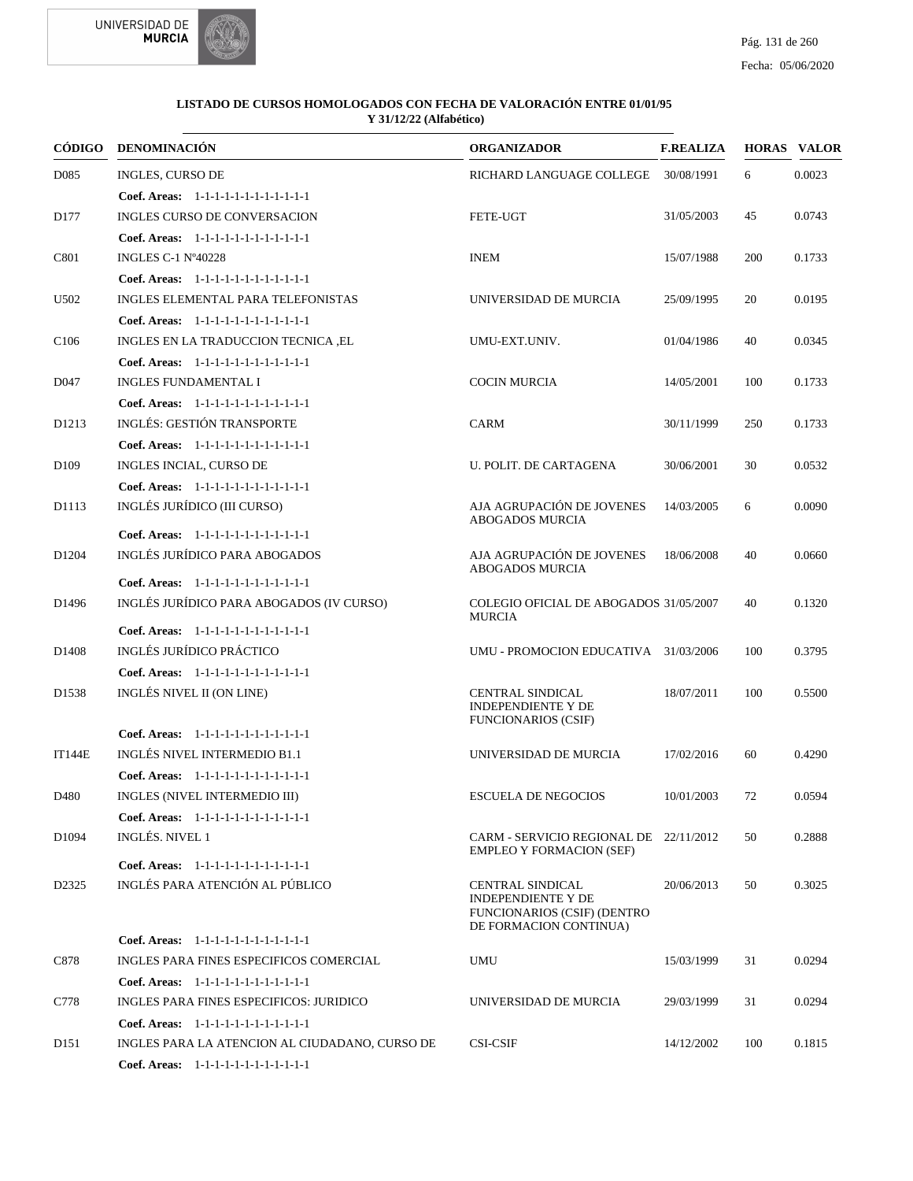



| CÓDIGO            | <b>DENOMINACIÓN</b>                                                                | <b>ORGANIZADOR</b>                                                                                     | <b>F.REALIZA</b> |     | <b>HORAS VALOR</b> |
|-------------------|------------------------------------------------------------------------------------|--------------------------------------------------------------------------------------------------------|------------------|-----|--------------------|
| D <sub>0</sub> 85 | INGLES, CURSO DE                                                                   | RICHARD LANGUAGE COLLEGE                                                                               | 30/08/1991       | 6   | 0.0023             |
|                   | Coef. Areas: $1-1-1-1-1-1-1-1-1-1-1$                                               |                                                                                                        |                  |     |                    |
| D <sub>177</sub>  | INGLES CURSO DE CONVERSACION                                                       | <b>FETE-UGT</b>                                                                                        | 31/05/2003       | 45  | 0.0743             |
|                   | Coef. Areas: 1-1-1-1-1-1-1-1-1-1-1-1-1                                             |                                                                                                        |                  |     |                    |
| C801              | <b>INGLES C-1 N°40228</b>                                                          | <b>INEM</b>                                                                                            | 15/07/1988       | 200 | 0.1733             |
|                   | Coef. Areas: 1-1-1-1-1-1-1-1-1-1-1-1-1                                             |                                                                                                        |                  |     |                    |
| U502              | INGLES ELEMENTAL PARA TELEFONISTAS                                                 | UNIVERSIDAD DE MURCIA                                                                                  | 25/09/1995       | 20  | 0.0195             |
|                   | Coef. Areas: 1-1-1-1-1-1-1-1-1-1-1-1-1                                             |                                                                                                        |                  |     |                    |
| C <sub>106</sub>  | INGLES EN LA TRADUCCION TECNICA ,EL                                                | UMU-EXT.UNIV.                                                                                          | 01/04/1986       | 40  | 0.0345             |
|                   | Coef. Areas: 1-1-1-1-1-1-1-1-1-1-1-1-1                                             |                                                                                                        |                  |     |                    |
| D <sub>047</sub>  | <b>INGLES FUNDAMENTAL I</b>                                                        | <b>COCIN MURCIA</b>                                                                                    | 14/05/2001       | 100 | 0.1733             |
|                   | Coef. Areas: 1-1-1-1-1-1-1-1-1-1-1-1-1                                             |                                                                                                        |                  |     |                    |
| D <sub>1213</sub> | INGLÉS: GESTIÓN TRANSPORTE                                                         | <b>CARM</b>                                                                                            | 30/11/1999       | 250 | 0.1733             |
|                   | Coef. Areas: 1-1-1-1-1-1-1-1-1-1-1-1-1                                             |                                                                                                        |                  |     |                    |
| D <sub>109</sub>  | INGLES INCIAL, CURSO DE                                                            | U. POLIT. DE CARTAGENA                                                                                 | 30/06/2001       | 30  | 0.0532             |
|                   | Coef. Areas: 1-1-1-1-1-1-1-1-1-1-1-1-1                                             |                                                                                                        |                  |     |                    |
| D1113             | INGLÉS JURÍDICO (III CURSO)                                                        | AJA AGRUPACIÓN DE JOVENES<br><b>ABOGADOS MURCIA</b>                                                    | 14/03/2005       | 6   | 0.0090             |
|                   | Coef. Areas: 1-1-1-1-1-1-1-1-1-1-1-1-1                                             |                                                                                                        |                  |     |                    |
| D <sub>1204</sub> | INGLÉS JURÍDICO PARA ABOGADOS                                                      | AJA AGRUPACIÓN DE JOVENES<br><b>ABOGADOS MURCIA</b>                                                    | 18/06/2008       | 40  | 0.0660             |
|                   | Coef. Areas: 1-1-1-1-1-1-1-1-1-1-1-1-1<br>INGLÉS JURÍDICO PARA ABOGADOS (IV CURSO) | COLEGIO OFICIAL DE ABOGADOS 31/05/2007                                                                 |                  |     |                    |
| D <sub>1496</sub> |                                                                                    | <b>MURCIA</b>                                                                                          |                  | 40  | 0.1320             |
|                   | Coef. Areas: 1-1-1-1-1-1-1-1-1-1-1-1-1                                             |                                                                                                        |                  |     |                    |
| D <sub>1408</sub> | INGLÉS JURÍDICO PRÁCTICO                                                           | UMU - PROMOCION EDUCATIVA 31/03/2006                                                                   |                  | 100 | 0.3795             |
|                   | Coef. Areas: 1-1-1-1-1-1-1-1-1-1-1-1-1                                             |                                                                                                        |                  |     |                    |
| D <sub>1538</sub> | INGLÉS NIVEL II (ON LINE)                                                          | <b>CENTRAL SINDICAL</b><br><b>INDEPENDIENTE Y DE</b><br><b>FUNCIONARIOS (CSIF)</b>                     | 18/07/2011       | 100 | 0.5500             |
|                   | Coef. Areas: 1-1-1-1-1-1-1-1-1-1-1-1-1                                             |                                                                                                        |                  |     |                    |
| <b>IT144E</b>     | INGLÉS NIVEL INTERMEDIO B1.1                                                       | UNIVERSIDAD DE MURCIA                                                                                  | 17/02/2016       | 60  | 0.4290             |
|                   | Coef. Areas: 1-1-1-1-1-1-1-1-1-1-1-1-1                                             |                                                                                                        |                  |     |                    |
| D480              | INGLES (NIVEL INTERMEDIO III)                                                      | <b>ESCUELA DE NEGOCIOS</b>                                                                             | 10/01/2003       | 72  | 0.0594             |
|                   | Coef. Areas: 1-1-1-1-1-1-1-1-1-1-1-1-1                                             |                                                                                                        |                  |     |                    |
| D <sub>1094</sub> | INGLÉS. NIVEL 1                                                                    | CARM - SERVICIO REGIONAL DE 22/11/2012<br><b>EMPLEO Y FORMACION (SEF)</b>                              |                  | 50  | 0.2888             |
|                   | Coef. Areas: 1-1-1-1-1-1-1-1-1-1-1-1-1                                             |                                                                                                        |                  |     |                    |
| D <sub>2325</sub> | INGLÉS PARA ATENCIÓN AL PÚBLICO                                                    | CENTRAL SINDICAL<br><b>INDEPENDIENTE Y DE</b><br>FUNCIONARIOS (CSIF) (DENTRO<br>DE FORMACION CONTINUA) | 20/06/2013       | 50  | 0.3025             |
|                   | Coef. Areas: 1-1-1-1-1-1-1-1-1-1-1-1-1                                             |                                                                                                        |                  |     |                    |
| C878              | INGLES PARA FINES ESPECIFICOS COMERCIAL                                            | <b>UMU</b>                                                                                             | 15/03/1999       | 31  | 0.0294             |
|                   | Coef. Areas: 1-1-1-1-1-1-1-1-1-1-1-1-1                                             |                                                                                                        |                  |     |                    |
| C778              | INGLES PARA FINES ESPECIFICOS: JURIDICO                                            | UNIVERSIDAD DE MURCIA                                                                                  | 29/03/1999       | 31  | 0.0294             |
|                   | Coef. Areas: 1-1-1-1-1-1-1-1-1-1-1-1-1                                             |                                                                                                        |                  |     |                    |
| D <sub>151</sub>  | INGLES PARA LA ATENCION AL CIUDADANO, CURSO DE                                     | <b>CSI-CSIF</b>                                                                                        | 14/12/2002       | 100 | 0.1815             |
|                   | Coef. Areas: 1-1-1-1-1-1-1-1-1-1-1-1-1                                             |                                                                                                        |                  |     |                    |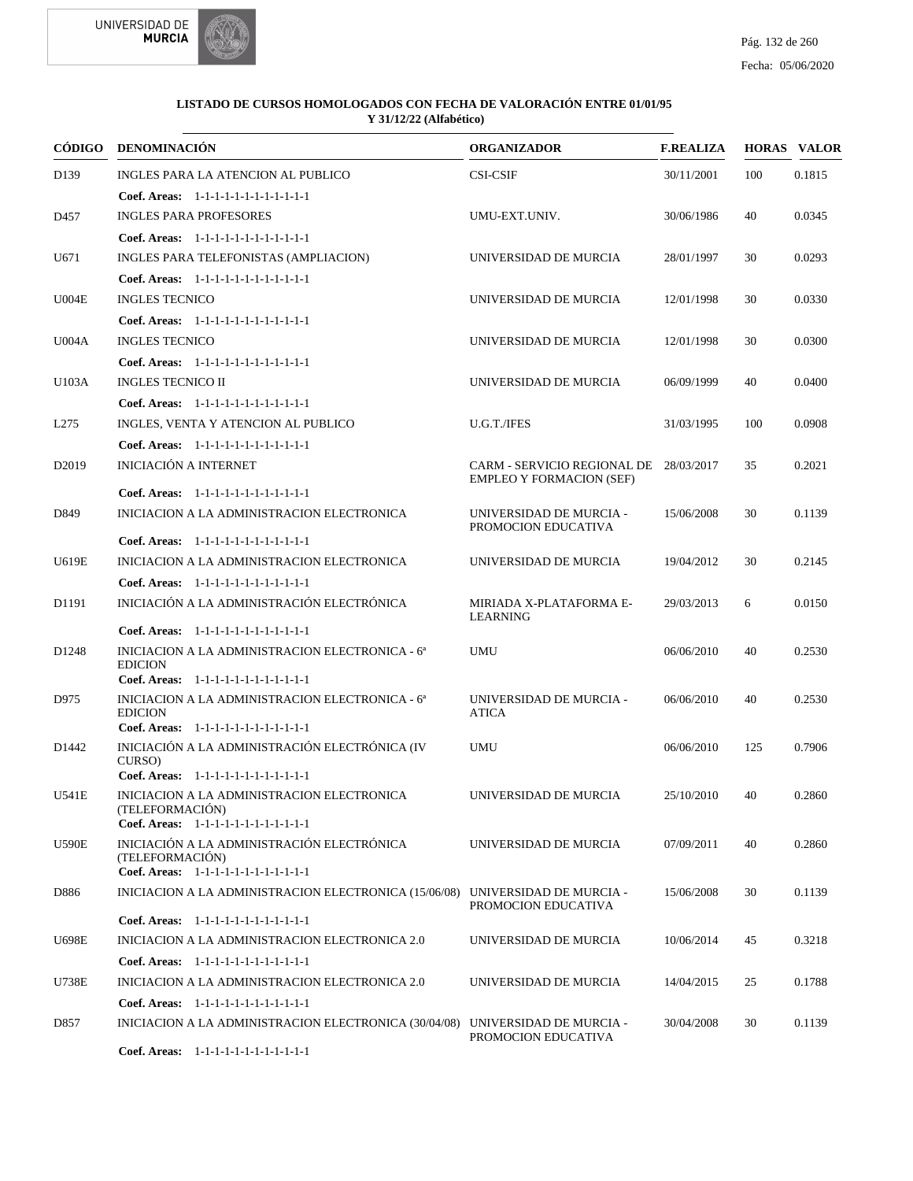



| CÓDIGO            | <b>DENOMINACIÓN</b>                                                                                         | <b>ORGANIZADOR</b>                             | <b>F.REALIZA</b> |     | <b>HORAS VALOR</b> |
|-------------------|-------------------------------------------------------------------------------------------------------------|------------------------------------------------|------------------|-----|--------------------|
| D <sub>139</sub>  | INGLES PARA LA ATENCION AL PUBLICO                                                                          | <b>CSI-CSIF</b>                                | 30/11/2001       | 100 | 0.1815             |
|                   | Coef. Areas: $1-1-1-1-1-1-1-1-1-1-1$                                                                        |                                                |                  |     |                    |
| D457              | <b>INGLES PARA PROFESORES</b>                                                                               | UMU-EXT.UNIV.                                  | 30/06/1986       | 40  | 0.0345             |
|                   | Coef. Areas: 1-1-1-1-1-1-1-1-1-1-1-1-1                                                                      |                                                |                  |     |                    |
| U671              | INGLES PARA TELEFONISTAS (AMPLIACION)                                                                       | UNIVERSIDAD DE MURCIA                          | 28/01/1997       | 30  | 0.0293             |
|                   | Coef. Areas: 1-1-1-1-1-1-1-1-1-1-1-1-1                                                                      |                                                |                  |     |                    |
| U004E             | <b>INGLES TECNICO</b>                                                                                       | UNIVERSIDAD DE MURCIA                          | 12/01/1998       | 30  | 0.0330             |
|                   | Coef. Areas: 1-1-1-1-1-1-1-1-1-1-1-1-1                                                                      |                                                |                  |     |                    |
| U004A             | <b>INGLES TECNICO</b>                                                                                       | UNIVERSIDAD DE MURCIA                          | 12/01/1998       | 30  | 0.0300             |
|                   | Coef. Areas: $1-1-1-1-1-1-1-1-1-1-1$                                                                        |                                                |                  |     |                    |
| U103A             | <b>INGLES TECNICO II</b>                                                                                    | UNIVERSIDAD DE MURCIA                          | 06/09/1999       | 40  | 0.0400             |
|                   | Coef. Areas: 1-1-1-1-1-1-1-1-1-1-1-1-1                                                                      |                                                |                  |     |                    |
| L <sub>275</sub>  | INGLES, VENTA Y ATENCION AL PUBLICO                                                                         | U.G.T./IFES                                    | 31/03/1995       | 100 | 0.0908             |
|                   | Coef. Areas: 1-1-1-1-1-1-1-1-1-1-1-1-1                                                                      |                                                |                  |     |                    |
| D <sub>2019</sub> | INICIACIÓN A INTERNET                                                                                       | CARM - SERVICIO REGIONAL DE 28/03/2017         |                  | 35  | 0.2021             |
|                   | Coef. Areas: $1-1-1-1-1-1-1-1-1-1-1$                                                                        | <b>EMPLEO Y FORMACION (SEF)</b>                |                  |     |                    |
| D849              | INICIACION A LA ADMINISTRACION ELECTRONICA                                                                  | UNIVERSIDAD DE MURCIA -<br>PROMOCION EDUCATIVA | 15/06/2008       | 30  | 0.1139             |
|                   | Coef. Areas: 1-1-1-1-1-1-1-1-1-1-1-1-1                                                                      |                                                |                  |     |                    |
| U619E             | INICIACION A LA ADMINISTRACION ELECTRONICA                                                                  | UNIVERSIDAD DE MURCIA                          | 19/04/2012       | 30  | 0.2145             |
|                   | Coef. Areas: 1-1-1-1-1-1-1-1-1-1-1-1-1                                                                      |                                                |                  |     |                    |
| D1191             | INICIACIÓN A LA ADMINISTRACIÓN ELECTRÓNICA                                                                  | MIRIADA X-PLATAFORMA E-<br>LEARNING            | 29/03/2013       | 6   | 0.0150             |
|                   | Coef. Areas: 1-1-1-1-1-1-1-1-1-1-1-1-1                                                                      |                                                |                  |     |                    |
| D <sub>1248</sub> | INICIACION A LA ADMINISTRACION ELECTRONICA - 6ª<br><b>EDICION</b>                                           | <b>UMU</b>                                     | 06/06/2010       | 40  | 0.2530             |
|                   | Coef. Areas: 1-1-1-1-1-1-1-1-1-1-1-1-1                                                                      | UNIVERSIDAD DE MURCIA -                        |                  |     |                    |
| D975              | INICIACION A LA ADMINISTRACION ELECTRONICA - 6ª<br><b>EDICION</b><br>Coef. Areas: 1-1-1-1-1-1-1-1-1-1-1-1-1 | <b>ATICA</b>                                   | 06/06/2010       | 40  | 0.2530             |
| D <sub>1442</sub> | INICIACIÓN A LA ADMINISTRACIÓN ELECTRÓNICA (IV                                                              | <b>UMU</b>                                     | 06/06/2010       | 125 | 0.7906             |
|                   | CURSO)                                                                                                      |                                                |                  |     |                    |
|                   | Coef. Areas: 1-1-1-1-1-1-1-1-1-1-1-1-1                                                                      |                                                |                  |     |                    |
| U541E             | INICIACION A LA ADMINISTRACION ELECTRONICA<br>(TELEFORMACIÓN)<br>Coef. Areas: 1-1-1-1-1-1-1-1-1-1-1-1-1     | UNIVERSIDAD DE MURCIA                          | 25/10/2010       | 40  | 0.2860             |
| <b>U590E</b>      | INICIACIÓN A LA ADMINISTRACIÓN ELECTRÓNICA                                                                  | UNIVERSIDAD DE MURCIA                          | 07/09/2011       | 40  | 0.2860             |
|                   | (TELEFORMACIÓN)<br>Coef. Areas: 1-1-1-1-1-1-1-1-1-1-1-1-1                                                   |                                                |                  |     |                    |
| D886              | INICIACION A LA ADMINISTRACION ELECTRONICA (15/06/08) UNIVERSIDAD DE MURCIA -                               | PROMOCION EDUCATIVA                            | 15/06/2008       | 30  | 0.1139             |
|                   | Coef. Areas: 1-1-1-1-1-1-1-1-1-1-1-1-1                                                                      |                                                |                  |     |                    |
| U698E             | INICIACION A LA ADMINISTRACION ELECTRONICA 2.0                                                              | UNIVERSIDAD DE MURCIA                          | 10/06/2014       | 45  | 0.3218             |
|                   | Coef. Areas: $1-1-1-1-1-1-1-1-1-1-1$                                                                        |                                                |                  |     |                    |
| U738E             | INICIACION A LA ADMINISTRACION ELECTRONICA 2.0                                                              | UNIVERSIDAD DE MURCIA                          | 14/04/2015       | 25  | 0.1788             |
|                   | Coef. Areas: 1-1-1-1-1-1-1-1-1-1-1-1-1                                                                      |                                                |                  |     |                    |
| D857              | INICIACION A LA ADMINISTRACION ELECTRONICA (30/04/08) UNIVERSIDAD DE MURCIA -                               | PROMOCION EDUCATIVA                            | 30/04/2008       | 30  | 0.1139             |
|                   | Coef. Areas: 1-1-1-1-1-1-1-1-1-1-1-1-1                                                                      |                                                |                  |     |                    |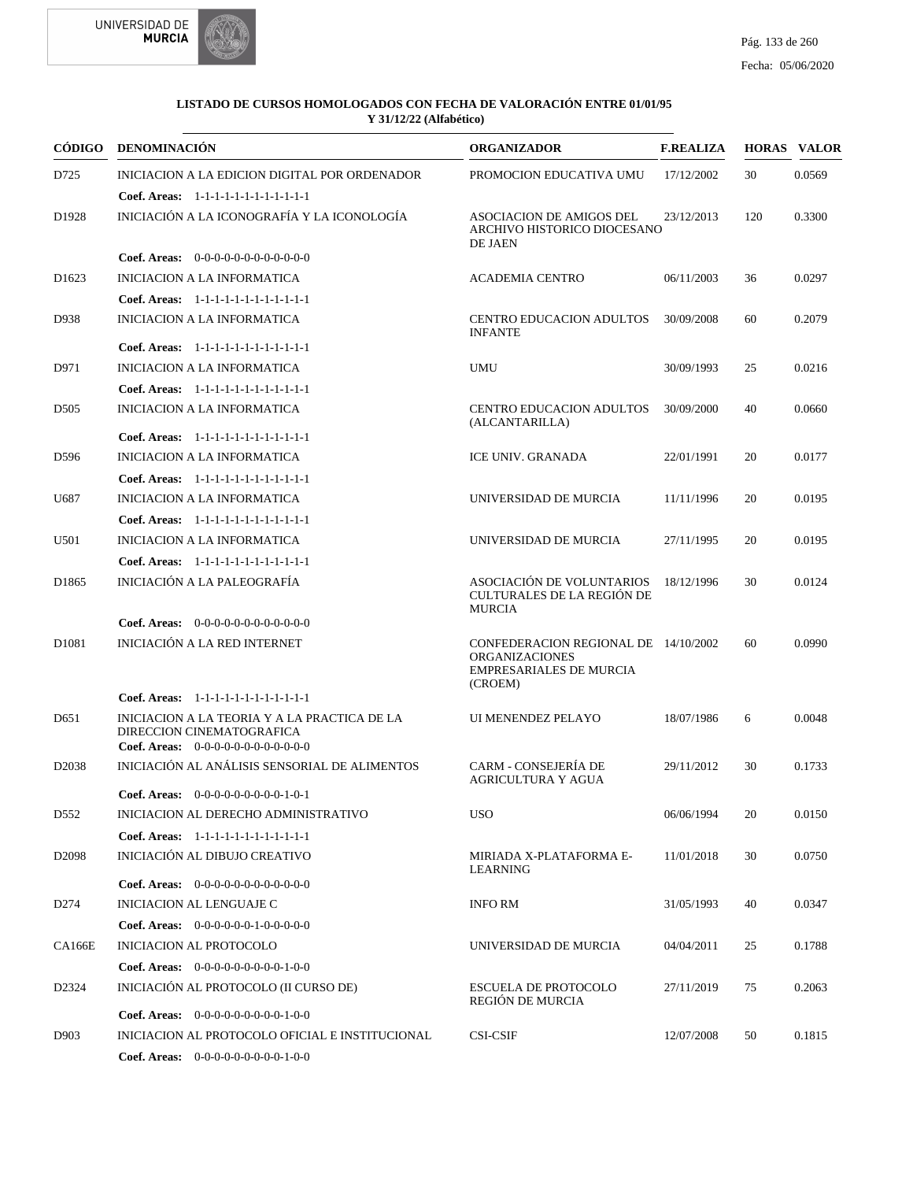



| CÓDIGO             | <b>DENOMINACIÓN</b>                                                                                                 | <b>ORGANIZADOR</b>                                                                                         | <b>F.REALIZA</b> |     | <b>HORAS VALOR</b> |
|--------------------|---------------------------------------------------------------------------------------------------------------------|------------------------------------------------------------------------------------------------------------|------------------|-----|--------------------|
| D725               | INICIACION A LA EDICION DIGITAL POR ORDENADOR                                                                       | PROMOCION EDUCATIVA UMU                                                                                    | 17/12/2002       | 30  | 0.0569             |
|                    | Coef. Areas: 1-1-1-1-1-1-1-1-1-1-1-1-1                                                                              |                                                                                                            |                  |     |                    |
| D <sub>1928</sub>  | INICIACIÓN A LA ICONOGRAFÍA Y LA ICONOLOGÍA                                                                         | ASOCIACION DE AMIGOS DEL<br>ARCHIVO HISTORICO DIOCESANO<br>DE JAEN                                         | 23/12/2013       | 120 | 0.3300             |
|                    | Coef. Areas: $0-0-0-0-0-0-0-0-0-0-0$                                                                                |                                                                                                            |                  |     |                    |
| D <sub>1623</sub>  | <b>INICIACION A LA INFORMATICA</b>                                                                                  | <b>ACADEMIA CENTRO</b>                                                                                     | 06/11/2003       | 36  | 0.0297             |
|                    | Coef. Areas: 1-1-1-1-1-1-1-1-1-1-1-1-1                                                                              |                                                                                                            |                  |     |                    |
| D938               | <b>INICIACION A LA INFORMATICA</b>                                                                                  | <b>CENTRO EDUCACION ADULTOS</b><br><b>INFANTE</b>                                                          | 30/09/2008       | 60  | 0.2079             |
|                    | Coef. Areas: 1-1-1-1-1-1-1-1-1-1-1-1-1                                                                              |                                                                                                            |                  |     |                    |
| D971               | <b>INICIACION A LA INFORMATICA</b>                                                                                  | <b>UMU</b>                                                                                                 | 30/09/1993       | 25  | 0.0216             |
|                    | Coef. Areas: 1-1-1-1-1-1-1-1-1-1-1-1-1                                                                              |                                                                                                            |                  |     |                    |
| D <sub>505</sub>   | <b>INICIACION A LA INFORMATICA</b>                                                                                  | <b>CENTRO EDUCACION ADULTOS</b><br>(ALCANTARILLA)                                                          | 30/09/2000       | 40  | 0.0660             |
|                    | Coef. Areas: 1-1-1-1-1-1-1-1-1-1-1-1-1                                                                              |                                                                                                            |                  |     |                    |
| D596               | <b>INICIACION A LA INFORMATICA</b>                                                                                  | <b>ICE UNIV. GRANADA</b>                                                                                   | 22/01/1991       | 20  | 0.0177             |
|                    | Coef. Areas: 1-1-1-1-1-1-1-1-1-1-1-1-1                                                                              |                                                                                                            |                  |     |                    |
| U687               | <b>INICIACION A LA INFORMATICA</b>                                                                                  | UNIVERSIDAD DE MURCIA                                                                                      | 11/11/1996       | 20  | 0.0195             |
|                    | Coef. Areas: 1-1-1-1-1-1-1-1-1-1-1-1-1                                                                              |                                                                                                            |                  |     |                    |
| U501               | <b>INICIACION A LA INFORMATICA</b>                                                                                  | UNIVERSIDAD DE MURCIA                                                                                      | 27/11/1995       | 20  | 0.0195             |
|                    | Coef. Areas: 1-1-1-1-1-1-1-1-1-1-1-1-1                                                                              |                                                                                                            |                  |     |                    |
| D1865              | INICIACIÓN A LA PALEOGRAFÍA                                                                                         | ASOCIACIÓN DE VOLUNTARIOS<br>CULTURALES DE LA REGIÓN DE<br><b>MURCIA</b>                                   | 18/12/1996       | 30  | 0.0124             |
|                    | Coef. Areas: 0-0-0-0-0-0-0-0-0-0-0-0-0                                                                              |                                                                                                            |                  |     |                    |
| D <sub>1081</sub>  | INICIACIÓN A LA RED INTERNET                                                                                        | CONFEDERACION REGIONAL DE 14/10/2002<br><b>ORGANIZACIONES</b><br><b>EMPRESARIALES DE MURCIA</b><br>(CROEM) |                  | 60  | 0.0990             |
|                    | Coef. Areas: 1-1-1-1-1-1-1-1-1-1-1-1-1                                                                              |                                                                                                            |                  |     |                    |
| D <sub>651</sub>   | INICIACION A LA TEORIA Y A LA PRACTICA DE LA<br>DIRECCION CINEMATOGRAFICA<br>Coef. Areas: 0-0-0-0-0-0-0-0-0-0-0-0-0 | UI MENENDEZ PELAYO                                                                                         | 18/07/1986       | 6   | 0.0048             |
| D <sub>2038</sub>  | INICIACIÓN AL ANÁLISIS SENSORIAL DE ALIMENTOS                                                                       | <b>CARM - CONSEJERÍA DE</b><br>AGRICULTURA Y AGUA                                                          | 29/11/2012       | 30  | 0.1733             |
|                    | <b>Coef. Areas:</b> $0-0-0-0-0-0-0-0-1-0-1$                                                                         |                                                                                                            |                  |     |                    |
| D <sub>552</sub>   | INICIACION AL DERECHO ADMINISTRATIVO                                                                                | <b>USO</b>                                                                                                 | 06/06/1994       | 20  | 0.0150             |
|                    | Coef. Areas: 1-1-1-1-1-1-1-1-1-1-1-1-1                                                                              |                                                                                                            |                  |     |                    |
| D <sub>2098</sub>  | INICIACIÓN AL DIBUJO CREATIVO                                                                                       | MIRIADA X-PLATAFORMA E-<br><b>LEARNING</b>                                                                 | 11/01/2018       | 30  | 0.0750             |
|                    | Coef. Areas: $0-0-0-0-0-0-0-0-0-0-0$                                                                                |                                                                                                            |                  |     |                    |
| D <sub>274</sub>   | <b>INICIACION AL LENGUAJE C</b>                                                                                     | <b>INFO RM</b>                                                                                             | 31/05/1993       | 40  | 0.0347             |
|                    | Coef. Areas: $0-0-0-0-0-1-0-0-0-0-0$                                                                                |                                                                                                            |                  |     |                    |
| <b>CA166E</b>      | INICIACION AL PROTOCOLO                                                                                             | UNIVERSIDAD DE MURCIA                                                                                      | 04/04/2011       | 25  | 0.1788             |
|                    | Coef. Areas: $0-0-0-0-0-0-0-0-1-0-0$                                                                                |                                                                                                            |                  |     |                    |
| D <sub>2</sub> 324 | INICIACIÓN AL PROTOCOLO (II CURSO DE)                                                                               | <b>ESCUELA DE PROTOCOLO</b><br>REGIÓN DE MURCIA                                                            | 27/11/2019       | 75  | 0.2063             |
|                    | <b>Coef. Areas:</b> $0-0-0-0-0-0-0-0-1-0-0$                                                                         |                                                                                                            |                  |     |                    |
| D903               | INICIACION AL PROTOCOLO OFICIAL E INSTITUCIONAL                                                                     | <b>CSI-CSIF</b>                                                                                            | 12/07/2008       | 50  | 0.1815             |
|                    | Coef. Areas: $0-0-0-0-0-0-0-0-1-0-0$                                                                                |                                                                                                            |                  |     |                    |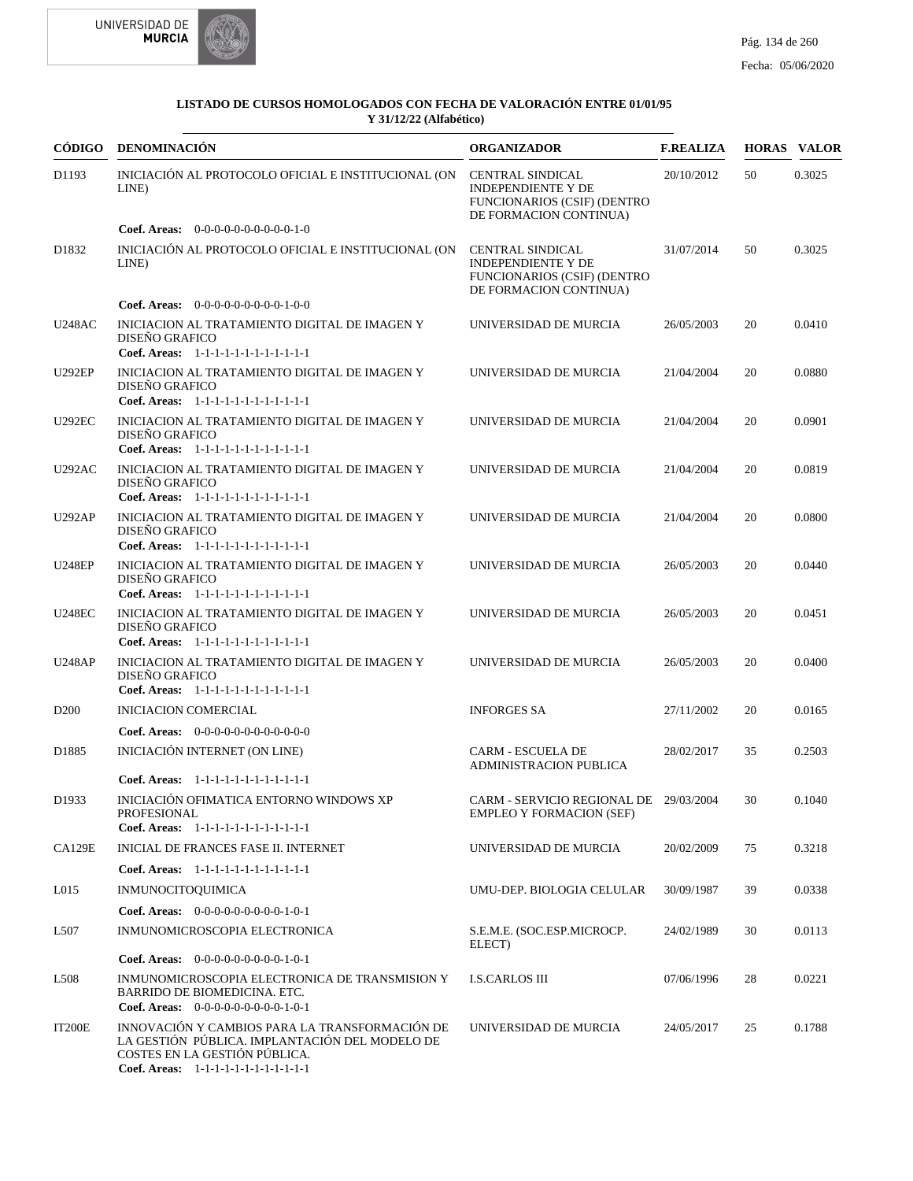



| CÓDIGO            | DENOMINACIÓN                                                                                                                                                                | <b>ORGANIZADOR</b>                                                                                                   | <b>F.REALIZA</b> |    | <b>HORAS VALOR</b> |
|-------------------|-----------------------------------------------------------------------------------------------------------------------------------------------------------------------------|----------------------------------------------------------------------------------------------------------------------|------------------|----|--------------------|
| D1193             | INICIACIÓN AL PROTOCOLO OFICIAL E INSTITUCIONAL (ON<br>LINE)                                                                                                                | <b>CENTRAL SINDICAL</b><br><b>INDEPENDIENTE Y DE</b><br>FUNCIONARIOS (CSIF) (DENTRO<br>DE FORMACION CONTINUA)        | 20/10/2012       | 50 | 0.3025             |
|                   | Coef. Areas: 0-0-0-0-0-0-0-0-0-0-1-0                                                                                                                                        |                                                                                                                      |                  |    |                    |
| D <sub>1832</sub> | INICIACIÓN AL PROTOCOLO OFICIAL E INSTITUCIONAL (ON<br>LINE)                                                                                                                | <b>CENTRAL SINDICAL</b><br><b>INDEPENDIENTE Y DE</b><br><b>FUNCIONARIOS (CSIF) (DENTRO</b><br>DE FORMACION CONTINUA) | 31/07/2014       | 50 | 0.3025             |
|                   | <b>Coef. Areas:</b> $0-0-0-0-0-0-0-0-1-0-0$                                                                                                                                 |                                                                                                                      |                  |    |                    |
| <b>U248AC</b>     | INICIACION AL TRATAMIENTO DIGITAL DE IMAGEN Y<br>DISEÑO GRAFICO<br>Coef. Areas: 1-1-1-1-1-1-1-1-1-1-1-1-1                                                                   | UNIVERSIDAD DE MURCIA                                                                                                | 26/05/2003       | 20 | 0.0410             |
| <b>U292EP</b>     | INICIACION AL TRATAMIENTO DIGITAL DE IMAGEN Y<br>DISEÑO GRAFICO<br>Coef. Areas: 1-1-1-1-1-1-1-1-1-1-1-1-1                                                                   | UNIVERSIDAD DE MURCIA                                                                                                | 21/04/2004       | 20 | 0.0880             |
| <b>U292EC</b>     | INICIACION AL TRATAMIENTO DIGITAL DE IMAGEN Y<br>DISEÑO GRAFICO<br>Coef. Areas: 1-1-1-1-1-1-1-1-1-1-1-1-1                                                                   | UNIVERSIDAD DE MURCIA                                                                                                | 21/04/2004       | 20 | 0.0901             |
| <b>U292AC</b>     | INICIACION AL TRATAMIENTO DIGITAL DE IMAGEN Y<br>DISEÑO GRAFICO<br>Coef. Areas: 1-1-1-1-1-1-1-1-1-1-1-1-1                                                                   | UNIVERSIDAD DE MURCIA                                                                                                | 21/04/2004       | 20 | 0.0819             |
| <b>U292AP</b>     | INICIACION AL TRATAMIENTO DIGITAL DE IMAGEN Y<br>DISEÑO GRAFICO<br>Coef. Areas: 1-1-1-1-1-1-1-1-1-1-1-1-1                                                                   | UNIVERSIDAD DE MURCIA                                                                                                | 21/04/2004       | 20 | 0.0800             |
| <b>U248EP</b>     | INICIACION AL TRATAMIENTO DIGITAL DE IMAGEN Y<br>DISEÑO GRAFICO<br>Coef. Areas: 1-1-1-1-1-1-1-1-1-1-1-1-1                                                                   | UNIVERSIDAD DE MURCIA                                                                                                | 26/05/2003       | 20 | 0.0440             |
| <b>U248EC</b>     | INICIACION AL TRATAMIENTO DIGITAL DE IMAGEN Y<br>DISEÑO GRAFICO<br>Coef. Areas: 1-1-1-1-1-1-1-1-1-1-1-1-1                                                                   | UNIVERSIDAD DE MURCIA                                                                                                | 26/05/2003       | 20 | 0.0451             |
| <b>U248AP</b>     | INICIACION AL TRATAMIENTO DIGITAL DE IMAGEN Y<br><b>DISEÑO GRAFICO</b><br>Coef. Areas: 1-1-1-1-1-1-1-1-1-1-1-1-1                                                            | UNIVERSIDAD DE MURCIA                                                                                                | 26/05/2003       | 20 | 0.0400             |
| D <sub>200</sub>  | <b>INICIACION COMERCIAL</b>                                                                                                                                                 | <b>INFORGES SA</b>                                                                                                   | 27/11/2002       | 20 | 0.0165             |
|                   | <b>Coef. Areas:</b> $0-0-0-0-0-0-0-0-0-0-0-0$                                                                                                                               |                                                                                                                      |                  |    |                    |
| D1885             | INICIACIÓN INTERNET (ON LINE)                                                                                                                                               | <b>CARM - ESCUELA DE</b><br><b>ADMINISTRACION PUBLICA</b>                                                            | 28/02/2017       | 35 | 0.2503             |
|                   | Coef. Areas: 1-1-1-1-1-1-1-1-1-1-1-1-1                                                                                                                                      |                                                                                                                      |                  |    |                    |
| D1933             | INICIACIÓN OFIMATICA ENTORNO WINDOWS XP<br>PROFESIONAL<br>Coef. Areas: 1-1-1-1-1-1-1-1-1-1-1-1-1                                                                            | CARM - SERVICIO REGIONAL DE 29/03/2004<br><b>EMPLEO Y FORMACION (SEF)</b>                                            |                  | 30 | 0.1040             |
| <b>CA129E</b>     | <b>INICIAL DE FRANCES FASE II. INTERNET</b>                                                                                                                                 | UNIVERSIDAD DE MURCIA                                                                                                | 20/02/2009       | 75 | 0.3218             |
|                   | Coef. Areas: 1-1-1-1-1-1-1-1-1-1-1-1-1                                                                                                                                      |                                                                                                                      |                  |    |                    |
| L015              | <b>INMUNOCITOQUIMICA</b>                                                                                                                                                    | UMU-DEP. BIOLOGIA CELULAR                                                                                            | 30/09/1987       | 39 | 0.0338             |
|                   | Coef. Areas: $0-0-0-0-0-0-0-0-1-0-1$                                                                                                                                        |                                                                                                                      |                  |    |                    |
| L507              | INMUNOMICROSCOPIA ELECTRONICA                                                                                                                                               | S.E.M.E. (SOC.ESP.MICROCP.<br>ELECT)                                                                                 | 24/02/1989       | 30 | 0.0113             |
|                   | Coef. Areas: $0-0-0-0-0-0-0-0-1-0-1$                                                                                                                                        |                                                                                                                      |                  |    |                    |
| L <sub>508</sub>  | INMUNOMICROSCOPIA ELECTRONICA DE TRANSMISION Y<br>BARRIDO DE BIOMEDICINA. ETC.<br>Coef. Areas: $0-0-0-0-0-0-0-0-1-0-1$                                                      | <b>I.S.CARLOS III</b>                                                                                                | 07/06/1996       | 28 | 0.0221             |
| IT200E            | INNOVACIÓN Y CAMBIOS PARA LA TRANSFORMACIÓN DE<br>LA GESTIÓN PÚBLICA. IMPLANTACIÓN DEL MODELO DE<br>COSTES EN LA GESTIÓN PÚBLICA.<br>Coef. Areas: 1-1-1-1-1-1-1-1-1-1-1-1-1 | UNIVERSIDAD DE MURCIA                                                                                                | 24/05/2017       | 25 | 0.1788             |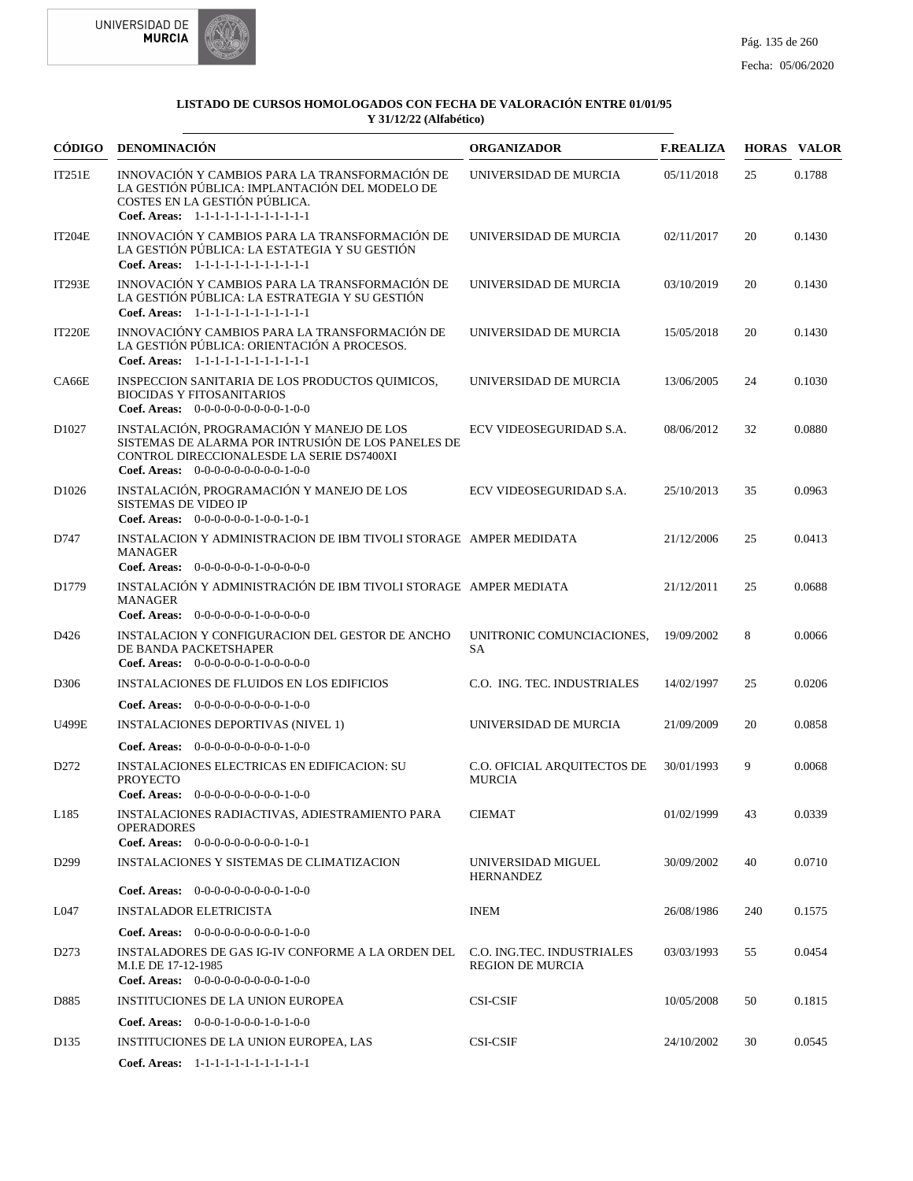



| CÓDIGO            | DENOMINACIÓN                                                                                                                                                                         | <b>ORGANIZADOR</b>                                    | <b>F.REALIZA</b> |     | <b>HORAS VALOR</b> |
|-------------------|--------------------------------------------------------------------------------------------------------------------------------------------------------------------------------------|-------------------------------------------------------|------------------|-----|--------------------|
| IT251E            | INNOVACIÓN Y CAMBIOS PARA LA TRANSFORMACIÓN DE<br>LA GESTIÓN PÚBLICA: IMPLANTACIÓN DEL MODELO DE<br>COSTES EN LA GESTIÓN PÚBLICA.<br>Coef. Areas: 1-1-1-1-1-1-1-1-1-1-1-1-1          | UNIVERSIDAD DE MURCIA                                 | 05/11/2018       | 25  | 0.1788             |
| <b>IT204E</b>     | INNOVACIÓN Y CAMBIOS PARA LA TRANSFORMACIÓN DE<br>LA GESTIÓN PÚBLICA: LA ESTATEGIA Y SU GESTIÓN<br>Coef. Areas: 1-1-1-1-1-1-1-1-1-1-1-1-1                                            | UNIVERSIDAD DE MURCIA                                 | 02/11/2017       | 20  | 0.1430             |
| <b>IT293E</b>     | INNOVACIÓN Y CAMBIOS PARA LA TRANSFORMACIÓN DE<br>LA GESTIÓN PÚBLICA: LA ESTRATEGIA Y SU GESTIÓN<br>Coef. Areas: 1-1-1-1-1-1-1-1-1-1-1-1-1                                           | UNIVERSIDAD DE MURCIA                                 | 03/10/2019       | 20  | 0.1430             |
| <b>IT220E</b>     | INNOVACIÓNY CAMBIOS PARA LA TRANSFORMACIÓN DE<br>LA GESTIÓN PÚBLICA: ORIENTACIÓN A PROCESOS.<br>Coef. Areas: 1-1-1-1-1-1-1-1-1-1-1-1-1                                               | UNIVERSIDAD DE MURCIA                                 | 15/05/2018       | 20  | 0.1430             |
| CA66E             | INSPECCION SANITARIA DE LOS PRODUCTOS QUIMICOS,<br><b>BIOCIDAS Y FITOSANITARIOS</b><br>Coef. Areas: $0-0-0-0-0-0-0-0-1-0-0$                                                          | UNIVERSIDAD DE MURCIA                                 | 13/06/2005       | 24  | 0.1030             |
| D1027             | INSTALACIÓN, PROGRAMACIÓN Y MANEJO DE LOS<br>SISTEMAS DE ALARMA POR INTRUSIÓN DE LOS PANELES DE<br>CONTROL DIRECCIONALESDE LA SERIE DS7400XI<br>Coef. Areas: $0-0-0-0-0-0-0-0-1-0-0$ | ECV VIDEOSEGURIDAD S.A.                               | 08/06/2012       | 32  | 0.0880             |
| D <sub>1026</sub> | INSTALACIÓN, PROGRAMACIÓN Y MANEJO DE LOS<br>SISTEMAS DE VIDEO IP<br>Coef. Areas: $0-0-0-0-0-1-0-0-1-0-1$                                                                            | ECV VIDEOSEGURIDAD S.A.                               | 25/10/2013       | 35  | 0.0963             |
| D747              | INSTALACION Y ADMINISTRACION DE IBM TIVOLI STORAGE AMPER MEDIDATA<br><b>MANAGER</b><br>Coef. Areas: $0-0-0-0-0-1-0-0-0-0-0$                                                          |                                                       | 21/12/2006       | 25  | 0.0413             |
| D1779             | INSTALACIÓN Y ADMINISTRACIÓN DE IBM TIVOLI STORAGE AMPER MEDIATA<br><b>MANAGER</b><br>Coef. Areas: $0-0-0-0-0-1-0-0-0-0-0$                                                           |                                                       | 21/12/2011       | 25  | 0.0688             |
| D426              | INSTALACION Y CONFIGURACION DEL GESTOR DE ANCHO<br>DE BANDA PACKETSHAPER<br>Coef. Areas: $0-0-0-0-0-1-0-0-0-0-0$                                                                     | UNITRONIC COMUNCIACIONES,<br><b>SA</b>                | 19/09/2002       | 8   | 0.0066             |
| D306              | <b>INSTALACIONES DE FLUIDOS EN LOS EDIFICIOS</b>                                                                                                                                     | C.O. ING. TEC. INDUSTRIALES                           | 14/02/1997       | 25  | 0.0206             |
|                   | <b>Coef. Areas:</b> $0-0-0-0-0-0-0-0-1-0-0$                                                                                                                                          |                                                       |                  |     |                    |
| U499E             | <b>INSTALACIONES DEPORTIVAS (NIVEL 1)</b>                                                                                                                                            | UNIVERSIDAD DE MURCIA                                 | 21/09/2009       | 20  | 0.0858             |
|                   | Coef. Areas: $0-0-0-0-0-0-0-0-1-0-0$                                                                                                                                                 |                                                       |                  |     |                    |
| D <sub>272</sub>  | <b>INSTALACIONES ELECTRICAS EN EDIFICACION: SU</b><br><b>PROYECTO</b><br>Coef. Areas: 0-0-0-0-0-0-0-0-0-1-0-0                                                                        | C.O. OFICIAL AROUITECTOS DE<br><b>MURCIA</b>          | 30/01/1993       | 9   | 0.0068             |
| L185              | INSTALACIONES RADIACTIVAS, ADIESTRAMIENTO PARA<br><b>OPERADORES</b><br><b>Coef. Areas:</b> $0-0-0-0-0-0-0-0-1-0-1$                                                                   | <b>CIEMAT</b>                                         | 01/02/1999       | 43  | 0.0339             |
| D <sub>299</sub>  | INSTALACIONES Y SISTEMAS DE CLIMATIZACION                                                                                                                                            | UNIVERSIDAD MIGUEL                                    | 30/09/2002       | 40  | 0.0710             |
|                   | <b>Coef. Areas:</b> $0-0-0-0-0-0-0-0-1-0-0$                                                                                                                                          | <b>HERNANDEZ</b>                                      |                  |     |                    |
| L047              | <b>INSTALADOR ELETRICISTA</b>                                                                                                                                                        | <b>INEM</b>                                           | 26/08/1986       | 240 | 0.1575             |
|                   | <b>Coef. Areas:</b> $0-0-0-0-0-0-0-0-1-0-0$                                                                                                                                          |                                                       |                  |     |                    |
| D <sub>273</sub>  | INSTALADORES DE GAS IG-IV CONFORME A LA ORDEN DEL<br>M.I.E DE 17-12-1985<br><b>Coef. Areas:</b> $0-0-0-0-0-0-0-0-1-0-0$                                                              | C.O. ING.TEC. INDUSTRIALES<br><b>REGION DE MURCIA</b> | 03/03/1993       | 55  | 0.0454             |
| D885              | INSTITUCIONES DE LA UNION EUROPEA                                                                                                                                                    | <b>CSI-CSIF</b>                                       | 10/05/2008       | 50  | 0.1815             |
|                   | <b>Coef. Areas:</b> $0-0-0-1-0-0-1-0-1-0-0$                                                                                                                                          |                                                       |                  |     |                    |
| D <sub>135</sub>  | INSTITUCIONES DE LA UNION EUROPEA, LAS                                                                                                                                               | <b>CSI-CSIF</b>                                       | 24/10/2002       | 30  | 0.0545             |
|                   | Coef. Areas: 1-1-1-1-1-1-1-1-1-1-1-1-1                                                                                                                                               |                                                       |                  |     |                    |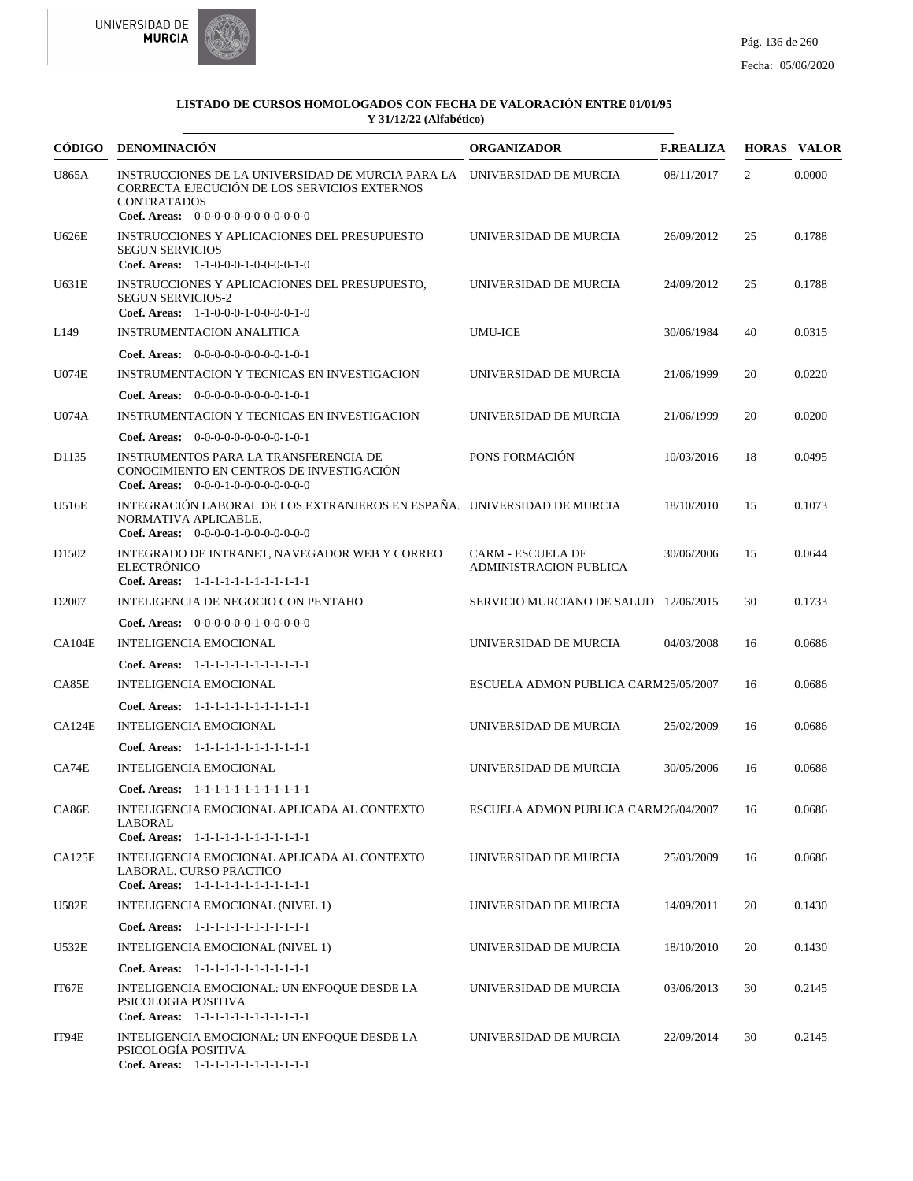



| <b>CÓDIGO</b>     | <b>DENOMINACIÓN</b>                                                                                                                                                                     | <b>ORGANIZADOR</b>                                        | <b>F.REALIZA</b> |    | <b>HORAS VALOR</b> |
|-------------------|-----------------------------------------------------------------------------------------------------------------------------------------------------------------------------------------|-----------------------------------------------------------|------------------|----|--------------------|
| <b>U865A</b>      | INSTRUCCIONES DE LA UNIVERSIDAD DE MURCIA PARA LA UNIVERSIDAD DE MURCIA<br>CORRECTA EJECUCIÓN DE LOS SERVICIOS EXTERNOS<br><b>CONTRATADOS</b><br>Coef. Areas: $0-0-0-0-0-0-0-0-0-0-0-0$ |                                                           | 08/11/2017       | 2  | 0.0000             |
| U626E             | INSTRUCCIONES Y APLICACIONES DEL PRESUPUESTO<br><b>SEGUN SERVICIOS</b><br>Coef. Areas: $1-1-0-0-0-1-0-0-0-1-0$                                                                          | UNIVERSIDAD DE MURCIA                                     | 26/09/2012       | 25 | 0.1788             |
| <b>U631E</b>      | INSTRUCCIONES Y APLICACIONES DEL PRESUPUESTO,<br><b>SEGUN SERVICIOS-2</b><br>Coef. Areas: $1-1-0-0-0-1-0-0-0-1-0$                                                                       | UNIVERSIDAD DE MURCIA                                     | 24/09/2012       | 25 | 0.1788             |
| L <sub>149</sub>  | <b>INSTRUMENTACION ANALITICA</b>                                                                                                                                                        | UMU-ICE                                                   | 30/06/1984       | 40 | 0.0315             |
|                   | Coef. Areas: $0-0-0-0-0-0-0-0-1-0-1$                                                                                                                                                    |                                                           |                  |    |                    |
| <b>U074E</b>      | INSTRUMENTACION Y TECNICAS EN INVESTIGACION                                                                                                                                             | UNIVERSIDAD DE MURCIA                                     | 21/06/1999       | 20 | 0.0220             |
|                   | <b>Coef. Areas:</b> $0-0-0-0-0-0-0-0-1-0-1$                                                                                                                                             |                                                           |                  |    |                    |
| U074A             | INSTRUMENTACION Y TECNICAS EN INVESTIGACION                                                                                                                                             | UNIVERSIDAD DE MURCIA                                     | 21/06/1999       | 20 | 0.0200             |
|                   | <b>Coef. Areas:</b> $0-0-0-0-0-0-0-0-1-0-1$                                                                                                                                             |                                                           |                  |    |                    |
| D1135             | INSTRUMENTOS PARA LA TRANSFERENCIA DE<br>CONOCIMIENTO EN CENTROS DE INVESTIGACIÓN<br>Coef. Areas: $0-0-0-1-0-0-0-0-0-0-0$                                                               | PONS FORMACIÓN                                            | 10/03/2016       | 18 | 0.0495             |
| U516E             | INTEGRACIÓN LABORAL DE LOS EXTRANJEROS EN ESPAÑA. UNIVERSIDAD DE MURCIA<br>NORMATIVA APLICABLE.<br>Coef. Areas: $0-0-0-0-1-0-0-0-0-0-0$                                                 |                                                           | 18/10/2010       | 15 | 0.1073             |
| D <sub>1502</sub> | INTEGRADO DE INTRANET, NAVEGADOR WEB Y CORREO<br><b>ELECTRÓNICO</b><br>Coef. Areas: 1-1-1-1-1-1-1-1-1-1-1-1-1                                                                           | <b>CARM - ESCUELA DE</b><br><b>ADMINISTRACION PUBLICA</b> | 30/06/2006       | 15 | 0.0644             |
| D <sub>2007</sub> | INTELIGENCIA DE NEGOCIO CON PENTAHO                                                                                                                                                     | SERVICIO MURCIANO DE SALUD 12/06/2015                     |                  | 30 | 0.1733             |
|                   | <b>Coef. Areas:</b> $0-0-0-0-0-1-0-0-0-0-0$                                                                                                                                             |                                                           |                  |    |                    |
| CA104E            | INTELIGENCIA EMOCIONAL                                                                                                                                                                  | UNIVERSIDAD DE MURCIA                                     | 04/03/2008       | 16 | 0.0686             |
|                   | Coef. Areas: 1-1-1-1-1-1-1-1-1-1-1-1-1                                                                                                                                                  |                                                           |                  |    |                    |
| CA85E             | INTELIGENCIA EMOCIONAL                                                                                                                                                                  | ESCUELA ADMON PUBLICA CARM25/05/2007                      |                  | 16 | 0.0686             |
|                   | Coef. Areas: 1-1-1-1-1-1-1-1-1-1-1-1-1                                                                                                                                                  |                                                           |                  |    |                    |
| CA124E            | INTELIGENCIA EMOCIONAL                                                                                                                                                                  | UNIVERSIDAD DE MURCIA                                     | 25/02/2009       | 16 | 0.0686             |
|                   | Coef. Areas: 1-1-1-1-1-1-1-1-1-1-1-1-1                                                                                                                                                  |                                                           |                  |    |                    |
| CA74E             | <b>INTELIGENCIA EMOCIONAL</b>                                                                                                                                                           | UNIVERSIDAD DE MURCIA                                     | 30/05/2006       | 16 | 0.0686             |
|                   | Coef. Areas: 1-1-1-1-1-1-1-1-1-1-1-1-1                                                                                                                                                  |                                                           |                  |    |                    |
| CA86E             | INTELIGENCIA EMOCIONAL APLICADA AL CONTEXTO<br><b>LABORAL</b><br>Coef. Areas: 1-1-1-1-1-1-1-1-1-1-1-1-1                                                                                 | ESCUELA ADMON PUBLICA CARM26/04/2007                      |                  | 16 | 0.0686             |
| CA125E            | INTELIGENCIA EMOCIONAL APLICADA AL CONTEXTO<br>LABORAL. CURSO PRACTICO<br>Coef. Areas: 1-1-1-1-1-1-1-1-1-1-1-1-1                                                                        | UNIVERSIDAD DE MURCIA                                     | 25/03/2009       | 16 | 0.0686             |
| U582E             | INTELIGENCIA EMOCIONAL (NIVEL 1)                                                                                                                                                        | UNIVERSIDAD DE MURCIA                                     | 14/09/2011       | 20 | 0.1430             |
|                   | Coef. Areas: 1-1-1-1-1-1-1-1-1-1-1-1-1                                                                                                                                                  |                                                           |                  |    |                    |
| U532E             | INTELIGENCIA EMOCIONAL (NIVEL 1)                                                                                                                                                        | UNIVERSIDAD DE MURCIA                                     | 18/10/2010       | 20 | 0.1430             |
|                   | Coef. Areas: 1-1-1-1-1-1-1-1-1-1-1-1-1                                                                                                                                                  |                                                           |                  |    |                    |
| IT67E             | INTELIGENCIA EMOCIONAL: UN ENFOQUE DESDE LA<br>PSICOLOGIA POSITIVA                                                                                                                      | UNIVERSIDAD DE MURCIA                                     | 03/06/2013       | 30 | 0.2145             |
| IT94E             | Coef. Areas: 1-1-1-1-1-1-1-1-1-1-1-1-1<br>INTELIGENCIA EMOCIONAL: UN ENFOQUE DESDE LA<br>PSICOLOGÍA POSITIVA<br>Coef. Areas: 1-1-1-1-1-1-1-1-1-1-1-1-1                                  | UNIVERSIDAD DE MURCIA                                     | 22/09/2014       | 30 | 0.2145             |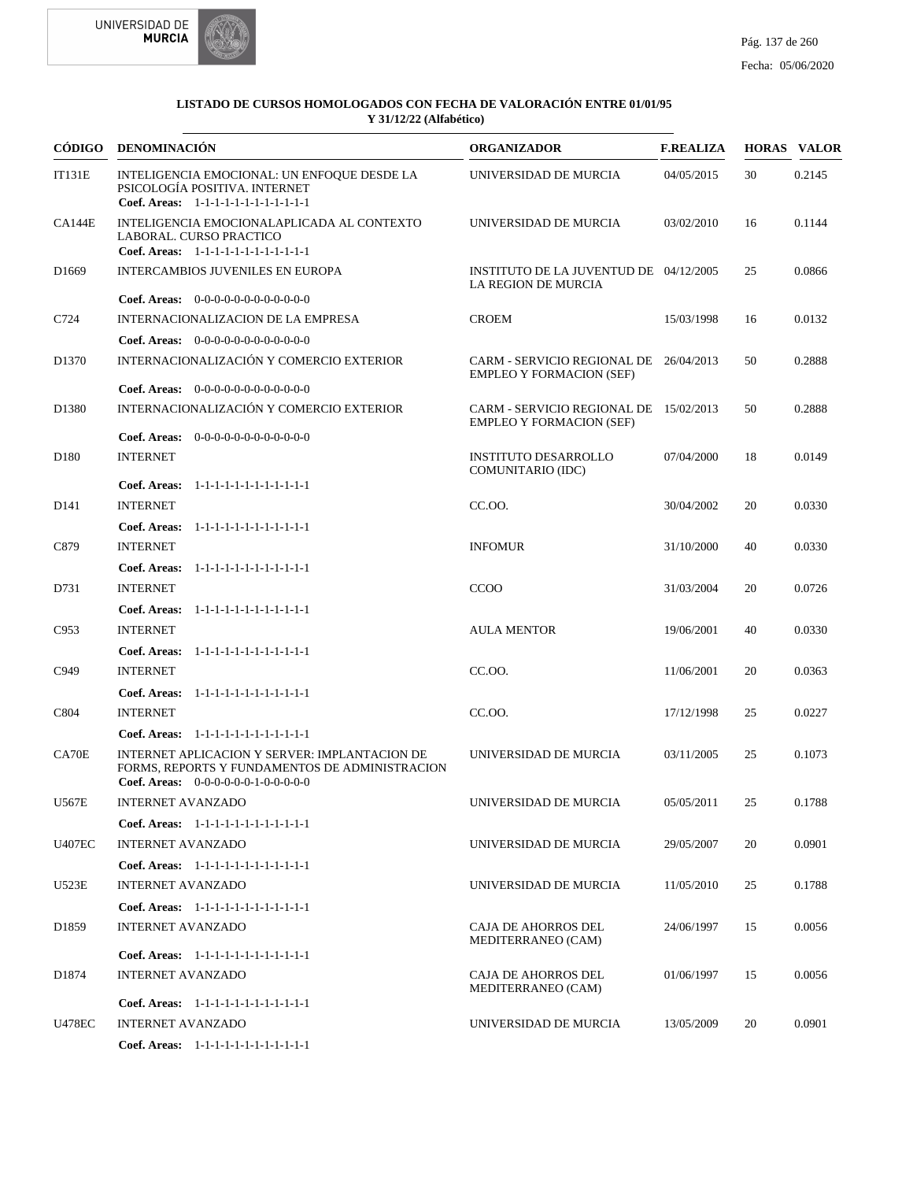



|                   | CÓDIGO DENOMINACIÓN                                                                                                                     | <b>ORGANIZADOR</b>                                                        | <b>F.REALIZA</b> |    | <b>HORAS VALOR</b> |
|-------------------|-----------------------------------------------------------------------------------------------------------------------------------------|---------------------------------------------------------------------------|------------------|----|--------------------|
| <b>IT131E</b>     | INTELIGENCIA EMOCIONAL: UN ENFOQUE DESDE LA<br>PSICOLOGÍA POSITIVA. INTERNET<br>Coef. Areas: 1-1-1-1-1-1-1-1-1-1-1-1-1                  | UNIVERSIDAD DE MURCIA                                                     | 04/05/2015       | 30 | 0.2145             |
| CA144E            | INTELIGENCIA EMOCIONALAPLICADA AL CONTEXTO<br>LABORAL. CURSO PRACTICO<br>Coef. Areas: 1-1-1-1-1-1-1-1-1-1-1-1-1                         | UNIVERSIDAD DE MURCIA                                                     | 03/02/2010       | 16 | 0.1144             |
| D1669             | <b>INTERCAMBIOS JUVENILES EN EUROPA</b>                                                                                                 | INSTITUTO DE LA JUVENTUD DE 04/12/2005<br>LA REGION DE MURCIA             |                  | 25 | 0.0866             |
|                   | <b>Coef. Areas:</b> $0-0-0-0-0-0-0-0-0-0-0-0$                                                                                           |                                                                           |                  |    |                    |
| C724              | INTERNACIONALIZACION DE LA EMPRESA                                                                                                      | <b>CROEM</b>                                                              | 15/03/1998       | 16 | 0.0132             |
|                   | <b>Coef. Areas:</b> $0-0-0-0-0-0-0-0-0-0-0-0$                                                                                           |                                                                           |                  |    |                    |
| D <sub>1370</sub> | INTERNACIONALIZACIÓN Y COMERCIO EXTERIOR                                                                                                | CARM - SERVICIO REGIONAL DE 26/04/2013<br><b>EMPLEO Y FORMACION (SEF)</b> |                  | 50 | 0.2888             |
|                   | <b>Coef. Areas:</b> $0-0-0-0-0-0-0-0-0-0-0-0$                                                                                           |                                                                           |                  |    |                    |
| D1380             | INTERNACIONALIZACIÓN Y COMERCIO EXTERIOR                                                                                                | CARM - SERVICIO REGIONAL DE 15/02/2013<br><b>EMPLEO Y FORMACION (SEF)</b> |                  | 50 | 0.2888             |
|                   | <b>Coef. Areas:</b> $0-0-0-0-0-0-0-0-0-0-0-0$                                                                                           |                                                                           |                  |    |                    |
| D <sub>180</sub>  | <b>INTERNET</b><br>Coef. Areas: 1-1-1-1-1-1-1-1-1-1-1-1-1                                                                               | <b>INSTITUTO DESARROLLO</b><br>COMUNITARIO (IDC)                          | 07/04/2000       | 18 | 0.0149             |
| D <sub>141</sub>  | <b>INTERNET</b>                                                                                                                         | CC.OO.                                                                    | 30/04/2002       | 20 | 0.0330             |
|                   |                                                                                                                                         |                                                                           |                  |    |                    |
| C879              | Coef. Areas: 1-1-1-1-1-1-1-1-1-1-1-1-1<br><b>INTERNET</b>                                                                               | <b>INFOMUR</b>                                                            | 31/10/2000       | 40 | 0.0330             |
|                   | Coef. Areas:<br>1-1-1-1-1-1-1-1-1-1-1-1-1                                                                                               |                                                                           |                  |    |                    |
| D731              | <b>INTERNET</b>                                                                                                                         | <b>CCOO</b>                                                               | 31/03/2004       | 20 | 0.0726             |
|                   | Coef. Areas: 1-1-1-1-1-1-1-1-1-1-1-1-1                                                                                                  |                                                                           |                  |    |                    |
| C953              | <b>INTERNET</b>                                                                                                                         | <b>AULA MENTOR</b>                                                        | 19/06/2001       | 40 | 0.0330             |
|                   | Coef. Areas: 1-1-1-1-1-1-1-1-1-1-1-1-1                                                                                                  |                                                                           |                  |    |                    |
| C949              | <b>INTERNET</b>                                                                                                                         | CC.OO.                                                                    | 11/06/2001       | 20 | 0.0363             |
|                   | Coef. Areas: 1-1-1-1-1-1-1-1-1-1-1-1-1                                                                                                  |                                                                           |                  |    |                    |
| C804              | <b>INTERNET</b>                                                                                                                         | CC.OO.                                                                    | 17/12/1998       | 25 | 0.0227             |
|                   | Coef. Areas: 1-1-1-1-1-1-1-1-1-1-1-1-1                                                                                                  |                                                                           |                  |    |                    |
| CA70E             | INTERNET APLICACION Y SERVER: IMPLANTACION DE<br>FORMS, REPORTS Y FUNDAMENTOS DE ADMINISTRACION<br>Coef. Areas: 0-0-0-0-0-0-1-0-0-0-0-0 | UNIVERSIDAD DE MURCIA                                                     | 03/11/2005       | 25 | 0.1073             |
| U567E             | INTERNET AVANZADO                                                                                                                       | UNIVERSIDAD DE MURCIA                                                     | 05/05/2011       | 25 | 0.1788             |
|                   | Coef. Areas: 1-1-1-1-1-1-1-1-1-1-1-1-1                                                                                                  |                                                                           |                  |    |                    |
| <b>U407EC</b>     | <b>INTERNET AVANZADO</b>                                                                                                                | UNIVERSIDAD DE MURCIA                                                     | 29/05/2007       | 20 | 0.0901             |
|                   | Coef. Areas: 1-1-1-1-1-1-1-1-1-1-1-1-1                                                                                                  |                                                                           |                  |    |                    |
| U523E             | <b>INTERNET AVANZADO</b>                                                                                                                | UNIVERSIDAD DE MURCIA                                                     | 11/05/2010       | 25 | 0.1788             |
|                   | Coef. Areas: 1-1-1-1-1-1-1-1-1-1-1-1-1                                                                                                  |                                                                           |                  |    |                    |
| D <sub>1859</sub> | <b>INTERNET AVANZADO</b>                                                                                                                | <b>CAJA DE AHORROS DEL</b><br>MEDITERRANEO (CAM)                          | 24/06/1997       | 15 | 0.0056             |
|                   | Coef. Areas: 1-1-1-1-1-1-1-1-1-1-1-1-1                                                                                                  |                                                                           |                  |    |                    |
| D1874             | <b>INTERNET AVANZADO</b>                                                                                                                | <b>CAJA DE AHORROS DEL</b><br>MEDITERRANEO (CAM)                          | 01/06/1997       | 15 | 0.0056             |
|                   | Coef. Areas: 1-1-1-1-1-1-1-1-1-1-1-1-1                                                                                                  |                                                                           |                  |    |                    |
| <b>U478EC</b>     | <b>INTERNET AVANZADO</b>                                                                                                                | UNIVERSIDAD DE MURCIA                                                     | 13/05/2009       | 20 | 0.0901             |
|                   | Coef. Areas: 1-1-1-1-1-1-1-1-1-1-1-1-1                                                                                                  |                                                                           |                  |    |                    |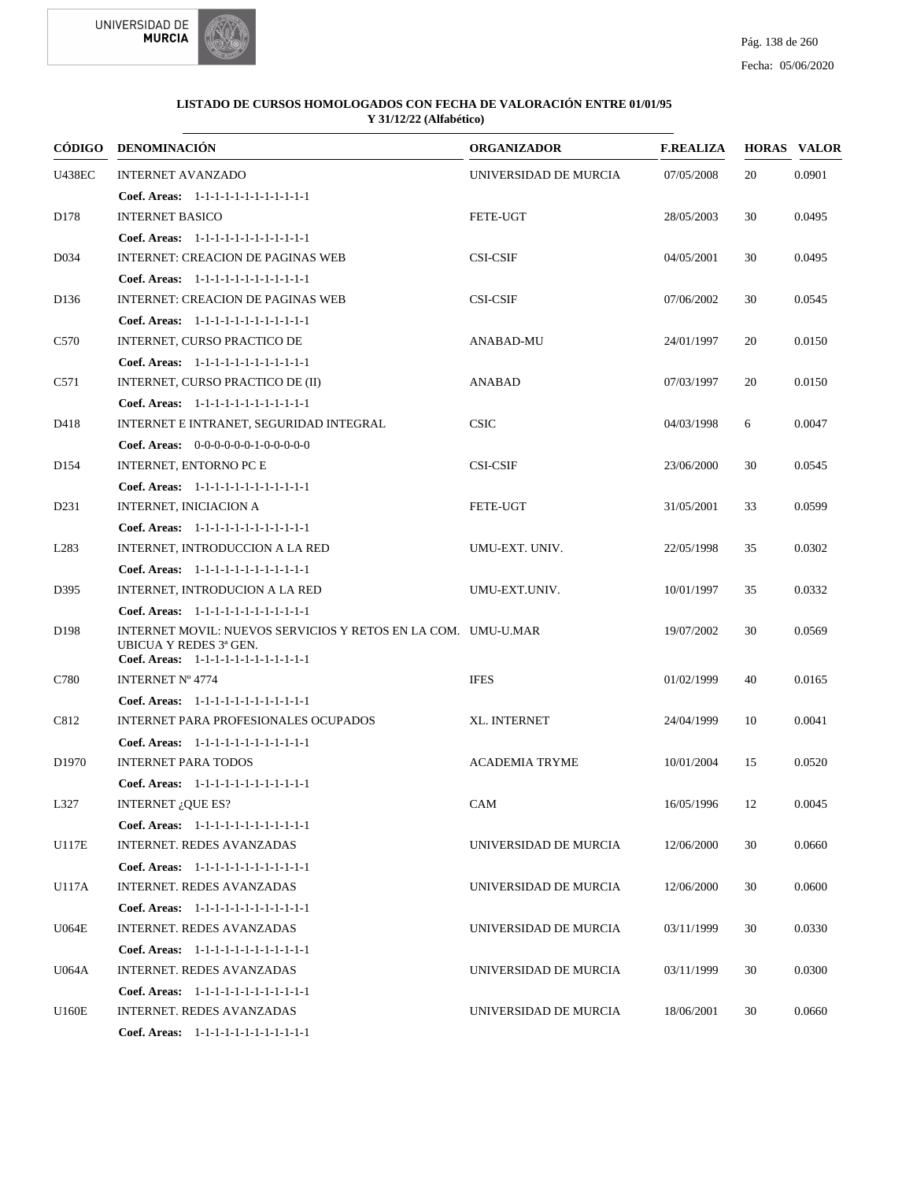



| CÓDIGO            | DENOMINACIÓN                                                                                                                      | <b>ORGANIZADOR</b>    | <b>F.REALIZA</b> |    | <b>HORAS VALOR</b> |
|-------------------|-----------------------------------------------------------------------------------------------------------------------------------|-----------------------|------------------|----|--------------------|
| <b>U438EC</b>     | <b>INTERNET AVANZADO</b>                                                                                                          | UNIVERSIDAD DE MURCIA | 07/05/2008       | 20 | 0.0901             |
|                   | Coef. Areas: 1-1-1-1-1-1-1-1-1-1-1-1-1                                                                                            |                       |                  |    |                    |
| D178              | <b>INTERNET BASICO</b>                                                                                                            | <b>FETE-UGT</b>       | 28/05/2003       | 30 | 0.0495             |
|                   | Coef. Areas: 1-1-1-1-1-1-1-1-1-1-1-1-1                                                                                            |                       |                  |    |                    |
| D <sub>0</sub> 34 | <b>INTERNET: CREACION DE PAGINAS WEB</b>                                                                                          | <b>CSI-CSIF</b>       | 04/05/2001       | 30 | 0.0495             |
|                   | Coef. Areas: 1-1-1-1-1-1-1-1-1-1-1-1-1                                                                                            |                       |                  |    |                    |
| D <sub>136</sub>  | <b>INTERNET: CREACION DE PAGINAS WEB</b>                                                                                          | <b>CSI-CSIF</b>       | 07/06/2002       | 30 | 0.0545             |
|                   | Coef. Areas: 1-1-1-1-1-1-1-1-1-1-1-1-1                                                                                            |                       |                  |    |                    |
| C <sub>570</sub>  | INTERNET, CURSO PRACTICO DE                                                                                                       | ANABAD-MU             | 24/01/1997       | 20 | 0.0150             |
|                   | Coef. Areas: 1-1-1-1-1-1-1-1-1-1-1-1-1                                                                                            |                       |                  |    |                    |
| C571              | INTERNET, CURSO PRACTICO DE (II)                                                                                                  | ANABAD                | 07/03/1997       | 20 | 0.0150             |
|                   | Coef. Areas: 1-1-1-1-1-1-1-1-1-1-1-1-1                                                                                            |                       |                  |    |                    |
| D418              | INTERNET E INTRANET, SEGURIDAD INTEGRAL                                                                                           | <b>CSIC</b>           | 04/03/1998       | 6  | 0.0047             |
|                   | Coef. Areas: 0-0-0-0-0-0-1-0-0-0-0-0                                                                                              |                       |                  |    |                    |
| D <sub>154</sub>  | INTERNET, ENTORNO PC E                                                                                                            | <b>CSI-CSIF</b>       | 23/06/2000       | 30 | 0.0545             |
|                   | Coef. Areas: 1-1-1-1-1-1-1-1-1-1-1-1-1                                                                                            |                       |                  |    |                    |
| D <sub>231</sub>  | INTERNET, INICIACION A                                                                                                            | <b>FETE-UGT</b>       | 31/05/2001       | 33 | 0.0599             |
|                   | Coef. Areas: 1-1-1-1-1-1-1-1-1-1-1-1-1                                                                                            |                       |                  |    |                    |
| L <sub>2</sub> 83 | INTERNET, INTRODUCCION A LA RED                                                                                                   | UMU-EXT. UNIV.        | 22/05/1998       | 35 | 0.0302             |
|                   | Coef. Areas: 1-1-1-1-1-1-1-1-1-1-1-1-1                                                                                            |                       |                  |    |                    |
| D395              | INTERNET, INTRODUCION A LA RED                                                                                                    | UMU-EXT.UNIV.         | 10/01/1997       | 35 | 0.0332             |
|                   | Coef. Areas: 1-1-1-1-1-1-1-1-1-1-1-1-1                                                                                            |                       |                  |    |                    |
| D <sub>198</sub>  | INTERNET MOVIL: NUEVOS SERVICIOS Y RETOS EN LA COM. UMU-U.MAR<br>UBICUA Y REDES 3ª GEN.<br>Coef. Areas: 1-1-1-1-1-1-1-1-1-1-1-1-1 |                       | 19/07/2002       | 30 | 0.0569             |
| C780              | <b>INTERNET Nº 4774</b>                                                                                                           | <b>IFES</b>           | 01/02/1999       | 40 | 0.0165             |
|                   | Coef. Areas: 1-1-1-1-1-1-1-1-1-1-1-1-1                                                                                            |                       |                  |    |                    |
| C812              | <b>INTERNET PARA PROFESIONALES OCUPADOS</b>                                                                                       | XL. INTERNET          | 24/04/1999       | 10 | 0.0041             |
|                   | Coef. Areas: 1-1-1-1-1-1-1-1-1-1-1-1-1                                                                                            |                       |                  |    |                    |
| D1970             | <b>INTERNET PARA TODOS</b>                                                                                                        | <b>ACADEMIA TRYME</b> | 10/01/2004       | 15 | 0.0520             |
|                   | Coef. Areas: 1-1-1-1-1-1-1-1-1-1-1-1-1                                                                                            |                       |                  |    |                    |
| L327              | INTERNET $i$ , QUE ES?                                                                                                            | CAM                   | 16/05/1996       | 12 | 0.0045             |
|                   | Coef. Areas: 1-1-1-1-1-1-1-1-1-1-1-1-1                                                                                            |                       |                  |    |                    |
| <b>U117E</b>      | INTERNET. REDES AVANZADAS                                                                                                         | UNIVERSIDAD DE MURCIA | 12/06/2000       | 30 | 0.0660             |
|                   | Coef. Areas: 1-1-1-1-1-1-1-1-1-1-1-1-1                                                                                            |                       |                  |    |                    |
| U117A             | <b>INTERNET. REDES AVANZADAS</b>                                                                                                  | UNIVERSIDAD DE MURCIA | 12/06/2000       | 30 | 0.0600             |
|                   | Coef. Areas: 1-1-1-1-1-1-1-1-1-1-1-1-1                                                                                            |                       |                  |    |                    |
| <b>U064E</b>      | INTERNET. REDES AVANZADAS                                                                                                         | UNIVERSIDAD DE MURCIA | 03/11/1999       | 30 | 0.0330             |
|                   | Coef. Areas: 1-1-1-1-1-1-1-1-1-1-1-1-1                                                                                            |                       |                  |    |                    |
| U064A             | INTERNET. REDES AVANZADAS                                                                                                         | UNIVERSIDAD DE MURCIA | 03/11/1999       | 30 | 0.0300             |
|                   | Coef. Areas: 1-1-1-1-1-1-1-1-1-1-1-1-1                                                                                            |                       |                  |    |                    |
| U160E             | INTERNET. REDES AVANZADAS                                                                                                         | UNIVERSIDAD DE MURCIA | 18/06/2001       | 30 | 0.0660             |
|                   | Coef. Areas: 1-1-1-1-1-1-1-1-1-1-1-1-1                                                                                            |                       |                  |    |                    |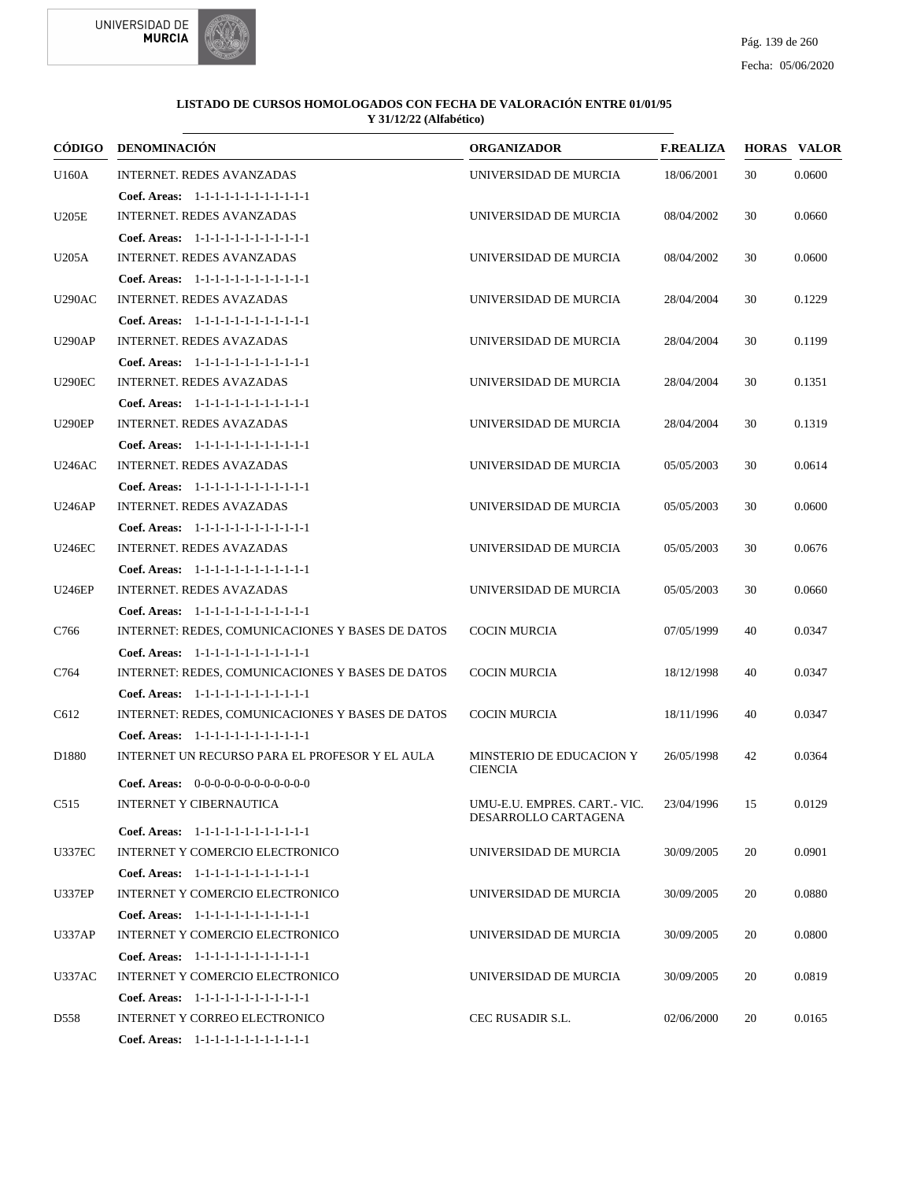



|                  | CÓDIGO DENOMINACIÓN                              | <b>ORGANIZADOR</b>                         | <b>F.REALIZA</b> |    | <b>HORAS VALOR</b> |
|------------------|--------------------------------------------------|--------------------------------------------|------------------|----|--------------------|
| U160A            | <b>INTERNET. REDES AVANZADAS</b>                 | UNIVERSIDAD DE MURCIA                      | 18/06/2001       | 30 | 0.0600             |
|                  | Coef. Areas: 1-1-1-1-1-1-1-1-1-1-1-1-1           |                                            |                  |    |                    |
| <b>U205E</b>     | <b>INTERNET. REDES AVANZADAS</b>                 | UNIVERSIDAD DE MURCIA                      | 08/04/2002       | 30 | 0.0660             |
|                  | Coef. Areas: 1-1-1-1-1-1-1-1-1-1-1-1-1           |                                            |                  |    |                    |
| U205A            | <b>INTERNET. REDES AVANZADAS</b>                 | UNIVERSIDAD DE MURCIA                      | 08/04/2002       | 30 | 0.0600             |
|                  | Coef. Areas: 1-1-1-1-1-1-1-1-1-1-1-1-1           |                                            |                  |    |                    |
| <b>U290AC</b>    | <b>INTERNET. REDES AVAZADAS</b>                  | UNIVERSIDAD DE MURCIA                      | 28/04/2004       | 30 | 0.1229             |
|                  | Coef. Areas: 1-1-1-1-1-1-1-1-1-1-1-1-1           |                                            |                  |    |                    |
| <b>U290AP</b>    | <b>INTERNET. REDES AVAZADAS</b>                  | UNIVERSIDAD DE MURCIA                      | 28/04/2004       | 30 | 0.1199             |
|                  | Coef. Areas: 1-1-1-1-1-1-1-1-1-1-1-1-1           |                                            |                  |    |                    |
| <b>U290EC</b>    | <b>INTERNET. REDES AVAZADAS</b>                  | UNIVERSIDAD DE MURCIA                      | 28/04/2004       | 30 | 0.1351             |
|                  | Coef. Areas: 1-1-1-1-1-1-1-1-1-1-1-1-1           |                                            |                  |    |                    |
| <b>U290EP</b>    | <b>INTERNET. REDES AVAZADAS</b>                  | UNIVERSIDAD DE MURCIA                      | 28/04/2004       | 30 | 0.1319             |
|                  | Coef. Areas: 1-1-1-1-1-1-1-1-1-1-1-1-1           |                                            |                  |    |                    |
| <b>U246AC</b>    | <b>INTERNET. REDES AVAZADAS</b>                  | UNIVERSIDAD DE MURCIA                      | 05/05/2003       | 30 | 0.0614             |
|                  | Coef. Areas: $1-1-1-1-1-1-1-1-1-1-1$             |                                            |                  |    |                    |
| <b>U246AP</b>    | <b>INTERNET. REDES AVAZADAS</b>                  | UNIVERSIDAD DE MURCIA                      | 05/05/2003       | 30 | 0.0600             |
|                  | Coef. Areas: 1-1-1-1-1-1-1-1-1-1-1-1-1           |                                            |                  |    |                    |
| <b>U246EC</b>    | <b>INTERNET. REDES AVAZADAS</b>                  | UNIVERSIDAD DE MURCIA                      | 05/05/2003       | 30 | 0.0676             |
|                  | Coef. Areas: 1-1-1-1-1-1-1-1-1-1-1-1-1           |                                            |                  |    |                    |
| <b>U246EP</b>    | <b>INTERNET. REDES AVAZADAS</b>                  | UNIVERSIDAD DE MURCIA                      | 05/05/2003       | 30 | 0.0660             |
|                  | Coef. Areas: $1-1-1-1-1-1-1-1-1-1-1$             |                                            |                  |    |                    |
| C766             | INTERNET: REDES, COMUNICACIONES Y BASES DE DATOS | <b>COCIN MURCIA</b>                        | 07/05/1999       | 40 | 0.0347             |
|                  | Coef. Areas: 1-1-1-1-1-1-1-1-1-1-1-1-1           |                                            |                  |    |                    |
| C764             | INTERNET: REDES, COMUNICACIONES Y BASES DE DATOS | <b>COCIN MURCIA</b>                        | 18/12/1998       | 40 | 0.0347             |
|                  | Coef. Areas: 1-1-1-1-1-1-1-1-1-1-1-1-1           |                                            |                  |    |                    |
| C612             | INTERNET: REDES, COMUNICACIONES Y BASES DE DATOS | <b>COCIN MURCIA</b>                        | 18/11/1996       | 40 | 0.0347             |
|                  | Coef. Areas: 1-1-1-1-1-1-1-1-1-1-1-1-1           |                                            |                  |    |                    |
| D1880            | INTERNET UN RECURSO PARA EL PROFESOR Y EL AULA   | MINSTERIO DE EDUCACION Y<br><b>CIENCIA</b> | 26/05/1998       | 42 | 0.0364             |
|                  | <b>Coef. Areas:</b> $0-0-0-0-0-0-0-0-0-0-0-0$    |                                            |                  |    |                    |
| C <sub>515</sub> | INTERNET Y CIBERNAUTICA                          | UMU-E.U. EMPRES. CART.- VIC.               | 23/04/1996 15    |    | 0.0129             |
|                  | Coef. Areas: $1-1-1-1-1-1-1-1-1-1-1$             | DESARROLLO CARTAGENA                       |                  |    |                    |
| <b>U337EC</b>    | <b>INTERNET Y COMERCIO ELECTRONICO</b>           | UNIVERSIDAD DE MURCIA                      | 30/09/2005       | 20 | 0.0901             |
|                  | Coef. Areas: 1-1-1-1-1-1-1-1-1-1-1-1-1           |                                            |                  |    |                    |
| <b>U337EP</b>    | INTERNET Y COMERCIO ELECTRONICO                  | UNIVERSIDAD DE MURCIA                      | 30/09/2005       | 20 | 0.0880             |
|                  | Coef. Areas: 1-1-1-1-1-1-1-1-1-1-1-1-1           |                                            |                  |    |                    |
| <b>U337AP</b>    | INTERNET Y COMERCIO ELECTRONICO                  | UNIVERSIDAD DE MURCIA                      | 30/09/2005       | 20 | 0.0800             |
|                  | Coef. Areas: 1-1-1-1-1-1-1-1-1-1-1-1-1           |                                            |                  |    |                    |
| <b>U337AC</b>    | <b>INTERNET Y COMERCIO ELECTRONICO</b>           | UNIVERSIDAD DE MURCIA                      | 30/09/2005       | 20 | 0.0819             |
|                  | Coef. Areas: 1-1-1-1-1-1-1-1-1-1-1-1-1           |                                            |                  |    |                    |
| D558             | INTERNET Y CORREO ELECTRONICO                    | CEC RUSADIR S.L.                           | 02/06/2000       | 20 | 0.0165             |
|                  | Coef. Areas: 1-1-1-1-1-1-1-1-1-1-1-1-1           |                                            |                  |    |                    |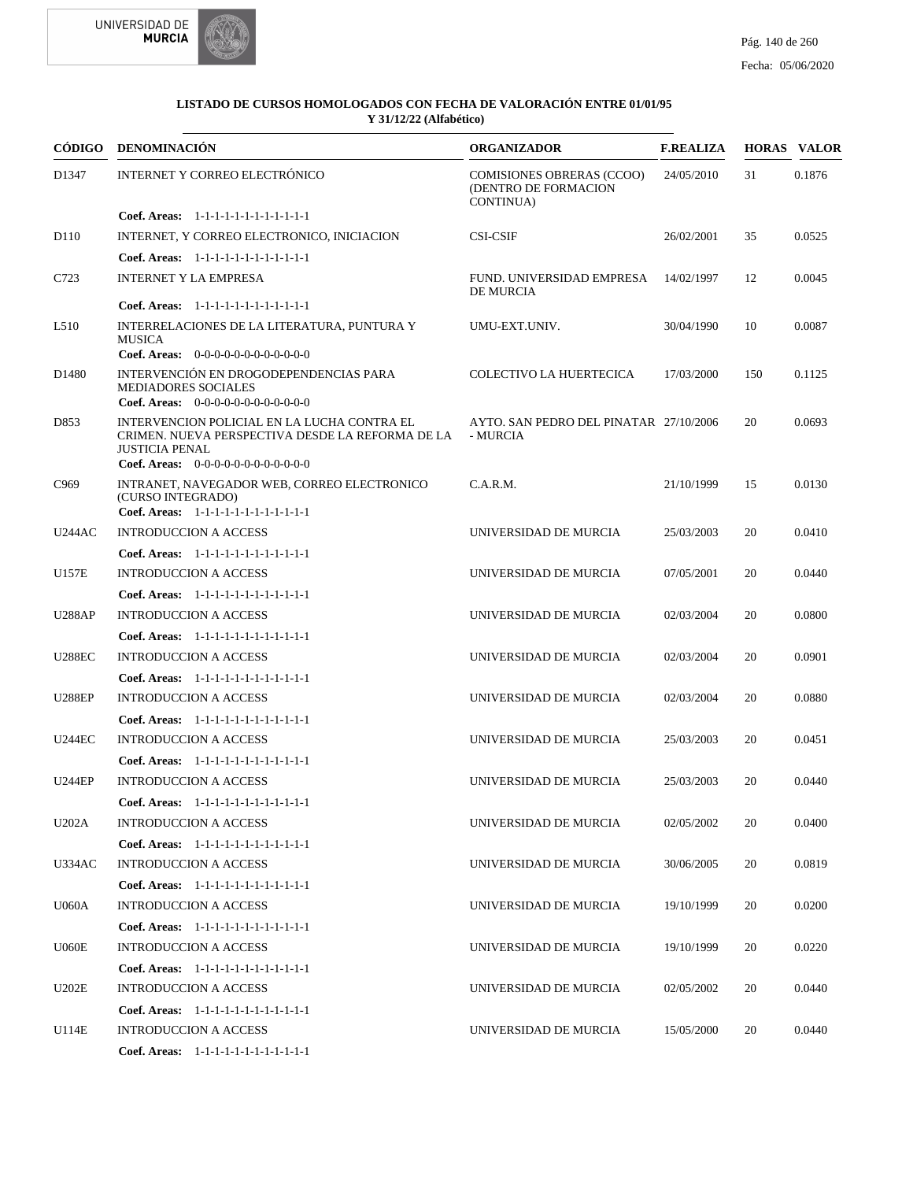



|                   | CÓDIGO DENOMINACIÓN                                                                                                                                              | <b>ORGANIZADOR</b>                                                    | <b>F.REALIZA</b> |     | <b>HORAS VALOR</b> |
|-------------------|------------------------------------------------------------------------------------------------------------------------------------------------------------------|-----------------------------------------------------------------------|------------------|-----|--------------------|
| D1347             | INTERNET Y CORREO ELECTRÓNICO                                                                                                                                    | <b>COMISIONES OBRERAS (CCOO)</b><br>(DENTRO DE FORMACION<br>CONTINUA) | 24/05/2010       | 31  | 0.1876             |
|                   | Coef. Areas: 1-1-1-1-1-1-1-1-1-1-1-1-1                                                                                                                           |                                                                       |                  |     |                    |
| D <sub>110</sub>  | INTERNET, Y CORREO ELECTRONICO, INICIACION                                                                                                                       | <b>CSI-CSIF</b>                                                       | 26/02/2001       | 35  | 0.0525             |
|                   | Coef. Areas: 1-1-1-1-1-1-1-1-1-1-1-1-1                                                                                                                           |                                                                       |                  |     |                    |
| C723              | INTERNET Y LA EMPRESA                                                                                                                                            | FUND. UNIVERSIDAD EMPRESA<br><b>DE MURCIA</b>                         | 14/02/1997       | 12  | 0.0045             |
|                   | Coef. Areas: 1-1-1-1-1-1-1-1-1-1-1-1-1                                                                                                                           |                                                                       |                  |     |                    |
| L510              | INTERRELACIONES DE LA LITERATURA, PUNTURA Y<br><b>MUSICA</b><br>Coef. Areas: 0-0-0-0-0-0-0-0-0-0-0-0-0                                                           | UMU-EXT.UNIV.                                                         | 30/04/1990       | 10  | 0.0087             |
| D <sub>1480</sub> | INTERVENCIÓN EN DROGODEPENDENCIAS PARA<br><b>MEDIADORES SOCIALES</b><br><b>Coef. Areas:</b> $0-0-0-0-0-0-0-0-0-0-0-0$                                            | COLECTIVO LA HUERTECICA                                               | 17/03/2000       | 150 | 0.1125             |
| D853              | INTERVENCION POLICIAL EN LA LUCHA CONTRA EL<br>CRIMEN. NUEVA PERSPECTIVA DESDE LA REFORMA DE LA<br><b>JUSTICIA PENAL</b><br>Coef. Areas: $0-0-0-0-0-0-0-0-0-0-0$ | AYTO. SAN PEDRO DEL PINATAR 27/10/2006<br>- MURCIA                    |                  | 20  | 0.0693             |
| C <sub>969</sub>  | INTRANET, NAVEGADOR WEB, CORREO ELECTRONICO<br>(CURSO INTEGRADO)<br>Coef. Areas: 1-1-1-1-1-1-1-1-1-1-1-1-1                                                       | C.A.R.M.                                                              | 21/10/1999       | 15  | 0.0130             |
| <b>U244AC</b>     | <b>INTRODUCCION A ACCESS</b>                                                                                                                                     | UNIVERSIDAD DE MURCIA                                                 | 25/03/2003       | 20  | 0.0410             |
|                   | Coef. Areas: 1-1-1-1-1-1-1-1-1-1-1-1-1                                                                                                                           |                                                                       |                  |     |                    |
| <b>U157E</b>      | <b>INTRODUCCION A ACCESS</b>                                                                                                                                     | UNIVERSIDAD DE MURCIA                                                 | 07/05/2001       | 20  | 0.0440             |
|                   | Coef. Areas: 1-1-1-1-1-1-1-1-1-1-1-1-1                                                                                                                           |                                                                       |                  |     |                    |
| <b>U288AP</b>     | <b>INTRODUCCION A ACCESS</b>                                                                                                                                     | UNIVERSIDAD DE MURCIA                                                 | 02/03/2004       | 20  | 0.0800             |
|                   | Coef. Areas: 1-1-1-1-1-1-1-1-1-1-1-1-1                                                                                                                           |                                                                       |                  |     |                    |
| <b>U288EC</b>     | <b>INTRODUCCION A ACCESS</b>                                                                                                                                     | UNIVERSIDAD DE MURCIA                                                 | 02/03/2004       | 20  | 0.0901             |
|                   | Coef. Areas: $1-1-1-1-1-1-1-1-1-1-1$                                                                                                                             |                                                                       |                  |     |                    |
| <b>U288EP</b>     | <b>INTRODUCCION A ACCESS</b>                                                                                                                                     | UNIVERSIDAD DE MURCIA                                                 | 02/03/2004       | 20  | 0.0880             |
|                   | Coef. Areas: 1-1-1-1-1-1-1-1-1-1-1-1-1                                                                                                                           |                                                                       |                  |     |                    |
| <b>U244EC</b>     | <b>INTRODUCCION A ACCESS</b>                                                                                                                                     | UNIVERSIDAD DE MURCIA                                                 | 25/03/2003       | 20  | 0.0451             |
|                   | Coef. Areas: 1-1-1-1-1-1-1-1-1-1-1-1-1                                                                                                                           |                                                                       |                  |     |                    |
| <b>U244EP</b>     | <b>INTRODUCCION A ACCESS</b>                                                                                                                                     | UNIVERSIDAD DE MURCIA                                                 | 25/03/2003       | 20  | 0.0440             |
|                   | <b>Coef. Areas:</b> $1-1-1-1-1-1-1-1-1-1-1$                                                                                                                      |                                                                       |                  |     |                    |
| U202A             | INTRODUCCION A ACCESS                                                                                                                                            | UNIVERSIDAD DE MURCIA                                                 | 02/05/2002       | 20  | 0.0400             |
|                   | Coef. Areas: 1-1-1-1-1-1-1-1-1-1-1-1-1                                                                                                                           |                                                                       |                  |     |                    |
| <b>U334AC</b>     | <b>INTRODUCCION A ACCESS</b>                                                                                                                                     | UNIVERSIDAD DE MURCIA                                                 | 30/06/2005       | 20  | 0.0819             |
|                   | Coef. Areas: 1-1-1-1-1-1-1-1-1-1-1-1-1                                                                                                                           |                                                                       |                  |     |                    |
| <b>U060A</b>      | <b>INTRODUCCION A ACCESS</b>                                                                                                                                     | UNIVERSIDAD DE MURCIA                                                 | 19/10/1999       | 20  | 0.0200             |
|                   | Coef. Areas: $1-1-1-1-1-1-1-1-1-1-1$                                                                                                                             |                                                                       |                  |     |                    |
| <b>U060E</b>      | <b>INTRODUCCION A ACCESS</b>                                                                                                                                     | UNIVERSIDAD DE MURCIA                                                 | 19/10/1999       | 20  | 0.0220             |
|                   | Coef. Areas: 1-1-1-1-1-1-1-1-1-1-1-1-1                                                                                                                           |                                                                       |                  |     |                    |
| <b>U202E</b>      | <b>INTRODUCCION A ACCESS</b>                                                                                                                                     | UNIVERSIDAD DE MURCIA                                                 | 02/05/2002       | 20  | 0.0440             |
|                   | Coef. Areas: 1-1-1-1-1-1-1-1-1-1-1-1-1                                                                                                                           |                                                                       |                  |     |                    |
| U114E             | INTRODUCCION A ACCESS                                                                                                                                            | UNIVERSIDAD DE MURCIA                                                 | 15/05/2000       | 20  | 0.0440             |
|                   | Coef. Areas: 1-1-1-1-1-1-1-1-1-1-1-1-1                                                                                                                           |                                                                       |                  |     |                    |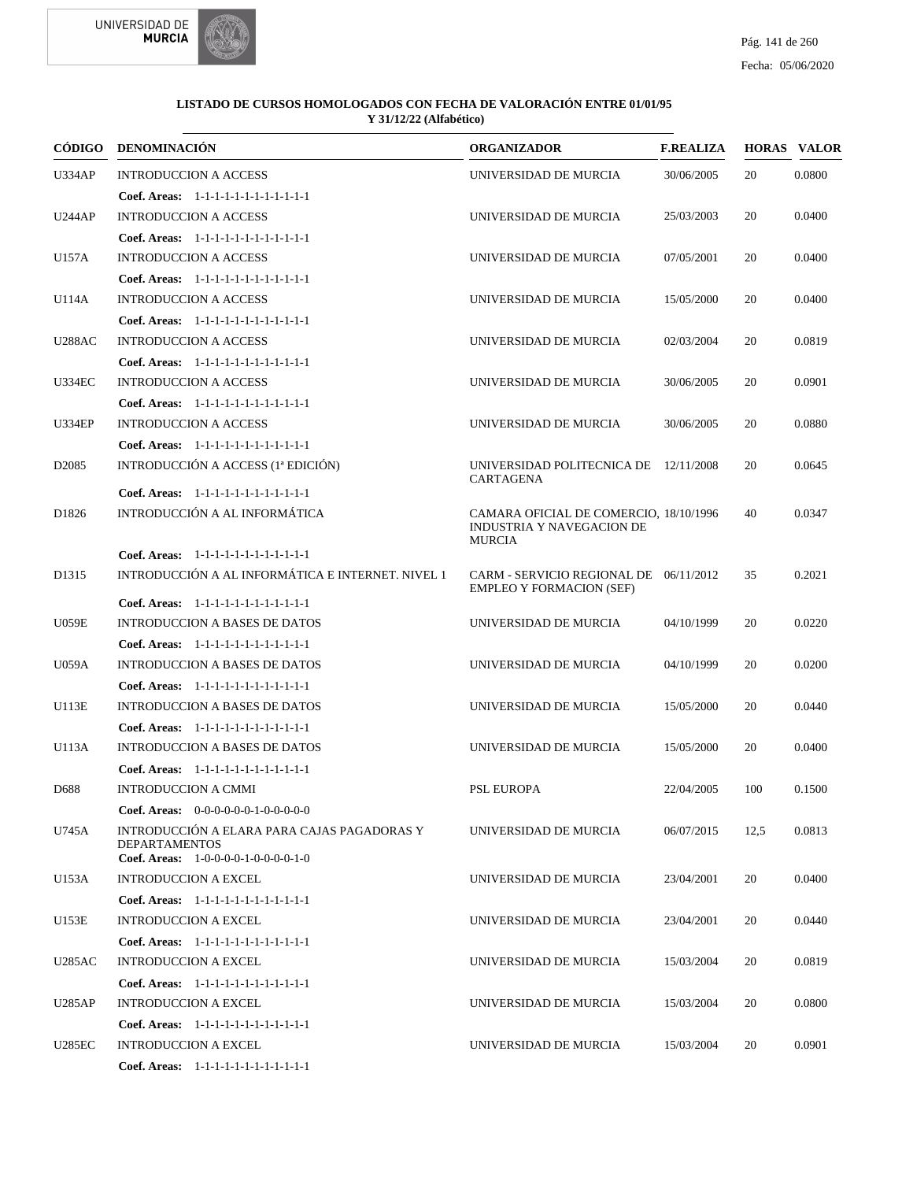

|                         | CÓDIGO DENOMINACIÓN                                                                                                                                                                                                                                                                                                     | <b>ORGANIZADOR</b>                                                                                                                         | <b>F.REALIZA</b> |                | <b>HORAS VALOR</b> |
|-------------------------|-------------------------------------------------------------------------------------------------------------------------------------------------------------------------------------------------------------------------------------------------------------------------------------------------------------------------|--------------------------------------------------------------------------------------------------------------------------------------------|------------------|----------------|--------------------|
| <b>U334AP</b>           | <b>INTRODUCCION A ACCESS</b>                                                                                                                                                                                                                                                                                            | UNIVERSIDAD DE MURCIA                                                                                                                      | 30/06/2005       | 20             | 0.0800             |
|                         | Coef. Areas: 1-1-1-1-1-1-1-1-1-1-1-1-1                                                                                                                                                                                                                                                                                  |                                                                                                                                            |                  |                |                    |
| <b>U244AP</b>           | <b>INTRODUCCION A ACCESS</b>                                                                                                                                                                                                                                                                                            | UNIVERSIDAD DE MURCIA                                                                                                                      | 25/03/2003       | 20             | 0.0400             |
|                         | Coef. Areas: 1-1-1-1-1-1-1-1-1-1-1-1-1                                                                                                                                                                                                                                                                                  |                                                                                                                                            |                  |                |                    |
| U157A                   | <b>INTRODUCCION A ACCESS</b>                                                                                                                                                                                                                                                                                            | UNIVERSIDAD DE MURCIA                                                                                                                      | 07/05/2001       | 20             | 0.0400             |
|                         | Coef. Areas: 1-1-1-1-1-1-1-1-1-1-1-1-1                                                                                                                                                                                                                                                                                  |                                                                                                                                            |                  |                |                    |
| U114A                   | <b>INTRODUCCION A ACCESS</b>                                                                                                                                                                                                                                                                                            | UNIVERSIDAD DE MURCIA                                                                                                                      | 15/05/2000       | 20             | 0.0400             |
|                         | Coef. Areas: 1-1-1-1-1-1-1-1-1-1-1-1-1                                                                                                                                                                                                                                                                                  |                                                                                                                                            |                  |                |                    |
| <b>U288AC</b>           | <b>INTRODUCCION A ACCESS</b>                                                                                                                                                                                                                                                                                            | UNIVERSIDAD DE MURCIA                                                                                                                      | 02/03/2004       | 20             | 0.0819             |
|                         | Coef. Areas: 1-1-1-1-1-1-1-1-1-1-1-1-1                                                                                                                                                                                                                                                                                  |                                                                                                                                            |                  |                |                    |
| <b>U334EC</b>           | <b>INTRODUCCION A ACCESS</b>                                                                                                                                                                                                                                                                                            | UNIVERSIDAD DE MURCIA                                                                                                                      | 30/06/2005       | 20             | 0.0901             |
|                         | Coef. Areas: 1-1-1-1-1-1-1-1-1-1-1-1-1                                                                                                                                                                                                                                                                                  |                                                                                                                                            |                  |                |                    |
| <b>U334EP</b>           | <b>INTRODUCCION A ACCESS</b>                                                                                                                                                                                                                                                                                            | UNIVERSIDAD DE MURCIA                                                                                                                      | 30/06/2005       | 20             | 0.0880             |
|                         | Coef. Areas: 1-1-1-1-1-1-1-1-1-1-1-1-1                                                                                                                                                                                                                                                                                  |                                                                                                                                            |                  |                |                    |
| D <sub>2085</sub>       | INTRODUCCIÓN A ACCESS (1ª EDICIÓN)                                                                                                                                                                                                                                                                                      | UNIVERSIDAD POLITECNICA DE 12/11/2008<br>CARTAGENA                                                                                         |                  | 20             | 0.0645             |
|                         | Coef. Areas: 1-1-1-1-1-1-1-1-1-1-1-1-1                                                                                                                                                                                                                                                                                  |                                                                                                                                            |                  |                |                    |
| D <sub>1826</sub>       |                                                                                                                                                                                                                                                                                                                         | CAMARA OFICIAL DE COMERCIO, 18/10/1996<br>INDUSTRIA Y NAVEGACION DE                                                                        |                  | 40             | 0.0347             |
|                         | Coef. Areas: 1-1-1-1-1-1-1-1-1-1-1-1-1                                                                                                                                                                                                                                                                                  |                                                                                                                                            |                  |                |                    |
| D <sub>1315</sub>       | INTRODUCCIÓN A AL INFORMÁTICA E INTERNET. NIVEL 1                                                                                                                                                                                                                                                                       | CARM - SERVICIO REGIONAL DE 06/11/2012<br><b>EMPLEO Y FORMACION (SEF)</b>                                                                  |                  | 35             | 0.2021             |
|                         | Coef. Areas: 1-1-1-1-1-1-1-1-1-1-1-1-1                                                                                                                                                                                                                                                                                  |                                                                                                                                            |                  |                |                    |
| <b>U059E</b>            |                                                                                                                                                                                                                                                                                                                         |                                                                                                                                            | 04/10/1999       | 20             | 0.0220             |
|                         | Coef. Areas: 1-1-1-1-1-1-1-1-1-1-1-1-1                                                                                                                                                                                                                                                                                  |                                                                                                                                            |                  |                |                    |
| <b>U059A</b>            | <b>INTRODUCCION A BASES DE DATOS</b>                                                                                                                                                                                                                                                                                    | UNIVERSIDAD DE MURCIA                                                                                                                      | 04/10/1999       | 20             | 0.0200             |
|                         | Coef. Areas: 1-1-1-1-1-1-1-1-1-1-1-1-1                                                                                                                                                                                                                                                                                  |                                                                                                                                            |                  |                |                    |
|                         |                                                                                                                                                                                                                                                                                                                         |                                                                                                                                            | 15/05/2000       |                | 0.0440             |
|                         |                                                                                                                                                                                                                                                                                                                         |                                                                                                                                            |                  |                |                    |
|                         |                                                                                                                                                                                                                                                                                                                         |                                                                                                                                            | 15/05/2000       |                | 0.0400             |
|                         | Coef. Areas: $1-1-1-1-1-1-1-1-1-1-1$                                                                                                                                                                                                                                                                                    |                                                                                                                                            |                  |                |                    |
| D688                    | <b>INTRODUCCION A CMMI</b>                                                                                                                                                                                                                                                                                              | <b>PSL EUROPA</b>                                                                                                                          | 22/04/2005       | 100            | 0.1500             |
|                         | <b>Coef. Areas:</b> $0-0-0-0-0-1-0-0-0-0-0$                                                                                                                                                                                                                                                                             |                                                                                                                                            |                  |                |                    |
| U745A                   | INTRODUCCIÓN A ELARA PARA CAJAS PAGADORAS Y<br><b>DEPARTAMENTOS</b>                                                                                                                                                                                                                                                     | UNIVERSIDAD DE MURCIA                                                                                                                      | 06/07/2015       | 12,5           | 0.0813             |
|                         |                                                                                                                                                                                                                                                                                                                         |                                                                                                                                            |                  |                | 0.0400             |
|                         |                                                                                                                                                                                                                                                                                                                         |                                                                                                                                            |                  |                |                    |
| U153E                   | <b>INTRODUCCION A EXCEL</b>                                                                                                                                                                                                                                                                                             | UNIVERSIDAD DE MURCIA                                                                                                                      | 23/04/2001       | 20             | 0.0440             |
|                         | Coef. Areas: 1-1-1-1-1-1-1-1-1-1-1-1-1                                                                                                                                                                                                                                                                                  |                                                                                                                                            |                  |                |                    |
| <b>U285AC</b>           | <b>INTRODUCCION A EXCEL</b>                                                                                                                                                                                                                                                                                             | UNIVERSIDAD DE MURCIA                                                                                                                      | 15/03/2004       | 20             | 0.0819             |
|                         | Coef. Areas: 1-1-1-1-1-1-1-1-1-1-1-1-1                                                                                                                                                                                                                                                                                  |                                                                                                                                            |                  |                |                    |
| <b>U285AP</b>           | <b>INTRODUCCION A EXCEL</b>                                                                                                                                                                                                                                                                                             | UNIVERSIDAD DE MURCIA                                                                                                                      | 15/03/2004       | 20             | 0.0800             |
|                         | Coef. Areas: 1-1-1-1-1-1-1-1-1-1-1-1-1                                                                                                                                                                                                                                                                                  |                                                                                                                                            |                  |                |                    |
| <b>U285EC</b>           | <b>INTRODUCCION A EXCEL</b>                                                                                                                                                                                                                                                                                             |                                                                                                                                            | 15/03/2004       | 20             | 0.0901             |
|                         | Coef. Areas: 1-1-1-1-1-1-1-1-1-1-1-1-1                                                                                                                                                                                                                                                                                  |                                                                                                                                            |                  |                |                    |
| U113E<br>U113A<br>U153A | INTRODUCCIÓN A AL INFORMÁTICA<br><b>INTRODUCCION A BASES DE DATOS</b><br><b>INTRODUCCION A BASES DE DATOS</b><br>Coef. Areas: 1-1-1-1-1-1-1-1-1-1-1-1-1<br><b>INTRODUCCION A BASES DE DATOS</b><br><b>Coef. Areas:</b> $1-0-0-0-1-0-0-0-0-1-0$<br><b>INTRODUCCION A EXCEL</b><br>Coef. Areas: 1-1-1-1-1-1-1-1-1-1-1-1-1 | <b>MURCIA</b><br>UNIVERSIDAD DE MURCIA<br>UNIVERSIDAD DE MURCIA<br>UNIVERSIDAD DE MURCIA<br>UNIVERSIDAD DE MURCIA<br>UNIVERSIDAD DE MURCIA | 23/04/2001       | 20<br>20<br>20 |                    |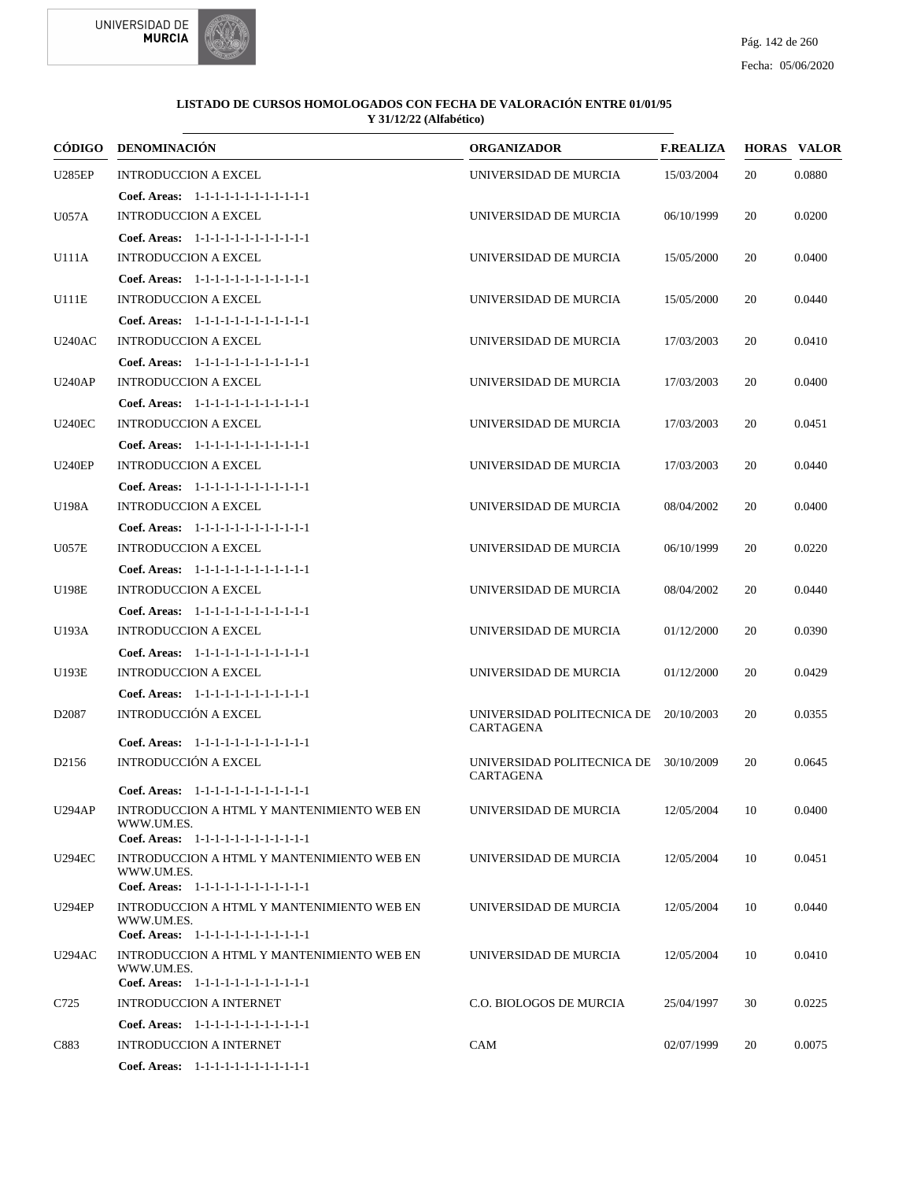



|                   | CÓDIGO DENOMINACIÓN                                                                                | <b>ORGANIZADOR</b>                                        | <b>F.REALIZA</b> |    | <b>HORAS VALOR</b> |
|-------------------|----------------------------------------------------------------------------------------------------|-----------------------------------------------------------|------------------|----|--------------------|
| <b>U285EP</b>     | <b>INTRODUCCION A EXCEL</b>                                                                        | UNIVERSIDAD DE MURCIA                                     | 15/03/2004       | 20 | 0.0880             |
|                   | Coef. Areas: 1-1-1-1-1-1-1-1-1-1-1-1-1                                                             |                                                           |                  |    |                    |
| <b>U057A</b>      | <b>INTRODUCCION A EXCEL</b>                                                                        | UNIVERSIDAD DE MURCIA                                     | 06/10/1999       | 20 | 0.0200             |
|                   | Coef. Areas: 1-1-1-1-1-1-1-1-1-1-1-1-1                                                             |                                                           |                  |    |                    |
| U111A             | <b>INTRODUCCION A EXCEL</b>                                                                        | UNIVERSIDAD DE MURCIA                                     | 15/05/2000       | 20 | 0.0400             |
|                   | Coef. Areas: 1-1-1-1-1-1-1-1-1-1-1-1-1                                                             |                                                           |                  |    |                    |
| U111E             | <b>INTRODUCCION A EXCEL</b>                                                                        | UNIVERSIDAD DE MURCIA                                     | 15/05/2000       | 20 | 0.0440             |
|                   | Coef. Areas: 1-1-1-1-1-1-1-1-1-1-1-1-1                                                             |                                                           |                  |    |                    |
| <b>U240AC</b>     | <b>INTRODUCCION A EXCEL</b>                                                                        | UNIVERSIDAD DE MURCIA                                     | 17/03/2003       | 20 | 0.0410             |
|                   | Coef. Areas: 1-1-1-1-1-1-1-1-1-1-1-1-1                                                             |                                                           |                  |    |                    |
| <b>U240AP</b>     | <b>INTRODUCCION A EXCEL</b>                                                                        | UNIVERSIDAD DE MURCIA                                     | 17/03/2003       | 20 | 0.0400             |
|                   | Coef. Areas: 1-1-1-1-1-1-1-1-1-1-1-1-1                                                             |                                                           |                  |    |                    |
| <b>U240EC</b>     | <b>INTRODUCCION A EXCEL</b>                                                                        | UNIVERSIDAD DE MURCIA                                     | 17/03/2003       | 20 | 0.0451             |
|                   | Coef. Areas: 1-1-1-1-1-1-1-1-1-1-1-1-1                                                             |                                                           |                  |    |                    |
| <b>U240EP</b>     | <b>INTRODUCCION A EXCEL</b>                                                                        | UNIVERSIDAD DE MURCIA                                     | 17/03/2003       | 20 | 0.0440             |
|                   | Coef. Areas: 1-1-1-1-1-1-1-1-1-1-1-1-1                                                             |                                                           |                  |    |                    |
| U198A             | <b>INTRODUCCION A EXCEL</b>                                                                        | UNIVERSIDAD DE MURCIA                                     | 08/04/2002       | 20 | 0.0400             |
|                   | Coef. Areas: 1-1-1-1-1-1-1-1-1-1-1-1-1                                                             |                                                           |                  |    |                    |
| <b>U057E</b>      | <b>INTRODUCCION A EXCEL</b>                                                                        | UNIVERSIDAD DE MURCIA                                     | 06/10/1999       | 20 | 0.0220             |
|                   | Coef. Areas: 1-1-1-1-1-1-1-1-1-1-1-1-1                                                             |                                                           |                  |    |                    |
| U198E             | <b>INTRODUCCION A EXCEL</b>                                                                        | UNIVERSIDAD DE MURCIA                                     | 08/04/2002       | 20 | 0.0440             |
|                   | Coef. Areas: 1-1-1-1-1-1-1-1-1-1-1-1-1                                                             |                                                           |                  |    |                    |
| U193A             | <b>INTRODUCCION A EXCEL</b>                                                                        | UNIVERSIDAD DE MURCIA                                     | 01/12/2000       | 20 | 0.0390             |
|                   | Coef. Areas: 1-1-1-1-1-1-1-1-1-1-1-1-1                                                             |                                                           |                  |    |                    |
| U193E             | <b>INTRODUCCION A EXCEL</b>                                                                        | UNIVERSIDAD DE MURCIA                                     | 01/12/2000       | 20 | 0.0429             |
|                   | Coef. Areas: 1-1-1-1-1-1-1-1-1-1-1-1-1                                                             |                                                           |                  |    |                    |
| D <sub>2087</sub> | <b>INTRODUCCIÓN A EXCEL</b>                                                                        | UNIVERSIDAD POLITECNICA DE 20/10/2003<br><b>CARTAGENA</b> |                  | 20 | 0.0355             |
|                   | Coef. Areas: 1-1-1-1-1-1-1-1-1-1-1-1-1                                                             |                                                           |                  |    |                    |
| D <sub>2156</sub> | INTRODUCCIÓN A EXCEL                                                                               | UNIVERSIDAD POLITECNICA DE 30/10/2009<br>CARTAGENA        |                  | 20 | 0.0645             |
|                   | Coef. Areas: 1-1-1-1-1-1-1-1-1-1-1-1-1                                                             |                                                           |                  |    |                    |
| <b>U294AP</b>     | INTRODUCCION A HTML Y MANTENIMIENTO WEB EN<br>WWW.UM.ES.                                           | UNIVERSIDAD DE MURCIA                                     | 12/05/2004       | 10 | 0.0400             |
| <b>U294EC</b>     | Coef. Areas: 1-1-1-1-1-1-1-1-1-1-1-1-1<br>INTRODUCCION A HTML Y MANTENIMIENTO WEB EN               | UNIVERSIDAD DE MURCIA                                     | 12/05/2004       | 10 | 0.0451             |
|                   | WWW.UM.ES.<br>Coef. Areas: 1-1-1-1-1-1-1-1-1-1-1-1-1                                               |                                                           |                  |    |                    |
| <b>U294EP</b>     | INTRODUCCION A HTML Y MANTENIMIENTO WEB EN<br>WWW.UM.ES.                                           | UNIVERSIDAD DE MURCIA                                     | 12/05/2004       | 10 | 0.0440             |
|                   | Coef. Areas: 1-1-1-1-1-1-1-1-1-1-1-1-1                                                             |                                                           |                  |    |                    |
| <b>U294AC</b>     | INTRODUCCION A HTML Y MANTENIMIENTO WEB EN<br>WWW.UM.ES.<br>Coef. Areas: 1-1-1-1-1-1-1-1-1-1-1-1-1 | UNIVERSIDAD DE MURCIA                                     | 12/05/2004       | 10 | 0.0410             |
| C725              | <b>INTRODUCCION A INTERNET</b>                                                                     | C.O. BIOLOGOS DE MURCIA                                   | 25/04/1997       | 30 | 0.0225             |
|                   | Coef. Areas: 1-1-1-1-1-1-1-1-1-1-1-1-1                                                             |                                                           |                  |    |                    |
| C883              | <b>INTRODUCCION A INTERNET</b>                                                                     | CAM                                                       | 02/07/1999       | 20 | 0.0075             |
|                   | Coef. Areas: 1-1-1-1-1-1-1-1-1-1-1-1-1                                                             |                                                           |                  |    |                    |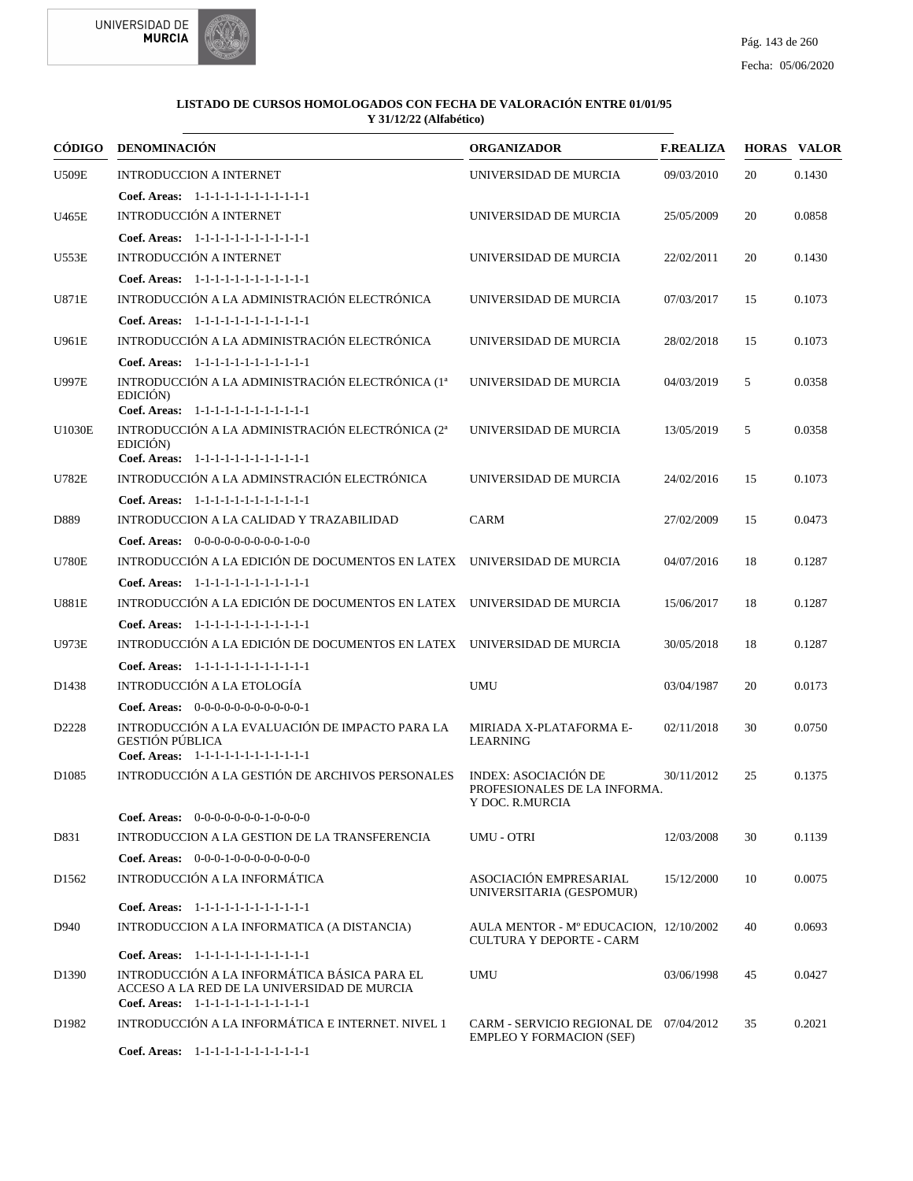



|                   | CÓDIGO DENOMINACIÓN                                                                                                                   | <b>ORGANIZADOR</b>                                                             | <b>F.REALIZA</b> |    | <b>HORAS VALOR</b> |
|-------------------|---------------------------------------------------------------------------------------------------------------------------------------|--------------------------------------------------------------------------------|------------------|----|--------------------|
| <b>U509E</b>      | <b>INTRODUCCION A INTERNET</b>                                                                                                        | UNIVERSIDAD DE MURCIA                                                          | 09/03/2010       | 20 | 0.1430             |
|                   | Coef. Areas: 1-1-1-1-1-1-1-1-1-1-1-1-1                                                                                                |                                                                                |                  |    |                    |
| U465E             | <b>INTRODUCCIÓN A INTERNET</b>                                                                                                        | UNIVERSIDAD DE MURCIA                                                          | 25/05/2009       | 20 | 0.0858             |
|                   | Coef. Areas: 1-1-1-1-1-1-1-1-1-1-1-1-1                                                                                                |                                                                                |                  |    |                    |
| U553E             | <b>INTRODUCCIÓN A INTERNET</b>                                                                                                        | UNIVERSIDAD DE MURCIA                                                          | 22/02/2011       | 20 | 0.1430             |
|                   | Coef. Areas: 1-1-1-1-1-1-1-1-1-1-1-1-1                                                                                                |                                                                                |                  |    |                    |
| <b>U871E</b>      | INTRODUCCIÓN A LA ADMINISTRACIÓN ELECTRÓNICA                                                                                          | UNIVERSIDAD DE MURCIA                                                          | 07/03/2017       | 15 | 0.1073             |
|                   | Coef. Areas: 1-1-1-1-1-1-1-1-1-1-1-1-1                                                                                                |                                                                                |                  |    |                    |
| U961E             | INTRODUCCIÓN A LA ADMINISTRACIÓN ELECTRÓNICA                                                                                          | UNIVERSIDAD DE MURCIA                                                          | 28/02/2018       | 15 | 0.1073             |
|                   | Coef. Areas: 1-1-1-1-1-1-1-1-1-1-1-1-1                                                                                                |                                                                                |                  |    |                    |
| <b>U997E</b>      | INTRODUCCIÓN A LA ADMINISTRACIÓN ELECTRÓNICA (1 <sup>ª</sup><br>EDICIÓN)<br>Coef. Areas: 1-1-1-1-1-1-1-1-1-1-1-1-1                    | UNIVERSIDAD DE MURCIA                                                          | 04/03/2019       | 5  | 0.0358             |
| <b>U1030E</b>     | INTRODUCCIÓN A LA ADMINISTRACIÓN ELECTRÓNICA (2ª                                                                                      | UNIVERSIDAD DE MURCIA                                                          | 13/05/2019       | 5  | 0.0358             |
|                   | EDICIÓN)                                                                                                                              |                                                                                |                  |    |                    |
|                   | Coef. Areas: 1-1-1-1-1-1-1-1-1-1-1-1-1                                                                                                |                                                                                |                  |    |                    |
| <b>U782E</b>      | INTRODUCCIÓN A LA ADMINSTRACIÓN ELECTRÓNICA                                                                                           | UNIVERSIDAD DE MURCIA                                                          | 24/02/2016       | 15 | 0.1073             |
|                   | Coef. Areas: 1-1-1-1-1-1-1-1-1-1-1-1-1                                                                                                |                                                                                |                  |    |                    |
| D889              | INTRODUCCION A LA CALIDAD Y TRAZABILIDAD                                                                                              | <b>CARM</b>                                                                    | 27/02/2009       | 15 | 0.0473             |
|                   | Coef. Areas: 0-0-0-0-0-0-0-0-0-1-0-0                                                                                                  |                                                                                |                  |    |                    |
| <b>U780E</b>      | INTRODUCCIÓN A LA EDICIÓN DE DOCUMENTOS EN LATEX UNIVERSIDAD DE MURCIA                                                                |                                                                                | 04/07/2016       | 18 | 0.1287             |
|                   | Coef. Areas: 1-1-1-1-1-1-1-1-1-1-1-1-1                                                                                                |                                                                                |                  |    |                    |
| <b>U881E</b>      | INTRODUCCIÓN A LA EDICIÓN DE DOCUMENTOS EN LATEX UNIVERSIDAD DE MURCIA                                                                |                                                                                | 15/06/2017       | 18 | 0.1287             |
|                   | Coef. Areas: 1-1-1-1-1-1-1-1-1-1-1-1-1                                                                                                |                                                                                |                  |    |                    |
| <b>U973E</b>      | INTRODUCCIÓN A LA EDICIÓN DE DOCUMENTOS EN LATEX UNIVERSIDAD DE MURCIA                                                                |                                                                                | 30/05/2018       | 18 | 0.1287             |
|                   | Coef. Areas: $1-1-1-1-1-1-1-1-1-1-1$                                                                                                  |                                                                                |                  |    |                    |
| D1438             | INTRODUCCIÓN A LA ETOLOGÍA                                                                                                            | <b>UMU</b>                                                                     | 03/04/1987       | 20 | 0.0173             |
|                   | Coef. Areas: $0-0-0-0-0-0-0-0-0-0-0-1$                                                                                                |                                                                                |                  |    |                    |
| D2228             | INTRODUCCIÓN A LA EVALUACIÓN DE IMPACTO PARA LA<br><b>GESTIÓN PÚBLICA</b><br>Coef. Areas: 1-1-1-1-1-1-1-1-1-1-1-1-1                   | MIRIADA X-PLATAFORMA E-<br><b>LEARNING</b>                                     | 02/11/2018       | 30 | 0.0750             |
| D <sub>1085</sub> | INTRODUCCIÓN A LA GESTIÓN DE ARCHIVOS PERSONALES                                                                                      | <b>INDEX: ASOCIACIÓN DE</b><br>PROFESIONALES DE LA INFORMA.<br>Y DOC. R.MURCIA | 30/11/2012       | 25 | 0.1375             |
|                   | Coef. Areas: $0-0-0-0-0-0-1-0-0-0-0$                                                                                                  |                                                                                |                  |    |                    |
| D831              | INTRODUCCION A LA GESTION DE LA TRANSFERENCIA                                                                                         | <b>UMU - OTRI</b>                                                              | 12/03/2008       | 30 | 0.1139             |
|                   | Coef. Areas: $0-0-0-1-0-0-0-0-0-0-0$                                                                                                  |                                                                                |                  |    |                    |
| D <sub>1562</sub> | INTRODUCCIÓN A LA INFORMÁTICA                                                                                                         | ASOCIACIÓN EMPRESARIAL<br>UNIVERSITARIA (GESPOMUR)                             | 15/12/2000       | 10 | 0.0075             |
|                   | Coef. Areas: 1-1-1-1-1-1-1-1-1-1-1-1-1                                                                                                |                                                                                |                  |    |                    |
| D940              | INTRODUCCION A LA INFORMATICA (A DISTANCIA)                                                                                           | AULA MENTOR - Mº EDUCACION, 12/10/2002<br>CULTURA Y DEPORTE - CARM             |                  | 40 | 0.0693             |
|                   | Coef. Areas: 1-1-1-1-1-1-1-1-1-1-1-1-1                                                                                                |                                                                                |                  |    |                    |
| D1390             | INTRODUCCIÓN A LA INFORMÁTICA BÁSICA PARA EL<br>ACCESO A LA RED DE LA UNIVERSIDAD DE MURCIA<br>Coef. Areas: 1-1-1-1-1-1-1-1-1-1-1-1-1 | <b>UMU</b>                                                                     | 03/06/1998       | 45 | 0.0427             |
| D1982             | INTRODUCCIÓN A LA INFORMÁTICA E INTERNET. NIVEL 1                                                                                     | CARM - SERVICIO REGIONAL DE 07/04/2012<br><b>EMPLEO Y FORMACION (SEF)</b>      |                  | 35 | 0.2021             |
|                   | Coef. Areas: 1-1-1-1-1-1-1-1-1-1-1-1-1                                                                                                |                                                                                |                  |    |                    |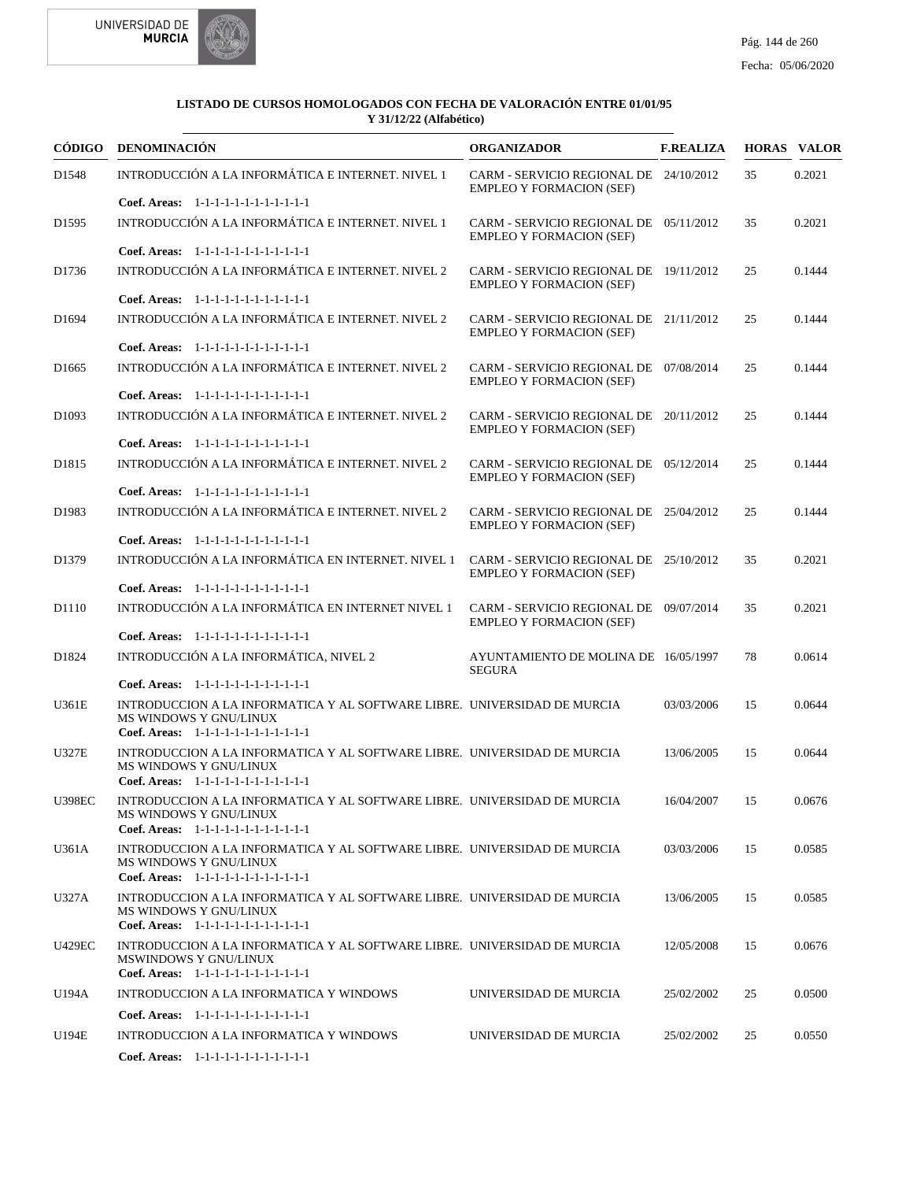



|                   | CÓDIGO DENOMINACIÓN                                                                                                                          | <b>ORGANIZADOR</b>                                                        | <b>F.REALIZA</b> |    | <b>HORAS VALOR</b> |
|-------------------|----------------------------------------------------------------------------------------------------------------------------------------------|---------------------------------------------------------------------------|------------------|----|--------------------|
| D1548             | INTRODUCCIÓN A LA INFORMÁTICA E INTERNET. NIVEL 1                                                                                            | CARM - SERVICIO REGIONAL DE 24/10/2012<br><b>EMPLEO Y FORMACION (SEF)</b> |                  | 35 | 0.2021             |
|                   | Coef. Areas: 1-1-1-1-1-1-1-1-1-1-1-1-1                                                                                                       |                                                                           |                  |    |                    |
| D <sub>1595</sub> | INTRODUCCIÓN A LA INFORMÁTICA E INTERNET. NIVEL 1                                                                                            | CARM - SERVICIO REGIONAL DE 05/11/2012<br><b>EMPLEO Y FORMACION (SEF)</b> |                  | 35 | 0.2021             |
|                   | Coef. Areas: 1-1-1-1-1-1-1-1-1-1-1-1-1                                                                                                       |                                                                           |                  |    |                    |
| D1736             | INTRODUCCIÓN A LA INFORMÁTICA E INTERNET. NIVEL 2                                                                                            | CARM - SERVICIO REGIONAL DE 19/11/2012<br><b>EMPLEO Y FORMACION (SEF)</b> |                  | 25 | 0.1444             |
|                   | Coef. Areas: 1-1-1-1-1-1-1-1-1-1-1-1-1                                                                                                       |                                                                           |                  |    |                    |
| D <sub>1694</sub> | INTRODUCCIÓN A LA INFORMÁTICA E INTERNET. NIVEL 2                                                                                            | CARM - SERVICIO REGIONAL DE 21/11/2012<br><b>EMPLEO Y FORMACION (SEF)</b> |                  | 25 | 0.1444             |
|                   | Coef. Areas: 1-1-1-1-1-1-1-1-1-1-1-1-1                                                                                                       |                                                                           |                  |    |                    |
| D <sub>1665</sub> | INTRODUCCIÓN A LA INFORMÁTICA E INTERNET. NIVEL 2                                                                                            | CARM - SERVICIO REGIONAL DE 07/08/2014<br><b>EMPLEO Y FORMACION (SEF)</b> |                  | 25 | 0.1444             |
|                   | Coef. Areas: 1-1-1-1-1-1-1-1-1-1-1-1-1                                                                                                       |                                                                           |                  |    |                    |
| D <sub>1093</sub> | INTRODUCCIÓN A LA INFORMÁTICA E INTERNET. NIVEL 2<br>Coef. Areas: $1-1-1-1-1-1-1-1-1-1-1$                                                    | CARM - SERVICIO REGIONAL DE 20/11/2012<br><b>EMPLEO Y FORMACION (SEF)</b> |                  | 25 | 0.1444             |
|                   |                                                                                                                                              |                                                                           |                  |    |                    |
| D <sub>1815</sub> | INTRODUCCIÓN A LA INFORMÁTICA E INTERNET. NIVEL 2<br>Coef. Areas: 1-1-1-1-1-1-1-1-1-1-1-1-1                                                  | CARM - SERVICIO REGIONAL DE 05/12/2014<br><b>EMPLEO Y FORMACION (SEF)</b> |                  | 25 | 0.1444             |
|                   |                                                                                                                                              |                                                                           |                  |    |                    |
| D1983             | INTRODUCCIÓN A LA INFORMÁTICA E INTERNET. NIVEL 2<br>Coef. Areas: 1-1-1-1-1-1-1-1-1-1-1-1-1                                                  | CARM - SERVICIO REGIONAL DE 25/04/2012<br><b>EMPLEO Y FORMACION (SEF)</b> |                  | 25 | 0.1444             |
|                   |                                                                                                                                              |                                                                           |                  |    |                    |
| D1379             | INTRODUCCIÓN A LA INFORMÁTICA EN INTERNET. NIVEL 1<br>Coef. Areas: 1-1-1-1-1-1-1-1-1-1-1-1-1                                                 | CARM - SERVICIO REGIONAL DE 25/10/2012<br><b>EMPLEO Y FORMACION (SEF)</b> |                  | 35 | 0.2021             |
|                   |                                                                                                                                              |                                                                           |                  |    |                    |
| D1110             | INTRODUCCIÓN A LA INFORMÁTICA EN INTERNET NIVEL 1<br>Coef. Areas: 1-1-1-1-1-1-1-1-1-1-1-1-1                                                  | CARM - SERVICIO REGIONAL DE 09/07/2014<br><b>EMPLEO Y FORMACION (SEF)</b> |                  | 35 | 0.2021             |
|                   |                                                                                                                                              |                                                                           |                  |    |                    |
| D1824             | INTRODUCCIÓN A LA INFORMÁTICA, NIVEL 2<br>Coef. Areas: 1-1-1-1-1-1-1-1-1-1-1-1-1                                                             | AYUNTAMIENTO DE MOLINA DE 16/05/1997<br><b>SEGURA</b>                     |                  | 78 | 0.0614             |
|                   |                                                                                                                                              |                                                                           |                  |    |                    |
| U361E             | INTRODUCCION A LA INFORMATICA Y AL SOFTWARE LIBRE. UNIVERSIDAD DE MURCIA<br>MS WINDOWS Y GNU/LINUX<br>Coef. Areas: 1-1-1-1-1-1-1-1-1-1-1-1-1 |                                                                           | 03/03/2006       | 15 | 0.0644             |
| <b>U327E</b>      | INTRODUCCION A LA INFORMATICA Y AL SOFTWARE LIBRE. UNIVERSIDAD DE MURCIA                                                                     |                                                                           | 13/06/2005       | 15 | 0.0644             |
|                   | <b>MS WINDOWS Y GNU/LINUX</b><br>Coef. Areas: 1-1-1-1-1-1-1-1-1-1-1-1-1                                                                      |                                                                           |                  |    |                    |
| <b>U398EC</b>     | INTRODUCCION A LA INFORMATICA Y AL SOFTWARE LIBRE. UNIVERSIDAD DE MURCIA                                                                     |                                                                           | 16/04/2007       | 15 | 0.0676             |
|                   | <b>MS WINDOWS Y GNU/LINUX</b><br>Coef. Areas: 1-1-1-1-1-1-1-1-1-1-1-1-1                                                                      |                                                                           |                  |    |                    |
| U361A             | INTRODUCCION A LA INFORMATICA Y AL SOFTWARE LIBRE. UNIVERSIDAD DE MURCIA                                                                     |                                                                           | 03/03/2006       | 15 | 0.0585             |
|                   | <b>MS WINDOWS Y GNU/LINUX</b><br>Coef. Areas: 1-1-1-1-1-1-1-1-1-1-1-1-1                                                                      |                                                                           |                  |    |                    |
| U327A             | INTRODUCCION A LA INFORMATICA Y AL SOFTWARE LIBRE. UNIVERSIDAD DE MURCIA                                                                     |                                                                           | 13/06/2005       | 15 | 0.0585             |
|                   | MS WINDOWS Y GNU/LINUX<br>Coef. Areas: $1-1-1-1-1-1-1-1-1-1-1$                                                                               |                                                                           |                  |    |                    |
| <b>U429EC</b>     | INTRODUCCION A LA INFORMATICA Y AL SOFTWARE LIBRE. UNIVERSIDAD DE MURCIA                                                                     |                                                                           | 12/05/2008       | 15 | 0.0676             |
|                   | <b>MSWINDOWS Y GNU/LINUX</b><br>Coef. Areas: 1-1-1-1-1-1-1-1-1-1-1-1-1                                                                       |                                                                           |                  |    |                    |
| U194A             | INTRODUCCION A LA INFORMATICA Y WINDOWS                                                                                                      | UNIVERSIDAD DE MURCIA                                                     | 25/02/2002       | 25 | 0.0500             |
|                   | Coef. Areas: 1-1-1-1-1-1-1-1-1-1-1-1-1                                                                                                       |                                                                           |                  |    |                    |
| U194E             | INTRODUCCION A LA INFORMATICA Y WINDOWS                                                                                                      | UNIVERSIDAD DE MURCIA                                                     | 25/02/2002       | 25 | 0.0550             |
|                   | Coef. Areas: 1-1-1-1-1-1-1-1-1-1-1-1-1                                                                                                       |                                                                           |                  |    |                    |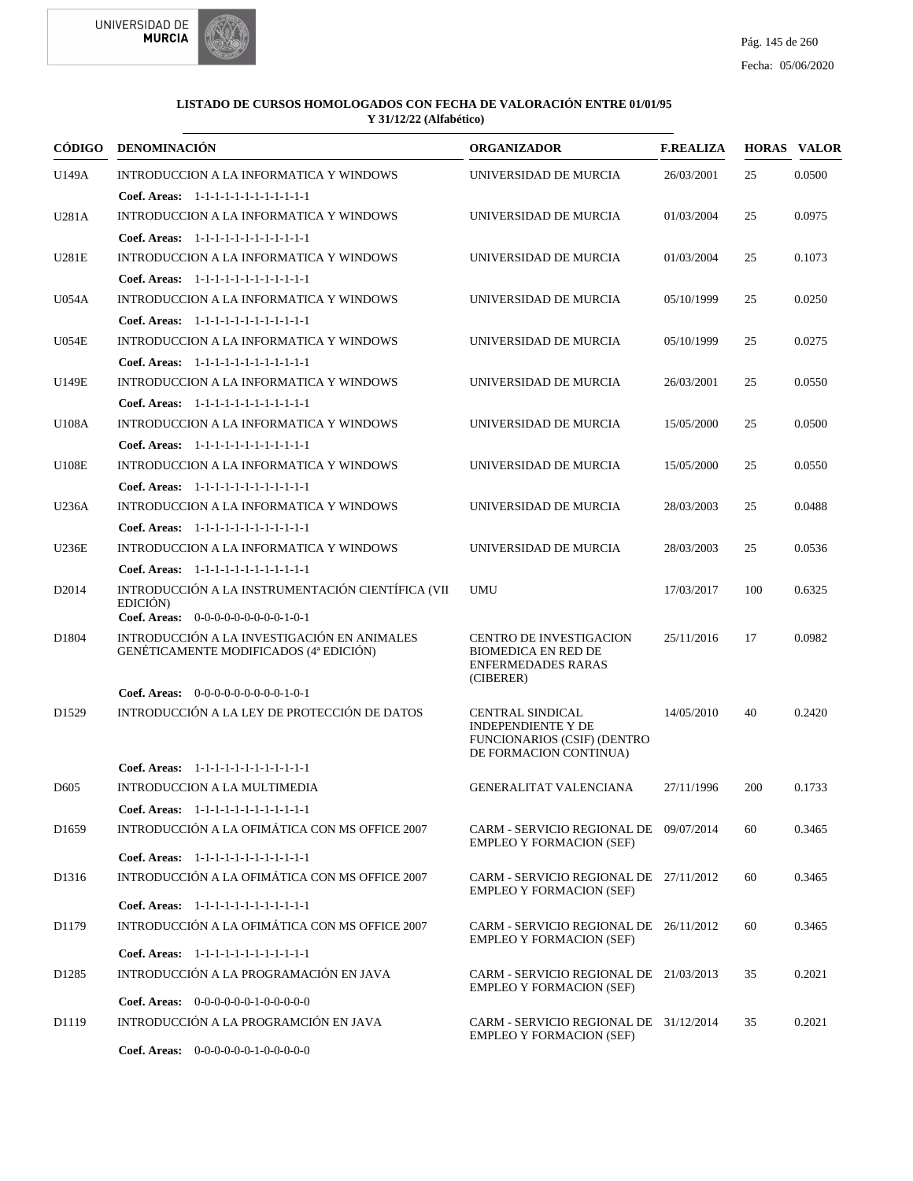



| CÓDIGO            | <b>DENOMINACIÓN</b>                                                                 | <b>ORGANIZADOR</b>                                                                        | <b>F.REALIZA</b> |     | <b>HORAS VALOR</b> |
|-------------------|-------------------------------------------------------------------------------------|-------------------------------------------------------------------------------------------|------------------|-----|--------------------|
| U149A             | <b>INTRODUCCION A LA INFORMATICA Y WINDOWS</b>                                      | UNIVERSIDAD DE MURCIA                                                                     | 26/03/2001       | 25  | 0.0500             |
|                   | Coef. Areas: 1-1-1-1-1-1-1-1-1-1-1-1-1                                              |                                                                                           |                  |     |                    |
| U281A             | INTRODUCCION A LA INFORMATICA Y WINDOWS                                             | UNIVERSIDAD DE MURCIA                                                                     | 01/03/2004       | 25  | 0.0975             |
|                   | Coef. Areas: 1-1-1-1-1-1-1-1-1-1-1-1-1                                              |                                                                                           |                  |     |                    |
| <b>U281E</b>      | INTRODUCCION A LA INFORMATICA Y WINDOWS                                             | UNIVERSIDAD DE MURCIA                                                                     | 01/03/2004       | 25  | 0.1073             |
|                   | Coef. Areas: 1-1-1-1-1-1-1-1-1-1-1-1-1                                              |                                                                                           |                  |     |                    |
| <b>U054A</b>      | INTRODUCCION A LA INFORMATICA Y WINDOWS                                             | UNIVERSIDAD DE MURCIA                                                                     | 05/10/1999       | 25  | 0.0250             |
|                   | Coef. Areas: 1-1-1-1-1-1-1-1-1-1-1-1-1                                              |                                                                                           |                  |     |                    |
| <b>U054E</b>      | INTRODUCCION A LA INFORMATICA Y WINDOWS                                             | UNIVERSIDAD DE MURCIA                                                                     | 05/10/1999       | 25  | 0.0275             |
|                   | Coef. Areas: 1-1-1-1-1-1-1-1-1-1-1-1-1                                              |                                                                                           |                  |     |                    |
| U149E             | INTRODUCCION A LA INFORMATICA Y WINDOWS                                             | UNIVERSIDAD DE MURCIA                                                                     | 26/03/2001       | 25  | 0.0550             |
|                   | Coef. Areas: 1-1-1-1-1-1-1-1-1-1-1-1-1                                              |                                                                                           |                  |     |                    |
| U108A             | INTRODUCCION A LA INFORMATICA Y WINDOWS                                             | UNIVERSIDAD DE MURCIA                                                                     | 15/05/2000       | 25  | 0.0500             |
|                   | Coef. Areas: 1-1-1-1-1-1-1-1-1-1-1-1-1                                              |                                                                                           |                  |     |                    |
| U108E             | <b>INTRODUCCION A LA INFORMATICA Y WINDOWS</b>                                      | UNIVERSIDAD DE MURCIA                                                                     | 15/05/2000       | 25  | 0.0550             |
|                   | Coef. Areas: 1-1-1-1-1-1-1-1-1-1-1-1-1                                              |                                                                                           |                  |     |                    |
| U236A             | <b>INTRODUCCION A LA INFORMATICA Y WINDOWS</b>                                      | UNIVERSIDAD DE MURCIA                                                                     | 28/03/2003       | 25  | 0.0488             |
|                   | Coef. Areas: 1-1-1-1-1-1-1-1-1-1-1-1-1                                              |                                                                                           |                  |     |                    |
| <b>U236E</b>      | INTRODUCCION A LA INFORMATICA Y WINDOWS                                             | UNIVERSIDAD DE MURCIA                                                                     | 28/03/2003       | 25  | 0.0536             |
|                   | Coef. Areas: 1-1-1-1-1-1-1-1-1-1-1-1-1                                              |                                                                                           |                  |     |                    |
| D <sub>2014</sub> | INTRODUCCIÓN A LA INSTRUMENTACIÓN CIENTÍFICA (VII                                   | <b>UMU</b>                                                                                | 17/03/2017       | 100 | 0.6325             |
|                   | EDICIÓN)                                                                            |                                                                                           |                  |     |                    |
| D1804             | Coef. Areas: $0-0-0-0-0-0-0-0-1-0-1$<br>INTRODUCCIÓN A LA INVESTIGACIÓN EN ANIMALES | <b>CENTRO DE INVESTIGACION</b>                                                            | 25/11/2016       | 17  | 0.0982             |
|                   | GENÉTICAMENTE MODIFICADOS (4ª EDICIÓN)                                              | <b>BIOMEDICA EN RED DE</b><br><b>ENFERMEDADES RARAS</b>                                   |                  |     |                    |
|                   | Coef. Areas: $0-0-0-0-0-0-0-0-1-0-1$                                                | (CIBERER)                                                                                 |                  |     |                    |
| D <sub>1529</sub> | INTRODUCCIÓN A LA LEY DE PROTECCIÓN DE DATOS                                        | <b>CENTRAL SINDICAL</b>                                                                   | 14/05/2010       | 40  | 0.2420             |
|                   |                                                                                     | <b>INDEPENDIENTE Y DE</b><br><b>FUNCIONARIOS (CSIF) (DENTRO</b><br>DE FORMACION CONTINUA) |                  |     |                    |
|                   | Coef. Areas: 1-1-1-1-1-1-1-1-1-1-1-1-1                                              |                                                                                           |                  |     |                    |
| D <sub>605</sub>  | INTRODUCCION A LA MULTIMEDIA                                                        | <b>GENERALITAT VALENCIANA</b>                                                             | 27/11/1996       | 200 | 0.1733             |
|                   | Coef. Areas: 1-1-1-1-1-1-1-1-1-1-1-1-1                                              |                                                                                           |                  |     |                    |
| D <sub>1659</sub> | INTRODUCCIÓN A LA OFIMÁTICA CON MS OFFICE 2007                                      | CARM - SERVICIO REGIONAL DE 09/07/2014<br><b>EMPLEO Y FORMACION (SEF)</b>                 |                  | 60  | 0.3465             |
|                   | Coef. Areas: 1-1-1-1-1-1-1-1-1-1-1-1-1                                              |                                                                                           |                  |     |                    |
| D <sub>1316</sub> | INTRODUCCIÓN A LA OFIMÁTICA CON MS OFFICE 2007                                      | CARM - SERVICIO REGIONAL DE 27/11/2012<br><b>EMPLEO Y FORMACION (SEF)</b>                 |                  | 60  | 0.3465             |
|                   | Coef. Areas: 1-1-1-1-1-1-1-1-1-1-1-1-1                                              |                                                                                           |                  |     |                    |
| D1179             | INTRODUCCIÓN A LA OFIMÁTICA CON MS OFFICE 2007                                      | CARM - SERVICIO REGIONAL DE 26/11/2012<br><b>EMPLEO Y FORMACION (SEF)</b>                 |                  | 60  | 0.3465             |
|                   | Coef. Areas: 1-1-1-1-1-1-1-1-1-1-1-1-1                                              |                                                                                           |                  |     |                    |
| D <sub>1285</sub> | INTRODUCCIÓN A LA PROGRAMACIÓN EN JAVA                                              | CARM - SERVICIO REGIONAL DE 21/03/2013<br><b>EMPLEO Y FORMACION (SEF)</b>                 |                  | 35  | 0.2021             |
|                   | Coef. Areas: $0-0-0-0-0-1-0-0-0-0-0$                                                |                                                                                           |                  |     |                    |
| D1119             | INTRODUCCIÓN A LA PROGRAMCIÓN EN JAVA                                               | CARM - SERVICIO REGIONAL DE 31/12/2014<br><b>EMPLEO Y FORMACION (SEF)</b>                 |                  | 35  | 0.2021             |
|                   | <b>Coef. Areas:</b> $0-0-0-0-0-1-0-0-0-0-0$                                         |                                                                                           |                  |     |                    |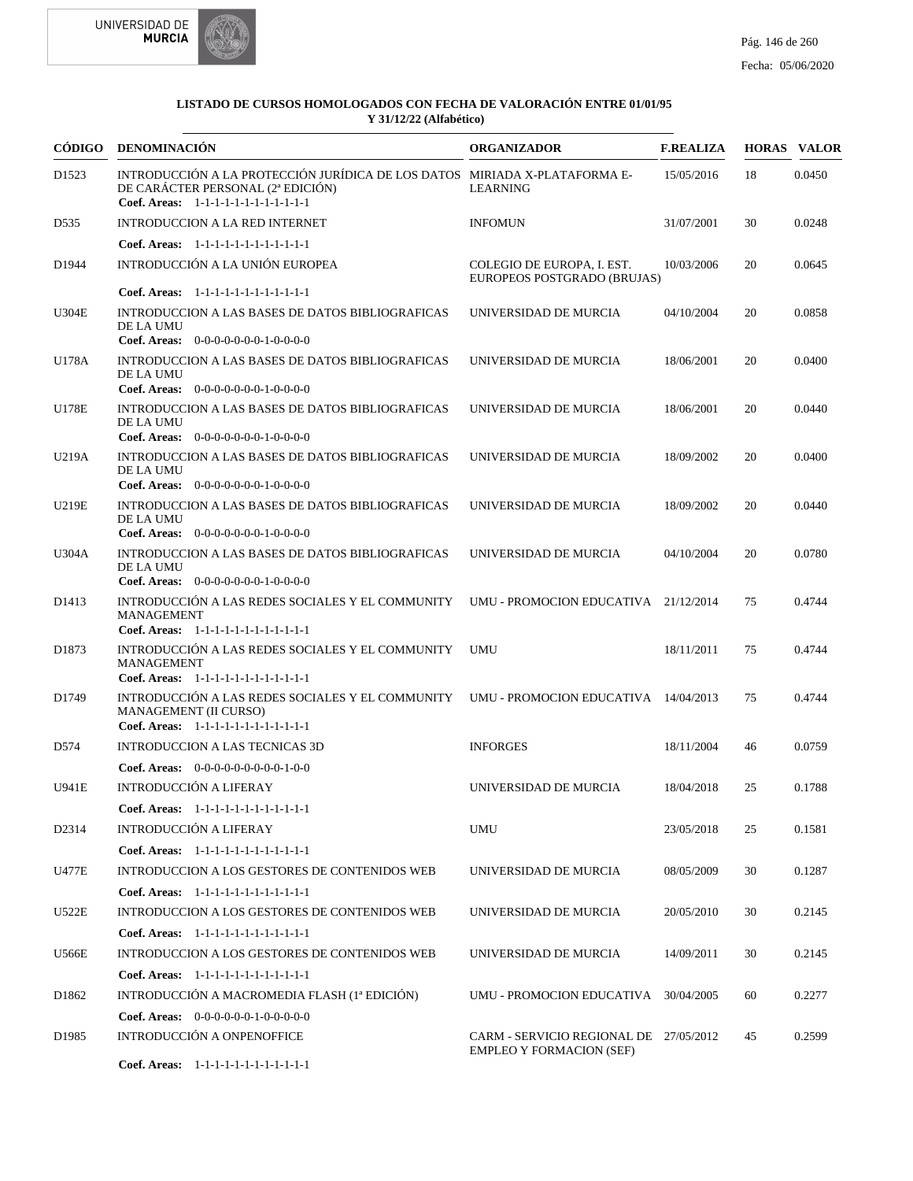



| <b>CÓDIGO</b>     | <b>DENOMINACIÓN</b>                                                                                                                                                  | <b>ORGANIZADOR</b>                                                        | <b>F.REALIZA</b> |    | <b>HORAS VALOR</b> |
|-------------------|----------------------------------------------------------------------------------------------------------------------------------------------------------------------|---------------------------------------------------------------------------|------------------|----|--------------------|
| D <sub>1523</sub> | INTRODUCCIÓN A LA PROTECCIÓN JURÍDICA DE LOS DATOS MIRIADA X-PLATAFORMA E-<br>DE CARÁCTER PERSONAL (2ª EDICIÓN)<br>Coef. Areas: 1-1-1-1-1-1-1-1-1-1-1-1-1            | <b>LEARNING</b>                                                           | 15/05/2016       | 18 | 0.0450             |
| D535              | INTRODUCCION A LA RED INTERNET                                                                                                                                       | <b>INFOMUN</b>                                                            | 31/07/2001       | 30 | 0.0248             |
|                   | Coef. Areas: $1-1-1-1-1-1-1-1-1-1-1$                                                                                                                                 |                                                                           |                  |    |                    |
| D1944             | INTRODUCCIÓN A LA UNIÓN EUROPEA                                                                                                                                      | COLEGIO DE EUROPA, I. EST.<br>EUROPEOS POSTGRADO (BRUJAS)                 | 10/03/2006       | 20 | 0.0645             |
|                   | Coef. Areas: 1-1-1-1-1-1-1-1-1-1-1-1-1                                                                                                                               |                                                                           |                  |    |                    |
| <b>U304E</b>      | INTRODUCCION A LAS BASES DE DATOS BIBLIOGRAFICAS<br>DE LA UMU<br>Coef. Areas: $0-0-0-0-0-0-1-0-0-0-0$                                                                | UNIVERSIDAD DE MURCIA                                                     | 04/10/2004       | 20 | 0.0858             |
| U178A             | INTRODUCCION A LAS BASES DE DATOS BIBLIOGRAFICAS                                                                                                                     | UNIVERSIDAD DE MURCIA                                                     | 18/06/2001       | 20 | 0.0400             |
|                   | DE LA UMU<br>Coef. Areas: 0-0-0-0-0-0-0-1-0-0-0-0                                                                                                                    |                                                                           |                  |    |                    |
| <b>U178E</b>      | INTRODUCCION A LAS BASES DE DATOS BIBLIOGRAFICAS<br>DE LA UMU                                                                                                        | UNIVERSIDAD DE MURCIA                                                     | 18/06/2001       | 20 | 0.0440             |
|                   | Coef. Areas: $0-0-0-0-0-0-1-0-0-0-0$                                                                                                                                 |                                                                           |                  |    |                    |
| U219A             | INTRODUCCION A LAS BASES DE DATOS BIBLIOGRAFICAS<br>DE LA UMU<br>Coef. Areas: 0-0-0-0-0-0-0-1-0-0-0-0                                                                | UNIVERSIDAD DE MURCIA                                                     | 18/09/2002       | 20 | 0.0400             |
| <b>U219E</b>      | INTRODUCCION A LAS BASES DE DATOS BIBLIOGRAFICAS<br>DE LA UMU                                                                                                        | UNIVERSIDAD DE MURCIA                                                     | 18/09/2002       | 20 | 0.0440             |
|                   | Coef. Areas: $0-0-0-0-0-0-1-0-0-0-0$                                                                                                                                 |                                                                           |                  |    |                    |
| U304A             | INTRODUCCION A LAS BASES DE DATOS BIBLIOGRAFICAS<br>DE LA UMU<br>Coef. Areas: 0-0-0-0-0-0-0-1-0-0-0-0                                                                | UNIVERSIDAD DE MURCIA                                                     | 04/10/2004       | 20 | 0.0780             |
| D <sub>1413</sub> | INTRODUCCIÓN A LAS REDES SOCIALES Y EL COMMUNITY<br><b>MANAGEMENT</b><br>Coef. Areas: 1-1-1-1-1-1-1-1-1-1-1-1-1                                                      | UMU - PROMOCION EDUCATIVA 21/12/2014                                      |                  | 75 | 0.4744             |
| D1873             | INTRODUCCIÓN A LAS REDES SOCIALES Y EL COMMUNITY<br><b>MANAGEMENT</b>                                                                                                | UMU                                                                       | 18/11/2011       | 75 | 0.4744             |
| D1749             | Coef. Areas: 1-1-1-1-1-1-1-1-1-1-1-1-1<br>INTRODUCCIÓN A LAS REDES SOCIALES Y EL COMMUNITY<br><b>MANAGEMENT (II CURSO)</b><br>Coef. Areas: 1-1-1-1-1-1-1-1-1-1-1-1-1 | UMU - PROMOCION EDUCATIVA 14/04/2013                                      |                  | 75 | 0.4744             |
| D574              | <b>INTRODUCCION A LAS TECNICAS 3D</b>                                                                                                                                | <b>INFORGES</b>                                                           | 18/11/2004       | 46 | 0.0759             |
|                   | <b>Coef. Areas:</b> $0-0-0-0-0-0-0-0-1-0-0$                                                                                                                          |                                                                           |                  |    |                    |
| <b>U941E</b>      | <b>INTRODUCCIÓN A LIFERAY</b>                                                                                                                                        | UNIVERSIDAD DE MURCIA                                                     | 18/04/2018       | 25 | 0.1788             |
|                   | Coef. Areas: 1-1-1-1-1-1-1-1-1-1-1-1-1                                                                                                                               |                                                                           |                  |    |                    |
| D2314             | <b>INTRODUCCIÓN A LIFERAY</b>                                                                                                                                        | <b>UMU</b>                                                                | 23/05/2018       | 25 | 0.1581             |
|                   | Coef. Areas: 1-1-1-1-1-1-1-1-1-1-1-1-1                                                                                                                               |                                                                           |                  |    |                    |
| U477E             | INTRODUCCION A LOS GESTORES DE CONTENIDOS WEB                                                                                                                        | UNIVERSIDAD DE MURCIA                                                     | 08/05/2009       | 30 | 0.1287             |
|                   | Coef. Areas: 1-1-1-1-1-1-1-1-1-1-1-1-1                                                                                                                               |                                                                           |                  |    |                    |
| U522E             | INTRODUCCION A LOS GESTORES DE CONTENIDOS WEB                                                                                                                        | UNIVERSIDAD DE MURCIA                                                     | 20/05/2010       | 30 | 0.2145             |
|                   | Coef. Areas: 1-1-1-1-1-1-1-1-1-1-1-1-1                                                                                                                               |                                                                           |                  |    |                    |
| <b>U566E</b>      | INTRODUCCION A LOS GESTORES DE CONTENIDOS WEB                                                                                                                        | UNIVERSIDAD DE MURCIA                                                     | 14/09/2011       | 30 | 0.2145             |
|                   | Coef. Areas: 1-1-1-1-1-1-1-1-1-1-1-1-1                                                                                                                               |                                                                           |                  |    |                    |
| D <sub>1862</sub> | INTRODUCCIÓN A MACROMEDIA FLASH (1ª EDICIÓN)                                                                                                                         | UMU - PROMOCION EDUCATIVA 30/04/2005                                      |                  | 60 | 0.2277             |
|                   | <b>Coef. Areas:</b> $0-0-0-0-0-1-0-0-0-0-0$                                                                                                                          |                                                                           |                  |    |                    |
| D1985             | INTRODUCCIÓN A ONPENOFFICE                                                                                                                                           | CARM - SERVICIO REGIONAL DE 27/05/2012<br><b>EMPLEO Y FORMACION (SEF)</b> |                  | 45 | 0.2599             |
|                   | Coef. Areas: 1-1-1-1-1-1-1-1-1-1-1-1-1                                                                                                                               |                                                                           |                  |    |                    |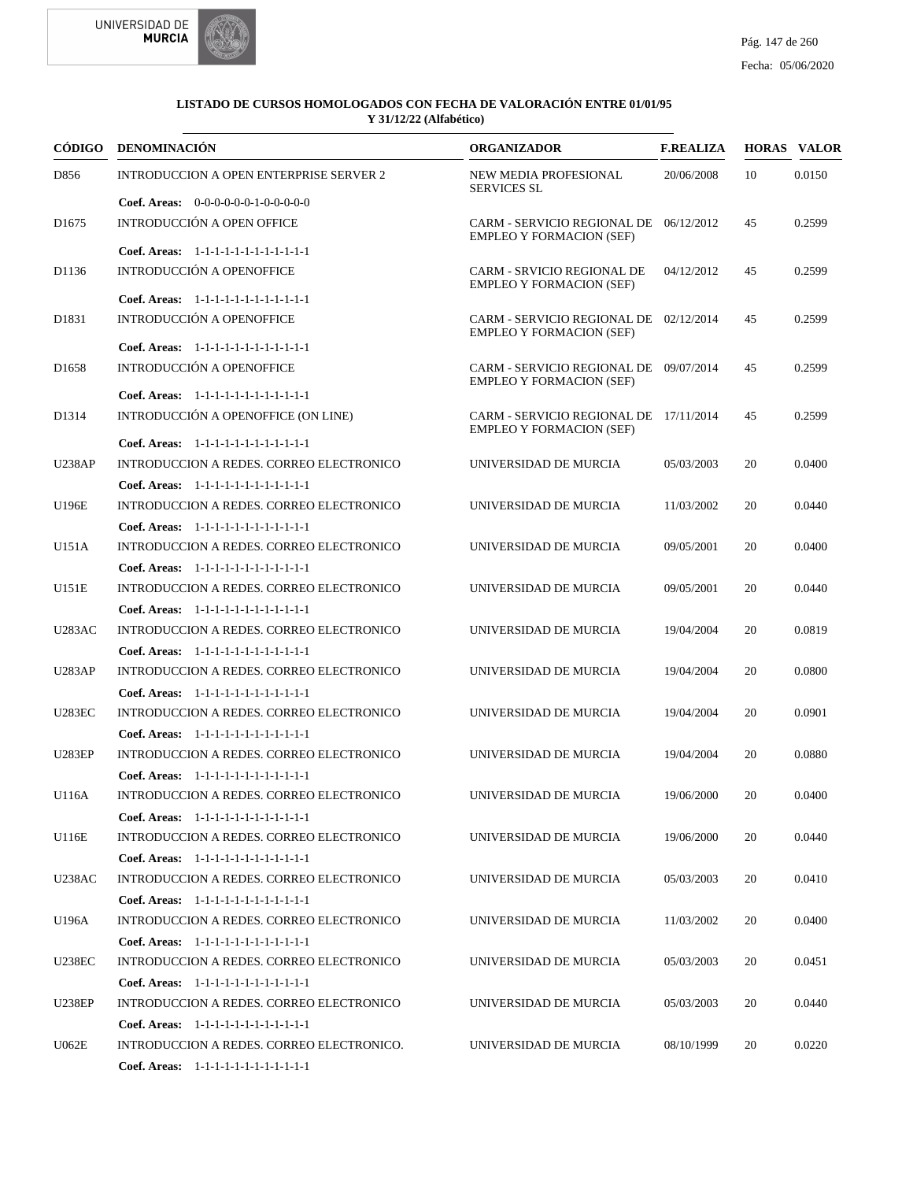



|                   | CÓDIGO DENOMINACIÓN                             | <b>ORGANIZADOR</b>                                                        | <b>F.REALIZA</b> |    | <b>HORAS VALOR</b> |
|-------------------|-------------------------------------------------|---------------------------------------------------------------------------|------------------|----|--------------------|
| D856              | <b>INTRODUCCION A OPEN ENTERPRISE SERVER 2</b>  | NEW MEDIA PROFESIONAL<br><b>SERVICES SL</b>                               | 20/06/2008       | 10 | 0.0150             |
|                   | <b>Coef. Areas:</b> $0-0-0-0-0-1-0-0-0-0-0$     |                                                                           |                  |    |                    |
| D <sub>1675</sub> | INTRODUCCIÓN A OPEN OFFICE                      | CARM - SERVICIO REGIONAL DE 06/12/2012<br><b>EMPLEO Y FORMACION (SEF)</b> |                  | 45 | 0.2599             |
|                   | Coef. Areas: 1-1-1-1-1-1-1-1-1-1-1-1-1          |                                                                           |                  |    |                    |
| D1136             | INTRODUCCIÓN A OPENOFFICE                       | <b>CARM - SRVICIO REGIONAL DE</b><br><b>EMPLEO Y FORMACION (SEF)</b>      | 04/12/2012       | 45 | 0.2599             |
|                   | Coef. Areas: 1-1-1-1-1-1-1-1-1-1-1-1-1          |                                                                           |                  |    |                    |
| D1831             | <b>INTRODUCCIÓN A OPENOFFICE</b>                | CARM - SERVICIO REGIONAL DE 02/12/2014<br><b>EMPLEO Y FORMACION (SEF)</b> |                  | 45 | 0.2599             |
|                   | Coef. Areas: 1-1-1-1-1-1-1-1-1-1-1-1-1          |                                                                           |                  |    |                    |
| D <sub>1658</sub> | INTRODUCCIÓN A OPENOFFICE                       | CARM - SERVICIO REGIONAL DE 09/07/2014<br><b>EMPLEO Y FORMACION (SEF)</b> |                  | 45 | 0.2599             |
|                   | Coef. Areas: 1-1-1-1-1-1-1-1-1-1-1-1-1          |                                                                           |                  |    |                    |
| D1314             | INTRODUCCIÓN A OPENOFFICE (ON LINE)             | CARM - SERVICIO REGIONAL DE 17/11/2014<br><b>EMPLEO Y FORMACION (SEF)</b> |                  | 45 | 0.2599             |
|                   | Coef. Areas: 1-1-1-1-1-1-1-1-1-1-1-1-1          |                                                                           |                  |    |                    |
| <b>U238AP</b>     | INTRODUCCION A REDES. CORREO ELECTRONICO        | UNIVERSIDAD DE MURCIA                                                     | 05/03/2003       | 20 | 0.0400             |
|                   | Coef. Areas: 1-1-1-1-1-1-1-1-1-1-1-1-1          |                                                                           |                  |    |                    |
| U196E             | <b>INTRODUCCION A REDES. CORREO ELECTRONICO</b> | UNIVERSIDAD DE MURCIA                                                     | 11/03/2002       | 20 | 0.0440             |
|                   | Coef. Areas: 1-1-1-1-1-1-1-1-1-1-1-1-1          |                                                                           |                  |    |                    |
| U151A             | INTRODUCCION A REDES. CORREO ELECTRONICO        | UNIVERSIDAD DE MURCIA                                                     | 09/05/2001       | 20 | 0.0400             |
|                   | Coef. Areas: 1-1-1-1-1-1-1-1-1-1-1-1-1          |                                                                           |                  |    |                    |
| U151E             | INTRODUCCION A REDES. CORREO ELECTRONICO        | UNIVERSIDAD DE MURCIA                                                     | 09/05/2001       | 20 | 0.0440             |
|                   | Coef. Areas: $1-1-1-1-1-1-1-1-1-1-1$            |                                                                           |                  |    |                    |
| <b>U283AC</b>     | INTRODUCCION A REDES. CORREO ELECTRONICO        | UNIVERSIDAD DE MURCIA                                                     | 19/04/2004       | 20 | 0.0819             |
|                   | Coef. Areas: 1-1-1-1-1-1-1-1-1-1-1-1-1          |                                                                           |                  |    |                    |
| <b>U283AP</b>     | INTRODUCCION A REDES. CORREO ELECTRONICO        | UNIVERSIDAD DE MURCIA                                                     | 19/04/2004       | 20 | 0.0800             |
|                   | Coef. Areas: 1-1-1-1-1-1-1-1-1-1-1-1-1          |                                                                           |                  |    |                    |
| <b>U283EC</b>     | <b>INTRODUCCION A REDES. CORREO ELECTRONICO</b> | UNIVERSIDAD DE MURCIA                                                     | 19/04/2004       | 20 | 0.0901             |
|                   | Coef. Areas: 1-1-1-1-1-1-1-1-1-1-1-1-1          |                                                                           |                  |    |                    |
| <b>U283EP</b>     | INTRODUCCION A REDES. CORREO ELECTRONICO        | UNIVERSIDAD DE MURCIA                                                     | 19/04/2004       | 20 | 0.0880             |
|                   | Coef. Areas: 1-1-1-1-1-1-1-1-1-1-1-1-1          |                                                                           |                  |    |                    |
| U116A             | INTRODUCCION A REDES. CORREO ELECTRONICO        | UNIVERSIDAD DE MURCIA                                                     | 19/06/2000       | 20 | 0.0400             |
|                   | Coef. Areas: 1-1-1-1-1-1-1-1-1-1-1-1-1          |                                                                           |                  |    |                    |
| U116E             | <b>INTRODUCCION A REDES. CORREO ELECTRONICO</b> | UNIVERSIDAD DE MURCIA                                                     | 19/06/2000       | 20 | 0.0440             |
|                   | Coef. Areas: 1-1-1-1-1-1-1-1-1-1-1-1-1          |                                                                           |                  |    |                    |
| <b>U238AC</b>     | INTRODUCCION A REDES. CORREO ELECTRONICO        | UNIVERSIDAD DE MURCIA                                                     | 05/03/2003       | 20 | 0.0410             |
|                   | Coef. Areas: 1-1-1-1-1-1-1-1-1-1-1-1-1          |                                                                           |                  |    |                    |
| U196A             | INTRODUCCION A REDES. CORREO ELECTRONICO        | UNIVERSIDAD DE MURCIA                                                     | 11/03/2002       | 20 | 0.0400             |
|                   | Coef. Areas: 1-1-1-1-1-1-1-1-1-1-1-1-1          |                                                                           |                  |    |                    |
| <b>U238EC</b>     | INTRODUCCION A REDES. CORREO ELECTRONICO        | UNIVERSIDAD DE MURCIA                                                     | 05/03/2003       | 20 | 0.0451             |
|                   | Coef. Areas: 1-1-1-1-1-1-1-1-1-1-1-1-1          |                                                                           |                  |    |                    |
| <b>U238EP</b>     | INTRODUCCION A REDES. CORREO ELECTRONICO        | UNIVERSIDAD DE MURCIA                                                     | 05/03/2003       | 20 | 0.0440             |
|                   | Coef. Areas: 1-1-1-1-1-1-1-1-1-1-1-1-1          |                                                                           |                  |    |                    |
| U062E             | INTRODUCCION A REDES. CORREO ELECTRONICO.       | UNIVERSIDAD DE MURCIA                                                     | 08/10/1999       | 20 | 0.0220             |
|                   | Coef. Areas: 1-1-1-1-1-1-1-1-1-1-1-1-1          |                                                                           |                  |    |                    |
|                   |                                                 |                                                                           |                  |    |                    |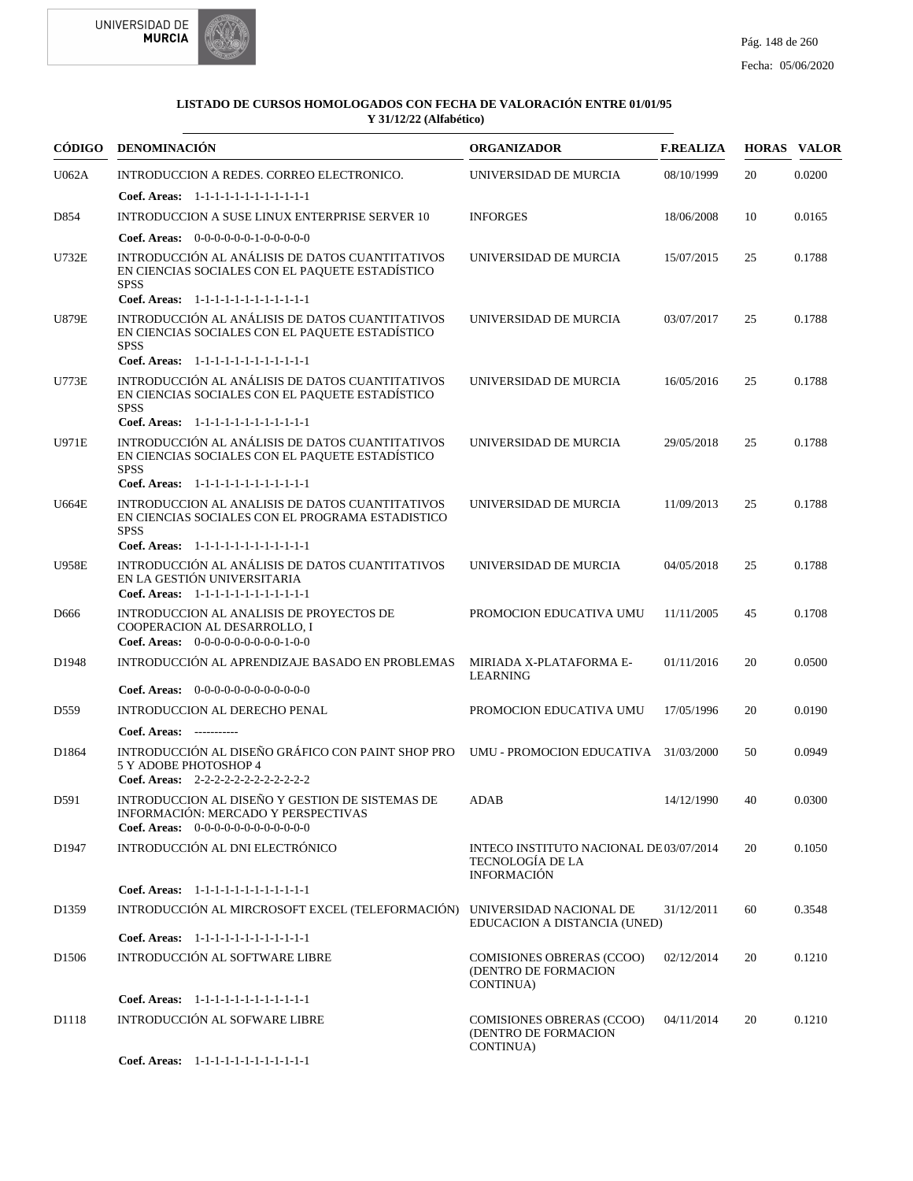



|                   | CÓDIGO DENOMINACIÓN                                                                                                                                         | <b>ORGANIZADOR</b>                                                               | <b>F.REALIZA</b> |    | <b>HORAS VALOR</b> |
|-------------------|-------------------------------------------------------------------------------------------------------------------------------------------------------------|----------------------------------------------------------------------------------|------------------|----|--------------------|
| U062A             | INTRODUCCION A REDES. CORREO ELECTRONICO.                                                                                                                   | UNIVERSIDAD DE MURCIA                                                            | 08/10/1999       | 20 | 0.0200             |
|                   | Coef. Areas: $1-1-1-1-1-1-1-1-1-1-1$                                                                                                                        |                                                                                  |                  |    |                    |
| D854              | <b>INTRODUCCION A SUSE LINUX ENTERPRISE SERVER 10</b>                                                                                                       | <b>INFORGES</b>                                                                  | 18/06/2008       | 10 | 0.0165             |
|                   | <b>Coef. Areas:</b> $0-0-0-0-0-1-0-0-0-0-0$                                                                                                                 |                                                                                  |                  |    |                    |
| U732E             | INTRODUCCIÓN AL ANÁLISIS DE DATOS CUANTITATIVOS<br>EN CIENCIAS SOCIALES CON EL PAQUETE ESTADÍSTICO<br><b>SPSS</b><br>Coef. Areas: 1-1-1-1-1-1-1-1-1-1-1-1-1 | UNIVERSIDAD DE MURCIA                                                            | 15/07/2015       | 25 | 0.1788             |
| <b>U879E</b>      | INTRODUCCIÓN AL ANÁLISIS DE DATOS CUANTITATIVOS<br>EN CIENCIAS SOCIALES CON EL PAQUETE ESTADÍSTICO<br><b>SPSS</b>                                           | UNIVERSIDAD DE MURCIA                                                            | 03/07/2017       | 25 | 0.1788             |
|                   | Coef. Areas: 1-1-1-1-1-1-1-1-1-1-1-1-1                                                                                                                      |                                                                                  |                  |    |                    |
| U773E             | INTRODUCCIÓN AL ANÁLISIS DE DATOS CUANTITATIVOS<br>EN CIENCIAS SOCIALES CON EL PAQUETE ESTADÍSTICO<br><b>SPSS</b>                                           | UNIVERSIDAD DE MURCIA                                                            | 16/05/2016       | 25 | 0.1788             |
|                   | Coef. Areas: 1-1-1-1-1-1-1-1-1-1-1-1-1                                                                                                                      |                                                                                  |                  |    |                    |
| U971E             | INTRODUCCIÓN AL ANÁLISIS DE DATOS CUANTITATIVOS<br>EN CIENCIAS SOCIALES CON EL PAQUETE ESTADÍSTICO<br><b>SPSS</b><br>Coef. Areas: 1-1-1-1-1-1-1-1-1-1-1-1-1 | <b>UNIVERSIDAD DE MURCIA</b>                                                     | 29/05/2018       | 25 | 0.1788             |
| <b>U664E</b>      | INTRODUCCION AL ANALISIS DE DATOS CUANTITATIVOS<br>EN CIENCIAS SOCIALES CON EL PROGRAMA ESTADISTICO<br><b>SPSS</b>                                          | UNIVERSIDAD DE MURCIA                                                            | 11/09/2013       | 25 | 0.1788             |
|                   | Coef. Areas: 1-1-1-1-1-1-1-1-1-1-1-1-1                                                                                                                      |                                                                                  |                  |    |                    |
| <b>U958E</b>      | INTRODUCCIÓN AL ANÁLISIS DE DATOS CUANTITATIVOS<br>EN LA GESTIÓN UNIVERSITARIA<br>Coef. Areas: 1-1-1-1-1-1-1-1-1-1-1-1-1                                    | UNIVERSIDAD DE MURCIA                                                            | 04/05/2018       | 25 | 0.1788             |
| D <sub>666</sub>  | INTRODUCCION AL ANALISIS DE PROYECTOS DE<br>COOPERACION AL DESARROLLO, I<br><b>Coef. Areas:</b> $0-0-0-0-0-0-0-0-1-0-0$                                     | PROMOCION EDUCATIVA UMU                                                          | 11/11/2005       | 45 | 0.1708             |
| D1948             | INTRODUCCIÓN AL APRENDIZAJE BASADO EN PROBLEMAS                                                                                                             | MIRIADA X-PLATAFORMA E-<br><b>LEARNING</b>                                       | 01/11/2016       | 20 | 0.0500             |
|                   | <b>Coef. Areas:</b> $0-0-0-0-0-0-0-0-0-0-0-0$                                                                                                               |                                                                                  |                  |    |                    |
| D <sub>559</sub>  | INTRODUCCION AL DERECHO PENAL                                                                                                                               | PROMOCION EDUCATIVA UMU                                                          | 17/05/1996       | 20 | 0.0190             |
|                   | Coef. Areas: -----------                                                                                                                                    |                                                                                  |                  |    |                    |
| D1864             | INTRODUCCIÓN AL DISEÑO GRÁFICO CON PAINT SHOP PRO<br>5 Y ADOBE PHOTOSHOP 4<br>Coef. Areas: 2-2-2-2-2-2-2-2-2-2-2-2                                          | UMU - PROMOCION EDUCATIVA 31/03/2000                                             |                  | 50 | 0.0949             |
| D591              | INTRODUCCION AL DISEÑO Y GESTION DE SISTEMAS DE<br>INFORMACIÓN: MERCADO Y PERSPECTIVAS<br>Coef. Areas: 0-0-0-0-0-0-0-0-0-0-0-0-0                            | ADAB                                                                             | 14/12/1990       | 40 | 0.0300             |
| D1947             | INTRODUCCIÓN AL DNI ELECTRÓNICO                                                                                                                             | INTECO INSTITUTO NACIONAL DE03/07/2014<br>TECNOLOGÍA DE LA<br><b>INFORMACIÓN</b> |                  | 20 | 0.1050             |
|                   | Coef. Areas: 1-1-1-1-1-1-1-1-1-1-1-1-1                                                                                                                      |                                                                                  |                  |    |                    |
| D <sub>1359</sub> | INTRODUCCIÓN AL MIRCROSOFT EXCEL (TELEFORMACIÓN)                                                                                                            | UNIVERSIDAD NACIONAL DE<br>EDUCACION A DISTANCIA (UNED)                          | 31/12/2011       | 60 | 0.3548             |
|                   | Coef. Areas: 1-1-1-1-1-1-1-1-1-1-1-1-1                                                                                                                      |                                                                                  |                  |    |                    |
| D <sub>1506</sub> | INTRODUCCIÓN AL SOFTWARE LIBRE                                                                                                                              | <b>COMISIONES OBRERAS (CCOO)</b><br>(DENTRO DE FORMACION<br>CONTINUA)            | 02/12/2014       | 20 | 0.1210             |
|                   | Coef. Areas: 1-1-1-1-1-1-1-1-1-1-1-1-1                                                                                                                      |                                                                                  |                  |    |                    |
| D1118             | INTRODUCCIÓN AL SOFWARE LIBRE                                                                                                                               | <b>COMISIONES OBRERAS (CCOO)</b><br>(DENTRO DE FORMACION<br>CONTINUA)            | 04/11/2014       | 20 | 0.1210             |
|                   | Coef. Areas: 1-1-1-1-1-1-1-1-1-1-1-1-1                                                                                                                      |                                                                                  |                  |    |                    |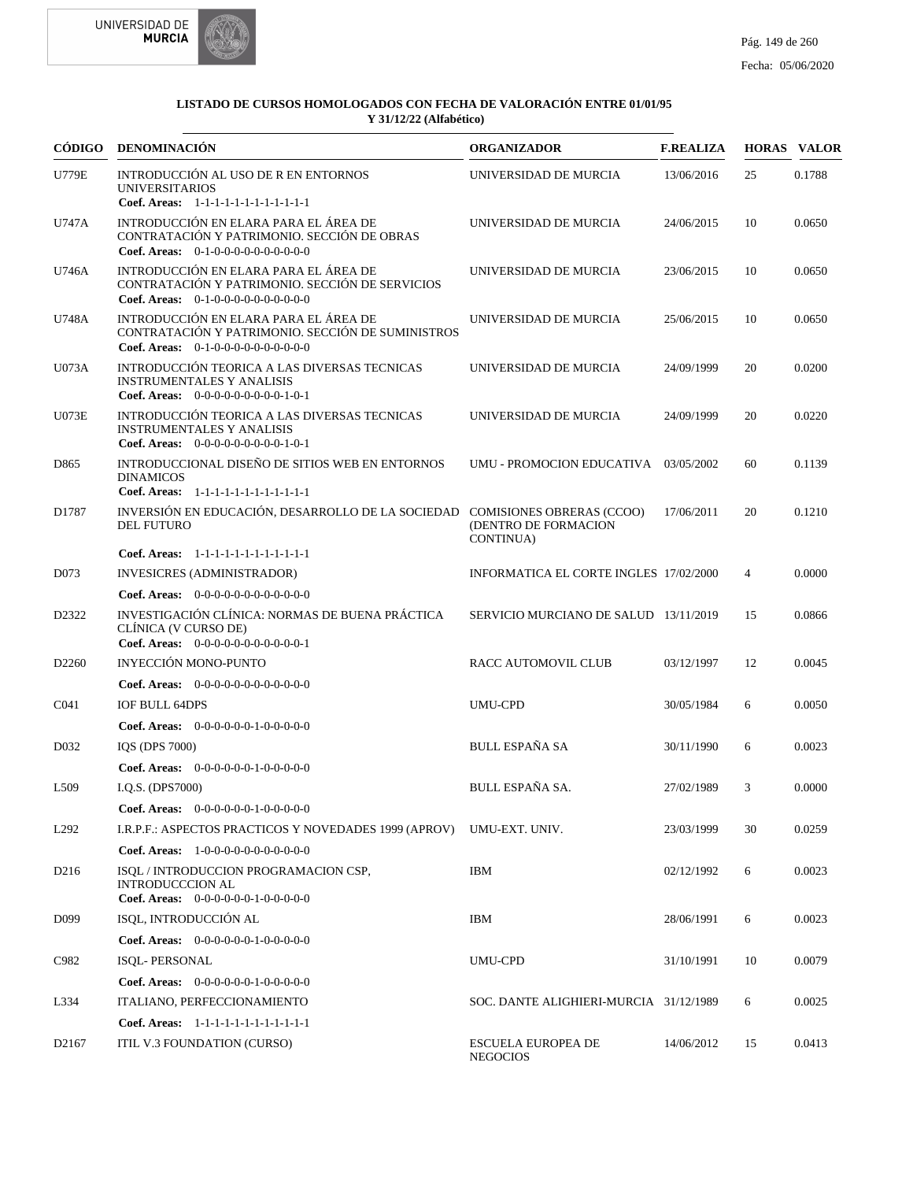



|                   | CÓDIGO DENOMINACIÓN                                                                                                                   | <b>ORGANIZADOR</b>                           | <b>F.REALIZA</b> |                | <b>HORAS VALOR</b> |
|-------------------|---------------------------------------------------------------------------------------------------------------------------------------|----------------------------------------------|------------------|----------------|--------------------|
| <b>U779E</b>      | INTRODUCCIÓN AL USO DE R EN ENTORNOS<br><b>UNIVERSITARIOS</b><br>Coef. Areas: 1-1-1-1-1-1-1-1-1-1-1-1-1                               | UNIVERSIDAD DE MURCIA                        | 13/06/2016       | 25             | 0.1788             |
| U747A             | INTRODUCCIÓN EN ELARA PARA EL ÁREA DE<br>CONTRATACIÓN Y PATRIMONIO. SECCIÓN DE OBRAS<br><b>Coef. Areas:</b> $0-1-0-0-0-0-0-0-0-0-0-0$ | UNIVERSIDAD DE MURCIA                        | 24/06/2015       | 10             | 0.0650             |
| U746A             | INTRODUCCIÓN EN ELARA PARA EL ÁREA DE<br>CONTRATACIÓN Y PATRIMONIO. SECCIÓN DE SERVICIOS<br>Coef. Areas: $0-1-0-0-0-0-0-0-0-0-0$      | UNIVERSIDAD DE MURCIA                        | 23/06/2015       | 10             | 0.0650             |
| U748A             | INTRODUCCIÓN EN ELARA PARA EL ÁREA DE<br>CONTRATACIÓN Y PATRIMONIO. SECCIÓN DE SUMINISTROS<br>Coef. Areas: $0-1-0-0-0-0-0-0-0-0-0-0$  | UNIVERSIDAD DE MURCIA                        | 25/06/2015       | 10             | 0.0650             |
| U073A             | INTRODUCCIÓN TEORICA A LAS DIVERSAS TECNICAS<br><b>INSTRUMENTALES Y ANALISIS</b><br>Coef. Areas: $0-0-0-0-0-0-0-0-1-0-1$              | UNIVERSIDAD DE MURCIA                        | 24/09/1999       | 20             | 0.0200             |
| U073E             | INTRODUCCIÓN TEORICA A LAS DIVERSAS TECNICAS<br><b>INSTRUMENTALES Y ANALISIS</b><br>Coef. Areas: $0-0-0-0-0-0-0-0-1-0-1$              | UNIVERSIDAD DE MURCIA                        | 24/09/1999       | 20             | 0.0220             |
| D865              | INTRODUCCIONAL DISEÑO DE SITIOS WEB EN ENTORNOS<br><b>DINAMICOS</b><br>Coef. Areas: 1-1-1-1-1-1-1-1-1-1-1-1-1                         | UMU - PROMOCION EDUCATIVA 03/05/2002         |                  | 60             | 0.1139             |
| D1787             | INVERSIÓN EN EDUCACIÓN, DESARROLLO DE LA SOCIEDAD COMISIONES OBRERAS (CCOO)<br><b>DEL FUTURO</b>                                      | (DENTRO DE FORMACION<br>CONTINUA)            | 17/06/2011       | 20             | 0.1210             |
|                   | Coef. Areas: 1-1-1-1-1-1-1-1-1-1-1-1-1                                                                                                |                                              |                  |                |                    |
| D073              | <b>INVESICRES (ADMINISTRADOR)</b>                                                                                                     | INFORMATICA EL CORTE INGLES 17/02/2000       |                  | $\overline{4}$ | 0.0000             |
|                   | Coef. Areas: $0-0-0-0-0-0-0-0-0-0-0$                                                                                                  |                                              |                  |                |                    |
| D2322             | INVESTIGACIÓN CLÍNICA: NORMAS DE BUENA PRÁCTICA<br>CLÍNICA (V CURSO DE)<br>Coef. Areas: 0-0-0-0-0-0-0-0-0-0-0-1                       | SERVICIO MURCIANO DE SALUD 13/11/2019        |                  | 15             | 0.0866             |
| D <sub>2260</sub> | INYECCIÓN MONO-PUNTO                                                                                                                  | RACC AUTOMOVIL CLUB                          | 03/12/1997       | 12             | 0.0045             |
|                   | Coef. Areas: $0-0-0-0-0-0-0-0-0-0-0$                                                                                                  |                                              |                  |                |                    |
| C <sub>041</sub>  | <b>IOF BULL 64DPS</b>                                                                                                                 | <b>UMU-CPD</b>                               | 30/05/1984       | 6              | 0.0050             |
|                   | Coef. Areas: $0-0-0-0-0-1-0-0-0-0-0$                                                                                                  |                                              |                  |                |                    |
| D <sub>0</sub> 32 | IOS (DPS 7000)                                                                                                                        | <b>BULL ESPAÑA SA</b>                        | 30/11/1990       | 6              | 0.0023             |
|                   | Coef. Areas: $0-0-0-0-0-1-0-0-0-0-0$                                                                                                  |                                              |                  |                |                    |
| L <sub>509</sub>  | I.Q.S. (DPS7000)                                                                                                                      | BULL ESPAÑA SA.                              | 27/02/1989       | 3              | 0.0000             |
|                   | Coef. Areas: $0-0-0-0-0-1-0-0-0-0-0$                                                                                                  |                                              |                  |                |                    |
| L <sub>292</sub>  | I.R.P.F.: ASPECTOS PRACTICOS Y NOVEDADES 1999 (APROV)                                                                                 | UMU-EXT. UNIV.                               | 23/03/1999       | 30             | 0.0259             |
|                   | Coef. Areas: $1-0-0-0-0-0-0-0-0-0-0$                                                                                                  |                                              |                  |                |                    |
| D <sub>216</sub>  | ISOL / INTRODUCCION PROGRAMACION CSP,<br><b>INTRODUCCCION AL</b><br>Coef. Areas: $0-0-0-0-0-1-0-0-0-0-0$                              | IBM                                          | 02/12/1992       | 6              | 0.0023             |
| D <sub>099</sub>  | ISQL, INTRODUCCIÓN AL                                                                                                                 | <b>IBM</b>                                   | 28/06/1991       | 6              | 0.0023             |
|                   | Coef. Areas: $0-0-0-0-0-1-0-0-0-0-0$                                                                                                  |                                              |                  |                |                    |
| C982              | <b>ISQL- PERSONAL</b>                                                                                                                 | UMU-CPD                                      | 31/10/1991       | 10             | 0.0079             |
|                   | Coef. Areas: $0-0-0-0-0-1-0-0-0-0-0$                                                                                                  |                                              |                  |                |                    |
| L334              | ITALIANO, PERFECCIONAMIENTO                                                                                                           | SOC. DANTE ALIGHIERI-MURCIA 31/12/1989       |                  | 6              | 0.0025             |
|                   | Coef. Areas: 1-1-1-1-1-1-1-1-1-1-1-1-1                                                                                                |                                              |                  |                |                    |
| D <sub>2167</sub> | ITIL V.3 FOUNDATION (CURSO)                                                                                                           | <b>ESCUELA EUROPEA DE</b><br><b>NEGOCIOS</b> | 14/06/2012       | 15             | 0.0413             |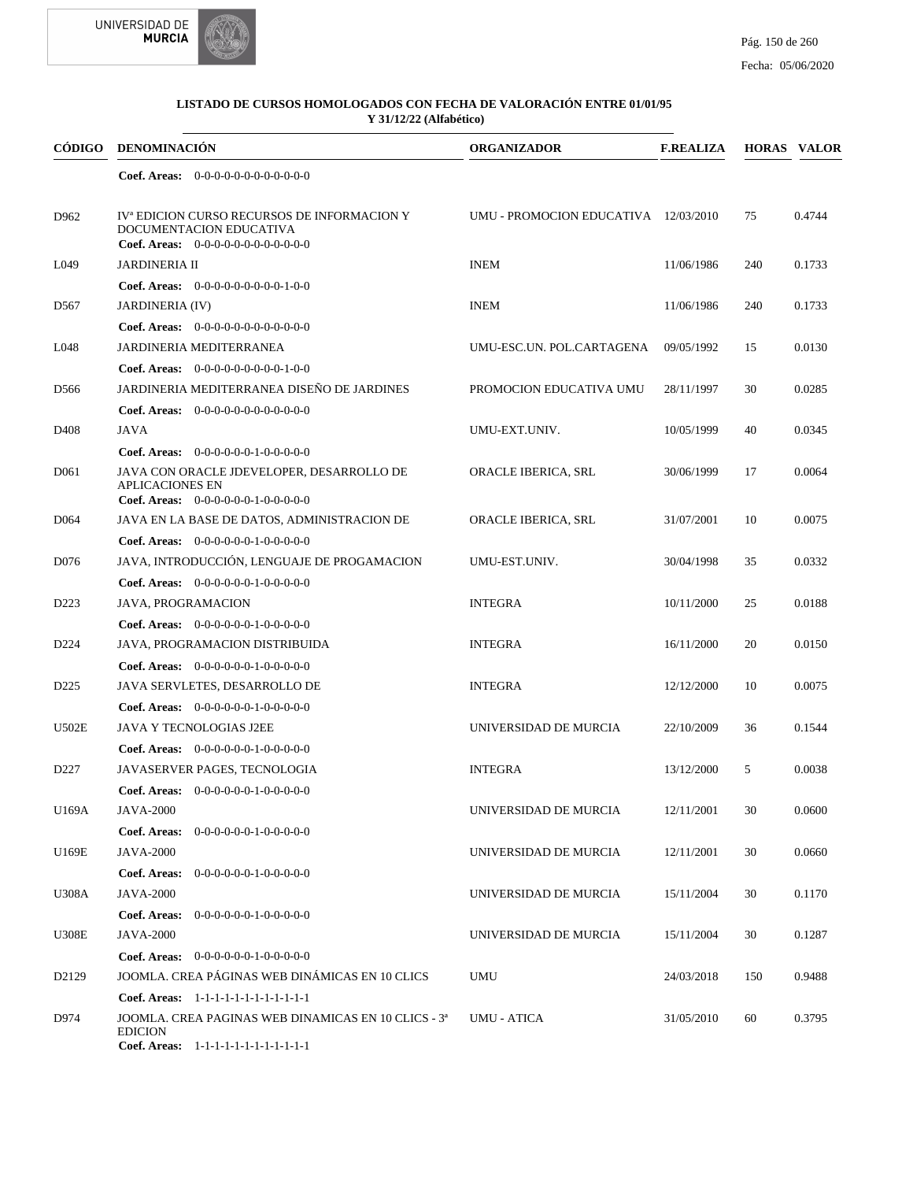



| <b>CÓDIGO</b>    | <b>DENOMINACIÓN</b>                                                                                                          | <b>ORGANIZADOR</b>                   | <b>F.REALIZA</b> |     | <b>HORAS VALOR</b> |
|------------------|------------------------------------------------------------------------------------------------------------------------------|--------------------------------------|------------------|-----|--------------------|
|                  | <b>Coef. Areas:</b> $0-0-0-0-0-0-0-0-0-0-0-0$                                                                                |                                      |                  |     |                    |
| D962             | IV <sup>ª</sup> EDICION CURSO RECURSOS DE INFORMACION Y<br>DOCUMENTACION EDUCATIVA<br>Coef. Areas: $0-0-0-0-0-0-0-0-0-0-0-0$ | UMU - PROMOCION EDUCATIVA 12/03/2010 |                  | 75  | 0.4744             |
| L049             | <b>JARDINERIA II</b>                                                                                                         | <b>INEM</b>                          | 11/06/1986       | 240 | 0.1733             |
|                  | <b>Coef. Areas:</b> $0-0-0-0-0-0-0-0-1-0-0$                                                                                  |                                      |                  |     |                    |
| D <sub>567</sub> | <b>JARDINERIA (IV)</b>                                                                                                       | <b>INEM</b>                          | 11/06/1986       | 240 | 0.1733             |
|                  | Coef. Areas: 0-0-0-0-0-0-0-0-0-0-0-0-0                                                                                       |                                      |                  |     |                    |
| L048             | JARDINERIA MEDITERRANEA                                                                                                      | UMU-ESC.UN. POL.CARTAGENA            | 09/05/1992       | 15  | 0.0130             |
|                  | <b>Coef. Areas:</b> $0-0-0-0-0-0-0-0-1-0-0$                                                                                  |                                      |                  |     |                    |
| D <sub>566</sub> | JARDINERIA MEDITERRANEA DISEÑO DE JARDINES                                                                                   | PROMOCION EDUCATIVA UMU              | 28/11/1997       | 30  | 0.0285             |
|                  | Coef. Areas: 0-0-0-0-0-0-0-0-0-0-0-0-0                                                                                       |                                      |                  |     |                    |
| D <sub>408</sub> | <b>JAVA</b>                                                                                                                  | UMU-EXT.UNIV.                        | 10/05/1999       | 40  | 0.0345             |
|                  | Coef. Areas: $0-0-0-0-0-1-0-0-0-0-0$                                                                                         |                                      |                  |     |                    |
| D <sub>061</sub> | JAVA CON ORACLE JDEVELOPER, DESARROLLO DE<br><b>APLICACIONES EN</b><br>Coef. Areas: $0-0-0-0-0-1-0-0-0-0-0$                  | ORACLE IBERICA, SRL                  | 30/06/1999       | 17  | 0.0064             |
| D <sub>064</sub> | JAVA EN LA BASE DE DATOS, ADMINISTRACION DE                                                                                  | ORACLE IBERICA, SRL                  | 31/07/2001       | 10  | 0.0075             |
|                  | Coef. Areas: $0-0-0-0-0-1-0-0-0-0-0$                                                                                         |                                      |                  |     |                    |
| D076             | JAVA, INTRODUCCIÓN, LENGUAJE DE PROGAMACION                                                                                  | UMU-EST.UNIV.                        | 30/04/1998       | 35  | 0.0332             |
|                  | <b>Coef. Areas:</b> $0-0-0-0-0-1-0-0-0-0-0$                                                                                  |                                      |                  |     |                    |
| D <sub>223</sub> | <b>JAVA, PROGRAMACION</b>                                                                                                    | <b>INTEGRA</b>                       | 10/11/2000       | 25  | 0.0188             |
|                  | Coef. Areas: 0-0-0-0-0-0-1-0-0-0-0-0                                                                                         |                                      |                  |     |                    |
| D <sub>224</sub> | JAVA, PROGRAMACION DISTRIBUIDA                                                                                               | <b>INTEGRA</b>                       | 16/11/2000       | 20  | 0.0150             |
|                  | Coef. Areas: 0-0-0-0-0-0-1-0-0-0-0-0                                                                                         |                                      |                  |     |                    |
| D <sub>225</sub> | JAVA SERVLETES, DESARROLLO DE                                                                                                | <b>INTEGRA</b>                       | 12/12/2000       | 10  | 0.0075             |
|                  | Coef. Areas: 0-0-0-0-0-0-1-0-0-0-0-0                                                                                         |                                      |                  |     |                    |
| U502E            | <b>JAVA Y TECNOLOGIAS J2EE</b>                                                                                               | UNIVERSIDAD DE MURCIA                | 22/10/2009       | 36  | 0.1544             |
|                  | <b>Coef. Areas:</b> $0-0-0-0-0-1-0-0-0-0-0$                                                                                  |                                      |                  |     |                    |
| D <sub>227</sub> | JAVASERVER PAGES, TECNOLOGIA                                                                                                 | <b>INTEGRA</b>                       | 13/12/2000       | 5   | 0.0038             |
|                  | Coef. Areas: 0-0-0-0-0-0-1-0-0-0-0-0                                                                                         |                                      |                  |     |                    |
| U169A            | <b>JAVA-2000</b>                                                                                                             | UNIVERSIDAD DE MURCIA                | 12/11/2001       | 30  | 0.0600             |
|                  | Coef. Areas:<br>$0-0-0-0-0-1-0-0-0-0-0$                                                                                      |                                      |                  |     |                    |
| U169E            | <b>JAVA-2000</b>                                                                                                             | UNIVERSIDAD DE MURCIA                | 12/11/2001       | 30  | 0.0660             |
|                  | Coef. Areas:<br>$0-0-0-0-0-1-0-0-0-0-0$                                                                                      |                                      |                  |     |                    |
| <b>U308A</b>     | <b>JAVA-2000</b>                                                                                                             | UNIVERSIDAD DE MURCIA                | 15/11/2004       | 30  | 0.1170             |
|                  | Coef. Areas:<br>$0-0-0-0-0-1-0-0-0-0-0$                                                                                      |                                      |                  |     |                    |
| <b>U308E</b>     | <b>JAVA-2000</b>                                                                                                             | UNIVERSIDAD DE MURCIA                | 15/11/2004       | 30  | 0.1287             |
|                  | <b>Coef. Areas:</b> $0-0-0-0-0-1-0-0-0-0-0$                                                                                  |                                      |                  |     |                    |
| D2129            | JOOMLA. CREA PÁGINAS WEB DINÁMICAS EN 10 CLICS                                                                               | UMU                                  | 24/03/2018       | 150 | 0.9488             |
|                  | Coef. Areas: 1-1-1-1-1-1-1-1-1-1-1-1-1                                                                                       |                                      |                  |     |                    |
| D974             | JOOMLA. CREA PAGINAS WEB DINAMICAS EN 10 CLICS - 3ª                                                                          | UMU - ATICA                          | 31/05/2010       | 60  | 0.3795             |
|                  | <b>EDICION</b>                                                                                                               |                                      |                  |     |                    |
|                  | Coef. Areas: 1-1-1-1-1-1-1-1-1-1-1-1-1                                                                                       |                                      |                  |     |                    |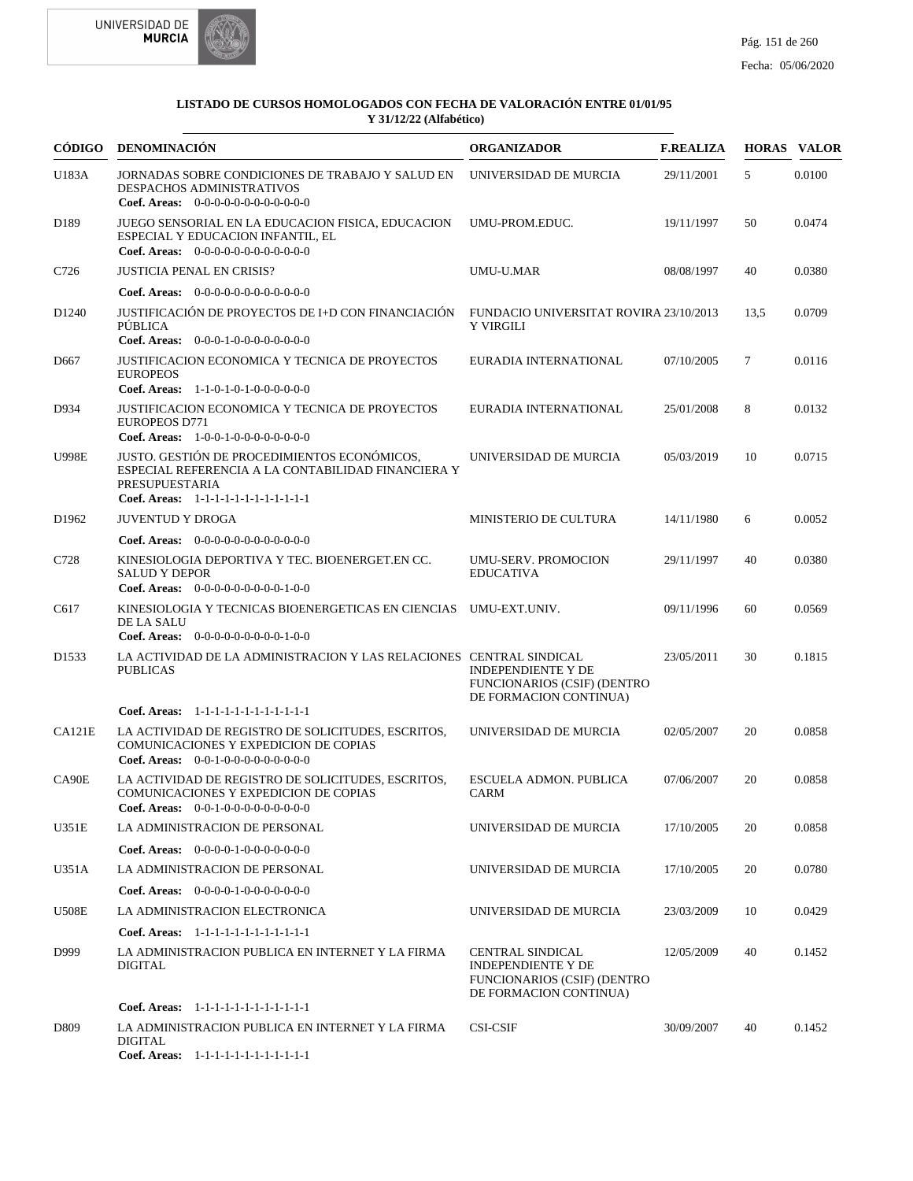



| CÓDIGO            | <b>DENOMINACIÓN</b>                                                                                                                                                   | <b>ORGANIZADOR</b>                                                                                            | <b>F.REALIZA</b> |        | <b>HORAS VALOR</b> |
|-------------------|-----------------------------------------------------------------------------------------------------------------------------------------------------------------------|---------------------------------------------------------------------------------------------------------------|------------------|--------|--------------------|
| U183A             | JORNADAS SOBRE CONDICIONES DE TRABAJO Y SALUD EN<br>DESPACHOS ADMINISTRATIVOS<br>Coef. Areas: $0-0-0-0-0-0-0-0-0-0-0$                                                 | UNIVERSIDAD DE MURCIA                                                                                         | 29/11/2001       | 5      | 0.0100             |
| D <sub>189</sub>  | JUEGO SENSORIAL EN LA EDUCACION FISICA, EDUCACION<br>ESPECIAL Y EDUCACION INFANTIL, EL<br>Coef. Areas: $0-0-0-0-0-0-0-0-0-0-0$                                        | UMU-PROM.EDUC.                                                                                                | 19/11/1997       | 50     | 0.0474             |
| C726              | <b>JUSTICIA PENAL EN CRISIS?</b>                                                                                                                                      | UMU-U.MAR                                                                                                     | 08/08/1997       | 40     | 0.0380             |
|                   | <b>Coef. Areas:</b> $0-0-0-0-0-0-0-0-0-0-0-0$                                                                                                                         |                                                                                                               |                  |        |                    |
| D1240             | JUSTIFICACIÓN DE PROYECTOS DE I+D CON FINANCIACIÓN<br><b>PÚBLICA</b><br>Coef. Areas: $0-0-0-1-0-0-0-0-0-0-0$                                                          | FUNDACIO UNIVERSITAT ROVIRA 23/10/2013<br>Y VIRGILI                                                           |                  | 13.5   | 0.0709             |
| D <sub>667</sub>  | JUSTIFICACION ECONOMICA Y TECNICA DE PROYECTOS<br><b>EUROPEOS</b><br>Coef. Areas: $1-1-0-1-0-1-0-0-0-0-0-0$                                                           | EURADIA INTERNATIONAL                                                                                         | 07/10/2005       | $\tau$ | 0.0116             |
| D934              | JUSTIFICACION ECONOMICA Y TECNICA DE PROYECTOS<br><b>EUROPEOS D771</b><br>Coef. Areas: 1-0-0-1-0-0-0-0-0-0-0-0-0                                                      | EURADIA INTERNATIONAL                                                                                         | 25/01/2008       | 8      | 0.0132             |
| <b>U998E</b>      | JUSTO. GESTIÓN DE PROCEDIMIENTOS ECONÓMICOS.<br>ESPECIAL REFERENCIA A LA CONTABILIDAD FINANCIERA Y<br><b>PRESUPUESTARIA</b><br>Coef. Areas: 1-1-1-1-1-1-1-1-1-1-1-1-1 | UNIVERSIDAD DE MURCIA                                                                                         | 05/03/2019       | 10     | 0.0715             |
| D <sub>1962</sub> | <b>JUVENTUD Y DROGA</b>                                                                                                                                               | MINISTERIO DE CULTURA                                                                                         | 14/11/1980       | 6      | 0.0052             |
|                   | Coef. Areas: 0-0-0-0-0-0-0-0-0-0-0-0-0                                                                                                                                |                                                                                                               |                  |        |                    |
| C728              | KINESIOLOGIA DEPORTIVA Y TEC. BIOENERGET.EN CC.<br><b>SALUD Y DEPOR</b><br>Coef. Areas: $0-0-0-0-0-0-0-0-1-0-0$                                                       | <b>UMU-SERV. PROMOCION</b><br><b>EDUCATIVA</b>                                                                | 29/11/1997       | 40     | 0.0380             |
| C617              | KINESIOLOGIA Y TECNICAS BIOENERGETICAS EN CIENCIAS UMU-EXT.UNIV.<br>DE LA SALU<br><b>Coef. Areas:</b> $0-0-0-0-0-0-0-0-1-0-0$                                         |                                                                                                               | 09/11/1996       | 60     | 0.0569             |
| D <sub>1533</sub> | LA ACTIVIDAD DE LA ADMINISTRACION Y LAS RELACIONES CENTRAL SINDICAL<br><b>PUBLICAS</b>                                                                                | <b>INDEPENDIENTE Y DE</b><br>FUNCIONARIOS (CSIF) (DENTRO<br>DE FORMACION CONTINUA)                            | 23/05/2011       | 30     | 0.1815             |
|                   | Coef. Areas: 1-1-1-1-1-1-1-1-1-1-1-1-1                                                                                                                                |                                                                                                               |                  |        |                    |
| CA121E            | LA ACTIVIDAD DE REGISTRO DE SOLICITUDES, ESCRITOS,<br>COMUNICACIONES Y EXPEDICION DE COPIAS<br>Coef. Areas: $0-0-1-0-0-0-0-0-0-0-0$                                   | UNIVERSIDAD DE MURCIA                                                                                         | 02/05/2007       | 20     | 0.0858             |
| CA90E             | LA ACTIVIDAD DE REGISTRO DE SOLICITUDES, ESCRITOS,<br>COMUNICACIONES Y EXPEDICION DE COPIAS<br>Coef. Areas: $0-0-1-0-0-0-0-0-0-0-0$                                   | <b>ESCUELA ADMON. PUBLICA</b><br>CARM                                                                         | 07/06/2007       | 20     | 0.0858             |
| U351E             | <b>LA ADMINISTRACION DE PERSONAL</b>                                                                                                                                  | UNIVERSIDAD DE MURCIA                                                                                         | 17/10/2005       | 20     | 0.0858             |
|                   | Coef. Areas: $0-0-0-0-1-0-0-0-0-0-0$                                                                                                                                  |                                                                                                               |                  |        |                    |
| U351A             | LA ADMINISTRACION DE PERSONAL                                                                                                                                         | UNIVERSIDAD DE MURCIA                                                                                         | 17/10/2005       | 20     | 0.0780             |
|                   | Coef. Areas: $0-0-0-0-1-0-0-0-0-0-0$                                                                                                                                  |                                                                                                               |                  |        |                    |
| <b>U508E</b>      | LA ADMINISTRACION ELECTRONICA                                                                                                                                         | UNIVERSIDAD DE MURCIA                                                                                         | 23/03/2009       | 10     | 0.0429             |
|                   | Coef. Areas: 1-1-1-1-1-1-1-1-1-1-1-1-1                                                                                                                                |                                                                                                               |                  |        |                    |
| D999              | LA ADMINISTRACION PUBLICA EN INTERNET Y LA FIRMA<br><b>DIGITAL</b>                                                                                                    | <b>CENTRAL SINDICAL</b><br><b>INDEPENDIENTE Y DE</b><br>FUNCIONARIOS (CSIF) (DENTRO<br>DE FORMACION CONTINUA) | 12/05/2009       | 40     | 0.1452             |
|                   | Coef. Areas: 1-1-1-1-1-1-1-1-1-1-1-1-1                                                                                                                                |                                                                                                               |                  |        |                    |
| D <sub>809</sub>  | LA ADMINISTRACION PUBLICA EN INTERNET Y LA FIRMA<br><b>DIGITAL</b><br>Coef. Areas: 1-1-1-1-1-1-1-1-1-1-1-1-1                                                          | <b>CSI-CSIF</b>                                                                                               | 30/09/2007       | 40     | 0.1452             |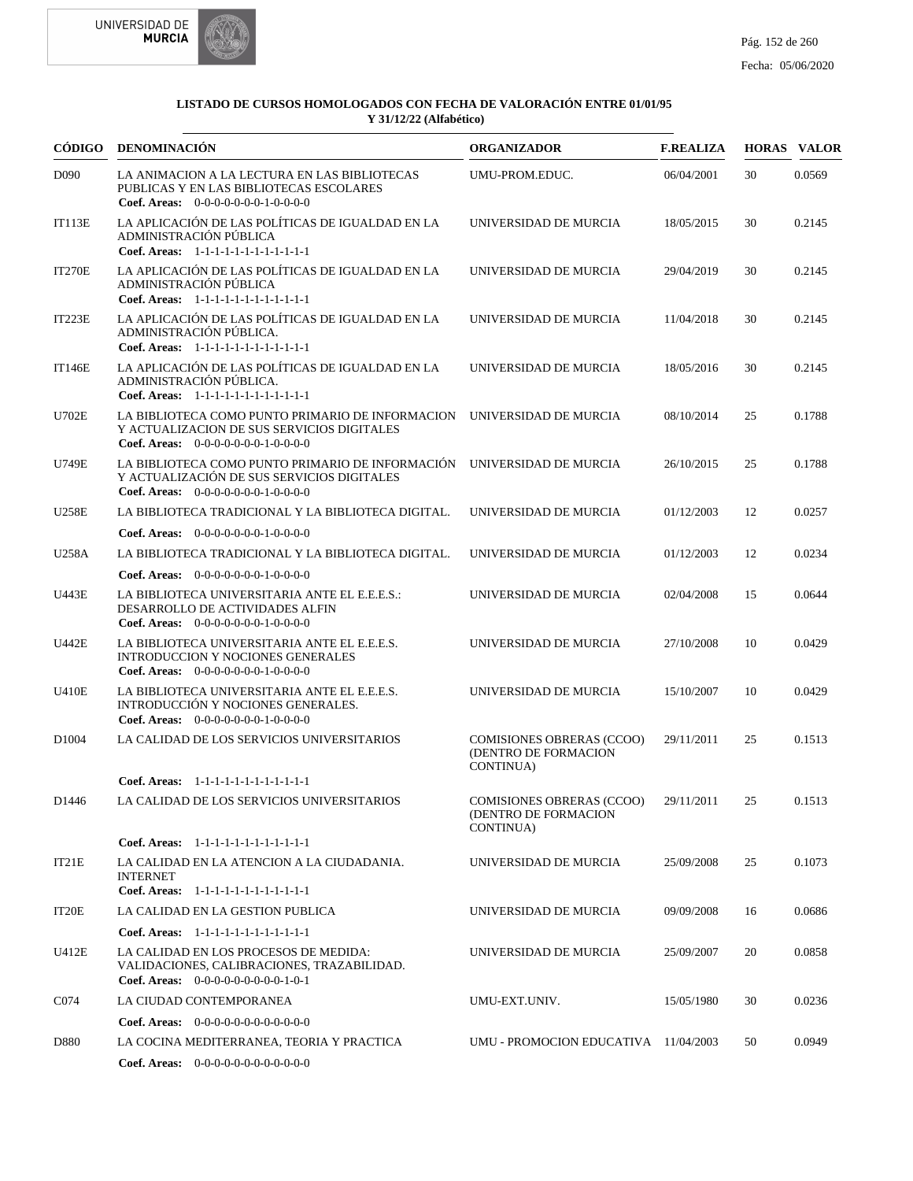



|                   | CÓDIGO DENOMINACIÓN                                                                                                                           | <b>ORGANIZADOR</b>                                                    | <b>F.REALIZA</b> |    | <b>HORAS VALOR</b> |
|-------------------|-----------------------------------------------------------------------------------------------------------------------------------------------|-----------------------------------------------------------------------|------------------|----|--------------------|
| D <sub>090</sub>  | LA ANIMACION A LA LECTURA EN LAS BIBLIOTECAS<br>PUBLICAS Y EN LAS BIBLIOTECAS ESCOLARES<br>Coef. Areas: $0-0-0-0-0-0-1-0-0-0-0$               | UMU-PROM.EDUC.                                                        | 06/04/2001       | 30 | 0.0569             |
| <b>IT113E</b>     | LA APLICACIÓN DE LAS POLÍTICAS DE IGUALDAD EN LA<br>ADMINISTRACIÓN PÚBLICA<br>Coef. Areas: 1-1-1-1-1-1-1-1-1-1-1-1-1                          | UNIVERSIDAD DE MURCIA                                                 | 18/05/2015       | 30 | 0.2145             |
| <b>IT270E</b>     | LA APLICACIÓN DE LAS POLÍTICAS DE IGUALDAD EN LA<br>ADMINISTRACIÓN PÚBLICA<br>Coef. Areas: 1-1-1-1-1-1-1-1-1-1-1-1-1                          | UNIVERSIDAD DE MURCIA                                                 | 29/04/2019       | 30 | 0.2145             |
| <b>IT223E</b>     | LA APLICACIÓN DE LAS POLÍTICAS DE IGUALDAD EN LA<br>ADMINISTRACIÓN PÚBLICA.<br>Coef. Areas: 1-1-1-1-1-1-1-1-1-1-1-1-1                         | UNIVERSIDAD DE MURCIA                                                 | 11/04/2018       | 30 | 0.2145             |
| <b>IT146E</b>     | LA APLICACIÓN DE LAS POLÍTICAS DE IGUALDAD EN LA<br>ADMINISTRACIÓN PÚBLICA.<br>Coef. Areas: 1-1-1-1-1-1-1-1-1-1-1-1-1                         | UNIVERSIDAD DE MURCIA                                                 | 18/05/2016       | 30 | 0.2145             |
| U702E             | LA BIBLIOTECA COMO PUNTO PRIMARIO DE INFORMACION<br>Y ACTUALIZACION DE SUS SERVICIOS DIGITALES<br>Coef. Areas: $0-0-0-0-0-0-1-0-0-0-0$        | UNIVERSIDAD DE MURCIA                                                 | 08/10/2014       | 25 | 0.1788             |
| U749E             | LA BIBLIOTECA COMO PUNTO PRIMARIO DE INFORMACIÓN<br>Y ACTUALIZACIÓN DE SUS SERVICIOS DIGITALES<br><b>Coef. Areas:</b> $0-0-0-0-0-0-1-0-0-0-0$ | UNIVERSIDAD DE MURCIA                                                 | 26/10/2015       | 25 | 0.1788             |
| <b>U258E</b>      | LA BIBLIOTECA TRADICIONAL Y LA BIBLIOTECA DIGITAL.                                                                                            | UNIVERSIDAD DE MURCIA                                                 | 01/12/2003       | 12 | 0.0257             |
|                   | <b>Coef. Areas:</b> $0-0-0-0-0-0-1-0-0-0-0$                                                                                                   |                                                                       |                  |    |                    |
| U258A             | LA BIBLIOTECA TRADICIONAL Y LA BIBLIOTECA DIGITAL.                                                                                            | UNIVERSIDAD DE MURCIA                                                 | 01/12/2003       | 12 | 0.0234             |
|                   | <b>Coef. Areas:</b> $0-0-0-0-0-0-1-0-0-0-0$                                                                                                   |                                                                       |                  |    |                    |
| U443E             | LA BIBLIOTECA UNIVERSITARIA ANTE EL E.E.E.S.:<br>DESARROLLO DE ACTIVIDADES ALFIN<br>Coef. Areas: $0-0-0-0-0-0-1-0-0-0-0$                      | UNIVERSIDAD DE MURCIA                                                 | 02/04/2008       | 15 | 0.0644             |
| U442E             | LA BIBLIOTECA UNIVERSITARIA ANTE EL E.E.E.S.<br><b>INTRODUCCION Y NOCIONES GENERALES</b><br>Coef. Areas: $0-0-0-0-0-0-1-0-0-0-0$              | UNIVERSIDAD DE MURCIA                                                 | 27/10/2008       | 10 | 0.0429             |
| <b>U410E</b>      | LA BIBLIOTECA UNIVERSITARIA ANTE EL E.E.E.S.<br>INTRODUCCIÓN Y NOCIONES GENERALES.<br>Coef. Areas: 0-0-0-0-0-0-0-1-0-0-0-0                    | UNIVERSIDAD DE MURCIA                                                 | 15/10/2007       | 10 | 0.0429             |
| D <sub>1004</sub> | LA CALIDAD DE LOS SERVICIOS UNIVERSITARIOS                                                                                                    | <b>COMISIONES OBRERAS (CCOO)</b><br>(DENTRO DE FORMACION<br>CONTINUA) | 29/11/2011       | 25 | 0.1513             |
|                   | Coef. Areas: 1-1-1-1-1-1-1-1-1-1-1-1-1                                                                                                        |                                                                       |                  |    |                    |
| D1446             | LA CALIDAD DE LOS SERVICIOS UNIVERSITARIOS                                                                                                    | COMISIONES OBRERAS (CCOO)<br>(DENTRO DE FORMACION<br>CONTINUA)        | 29/11/2011       | 25 | 0.1513             |
|                   | Coef. Areas: 1-1-1-1-1-1-1-1-1-1-1-1-1                                                                                                        |                                                                       |                  |    |                    |
| IT21E             | LA CALIDAD EN LA ATENCION A LA CIUDADANIA.<br><b>INTERNET</b><br>Coef. Areas: 1-1-1-1-1-1-1-1-1-1-1-1-1                                       | UNIVERSIDAD DE MURCIA                                                 | 25/09/2008       | 25 | 0.1073             |
| IT20E             | LA CALIDAD EN LA GESTION PUBLICA                                                                                                              | UNIVERSIDAD DE MURCIA                                                 | 09/09/2008       | 16 | 0.0686             |
|                   | Coef. Areas: 1-1-1-1-1-1-1-1-1-1-1-1-1                                                                                                        |                                                                       |                  |    |                    |
| U412E             | LA CALIDAD EN LOS PROCESOS DE MEDIDA:<br>VALIDACIONES, CALIBRACIONES, TRAZABILIDAD.<br>Coef. Areas: $0-0-0-0-0-0-0-0-1-0-1$                   | UNIVERSIDAD DE MURCIA                                                 | 25/09/2007       | 20 | 0.0858             |
| C074              | LA CIUDAD CONTEMPORANEA                                                                                                                       | UMU-EXT.UNIV.                                                         | 15/05/1980       | 30 | 0.0236             |
|                   | <b>Coef. Areas:</b> $0-0-0-0-0-0-0-0-0-0-0-0$                                                                                                 |                                                                       |                  |    |                    |
| D880              | LA COCINA MEDITERRANEA, TEORIA Y PRACTICA                                                                                                     | UMU - PROMOCION EDUCATIVA 11/04/2003                                  |                  | 50 | 0.0949             |
|                   | Coef. Areas: $0-0-0-0-0-0-0-0-0-0-0$                                                                                                          |                                                                       |                  |    |                    |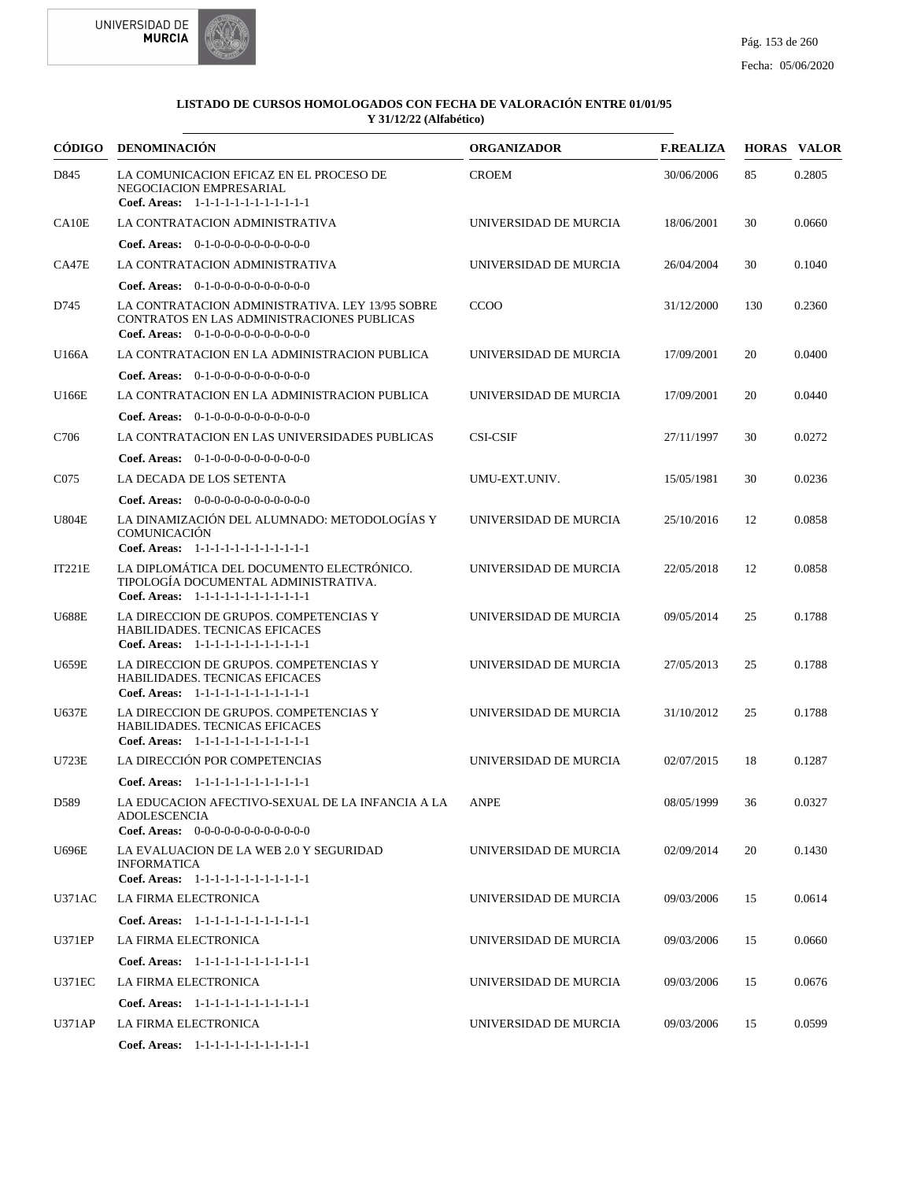



|                  | CÓDIGO DENOMINACIÓN                                                                                                                   | <b>ORGANIZADOR</b>    | <b>F.REALIZA</b> |     | <b>HORAS VALOR</b> |
|------------------|---------------------------------------------------------------------------------------------------------------------------------------|-----------------------|------------------|-----|--------------------|
| D845             | LA COMUNICACION EFICAZ EN EL PROCESO DE<br>NEGOCIACION EMPRESARIAL<br>Coef. Areas: 1-1-1-1-1-1-1-1-1-1-1-1-1                          | <b>CROEM</b>          | 30/06/2006       | 85  | 0.2805             |
| CA10E            | LA CONTRATACION ADMINISTRATIVA                                                                                                        | UNIVERSIDAD DE MURCIA | 18/06/2001       | 30  | 0.0660             |
|                  | <b>Coef. Areas:</b> $0-1-0-0-0-0-0-0-0-0-0-0$                                                                                         |                       |                  |     |                    |
| CA47E            | LA CONTRATACION ADMINISTRATIVA                                                                                                        | UNIVERSIDAD DE MURCIA | 26/04/2004       | 30  | 0.1040             |
|                  | Coef. Areas: $0-1-0-0-0-0-0-0-0-0-0$                                                                                                  |                       |                  |     |                    |
| D745             | LA CONTRATACION ADMINISTRATIVA. LEY 13/95 SOBRE<br>CONTRATOS EN LAS ADMINISTRACIONES PUBLICAS<br>Coef. Areas: $0-1-0-0-0-0-0-0-0-0-0$ | <b>CCOO</b>           | 31/12/2000       | 130 | 0.2360             |
| U166A            | LA CONTRATACION EN LA ADMINISTRACION PUBLICA                                                                                          | UNIVERSIDAD DE MURCIA | 17/09/2001       | 20  | 0.0400             |
|                  | <b>Coef. Areas:</b> $0-1-0-0-0-0-0-0-0-0-0-0$                                                                                         |                       |                  |     |                    |
| U166E            | LA CONTRATACION EN LA ADMINISTRACION PUBLICA                                                                                          | UNIVERSIDAD DE MURCIA | 17/09/2001       | 20  | 0.0440             |
|                  | <b>Coef. Areas:</b> $0-1-0-0-0-0-0-0-0-0-0$                                                                                           |                       |                  |     |                    |
| C706             | LA CONTRATACION EN LAS UNIVERSIDADES PUBLICAS                                                                                         | <b>CSI-CSIF</b>       | 27/11/1997       | 30  | 0.0272             |
|                  | <b>Coef. Areas:</b> $0-1-0-0-0-0-0-0-0-0-0-0$                                                                                         |                       |                  |     |                    |
| C <sub>075</sub> | LA DECADA DE LOS SETENTA                                                                                                              | UMU-EXT.UNIV.         | 15/05/1981       | 30  | 0.0236             |
|                  | <b>Coef. Areas:</b> $0-0-0-0-0-0-0-0-0-0-0-0$                                                                                         |                       |                  |     |                    |
| <b>U804E</b>     | LA DINAMIZACIÓN DEL ALUMNADO: METODOLOGÍAS Y<br>COMUNICACIÓN<br>Coef. Areas: 1-1-1-1-1-1-1-1-1-1-1-1-1                                | UNIVERSIDAD DE MURCIA | 25/10/2016       | 12  | 0.0858             |
| IT221E           | LA DIPLOMÁTICA DEL DOCUMENTO ELECTRÓNICO.<br>TIPOLOGÍA DOCUMENTAL ADMINISTRATIVA.<br>Coef. Areas: 1-1-1-1-1-1-1-1-1-1-1-1-1           | UNIVERSIDAD DE MURCIA | 22/05/2018       | 12  | 0.0858             |
| <b>U688E</b>     | LA DIRECCION DE GRUPOS. COMPETENCIAS Y<br>HABILIDADES. TECNICAS EFICACES<br>Coef. Areas: 1-1-1-1-1-1-1-1-1-1-1-1-1                    | UNIVERSIDAD DE MURCIA | 09/05/2014       | 25  | 0.1788             |
| <b>U659E</b>     | LA DIRECCION DE GRUPOS. COMPETENCIAS Y<br>HABILIDADES. TECNICAS EFICACES<br>Coef. Areas: 1-1-1-1-1-1-1-1-1-1-1-1-1                    | UNIVERSIDAD DE MURCIA | 27/05/2013       | 25  | 0.1788             |
| <b>U637E</b>     | LA DIRECCION DE GRUPOS. COMPETENCIAS Y<br><b>HABILIDADES. TECNICAS EFICACES</b><br>Coef. Areas: 1-1-1-1-1-1-1-1-1-1-1-1-1             | UNIVERSIDAD DE MURCIA | 31/10/2012       | 25  | 0.1788             |
| <b>U723E</b>     | LA DIRECCIÓN POR COMPETENCIAS                                                                                                         | UNIVERSIDAD DE MURCIA | 02/07/2015       | 18  | 0.1287             |
|                  | Coef. Areas: 1-1-1-1-1-1-1-1-1-1-1-1-1                                                                                                |                       |                  |     |                    |
| D589             | LA EDUCACION AFECTIVO-SEXUAL DE LA INFANCIA A LA ANPE<br><b>ADOLESCENCIA</b><br><b>Coef. Areas:</b> $0-0-0-0-0-0-0-0-0-0-0-0$         |                       | 08/05/1999       | 36  | 0.0327             |
| <b>U696E</b>     | LA EVALUACION DE LA WEB 2.0 Y SEGURIDAD<br><b>INFORMATICA</b><br>Coef. Areas: 1-1-1-1-1-1-1-1-1-1-1-1-1                               | UNIVERSIDAD DE MURCIA | 02/09/2014       | 20  | 0.1430             |
| <b>U371AC</b>    | LA FIRMA ELECTRONICA                                                                                                                  | UNIVERSIDAD DE MURCIA | 09/03/2006       | 15  | 0.0614             |
|                  |                                                                                                                                       |                       |                  |     |                    |
|                  | Coef. Areas: 1-1-1-1-1-1-1-1-1-1-1-1-1                                                                                                |                       |                  |     |                    |
| U371EP           | LA FIRMA ELECTRONICA                                                                                                                  | UNIVERSIDAD DE MURCIA | 09/03/2006       | 15  | 0.0660             |
|                  | Coef. Areas: 1-1-1-1-1-1-1-1-1-1-1-1-1                                                                                                |                       |                  |     |                    |
| <b>U371EC</b>    | LA FIRMA ELECTRONICA                                                                                                                  | UNIVERSIDAD DE MURCIA | 09/03/2006       | 15  | 0.0676             |
|                  | Coef. Areas: 1-1-1-1-1-1-1-1-1-1-1-1-1                                                                                                |                       |                  |     |                    |
| <b>U371AP</b>    | LA FIRMA ELECTRONICA                                                                                                                  | UNIVERSIDAD DE MURCIA | 09/03/2006       | 15  | 0.0599             |
|                  | Coef. Areas: 1-1-1-1-1-1-1-1-1-1-1-1-1                                                                                                |                       |                  |     |                    |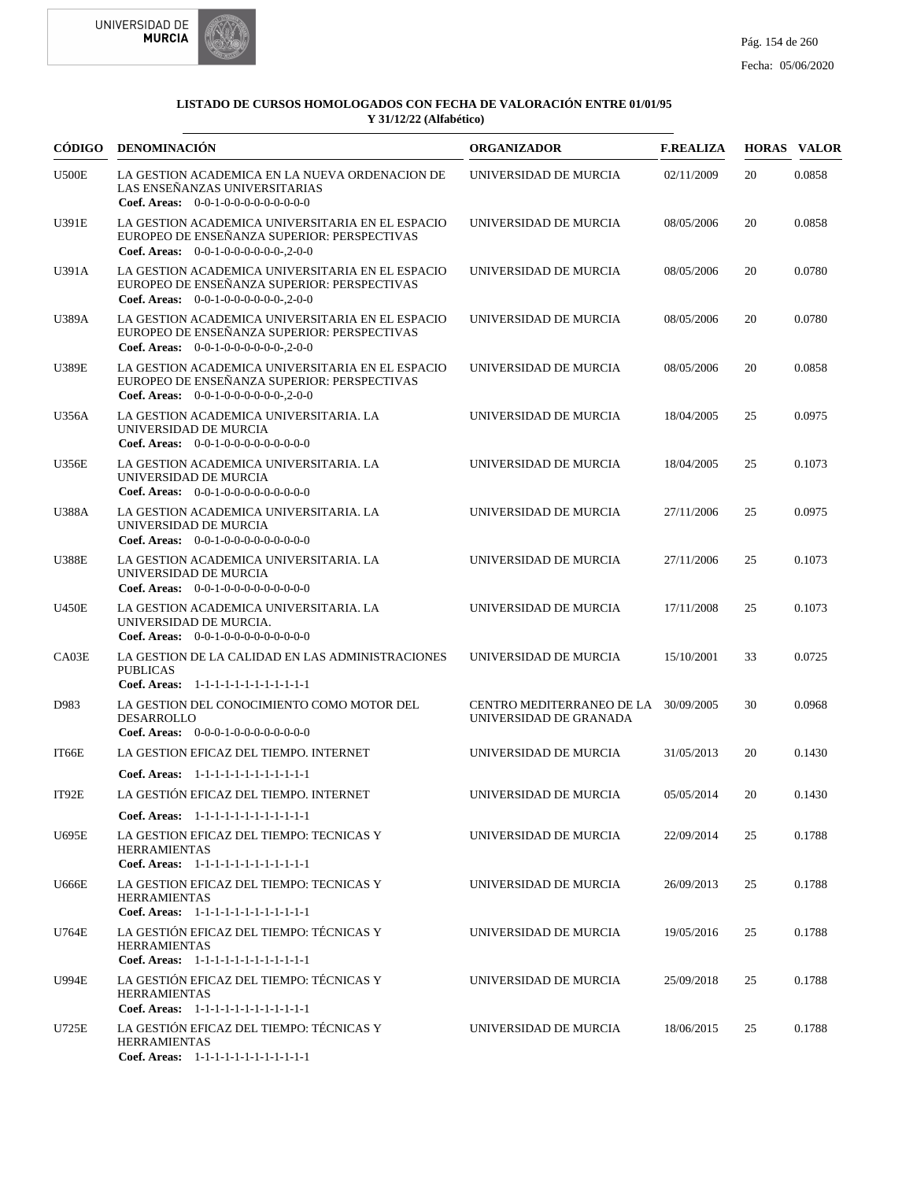



| <b>CÓDIGO</b> | <b>DENOMINACIÓN</b>                                                                                                                            | <b>ORGANIZADOR</b>                                  | <b>F.REALIZA</b> |    | <b>HORAS VALOR</b> |
|---------------|------------------------------------------------------------------------------------------------------------------------------------------------|-----------------------------------------------------|------------------|----|--------------------|
| <b>U500E</b>  | LA GESTION ACADEMICA EN LA NUEVA ORDENACION DE<br>LAS ENSEÑANZAS UNIVERSITARIAS<br>Coef. Areas: $0-0-1-0-0-0-0-0-0-0-0$                        | UNIVERSIDAD DE MURCIA                               | 02/11/2009       | 20 | 0.0858             |
| U391E         | LA GESTION ACADEMICA UNIVERSITARIA EN EL ESPACIO<br>EUROPEO DE ENSENANZA SUPERIOR: PERSPECTIVAS<br><b>Coef. Areas:</b> $0-0-1-0-0-0-0-0-2-0-0$ | UNIVERSIDAD DE MURCIA                               | 08/05/2006       | 20 | 0.0858             |
| U391A         | LA GESTION ACADEMICA UNIVERSITARIA EN EL ESPACIO<br>EUROPEO DE ENSEÑANZA SUPERIOR: PERSPECTIVAS<br>Coef. Areas: $0-0-1-0-0-0-0-0-0-2-0-0$      | UNIVERSIDAD DE MURCIA                               | 08/05/2006       | 20 | 0.0780             |
| U389A         | LA GESTION ACADEMICA UNIVERSITARIA EN EL ESPACIO<br>EUROPEO DE ENSEÑANZA SUPERIOR: PERSPECTIVAS<br>Coef. Areas: $0-0-1-0-0-0-0-0-2-0-0$        | UNIVERSIDAD DE MURCIA                               | 08/05/2006       | 20 | 0.0780             |
| <b>U389E</b>  | LA GESTION ACADEMICA UNIVERSITARIA EN EL ESPACIO<br>EUROPEO DE ENSEÑANZA SUPERIOR: PERSPECTIVAS<br>Coef. Areas: $0-0-1-0-0-0-0-0-0-2-0-0$      | UNIVERSIDAD DE MURCIA                               | 08/05/2006       | 20 | 0.0858             |
| U356A         | LA GESTION ACADEMICA UNIVERSITARIA. LA<br>UNIVERSIDAD DE MURCIA<br>Coef. Areas: $0-0-1-0-0-0-0-0-0-0-0$                                        | UNIVERSIDAD DE MURCIA                               | 18/04/2005       | 25 | 0.0975             |
| <b>U356E</b>  | LA GESTION ACADEMICA UNIVERSITARIA. LA<br>UNIVERSIDAD DE MURCIA<br>Coef. Areas: $0-0-1-0-0-0-0-0-0-0-0$                                        | UNIVERSIDAD DE MURCIA                               | 18/04/2005       | 25 | 0.1073             |
| <b>U388A</b>  | LA GESTION ACADEMICA UNIVERSITARIA. LA<br>UNIVERSIDAD DE MURCIA<br>Coef. Areas: $0-0-1-0-0-0-0-0-0-0-0$                                        | UNIVERSIDAD DE MURCIA                               | 27/11/2006       | 25 | 0.0975             |
| <b>U388E</b>  | LA GESTION ACADEMICA UNIVERSITARIA. LA<br>UNIVERSIDAD DE MURCIA<br>Coef. Areas: $0-0-1-0-0-0-0-0-0-0-0$                                        | UNIVERSIDAD DE MURCIA                               | 27/11/2006       | 25 | 0.1073             |
| <b>U450E</b>  | LA GESTION ACADEMICA UNIVERSITARIA. LA<br>UNIVERSIDAD DE MURCIA.<br><b>Coef. Areas:</b> $0-0-1-0-0-0-0-0-0-0-0-0$                              | UNIVERSIDAD DE MURCIA                               | 17/11/2008       | 25 | 0.1073             |
| CA03E         | LA GESTION DE LA CALIDAD EN LAS ADMINISTRACIONES<br><b>PUBLICAS</b><br>Coef. Areas: 1-1-1-1-1-1-1-1-1-1-1-1-1                                  | UNIVERSIDAD DE MURCIA                               | 15/10/2001       | 33 | 0.0725             |
| D983          | LA GESTION DEL CONOCIMIENTO COMO MOTOR DEL<br><b>DESARROLLO</b><br><b>Coef. Areas:</b> $0-0-0-1-0-0-0-0-0-0-0-0$                               | CENTRO MEDITERRANEO DE LA<br>UNIVERSIDAD DE GRANADA | 30/09/2005       | 30 | 0.0968             |
| IT66E         | LA GESTION EFICAZ DEL TIEMPO. INTERNET                                                                                                         | UNIVERSIDAD DE MURCIA                               | 31/05/2013       | 20 | 0.1430             |
|               | Coef. Areas: 1-1-1-1-1-1-1-1-1-1-1-1-1                                                                                                         |                                                     |                  |    |                    |
| IT92E         | LA GESTIÓN EFICAZ DEL TIEMPO. INTERNET                                                                                                         | UNIVERSIDAD DE MURCIA                               | 05/05/2014       | 20 | 0.1430             |
|               | Coef. Areas: 1-1-1-1-1-1-1-1-1-1-1-1-1                                                                                                         |                                                     |                  |    |                    |
| U695E         | LA GESTION EFICAZ DEL TIEMPO: TECNICAS Y<br><b>HERRAMIENTAS</b><br>Coef. Areas: $1-1-1-1-1-1-1-1-1-1-1$                                        | UNIVERSIDAD DE MURCIA                               | 22/09/2014       | 25 | 0.1788             |
| <b>U666E</b>  | LA GESTION EFICAZ DEL TIEMPO: TECNICAS Y<br><b>HERRAMIENTAS</b><br>Coef. Areas: 1-1-1-1-1-1-1-1-1-1-1-1-1                                      | UNIVERSIDAD DE MURCIA                               | 26/09/2013       | 25 | 0.1788             |
| U764E         | LA GESTIÓN EFICAZ DEL TIEMPO: TÉCNICAS Y<br><b>HERRAMIENTAS</b><br>Coef. Areas: 1-1-1-1-1-1-1-1-1-1-1-1-1                                      | UNIVERSIDAD DE MURCIA                               | 19/05/2016       | 25 | 0.1788             |
| U994E         | LA GESTIÓN EFICAZ DEL TIEMPO: TÉCNICAS Y<br><b>HERRAMIENTAS</b><br>Coef. Areas: 1-1-1-1-1-1-1-1-1-1-1-1-1                                      | UNIVERSIDAD DE MURCIA                               | 25/09/2018       | 25 | 0.1788             |
| U725E         | LA GESTIÓN EFICAZ DEL TIEMPO: TÉCNICAS Y<br><b>HERRAMIENTAS</b><br>Coef. Areas: 1-1-1-1-1-1-1-1-1-1-1-1-1                                      | UNIVERSIDAD DE MURCIA                               | 18/06/2015       | 25 | 0.1788             |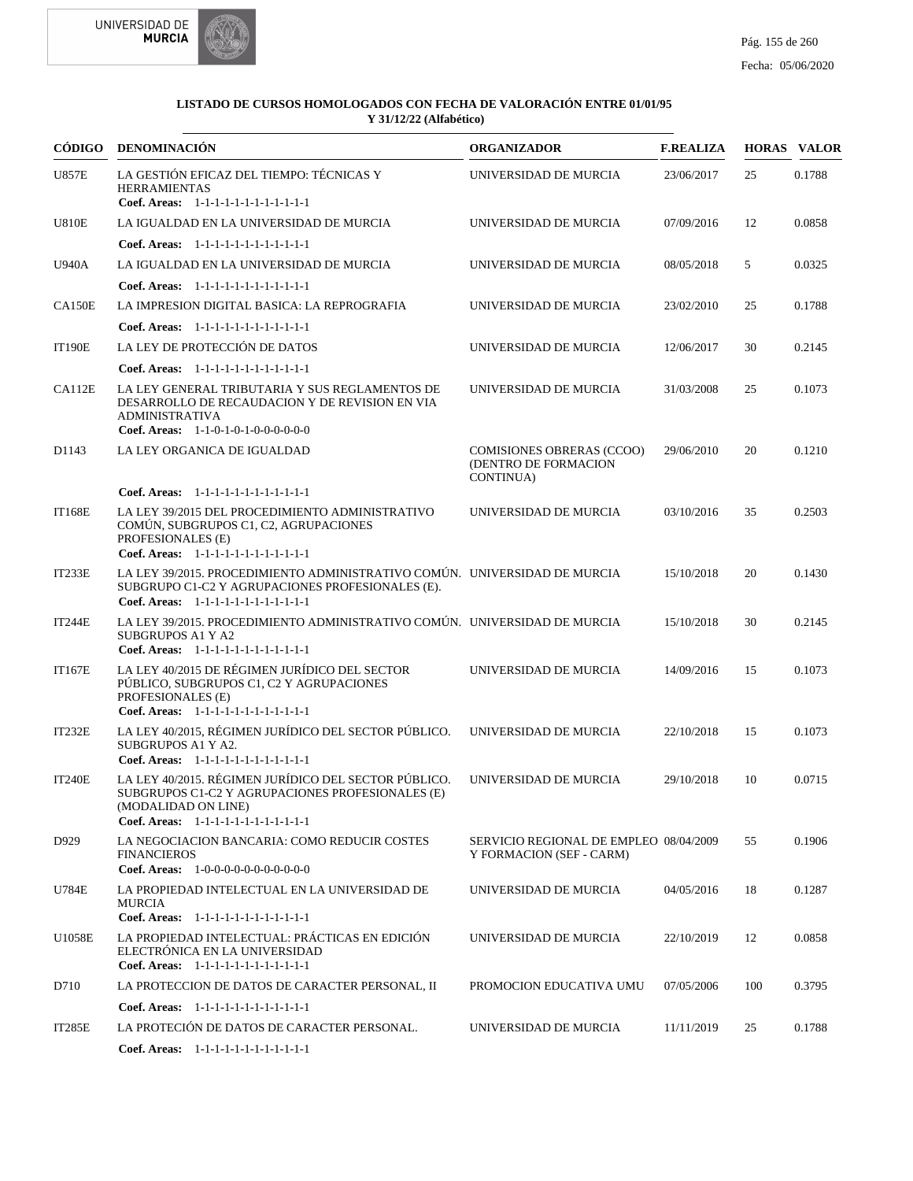



| CÓDIGO        | <b>DENOMINACIÓN</b>                                                                                                                                                     | <b>ORGANIZADOR</b>                                                    | <b>F.REALIZA</b> |     | <b>HORAS VALOR</b> |
|---------------|-------------------------------------------------------------------------------------------------------------------------------------------------------------------------|-----------------------------------------------------------------------|------------------|-----|--------------------|
| <b>U857E</b>  | LA GESTIÓN EFICAZ DEL TIEMPO: TÉCNICAS Y<br><b>HERRAMIENTAS</b><br>Coef. Areas: 1-1-1-1-1-1-1-1-1-1-1-1-1                                                               | UNIVERSIDAD DE MURCIA                                                 | 23/06/2017       | 25  | 0.1788             |
| <b>U810E</b>  | LA IGUALDAD EN LA UNIVERSIDAD DE MURCIA                                                                                                                                 | UNIVERSIDAD DE MURCIA                                                 | 07/09/2016       | 12  | 0.0858             |
|               | Coef. Areas: 1-1-1-1-1-1-1-1-1-1-1-1-1                                                                                                                                  |                                                                       |                  |     |                    |
| <b>U940A</b>  | LA IGUALDAD EN LA UNIVERSIDAD DE MURCIA                                                                                                                                 | UNIVERSIDAD DE MURCIA                                                 | 08/05/2018       | 5   | 0.0325             |
|               | Coef. Areas: $1-1-1-1-1-1-1-1-1-1-1$                                                                                                                                    |                                                                       |                  |     |                    |
| CA150E        | LA IMPRESION DIGITAL BASICA: LA REPROGRAFIA                                                                                                                             | UNIVERSIDAD DE MURCIA                                                 | 23/02/2010       | 25  | 0.1788             |
|               | Coef. Areas: 1-1-1-1-1-1-1-1-1-1-1-1-1                                                                                                                                  |                                                                       |                  |     |                    |
| <b>IT190E</b> | LA LEY DE PROTECCIÓN DE DATOS                                                                                                                                           | UNIVERSIDAD DE MURCIA                                                 | 12/06/2017       | 30  | 0.2145             |
|               | Coef. Areas: $1-1-1-1-1-1-1-1-1-1-1$                                                                                                                                    |                                                                       |                  |     |                    |
| CA112E        | LA LEY GENERAL TRIBUTARIA Y SUS REGLAMENTOS DE<br>DESARROLLO DE RECAUDACION Y DE REVISION EN VIA<br><b>ADMINISTRATIVA</b><br>Coef. Areas: $1-1-0-1-0-1-0-0-0-0-0$       | UNIVERSIDAD DE MURCIA                                                 | 31/03/2008       | 25  | 0.1073             |
| D1143         | LA LEY ORGANICA DE IGUALDAD                                                                                                                                             | <b>COMISIONES OBRERAS (CCOO)</b><br>(DENTRO DE FORMACION<br>CONTINUA) | 29/06/2010       | 20  | 0.1210             |
|               | Coef. Areas: 1-1-1-1-1-1-1-1-1-1-1-1-1                                                                                                                                  |                                                                       |                  |     |                    |
| <b>IT168E</b> | LA LEY 39/2015 DEL PROCEDIMIENTO ADMINISTRATIVO<br>COMÚN, SUBGRUPOS C1, C2, AGRUPACIONES<br>PROFESIONALES (E)<br>Coef. Areas: 1-1-1-1-1-1-1-1-1-1-1-1-1                 | UNIVERSIDAD DE MURCIA                                                 | 03/10/2016       | 35  | 0.2503             |
| IT233E        | LA LEY 39/2015. PROCEDIMIENTO ADMINISTRATIVO COMÚN. UNIVERSIDAD DE MURCIA<br>SUBGRUPO C1-C2 Y AGRUPACIONES PROFESIONALES (E).<br>Coef. Areas: 1-1-1-1-1-1-1-1-1-1-1-1-1 |                                                                       | 15/10/2018       | 20  | 0.1430             |
| <b>IT244E</b> | LA LEY 39/2015. PROCEDIMIENTO ADMINISTRATIVO COMÚN. UNIVERSIDAD DE MURCIA<br><b>SUBGRUPOS A1 Y A2</b><br>Coef. Areas: 1-1-1-1-1-1-1-1-1-1-1-1-1                         |                                                                       | 15/10/2018       | 30  | 0.2145             |
| <b>IT167E</b> | LA LEY 40/2015 DE RÉGIMEN JURÍDICO DEL SECTOR<br>PÚBLICO, SUBGRUPOS C1, C2 Y AGRUPACIONES<br>PROFESIONALES (E)<br>Coef. Areas: 1-1-1-1-1-1-1-1-1-1-1-1-1                | UNIVERSIDAD DE MURCIA                                                 | 14/09/2016       | 15  | 0.1073             |
| <b>IT232E</b> | LA LEY 40/2015, RÉGIMEN JURÍDICO DEL SECTOR PÚBLICO.<br>SUBGRUPOS A1 Y A2.<br>Coef. Areas: 1-1-1-1-1-1-1-1-1-1-1-1-1                                                    | UNIVERSIDAD DE MURCIA                                                 | 22/10/2018       | 15  | 0.1073             |
| <b>IT240E</b> | LA LEY 40/2015. RÉGIMEN JURÍDICO DEL SECTOR PÚBLICO.<br>SUBGRUPOS C1-C2 Y AGRUPACIONES PROFESIONALES (E)<br>(MODALIDAD ON LINE)<br>Coef. Areas: $1-1-1-1-1-1-1-1-1-1-1$ | UNIVERSIDAD DE MURCIA                                                 | 29/10/2018       | 10  | 0.0715             |
| D929          | LA NEGOCIACION BANCARIA: COMO REDUCIR COSTES<br><b>FINANCIEROS</b><br>Coef. Areas: 1-0-0-0-0-0-0-0-0-0-0-0-0                                                            | SERVICIO REGIONAL DE EMPLEO 08/04/2009<br>Y FORMACION (SEF - CARM)    |                  | 55  | 0.1906             |
| U784E         | LA PROPIEDAD INTELECTUAL EN LA UNIVERSIDAD DE<br><b>MURCIA</b><br>Coef. Areas: 1-1-1-1-1-1-1-1-1-1-1-1-1                                                                | UNIVERSIDAD DE MURCIA                                                 | 04/05/2016       | 18  | 0.1287             |
| U1058E        | LA PROPIEDAD INTELECTUAL: PRÁCTICAS EN EDICIÓN<br>ELECTRÓNICA EN LA UNIVERSIDAD<br>Coef. Areas: 1-1-1-1-1-1-1-1-1-1-1-1-1                                               | UNIVERSIDAD DE MURCIA                                                 | 22/10/2019       | 12  | 0.0858             |
| D710          | LA PROTECCION DE DATOS DE CARACTER PERSONAL, II                                                                                                                         | PROMOCION EDUCATIVA UMU                                               | 07/05/2006       | 100 | 0.3795             |
|               | Coef. Areas: 1-1-1-1-1-1-1-1-1-1-1-1-1                                                                                                                                  |                                                                       |                  |     |                    |
| IT285E        | LA PROTECIÓN DE DATOS DE CARACTER PERSONAL.                                                                                                                             | UNIVERSIDAD DE MURCIA                                                 | 11/11/2019       | 25  | 0.1788             |
|               | Coef. Areas: $1-1-1-1-1-1-1-1-1-1-1$                                                                                                                                    |                                                                       |                  |     |                    |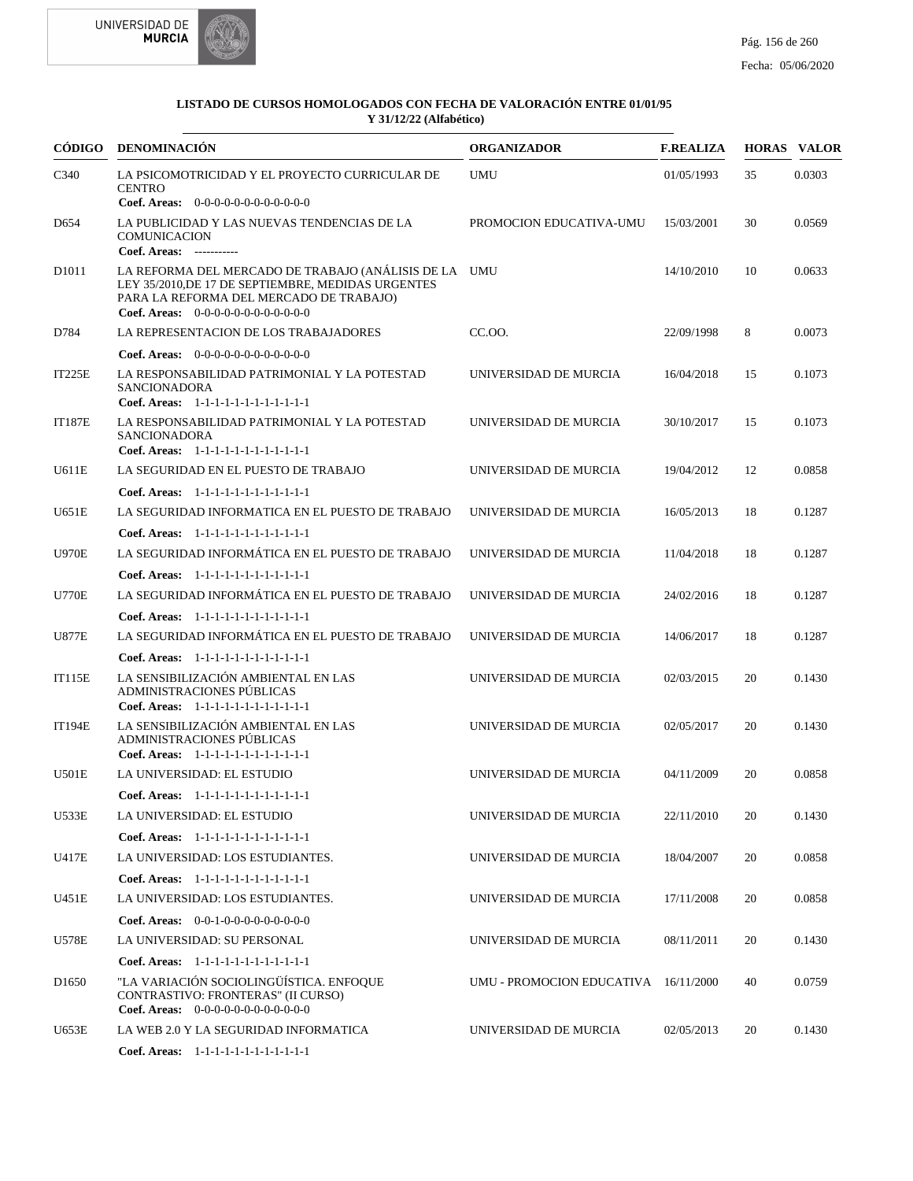



| CÓDIGO            | <b>DENOMINACIÓN</b>                                                                                                                                                                                                          | <b>ORGANIZADOR</b>                   | <b>F.REALIZA</b> |    | <b>HORAS VALOR</b> |
|-------------------|------------------------------------------------------------------------------------------------------------------------------------------------------------------------------------------------------------------------------|--------------------------------------|------------------|----|--------------------|
| C340              | LA PSICOMOTRICIDAD Y EL PROYECTO CURRICULAR DE<br><b>CENTRO</b>                                                                                                                                                              | <b>UMU</b>                           | 01/05/1993       | 35 | 0.0303             |
| D <sub>654</sub>  | Coef. Areas: 0-0-0-0-0-0-0-0-0-0-0-0-0<br>LA PUBLICIDAD Y LAS NUEVAS TENDENCIAS DE LA<br><b>COMUNICACION</b>                                                                                                                 | PROMOCION EDUCATIVA-UMU              | 15/03/2001       | 30 | 0.0569             |
| D <sub>1011</sub> | Coef. Areas: -----------<br>LA REFORMA DEL MERCADO DE TRABAJO (ANÁLISIS DE LA UMU<br>LEY 35/2010, DE 17 DE SEPTIEMBRE, MEDIDAS URGENTES<br>PARA LA REFORMA DEL MERCADO DE TRABAJO)<br>Coef. Areas: $0-0-0-0-0-0-0-0-0-0-0-0$ |                                      | 14/10/2010       | 10 | 0.0633             |
| D784              | LA REPRESENTACION DE LOS TRABAJADORES                                                                                                                                                                                        | CC.00.                               | 22/09/1998       | 8  | 0.0073             |
|                   | Coef. Areas: $0-0-0-0-0-0-0-0-0-0-0$                                                                                                                                                                                         |                                      |                  |    |                    |
| IT225E            | LA RESPONSABILIDAD PATRIMONIAL Y LA POTESTAD<br><b>SANCIONADORA</b><br>Coef. Areas: 1-1-1-1-1-1-1-1-1-1-1-1-1                                                                                                                | UNIVERSIDAD DE MURCIA                | 16/04/2018       | 15 | 0.1073             |
| <b>IT187E</b>     | LA RESPONSABILIDAD PATRIMONIAL Y LA POTESTAD<br><b>SANCIONADORA</b><br>Coef. Areas: 1-1-1-1-1-1-1-1-1-1-1-1-1                                                                                                                | UNIVERSIDAD DE MURCIA                | 30/10/2017       | 15 | 0.1073             |
| U611E             | LA SEGURIDAD EN EL PUESTO DE TRABAJO                                                                                                                                                                                         | UNIVERSIDAD DE MURCIA                | 19/04/2012       | 12 | 0.0858             |
|                   | Coef. Areas: 1-1-1-1-1-1-1-1-1-1-1-1-1                                                                                                                                                                                       |                                      |                  |    |                    |
| U651E             | LA SEGURIDAD INFORMATICA EN EL PUESTO DE TRABAJO                                                                                                                                                                             | UNIVERSIDAD DE MURCIA                | 16/05/2013       | 18 | 0.1287             |
|                   | Coef. Areas: 1-1-1-1-1-1-1-1-1-1-1-1-1                                                                                                                                                                                       |                                      |                  |    |                    |
| <b>U970E</b>      | LA SEGURIDAD INFORMÁTICA EN EL PUESTO DE TRABAJO                                                                                                                                                                             | UNIVERSIDAD DE MURCIA                | 11/04/2018       | 18 | 0.1287             |
|                   | Coef. Areas: 1-1-1-1-1-1-1-1-1-1-1-1-1                                                                                                                                                                                       |                                      |                  |    |                    |
| <b>U770E</b>      | LA SEGURIDAD INFORMÁTICA EN EL PUESTO DE TRABAJO                                                                                                                                                                             | UNIVERSIDAD DE MURCIA                | 24/02/2016       | 18 | 0.1287             |
|                   | Coef. Areas: 1-1-1-1-1-1-1-1-1-1-1-1-1                                                                                                                                                                                       |                                      |                  |    |                    |
| <b>U877E</b>      | LA SEGURIDAD INFORMÁTICA EN EL PUESTO DE TRABAJO                                                                                                                                                                             | UNIVERSIDAD DE MURCIA                | 14/06/2017       | 18 | 0.1287             |
|                   | Coef. Areas: 1-1-1-1-1-1-1-1-1-1-1-1-1                                                                                                                                                                                       |                                      |                  |    |                    |
| <b>IT115E</b>     | LA SENSIBILIZACIÓN AMBIENTAL EN LAS<br>ADMINISTRACIONES PÚBLICAS<br>Coef. Areas: 1-1-1-1-1-1-1-1-1-1-1-1-1                                                                                                                   | UNIVERSIDAD DE MURCIA                | 02/03/2015       | 20 | 0.1430             |
| <b>IT194E</b>     | LA SENSIBILIZACIÓN AMBIENTAL EN LAS<br>ADMINISTRACIONES PÚBLICAS<br>Coef. Areas: 1-1-1-1-1-1-1-1-1-1-1-1-1                                                                                                                   | UNIVERSIDAD DE MURCIA                | 02/05/2017       | 20 | 0.1430             |
| <b>U501E</b>      | LA UNIVERSIDAD: EL ESTUDIO                                                                                                                                                                                                   | UNIVERSIDAD DE MURCIA                | 04/11/2009       | 20 | 0.0858             |
|                   | Coef. Areas: 1-1-1-1-1-1-1-1-1-1-1-1-1                                                                                                                                                                                       |                                      |                  |    |                    |
| U533E             | LA UNIVERSIDAD: EL ESTUDIO                                                                                                                                                                                                   | UNIVERSIDAD DE MURCIA                | 22/11/2010       | 20 | 0.1430             |
|                   | Coef. Areas: 1-1-1-1-1-1-1-1-1-1-1-1-1                                                                                                                                                                                       |                                      |                  |    |                    |
| U417E             | LA UNIVERSIDAD: LOS ESTUDIANTES.                                                                                                                                                                                             | UNIVERSIDAD DE MURCIA                | 18/04/2007       | 20 | 0.0858             |
|                   | Coef. Areas: 1-1-1-1-1-1-1-1-1-1-1-1-1                                                                                                                                                                                       |                                      |                  |    |                    |
| U451E             | LA UNIVERSIDAD: LOS ESTUDIANTES.                                                                                                                                                                                             | UNIVERSIDAD DE MURCIA                | 17/11/2008       | 20 | 0.0858             |
|                   | <b>Coef. Areas:</b> $0-0-1-0-0-0-0-0-0-0-0$                                                                                                                                                                                  |                                      |                  |    |                    |
| <b>U578E</b>      | LA UNIVERSIDAD: SU PERSONAL                                                                                                                                                                                                  | UNIVERSIDAD DE MURCIA                | 08/11/2011       | 20 | 0.1430             |
|                   | Coef. Areas: 1-1-1-1-1-1-1-1-1-1-1-1-1                                                                                                                                                                                       |                                      |                  |    |                    |
| D <sub>1650</sub> | "LA VARIACIÓN SOCIOLINGÜÍSTICA. ENFOQUE<br>CONTRASTIVO: FRONTERAS" (II CURSO)<br>Coef. Areas: $0-0-0-0-0-0-0-0-0-0-0$                                                                                                        | UMU - PROMOCION EDUCATIVA 16/11/2000 |                  | 40 | 0.0759             |
| U653E             | LA WEB 2.0 Y LA SEGURIDAD INFORMATICA                                                                                                                                                                                        | UNIVERSIDAD DE MURCIA                | 02/05/2013       | 20 | 0.1430             |
|                   | Coef. Areas: 1-1-1-1-1-1-1-1-1-1-1-1-1                                                                                                                                                                                       |                                      |                  |    |                    |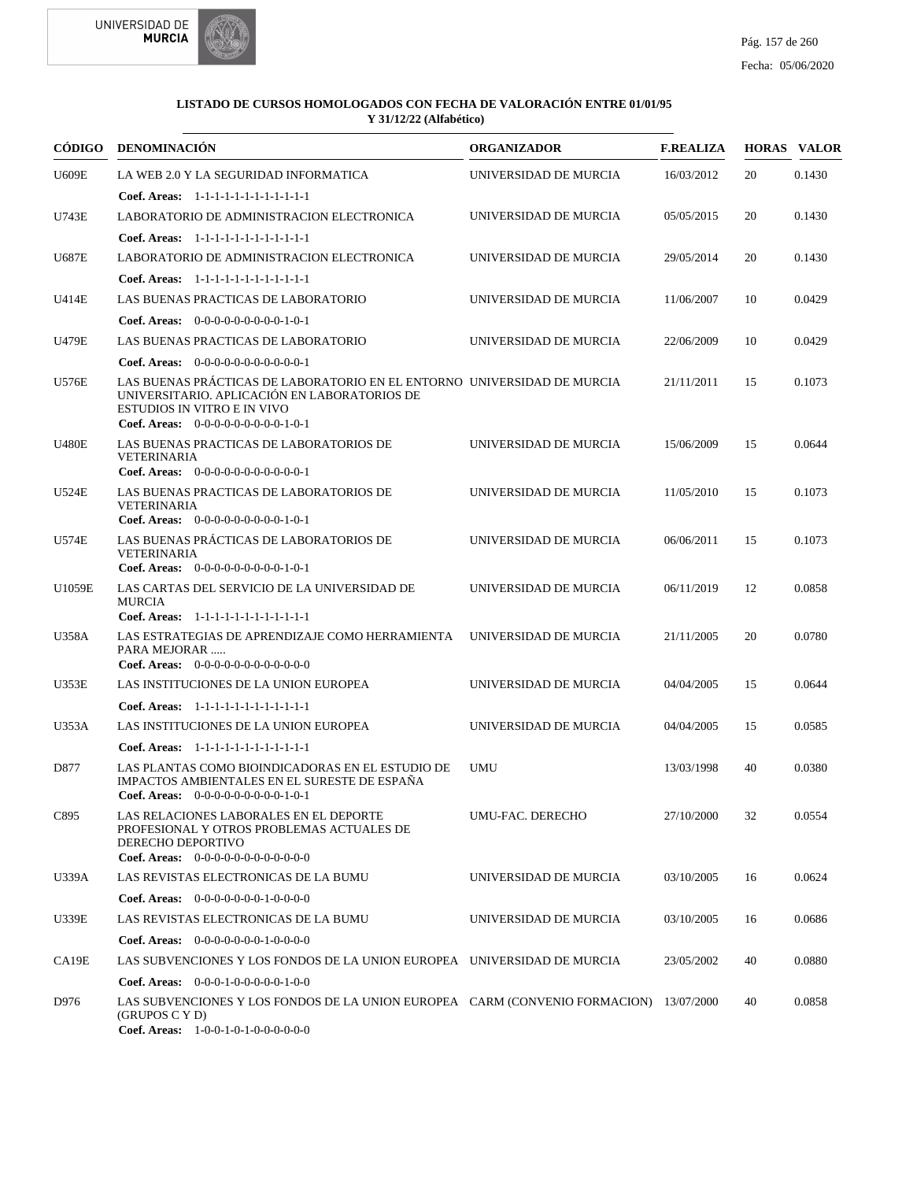



|              | CÓDIGO DENOMINACIÓN                                                                                                                                                                                   | <b>ORGANIZADOR</b>    | <b>F.REALIZA</b> |    | <b>HORAS VALOR</b> |
|--------------|-------------------------------------------------------------------------------------------------------------------------------------------------------------------------------------------------------|-----------------------|------------------|----|--------------------|
| <b>U609E</b> | LA WEB 2.0 Y LA SEGURIDAD INFORMATICA                                                                                                                                                                 | UNIVERSIDAD DE MURCIA | 16/03/2012       | 20 | 0.1430             |
|              | Coef. Areas: $1-1-1-1-1-1-1-1-1-1-1$                                                                                                                                                                  |                       |                  |    |                    |
| U743E        | LABORATORIO DE ADMINISTRACION ELECTRONICA                                                                                                                                                             | UNIVERSIDAD DE MURCIA | 05/05/2015       | 20 | 0.1430             |
|              | Coef. Areas: $1-1-1-1-1-1-1-1-1-1-1$                                                                                                                                                                  |                       |                  |    |                    |
| <b>U687E</b> | LABORATORIO DE ADMINISTRACION ELECTRONICA                                                                                                                                                             | UNIVERSIDAD DE MURCIA | 29/05/2014       | 20 | 0.1430             |
|              | Coef. Areas: 1-1-1-1-1-1-1-1-1-1-1-1-1                                                                                                                                                                |                       |                  |    |                    |
| U414E        | LAS BUENAS PRACTICAS DE LABORATORIO                                                                                                                                                                   | UNIVERSIDAD DE MURCIA | 11/06/2007       | 10 | 0.0429             |
|              | Coef. Areas: $0-0-0-0-0-0-0-0-1-0-1$                                                                                                                                                                  |                       |                  |    |                    |
| U479E        | LAS BUENAS PRACTICAS DE LABORATORIO                                                                                                                                                                   | UNIVERSIDAD DE MURCIA | 22/06/2009       | 10 | 0.0429             |
|              | Coef. Areas: $0-0-0-0-0-0-0-0-0-0-1$                                                                                                                                                                  |                       |                  |    |                    |
| <b>U576E</b> | LAS BUENAS PRÁCTICAS DE LABORATORIO EN EL ENTORNO UNIVERSIDAD DE MURCIA<br>UNIVERSITARIO. APLICACIÓN EN LABORATORIOS DE<br><b>ESTUDIOS IN VITRO E IN VIVO</b><br>Coef. Areas: $0-0-0-0-0-0-0-0-1-0-1$ |                       | 21/11/2011       | 15 | 0.1073             |
| <b>U480E</b> | LAS BUENAS PRACTICAS DE LABORATORIOS DE<br><b>VETERINARIA</b><br>Coef. Areas: $0-0-0-0-0-0-0-0-0-0-0-1$                                                                                               | UNIVERSIDAD DE MURCIA | 15/06/2009       | 15 | 0.0644             |
| U524E        | LAS BUENAS PRACTICAS DE LABORATORIOS DE<br><b>VETERINARIA</b><br>Coef. Areas: $0-0-0-0-0-0-0-0-1-0-1$                                                                                                 | UNIVERSIDAD DE MURCIA | 11/05/2010       | 15 | 0.1073             |
| <b>U574E</b> | LAS BUENAS PRÁCTICAS DE LABORATORIOS DE<br><b>VETERINARIA</b>                                                                                                                                         | UNIVERSIDAD DE MURCIA | 06/06/2011       | 15 | 0.1073             |
|              | Coef. Areas: $0-0-0-0-0-0-0-0-1-0-1$                                                                                                                                                                  |                       |                  |    |                    |
| U1059E       | LAS CARTAS DEL SERVICIO DE LA UNIVERSIDAD DE<br><b>MURCIA</b><br>Coef. Areas: 1-1-1-1-1-1-1-1-1-1-1-1-1                                                                                               | UNIVERSIDAD DE MURCIA | 06/11/2019       | 12 | 0.0858             |
| <b>U358A</b> | LAS ESTRATEGIAS DE APRENDIZAJE COMO HERRAMIENTA<br>PARA MEJORAR<br>Coef. Areas: $0-0-0-0-0-0-0-0-0-0-0$                                                                                               | UNIVERSIDAD DE MURCIA | 21/11/2005       | 20 | 0.0780             |
| <b>U353E</b> | LAS INSTITUCIONES DE LA UNION EUROPEA                                                                                                                                                                 | UNIVERSIDAD DE MURCIA | 04/04/2005       | 15 | 0.0644             |
|              | Coef. Areas: 1-1-1-1-1-1-1-1-1-1-1-1-1                                                                                                                                                                |                       |                  |    |                    |
| U353A        | LAS INSTITUCIONES DE LA UNION EUROPEA                                                                                                                                                                 | UNIVERSIDAD DE MURCIA | 04/04/2005       | 15 | 0.0585             |
|              | Coef. Areas: 1-1-1-1-1-1-1-1-1-1-1-1-1                                                                                                                                                                |                       |                  |    |                    |
| D877         | LAS PLANTAS COMO BIOINDICADORAS EN EL ESTUDIO DE<br>IMPACTOS AMBIENTALES EN EL SURESTE DE ESPAÑA<br><b>Coef. Areas:</b> $0-0-0-0-0-0-0-0-1-0-1$                                                       | <b>UMU</b>            | 13/03/1998       | 40 | 0.0380             |
| C895         | LAS RELACIONES LABORALES EN EL DEPORTE<br>PROFESIONAL Y OTROS PROBLEMAS ACTUALES DE<br>DERECHO DEPORTIVO<br>Coef. Areas: $0-0-0-0-0-0-0-0-0-0-0$                                                      | UMU-FAC. DERECHO      | 27/10/2000       | 32 | 0.0554             |
| U339A        | LAS REVISTAS ELECTRONICAS DE LA BUMU                                                                                                                                                                  | UNIVERSIDAD DE MURCIA | 03/10/2005       | 16 | 0.0624             |
|              | <b>Coef. Areas:</b> $0-0-0-0-0-0-1-0-0-0-0$                                                                                                                                                           |                       |                  |    |                    |
| <b>U339E</b> | LAS REVISTAS ELECTRONICAS DE LA BUMU                                                                                                                                                                  | UNIVERSIDAD DE MURCIA | 03/10/2005       | 16 | 0.0686             |
|              | Coef. Areas: $0-0-0-0-0-0-1-0-0-0-0$                                                                                                                                                                  |                       |                  |    |                    |
| CA19E        | LAS SUBVENCIONES Y LOS FONDOS DE LA UNION EUROPEA UNIVERSIDAD DE MURCIA                                                                                                                               |                       | 23/05/2002       | 40 | 0.0880             |
|              | <b>Coef. Areas:</b> $0-0-0-1-0-0-0-0-1-0-0$                                                                                                                                                           |                       |                  |    |                    |
| D976         | LAS SUBVENCIONES Y LOS FONDOS DE LA UNION EUROPEA CARM (CONVENIO FORMACION) 13/07/2000<br>(GRUPOS C Y D)<br>Coef. Areas: 1-0-0-1-0-1-0-0-0-0-0-0                                                      |                       |                  | 40 | 0.0858             |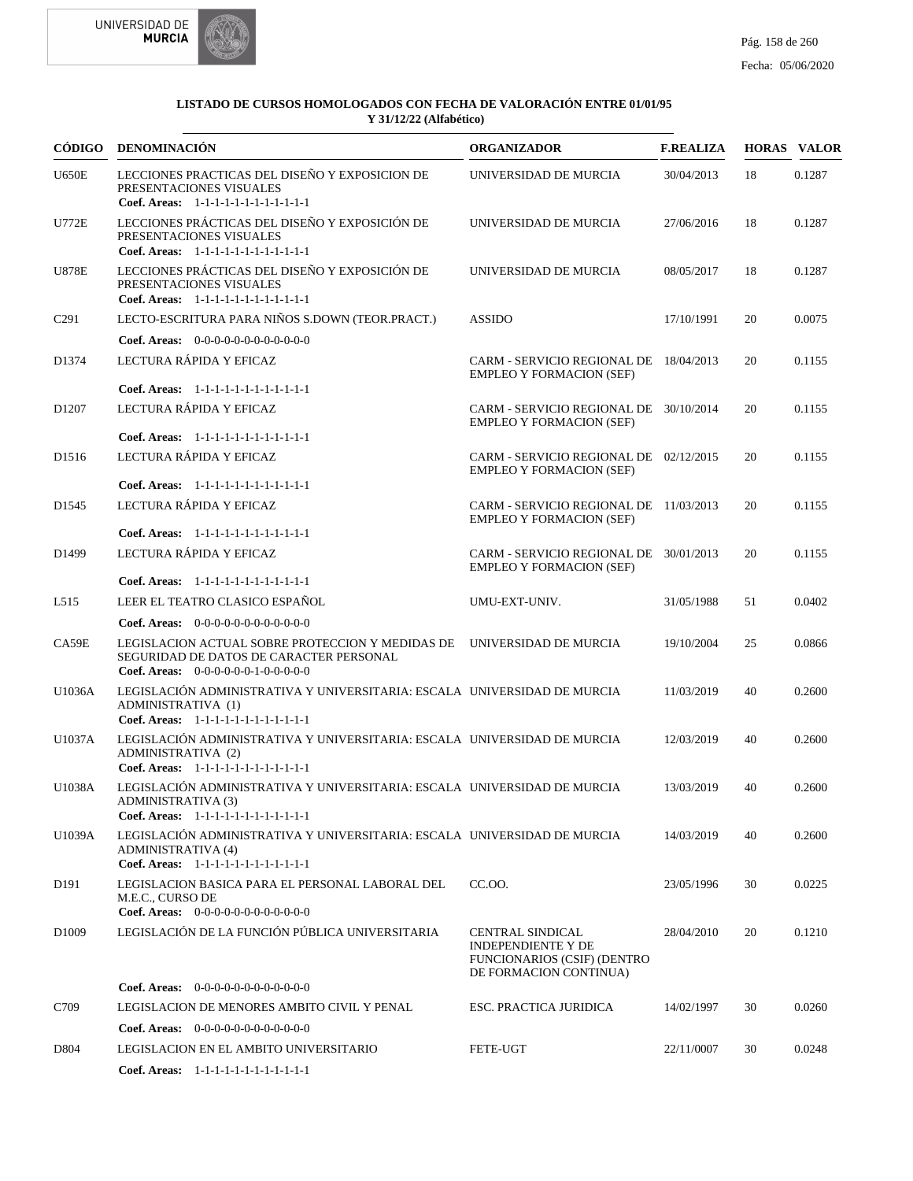



|                   | CÓDIGO DENOMINACIÓN                                                                                                                                              | <b>ORGANIZADOR</b>                                                                                                   | <b>F.REALIZA</b> |    | <b>HORAS VALOR</b> |
|-------------------|------------------------------------------------------------------------------------------------------------------------------------------------------------------|----------------------------------------------------------------------------------------------------------------------|------------------|----|--------------------|
| <b>U650E</b>      | LECCIONES PRACTICAS DEL DISEÑO Y EXPOSICION DE<br>PRESENTACIONES VISUALES<br>Coef. Areas: 1-1-1-1-1-1-1-1-1-1-1-1-1                                              | UNIVERSIDAD DE MURCIA                                                                                                | 30/04/2013       | 18 | 0.1287             |
| <b>U772E</b>      | LECCIONES PRÁCTICAS DEL DISEÑO Y EXPOSICIÓN DE<br>PRESENTACIONES VISUALES<br>Coef. Areas: 1-1-1-1-1-1-1-1-1-1-1-1-1                                              | UNIVERSIDAD DE MURCIA                                                                                                | 27/06/2016       | 18 | 0.1287             |
| <b>U878E</b>      | LECCIONES PRÁCTICAS DEL DISEÑO Y EXPOSICIÓN DE<br>PRESENTACIONES VISUALES<br>Coef. Areas: 1-1-1-1-1-1-1-1-1-1-1-1-1                                              | UNIVERSIDAD DE MURCIA                                                                                                | 08/05/2017       | 18 | 0.1287             |
| C <sub>291</sub>  | LECTO-ESCRITURA PARA NIÑOS S.DOWN (TEOR.PRACT.)                                                                                                                  | <b>ASSIDO</b>                                                                                                        | 17/10/1991       | 20 | 0.0075             |
|                   | Coef. Areas: 0-0-0-0-0-0-0-0-0-0-0-0-0                                                                                                                           |                                                                                                                      |                  |    |                    |
| D1374             | LECTURA RÁPIDA Y EFICAZ                                                                                                                                          | CARM - SERVICIO REGIONAL DE 18/04/2013<br><b>EMPLEO Y FORMACION (SEF)</b>                                            |                  | 20 | 0.1155             |
|                   | Coef. Areas: 1-1-1-1-1-1-1-1-1-1-1-1-1                                                                                                                           |                                                                                                                      |                  |    |                    |
| D <sub>1207</sub> | LECTURA RÁPIDA Y EFICAZ                                                                                                                                          | CARM - SERVICIO REGIONAL DE 30/10/2014<br><b>EMPLEO Y FORMACION (SEF)</b>                                            |                  | 20 | 0.1155             |
|                   | Coef. Areas: 1-1-1-1-1-1-1-1-1-1-1-1-1                                                                                                                           |                                                                                                                      |                  |    |                    |
| D <sub>1516</sub> | LECTURA RÁPIDA Y EFICAZ                                                                                                                                          | CARM - SERVICIO REGIONAL DE 02/12/2015<br><b>EMPLEO Y FORMACION (SEF)</b>                                            |                  | 20 | 0.1155             |
|                   | Coef. Areas: $1-1-1-1-1-1-1-1-1-1-1$                                                                                                                             |                                                                                                                      |                  |    |                    |
| D <sub>1545</sub> | LECTURA RÁPIDA Y EFICAZ                                                                                                                                          | CARM - SERVICIO REGIONAL DE 11/03/2013<br><b>EMPLEO Y FORMACION (SEF)</b>                                            |                  | 20 | 0.1155             |
|                   | Coef. Areas: 1-1-1-1-1-1-1-1-1-1-1-1-1                                                                                                                           |                                                                                                                      |                  |    |                    |
| D <sub>1499</sub> | LECTURA RÁPIDA Y EFICAZ                                                                                                                                          | CARM - SERVICIO REGIONAL DE 30/01/2013<br><b>EMPLEO Y FORMACION (SEF)</b>                                            |                  | 20 | 0.1155             |
|                   | Coef. Areas: 1-1-1-1-1-1-1-1-1-1-1-1-1                                                                                                                           |                                                                                                                      |                  |    |                    |
| L515              | LEER EL TEATRO CLASICO ESPAÑOL                                                                                                                                   | UMU-EXT-UNIV.                                                                                                        | 31/05/1988       | 51 | 0.0402             |
|                   | Coef. Areas: 0-0-0-0-0-0-0-0-0-0-0-0-0                                                                                                                           |                                                                                                                      |                  |    |                    |
| CA59E             | LEGISLACION ACTUAL SOBRE PROTECCION Y MEDIDAS DE UNIVERSIDAD DE MURCIA<br>SEGURIDAD DE DATOS DE CARACTER PERSONAL<br><b>Coef. Areas:</b> $0-0-0-0-0-1-0-0-0-0-0$ |                                                                                                                      | 19/10/2004       | 25 | 0.0866             |
| U1036A            | LEGISLACIÓN ADMINISTRATIVA Y UNIVERSITARIA: ESCALA UNIVERSIDAD DE MURCIA<br>ADMINISTRATIVA (1)<br>Coef. Areas: 1-1-1-1-1-1-1-1-1-1-1-1-1                         |                                                                                                                      | 11/03/2019       | 40 | 0.2600             |
| U1037A            | LEGISLACIÓN ADMINISTRATIVA Y UNIVERSITARIA: ESCALA UNIVERSIDAD DE MURCIA<br>ADMINISTRATIVA (2)<br>Coef. Areas: 1-1-1-1-1-1-1-1-1-1-1-1-1                         |                                                                                                                      | 12/03/2019       | 40 | 0.2600             |
| U1038A            | LEGISLACIÓN ADMINISTRATIVA Y UNIVERSITARIA: ESCALA UNIVERSIDAD DE MURCIA<br>ADMINISTRATIVA (3)<br>Coef. Areas: 1-1-1-1-1-1-1-1-1-1-1-1-1                         |                                                                                                                      | 13/03/2019       | 40 | 0.2600             |
| U1039A            | LEGISLACIÓN ADMINISTRATIVA Y UNIVERSITARIA: ESCALA UNIVERSIDAD DE MURCIA<br><b>ADMINISTRATIVA (4)</b><br>Coef. Areas: 1-1-1-1-1-1-1-1-1-1-1-1-1                  |                                                                                                                      | 14/03/2019       | 40 | 0.2600             |
| D <sub>191</sub>  | LEGISLACION BASICA PARA EL PERSONAL LABORAL DEL<br>M.E.C., CURSO DE<br>Coef. Areas: $0-0-0-0-0-0-0-0-0-0-0-0$                                                    | CC.OO.                                                                                                               | 23/05/1996       | 30 | 0.0225             |
| D <sub>1009</sub> | LEGISLACIÓN DE LA FUNCIÓN PÚBLICA UNIVERSITARIA                                                                                                                  | <b>CENTRAL SINDICAL</b><br><b>INDEPENDIENTE Y DE</b><br><b>FUNCIONARIOS (CSIF) (DENTRO</b><br>DE FORMACION CONTINUA) | 28/04/2010       | 20 | 0.1210             |
|                   | <b>Coef. Areas:</b> $0-0-0-0-0-0-0-0-0-0-0-0$                                                                                                                    |                                                                                                                      |                  |    |                    |
| C709              | LEGISLACION DE MENORES AMBITO CIVIL Y PENAL                                                                                                                      | ESC. PRACTICA JURIDICA                                                                                               | 14/02/1997       | 30 | 0.0260             |
|                   | <b>Coef. Areas:</b> $0-0-0-0-0-0-0-0-0-0-0-0$                                                                                                                    |                                                                                                                      |                  |    |                    |
| D804              | LEGISLACION EN EL AMBITO UNIVERSITARIO                                                                                                                           | FETE-UGT                                                                                                             | 22/11/0007       | 30 | 0.0248             |
|                   | Coef. Areas: 1-1-1-1-1-1-1-1-1-1-1-1-1                                                                                                                           |                                                                                                                      |                  |    |                    |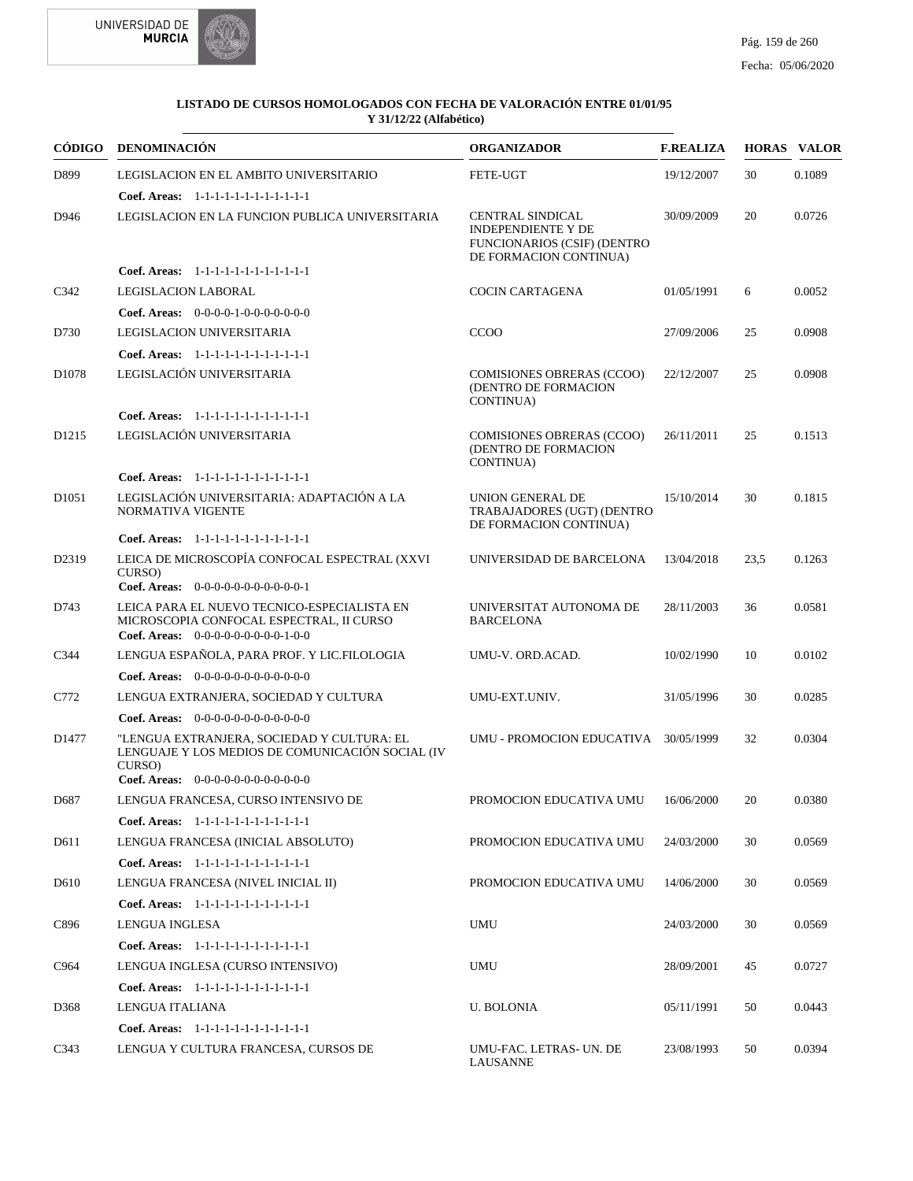



|                   | CÓDIGO DENOMINACIÓN                                                                                                                                | <b>ORGANIZADOR</b>                                                                                     | <b>F.REALIZA</b> |      | <b>HORAS VALOR</b> |
|-------------------|----------------------------------------------------------------------------------------------------------------------------------------------------|--------------------------------------------------------------------------------------------------------|------------------|------|--------------------|
| D899              | LEGISLACION EN EL AMBITO UNIVERSITARIO<br>Coef. Areas: 1-1-1-1-1-1-1-1-1-1-1-1-1                                                                   | FETE-UGT                                                                                               | 19/12/2007       | 30   | 0.1089             |
| D946              | LEGISLACION EN LA FUNCION PUBLICA UNIVERSITARIA                                                                                                    | CENTRAL SINDICAL<br><b>INDEPENDIENTE Y DE</b><br>FUNCIONARIOS (CSIF) (DENTRO<br>DE FORMACION CONTINUA) | 30/09/2009       | 20   | 0.0726             |
|                   | Coef. Areas: 1-1-1-1-1-1-1-1-1-1-1-1-1                                                                                                             |                                                                                                        |                  |      |                    |
| C342              | <b>LEGISLACION LABORAL</b>                                                                                                                         | COCIN CARTAGENA                                                                                        | 01/05/1991       | 6    | 0.0052             |
|                   | Coef. Areas: $0-0-0-0-1-0-0-0-0-0-0$                                                                                                               |                                                                                                        |                  |      |                    |
| D730              | LEGISLACION UNIVERSITARIA                                                                                                                          | <b>CCOO</b>                                                                                            | 27/09/2006       | 25   | 0.0908             |
|                   | Coef. Areas: 1-1-1-1-1-1-1-1-1-1-1-1-1                                                                                                             |                                                                                                        |                  |      |                    |
| D1078             | LEGISLACIÓN UNIVERSITARIA                                                                                                                          | <b>COMISIONES OBRERAS (CCOO)</b><br>(DENTRO DE FORMACION<br>CONTINUA)                                  | 22/12/2007       | 25   | 0.0908             |
|                   | Coef. Areas: 1-1-1-1-1-1-1-1-1-1-1-1-1                                                                                                             |                                                                                                        |                  |      |                    |
| D <sub>1215</sub> | LEGISLACIÓN UNIVERSITARIA                                                                                                                          | <b>COMISIONES OBRERAS (CCOO)</b><br>(DENTRO DE FORMACION<br>CONTINUA)                                  | 26/11/2011       | 25   | 0.1513             |
|                   | Coef. Areas: 1-1-1-1-1-1-1-1-1-1-1-1-1                                                                                                             |                                                                                                        |                  |      |                    |
| D <sub>1051</sub> | LEGISLACIÓN UNIVERSITARIA: ADAPTACIÓN A LA<br>NORMATIVA VIGENTE                                                                                    | <b>UNION GENERAL DE</b><br>TRABAJADORES (UGT) (DENTRO<br>DE FORMACION CONTINUA)                        | 15/10/2014       | 30   | 0.1815             |
|                   | Coef. Areas: 1-1-1-1-1-1-1-1-1-1-1-1-1                                                                                                             |                                                                                                        |                  |      |                    |
| D2319             | LEICA DE MICROSCOPÍA CONFOCAL ESPECTRAL (XXVI<br>CURSO)<br>Coef. Areas: 0-0-0-0-0-0-0-0-0-0-0-1                                                    | UNIVERSIDAD DE BARCELONA                                                                               | 13/04/2018       | 23.5 | 0.1263             |
| D743              | LEICA PARA EL NUEVO TECNICO-ESPECIALISTA EN<br>MICROSCOPIA CONFOCAL ESPECTRAL, II CURSO<br>Coef. Areas: $0-0-0-0-0-0-0-0-1-0-0$                    | UNIVERSITAT AUTONOMA DE<br><b>BARCELONA</b>                                                            | 28/11/2003       | 36   | 0.0581             |
| C344              | LENGUA ESPAÑOLA, PARA PROF. Y LIC.FILOLOGIA                                                                                                        | UMU-V. ORD.ACAD.                                                                                       | 10/02/1990       | 10   | 0.0102             |
|                   | Coef. Areas: $0-0-0-0-0-0-0-0-0-0-0$                                                                                                               |                                                                                                        |                  |      |                    |
| C772              | LENGUA EXTRANJERA, SOCIEDAD Y CULTURA                                                                                                              | UMU-EXT.UNIV.                                                                                          | 31/05/1996       | 30   | 0.0285             |
|                   | Coef. Areas: $0-0-0-0-0-0-0-0-0-0-0$                                                                                                               |                                                                                                        |                  |      |                    |
| D1477             | "LENGUA EXTRANJERA, SOCIEDAD Y CULTURA: EL<br>LENGUAJE Y LOS MEDIOS DE COMUNICACIÓN SOCIAL (IV<br>CURSO)<br>Coef. Areas: 0-0-0-0-0-0-0-0-0-0-0-0-0 | UMU - PROMOCION EDUCATIVA 30/05/1999                                                                   |                  | 32   | 0.0304             |
| D687              | LENGUA FRANCESA, CURSO INTENSIVO DE                                                                                                                | PROMOCION EDUCATIVA UMU 16/06/2000                                                                     |                  | 20   | 0.0380             |
|                   | Coef. Areas: 1-1-1-1-1-1-1-1-1-1-1-1-1                                                                                                             |                                                                                                        |                  |      |                    |
| D611              | LENGUA FRANCESA (INICIAL ABSOLUTO)                                                                                                                 | PROMOCION EDUCATIVA UMU                                                                                | 24/03/2000       | 30   | 0.0569             |
|                   | Coef. Areas: 1-1-1-1-1-1-1-1-1-1-1-1-1                                                                                                             |                                                                                                        |                  |      |                    |
| D610              | LENGUA FRANCESA (NIVEL INICIAL II)                                                                                                                 | PROMOCION EDUCATIVA UMU                                                                                | 14/06/2000       | 30   | 0.0569             |
|                   | Coef. Areas: 1-1-1-1-1-1-1-1-1-1-1-1-1                                                                                                             |                                                                                                        |                  |      |                    |
| C896              | LENGUA INGLESA                                                                                                                                     | UMU                                                                                                    | 24/03/2000       | 30   | 0.0569             |
|                   | Coef. Areas: 1-1-1-1-1-1-1-1-1-1-1-1-1                                                                                                             |                                                                                                        |                  |      |                    |
| C964              | LENGUA INGLESA (CURSO INTENSIVO)                                                                                                                   | UMU                                                                                                    | 28/09/2001       | 45   | 0.0727             |
|                   | Coef. Areas: 1-1-1-1-1-1-1-1-1-1-1-1-1                                                                                                             |                                                                                                        |                  |      |                    |
| D368              | LENGUA ITALIANA                                                                                                                                    | <b>U. BOLONIA</b>                                                                                      | 05/11/1991       | 50   | 0.0443             |
|                   | Coef. Areas: 1-1-1-1-1-1-1-1-1-1-1-1-1                                                                                                             |                                                                                                        |                  |      |                    |
| C343              | LENGUA Y CULTURA FRANCESA, CURSOS DE                                                                                                               | UMU-FAC. LETRAS- UN. DE<br>LAUSANNE                                                                    | 23/08/1993       | 50   | 0.0394             |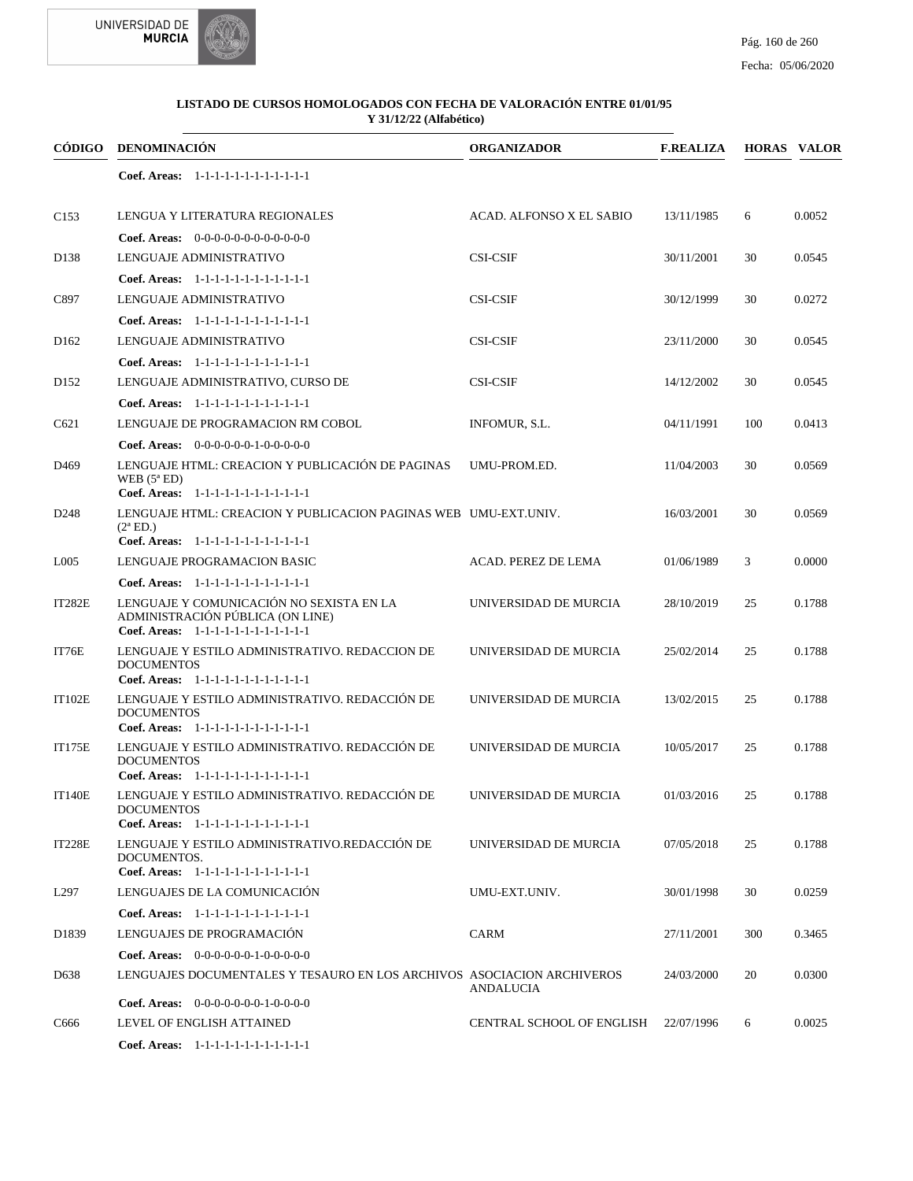



| CÓDIGO            | <b>DENOMINACIÓN</b>                                                                                                    | <b>ORGANIZADOR</b>        | <b>F.REALIZA</b> |     | <b>HORAS VALOR</b> |
|-------------------|------------------------------------------------------------------------------------------------------------------------|---------------------------|------------------|-----|--------------------|
|                   | Coef. Areas: $1-1-1-1-1-1-1-1-1-1-1$                                                                                   |                           |                  |     |                    |
| C <sub>153</sub>  | LENGUA Y LITERATURA REGIONALES                                                                                         | ACAD. ALFONSO X EL SABIO  | 13/11/1985       | 6   | 0.0052             |
|                   | Coef. Areas: $0-0-0-0-0-0-0-0-0-0-0$                                                                                   |                           |                  |     |                    |
| D <sub>138</sub>  | LENGUAJE ADMINISTRATIVO                                                                                                | <b>CSI-CSIF</b>           | 30/11/2001       | 30  | 0.0545             |
|                   | Coef. Areas: 1-1-1-1-1-1-1-1-1-1-1-1-1                                                                                 |                           |                  |     |                    |
| C897              | LENGUAJE ADMINISTRATIVO                                                                                                | <b>CSI-CSIF</b>           | 30/12/1999       | 30  | 0.0272             |
|                   | Coef. Areas: 1-1-1-1-1-1-1-1-1-1-1-1-1                                                                                 |                           |                  |     |                    |
| D <sub>162</sub>  | LENGUAJE ADMINISTRATIVO                                                                                                | <b>CSI-CSIF</b>           | 23/11/2000       | 30  | 0.0545             |
|                   | Coef. Areas: 1-1-1-1-1-1-1-1-1-1-1-1-1                                                                                 |                           |                  |     |                    |
| D <sub>152</sub>  | LENGUAJE ADMINISTRATIVO, CURSO DE                                                                                      | <b>CSI-CSIF</b>           | 14/12/2002       | 30  | 0.0545             |
|                   | Coef. Areas: 1-1-1-1-1-1-1-1-1-1-1-1-1                                                                                 |                           |                  |     |                    |
| C621              | LENGUAJE DE PROGRAMACION RM COBOL                                                                                      | INFOMUR, S.L.             | 04/11/1991       | 100 | 0.0413             |
|                   | <b>Coef. Areas:</b> $0-0-0-0-0-1-0-0-0-0-0$                                                                            |                           |                  |     |                    |
| D <sub>469</sub>  | LENGUAJE HTML: CREACION Y PUBLICACIÓN DE PAGINAS<br>WEB $(5^a$ ED)<br>Coef. Areas: 1-1-1-1-1-1-1-1-1-1-1-1-1           | UMU-PROM.ED.              | 11/04/2003       | 30  | 0.0569             |
| D <sub>248</sub>  | LENGUAJE HTML: CREACION Y PUBLICACION PAGINAS WEB UMU-EXT.UNIV.<br>$(2^a$ ED.)                                         |                           | 16/03/2001       | 30  | 0.0569             |
|                   | Coef. Areas: 1-1-1-1-1-1-1-1-1-1-1-1-1                                                                                 |                           |                  |     |                    |
| L <sub>005</sub>  | LENGUAJE PROGRAMACION BASIC                                                                                            | ACAD. PEREZ DE LEMA       | 01/06/1989       | 3   | 0.0000             |
|                   | Coef. Areas: $1-1-1-1-1-1-1-1-1-1-1$                                                                                   |                           |                  |     |                    |
| IT282E            | LENGUAJE Y COMUNICACIÓN NO SEXISTA EN LA<br>ADMINISTRACIÓN PÚBLICA (ON LINE)<br>Coef. Areas: 1-1-1-1-1-1-1-1-1-1-1-1-1 | UNIVERSIDAD DE MURCIA     | 28/10/2019       | 25  | 0.1788             |
| IT76E             | LENGUAJE Y ESTILO ADMINISTRATIVO. REDACCION DE<br><b>DOCUMENTOS</b><br>Coef. Areas: 1-1-1-1-1-1-1-1-1-1-1-1-1          | UNIVERSIDAD DE MURCIA     | 25/02/2014       | 25  | 0.1788             |
| <b>IT102E</b>     | LENGUAJE Y ESTILO ADMINISTRATIVO. REDACCIÓN DE<br><b>DOCUMENTOS</b><br>Coef. Areas: 1-1-1-1-1-1-1-1-1-1-1-1-1          | UNIVERSIDAD DE MURCIA     | 13/02/2015       | 25  | 0.1788             |
| <b>IT175E</b>     | LENGUAJE Y ESTILO ADMINISTRATIVO. REDACCIÓN DE<br><b>DOCUMENTOS</b><br>Coef. Areas: 1-1-1-1-1-1-1-1-1-1-1-1-1          | UNIVERSIDAD DE MURCIA     | 10/05/2017       | 25  | 0.1788             |
| <b>IT140E</b>     | LENGUAJE Y ESTILO ADMINISTRATIVO. REDACCIÓN DE<br><b>DOCUMENTOS</b><br>Coef. Areas: 1-1-1-1-1-1-1-1-1-1-1-1-1          | UNIVERSIDAD DE MURCIA     | 01/03/2016       | 25  | 0.1788             |
| <b>IT228E</b>     | LENGUAJE Y ESTILO ADMINISTRATIVO.REDACCIÓN DE<br>DOCUMENTOS.<br>Coef. Areas: 1-1-1-1-1-1-1-1-1-1-1-1-1                 | UNIVERSIDAD DE MURCIA     | 07/05/2018       | 25  | 0.1788             |
| L <sub>297</sub>  | LENGUAJES DE LA COMUNICACIÓN                                                                                           | UMU-EXT.UNIV.             | 30/01/1998       | 30  | 0.0259             |
|                   |                                                                                                                        |                           |                  |     |                    |
|                   | Coef. Areas: 1-1-1-1-1-1-1-1-1-1-1-1-1                                                                                 |                           |                  |     |                    |
| D1839             | LENGUAJES DE PROGRAMACIÓN                                                                                              | CARM                      | 27/11/2001       | 300 | 0.3465             |
|                   | <b>Coef. Areas:</b> $0-0-0-0-0-1-0-0-0-0-0$                                                                            |                           |                  |     |                    |
| D <sub>6</sub> 38 | LENGUAJES DOCUMENTALES Y TESAURO EN LOS ARCHIVOS ASOCIACION ARCHIVEROS                                                 | ANDALUCIA                 | 24/03/2000       | 20  | 0.0300             |
|                   | <b>Coef. Areas:</b> $0-0-0-0-0-0-1-0-0-0-0$                                                                            |                           |                  |     |                    |
| C <sub>666</sub>  | LEVEL OF ENGLISH ATTAINED                                                                                              | CENTRAL SCHOOL OF ENGLISH | 22/07/1996       | 6   | 0.0025             |
|                   | Coef. Areas: 1-1-1-1-1-1-1-1-1-1-1-1-1                                                                                 |                           |                  |     |                    |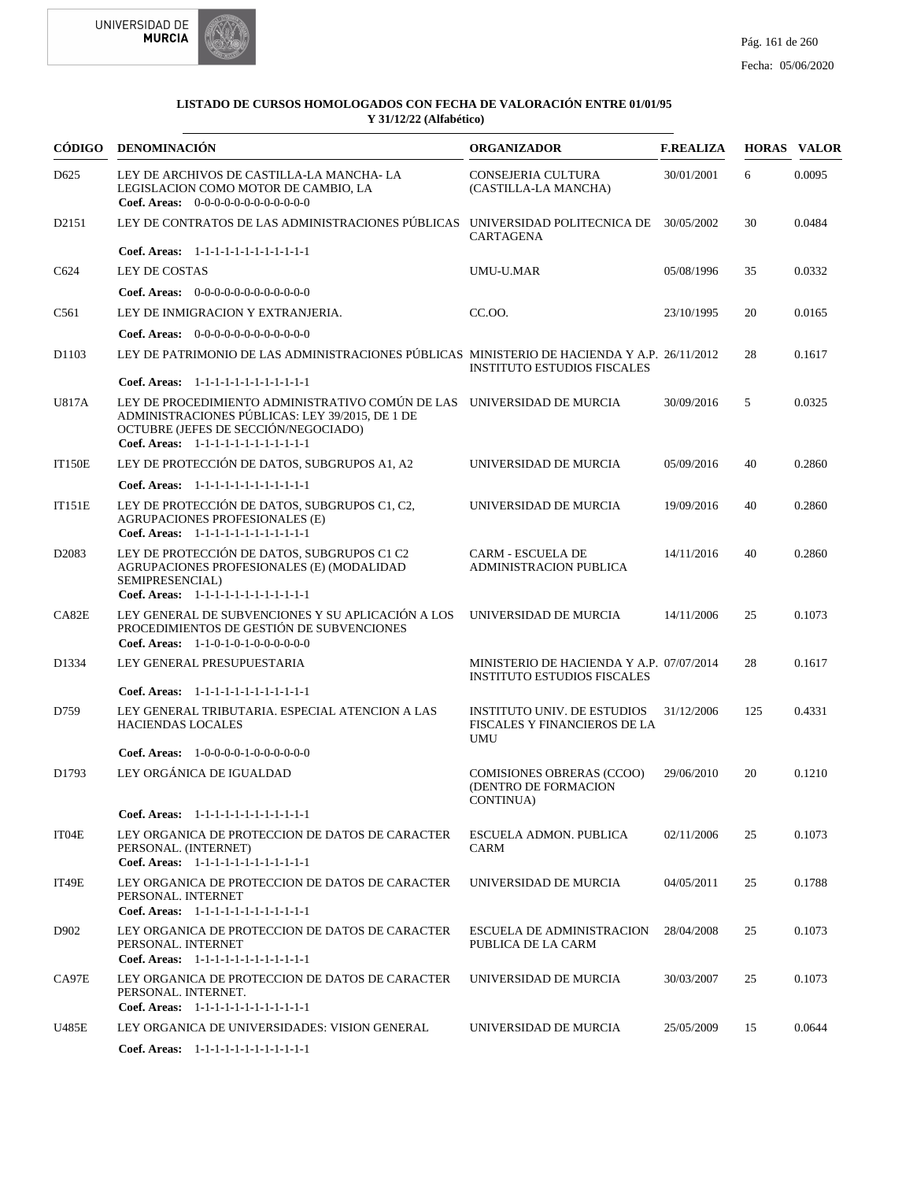



|                   | CÓDIGO DENOMINACIÓN                                                                                                                                                                                         | <b>ORGANIZADOR</b>                                                               | <b>F.REALIZA</b> |     | <b>HORAS VALOR</b> |
|-------------------|-------------------------------------------------------------------------------------------------------------------------------------------------------------------------------------------------------------|----------------------------------------------------------------------------------|------------------|-----|--------------------|
| D <sub>625</sub>  | LEY DE ARCHIVOS DE CASTILLA-LA MANCHA- LA<br>LEGISLACION COMO MOTOR DE CAMBIO, LA<br><b>Coef. Areas:</b> $0-0-0-0-0-0-0-0-0-0-0-0$                                                                          | <b>CONSEJERIA CULTURA</b><br>(CASTILLA-LA MANCHA)                                | 30/01/2001       | 6   | 0.0095             |
| D2151             | LEY DE CONTRATOS DE LAS ADMINISTRACIONES PÚBLICAS UNIVERSIDAD POLITECNICA DE 30/05/2002                                                                                                                     | <b>CARTAGENA</b>                                                                 |                  | 30  | 0.0484             |
|                   | Coef. Areas: 1-1-1-1-1-1-1-1-1-1-1-1-1                                                                                                                                                                      |                                                                                  |                  |     |                    |
| C624              | LEY DE COSTAS                                                                                                                                                                                               | UMU-U.MAR                                                                        | 05/08/1996       | 35  | 0.0332             |
|                   | Coef. Areas: $0-0-0-0-0-0-0-0-0-0-0-0$                                                                                                                                                                      |                                                                                  |                  |     |                    |
| C <sub>561</sub>  | LEY DE INMIGRACION Y EXTRANJERIA.                                                                                                                                                                           | CC.OO.                                                                           | 23/10/1995       | 20  | 0.0165             |
|                   | Coef. Areas: $0-0-0-0-0-0-0-0-0-0-0-0$                                                                                                                                                                      |                                                                                  |                  |     |                    |
| D1103             | LEY DE PATRIMONIO DE LAS ADMINISTRACIONES PÚBLICAS MINISTERIO DE HACIENDA Y A.P. 26/11/2012                                                                                                                 | <b>INSTITUTO ESTUDIOS FISCALES</b>                                               |                  | 28  | 0.1617             |
|                   | Coef. Areas: 1-1-1-1-1-1-1-1-1-1-1-1-1                                                                                                                                                                      |                                                                                  |                  |     |                    |
| U817A             | LEY DE PROCEDIMIENTO ADMINISTRATIVO COMÚN DE LAS UNIVERSIDAD DE MURCIA<br>ADMINISTRACIONES PÚBLICAS: LEY 39/2015, DE 1 DE<br>OCTUBRE (JEFES DE SECCIÓN/NEGOCIADO)<br>Coef. Areas: 1-1-1-1-1-1-1-1-1-1-1-1-1 |                                                                                  | 30/09/2016       | 5   | 0.0325             |
| <b>IT150E</b>     | LEY DE PROTECCIÓN DE DATOS, SUBGRUPOS A1, A2                                                                                                                                                                | UNIVERSIDAD DE MURCIA                                                            | 05/09/2016       | 40  | 0.2860             |
|                   | Coef. Areas: 1-1-1-1-1-1-1-1-1-1-1-1-1                                                                                                                                                                      |                                                                                  |                  |     |                    |
| <b>IT151E</b>     | LEY DE PROTECCIÓN DE DATOS, SUBGRUPOS C1, C2,<br><b>AGRUPACIONES PROFESIONALES (E)</b><br>Coef. Areas: 1-1-1-1-1-1-1-1-1-1-1-1-1                                                                            | UNIVERSIDAD DE MURCIA                                                            | 19/09/2016       | 40  | 0.2860             |
| D <sub>2083</sub> | LEY DE PROTECCIÓN DE DATOS, SUBGRUPOS C1 C2<br>AGRUPACIONES PROFESIONALES (E) (MODALIDAD<br>SEMIPRESENCIAL)<br>Coef. Areas: 1-1-1-1-1-1-1-1-1-1-1-1-1                                                       | <b>CARM - ESCUELA DE</b><br><b>ADMINISTRACION PUBLICA</b>                        | 14/11/2016       | 40  | 0.2860             |
| CA82E             | LEY GENERAL DE SUBVENCIONES Y SU APLICACIÓN A LOS<br>PROCEDIMIENTOS DE GESTIÓN DE SUBVENCIONES<br>Coef. Areas: $1-1-0-1-0-1-0-0-0-0-0$                                                                      | UNIVERSIDAD DE MURCIA                                                            | 14/11/2006       | 25  | 0.1073             |
| D1334             | LEY GENERAL PRESUPUESTARIA                                                                                                                                                                                  | MINISTERIO DE HACIENDA Y A.P. 07/07/2014<br><b>INSTITUTO ESTUDIOS FISCALES</b>   |                  | 28  | 0.1617             |
|                   | Coef. Areas: 1-1-1-1-1-1-1-1-1-1-1-1-1                                                                                                                                                                      |                                                                                  |                  |     |                    |
| D759              | LEY GENERAL TRIBUTARIA. ESPECIAL ATENCION A LAS<br><b>HACIENDAS LOCALES</b>                                                                                                                                 | <b>INSTITUTO UNIV. DE ESTUDIOS</b><br>FISCALES Y FINANCIEROS DE LA<br><b>UMU</b> | 31/12/2006       | 125 | 0.4331             |
|                   | <b>Coef. Areas:</b> $1-0-0-0-1-0-0-0-0-0-0$                                                                                                                                                                 |                                                                                  |                  |     |                    |
| D1793             | LEY ORGÁNICA DE IGUALDAD                                                                                                                                                                                    | COMISIONES OBRERAS (CCOO)<br>(DENTRO DE FORMACION<br>CONTINUA)                   | 29/06/2010       | 20  | 0.1210             |
|                   | Coef. Areas: 1-1-1-1-1-1-1-1-1-1-1-1-1                                                                                                                                                                      |                                                                                  |                  |     |                    |
| IT04E             | LEY ORGANICA DE PROTECCION DE DATOS DE CARACTER<br>PERSONAL. (INTERNET)<br>Coef. Areas: 1-1-1-1-1-1-1-1-1-1-1-1-1                                                                                           | ESCUELA ADMON. PUBLICA<br>CARM                                                   | 02/11/2006       | 25  | 0.1073             |
| IT49E             | LEY ORGANICA DE PROTECCION DE DATOS DE CARACTER<br>PERSONAL. INTERNET<br>Coef. Areas: 1-1-1-1-1-1-1-1-1-1-1-1-1                                                                                             | UNIVERSIDAD DE MURCIA                                                            | 04/05/2011       | 25  | 0.1788             |
| D902              | LEY ORGANICA DE PROTECCION DE DATOS DE CARACTER<br>PERSONAL. INTERNET<br>Coef. Areas: 1-1-1-1-1-1-1-1-1-1-1-1-1                                                                                             | ESCUELA DE ADMINISTRACION<br>PUBLICA DE LA CARM                                  | 28/04/2008       | 25  | 0.1073             |
| CA97E             | LEY ORGANICA DE PROTECCION DE DATOS DE CARACTER<br>PERSONAL. INTERNET.<br>Coef. Areas: 1-1-1-1-1-1-1-1-1-1-1-1-1                                                                                            | UNIVERSIDAD DE MURCIA                                                            | 30/03/2007       | 25  | 0.1073             |
| U485E             | LEY ORGANICA DE UNIVERSIDADES: VISION GENERAL                                                                                                                                                               | UNIVERSIDAD DE MURCIA                                                            | 25/05/2009       | 15  | 0.0644             |
|                   | Coef. Areas: 1-1-1-1-1-1-1-1-1-1-1-1-1                                                                                                                                                                      |                                                                                  |                  |     |                    |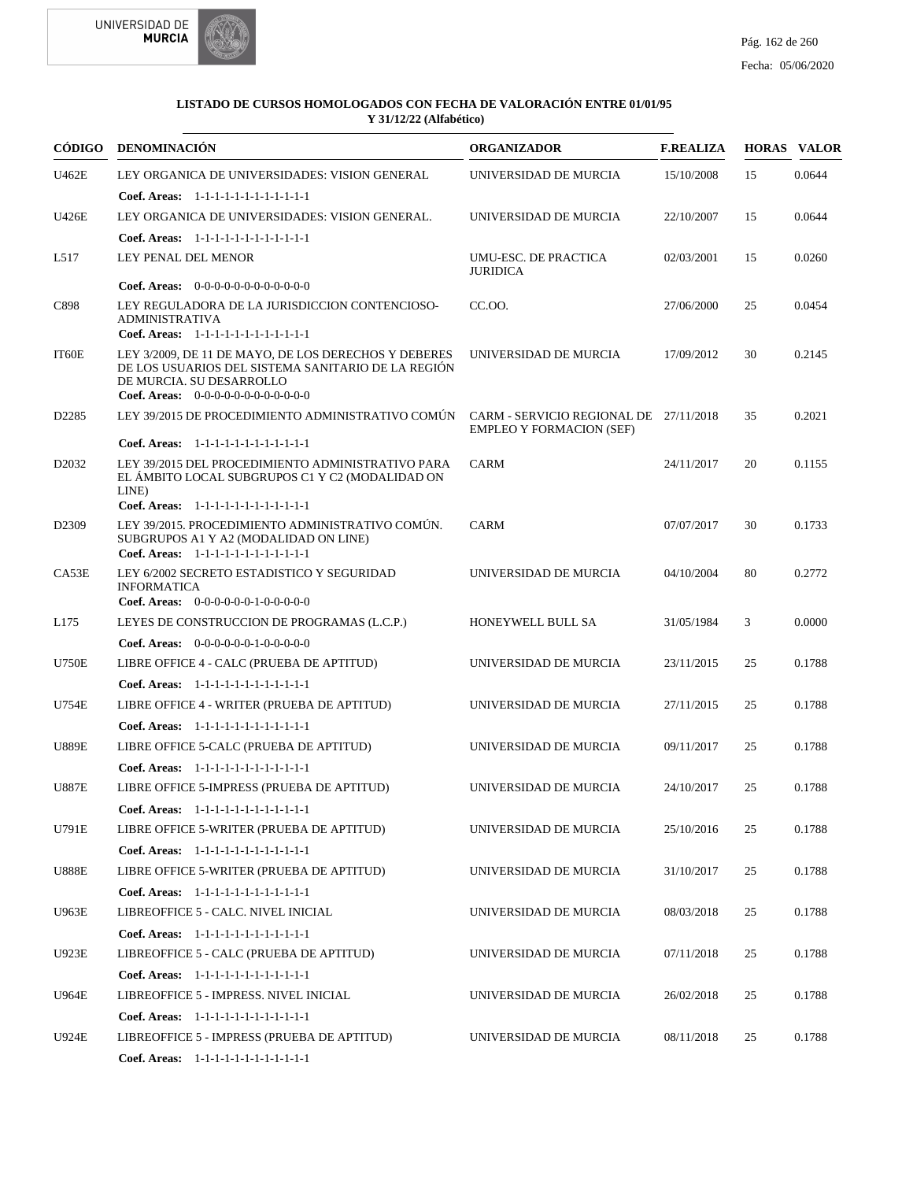



|                   | CÓDIGO DENOMINACIÓN                                                                                                                                                            | <b>ORGANIZADOR</b>                                                        | <b>F.REALIZA</b> |    | <b>HORAS VALOR</b> |
|-------------------|--------------------------------------------------------------------------------------------------------------------------------------------------------------------------------|---------------------------------------------------------------------------|------------------|----|--------------------|
| U462E             | LEY ORGANICA DE UNIVERSIDADES: VISION GENERAL                                                                                                                                  | UNIVERSIDAD DE MURCIA                                                     | 15/10/2008       | 15 | 0.0644             |
|                   | Coef. Areas: $1-1-1-1-1-1-1-1-1-1-1$                                                                                                                                           |                                                                           |                  |    |                    |
| U426E             | LEY ORGANICA DE UNIVERSIDADES: VISION GENERAL.                                                                                                                                 | UNIVERSIDAD DE MURCIA                                                     | 22/10/2007       | 15 | 0.0644             |
|                   | Coef. Areas: 1-1-1-1-1-1-1-1-1-1-1-1-1                                                                                                                                         |                                                                           |                  |    |                    |
| L517              | LEY PENAL DEL MENOR                                                                                                                                                            | UMU-ESC. DE PRACTICA<br><b>JURIDICA</b>                                   | 02/03/2001       | 15 | 0.0260             |
|                   | <b>Coef. Areas:</b> $0-0-0-0-0-0-0-0-0-0-0-0$                                                                                                                                  |                                                                           |                  |    |                    |
| C898              | LEY REGULADORA DE LA JURISDICCION CONTENCIOSO-<br><b>ADMINISTRATIVA</b><br>Coef. Areas: 1-1-1-1-1-1-1-1-1-1-1-1-1                                                              | CC.00.                                                                    | 27/06/2000       | 25 | 0.0454             |
| IT60E             | LEY 3/2009, DE 11 DE MAYO, DE LOS DERECHOS Y DEBERES<br>DE LOS USUARIOS DEL SISTEMA SANITARIO DE LA REGIÓN<br>DE MURCIA. SU DESARROLLO<br>Coef. Areas: $0-0-0-0-0-0-0-0-0-0-0$ | UNIVERSIDAD DE MURCIA                                                     | 17/09/2012       | 30 | 0.2145             |
| D <sub>2285</sub> | LEY 39/2015 DE PROCEDIMIENTO ADMINISTRATIVO COMÚN                                                                                                                              | CARM - SERVICIO REGIONAL DE 27/11/2018<br><b>EMPLEO Y FORMACION (SEF)</b> |                  | 35 | 0.2021             |
|                   | Coef. Areas: 1-1-1-1-1-1-1-1-1-1-1-1-1                                                                                                                                         |                                                                           |                  |    |                    |
| D <sub>2032</sub> | LEY 39/2015 DEL PROCEDIMIENTO ADMINISTRATIVO PARA<br>EL ÁMBITO LOCAL SUBGRUPOS C1 Y C2 (MODALIDAD ON<br>LINE)<br>Coef. Areas: 1-1-1-1-1-1-1-1-1-1-1-1-1                        | <b>CARM</b>                                                               | 24/11/2017       | 20 | 0.1155             |
| D <sub>2309</sub> | LEY 39/2015. PROCEDIMIENTO ADMINISTRATIVO COMÚN.<br>SUBGRUPOS A1 Y A2 (MODALIDAD ON LINE)<br>Coef. Areas: 1-1-1-1-1-1-1-1-1-1-1-1-1                                            | <b>CARM</b>                                                               | 07/07/2017       | 30 | 0.1733             |
| CA53E             | LEY 6/2002 SECRETO ESTADISTICO Y SEGURIDAD<br><b>INFORMATICA</b><br><b>Coef. Areas:</b> $0-0-0-0-0-1-0-0-0-0-0$                                                                | UNIVERSIDAD DE MURCIA                                                     | 04/10/2004       | 80 | 0.2772             |
| L175              | LEYES DE CONSTRUCCION DE PROGRAMAS (L.C.P.)                                                                                                                                    | HONEYWELL BULL SA                                                         | 31/05/1984       | 3  | 0.0000             |
|                   | Coef. Areas: $0-0-0-0-0-1-0-0-0-0-0$                                                                                                                                           |                                                                           |                  |    |                    |
| <b>U750E</b>      | LIBRE OFFICE 4 - CALC (PRUEBA DE APTITUD)                                                                                                                                      | UNIVERSIDAD DE MURCIA                                                     | 23/11/2015       | 25 | 0.1788             |
|                   | Coef. Areas: $1-1-1-1-1-1-1-1-1-1-1$                                                                                                                                           |                                                                           |                  |    |                    |
| U754E             | LIBRE OFFICE 4 - WRITER (PRUEBA DE APTITUD)                                                                                                                                    | UNIVERSIDAD DE MURCIA                                                     | 27/11/2015       | 25 | 0.1788             |
|                   | Coef. Areas: 1-1-1-1-1-1-1-1-1-1-1-1-1                                                                                                                                         |                                                                           |                  |    |                    |
| <b>U889E</b>      | LIBRE OFFICE 5-CALC (PRUEBA DE APTITUD)                                                                                                                                        | UNIVERSIDAD DE MURCIA                                                     | 09/11/2017       | 25 | 0.1788             |
|                   | Coef. Areas: 1-1-1-1-1-1-1-1-1-1-1-1-1                                                                                                                                         |                                                                           |                  |    |                    |
| <b>U887E</b>      | LIBRE OFFICE 5-IMPRESS (PRUEBA DE APTITUD)                                                                                                                                     | UNIVERSIDAD DE MURCIA                                                     | 24/10/2017       | 25 | 0.1788             |
|                   | Coef. Areas: $1-1-1-1-1-1-1-1-1-1-1$                                                                                                                                           |                                                                           |                  |    |                    |
| U791E             | LIBRE OFFICE 5-WRITER (PRUEBA DE APTITUD)                                                                                                                                      | UNIVERSIDAD DE MURCIA                                                     | 25/10/2016       | 25 | 0.1788             |
|                   | Coef. Areas: 1-1-1-1-1-1-1-1-1-1-1-1-1                                                                                                                                         |                                                                           |                  |    |                    |
| <b>U888E</b>      | LIBRE OFFICE 5-WRITER (PRUEBA DE APTITUD)                                                                                                                                      | UNIVERSIDAD DE MURCIA                                                     | 31/10/2017       | 25 | 0.1788             |
|                   | Coef. Areas: 1-1-1-1-1-1-1-1-1-1-1-1-1                                                                                                                                         |                                                                           |                  |    |                    |
| U963E             | LIBREOFFICE 5 - CALC. NIVEL INICIAL                                                                                                                                            | UNIVERSIDAD DE MURCIA                                                     | 08/03/2018       | 25 | 0.1788             |
|                   | Coef. Areas: 1-1-1-1-1-1-1-1-1-1-1-1-1                                                                                                                                         |                                                                           |                  |    |                    |
| U923E             | LIBREOFFICE 5 - CALC (PRUEBA DE APTITUD)                                                                                                                                       | UNIVERSIDAD DE MURCIA                                                     | 07/11/2018       | 25 | 0.1788             |
|                   | Coef. Areas: 1-1-1-1-1-1-1-1-1-1-1-1-1                                                                                                                                         |                                                                           |                  |    |                    |
| U964E             | LIBREOFFICE 5 - IMPRESS. NIVEL INICIAL                                                                                                                                         | UNIVERSIDAD DE MURCIA                                                     | 26/02/2018       | 25 | 0.1788             |
|                   | Coef. Areas: 1-1-1-1-1-1-1-1-1-1-1-1-1                                                                                                                                         |                                                                           |                  |    |                    |
| U924E             | LIBREOFFICE 5 - IMPRESS (PRUEBA DE APTITUD)                                                                                                                                    | UNIVERSIDAD DE MURCIA                                                     | 08/11/2018       | 25 | 0.1788             |
|                   | Coef. Areas: $1-1-1-1-1-1-1-1-1-1-1$                                                                                                                                           |                                                                           |                  |    |                    |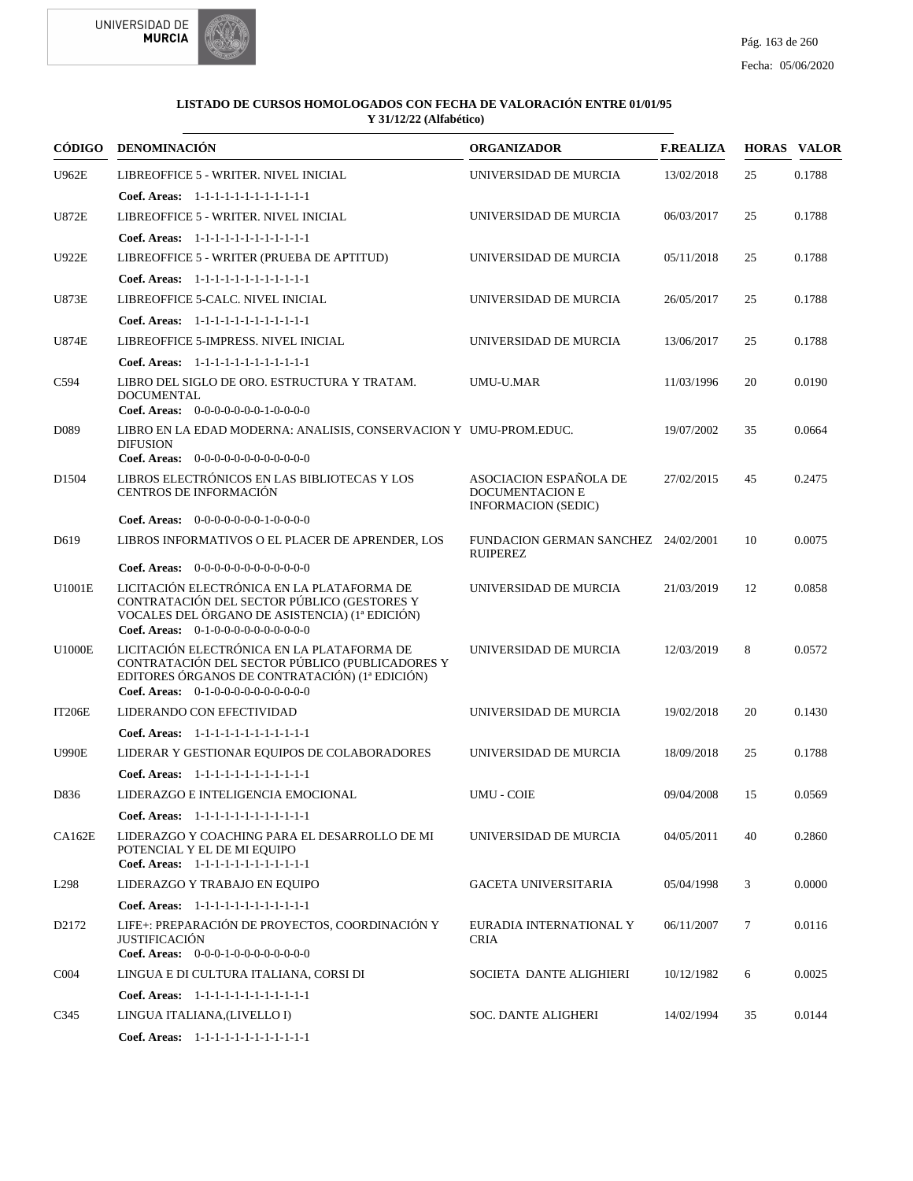



|                   | CÓDIGO DENOMINACIÓN                                                                                                                                                                     | <b>ORGANIZADOR</b>                                                             | <b>F.REALIZA</b> |    | <b>HORAS VALOR</b> |
|-------------------|-----------------------------------------------------------------------------------------------------------------------------------------------------------------------------------------|--------------------------------------------------------------------------------|------------------|----|--------------------|
| <b>U962E</b>      | LIBREOFFICE 5 - WRITER. NIVEL INICIAL                                                                                                                                                   | UNIVERSIDAD DE MURCIA                                                          | 13/02/2018       | 25 | 0.1788             |
|                   | Coef. Areas: 1-1-1-1-1-1-1-1-1-1-1-1-1                                                                                                                                                  |                                                                                |                  |    |                    |
| U872E             | LIBREOFFICE 5 - WRITER. NIVEL INICIAL                                                                                                                                                   | UNIVERSIDAD DE MURCIA                                                          | 06/03/2017       | 25 | 0.1788             |
|                   | Coef. Areas: $1-1-1-1-1-1-1-1-1-1-1$                                                                                                                                                    |                                                                                |                  |    |                    |
| <b>U922E</b>      | LIBREOFFICE 5 - WRITER (PRUEBA DE APTITUD)                                                                                                                                              | UNIVERSIDAD DE MURCIA                                                          | 05/11/2018       | 25 | 0.1788             |
|                   | Coef. Areas: $1-1-1-1-1-1-1-1-1-1-1$                                                                                                                                                    |                                                                                |                  |    |                    |
| <b>U873E</b>      | LIBREOFFICE 5-CALC. NIVEL INICIAL                                                                                                                                                       | UNIVERSIDAD DE MURCIA                                                          | 26/05/2017       | 25 | 0.1788             |
|                   | Coef. Areas: $1-1-1-1-1-1-1-1-1-1-1$                                                                                                                                                    |                                                                                |                  |    |                    |
| <b>U874E</b>      | LIBREOFFICE 5-IMPRESS. NIVEL INICIAL                                                                                                                                                    | UNIVERSIDAD DE MURCIA                                                          | 13/06/2017       | 25 | 0.1788             |
|                   | Coef. Areas: 1-1-1-1-1-1-1-1-1-1-1-1-1                                                                                                                                                  |                                                                                |                  |    |                    |
| C <sub>594</sub>  | LIBRO DEL SIGLO DE ORO. ESTRUCTURA Y TRATAM.<br><b>DOCUMENTAL</b>                                                                                                                       | UMU-U.MAR                                                                      | 11/03/1996       | 20 | 0.0190             |
|                   | Coef. Areas: $0-0-0-0-0-0-1-0-0-0-0$                                                                                                                                                    |                                                                                |                  |    |                    |
| D <sub>0</sub> 89 | LIBRO EN LA EDAD MODERNA: ANALISIS, CONSERVACION Y UMU-PROM.EDUC.<br><b>DIFUSION</b>                                                                                                    |                                                                                | 19/07/2002       | 35 | 0.0664             |
|                   | Coef. Areas: $0-0-0-0-0-0-0-0-0-0-0-0$                                                                                                                                                  |                                                                                |                  |    |                    |
| D <sub>1504</sub> | LIBROS ELECTRÓNICOS EN LAS BIBLIOTECAS Y LOS<br>CENTROS DE INFORMACIÓN                                                                                                                  | ASOCIACION ESPAÑOLA DE<br><b>DOCUMENTACION E</b><br><b>INFORMACION (SEDIC)</b> | 27/02/2015       | 45 | 0.2475             |
|                   | <b>Coef. Areas:</b> $0-0-0-0-0-0-1-0-0-0-0$                                                                                                                                             |                                                                                |                  |    |                    |
| D <sub>619</sub>  | LIBROS INFORMATIVOS O EL PLACER DE APRENDER, LOS                                                                                                                                        | FUNDACION GERMAN SANCHEZ 24/02/2001<br><b>RUIPEREZ</b>                         |                  | 10 | 0.0075             |
|                   | Coef. Areas: $0-0-0-0-0-0-0-0-0-0-0-0$                                                                                                                                                  |                                                                                |                  |    |                    |
| U1001E            | LICITACIÓN ELECTRÓNICA EN LA PLATAFORMA DE<br>CONTRATACIÓN DEL SECTOR PÚBLICO (GESTORES Y<br>VOCALES DEL ÓRGANO DE ASISTENCIA) (1ª EDICIÓN)<br>Coef. Areas: 0-1-0-0-0-0-0-0-0-0-0-0-0   | UNIVERSIDAD DE MURCIA                                                          | 21/03/2019       | 12 | 0.0858             |
| <b>U1000E</b>     | LICITACIÓN ELECTRÓNICA EN LA PLATAFORMA DE<br>CONTRATACIÓN DEL SECTOR PÚBLICO (PUBLICADORES Y<br>EDITORES ÓRGANOS DE CONTRATACIÓN) (1ª EDICIÓN)<br>Coef. Areas: $0-1-0-0-0-0-0-0-0-0-0$ | UNIVERSIDAD DE MURCIA                                                          | 12/03/2019       | 8  | 0.0572             |
| <b>IT206E</b>     | LIDERANDO CON EFECTIVIDAD                                                                                                                                                               | UNIVERSIDAD DE MURCIA                                                          | 19/02/2018       | 20 | 0.1430             |
|                   | Coef. Areas: 1-1-1-1-1-1-1-1-1-1-1-1-1                                                                                                                                                  |                                                                                |                  |    |                    |
| <b>U990E</b>      | LIDERAR Y GESTIONAR EQUIPOS DE COLABORADORES                                                                                                                                            | UNIVERSIDAD DE MURCIA                                                          | 18/09/2018       | 25 | 0.1788             |
|                   | Coef. Areas: $1-1-1-1-1-1-1-1-1-1-1$                                                                                                                                                    |                                                                                |                  |    |                    |
| D836              | LIDERAZGO E INTELIGENCIA EMOCIONAL                                                                                                                                                      | <b>UMU - COIE</b>                                                              | 09/04/2008       | 15 | 0.0569             |
|                   | Coef. Areas: 1-1-1-1-1-1-1-1-1-1-1-1-1                                                                                                                                                  |                                                                                |                  |    |                    |
| CA162E            | LIDERAZGO Y COACHING PARA EL DESARROLLO DE MI<br>POTENCIAL Y EL DE MI EQUIPO<br>Coef. Areas: 1-1-1-1-1-1-1-1-1-1-1-1-1                                                                  | UNIVERSIDAD DE MURCIA                                                          | 04/05/2011       | 40 | 0.2860             |
| L298              | LIDERAZGO Y TRABAJO EN EQUIPO                                                                                                                                                           | <b>GACETA UNIVERSITARIA</b>                                                    | 05/04/1998       | 3  | 0.0000             |
|                   | Coef. Areas: 1-1-1-1-1-1-1-1-1-1-1-1-1                                                                                                                                                  |                                                                                |                  |    |                    |
| D2172             | LIFE+: PREPARACIÓN DE PROYECTOS, COORDINACIÓN Y<br><b>JUSTIFICACIÓN</b><br>Coef. Areas: $0-0-0-1-0-0-0-0-0-0-0$                                                                         | EURADIA INTERNATIONAL Y<br><b>CRIA</b>                                         | 06/11/2007       | 7  | 0.0116             |
| CO <sub>04</sub>  | LINGUA E DI CULTURA ITALIANA, CORSI DI                                                                                                                                                  | SOCIETA DANTE ALIGHIERI                                                        | 10/12/1982       | 6  | 0.0025             |
|                   | Coef. Areas: 1-1-1-1-1-1-1-1-1-1-1-1-1                                                                                                                                                  |                                                                                |                  |    |                    |
| C345              | LINGUA ITALIANA,(LIVELLO I)                                                                                                                                                             | <b>SOC. DANTE ALIGHERI</b>                                                     | 14/02/1994       | 35 | 0.0144             |
|                   | Coef. Areas: 1-1-1-1-1-1-1-1-1-1-1-1-1                                                                                                                                                  |                                                                                |                  |    |                    |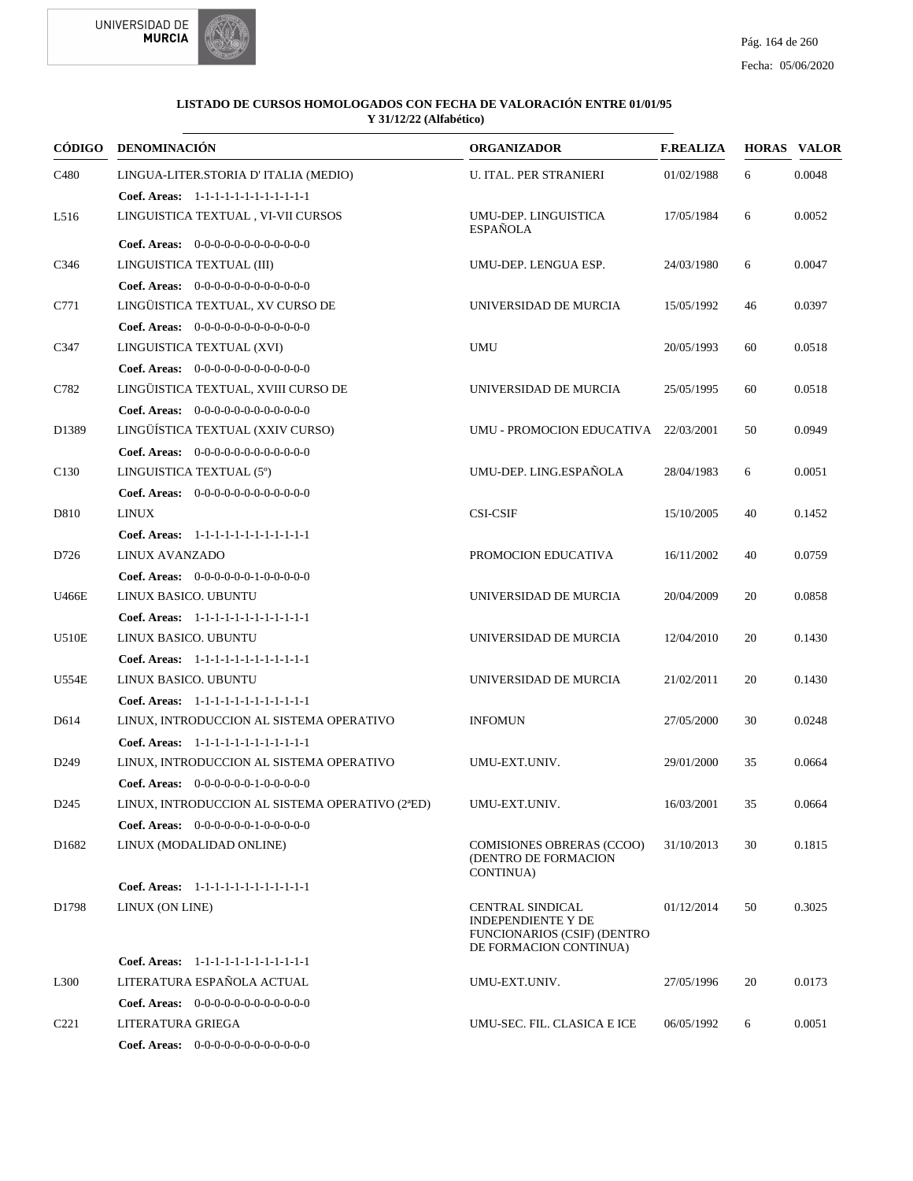



|                   | CÓDIGO DENOMINACIÓN                             | <b>ORGANIZADOR</b>                                                                                            | <b>F.REALIZA</b> |    | <b>HORAS VALOR</b> |
|-------------------|-------------------------------------------------|---------------------------------------------------------------------------------------------------------------|------------------|----|--------------------|
| C480              | LINGUA-LITER.STORIA D'ITALIA (MEDIO)            | <b>U. ITAL. PER STRANIERI</b>                                                                                 | 01/02/1988       | 6  | 0.0048             |
|                   | Coef. Areas: 1-1-1-1-1-1-1-1-1-1-1-1-1          |                                                                                                               |                  |    |                    |
| L516              | LINGUISTICA TEXTUAL , VI-VII CURSOS             | UMU-DEP. LINGUISTICA<br><b>ESPAÑOLA</b>                                                                       | 17/05/1984       | 6  | 0.0052             |
|                   | Coef. Areas: $0-0-0-0-0-0-0-0-0-0-0$            |                                                                                                               |                  |    |                    |
| C346              | LINGUISTICA TEXTUAL (III)                       | UMU-DEP. LENGUA ESP.                                                                                          | 24/03/1980       | 6  | 0.0047             |
|                   | Coef. Areas: $0-0-0-0-0-0-0-0-0-0-0-0$          |                                                                                                               |                  |    |                    |
| C771              | LINGÜISTICA TEXTUAL, XV CURSO DE                | UNIVERSIDAD DE MURCIA                                                                                         | 15/05/1992       | 46 | 0.0397             |
|                   | Coef. Areas: $0-0-0-0-0-0-0-0-0-0-0$            |                                                                                                               |                  |    |                    |
| C347              | LINGUISTICA TEXTUAL (XVI)                       | <b>UMU</b>                                                                                                    | 20/05/1993       | 60 | 0.0518             |
|                   | Coef. Areas: $0-0-0-0-0-0-0-0-0-0-0$            |                                                                                                               |                  |    |                    |
| C782              | LINGÜISTICA TEXTUAL, XVIII CURSO DE             | UNIVERSIDAD DE MURCIA                                                                                         | 25/05/1995       | 60 | 0.0518             |
|                   | Coef. Areas: $0-0-0-0-0-0-0-0-0-0-0$            |                                                                                                               |                  |    |                    |
| D1389             | LINGÜÍSTICA TEXTUAL (XXIV CURSO)                | UMU - PROMOCION EDUCATIVA 22/03/2001                                                                          |                  | 50 | 0.0949             |
|                   | Coef. Areas: $0-0-0-0-0-0-0-0-0-0-0$            |                                                                                                               |                  |    |                    |
| C <sub>130</sub>  | LINGUISTICA TEXTUAL (5°)                        | UMU-DEP. LING.ESPAÑOLA                                                                                        | 28/04/1983       | 6  | 0.0051             |
|                   | Coef. Areas: 0-0-0-0-0-0-0-0-0-0-0-0-0          |                                                                                                               |                  |    |                    |
| D810              | <b>LINUX</b>                                    | <b>CSI-CSIF</b>                                                                                               | 15/10/2005       | 40 | 0.1452             |
|                   | Coef. Areas: 1-1-1-1-1-1-1-1-1-1-1-1-1          |                                                                                                               |                  |    |                    |
| D726              | LINUX AVANZADO                                  | PROMOCION EDUCATIVA                                                                                           | 16/11/2002       | 40 | 0.0759             |
|                   | Coef. Areas: $0-0-0-0-0-1-0-0-0-0-0$            |                                                                                                               |                  |    |                    |
| U466E             | LINUX BASICO. UBUNTU                            | UNIVERSIDAD DE MURCIA                                                                                         | 20/04/2009       | 20 | 0.0858             |
|                   | Coef. Areas: 1-1-1-1-1-1-1-1-1-1-1-1-1          |                                                                                                               |                  |    |                    |
| <b>U510E</b>      | LINUX BASICO. UBUNTU                            | UNIVERSIDAD DE MURCIA                                                                                         | 12/04/2010       | 20 | 0.1430             |
|                   | Coef. Areas: 1-1-1-1-1-1-1-1-1-1-1-1-1          |                                                                                                               |                  |    |                    |
| <b>U554E</b>      | LINUX BASICO. UBUNTU                            | UNIVERSIDAD DE MURCIA                                                                                         | 21/02/2011       | 20 | 0.1430             |
|                   | Coef. Areas: 1-1-1-1-1-1-1-1-1-1-1-1-1          |                                                                                                               |                  |    |                    |
| D614              | LINUX, INTRODUCCION AL SISTEMA OPERATIVO        | <b>INFOMUN</b>                                                                                                | 27/05/2000       | 30 | 0.0248             |
|                   | Coef. Areas: 1-1-1-1-1-1-1-1-1-1-1-1-1          |                                                                                                               |                  |    |                    |
| D <sub>249</sub>  | LINUX, INTRODUCCION AL SISTEMA OPERATIVO        | UMU-EXT.UNIV.                                                                                                 | 29/01/2000       | 35 | 0.0664             |
|                   | Coef. Areas: $0-0-0-0-0-1-0-0-0-0-0$            |                                                                                                               |                  |    |                    |
| D <sub>245</sub>  | LINUX, INTRODUCCION AL SISTEMA OPERATIVO (2ªED) | UMU-EXT.UNIV.                                                                                                 | 16/03/2001       | 35 | 0.0664             |
|                   | <b>Coef. Areas:</b> $0-0-0-0-0-1-0-0-0-0-0$     |                                                                                                               |                  |    |                    |
| D <sub>1682</sub> | LINUX (MODALIDAD ONLINE)                        | <b>COMISIONES OBRERAS (CCOO)</b><br>(DENTRO DE FORMACION<br>CONTINUA)                                         | 31/10/2013       | 30 | 0.1815             |
|                   | Coef. Areas: 1-1-1-1-1-1-1-1-1-1-1-1-1          |                                                                                                               |                  |    |                    |
| D1798             | LINUX (ON LINE)                                 | CENTRAL SINDICAL<br><b>INDEPENDIENTE Y DE</b><br><b>FUNCIONARIOS (CSIF) (DENTRO</b><br>DE FORMACION CONTINUA) | 01/12/2014       | 50 | 0.3025             |
|                   | Coef. Areas: 1-1-1-1-1-1-1-1-1-1-1-1-1          |                                                                                                               |                  |    |                    |
| L <sub>300</sub>  | LITERATURA ESPAÑOLA ACTUAL                      | UMU-EXT.UNIV.                                                                                                 | 27/05/1996       | 20 | 0.0173             |
|                   | Coef. Areas: $0-0-0-0-0-0-0-0-0-0-0$            |                                                                                                               |                  |    |                    |
| C <sub>221</sub>  | LITERATURA GRIEGA                               | UMU-SEC. FIL. CLASICA E ICE                                                                                   | 06/05/1992       | 6  | 0.0051             |
|                   | Coef. Areas: $0-0-0-0-0-0-0-0-0-0-0$            |                                                                                                               |                  |    |                    |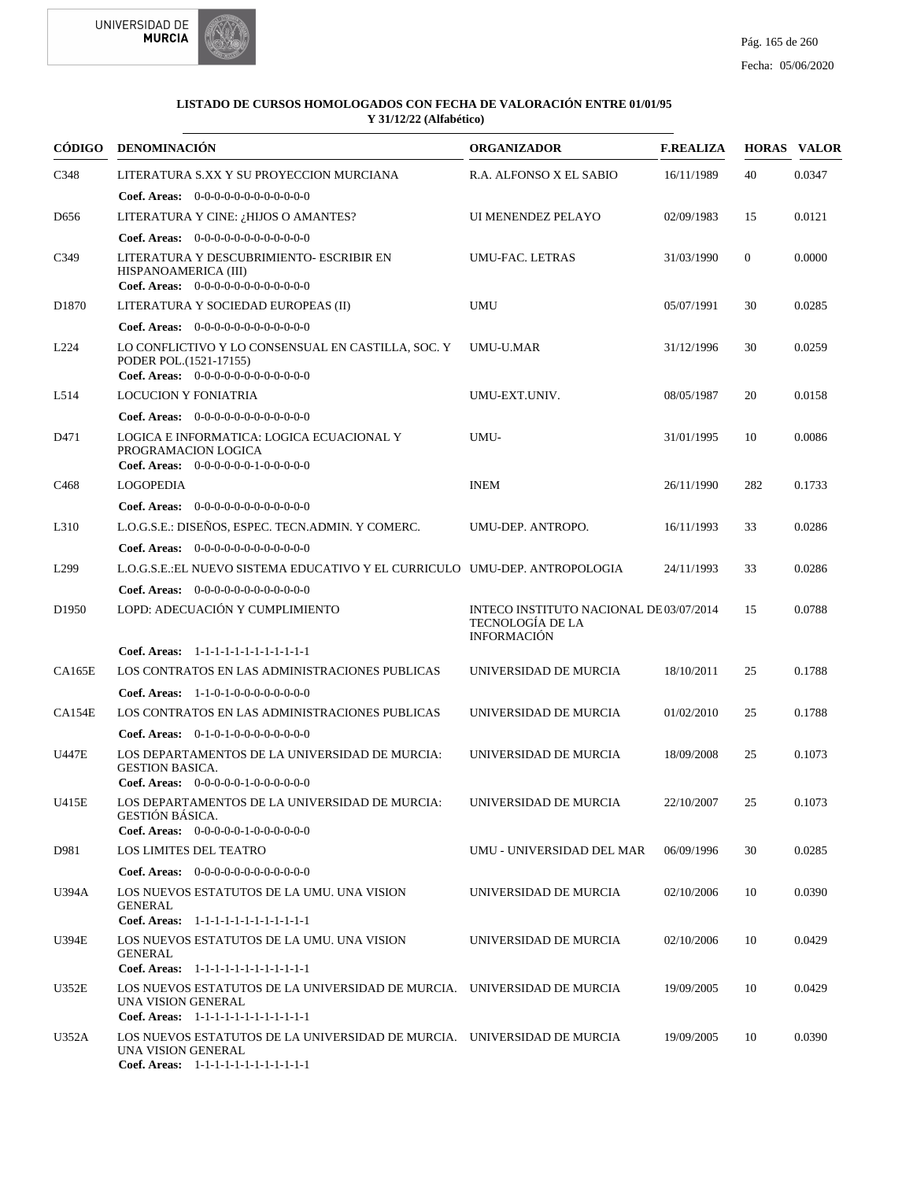



|                   | CÓDIGO DENOMINACIÓN                                                                                                                     | <b>ORGANIZADOR</b>                                                                      | <b>F.REALIZA</b> |                | <b>HORAS VALOR</b> |
|-------------------|-----------------------------------------------------------------------------------------------------------------------------------------|-----------------------------------------------------------------------------------------|------------------|----------------|--------------------|
| C348              | LITERATURA S.XX Y SU PROYECCION MURCIANA                                                                                                | R.A. ALFONSO X EL SABIO                                                                 | 16/11/1989       | 40             | 0.0347             |
|                   | <b>Coef. Areas:</b> $0-0-0-0-0-0-0-0-0-0-0$                                                                                             |                                                                                         |                  |                |                    |
| D <sub>656</sub>  | LITERATURA Y CINE: ¿HIJOS O AMANTES?                                                                                                    | UI MENENDEZ PELAYO                                                                      | 02/09/1983       | 15             | 0.0121             |
|                   | <b>Coef. Areas:</b> $0-0-0-0-0-0-0-0-0-0-0-0$                                                                                           |                                                                                         |                  |                |                    |
| C349              | LITERATURA Y DESCUBRIMIENTO- ESCRIBIR EN<br>HISPANOAMERICA (III)<br>Coef. Areas: $0-0-0-0-0-0-0-0-0-0-0$                                | UMU-FAC. LETRAS                                                                         | 31/03/1990       | $\overline{0}$ | 0.0000             |
| D <sub>1870</sub> | LITERATURA Y SOCIEDAD EUROPEAS (II)                                                                                                     | <b>UMU</b>                                                                              | 05/07/1991       | 30             | 0.0285             |
|                   | <b>Coef. Areas:</b> $0-0-0-0-0-0-0-0-0-0-0-0$                                                                                           |                                                                                         |                  |                |                    |
| L <sub>224</sub>  | LO CONFLICTIVO Y LO CONSENSUAL EN CASTILLA, SOC. Y<br>PODER POL.(1521-17155)<br>Coef. Areas: $0-0-0-0-0-0-0-0-0-0-0$                    | UMU-U.MAR                                                                               | 31/12/1996       | 30             | 0.0259             |
| L514              | <b>LOCUCION Y FONIATRIA</b>                                                                                                             | UMU-EXT.UNIV.                                                                           | 08/05/1987       | 20             | 0.0158             |
|                   | Coef. Areas: $0-0-0-0-0-0-0-0-0-0-0$                                                                                                    |                                                                                         |                  |                |                    |
| D471              | LOGICA E INFORMATICA: LOGICA ECUACIONAL Y<br>PROGRAMACION LOGICA<br>Coef. Areas: $0-0-0-0-0-1-0-0-0-0-0$                                | UMU-                                                                                    | 31/01/1995       | 10             | 0.0086             |
| C <sub>468</sub>  | <b>LOGOPEDIA</b>                                                                                                                        | <b>INEM</b>                                                                             | 26/11/1990       | 282            | 0.1733             |
|                   | <b>Coef. Areas:</b> $0-0-0-0-0-0-0-0-0-0-0-0$                                                                                           |                                                                                         |                  |                |                    |
| L310              | L.O.G.S.E.: DISENOS, ESPEC. TECN.ADMIN. Y COMERC.                                                                                       | UMU-DEP. ANTROPO.                                                                       | 16/11/1993       | 33             | 0.0286             |
|                   | <b>Coef. Areas:</b> $0-0-0-0-0-0-0-0-0-0-0-0$                                                                                           |                                                                                         |                  |                |                    |
| L <sub>299</sub>  | L.O.G.S.E.: EL NUEVO SISTEMA EDUCATIVO Y EL CURRICULO UMU-DEP. ANTROPOLOGIA                                                             |                                                                                         | 24/11/1993       | 33             | 0.0286             |
|                   | Coef. Areas: 0-0-0-0-0-0-0-0-0-0-0-0-0                                                                                                  |                                                                                         |                  |                |                    |
| D <sub>1950</sub> | LOPD: ADECUACIÓN Y CUMPLIMIENTO                                                                                                         | INTECO INSTITUTO NACIONAL DE03/07/2014<br><b>TECNOLOGÍA DE LA</b><br><b>INFORMACIÓN</b> |                  | 15             | 0.0788             |
|                   | Coef. Areas: 1-1-1-1-1-1-1-1-1-1-1-1-1                                                                                                  |                                                                                         |                  |                |                    |
| <b>CA165E</b>     | LOS CONTRATOS EN LAS ADMINISTRACIONES PUBLICAS                                                                                          | UNIVERSIDAD DE MURCIA                                                                   | 18/10/2011       | 25             | 0.1788             |
|                   | <b>Coef. Areas:</b> $1-1-0-1-0-0-0-0-0-0-0$                                                                                             |                                                                                         |                  |                |                    |
| CA154E            | LOS CONTRATOS EN LAS ADMINISTRACIONES PUBLICAS                                                                                          | UNIVERSIDAD DE MURCIA                                                                   | 01/02/2010       | 25             | 0.1788             |
|                   | <b>Coef. Areas:</b> $0-1-0-1-0-0-0-0-0-0-0-0$                                                                                           |                                                                                         |                  |                |                    |
| <b>U447E</b>      | LOS DEPARTAMENTOS DE LA UNIVERSIDAD DE MURCIA:<br><b>GESTION BASICA.</b><br><b>Coef. Areas:</b> $0-0-0-0-0-1-0-0-0-0-0-0$               | UNIVERSIDAD DE MURCIA                                                                   | 18/09/2008       | 25             | 0.1073             |
| U415E             | LOS DEPARTAMENTOS DE LA UNIVERSIDAD DE MURCIA:<br>GESTIÓN BÁSICA.<br>Coef. Areas: 0-0-0-0-0-1-0-0-0-0-0-0                               | UNIVERSIDAD DE MURCIA                                                                   | 22/10/2007       | 25             | 0.1073             |
| D981              | LOS LIMITES DEL TEATRO                                                                                                                  | UMU - UNIVERSIDAD DEL MAR                                                               | 06/09/1996       | 30             | 0.0285             |
|                   | Coef. Areas: $0-0-0-0-0-0-0-0-0-0-0$                                                                                                    |                                                                                         |                  |                |                    |
| <b>U394A</b>      | LOS NUEVOS ESTATUTOS DE LA UMU. UNA VISION                                                                                              | UNIVERSIDAD DE MURCIA                                                                   | 02/10/2006       | 10             | 0.0390             |
|                   | <b>GENERAL</b><br>Coef. Areas: 1-1-1-1-1-1-1-1-1-1-1-1-1                                                                                |                                                                                         |                  |                |                    |
| U394E             | LOS NUEVOS ESTATUTOS DE LA UMU. UNA VISION<br><b>GENERAL</b><br>Coef. Areas: 1-1-1-1-1-1-1-1-1-1-1-1-1                                  | UNIVERSIDAD DE MURCIA                                                                   | 02/10/2006       | 10             | 0.0429             |
| U352E             | LOS NUEVOS ESTATUTOS DE LA UNIVERSIDAD DE MURCIA. UNIVERSIDAD DE MURCIA                                                                 |                                                                                         | 19/09/2005       | 10             | 0.0429             |
|                   | UNA VISION GENERAL<br>Coef. Areas: 1-1-1-1-1-1-1-1-1-1-1-1-1                                                                            |                                                                                         |                  |                |                    |
| U352A             | LOS NUEVOS ESTATUTOS DE LA UNIVERSIDAD DE MURCIA. UNIVERSIDAD DE MURCIA<br>UNA VISION GENERAL<br>Coef. Areas: 1-1-1-1-1-1-1-1-1-1-1-1-1 |                                                                                         | 19/09/2005       | 10             | 0.0390             |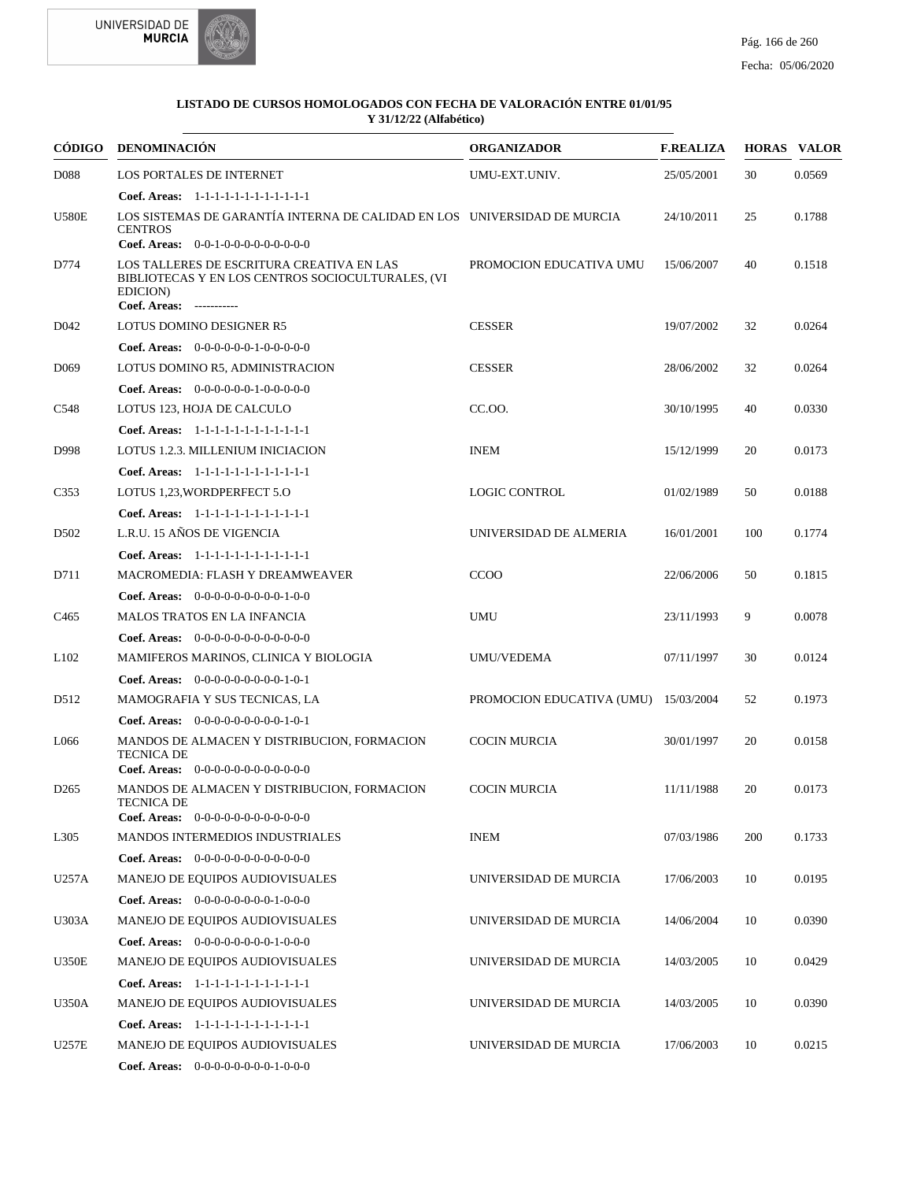



|                  | CÓDIGO DENOMINACIÓN                                                                                                                    | <b>ORGANIZADOR</b>        | <b>F.REALIZA</b> |     | <b>HORAS VALOR</b> |
|------------------|----------------------------------------------------------------------------------------------------------------------------------------|---------------------------|------------------|-----|--------------------|
| D088             | LOS PORTALES DE INTERNET                                                                                                               | UMU-EXT.UNIV.             | 25/05/2001       | 30  | 0.0569             |
|                  | Coef. Areas: 1-1-1-1-1-1-1-1-1-1-1-1-1                                                                                                 |                           |                  |     |                    |
| <b>U580E</b>     | LOS SISTEMAS DE GARANTÍA INTERNA DE CALIDAD EN LOS UNIVERSIDAD DE MURCIA<br><b>CENTROS</b>                                             |                           | 24/10/2011       | 25  | 0.1788             |
|                  | Coef. Areas: 0-0-1-0-0-0-0-0-0-0-0-0                                                                                                   |                           |                  |     |                    |
| D774             | LOS TALLERES DE ESCRITURA CREATIVA EN LAS<br>BIBLIOTECAS Y EN LOS CENTROS SOCIOCULTURALES, (VI<br>EDICION)<br>Coef. Areas: ----------- | PROMOCION EDUCATIVA UMU   | 15/06/2007       | 40  | 0.1518             |
| D <sub>042</sub> | LOTUS DOMINO DESIGNER R5                                                                                                               | <b>CESSER</b>             | 19/07/2002       | 32  | 0.0264             |
|                  | <b>Coef. Areas:</b> $0-0-0-0-0-1-0-0-0-0-0$                                                                                            |                           |                  |     |                    |
| D <sub>069</sub> | LOTUS DOMINO R5, ADMINISTRACION                                                                                                        | <b>CESSER</b>             | 28/06/2002       | 32  | 0.0264             |
|                  | Coef. Areas: $0-0-0-0-0-1-0-0-0-0-0$                                                                                                   |                           |                  |     |                    |
| C548             | LOTUS 123, HOJA DE CALCULO                                                                                                             | CC.OO.                    | 30/10/1995       | 40  | 0.0330             |
|                  | Coef. Areas: 1-1-1-1-1-1-1-1-1-1-1-1-1                                                                                                 |                           |                  |     |                    |
| D998             | <b>LOTUS 1.2.3. MILLENIUM INICIACION</b>                                                                                               | <b>INEM</b>               | 15/12/1999       | 20  | 0.0173             |
|                  | Coef. Areas: $1-1-1-1-1-1-1-1-1-1-1$                                                                                                   |                           |                  |     |                    |
| C <sub>353</sub> | LOTUS 1,23, WORDPERFECT 5.0                                                                                                            | <b>LOGIC CONTROL</b>      | 01/02/1989       | 50  | 0.0188             |
|                  | Coef. Areas: 1-1-1-1-1-1-1-1-1-1-1-1-1                                                                                                 |                           |                  |     |                    |
| D <sub>502</sub> | L.R.U. 15 AÑOS DE VIGENCIA                                                                                                             | UNIVERSIDAD DE ALMERIA    | 16/01/2001       | 100 | 0.1774             |
|                  | Coef. Areas: 1-1-1-1-1-1-1-1-1-1-1-1-1                                                                                                 |                           |                  |     |                    |
| D711             | MACROMEDIA: FLASH Y DREAMWEAVER                                                                                                        | <b>CCOO</b>               | 22/06/2006       | 50  | 0.1815             |
|                  | Coef. Areas: 0-0-0-0-0-0-0-0-0-1-0-0                                                                                                   |                           |                  |     |                    |
| C <sub>465</sub> | <b>MALOS TRATOS EN LA INFANCIA</b>                                                                                                     | <b>UMU</b>                | 23/11/1993       | 9   | 0.0078             |
|                  | Coef. Areas: 0-0-0-0-0-0-0-0-0-0-0-0-0                                                                                                 |                           |                  |     |                    |
| L <sub>102</sub> | MAMIFEROS MARINOS, CLINICA Y BIOLOGIA                                                                                                  | UMU/VEDEMA                | 07/11/1997       | 30  | 0.0124             |
|                  | Coef. Areas: $0-0-0-0-0-0-0-0-1-0-1$                                                                                                   |                           |                  |     |                    |
| D512             | MAMOGRAFIA Y SUS TECNICAS, LA                                                                                                          | PROMOCION EDUCATIVA (UMU) | 15/03/2004       | 52  | 0.1973             |
|                  | Coef. Areas: $0-0-0-0-0-0-0-0-1-0-1$                                                                                                   |                           |                  |     |                    |
| L066             | MANDOS DE ALMACEN Y DISTRIBUCION, FORMACION<br><b>TECNICA DE</b><br><b>Coef. Areas:</b> $0-0-0-0-0-0-0-0-0-0-0-0$                      | <b>COCIN MURCIA</b>       | 30/01/1997       | 20  | 0.0158             |
| D <sub>265</sub> | MANDOS DE ALMACEN Y DISTRIBUCION. FORMACION                                                                                            | <b>COCIN MURCIA</b>       | 11/11/1988       | 20  | 0.0173             |
|                  | TECNICA DE<br>Coef. Areas: $0-0-0-0-0-0-0-0-0-0-0$                                                                                     |                           |                  |     |                    |
| L305             | MANDOS INTERMEDIOS INDUSTRIALES                                                                                                        | <b>INEM</b>               | 07/03/1986       | 200 | 0.1733             |
|                  | Coef. Areas: $0-0-0-0-0-0-0-0-0-0-0$                                                                                                   |                           |                  |     |                    |
| U257A            | MANEJO DE EQUIPOS AUDIOVISUALES                                                                                                        | UNIVERSIDAD DE MURCIA     | 17/06/2003       | 10  | 0.0195             |
|                  | Coef. Areas: $0-0-0-0-0-0-0-1-0-0-0$                                                                                                   |                           |                  |     |                    |
| U303A            | MANEJO DE EQUIPOS AUDIOVISUALES                                                                                                        | UNIVERSIDAD DE MURCIA     | 14/06/2004       | 10  | 0.0390             |
|                  | Coef. Areas: $0-0-0-0-0-0-0-1-0-0-0$                                                                                                   |                           |                  |     |                    |
| <b>U350E</b>     | MANEJO DE EQUIPOS AUDIOVISUALES                                                                                                        | UNIVERSIDAD DE MURCIA     | 14/03/2005       | 10  | 0.0429             |
|                  | Coef. Areas: 1-1-1-1-1-1-1-1-1-1-1-1-1                                                                                                 |                           |                  |     |                    |
| U350A            | MANEJO DE EQUIPOS AUDIOVISUALES                                                                                                        | UNIVERSIDAD DE MURCIA     | 14/03/2005       | 10  | 0.0390             |
|                  | Coef. Areas: 1-1-1-1-1-1-1-1-1-1-1-1-1                                                                                                 |                           |                  |     |                    |
| U257E            | MANEJO DE EQUIPOS AUDIOVISUALES                                                                                                        | UNIVERSIDAD DE MURCIA     | 17/06/2003       | 10  | 0.0215             |
|                  | Coef. Areas: $0-0-0-0-0-0-0-1-0-0-0$                                                                                                   |                           |                  |     |                    |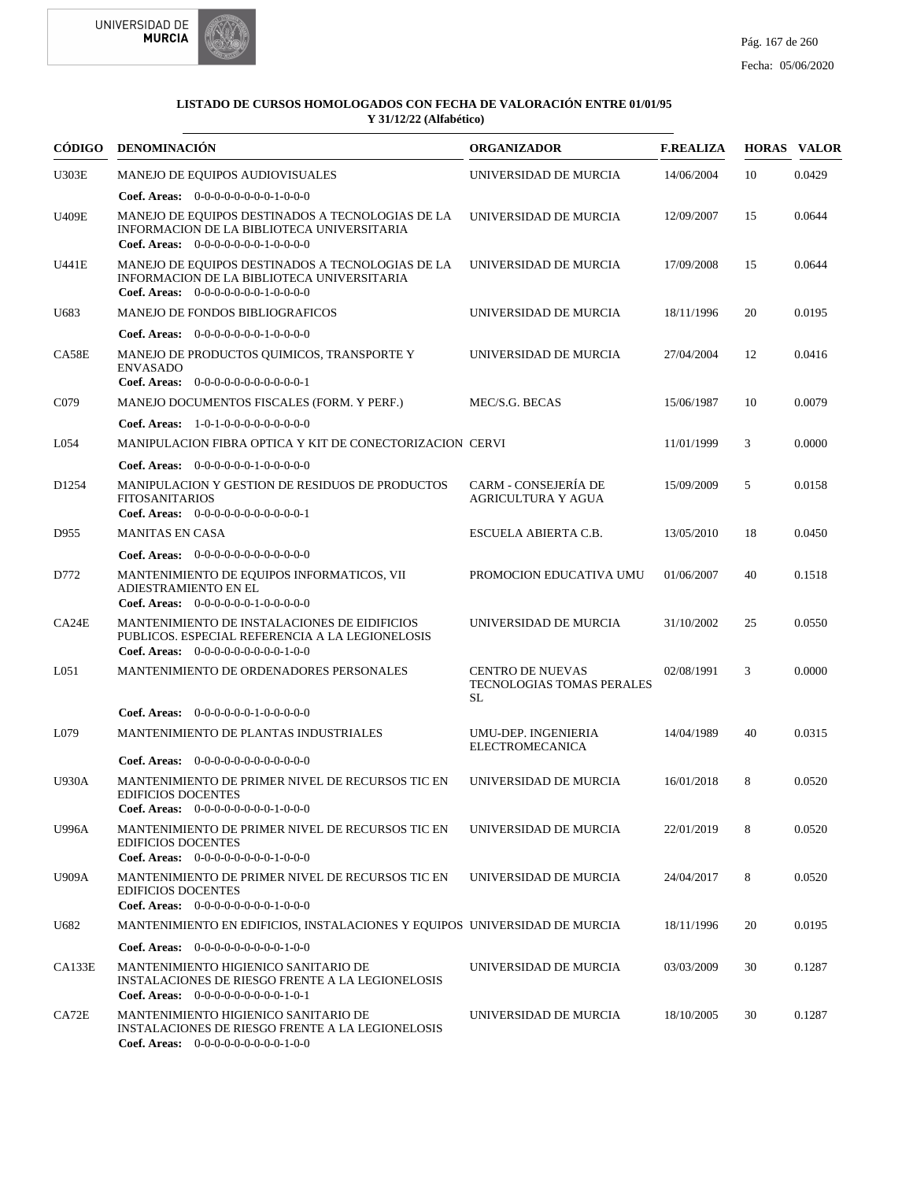



|                   | CÓDIGO DENOMINACIÓN                                                                                                                            | <b>ORGANIZADOR</b>                                                | <b>F.REALIZA</b> |    | <b>HORAS VALOR</b> |
|-------------------|------------------------------------------------------------------------------------------------------------------------------------------------|-------------------------------------------------------------------|------------------|----|--------------------|
| <b>U303E</b>      | MANEJO DE EQUIPOS AUDIOVISUALES                                                                                                                | UNIVERSIDAD DE MURCIA                                             | 14/06/2004       | 10 | 0.0429             |
|                   | Coef. Areas: $0-0-0-0-0-0-0-1-0-0-0$                                                                                                           |                                                                   |                  |    |                    |
| <b>U409E</b>      | MANEJO DE EQUIPOS DESTINADOS A TECNOLOGIAS DE LA<br>INFORMACION DE LA BIBLIOTECA UNIVERSITARIA<br>Coef. Areas: $0-0-0-0-0-0-1-0-0-0-0$         | UNIVERSIDAD DE MURCIA                                             | 12/09/2007       | 15 | 0.0644             |
| U441E             | MANEJO DE EQUIPOS DESTINADOS A TECNOLOGIAS DE LA<br>INFORMACION DE LA BIBLIOTECA UNIVERSITARIA<br>Coef. Areas: $0-0-0-0-0-0-1-0-0-0-0$         | UNIVERSIDAD DE MURCIA                                             | 17/09/2008       | 15 | 0.0644             |
| U683              | <b>MANEJO DE FONDOS BIBLIOGRAFICOS</b>                                                                                                         | UNIVERSIDAD DE MURCIA                                             | 18/11/1996       | 20 | 0.0195             |
|                   | <b>Coef. Areas:</b> $0-0-0-0-0-0-1-0-0-0-0$                                                                                                    |                                                                   |                  |    |                    |
| CA58E             | MANEJO DE PRODUCTOS QUIMICOS, TRANSPORTE Y<br><b>ENVASADO</b><br>Coef. Areas: $0-0-0-0-0-0-0-0-0-0-0-1$                                        | UNIVERSIDAD DE MURCIA                                             | 27/04/2004       | 12 | 0.0416             |
| C079              | MANEJO DOCUMENTOS FISCALES (FORM. Y PERF.)                                                                                                     | MEC/S.G. BECAS                                                    | 15/06/1987       | 10 | 0.0079             |
|                   | <b>Coef. Areas:</b> $1-0-1-0-0-0-0-0-0-0-0$                                                                                                    |                                                                   |                  |    |                    |
| L054              | MANIPULACION FIBRA OPTICA Y KIT DE CONECTORIZACION CERVI                                                                                       |                                                                   | 11/01/1999       | 3  | 0.0000             |
|                   | Coef. Areas: $0-0-0-0-0-1-0-0-0-0-0$                                                                                                           |                                                                   |                  |    |                    |
| D <sub>1254</sub> | MANIPULACION Y GESTION DE RESIDUOS DE PRODUCTOS<br><b>FITOSANITARIOS</b><br>Coef. Areas: $0-0-0-0-0-0-0-0-0-0-0-1$                             | <b>CARM - CONSEJERÍA DE</b><br>AGRICULTURA Y AGUA                 | 15/09/2009       | 5  | 0.0158             |
| D955              | <b>MANITAS EN CASA</b>                                                                                                                         | ESCUELA ABIERTA C.B.                                              | 13/05/2010       | 18 | 0.0450             |
|                   | <b>Coef. Areas:</b> $0-0-0-0-0-0-0-0-0-0-0-0$                                                                                                  |                                                                   |                  |    |                    |
| D772              | MANTENIMIENTO DE EQUIPOS INFORMATICOS, VII<br>ADIESTRAMIENTO EN EL<br><b>Coef. Areas:</b> $0-0-0-0-0-1-0-0-0-0-0$                              | PROMOCION EDUCATIVA UMU                                           | 01/06/2007       | 40 | 0.1518             |
| CA24E             | MANTENIMIENTO DE INSTALACIONES DE EIDIFICIOS<br>PUBLICOS. ESPECIAL REFERENCIA A LA LEGIONELOSIS<br><b>Coef. Areas:</b> $0-0-0-0-0-0-0-0-1-0-0$ | UNIVERSIDAD DE MURCIA                                             | 31/10/2002       | 25 | 0.0550             |
| L <sub>051</sub>  | MANTENIMIENTO DE ORDENADORES PERSONALES                                                                                                        | <b>CENTRO DE NUEVAS</b><br><b>TECNOLOGIAS TOMAS PERALES</b><br>SL | 02/08/1991       | 3  | 0.0000             |
|                   | <b>Coef. Areas:</b> $0-0-0-0-0-1-0-0-0-0-0$                                                                                                    |                                                                   |                  |    |                    |
| L079              | MANTENIMIENTO DE PLANTAS INDUSTRIALES                                                                                                          | UMU-DEP. INGENIERIA<br><b>ELECTROMECANICA</b>                     | 14/04/1989       | 40 | 0.0315             |
|                   | <b>Coef. Areas:</b> $0-0-0-0-0-0-0-0-0-0-0-0$                                                                                                  |                                                                   |                  |    |                    |
| <b>U930A</b>      | MANTENIMIENTO DE PRIMER NIVEL DE RECURSOS TIC EN<br><b>EDIFICIOS DOCENTES</b><br>Coef. Areas: $0-0-0-0-0-0-0-1-0-0-0$                          | UNIVERSIDAD DE MURCIA                                             | 16/01/2018       | 8  | 0.0520             |
| <b>U996A</b>      | MANTENIMIENTO DE PRIMER NIVEL DE RECURSOS TIC EN<br><b>EDIFICIOS DOCENTES</b><br>Coef. Areas: $0-0-0-0-0-0-0-1-0-0-0$                          | UNIVERSIDAD DE MURCIA                                             | 22/01/2019       | 8  | 0.0520             |
| <b>U909A</b>      | MANTENIMIENTO DE PRIMER NIVEL DE RECURSOS TIC EN<br><b>EDIFICIOS DOCENTES</b><br>Coef. Areas: $0-0-0-0-0-0-0-1-0-0-0$                          | UNIVERSIDAD DE MURCIA                                             | 24/04/2017       | 8  | 0.0520             |
| U682              | MANTENIMIENTO EN EDIFICIOS, INSTALACIONES Y EQUIPOS UNIVERSIDAD DE MURCIA                                                                      |                                                                   | 18/11/1996       | 20 | 0.0195             |
|                   | <b>Coef. Areas:</b> $0-0-0-0-0-0-0-0-1-0-0$                                                                                                    |                                                                   |                  |    |                    |
| CA133E            | MANTENIMIENTO HIGIENICO SANITARIO DE<br>INSTALACIONES DE RIESGO FRENTE A LA LEGIONELOSIS<br>Coef. Areas: $0-0-0-0-0-0-0-0-1-0-1$               | UNIVERSIDAD DE MURCIA                                             | 03/03/2009       | 30 | 0.1287             |
| CA72E             | MANTENIMIENTO HIGIENICO SANITARIO DE<br>INSTALACIONES DE RIESGO FRENTE A LA LEGIONELOSIS<br>Coef. Areas: $0-0-0-0-0-0-0-0-1-0-0$               | UNIVERSIDAD DE MURCIA                                             | 18/10/2005       | 30 | 0.1287             |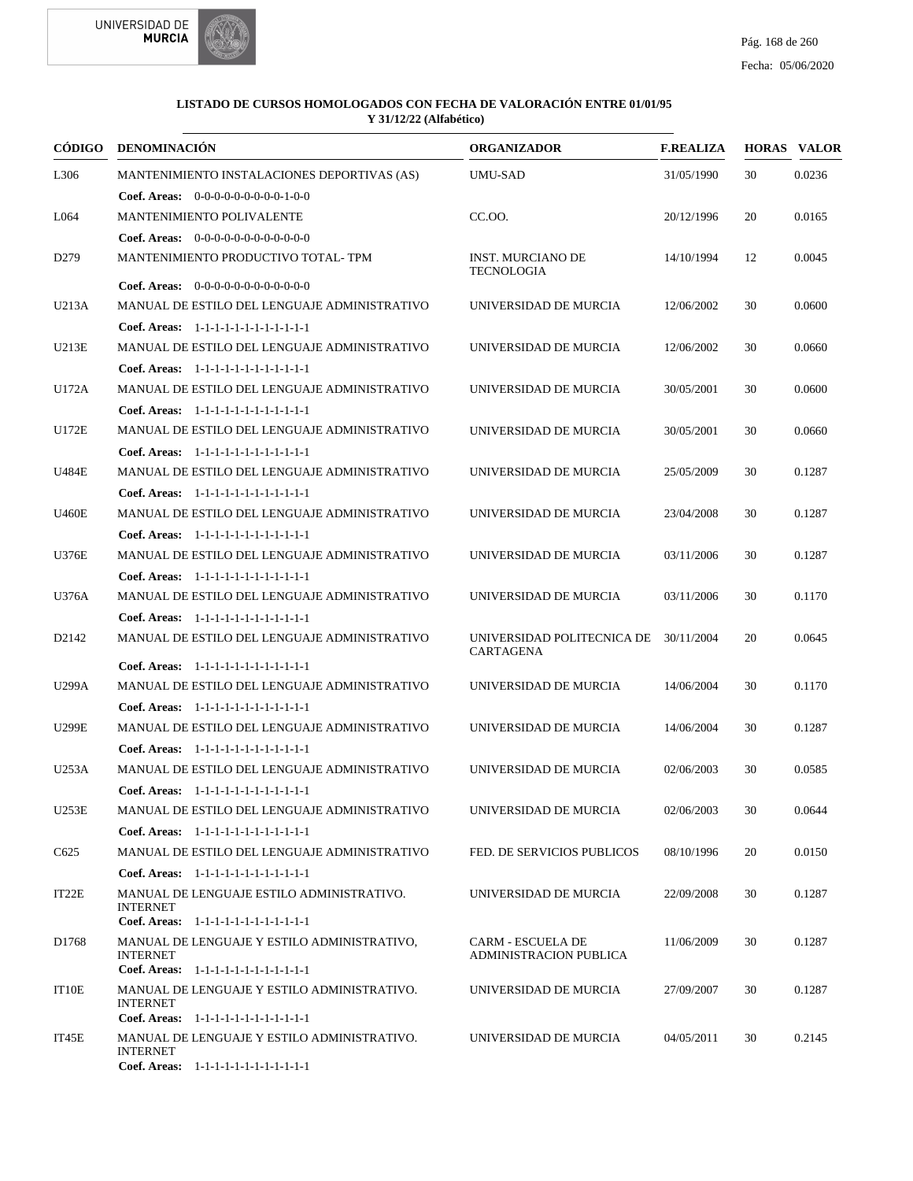



| <b>CÓDIGO</b>     | <b>DENOMINACIÓN</b>                                                                                      | <b>ORGANIZADOR</b>                                        | <b>F.REALIZA</b> |    | <b>HORAS VALOR</b> |
|-------------------|----------------------------------------------------------------------------------------------------------|-----------------------------------------------------------|------------------|----|--------------------|
| L306              | MANTENIMIENTO INSTALACIONES DEPORTIVAS (AS)                                                              | <b>UMU-SAD</b>                                            | 31/05/1990       | 30 | 0.0236             |
|                   | <b>Coef. Areas:</b> $0-0-0-0-0-0-0-0-1-0-0$                                                              |                                                           |                  |    |                    |
| L064              | MANTENIMIENTO POLIVALENTE                                                                                | CC.OO.                                                    | 20/12/1996       | 20 | 0.0165             |
|                   | Coef. Areas: 0-0-0-0-0-0-0-0-0-0-0-0-0                                                                   |                                                           |                  |    |                    |
| D <sub>279</sub>  | MANTENIMIENTO PRODUCTIVO TOTAL-TPM                                                                       | <b>INST. MURCIANO DE</b><br><b>TECNOLOGIA</b>             | 14/10/1994       | 12 | 0.0045             |
|                   | <b>Coef. Areas:</b> $0-0-0-0-0-0-0-0-0-0-0-0$                                                            |                                                           |                  |    |                    |
| U213A             | MANUAL DE ESTILO DEL LENGUAJE ADMINISTRATIVO                                                             | UNIVERSIDAD DE MURCIA                                     | 12/06/2002       | 30 | 0.0600             |
|                   | Coef. Areas: 1-1-1-1-1-1-1-1-1-1-1-1-1                                                                   |                                                           |                  |    |                    |
| U213E             | MANUAL DE ESTILO DEL LENGUAJE ADMINISTRATIVO                                                             | UNIVERSIDAD DE MURCIA                                     | 12/06/2002       | 30 | 0.0660             |
|                   | Coef. Areas: 1-1-1-1-1-1-1-1-1-1-1-1-1                                                                   |                                                           |                  |    |                    |
| U172A             | MANUAL DE ESTILO DEL LENGUAJE ADMINISTRATIVO                                                             | UNIVERSIDAD DE MURCIA                                     | 30/05/2001       | 30 | 0.0600             |
|                   | Coef. Areas: 1-1-1-1-1-1-1-1-1-1-1-1-1                                                                   |                                                           |                  |    |                    |
| U172E             | MANUAL DE ESTILO DEL LENGUAJE ADMINISTRATIVO                                                             | UNIVERSIDAD DE MURCIA                                     | 30/05/2001       | 30 | 0.0660             |
|                   | Coef. Areas: 1-1-1-1-1-1-1-1-1-1-1-1-1                                                                   |                                                           |                  |    |                    |
| <b>U484E</b>      | MANUAL DE ESTILO DEL LENGUAJE ADMINISTRATIVO                                                             | UNIVERSIDAD DE MURCIA                                     | 25/05/2009       | 30 | 0.1287             |
|                   | Coef. Areas: 1-1-1-1-1-1-1-1-1-1-1-1-1                                                                   |                                                           |                  |    |                    |
| <b>U460E</b>      | MANUAL DE ESTILO DEL LENGUAJE ADMINISTRATIVO                                                             | UNIVERSIDAD DE MURCIA                                     | 23/04/2008       | 30 | 0.1287             |
|                   | Coef. Areas: 1-1-1-1-1-1-1-1-1-1-1-1-1                                                                   |                                                           |                  |    |                    |
| U376E             | MANUAL DE ESTILO DEL LENGUAJE ADMINISTRATIVO                                                             | UNIVERSIDAD DE MURCIA                                     | 03/11/2006       | 30 | 0.1287             |
|                   | Coef. Areas: 1-1-1-1-1-1-1-1-1-1-1-1-1                                                                   |                                                           |                  |    |                    |
| U376A             | MANUAL DE ESTILO DEL LENGUAJE ADMINISTRATIVO                                                             | UNIVERSIDAD DE MURCIA                                     | 03/11/2006       | 30 | 0.1170             |
|                   | Coef. Areas: 1-1-1-1-1-1-1-1-1-1-1-1-1                                                                   |                                                           |                  |    |                    |
| D <sub>2142</sub> | MANUAL DE ESTILO DEL LENGUAJE ADMINISTRATIVO                                                             | UNIVERSIDAD POLITECNICA DE<br><b>CARTAGENA</b>            | 30/11/2004       | 20 | 0.0645             |
|                   | Coef. Areas: 1-1-1-1-1-1-1-1-1-1-1-1-1                                                                   |                                                           |                  |    |                    |
| U299A             | MANUAL DE ESTILO DEL LENGUAJE ADMINISTRATIVO                                                             | UNIVERSIDAD DE MURCIA                                     | 14/06/2004       | 30 | 0.1170             |
|                   | Coef. Areas: $1-1-1-1-1-1-1-1-1-1-1$                                                                     |                                                           |                  |    |                    |
| <b>U299E</b>      | MANUAL DE ESTILO DEL LENGUAJE ADMINISTRATIVO                                                             | UNIVERSIDAD DE MURCIA                                     | 14/06/2004       | 30 | 0.1287             |
|                   | Coef. Areas: 1-1-1-1-1-1-1-1-1-1-1-1-1                                                                   |                                                           |                  |    |                    |
| U253A             | MANUAL DE ESTILO DEL LENGUAJE ADMINISTRATIVO                                                             | UNIVERSIDAD DE MURCIA                                     | 02/06/2003       | 30 | 0.0585             |
|                   | Coef. Areas: $1-1-1-1-1-1-1-1-1-1-1$                                                                     |                                                           |                  |    |                    |
| <b>U253E</b>      | MANUAL DE ESTILO DEL LENGUAJE ADMINISTRATIVO                                                             | UNIVERSIDAD DE MURCIA                                     | 02/06/2003       | 30 | 0.0644             |
|                   | Coef. Areas: 1-1-1-1-1-1-1-1-1-1-1-1-1                                                                   |                                                           |                  |    |                    |
| C <sub>625</sub>  | MANUAL DE ESTILO DEL LENGUAJE ADMINISTRATIVO                                                             | FED. DE SERVICIOS PUBLICOS                                | 08/10/1996       | 20 | 0.0150             |
|                   | Coef. Areas: $1-1-1-1-1-1-1-1-1-1-1$                                                                     |                                                           |                  |    |                    |
| IT22E             | MANUAL DE LENGUAJE ESTILO ADMINISTRATIVO.<br><b>INTERNET</b>                                             | UNIVERSIDAD DE MURCIA                                     | 22/09/2008       | 30 | 0.1287             |
|                   | Coef. Areas: 1-1-1-1-1-1-1-1-1-1-1-1-1                                                                   |                                                           |                  |    |                    |
| D1768             | MANUAL DE LENGUAJE Y ESTILO ADMINISTRATIVO,<br><b>INTERNET</b><br>Coef. Areas: 1-1-1-1-1-1-1-1-1-1-1-1-1 | <b>CARM - ESCUELA DE</b><br><b>ADMINISTRACION PUBLICA</b> | 11/06/2009       | 30 | 0.1287             |
| IT10E             | MANUAL DE LENGUAJE Y ESTILO ADMINISTRATIVO.                                                              | UNIVERSIDAD DE MURCIA                                     | 27/09/2007       | 30 | 0.1287             |
|                   | <b>INTERNET</b>                                                                                          |                                                           |                  |    |                    |
|                   | Coef. Areas: 1-1-1-1-1-1-1-1-1-1-1-1-1                                                                   |                                                           |                  |    |                    |
| IT45E             | MANUAL DE LENGUAJE Y ESTILO ADMINISTRATIVO.<br><b>INTERNET</b><br>Coef. Areas: 1-1-1-1-1-1-1-1-1-1-1-1-1 | UNIVERSIDAD DE MURCIA                                     | 04/05/2011       | 30 | 0.2145             |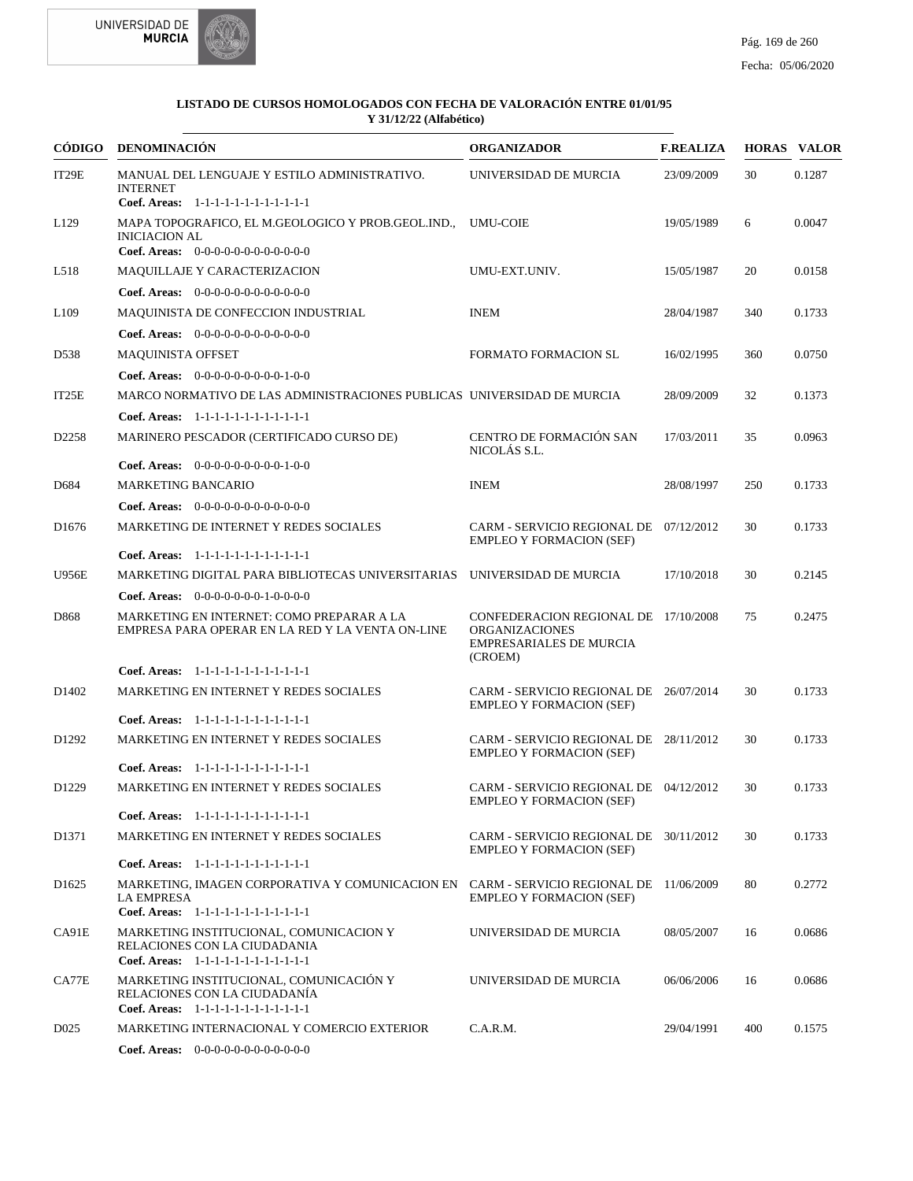



|                   | CÓDIGO DENOMINACIÓN                                                                                                                                   | <b>ORGANIZADOR</b>                                                                                         | <b>F.REALIZA</b> |     | <b>HORAS VALOR</b> |
|-------------------|-------------------------------------------------------------------------------------------------------------------------------------------------------|------------------------------------------------------------------------------------------------------------|------------------|-----|--------------------|
| IT29E             | MANUAL DEL LENGUAJE Y ESTILO ADMINISTRATIVO.<br><b>INTERNET</b>                                                                                       | UNIVERSIDAD DE MURCIA                                                                                      | 23/09/2009       | 30  | 0.1287             |
|                   | Coef. Areas: 1-1-1-1-1-1-1-1-1-1-1-1-1                                                                                                                |                                                                                                            |                  |     |                    |
| L <sub>129</sub>  | MAPA TOPOGRAFICO, EL M.GEOLOGICO Y PROB.GEOL.IND.,<br><b>INICIACION AL</b><br>Coef. Areas: $0-0-0-0-0-0-0-0-0-0-0$                                    | <b>UMU-COIE</b>                                                                                            | 19/05/1989       | 6   | 0.0047             |
| L518              | <b>MAQUILLAJE Y CARACTERIZACION</b>                                                                                                                   | UMU-EXT.UNIV.                                                                                              | 15/05/1987       | 20  | 0.0158             |
|                   | Coef. Areas: $0-0-0-0-0-0-0-0-0-0-0$                                                                                                                  |                                                                                                            |                  |     |                    |
| L <sub>109</sub>  | MAQUINISTA DE CONFECCION INDUSTRIAL                                                                                                                   | <b>INEM</b>                                                                                                | 28/04/1987       | 340 | 0.1733             |
|                   | <b>Coef. Areas:</b> $0-0-0-0-0-0-0-0-0-0-0-0$                                                                                                         |                                                                                                            |                  |     |                    |
| D538              | <b>MAQUINISTA OFFSET</b>                                                                                                                              | FORMATO FORMACION SL                                                                                       | 16/02/1995       | 360 | 0.0750             |
|                   | Coef. Areas: 0-0-0-0-0-0-0-0-0-1-0-0                                                                                                                  |                                                                                                            |                  |     |                    |
|                   |                                                                                                                                                       |                                                                                                            |                  |     |                    |
| IT25E             | MARCO NORMATIVO DE LAS ADMINISTRACIONES PUBLICAS UNIVERSIDAD DE MURCIA                                                                                |                                                                                                            | 28/09/2009       | 32  | 0.1373             |
|                   | Coef. Areas: 1-1-1-1-1-1-1-1-1-1-1-1-1                                                                                                                |                                                                                                            |                  |     |                    |
| D <sub>2258</sub> | MARINERO PESCADOR (CERTIFICADO CURSO DE)                                                                                                              | CENTRO DE FORMACIÓN SAN<br>NICOLÁS S.L.                                                                    | 17/03/2011       | 35  | 0.0963             |
|                   | <b>Coef. Areas:</b> $0-0-0-0-0-0-0-0-1-0-0$                                                                                                           |                                                                                                            |                  |     |                    |
| D684              | <b>MARKETING BANCARIO</b>                                                                                                                             | <b>INEM</b>                                                                                                | 28/08/1997       | 250 | 0.1733             |
|                   | Coef. Areas: $0-0-0-0-0-0-0-0-0-0-0$                                                                                                                  |                                                                                                            |                  |     |                    |
| D <sub>1676</sub> | MARKETING DE INTERNET Y REDES SOCIALES                                                                                                                | CARM - SERVICIO REGIONAL DE 07/12/2012<br><b>EMPLEO Y FORMACION (SEF)</b>                                  |                  | 30  | 0.1733             |
|                   | Coef. Areas: 1-1-1-1-1-1-1-1-1-1-1-1-1                                                                                                                |                                                                                                            |                  |     |                    |
| <b>U956E</b>      | MARKETING DIGITAL PARA BIBLIOTECAS UNIVERSITARIAS UNIVERSIDAD DE MURCIA                                                                               |                                                                                                            | 17/10/2018       | 30  | 0.2145             |
|                   | <b>Coef. Areas:</b> $0-0-0-0-0-0-1-0-0-0-0$                                                                                                           |                                                                                                            |                  |     |                    |
| D868              | MARKETING EN INTERNET: COMO PREPARAR A LA<br>EMPRESA PARA OPERAR EN LA RED Y LA VENTA ON-LINE                                                         | CONFEDERACION REGIONAL DE 17/10/2008<br><b>ORGANIZACIONES</b><br><b>EMPRESARIALES DE MURCIA</b><br>(CROEM) |                  | 75  | 0.2475             |
|                   | Coef. Areas: 1-1-1-1-1-1-1-1-1-1-1-1-1                                                                                                                |                                                                                                            |                  |     |                    |
| D <sub>1402</sub> | MARKETING EN INTERNET Y REDES SOCIALES                                                                                                                | CARM - SERVICIO REGIONAL DE 26/07/2014<br><b>EMPLEO Y FORMACION (SEF)</b>                                  |                  | 30  | 0.1733             |
|                   | Coef. Areas: 1-1-1-1-1-1-1-1-1-1-1-1-1                                                                                                                |                                                                                                            |                  |     |                    |
| D <sub>1292</sub> | MARKETING EN INTERNET Y REDES SOCIALES                                                                                                                | CARM - SERVICIO REGIONAL DE 28/11/2012<br><b>EMPLEO Y FORMACION (SEF)</b>                                  |                  | 30  | 0.1733             |
|                   | Coef. Areas: 1-1-1-1-1-1-1-1-1-1-1-1-1                                                                                                                |                                                                                                            |                  |     |                    |
| D <sub>1229</sub> | MARKETING EN INTERNET Y REDES SOCIALES                                                                                                                | CARM - SERVICIO REGIONAL DE 04/12/2012<br><b>EMPLEO Y FORMACION (SEF)</b>                                  |                  | 30  | 0.1733             |
|                   | Coef. Areas: 1-1-1-1-1-1-1-1-1-1-1-1-1                                                                                                                |                                                                                                            |                  |     |                    |
| D1371             | MARKETING EN INTERNET Y REDES SOCIALES                                                                                                                | CARM - SERVICIO REGIONAL DE 30/11/2012<br><b>EMPLEO Y FORMACION (SEF)</b>                                  |                  | 30  | 0.1733             |
|                   | Coef. Areas: 1-1-1-1-1-1-1-1-1-1-1-1-1                                                                                                                |                                                                                                            |                  |     |                    |
| D <sub>1625</sub> | MARKETING, IMAGEN CORPORATIVA Y COMUNICACION EN CARM - SERVICIO REGIONAL DE 11/06/2009<br><b>LA EMPRESA</b><br>Coef. Areas: 1-1-1-1-1-1-1-1-1-1-1-1-1 | <b>EMPLEO Y FORMACION (SEF)</b>                                                                            |                  | 80  | 0.2772             |
| CA91E             | MARKETING INSTITUCIONAL, COMUNICACION Y<br>RELACIONES CON LA CIUDADANIA<br>Coef. Areas: 1-1-1-1-1-1-1-1-1-1-1-1-1                                     | UNIVERSIDAD DE MURCIA                                                                                      | 08/05/2007       | 16  | 0.0686             |
| CA77E             | MARKETING INSTITUCIONAL, COMUNICACIÓN Y<br>RELACIONES CON LA CIUDADANÍA<br>Coef. Areas: 1-1-1-1-1-1-1-1-1-1-1-1-1                                     | UNIVERSIDAD DE MURCIA                                                                                      | 06/06/2006       | 16  | 0.0686             |
| D <sub>025</sub>  | MARKETING INTERNACIONAL Y COMERCIO EXTERIOR                                                                                                           | C.A.R.M.                                                                                                   | 29/04/1991       | 400 | 0.1575             |
|                   |                                                                                                                                                       |                                                                                                            |                  |     |                    |

0-0-0-0-0-0-0-0-0-0-0-0 **Coef. Areas:**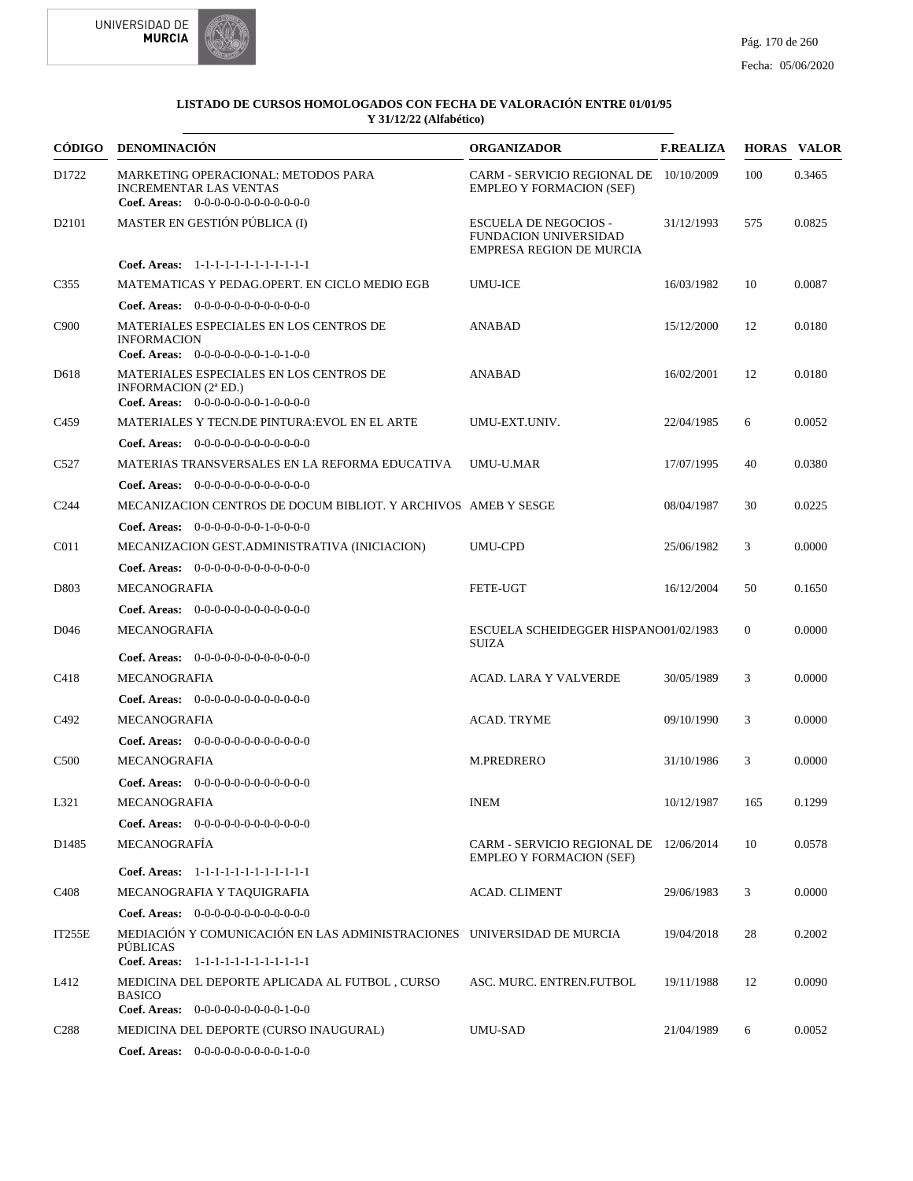



| CÓDIGO            | <b>DENOMINACIÓN</b>                                                                                                                 | <b>ORGANIZADOR</b>                                                                       | <b>F.REALIZA</b> |                | <b>HORAS VALOR</b> |
|-------------------|-------------------------------------------------------------------------------------------------------------------------------------|------------------------------------------------------------------------------------------|------------------|----------------|--------------------|
| D1722             | MARKETING OPERACIONAL: METODOS PARA<br><b>INCREMENTAR LAS VENTAS</b><br><b>Coef. Areas:</b> $0-0-0-0-0-0-0-0-0-0-0-0$               | CARM - SERVICIO REGIONAL DE 10/10/2009<br><b>EMPLEO Y FORMACION (SEF)</b>                |                  | 100            | 0.3465             |
| D <sub>2101</sub> | MASTER EN GESTIÓN PÚBLICA (I)                                                                                                       | <b>ESCUELA DE NEGOCIOS -</b><br>FUNDACION UNIVERSIDAD<br><b>EMPRESA REGION DE MURCIA</b> | 31/12/1993       | 575            | 0.0825             |
|                   | Coef. Areas: 1-1-1-1-1-1-1-1-1-1-1-1-1                                                                                              |                                                                                          |                  |                |                    |
| C <sub>355</sub>  | MATEMATICAS Y PEDAG.OPERT. EN CICLO MEDIO EGB                                                                                       | <b>UMU-ICE</b>                                                                           | 16/03/1982       | 10             | 0.0087             |
|                   | <b>Coef. Areas:</b> $0-0-0-0-0-0-0-0-0-0-0-0$                                                                                       |                                                                                          |                  |                |                    |
| C <sub>900</sub>  | MATERIALES ESPECIALES EN LOS CENTROS DE<br><b>INFORMACION</b><br>Coef. Areas: $0-0-0-0-0-0-1-0-1-0-0$                               | <b>ANABAD</b>                                                                            | 15/12/2000       | 12             | 0.0180             |
| D618              | MATERIALES ESPECIALES EN LOS CENTROS DE<br>INFORMACION (2 <sup>ª</sup> ED.)<br>Coef. Areas: $0-0-0-0-0-0-1-0-0-0-0$                 | ANABAD                                                                                   | 16/02/2001       | 12             | 0.0180             |
| C <sub>459</sub>  | MATERIALES Y TECN.DE PINTURA:EVOL EN EL ARTE                                                                                        | UMU-EXT.UNIV.                                                                            | 22/04/1985       | 6              | 0.0052             |
|                   | <b>Coef. Areas:</b> $0-0-0-0-0-0-0-0-0-0-0-0$                                                                                       |                                                                                          |                  |                |                    |
| C <sub>527</sub>  | MATERIAS TRANSVERSALES EN LA REFORMA EDUCATIVA                                                                                      | UMU-U.MAR                                                                                | 17/07/1995       | 40             | 0.0380             |
|                   | <b>Coef. Areas:</b> $0-0-0-0-0-0-0-0-0-0-0-0$                                                                                       |                                                                                          |                  |                |                    |
| C <sub>244</sub>  | MECANIZACION CENTROS DE DOCUM BIBLIOT. Y ARCHIVOS AMEB Y SESGE                                                                      |                                                                                          | 08/04/1987       | 30             | 0.0225             |
|                   | <b>Coef. Areas:</b> $0-0-0-0-0-0-1-0-0-0-0$                                                                                         |                                                                                          |                  |                |                    |
| C <sub>011</sub>  | MECANIZACION GEST.ADMINISTRATIVA (INICIACION)                                                                                       | <b>UMU-CPD</b>                                                                           | 25/06/1982       | 3              | 0.0000             |
|                   | Coef. Areas: $0-0-0-0-0-0-0-0-0-0-0$                                                                                                |                                                                                          |                  |                |                    |
| D803              | MECANOGRAFIA                                                                                                                        | FETE-UGT                                                                                 | 16/12/2004       | 50             | 0.1650             |
|                   | <b>Coef. Areas:</b> $0-0-0-0-0-0-0-0-0-0-0-0$                                                                                       |                                                                                          |                  |                |                    |
| D <sub>046</sub>  | <b>MECANOGRAFIA</b>                                                                                                                 | ESCUELA SCHEIDEGGER HISPANO01/02/1983<br>SUIZA                                           |                  | $\overline{0}$ | 0.0000             |
|                   | <b>Coef. Areas:</b> $0-0-0-0-0-0-0-0-0-0-0-0$                                                                                       |                                                                                          |                  |                |                    |
| C418              | MECANOGRAFIA                                                                                                                        | ACAD. LARA Y VALVERDE                                                                    | 30/05/1989       | 3              | 0.0000             |
|                   | <b>Coef. Areas:</b> $0-0-0-0-0-0-0-0-0-0-0-0$                                                                                       |                                                                                          |                  |                |                    |
| C <sub>492</sub>  | MECANOGRAFIA                                                                                                                        | <b>ACAD. TRYME</b>                                                                       | 09/10/1990       | 3              | 0.0000             |
|                   | Coef. Areas: $0-0-0-0-0-0-0-0-0-0-0-0$                                                                                              |                                                                                          |                  |                |                    |
| C <sub>500</sub>  | <b>MECANOGRAFIA</b>                                                                                                                 | M.PREDRERO                                                                               | 31/10/1986       | 3              | 0.0000             |
|                   | <b>Coef. Areas:</b> $0-0-0-0-0-0-0-0-0-0-0-0$                                                                                       |                                                                                          |                  |                |                    |
| L321              | MECANOGRAFIA                                                                                                                        | <b>INEM</b>                                                                              | 10/12/1987       | 165            | 0.1299             |
|                   | <b>Coef. Areas:</b> $0-0-0-0-0-0-0-0-0-0-0-0$                                                                                       |                                                                                          |                  |                |                    |
| D <sub>1485</sub> | MECANOGRAFÍA                                                                                                                        | CARM - SERVICIO REGIONAL DE 12/06/2014<br><b>EMPLEO Y FORMACION (SEF)</b>                |                  | 10             | 0.0578             |
|                   | Coef. Areas: 1-1-1-1-1-1-1-1-1-1-1-1-1                                                                                              |                                                                                          |                  |                |                    |
| C <sub>4</sub> 08 | MECANOGRAFIA Y TAQUIGRAFIA                                                                                                          | ACAD. CLIMENT                                                                            | 29/06/1983       | 3              | 0.0000             |
|                   | Coef. Areas: $0-0-0-0-0-0-0-0-0-0-0$                                                                                                |                                                                                          |                  |                |                    |
| IT255E            | MEDIACIÓN Y COMUNICACIÓN EN LAS ADMINISTRACIONES UNIVERSIDAD DE MURCIA<br><b>PÚBLICAS</b><br>Coef. Areas: 1-1-1-1-1-1-1-1-1-1-1-1-1 |                                                                                          | 19/04/2018       | 28             | 0.2002             |
| L412              | MEDICINA DEL DEPORTE APLICADA AL FUTBOL, CURSO                                                                                      | ASC. MURC. ENTREN.FUTBOL                                                                 | 19/11/1988       | 12             | 0.0090             |
|                   | <b>BASICO</b><br>Coef. Areas: $0-0-0-0-0-0-0-0-1-0-0$                                                                               |                                                                                          |                  |                |                    |
| C <sub>288</sub>  | MEDICINA DEL DEPORTE (CURSO INAUGURAL)                                                                                              | UMU-SAD                                                                                  | 21/04/1989       | 6              | 0.0052             |
|                   | Coef. Areas: 0-0-0-0-0-0-0-0-0-1-0-0                                                                                                |                                                                                          |                  |                |                    |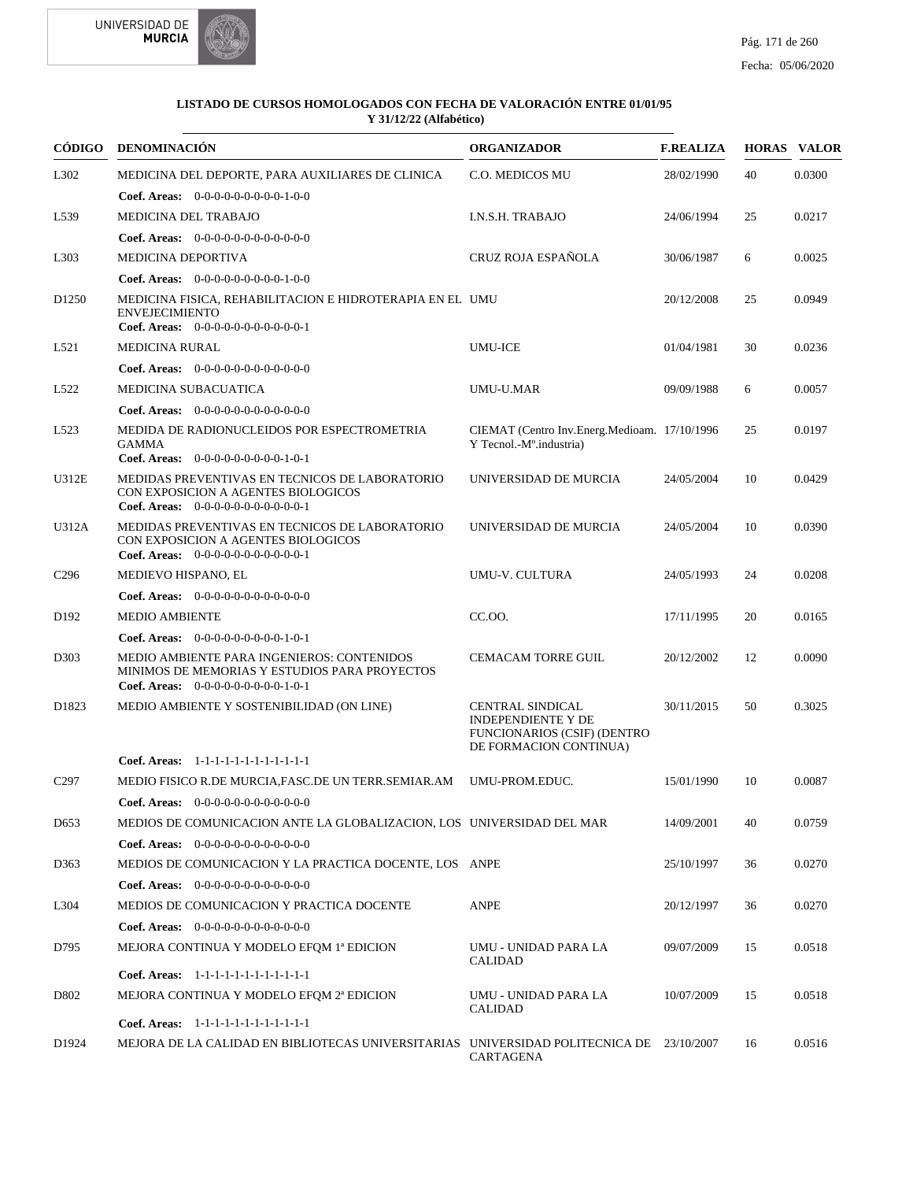



| CÓDIGO            | <b>DENOMINACIÓN</b>                                                                                                                                                          | <b>ORGANIZADOR</b>                                                                  | <b>F.REALIZA</b> |    | <b>HORAS VALOR</b> |
|-------------------|------------------------------------------------------------------------------------------------------------------------------------------------------------------------------|-------------------------------------------------------------------------------------|------------------|----|--------------------|
| L302              | MEDICINA DEL DEPORTE, PARA AUXILIARES DE CLINICA                                                                                                                             | C.O. MEDICOS MU                                                                     | 28/02/1990       | 40 | 0.0300             |
| L539              | <b>Coef. Areas:</b> $0-0-0-0-0-0-0-0-1-0-0$<br><b>MEDICINA DEL TRABAJO</b>                                                                                                   | I.N.S.H. TRABAJO                                                                    | 24/06/1994       | 25 | 0.0217             |
| L303              | Coef. Areas: $0-0-0-0-0-0-0-0-0-0-0$<br><b>MEDICINA DEPORTIVA</b>                                                                                                            | CRUZ ROJA ESPAÑOLA                                                                  | 30/06/1987       | 6  | 0.0025             |
| D <sub>1250</sub> | Coef. Areas: 0-0-0-0-0-0-0-0-0-1-0-0<br>MEDICINA FISICA, REHABILITACION E HIDROTERAPIA EN EL UMU<br><b>ENVEJECIMIENTO</b><br>Coef. Areas: $0-0-0-0-0-0-0-0-0-0-1$            |                                                                                     | 20/12/2008       | 25 | 0.0949             |
| L521              | <b>MEDICINA RURAL</b>                                                                                                                                                        | <b>UMU-ICE</b>                                                                      | 01/04/1981       | 30 | 0.0236             |
|                   | Coef. Areas: $0-0-0-0-0-0-0-0-0-0-0$                                                                                                                                         |                                                                                     |                  |    |                    |
| L522              | <b>MEDICINA SUBACUATICA</b>                                                                                                                                                  | UMU-U.MAR                                                                           | 09/09/1988       | 6  | 0.0057             |
|                   | <b>Coef. Areas:</b> $0-0-0-0-0-0-0-0-0-0-0-0$                                                                                                                                |                                                                                     |                  |    |                    |
| L <sub>523</sub>  | MEDIDA DE RADIONUCLEIDOS POR ESPECTROMETRIA<br><b>GAMMA</b>                                                                                                                  | CIEMAT (Centro Inv.Energ.Medioam. 17/10/1996<br>Y Tecnol.-M°.industria)             |                  | 25 | 0.0197             |
| <b>U312E</b>      | Coef. Areas: $0-0-0-0-0-0-0-0-1-0-1$<br>MEDIDAS PREVENTIVAS EN TECNICOS DE LABORATORIO<br>CON EXPOSICION A AGENTES BIOLOGICOS<br><b>Coef. Areas:</b> $0-0-0-0-0-0-0-0-0-0-1$ | UNIVERSIDAD DE MURCIA                                                               | 24/05/2004       | 10 | 0.0429             |
| U312A             | MEDIDAS PREVENTIVAS EN TECNICOS DE LABORATORIO<br>CON EXPOSICION A AGENTES BIOLOGICOS<br>Coef. Areas: $0-0-0-0-0-0-0-0-0-0-1$                                                | UNIVERSIDAD DE MURCIA                                                               | 24/05/2004       | 10 | 0.0390             |
| C <sub>296</sub>  | MEDIEVO HISPANO, EL                                                                                                                                                          | UMU-V. CULTURA                                                                      | 24/05/1993       | 24 | 0.0208             |
|                   | Coef. Areas: $0-0-0-0-0-0-0-0-0-0-0$                                                                                                                                         |                                                                                     |                  |    |                    |
| D <sub>192</sub>  | <b>MEDIO AMBIENTE</b>                                                                                                                                                        | CC.OO.                                                                              | 17/11/1995       | 20 | 0.0165             |
|                   | Coef. Areas: 0-0-0-0-0-0-0-0-0-1-0-1                                                                                                                                         |                                                                                     |                  |    |                    |
| D303              | MEDIO AMBIENTE PARA INGENIEROS: CONTENIDOS<br>MINIMOS DE MEMORIAS Y ESTUDIOS PARA PROYECTOS                                                                                  | <b>CEMACAM TORRE GUIL</b>                                                           | 20/12/2002       | 12 | 0.0090             |
| D1823             | <b>Coef. Areas:</b> $0-0-0-0-0-0-0-0-1-0-1$<br>MEDIO AMBIENTE Y SOSTENIBILIDAD (ON LINE)                                                                                     | <b>CENTRAL SINDICAL</b><br><b>INDEPENDIENTE Y DE</b><br>FUNCIONARIOS (CSIF) (DENTRO | 30/11/2015       | 50 | 0.3025             |
|                   |                                                                                                                                                                              | DE FORMACION CONTINUA)                                                              |                  |    |                    |
|                   | Coef. Areas: 1-1-1-1-1-1-1-1-1-1-1-1-1                                                                                                                                       |                                                                                     |                  |    |                    |
| C <sub>297</sub>  | MEDIO FISICO R.DE MURCIA, FASC.DE UN TERR.SEMIAR.AM                                                                                                                          | UMU-PROM.EDUC.                                                                      | 15/01/1990       | 10 | 0.0087             |
|                   | <b>Coef. Areas:</b> $0-0-0-0-0-0-0-0-0-0-0-0$                                                                                                                                |                                                                                     |                  |    |                    |
| D <sub>653</sub>  | MEDIOS DE COMUNICACION ANTE LA GLOBALIZACION, LOS UNIVERSIDAD DEL MAR                                                                                                        |                                                                                     | 14/09/2001       | 40 | 0.0759             |
|                   | <b>Coef. Areas:</b> $0-0-0-0-0-0-0-0-0-0-0-0$                                                                                                                                |                                                                                     |                  |    |                    |
| D <sub>363</sub>  | MEDIOS DE COMUNICACION Y LA PRACTICA DOCENTE, LOS ANPE                                                                                                                       |                                                                                     | 25/10/1997       | 36 | 0.0270             |
|                   | <b>Coef. Areas:</b> $0-0-0-0-0-0-0-0-0-0-0-0$                                                                                                                                |                                                                                     |                  |    |                    |
| L304              | MEDIOS DE COMUNICACION Y PRACTICA DOCENTE                                                                                                                                    | <b>ANPE</b>                                                                         | 20/12/1997       | 36 | 0.0270             |
|                   | <b>Coef. Areas:</b> $0-0-0-0-0-0-0-0-0-0-0-0$                                                                                                                                |                                                                                     |                  |    |                    |
| D795              | MEJORA CONTINUA Y MODELO EFQM 1ª EDICION                                                                                                                                     | UMU - UNIDAD PARA LA<br><b>CALIDAD</b>                                              | 09/07/2009       | 15 | 0.0518             |
|                   | Coef. Areas: 1-1-1-1-1-1-1-1-1-1-1-1-1                                                                                                                                       |                                                                                     |                  |    |                    |
| D802              | MEJORA CONTINUA Y MODELO EFOM 2ª EDICION<br>Coef. Areas: 1-1-1-1-1-1-1-1-1-1-1-1-1                                                                                           | UMU - UNIDAD PARA LA<br><b>CALIDAD</b>                                              | 10/07/2009       | 15 | 0.0518             |
| D1924             | MEJORA DE LA CALIDAD EN BIBLIOTECAS UNIVERSITARIAS UNIVERSIDAD POLITECNICA DE 23/10/2007                                                                                     | CARTAGENA                                                                           |                  | 16 | 0.0516             |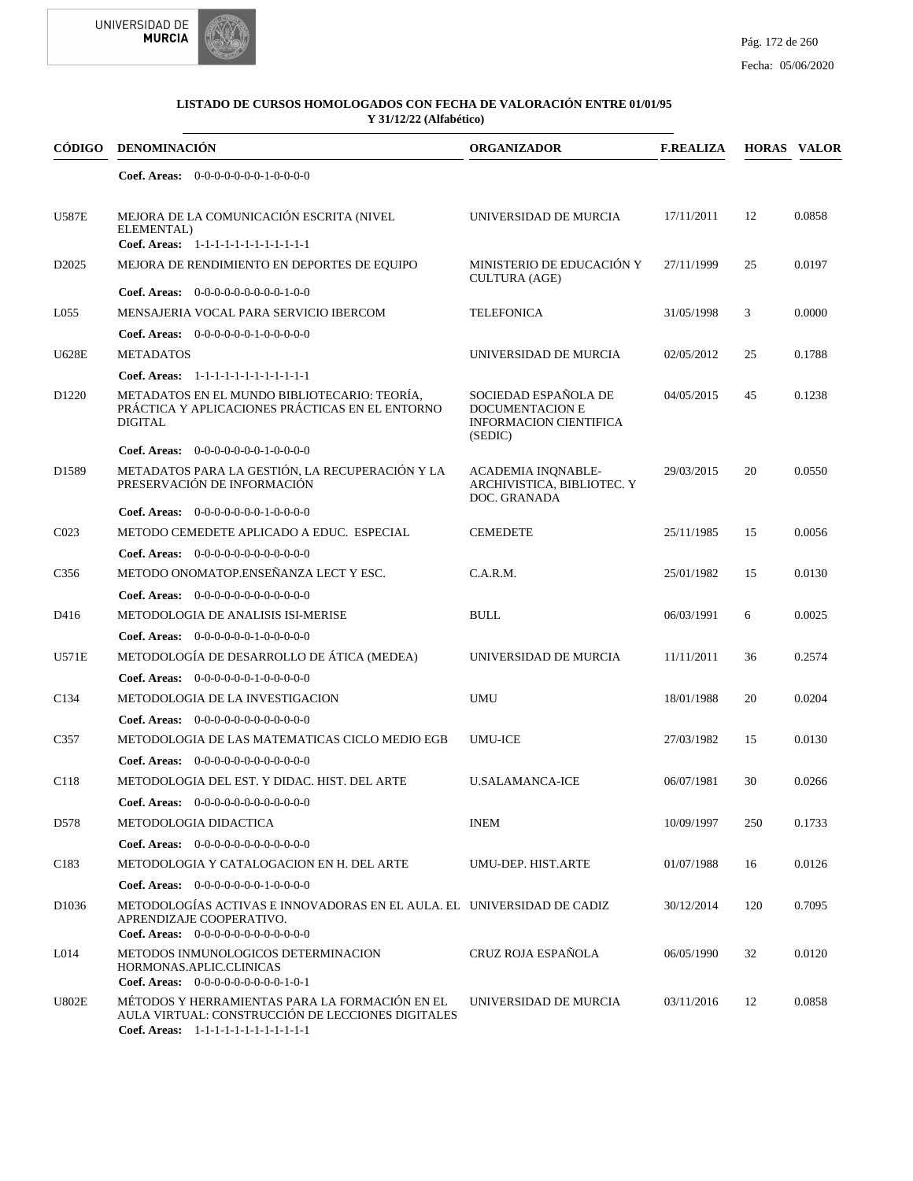

| CÓDIGO            | <b>DENOMINACIÓN</b>                                                                                                                            | <b>ORGANIZADOR</b>                                                                  | <b>F.REALIZA</b> |     | <b>HORAS VALOR</b> |
|-------------------|------------------------------------------------------------------------------------------------------------------------------------------------|-------------------------------------------------------------------------------------|------------------|-----|--------------------|
|                   | Coef. Areas: $0-0-0-0-0-0-1-0-0-0-0$                                                                                                           |                                                                                     |                  |     |                    |
| <b>U587E</b>      | MEJORA DE LA COMUNICACIÓN ESCRITA (NIVEL<br>ELEMENTAL)<br>Coef. Areas: 1-1-1-1-1-1-1-1-1-1-1-1-1                                               | UNIVERSIDAD DE MURCIA                                                               | 17/11/2011       | 12  | 0.0858             |
| D <sub>2025</sub> | MEJORA DE RENDIMIENTO EN DEPORTES DE EQUIPO                                                                                                    | MINISTERIO DE EDUCACIÓN Y<br><b>CULTURA (AGE)</b>                                   | 27/11/1999       | 25  | 0.0197             |
|                   | Coef. Areas: $0-0-0-0-0-0-0-0-1-0-0$                                                                                                           |                                                                                     |                  |     |                    |
| L <sub>055</sub>  | MENSAJERIA VOCAL PARA SERVICIO IBERCOM                                                                                                         | TELEFONICA                                                                          | 31/05/1998       | 3   | 0.0000             |
|                   | <b>Coef. Areas:</b> $0-0-0-0-0-1-0-0-0-0-0$                                                                                                    |                                                                                     |                  |     |                    |
| <b>U628E</b>      | <b>METADATOS</b>                                                                                                                               | UNIVERSIDAD DE MURCIA                                                               | 02/05/2012       | 25  | 0.1788             |
|                   | Coef. Areas: 1-1-1-1-1-1-1-1-1-1-1-1-1                                                                                                         |                                                                                     |                  |     |                    |
| D <sub>1220</sub> | METADATOS EN EL MUNDO BIBLIOTECARIO: TEORÍA,<br>PRÁCTICA Y APLICACIONES PRÁCTICAS EN EL ENTORNO<br><b>DIGITAL</b>                              | SOCIEDAD ESPAÑOLA DE<br>DOCUMENTACION E<br><b>INFORMACION CIENTIFICA</b><br>(SEDIC) | 04/05/2015       | 45  | 0.1238             |
|                   | <b>Coef. Areas:</b> $0-0-0-0-0-0-1-0-0-0-0$                                                                                                    |                                                                                     |                  |     |                    |
| D <sub>1589</sub> | METADATOS PARA LA GESTIÓN, LA RECUPERACIÓN Y LA<br>PRESERVACIÓN DE INFORMACIÓN                                                                 | <b>ACADEMIA INQNABLE-</b><br>ARCHIVISTICA, BIBLIOTEC. Y<br>DOC. GRANADA             | 29/03/2015       | 20  | 0.0550             |
|                   | Coef. Areas: $0-0-0-0-0-0-1-0-0-0-0$                                                                                                           |                                                                                     |                  |     |                    |
| CO <sub>23</sub>  | METODO CEMEDETE APLICADO A EDUC. ESPECIAL                                                                                                      | <b>CEMEDETE</b>                                                                     | 25/11/1985       | 15  | 0.0056             |
|                   | <b>Coef. Areas:</b> $0-0-0-0-0-0-0-0-0-0-0-0$                                                                                                  |                                                                                     |                  |     |                    |
| C <sub>356</sub>  | METODO ONOMATOP.ENSEÑANZA LECT Y ESC.                                                                                                          | C.A.R.M.                                                                            | 25/01/1982       | 15  | 0.0130             |
|                   | Coef. Areas: $0-0-0-0-0-0-0-0-0-0-0$                                                                                                           |                                                                                     |                  |     |                    |
| D416              | METODOLOGIA DE ANALISIS ISI-MERISE                                                                                                             | <b>BULL</b>                                                                         | 06/03/1991       | 6   | 0.0025             |
|                   | <b>Coef. Areas:</b> $0-0-0-0-0-1-0-0-0-0-0$                                                                                                    |                                                                                     |                  |     |                    |
| <b>U571E</b>      | METODOLOGÍA DE DESARROLLO DE ÁTICA (MEDEA)                                                                                                     | UNIVERSIDAD DE MURCIA                                                               | 11/11/2011       | 36  | 0.2574             |
|                   | <b>Coef. Areas:</b> $0-0-0-0-0-1-0-0-0-0-0$                                                                                                    |                                                                                     |                  |     |                    |
| C <sub>134</sub>  | METODOLOGIA DE LA INVESTIGACION                                                                                                                | <b>UMU</b>                                                                          | 18/01/1988       | 20  | 0.0204             |
|                   | <b>Coef. Areas:</b> $0-0-0-0-0-0-0-0-0-0-0-0$                                                                                                  |                                                                                     |                  |     |                    |
| C357              | METODOLOGIA DE LAS MATEMATICAS CICLO MEDIO EGB                                                                                                 | <b>UMU-ICE</b>                                                                      | 27/03/1982       | 15  | 0.0130             |
|                   | <b>Coef. Areas:</b> $0-0-0-0-0-0-0-0-0-0-0-0$                                                                                                  |                                                                                     |                  |     |                    |
| C118              | METODOLOGIA DEL EST. Y DIDAC. HIST. DEL ARTE                                                                                                   | <b>U.SALAMANCA-ICE</b>                                                              | 06/07/1981       | 30  | 0.0266             |
|                   | <b>Coef. Areas:</b> $0-0-0-0-0-0-0-0-0-0-0-0$                                                                                                  |                                                                                     |                  |     |                    |
| D578              | METODOLOGIA DIDACTICA                                                                                                                          | <b>INEM</b>                                                                         | 10/09/1997       | 250 | 0.1733             |
|                   | <b>Coef. Areas:</b> $0-0-0-0-0-0-0-0-0-0-0-0$                                                                                                  |                                                                                     |                  |     |                    |
| C <sub>183</sub>  | METODOLOGIA Y CATALOGACION EN H. DEL ARTE                                                                                                      | UMU-DEP. HIST.ARTE                                                                  | 01/07/1988       | 16  | 0.0126             |
|                   | <b>Coef. Areas:</b> $0-0-0-0-0-0-1-0-0-0-0$                                                                                                    |                                                                                     |                  |     |                    |
| D <sub>1036</sub> | METODOLOGÍAS ACTIVAS E INNOVADORAS EN EL AULA. EL UNIVERSIDAD DE CADIZ<br>APRENDIZAJE COOPERATIVO.                                             |                                                                                     | 30/12/2014       | 120 | 0.7095             |
| L <sub>014</sub>  | Coef. Areas: $0-0-0-0-0-0-0-0-0-0-0$<br>METODOS INMUNOLOGICOS DETERMINACION<br>HORMONAS.APLIC.CLINICAS<br>Coef. Areas: $0-0-0-0-0-0-0-0-1-0-1$ | CRUZ ROJA ESPAÑOLA                                                                  | 06/05/1990       | 32  | 0.0120             |
| <b>U802E</b>      | MÉTODOS Y HERRAMIENTAS PARA LA FORMACIÓN EN EL<br>AULA VIRTUAL: CONSTRUCCIÓN DE LECCIONES DIGITALES<br>Coef. Areas: 1-1-1-1-1-1-1-1-1-1-1-1-1  | UNIVERSIDAD DE MURCIA                                                               | 03/11/2016       | 12  | 0.0858             |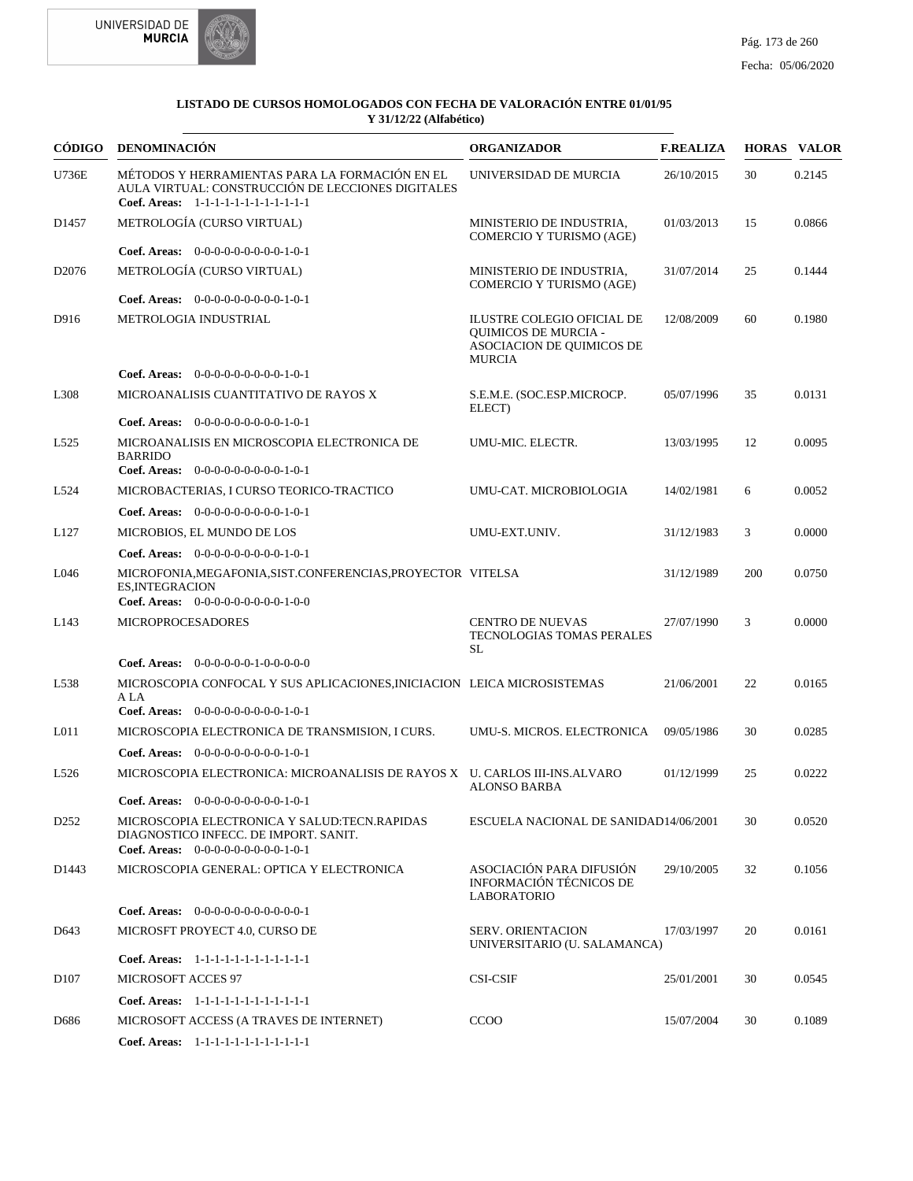



| CÓDIGO            | <b>DENOMINACIÓN</b>                                                                                                                           | <b>ORGANIZADOR</b>                                                                                      | <b>F.REALIZA</b> |     | <b>HORAS VALOR</b> |
|-------------------|-----------------------------------------------------------------------------------------------------------------------------------------------|---------------------------------------------------------------------------------------------------------|------------------|-----|--------------------|
| U736E             | MÉTODOS Y HERRAMIENTAS PARA LA FORMACIÓN EN EL<br>AULA VIRTUAL: CONSTRUCCIÓN DE LECCIONES DIGITALES<br>Coef. Areas: 1-1-1-1-1-1-1-1-1-1-1-1-1 | UNIVERSIDAD DE MURCIA                                                                                   | 26/10/2015       | 30  | 0.2145             |
| D <sub>1457</sub> | METROLOGÍA (CURSO VIRTUAL)                                                                                                                    | MINISTERIO DE INDUSTRIA.<br><b>COMERCIO Y TURISMO (AGE)</b>                                             | 01/03/2013       | 15  | 0.0866             |
|                   | Coef. Areas: $0-0-0-0-0-0-0-0-1-0-1$                                                                                                          |                                                                                                         |                  |     |                    |
| D2076             | METROLOGÍA (CURSO VIRTUAL)                                                                                                                    | MINISTERIO DE INDUSTRIA,<br><b>COMERCIO Y TURISMO (AGE)</b>                                             | 31/07/2014       | 25  | 0.1444             |
|                   | Coef. Areas: $0-0-0-0-0-0-0-0-1-0-1$                                                                                                          |                                                                                                         |                  |     |                    |
| D916              | METROLOGIA INDUSTRIAL                                                                                                                         | ILUSTRE COLEGIO OFICIAL DE<br><b>OUIMICOS DE MURCIA -</b><br>ASOCIACION DE QUIMICOS DE<br><b>MURCIA</b> | 12/08/2009       | 60  | 0.1980             |
|                   | Coef. Areas: $0-0-0-0-0-0-0-0-1-0-1$                                                                                                          |                                                                                                         |                  |     |                    |
| L308              | MICROANALISIS CUANTITATIVO DE RAYOS X                                                                                                         | S.E.M.E. (SOC.ESP.MICROCP.<br>ELECT)                                                                    | 05/07/1996       | 35  | 0.0131             |
|                   | Coef. Areas: 0-0-0-0-0-0-0-0-0-1-0-1                                                                                                          |                                                                                                         |                  |     |                    |
| L <sub>525</sub>  | MICROANALISIS EN MICROSCOPIA ELECTRONICA DE<br><b>BARRIDO</b>                                                                                 | UMU-MIC. ELECTR.                                                                                        | 13/03/1995       | 12  | 0.0095             |
|                   | <b>Coef. Areas:</b> $0-0-0-0-0-0-0-0-1-0-1$                                                                                                   |                                                                                                         |                  |     |                    |
| L524              | MICROBACTERIAS, I CURSO TEORICO-TRACTICO                                                                                                      | UMU-CAT. MICROBIOLOGIA                                                                                  | 14/02/1981       | 6   | 0.0052             |
|                   | Coef. Areas: 0-0-0-0-0-0-0-0-0-1-0-1                                                                                                          |                                                                                                         |                  |     |                    |
| L127              | MICROBIOS, EL MUNDO DE LOS                                                                                                                    | UMU-EXT.UNIV.                                                                                           | 31/12/1983       | 3   | 0.0000             |
|                   | Coef. Areas: $0-0-0-0-0-0-0-0-1-0-1$                                                                                                          |                                                                                                         |                  |     |                    |
| L046              | MICROFONIA, MEGAFONIA, SIST. CONFERENCIAS, PROYECTOR VITELSA<br><b>ES, INTEGRACION</b><br>Coef. Areas: $0-0-0-0-0-0-0-0-1-0-0$                |                                                                                                         | 31/12/1989       | 200 | 0.0750             |
| L143              | <b>MICROPROCESADORES</b>                                                                                                                      | <b>CENTRO DE NUEVAS</b><br>TECNOLOGIAS TOMAS PERALES<br>SL                                              | 27/07/1990       | 3   | 0.0000             |
|                   | <b>Coef. Areas:</b> $0-0-0-0-0-1-0-0-0-0-0$                                                                                                   |                                                                                                         |                  |     |                    |
| L538              | MICROSCOPIA CONFOCAL Y SUS APLICACIONES, INICIACION LEICA MICROSISTEMAS<br>A LA                                                               |                                                                                                         | 21/06/2001       | 22  | 0.0165             |
|                   | Coef. Areas: 0-0-0-0-0-0-0-0-0-1-0-1                                                                                                          |                                                                                                         |                  |     |                    |
| L <sub>011</sub>  | MICROSCOPIA ELECTRONICA DE TRANSMISION, I CURS.                                                                                               | UMU-S. MICROS. ELECTRONICA                                                                              | 09/05/1986       | 30  | 0.0285             |
|                   | Coef. Areas: $0-0-0-0-0-0-0-0-1-0-1$                                                                                                          |                                                                                                         |                  |     |                    |
| L <sub>526</sub>  | MICROSCOPIA ELECTRONICA: MICROANALISIS DE RAYOS X U. CARLOS III-INS.ALVARO                                                                    | <b>ALONSO BARBA</b>                                                                                     | 01/12/1999       | 25  | 0.0222             |
|                   | Coef. Areas: $0-0-0-0-0-0-0-0-1-0-1$                                                                                                          |                                                                                                         |                  |     |                    |
| D <sub>252</sub>  | MICROSCOPIA ELECTRONICA Y SALUD:TECN.RAPIDAS<br>DIAGNOSTICO INFECC. DE IMPORT. SANIT.<br>Coef. Areas: $0-0-0-0-0-0-0-0-1-0-1$                 | ESCUELA NACIONAL DE SANIDAD14/06/2001                                                                   |                  | 30  | 0.0520             |
| D1443             | MICROSCOPIA GENERAL: OPTICA Y ELECTRONICA                                                                                                     | ASOCIACIÓN PARA DIFUSIÓN<br>INFORMACIÓN TÉCNICOS DE<br><b>LABORATORIO</b>                               | 29/10/2005       | 32  | 0.1056             |
|                   | Coef. Areas: $0-0-0-0-0-0-0-0-0-0-0-1$                                                                                                        |                                                                                                         |                  |     |                    |
| D643              | MICROSFT PROYECT 4.0, CURSO DE                                                                                                                | <b>SERV. ORIENTACION</b><br>UNIVERSITARIO (U. SALAMANCA)                                                | 17/03/1997       | 20  | 0.0161             |
|                   | Coef. Areas: 1-1-1-1-1-1-1-1-1-1-1-1-1                                                                                                        |                                                                                                         |                  |     |                    |
| D <sub>107</sub>  | <b>MICROSOFT ACCES 97</b>                                                                                                                     | <b>CSI-CSIF</b>                                                                                         | 25/01/2001       | 30  | 0.0545             |
|                   | Coef. Areas: 1-1-1-1-1-1-1-1-1-1-1-1-1                                                                                                        |                                                                                                         |                  |     |                    |
| D686              | MICROSOFT ACCESS (A TRAVES DE INTERNET)                                                                                                       | <b>CCOO</b>                                                                                             | 15/07/2004       | 30  | 0.1089             |
|                   | Coef. Areas: 1-1-1-1-1-1-1-1-1-1-1-1-1                                                                                                        |                                                                                                         |                  |     |                    |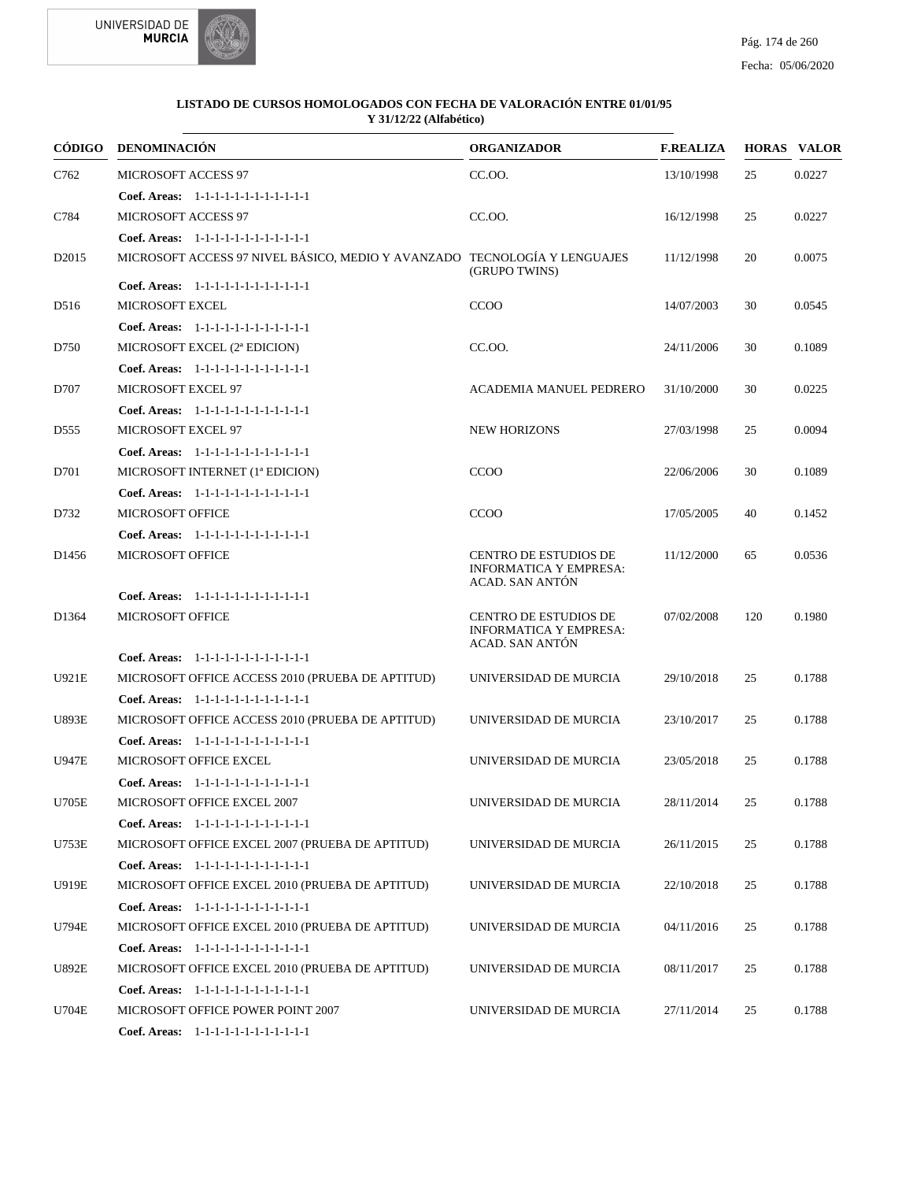

| <b>CÓDIGO</b>     | <b>DENOMINACIÓN</b>                                                       | <b>ORGANIZADOR</b>                                                               | <b>F.REALIZA</b> |     | <b>HORAS VALOR</b> |
|-------------------|---------------------------------------------------------------------------|----------------------------------------------------------------------------------|------------------|-----|--------------------|
| C762              | <b>MICROSOFT ACCESS 97</b>                                                | CC.OO.                                                                           | 13/10/1998       | 25  | 0.0227             |
|                   | Coef. Areas: $1-1-1-1-1-1-1-1-1-1-1$                                      |                                                                                  |                  |     |                    |
| C784              | <b>MICROSOFT ACCESS 97</b>                                                | CC.OO.                                                                           | 16/12/1998       | 25  | 0.0227             |
|                   | Coef. Areas: 1-1-1-1-1-1-1-1-1-1-1-1-1                                    |                                                                                  |                  |     |                    |
| D2015             | MICROSOFT ACCESS 97 NIVEL BÁSICO, MEDIO Y AVANZADO TECNOLOGÍA Y LENGUAJES | (GRUPO TWINS)                                                                    | 11/12/1998       | 20  | 0.0075             |
|                   | Coef. Areas: 1-1-1-1-1-1-1-1-1-1-1-1-1                                    |                                                                                  |                  |     |                    |
| D516              | <b>MICROSOFT EXCEL</b>                                                    | <b>CCOO</b>                                                                      | 14/07/2003       | 30  | 0.0545             |
|                   | Coef. Areas: 1-1-1-1-1-1-1-1-1-1-1-1-1                                    |                                                                                  |                  |     |                    |
| D750              | MICROSOFT EXCEL (2ª EDICION)                                              | CC.OO.                                                                           | 24/11/2006       | 30  | 0.1089             |
|                   | Coef. Areas: $1-1-1-1-1-1-1-1-1-1-1$                                      |                                                                                  |                  |     |                    |
| D707              | <b>MICROSOFT EXCEL 97</b>                                                 | ACADEMIA MANUEL PEDRERO                                                          | 31/10/2000       | 30  | 0.0225             |
|                   | Coef. Areas: 1-1-1-1-1-1-1-1-1-1-1-1-1                                    |                                                                                  |                  |     |                    |
| D <sub>555</sub>  | MICROSOFT EXCEL 97                                                        | <b>NEW HORIZONS</b>                                                              | 27/03/1998       | 25  | 0.0094             |
|                   | Coef. Areas: 1-1-1-1-1-1-1-1-1-1-1-1-1                                    |                                                                                  |                  |     |                    |
| D701              | MICROSOFT INTERNET (1ª EDICION)                                           | <b>CCOO</b>                                                                      | 22/06/2006       | 30  | 0.1089             |
|                   | Coef. Areas: 1-1-1-1-1-1-1-1-1-1-1-1-1                                    |                                                                                  |                  |     |                    |
| D732              | <b>MICROSOFT OFFICE</b>                                                   | CCOO                                                                             | 17/05/2005       | 40  | 0.1452             |
|                   | Coef. Areas: 1-1-1-1-1-1-1-1-1-1-1-1-1                                    |                                                                                  |                  |     |                    |
| D <sub>1456</sub> | <b>MICROSOFT OFFICE</b>                                                   | <b>CENTRO DE ESTUDIOS DE</b><br><b>INFORMATICA Y EMPRESA:</b><br>ACAD. SAN ANTÓN | 11/12/2000       | 65  | 0.0536             |
|                   | Coef. Areas: 1-1-1-1-1-1-1-1-1-1-1-1-1                                    |                                                                                  |                  |     |                    |
| D1364             | <b>MICROSOFT OFFICE</b>                                                   | <b>CENTRO DE ESTUDIOS DE</b><br><b>INFORMATICA Y EMPRESA:</b><br>ACAD. SAN ANTÓN | 07/02/2008       | 120 | 0.1980             |
|                   | Coef. Areas: 1-1-1-1-1-1-1-1-1-1-1-1-1                                    |                                                                                  |                  |     |                    |
| U921E             | MICROSOFT OFFICE ACCESS 2010 (PRUEBA DE APTITUD)                          | UNIVERSIDAD DE MURCIA                                                            | 29/10/2018       | 25  | 0.1788             |
|                   | Coef. Areas: $1-1-1-1-1-1-1-1-1-1-1$                                      |                                                                                  |                  |     |                    |
| <b>U893E</b>      | MICROSOFT OFFICE ACCESS 2010 (PRUEBA DE APTITUD)                          | UNIVERSIDAD DE MURCIA                                                            | 23/10/2017       | 25  | 0.1788             |
|                   | Coef. Areas: 1-1-1-1-1-1-1-1-1-1-1-1-1                                    |                                                                                  |                  |     |                    |
| <b>U947E</b>      | MICROSOFT OFFICE EXCEL                                                    | UNIVERSIDAD DE MURCIA                                                            | 23/05/2018       | 25  | 0.1788             |
|                   | Coef. Areas: 1-1-1-1-1-1-1-1-1-1-1-1-1                                    |                                                                                  |                  |     |                    |
| U705E             | MICROSOFT OFFICE EXCEL 2007                                               | UNIVERSIDAD DE MURCIA                                                            | 28/11/2014       | 25  | 0.1788             |
|                   | Coef. Areas: 1-1-1-1-1-1-1-1-1-1-1-1-1                                    |                                                                                  |                  |     |                    |
| U753E             | MICROSOFT OFFICE EXCEL 2007 (PRUEBA DE APTITUD)                           | UNIVERSIDAD DE MURCIA                                                            | 26/11/2015       | 25  | 0.1788             |
|                   | Coef. Areas: 1-1-1-1-1-1-1-1-1-1-1-1-1                                    |                                                                                  |                  |     |                    |
| U919E             | MICROSOFT OFFICE EXCEL 2010 (PRUEBA DE APTITUD)                           | UNIVERSIDAD DE MURCIA                                                            | 22/10/2018       | 25  | 0.1788             |
|                   | Coef. Areas: 1-1-1-1-1-1-1-1-1-1-1-1-1                                    |                                                                                  |                  |     |                    |
| U794E             | MICROSOFT OFFICE EXCEL 2010 (PRUEBA DE APTITUD)                           | UNIVERSIDAD DE MURCIA                                                            | 04/11/2016       | 25  | 0.1788             |
|                   | Coef. Areas: 1-1-1-1-1-1-1-1-1-1-1-1-1                                    |                                                                                  |                  |     |                    |
| U892E             | MICROSOFT OFFICE EXCEL 2010 (PRUEBA DE APTITUD)                           | UNIVERSIDAD DE MURCIA                                                            | 08/11/2017       | 25  | 0.1788             |
|                   | Coef. Areas: 1-1-1-1-1-1-1-1-1-1-1-1-1                                    |                                                                                  |                  |     |                    |
| U704E             | MICROSOFT OFFICE POWER POINT 2007                                         | UNIVERSIDAD DE MURCIA                                                            | 27/11/2014       | 25  | 0.1788             |
|                   |                                                                           |                                                                                  |                  |     |                    |
|                   | Coef. Areas: 1-1-1-1-1-1-1-1-1-1-1-1-1                                    |                                                                                  |                  |     |                    |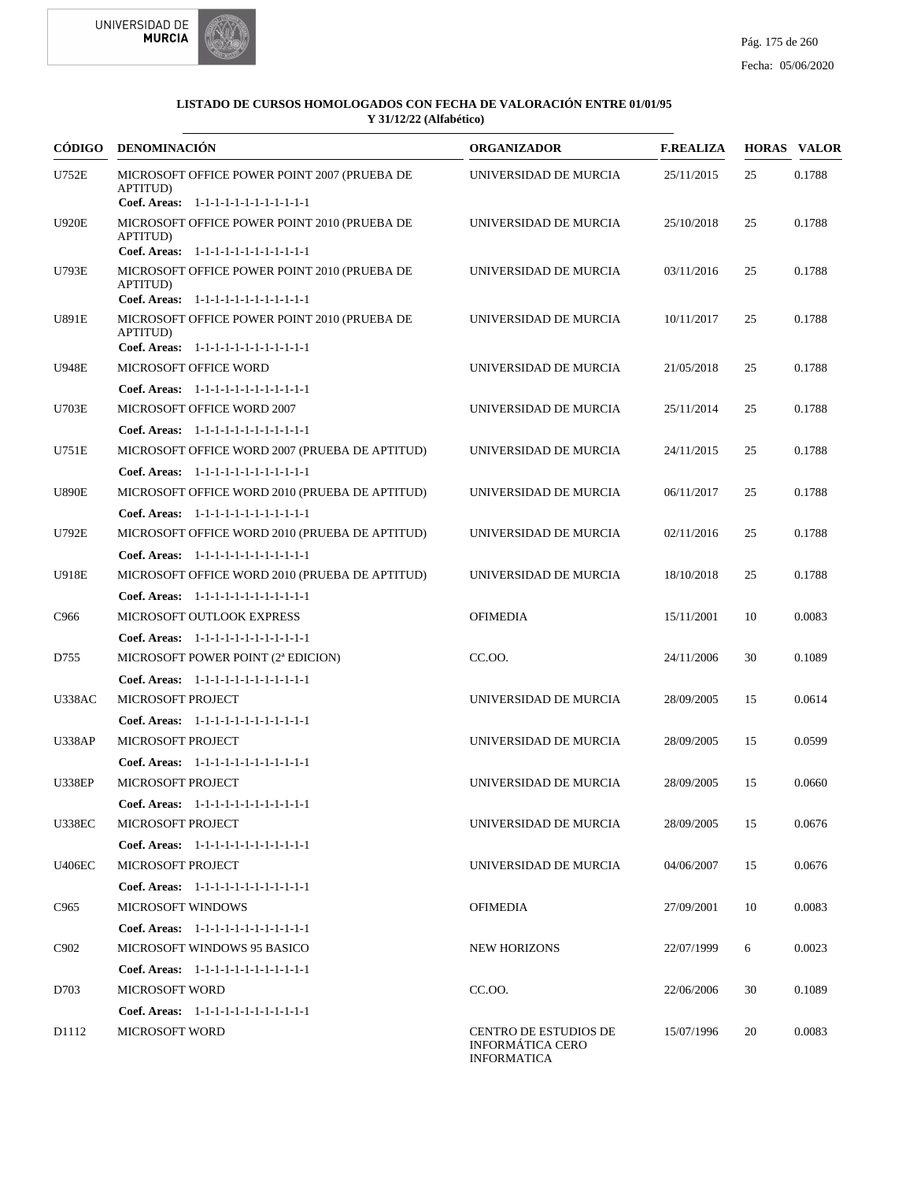



|                  | CÓDIGO DENOMINACIÓN                                                                                         | <b>ORGANIZADOR</b>                                                            | <b>F.REALIZA</b> |    | <b>HORAS VALOR</b> |
|------------------|-------------------------------------------------------------------------------------------------------------|-------------------------------------------------------------------------------|------------------|----|--------------------|
| <b>U752E</b>     | MICROSOFT OFFICE POWER POINT 2007 (PRUEBA DE<br>APTITUD)<br>Coef. Areas: 1-1-1-1-1-1-1-1-1-1-1-1-1          | UNIVERSIDAD DE MURCIA                                                         | 25/11/2015       | 25 | 0.1788             |
| <b>U920E</b>     | MICROSOFT OFFICE POWER POINT 2010 (PRUEBA DE<br><b>APTITUD)</b>                                             | UNIVERSIDAD DE MURCIA                                                         | 25/10/2018       | 25 | 0.1788             |
| U793E            | Coef. Areas: 1-1-1-1-1-1-1-1-1-1-1-1-1<br>MICROSOFT OFFICE POWER POINT 2010 (PRUEBA DE<br>APTITUD)          | UNIVERSIDAD DE MURCIA                                                         | 03/11/2016       | 25 | 0.1788             |
| U891E            | Coef. Areas: 1-1-1-1-1-1-1-1-1-1-1-1-1<br>MICROSOFT OFFICE POWER POINT 2010 (PRUEBA DE<br>APTITUD)          | UNIVERSIDAD DE MURCIA                                                         | 10/11/2017       | 25 | 0.1788             |
| <b>U948E</b>     | Coef. Areas: 1-1-1-1-1-1-1-1-1-1-1-1-1<br>MICROSOFT OFFICE WORD                                             | UNIVERSIDAD DE MURCIA                                                         | 21/05/2018       | 25 | 0.1788             |
| <b>U703E</b>     | Coef. Areas: $1-1-1-1-1-1-1-1-1-1-1$<br>MICROSOFT OFFICE WORD 2007                                          | UNIVERSIDAD DE MURCIA                                                         | 25/11/2014       | 25 | 0.1788             |
| U751E            | Coef. Areas: 1-1-1-1-1-1-1-1-1-1-1-1-1<br>MICROSOFT OFFICE WORD 2007 (PRUEBA DE APTITUD)                    | UNIVERSIDAD DE MURCIA                                                         | 24/11/2015       | 25 | 0.1788             |
| <b>U890E</b>     | Coef. Areas: 1-1-1-1-1-1-1-1-1-1-1-1-1<br>MICROSOFT OFFICE WORD 2010 (PRUEBA DE APTITUD)                    | UNIVERSIDAD DE MURCIA                                                         | 06/11/2017       | 25 | 0.1788             |
| <b>U792E</b>     | Coef. Areas: $1-1-1-1-1-1-1-1-1-1-1$<br>MICROSOFT OFFICE WORD 2010 (PRUEBA DE APTITUD)                      | UNIVERSIDAD DE MURCIA                                                         | 02/11/2016       | 25 | 0.1788             |
| <b>U918E</b>     | Coef. Areas: 1-1-1-1-1-1-1-1-1-1-1-1-1<br>MICROSOFT OFFICE WORD 2010 (PRUEBA DE APTITUD)                    | UNIVERSIDAD DE MURCIA                                                         | 18/10/2018       | 25 | 0.1788             |
| C966             | Coef. Areas: 1-1-1-1-1-1-1-1-1-1-1-1-1<br>MICROSOFT OUTLOOK EXPRESS<br>Coef. Areas: $1-1-1-1-1-1-1-1-1-1-1$ | <b>OFIMEDIA</b>                                                               | 15/11/2001       | 10 | 0.0083             |
| D755             | MICROSOFT POWER POINT (2 <sup>ª</sup> EDICION)<br>Coef. Areas: 1-1-1-1-1-1-1-1-1-1-1-1-1                    | CC.00.                                                                        | 24/11/2006       | 30 | 0.1089             |
| <b>U338AC</b>    | <b>MICROSOFT PROJECT</b><br>Coef. Areas: 1-1-1-1-1-1-1-1-1-1-1-1-1                                          | UNIVERSIDAD DE MURCIA                                                         | 28/09/2005       | 15 | 0.0614             |
| <b>U338AP</b>    | <b>MICROSOFT PROJECT</b><br>Coef. Areas: $1-1-1-1-1-1-1-1-1-1-1$                                            | UNIVERSIDAD DE MURCIA                                                         | 28/09/2005       | 15 | 0.0599             |
| <b>U338EP</b>    | <b>MICROSOFT PROJECT</b><br>Coef. Areas: $1-1-1-1-1-1-1-1-1-1-1$                                            | UNIVERSIDAD DE MURCIA                                                         | 28/09/2005       | 15 | 0.0660             |
| <b>U338EC</b>    | MICROSOFT PROJECT<br>Coef. Areas: 1-1-1-1-1-1-1-1-1-1-1-1-1                                                 | UNIVERSIDAD DE MURCIA                                                         | 28/09/2005       | 15 | 0.0676             |
| <b>U406EC</b>    | <b>MICROSOFT PROJECT</b><br>Coef. Areas: 1-1-1-1-1-1-1-1-1-1-1-1-1                                          | UNIVERSIDAD DE MURCIA                                                         | 04/06/2007       | 15 | 0.0676             |
| C <sub>965</sub> | <b>MICROSOFT WINDOWS</b><br>Coef. Areas: 1-1-1-1-1-1-1-1-1-1-1-1-1                                          | <b>OFIMEDIA</b>                                                               | 27/09/2001       | 10 | 0.0083             |
| C902             | <b>MICROSOFT WINDOWS 95 BASICO</b><br>Coef. Areas: 1-1-1-1-1-1-1-1-1-1-1-1-1                                | <b>NEW HORIZONS</b>                                                           | 22/07/1999       | 6  | 0.0023             |
| D703             | <b>MICROSOFT WORD</b><br>Coef. Areas: 1-1-1-1-1-1-1-1-1-1-1-1-1                                             | CC.OO.                                                                        | 22/06/2006       | 30 | 0.1089             |
| D1112            | <b>MICROSOFT WORD</b>                                                                                       | <b>CENTRO DE ESTUDIOS DE</b><br><b>INFORMÁTICA CERO</b><br><b>INFORMATICA</b> | 15/07/1996       | 20 | 0.0083             |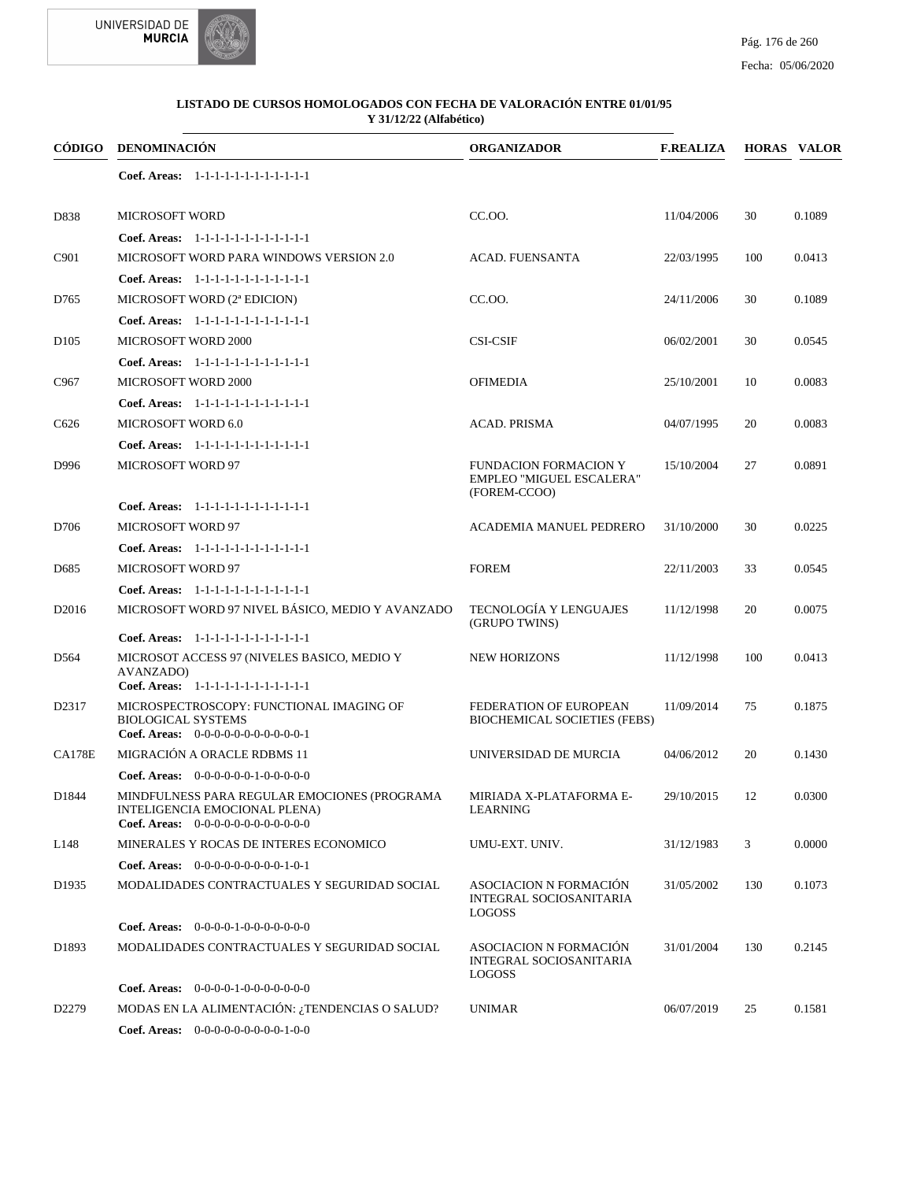



#### Fecha: 05/06/2020

|                   | CÓDIGO DENOMINACIÓN                                                                                                   | <b>ORGANIZADOR</b>                                                               | <b>F.REALIZA</b> |     | <b>HORAS VALOR</b> |
|-------------------|-----------------------------------------------------------------------------------------------------------------------|----------------------------------------------------------------------------------|------------------|-----|--------------------|
|                   | Coef. Areas: 1-1-1-1-1-1-1-1-1-1-1-1-1                                                                                |                                                                                  |                  |     |                    |
| D838              | <b>MICROSOFT WORD</b>                                                                                                 | CC.OO.                                                                           | 11/04/2006       | 30  | 0.1089             |
|                   | Coef. Areas: 1-1-1-1-1-1-1-1-1-1-1-1-1                                                                                |                                                                                  |                  |     |                    |
| C901              | MICROSOFT WORD PARA WINDOWS VERSION 2.0                                                                               | <b>ACAD. FUENSANTA</b>                                                           | 22/03/1995       | 100 | 0.0413             |
|                   | Coef. Areas: 1-1-1-1-1-1-1-1-1-1-1-1-1                                                                                |                                                                                  |                  |     |                    |
| D765              | MICROSOFT WORD (2ª EDICION)                                                                                           | CC.OO.                                                                           | 24/11/2006       | 30  | 0.1089             |
|                   | Coef. Areas: 1-1-1-1-1-1-1-1-1-1-1-1-1                                                                                |                                                                                  |                  |     |                    |
| D <sub>105</sub>  | <b>MICROSOFT WORD 2000</b>                                                                                            | <b>CSI-CSIF</b>                                                                  | 06/02/2001       | 30  | 0.0545             |
|                   | Coef. Areas: 1-1-1-1-1-1-1-1-1-1-1-1-1                                                                                |                                                                                  |                  |     |                    |
| C <sub>967</sub>  | MICROSOFT WORD 2000                                                                                                   | <b>OFIMEDIA</b>                                                                  | 25/10/2001       | 10  | 0.0083             |
|                   | Coef. Areas: 1-1-1-1-1-1-1-1-1-1-1-1-1                                                                                |                                                                                  |                  |     |                    |
| C <sub>626</sub>  | MICROSOFT WORD 6.0                                                                                                    | <b>ACAD. PRISMA</b>                                                              | 04/07/1995       | 20  | 0.0083             |
|                   | Coef. Areas: 1-1-1-1-1-1-1-1-1-1-1-1-1                                                                                |                                                                                  |                  |     |                    |
| D996              | <b>MICROSOFT WORD 97</b>                                                                                              | <b>FUNDACION FORMACION Y</b><br><b>EMPLEO "MIGUEL ESCALERA"</b><br>(FOREM-CCOO)  | 15/10/2004       | 27  | 0.0891             |
|                   | Coef. Areas: 1-1-1-1-1-1-1-1-1-1-1-1-1                                                                                |                                                                                  |                  |     |                    |
| D706              | <b>MICROSOFT WORD 97</b>                                                                                              | <b>ACADEMIA MANUEL PEDRERO</b>                                                   | 31/10/2000       | 30  | 0.0225             |
|                   | Coef. Areas: 1-1-1-1-1-1-1-1-1-1-1-1-1                                                                                |                                                                                  |                  |     |                    |
| D <sub>685</sub>  | <b>MICROSOFT WORD 97</b>                                                                                              | <b>FOREM</b>                                                                     | 22/11/2003       | 33  | 0.0545             |
|                   | Coef. Areas: 1-1-1-1-1-1-1-1-1-1-1-1-1                                                                                |                                                                                  |                  |     |                    |
| D <sub>2016</sub> | MICROSOFT WORD 97 NIVEL BÁSICO, MEDIO Y AVANZADO                                                                      | TECNOLOGÍA Y LENGUAJES<br>(GRUPO TWINS)                                          | 11/12/1998       | 20  | 0.0075             |
|                   | Coef. Areas: 1-1-1-1-1-1-1-1-1-1-1-1-1                                                                                |                                                                                  |                  |     |                    |
| D <sub>564</sub>  | MICROSOT ACCESS 97 (NIVELES BASICO, MEDIO Y<br>AVANZADO)<br>Coef. Areas: 1-1-1-1-1-1-1-1-1-1-1-1-1                    | <b>NEW HORIZONS</b>                                                              | 11/12/1998       | 100 | 0.0413             |
| D2317             | MICROSPECTROSCOPY: FUNCTIONAL IMAGING OF                                                                              | FEDERATION OF EUROPEAN                                                           | 11/09/2014       | 75  | 0.1875             |
|                   | <b>BIOLOGICAL SYSTEMS</b><br>Coef. Areas: $0-0-0-0-0-0-0-0-0-0-0-1$                                                   | <b>BIOCHEMICAL SOCIETIES (FEBS)</b>                                              |                  |     |                    |
| <b>CA178E</b>     | MIGRACIÓN A ORACLE RDBMS 11                                                                                           | UNIVERSIDAD DE MURCIA                                                            | 04/06/2012       | 20  | 0.1430             |
|                   | Coef. Areas: $0-0-0-0-0-1-0-0-0-0-0$                                                                                  |                                                                                  |                  |     |                    |
| D1844             | MINDFULNESS PARA REGULAR EMOCIONES (PROGRAMA<br>INTELIGENCIA EMOCIONAL PLENA)<br>Coef. Areas: $0-0-0-0-0-0-0-0-0-0-0$ | MIRIADA X-PLATAFORMA E-<br><b>LEARNING</b>                                       | 29/10/2015       | 12  | 0.0300             |
| L148              | MINERALES Y ROCAS DE INTERES ECONOMICO                                                                                | UMU-EXT. UNIV.                                                                   | 31/12/1983       | 3   | 0.0000             |
|                   | Coef. Areas: $0-0-0-0-0-0-0-0-1-0-1$                                                                                  |                                                                                  |                  |     |                    |
| D <sub>1935</sub> | MODALIDADES CONTRACTUALES Y SEGURIDAD SOCIAL                                                                          | <b>ASOCIACION N FORMACIÓN</b><br><b>INTEGRAL SOCIOSANITARIA</b><br><b>LOGOSS</b> | 31/05/2002       | 130 | 0.1073             |
|                   | <b>Coef. Areas:</b> $0-0-0-0-1-0-0-0-0-0-0-0$                                                                         |                                                                                  |                  |     |                    |
| D1893             | MODALIDADES CONTRACTUALES Y SEGURIDAD SOCIAL                                                                          | <b>ASOCIACION N FORMACIÓN</b><br><b>INTEGRAL SOCIOSANITARIA</b><br><b>LOGOSS</b> | 31/01/2004       | 130 | 0.2145             |
|                   | Coef. Areas: $0-0-0-0-1-0-0-0-0-0-0$                                                                                  |                                                                                  |                  |     |                    |
| D <sub>2279</sub> | MODAS EN LA ALIMENTACIÓN: ¿TENDENCIAS O SALUD?                                                                        | <b>UNIMAR</b>                                                                    | 06/07/2019       | 25  | 0.1581             |
|                   | Coef. Areas: 0-0-0-0-0-0-0-0-0-1-0-0                                                                                  |                                                                                  |                  |     |                    |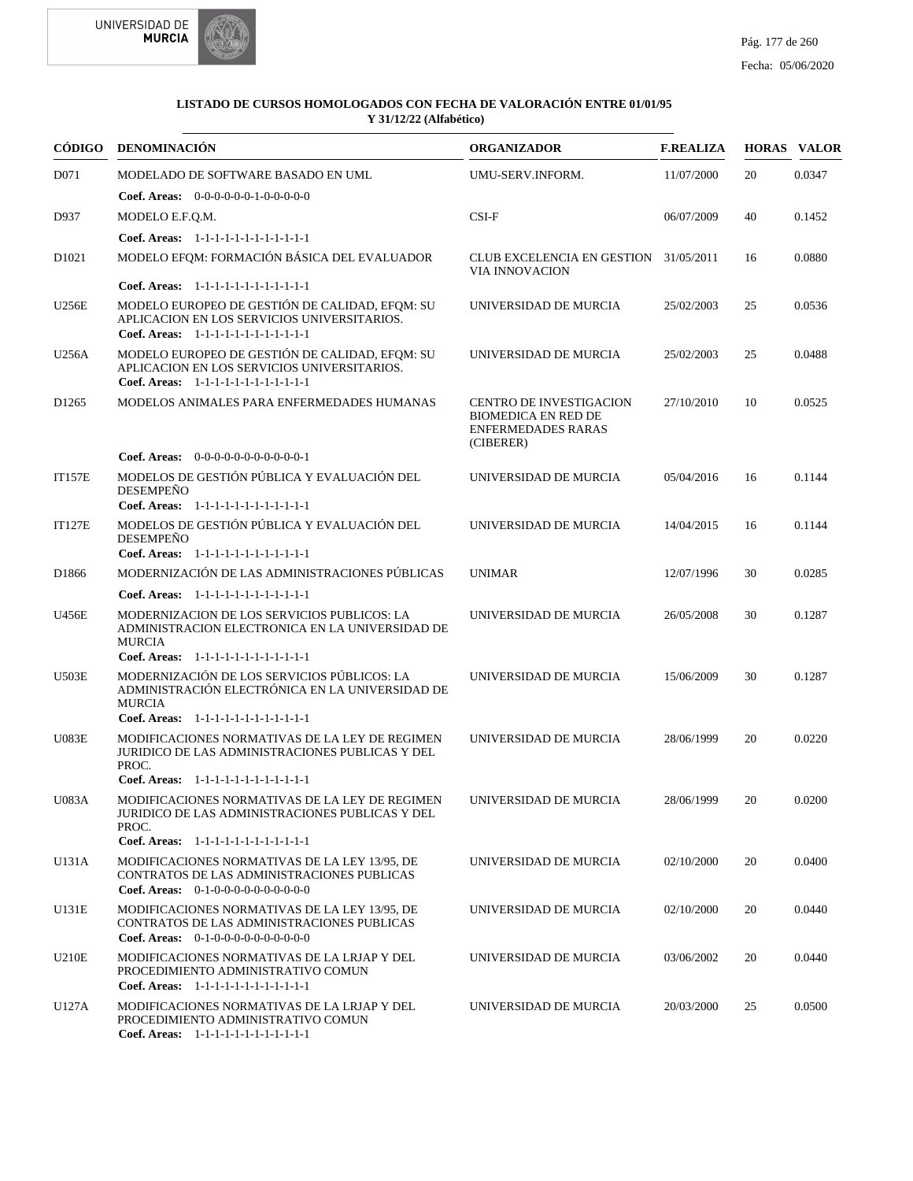

|                   | CÓDIGO DENOMINACIÓN                                                                                                                                  | <b>ORGANIZADOR</b>                                                                                     | <b>F.REALIZA</b> |    | <b>HORAS VALOR</b> |
|-------------------|------------------------------------------------------------------------------------------------------------------------------------------------------|--------------------------------------------------------------------------------------------------------|------------------|----|--------------------|
| D071              | MODELADO DE SOFTWARE BASADO EN UML                                                                                                                   | UMU-SERV.INFORM.                                                                                       | 11/07/2000       | 20 | 0.0347             |
|                   | <b>Coef. Areas:</b> $0-0-0-0-0-1-0-0-0-0-0$                                                                                                          |                                                                                                        |                  |    |                    |
| D937              | MODELO E.F.Q.M.                                                                                                                                      | $CSI-F$                                                                                                | 06/07/2009       | 40 | 0.1452             |
|                   | Coef. Areas: 1-1-1-1-1-1-1-1-1-1-1-1-1                                                                                                               |                                                                                                        |                  |    |                    |
| D <sub>1021</sub> | MODELO EFQM: FORMACIÓN BÁSICA DEL EVALUADOR                                                                                                          | <b>CLUB EXCELENCIA EN GESTION</b><br><b>VIA INNOVACION</b>                                             | 31/05/2011       | 16 | 0.0880             |
|                   | Coef. Areas: $1-1-1-1-1-1-1-1-1-1-1$                                                                                                                 |                                                                                                        |                  |    |                    |
| <b>U256E</b>      | MODELO EUROPEO DE GESTIÓN DE CALIDAD, EFOM: SU<br>APLICACION EN LOS SERVICIOS UNIVERSITARIOS.<br>Coef. Areas: 1-1-1-1-1-1-1-1-1-1-1-1-1              | UNIVERSIDAD DE MURCIA                                                                                  | 25/02/2003       | 25 | 0.0536             |
| U256A             | MODELO EUROPEO DE GESTIÓN DE CALIDAD, EFQM: SU<br>APLICACION EN LOS SERVICIOS UNIVERSITARIOS.<br>Coef. Areas: 1-1-1-1-1-1-1-1-1-1-1-1-1              | UNIVERSIDAD DE MURCIA                                                                                  | 25/02/2003       | 25 | 0.0488             |
| D <sub>1265</sub> | MODELOS ANIMALES PARA ENFERMEDADES HUMANAS                                                                                                           | <b>CENTRO DE INVESTIGACION</b><br><b>BIOMEDICA EN RED DE</b><br><b>ENFERMEDADES RARAS</b><br>(CIBERER) | 27/10/2010       | 10 | 0.0525             |
|                   | <b>Coef. Areas:</b> $0-0-0-0-0-0-0-0-0-0-1$                                                                                                          |                                                                                                        |                  |    |                    |
| <b>IT157E</b>     | MODELOS DE GESTIÓN PÚBLICA Y EVALUACIÓN DEL<br><b>DESEMPEÑO</b><br>Coef. Areas: 1-1-1-1-1-1-1-1-1-1-1-1-1                                            | UNIVERSIDAD DE MURCIA                                                                                  | 05/04/2016       | 16 | 0.1144             |
| <b>IT127E</b>     | MODELOS DE GESTIÓN PÚBLICA Y EVALUACIÓN DEL<br><b>DESEMPEÑO</b>                                                                                      | UNIVERSIDAD DE MURCIA                                                                                  | 14/04/2015       | 16 | 0.1144             |
|                   | Coef. Areas: 1-1-1-1-1-1-1-1-1-1-1-1-1                                                                                                               |                                                                                                        |                  |    |                    |
| D1866             | MODERNIZACIÓN DE LAS ADMINISTRACIONES PÚBLICAS                                                                                                       | <b>UNIMAR</b>                                                                                          | 12/07/1996       | 30 | 0.0285             |
| U456E             | Coef. Areas: 1-1-1-1-1-1-1-1-1-1-1-1-1<br>MODERNIZACION DE LOS SERVICIOS PUBLICOS: LA<br>ADMINISTRACION ELECTRONICA EN LA UNIVERSIDAD DE             | UNIVERSIDAD DE MURCIA                                                                                  | 26/05/2008       | 30 | 0.1287             |
|                   | <b>MURCIA</b><br>Coef. Areas: 1-1-1-1-1-1-1-1-1-1-1-1-1                                                                                              |                                                                                                        |                  |    |                    |
| <b>U503E</b>      | MODERNIZACIÓN DE LOS SERVICIOS PÚBLICOS: LA<br>ADMINISTRACIÓN ELECTRÓNICA EN LA UNIVERSIDAD DE<br><b>MURCIA</b>                                      | UNIVERSIDAD DE MURCIA                                                                                  | 15/06/2009       | 30 | 0.1287             |
|                   | Coef. Areas: 1-1-1-1-1-1-1-1-1-1-1-1-1                                                                                                               |                                                                                                        |                  |    |                    |
| <b>U083E</b>      | MODIFICACIONES NORMATIVAS DE LA LEY DE REGIMEN<br>JURIDICO DE LAS ADMINISTRACIONES PUBLICAS Y DEL<br>PROC.                                           | UNIVERSIDAD DE MURCIA                                                                                  | 28/06/1999       | 20 | 0.0220             |
| <b>U083A</b>      | Coef. Areas: 1-1-1-1-1-1-1-1-1-1-1-1-1<br>MODIFICACIONES NORMATIVAS DE LA LEY DE REGIMEN<br>JURIDICO DE LAS ADMINISTRACIONES PUBLICAS Y DEL<br>PROC. | UNIVERSIDAD DE MURCIA                                                                                  | 28/06/1999       | 20 | 0.0200             |
|                   | Coef. Areas: 1-1-1-1-1-1-1-1-1-1-1-1-1                                                                                                               |                                                                                                        |                  |    |                    |
| U131A             | MODIFICACIONES NORMATIVAS DE LA LEY 13/95, DE<br>CONTRATOS DE LAS ADMINISTRACIONES PUBLICAS<br>Coef. Areas: $0-1-0-0-0-0-0-0-0-0-0$                  | UNIVERSIDAD DE MURCIA                                                                                  | 02/10/2000       | 20 | 0.0400             |
| <b>U131E</b>      | MODIFICACIONES NORMATIVAS DE LA LEY 13/95, DE<br>CONTRATOS DE LAS ADMINISTRACIONES PUBLICAS<br>Coef. Areas: $0-1-0-0-0-0-0-0-0-0-0$                  | UNIVERSIDAD DE MURCIA                                                                                  | 02/10/2000       | 20 | 0.0440             |
| <b>U210E</b>      | MODIFICACIONES NORMATIVAS DE LA LRJAP Y DEL<br>PROCEDIMIENTO ADMINISTRATIVO COMUN<br>Coef. Areas: 1-1-1-1-1-1-1-1-1-1-1-1-1                          | UNIVERSIDAD DE MURCIA                                                                                  | 03/06/2002       | 20 | 0.0440             |
| U127A             | MODIFICACIONES NORMATIVAS DE LA LRJAP Y DEL<br>PROCEDIMIENTO ADMINISTRATIVO COMUN<br>Coef. Areas: 1-1-1-1-1-1-1-1-1-1-1-1-1                          | UNIVERSIDAD DE MURCIA                                                                                  | 20/03/2000       | 25 | 0.0500             |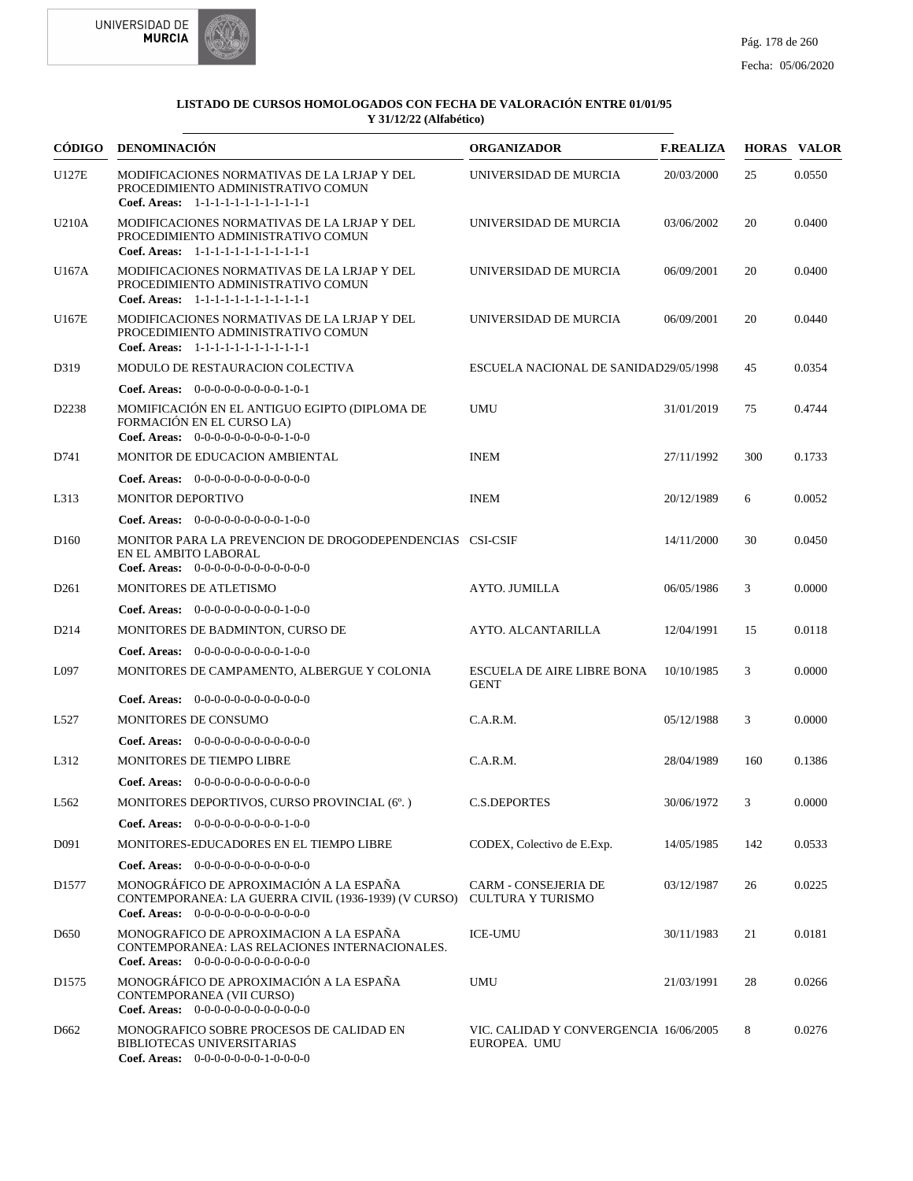



|                   | CÓDIGO DENOMINACIÓN                                                                                                                                         | <b>ORGANIZADOR</b>                                     | <b>F.REALIZA</b> |     | <b>HORAS VALOR</b> |
|-------------------|-------------------------------------------------------------------------------------------------------------------------------------------------------------|--------------------------------------------------------|------------------|-----|--------------------|
| U127E             | MODIFICACIONES NORMATIVAS DE LA LRJAP Y DEL<br>PROCEDIMIENTO ADMINISTRATIVO COMUN<br>Coef. Areas: 1-1-1-1-1-1-1-1-1-1-1-1-1                                 | UNIVERSIDAD DE MURCIA                                  | 20/03/2000       | 25  | 0.0550             |
| U210A             | MODIFICACIONES NORMATIVAS DE LA LRJAP Y DEL<br>PROCEDIMIENTO ADMINISTRATIVO COMUN<br>Coef. Areas: 1-1-1-1-1-1-1-1-1-1-1-1-1                                 | UNIVERSIDAD DE MURCIA                                  | 03/06/2002       | 20  | 0.0400             |
| U167A             | MODIFICACIONES NORMATIVAS DE LA LRJAP Y DEL<br>PROCEDIMIENTO ADMINISTRATIVO COMUN<br>Coef. Areas: $1-1-1-1-1-1-1-1-1-1-1$                                   | UNIVERSIDAD DE MURCIA                                  | 06/09/2001       | 20  | 0.0400             |
| U167E             | MODIFICACIONES NORMATIVAS DE LA LRJAP Y DEL<br>PROCEDIMIENTO ADMINISTRATIVO COMUN<br>Coef. Areas: 1-1-1-1-1-1-1-1-1-1-1-1-1                                 | UNIVERSIDAD DE MURCIA                                  | 06/09/2001       | 20  | 0.0440             |
| D319              | MODULO DE RESTAURACION COLECTIVA                                                                                                                            | ESCUELA NACIONAL DE SANIDAD29/05/1998                  |                  | 45  | 0.0354             |
|                   | <b>Coef. Areas:</b> $0-0-0-0-0-0-0-0-1-0-1$                                                                                                                 |                                                        |                  |     |                    |
| D2238             | MOMIFICACIÓN EN EL ANTIGUO EGIPTO (DIPLOMA DE<br>FORMACIÓN EN EL CURSO LA)<br><b>Coef. Areas:</b> $0-0-0-0-0-0-0-0-1-0-0$                                   | <b>UMU</b>                                             | 31/01/2019       | 75  | 0.4744             |
| D741              | MONITOR DE EDUCACION AMBIENTAL                                                                                                                              | <b>INEM</b>                                            | 27/11/1992       | 300 | 0.1733             |
|                   | <b>Coef. Areas:</b> $0-0-0-0-0-0-0-0-0-0-0-0$                                                                                                               |                                                        |                  |     |                    |
| L313              | <b>MONITOR DEPORTIVO</b>                                                                                                                                    | <b>INEM</b>                                            | 20/12/1989       | 6   | 0.0052             |
|                   | Coef. Areas: 0-0-0-0-0-0-0-0-0-1-0-0                                                                                                                        |                                                        |                  |     |                    |
| D <sub>160</sub>  | MONITOR PARA LA PREVENCION DE DROGODEPENDENCIAS CSI-CSIF<br>EN EL AMBITO LABORAL<br><b>Coef. Areas:</b> $0-0-0-0-0-0-0-0-0-0-0-0$                           |                                                        | 14/11/2000       | 30  | 0.0450             |
| D <sub>261</sub>  | MONITORES DE ATLETISMO                                                                                                                                      | <b>AYTO. JUMILLA</b>                                   | 06/05/1986       | 3   | 0.0000             |
|                   | <b>Coef. Areas:</b> $0-0-0-0-0-0-0-0-1-0-0$                                                                                                                 |                                                        |                  |     |                    |
| D <sub>214</sub>  | MONITORES DE BADMINTON, CURSO DE                                                                                                                            | AYTO. ALCANTARILLA                                     | 12/04/1991       | 15  | 0.0118             |
|                   | Coef. Areas: $0-0-0-0-0-0-0-0-1-0-0$                                                                                                                        |                                                        |                  |     |                    |
| L097              | MONITORES DE CAMPAMENTO, ALBERGUE Y COLONIA                                                                                                                 | <b>ESCUELA DE AIRE LIBRE BONA</b><br><b>GENT</b>       | 10/10/1985       | 3   | 0.0000             |
|                   | <b>Coef. Areas:</b> $0-0-0-0-0-0-0-0-0-0-0-0$                                                                                                               |                                                        |                  |     |                    |
| L527              | MONITORES DE CONSUMO                                                                                                                                        | C.A.R.M.                                               | 05/12/1988       | 3   | 0.0000             |
|                   | Coef. Areas: $0-0-0-0-0-0-0-0-0-0-0$                                                                                                                        |                                                        |                  |     |                    |
| L312              | <b>MONITORES DE TIEMPO LIBRE</b>                                                                                                                            | C.A.R.M.                                               | 28/04/1989       | 160 | 0.1386             |
|                   | Coef. Areas: $0-0-0-0-0-0-0-0-0-0-0$                                                                                                                        |                                                        |                  |     |                    |
| L562              | MONITORES DEPORTIVOS, CURSO PROVINCIAL (6°.)                                                                                                                | <b>C.S.DEPORTES</b>                                    | 30/06/1972       | 3   | 0.0000             |
|                   | Coef. Areas: $0-0-0-0-0-0-0-0-1-0-0$                                                                                                                        |                                                        |                  |     |                    |
| D <sub>091</sub>  | MONITORES-EDUCADORES EN EL TIEMPO LIBRE                                                                                                                     | CODEX, Colectivo de E.Exp.                             | 14/05/1985       | 142 | 0.0533             |
|                   | Coef. Areas: 0-0-0-0-0-0-0-0-0-0-0-0-0                                                                                                                      |                                                        |                  |     |                    |
| D <sub>1577</sub> | MONOGRÁFICO DE APROXIMACIÓN A LA ESPAÑA<br>CONTEMPORANEA: LA GUERRA CIVIL (1936-1939) (V CURSO) CULTURA Y TURISMO<br>Coef. Areas: $0-0-0-0-0-0-0-0-0-0-0-0$ | CARM - CONSEJERIA DE                                   | 03/12/1987       | 26  | 0.0225             |
| D <sub>650</sub>  | MONOGRAFICO DE APROXIMACION A LA ESPAÑA<br>CONTEMPORANEA: LAS RELACIONES INTERNACIONALES.<br>Coef. Areas: 0-0-0-0-0-0-0-0-0-0-0-0-0                         | <b>ICE-UMU</b>                                         | 30/11/1983       | 21  | 0.0181             |
| D <sub>1575</sub> | MONOGRÁFICO DE APROXIMACIÓN A LA ESPAÑA<br>CONTEMPORANEA (VII CURSO)<br>Coef. Areas: $0-0-0-0-0-0-0-0-0-0-0$                                                | <b>UMU</b>                                             | 21/03/1991       | 28  | 0.0266             |
| D <sub>662</sub>  | MONOGRAFICO SOBRE PROCESOS DE CALIDAD EN<br>BIBLIOTECAS UNIVERSITARIAS<br>Coef. Areas: 0-0-0-0-0-0-0-1-0-0-0-0                                              | VIC. CALIDAD Y CONVERGENCIA 16/06/2005<br>EUROPEA. UMU |                  | 8   | 0.0276             |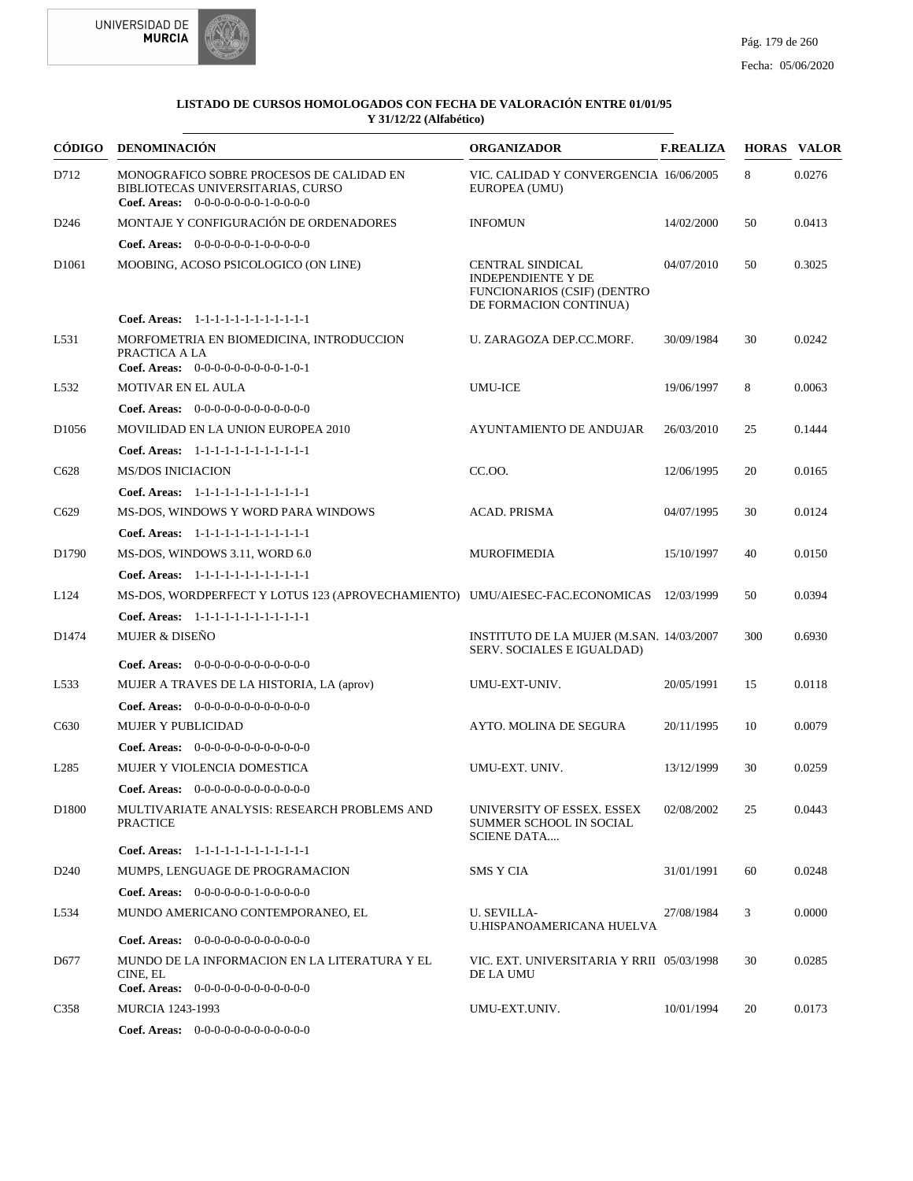



| CÓDIGO            | <b>DENOMINACIÓN</b>                                                                                                   | <b>ORGANIZADOR</b>                                                                                            | <b>F.REALIZA</b> |     | <b>HORAS VALOR</b> |
|-------------------|-----------------------------------------------------------------------------------------------------------------------|---------------------------------------------------------------------------------------------------------------|------------------|-----|--------------------|
| D712              | MONOGRAFICO SOBRE PROCESOS DE CALIDAD EN<br>BIBLIOTECAS UNIVERSITARIAS, CURSO<br>Coef. Areas: $0-0-0-0-0-0-1-0-0-0-0$ | VIC. CALIDAD Y CONVERGENCIA 16/06/2005<br>EUROPEA (UMU)                                                       |                  | 8   | 0.0276             |
| D <sub>246</sub>  | MONTAJE Y CONFIGURACIÓN DE ORDENADORES                                                                                | <b>INFOMUN</b>                                                                                                | 14/02/2000       | 50  | 0.0413             |
|                   | Coef. Areas: $0-0-0-0-0-1-0-0-0-0-0$                                                                                  |                                                                                                               |                  |     |                    |
| D <sub>1061</sub> | MOOBING, ACOSO PSICOLOGICO (ON LINE)                                                                                  | CENTRAL SINDICAL<br><b>INDEPENDIENTE Y DE</b><br><b>FUNCIONARIOS (CSIF) (DENTRO</b><br>DE FORMACION CONTINUA) | 04/07/2010       | 50  | 0.3025             |
|                   | Coef. Areas: 1-1-1-1-1-1-1-1-1-1-1-1-1                                                                                |                                                                                                               |                  |     |                    |
| L531              | MORFOMETRIA EN BIOMEDICINA, INTRODUCCION<br>PRACTICA A LA<br>Coef. Areas: $0-0-0-0-0-0-0-0-1-0-1$                     | U. ZARAGOZA DEP.CC.MORF.                                                                                      | 30/09/1984       | 30  | 0.0242             |
| L532              | <b>MOTIVAR EN EL AULA</b>                                                                                             | <b>UMU-ICE</b>                                                                                                | 19/06/1997       | 8   | 0.0063             |
|                   | Coef. Areas: 0-0-0-0-0-0-0-0-0-0-0-0-0                                                                                |                                                                                                               |                  |     |                    |
| D <sub>1056</sub> | MOVILIDAD EN LA UNION EUROPEA 2010                                                                                    | AYUNTAMIENTO DE ANDUJAR                                                                                       | 26/03/2010       | 25  | 0.1444             |
|                   | Coef. Areas: 1-1-1-1-1-1-1-1-1-1-1-1-1                                                                                |                                                                                                               |                  |     |                    |
| C628              | <b>MS/DOS INICIACION</b>                                                                                              | CC.OO.                                                                                                        | 12/06/1995       | 20  | 0.0165             |
|                   | Coef. Areas: 1-1-1-1-1-1-1-1-1-1-1-1-1                                                                                |                                                                                                               |                  |     |                    |
| C629              | MS-DOS, WINDOWS Y WORD PARA WINDOWS                                                                                   | <b>ACAD. PRISMA</b>                                                                                           | 04/07/1995       | 30  | 0.0124             |
|                   | Coef. Areas: 1-1-1-1-1-1-1-1-1-1-1-1-1                                                                                |                                                                                                               |                  |     |                    |
| D <sub>1790</sub> | MS-DOS, WINDOWS 3.11, WORD 6.0                                                                                        | <b>MUROFIMEDIA</b>                                                                                            | 15/10/1997       | 40  | 0.0150             |
|                   | Coef. Areas: 1-1-1-1-1-1-1-1-1-1-1-1-1                                                                                |                                                                                                               |                  |     |                    |
| L124              | MS-DOS, WORDPERFECT Y LOTUS 123 (APROVECHAMIENTO) UMU/AIESEC-FAC.ECONOMICAS 12/03/1999                                |                                                                                                               |                  | 50  | 0.0394             |
|                   | Coef. Areas: $1-1-1-1-1-1-1-1-1-1-1$                                                                                  |                                                                                                               |                  |     |                    |
| D <sub>1474</sub> | <b>MUJER &amp; DISEÑO</b>                                                                                             | INSTITUTO DE LA MUJER (M.SAN. 14/03/2007)<br>SERV. SOCIALES E IGUALDAD)                                       |                  | 300 | 0.6930             |
|                   | <b>Coef. Areas:</b> $0-0-0-0-0-0-0-0-0-0-0-0$                                                                         |                                                                                                               |                  |     |                    |
| L533              | MUJER A TRAVES DE LA HISTORIA, LA (aprov)                                                                             | UMU-EXT-UNIV.                                                                                                 | 20/05/1991       | 15  | 0.0118             |
|                   | Coef. Areas: $0-0-0-0-0-0-0-0-0-0-0$                                                                                  |                                                                                                               |                  |     |                    |
| C630              | <b>MUJER Y PUBLICIDAD</b>                                                                                             | AYTO. MOLINA DE SEGURA                                                                                        | 20/11/1995       | 10  | 0.0079             |
|                   | <b>Coef. Areas:</b> $0-0-0-0-0-0-0-0-0-0-0$                                                                           |                                                                                                               |                  |     |                    |
| L <sub>285</sub>  | MUJER Y VIOLENCIA DOMESTICA                                                                                           | UMU-EXT. UNIV.                                                                                                | 13/12/1999       | 30  | 0.0259             |
|                   | Coef. Areas: $0-0-0-0-0-0-0-0-0-0-0$                                                                                  |                                                                                                               |                  |     |                    |
| D1800             | MULTIVARIATE ANALYSIS: RESEARCH PROBLEMS AND<br><b>PRACTICE</b>                                                       | UNIVERSITY OF ESSEX. ESSEX<br>SUMMER SCHOOL IN SOCIAL<br><b>SCIENE DATA</b>                                   | 02/08/2002       | 25  | 0.0443             |
|                   | Coef. Areas: 1-1-1-1-1-1-1-1-1-1-1-1-1                                                                                |                                                                                                               |                  |     |                    |
| D <sub>240</sub>  | MUMPS, LENGUAGE DE PROGRAMACION                                                                                       | <b>SMS Y CIA</b>                                                                                              | 31/01/1991       | 60  | 0.0248             |
|                   | Coef. Areas: $0-0-0-0-0-1-0-0-0-0-0$                                                                                  |                                                                                                               |                  |     |                    |
| L534              | MUNDO AMERICANO CONTEMPORANEO, EL                                                                                     | <b>U. SEVILLA-</b><br>U.HISPANOAMERICANA HUELVA                                                               | 27/08/1984       | 3   | 0.0000             |
|                   | Coef. Areas: $0-0-0-0-0-0-0-0-0-0-0$                                                                                  |                                                                                                               |                  |     |                    |
| D677              | MUNDO DE LA INFORMACION EN LA LITERATURA Y EL<br>CINE. EL<br><b>Coef. Areas:</b> $0-0-0-0-0-0-0-0-0-0-0$              | VIC. EXT. UNIVERSITARIA Y RRII 05/03/1998<br>DE LA UMU                                                        |                  | 30  | 0.0285             |
| C <sub>358</sub>  | <b>MURCIA 1243-1993</b>                                                                                               | UMU-EXT.UNIV.                                                                                                 | 10/01/1994       | 20  | 0.0173             |
|                   | Coef. Areas: $0-0-0-0-0-0-0-0-0-0-0$                                                                                  |                                                                                                               |                  |     |                    |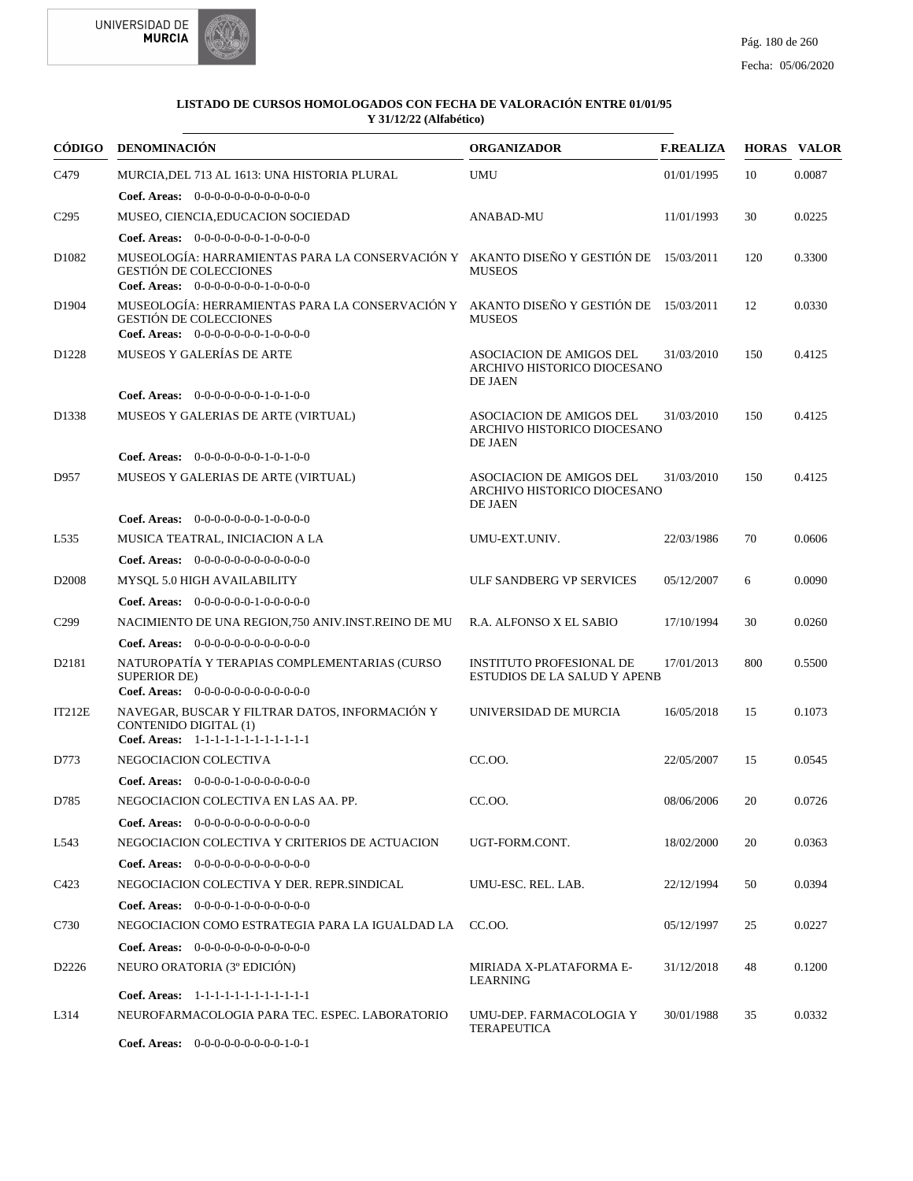



|                   | CÓDIGO DENOMINACIÓN                                                                                                                                            | <b>ORGANIZADOR</b>                                                        | <b>F.REALIZA</b> |     | <b>HORAS VALOR</b> |
|-------------------|----------------------------------------------------------------------------------------------------------------------------------------------------------------|---------------------------------------------------------------------------|------------------|-----|--------------------|
| C479              | MURCIA, DEL 713 AL 1613: UNA HISTORIA PLURAL                                                                                                                   | <b>UMU</b>                                                                | 01/01/1995       | 10  | 0.0087             |
|                   | <b>Coef. Areas:</b> $0-0-0-0-0-0-0-0-0-0-0-0$                                                                                                                  |                                                                           |                  |     |                    |
| C <sub>295</sub>  | MUSEO, CIENCIA, EDUCACION SOCIEDAD                                                                                                                             | ANABAD-MU                                                                 | 11/01/1993       | 30  | 0.0225             |
|                   | Coef. Areas: $0-0-0-0-0-0-1-0-0-0-0$                                                                                                                           |                                                                           |                  |     |                    |
| D <sub>1082</sub> | MUSEOLOGÍA: HARRAMIENTAS PARA LA CONSERVACIÓN Y AKANTO DISEÑO Y GESTIÓN DE 15/03/2011<br><b>GESTIÓN DE COLECCIONES</b><br>Coef. Areas: $0-0-0-0-0-0-1-0-0-0-0$ | <b>MUSEOS</b>                                                             |                  | 120 | 0.3300             |
| D1904             | MUSEOLOGÍA: HERRAMIENTAS PARA LA CONSERVACIÓN Y AKANTO DISEÑO Y GESTIÓN DE 15/03/2011<br><b>GESTIÓN DE COLECCIONES</b><br>Coef. Areas: $0-0-0-0-0-0-1-0-0-0-0$ | <b>MUSEOS</b>                                                             |                  | 12  | 0.0330             |
| D <sub>1228</sub> | MUSEOS Y GALERÍAS DE ARTE                                                                                                                                      | ASOCIACION DE AMIGOS DEL<br>ARCHIVO HISTORICO DIOCESANO<br>DE JAEN        | 31/03/2010       | 150 | 0.4125             |
|                   | <b>Coef. Areas:</b> $0-0-0-0-0-0-1-0-1-0-0$                                                                                                                    |                                                                           |                  |     |                    |
| D1338             | MUSEOS Y GALERIAS DE ARTE (VIRTUAL)                                                                                                                            | ASOCIACION DE AMIGOS DEL<br>ARCHIVO HISTORICO DIOCESANO<br>DE JAEN        | 31/03/2010       | 150 | 0.4125             |
|                   | <b>Coef. Areas:</b> $0-0-0-0-0-0-1-0-1-0-0$                                                                                                                    |                                                                           |                  |     |                    |
| D957              | MUSEOS Y GALERIAS DE ARTE (VIRTUAL)                                                                                                                            | <b>ASOCIACION DE AMIGOS DEL</b><br>ARCHIVO HISTORICO DIOCESANO<br>DE JAEN | 31/03/2010       | 150 | 0.4125             |
|                   | <b>Coef. Areas:</b> $0-0-0-0-0-0-1-0-0-0-0$                                                                                                                    |                                                                           |                  |     |                    |
| L <sub>535</sub>  | MUSICA TEATRAL, INICIACION A LA                                                                                                                                | UMU-EXT.UNIV.                                                             | 22/03/1986       | 70  | 0.0606             |
|                   | Coef. Areas: $0-0-0-0-0-0-0-0-0-0-0$                                                                                                                           |                                                                           |                  |     |                    |
| D <sub>2008</sub> | MYSQL 5.0 HIGH AVAILABILITY                                                                                                                                    | ULF SANDBERG VP SERVICES                                                  | 05/12/2007       | 6   | 0.0090             |
|                   | Coef. Areas: $0-0-0-0-0-1-0-0-0-0-0$                                                                                                                           |                                                                           |                  |     |                    |
| C <sub>299</sub>  | NACIMIENTO DE UNA REGION, 750 ANIV.INST.REINO DE MU                                                                                                            | R.A. ALFONSO X EL SABIO                                                   | 17/10/1994       | 30  | 0.0260             |
|                   | <b>Coef. Areas:</b> $0-0-0-0-0-0-0-0-0-0-0-0$                                                                                                                  |                                                                           |                  |     |                    |
| D2181             | NATUROPATÍA Y TERAPIAS COMPLEMENTARIAS (CURSO<br><b>SUPERIOR DE)</b><br>Coef. Areas: $0-0-0-0-0-0-0-0-0-0-0$                                                   | <b>INSTITUTO PROFESIONAL DE</b><br><b>ESTUDIOS DE LA SALUD Y APENB</b>    | 17/01/2013       | 800 | 0.5500             |
| IT212E            | NAVEGAR, BUSCAR Y FILTRAR DATOS, INFORMACIÓN Y<br><b>CONTENIDO DIGITAL (1)</b><br>Coef. Areas: 1-1-1-1-1-1-1-1-1-1-1-1-1                                       | UNIVERSIDAD DE MURCIA                                                     | 16/05/2018       | 15  | 0.1073             |
| D773              | NEGOCIACION COLECTIVA                                                                                                                                          | CC.00.                                                                    | 22/05/2007       | 15  | 0.0545             |
|                   | Coef. Areas: $0-0-0-0-1-0-0-0-0-0-0$                                                                                                                           |                                                                           |                  |     |                    |
| D785              | NEGOCIACION COLECTIVA EN LAS AA. PP.                                                                                                                           | CC.00.                                                                    | 08/06/2006       | 20  | 0.0726             |
|                   | <b>Coef. Areas:</b> $0-0-0-0-0-0-0-0-0-0-0$                                                                                                                    |                                                                           |                  |     |                    |
| L543              | NEGOCIACION COLECTIVA Y CRITERIOS DE ACTUACION                                                                                                                 | UGT-FORM.CONT.                                                            | 18/02/2000       | 20  | 0.0363             |
|                   | <b>Coef. Areas:</b> $0-0-0-0-0-0-0-0-0-0-0$                                                                                                                    |                                                                           |                  |     |                    |
| C423              | NEGOCIACION COLECTIVA Y DER. REPR.SINDICAL                                                                                                                     | UMU-ESC. REL. LAB.                                                        | 22/12/1994       | 50  | 0.0394             |
|                   | <b>Coef. Areas:</b> $0-0-0-0-1-0-0-0-0-0-0-0$                                                                                                                  |                                                                           |                  |     |                    |
| C730              | NEGOCIACION COMO ESTRATEGIA PARA LA IGUALDAD LA                                                                                                                | CC.00.                                                                    | 05/12/1997       | 25  | 0.0227             |
|                   | <b>Coef. Areas:</b> $0-0-0-0-0-0-0-0-0-0-0$                                                                                                                    |                                                                           |                  |     |                    |
| D <sub>2226</sub> | NEURO ORATORIA (3 <sup>°</sup> EDICIÓN)                                                                                                                        | MIRIADA X-PLATAFORMA E-<br>LEARNING                                       | 31/12/2018       | 48  | 0.1200             |
|                   | Coef. Areas: 1-1-1-1-1-1-1-1-1-1-1-1-1                                                                                                                         |                                                                           |                  |     |                    |
| L314              | NEUROFARMACOLOGIA PARA TEC. ESPEC. LABORATORIO                                                                                                                 | UMU-DEP. FARMACOLOGIA Y<br><b>TERAPEUTICA</b>                             | 30/01/1988       | 35  | 0.0332             |

0-0-0-0-0-0-0-0-0-1-0-1 **Coef. Areas:**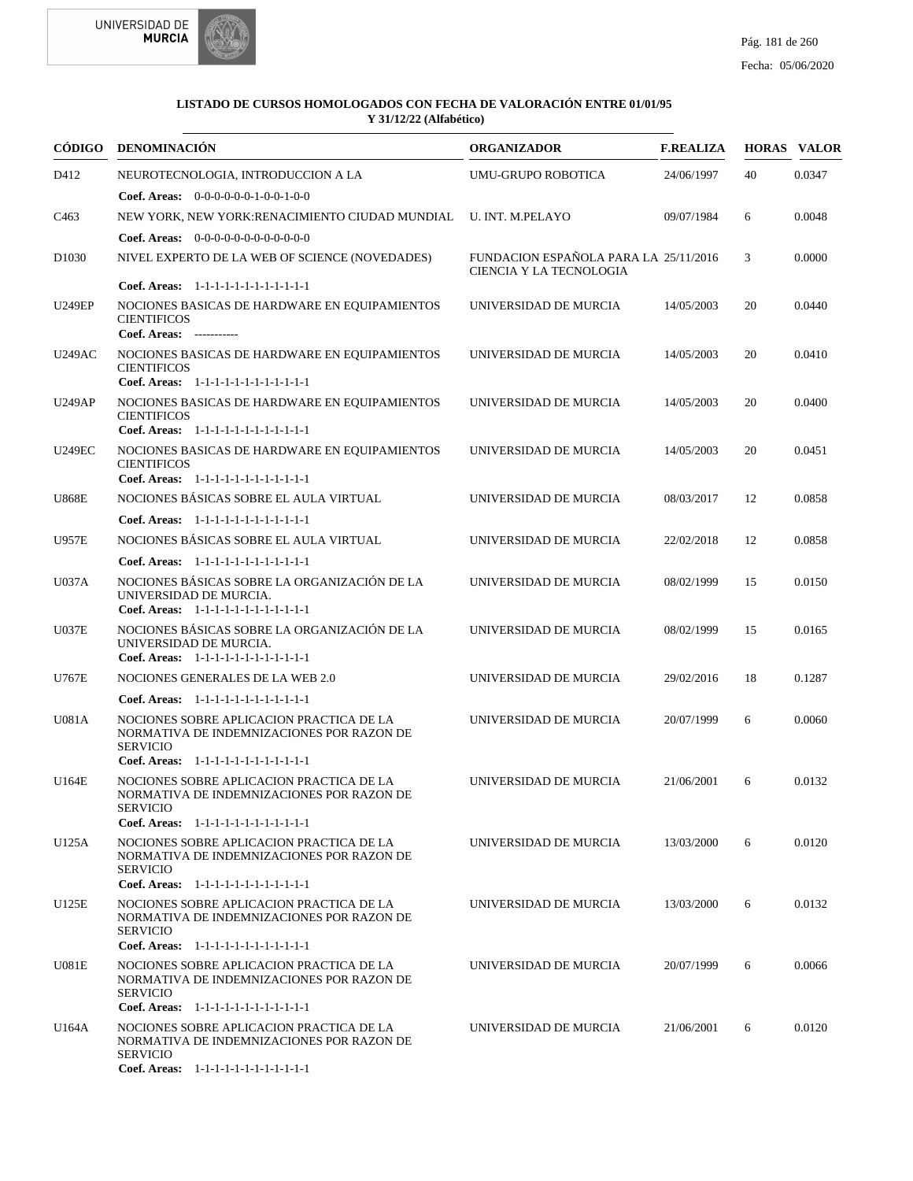

| CÓDIGO            | <b>DENOMINACIÓN</b>                                                                                                                                     | <b>ORGANIZADOR</b>                                               | <b>F.REALIZA</b> |    | <b>HORAS VALOR</b> |
|-------------------|---------------------------------------------------------------------------------------------------------------------------------------------------------|------------------------------------------------------------------|------------------|----|--------------------|
| D412              | NEUROTECNOLOGIA, INTRODUCCION A LA                                                                                                                      | <b>UMU-GRUPO ROBOTICA</b>                                        | 24/06/1997       | 40 | 0.0347             |
|                   | <b>Coef. Areas:</b> $0-0-0-0-0-1-0-0-1-0-0$                                                                                                             |                                                                  |                  |    |                    |
| C <sub>463</sub>  | NEW YORK, NEW YORK:RENACIMIENTO CIUDAD MUNDIAL                                                                                                          | <b>U. INT. M.PELAYO</b>                                          | 09/07/1984       | 6  | 0.0048             |
|                   | Coef. Areas: $0-0-0-0-0-0-0-0-0-0-0$                                                                                                                    |                                                                  |                  |    |                    |
| D <sub>1030</sub> | NIVEL EXPERTO DE LA WEB OF SCIENCE (NOVEDADES)                                                                                                          | FUNDACION ESPAÑOLA PARA LA 25/11/2016<br>CIENCIA Y LA TECNOLOGIA |                  | 3  | 0.0000             |
|                   | Coef. Areas: 1-1-1-1-1-1-1-1-1-1-1-1-1                                                                                                                  |                                                                  |                  |    |                    |
| <b>U249EP</b>     | NOCIONES BASICAS DE HARDWARE EN EQUIPAMIENTOS<br><b>CIENTIFICOS</b><br>Coef. Areas: -----------                                                         | UNIVERSIDAD DE MURCIA                                            | 14/05/2003       | 20 | 0.0440             |
| <b>U249AC</b>     | NOCIONES BASICAS DE HARDWARE EN EQUIPAMIENTOS<br><b>CIENTIFICOS</b><br>Coef. Areas: 1-1-1-1-1-1-1-1-1-1-1-1-1                                           | UNIVERSIDAD DE MURCIA                                            | 14/05/2003       | 20 | 0.0410             |
| <b>U249AP</b>     | NOCIONES BASICAS DE HARDWARE EN EQUIPAMIENTOS<br><b>CIENTIFICOS</b>                                                                                     | UNIVERSIDAD DE MURCIA                                            | 14/05/2003       | 20 | 0.0400             |
| <b>U249EC</b>     | Coef. Areas: 1-1-1-1-1-1-1-1-1-1-1-1-1<br>NOCIONES BASICAS DE HARDWARE EN EQUIPAMIENTOS<br><b>CIENTIFICOS</b><br>Coef. Areas: 1-1-1-1-1-1-1-1-1-1-1-1-1 | UNIVERSIDAD DE MURCIA                                            | 14/05/2003       | 20 | 0.0451             |
| <b>U868E</b>      | NOCIONES BÁSICAS SOBRE EL AULA VIRTUAL                                                                                                                  | UNIVERSIDAD DE MURCIA                                            | 08/03/2017       | 12 | 0.0858             |
|                   | Coef. Areas: 1-1-1-1-1-1-1-1-1-1-1-1-1                                                                                                                  |                                                                  |                  |    |                    |
| <b>U957E</b>      | NOCIONES BÁSICAS SOBRE EL AULA VIRTUAL                                                                                                                  | UNIVERSIDAD DE MURCIA                                            | 22/02/2018       | 12 | 0.0858             |
|                   | Coef. Areas: 1-1-1-1-1-1-1-1-1-1-1-1-1                                                                                                                  |                                                                  |                  |    |                    |
| U037A             | NOCIONES BÁSICAS SOBRE LA ORGANIZACIÓN DE LA<br>UNIVERSIDAD DE MURCIA.<br>Coef. Areas: 1-1-1-1-1-1-1-1-1-1-1-1-1                                        | UNIVERSIDAD DE MURCIA                                            | 08/02/1999       | 15 | 0.0150             |
| <b>U037E</b>      | NOCIONES BÁSICAS SOBRE LA ORGANIZACIÓN DE LA<br>UNIVERSIDAD DE MURCIA.<br>Coef. Areas: 1-1-1-1-1-1-1-1-1-1-1-1-1                                        | UNIVERSIDAD DE MURCIA                                            | 08/02/1999       | 15 | 0.0165             |
| U767E             | NOCIONES GENERALES DE LA WEB 2.0                                                                                                                        | UNIVERSIDAD DE MURCIA                                            | 29/02/2016       | 18 | 0.1287             |
|                   | Coef. Areas: 1-1-1-1-1-1-1-1-1-1-1-1-1                                                                                                                  |                                                                  |                  |    |                    |
| U081A             | NOCIONES SOBRE APLICACION PRACTICA DE LA<br>NORMATIVA DE INDEMNIZACIONES POR RAZON DE<br><b>SERVICIO</b><br>Coef. Areas: 1-1-1-1-1-1-1-1-1-1-1-1-1      | UNIVERSIDAD DE MURCIA                                            | 20/07/1999       | 6  | 0.0060             |
| U164E             | NOCIONES SOBRE APLICACION PRACTICA DE LA<br>NORMATIVA DE INDEMNIZACIONES POR RAZON DE<br><b>SERVICIO</b>                                                | UNIVERSIDAD DE MURCIA                                            | 21/06/2001       | 6  | 0.0132             |
| U125A             | Coef. Areas: 1-1-1-1-1-1-1-1-1-1-1-1-1<br>NOCIONES SOBRE APLICACION PRACTICA DE LA<br>NORMATIVA DE INDEMNIZACIONES POR RAZON DE<br><b>SERVICIO</b>      | UNIVERSIDAD DE MURCIA                                            | 13/03/2000       | 6  | 0.0120             |
| U125E             | Coef. Areas: 1-1-1-1-1-1-1-1-1-1-1-1-1<br>NOCIONES SOBRE APLICACION PRACTICA DE LA<br>NORMATIVA DE INDEMNIZACIONES POR RAZON DE<br><b>SERVICIO</b>      | UNIVERSIDAD DE MURCIA                                            | 13/03/2000       | 6  | 0.0132             |
|                   | Coef. Areas: 1-1-1-1-1-1-1-1-1-1-1-1-1                                                                                                                  |                                                                  |                  |    |                    |
| <b>U081E</b>      | NOCIONES SOBRE APLICACION PRACTICA DE LA<br>NORMATIVA DE INDEMNIZACIONES POR RAZON DE<br><b>SERVICIO</b>                                                | UNIVERSIDAD DE MURCIA                                            | 20/07/1999       | 6  | 0.0066             |
|                   | Coef. Areas: 1-1-1-1-1-1-1-1-1-1-1-1-1                                                                                                                  |                                                                  |                  |    |                    |
| U164A             | NOCIONES SOBRE APLICACION PRACTICA DE LA<br>NORMATIVA DE INDEMNIZACIONES POR RAZON DE<br><b>SERVICIO</b>                                                | UNIVERSIDAD DE MURCIA                                            | 21/06/2001       | 6  | 0.0120             |
|                   | Coef. Areas: 1-1-1-1-1-1-1-1-1-1-1-1-1                                                                                                                  |                                                                  |                  |    |                    |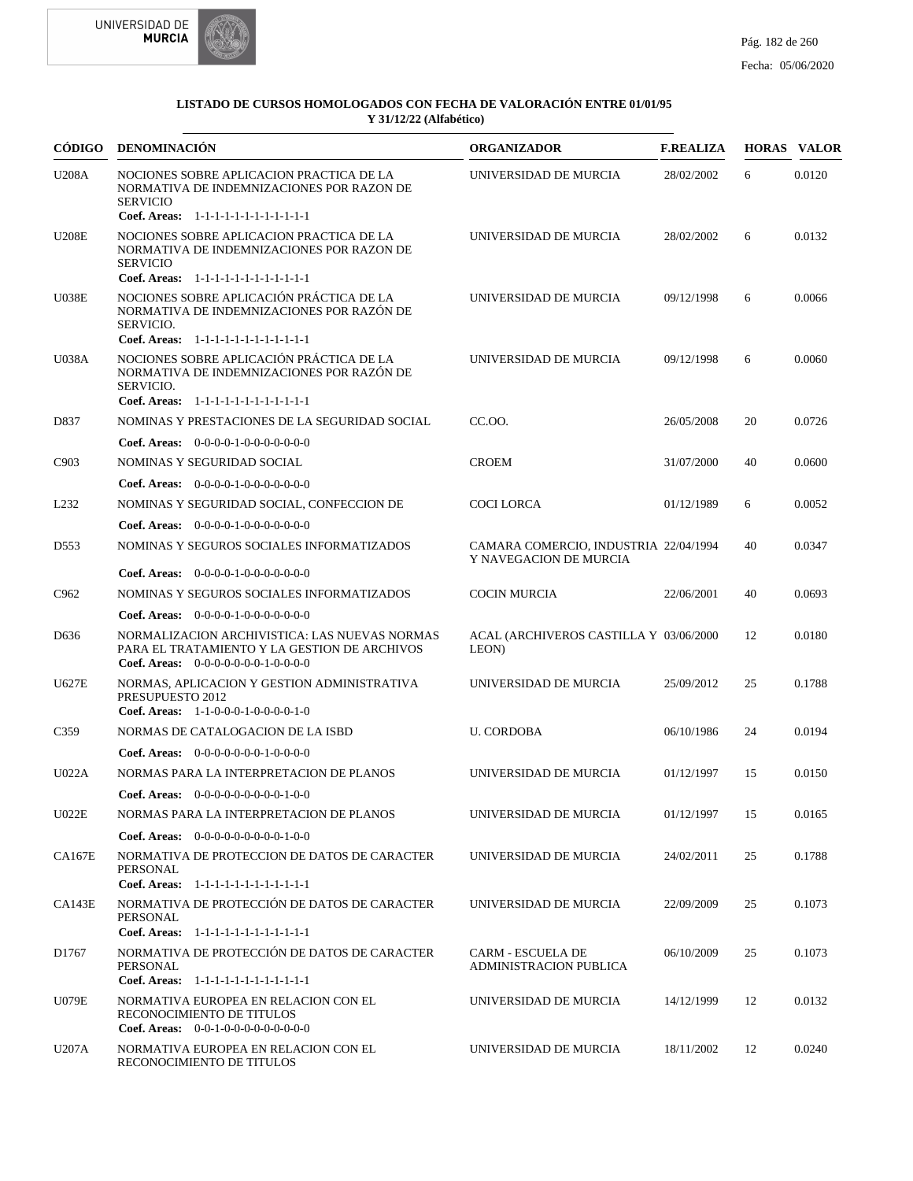



| CÓDIGO           | DENOMINACIÓN                                                                                                                                                                           | <b>ORGANIZADOR</b>                                              | <b>F.REALIZA</b> |    | <b>HORAS VALOR</b> |
|------------------|----------------------------------------------------------------------------------------------------------------------------------------------------------------------------------------|-----------------------------------------------------------------|------------------|----|--------------------|
| <b>U208A</b>     | NOCIONES SOBRE APLICACION PRACTICA DE LA<br>NORMATIVA DE INDEMNIZACIONES POR RAZON DE<br><b>SERVICIO</b><br>Coef. Areas: 1-1-1-1-1-1-1-1-1-1-1-1-1                                     | UNIVERSIDAD DE MURCIA                                           | 28/02/2002       | 6  | 0.0120             |
| <b>U208E</b>     | NOCIONES SOBRE APLICACION PRACTICA DE LA<br>NORMATIVA DE INDEMNIZACIONES POR RAZON DE<br><b>SERVICIO</b>                                                                               | UNIVERSIDAD DE MURCIA                                           | 28/02/2002       | 6  | 0.0132             |
| <b>U038E</b>     | Coef. Areas: 1-1-1-1-1-1-1-1-1-1-1-1-1<br>NOCIONES SOBRE APLICACIÓN PRÁCTICA DE LA<br>NORMATIVA DE INDEMNIZACIONES POR RAZÓN DE<br>SERVICIO.                                           | UNIVERSIDAD DE MURCIA                                           | 09/12/1998       | 6  | 0.0066             |
| <b>U038A</b>     | Coef. Areas: 1-1-1-1-1-1-1-1-1-1-1-1-1<br>NOCIONES SOBRE APLICACIÓN PRÁCTICA DE LA<br>NORMATIVA DE INDEMNIZACIONES POR RAZÓN DE<br>SERVICIO.<br>Coef. Areas: 1-1-1-1-1-1-1-1-1-1-1-1-1 | UNIVERSIDAD DE MURCIA                                           | 09/12/1998       | 6  | 0.0060             |
| D837             | NOMINAS Y PRESTACIONES DE LA SEGURIDAD SOCIAL                                                                                                                                          | CC.00.                                                          | 26/05/2008       | 20 | 0.0726             |
|                  | Coef. Areas: $0-0-0-0-1-0-0-0-0-0-0$                                                                                                                                                   |                                                                 |                  |    |                    |
| C903             | NOMINAS Y SEGURIDAD SOCIAL<br><b>Coef. Areas:</b> $0-0-0-0-1-0-0-0-0-0-0-0$                                                                                                            | <b>CROEM</b>                                                    | 31/07/2000       | 40 | 0.0600             |
| L <sub>232</sub> | NOMINAS Y SEGURIDAD SOCIAL, CONFECCION DE                                                                                                                                              | <b>COCI LORCA</b>                                               | 01/12/1989       | 6  | 0.0052             |
|                  | <b>Coef. Areas:</b> $0-0-0-0-1-0-0-0-0-0-0-0$                                                                                                                                          |                                                                 |                  |    |                    |
| D553             | NOMINAS Y SEGUROS SOCIALES INFORMATIZADOS                                                                                                                                              | CAMARA COMERCIO, INDUSTRIA 22/04/1994<br>Y NAVEGACION DE MURCIA |                  | 40 | 0.0347             |
|                  | <b>Coef. Areas:</b> $0-0-0-0-1-0-0-0-0-0-0-0$                                                                                                                                          |                                                                 |                  |    |                    |
| C <sub>962</sub> | NOMINAS Y SEGUROS SOCIALES INFORMATIZADOS                                                                                                                                              | <b>COCIN MURCIA</b>                                             | 22/06/2001       | 40 | 0.0693             |
|                  | <b>Coef. Areas:</b> $0-0-0-0-1-0-0-0-0-0-0-0$                                                                                                                                          |                                                                 |                  |    |                    |
| D636             | NORMALIZACION ARCHIVISTICA: LAS NUEVAS NORMAS<br>PARA EL TRATAMIENTO Y LA GESTION DE ARCHIVOS<br>Coef. Areas: $0-0-0-0-0-0-1-0-0-0-0$                                                  | ACAL (ARCHIVEROS CASTILLA Y 03/06/2000<br>LEON)                 |                  | 12 | 0.0180             |
| <b>U627E</b>     | NORMAS, APLICACION Y GESTION ADMINISTRATIVA<br>PRESUPUESTO 2012<br>Coef. Areas: $1-1-0-0-0-1-0-0-0-1-0$                                                                                | UNIVERSIDAD DE MURCIA                                           | 25/09/2012       | 25 | 0.1788             |
| C <sub>359</sub> | NORMAS DE CATALOGACION DE LA ISBD                                                                                                                                                      | <b>U. CORDOBA</b>                                               | 06/10/1986       | 24 | 0.0194             |
|                  | <b>Coef. Areas:</b> $0-0-0-0-0-0-1-0-0-0-0$                                                                                                                                            |                                                                 |                  |    |                    |
| U022A            | NORMAS PARA LA INTERPRETACION DE PLANOS                                                                                                                                                | UNIVERSIDAD DE MURCIA                                           | 01/12/1997       | 15 | 0.0150             |
|                  | Coef. Areas: $0-0-0-0-0-0-0-0-1-0-0$                                                                                                                                                   |                                                                 |                  |    |                    |
| U022E            | NORMAS PARA LA INTERPRETACION DE PLANOS                                                                                                                                                | UNIVERSIDAD DE MURCIA                                           | 01/12/1997       | 15 | 0.0165             |
|                  | <b>Coef. Areas:</b> $0-0-0-0-0-0-0-0-1-0-0$                                                                                                                                            |                                                                 |                  |    |                    |
| <b>CA167E</b>    | NORMATIVA DE PROTECCION DE DATOS DE CARACTER<br>PERSONAL<br>Coef. Areas: 1-1-1-1-1-1-1-1-1-1-1-1-1                                                                                     | UNIVERSIDAD DE MURCIA                                           | 24/02/2011       | 25 | 0.1788             |
| CA143E           | NORMATIVA DE PROTECCIÓN DE DATOS DE CARACTER<br>PERSONAL<br>Coef. Areas: 1-1-1-1-1-1-1-1-1-1-1-1-1                                                                                     | UNIVERSIDAD DE MURCIA                                           | 22/09/2009       | 25 | 0.1073             |
| D1767            | NORMATIVA DE PROTECCIÓN DE DATOS DE CARACTER<br>PERSONAL<br>Coef. Areas: 1-1-1-1-1-1-1-1-1-1-1-1-1                                                                                     | <b>CARM - ESCUELA DE</b><br><b>ADMINISTRACION PUBLICA</b>       | 06/10/2009       | 25 | 0.1073             |
| <b>U079E</b>     | NORMATIVA EUROPEA EN RELACION CON EL<br>RECONOCIMIENTO DE TITULOS<br>Coef. Areas: $0-0-1-0-0-0-0-0-0-0-0$                                                                              | UNIVERSIDAD DE MURCIA                                           | 14/12/1999       | 12 | 0.0132             |
| U207A            | NORMATIVA EUROPEA EN RELACION CON EL<br>RECONOCIMIENTO DE TITULOS                                                                                                                      | UNIVERSIDAD DE MURCIA                                           | 18/11/2002       | 12 | 0.0240             |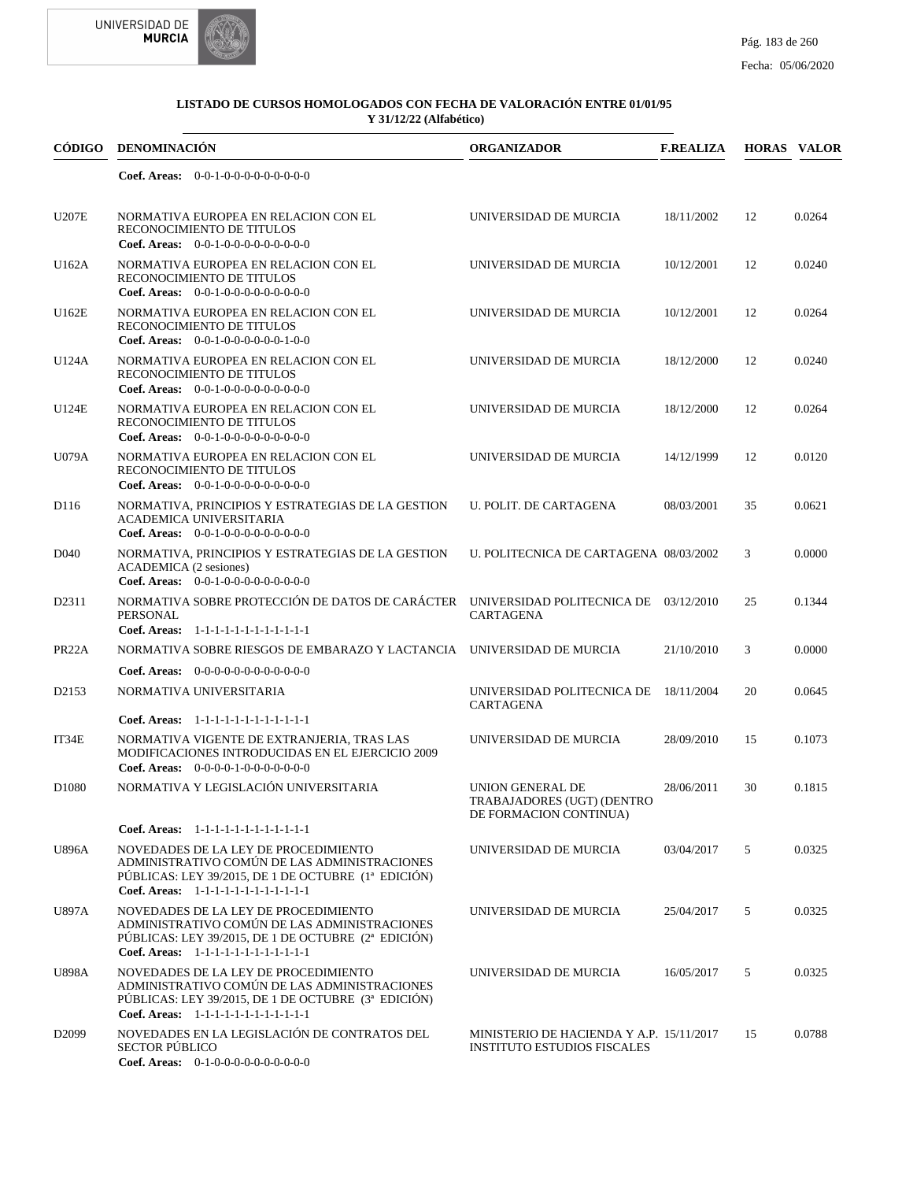



|                    | CÓDIGO DENOMINACIÓN                                                                                                                                                                               | <b>ORGANIZADOR</b>                                                             | <b>F.REALIZA</b> |    | <b>HORAS VALOR</b> |
|--------------------|---------------------------------------------------------------------------------------------------------------------------------------------------------------------------------------------------|--------------------------------------------------------------------------------|------------------|----|--------------------|
|                    | Coef. Areas: $0-0-1-0-0-0-0-0-0-0-0$                                                                                                                                                              |                                                                                |                  |    |                    |
| <b>U207E</b>       | NORMATIVA EUROPEA EN RELACION CON EL<br>RECONOCIMIENTO DE TITULOS<br>Coef. Areas: $0-0-1-0-0-0-0-0-0-0-0$                                                                                         | UNIVERSIDAD DE MURCIA                                                          | 18/11/2002       | 12 | 0.0264             |
| U162A              | NORMATIVA EUROPEA EN RELACION CON EL<br>RECONOCIMIENTO DE TITULOS<br>Coef. Areas: $0-0-1-0-0-0-0-0-0-0-0$                                                                                         | UNIVERSIDAD DE MURCIA                                                          | 10/12/2001       | 12 | 0.0240             |
| U162E              | NORMATIVA EUROPEA EN RELACION CON EL<br>RECONOCIMIENTO DE TITULOS<br>Coef. Areas: $0-0-1-0-0-0-0-0-1-0-0$                                                                                         | UNIVERSIDAD DE MURCIA                                                          | 10/12/2001       | 12 | 0.0264             |
| U124A              | NORMATIVA EUROPEA EN RELACION CON EL<br>RECONOCIMIENTO DE TITULOS<br>Coef. Areas: $0-0-1-0-0-0-0-0-0-0-0$                                                                                         | UNIVERSIDAD DE MURCIA                                                          | 18/12/2000       | 12 | 0.0240             |
| U124E              | NORMATIVA EUROPEA EN RELACION CON EL<br>RECONOCIMIENTO DE TITULOS<br>Coef. Areas: $0-0-1-0-0-0-0-0-0-0-0$                                                                                         | UNIVERSIDAD DE MURCIA                                                          | 18/12/2000       | 12 | 0.0264             |
| <b>U079A</b>       | NORMATIVA EUROPEA EN RELACION CON EL<br>RECONOCIMIENTO DE TITULOS<br>Coef. Areas: $0-0-1-0-0-0-0-0-0-0-0$                                                                                         | UNIVERSIDAD DE MURCIA                                                          | 14/12/1999       | 12 | 0.0120             |
| D116               | NORMATIVA, PRINCIPIOS Y ESTRATEGIAS DE LA GESTION<br>ACADEMICA UNIVERSITARIA<br>Coef. Areas: $0-0-1-0-0-0-0-0-0-0-0$                                                                              | U. POLIT. DE CARTAGENA                                                         | 08/03/2001       | 35 | 0.0621             |
| D <sub>040</sub>   | NORMATIVA, PRINCIPIOS Y ESTRATEGIAS DE LA GESTION<br><b>ACADEMICA</b> (2 sesiones)<br>Coef. Areas: $0-0-1-0-0-0-0-0-0-0-0$                                                                        | U. POLITECNICA DE CARTAGENA 08/03/2002                                         |                  | 3  | 0.0000             |
| D2311              | NORMATIVA SOBRE PROTECCIÓN DE DATOS DE CARÁCTER<br><b>PERSONAL</b><br>Coef. Areas: $1-1-1-1-1-1-1-1-1-1-1$                                                                                        | UNIVERSIDAD POLITECNICA DE 03/12/2010<br>CARTAGENA                             |                  | 25 | 0.1344             |
| PR <sub>22</sub> A | NORMATIVA SOBRE RIESGOS DE EMBARAZO Y LACTANCIA UNIVERSIDAD DE MURCIA                                                                                                                             |                                                                                | 21/10/2010       | 3  | 0.0000             |
|                    | <b>Coef. Areas:</b> $0-0-0-0-0-0-0-0-0-0-0$                                                                                                                                                       |                                                                                |                  |    |                    |
| D <sub>2</sub> 153 | NORMATIVA UNIVERSITARIA                                                                                                                                                                           | UNIVERSIDAD POLITECNICA DE<br>CARTAGENA                                        | 18/11/2004       | 20 | 0.0645             |
|                    | Coef. Areas: 1-1-1-1-1-1-1-1-1-1-1-1-1                                                                                                                                                            |                                                                                |                  |    |                    |
| IT34E              | NORMATIVA VIGENTE DE EXTRANJERIA, TRAS LAS<br>MODIFICACIONES INTRODUCIDAS EN EL EJERCICIO 2009<br>Coef. Areas: $0-0-0-0-1-0-0-0-0-0-0$                                                            | UNIVERSIDAD DE MURCIA                                                          | 28/09/2010       | 15 | 0.1073             |
| D <sub>1080</sub>  | NORMATIVA Y LEGISLACIÓN UNIVERSITARIA                                                                                                                                                             | UNION GENERAL DE<br>TRABAJADORES (UGT) (DENTRO<br>DE FORMACION CONTINUA)       | 28/06/2011       | 30 | 0.1815             |
|                    | Coef. Areas: 1-1-1-1-1-1-1-1-1-1-1-1-1                                                                                                                                                            |                                                                                |                  |    |                    |
| <b>U896A</b>       | NOVEDADES DE LA LEY DE PROCEDIMIENTO<br>ADMINISTRATIVO COMÚN DE LAS ADMINISTRACIONES<br>PÚBLICAS: LEY 39/2015, DE 1 DE OCTUBRE (1ª EDICIÓN)<br>Coef. Areas: 1-1-1-1-1-1-1-1-1-1-1-1-1             | UNIVERSIDAD DE MURCIA                                                          | 03/04/2017       | 5  | 0.0325             |
| <b>U897A</b>       | NOVEDADES DE LA LEY DE PROCEDIMIENTO<br>ADMINISTRATIVO COMÚN DE LAS ADMINISTRACIONES<br>PÚBLICAS: LEY 39/2015, DE 1 DE OCTUBRE (2 <sup>ª</sup> EDICIÓN)<br>Coef. Areas: 1-1-1-1-1-1-1-1-1-1-1-1-1 | UNIVERSIDAD DE MURCIA                                                          | 25/04/2017       | 5  | 0.0325             |
| <b>U898A</b>       | NOVEDADES DE LA LEY DE PROCEDIMIENTO<br>ADMINISTRATIVO COMÚN DE LAS ADMINISTRACIONES<br>PÚBLICAS: LEY 39/2015, DE 1 DE OCTUBRE (3 <sup>ª</sup> EDICIÓN)<br>Coef. Areas: 1-1-1-1-1-1-1-1-1-1-1-1-1 | UNIVERSIDAD DE MURCIA                                                          | 16/05/2017       | 5  | 0.0325             |
| D <sub>2099</sub>  | NOVEDADES EN LA LEGISLACIÓN DE CONTRATOS DEL<br><b>SECTOR PÚBLICO</b><br>Coef. Areas: 0-1-0-0-0-0-0-0-0-0-0-0                                                                                     | MINISTERIO DE HACIENDA Y A.P. 15/11/2017<br><b>INSTITUTO ESTUDIOS FISCALES</b> |                  | 15 | 0.0788             |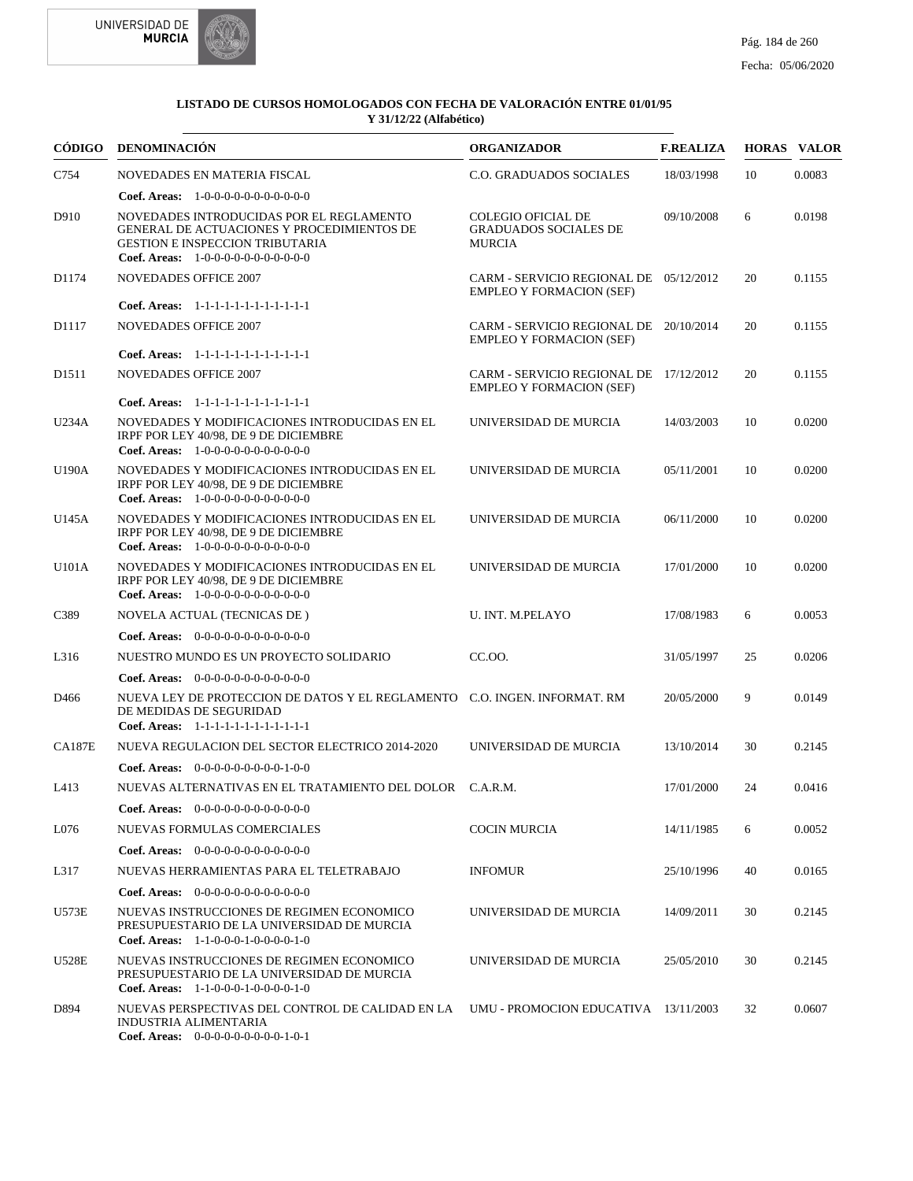

|                   | CÓDIGO DENOMINACIÓN                                                                                                                                                      | <b>ORGANIZADOR</b>                                                        | <b>F.REALIZA</b> |    | <b>HORAS VALOR</b> |
|-------------------|--------------------------------------------------------------------------------------------------------------------------------------------------------------------------|---------------------------------------------------------------------------|------------------|----|--------------------|
| C754              | NOVEDADES EN MATERIA FISCAL                                                                                                                                              | <b>C.O. GRADUADOS SOCIALES</b>                                            | 18/03/1998       | 10 | 0.0083             |
|                   | <b>Coef. Areas:</b> $1-0-0-0-0-0-0-0-0-0-0$                                                                                                                              |                                                                           |                  |    |                    |
| D910              | NOVEDADES INTRODUCIDAS POR EL REGLAMENTO<br>GENERAL DE ACTUACIONES Y PROCEDIMIENTOS DE<br><b>GESTION E INSPECCION TRIBUTARIA</b><br>Coef. Areas: 1-0-0-0-0-0-0-0-0-0-0-0 | <b>COLEGIO OFICIAL DE</b><br><b>GRADUADOS SOCIALES DE</b><br>MURCIA       | 09/10/2008       | 6  | 0.0198             |
| D1174             | <b>NOVEDADES OFFICE 2007</b>                                                                                                                                             | CARM - SERVICIO REGIONAL DE 05/12/2012<br><b>EMPLEO Y FORMACION (SEF)</b> |                  | 20 | 0.1155             |
|                   | Coef. Areas: 1-1-1-1-1-1-1-1-1-1-1-1-1                                                                                                                                   |                                                                           |                  |    |                    |
| D1117             | <b>NOVEDADES OFFICE 2007</b>                                                                                                                                             | CARM - SERVICIO REGIONAL DE 20/10/2014<br><b>EMPLEO Y FORMACION (SEF)</b> |                  | 20 | 0.1155             |
|                   | Coef. Areas: 1-1-1-1-1-1-1-1-1-1-1-1-1                                                                                                                                   |                                                                           |                  |    |                    |
| D <sub>1511</sub> | <b>NOVEDADES OFFICE 2007</b>                                                                                                                                             | CARM - SERVICIO REGIONAL DE 17/12/2012<br><b>EMPLEO Y FORMACION (SEF)</b> |                  | 20 | 0.1155             |
|                   | Coef. Areas: 1-1-1-1-1-1-1-1-1-1-1-1-1                                                                                                                                   |                                                                           |                  |    |                    |
| U234A             | NOVEDADES Y MODIFICACIONES INTRODUCIDAS EN EL<br>IRPF POR LEY 40/98, DE 9 DE DICIEMBRE<br><b>Coef. Areas:</b> $1-0-0-0-0-0-0-0-0-0-0$                                    | UNIVERSIDAD DE MURCIA                                                     | 14/03/2003       | 10 | 0.0200             |
| U190A             | NOVEDADES Y MODIFICACIONES INTRODUCIDAS EN EL<br>IRPF POR LEY 40/98, DE 9 DE DICIEMBRE<br>Coef. Areas: $1-0-0-0-0-0-0-0-0-0-0$                                           | UNIVERSIDAD DE MURCIA                                                     | 05/11/2001       | 10 | 0.0200             |
| U145A             | NOVEDADES Y MODIFICACIONES INTRODUCIDAS EN EL<br>IRPF POR LEY 40/98, DE 9 DE DICIEMBRE<br><b>Coef. Areas:</b> $1-0-0-0-0-0-0-0-0-0-0-0$                                  | UNIVERSIDAD DE MURCIA                                                     | 06/11/2000       | 10 | 0.0200             |
| U101A             | NOVEDADES Y MODIFICACIONES INTRODUCIDAS EN EL<br>IRPF POR LEY 40/98, DE 9 DE DICIEMBRE<br>Coef. Areas: 1-0-0-0-0-0-0-0-0-0-0-0-0                                         | UNIVERSIDAD DE MURCIA                                                     | 17/01/2000       | 10 | 0.0200             |
| C389              | NOVELA ACTUAL (TECNICAS DE)                                                                                                                                              | U. INT. M.PELAYO                                                          | 17/08/1983       | 6  | 0.0053             |
|                   | <b>Coef. Areas:</b> $0-0-0-0-0-0-0-0-0-0-0-0$                                                                                                                            |                                                                           |                  |    |                    |
| L316              | NUESTRO MUNDO ES UN PROYECTO SOLIDARIO                                                                                                                                   | CC.OO.                                                                    | 31/05/1997       | 25 | 0.0206             |
|                   | Coef. Areas: $0-0-0-0-0-0-0-0-0-0-0$                                                                                                                                     |                                                                           |                  |    |                    |
| D466              | NUEVA LEY DE PROTECCION DE DATOS Y EL REGLAMENTO C.O. INGEN. INFORMAT. RM<br>DE MEDIDAS DE SEGURIDAD<br>Coef. Areas: 1-1-1-1-1-1-1-1-1-1-1-1-1                           |                                                                           | 20/05/2000       | 9  | 0.0149             |
| <b>CA187E</b>     | NUEVA REGULACION DEL SECTOR ELECTRICO 2014-2020                                                                                                                          | UNIVERSIDAD DE MURCIA                                                     | 13/10/2014       | 30 | 0.2145             |
|                   | <b>Coef. Areas:</b> $0-0-0-0-0-0-0-0-1-0-0$                                                                                                                              |                                                                           |                  |    |                    |
| L413              | NUEVAS ALTERNATIVAS EN EL TRATAMIENTO DEL DOLOR C.A.R.M.                                                                                                                 |                                                                           | 17/01/2000       | 24 | 0.0416             |
|                   | Coef. Areas: 0-0-0-0-0-0-0-0-0-0-0-0-0                                                                                                                                   |                                                                           |                  |    |                    |
| L076              | NUEVAS FORMULAS COMERCIALES                                                                                                                                              | <b>COCIN MURCIA</b>                                                       | 14/11/1985       | 6  | 0.0052             |
|                   | <b>Coef. Areas:</b> $0-0-0-0-0-0-0-0-0-0-0-0$                                                                                                                            |                                                                           |                  |    |                    |
| L317              | NUEVAS HERRAMIENTAS PARA EL TELETRABAJO                                                                                                                                  | <b>INFOMUR</b>                                                            | 25/10/1996       | 40 | 0.0165             |
|                   | <b>Coef. Areas:</b> $0-0-0-0-0-0-0-0-0-0-0-0$                                                                                                                            |                                                                           |                  |    |                    |
| U573E             | NUEVAS INSTRUCCIONES DE REGIMEN ECONOMICO<br>PRESUPUESTARIO DE LA UNIVERSIDAD DE MURCIA<br>Coef. Areas: 1-1-0-0-0-1-0-0-0-0-1-0                                          | UNIVERSIDAD DE MURCIA                                                     | 14/09/2011       | 30 | 0.2145             |
| <b>U528E</b>      | NUEVAS INSTRUCCIONES DE REGIMEN ECONOMICO<br>PRESUPUESTARIO DE LA UNIVERSIDAD DE MURCIA<br>Coef. Areas: $1-1-0-0-0-1-0-0-0-1-0$                                          | UNIVERSIDAD DE MURCIA                                                     | 25/05/2010       | 30 | 0.2145             |
| D894              | NUEVAS PERSPECTIVAS DEL CONTROL DE CALIDAD EN LA<br>INDUSTRIA ALIMENTARIA<br>Coef. Areas: $0-0-0-0-0-0-0-0-1-0-1$                                                        | UMU - PROMOCION EDUCATIVA 13/11/2003                                      |                  | 32 | 0.0607             |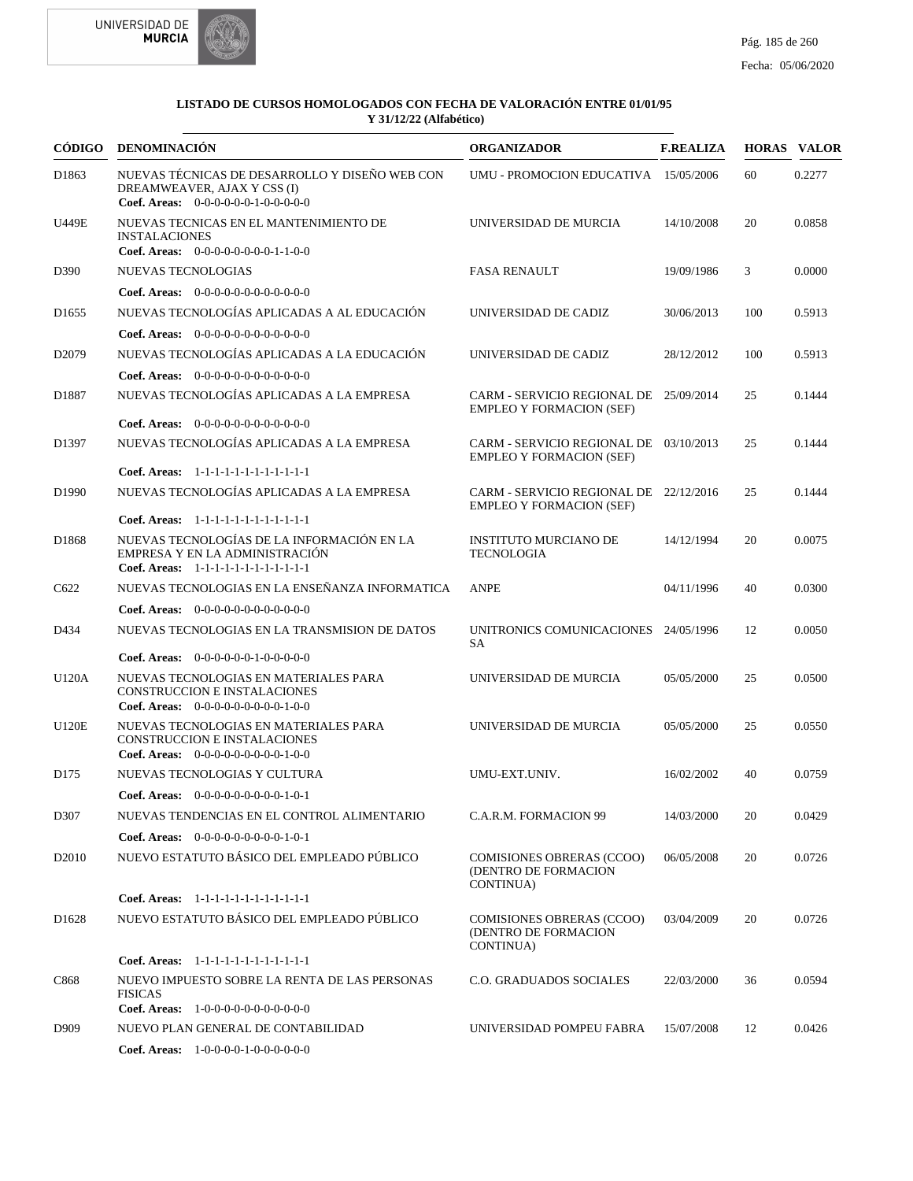



| CÓDIGO            | DENOMINACIÓN                                                                                                           | <b>ORGANIZADOR</b>                                                            | <b>F.REALIZA</b> |     | <b>HORAS VALOR</b> |
|-------------------|------------------------------------------------------------------------------------------------------------------------|-------------------------------------------------------------------------------|------------------|-----|--------------------|
| D1863             | NUEVAS TÉCNICAS DE DESARROLLO Y DISEÑO WEB CON<br>DREAMWEAVER, AJAX Y CSS (I)<br>Coef. Areas: $0-0-0-0-0-1-0-0-0-0-0$  | UMU - PROMOCION EDUCATIVA 15/05/2006                                          |                  | 60  | 0.2277             |
| <b>U449E</b>      | NUEVAS TECNICAS EN EL MANTENIMIENTO DE<br><b>INSTALACIONES</b><br>Coef. Areas: $0-0-0-0-0-0-0-1-1-0-0$                 | UNIVERSIDAD DE MURCIA                                                         | 14/10/2008       | 20  | 0.0858             |
| D390              | NUEVAS TECNOLOGIAS                                                                                                     | <b>FASA RENAULT</b>                                                           | 19/09/1986       | 3   | 0.0000             |
|                   | Coef. Areas: $0-0-0-0-0-0-0-0-0-0-0$                                                                                   |                                                                               |                  |     |                    |
| D <sub>1655</sub> | NUEVAS TECNOLOGÍAS APLICADAS A AL EDUCACIÓN                                                                            | UNIVERSIDAD DE CADIZ                                                          | 30/06/2013       | 100 | 0.5913             |
|                   | <b>Coef. Areas:</b> $0-0-0-0-0-0-0-0-0-0-0-0$                                                                          |                                                                               |                  |     |                    |
| D <sub>2079</sub> | NUEVAS TECNOLOGÍAS APLICADAS A LA EDUCACIÓN                                                                            | UNIVERSIDAD DE CADIZ                                                          | 28/12/2012       | 100 | 0.5913             |
|                   | <b>Coef. Areas:</b> $0-0-0-0-0-0-0-0-0-0-0-0$                                                                          |                                                                               |                  |     |                    |
| D1887             | NUEVAS TECNOLOGÍAS APLICADAS A LA EMPRESA                                                                              | CARM - SERVICIO REGIONAL DE 25/09/2014<br><b>EMPLEO Y FORMACION (SEF)</b>     |                  | 25  | 0.1444             |
|                   | Coef. Areas: $0-0-0-0-0-0-0-0-0-0-0$                                                                                   |                                                                               |                  |     |                    |
| D1397             | NUEVAS TECNOLOGÍAS APLICADAS A LA EMPRESA                                                                              | CARM - SERVICIO REGIONAL DE 03/10/2013<br><b>EMPLEO Y FORMACION (SEF)</b>     |                  | 25  | 0.1444             |
|                   | Coef. Areas: 1-1-1-1-1-1-1-1-1-1-1-1-1                                                                                 |                                                                               |                  |     |                    |
| D <sub>1990</sub> | NUEVAS TECNOLOGÍAS APLICADAS A LA EMPRESA<br>Coef. Areas: 1-1-1-1-1-1-1-1-1-1-1-1-1                                    | CARM - SERVICIO REGIONAL DE 22/12/2016<br><b>EMPLEO Y FORMACION (SEF)</b>     |                  | 25  | 0.1444             |
| D1868             | NUEVAS TECNOLOGÍAS DE LA INFORMACIÓN EN LA<br>EMPRESA Y EN LA ADMINISTRACIÓN<br>Coef. Areas: 1-1-1-1-1-1-1-1-1-1-1-1-1 | <b>INSTITUTO MURCIANO DE</b><br><b>TECNOLOGIA</b>                             | 14/12/1994       | 20  | 0.0075             |
| C622              | NUEVAS TECNOLOGIAS EN LA ENSEÑANZA INFORMATICA                                                                         | <b>ANPE</b>                                                                   | 04/11/1996       | 40  | 0.0300             |
|                   | <b>Coef. Areas:</b> $0-0-0-0-0-0-0-0-0-0-0-0$                                                                          |                                                                               |                  |     |                    |
| D434              | NUEVAS TECNOLOGIAS EN LA TRANSMISION DE DATOS                                                                          | UNITRONICS COMUNICACIONES 24/05/1996<br>SA                                    |                  | 12  | 0.0050             |
|                   | <b>Coef. Areas:</b> $0-0-0-0-0-1-0-0-0-0-0$                                                                            |                                                                               |                  |     |                    |
| U120A             | NUEVAS TECNOLOGIAS EN MATERIALES PARA<br>CONSTRUCCION E INSTALACIONES<br>Coef. Areas: $0-0-0-0-0-0-0-0-1-0-0$          | UNIVERSIDAD DE MURCIA                                                         | 05/05/2000       | 25  | 0.0500             |
| <b>U120E</b>      | NUEVAS TECNOLOGIAS EN MATERIALES PARA<br>CONSTRUCCION E INSTALACIONES<br>Coef. Areas: $0-0-0-0-0-0-0-0-1-0-0$          | UNIVERSIDAD DE MURCIA                                                         | 05/05/2000       | 25  | 0.0550             |
| D <sub>175</sub>  | NUEVAS TECNOLOGIAS Y CULTURA                                                                                           | UMU-EXT.UNIV.                                                                 | 16/02/2002       | 40  | 0.0759             |
|                   | Coef. Areas: $0-0-0-0-0-0-0-0-1-0-1$                                                                                   |                                                                               |                  |     |                    |
| D307              | NUEVAS TENDENCIAS EN EL CONTROL ALIMENTARIO                                                                            | C.A.R.M. FORMACION 99                                                         | 14/03/2000       | 20  | 0.0429             |
|                   | Coef. Areas: $0-0-0-0-0-0-0-0-1-0-1$                                                                                   |                                                                               |                  |     |                    |
| D <sub>2010</sub> | NUEVO ESTATUTO BÁSICO DEL EMPLEADO PÚBLICO                                                                             | <b>COMISIONES OBRERAS (CCOO)</b><br>(DENTRO DE FORMACION<br><b>CONTINUA</b> ) | 06/05/2008       | 20  | 0.0726             |
|                   | Coef. Areas: 1-1-1-1-1-1-1-1-1-1-1-1-1                                                                                 |                                                                               |                  |     |                    |
| D <sub>1628</sub> | NUEVO ESTATUTO BÁSICO DEL EMPLEADO PÚBLICO                                                                             | <b>COMISIONES OBRERAS (CCOO)</b><br>(DENTRO DE FORMACION<br>CONTINUA)         | 03/04/2009       | 20  | 0.0726             |
|                   | Coef. Areas: 1-1-1-1-1-1-1-1-1-1-1-1-1                                                                                 |                                                                               |                  |     |                    |
| C868              | NUEVO IMPUESTO SOBRE LA RENTA DE LAS PERSONAS<br><b>FISICAS</b><br>Coef. Areas: 1-0-0-0-0-0-0-0-0-0-0-0-0              | <b>C.O. GRADUADOS SOCIALES</b>                                                | 22/03/2000       | 36  | 0.0594             |
| D909              | NUEVO PLAN GENERAL DE CONTABILIDAD                                                                                     | UNIVERSIDAD POMPEU FABRA                                                      | 15/07/2008       | 12  | 0.0426             |
|                   | Coef. Areas: $1-0-0-0-1-0-0-0-0-0-0$                                                                                   |                                                                               |                  |     |                    |
|                   |                                                                                                                        |                                                                               |                  |     |                    |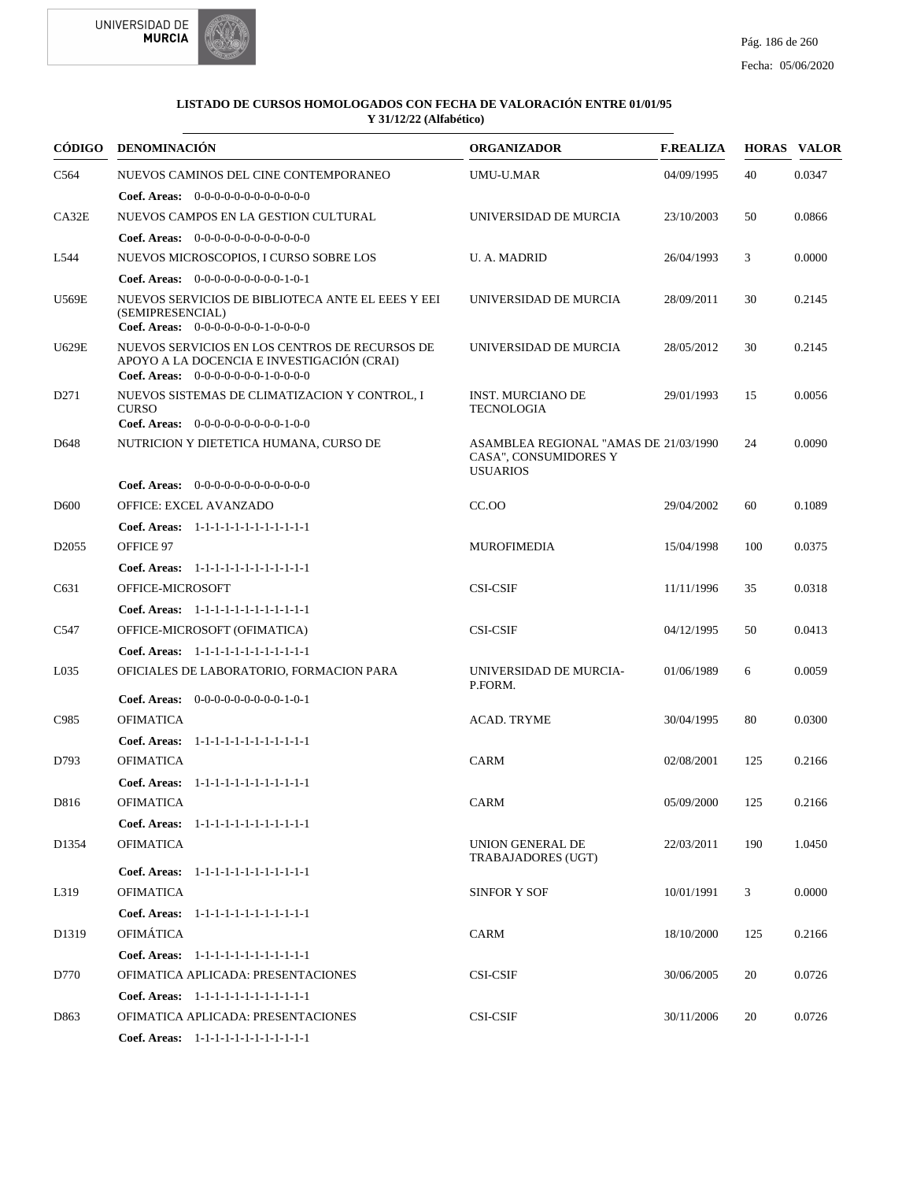



| CÓDIGO            | <b>DENOMINACIÓN</b>                                                                                                                  | <b>ORGANIZADOR</b>                                                                | <b>F.REALIZA</b> |     | <b>HORAS VALOR</b> |
|-------------------|--------------------------------------------------------------------------------------------------------------------------------------|-----------------------------------------------------------------------------------|------------------|-----|--------------------|
| C <sub>564</sub>  | NUEVOS CAMINOS DEL CINE CONTEMPORANEO                                                                                                | <b>UMU-U.MAR</b>                                                                  | 04/09/1995       | 40  | 0.0347             |
|                   | <b>Coef. Areas:</b> $0-0-0-0-0-0-0-0-0-0-0$                                                                                          |                                                                                   |                  |     |                    |
| CA32E             | NUEVOS CAMPOS EN LA GESTION CULTURAL                                                                                                 | UNIVERSIDAD DE MURCIA                                                             | 23/10/2003       | 50  | 0.0866             |
|                   | Coef. Areas: 0-0-0-0-0-0-0-0-0-0-0-0-0                                                                                               |                                                                                   |                  |     |                    |
| L544              | NUEVOS MICROSCOPIOS, I CURSO SOBRE LOS                                                                                               | U. A. MADRID                                                                      | 26/04/1993       | 3   | 0.0000             |
|                   | Coef. Areas: 0-0-0-0-0-0-0-0-0-1-0-1                                                                                                 |                                                                                   |                  |     |                    |
| <b>U569E</b>      | NUEVOS SERVICIOS DE BIBLIOTECA ANTE EL EEES Y EEI<br>(SEMIPRESENCIAL)<br>Coef. Areas: $0-0-0-0-0-0-1-0-0-0-0$                        | UNIVERSIDAD DE MURCIA                                                             | 28/09/2011       | 30  | 0.2145             |
| <b>U629E</b>      | NUEVOS SERVICIOS EN LOS CENTROS DE RECURSOS DE<br>APOYO A LA DOCENCIA E INVESTIGACIÓN (CRAI)<br>Coef. Areas: $0-0-0-0-0-0-1-0-0-0-0$ | UNIVERSIDAD DE MURCIA                                                             | 28/05/2012       | 30  | 0.2145             |
| D <sub>271</sub>  | NUEVOS SISTEMAS DE CLIMATIZACION Y CONTROL, I<br><b>CURSO</b><br>Coef. Areas: $0-0-0-0-0-0-0-0-1-0-0$                                | <b>INST. MURCIANO DE</b><br><b>TECNOLOGIA</b>                                     | 29/01/1993       | 15  | 0.0056             |
| D648              | NUTRICION Y DIETETICA HUMANA, CURSO DE                                                                                               | ASAMBLEA REGIONAL "AMAS DE 21/03/1990<br>CASA", CONSUMIDORES Y<br><b>USUARIOS</b> |                  | 24  | 0.0090             |
|                   | <b>Coef. Areas:</b> $0-0-0-0-0-0-0-0-0-0-0-0$                                                                                        |                                                                                   |                  |     |                    |
| D <sub>600</sub>  | OFFICE: EXCEL AVANZADO                                                                                                               | CC.00                                                                             | 29/04/2002       | 60  | 0.1089             |
|                   | Coef. Areas: 1-1-1-1-1-1-1-1-1-1-1-1-1                                                                                               |                                                                                   |                  |     |                    |
| D <sub>2055</sub> | OFFICE 97                                                                                                                            | <b>MUROFIMEDIA</b>                                                                | 15/04/1998       | 100 | 0.0375             |
|                   | Coef. Areas: 1-1-1-1-1-1-1-1-1-1-1-1-1                                                                                               |                                                                                   |                  |     |                    |
| C631              | OFFICE-MICROSOFT                                                                                                                     | <b>CSI-CSIF</b>                                                                   | 11/11/1996       | 35  | 0.0318             |
|                   | Coef. Areas: $1-1-1-1-1-1-1-1-1-1-1$                                                                                                 |                                                                                   |                  |     |                    |
| C547              | OFFICE-MICROSOFT (OFIMATICA)                                                                                                         | <b>CSI-CSIF</b>                                                                   | 04/12/1995       | 50  | 0.0413             |
| L <sub>035</sub>  | Coef. Areas: 1-1-1-1-1-1-1-1-1-1-1-1-1                                                                                               | UNIVERSIDAD DE MURCIA-                                                            |                  |     | 0.0059             |
|                   | OFICIALES DE LABORATORIO, FORMACION PARA                                                                                             | P.FORM.                                                                           | 01/06/1989       | 6   |                    |
|                   | Coef. Areas: $0-0-0-0-0-0-0-0-1-0-1$                                                                                                 |                                                                                   |                  |     |                    |
| C985              | <b>OFIMATICA</b>                                                                                                                     | <b>ACAD. TRYME</b>                                                                | 30/04/1995       | 80  | 0.0300             |
|                   | Coef. Areas: 1-1-1-1-1-1-1-1-1-1-1-1-1                                                                                               |                                                                                   |                  |     |                    |
| D793              | <b>OFIMATICA</b>                                                                                                                     | CARM                                                                              | 02/08/2001       | 125 | 0.2166             |
|                   | Coef. Areas: 1-1-1-1-1-1-1-1-1-1-1-1-1                                                                                               |                                                                                   |                  |     |                    |
| D816              | <b>OFIMATICA</b>                                                                                                                     | CARM                                                                              | 05/09/2000       | 125 | 0.2166             |
|                   | Coef. Areas: 1-1-1-1-1-1-1-1-1-1-1-1-1                                                                                               |                                                                                   |                  |     |                    |
| D <sub>1354</sub> | <b>OFIMATICA</b>                                                                                                                     | <b>UNION GENERAL DE</b><br>TRABAJADORES (UGT)                                     | 22/03/2011       | 190 | 1.0450             |
|                   | Coef. Areas: 1-1-1-1-1-1-1-1-1-1-1-1-1                                                                                               |                                                                                   |                  |     |                    |
| L319              | <b>OFIMATICA</b>                                                                                                                     | <b>SINFOR Y SOF</b>                                                               | 10/01/1991       | 3   | 0.0000             |
|                   | Coef. Areas: 1-1-1-1-1-1-1-1-1-1-1-1-1                                                                                               |                                                                                   |                  |     |                    |
| D <sub>1319</sub> | <b>OFIMÁTICA</b>                                                                                                                     | <b>CARM</b>                                                                       | 18/10/2000       | 125 | 0.2166             |
|                   | Coef. Areas: 1-1-1-1-1-1-1-1-1-1-1-1-1                                                                                               |                                                                                   |                  |     |                    |
| D770              | OFIMATICA APLICADA: PRESENTACIONES                                                                                                   | <b>CSI-CSIF</b>                                                                   | 30/06/2005       | 20  | 0.0726             |
|                   | Coef. Areas: 1-1-1-1-1-1-1-1-1-1-1-1-1                                                                                               |                                                                                   |                  |     |                    |
| D863              | OFIMATICA APLICADA: PRESENTACIONES                                                                                                   | <b>CSI-CSIF</b>                                                                   | 30/11/2006       | 20  | 0.0726             |
|                   | Coef. Areas: $1-1-1-1-1-1-1-1-1-1-1$                                                                                                 |                                                                                   |                  |     |                    |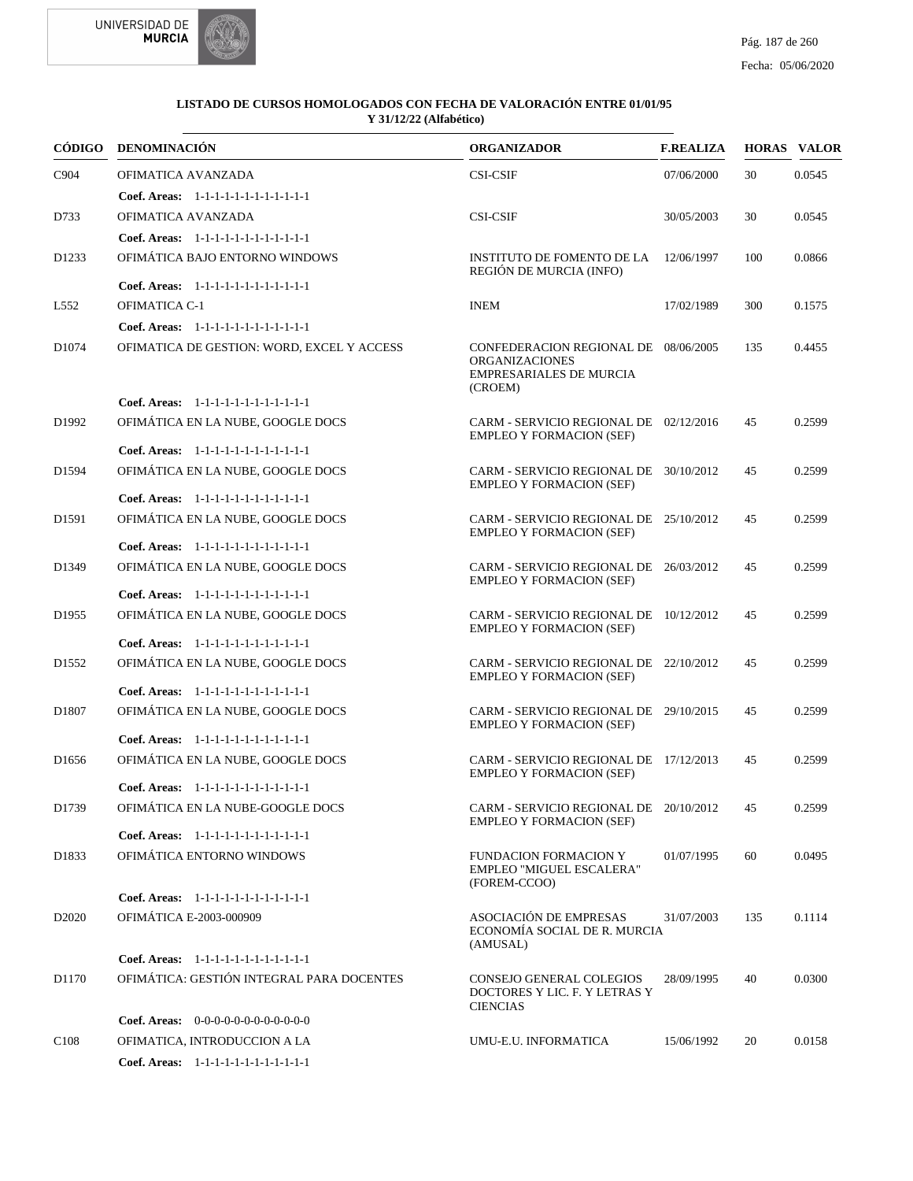

|                   | CÓDIGO DENOMINACIÓN                                                         | <b>ORGANIZADOR</b>                                                                                  | <b>F.REALIZA</b> |     | <b>HORAS VALOR</b> |
|-------------------|-----------------------------------------------------------------------------|-----------------------------------------------------------------------------------------------------|------------------|-----|--------------------|
| C904              | OFIMATICA AVANZADA                                                          | <b>CSI-CSIF</b>                                                                                     | 07/06/2000       | 30  | 0.0545             |
|                   | Coef. Areas: 1-1-1-1-1-1-1-1-1-1-1-1-1                                      |                                                                                                     |                  |     |                    |
| D733              | OFIMATICA AVANZADA                                                          | <b>CSI-CSIF</b>                                                                                     | 30/05/2003       | 30  | 0.0545             |
|                   | Coef. Areas: 1-1-1-1-1-1-1-1-1-1-1-1-1                                      |                                                                                                     |                  |     |                    |
| D <sub>1233</sub> | OFIMÁTICA BAJO ENTORNO WINDOWS                                              | INSTITUTO DE FOMENTO DE LA<br>REGIÓN DE MURCIA (INFO)                                               | 12/06/1997       | 100 | 0.0866             |
|                   | Coef. Areas: 1-1-1-1-1-1-1-1-1-1-1-1-1                                      |                                                                                                     |                  |     |                    |
| L552              | OFIMATICA C-1                                                               | <b>INEM</b>                                                                                         | 17/02/1989       | 300 | 0.1575             |
|                   | Coef. Areas: 1-1-1-1-1-1-1-1-1-1-1-1-1                                      |                                                                                                     |                  |     |                    |
| D <sub>1074</sub> | OFIMATICA DE GESTION: WORD, EXCEL Y ACCESS                                  | CONFEDERACION REGIONAL DE 08/06/2005<br><b>ORGANIZACIONES</b><br>EMPRESARIALES DE MURCIA<br>(CROEM) |                  | 135 | 0.4455             |
|                   | Coef. Areas: 1-1-1-1-1-1-1-1-1-1-1-1-1                                      |                                                                                                     |                  |     |                    |
| D1992             | OFIMÁTICA EN LA NUBE, GOOGLE DOCS                                           | CARM - SERVICIO REGIONAL DE 02/12/2016<br><b>EMPLEO Y FORMACION (SEF)</b>                           |                  | 45  | 0.2599             |
|                   | Coef. Areas: 1-1-1-1-1-1-1-1-1-1-1-1-1                                      |                                                                                                     |                  |     |                    |
| D1594             | OFIMÁTICA EN LA NUBE, GOOGLE DOCS                                           | CARM - SERVICIO REGIONAL DE 30/10/2012<br><b>EMPLEO Y FORMACION (SEF)</b>                           |                  | 45  | 0.2599             |
|                   | Coef. Areas: 1-1-1-1-1-1-1-1-1-1-1-1-1                                      |                                                                                                     |                  |     |                    |
| D <sub>1591</sub> | OFIMÁTICA EN LA NUBE, GOOGLE DOCS                                           | CARM - SERVICIO REGIONAL DE 25/10/2012<br><b>EMPLEO Y FORMACION (SEF)</b>                           |                  | 45  | 0.2599             |
|                   | Coef. Areas: 1-1-1-1-1-1-1-1-1-1-1-1-1                                      |                                                                                                     |                  |     |                    |
| D1349             | OFIMÁTICA EN LA NUBE, GOOGLE DOCS                                           | CARM - SERVICIO REGIONAL DE 26/03/2012<br><b>EMPLEO Y FORMACION (SEF)</b>                           |                  | 45  | 0.2599             |
|                   | Coef. Areas: 1-1-1-1-1-1-1-1-1-1-1-1-1                                      |                                                                                                     |                  |     |                    |
| D <sub>1955</sub> | OFIMÁTICA EN LA NUBE, GOOGLE DOCS<br>Coef. Areas: 1-1-1-1-1-1-1-1-1-1-1-1-1 | CARM - SERVICIO REGIONAL DE 10/12/2012<br><b>EMPLEO Y FORMACION (SEF)</b>                           |                  | 45  | 0.2599             |
| D1552             | OFIMÁTICA EN LA NUBE, GOOGLE DOCS                                           | CARM - SERVICIO REGIONAL DE 22/10/2012<br><b>EMPLEO Y FORMACION (SEF)</b>                           |                  | 45  | 0.2599             |
|                   | Coef. Areas: 1-1-1-1-1-1-1-1-1-1-1-1-1                                      |                                                                                                     |                  |     |                    |
| D1807             | OFIMÁTICA EN LA NUBE, GOOGLE DOCS                                           | CARM - SERVICIO REGIONAL DE 29/10/2015<br><b>EMPLEO Y FORMACION (SEF)</b>                           |                  | 45  | 0.2599             |
|                   | Coef. Areas: 1-1-1-1-1-1-1-1-1-1-1-1-1                                      |                                                                                                     |                  |     |                    |
| D <sub>1656</sub> | OFIMÁTICA EN LA NUBE, GOOGLE DOCS                                           | CARM - SERVICIO REGIONAL DE 17/12/2013<br><b>EMPLEO Y FORMACION (SEF)</b>                           |                  | 45  | 0.2599             |
|                   | Coef. Areas: 1-1-1-1-1-1-1-1-1-1-1-1-1                                      |                                                                                                     |                  |     |                    |
| D <sub>1739</sub> | OFIMÁTICA EN LA NUBE-GOOGLE DOCS                                            | CARM - SERVICIO REGIONAL DE 20/10/2012<br><b>EMPLEO Y FORMACION (SEF)</b>                           |                  | 45  | 0.2599             |
|                   | Coef. Areas: 1-1-1-1-1-1-1-1-1-1-1-1-1                                      |                                                                                                     |                  |     |                    |
| D1833             | OFIMÁTICA ENTORNO WINDOWS                                                   | <b>FUNDACION FORMACION Y</b><br>EMPLEO "MIGUEL ESCALERA"<br>(FOREM-CCOO)                            | 01/07/1995       | 60  | 0.0495             |
|                   | Coef. Areas: $1-1-1-1-1-1-1-1-1-1-1$                                        |                                                                                                     |                  |     |                    |
| D <sub>2020</sub> | <b>OFIMÁTICA E-2003-000909</b>                                              | <b>ASOCIACIÓN DE EMPRESAS</b><br>ECONOMÍA SOCIAL DE R. MURCIA<br>(AMUSAL)                           | 31/07/2003       | 135 | 0.1114             |
|                   | Coef. Areas: 1-1-1-1-1-1-1-1-1-1-1-1-1                                      |                                                                                                     |                  |     |                    |
| D1170             | OFIMÁTICA: GESTIÓN INTEGRAL PARA DOCENTES                                   | CONSEJO GENERAL COLEGIOS<br>DOCTORES Y LIC. F. Y LETRAS Y<br><b>CIENCIAS</b>                        | 28/09/1995       | 40  | 0.0300             |
|                   | Coef. Areas: $0-0-0-0-0-0-0-0-0-0-0$                                        |                                                                                                     |                  |     |                    |
| C <sub>108</sub>  | OFIMATICA, INTRODUCCION A LA                                                | UMU-E.U. INFORMATICA                                                                                | 15/06/1992       | 20  | 0.0158             |
|                   | Coef. Areas: 1-1-1-1-1-1-1-1-1-1-1-1-1                                      |                                                                                                     |                  |     |                    |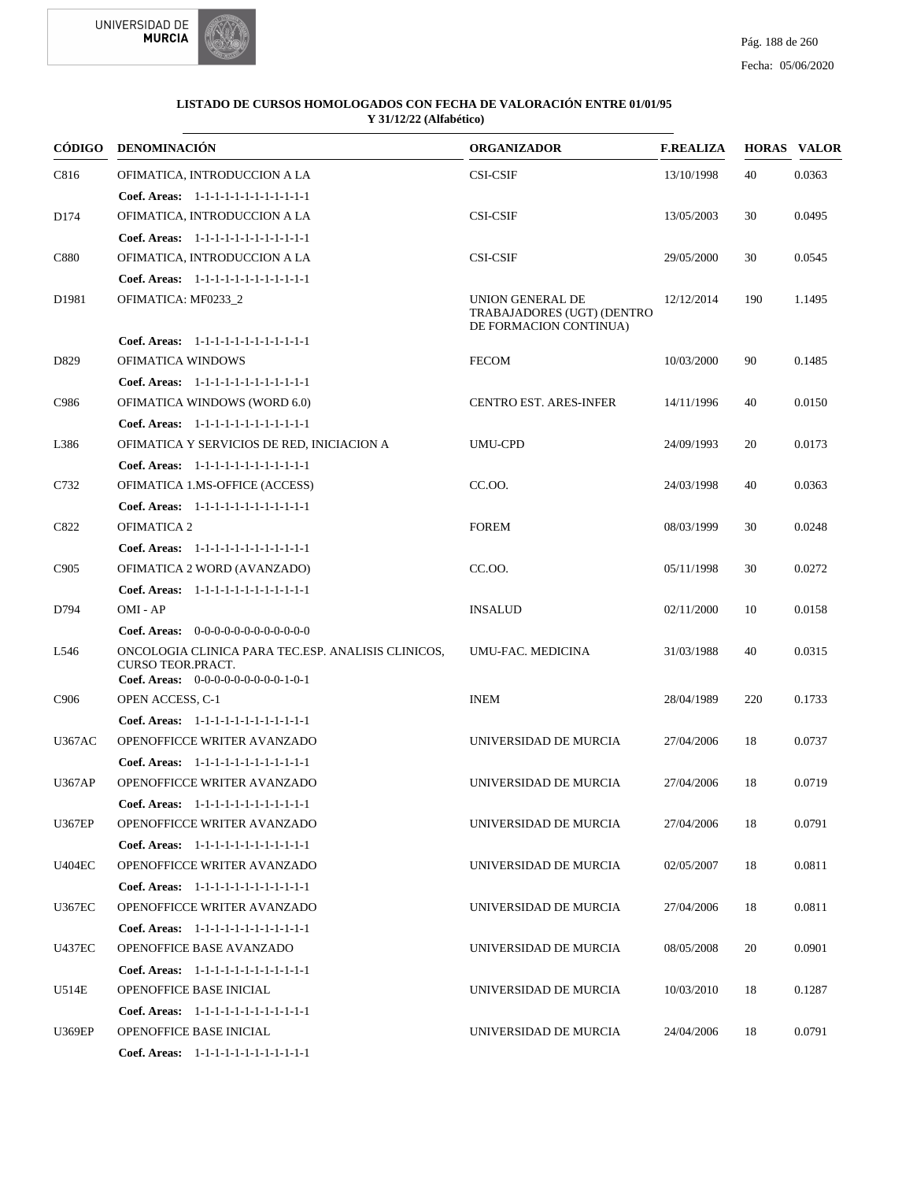



| CÓDIGO           | <b>DENOMINACIÓN</b>                                                                                                           | <b>ORGANIZADOR</b>                                                       | <b>F.REALIZA</b> |     | <b>HORAS VALOR</b> |
|------------------|-------------------------------------------------------------------------------------------------------------------------------|--------------------------------------------------------------------------|------------------|-----|--------------------|
| C816             | OFIMATICA, INTRODUCCION A LA                                                                                                  | <b>CSI-CSIF</b>                                                          | 13/10/1998       | 40  | 0.0363             |
|                  | Coef. Areas: 1-1-1-1-1-1-1-1-1-1-1-1-1                                                                                        |                                                                          |                  |     |                    |
| D174             | OFIMATICA, INTRODUCCION A LA                                                                                                  | <b>CSI-CSIF</b>                                                          | 13/05/2003       | 30  | 0.0495             |
|                  | Coef. Areas: 1-1-1-1-1-1-1-1-1-1-1-1-1                                                                                        |                                                                          |                  |     |                    |
| C880             | OFIMATICA, INTRODUCCION A LA                                                                                                  | <b>CSI-CSIF</b>                                                          | 29/05/2000       | 30  | 0.0545             |
|                  | Coef. Areas: 1-1-1-1-1-1-1-1-1-1-1-1-1                                                                                        |                                                                          |                  |     |                    |
| D1981            | OFIMATICA: MF0233 2                                                                                                           | UNION GENERAL DE<br>TRABAJADORES (UGT) (DENTRO<br>DE FORMACION CONTINUA) | 12/12/2014       | 190 | 1.1495             |
|                  | Coef. Areas: 1-1-1-1-1-1-1-1-1-1-1-1-1                                                                                        |                                                                          |                  |     |                    |
| D829             | OFIMATICA WINDOWS                                                                                                             | <b>FECOM</b>                                                             | 10/03/2000       | 90  | 0.1485             |
|                  | Coef. Areas: 1-1-1-1-1-1-1-1-1-1-1-1-1                                                                                        |                                                                          |                  |     |                    |
| C986             | <b>OFIMATICA WINDOWS (WORD 6.0)</b>                                                                                           | <b>CENTRO EST. ARES-INFER</b>                                            | 14/11/1996       | 40  | 0.0150             |
|                  | Coef. Areas: $1-1-1-1-1-1-1-1-1-1-1$                                                                                          |                                                                          |                  |     |                    |
| L386             | OFIMATICA Y SERVICIOS DE RED, INICIACION A                                                                                    | <b>UMU-CPD</b>                                                           | 24/09/1993       | 20  | 0.0173             |
|                  | Coef. Areas: 1-1-1-1-1-1-1-1-1-1-1-1-1                                                                                        |                                                                          |                  |     |                    |
| C732             | OFIMATICA 1.MS-OFFICE (ACCESS)                                                                                                | CC.00.                                                                   | 24/03/1998       | 40  | 0.0363             |
|                  | Coef. Areas: 1-1-1-1-1-1-1-1-1-1-1-1-1                                                                                        |                                                                          |                  |     |                    |
| C822             | <b>OFIMATICA 2</b>                                                                                                            | <b>FOREM</b>                                                             | 08/03/1999       | 30  | 0.0248             |
|                  | Coef. Areas: 1-1-1-1-1-1-1-1-1-1-1-1-1                                                                                        |                                                                          |                  |     |                    |
| C905             | OFIMATICA 2 WORD (AVANZADO)                                                                                                   | CC.OO.                                                                   | 05/11/1998       | 30  | 0.0272             |
|                  | Coef. Areas: 1-1-1-1-1-1-1-1-1-1-1-1-1                                                                                        |                                                                          |                  |     |                    |
| D794             | OMI - AP                                                                                                                      | <b>INSALUD</b>                                                           | 02/11/2000       | 10  | 0.0158             |
|                  | <b>Coef. Areas:</b> $0-0-0-0-0-0-0-0-0-0-0-0$                                                                                 |                                                                          |                  |     |                    |
| L546             | ONCOLOGIA CLINICA PARA TEC.ESP. ANALISIS CLINICOS,<br><b>CURSO TEOR.PRACT.</b><br><b>Coef. Areas:</b> $0-0-0-0-0-0-0-0-1-0-1$ | UMU-FAC. MEDICINA                                                        | 31/03/1988       | 40  | 0.0315             |
| C <sub>906</sub> | OPEN ACCESS, C-1                                                                                                              | <b>INEM</b>                                                              | 28/04/1989       | 220 | 0.1733             |
|                  | Coef. Areas: 1-1-1-1-1-1-1-1-1-1-1-1-1                                                                                        |                                                                          |                  |     |                    |
| <b>U367AC</b>    | OPENOFFICCE WRITER AVANZADO                                                                                                   | UNIVERSIDAD DE MURCIA                                                    | 27/04/2006       | 18  | 0.0737             |
|                  | Coef. Areas: 1-1-1-1-1-1-1-1-1-1-1-1-1                                                                                        |                                                                          |                  |     |                    |
| <b>U367AP</b>    | OPENOFFICCE WRITER AVANZADO                                                                                                   | UNIVERSIDAD DE MURCIA                                                    | 27/04/2006       | 18  | 0.0719             |
|                  | <b>Coef. Areas:</b> $1-1-1-1-1-1-1-1-1-1-1$                                                                                   |                                                                          |                  |     |                    |
| <b>U367EP</b>    | OPENOFFICCE WRITER AVANZADO                                                                                                   | UNIVERSIDAD DE MURCIA                                                    | 27/04/2006       | 18  | 0.0791             |
|                  | Coef. Areas: 1-1-1-1-1-1-1-1-1-1-1-1-1                                                                                        |                                                                          |                  |     |                    |
| <b>U404EC</b>    | OPENOFFICCE WRITER AVANZADO                                                                                                   | UNIVERSIDAD DE MURCIA                                                    | 02/05/2007       | 18  | 0.0811             |
|                  | Coef. Areas: 1-1-1-1-1-1-1-1-1-1-1-1-1                                                                                        |                                                                          |                  |     |                    |
| <b>U367EC</b>    | OPENOFFICCE WRITER AVANZADO                                                                                                   | UNIVERSIDAD DE MURCIA                                                    | 27/04/2006       | 18  | 0.0811             |
|                  | Coef. Areas: 1-1-1-1-1-1-1-1-1-1-1-1-1                                                                                        |                                                                          |                  |     |                    |
| <b>U437EC</b>    | OPENOFFICE BASE AVANZADO                                                                                                      | UNIVERSIDAD DE MURCIA                                                    | 08/05/2008       | 20  | 0.0901             |
|                  | Coef. Areas: 1-1-1-1-1-1-1-1-1-1-1-1-1                                                                                        |                                                                          |                  |     |                    |
| U514E            | OPENOFFICE BASE INICIAL                                                                                                       | UNIVERSIDAD DE MURCIA                                                    | 10/03/2010       | 18  | 0.1287             |
|                  | Coef. Areas: 1-1-1-1-1-1-1-1-1-1-1-1-1                                                                                        |                                                                          |                  |     |                    |
| <b>U369EP</b>    | OPENOFFICE BASE INICIAL                                                                                                       | UNIVERSIDAD DE MURCIA                                                    | 24/04/2006       | 18  | 0.0791             |
|                  | Coef. Areas: $1-1-1-1-1-1-1-1-1-1-1$                                                                                          |                                                                          |                  |     |                    |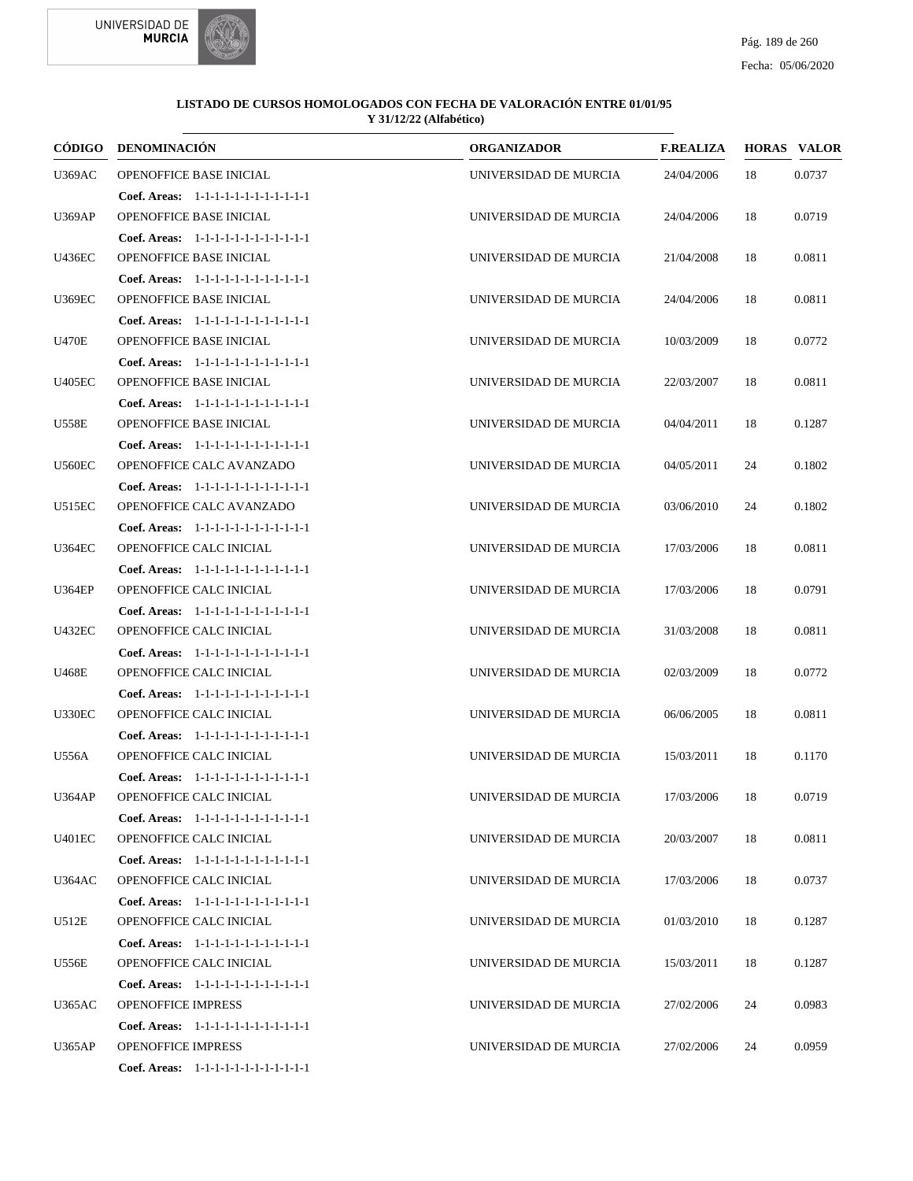



| CÓDIGO        | <b>DENOMINACIÓN</b>                    | <b>ORGANIZADOR</b>    | <b>F.REALIZA</b> |    | <b>HORAS VALOR</b> |
|---------------|----------------------------------------|-----------------------|------------------|----|--------------------|
| <b>U369AC</b> | OPENOFFICE BASE INICIAL                | UNIVERSIDAD DE MURCIA | 24/04/2006       | 18 | 0.0737             |
|               | Coef. Areas: 1-1-1-1-1-1-1-1-1-1-1-1-1 |                       |                  |    |                    |
| <b>U369AP</b> | OPENOFFICE BASE INICIAL                | UNIVERSIDAD DE MURCIA | 24/04/2006       | 18 | 0.0719             |
|               | Coef. Areas: 1-1-1-1-1-1-1-1-1-1-1-1-1 |                       |                  |    |                    |
| <b>U436EC</b> | OPENOFFICE BASE INICIAL                | UNIVERSIDAD DE MURCIA | 21/04/2008       | 18 | 0.0811             |
|               | Coef. Areas: 1-1-1-1-1-1-1-1-1-1-1-1-1 |                       |                  |    |                    |
| <b>U369EC</b> | OPENOFFICE BASE INICIAL                | UNIVERSIDAD DE MURCIA | 24/04/2006       | 18 | 0.0811             |
|               | Coef. Areas: $1-1-1-1-1-1-1-1-1-1-1$   |                       |                  |    |                    |
| <b>U470E</b>  | OPENOFFICE BASE INICIAL                | UNIVERSIDAD DE MURCIA | 10/03/2009       | 18 | 0.0772             |
|               | Coef. Areas: 1-1-1-1-1-1-1-1-1-1-1-1-1 |                       |                  |    |                    |
| <b>U405EC</b> | OPENOFFICE BASE INICIAL                | UNIVERSIDAD DE MURCIA | 22/03/2007       | 18 | 0.0811             |
|               | Coef. Areas: 1-1-1-1-1-1-1-1-1-1-1-1-1 |                       |                  |    |                    |
| <b>U558E</b>  | OPENOFFICE BASE INICIAL                | UNIVERSIDAD DE MURCIA | 04/04/2011       | 18 | 0.1287             |
|               | Coef. Areas: $1-1-1-1-1-1-1-1-1-1-1$   |                       |                  |    |                    |
| <b>U560EC</b> | OPENOFFICE CALC AVANZADO               | UNIVERSIDAD DE MURCIA | 04/05/2011       | 24 | 0.1802             |
|               | Coef. Areas: 1-1-1-1-1-1-1-1-1-1-1-1-1 |                       |                  |    |                    |
| U515EC        | OPENOFFICE CALC AVANZADO               | UNIVERSIDAD DE MURCIA | 03/06/2010       | 24 | 0.1802             |
|               | Coef. Areas: 1-1-1-1-1-1-1-1-1-1-1-1-1 |                       |                  |    |                    |
| <b>U364EC</b> | OPENOFFICE CALC INICIAL                | UNIVERSIDAD DE MURCIA | 17/03/2006       | 18 | 0.0811             |
|               | Coef. Areas: 1-1-1-1-1-1-1-1-1-1-1-1-1 |                       |                  |    |                    |
| <b>U364EP</b> | OPENOFFICE CALC INICIAL                | UNIVERSIDAD DE MURCIA | 17/03/2006       | 18 | 0.0791             |
|               | Coef. Areas: 1-1-1-1-1-1-1-1-1-1-1-1-1 |                       |                  |    |                    |
| <b>U432EC</b> | OPENOFFICE CALC INICIAL                | UNIVERSIDAD DE MURCIA | 31/03/2008       | 18 | 0.0811             |
|               | Coef. Areas: 1-1-1-1-1-1-1-1-1-1-1-1-1 |                       |                  |    |                    |
| U468E         | OPENOFFICE CALC INICIAL                | UNIVERSIDAD DE MURCIA | 02/03/2009       | 18 | 0.0772             |
|               | Coef. Areas: 1-1-1-1-1-1-1-1-1-1-1-1-1 |                       |                  |    |                    |
| <b>U330EC</b> | OPENOFFICE CALC INICIAL                | UNIVERSIDAD DE MURCIA | 06/06/2005       | 18 | 0.0811             |
|               | Coef. Areas: 1-1-1-1-1-1-1-1-1-1-1-1-1 |                       |                  |    |                    |
| U556A         | OPENOFFICE CALC INICIAL                | UNIVERSIDAD DE MURCIA | 15/03/2011       | 18 | 0.1170             |
|               | Coef. Areas: 1-1-1-1-1-1-1-1-1-1-1-1-1 |                       |                  |    |                    |
| <b>U364AP</b> | OPENOFFICE CALC INICIAL                | UNIVERSIDAD DE MURCIA | 17/03/2006       | 18 | 0.0719             |
|               | Coef. Areas: 1-1-1-1-1-1-1-1-1-1-1-1-1 |                       |                  |    |                    |
| <b>U401EC</b> | OPENOFFICE CALC INICIAL                | UNIVERSIDAD DE MURCIA | 20/03/2007       | 18 | 0.0811             |
|               | Coef. Areas: 1-1-1-1-1-1-1-1-1-1-1-1-1 |                       |                  |    |                    |
| <b>U364AC</b> | OPENOFFICE CALC INICIAL                | UNIVERSIDAD DE MURCIA | 17/03/2006       | 18 | 0.0737             |
|               | Coef. Areas: 1-1-1-1-1-1-1-1-1-1-1-1-1 |                       |                  |    |                    |
| U512E         | OPENOFFICE CALC INICIAL                | UNIVERSIDAD DE MURCIA | 01/03/2010       | 18 | 0.1287             |
|               | Coef. Areas: 1-1-1-1-1-1-1-1-1-1-1-1-1 |                       |                  |    |                    |
| U556E         | OPENOFFICE CALC INICIAL                | UNIVERSIDAD DE MURCIA | 15/03/2011       | 18 | 0.1287             |
|               | Coef. Areas: 1-1-1-1-1-1-1-1-1-1-1-1-1 |                       |                  |    |                    |
| <b>U365AC</b> | <b>OPENOFFICE IMPRESS</b>              | UNIVERSIDAD DE MURCIA | 27/02/2006       | 24 | 0.0983             |
|               | Coef. Areas: 1-1-1-1-1-1-1-1-1-1-1-1-1 |                       |                  |    |                    |
| <b>U365AP</b> | <b>OPENOFFICE IMPRESS</b>              | UNIVERSIDAD DE MURCIA | 27/02/2006       | 24 | 0.0959             |
|               | Coef. Areas: 1-1-1-1-1-1-1-1-1-1-1-1-1 |                       |                  |    |                    |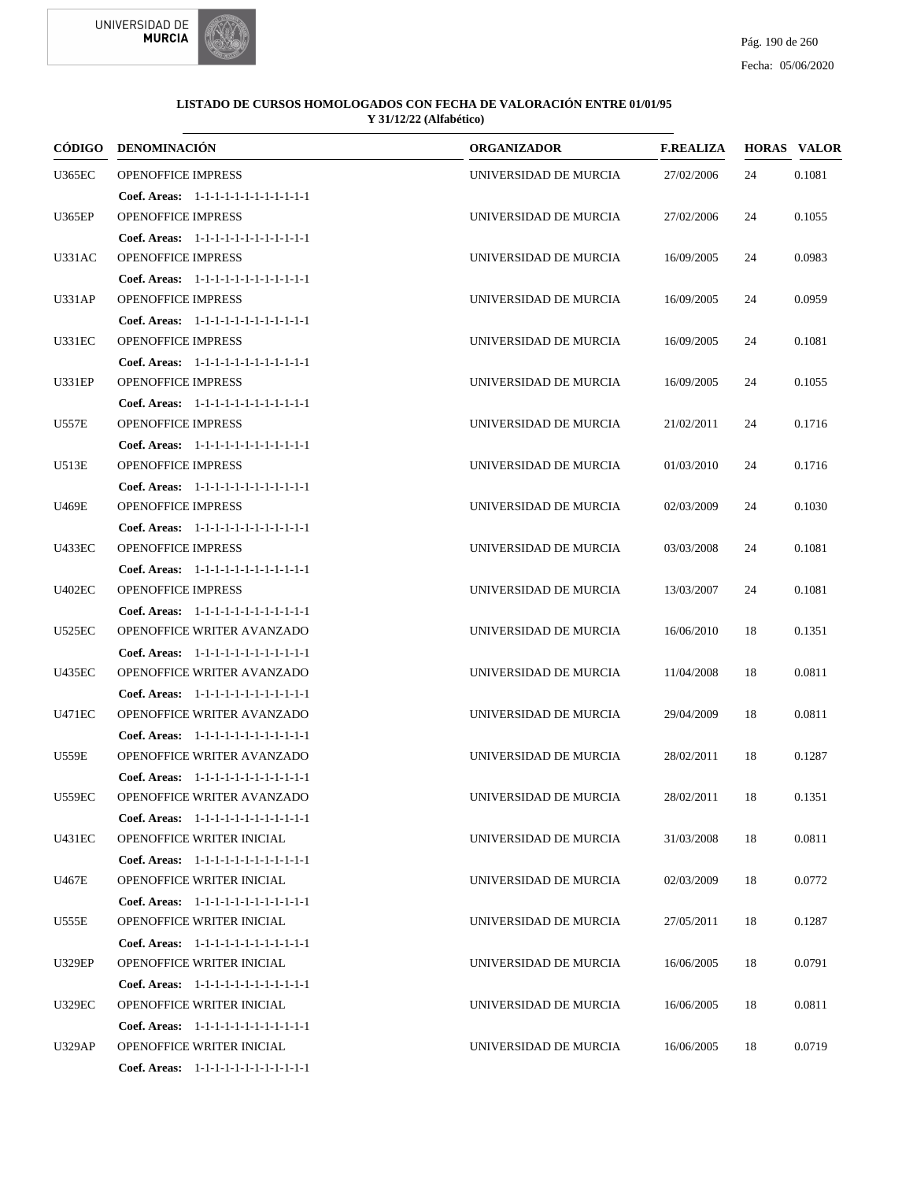



|               | CÓDIGO DENOMINACIÓN                                                 | <b>ORGANIZADOR</b>    | <b>F.REALIZA</b> |    | <b>HORAS VALOR</b> |
|---------------|---------------------------------------------------------------------|-----------------------|------------------|----|--------------------|
| <b>U365EC</b> | <b>OPENOFFICE IMPRESS</b>                                           | UNIVERSIDAD DE MURCIA | 27/02/2006       | 24 | 0.1081             |
|               | Coef. Areas: 1-1-1-1-1-1-1-1-1-1-1-1-1                              |                       |                  |    |                    |
| <b>U365EP</b> | <b>OPENOFFICE IMPRESS</b>                                           | UNIVERSIDAD DE MURCIA | 27/02/2006       | 24 | 0.1055             |
|               | Coef. Areas: 1-1-1-1-1-1-1-1-1-1-1-1-1                              |                       |                  |    |                    |
| U331AC        | <b>OPENOFFICE IMPRESS</b>                                           | UNIVERSIDAD DE MURCIA | 16/09/2005       | 24 | 0.0983             |
|               | Coef. Areas: 1-1-1-1-1-1-1-1-1-1-1-1-1                              |                       |                  |    |                    |
| U331AP        | <b>OPENOFFICE IMPRESS</b>                                           | UNIVERSIDAD DE MURCIA | 16/09/2005       | 24 | 0.0959             |
|               | Coef. Areas: 1-1-1-1-1-1-1-1-1-1-1-1-1                              |                       |                  |    |                    |
| <b>U331EC</b> | <b>OPENOFFICE IMPRESS</b>                                           | UNIVERSIDAD DE MURCIA | 16/09/2005       | 24 | 0.1081             |
|               | Coef. Areas: 1-1-1-1-1-1-1-1-1-1-1-1-1                              |                       |                  |    |                    |
| <b>U331EP</b> | <b>OPENOFFICE IMPRESS</b>                                           | UNIVERSIDAD DE MURCIA | 16/09/2005       | 24 | 0.1055             |
|               | Coef. Areas: 1-1-1-1-1-1-1-1-1-1-1-1-1                              |                       |                  |    |                    |
| U557E         | <b>OPENOFFICE IMPRESS</b>                                           | UNIVERSIDAD DE MURCIA | 21/02/2011       | 24 | 0.1716             |
|               | Coef. Areas: 1-1-1-1-1-1-1-1-1-1-1-1-1                              |                       |                  |    |                    |
| U513E         | <b>OPENOFFICE IMPRESS</b>                                           | UNIVERSIDAD DE MURCIA | 01/03/2010       | 24 | 0.1716             |
|               | Coef. Areas: 1-1-1-1-1-1-1-1-1-1-1-1-1                              |                       |                  |    |                    |
| U469E         | <b>OPENOFFICE IMPRESS</b>                                           | UNIVERSIDAD DE MURCIA | 02/03/2009       | 24 | 0.1030             |
|               | Coef. Areas: 1-1-1-1-1-1-1-1-1-1-1-1-1                              |                       |                  |    |                    |
| <b>U433EC</b> | <b>OPENOFFICE IMPRESS</b>                                           | UNIVERSIDAD DE MURCIA | 03/03/2008       | 24 | 0.1081             |
|               | Coef. Areas: 1-1-1-1-1-1-1-1-1-1-1-1-1                              |                       |                  |    |                    |
| <b>U402EC</b> | <b>OPENOFFICE IMPRESS</b>                                           | UNIVERSIDAD DE MURCIA | 13/03/2007       | 24 | 0.1081             |
|               | Coef. Areas: 1-1-1-1-1-1-1-1-1-1-1-1-1                              |                       |                  |    |                    |
| <b>U525EC</b> | OPENOFFICE WRITER AVANZADO                                          | UNIVERSIDAD DE MURCIA | 16/06/2010       | 18 | 0.1351             |
|               | Coef. Areas: 1-1-1-1-1-1-1-1-1-1-1-1-1                              |                       |                  |    |                    |
| <b>U435EC</b> | OPENOFFICE WRITER AVANZADO                                          | UNIVERSIDAD DE MURCIA | 11/04/2008       | 18 | 0.0811             |
|               | Coef. Areas: 1-1-1-1-1-1-1-1-1-1-1-1-1                              |                       |                  |    |                    |
| U471EC        | OPENOFFICE WRITER AVANZADO                                          | UNIVERSIDAD DE MURCIA | 29/04/2009       | 18 | 0.0811             |
|               | Coef. Areas: 1-1-1-1-1-1-1-1-1-1-1-1-1                              |                       |                  |    |                    |
| U559E         | OPENOFFICE WRITER AVANZADO                                          | UNIVERSIDAD DE MURCIA | 28/02/2011       | 18 | 0.1287             |
|               | Coef. Areas: 1-1-1-1-1-1-1-1-1-1-1-1-1                              |                       |                  |    |                    |
| <b>U559EC</b> | <b>OPENOFFICE WRITER AVANZADO</b>                                   | UNIVERSIDAD DE MURCIA | 28/02/2011       | 18 | 0.1351             |
|               | Coef. Areas: 1-1-1-1-1-1-1-1-1-1-1-1-1                              |                       |                  |    |                    |
| U431EC        | OPENOFFICE WRITER INICIAL                                           | UNIVERSIDAD DE MURCIA | 31/03/2008       | 18 | 0.0811             |
| U467E         | Coef. Areas: 1-1-1-1-1-1-1-1-1-1-1-1-1                              | UNIVERSIDAD DE MURCIA | 02/03/2009       | 18 | 0.0772             |
|               | OPENOFFICE WRITER INICIAL                                           |                       |                  |    |                    |
| U555E         | Coef. Areas: 1-1-1-1-1-1-1-1-1-1-1-1-1                              |                       |                  | 18 |                    |
|               | OPENOFFICE WRITER INICIAL<br>Coef. Areas: 1-1-1-1-1-1-1-1-1-1-1-1-1 | UNIVERSIDAD DE MURCIA | 27/05/2011       |    | 0.1287             |
| <b>U329EP</b> | OPENOFFICE WRITER INICIAL                                           | UNIVERSIDAD DE MURCIA | 16/06/2005       | 18 | 0.0791             |
|               | Coef. Areas: 1-1-1-1-1-1-1-1-1-1-1-1-1                              |                       |                  |    |                    |
| <b>U329EC</b> | OPENOFFICE WRITER INICIAL                                           | UNIVERSIDAD DE MURCIA | 16/06/2005       | 18 | 0.0811             |
|               | Coef. Areas: 1-1-1-1-1-1-1-1-1-1-1-1-1                              |                       |                  |    |                    |
| <b>U329AP</b> | OPENOFFICE WRITER INICIAL                                           | UNIVERSIDAD DE MURCIA | 16/06/2005       | 18 | 0.0719             |
|               | Coef. Areas: 1-1-1-1-1-1-1-1-1-1-1-1-1                              |                       |                  |    |                    |
|               |                                                                     |                       |                  |    |                    |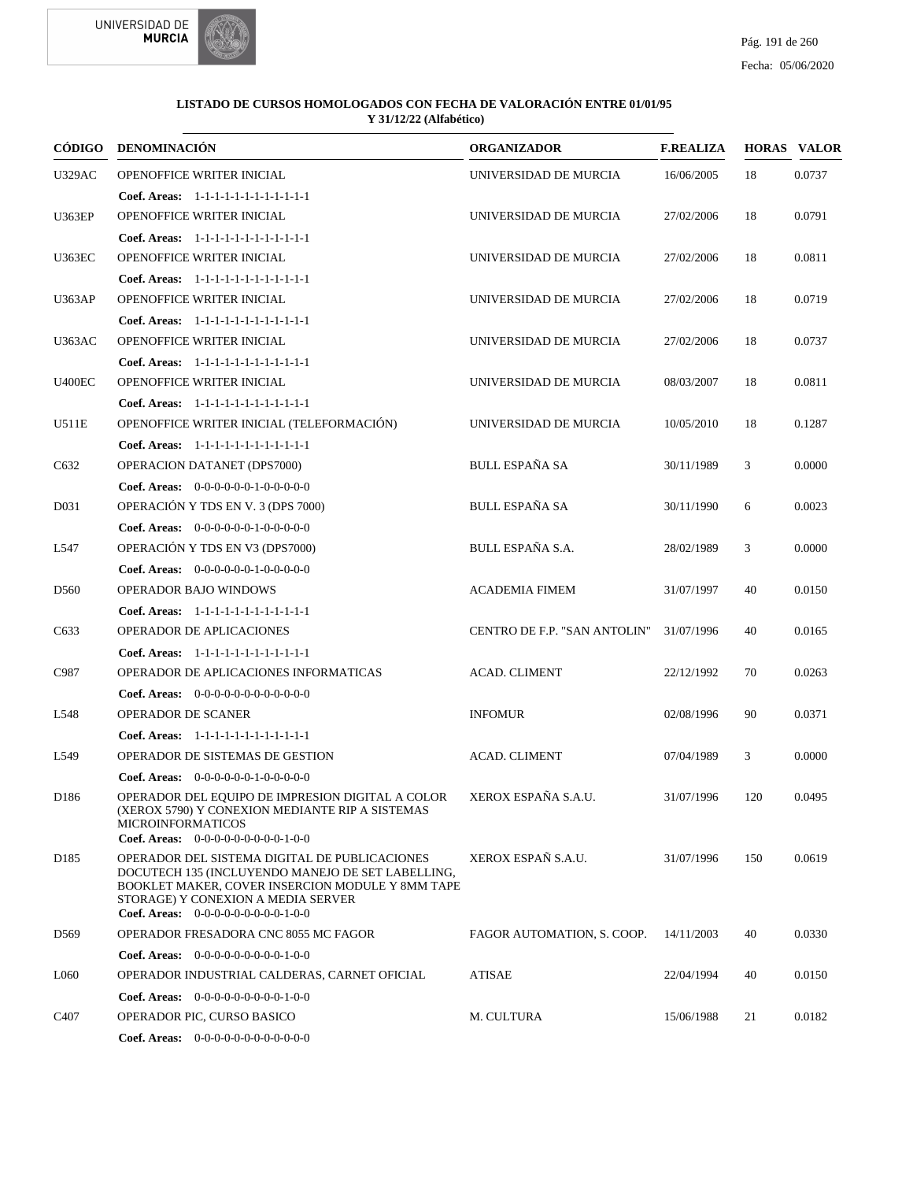



|                   | CÓDIGO DENOMINACIÓN                                                                                                                                                                                                                  | <b>ORGANIZADOR</b>           | <b>F.REALIZA</b> |     | <b>HORAS VALOR</b> |
|-------------------|--------------------------------------------------------------------------------------------------------------------------------------------------------------------------------------------------------------------------------------|------------------------------|------------------|-----|--------------------|
| <b>U329AC</b>     | OPENOFFICE WRITER INICIAL                                                                                                                                                                                                            | UNIVERSIDAD DE MURCIA        | 16/06/2005       | 18  | 0.0737             |
|                   | Coef. Areas: 1-1-1-1-1-1-1-1-1-1-1-1-1                                                                                                                                                                                               |                              |                  |     |                    |
| <b>U363EP</b>     | OPENOFFICE WRITER INICIAL                                                                                                                                                                                                            | UNIVERSIDAD DE MURCIA        | 27/02/2006       | 18  | 0.0791             |
|                   | Coef. Areas: 1-1-1-1-1-1-1-1-1-1-1-1-1                                                                                                                                                                                               |                              |                  |     |                    |
| <b>U363EC</b>     | OPENOFFICE WRITER INICIAL                                                                                                                                                                                                            | UNIVERSIDAD DE MURCIA        | 27/02/2006       | 18  | 0.0811             |
|                   | Coef. Areas: 1-1-1-1-1-1-1-1-1-1-1-1-1                                                                                                                                                                                               |                              |                  |     |                    |
| <b>U363AP</b>     | OPENOFFICE WRITER INICIAL                                                                                                                                                                                                            | UNIVERSIDAD DE MURCIA        | 27/02/2006       | 18  | 0.0719             |
|                   | Coef. Areas: 1-1-1-1-1-1-1-1-1-1-1-1-1                                                                                                                                                                                               |                              |                  |     |                    |
| <b>U363AC</b>     | OPENOFFICE WRITER INICIAL                                                                                                                                                                                                            | UNIVERSIDAD DE MURCIA        | 27/02/2006       | 18  | 0.0737             |
|                   | Coef. Areas: 1-1-1-1-1-1-1-1-1-1-1-1-1                                                                                                                                                                                               |                              |                  |     |                    |
| <b>U400EC</b>     | OPENOFFICE WRITER INICIAL                                                                                                                                                                                                            | UNIVERSIDAD DE MURCIA        | 08/03/2007       | 18  | 0.0811             |
|                   | Coef. Areas: 1-1-1-1-1-1-1-1-1-1-1-1-1                                                                                                                                                                                               |                              |                  |     |                    |
| U511E             | OPENOFFICE WRITER INICIAL (TELEFORMACIÓN)                                                                                                                                                                                            | UNIVERSIDAD DE MURCIA        | 10/05/2010       | 18  | 0.1287             |
|                   | Coef. Areas: 1-1-1-1-1-1-1-1-1-1-1-1-1                                                                                                                                                                                               |                              |                  |     |                    |
| C632              | <b>OPERACION DATANET (DPS7000)</b>                                                                                                                                                                                                   | <b>BULL ESPAÑA SA</b>        | 30/11/1989       | 3   | 0.0000             |
|                   | Coef. Areas: $0-0-0-0-0-1-0-0-0-0-0$                                                                                                                                                                                                 |                              |                  |     |                    |
| D <sub>0</sub> 31 | OPERACIÓN Y TDS EN V. 3 (DPS 7000)                                                                                                                                                                                                   | <b>BULL ESPAÑA SA</b>        | 30/11/1990       | 6   | 0.0023             |
|                   | Coef. Areas: $0-0-0-0-0-1-0-0-0-0-0$                                                                                                                                                                                                 |                              |                  |     |                    |
| L547              | OPERACIÓN Y TDS EN V3 (DPS7000)                                                                                                                                                                                                      | <b>BULL ESPAÑA S.A.</b>      | 28/02/1989       | 3   | 0.0000             |
|                   | Coef. Areas: $0-0-0-0-0-1-0-0-0-0-0$                                                                                                                                                                                                 |                              |                  |     |                    |
| D <sub>560</sub>  | OPERADOR BAJO WINDOWS                                                                                                                                                                                                                | <b>ACADEMIA FIMEM</b>        | 31/07/1997       | 40  | 0.0150             |
|                   | Coef. Areas: 1-1-1-1-1-1-1-1-1-1-1-1-1                                                                                                                                                                                               |                              |                  |     |                    |
| C633              | <b>OPERADOR DE APLICACIONES</b>                                                                                                                                                                                                      | CENTRO DE F.P. "SAN ANTOLIN" | 31/07/1996       | 40  | 0.0165             |
|                   | Coef. Areas: 1-1-1-1-1-1-1-1-1-1-1-1-1                                                                                                                                                                                               |                              |                  |     |                    |
| C987              | OPERADOR DE APLICACIONES INFORMATICAS                                                                                                                                                                                                | <b>ACAD. CLIMENT</b>         | 22/12/1992       | 70  | 0.0263             |
|                   | Coef. Areas: $0-0-0-0-0-0-0-0-0-0-0$                                                                                                                                                                                                 |                              |                  |     |                    |
| L548              | <b>OPERADOR DE SCANER</b>                                                                                                                                                                                                            | <b>INFOMUR</b>               | 02/08/1996       | 90  | 0.0371             |
|                   | Coef. Areas: 1-1-1-1-1-1-1-1-1-1-1-1-1                                                                                                                                                                                               |                              |                  |     |                    |
| L549              | OPERADOR DE SISTEMAS DE GESTION                                                                                                                                                                                                      | <b>ACAD. CLIMENT</b>         | 07/04/1989       | 3   | 0.0000             |
|                   | Coef. Areas: $0-0-0-0-0-1-0-0-0-0-0$                                                                                                                                                                                                 |                              |                  |     |                    |
| D186              | OPERADOR DEL EQUIPO DE IMPRESION DIGITAL A COLOR<br>(XEROX 5790) Y CONEXION MEDIANTE RIP A SISTEMAS<br><b>MICROINFORMATICOS</b><br>Coef. Areas: $0-0-0-0-0-0-0-0-1-0-0$                                                              | XEROX ESPAÑA S.A.U.          | 31/07/1996       | 120 | 0.0495             |
| D <sub>185</sub>  | OPERADOR DEL SISTEMA DIGITAL DE PUBLICACIONES<br>DOCUTECH 135 (INCLUYENDO MANEJO DE SET LABELLING,<br>BOOKLET MAKER, COVER INSERCION MODULE Y 8MM TAPE<br>STORAGE) Y CONEXION A MEDIA SERVER<br>Coef. Areas: 0-0-0-0-0-0-0-0-0-1-0-0 | XEROX ESPAÑ S.A.U.           | 31/07/1996       | 150 | 0.0619             |
| D <sub>569</sub>  | OPERADOR FRESADORA CNC 8055 MC FAGOR                                                                                                                                                                                                 | FAGOR AUTOMATION, S. COOP.   | 14/11/2003       | 40  | 0.0330             |
|                   | <b>Coef. Areas:</b> $0-0-0-0-0-0-0-0-1-0-0$                                                                                                                                                                                          |                              |                  |     |                    |
| L <sub>060</sub>  | OPERADOR INDUSTRIAL CALDERAS, CARNET OFICIAL                                                                                                                                                                                         | ATISAE                       | 22/04/1994       | 40  | 0.0150             |
|                   | <b>Coef. Areas:</b> $0-0-0-0-0-0-0-0-1-0-0$                                                                                                                                                                                          |                              |                  |     |                    |
| C <sub>4</sub> 07 | OPERADOR PIC, CURSO BASICO                                                                                                                                                                                                           | M. CULTURA                   | 15/06/1988       | 21  | 0.0182             |
|                   | <b>Coef. Areas:</b> $0-0-0-0-0-0-0-0-0-0-0$                                                                                                                                                                                          |                              |                  |     |                    |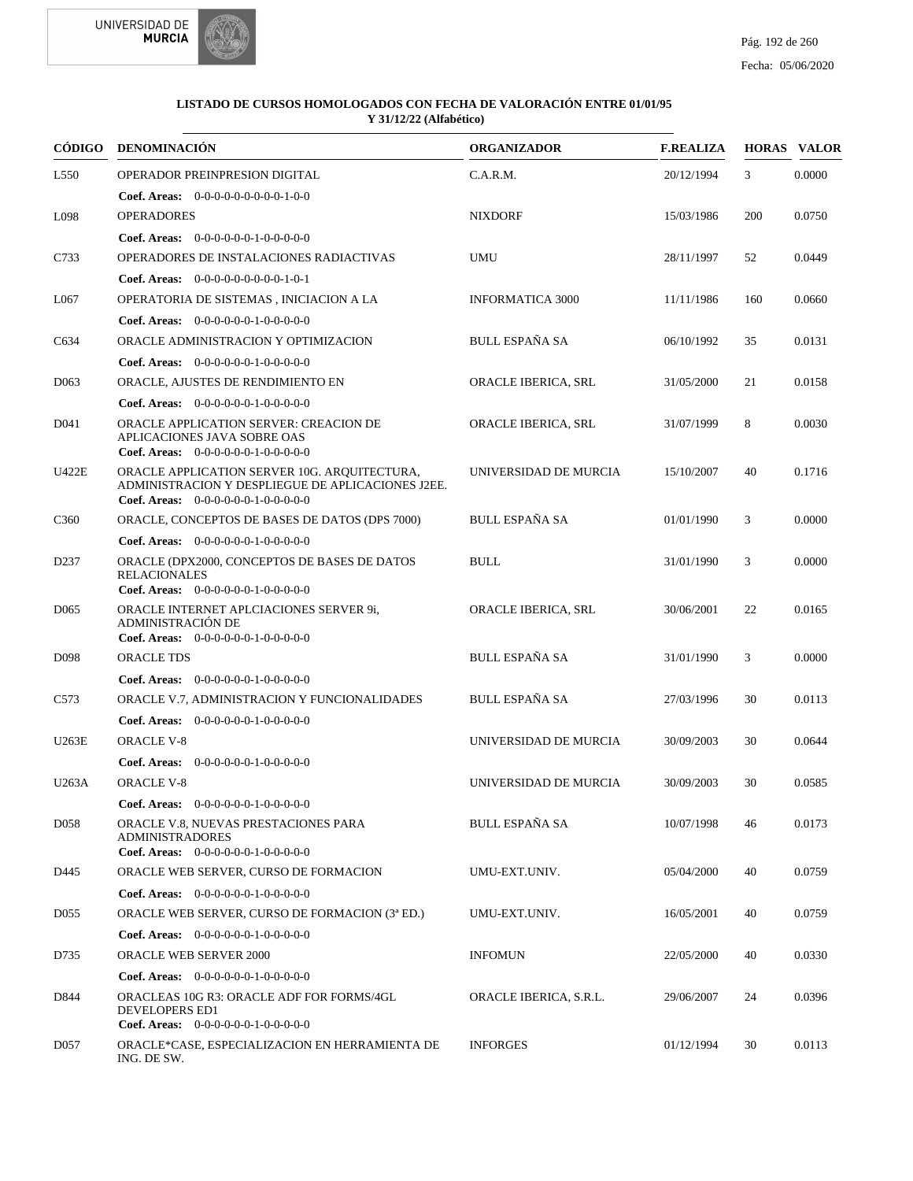



| CÓDIGO           | <b>DENOMINACIÓN</b>                                                                                                                       | <b>ORGANIZADOR</b>      | <b>F.REALIZA</b> |     | <b>HORAS VALOR</b> |
|------------------|-------------------------------------------------------------------------------------------------------------------------------------------|-------------------------|------------------|-----|--------------------|
| L <sub>550</sub> | OPERADOR PREINPRESION DIGITAL                                                                                                             | C.A.R.M.                | 20/12/1994       | 3   | 0.0000             |
|                  | <b>Coef. Areas:</b> $0-0-0-0-0-0-0-0-1-0-0$                                                                                               |                         |                  |     |                    |
| L098             | <b>OPERADORES</b>                                                                                                                         | <b>NIXDORF</b>          | 15/03/1986       | 200 | 0.0750             |
|                  | Coef. Areas: $0-0-0-0-0-1-0-0-0-0-0$                                                                                                      |                         |                  |     |                    |
| C733             | OPERADORES DE INSTALACIONES RADIACTIVAS                                                                                                   | <b>UMU</b>              | 28/11/1997       | 52  | 0.0449             |
|                  | <b>Coef. Areas:</b> $0-0-0-0-0-0-0-0-1-0-1$                                                                                               |                         |                  |     |                    |
| L067             | OPERATORIA DE SISTEMAS, INICIACION A LA                                                                                                   | <b>INFORMATICA 3000</b> | 11/11/1986       | 160 | 0.0660             |
|                  | <b>Coef. Areas:</b> $0-0-0-0-0-1-0-0-0-0-0$                                                                                               |                         |                  |     |                    |
| C634             | ORACLE ADMINISTRACION Y OPTIMIZACION                                                                                                      | <b>BULL ESPAÑA SA</b>   | 06/10/1992       | 35  | 0.0131             |
|                  | Coef. Areas: 0-0-0-0-0-0-1-0-0-0-0-0                                                                                                      |                         |                  |     |                    |
| D <sub>063</sub> | ORACLE, AJUSTES DE RENDIMIENTO EN                                                                                                         | ORACLE IBERICA, SRL     | 31/05/2000       | 21  | 0.0158             |
|                  | <b>Coef. Areas:</b> $0-0-0-0-0-1-0-0-0-0-0$                                                                                               |                         |                  |     |                    |
| D041             | ORACLE APPLICATION SERVER: CREACION DE<br>APLICACIONES JAVA SOBRE OAS<br>Coef. Areas: $0-0-0-0-0-1-0-0-0-0-0$                             | ORACLE IBERICA, SRL     | 31/07/1999       | 8   | 0.0030             |
| U422E            | ORACLE APPLICATION SERVER 10G. AROUITECTURA,<br>ADMINISTRACION Y DESPLIEGUE DE APLICACIONES J2EE.<br>Coef. Areas: $0-0-0-0-0-1-0-0-0-0-0$ | UNIVERSIDAD DE MURCIA   | 15/10/2007       | 40  | 0.1716             |
| C <sub>360</sub> | ORACLE, CONCEPTOS DE BASES DE DATOS (DPS 7000)                                                                                            | <b>BULL ESPAÑA SA</b>   | 01/01/1990       | 3   | 0.0000             |
|                  | Coef. Areas: 0-0-0-0-0-0-1-0-0-0-0-0                                                                                                      |                         |                  |     |                    |
| D <sub>237</sub> | ORACLE (DPX2000, CONCEPTOS DE BASES DE DATOS<br><b>RELACIONALES</b><br>Coef. Areas: $0-0-0-0-0-1-0-0-0-0-0$                               | <b>BULL</b>             | 31/01/1990       | 3   | 0.0000             |
| D <sub>065</sub> | ORACLE INTERNET APLCIACIONES SERVER 9i,<br>ADMINISTRACIÓN DE<br>Coef. Areas: $0-0-0-0-0-1-0-0-0-0-0$                                      | ORACLE IBERICA, SRL     | 30/06/2001       | 22  | 0.0165             |
| D <sub>098</sub> | <b>ORACLE TDS</b>                                                                                                                         | <b>BULL ESPAÑA SA</b>   | 31/01/1990       | 3   | 0.0000             |
|                  | <b>Coef. Areas:</b> $0-0-0-0-0-1-0-0-0-0-0$                                                                                               |                         |                  |     |                    |
| C <sub>573</sub> | ORACLE V.7, ADMINISTRACION Y FUNCIONALIDADES                                                                                              | <b>BULL ESPAÑA SA</b>   | 27/03/1996       | 30  | 0.0113             |
|                  | Coef. Areas: $0-0-0-0-0-1-0-0-0-0-0$                                                                                                      |                         |                  |     |                    |
| U263E            | <b>ORACLE V-8</b>                                                                                                                         | UNIVERSIDAD DE MURCIA   | 30/09/2003       | 30  | 0.0644             |
|                  | <b>Coef. Areas:</b> $0-0-0-0-0-1-0-0-0-0-0$                                                                                               |                         |                  |     |                    |
| U263A            | <b>ORACLE V-8</b>                                                                                                                         | UNIVERSIDAD DE MURCIA   | 30/09/2003       | 30  | 0.0585             |
|                  | Coef. Areas: 0-0-0-0-0-0-1-0-0-0-0-0                                                                                                      |                         |                  |     |                    |
| D <sub>058</sub> | ORACLE V.8, NUEVAS PRESTACIONES PARA<br><b>ADMINISTRADORES</b><br><b>Coef. Areas:</b> $0-0-0-0-0-1-0-0-0-0-0$                             | <b>BULL ESPAÑA SA</b>   | 10/07/1998       | 46  | 0.0173             |
| D445             | ORACLE WEB SERVER, CURSO DE FORMACION                                                                                                     | UMU-EXT.UNIV.           | 05/04/2000       | 40  | 0.0759             |
|                  | Coef. Areas: $0-0-0-0-0-1-0-0-0-0-0$                                                                                                      |                         |                  |     |                    |
| D055             | ORACLE WEB SERVER, CURSO DE FORMACION (3 <sup>ª</sup> ED.)                                                                                | UMU-EXT.UNIV.           | 16/05/2001       | 40  | 0.0759             |
|                  | <b>Coef. Areas:</b> $0-0-0-0-0-1-0-0-0-0-0$                                                                                               |                         |                  |     |                    |
| D735             | <b>ORACLE WEB SERVER 2000</b>                                                                                                             | <b>INFOMUN</b>          | 22/05/2000       | 40  | 0.0330             |
|                  | <b>Coef. Areas:</b> $0-0-0-0-0-1-0-0-0-0-0$                                                                                               |                         |                  |     |                    |
| D844             | ORACLEAS 10G R3: ORACLE ADF FOR FORMS/4GL<br>DEVELOPERS ED1<br>Coef. Areas: $0-0-0-0-0-1-0-0-0-0-0$                                       | ORACLE IBERICA, S.R.L.  | 29/06/2007       | 24  | 0.0396             |
| D <sub>057</sub> | ORACLE*CASE, ESPECIALIZACION EN HERRAMIENTA DE<br>ING. DE SW.                                                                             | <b>INFORGES</b>         | 01/12/1994       | 30  | 0.0113             |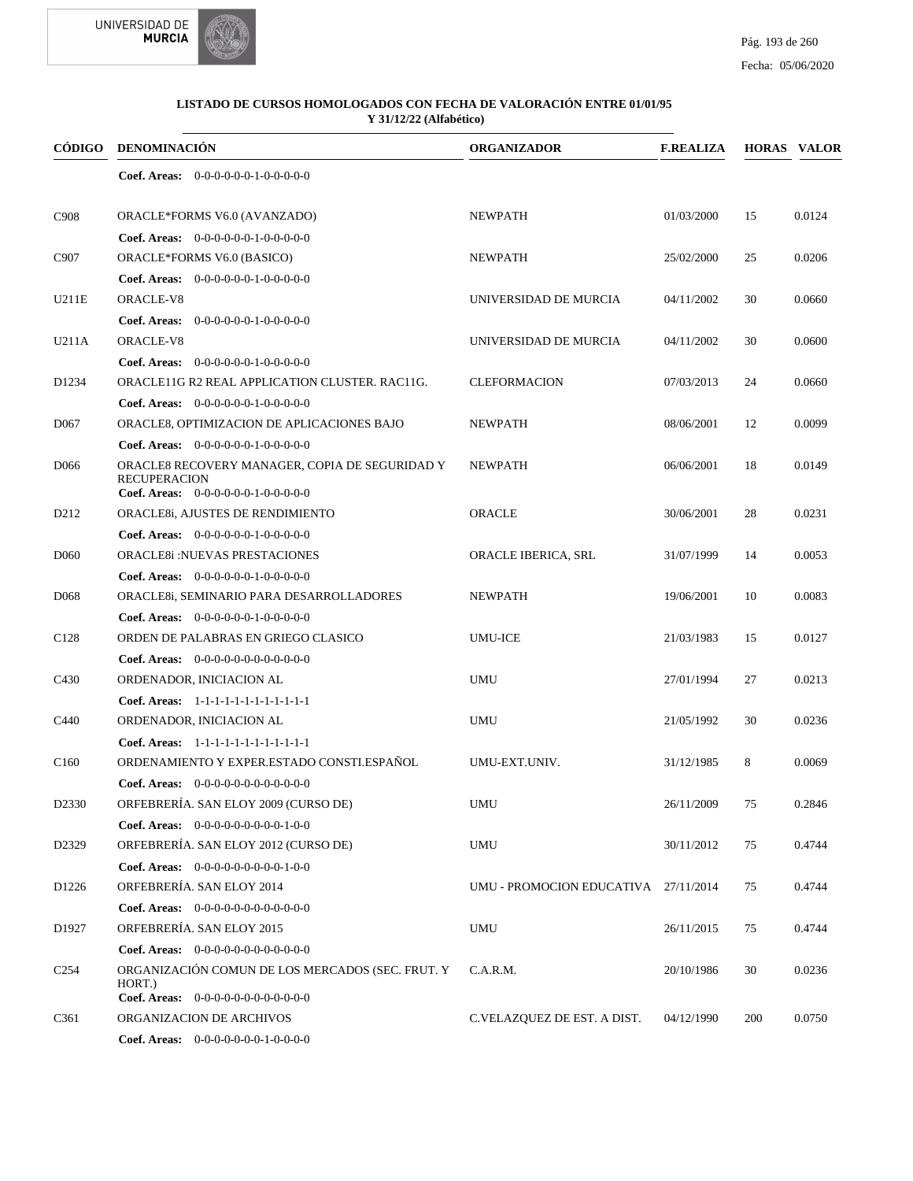



### Fecha: 05/06/2020

| CÓDIGO             | DENOMINACIÓN                                                                                                  | <b>ORGANIZADOR</b>                   | <b>F.REALIZA</b> |     | <b>HORAS VALOR</b> |
|--------------------|---------------------------------------------------------------------------------------------------------------|--------------------------------------|------------------|-----|--------------------|
|                    | <b>Coef. Areas:</b> $0-0-0-0-0-1-0-0-0-0-0$                                                                   |                                      |                  |     |                    |
| C <sub>908</sub>   | ORACLE*FORMS V6.0 (AVANZADO)                                                                                  | <b>NEWPATH</b>                       | 01/03/2000       | 15  | 0.0124             |
|                    | Coef. Areas: 0-0-0-0-0-0-1-0-0-0-0-0                                                                          |                                      |                  |     |                    |
| C907               | ORACLE*FORMS V6.0 (BASICO)                                                                                    | <b>NEWPATH</b>                       | 25/02/2000       | 25  | 0.0206             |
|                    | <b>Coef. Areas:</b> $0-0-0-0-0-1-0-0-0-0-0$                                                                   |                                      |                  |     |                    |
| U211E              | ORACLE-V8                                                                                                     | UNIVERSIDAD DE MURCIA                | 04/11/2002       | 30  | 0.0660             |
|                    | <b>Coef. Areas:</b> $0-0-0-0-0-1-0-0-0-0-0$                                                                   |                                      |                  |     |                    |
| U211A              | ORACLE-V8                                                                                                     | UNIVERSIDAD DE MURCIA                | 04/11/2002       | 30  | 0.0600             |
|                    | <b>Coef. Areas:</b> $0-0-0-0-0-1-0-0-0-0-0$                                                                   |                                      |                  |     |                    |
| D <sub>1234</sub>  | ORACLE11G R2 REAL APPLICATION CLUSTER. RAC11G.                                                                | <b>CLEFORMACION</b>                  | 07/03/2013       | 24  | 0.0660             |
|                    | <b>Coef. Areas:</b> $0-0-0-0-0-1-0-0-0-0-0$                                                                   |                                      |                  |     |                    |
| D <sub>067</sub>   | ORACLE8, OPTIMIZACION DE APLICACIONES BAJO                                                                    | <b>NEWPATH</b>                       | 08/06/2001       | 12  | 0.0099             |
|                    | Coef. Areas: $0-0-0-0-0-1-0-0-0-0-0$                                                                          |                                      |                  |     |                    |
| D <sub>066</sub>   | ORACLE8 RECOVERY MANAGER, COPIA DE SEGURIDAD Y<br><b>RECUPERACION</b><br>Coef. Areas: 0-0-0-0-0-0-1-0-0-0-0-0 | <b>NEWPATH</b>                       | 06/06/2001       | 18  | 0.0149             |
| D <sub>2</sub> 12  | ORACLE8i, AJUSTES DE RENDIMIENTO                                                                              | ORACLE                               | 30/06/2001       | 28  | 0.0231             |
|                    | Coef. Areas: $0-0-0-0-0-1-0-0-0-0-0$                                                                          |                                      |                  |     |                    |
| D <sub>060</sub>   | <b>ORACLE8i:NUEVAS PRESTACIONES</b>                                                                           | ORACLE IBERICA, SRL                  | 31/07/1999       | 14  | 0.0053             |
|                    | <b>Coef. Areas:</b> $0-0-0-0-0-1-0-0-0-0-0$                                                                   |                                      |                  |     |                    |
| D <sub>068</sub>   | ORACLE8i, SEMINARIO PARA DESARROLLADORES                                                                      | <b>NEWPATH</b>                       | 19/06/2001       | 10  | 0.0083             |
|                    | <b>Coef. Areas:</b> $0-0-0-0-0-1-0-0-0-0-0$                                                                   |                                      |                  |     |                    |
| C <sub>128</sub>   | ORDEN DE PALABRAS EN GRIEGO CLASICO                                                                           | <b>UMU-ICE</b>                       | 21/03/1983       | 15  | 0.0127             |
|                    | <b>Coef. Areas:</b> $0-0-0-0-0-0-0-0-0-0-0-0$                                                                 |                                      |                  |     |                    |
| C <sub>430</sub>   | ORDENADOR, INICIACION AL                                                                                      | <b>UMU</b>                           | 27/01/1994       | 27  | 0.0213             |
|                    | Coef. Areas: 1-1-1-1-1-1-1-1-1-1-1-1-1                                                                        |                                      |                  |     |                    |
| C440               | ORDENADOR, INICIACION AL                                                                                      | <b>UMU</b>                           | 21/05/1992       | 30  | 0.0236             |
|                    | Coef. Areas: 1-1-1-1-1-1-1-1-1-1-1-1-1                                                                        |                                      |                  |     |                    |
| C <sub>160</sub>   | ORDENAMIENTO Y EXPER.ESTADO CONSTI.ESPAÑOL                                                                    | UMU-EXT.UNIV.                        | 31/12/1985       | 8   | 0.0069             |
|                    | Coef. Areas: $0-0-0-0-0-0-0-0-0-0-0$                                                                          |                                      |                  |     |                    |
| D <sub>2330</sub>  | ORFEBRERÍA. SAN ELOY 2009 (CURSO DE)                                                                          | UMU                                  | 26/11/2009       | 75  | 0.2846             |
|                    | <b>Coef. Areas:</b> $0-0-0-0-0-0-0-0-1-0-0$                                                                   |                                      |                  |     |                    |
| D <sub>2</sub> 329 | ORFEBRERÍA. SAN ELOY 2012 (CURSO DE)                                                                          | UMU                                  | 30/11/2012       | 75  | 0.4744             |
|                    | Coef. Areas: $0-0-0-0-0-0-0-0-1-0-0$                                                                          |                                      |                  |     |                    |
| D <sub>1226</sub>  | ORFEBRERÍA. SAN ELOY 2014                                                                                     | UMU - PROMOCION EDUCATIVA 27/11/2014 |                  | 75  | 0.4744             |
|                    | Coef. Areas: $0-0-0-0-0-0-0-0-0-0-0$                                                                          |                                      |                  |     |                    |
| D <sub>1927</sub>  | ORFEBRERÍA. SAN ELOY 2015                                                                                     | <b>UMU</b>                           | 26/11/2015       | 75  | 0.4744             |
|                    | Coef. Areas: $0-0-0-0-0-0-0-0-0-0-0-0$                                                                        |                                      |                  |     |                    |
| C <sub>254</sub>   | ORGANIZACIÓN COMUN DE LOS MERCADOS (SEC. FRUT. Y                                                              | C.A.R.M.                             | 20/10/1986       | 30  | 0.0236             |
|                    | HORT.)                                                                                                        |                                      |                  |     |                    |
|                    | Coef. Areas: 0-0-0-0-0-0-0-0-0-0-0-0-0                                                                        |                                      |                  |     |                    |
| C <sub>361</sub>   | ORGANIZACION DE ARCHIVOS                                                                                      | C.VELAZQUEZ DE EST. A DIST.          | 04/12/1990       | 200 | 0.0750             |
|                    | <b>Coef. Areas:</b> $0-0-0-0-0-0-1-0-0-0-0$                                                                   |                                      |                  |     |                    |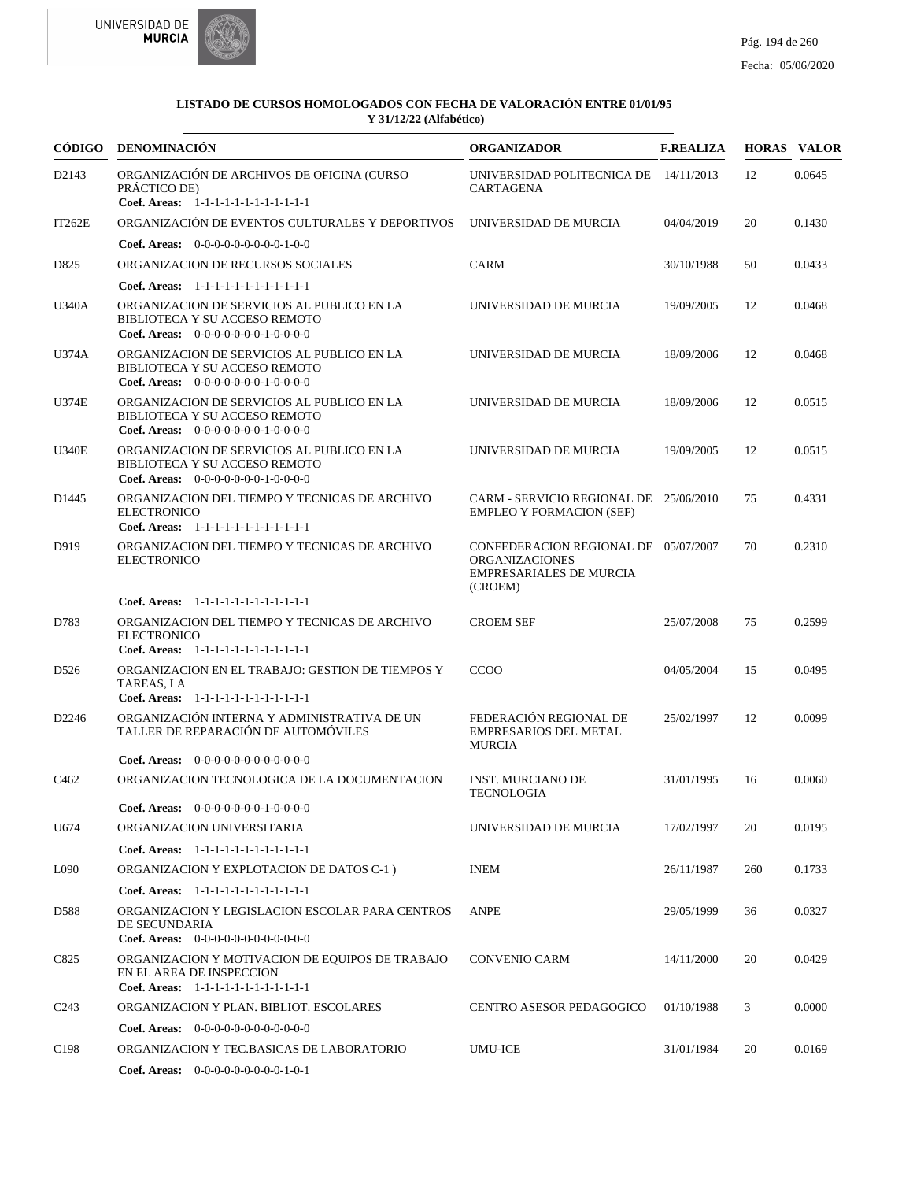



|                   | CÓDIGO DENOMINACIÓN                                                                                                        | <b>ORGANIZADOR</b>                                                                                         | <b>F.REALIZA</b> |     | <b>HORAS VALOR</b> |
|-------------------|----------------------------------------------------------------------------------------------------------------------------|------------------------------------------------------------------------------------------------------------|------------------|-----|--------------------|
| D2143             | ORGANIZACIÓN DE ARCHIVOS DE OFICINA (CURSO<br>PRÁCTICO DE)<br>Coef. Areas: 1-1-1-1-1-1-1-1-1-1-1-1-1                       | UNIVERSIDAD POLITECNICA DE 14/11/2013<br><b>CARTAGENA</b>                                                  |                  | 12  | 0.0645             |
| IT262E            | ORGANIZACIÓN DE EVENTOS CULTURALES Y DEPORTIVOS                                                                            | UNIVERSIDAD DE MURCIA                                                                                      | 04/04/2019       | 20  | 0.1430             |
|                   | <b>Coef. Areas:</b> $0-0-0-0-0-0-0-0-1-0-0$                                                                                |                                                                                                            |                  |     |                    |
| D825              | ORGANIZACION DE RECURSOS SOCIALES                                                                                          | <b>CARM</b>                                                                                                | 30/10/1988       | 50  | 0.0433             |
|                   | Coef. Areas: 1-1-1-1-1-1-1-1-1-1-1-1-1                                                                                     |                                                                                                            |                  |     |                    |
| <b>U340A</b>      | ORGANIZACION DE SERVICIOS AL PUBLICO EN LA<br>BIBLIOTECA Y SU ACCESO REMOTO<br>Coef. Areas: $0-0-0-0-0-0-1-0-0-0-0$        | UNIVERSIDAD DE MURCIA                                                                                      | 19/09/2005       | 12  | 0.0468             |
| U374A             | ORGANIZACION DE SERVICIOS AL PUBLICO EN LA<br>BIBLIOTECA Y SU ACCESO REMOTO<br>Coef. Areas: $0-0-0-0-0-0-1-0-0-0-0$        | UNIVERSIDAD DE MURCIA                                                                                      | 18/09/2006       | 12  | 0.0468             |
| U374E             | ORGANIZACION DE SERVICIOS AL PUBLICO EN LA<br>BIBLIOTECA Y SU ACCESO REMOTO<br>Coef. Areas: $0-0-0-0-0-0-1-0-0-0-0$        | UNIVERSIDAD DE MURCIA                                                                                      | 18/09/2006       | 12  | 0.0515             |
| <b>U340E</b>      | ORGANIZACION DE SERVICIOS AL PUBLICO EN LA<br>BIBLIOTECA Y SU ACCESO REMOTO<br><b>Coef. Areas:</b> $0-0-0-0-0-0-1-0-0-0-0$ | UNIVERSIDAD DE MURCIA                                                                                      | 19/09/2005       | 12  | 0.0515             |
| D1445             | ORGANIZACION DEL TIEMPO Y TECNICAS DE ARCHIVO<br><b>ELECTRONICO</b><br>Coef. Areas: 1-1-1-1-1-1-1-1-1-1-1-1-1              | CARM - SERVICIO REGIONAL DE 25/06/2010<br><b>EMPLEO Y FORMACION (SEF)</b>                                  |                  | 75  | 0.4331             |
| D919              | ORGANIZACION DEL TIEMPO Y TECNICAS DE ARCHIVO<br><b>ELECTRONICO</b>                                                        | CONFEDERACION REGIONAL DE 05/07/2007<br><b>ORGANIZACIONES</b><br><b>EMPRESARIALES DE MURCIA</b><br>(CROEM) |                  | 70  | 0.2310             |
|                   | Coef. Areas: $1-1-1-1-1-1-1-1-1-1-1$                                                                                       |                                                                                                            |                  |     |                    |
| D783              | ORGANIZACION DEL TIEMPO Y TECNICAS DE ARCHIVO<br><b>ELECTRONICO</b><br>Coef. Areas: 1-1-1-1-1-1-1-1-1-1-1-1-1              | <b>CROEM SEF</b>                                                                                           | 25/07/2008       | 75  | 0.2599             |
| D <sub>526</sub>  | ORGANIZACION EN EL TRABAJO: GESTION DE TIEMPOS Y<br>TAREAS, LA<br>Coef. Areas: 1-1-1-1-1-1-1-1-1-1-1-1-1                   | <b>CCOO</b>                                                                                                | 04/05/2004       | 15  | 0.0495             |
| D <sub>2246</sub> | ORGANIZACIÓN INTERNA Y ADMINISTRATIVA DE UN<br>TALLER DE REPARACIÓN DE AUTOMÓVILES                                         | FEDERACIÓN REGIONAL DE<br><b>EMPRESARIOS DEL METAL</b><br><b>MURCIA</b>                                    | 25/02/1997       | 12  | 0.0099             |
|                   | <b>Coef. Areas:</b> $0-0-0-0-0-0-0-0-0-0-0-0$                                                                              |                                                                                                            |                  |     |                    |
| C <sub>462</sub>  | ORGANIZACION TECNOLOGICA DE LA DOCUMENTACION<br>Coef. Areas: 0-0-0-0-0-0-0-1-0-0-0-0                                       | <b>INST. MURCIANO DE</b><br><b>TECNOLOGIA</b>                                                              | 31/01/1995       | 16  | 0.0060             |
| U674              | ORGANIZACION UNIVERSITARIA                                                                                                 | UNIVERSIDAD DE MURCIA                                                                                      | 17/02/1997       | 20  | 0.0195             |
|                   | Coef. Areas: 1-1-1-1-1-1-1-1-1-1-1-1-1                                                                                     |                                                                                                            |                  |     |                    |
| L090              | ORGANIZACION Y EXPLOTACION DE DATOS C-1)                                                                                   | <b>INEM</b>                                                                                                | 26/11/1987       | 260 | 0.1733             |
|                   | Coef. Areas: 1-1-1-1-1-1-1-1-1-1-1-1-1                                                                                     |                                                                                                            |                  |     |                    |
| D588              | ORGANIZACION Y LEGISLACION ESCOLAR PARA CENTROS<br>DE SECUNDARIA<br>Coef. Areas: $0-0-0-0-0-0-0-0-0-0-0$                   | <b>ANPE</b>                                                                                                | 29/05/1999       | 36  | 0.0327             |
| C825              | ORGANIZACION Y MOTIVACION DE EQUIPOS DE TRABAJO<br>EN EL AREA DE INSPECCION<br>Coef. Areas: $1-1-1-1-1-1-1-1-1-1-1$        | <b>CONVENIO CARM</b>                                                                                       | 14/11/2000       | 20  | 0.0429             |
| C <sub>243</sub>  | ORGANIZACION Y PLAN. BIBLIOT. ESCOLARES                                                                                    | <b>CENTRO ASESOR PEDAGOGICO</b>                                                                            | 01/10/1988       | 3   | 0.0000             |
|                   | <b>Coef. Areas:</b> $0-0-0-0-0-0-0-0-0-0-0-0$                                                                              |                                                                                                            |                  |     |                    |
| C <sub>198</sub>  | ORGANIZACION Y TEC.BASICAS DE LABORATORIO                                                                                  | UMU-ICE                                                                                                    | 31/01/1984       | 20  | 0.0169             |
|                   | Coef. Areas: $0-0-0-0-0-0-0-0-1-0-1$                                                                                       |                                                                                                            |                  |     |                    |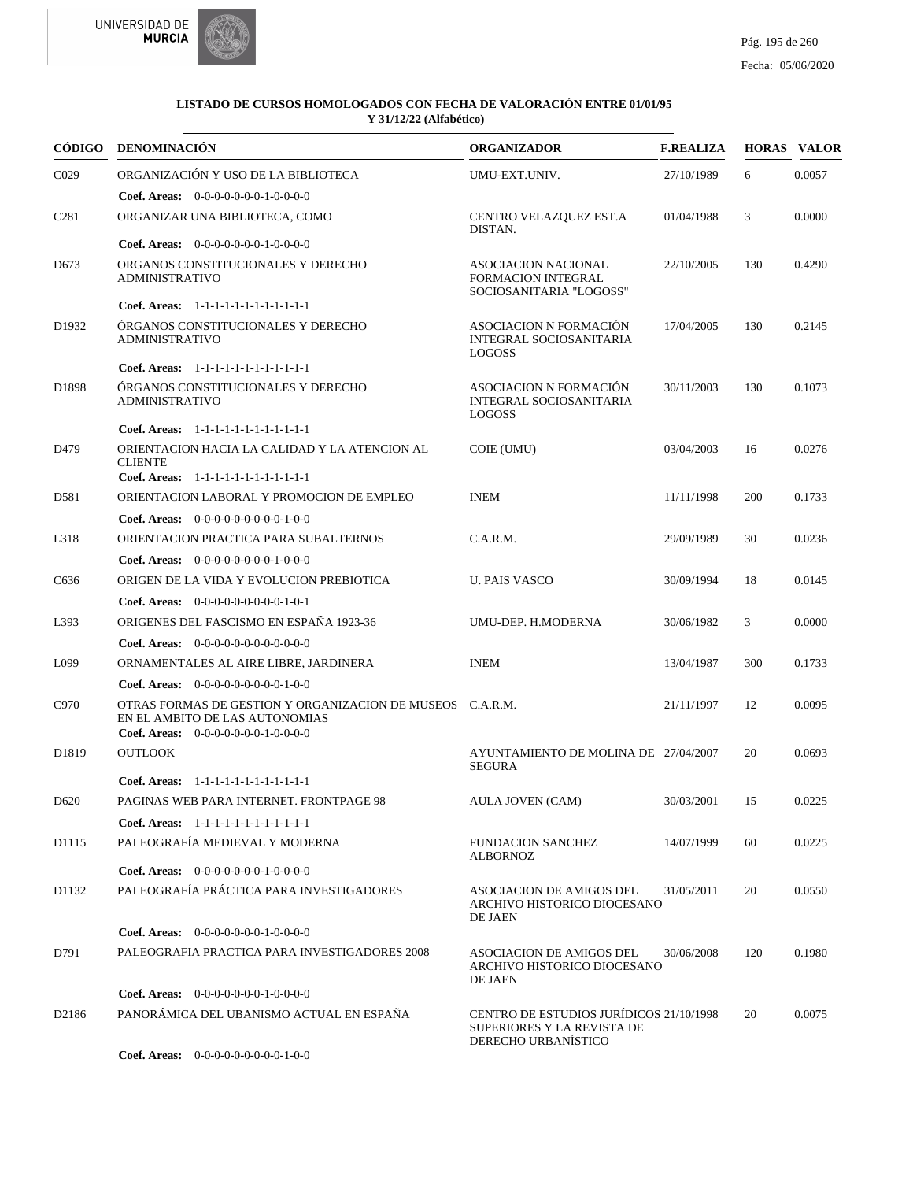



| <b>CÓDIGO</b>     | <b>DENOMINACIÓN</b>                                                                                                                 | <b>ORGANIZADOR</b>                                                                           | <b>F.REALIZA</b> |     | <b>HORAS VALOR</b> |
|-------------------|-------------------------------------------------------------------------------------------------------------------------------------|----------------------------------------------------------------------------------------------|------------------|-----|--------------------|
| C <sub>029</sub>  | ORGANIZACIÓN Y USO DE LA BIBLIOTECA                                                                                                 | UMU-EXT.UNIV.                                                                                | 27/10/1989       | 6   | 0.0057             |
|                   | Coef. Areas: $0-0-0-0-0-0-1-0-0-0-0$                                                                                                |                                                                                              |                  |     |                    |
| C <sub>281</sub>  | ORGANIZAR UNA BIBLIOTECA, COMO                                                                                                      | CENTRO VELAZQUEZ EST.A<br>DISTAN.                                                            | 01/04/1988       | 3   | 0.0000             |
|                   | <b>Coef. Areas:</b> $0-0-0-0-0-0-1-0-0-0-0$                                                                                         |                                                                                              |                  |     |                    |
| D <sub>673</sub>  | ORGANOS CONSTITUCIONALES Y DERECHO<br><b>ADMINISTRATIVO</b>                                                                         | <b>ASOCIACION NACIONAL</b><br><b>FORMACION INTEGRAL</b><br>SOCIOSANITARIA "LOGOSS"           | 22/10/2005       | 130 | 0.4290             |
|                   | Coef. Areas: $1-1-1-1-1-1-1-1-1-1-1$                                                                                                |                                                                                              |                  |     |                    |
| D <sub>1932</sub> | ÓRGANOS CONSTITUCIONALES Y DERECHO<br><b>ADMINISTRATIVO</b>                                                                         | <b>ASOCIACION N FORMACIÓN</b><br><b>INTEGRAL SOCIOSANITARIA</b><br><b>LOGOSS</b>             | 17/04/2005       | 130 | 0.2145             |
|                   | Coef. Areas: $1-1-1-1-1-1-1-1-1-1-1$                                                                                                |                                                                                              |                  |     |                    |
| D1898             | ÓRGANOS CONSTITUCIONALES Y DERECHO<br><b>ADMINISTRATIVO</b>                                                                         | <b>ASOCIACION N FORMACIÓN</b><br><b>INTEGRAL SOCIOSANITARIA</b><br><b>LOGOSS</b>             | 30/11/2003       | 130 | 0.1073             |
|                   | Coef. Areas: $1-1-1-1-1-1-1-1-1-1-1$                                                                                                |                                                                                              |                  |     |                    |
| D479              | ORIENTACION HACIA LA CALIDAD Y LA ATENCION AL<br><b>CLIENTE</b><br>Coef. Areas: 1-1-1-1-1-1-1-1-1-1-1-1-1                           | COIE (UMU)                                                                                   | 03/04/2003       | 16  | 0.0276             |
| D581              | ORIENTACION LABORAL Y PROMOCION DE EMPLEO                                                                                           | <b>INEM</b>                                                                                  | 11/11/1998       | 200 | 0.1733             |
|                   | <b>Coef. Areas:</b> $0-0-0-0-0-0-0-0-1-0-0$                                                                                         |                                                                                              |                  |     |                    |
| L318              | ORIENTACION PRACTICA PARA SUBALTERNOS                                                                                               | C.A.R.M.                                                                                     | 29/09/1989       | 30  | 0.0236             |
|                   | Coef. Areas: $0-0-0-0-0-0-0-1-0-0-0$                                                                                                |                                                                                              |                  |     |                    |
| C636              | ORIGEN DE LA VIDA Y EVOLUCION PREBIOTICA                                                                                            | <b>U. PAIS VASCO</b>                                                                         | 30/09/1994       | 18  | 0.0145             |
|                   | <b>Coef. Areas:</b> $0-0-0-0-0-0-0-0-1-0-1$                                                                                         |                                                                                              |                  |     |                    |
| L393              | ORIGENES DEL FASCISMO EN ESPAÑA 1923-36                                                                                             | UMU-DEP. H.MODERNA                                                                           | 30/06/1982       | 3   | 0.0000             |
|                   | <b>Coef. Areas:</b> $0-0-0-0-0-0-0-0-0-0-0-0$                                                                                       |                                                                                              |                  |     |                    |
| L099              | ORNAMENTALES AL AIRE LIBRE, JARDINERA                                                                                               | <b>INEM</b>                                                                                  | 13/04/1987       | 300 | 0.1733             |
|                   | <b>Coef. Areas:</b> $0-0-0-0-0-0-0-0-1-0-0$                                                                                         |                                                                                              |                  |     |                    |
| C970              | OTRAS FORMAS DE GESTION Y ORGANIZACION DE MUSEOS C.A.R.M.<br>EN EL AMBITO DE LAS AUTONOMIAS<br>Coef. Areas: $0-0-0-0-0-0-1-0-0-0-0$ |                                                                                              | 21/11/1997       | 12  | 0.0095             |
| D1819             | <b>OUTLOOK</b>                                                                                                                      | AYUNTAMIENTO DE MOLINA DE 27/04/2007<br><b>SEGURA</b>                                        |                  | 20  | 0.0693             |
|                   | Coef. Areas: 1-1-1-1-1-1-1-1-1-1-1-1-1                                                                                              |                                                                                              |                  |     |                    |
| D <sub>620</sub>  | PAGINAS WEB PARA INTERNET. FRONTPAGE 98                                                                                             | AULA JOVEN (CAM)                                                                             | 30/03/2001       | 15  | 0.0225             |
|                   | Coef. Areas: 1-1-1-1-1-1-1-1-1-1-1-1-1                                                                                              |                                                                                              |                  |     |                    |
| D1115             | PALEOGRAFÍA MEDIEVAL Y MODERNA                                                                                                      | <b>FUNDACION SANCHEZ</b><br><b>ALBORNOZ</b>                                                  | 14/07/1999       | 60  | 0.0225             |
|                   | Coef. Areas: $0-0-0-0-0-0-1-0-0-0-0$                                                                                                |                                                                                              |                  |     |                    |
| D1132             | PALEOGRAFÍA PRÁCTICA PARA INVESTIGADORES                                                                                            | ASOCIACION DE AMIGOS DEL<br>ARCHIVO HISTORICO DIOCESANO<br>DE JAEN                           | 31/05/2011       | 20  | 0.0550             |
|                   | <b>Coef. Areas:</b> $0-0-0-0-0-0-1-0-0-0-0$                                                                                         |                                                                                              |                  |     |                    |
| D791              | PALEOGRAFIA PRACTICA PARA INVESTIGADORES 2008                                                                                       | <b>ASOCIACION DE AMIGOS DEL</b><br>ARCHIVO HISTORICO DIOCESANO<br>DE JAEN                    | 30/06/2008       | 120 | 0.1980             |
|                   | Coef. Areas: 0-0-0-0-0-0-0-1-0-0-0-0                                                                                                |                                                                                              |                  |     |                    |
| D2186             | PANORÁMICA DEL UBANISMO ACTUAL EN ESPAÑA                                                                                            | CENTRO DE ESTUDIOS JURÍDICOS 21/10/1998<br>SUPERIORES Y LA REVISTA DE<br>DERECHO URBANÍSTICO |                  | 20  | 0.0075             |
|                   | Coef. Areas: 0-0-0-0-0-0-0-0-0-1-0-0                                                                                                |                                                                                              |                  |     |                    |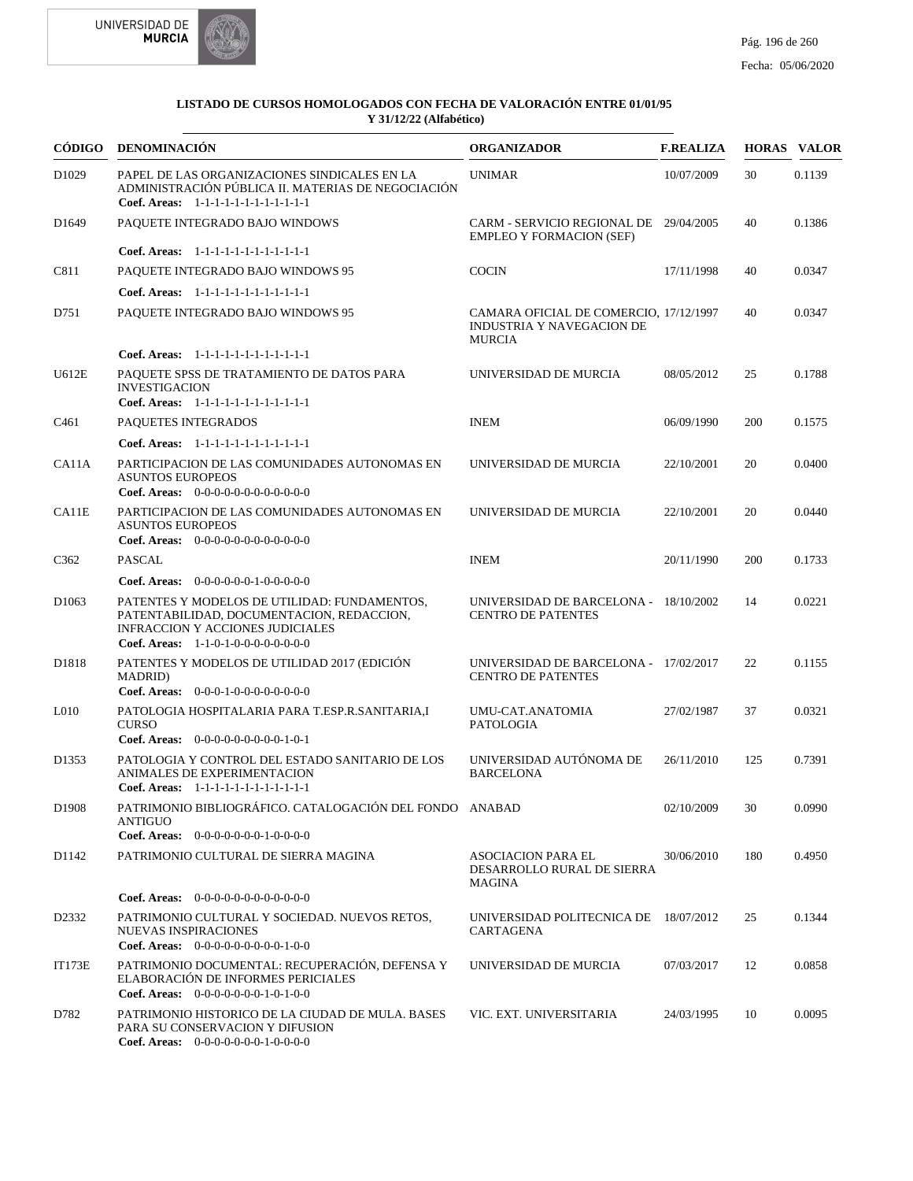



|                   | CÓDIGO DENOMINACIÓN                                                                                                                                                          | <b>ORGANIZADOR</b>                                                                   | <b>F.REALIZA</b> |     | <b>HORAS VALOR</b> |
|-------------------|------------------------------------------------------------------------------------------------------------------------------------------------------------------------------|--------------------------------------------------------------------------------------|------------------|-----|--------------------|
| D <sub>1029</sub> | PAPEL DE LAS ORGANIZACIONES SINDICALES EN LA<br>ADMINISTRACIÓN PÚBLICA II. MATERIAS DE NEGOCIACIÓN<br>Coef. Areas: 1-1-1-1-1-1-1-1-1-1-1-1-1                                 | <b>UNIMAR</b>                                                                        | 10/07/2009       | 30  | 0.1139             |
| D <sub>1649</sub> | PAQUETE INTEGRADO BAJO WINDOWS                                                                                                                                               | CARM - SERVICIO REGIONAL DE 29/04/2005<br><b>EMPLEO Y FORMACION (SEF)</b>            |                  | 40  | 0.1386             |
|                   | Coef. Areas: 1-1-1-1-1-1-1-1-1-1-1-1-1                                                                                                                                       |                                                                                      |                  |     |                    |
| C811              | PAQUETE INTEGRADO BAJO WINDOWS 95                                                                                                                                            | <b>COCIN</b>                                                                         | 17/11/1998       | 40  | 0.0347             |
|                   | Coef. Areas: 1-1-1-1-1-1-1-1-1-1-1-1-1                                                                                                                                       |                                                                                      |                  |     |                    |
| D751              | PAQUETE INTEGRADO BAJO WINDOWS 95                                                                                                                                            | CAMARA OFICIAL DE COMERCIO, 17/12/1997<br>INDUSTRIA Y NAVEGACION DE<br><b>MURCIA</b> |                  | 40  | 0.0347             |
|                   | Coef. Areas: $1-1-1-1-1-1-1-1-1-1-1$                                                                                                                                         |                                                                                      |                  |     |                    |
| U612E             | PAQUETE SPSS DE TRATAMIENTO DE DATOS PARA<br><b>INVESTIGACION</b><br>Coef. Areas: 1-1-1-1-1-1-1-1-1-1-1-1-1                                                                  | UNIVERSIDAD DE MURCIA                                                                | 08/05/2012       | 25  | 0.1788             |
| C <sub>461</sub>  | PAQUETES INTEGRADOS                                                                                                                                                          | <b>INEM</b>                                                                          | 06/09/1990       | 200 | 0.1575             |
|                   | Coef. Areas: 1-1-1-1-1-1-1-1-1-1-1-1-1                                                                                                                                       |                                                                                      |                  |     |                    |
| CA11A             | PARTICIPACION DE LAS COMUNIDADES AUTONOMAS EN<br><b>ASUNTOS EUROPEOS</b><br><b>Coef. Areas:</b> $0-0-0-0-0-0-0-0-0-0-0-0$                                                    | UNIVERSIDAD DE MURCIA                                                                | 22/10/2001       | 20  | 0.0400             |
| CA11E             | PARTICIPACION DE LAS COMUNIDADES AUTONOMAS EN<br><b>ASUNTOS EUROPEOS</b><br>Coef. Areas: $0-0-0-0-0-0-0-0-0-0-0-0$                                                           | UNIVERSIDAD DE MURCIA                                                                | 22/10/2001       | 20  | 0.0440             |
| C <sub>362</sub>  | <b>PASCAL</b>                                                                                                                                                                | <b>INEM</b>                                                                          | 20/11/1990       | 200 | 0.1733             |
|                   | Coef. Areas: $0-0-0-0-0-1-0-0-0-0-0$                                                                                                                                         |                                                                                      |                  |     |                    |
| D <sub>1063</sub> | PATENTES Y MODELOS DE UTILIDAD: FUNDAMENTOS,<br>PATENTABILIDAD, DOCUMENTACION, REDACCION,<br><b>INFRACCION Y ACCIONES JUDICIALES</b><br>Coef. Areas: $1-1-0-1-0-0-0-0-0-0-0$ | UNIVERSIDAD DE BARCELONA - 18/10/2002<br><b>CENTRO DE PATENTES</b>                   |                  | 14  | 0.0221             |
| D1818             | PATENTES Y MODELOS DE UTILIDAD 2017 (EDICIÓN<br><b>MADRID</b> )<br>Coef. Areas: $0-0-0-1-0-0-0-0-0-0-0$                                                                      | UNIVERSIDAD DE BARCELONA - 17/02/2017<br><b>CENTRO DE PATENTES</b>                   |                  | 22  | 0.1155             |
| L <sub>010</sub>  | PATOLOGIA HOSPITALARIA PARA T.ESP.R.SANITARIA,I<br><b>CURSO</b><br>Coef. Areas: 0-0-0-0-0-0-0-0-0-1-0-1                                                                      | UMU-CAT.ANATOMIA<br>PATOLOGIA                                                        | 27/02/1987       | 37  | 0.0321             |
| D1353             | PATOLOGIA Y CONTROL DEL ESTADO SANITARIO DE LOS<br>ANIMALES DE EXPERIMENTACION<br>Coef. Areas: 1-1-1-1-1-1-1-1-1-1-1-1-1                                                     | UNIVERSIDAD AUTÓNOMA DE<br><b>BARCELONA</b>                                          | 26/11/2010       | 125 | 0.7391             |
| D1908             | PATRIMONIO BIBLIOGRÁFICO. CATALOGACIÓN DEL FONDO ANABAD<br>ANTIGUO<br>Coef. Areas: $0-0-0-0-0-0-1-0-0-0-0$                                                                   |                                                                                      | 02/10/2009       | 30  | 0.0990             |
| D1142             | PATRIMONIO CULTURAL DE SIERRA MAGINA                                                                                                                                         | <b>ASOCIACION PARA EL</b><br>DESARROLLO RURAL DE SIERRA<br><b>MAGINA</b>             | 30/06/2010       | 180 | 0.4950             |
|                   | <b>Coef. Areas:</b> $0-0-0-0-0-0-0-0-0-0-0-0$                                                                                                                                |                                                                                      |                  |     |                    |
| D2332             | PATRIMONIO CULTURAL Y SOCIEDAD. NUEVOS RETOS,<br><b>NUEVAS INSPIRACIONES</b><br>Coef. Areas: $0-0-0-0-0-0-0-0-1-0-0$                                                         | UNIVERSIDAD POLITECNICA DE 18/07/2012<br>CARTAGENA                                   |                  | 25  | 0.1344             |
| <b>IT173E</b>     | PATRIMONIO DOCUMENTAL: RECUPERACIÓN, DEFENSA Y<br>ELABORACIÓN DE INFORMES PERICIALES<br>Coef. Areas: 0-0-0-0-0-0-0-1-0-1-0-0                                                 | UNIVERSIDAD DE MURCIA                                                                | 07/03/2017       | 12  | 0.0858             |
| D782              | PATRIMONIO HISTORICO DE LA CIUDAD DE MULA. BASES<br>PARA SU CONSERVACION Y DIFUSION<br>Coef. Areas: 0-0-0-0-0-0-0-1-0-0-0-0                                                  | VIC. EXT. UNIVERSITARIA                                                              | 24/03/1995       | 10  | 0.0095             |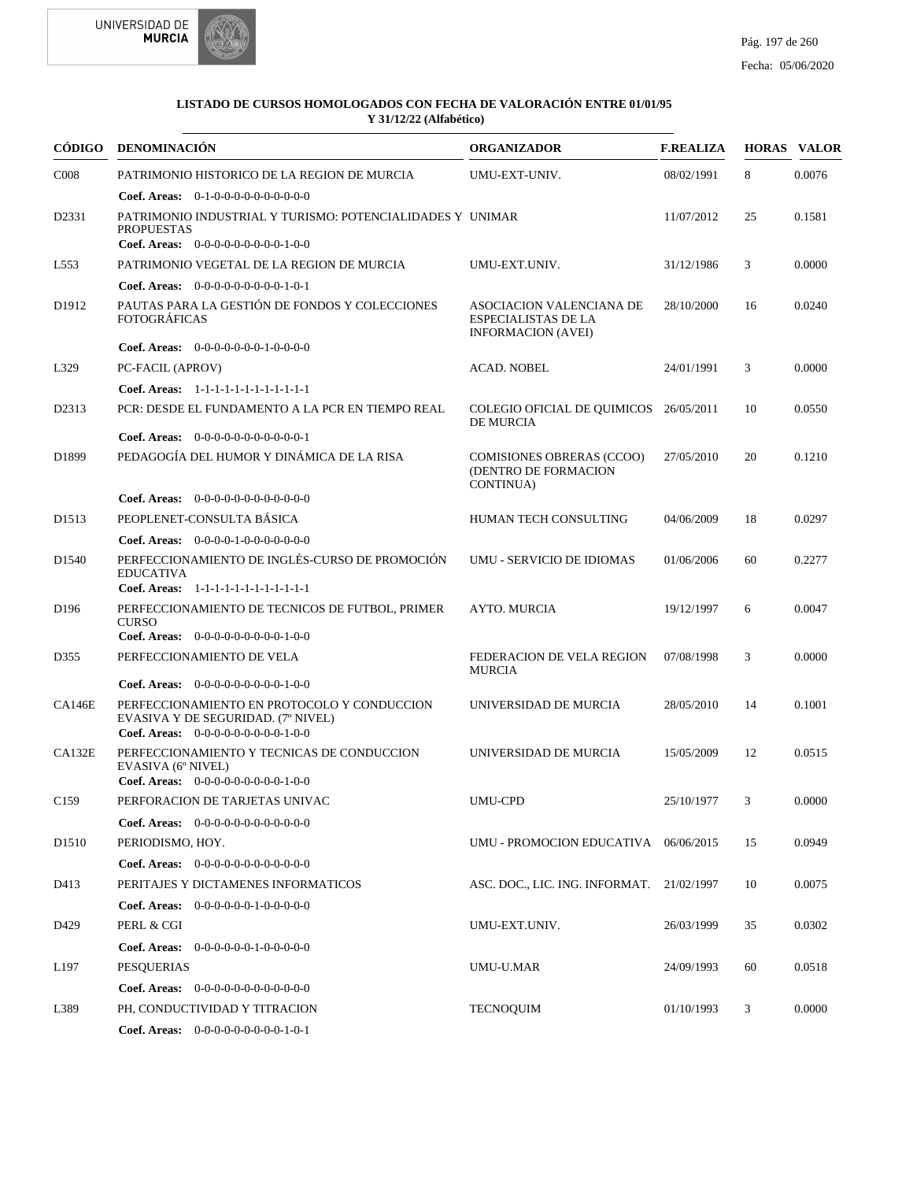



| CÓDIGO            | DENOMINACIÓN                                                                                                                  | <b>ORGANIZADOR</b>                                                           | <b>F.REALIZA</b> |    | <b>HORAS VALOR</b> |
|-------------------|-------------------------------------------------------------------------------------------------------------------------------|------------------------------------------------------------------------------|------------------|----|--------------------|
| C <sub>008</sub>  | PATRIMONIO HISTORICO DE LA REGION DE MURCIA                                                                                   | UMU-EXT-UNIV.                                                                | 08/02/1991       | 8  | 0.0076             |
|                   | <b>Coef. Areas:</b> $0-1-0-0-0-0-0-0-0-0-0$                                                                                   |                                                                              |                  |    |                    |
| D2331             | PATRIMONIO INDUSTRIAL Y TURISMO: POTENCIALIDADES Y UNIMAR<br><b>PROPUESTAS</b><br><b>Coef. Areas:</b> $0-0-0-0-0-0-0-0-1-0-0$ |                                                                              | 11/07/2012       | 25 | 0.1581             |
| L <sub>553</sub>  | PATRIMONIO VEGETAL DE LA REGION DE MURCIA                                                                                     | UMU-EXT.UNIV.                                                                | 31/12/1986       | 3  | 0.0000             |
|                   | Coef. Areas: 0-0-0-0-0-0-0-0-0-1-0-1                                                                                          |                                                                              |                  |    |                    |
| D1912             | PAUTAS PARA LA GESTIÓN DE FONDOS Y COLECCIONES<br><b>FOTOGRÁFICAS</b>                                                         | ASOCIACION VALENCIANA DE<br>ESPECIALISTAS DE LA<br><b>INFORMACION (AVEI)</b> | 28/10/2000       | 16 | 0.0240             |
|                   | Coef. Areas: $0-0-0-0-0-0-1-0-0-0-0$                                                                                          |                                                                              |                  |    |                    |
| L329              | PC-FACIL (APROV)                                                                                                              | <b>ACAD. NOBEL</b>                                                           | 24/01/1991       | 3  | 0.0000             |
|                   | Coef. Areas: 1-1-1-1-1-1-1-1-1-1-1-1-1                                                                                        |                                                                              |                  |    |                    |
| D2313             | PCR: DESDE EL FUNDAMENTO A LA PCR EN TIEMPO REAL<br>Coef. Areas: 0-0-0-0-0-0-0-0-0-0-0-1                                      | COLEGIO OFICIAL DE QUIMICOS 26/05/2011<br>DE MURCIA                          |                  | 10 | 0.0550             |
| D1899             | PEDAGOGÍA DEL HUMOR Y DINÁMICA DE LA RISA                                                                                     | <b>COMISIONES OBRERAS (CCOO)</b><br>(DENTRO DE FORMACION<br><b>CONTINUA)</b> | 27/05/2010       | 20 | 0.1210             |
|                   | <b>Coef. Areas:</b> $0-0-0-0-0-0-0-0-0-0-0-0$                                                                                 |                                                                              |                  |    |                    |
| D <sub>1513</sub> | PEOPLENET-CONSULTA BÁSICA                                                                                                     | HUMAN TECH CONSULTING                                                        | 04/06/2009       | 18 | 0.0297             |
|                   | Coef. Areas: $0-0-0-0-1-0-0-0-0-0-0$                                                                                          |                                                                              |                  |    |                    |
| D <sub>1540</sub> | PERFECCIONAMIENTO DE INGLÉS-CURSO DE PROMOCIÓN<br><b>EDUCATIVA</b>                                                            | <b>UMU - SERVICIO DE IDIOMAS</b>                                             | 01/06/2006       | 60 | 0.2277             |
|                   | Coef. Areas: $1-1-1-1-1-1-1-1-1-1-1$                                                                                          |                                                                              |                  |    |                    |
| D <sub>196</sub>  | PERFECCIONAMIENTO DE TECNICOS DE FUTBOL, PRIMER<br><b>CURSO</b><br><b>Coef. Areas:</b> $0-0-0-0-0-0-0-0-1-0-0$                | <b>AYTO. MURCIA</b>                                                          | 19/12/1997       | 6  | 0.0047             |
| D355              | PERFECCIONAMIENTO DE VELA                                                                                                     | FEDERACION DE VELA REGION                                                    | 07/08/1998       | 3  | 0.0000             |
|                   |                                                                                                                               | <b>MURCIA</b>                                                                |                  |    |                    |
|                   | <b>Coef. Areas:</b> $0-0-0-0-0-0-0-0-1-0-0$                                                                                   |                                                                              |                  |    |                    |
| <b>CA146E</b>     | PERFECCIONAMIENTO EN PROTOCOLO Y CONDUCCION<br>EVASIVA Y DE SEGURIDAD. (7º NIVEL)<br>Coef. Areas: $0-0-0-0-0-0-0-0-0-1-0-0$   | UNIVERSIDAD DE MURCIA                                                        | 28/05/2010       | 14 | 0.1001             |
| CA132E            | PERFECCIONAMIENTO Y TECNICAS DE CONDUCCION<br>EVASIVA (6° NIVEL)<br>Coef. Areas: $0-0-0-0-0-0-0-0-1-0-0$                      | UNIVERSIDAD DE MURCIA                                                        | 15/05/2009       | 12 | 0.0515             |
| C <sub>159</sub>  | PERFORACION DE TARJETAS UNIVAC                                                                                                | <b>UMU-CPD</b>                                                               | 25/10/1977       | 3  | 0.0000             |
|                   | <b>Coef. Areas:</b> $0-0-0-0-0-0-0-0-0-0-0-0$                                                                                 |                                                                              |                  |    |                    |
| D <sub>1510</sub> | PERIODISMO, HOY.                                                                                                              | UMU - PROMOCION EDUCATIVA 06/06/2015                                         |                  | 15 | 0.0949             |
|                   | Coef. Areas: $0-0-0-0-0-0-0-0-0-0-0$                                                                                          |                                                                              |                  |    |                    |
| D413              | PERITAJES Y DICTAMENES INFORMATICOS                                                                                           | ASC. DOC., LIC. ING. INFORMAT. 21/02/1997                                    |                  | 10 | 0.0075             |
|                   | Coef. Areas: $0-0-0-0-0-1-0-0-0-0-0$                                                                                          |                                                                              |                  |    |                    |
| D429              | PERL & CGI                                                                                                                    | UMU-EXT.UNIV.                                                                | 26/03/1999       | 35 | 0.0302             |
|                   | Coef. Areas: 0-0-0-0-0-0-1-0-0-0-0-0                                                                                          |                                                                              |                  |    |                    |
| L <sub>197</sub>  | <b>PESQUERIAS</b>                                                                                                             | UMU-U.MAR                                                                    | 24/09/1993       | 60 | 0.0518             |
|                   | <b>Coef. Areas:</b> $0-0-0-0-0-0-0-0-0-0-0$                                                                                   |                                                                              |                  |    |                    |
| L389              | PH, CONDUCTIVIDAD Y TITRACION                                                                                                 | <b>TECNOQUIM</b>                                                             | 01/10/1993       | 3  | 0.0000             |
|                   | Coef. Areas: 0-0-0-0-0-0-0-0-0-1-0-1                                                                                          |                                                                              |                  |    |                    |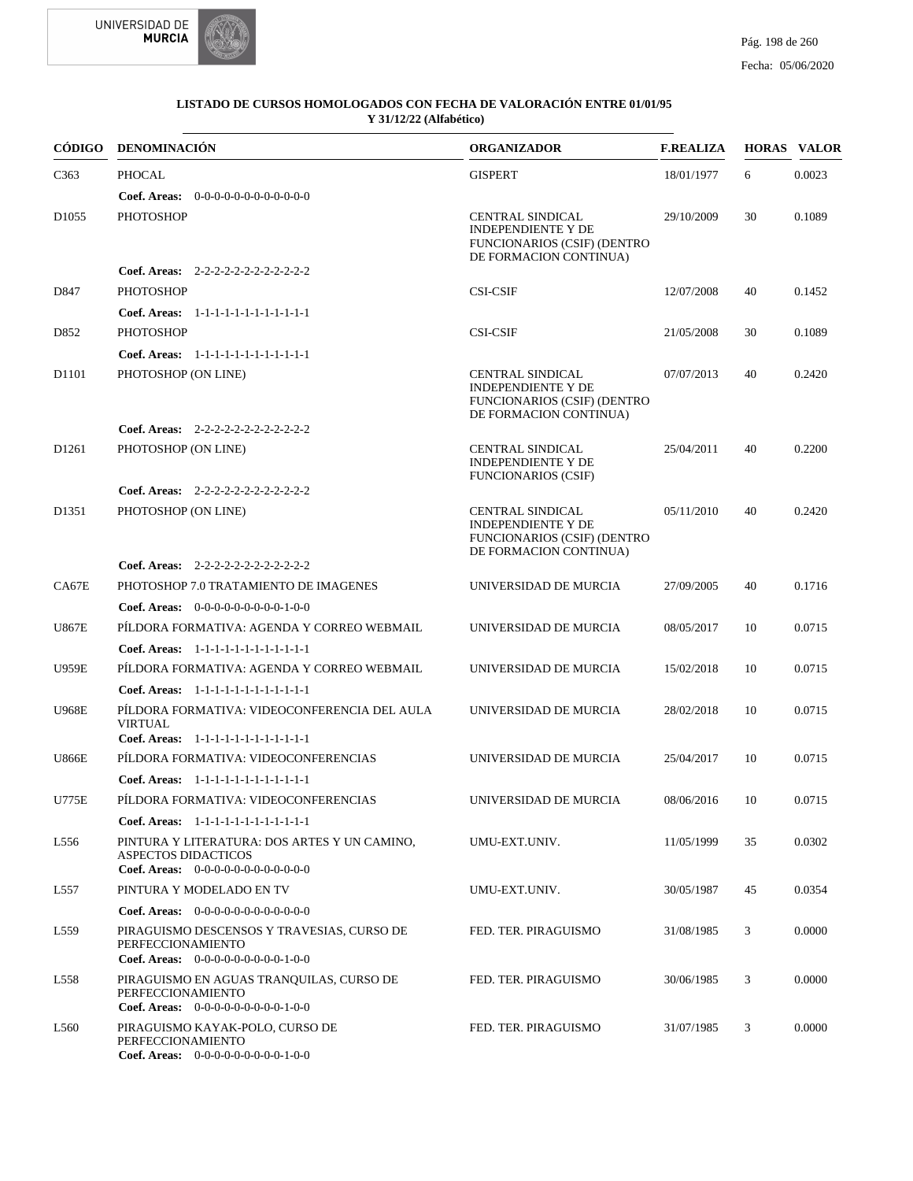



|                   | CÓDIGO DENOMINACIÓN                                                                                          | <b>ORGANIZADOR</b>                                                                                                   | <b>F.REALIZA</b> |    | <b>HORAS VALOR</b> |
|-------------------|--------------------------------------------------------------------------------------------------------------|----------------------------------------------------------------------------------------------------------------------|------------------|----|--------------------|
| C <sub>363</sub>  | <b>PHOCAL</b>                                                                                                | <b>GISPERT</b>                                                                                                       | 18/01/1977       | 6  | 0.0023             |
|                   | <b>Coef. Areas:</b> $0-0-0-0-0-0-0-0-0-0-0-0$                                                                |                                                                                                                      |                  |    |                    |
| D <sub>1055</sub> | <b>PHOTOSHOP</b>                                                                                             | <b>CENTRAL SINDICAL</b><br><b>INDEPENDIENTE Y DE</b><br><b>FUNCIONARIOS (CSIF) (DENTRO</b><br>DE FORMACION CONTINUA) | 29/10/2009       | 30 | 0.1089             |
|                   | Coef. Areas: $2-2-2-2-2-2-2-2-2-2-2$                                                                         |                                                                                                                      |                  |    |                    |
| D847              | <b>PHOTOSHOP</b>                                                                                             | <b>CSI-CSIF</b>                                                                                                      | 12/07/2008       | 40 | 0.1452             |
|                   | Coef. Areas: 1-1-1-1-1-1-1-1-1-1-1-1-1                                                                       |                                                                                                                      |                  |    |                    |
| D852              | <b>PHOTOSHOP</b>                                                                                             | <b>CSI-CSIF</b>                                                                                                      | 21/05/2008       | 30 | 0.1089             |
|                   | Coef. Areas: 1-1-1-1-1-1-1-1-1-1-1-1-1                                                                       |                                                                                                                      |                  |    |                    |
| D1101             | PHOTOSHOP (ON LINE)                                                                                          | <b>CENTRAL SINDICAL</b><br><b>INDEPENDIENTE Y DE</b><br><b>FUNCIONARIOS (CSIF) (DENTRO</b><br>DE FORMACION CONTINUA) | 07/07/2013       | 40 | 0.2420             |
|                   | Coef. Areas: $2-2-2-2-2-2-2-2-2-2-2$                                                                         |                                                                                                                      |                  |    |                    |
| D <sub>1261</sub> | PHOTOSHOP (ON LINE)                                                                                          | <b>CENTRAL SINDICAL</b><br><b>INDEPENDIENTE Y DE</b><br><b>FUNCIONARIOS (CSIF)</b>                                   | 25/04/2011       | 40 | 0.2200             |
|                   | Coef. Areas: 2-2-2-2-2-2-2-2-2-2-2-2                                                                         |                                                                                                                      |                  |    |                    |
| D <sub>1351</sub> | PHOTOSHOP (ON LINE)                                                                                          | <b>CENTRAL SINDICAL</b><br><b>INDEPENDIENTE Y DE</b><br><b>FUNCIONARIOS (CSIF) (DENTRO</b><br>DE FORMACION CONTINUA) | 05/11/2010       | 40 | 0.2420             |
|                   | Coef. Areas: 2-2-2-2-2-2-2-2-2-2-2-2                                                                         |                                                                                                                      |                  |    |                    |
| CA67E             | PHOTOSHOP 7.0 TRATAMIENTO DE IMAGENES                                                                        | UNIVERSIDAD DE MURCIA                                                                                                | 27/09/2005       | 40 | 0.1716             |
|                   | <b>Coef. Areas:</b> $0-0-0-0-0-0-0-0-1-0-0$                                                                  |                                                                                                                      |                  |    |                    |
| <b>U867E</b>      | PILDORA FORMATIVA: AGENDA Y CORREO WEBMAIL                                                                   | UNIVERSIDAD DE MURCIA                                                                                                | 08/05/2017       | 10 | 0.0715             |
|                   | Coef. Areas: $1-1-1-1-1-1-1-1-1-1-1$                                                                         |                                                                                                                      |                  |    |                    |
| <b>U959E</b>      | PÍLDORA FORMATIVA: AGENDA Y CORREO WEBMAIL                                                                   | UNIVERSIDAD DE MURCIA                                                                                                | 15/02/2018       | 10 | 0.0715             |
|                   | Coef. Areas: $1-1-1-1-1-1-1-1-1-1-1$                                                                         |                                                                                                                      |                  |    |                    |
| <b>U968E</b>      | PÍLDORA FORMATIVA: VIDEOCONFERENCIA DEL AULA<br><b>VIRTUAL</b><br>Coef. Areas: 1-1-1-1-1-1-1-1-1-1-1-1-1     | UNIVERSIDAD DE MURCIA                                                                                                | 28/02/2018       | 10 | 0.0715             |
| <b>U866E</b>      | PÍLDORA FORMATIVA: VIDEOCONFERENCIAS                                                                         | UNIVERSIDAD DE MURCIA                                                                                                | 25/04/2017       | 10 | 0.0715             |
|                   | Coef. Areas: 1-1-1-1-1-1-1-1-1-1-1-1-1                                                                       |                                                                                                                      |                  |    |                    |
| U775E             | PÍLDORA FORMATIVA: VIDEOCONFERENCIAS                                                                         | UNIVERSIDAD DE MURCIA                                                                                                | 08/06/2016       | 10 | 0.0715             |
|                   | Coef. Areas: 1-1-1-1-1-1-1-1-1-1-1-1-1                                                                       |                                                                                                                      |                  |    |                    |
| L556              | PINTURA Y LITERATURA: DOS ARTES Y UN CAMINO,<br>ASPECTOS DIDACTICOS<br>Coef. Areas: $0-0-0-0-0-0-0-0-0-0-0$  | UMU-EXT.UNIV.                                                                                                        | 11/05/1999       | 35 | 0.0302             |
| L557              | PINTURA Y MODELADO EN TV                                                                                     | UMU-EXT.UNIV.                                                                                                        | 30/05/1987       | 45 | 0.0354             |
|                   | <b>Coef. Areas:</b> $0-0-0-0-0-0-0-0-0-0-0-0$                                                                |                                                                                                                      |                  |    |                    |
| L <sub>559</sub>  | PIRAGUISMO DESCENSOS Y TRAVESIAS, CURSO DE<br>PERFECCIONAMIENTO<br>Coef. Areas: $0-0-0-0-0-0-0-0-1-0-0$      | FED. TER. PIRAGUISMO                                                                                                 | 31/08/1985       | 3  | 0.0000             |
| L558              | PIRAGUISMO EN AGUAS TRANQUILAS, CURSO DE<br>PERFECCIONAMIENTO<br><b>Coef. Areas:</b> $0-0-0-0-0-0-0-0-1-0-0$ | FED. TER. PIRAGUISMO                                                                                                 | 30/06/1985       | 3  | 0.0000             |
| L <sub>560</sub>  | PIRAGUISMO KAYAK-POLO, CURSO DE<br>PERFECCIONAMIENTO<br>Coef. Areas: 0-0-0-0-0-0-0-0-0-1-0-0                 | FED. TER. PIRAGUISMO                                                                                                 | 31/07/1985       | 3  | 0.0000             |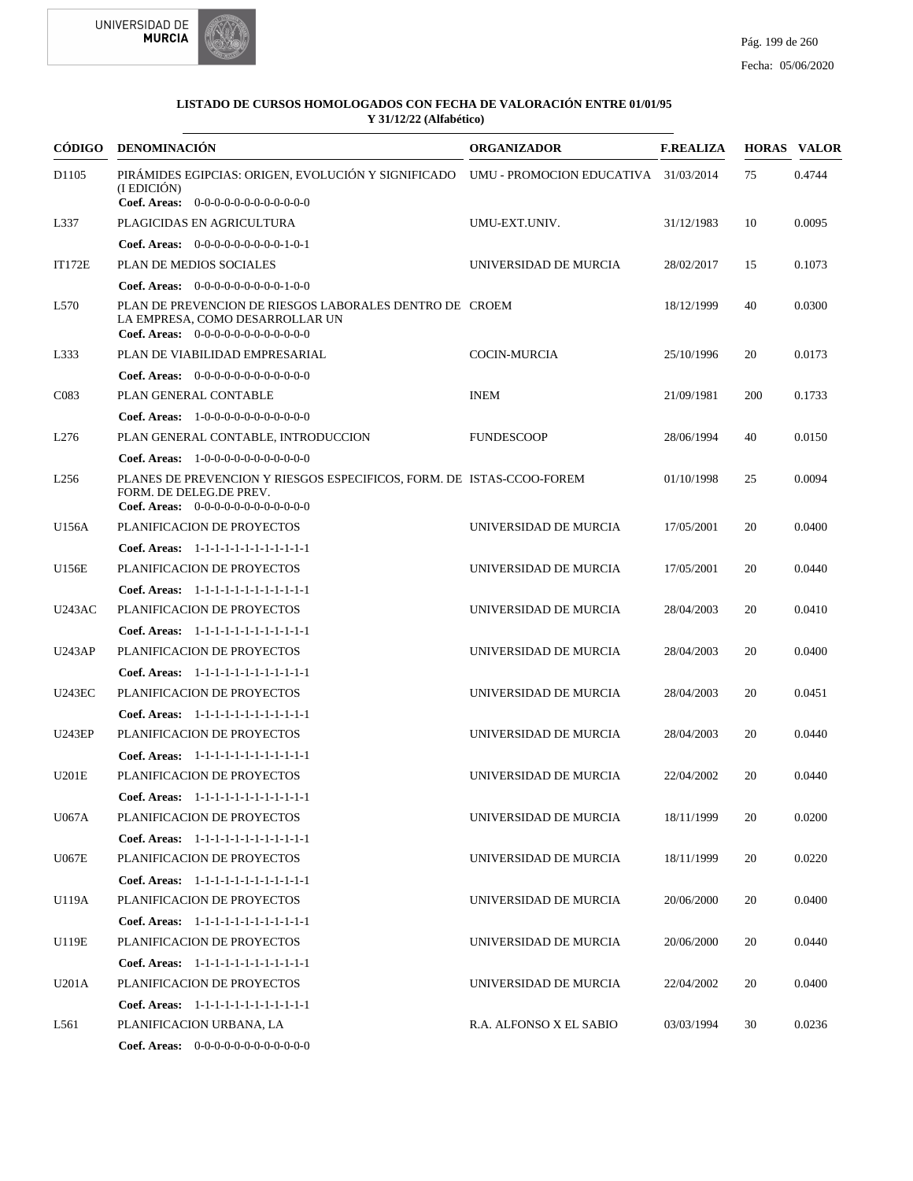



| <b>CÓDIGO</b>    | <b>DENOMINACIÓN</b>                                                                                                                               | <b>ORGANIZADOR</b>      | <b>F.REALIZA</b> |     | <b>HORAS VALOR</b> |
|------------------|---------------------------------------------------------------------------------------------------------------------------------------------------|-------------------------|------------------|-----|--------------------|
| D1105            | PIRÁMIDES EGIPCIAS: ORIGEN, EVOLUCIÓN Y SIGNIFICADO UMU - PROMOCION EDUCATIVA 31/03/2014<br>(I EDICIÓN)                                           |                         |                  | 75  | 0.4744             |
|                  | Coef. Areas: $0-0-0-0-0-0-0-0-0-0-0$                                                                                                              |                         |                  |     |                    |
| L337             | PLAGICIDAS EN AGRICULTURA                                                                                                                         | UMU-EXT.UNIV.           | 31/12/1983       | 10  | 0.0095             |
|                  | Coef. Areas: $0-0-0-0-0-0-0-0-1-0-1$                                                                                                              |                         |                  |     |                    |
| <b>IT172E</b>    | PLAN DE MEDIOS SOCIALES                                                                                                                           | UNIVERSIDAD DE MURCIA   | 28/02/2017       | 15  | 0.1073             |
|                  | Coef. Areas: 0-0-0-0-0-0-0-0-0-1-0-0                                                                                                              |                         |                  |     |                    |
| L570             | PLAN DE PREVENCION DE RIESGOS LABORALES DENTRO DE CROEM<br>LA EMPRESA, COMO DESARROLLAR UN<br><b>Coef. Areas:</b> $0-0-0-0-0-0-0-0-0-0-0-0$       |                         | 18/12/1999       | 40  | 0.0300             |
| L333             | PLAN DE VIABILIDAD EMPRESARIAL                                                                                                                    | <b>COCIN-MURCIA</b>     | 25/10/1996       | 20  | 0.0173             |
|                  | <b>Coef. Areas:</b> $0-0-0-0-0-0-0-0-0-0-0-0$                                                                                                     |                         |                  |     |                    |
| C <sub>083</sub> | PLAN GENERAL CONTABLE                                                                                                                             | <b>INEM</b>             | 21/09/1981       | 200 | 0.1733             |
|                  | <b>Coef. Areas:</b> $1-0-0-0-0-0-0-0-0-0-0$                                                                                                       |                         |                  |     |                    |
| L276             | PLAN GENERAL CONTABLE, INTRODUCCION                                                                                                               | <b>FUNDESCOOP</b>       | 28/06/1994       | 40  | 0.0150             |
|                  | <b>Coef. Areas:</b> $1-0-0-0-0-0-0-0-0-0-0$                                                                                                       |                         |                  |     |                    |
| L <sub>256</sub> | PLANES DE PREVENCION Y RIESGOS ESPECIFICOS, FORM. DE ISTAS-CCOO-FOREM<br>FORM. DE DELEG.DE PREV.<br><b>Coef. Areas:</b> $0-0-0-0-0-0-0-0-0-0-0-0$ |                         | 01/10/1998       | 25  | 0.0094             |
| U156A            | PLANIFICACION DE PROYECTOS                                                                                                                        | UNIVERSIDAD DE MURCIA   | 17/05/2001       | 20  | 0.0400             |
|                  | Coef. Areas: 1-1-1-1-1-1-1-1-1-1-1-1-1                                                                                                            |                         |                  |     |                    |
| U156E            | PLANIFICACION DE PROYECTOS                                                                                                                        | UNIVERSIDAD DE MURCIA   | 17/05/2001       | 20  | 0.0440             |
|                  | Coef. Areas: 1-1-1-1-1-1-1-1-1-1-1-1-1                                                                                                            |                         |                  |     |                    |
| <b>U243AC</b>    | PLANIFICACION DE PROYECTOS                                                                                                                        | UNIVERSIDAD DE MURCIA   | 28/04/2003       | 20  | 0.0410             |
|                  | Coef. Areas: 1-1-1-1-1-1-1-1-1-1-1-1-1                                                                                                            |                         |                  |     |                    |
| <b>U243AP</b>    | PLANIFICACION DE PROYECTOS                                                                                                                        | UNIVERSIDAD DE MURCIA   | 28/04/2003       | 20  | 0.0400             |
|                  | Coef. Areas: 1-1-1-1-1-1-1-1-1-1-1-1-1                                                                                                            |                         |                  |     |                    |
| <b>U243EC</b>    | PLANIFICACION DE PROYECTOS                                                                                                                        | UNIVERSIDAD DE MURCIA   | 28/04/2003       | 20  | 0.0451             |
|                  | Coef. Areas: 1-1-1-1-1-1-1-1-1-1-1-1-1                                                                                                            |                         |                  |     |                    |
| <b>U243EP</b>    | PLANIFICACION DE PROYECTOS                                                                                                                        | UNIVERSIDAD DE MURCIA   | 28/04/2003       | 20  | 0.0440             |
|                  | Coef. Areas: 1-1-1-1-1-1-1-1-1-1-1-1-1                                                                                                            |                         |                  |     |                    |
| U201E            | PLANIFICACION DE PROYECTOS                                                                                                                        | UNIVERSIDAD DE MURCIA   | 22/04/2002       | 20  | 0.0440             |
|                  | Coef. Areas: 1-1-1-1-1-1-1-1-1-1-1-1-1                                                                                                            |                         |                  |     |                    |
| U067A            | PLANIFICACION DE PROYECTOS                                                                                                                        | UNIVERSIDAD DE MURCIA   | 18/11/1999       | 20  | 0.0200             |
|                  | Coef. Areas: 1-1-1-1-1-1-1-1-1-1-1-1-1                                                                                                            |                         |                  |     |                    |
| U067E            | PLANIFICACION DE PROYECTOS                                                                                                                        | UNIVERSIDAD DE MURCIA   | 18/11/1999       | 20  | 0.0220             |
|                  | Coef. Areas: 1-1-1-1-1-1-1-1-1-1-1-1-1                                                                                                            |                         |                  |     |                    |
| U119A            | PLANIFICACION DE PROYECTOS                                                                                                                        | UNIVERSIDAD DE MURCIA   | 20/06/2000       | 20  | 0.0400             |
|                  | Coef. Areas: 1-1-1-1-1-1-1-1-1-1-1-1-1                                                                                                            |                         |                  |     |                    |
| U119E            | PLANIFICACION DE PROYECTOS                                                                                                                        | UNIVERSIDAD DE MURCIA   | 20/06/2000       | 20  | 0.0440             |
|                  | Coef. Areas: 1-1-1-1-1-1-1-1-1-1-1-1-1                                                                                                            |                         |                  |     |                    |
| U201A            | PLANIFICACION DE PROYECTOS                                                                                                                        | UNIVERSIDAD DE MURCIA   | 22/04/2002       | 20  | 0.0400             |
|                  | Coef. Areas: 1-1-1-1-1-1-1-1-1-1-1-1-1                                                                                                            |                         |                  |     |                    |
| L561             | PLANIFICACION URBANA, LA                                                                                                                          | R.A. ALFONSO X EL SABIO | 03/03/1994       | 30  | 0.0236             |
|                  | Coef. Areas: 0-0-0-0-0-0-0-0-0-0-0-0-0                                                                                                            |                         |                  |     |                    |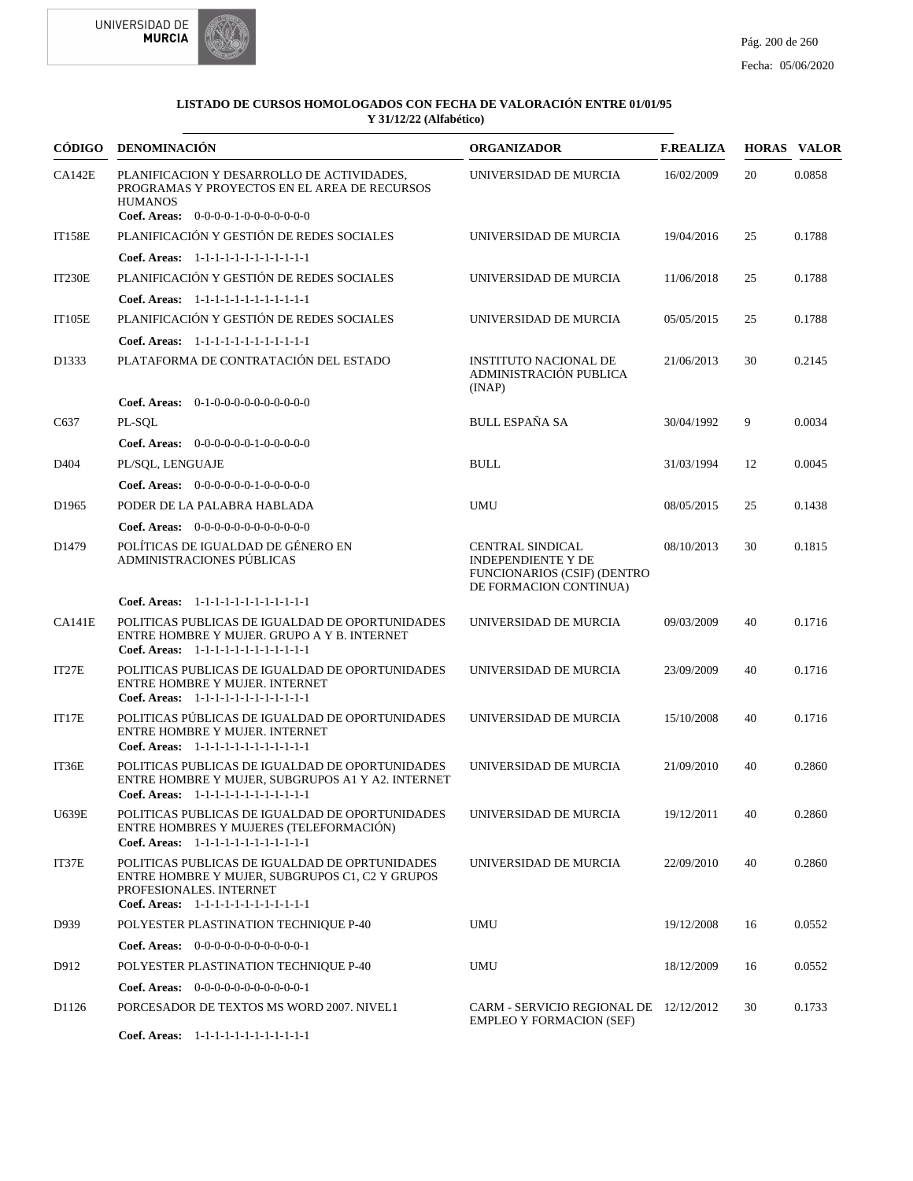



|                   | CÓDIGO DENOMINACIÓN                                                                                                                                                    | <b>ORGANIZADOR</b>                                                                                                   | <b>F.REALIZA</b> |    | <b>HORAS VALOR</b> |
|-------------------|------------------------------------------------------------------------------------------------------------------------------------------------------------------------|----------------------------------------------------------------------------------------------------------------------|------------------|----|--------------------|
| CA142E            | PLANIFICACION Y DESARROLLO DE ACTIVIDADES,<br>PROGRAMAS Y PROYECTOS EN EL AREA DE RECURSOS<br><b>HUMANOS</b><br>Coef. Areas: 0-0-0-0-1-0-0-0-0-0-0-0                   | UNIVERSIDAD DE MURCIA                                                                                                | 16/02/2009       | 20 | 0.0858             |
| <b>IT158E</b>     | PLANIFICACIÓN Y GESTIÓN DE REDES SOCIALES                                                                                                                              | UNIVERSIDAD DE MURCIA                                                                                                | 19/04/2016       | 25 | 0.1788             |
|                   | Coef. Areas: 1-1-1-1-1-1-1-1-1-1-1-1-1                                                                                                                                 |                                                                                                                      |                  |    |                    |
| <b>IT230E</b>     | PLANIFICACIÓN Y GESTIÓN DE REDES SOCIALES                                                                                                                              | UNIVERSIDAD DE MURCIA                                                                                                | 11/06/2018       | 25 | 0.1788             |
|                   | Coef. Areas: 1-1-1-1-1-1-1-1-1-1-1-1-1                                                                                                                                 |                                                                                                                      |                  |    |                    |
| <b>IT105E</b>     | PLANIFICACIÓN Y GESTIÓN DE REDES SOCIALES                                                                                                                              | UNIVERSIDAD DE MURCIA                                                                                                | 05/05/2015       | 25 | 0.1788             |
|                   | Coef. Areas: 1-1-1-1-1-1-1-1-1-1-1-1-1                                                                                                                                 |                                                                                                                      |                  |    |                    |
| D1333             | PLATAFORMA DE CONTRATACIÓN DEL ESTADO                                                                                                                                  | <b>INSTITUTO NACIONAL DE</b><br>ADMINISTRACIÓN PUBLICA<br>(INAP)                                                     | 21/06/2013       | 30 | 0.2145             |
|                   | Coef. Areas: 0-1-0-0-0-0-0-0-0-0-0-0                                                                                                                                   |                                                                                                                      |                  |    |                    |
| C637              | PL-SQL                                                                                                                                                                 | <b>BULL ESPAÑA SA</b>                                                                                                | 30/04/1992       | 9  | 0.0034             |
|                   | Coef. Areas: $0-0-0-0-0-1-0-0-0-0-0$                                                                                                                                   |                                                                                                                      |                  |    |                    |
| D404              | PL/SOL, LENGUAJE                                                                                                                                                       | <b>BULL</b>                                                                                                          | 31/03/1994       | 12 | 0.0045             |
|                   | Coef. Areas: $0-0-0-0-0-1-0-0-0-0-0$                                                                                                                                   |                                                                                                                      |                  |    |                    |
| D <sub>1965</sub> | PODER DE LA PALABRA HABLADA                                                                                                                                            | <b>UMU</b>                                                                                                           | 08/05/2015       | 25 | 0.1438             |
|                   | Coef. Areas: $0-0-0-0-0-0-0-0-0-0-0$                                                                                                                                   |                                                                                                                      |                  |    |                    |
| D <sub>1479</sub> | POLÍTICAS DE IGUALDAD DE GÉNERO EN<br>ADMINISTRACIONES PÚBLICAS                                                                                                        | <b>CENTRAL SINDICAL</b><br><b>INDEPENDIENTE Y DE</b><br><b>FUNCIONARIOS (CSIF) (DENTRO</b><br>DE FORMACION CONTINUA) | 08/10/2013       | 30 | 0.1815             |
|                   | Coef. Areas: 1-1-1-1-1-1-1-1-1-1-1-1-1                                                                                                                                 |                                                                                                                      |                  |    |                    |
| <b>CA141E</b>     | POLITICAS PUBLICAS DE IGUALDAD DE OPORTUNIDADES<br>ENTRE HOMBRE Y MUJER. GRUPO A Y B. INTERNET<br>Coef. Areas: 1-1-1-1-1-1-1-1-1-1-1-1-1                               | UNIVERSIDAD DE MURCIA                                                                                                | 09/03/2009       | 40 | 0.1716             |
| IT27E             | POLITICAS PUBLICAS DE IGUALDAD DE OPORTUNIDADES<br>ENTRE HOMBRE Y MUJER. INTERNET<br>Coef. Areas: 1-1-1-1-1-1-1-1-1-1-1-1-1                                            | UNIVERSIDAD DE MURCIA                                                                                                | 23/09/2009       | 40 | 0.1716             |
| IT17E             | POLITICAS PÚBLICAS DE IGUALDAD DE OPORTUNIDADES<br>ENTRE HOMBRE Y MUJER. INTERNET<br>Coef. Areas: 1-1-1-1-1-1-1-1-1-1-1-1-1                                            | UNIVERSIDAD DE MURCIA                                                                                                | 15/10/2008       | 40 | 0.1716             |
| IT36E             | POLITICAS PUBLICAS DE IGUALDAD DE OPORTUNIDADES<br>ENTRE HOMBRE Y MUJER, SUBGRUPOS A1 Y A2. INTERNET<br>Coef. Areas: 1-1-1-1-1-1-1-1-1-1-1-1-1                         | UNIVERSIDAD DE MURCIA                                                                                                | 21/09/2010       | 40 | 0.2860             |
| U639E             | POLITICAS PUBLICAS DE IGUALDAD DE OPORTUNIDADES<br>ENTRE HOMBRES Y MUJERES (TELEFORMACIÓN)<br>Coef. Areas: 1-1-1-1-1-1-1-1-1-1-1-1-1                                   | UNIVERSIDAD DE MURCIA                                                                                                | 19/12/2011       | 40 | 0.2860             |
| IT37E             | POLITICAS PUBLICAS DE IGUALDAD DE OPRTUNIDADES<br>ENTRE HOMBRE Y MUJER, SUBGRUPOS C1, C2 Y GRUPOS<br>PROFESIONALES. INTERNET<br>Coef. Areas: 1-1-1-1-1-1-1-1-1-1-1-1-1 | UNIVERSIDAD DE MURCIA                                                                                                | 22/09/2010       | 40 | 0.2860             |
| D939              | POLYESTER PLASTINATION TECHNIQUE P-40                                                                                                                                  | <b>UMU</b>                                                                                                           | 19/12/2008       | 16 | 0.0552             |
|                   | Coef. Areas: 0-0-0-0-0-0-0-0-0-0-0-1                                                                                                                                   |                                                                                                                      |                  |    |                    |
| D912              | POLYESTER PLASTINATION TECHNIQUE P-40                                                                                                                                  | UMU                                                                                                                  | 18/12/2009       | 16 | 0.0552             |
|                   | Coef. Areas: $0-0-0-0-0-0-0-0-0-0-1$                                                                                                                                   |                                                                                                                      |                  |    |                    |
| D1126             | PORCESADOR DE TEXTOS MS WORD 2007. NIVEL1                                                                                                                              | CARM - SERVICIO REGIONAL DE 12/12/2012<br><b>EMPLEO Y FORMACION (SEF)</b>                                            |                  | 30 | 0.1733             |

1-1-1-1-1-1-1-1-1-1-1-1 **Coef. Areas:**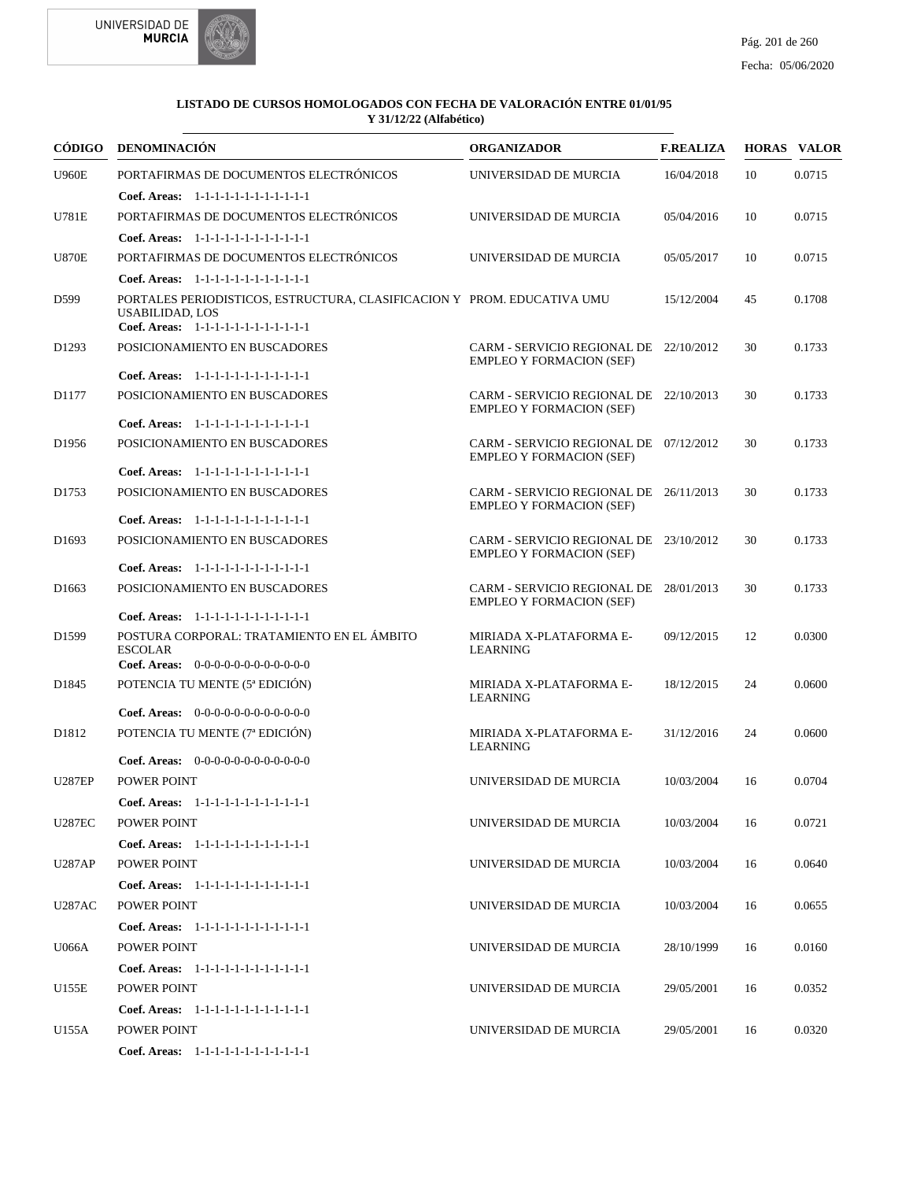

|                   | CÓDIGO DENOMINACIÓN                                                                                                                         | <b>ORGANIZADOR</b>                                                        | <b>F.REALIZA</b> |    | <b>HORAS VALOR</b> |
|-------------------|---------------------------------------------------------------------------------------------------------------------------------------------|---------------------------------------------------------------------------|------------------|----|--------------------|
| <b>U960E</b>      | PORTAFIRMAS DE DOCUMENTOS ELECTRÓNICOS                                                                                                      | UNIVERSIDAD DE MURCIA                                                     | 16/04/2018       | 10 | 0.0715             |
|                   | Coef. Areas: 1-1-1-1-1-1-1-1-1-1-1-1-1                                                                                                      |                                                                           |                  |    |                    |
| <b>U781E</b>      | PORTAFIRMAS DE DOCUMENTOS ELECTRÓNICOS                                                                                                      | UNIVERSIDAD DE MURCIA                                                     | 05/04/2016       | 10 | 0.0715             |
|                   | Coef. Areas: $1-1-1-1-1-1-1-1-1-1-1$                                                                                                        |                                                                           |                  |    |                    |
| <b>U870E</b>      | PORTAFIRMAS DE DOCUMENTOS ELECTRÓNICOS                                                                                                      | UNIVERSIDAD DE MURCIA                                                     | 05/05/2017       | 10 | 0.0715             |
|                   | Coef. Areas: 1-1-1-1-1-1-1-1-1-1-1-1-1                                                                                                      |                                                                           |                  |    |                    |
| D599              | PORTALES PERIODISTICOS, ESTRUCTURA, CLASIFICACION Y PROM. EDUCATIVA UMU<br><b>USABILIDAD, LOS</b><br>Coef. Areas: 1-1-1-1-1-1-1-1-1-1-1-1-1 |                                                                           | 15/12/2004       | 45 | 0.1708             |
| D <sub>1293</sub> | POSICIONAMIENTO EN BUSCADORES                                                                                                               | CARM - SERVICIO REGIONAL DE 22/10/2012                                    |                  | 30 | 0.1733             |
|                   |                                                                                                                                             | <b>EMPLEO Y FORMACION (SEF)</b>                                           |                  |    |                    |
|                   | Coef. Areas: 1-1-1-1-1-1-1-1-1-1-1-1-1                                                                                                      |                                                                           |                  |    |                    |
| D1177             | POSICIONAMIENTO EN BUSCADORES                                                                                                               | CARM - SERVICIO REGIONAL DE 22/10/2013<br><b>EMPLEO Y FORMACION (SEF)</b> |                  | 30 | 0.1733             |
|                   | Coef. Areas: 1-1-1-1-1-1-1-1-1-1-1-1-1                                                                                                      |                                                                           |                  |    |                    |
| D <sub>1956</sub> | POSICIONAMIENTO EN BUSCADORES                                                                                                               | CARM - SERVICIO REGIONAL DE 07/12/2012<br><b>EMPLEO Y FORMACION (SEF)</b> |                  | 30 | 0.1733             |
|                   | Coef. Areas: 1-1-1-1-1-1-1-1-1-1-1-1-1                                                                                                      |                                                                           |                  |    |                    |
| D1753             | POSICIONAMIENTO EN BUSCADORES                                                                                                               | CARM - SERVICIO REGIONAL DE 26/11/2013<br><b>EMPLEO Y FORMACION (SEF)</b> |                  | 30 | 0.1733             |
|                   | Coef. Areas: 1-1-1-1-1-1-1-1-1-1-1-1-1                                                                                                      |                                                                           |                  |    |                    |
| D <sub>1693</sub> | POSICIONAMIENTO EN BUSCADORES                                                                                                               | CARM - SERVICIO REGIONAL DE 23/10/2012<br><b>EMPLEO Y FORMACION (SEF)</b> |                  | 30 | 0.1733             |
|                   | Coef. Areas: 1-1-1-1-1-1-1-1-1-1-1-1-1                                                                                                      |                                                                           |                  |    |                    |
| D <sub>1663</sub> | POSICIONAMIENTO EN BUSCADORES                                                                                                               | CARM - SERVICIO REGIONAL DE 28/01/2013<br><b>EMPLEO Y FORMACION (SEF)</b> |                  | 30 | 0.1733             |
|                   | Coef. Areas: 1-1-1-1-1-1-1-1-1-1-1-1-1                                                                                                      |                                                                           |                  |    |                    |
| D1599             | POSTURA CORPORAL: TRATAMIENTO EN EL ÁMBITO<br><b>ESCOLAR</b>                                                                                | MIRIADA X-PLATAFORMA E-<br><b>LEARNING</b>                                | 09/12/2015       | 12 | 0.0300             |
|                   | Coef. Areas: $0-0-0-0-0-0-0-0-0-0-0$                                                                                                        |                                                                           |                  |    |                    |
| D <sub>1845</sub> | POTENCIA TU MENTE (5 <sup>ª</sup> EDICIÓN)<br>Coef. Areas: 0-0-0-0-0-0-0-0-0-0-0-0-0                                                        | MIRIADA X-PLATAFORMA E-<br><b>LEARNING</b>                                | 18/12/2015       | 24 | 0.0600             |
| D1812             | POTENCIA TU MENTE (7ª EDICIÓN)                                                                                                              | MIRIADA X-PLATAFORMA E-                                                   | 31/12/2016       | 24 | 0.0600             |
|                   |                                                                                                                                             | LEARNING                                                                  |                  |    |                    |
|                   | Coef. Areas: $0-0-0-0-0-0-0-0-0-0-0$                                                                                                        |                                                                           |                  |    |                    |
| <b>U287EP</b>     | POWER POINT                                                                                                                                 | UNIVERSIDAD DE MURCIA                                                     | 10/03/2004       | 16 | 0.0704             |
|                   | Coef. Areas: $1-1-1-1-1-1-1-1-1-1-1$                                                                                                        |                                                                           |                  |    |                    |
| <b>U287EC</b>     | POWER POINT                                                                                                                                 | UNIVERSIDAD DE MURCIA                                                     | 10/03/2004       | 16 | 0.0721             |
|                   | Coef. Areas: 1-1-1-1-1-1-1-1-1-1-1-1-1                                                                                                      |                                                                           |                  |    |                    |
| <b>U287AP</b>     | POWER POINT                                                                                                                                 | UNIVERSIDAD DE MURCIA                                                     | 10/03/2004       | 16 | 0.0640             |
|                   | Coef. Areas: 1-1-1-1-1-1-1-1-1-1-1-1-1                                                                                                      |                                                                           |                  |    |                    |
| <b>U287AC</b>     | POWER POINT                                                                                                                                 | UNIVERSIDAD DE MURCIA                                                     | 10/03/2004       | 16 | 0.0655             |
|                   | Coef. Areas: 1-1-1-1-1-1-1-1-1-1-1-1-1                                                                                                      |                                                                           |                  |    |                    |
| U066A             | POWER POINT                                                                                                                                 | UNIVERSIDAD DE MURCIA                                                     | 28/10/1999       | 16 | 0.0160             |
|                   | Coef. Areas: 1-1-1-1-1-1-1-1-1-1-1-1-1                                                                                                      |                                                                           |                  |    |                    |
| U155E             | POWER POINT                                                                                                                                 | UNIVERSIDAD DE MURCIA                                                     | 29/05/2001       | 16 | 0.0352             |
|                   | Coef. Areas: 1-1-1-1-1-1-1-1-1-1-1-1-1                                                                                                      |                                                                           |                  |    |                    |
| U155A             | POWER POINT                                                                                                                                 | UNIVERSIDAD DE MURCIA                                                     | 29/05/2001       | 16 | 0.0320             |
|                   | Coef. Areas: 1-1-1-1-1-1-1-1-1-1-1-1-1                                                                                                      |                                                                           |                  |    |                    |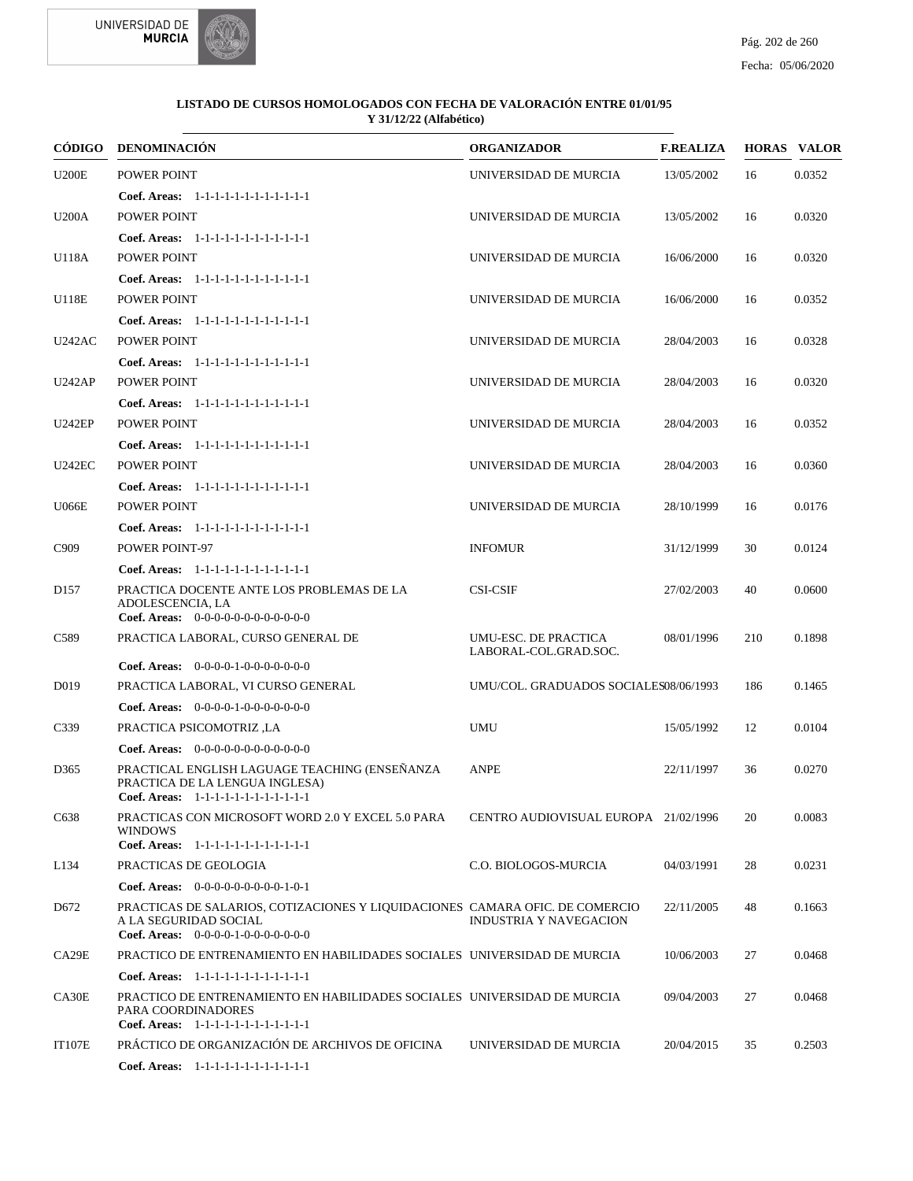



|                  | CÓDIGO DENOMINACIÓN                                                                                                                           | <b>ORGANIZADOR</b>                            | <b>F.REALIZA</b> |     | <b>HORAS VALOR</b> |
|------------------|-----------------------------------------------------------------------------------------------------------------------------------------------|-----------------------------------------------|------------------|-----|--------------------|
| <b>U200E</b>     | POWER POINT                                                                                                                                   | UNIVERSIDAD DE MURCIA                         | 13/05/2002       | 16  | 0.0352             |
|                  | Coef. Areas: 1-1-1-1-1-1-1-1-1-1-1-1-1                                                                                                        |                                               |                  |     |                    |
| <b>U200A</b>     | POWER POINT                                                                                                                                   | UNIVERSIDAD DE MURCIA                         | 13/05/2002       | 16  | 0.0320             |
|                  | Coef. Areas: 1-1-1-1-1-1-1-1-1-1-1-1-1                                                                                                        |                                               |                  |     |                    |
| U118A            | POWER POINT                                                                                                                                   | UNIVERSIDAD DE MURCIA                         | 16/06/2000       | 16  | 0.0320             |
|                  | Coef. Areas: $1-1-1-1-1-1-1-1-1-1-1$                                                                                                          |                                               |                  |     |                    |
| <b>U118E</b>     | POWER POINT                                                                                                                                   | UNIVERSIDAD DE MURCIA                         | 16/06/2000       | 16  | 0.0352             |
|                  | Coef. Areas: 1-1-1-1-1-1-1-1-1-1-1-1-1                                                                                                        |                                               |                  |     |                    |
| <b>U242AC</b>    | <b>POWER POINT</b>                                                                                                                            | UNIVERSIDAD DE MURCIA                         | 28/04/2003       | 16  | 0.0328             |
|                  | Coef. Areas: 1-1-1-1-1-1-1-1-1-1-1-1-1                                                                                                        |                                               |                  |     |                    |
| <b>U242AP</b>    | POWER POINT                                                                                                                                   | UNIVERSIDAD DE MURCIA                         | 28/04/2003       | 16  | 0.0320             |
|                  | Coef. Areas: $1-1-1-1-1-1-1-1-1-1-1$                                                                                                          |                                               |                  |     |                    |
| <b>U242EP</b>    | POWER POINT                                                                                                                                   | UNIVERSIDAD DE MURCIA                         | 28/04/2003       | 16  | 0.0352             |
|                  | Coef. Areas: 1-1-1-1-1-1-1-1-1-1-1-1-1                                                                                                        |                                               |                  |     |                    |
| <b>U242EC</b>    | POWER POINT                                                                                                                                   | UNIVERSIDAD DE MURCIA                         | 28/04/2003       | 16  | 0.0360             |
|                  | Coef. Areas: 1-1-1-1-1-1-1-1-1-1-1-1-1                                                                                                        |                                               |                  |     |                    |
| <b>U066E</b>     | POWER POINT                                                                                                                                   | UNIVERSIDAD DE MURCIA                         | 28/10/1999       | 16  | 0.0176             |
|                  | Coef. Areas: 1-1-1-1-1-1-1-1-1-1-1-1-1                                                                                                        |                                               |                  |     |                    |
| C909             | POWER POINT-97                                                                                                                                | <b>INFOMUR</b>                                | 31/12/1999       | 30  | 0.0124             |
|                  | Coef. Areas: 1-1-1-1-1-1-1-1-1-1-1-1-1                                                                                                        |                                               |                  |     |                    |
| D <sub>157</sub> | PRACTICA DOCENTE ANTE LOS PROBLEMAS DE LA<br>ADOLESCENCIA, LA                                                                                 | <b>CSI-CSIF</b>                               | 27/02/2003       | 40  | 0.0600             |
|                  | Coef. Areas: $0-0-0-0-0-0-0-0-0-0-0$                                                                                                          |                                               |                  |     |                    |
| C589             | PRACTICA LABORAL, CURSO GENERAL DE                                                                                                            | UMU-ESC. DE PRACTICA<br>LABORAL-COL.GRAD.SOC. | 08/01/1996       | 210 | 0.1898             |
|                  | Coef. Areas: $0-0-0-0-1-0-0-0-0-0-0$                                                                                                          |                                               |                  |     |                    |
| D <sub>019</sub> | PRACTICA LABORAL, VI CURSO GENERAL                                                                                                            | UMU/COL. GRADUADOS SOCIALES08/06/1993         |                  | 186 | 0.1465             |
|                  | Coef. Areas: $0-0-0-0-1-0-0-0-0-0-0$                                                                                                          |                                               |                  |     |                    |
| C339             | PRACTICA PSICOMOTRIZ .LA                                                                                                                      | <b>UMU</b>                                    | 15/05/1992       | 12  | 0.0104             |
|                  | Coef. Areas: $0-0-0-0-0-0-0-0-0-0-0$                                                                                                          |                                               |                  |     |                    |
| D365             | PRACTICAL ENGLISH LAGUAGE TEACHING (ENSEÑANZA<br>PRACTICA DE LA LENGUA INGLESA)<br>Coef. Areas: $1-1-1-1-1-1-1-1-1-1-1$                       | <b>ANPE</b>                                   | 22/11/1997       | 36  | 0.0270             |
| C638             | PRACTICAS CON MICROSOFT WORD 2.0 Y EXCEL 5.0 PARA<br><b>WINDOWS</b>                                                                           | CENTRO AUDIOVISUAL EUROPA 21/02/1996          |                  | 20  | 0.0083             |
|                  | Coef. Areas: 1-1-1-1-1-1-1-1-1-1-1-1-1                                                                                                        |                                               |                  |     |                    |
| L134             | PRACTICAS DE GEOLOGIA                                                                                                                         | C.O. BIOLOGOS-MURCIA                          | 04/03/1991       | 28  | 0.0231             |
|                  | <b>Coef. Areas:</b> $0-0-0-0-0-0-0-0-1-0-1$                                                                                                   |                                               |                  |     |                    |
| D <sub>672</sub> | PRACTICAS DE SALARIOS, COTIZACIONES Y LIQUIDACIONES CAMARA OFIC. DE COMERCIO<br>A LA SEGURIDAD SOCIAL<br>Coef. Areas: $0-0-0-0-1-0-0-0-0-0-0$ | <b>INDUSTRIA Y NAVEGACION</b>                 | 22/11/2005       | 48  | 0.1663             |
| CA29E            | PRACTICO DE ENTRENAMIENTO EN HABILIDADES SOCIALES UNIVERSIDAD DE MURCIA                                                                       |                                               | 10/06/2003       | 27  | 0.0468             |
|                  | Coef. Areas: 1-1-1-1-1-1-1-1-1-1-1-1-1                                                                                                        |                                               |                  |     |                    |
| CA30E            | PRACTICO DE ENTRENAMIENTO EN HABILIDADES SOCIALES UNIVERSIDAD DE MURCIA<br>PARA COORDINADORES<br>Coef. Areas: 1-1-1-1-1-1-1-1-1-1-1-1-1       |                                               | 09/04/2003       | 27  | 0.0468             |
| <b>IT107E</b>    | PRÁCTICO DE ORGANIZACIÓN DE ARCHIVOS DE OFICINA                                                                                               | UNIVERSIDAD DE MURCIA                         | 20/04/2015       | 35  | 0.2503             |
|                  | Coef. Areas: 1-1-1-1-1-1-1-1-1-1-1-1-1                                                                                                        |                                               |                  |     |                    |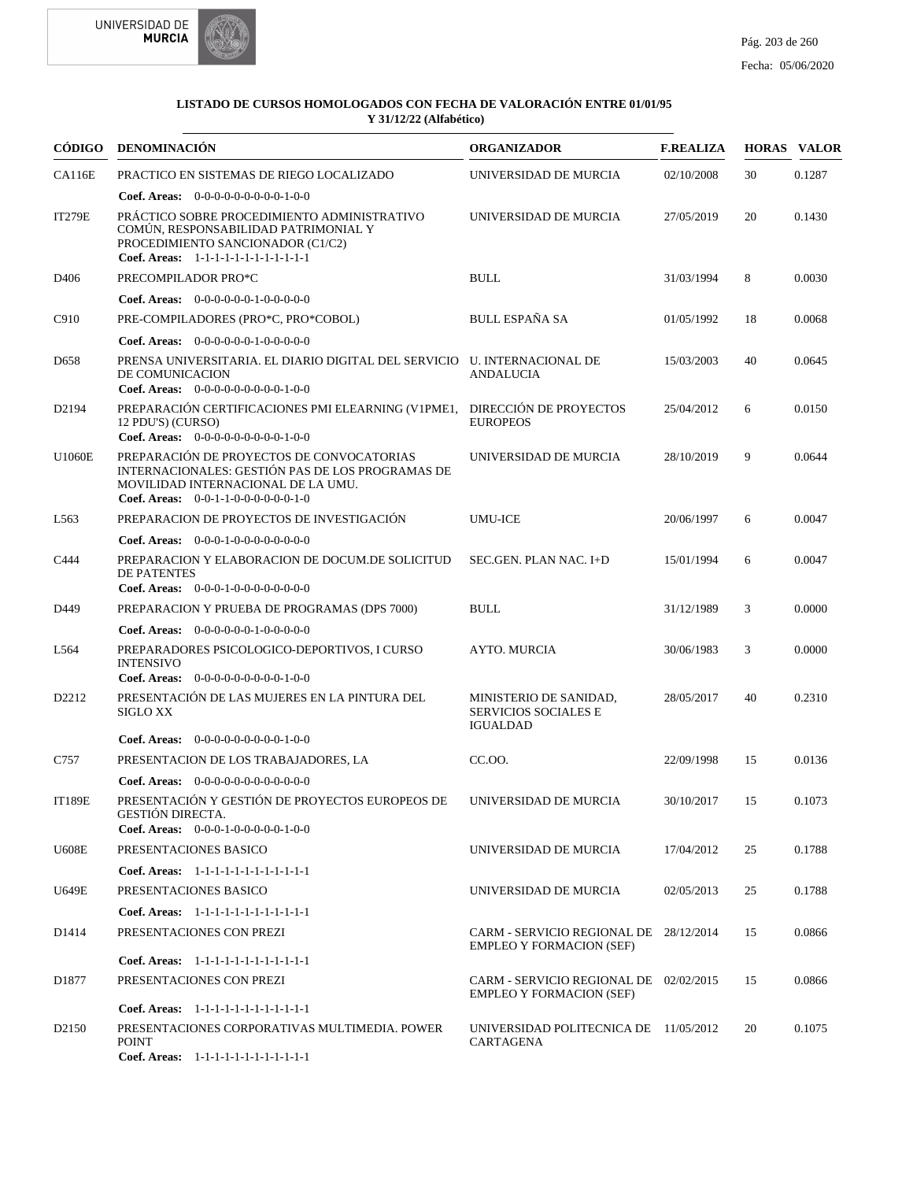



|                   | CÓDIGO DENOMINACIÓN                                                                                                                                                         | <b>ORGANIZADOR</b>                                                        | <b>F.REALIZA</b> |    | <b>HORAS VALOR</b> |
|-------------------|-----------------------------------------------------------------------------------------------------------------------------------------------------------------------------|---------------------------------------------------------------------------|------------------|----|--------------------|
| <b>CA116E</b>     | PRACTICO EN SISTEMAS DE RIEGO LOCALIZADO                                                                                                                                    | UNIVERSIDAD DE MURCIA                                                     | 02/10/2008       | 30 | 0.1287             |
|                   | Coef. Areas: $0-0-0-0-0-0-0-0-1-0-0$                                                                                                                                        |                                                                           |                  |    |                    |
| <b>IT279E</b>     | PRÁCTICO SOBRE PROCEDIMIENTO ADMINISTRATIVO<br>COMÚN, RESPONSABILIDAD PATRIMONIAL Y<br>PROCEDIMIENTO SANCIONADOR (C1/C2)<br>Coef. Areas: 1-1-1-1-1-1-1-1-1-1-1-1-1          | UNIVERSIDAD DE MURCIA                                                     | 27/05/2019       | 20 | 0.1430             |
| D <sub>406</sub>  | PRECOMPILADOR PRO*C                                                                                                                                                         | <b>BULL</b>                                                               | 31/03/1994       | 8  | 0.0030             |
|                   | Coef. Areas: $0-0-0-0-0-1-0-0-0-0-0$                                                                                                                                        |                                                                           |                  |    |                    |
| C910              | PRE-COMPILADORES (PRO*C, PRO*COBOL)                                                                                                                                         | <b>BULL ESPAÑA SA</b>                                                     | 01/05/1992       | 18 | 0.0068             |
|                   | Coef. Areas: $0-0-0-0-0-1-0-0-0-0-0$                                                                                                                                        |                                                                           |                  |    |                    |
| D <sub>658</sub>  | PRENSA UNIVERSITARIA. EL DIARIO DIGITAL DEL SERVICIO U. INTERNACIONAL DE<br>DE COMUNICACION<br>Coef. Areas: $0-0-0-0-0-0-0-0-0-1-0-0$                                       | <b>ANDALUCIA</b>                                                          | 15/03/2003       | 40 | 0.0645             |
| D <sub>2194</sub> | PREPARACIÓN CERTIFICACIONES PMI ELEARNING (V1PME1, DIRECCIÓN DE PROYECTOS<br>12 PDU'S) (CURSO)<br>Coef. Areas: $0-0-0-0-0-0-0-0-1-0-0$                                      | <b>EUROPEOS</b>                                                           | 25/04/2012       | 6  | 0.0150             |
| U1060E            | PREPARACIÓN DE PROYECTOS DE CONVOCATORIAS<br>INTERNACIONALES: GESTIÓN PAS DE LOS PROGRAMAS DE<br>MOVILIDAD INTERNACIONAL DE LA UMU.<br>Coef. Areas: $0-0-1-1-0-0-0-0-0-1-0$ | UNIVERSIDAD DE MURCIA                                                     | 28/10/2019       | 9  | 0.0644             |
| L <sub>563</sub>  | PREPARACION DE PROYECTOS DE INVESTIGACIÓN                                                                                                                                   | <b>UMU-ICE</b>                                                            | 20/06/1997       | 6  | 0.0047             |
|                   | Coef. Areas: $0-0-0-1-0-0-0-0-0-0-0-0$                                                                                                                                      |                                                                           |                  |    |                    |
| C444              | PREPARACION Y ELABORACION DE DOCUM.DE SOLICITUD<br><b>DE PATENTES</b><br>Coef. Areas: $0-0-0-1-0-0-0-0-0-0-0$                                                               | SEC.GEN. PLAN NAC. I+D                                                    | 15/01/1994       | 6  | 0.0047             |
| D449              | PREPARACION Y PRUEBA DE PROGRAMAS (DPS 7000)                                                                                                                                | <b>BULL</b>                                                               | 31/12/1989       | 3  | 0.0000             |
|                   | Coef. Areas: $0-0-0-0-0-1-0-0-0-0-0$                                                                                                                                        |                                                                           |                  |    |                    |
| L564              | PREPARADORES PSICOLOGICO-DEPORTIVOS, I CURSO<br><b>INTENSIVO</b>                                                                                                            | AYTO. MURCIA                                                              | 30/06/1983       | 3  | 0.0000             |
| D2212             | <b>Coef. Areas:</b> $0-0-0-0-0-0-0-0-1-0-0$<br>PRESENTACIÓN DE LAS MUJERES EN LA PINTURA DEL<br><b>SIGLO XX</b>                                                             | MINISTERIO DE SANIDAD,<br><b>SERVICIOS SOCIALES E</b><br><b>IGUALDAD</b>  | 28/05/2017       | 40 | 0.2310             |
|                   | Coef. Areas: $0-0-0-0-0-0-0-0-1-0-0$                                                                                                                                        |                                                                           |                  |    |                    |
| C757              | PRESENTACION DE LOS TRABAJADORES, LA                                                                                                                                        | CC.OO.                                                                    | 22/09/1998       | 15 | 0.0136             |
|                   | <b>Coef. Areas:</b> $0-0-0-0-0-0-0-0-0-0-0-0$                                                                                                                               |                                                                           |                  |    |                    |
| <b>IT189E</b>     | PRESENTACIÓN Y GESTIÓN DE PROYECTOS EUROPEOS DE UNIVERSIDAD DE MURCIA<br>GESTIÓN DIRECTA.<br>Coef. Areas: $0-0-0-1-0-0-0-0-1-0-0$                                           |                                                                           | 30/10/2017       | 15 | 0.1073             |
| <b>U608E</b>      | PRESENTACIONES BASICO                                                                                                                                                       | UNIVERSIDAD DE MURCIA                                                     | 17/04/2012       | 25 | 0.1788             |
|                   | Coef. Areas: 1-1-1-1-1-1-1-1-1-1-1-1-1                                                                                                                                      |                                                                           |                  |    |                    |
| U649E             | PRESENTACIONES BASICO                                                                                                                                                       | UNIVERSIDAD DE MURCIA                                                     | 02/05/2013       | 25 | 0.1788             |
|                   | Coef. Areas: 1-1-1-1-1-1-1-1-1-1-1-1-1                                                                                                                                      |                                                                           |                  |    |                    |
| D <sub>1414</sub> | PRESENTACIONES CON PREZI                                                                                                                                                    | CARM - SERVICIO REGIONAL DE 28/12/2014<br><b>EMPLEO Y FORMACION (SEF)</b> |                  | 15 | 0.0866             |
|                   | Coef. Areas: 1-1-1-1-1-1-1-1-1-1-1-1-1                                                                                                                                      |                                                                           |                  |    |                    |
| D1877             | PRESENTACIONES CON PREZI                                                                                                                                                    | CARM - SERVICIO REGIONAL DE 02/02/2015<br><b>EMPLEO Y FORMACION (SEF)</b> |                  | 15 | 0.0866             |
|                   | Coef. Areas: 1-1-1-1-1-1-1-1-1-1-1-1-1                                                                                                                                      |                                                                           |                  |    |                    |
| D <sub>2150</sub> | PRESENTACIONES CORPORATIVAS MULTIMEDIA. POWER<br><b>POINT</b><br>Coef. Areas: 1-1-1-1-1-1-1-1-1-1-1-1-1                                                                     | UNIVERSIDAD POLITECNICA DE 11/05/2012<br>CARTAGENA                        |                  | 20 | 0.1075             |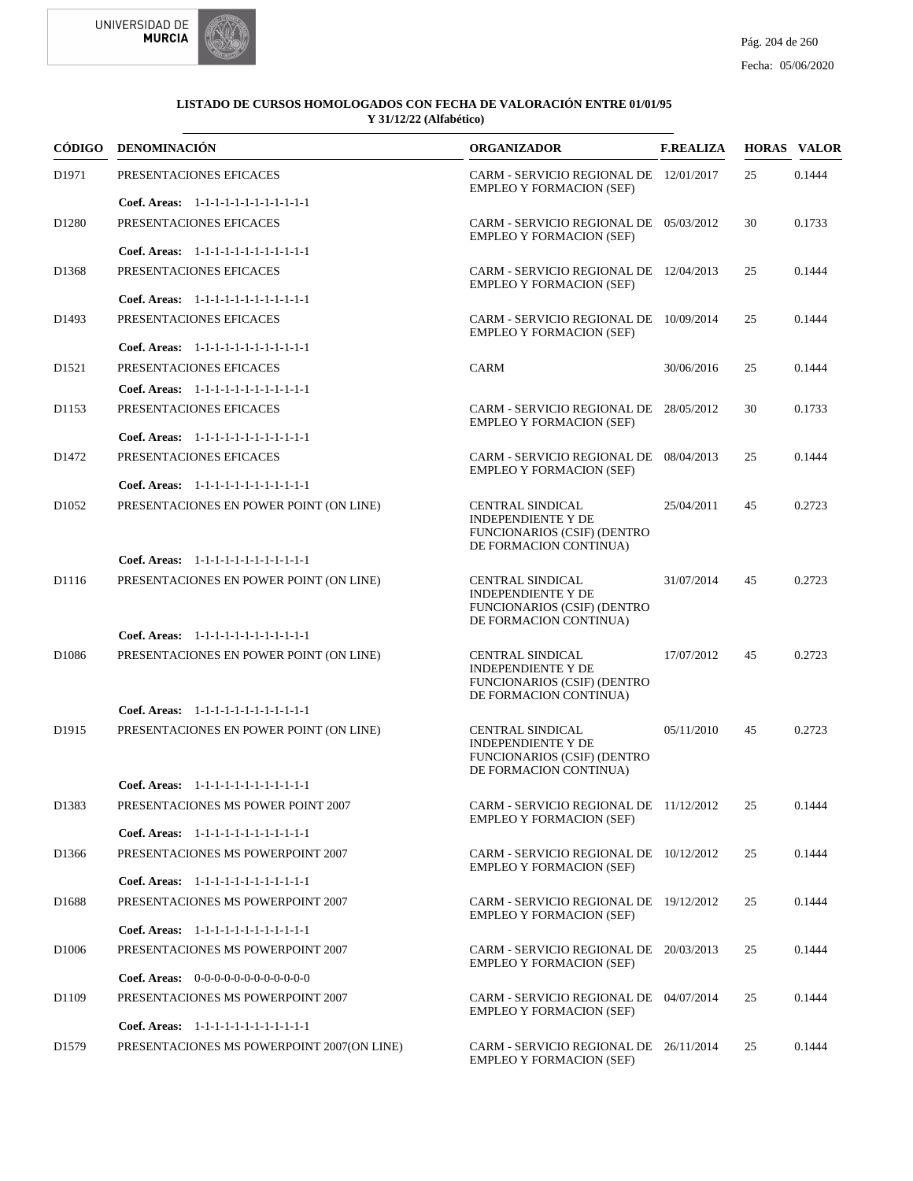



|                   | CÓDIGO DENOMINACIÓN                                                                | <b>ORGANIZADOR</b>                                                                                                   | <b>F.REALIZA</b> |    | <b>HORAS VALOR</b> |
|-------------------|------------------------------------------------------------------------------------|----------------------------------------------------------------------------------------------------------------------|------------------|----|--------------------|
| D1971             | PRESENTACIONES EFICACES                                                            | CARM - SERVICIO REGIONAL DE 12/01/2017<br><b>EMPLEO Y FORMACION (SEF)</b>                                            |                  | 25 | 0.1444             |
|                   | Coef. Areas: 1-1-1-1-1-1-1-1-1-1-1-1-1                                             |                                                                                                                      |                  |    |                    |
| D <sub>1280</sub> | PRESENTACIONES EFICACES                                                            | CARM - SERVICIO REGIONAL DE 05/03/2012<br><b>EMPLEO Y FORMACION (SEF)</b>                                            |                  | 30 | 0.1733             |
|                   | Coef. Areas: 1-1-1-1-1-1-1-1-1-1-1-1-1                                             |                                                                                                                      |                  |    |                    |
| D <sub>1368</sub> | PRESENTACIONES EFICACES                                                            | CARM - SERVICIO REGIONAL DE 12/04/2013<br><b>EMPLEO Y FORMACION (SEF)</b>                                            |                  | 25 | 0.1444             |
|                   | Coef. Areas: 1-1-1-1-1-1-1-1-1-1-1-1-1                                             |                                                                                                                      |                  |    |                    |
| D1493             | PRESENTACIONES EFICACES<br>Coef. Areas: 1-1-1-1-1-1-1-1-1-1-1-1-1                  | CARM - SERVICIO REGIONAL DE 10/09/2014<br><b>EMPLEO Y FORMACION (SEF)</b>                                            |                  | 25 | 0.1444             |
|                   |                                                                                    |                                                                                                                      |                  |    |                    |
| D <sub>1521</sub> | PRESENTACIONES EFICACES                                                            | <b>CARM</b>                                                                                                          | 30/06/2016       | 25 | 0.1444             |
|                   | Coef. Areas: 1-1-1-1-1-1-1-1-1-1-1-1-1                                             |                                                                                                                      |                  |    |                    |
| D1153             | PRESENTACIONES EFICACES                                                            | CARM - SERVICIO REGIONAL DE 28/05/2012<br><b>EMPLEO Y FORMACION (SEF)</b>                                            |                  | 30 | 0.1733             |
|                   | Coef. Areas: 1-1-1-1-1-1-1-1-1-1-1-1-1                                             |                                                                                                                      |                  |    |                    |
| D <sub>1472</sub> | PRESENTACIONES EFICACES                                                            | CARM - SERVICIO REGIONAL DE 08/04/2013<br><b>EMPLEO Y FORMACION (SEF)</b>                                            |                  | 25 | 0.1444             |
|                   | Coef. Areas: 1-1-1-1-1-1-1-1-1-1-1-1-1                                             |                                                                                                                      |                  |    |                    |
| D <sub>1052</sub> | PRESENTACIONES EN POWER POINT (ON LINE)                                            | CENTRAL SINDICAL<br><b>INDEPENDIENTE Y DE</b><br><b>FUNCIONARIOS (CSIF) (DENTRO</b><br>DE FORMACION CONTINUA)        | 25/04/2011       | 45 | 0.2723             |
|                   | Coef. Areas: 1-1-1-1-1-1-1-1-1-1-1-1-1                                             |                                                                                                                      |                  |    |                    |
| D1116             | PRESENTACIONES EN POWER POINT (ON LINE)                                            | <b>CENTRAL SINDICAL</b><br><b>INDEPENDIENTE Y DE</b><br><b>FUNCIONARIOS (CSIF) (DENTRO</b><br>DE FORMACION CONTINUA) | 31/07/2014       | 45 | 0.2723             |
|                   | Coef. Areas: 1-1-1-1-1-1-1-1-1-1-1-1-1                                             |                                                                                                                      |                  |    |                    |
| D <sub>1086</sub> | PRESENTACIONES EN POWER POINT (ON LINE)                                            | CENTRAL SINDICAL<br><b>INDEPENDIENTE Y DE</b><br><b>FUNCIONARIOS (CSIF) (DENTRO</b><br>DE FORMACION CONTINUA)        | 17/07/2012       | 45 | 0.2723             |
|                   | Coef. Areas: 1-1-1-1-1-1-1-1-1-1-1-1-1                                             |                                                                                                                      |                  |    |                    |
| D <sub>1915</sub> | PRESENTACIONES EN POWER POINT (ON LINE)                                            | <b>CENTRAL SINDICAL</b><br><b>INDEPENDIENTE Y DE</b><br>FUNCIONARIOS (CSIF) (DENTRO<br>DE FORMACION CONTINUA)        | 05/11/2010       | 45 | 0.2723             |
|                   | Coef. Areas: 1-1-1-1-1-1-1-1-1-1-1-1-1                                             |                                                                                                                      |                  |    |                    |
| D1383             | PRESENTACIONES MS POWER POINT 2007                                                 | CARM - SERVICIO REGIONAL DE 11/12/2012 25<br><b>EMPLEO Y FORMACION (SEF)</b>                                         |                  |    | 0.1444             |
|                   | Coef. Areas: 1-1-1-1-1-1-1-1-1-1-1-1-1                                             |                                                                                                                      |                  |    |                    |
| D1366             | PRESENTACIONES MS POWERPOINT 2007                                                  | CARM - SERVICIO REGIONAL DE 10/12/2012<br><b>EMPLEO Y FORMACION (SEF)</b>                                            |                  | 25 | 0.1444             |
|                   | Coef. Areas: 1-1-1-1-1-1-1-1-1-1-1-1-1                                             |                                                                                                                      |                  |    |                    |
| D <sub>1688</sub> | PRESENTACIONES MS POWERPOINT 2007                                                  | CARM - SERVICIO REGIONAL DE 19/12/2012<br><b>EMPLEO Y FORMACION (SEF)</b>                                            |                  | 25 | 0.1444             |
|                   | Coef. Areas: 1-1-1-1-1-1-1-1-1-1-1-1-1                                             |                                                                                                                      |                  |    |                    |
| D <sub>1006</sub> | PRESENTACIONES MS POWERPOINT 2007<br><b>Coef. Areas:</b> $0-0-0-0-0-0-0-0-0-0-0-0$ | CARM - SERVICIO REGIONAL DE 20/03/2013<br><b>EMPLEO Y FORMACION (SEF)</b>                                            |                  | 25 | 0.1444             |
|                   |                                                                                    |                                                                                                                      |                  |    |                    |
| D <sub>1109</sub> | PRESENTACIONES MS POWERPOINT 2007<br>Coef. Areas: 1-1-1-1-1-1-1-1-1-1-1-1-1        | CARM - SERVICIO REGIONAL DE 04/07/2014<br><b>EMPLEO Y FORMACION (SEF)</b>                                            |                  | 25 | 0.1444             |
| D <sub>1579</sub> | PRESENTACIONES MS POWERPOINT 2007(ON LINE)                                         | CARM - SERVICIO REGIONAL DE 26/11/2014<br><b>EMPLEO Y FORMACION (SEF)</b>                                            |                  | 25 | 0.1444             |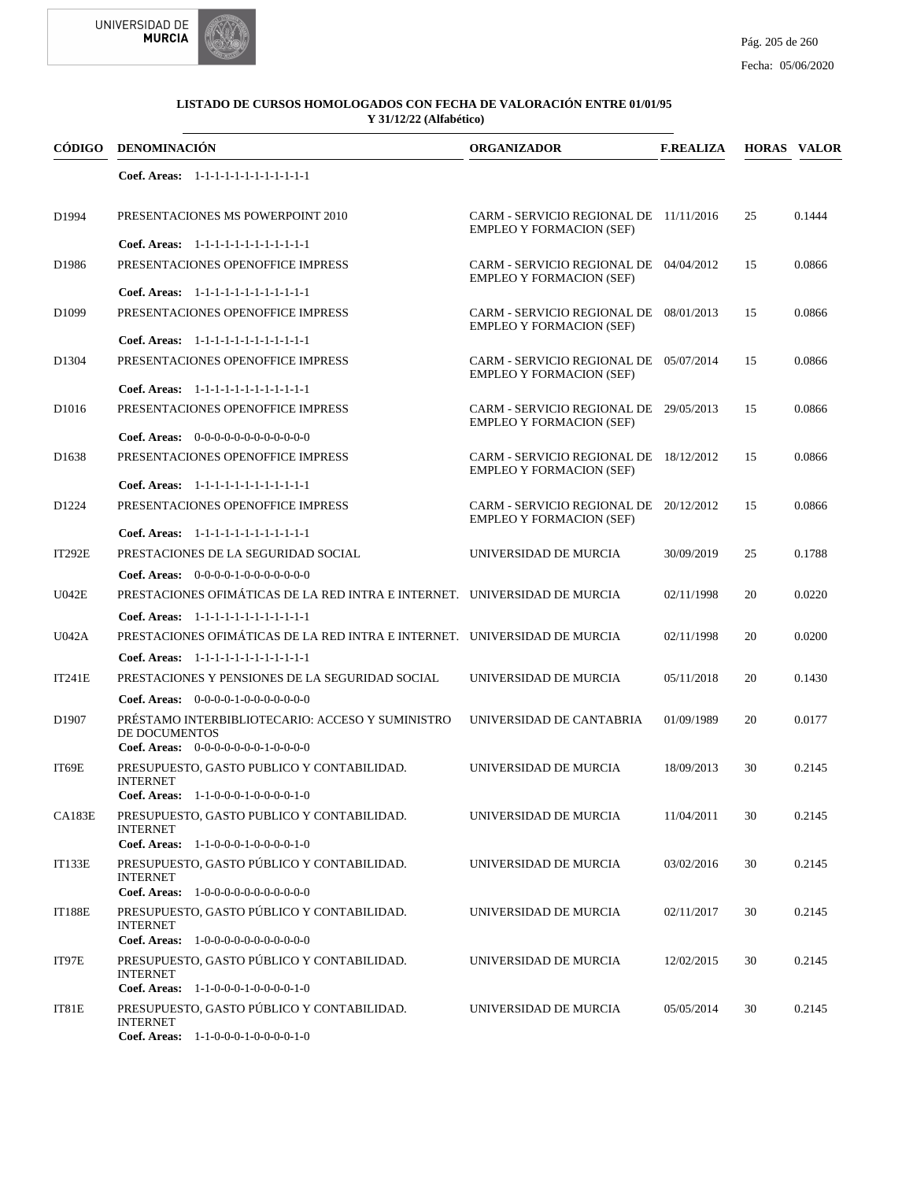



| CÓDIGO            | <b>DENOMINACIÓN</b>                                                                                       | <b>ORGANIZADOR</b>                                                        | <b>F.REALIZA</b> |    | <b>HORAS VALOR</b> |
|-------------------|-----------------------------------------------------------------------------------------------------------|---------------------------------------------------------------------------|------------------|----|--------------------|
|                   | Coef. Areas: 1-1-1-1-1-1-1-1-1-1-1-1-1                                                                    |                                                                           |                  |    |                    |
| D1994             | PRESENTACIONES MS POWERPOINT 2010                                                                         | CARM - SERVICIO REGIONAL DE 11/11/2016<br><b>EMPLEO Y FORMACION (SEF)</b> |                  | 25 | 0.1444             |
| D1986             | Coef. Areas: 1-1-1-1-1-1-1-1-1-1-1-1-1<br>PRESENTACIONES OPENOFFICE IMPRESS                               | CARM - SERVICIO REGIONAL DE 04/04/2012                                    |                  | 15 | 0.0866             |
|                   | Coef. Areas: 1-1-1-1-1-1-1-1-1-1-1-1-1                                                                    | <b>EMPLEO Y FORMACION (SEF)</b>                                           |                  |    |                    |
| D <sub>1099</sub> | PRESENTACIONES OPENOFFICE IMPRESS                                                                         | CARM - SERVICIO REGIONAL DE 08/01/2013<br><b>EMPLEO Y FORMACION (SEF)</b> |                  | 15 | 0.0866             |
|                   | Coef. Areas: 1-1-1-1-1-1-1-1-1-1-1-1-1                                                                    |                                                                           |                  |    |                    |
| D1304             | PRESENTACIONES OPENOFFICE IMPRESS                                                                         | CARM - SERVICIO REGIONAL DE 05/07/2014<br><b>EMPLEO Y FORMACION (SEF)</b> |                  | 15 | 0.0866             |
|                   | Coef. Areas: 1-1-1-1-1-1-1-1-1-1-1-1-1                                                                    |                                                                           |                  |    |                    |
| D <sub>1016</sub> | PRESENTACIONES OPENOFFICE IMPRESS                                                                         | CARM - SERVICIO REGIONAL DE 29/05/2013<br><b>EMPLEO Y FORMACION (SEF)</b> |                  | 15 | 0.0866             |
|                   | <b>Coef. Areas:</b> $0-0-0-0-0-0-0-0-0-0-0$                                                               |                                                                           |                  |    |                    |
| D <sub>1638</sub> | PRESENTACIONES OPENOFFICE IMPRESS                                                                         | CARM - SERVICIO REGIONAL DE 18/12/2012<br><b>EMPLEO Y FORMACION (SEF)</b> |                  | 15 | 0.0866             |
|                   | Coef. Areas: 1-1-1-1-1-1-1-1-1-1-1-1-1                                                                    |                                                                           |                  |    |                    |
| D <sub>1224</sub> | PRESENTACIONES OPENOFFICE IMPRESS                                                                         | CARM - SERVICIO REGIONAL DE 20/12/2012<br><b>EMPLEO Y FORMACION (SEF)</b> |                  | 15 | 0.0866             |
|                   | Coef. Areas: 1-1-1-1-1-1-1-1-1-1-1-1-1                                                                    |                                                                           |                  |    |                    |
| <b>IT292E</b>     | PRESTACIONES DE LA SEGURIDAD SOCIAL                                                                       | UNIVERSIDAD DE MURCIA                                                     | 30/09/2019       | 25 | 0.1788             |
|                   | Coef. Areas: $0-0-0-0-1-0-0-0-0-0-0$                                                                      |                                                                           |                  |    |                    |
| U042E             | PRESTACIONES OFIMÁTICAS DE LA RED INTRA E INTERNET. UNIVERSIDAD DE MURCIA                                 |                                                                           | 02/11/1998       | 20 | 0.0220             |
|                   | Coef. Areas: 1-1-1-1-1-1-1-1-1-1-1-1-1                                                                    |                                                                           |                  |    |                    |
| U042A             | PRESTACIONES OFIMÁTICAS DE LA RED INTRA E INTERNET. UNIVERSIDAD DE MURCIA                                 |                                                                           | 02/11/1998       | 20 | 0.0200             |
|                   | Coef. Areas: 1-1-1-1-1-1-1-1-1-1-1-1-1                                                                    |                                                                           |                  |    |                    |
| <b>IT241E</b>     | PRESTACIONES Y PENSIONES DE LA SEGURIDAD SOCIAL                                                           | UNIVERSIDAD DE MURCIA                                                     | 05/11/2018       | 20 | 0.1430             |
|                   | <b>Coef. Areas:</b> $0-0-0-0-1-0-0-0-0-0-0-0$                                                             |                                                                           |                  |    |                    |
| D <sub>1907</sub> | PRÉSTAMO INTERBIBLIOTECARIO: ACCESO Y SUMINISTRO<br>DE DOCUMENTOS<br>Coef. Areas: $0-0-0-0-0-0-1-0-0-0-0$ | UNIVERSIDAD DE CANTABRIA                                                  | 01/09/1989       | 20 | 0.0177             |
| IT69E             | PRESUPUESTO, GASTO PUBLICO Y CONTABILIDAD.                                                                | UNIVERSIDAD DE MURCIA                                                     | 18/09/2013       | 30 | 0.2145             |
|                   | <b>INTERNET</b><br><b>Coef. Areas:</b> $1-1-0-0-0-1-0-0-0-0-1-0$                                          |                                                                           |                  |    |                    |
| <b>CA183E</b>     | PRESUPUESTO, GASTO PUBLICO Y CONTABILIDAD.                                                                | UNIVERSIDAD DE MURCIA                                                     | 11/04/2011       | 30 | 0.2145             |
|                   | <b>INTERNET</b>                                                                                           |                                                                           |                  |    |                    |
|                   | Coef. Areas: $1-1-0-0-0-1-0-0-0-1-0$                                                                      |                                                                           |                  |    |                    |
| <b>IT133E</b>     | PRESUPUESTO, GASTO PÚBLICO Y CONTABILIDAD.<br><b>INTERNET</b><br>Coef. Areas: 1-0-0-0-0-0-0-0-0-0-0-0-0   | UNIVERSIDAD DE MURCIA                                                     | 03/02/2016       | 30 | 0.2145             |
|                   |                                                                                                           |                                                                           |                  |    |                    |
| <b>IT188E</b>     | PRESUPUESTO, GASTO PÚBLICO Y CONTABILIDAD.<br><b>INTERNET</b><br>Coef. Areas: 1-0-0-0-0-0-0-0-0-0-0-0-0   | UNIVERSIDAD DE MURCIA                                                     | 02/11/2017       | 30 | 0.2145             |
|                   |                                                                                                           |                                                                           |                  |    |                    |
| IT97E             | PRESUPUESTO, GASTO PÚBLICO Y CONTABILIDAD.<br><b>INTERNET</b><br>Coef. Areas: $1-1-0-0-0-1-0-0-0-1-0$     | UNIVERSIDAD DE MURCIA                                                     | 12/02/2015       | 30 | 0.2145             |
| IT81E             | PRESUPUESTO, GASTO PÚBLICO Y CONTABILIDAD.                                                                | UNIVERSIDAD DE MURCIA                                                     | 05/05/2014       | 30 | 0.2145             |
|                   | <b>INTERNET</b><br>Coef. Areas: 1-1-0-0-0-1-0-0-0-0-1-0                                                   |                                                                           |                  |    |                    |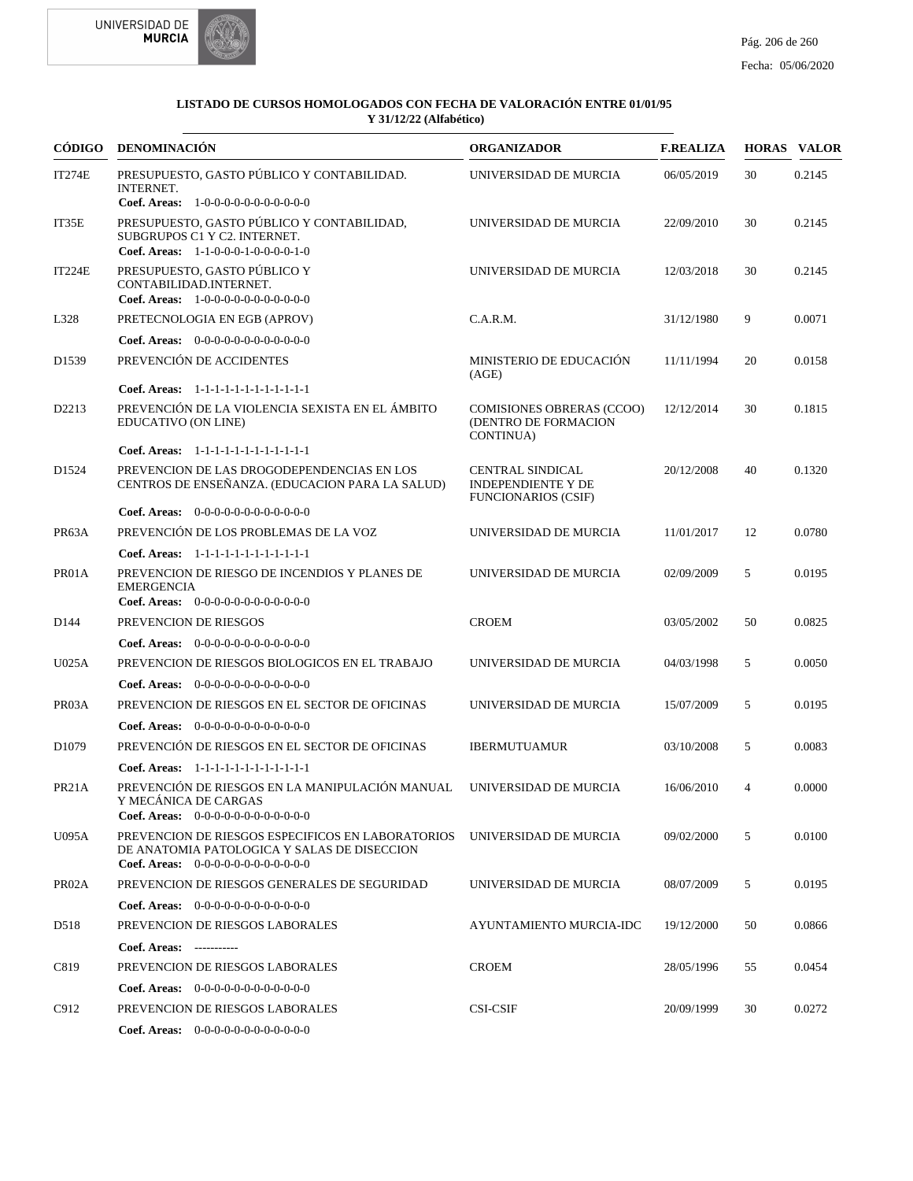



|                    | CÓDIGO DENOMINACIÓN                                                                                                                               | <b>ORGANIZADOR</b>                                                                 | <b>F.REALIZA</b> |                | <b>HORAS VALOR</b> |
|--------------------|---------------------------------------------------------------------------------------------------------------------------------------------------|------------------------------------------------------------------------------------|------------------|----------------|--------------------|
| <b>IT274E</b>      | PRESUPUESTO, GASTO PÚBLICO Y CONTABILIDAD.<br><b>INTERNET.</b><br>Coef. Areas: $1-0-0-0-0-0-0-0-0-0-0$                                            | UNIVERSIDAD DE MURCIA                                                              | 06/05/2019       | 30             | 0.2145             |
| IT35E              | PRESUPUESTO, GASTO PÚBLICO Y CONTABILIDAD,<br>SUBGRUPOS C1 Y C2. INTERNET.<br>Coef. Areas: $1-1-0-0-0-1-0-0-0-1-0$                                | UNIVERSIDAD DE MURCIA                                                              | 22/09/2010       | 30             | 0.2145             |
| <b>IT224E</b>      | PRESUPUESTO, GASTO PÚBLICO Y<br>CONTABILIDAD.INTERNET.<br>Coef. Areas: $1-0-0-0-0-0-0-0-0-0-0-0$                                                  | UNIVERSIDAD DE MURCIA                                                              | 12/03/2018       | 30             | 0.2145             |
| L328               | PRETECNOLOGIA EN EGB (APROV)                                                                                                                      | C.A.R.M.                                                                           | 31/12/1980       | 9              | 0.0071             |
|                    | Coef. Areas: $0-0-0-0-0-0-0-0-0-0-0$                                                                                                              |                                                                                    |                  |                |                    |
| D <sub>1539</sub>  | PREVENCIÓN DE ACCIDENTES                                                                                                                          | MINISTERIO DE EDUCACIÓN<br>(AGE)                                                   | 11/11/1994       | 20             | 0.0158             |
|                    | Coef. Areas: $1-1-1-1-1-1-1-1-1-1-1$                                                                                                              |                                                                                    |                  |                |                    |
| D2213              | PREVENCIÓN DE LA VIOLENCIA SEXISTA EN EL ÁMBITO<br>EDUCATIVO (ON LINE)                                                                            | <b>COMISIONES OBRERAS (CCOO)</b><br>(DENTRO DE FORMACION<br>CONTINUA)              | 12/12/2014       | 30             | 0.1815             |
|                    | Coef. Areas: 1-1-1-1-1-1-1-1-1-1-1-1-1                                                                                                            |                                                                                    |                  |                |                    |
| D <sub>1524</sub>  | PREVENCION DE LAS DROGODEPENDENCIAS EN LOS<br>CENTROS DE ENSEÑANZA. (EDUCACION PARA LA SALUD)                                                     | <b>CENTRAL SINDICAL</b><br><b>INDEPENDIENTE Y DE</b><br><b>FUNCIONARIOS (CSIF)</b> | 20/12/2008       | 40             | 0.1320             |
|                    | Coef. Areas: 0-0-0-0-0-0-0-0-0-0-0-0-0                                                                                                            |                                                                                    |                  |                |                    |
| PR63A              | PREVENCIÓN DE LOS PROBLEMAS DE LA VOZ                                                                                                             | UNIVERSIDAD DE MURCIA                                                              | 11/01/2017       | 12             | 0.0780             |
|                    | Coef. Areas: 1-1-1-1-1-1-1-1-1-1-1-1-1                                                                                                            |                                                                                    |                  |                |                    |
| PR01A              | PREVENCION DE RIESGO DE INCENDIOS Y PLANES DE<br><b>EMERGENCIA</b><br>Coef. Areas: $0-0-0-0-0-0-0-0-0-0-0$                                        | UNIVERSIDAD DE MURCIA                                                              | 02/09/2009       | 5              | 0.0195             |
| D <sub>144</sub>   | PREVENCION DE RIESGOS                                                                                                                             | <b>CROEM</b>                                                                       | 03/05/2002       | 50             | 0.0825             |
|                    | <b>Coef. Areas:</b> $0-0-0-0-0-0-0-0-0-0-0-0$                                                                                                     |                                                                                    |                  |                |                    |
| U025A              | PREVENCION DE RIESGOS BIOLOGICOS EN EL TRABAJO                                                                                                    | UNIVERSIDAD DE MURCIA                                                              | 04/03/1998       | 5              | 0.0050             |
|                    | Coef. Areas: 0-0-0-0-0-0-0-0-0-0-0-0-0                                                                                                            |                                                                                    |                  |                |                    |
| PR03A              | PREVENCION DE RIESGOS EN EL SECTOR DE OFICINAS                                                                                                    | UNIVERSIDAD DE MURCIA                                                              | 15/07/2009       | 5              | 0.0195             |
|                    | <b>Coef. Areas:</b> $0-0-0-0-0-0-0-0-0-0-0-0$                                                                                                     |                                                                                    |                  |                |                    |
| D <sub>1079</sub>  | PREVENCIÓN DE RIESGOS EN EL SECTOR DE OFICINAS                                                                                                    | <b>IBERMUTUAMUR</b>                                                                | 03/10/2008       | 5              | 0.0083             |
|                    | Coef. Areas: 1-1-1-1-1-1-1-1-1-1-1-1-1                                                                                                            |                                                                                    |                  |                |                    |
| PR <sub>21</sub> A | PREVENCIÓN DE RIESGOS EN LA MANIPULACIÓN MANUAL<br>Y MECÁNICA DE CARGAS<br><b>Coef. Areas:</b> $0-0-0-0-0-0-0-0-0-0-0$                            | UNIVERSIDAD DE MURCIA                                                              | 16/06/2010       | $\overline{4}$ | 0.0000             |
| <b>U095A</b>       | PREVENCION DE RIESGOS ESPECIFICOS EN LABORATORIOS<br>DE ANATOMIA PATOLOGICA Y SALAS DE DISECCION<br><b>Coef. Areas:</b> $0-0-0-0-0-0-0-0-0-0-0-0$ | UNIVERSIDAD DE MURCIA                                                              | 09/02/2000       | 5              | 0.0100             |
| PR02A              | PREVENCION DE RIESGOS GENERALES DE SEGURIDAD                                                                                                      | UNIVERSIDAD DE MURCIA                                                              | 08/07/2009       | 5              | 0.0195             |
|                    | <b>Coef. Areas:</b> $0-0-0-0-0-0-0-0-0-0-0$                                                                                                       |                                                                                    |                  |                |                    |
| D518               | PREVENCION DE RIESGOS LABORALES                                                                                                                   | AYUNTAMIENTO MURCIA-IDC                                                            | 19/12/2000       | 50             | 0.0866             |
|                    | Coef. Areas: -----------                                                                                                                          |                                                                                    |                  |                |                    |
| C819               | PREVENCION DE RIESGOS LABORALES                                                                                                                   | <b>CROEM</b>                                                                       | 28/05/1996       | 55             | 0.0454             |
|                    | <b>Coef. Areas:</b> $0-0-0-0-0-0-0-0-0-0-0-0$                                                                                                     |                                                                                    |                  |                |                    |
| C912               | PREVENCION DE RIESGOS LABORALES                                                                                                                   | <b>CSI-CSIF</b>                                                                    | 20/09/1999       | 30             | 0.0272             |
|                    | Coef. Areas: 0-0-0-0-0-0-0-0-0-0-0-0-0                                                                                                            |                                                                                    |                  |                |                    |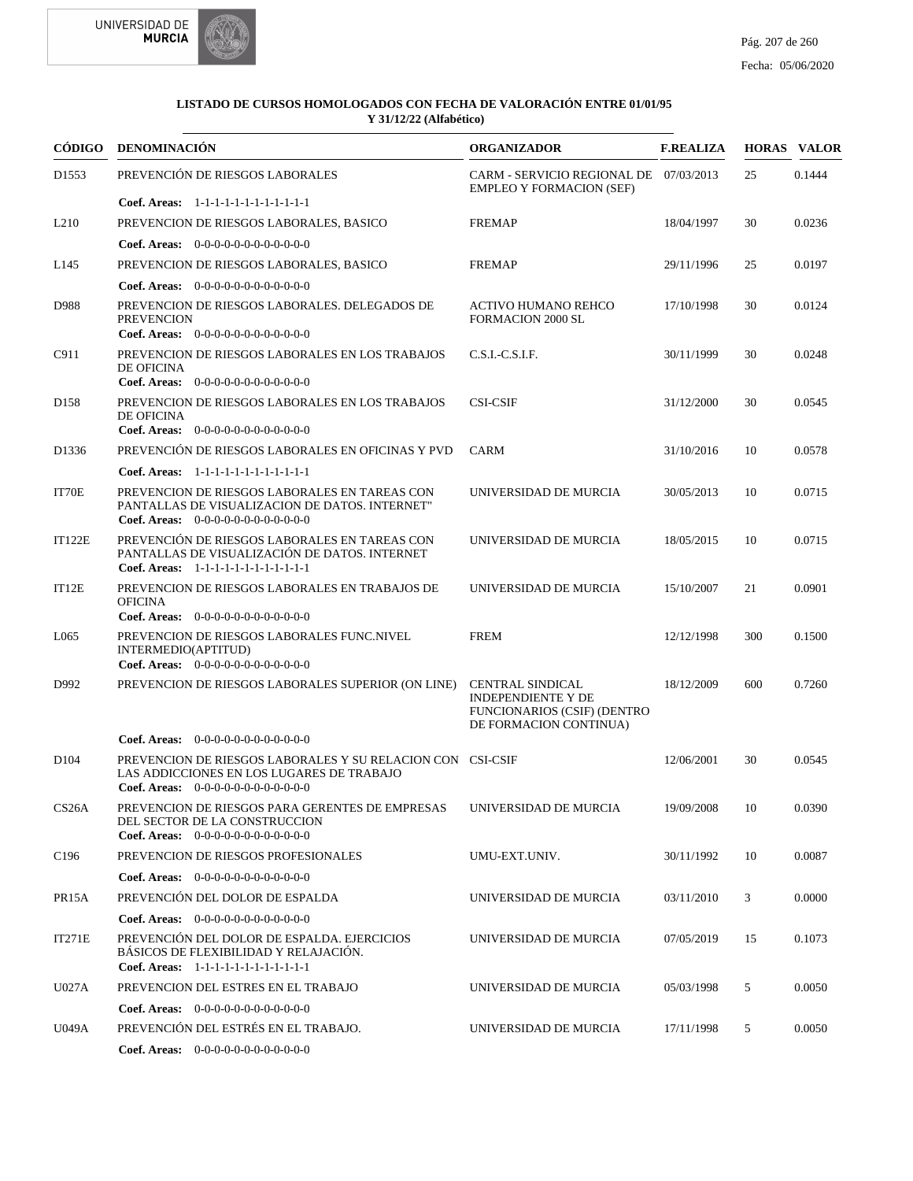



| CÓDIGO             | <b>DENOMINACIÓN</b>                                                                                                                             | <b>ORGANIZADOR</b>                                                                                                   | <b>F.REALIZA</b> |     | <b>HORAS VALOR</b> |
|--------------------|-------------------------------------------------------------------------------------------------------------------------------------------------|----------------------------------------------------------------------------------------------------------------------|------------------|-----|--------------------|
| D1553              | PREVENCIÓN DE RIESGOS LABORALES                                                                                                                 | CARM - SERVICIO REGIONAL DE 07/03/2013<br><b>EMPLEO Y FORMACION (SEF)</b>                                            |                  | 25  | 0.1444             |
|                    | Coef. Areas: 1-1-1-1-1-1-1-1-1-1-1-1-1                                                                                                          |                                                                                                                      |                  |     |                    |
| L <sub>210</sub>   | PREVENCION DE RIESGOS LABORALES, BASICO                                                                                                         | <b>FREMAP</b>                                                                                                        | 18/04/1997       | 30  | 0.0236             |
|                    | <b>Coef. Areas:</b> $0-0-0-0-0-0-0-0-0-0-0-0$                                                                                                   |                                                                                                                      |                  |     |                    |
| L145               | PREVENCION DE RIESGOS LABORALES, BASICO                                                                                                         | <b>FREMAP</b>                                                                                                        | 29/11/1996       | 25  | 0.0197             |
|                    | <b>Coef. Areas:</b> $0-0-0-0-0-0-0-0-0-0-0-0$                                                                                                   |                                                                                                                      |                  |     |                    |
| D988               | PREVENCION DE RIESGOS LABORALES. DELEGADOS DE<br><b>PREVENCION</b><br>Coef. Areas: 0-0-0-0-0-0-0-0-0-0-0-0-0                                    | <b>ACTIVO HUMANO REHCO</b><br><b>FORMACION 2000 SL</b>                                                               | 17/10/1998       | 30  | 0.0124             |
| C911               | PREVENCION DE RIESGOS LABORALES EN LOS TRABAJOS<br><b>DE OFICINA</b>                                                                            | $C.S.I.-C.S.I.F.$                                                                                                    | 30/11/1999       | 30  | 0.0248             |
|                    | Coef. Areas: 0-0-0-0-0-0-0-0-0-0-0-0-0                                                                                                          |                                                                                                                      |                  |     |                    |
| D <sub>158</sub>   | PREVENCION DE RIESGOS LABORALES EN LOS TRABAJOS<br><b>DE OFICINA</b>                                                                            | <b>CSI-CSIF</b>                                                                                                      | 31/12/2000       | 30  | 0.0545             |
|                    | Coef. Areas: 0-0-0-0-0-0-0-0-0-0-0-0-0                                                                                                          |                                                                                                                      |                  |     |                    |
| D1336              | PREVENCIÓN DE RIESGOS LABORALES EN OFICINAS Y PVD                                                                                               | <b>CARM</b>                                                                                                          | 31/10/2016       | 10  | 0.0578             |
|                    | Coef. Areas: 1-1-1-1-1-1-1-1-1-1-1-1-1                                                                                                          |                                                                                                                      |                  |     |                    |
| IT70E              | PREVENCION DE RIESGOS LABORALES EN TAREAS CON<br>PANTALLAS DE VISUALIZACION DE DATOS. INTERNET"<br>Coef. Areas: $0-0-0-0-0-0-0-0-0-0-0$         | UNIVERSIDAD DE MURCIA                                                                                                | 30/05/2013       | 10  | 0.0715             |
| <b>IT122E</b>      | PREVENCIÓN DE RIESGOS LABORALES EN TAREAS CON<br>PANTALLAS DE VISUALIZACIÓN DE DATOS. INTERNET<br>Coef. Areas: 1-1-1-1-1-1-1-1-1-1-1-1-1        | UNIVERSIDAD DE MURCIA                                                                                                | 18/05/2015       | 10  | 0.0715             |
| IT12E              | PREVENCION DE RIESGOS LABORALES EN TRABAJOS DE<br><b>OFICINA</b><br>Coef. Areas: 0-0-0-0-0-0-0-0-0-0-0-0-0                                      | UNIVERSIDAD DE MURCIA                                                                                                | 15/10/2007       | 21  | 0.0901             |
| L065               | PREVENCION DE RIESGOS LABORALES FUNC.NIVEL                                                                                                      | <b>FREM</b>                                                                                                          | 12/12/1998       | 300 | 0.1500             |
|                    | INTERMEDIO(APTITUD)<br>Coef. Areas: 0-0-0-0-0-0-0-0-0-0-0-0-0                                                                                   |                                                                                                                      |                  |     |                    |
| D992               | PREVENCION DE RIESGOS LABORALES SUPERIOR (ON LINE)                                                                                              | <b>CENTRAL SINDICAL</b><br><b>INDEPENDIENTE Y DE</b><br><b>FUNCIONARIOS (CSIF) (DENTRO</b><br>DE FORMACION CONTINUA) | 18/12/2009       | 600 | 0.7260             |
|                    | <b>Coef. Areas:</b> $0-0-0-0-0-0-0-0-0-0-0-0$                                                                                                   |                                                                                                                      |                  |     |                    |
| D <sub>104</sub>   | PREVENCION DE RIESGOS LABORALES Y SU RELACION CON CSI-CSIF<br>LAS ADDICCIONES EN LOS LUGARES DE TRABAJO<br>Coef. Areas: $0-0-0-0-0-0-0-0-0-0-0$ |                                                                                                                      | 12/06/2001       | 30  | 0.0545             |
| CS <sub>26</sub> A | PREVENCION DE RIESGOS PARA GERENTES DE EMPRESAS<br>DEL SECTOR DE LA CONSTRUCCION<br>Coef. Areas: 0-0-0-0-0-0-0-0-0-0-0-0-0                      | UNIVERSIDAD DE MURCIA                                                                                                | 19/09/2008       | 10  | 0.0390             |
| C196               | PREVENCION DE RIESGOS PROFESIONALES                                                                                                             | UMU-EXT.UNIV.                                                                                                        | 30/11/1992       | 10  | 0.0087             |
|                    | <b>Coef. Areas:</b> $0-0-0-0-0-0-0-0-0-0-0-0$                                                                                                   |                                                                                                                      |                  |     |                    |
| PR15A              | PREVENCIÓN DEL DOLOR DE ESPALDA                                                                                                                 | UNIVERSIDAD DE MURCIA                                                                                                | 03/11/2010       | 3   | 0.0000             |
|                    | Coef. Areas: $0-0-0-0-0-0-0-0-0-0-0$                                                                                                            |                                                                                                                      |                  |     |                    |
| IT271E             | PREVENCIÓN DEL DOLOR DE ESPALDA. EJERCICIOS<br>BÁSICOS DE FLEXIBILIDAD Y RELAJACIÓN.<br>Coef. Areas: 1-1-1-1-1-1-1-1-1-1-1-1-1                  | UNIVERSIDAD DE MURCIA                                                                                                | 07/05/2019       | 15  | 0.1073             |
| U027A              | PREVENCION DEL ESTRES EN EL TRABAJO                                                                                                             | UNIVERSIDAD DE MURCIA                                                                                                | 05/03/1998       | 5   | 0.0050             |
|                    | Coef. Areas: $0-0-0-0-0-0-0-0-0-0-0$                                                                                                            |                                                                                                                      |                  |     |                    |
| U049A              | PREVENCIÓN DEL ESTRÉS EN EL TRABAJO.                                                                                                            | UNIVERSIDAD DE MURCIA                                                                                                | 17/11/1998       | 5   | 0.0050             |
|                    | Coef. Areas: $0-0-0-0-0-0-0-0-0-0-0$                                                                                                            |                                                                                                                      |                  |     |                    |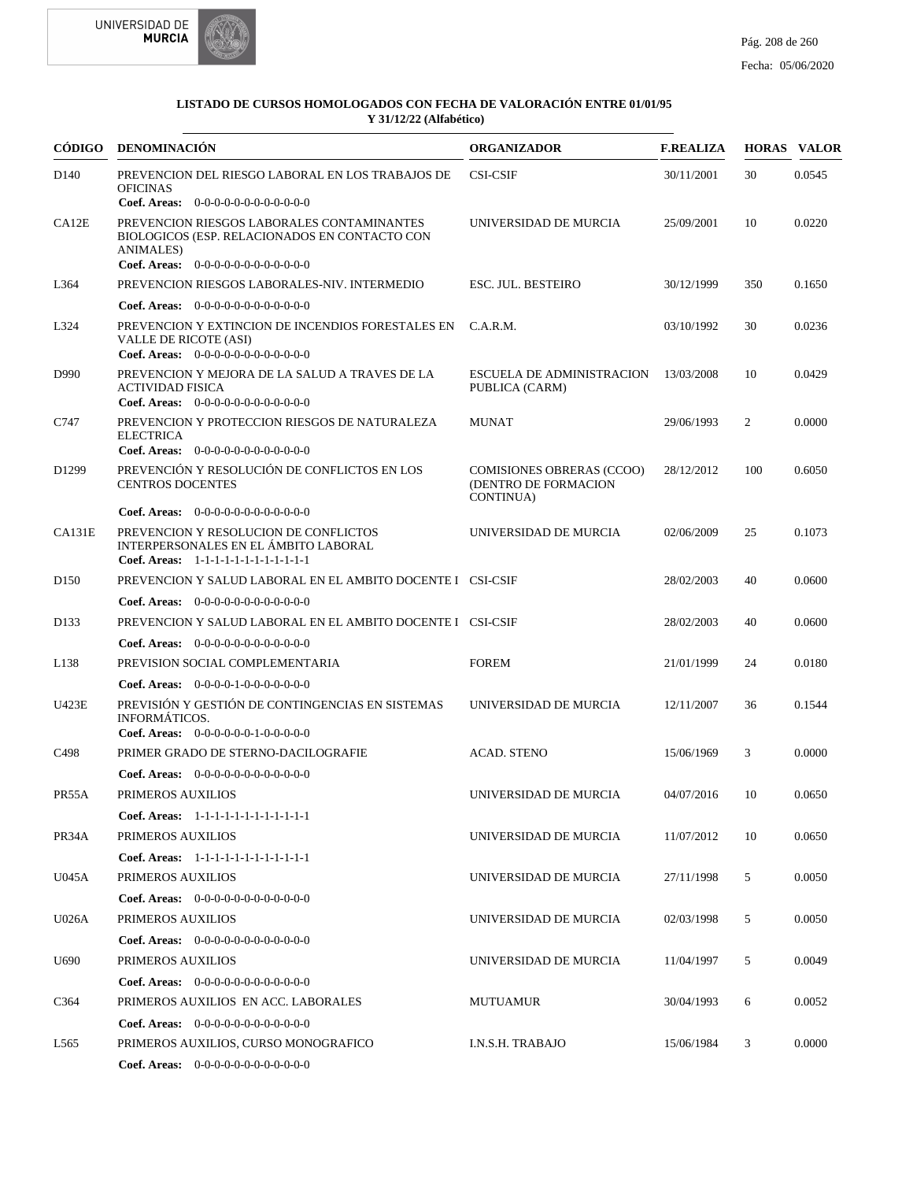



| <b>CÓDIGO</b>    | <b>DENOMINACIÓN</b>                                                                                                                                                                                         | <b>ORGANIZADOR</b>                                                           | <b>F.REALIZA</b> |     | <b>HORAS VALOR</b> |
|------------------|-------------------------------------------------------------------------------------------------------------------------------------------------------------------------------------------------------------|------------------------------------------------------------------------------|------------------|-----|--------------------|
| D <sub>140</sub> | PREVENCION DEL RIESGO LABORAL EN LOS TRABAJOS DE<br><b>OFICINAS</b>                                                                                                                                         | <b>CSI-CSIF</b>                                                              | 30/11/2001       | 30  | 0.0545             |
| CA12E            | Coef. Areas: 0-0-0-0-0-0-0-0-0-0-0-0-0<br>PREVENCION RIESGOS LABORALES CONTAMINANTES<br>BIOLOGICOS (ESP. RELACIONADOS EN CONTACTO CON<br><b>ANIMALES</b> )<br><b>Coef. Areas:</b> $0-0-0-0-0-0-0-0-0-0-0-0$ | UNIVERSIDAD DE MURCIA                                                        | 25/09/2001       | 10  | 0.0220             |
| L364             | PREVENCION RIESGOS LABORALES-NIV. INTERMEDIO                                                                                                                                                                | <b>ESC. JUL. BESTEIRO</b>                                                    | 30/12/1999       | 350 | 0.1650             |
|                  | <b>Coef. Areas:</b> $0-0-0-0-0-0-0-0-0-0-0-0$                                                                                                                                                               |                                                                              |                  |     |                    |
| L324             | PREVENCION Y EXTINCION DE INCENDIOS FORESTALES EN<br>VALLE DE RICOTE (ASI)<br><b>Coef. Areas:</b> $0-0-0-0-0-0-0-0-0-0-0-0$                                                                                 | C.A.R.M.                                                                     | 03/10/1992       | 30  | 0.0236             |
| D990             | PREVENCION Y MEJORA DE LA SALUD A TRAVES DE LA<br><b>ACTIVIDAD FISICA</b><br>Coef. Areas: $0-0-0-0-0-0-0-0-0-0-0$                                                                                           | <b>ESCUELA DE ADMINISTRACION</b><br>PUBLICA (CARM)                           | 13/03/2008       | 10  | 0.0429             |
| C747             | PREVENCION Y PROTECCION RIESGOS DE NATURALEZA<br><b>ELECTRICA</b><br>Coef. Areas: 0-0-0-0-0-0-0-0-0-0-0-0-0                                                                                                 | <b>MUNAT</b>                                                                 | 29/06/1993       | 2   | 0.0000             |
| D1299            | PREVENCIÓN Y RESOLUCIÓN DE CONFLICTOS EN LOS<br><b>CENTROS DOCENTES</b>                                                                                                                                     | <b>COMISIONES OBRERAS (CCOO)</b><br>(DENTRO DE FORMACION<br><b>CONTINUA)</b> | 28/12/2012       | 100 | 0.6050             |
|                  | <b>Coef. Areas:</b> $0-0-0-0-0-0-0-0-0-0-0-0$                                                                                                                                                               |                                                                              |                  |     |                    |
| CA131E           | PREVENCION Y RESOLUCION DE CONFLICTOS<br>INTERPERSONALES EN EL ÁMBITO LABORAL<br>Coef. Areas: 1-1-1-1-1-1-1-1-1-1-1-1-1                                                                                     | UNIVERSIDAD DE MURCIA                                                        | 02/06/2009       | 25  | 0.1073             |
| D <sub>150</sub> | PREVENCION Y SALUD LABORAL EN EL AMBITO DOCENTE I CSI-CSIF                                                                                                                                                  |                                                                              | 28/02/2003       | 40  | 0.0600             |
|                  | <b>Coef. Areas:</b> $0-0-0-0-0-0-0-0-0-0-0-0$                                                                                                                                                               |                                                                              |                  |     |                    |
| D <sub>133</sub> | PREVENCION Y SALUD LABORAL EN EL AMBITO DOCENTE I CSI-CSIF                                                                                                                                                  |                                                                              | 28/02/2003       | 40  | 0.0600             |
|                  | <b>Coef. Areas:</b> $0-0-0-0-0-0-0-0-0-0-0-0$                                                                                                                                                               |                                                                              |                  |     |                    |
| L138             | PREVISION SOCIAL COMPLEMENTARIA                                                                                                                                                                             | <b>FOREM</b>                                                                 | 21/01/1999       | 24  | 0.0180             |
|                  | <b>Coef. Areas:</b> $0-0-0-0-1-0-0-0-0-0-0-0$                                                                                                                                                               |                                                                              |                  |     |                    |
| U423E            | PREVISIÓN Y GESTIÓN DE CONTINGENCIAS EN SISTEMAS<br><b>INFORMÁTICOS.</b><br>Coef. Areas: $0-0-0-0-0-1-0-0-0-0-0$                                                                                            | UNIVERSIDAD DE MURCIA                                                        | 12/11/2007       | 36  | 0.1544             |
| C <sub>498</sub> | PRIMER GRADO DE STERNO-DACILOGRAFIE                                                                                                                                                                         | <b>ACAD. STENO</b>                                                           | 15/06/1969       | 3   | 0.0000             |
|                  | <b>Coef. Areas:</b> $0-0-0-0-0-0-0-0-0-0-0-0$                                                                                                                                                               |                                                                              |                  |     |                    |
| PR55A            | PRIMEROS AUXILIOS                                                                                                                                                                                           | UNIVERSIDAD DE MURCIA                                                        | 04/07/2016       | 10  | 0.0650             |
|                  | Coef. Areas: 1-1-1-1-1-1-1-1-1-1-1-1-1                                                                                                                                                                      |                                                                              |                  |     |                    |
| PR34A            | PRIMEROS AUXILIOS                                                                                                                                                                                           | UNIVERSIDAD DE MURCIA                                                        | 11/07/2012       | 10  | 0.0650             |
|                  | Coef. Areas: 1-1-1-1-1-1-1-1-1-1-1-1-1                                                                                                                                                                      |                                                                              |                  |     |                    |
| U045A            | PRIMEROS AUXILIOS                                                                                                                                                                                           | UNIVERSIDAD DE MURCIA                                                        | 27/11/1998       | 5   | 0.0050             |
|                  | Coef. Areas: 0-0-0-0-0-0-0-0-0-0-0-0-0                                                                                                                                                                      |                                                                              |                  |     |                    |
| U026A            | PRIMEROS AUXILIOS                                                                                                                                                                                           | UNIVERSIDAD DE MURCIA                                                        | 02/03/1998       | 5   | 0.0050             |
|                  | Coef. Areas: 0-0-0-0-0-0-0-0-0-0-0-0-0                                                                                                                                                                      |                                                                              |                  |     |                    |
| U <sub>690</sub> | PRIMEROS AUXILIOS                                                                                                                                                                                           | UNIVERSIDAD DE MURCIA                                                        | 11/04/1997       | 5   | 0.0049             |
|                  | Coef. Areas: $0-0-0-0-0-0-0-0-0-0-0$                                                                                                                                                                        |                                                                              |                  |     |                    |
| C <sub>364</sub> | PRIMEROS AUXILIOS EN ACC. LABORALES                                                                                                                                                                         | MUTUAMUR                                                                     | 30/04/1993       | 6   | 0.0052             |
|                  | Coef. Areas: 0-0-0-0-0-0-0-0-0-0-0-0-0                                                                                                                                                                      |                                                                              |                  |     |                    |
| L565             | PRIMEROS AUXILIOS, CURSO MONOGRAFICO                                                                                                                                                                        | I.N.S.H. TRABAJO                                                             | 15/06/1984       | 3   | 0.0000             |
|                  | <b>Coef. Areas:</b> $0-0-0-0-0-0-0-0-0-0-0$                                                                                                                                                                 |                                                                              |                  |     |                    |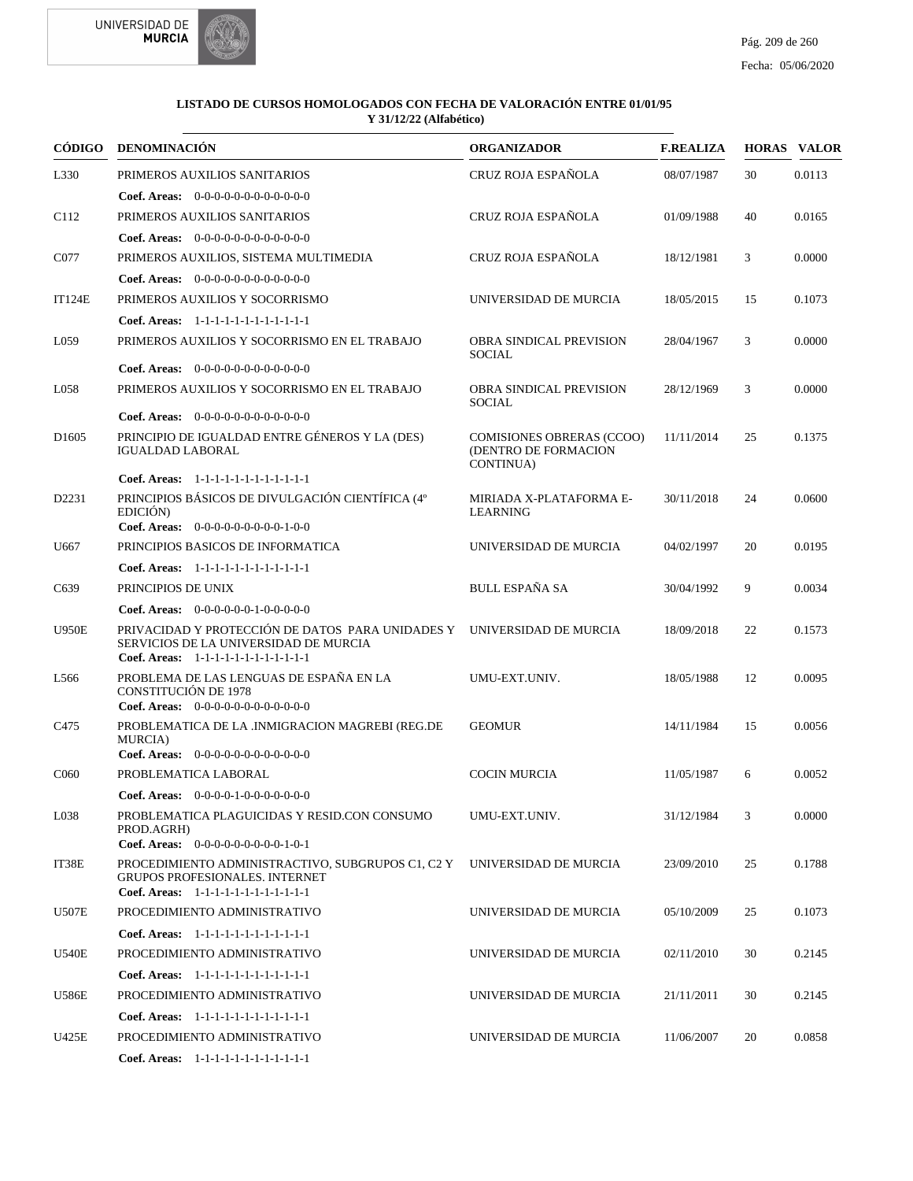



| CÓDIGO            | <b>DENOMINACIÓN</b>                                                                                                                                       | <b>ORGANIZADOR</b>                                                    | <b>F.REALIZA</b> |    | <b>HORAS VALOR</b> |
|-------------------|-----------------------------------------------------------------------------------------------------------------------------------------------------------|-----------------------------------------------------------------------|------------------|----|--------------------|
| L330              | PRIMEROS AUXILIOS SANITARIOS                                                                                                                              | CRUZ ROJA ESPAÑOLA                                                    | 08/07/1987       | 30 | 0.0113             |
|                   | <b>Coef. Areas:</b> $0-0-0-0-0-0-0-0-0-0-0-0$                                                                                                             |                                                                       |                  |    |                    |
| C <sub>112</sub>  | PRIMEROS AUXILIOS SANITARIOS                                                                                                                              | CRUZ ROJA ESPAÑOLA                                                    | 01/09/1988       | 40 | 0.0165             |
|                   | Coef. Areas: $0-0-0-0-0-0-0-0-0-0-0$                                                                                                                      |                                                                       |                  |    |                    |
| C077              | PRIMEROS AUXILIOS, SISTEMA MULTIMEDIA                                                                                                                     | CRUZ ROJA ESPAÑOLA                                                    | 18/12/1981       | 3  | 0.0000             |
|                   | Coef. Areas: $0-0-0-0-0-0-0-0-0-0-0$                                                                                                                      |                                                                       |                  |    |                    |
| <b>IT124E</b>     | PRIMEROS AUXILIOS Y SOCORRISMO                                                                                                                            | UNIVERSIDAD DE MURCIA                                                 | 18/05/2015       | 15 | 0.1073             |
|                   | Coef. Areas: 1-1-1-1-1-1-1-1-1-1-1-1-1                                                                                                                    |                                                                       |                  |    |                    |
| L059              | PRIMEROS AUXILIOS Y SOCORRISMO EN EL TRABAJO                                                                                                              | <b>OBRA SINDICAL PREVISION</b><br><b>SOCIAL</b>                       | 28/04/1967       | 3  | 0.0000             |
|                   | <b>Coef. Areas:</b> $0-0-0-0-0-0-0-0-0-0-0$                                                                                                               |                                                                       |                  |    |                    |
| L058              | PRIMEROS AUXILIOS Y SOCORRISMO EN EL TRABAJO                                                                                                              | <b>OBRA SINDICAL PREVISION</b><br>SOCIAL                              | 28/12/1969       | 3  | 0.0000             |
|                   | <b>Coef. Areas:</b> $0-0-0-0-0-0-0-0-0-0-0-0$                                                                                                             |                                                                       |                  |    |                    |
| D <sub>1605</sub> | PRINCIPIO DE IGUALDAD ENTRE GÉNEROS Y LA (DES)<br><b>IGUALDAD LABORAL</b>                                                                                 | <b>COMISIONES OBRERAS (CCOO)</b><br>(DENTRO DE FORMACION<br>CONTINUA) | 11/11/2014       | 25 | 0.1375             |
|                   | Coef. Areas: $1-1-1-1-1-1-1-1-1-1-1$                                                                                                                      |                                                                       |                  |    |                    |
| D2231             | PRINCIPIOS BÁSICOS DE DIVULGACIÓN CIENTÍFICA (4°<br>EDICIÓN)<br>Coef. Areas: $0-0-0-0-0-0-0-0-1-0-0$                                                      | MIRIADA X-PLATAFORMA E-<br><b>LEARNING</b>                            | 30/11/2018       | 24 | 0.0600             |
| U667              | PRINCIPIOS BASICOS DE INFORMATICA                                                                                                                         | UNIVERSIDAD DE MURCIA                                                 | 04/02/1997       | 20 | 0.0195             |
|                   | Coef. Areas: 1-1-1-1-1-1-1-1-1-1-1-1-1                                                                                                                    |                                                                       |                  |    |                    |
| C639              | PRINCIPIOS DE UNIX                                                                                                                                        | <b>BULL ESPAÑA SA</b>                                                 | 30/04/1992       | 9  | 0.0034             |
|                   | Coef. Areas: $0-0-0-0-0-1-0-0-0-0-0$                                                                                                                      |                                                                       |                  |    |                    |
| <b>U950E</b>      | PRIVACIDAD Y PROTECCIÓN DE DATOS PARA UNIDADES Y UNIVERSIDAD DE MURCIA<br>SERVICIOS DE LA UNIVERSIDAD DE MURCIA<br>Coef. Areas: 1-1-1-1-1-1-1-1-1-1-1-1-1 |                                                                       | 18/09/2018       | 22 | 0.1573             |
| L <sub>566</sub>  | PROBLEMA DE LAS LENGUAS DE ESPAÑA EN LA<br><b>CONSTITUCIÓN DE 1978</b><br>Coef. Areas: $0-0-0-0-0-0-0-0-0-0-0$                                            | UMU-EXT.UNIV.                                                         | 18/05/1988       | 12 | 0.0095             |
| C <sub>475</sub>  | PROBLEMATICA DE LA .INMIGRACION MAGREBI (REG.DE                                                                                                           | <b>GEOMUR</b>                                                         | 14/11/1984       | 15 | 0.0056             |
|                   | MURCIA)<br>Coef. Areas: $0-0-0-0-0-0-0-0-0-0-0$                                                                                                           |                                                                       |                  |    |                    |
| C <sub>06</sub> 0 | PROBLEMATICA LABORAL                                                                                                                                      | <b>COCIN MURCIA</b>                                                   | 11/05/1987       | 6  | 0.0052             |
|                   | Coef. Areas: $0-0-0-0-1-0-0-0-0-0-0$                                                                                                                      |                                                                       |                  |    |                    |
| L038              | PROBLEMATICA PLAGUICIDAS Y RESID.CON CONSUMO<br>PROD.AGRH)<br>Coef. Areas: $0-0-0-0-0-0-0-0-1-0-1$                                                        | UMU-EXT.UNIV.                                                         | 31/12/1984       | 3  | 0.0000             |
| IT38E             | PROCEDIMIENTO ADMINISTRACTIVO, SUBGRUPOS C1, C2 Y<br><b>GRUPOS PROFESIONALES, INTERNET</b><br>Coef. Areas: 1-1-1-1-1-1-1-1-1-1-1-1-1                      | UNIVERSIDAD DE MURCIA                                                 | 23/09/2010       | 25 | 0.1788             |
| <b>U507E</b>      | PROCEDIMIENTO ADMINISTRATIVO                                                                                                                              | UNIVERSIDAD DE MURCIA                                                 | 05/10/2009       | 25 | 0.1073             |
|                   | Coef. Areas: 1-1-1-1-1-1-1-1-1-1-1-1-1                                                                                                                    |                                                                       |                  |    |                    |
| <b>U540E</b>      | PROCEDIMIENTO ADMINISTRATIVO                                                                                                                              | UNIVERSIDAD DE MURCIA                                                 | 02/11/2010       | 30 | 0.2145             |
|                   | Coef. Areas: 1-1-1-1-1-1-1-1-1-1-1-1-1                                                                                                                    |                                                                       |                  |    |                    |
| <b>U586E</b>      | PROCEDIMIENTO ADMINISTRATIVO                                                                                                                              | UNIVERSIDAD DE MURCIA                                                 | 21/11/2011       | 30 | 0.2145             |
|                   | Coef. Areas: 1-1-1-1-1-1-1-1-1-1-1-1-1                                                                                                                    |                                                                       |                  |    |                    |
| U425E             | PROCEDIMIENTO ADMINISTRATIVO                                                                                                                              | UNIVERSIDAD DE MURCIA                                                 | 11/06/2007       | 20 | 0.0858             |
|                   | Coef. Areas: 1-1-1-1-1-1-1-1-1-1-1-1-1                                                                                                                    |                                                                       |                  |    |                    |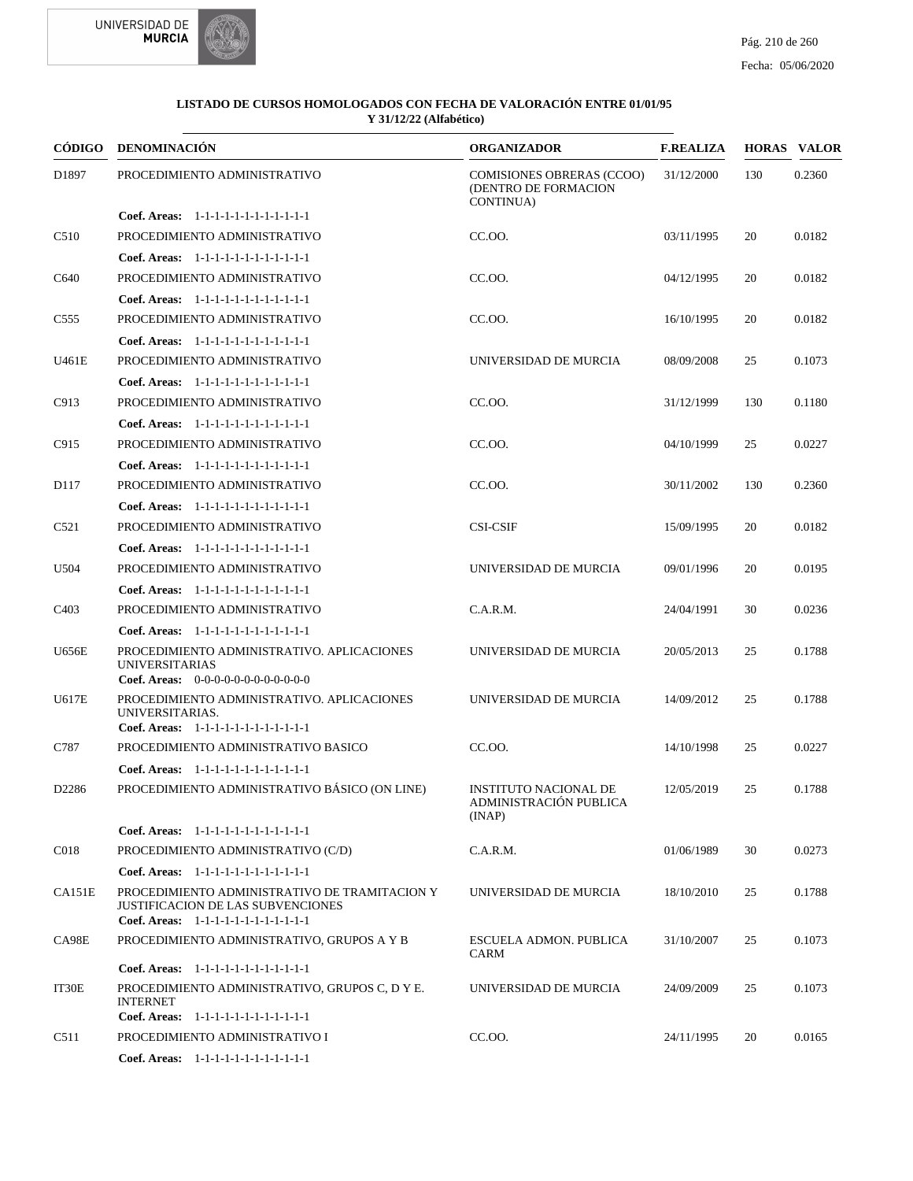



| CÓDIGO            | DENOMINACIÓN                                                                                                                 | <b>ORGANIZADOR</b>                                                            | <b>F.REALIZA</b> |     | <b>HORAS VALOR</b> |
|-------------------|------------------------------------------------------------------------------------------------------------------------------|-------------------------------------------------------------------------------|------------------|-----|--------------------|
| D1897             | PROCEDIMIENTO ADMINISTRATIVO                                                                                                 | <b>COMISIONES OBRERAS (CCOO)</b><br>(DENTRO DE FORMACION<br><b>CONTINUA</b> ) | 31/12/2000       | 130 | 0.2360             |
|                   | Coef. Areas: 1-1-1-1-1-1-1-1-1-1-1-1-1                                                                                       |                                                                               |                  |     |                    |
| C510              | PROCEDIMIENTO ADMINISTRATIVO                                                                                                 | CC.OO.                                                                        | 03/11/1995       | 20  | 0.0182             |
|                   | Coef. Areas: 1-1-1-1-1-1-1-1-1-1-1-1-1                                                                                       |                                                                               |                  |     |                    |
| C640              | PROCEDIMIENTO ADMINISTRATIVO                                                                                                 | CC.00.                                                                        | 04/12/1995       | 20  | 0.0182             |
|                   | Coef. Areas: 1-1-1-1-1-1-1-1-1-1-1-1-1                                                                                       |                                                                               |                  |     |                    |
| C <sub>555</sub>  | PROCEDIMIENTO ADMINISTRATIVO                                                                                                 | CC.OO.                                                                        | 16/10/1995       | 20  | 0.0182             |
|                   | Coef. Areas: $1-1-1-1-1-1-1-1-1-1-1$                                                                                         |                                                                               |                  |     |                    |
| U461E             | PROCEDIMIENTO ADMINISTRATIVO                                                                                                 | UNIVERSIDAD DE MURCIA                                                         | 08/09/2008       | 25  | 0.1073             |
|                   | Coef. Areas: 1-1-1-1-1-1-1-1-1-1-1-1-1                                                                                       |                                                                               |                  |     |                    |
| C913              | PROCEDIMIENTO ADMINISTRATIVO                                                                                                 | CC.OO.                                                                        | 31/12/1999       | 130 | 0.1180             |
|                   | Coef. Areas: 1-1-1-1-1-1-1-1-1-1-1-1-1                                                                                       |                                                                               |                  |     |                    |
| C915              | PROCEDIMIENTO ADMINISTRATIVO                                                                                                 | CC.OO.                                                                        | 04/10/1999       | 25  | 0.0227             |
|                   | Coef. Areas: 1-1-1-1-1-1-1-1-1-1-1-1-1                                                                                       |                                                                               |                  |     |                    |
| D <sub>117</sub>  | PROCEDIMIENTO ADMINISTRATIVO                                                                                                 | CC.00.                                                                        | 30/11/2002       | 130 | 0.2360             |
|                   | Coef. Areas: 1-1-1-1-1-1-1-1-1-1-1-1-1                                                                                       |                                                                               |                  |     |                    |
| C521              | PROCEDIMIENTO ADMINISTRATIVO                                                                                                 | <b>CSI-CSIF</b>                                                               | 15/09/1995       | 20  | 0.0182             |
|                   | Coef. Areas: 1-1-1-1-1-1-1-1-1-1-1-1-1                                                                                       |                                                                               |                  |     |                    |
| U504              | PROCEDIMIENTO ADMINISTRATIVO                                                                                                 | UNIVERSIDAD DE MURCIA                                                         | 09/01/1996       | 20  | 0.0195             |
|                   | Coef. Areas: 1-1-1-1-1-1-1-1-1-1-1-1-1                                                                                       |                                                                               |                  |     |                    |
| C <sub>4</sub> 03 | PROCEDIMIENTO ADMINISTRATIVO                                                                                                 | C.A.R.M.                                                                      | 24/04/1991       | 30  | 0.0236             |
|                   | Coef. Areas: 1-1-1-1-1-1-1-1-1-1-1-1-1                                                                                       |                                                                               |                  |     |                    |
| <b>U656E</b>      | PROCEDIMIENTO ADMINISTRATIVO. APLICACIONES<br><b>UNIVERSITARIAS</b><br>Coef. Areas: $0-0-0-0-0-0-0-0-0-0-0$                  | UNIVERSIDAD DE MURCIA                                                         | 20/05/2013       | 25  | 0.1788             |
| U617E             | PROCEDIMIENTO ADMINISTRATIVO. APLICACIONES<br>UNIVERSITARIAS.<br>Coef. Areas: 1-1-1-1-1-1-1-1-1-1-1-1-1                      | UNIVERSIDAD DE MURCIA                                                         | 14/09/2012       | 25  | 0.1788             |
| C787              | PROCEDIMIENTO ADMINISTRATIVO BASICO                                                                                          | CC.OO.                                                                        | 14/10/1998       | 25  | 0.0227             |
|                   | Coef. Areas: 1-1-1-1-1-1-1-1-1-1-1-1-1                                                                                       |                                                                               |                  |     |                    |
| D2286             | PROCEDIMIENTO ADMINISTRATIVO BÁSICO (ON LINE)                                                                                | <b>INSTITUTO NACIONAL DE</b><br>ADMINISTRACIÓN PUBLICA<br>(INAP)              | 12/05/2019       | 25  | 0.1788             |
|                   | Coef. Areas: 1-1-1-1-1-1-1-1-1-1-1-1-1                                                                                       |                                                                               |                  |     |                    |
| C018              | PROCEDIMIENTO ADMINISTRATIVO (C/D)                                                                                           | C.A.R.M.                                                                      | 01/06/1989       | 30  | 0.0273             |
|                   | Coef. Areas: 1-1-1-1-1-1-1-1-1-1-1-1-1                                                                                       |                                                                               |                  |     |                    |
| CA151E            | PROCEDIMIENTO ADMINISTRATIVO DE TRAMITACION Y<br>JUSTIFICACION DE LAS SUBVENCIONES<br>Coef. Areas: 1-1-1-1-1-1-1-1-1-1-1-1-1 | UNIVERSIDAD DE MURCIA                                                         | 18/10/2010       | 25  | 0.1788             |
| CA98E             | PROCEDIMIENTO ADMINISTRATIVO, GRUPOS A Y B                                                                                   | <b>ESCUELA ADMON. PUBLICA</b><br><b>CARM</b>                                  | 31/10/2007       | 25  | 0.1073             |
|                   | Coef. Areas: 1-1-1-1-1-1-1-1-1-1-1-1-1                                                                                       |                                                                               |                  |     |                    |
| IT30E             | PROCEDIMIENTO ADMINISTRATIVO, GRUPOS C, D Y E.<br><b>INTERNET</b><br>Coef. Areas: 1-1-1-1-1-1-1-1-1-1-1-1-1                  | UNIVERSIDAD DE MURCIA                                                         | 24/09/2009       | 25  | 0.1073             |
| C511              | PROCEDIMIENTO ADMINISTRATIVO I                                                                                               | CC.OO.                                                                        | 24/11/1995       | 20  | 0.0165             |
|                   | Coef. Areas: 1-1-1-1-1-1-1-1-1-1-1-1-1                                                                                       |                                                                               |                  |     |                    |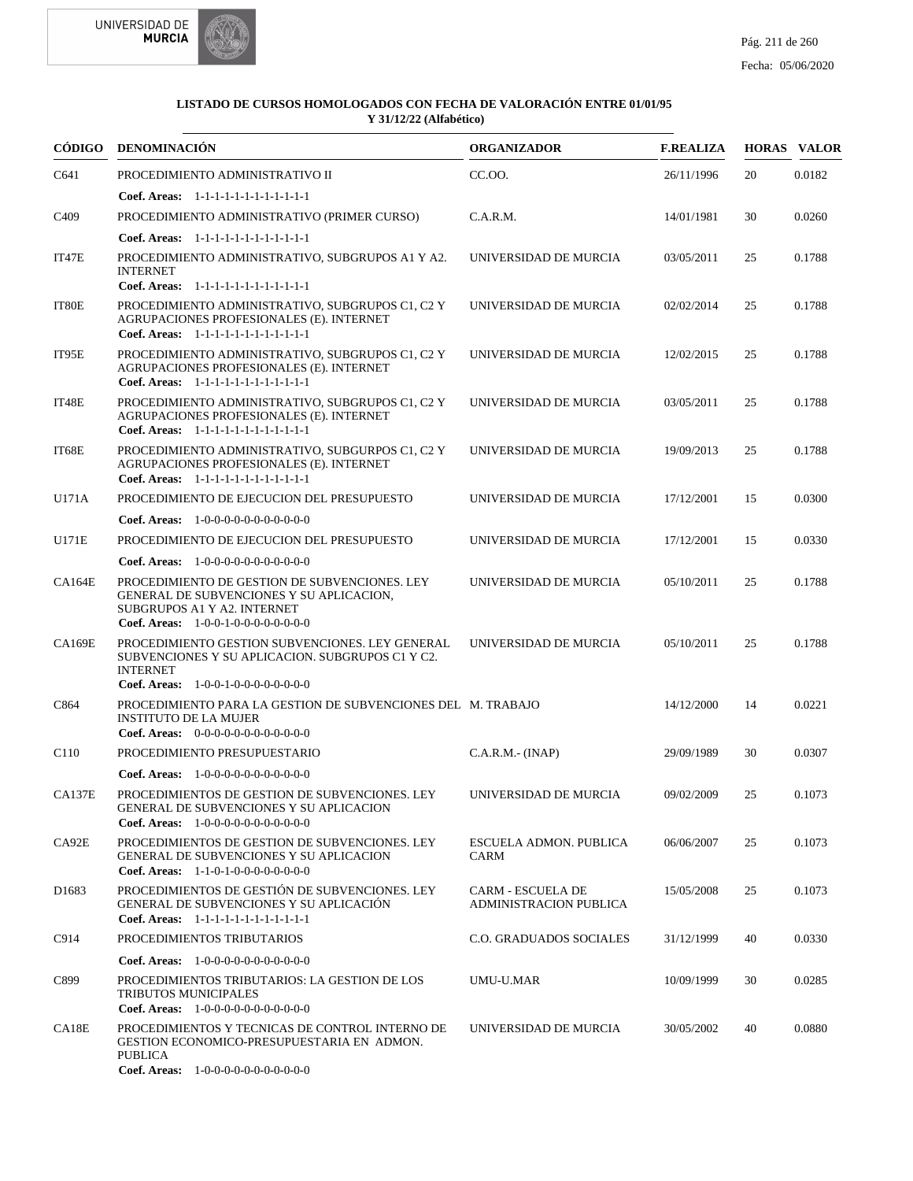



| CÓDIGO            | <b>DENOMINACIÓN</b>                                                                                                                                                            | <b>ORGANIZADOR</b>                                        | <b>F.REALIZA</b> |    | <b>HORAS VALOR</b> |
|-------------------|--------------------------------------------------------------------------------------------------------------------------------------------------------------------------------|-----------------------------------------------------------|------------------|----|--------------------|
| C641              | PROCEDIMIENTO ADMINISTRATIVO II                                                                                                                                                | CC.OO.                                                    | 26/11/1996       | 20 | 0.0182             |
|                   | Coef. Areas: $1-1-1-1-1-1-1-1-1-1-1$                                                                                                                                           |                                                           |                  |    |                    |
| C <sub>409</sub>  | PROCEDIMIENTO ADMINISTRATIVO (PRIMER CURSO)                                                                                                                                    | C.A.R.M.                                                  | 14/01/1981       | 30 | 0.0260             |
|                   | Coef. Areas: 1-1-1-1-1-1-1-1-1-1-1-1-1                                                                                                                                         |                                                           |                  |    |                    |
| IT47E             | PROCEDIMIENTO ADMINISTRATIVO, SUBGRUPOS A1 Y A2.<br><b>INTERNET</b><br>Coef. Areas: 1-1-1-1-1-1-1-1-1-1-1-1-1                                                                  | UNIVERSIDAD DE MURCIA                                     | 03/05/2011       | 25 | 0.1788             |
| IT80E             | PROCEDIMIENTO ADMINISTRATIVO, SUBGRUPOS C1, C2 Y<br>AGRUPACIONES PROFESIONALES (E). INTERNET<br>Coef. Areas: 1-1-1-1-1-1-1-1-1-1-1-1-1                                         | UNIVERSIDAD DE MURCIA                                     | 02/02/2014       | 25 | 0.1788             |
| IT95E             | PROCEDIMIENTO ADMINISTRATIVO, SUBGRUPOS C1, C2 Y<br>AGRUPACIONES PROFESIONALES (E). INTERNET<br>Coef. Areas: 1-1-1-1-1-1-1-1-1-1-1-1-1                                         | UNIVERSIDAD DE MURCIA                                     | 12/02/2015       | 25 | 0.1788             |
| IT48E             | PROCEDIMIENTO ADMINISTRATIVO, SUBGRUPOS C1, C2 Y<br>AGRUPACIONES PROFESIONALES (E). INTERNET<br>Coef. Areas: 1-1-1-1-1-1-1-1-1-1-1-1-1                                         | UNIVERSIDAD DE MURCIA                                     | 03/05/2011       | 25 | 0.1788             |
| IT68E             | PROCEDIMIENTO ADMINISTRATIVO, SUBGURPOS C1, C2 Y<br>AGRUPACIONES PROFESIONALES (E). INTERNET<br>Coef. Areas: 1-1-1-1-1-1-1-1-1-1-1-1-1                                         | UNIVERSIDAD DE MURCIA                                     | 19/09/2013       | 25 | 0.1788             |
| U171A             | PROCEDIMIENTO DE EJECUCION DEL PRESUPUESTO                                                                                                                                     | UNIVERSIDAD DE MURCIA                                     | 17/12/2001       | 15 | 0.0300             |
|                   | <b>Coef. Areas:</b> $1-0-0-0-0-0-0-0-0-0-0$                                                                                                                                    |                                                           |                  |    |                    |
| U171E             | PROCEDIMIENTO DE EJECUCION DEL PRESUPUESTO                                                                                                                                     | UNIVERSIDAD DE MURCIA                                     | 17/12/2001       | 15 | 0.0330             |
|                   | <b>Coef. Areas:</b> $1-0-0-0-0-0-0-0-0-0-0$                                                                                                                                    |                                                           |                  |    |                    |
| <b>CA164E</b>     | PROCEDIMIENTO DE GESTION DE SUBVENCIONES. LEY<br>GENERAL DE SUBVENCIONES Y SU APLICACION,<br>SUBGRUPOS A1 Y A2. INTERNET<br>Coef. Areas: $1-0-0-1-0-0-0-0-0-0-0$               | UNIVERSIDAD DE MURCIA                                     | 05/10/2011       | 25 | 0.1788             |
| <b>CA169E</b>     | PROCEDIMIENTO GESTION SUBVENCIONES. LEY GENERAL<br>SUBVENCIONES Y SU APLICACION. SUBGRUPOS C1 Y C2.<br><b>INTERNET</b>                                                         | UNIVERSIDAD DE MURCIA                                     | 05/10/2011       | 25 | 0.1788             |
| C864              | Coef. Areas: $1-0-0-1-0-0-0-0-0-0-0$<br>PROCEDIMIENTO PARA LA GESTION DE SUBVENCIONES DEL M. TRABAJO<br><b>INSTITUTO DE LA MUJER</b><br>Coef. Areas: 0-0-0-0-0-0-0-0-0-0-0-0-0 |                                                           | 14/12/2000       | 14 | 0.0221             |
| C <sub>110</sub>  | PROCEDIMIENTO PRESUPUESTARIO                                                                                                                                                   | $C.A.R.M.-(INAP)$                                         | 29/09/1989       | 30 | 0.0307             |
|                   | Coef. Areas: 1-0-0-0-0-0-0-0-0-0-0-0-0                                                                                                                                         |                                                           |                  |    |                    |
| <b>CA137E</b>     | PROCEDIMIENTOS DE GESTION DE SUBVENCIONES. LEY<br>GENERAL DE SUBVENCIONES Y SU APLICACION<br><b>Coef. Areas:</b> $1-0-0-0-0-0-0-0-0-0-0$                                       | UNIVERSIDAD DE MURCIA                                     | 09/02/2009       | 25 | 0.1073             |
| CA92E             | PROCEDIMIENTOS DE GESTION DE SUBVENCIONES. LEY<br><b>GENERAL DE SUBVENCIONES Y SU APLICACION</b><br>Coef. Areas: $1-1-0-1-0-0-0-0-0-0-0$                                       | ESCUELA ADMON. PUBLICA<br><b>CARM</b>                     | 06/06/2007       | 25 | 0.1073             |
| D <sub>1683</sub> | PROCEDIMIENTOS DE GESTIÓN DE SUBVENCIONES. LEY<br><b>GENERAL DE SUBVENCIONES Y SU APLICACIÓN</b><br>Coef. Areas: 1-1-1-1-1-1-1-1-1-1-1-1-1                                     | <b>CARM - ESCUELA DE</b><br><b>ADMINISTRACION PUBLICA</b> | 15/05/2008       | 25 | 0.1073             |
| C914              | PROCEDIMIENTOS TRIBUTARIOS                                                                                                                                                     | <b>C.O. GRADUADOS SOCIALES</b>                            | 31/12/1999       | 40 | 0.0330             |
|                   | <b>Coef. Areas:</b> $1-0-0-0-0-0-0-0-0-0-0$                                                                                                                                    |                                                           |                  |    |                    |
| C899              | PROCEDIMIENTOS TRIBUTARIOS: LA GESTION DE LOS<br>TRIBUTOS MUNICIPALES<br>Coef. Areas: $1-0-0-0-0-0-0-0-0-0-0$                                                                  | UMU-U.MAR                                                 | 10/09/1999       | 30 | 0.0285             |
| CA18E             | PROCEDIMIENTOS Y TECNICAS DE CONTROL INTERNO DE<br>GESTION ECONOMICO-PRESUPUESTARIA EN ADMON.<br><b>PUBLICA</b>                                                                | UNIVERSIDAD DE MURCIA                                     | 30/05/2002       | 40 | 0.0880             |

1-0-0-0-0-0-0-0-0-0-0-0 **Coef. Areas:**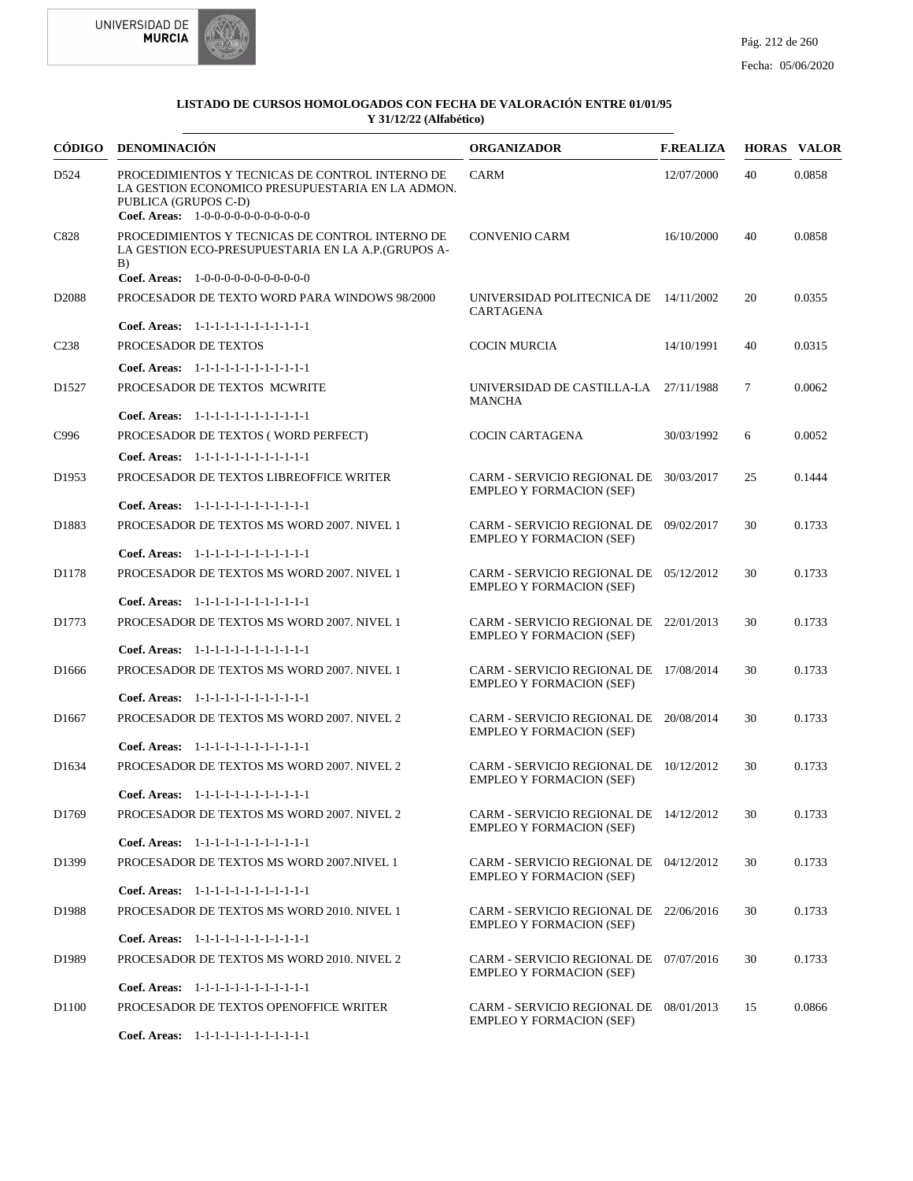



|                   | CÓDIGO DENOMINACIÓN                                                                                                                                                 | <b>ORGANIZADOR</b>                                                        | <b>F.REALIZA</b> |    | <b>HORAS VALOR</b> |
|-------------------|---------------------------------------------------------------------------------------------------------------------------------------------------------------------|---------------------------------------------------------------------------|------------------|----|--------------------|
| D524              | PROCEDIMIENTOS Y TECNICAS DE CONTROL INTERNO DE<br>LA GESTION ECONOMICO PRESUPUESTARIA EN LA ADMON.<br>PUBLICA (GRUPOS C-D)<br>Coef. Areas: $1-0-0-0-0-0-0-0-0-0-0$ | <b>CARM</b>                                                               | 12/07/2000       | 40 | 0.0858             |
| C828              | PROCEDIMIENTOS Y TECNICAS DE CONTROL INTERNO DE<br>LA GESTION ECO-PRESUPUESTARIA EN LA A.P. (GRUPOS A-<br>B)                                                        | <b>CONVENIO CARM</b>                                                      | 16/10/2000       | 40 | 0.0858             |
|                   | Coef. Areas: 1-0-0-0-0-0-0-0-0-0-0-0-0                                                                                                                              |                                                                           |                  |    |                    |
| D <sub>2088</sub> | PROCESADOR DE TEXTO WORD PARA WINDOWS 98/2000                                                                                                                       | UNIVERSIDAD POLITECNICA DE 14/11/2002<br>CARTAGENA                        |                  | 20 | 0.0355             |
|                   | Coef. Areas: 1-1-1-1-1-1-1-1-1-1-1-1-1                                                                                                                              |                                                                           |                  |    |                    |
| C <sub>238</sub>  | PROCESADOR DE TEXTOS                                                                                                                                                | <b>COCIN MURCIA</b>                                                       | 14/10/1991       | 40 | 0.0315             |
|                   | Coef. Areas: 1-1-1-1-1-1-1-1-1-1-1-1-1                                                                                                                              |                                                                           |                  |    |                    |
| D <sub>1527</sub> | PROCESADOR DE TEXTOS MCWRITE                                                                                                                                        | UNIVERSIDAD DE CASTILLA-LA 27/11/1988<br>MANCHA                           |                  | 7  | 0.0062             |
|                   | Coef. Areas: 1-1-1-1-1-1-1-1-1-1-1-1-1                                                                                                                              |                                                                           |                  |    |                    |
| C996              | PROCESADOR DE TEXTOS (WORD PERFECT)                                                                                                                                 | <b>COCIN CARTAGENA</b>                                                    | 30/03/1992       | 6  | 0.0052             |
|                   | Coef. Areas: $1-1-1-1-1-1-1-1-1-1-1$                                                                                                                                |                                                                           |                  |    |                    |
| D <sub>1953</sub> | PROCESADOR DE TEXTOS LIBREOFFICE WRITER                                                                                                                             | CARM - SERVICIO REGIONAL DE 30/03/2017<br><b>EMPLEO Y FORMACION (SEF)</b> |                  | 25 | 0.1444             |
|                   | Coef. Areas: 1-1-1-1-1-1-1-1-1-1-1-1-1                                                                                                                              |                                                                           |                  |    |                    |
| D1883             | PROCESADOR DE TEXTOS MS WORD 2007. NIVEL 1                                                                                                                          | CARM - SERVICIO REGIONAL DE 09/02/2017<br><b>EMPLEO Y FORMACION (SEF)</b> |                  | 30 | 0.1733             |
|                   | Coef. Areas: 1-1-1-1-1-1-1-1-1-1-1-1-1                                                                                                                              |                                                                           |                  |    |                    |
| D1178             | PROCESADOR DE TEXTOS MS WORD 2007. NIVEL 1                                                                                                                          | CARM - SERVICIO REGIONAL DE 05/12/2012<br><b>EMPLEO Y FORMACION (SEF)</b> |                  | 30 | 0.1733             |
|                   | Coef. Areas: 1-1-1-1-1-1-1-1-1-1-1-1-1                                                                                                                              |                                                                           |                  |    |                    |
| D1773             | PROCESADOR DE TEXTOS MS WORD 2007. NIVEL 1                                                                                                                          | CARM - SERVICIO REGIONAL DE 22/01/2013<br><b>EMPLEO Y FORMACION (SEF)</b> |                  | 30 | 0.1733             |
|                   | Coef. Areas: 1-1-1-1-1-1-1-1-1-1-1-1-1                                                                                                                              |                                                                           |                  |    |                    |
| D1666             | PROCESADOR DE TEXTOS MS WORD 2007. NIVEL 1                                                                                                                          | CARM - SERVICIO REGIONAL DE 17/08/2014<br><b>EMPLEO Y FORMACION (SEF)</b> |                  | 30 | 0.1733             |
|                   | Coef. Areas: $1-1-1-1-1-1-1-1-1-1-1$                                                                                                                                |                                                                           |                  |    |                    |
| D <sub>1667</sub> | PROCESADOR DE TEXTOS MS WORD 2007. NIVEL 2<br>Coef. Areas: 1-1-1-1-1-1-1-1-1-1-1-1-1                                                                                | CARM - SERVICIO REGIONAL DE 20/08/2014<br><b>EMPLEO Y FORMACION (SEF)</b> |                  | 30 | 0.1733             |
| D <sub>1634</sub> | PROCESADOR DE TEXTOS MS WORD 2007. NIVEL 2                                                                                                                          | CARM - SERVICIO REGIONAL DE 10/12/2012<br><b>EMPLEO Y FORMACION (SEF)</b> |                  | 30 | 0.1733             |
|                   | Coef. Areas: $1-1-1-1-1-1-1-1-1-1-1$                                                                                                                                |                                                                           |                  |    |                    |
| D1769             | PROCESADOR DE TEXTOS MS WORD 2007. NIVEL 2                                                                                                                          | CARM - SERVICIO REGIONAL DE 14/12/2012<br><b>EMPLEO Y FORMACION (SEF)</b> |                  | 30 | 0.1733             |
|                   | Coef. Areas: 1-1-1-1-1-1-1-1-1-1-1-1-1                                                                                                                              |                                                                           |                  |    |                    |
| D1399             | PROCESADOR DE TEXTOS MS WORD 2007. NIVEL 1                                                                                                                          | CARM - SERVICIO REGIONAL DE 04/12/2012<br><b>EMPLEO Y FORMACION (SEF)</b> |                  | 30 | 0.1733             |
|                   | Coef. Areas: 1-1-1-1-1-1-1-1-1-1-1-1-1                                                                                                                              |                                                                           |                  |    |                    |
| D1988             | PROCESADOR DE TEXTOS MS WORD 2010. NIVEL 1                                                                                                                          | CARM - SERVICIO REGIONAL DE 22/06/2016<br><b>EMPLEO Y FORMACION (SEF)</b> |                  | 30 | 0.1733             |
|                   | Coef. Areas: 1-1-1-1-1-1-1-1-1-1-1-1-1                                                                                                                              |                                                                           |                  |    |                    |
| D1989             | PROCESADOR DE TEXTOS MS WORD 2010. NIVEL 2                                                                                                                          | CARM - SERVICIO REGIONAL DE 07/07/2016<br><b>EMPLEO Y FORMACION (SEF)</b> |                  | 30 | 0.1733             |
|                   | Coef. Areas: 1-1-1-1-1-1-1-1-1-1-1-1-1                                                                                                                              |                                                                           |                  |    |                    |
| D <sub>1100</sub> | PROCESADOR DE TEXTOS OPENOFFICE WRITER                                                                                                                              | CARM - SERVICIO REGIONAL DE 08/01/2013<br><b>EMPLEO Y FORMACION (SEF)</b> |                  | 15 | 0.0866             |
|                   | Coef. Areas: 1-1-1-1-1-1-1-1-1-1-1-1-1                                                                                                                              |                                                                           |                  |    |                    |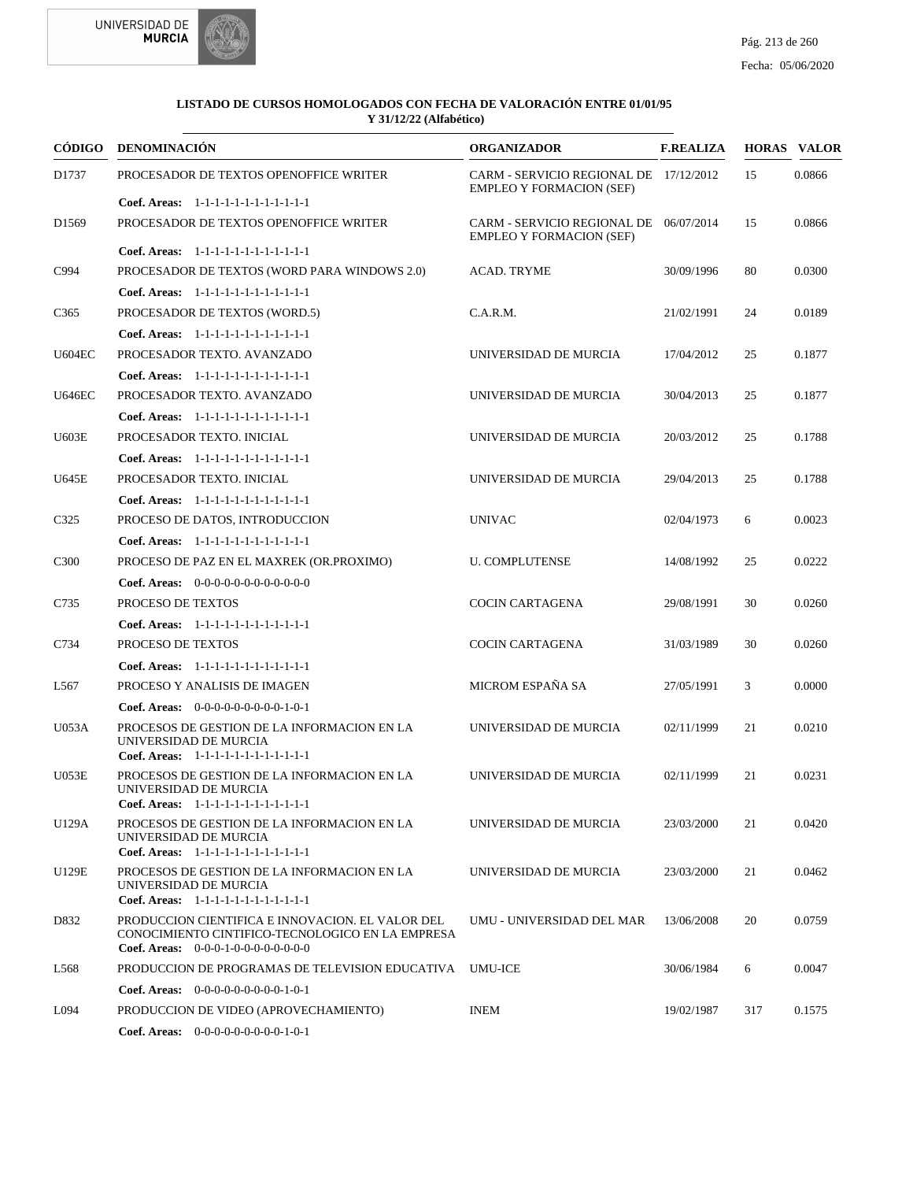



|                   | CÓDIGO DENOMINACIÓN                                                                                            | <b>ORGANIZADOR</b>                                                        | <b>F.REALIZA</b> |     | <b>HORAS VALOR</b> |
|-------------------|----------------------------------------------------------------------------------------------------------------|---------------------------------------------------------------------------|------------------|-----|--------------------|
| D1737             | PROCESADOR DE TEXTOS OPENOFFICE WRITER                                                                         | CARM - SERVICIO REGIONAL DE 17/12/2012<br><b>EMPLEO Y FORMACION (SEF)</b> |                  | 15  | 0.0866             |
|                   | Coef. Areas: $1-1-1-1-1-1-1-1-1-1-1$                                                                           |                                                                           |                  |     |                    |
| D <sub>1569</sub> | PROCESADOR DE TEXTOS OPENOFFICE WRITER                                                                         | CARM - SERVICIO REGIONAL DE 06/07/2014<br><b>EMPLEO Y FORMACION (SEF)</b> |                  | 15  | 0.0866             |
|                   | Coef. Areas: 1-1-1-1-1-1-1-1-1-1-1-1-1                                                                         |                                                                           |                  |     |                    |
| C994              | PROCESADOR DE TEXTOS (WORD PARA WINDOWS 2.0)                                                                   | <b>ACAD. TRYME</b>                                                        | 30/09/1996       | 80  | 0.0300             |
|                   | Coef. Areas: 1-1-1-1-1-1-1-1-1-1-1-1-1                                                                         |                                                                           |                  |     |                    |
| C <sub>365</sub>  | PROCESADOR DE TEXTOS (WORD.5)                                                                                  | C.A.R.M.                                                                  | 21/02/1991       | 24  | 0.0189             |
|                   | Coef. Areas: 1-1-1-1-1-1-1-1-1-1-1-1-1                                                                         |                                                                           |                  |     |                    |
| <b>U604EC</b>     | PROCESADOR TEXTO. AVANZADO                                                                                     | UNIVERSIDAD DE MURCIA                                                     | 17/04/2012       | 25  | 0.1877             |
|                   | Coef. Areas: $1-1-1-1-1-1-1-1-1-1-1$                                                                           |                                                                           |                  |     |                    |
| <b>U646EC</b>     | PROCESADOR TEXTO. AVANZADO                                                                                     | UNIVERSIDAD DE MURCIA                                                     | 30/04/2013       | 25  | 0.1877             |
|                   | Coef. Areas: 1-1-1-1-1-1-1-1-1-1-1-1-1                                                                         |                                                                           |                  |     |                    |
| U603E             | PROCESADOR TEXTO. INICIAL                                                                                      | UNIVERSIDAD DE MURCIA                                                     | 20/03/2012       | 25  | 0.1788             |
|                   | Coef. Areas: 1-1-1-1-1-1-1-1-1-1-1-1-1                                                                         |                                                                           |                  |     |                    |
| U645E             | PROCESADOR TEXTO. INICIAL                                                                                      | UNIVERSIDAD DE MURCIA                                                     | 29/04/2013       | 25  | 0.1788             |
|                   | Coef. Areas: 1-1-1-1-1-1-1-1-1-1-1-1-1                                                                         |                                                                           |                  |     |                    |
| C <sub>325</sub>  | PROCESO DE DATOS, INTRODUCCION                                                                                 | <b>UNIVAC</b>                                                             | 02/04/1973       | 6   | 0.0023             |
|                   | Coef. Areas: 1-1-1-1-1-1-1-1-1-1-1-1-1                                                                         |                                                                           |                  |     |                    |
| C <sub>3</sub> 00 | PROCESO DE PAZ EN EL MAXREK (OR.PROXIMO)                                                                       | <b>U. COMPLUTENSE</b>                                                     | 14/08/1992       | 25  | 0.0222             |
|                   | <b>Coef. Areas:</b> $0-0-0-0-0-0-0-0-0-0-0-0$                                                                  |                                                                           |                  |     |                    |
| C735              | PROCESO DE TEXTOS                                                                                              | <b>COCIN CARTAGENA</b>                                                    | 29/08/1991       | 30  | 0.0260             |
|                   | Coef. Areas: 1-1-1-1-1-1-1-1-1-1-1-1-1                                                                         |                                                                           |                  |     |                    |
| C734              | PROCESO DE TEXTOS                                                                                              | <b>COCIN CARTAGENA</b>                                                    | 31/03/1989       | 30  | 0.0260             |
|                   | Coef. Areas: 1-1-1-1-1-1-1-1-1-1-1-1-1                                                                         |                                                                           |                  |     |                    |
| L567              | PROCESO Y ANALISIS DE IMAGEN                                                                                   | MICROM ESPAÑA SA                                                          | 27/05/1991       | 3   | 0.0000             |
|                   |                                                                                                                |                                                                           |                  |     |                    |
|                   | <b>Coef. Areas:</b> $0-0-0-0-0-0-0-0-1-0-1$                                                                    |                                                                           |                  |     |                    |
| U053A             | PROCESOS DE GESTION DE LA INFORMACION EN LA<br>UNIVERSIDAD DE MURCIA<br>Coef. Areas: 1-1-1-1-1-1-1-1-1-1-1-1-1 | UNIVERSIDAD DE MURCIA                                                     | 02/11/1999       | 21  | 0.0210             |
| U053E             | PROCESOS DE GESTION DE LA INFORMACION EN LA                                                                    | UNIVERSIDAD DE MURCIA                                                     | 02/11/1999       | 21  | 0.0231             |
|                   | UNIVERSIDAD DE MURCIA                                                                                          |                                                                           |                  |     |                    |
|                   | Coef. Areas: 1-1-1-1-1-1-1-1-1-1-1-1-1                                                                         |                                                                           |                  |     |                    |
| U129A             | PROCESOS DE GESTION DE LA INFORMACION EN LA<br>UNIVERSIDAD DE MURCIA                                           | UNIVERSIDAD DE MURCIA                                                     | 23/03/2000       | 21  | 0.0420             |
|                   | Coef. Areas: 1-1-1-1-1-1-1-1-1-1-1-1-1                                                                         |                                                                           |                  |     |                    |
| U129E             | PROCESOS DE GESTION DE LA INFORMACION EN LA                                                                    | UNIVERSIDAD DE MURCIA                                                     | 23/03/2000       | 21  | 0.0462             |
|                   | UNIVERSIDAD DE MURCIA<br>Coef. Areas: 1-1-1-1-1-1-1-1-1-1-1-1-1                                                |                                                                           |                  |     |                    |
| D832              | PRODUCCION CIENTIFICA E INNOVACION. EL VALOR DEL                                                               | UMU - UNIVERSIDAD DEL MAR                                                 | 13/06/2008       | 20  | 0.0759             |
|                   | CONOCIMIENTO CINTIFICO-TECNOLOGICO EN LA EMPRESA                                                               |                                                                           |                  |     |                    |
|                   | Coef. Areas: $0-0-0-1-0-0-0-0-0-0-0$                                                                           |                                                                           |                  |     |                    |
| L568              | PRODUCCION DE PROGRAMAS DE TELEVISION EDUCATIVA                                                                | UMU-ICE                                                                   | 30/06/1984       | 6   | 0.0047             |
|                   | <b>Coef. Areas:</b> $0-0-0-0-0-0-0-0-1-0-1$                                                                    |                                                                           |                  |     |                    |
| L094              | PRODUCCION DE VIDEO (APROVECHAMIENTO)                                                                          | <b>INEM</b>                                                               | 19/02/1987       | 317 | 0.1575             |
|                   | <b>Coef. Areas:</b> $0-0-0-0-0-0-0-0-1-0-1$                                                                    |                                                                           |                  |     |                    |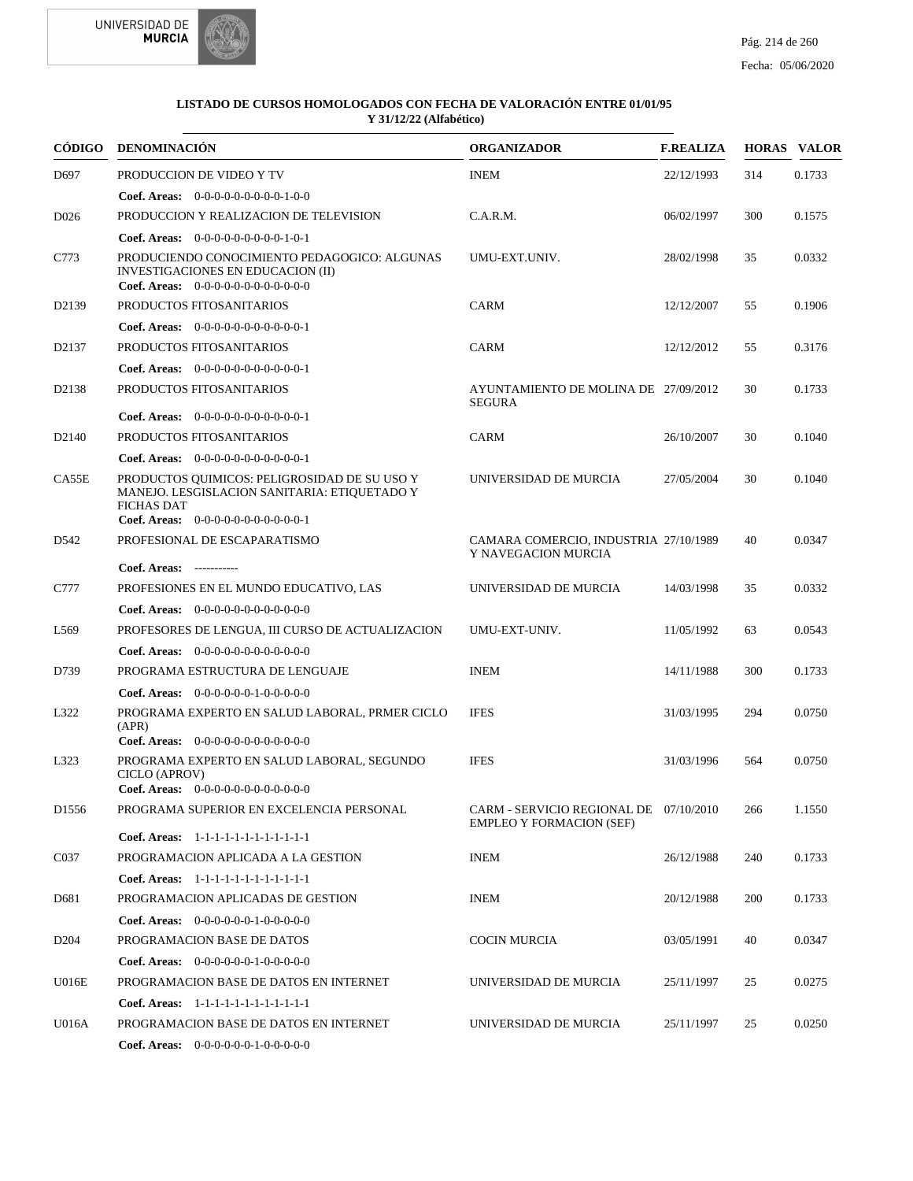



|                    | CÓDIGO DENOMINACIÓN                                                                                                                                       | <b>ORGANIZADOR</b>                                                        | <b>F.REALIZA</b> |     | <b>HORAS VALOR</b> |
|--------------------|-----------------------------------------------------------------------------------------------------------------------------------------------------------|---------------------------------------------------------------------------|------------------|-----|--------------------|
| D697               | PRODUCCION DE VIDEO Y TV                                                                                                                                  | <b>INEM</b>                                                               | 22/12/1993       | 314 | 0.1733             |
|                    | <b>Coef. Areas:</b> $0-0-0-0-0-0-0-0-1-0-0$                                                                                                               |                                                                           |                  |     |                    |
| D <sub>026</sub>   | PRODUCCION Y REALIZACION DE TELEVISION                                                                                                                    | C.A.R.M.                                                                  | 06/02/1997       | 300 | 0.1575             |
|                    | Coef. Areas: $0-0-0-0-0-0-0-0-1-0-1$                                                                                                                      |                                                                           |                  |     |                    |
| C773               | PRODUCIENDO CONOCIMIENTO PEDAGOGICO: ALGUNAS<br>INVESTIGACIONES EN EDUCACION (II)<br>Coef. Areas: 0-0-0-0-0-0-0-0-0-0-0-0-0                               | UMU-EXT.UNIV.                                                             | 28/02/1998       | 35  | 0.0332             |
| D <sub>2139</sub>  | PRODUCTOS FITOSANITARIOS                                                                                                                                  | CARM                                                                      | 12/12/2007       | 55  | 0.1906             |
|                    | Coef. Areas: $0-0-0-0-0-0-0-0-0-0-0-1$                                                                                                                    |                                                                           |                  |     |                    |
| D2137              | PRODUCTOS FITOSANITARIOS                                                                                                                                  | CARM                                                                      | 12/12/2012       | 55  | 0.3176             |
|                    | Coef. Areas: $0-0-0-0-0-0-0-0-0-0-1$                                                                                                                      |                                                                           |                  |     |                    |
| D2138              | PRODUCTOS FITOSANITARIOS                                                                                                                                  | AYUNTAMIENTO DE MOLINA DE 27/09/2012<br><b>SEGURA</b>                     |                  | 30  | 0.1733             |
|                    | Coef. Areas: $0-0-0-0-0-0-0-0-0-0-0-1$                                                                                                                    |                                                                           |                  |     |                    |
| D <sub>2</sub> 140 | PRODUCTOS FITOSANITARIOS                                                                                                                                  | <b>CARM</b>                                                               | 26/10/2007       | 30  | 0.1040             |
|                    | Coef. Areas: $0-0-0-0-0-0-0-0-0-0-1$                                                                                                                      |                                                                           |                  |     |                    |
| CA55E              | PRODUCTOS QUIMICOS: PELIGROSIDAD DE SU USO Y<br>MANEJO. LESGISLACION SANITARIA: ETIQUETADO Y<br><b>FICHAS DAT</b><br>Coef. Areas: 0-0-0-0-0-0-0-0-0-0-0-1 | UNIVERSIDAD DE MURCIA                                                     | 27/05/2004       | 30  | 0.1040             |
| D <sub>542</sub>   | PROFESIONAL DE ESCAPARATISMO                                                                                                                              | CAMARA COMERCIO, INDUSTRIA 27/10/1989                                     |                  | 40  | 0.0347             |
|                    |                                                                                                                                                           | Y NAVEGACION MURCIA                                                       |                  |     |                    |
|                    | Coef. Areas: -----------                                                                                                                                  |                                                                           |                  |     |                    |
| C777               | PROFESIONES EN EL MUNDO EDUCATIVO, LAS                                                                                                                    | UNIVERSIDAD DE MURCIA                                                     | 14/03/1998       | 35  | 0.0332             |
|                    | Coef. Areas: $0-0-0-0-0-0-0-0-0-0-0$                                                                                                                      |                                                                           |                  |     |                    |
| L <sub>569</sub>   | PROFESORES DE LENGUA, III CURSO DE ACTUALIZACION                                                                                                          | UMU-EXT-UNIV.                                                             | 11/05/1992       | 63  | 0.0543             |
|                    | Coef. Areas: $0-0-0-0-0-0-0-0-0-0-0$                                                                                                                      |                                                                           |                  |     |                    |
| D739               | PROGRAMA ESTRUCTURA DE LENGUAJE                                                                                                                           | <b>INEM</b>                                                               | 14/11/1988       | 300 | 0.1733             |
|                    | Coef. Areas: 0-0-0-0-0-0-1-0-0-0-0-0                                                                                                                      |                                                                           |                  |     |                    |
| L322               | PROGRAMA EXPERTO EN SALUD LABORAL, PRMER CICLO<br>(APR)                                                                                                   | <b>IFES</b>                                                               | 31/03/1995       | 294 | 0.0750             |
| L323               | <b>Coef. Areas:</b> $0-0-0-0-0-0-0-0-0-0-0$<br>PROGRAMA EXPERTO EN SALUD LABORAL, SEGUNDO                                                                 | <b>IFES</b>                                                               | 31/03/1996       | 564 | 0.0750             |
|                    | CICLO (APROV)<br>Coef. Areas: $0-0-0-0-0-0-0-0-0-0-0-0$                                                                                                   |                                                                           |                  |     |                    |
| D <sub>1556</sub>  | PROGRAMA SUPERIOR EN EXCELENCIA PERSONAL                                                                                                                  | CARM - SERVICIO REGIONAL DE 07/10/2010<br><b>EMPLEO Y FORMACION (SEF)</b> |                  | 266 | 1.1550             |
|                    | Coef. Areas: 1-1-1-1-1-1-1-1-1-1-1-1-1                                                                                                                    |                                                                           |                  |     |                    |
| C <sub>037</sub>   | PROGRAMACION APLICADA A LA GESTION                                                                                                                        | <b>INEM</b>                                                               | 26/12/1988       | 240 | 0.1733             |
|                    | Coef. Areas: 1-1-1-1-1-1-1-1-1-1-1-1-1                                                                                                                    |                                                                           |                  |     |                    |
| D681               | PROGRAMACION APLICADAS DE GESTION                                                                                                                         | <b>INEM</b>                                                               | 20/12/1988       | 200 | 0.1733             |
|                    | <b>Coef. Areas:</b> $0-0-0-0-0-1-0-0-0-0-0$                                                                                                               |                                                                           |                  |     |                    |
| D <sub>204</sub>   | PROGRAMACION BASE DE DATOS                                                                                                                                | COCIN MURCIA                                                              | 03/05/1991       | 40  | 0.0347             |
|                    | <b>Coef. Areas:</b> $0-0-0-0-0-1-0-0-0-0-0$                                                                                                               |                                                                           |                  |     |                    |
| <b>U016E</b>       | PROGRAMACION BASE DE DATOS EN INTERNET                                                                                                                    | UNIVERSIDAD DE MURCIA                                                     | 25/11/1997       | 25  | 0.0275             |
|                    | Coef. Areas: 1-1-1-1-1-1-1-1-1-1-1-1-1                                                                                                                    |                                                                           |                  |     |                    |
| U016A              | PROGRAMACION BASE DE DATOS EN INTERNET                                                                                                                    | UNIVERSIDAD DE MURCIA                                                     | 25/11/1997       | 25  | 0.0250             |
|                    | <b>Coef. Areas:</b> $0-0-0-0-0-1-0-0-0-0-0$                                                                                                               |                                                                           |                  |     |                    |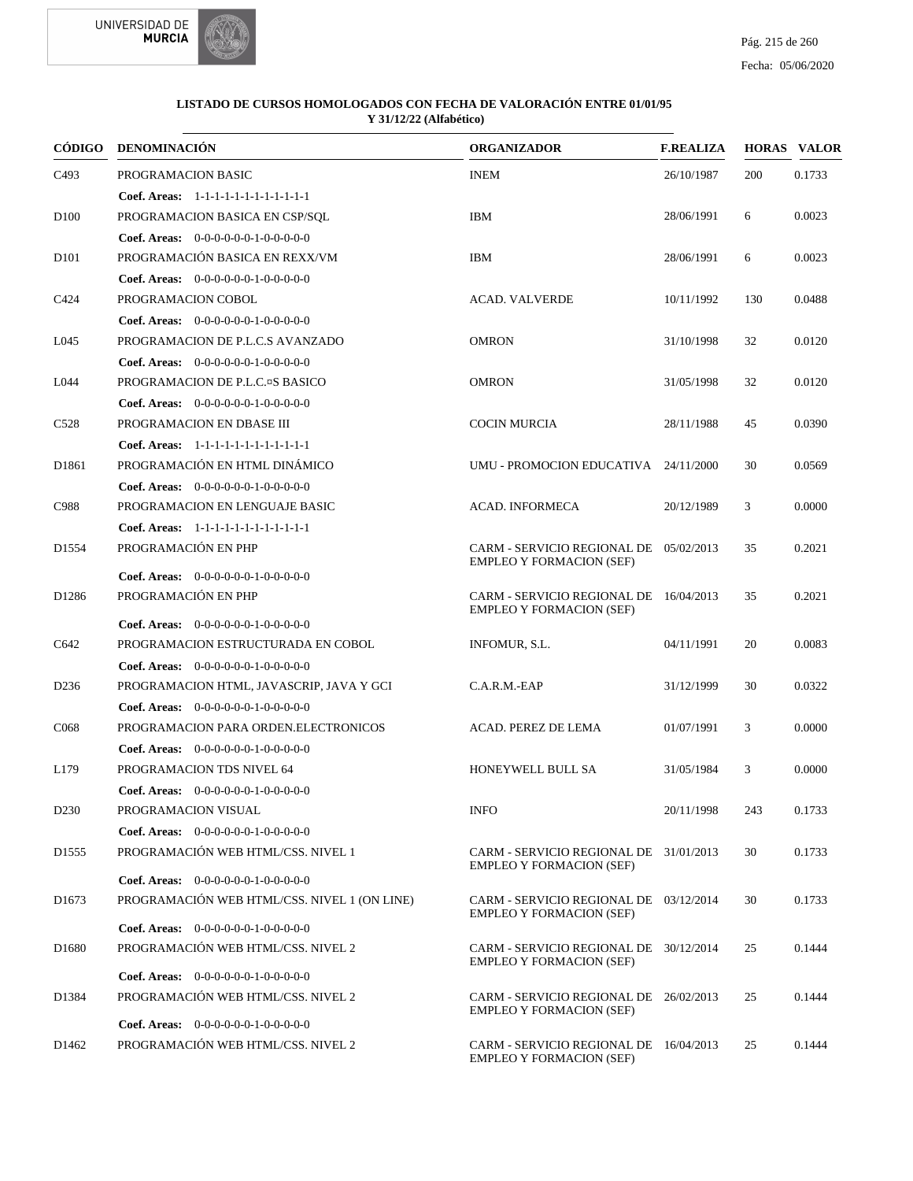



|                   | CÓDIGO DENOMINACIÓN                                                               | <b>ORGANIZADOR</b>                                                        | <b>F.REALIZA</b> |     | <b>HORAS VALOR</b> |
|-------------------|-----------------------------------------------------------------------------------|---------------------------------------------------------------------------|------------------|-----|--------------------|
| C <sub>493</sub>  | PROGRAMACION BASIC                                                                | <b>INEM</b>                                                               | 26/10/1987       | 200 | 0.1733             |
|                   | Coef. Areas: $1-1-1-1-1-1-1-1-1-1-1$                                              |                                                                           |                  |     |                    |
| D <sub>100</sub>  | PROGRAMACION BASICA EN CSP/SQL                                                    | <b>IBM</b>                                                                | 28/06/1991       | 6   | 0.0023             |
|                   | Coef. Areas: $0-0-0-0-0-1-0-0-0-0-0$                                              |                                                                           |                  |     |                    |
| D <sub>101</sub>  | PROGRAMACIÓN BASICA EN REXX/VM                                                    | <b>IBM</b>                                                                | 28/06/1991       | 6   | 0.0023             |
|                   | Coef. Areas: $0-0-0-0-0-1-0-0-0-0-0$                                              |                                                                           |                  |     |                    |
| C424              | PROGRAMACION COBOL                                                                | <b>ACAD. VALVERDE</b>                                                     | 10/11/1992       | 130 | 0.0488             |
|                   | <b>Coef. Areas:</b> $0-0-0-0-0-1-0-0-0-0-0$                                       |                                                                           |                  |     |                    |
| L <sub>045</sub>  | PROGRAMACION DE P.L.C.S AVANZADO                                                  | <b>OMRON</b>                                                              | 31/10/1998       | 32  | 0.0120             |
|                   | Coef. Areas: 0-0-0-0-0-0-1-0-0-0-0-0                                              |                                                                           |                  |     |                    |
| L044              | PROGRAMACION DE P.L.C.¤S BASICO                                                   | <b>OMRON</b>                                                              | 31/05/1998       | 32  | 0.0120             |
|                   | <b>Coef. Areas:</b> $0-0-0-0-0-1-0-0-0-0-0$                                       |                                                                           |                  |     |                    |
| C <sub>528</sub>  | PROGRAMACION EN DBASE III                                                         | <b>COCIN MURCIA</b>                                                       | 28/11/1988       | 45  | 0.0390             |
|                   | Coef. Areas: 1-1-1-1-1-1-1-1-1-1-1-1-1                                            |                                                                           |                  |     |                    |
| D1861             | PROGRAMACIÓN EN HTML DINÁMICO                                                     | UMU - PROMOCION EDUCATIVA 24/11/2000                                      |                  | 30  | 0.0569             |
|                   | Coef. Areas: $0-0-0-0-0-1-0-0-0-0-0$                                              |                                                                           |                  |     |                    |
| C988              | PROGRAMACION EN LENGUAJE BASIC                                                    | <b>ACAD. INFORMECA</b>                                                    | 20/12/1989       | 3   | 0.0000             |
|                   | Coef. Areas: 1-1-1-1-1-1-1-1-1-1-1-1-1                                            |                                                                           |                  |     |                    |
| D <sub>1554</sub> | PROGRAMACIÓN EN PHP                                                               | CARM - SERVICIO REGIONAL DE 05/02/2013                                    |                  | 35  | 0.2021             |
|                   | Coef. Areas: $0-0-0-0-0-1-0-0-0-0-0$                                              | <b>EMPLEO Y FORMACION (SEF)</b>                                           |                  |     |                    |
| D <sub>1286</sub> | PROGRAMACIÓN EN PHP                                                               | CARM - SERVICIO REGIONAL DE 16/04/2013                                    |                  | 35  | 0.2021             |
|                   |                                                                                   | <b>EMPLEO Y FORMACION (SEF)</b>                                           |                  |     |                    |
| C642              | <b>Coef. Areas:</b> $0-0-0-0-0-1-0-0-0-0-0$<br>PROGRAMACION ESTRUCTURADA EN COBOL | INFOMUR, S.L.                                                             | 04/11/1991       | 20  | 0.0083             |
|                   | Coef. Areas: 0-0-0-0-0-0-1-0-0-0-0-0                                              |                                                                           |                  |     |                    |
| D <sub>236</sub>  | PROGRAMACION HTML, JAVASCRIP, JAVA Y GCI                                          | C.A.R.M.-EAP                                                              | 31/12/1999       | 30  | 0.0322             |
|                   | <b>Coef. Areas:</b> $0-0-0-0-0-1-0-0-0-0-0$                                       |                                                                           |                  |     |                    |
| C <sub>068</sub>  | PROGRAMACION PARA ORDEN.ELECTRONICOS                                              | ACAD. PEREZ DE LEMA                                                       | 01/07/1991       | 3   | 0.0000             |
|                   | <b>Coef. Areas:</b> $0-0-0-0-0-1-0-0-0-0-0$                                       |                                                                           |                  |     |                    |
| L179              | PROGRAMACION TDS NIVEL 64                                                         | HONEYWELL BULL SA                                                         | 31/05/1984       | 3   | 0.0000             |
|                   | Coef. Areas: $0-0-0-0-0-1-0-0-0-0-0$                                              |                                                                           |                  |     |                    |
| D <sub>230</sub>  | PROGRAMACION VISUAL                                                               | <b>INFO</b>                                                               | 20/11/1998       | 243 | 0.1733             |
|                   | Coef. Areas: $0-0-0-0-0-1-0-0-0-0-0$                                              |                                                                           |                  |     |                    |
| D <sub>1555</sub> | PROGRAMACIÓN WEB HTML/CSS. NIVEL 1                                                | CARM - SERVICIO REGIONAL DE 31/01/2013                                    |                  | 30  | 0.1733             |
|                   |                                                                                   | <b>EMPLEO Y FORMACION (SEF)</b>                                           |                  |     |                    |
|                   | Coef. Areas: $0-0-0-0-0-1-0-0-0-0-0$                                              |                                                                           |                  |     |                    |
| D <sub>1673</sub> | PROGRAMACIÓN WEB HTML/CSS. NIVEL 1 (ON LINE)                                      | CARM - SERVICIO REGIONAL DE 03/12/2014<br><b>EMPLEO Y FORMACION (SEF)</b> |                  | 30  | 0.1733             |
|                   | Coef. Areas: $0-0-0-0-0-1-0-0-0-0-0$                                              |                                                                           |                  |     |                    |
| D <sub>1680</sub> | PROGRAMACIÓN WEB HTML/CSS. NIVEL 2                                                | CARM - SERVICIO REGIONAL DE 30/12/2014<br><b>EMPLEO Y FORMACION (SEF)</b> |                  | 25  | 0.1444             |
|                   | Coef. Areas: $0-0-0-0-0-1-0-0-0-0-0$                                              |                                                                           |                  |     |                    |
| D1384             | PROGRAMACIÓN WEB HTML/CSS. NIVEL 2                                                | CARM - SERVICIO REGIONAL DE 26/02/2013<br><b>EMPLEO Y FORMACION (SEF)</b> |                  | 25  | 0.1444             |
|                   | Coef. Areas: $0-0-0-0-0-1-0-0-0-0-0$                                              |                                                                           |                  |     |                    |
| D <sub>1462</sub> | PROGRAMACIÓN WEB HTML/CSS. NIVEL 2                                                | CARM - SERVICIO REGIONAL DE 16/04/2013<br><b>EMPLEO Y FORMACION (SEF)</b> |                  | 25  | 0.1444             |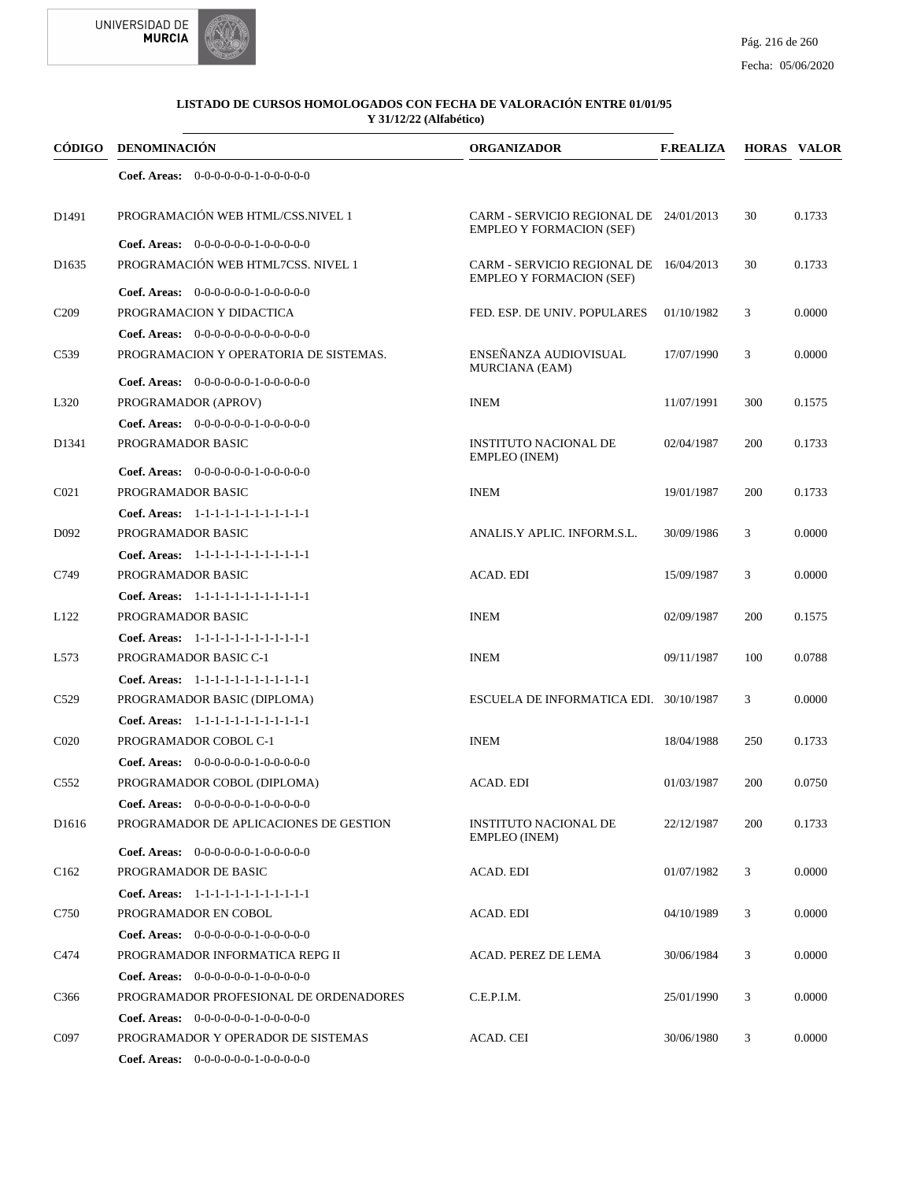

|                   | CÓDIGO DENOMINACIÓN                         | <b>ORGANIZADOR</b>                                                        | <b>F.REALIZA</b> |     | <b>HORAS VALOR</b> |
|-------------------|---------------------------------------------|---------------------------------------------------------------------------|------------------|-----|--------------------|
|                   | Coef. Areas: $0-0-0-0-0-1-0-0-0-0-0$        |                                                                           |                  |     |                    |
| D1491             | PROGRAMACIÓN WEB HTML/CSS.NIVEL 1           | CARM - SERVICIO REGIONAL DE 24/01/2013<br><b>EMPLEO Y FORMACION (SEF)</b> |                  | 30  | 0.1733             |
|                   | <b>Coef. Areas:</b> $0-0-0-0-0-1-0-0-0-0-0$ |                                                                           |                  |     |                    |
| D <sub>1635</sub> | PROGRAMACIÓN WEB HTML7CSS. NIVEL 1          | CARM - SERVICIO REGIONAL DE 16/04/2013<br><b>EMPLEO Y FORMACION (SEF)</b> |                  | 30  | 0.1733             |
|                   | Coef. Areas: $0-0-0-0-0-1-0-0-0-0-0$        |                                                                           |                  |     |                    |
| C <sub>209</sub>  | PROGRAMACION Y DIDACTICA                    | FED. ESP. DE UNIV. POPULARES                                              | 01/10/1982       | 3   | 0.0000             |
|                   | Coef. Areas: $0-0-0-0-0-0-0-0-0-0-0$        |                                                                           |                  |     |                    |
| C <sub>539</sub>  | PROGRAMACION Y OPERATORIA DE SISTEMAS.      | ENSEÑANZA AUDIOVISUAL<br><b>MURCIANA (EAM)</b>                            | 17/07/1990       | 3   | 0.0000             |
|                   | Coef. Areas: 0-0-0-0-0-0-1-0-0-0-0-0        |                                                                           |                  |     |                    |
| L320              | PROGRAMADOR (APROV)                         | <b>INEM</b>                                                               | 11/07/1991       | 300 | 0.1575             |
|                   | Coef. Areas: $0-0-0-0-0-1-0-0-0-0-0$        |                                                                           |                  |     |                    |
| D1341             | PROGRAMADOR BASIC                           | <b>INSTITUTO NACIONAL DE</b><br>EMPLEO (INEM)                             | 02/04/1987       | 200 | 0.1733             |
|                   | Coef. Areas: 0-0-0-0-0-0-1-0-0-0-0-0        |                                                                           |                  |     |                    |
| CO <sub>21</sub>  | PROGRAMADOR BASIC                           | <b>INEM</b>                                                               | 19/01/1987       | 200 | 0.1733             |
|                   | Coef. Areas: 1-1-1-1-1-1-1-1-1-1-1-1-1      |                                                                           |                  |     |                    |
| D <sub>092</sub>  | PROGRAMADOR BASIC                           | ANALIS.Y APLIC. INFORM.S.L.                                               | 30/09/1986       | 3   | 0.0000             |
|                   | Coef. Areas: 1-1-1-1-1-1-1-1-1-1-1-1-1      |                                                                           |                  |     |                    |
| C749              | PROGRAMADOR BASIC                           | ACAD. EDI                                                                 | 15/09/1987       | 3   | 0.0000             |
|                   | Coef. Areas: 1-1-1-1-1-1-1-1-1-1-1-1-1      |                                                                           |                  |     |                    |
| L <sub>122</sub>  | PROGRAMADOR BASIC                           | <b>INEM</b>                                                               | 02/09/1987       | 200 | 0.1575             |
|                   | Coef. Areas: 1-1-1-1-1-1-1-1-1-1-1-1-1      |                                                                           |                  |     |                    |
| L573              | PROGRAMADOR BASIC C-1                       | <b>INEM</b>                                                               | 09/11/1987       | 100 | 0.0788             |
|                   | Coef. Areas: 1-1-1-1-1-1-1-1-1-1-1-1-1      |                                                                           |                  |     |                    |
| C <sub>529</sub>  | PROGRAMADOR BASIC (DIPLOMA)                 | ESCUELA DE INFORMATICA EDI. 30/10/1987                                    |                  | 3   | 0.0000             |
|                   | Coef. Areas: 1-1-1-1-1-1-1-1-1-1-1-1-1      |                                                                           |                  |     |                    |
| C <sub>020</sub>  | PROGRAMADOR COBOL C-1                       | <b>INEM</b>                                                               | 18/04/1988       | 250 | 0.1733             |
|                   | Coef. Areas: $0-0-0-0-0-1-0-0-0-0-0$        |                                                                           |                  |     |                    |
| C <sub>552</sub>  | PROGRAMADOR COBOL (DIPLOMA)                 | ACAD. EDI                                                                 | 01/03/1987       | 200 | 0.0750             |
|                   | Coef. Areas: 0-0-0-0-0-0-1-0-0-0-0-0        |                                                                           |                  |     |                    |
| D <sub>1616</sub> | PROGRAMADOR DE APLICACIONES DE GESTION      | INSTITUTO NACIONAL DE<br><b>EMPLEO</b> (INEM)                             | 22/12/1987       | 200 | 0.1733             |
|                   | Coef. Areas: 0-0-0-0-0-0-1-0-0-0-0-0        |                                                                           |                  |     |                    |
| C <sub>162</sub>  | PROGRAMADOR DE BASIC                        | <b>ACAD. EDI</b>                                                          | 01/07/1982       | 3   | 0.0000             |
|                   | Coef. Areas: 1-1-1-1-1-1-1-1-1-1-1-1-1      |                                                                           |                  |     |                    |
| C750              | PROGRAMADOR EN COBOL                        | ACAD. EDI                                                                 | 04/10/1989       | 3   | 0.0000             |
|                   | <b>Coef. Areas:</b> $0-0-0-0-0-1-0-0-0-0-0$ |                                                                           |                  |     |                    |
| C474              | PROGRAMADOR INFORMATICA REPG II             | ACAD. PEREZ DE LEMA                                                       | 30/06/1984       | 3   | 0.0000             |
|                   | <b>Coef. Areas:</b> $0-0-0-0-0-1-0-0-0-0-0$ |                                                                           |                  |     |                    |
| C366              | PROGRAMADOR PROFESIONAL DE ORDENADORES      | C.E.P.I.M.                                                                | 25/01/1990       | 3   | 0.0000             |
|                   | <b>Coef. Areas:</b> $0-0-0-0-0-1-0-0-0-0-0$ |                                                                           |                  |     |                    |
| C097              | PROGRAMADOR Y OPERADOR DE SISTEMAS          | ACAD. CEI                                                                 | 30/06/1980       | 3   | 0.0000             |
|                   | <b>Coef. Areas:</b> $0-0-0-0-0-1-0-0-0-0-0$ |                                                                           |                  |     |                    |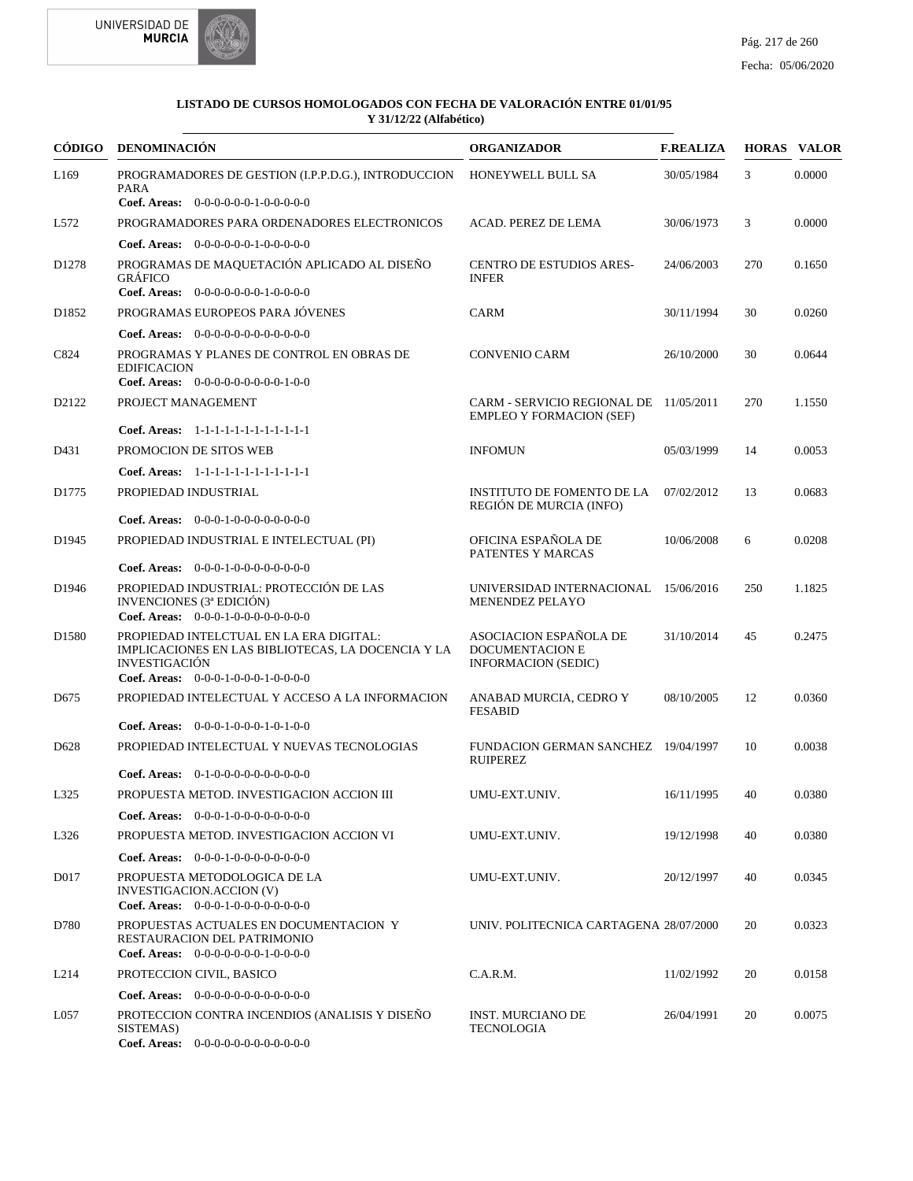



|                   | CÓDIGO DENOMINACIÓN                                                                                                   | <b>ORGANIZADOR</b>                                                             | <b>F.REALIZA</b> |     | <b>HORAS VALOR</b> |
|-------------------|-----------------------------------------------------------------------------------------------------------------------|--------------------------------------------------------------------------------|------------------|-----|--------------------|
| L <sub>169</sub>  | PROGRAMADORES DE GESTION (I.P.P.D.G.), INTRODUCCION<br>PARA                                                           | HONEYWELL BULL SA                                                              | 30/05/1984       | 3   | 0.0000             |
|                   | Coef. Areas: $0-0-0-0-0-1-0-0-0-0-0$                                                                                  |                                                                                |                  |     |                    |
| L572              | PROGRAMADORES PARA ORDENADORES ELECTRONICOS                                                                           | ACAD. PEREZ DE LEMA                                                            | 30/06/1973       | 3   | 0.0000             |
|                   | <b>Coef. Areas:</b> $0-0-0-0-0-1-0-0-0-0-0$                                                                           |                                                                                |                  |     |                    |
| D <sub>1278</sub> | PROGRAMAS DE MAQUETACIÓN APLICADO AL DISEÑO<br><b>GRÁFICO</b><br>Coef. Areas: 0-0-0-0-0-0-0-1-0-0-0-0                 | CENTRO DE ESTUDIOS ARES-<br><b>INFER</b>                                       | 24/06/2003       | 270 | 0.1650             |
| D <sub>1852</sub> | PROGRAMAS EUROPEOS PARA JÓVENES                                                                                       | <b>CARM</b>                                                                    | 30/11/1994       | 30  | 0.0260             |
|                   |                                                                                                                       |                                                                                |                  |     |                    |
|                   | <b>Coef. Areas:</b> $0-0-0-0-0-0-0-0-0-0-0-0$                                                                         |                                                                                |                  |     |                    |
| C824              | PROGRAMAS Y PLANES DE CONTROL EN OBRAS DE<br><b>EDIFICACION</b><br>Coef. Areas: $0-0-0-0-0-0-0-0-1-0-0$               | <b>CONVENIO CARM</b>                                                           | 26/10/2000       | 30  | 0.0644             |
|                   | PROJECT MANAGEMENT                                                                                                    |                                                                                |                  | 270 | 1.1550             |
| D2122             |                                                                                                                       | CARM - SERVICIO REGIONAL DE 11/05/2011<br><b>EMPLEO Y FORMACION (SEF)</b>      |                  |     |                    |
|                   | Coef. Areas: 1-1-1-1-1-1-1-1-1-1-1-1-1                                                                                |                                                                                |                  |     |                    |
| D431              | PROMOCION DE SITOS WEB                                                                                                | <b>INFOMUN</b>                                                                 | 05/03/1999       | 14  | 0.0053             |
|                   | Coef. Areas: 1-1-1-1-1-1-1-1-1-1-1-1-1                                                                                |                                                                                |                  |     |                    |
| D1775             | PROPIEDAD INDUSTRIAL                                                                                                  | <b>INSTITUTO DE FOMENTO DE LA</b><br>REGIÓN DE MURCIA (INFO)                   | 07/02/2012       | 13  | 0.0683             |
|                   | <b>Coef. Areas:</b> $0-0-0-1-0-0-0-0-0-0-0-0$                                                                         |                                                                                |                  |     |                    |
| D <sub>1945</sub> | PROPIEDAD INDUSTRIAL E INTELECTUAL (PI)                                                                               | OFICINA ESPAÑOLA DE<br>PATENTES Y MARCAS                                       | 10/06/2008       | 6   | 0.0208             |
|                   | <b>Coef. Areas:</b> $0-0-0-1-0-0-0-0-0-0-0-0$                                                                         |                                                                                |                  |     |                    |
| D1946             | PROPIEDAD INDUSTRIAL: PROTECCIÓN DE LAS<br>INVENCIONES (3ª EDICIÓN)<br><b>Coef. Areas:</b> $0-0-0-1-0-0-0-0-0-0-0-0$  | UNIVERSIDAD INTERNACIONAL<br>MENENDEZ PELAYO                                   | 15/06/2016       | 250 | 1.1825             |
| D <sub>1580</sub> | PROPIEDAD INTELCTUAL EN LA ERA DIGITAL:<br>IMPLICACIONES EN LAS BIBLIOTECAS, LA DOCENCIA Y LA<br><b>INVESTIGACIÓN</b> | ASOCIACION ESPAÑOLA DE<br><b>DOCUMENTACION E</b><br><b>INFORMACION (SEDIC)</b> | 31/10/2014       | 45  | 0.2475             |
|                   | Coef. Areas: $0-0-0-1-0-0-1-0-0-0-0$                                                                                  |                                                                                |                  |     |                    |
| D <sub>675</sub>  | PROPIEDAD INTELECTUAL Y ACCESO A LA INFORMACION<br>Coef. Areas: $0-0-0-1-0-0-1-0-1-0-0$                               | ANABAD MURCIA, CEDRO Y<br><b>FESABID</b>                                       | 08/10/2005       | 12  | 0.0360             |
| D <sub>628</sub>  | PROPIEDAD INTELECTUAL Y NUEVAS TECNOLOGIAS                                                                            | FUNDACION GERMAN SANCHEZ 19/04/1997                                            |                  | 10  | 0.0038             |
|                   |                                                                                                                       | <b>RUIPEREZ</b>                                                                |                  |     |                    |
|                   | <b>Coef. Areas:</b> $0-1-0-0-0-0-0-0-0-0-0$                                                                           |                                                                                |                  |     |                    |
| L325              | PROPUESTA METOD. INVESTIGACION ACCION III                                                                             | UMU-EXT.UNIV.                                                                  | 16/11/1995       | 40  | 0.0380             |
|                   | <b>Coef. Areas:</b> $0-0-0-1-0-0-0-0-0-0-0-0$                                                                         |                                                                                |                  |     |                    |
| L326              | PROPUESTA METOD. INVESTIGACION ACCION VI                                                                              | UMU-EXT.UNIV.                                                                  | 19/12/1998       | 40  | 0.0380             |
|                   | <b>Coef. Areas:</b> $0-0-0-1-0-0-0-0-0-0-0$                                                                           |                                                                                |                  |     |                    |
| D017              | PROPUESTA METODOLOGICA DE LA<br>INVESTIGACION.ACCION (V)<br>Coef. Areas: $0-0-0-1-0-0-0-0-0-0-0$                      | UMU-EXT.UNIV.                                                                  | 20/12/1997       | 40  | 0.0345             |
| D780              | PROPUESTAS ACTUALES EN DOCUMENTACION Y<br>RESTAURACION DEL PATRIMONIO<br>Coef. Areas: $0-0-0-0-0-0-1-0-0-0-0$         | UNIV. POLITECNICA CARTAGENA 28/07/2000                                         |                  | 20  | 0.0323             |
| L <sub>214</sub>  | PROTECCION CIVIL, BASICO                                                                                              | C.A.R.M.                                                                       | 11/02/1992       | 20  | 0.0158             |
|                   | Coef. Areas: 0-0-0-0-0-0-0-0-0-0-0-0-0                                                                                |                                                                                |                  |     |                    |
| L <sub>057</sub>  | PROTECCION CONTRA INCENDIOS (ANALISIS Y DISEÑO<br>SISTEMAS)                                                           | <b>INST. MURCIANO DE</b><br>TECNOLOGIA                                         | 26/04/1991       | 20  | 0.0075             |
|                   | Coef. Areas: $0-0-0-0-0-0-0-0-0-0-0$                                                                                  |                                                                                |                  |     |                    |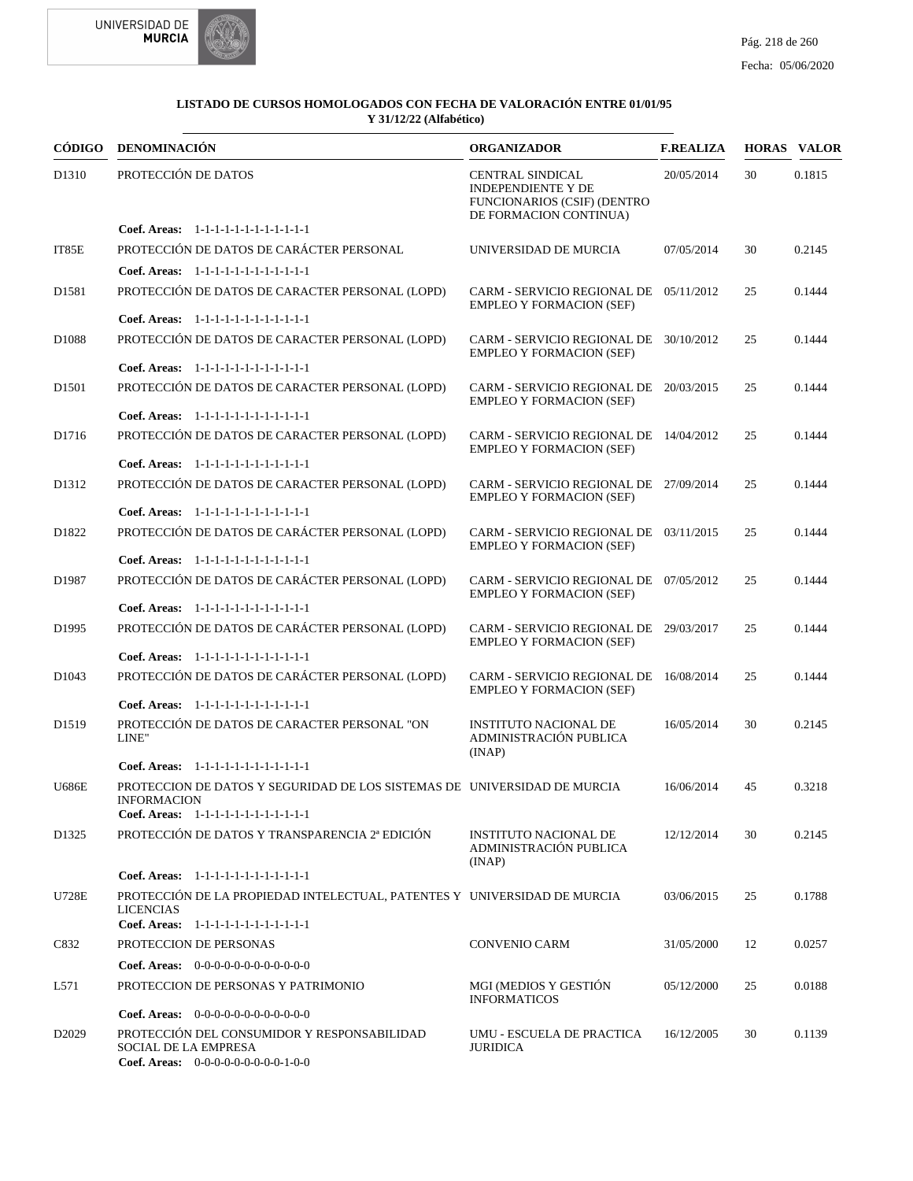



|                   | CÓDIGO DENOMINACIÓN                                                                                                                      | <b>ORGANIZADOR</b>                                                                                     | <b>F.REALIZA</b> |    | <b>HORAS VALOR</b> |
|-------------------|------------------------------------------------------------------------------------------------------------------------------------------|--------------------------------------------------------------------------------------------------------|------------------|----|--------------------|
| D1310             | PROTECCIÓN DE DATOS                                                                                                                      | CENTRAL SINDICAL<br><b>INDEPENDIENTE Y DE</b><br>FUNCIONARIOS (CSIF) (DENTRO<br>DE FORMACION CONTINUA) | 20/05/2014       | 30 | 0.1815             |
|                   | Coef. Areas: 1-1-1-1-1-1-1-1-1-1-1-1-1                                                                                                   |                                                                                                        |                  |    |                    |
| IT85E             | PROTECCIÓN DE DATOS DE CARÁCTER PERSONAL                                                                                                 | UNIVERSIDAD DE MURCIA                                                                                  | 07/05/2014       | 30 | 0.2145             |
|                   | Coef. Areas: 1-1-1-1-1-1-1-1-1-1-1-1-1                                                                                                   |                                                                                                        |                  |    |                    |
| D <sub>1581</sub> | PROTECCIÓN DE DATOS DE CARACTER PERSONAL (LOPD)                                                                                          | CARM - SERVICIO REGIONAL DE 05/11/2012<br><b>EMPLEO Y FORMACION (SEF)</b>                              |                  | 25 | 0.1444             |
|                   | Coef. Areas: 1-1-1-1-1-1-1-1-1-1-1-1-1                                                                                                   |                                                                                                        |                  |    |                    |
| D <sub>1088</sub> | PROTECCIÓN DE DATOS DE CARACTER PERSONAL (LOPD)                                                                                          | CARM - SERVICIO REGIONAL DE 30/10/2012<br><b>EMPLEO Y FORMACION (SEF)</b>                              |                  | 25 | 0.1444             |
|                   | Coef. Areas: 1-1-1-1-1-1-1-1-1-1-1-1-1                                                                                                   |                                                                                                        |                  |    |                    |
| D <sub>1501</sub> | PROTECCIÓN DE DATOS DE CARACTER PERSONAL (LOPD)                                                                                          | CARM - SERVICIO REGIONAL DE 20/03/2015<br><b>EMPLEO Y FORMACION (SEF)</b>                              |                  | 25 | 0.1444             |
|                   | Coef. Areas: 1-1-1-1-1-1-1-1-1-1-1-1-1                                                                                                   |                                                                                                        |                  |    |                    |
| D1716             | PROTECCIÓN DE DATOS DE CARACTER PERSONAL (LOPD)<br>Coef. Areas: 1-1-1-1-1-1-1-1-1-1-1-1-1                                                | CARM - SERVICIO REGIONAL DE 14/04/2012<br><b>EMPLEO Y FORMACION (SEF)</b>                              |                  | 25 | 0.1444             |
|                   |                                                                                                                                          | CARM - SERVICIO REGIONAL DE 27/09/2014                                                                 |                  |    |                    |
| D1312             | PROTECCIÓN DE DATOS DE CARACTER PERSONAL (LOPD)<br>Coef. Areas: 1-1-1-1-1-1-1-1-1-1-1-1-1                                                | <b>EMPLEO Y FORMACION (SEF)</b>                                                                        |                  | 25 | 0.1444             |
| D1822             | PROTECCIÓN DE DATOS DE CARÁCTER PERSONAL (LOPD)                                                                                          | CARM - SERVICIO REGIONAL DE 03/11/2015                                                                 |                  | 25 | 0.1444             |
|                   | Coef. Areas: 1-1-1-1-1-1-1-1-1-1-1-1-1                                                                                                   | <b>EMPLEO Y FORMACION (SEF)</b>                                                                        |                  |    |                    |
| D1987             | PROTECCIÓN DE DATOS DE CARÁCTER PERSONAL (LOPD)                                                                                          | CARM - SERVICIO REGIONAL DE 07/05/2012<br><b>EMPLEO Y FORMACION (SEF)</b>                              |                  | 25 | 0.1444             |
|                   | Coef. Areas: 1-1-1-1-1-1-1-1-1-1-1-1-1                                                                                                   |                                                                                                        |                  |    |                    |
| D1995             | PROTECCIÓN DE DATOS DE CARÁCTER PERSONAL (LOPD)                                                                                          | CARM - SERVICIO REGIONAL DE 29/03/2017<br><b>EMPLEO Y FORMACION (SEF)</b>                              |                  | 25 | 0.1444             |
|                   | Coef. Areas: 1-1-1-1-1-1-1-1-1-1-1-1-1                                                                                                   |                                                                                                        |                  |    |                    |
| D <sub>1043</sub> | PROTECCIÓN DE DATOS DE CARÁCTER PERSONAL (LOPD)                                                                                          | CARM - SERVICIO REGIONAL DE 16/08/2014<br><b>EMPLEO Y FORMACION (SEF)</b>                              |                  | 25 | 0.1444             |
|                   | Coef. Areas: 1-1-1-1-1-1-1-1-1-1-1-1-1                                                                                                   |                                                                                                        |                  |    |                    |
| D <sub>1519</sub> | PROTECCIÓN DE DATOS DE CARACTER PERSONAL "ON<br>LINE"                                                                                    | <b>INSTITUTO NACIONAL DE</b><br>ADMINISTRACIÓN PUBLICA<br>(INAP)                                       | 16/05/2014       | 30 | 0.2145             |
|                   | Coef. Areas: 1-1-1-1-1-1-1-1-1-1-1-1-1                                                                                                   |                                                                                                        |                  |    |                    |
| <b>U686E</b>      | PROTECCION DE DATOS Y SEGURIDAD DE LOS SISTEMAS DE UNIVERSIDAD DE MURCIA<br><b>INFORMACION</b><br>Coef. Areas: 1-1-1-1-1-1-1-1-1-1-1-1-1 |                                                                                                        | 16/06/2014       | 45 | 0.3218             |
|                   |                                                                                                                                          |                                                                                                        |                  |    |                    |
| D <sub>1325</sub> | PROTECCIÓN DE DATOS Y TRANSPARENCIA 2ª EDICIÓN                                                                                           | <b>INSTITUTO NACIONAL DE</b><br>ADMINISTRACIÓN PUBLICA<br>(INAP)                                       | 12/12/2014       | 30 | 0.2145             |
|                   | Coef. Areas: 1-1-1-1-1-1-1-1-1-1-1-1-1                                                                                                   |                                                                                                        |                  |    |                    |
| U728E             | PROTECCIÓN DE LA PROPIEDAD INTELECTUAL, PATENTES Y UNIVERSIDAD DE MURCIA<br><b>LICENCIAS</b><br>Coef. Areas: 1-1-1-1-1-1-1-1-1-1-1-1-1   |                                                                                                        | 03/06/2015       | 25 | 0.1788             |
|                   |                                                                                                                                          |                                                                                                        |                  |    |                    |
| C832              | PROTECCION DE PERSONAS                                                                                                                   | <b>CONVENIO CARM</b>                                                                                   | 31/05/2000       | 12 | 0.0257             |
|                   | <b>Coef. Areas:</b> $0-0-0-0-0-0-0-0-0-0-0-0$                                                                                            |                                                                                                        |                  |    |                    |
| L571              | PROTECCION DE PERSONAS Y PATRIMONIO                                                                                                      | MGI (MEDIOS Y GESTIÓN<br><b>INFORMATICOS</b>                                                           | 05/12/2000       | 25 | 0.0188             |
|                   | Coef. Areas: $0-0-0-0-0-0-0-0-0-0-0$                                                                                                     |                                                                                                        |                  |    |                    |
| D <sub>2029</sub> | PROTECCIÓN DEL CONSUMIDOR Y RESPONSABILIDAD<br><b>SOCIAL DE LA EMPRESA</b><br>Coef. Areas: $0-0-0-0-0-0-0-0-1-0-0$                       | UMU - ESCUELA DE PRACTICA<br><b>JURIDICA</b>                                                           | 16/12/2005       | 30 | 0.1139             |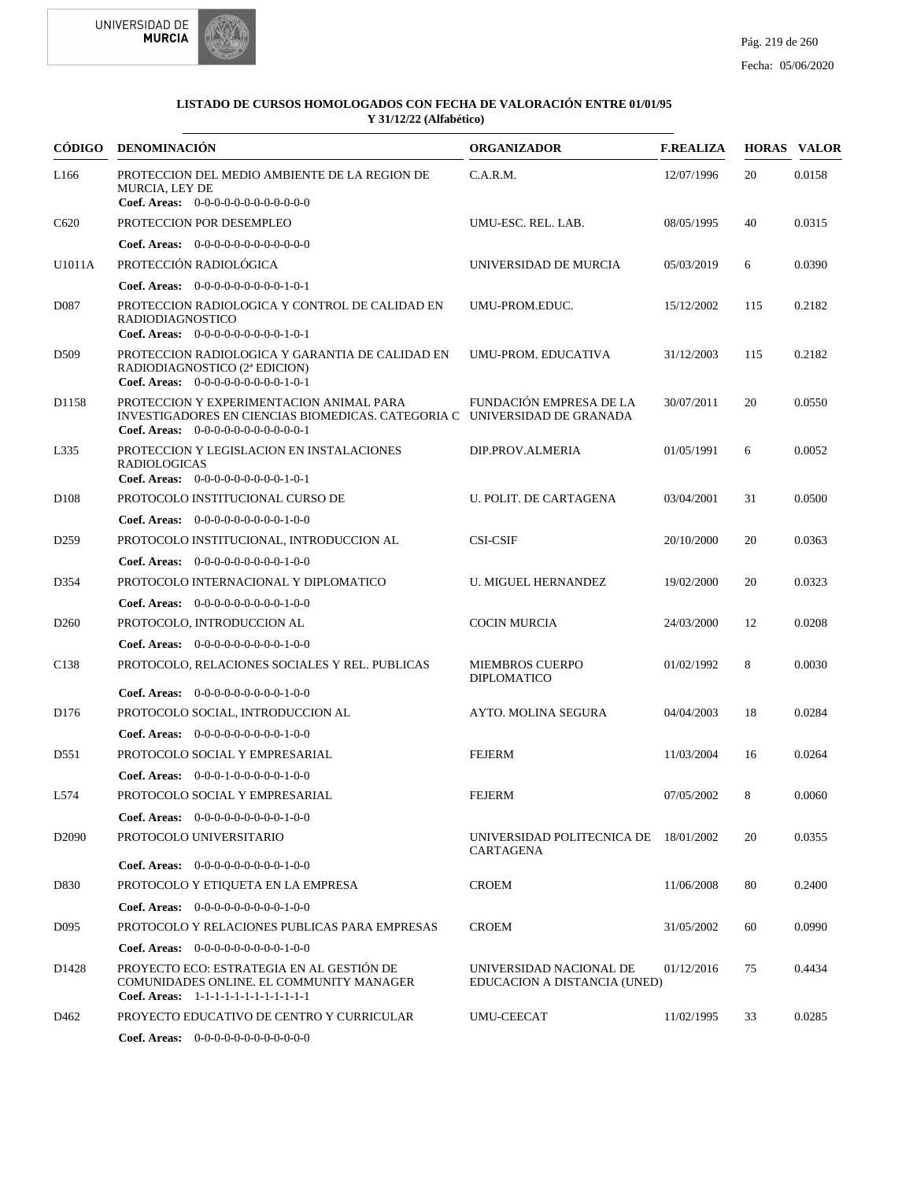



|                   | CÓDIGO DENOMINACIÓN                                                                                                                                             | <b>ORGANIZADOR</b>                                      | <b>F.REALIZA</b> |     | <b>HORAS VALOR</b> |
|-------------------|-----------------------------------------------------------------------------------------------------------------------------------------------------------------|---------------------------------------------------------|------------------|-----|--------------------|
| L <sub>166</sub>  | PROTECCION DEL MEDIO AMBIENTE DE LA REGION DE<br>MURCIA, LEY DE<br>Coef. Areas: $0-0-0-0-0-0-0-0-0-0-0$                                                         | C.A.R.M.                                                | 12/07/1996       | 20  | 0.0158             |
| C620              | PROTECCION POR DESEMPLEO                                                                                                                                        | UMU-ESC. REL. LAB.                                      | 08/05/1995       | 40  | 0.0315             |
|                   | <b>Coef. Areas:</b> $0-0-0-0-0-0-0-0-0-0-0-0$                                                                                                                   |                                                         |                  |     |                    |
| U1011A            | PROTECCIÓN RADIOLÓGICA                                                                                                                                          | UNIVERSIDAD DE MURCIA                                   | 05/03/2019       | 6   | 0.0390             |
|                   | Coef. Areas: $0-0-0-0-0-0-0-0-1-0-1$                                                                                                                            |                                                         |                  |     |                    |
| D <sub>087</sub>  | PROTECCION RADIOLOGICA Y CONTROL DE CALIDAD EN<br><b>RADIODIAGNOSTICO</b>                                                                                       | UMU-PROM.EDUC.                                          | 15/12/2002       | 115 | 0.2182             |
|                   | Coef. Areas: $0-0-0-0-0-0-0-0-1-0-1$                                                                                                                            |                                                         |                  |     |                    |
| D <sub>509</sub>  | PROTECCION RADIOLOGICA Y GARANTIA DE CALIDAD EN<br>RADIODIAGNOSTICO (2ª EDICION)<br>Coef. Areas: 0-0-0-0-0-0-0-0-0-1-0-1                                        | UMU-PROM. EDUCATIVA                                     | 31/12/2003       | 115 | 0.2182             |
| D1158             | PROTECCION Y EXPERIMENTACION ANIMAL PARA<br>INVESTIGADORES EN CIENCIAS BIOMEDICAS. CATEGORIA C UNIVERSIDAD DE GRANADA<br>Coef. Areas: $0-0-0-0-0-0-0-0-0-0-0-1$ | FUNDACIÓN EMPRESA DE LA                                 | 30/07/2011       | 20  | 0.0550             |
| L335              | PROTECCION Y LEGISLACION EN INSTALACIONES<br><b>RADIOLOGICAS</b><br>Coef. Areas: $0-0-0-0-0-0-0-0-1-0-1$                                                        | DIP.PROV.ALMERIA                                        | 01/05/1991       | 6   | 0.0052             |
| D <sub>108</sub>  | PROTOCOLO INSTITUCIONAL CURSO DE                                                                                                                                | U. POLIT. DE CARTAGENA                                  | 03/04/2001       | 31  | 0.0500             |
|                   | <b>Coef. Areas:</b> $0-0-0-0-0-0-0-0-1-0-0$                                                                                                                     |                                                         |                  |     |                    |
| D <sub>259</sub>  | PROTOCOLO INSTITUCIONAL, INTRODUCCION AL                                                                                                                        | <b>CSI-CSIF</b>                                         | 20/10/2000       | 20  | 0.0363             |
|                   | <b>Coef. Areas:</b> $0-0-0-0-0-0-0-0-1-0-0$                                                                                                                     |                                                         |                  |     |                    |
| D354              | PROTOCOLO INTERNACIONAL Y DIPLOMATICO                                                                                                                           | <b>U. MIGUEL HERNANDEZ</b>                              | 19/02/2000       | 20  | 0.0323             |
|                   | <b>Coef. Areas:</b> $0-0-0-0-0-0-0-0-1-0-0$                                                                                                                     |                                                         |                  |     |                    |
| D <sub>260</sub>  | PROTOCOLO, INTRODUCCION AL                                                                                                                                      | <b>COCIN MURCIA</b>                                     | 24/03/2000       | 12  | 0.0208             |
|                   | <b>Coef. Areas:</b> $0-0-0-0-0-0-0-0-1-0-0$                                                                                                                     |                                                         |                  |     |                    |
| C <sub>138</sub>  | PROTOCOLO, RELACIONES SOCIALES Y REL. PUBLICAS                                                                                                                  | <b>MIEMBROS CUERPO</b><br><b>DIPLOMATICO</b>            | 01/02/1992       | 8   | 0.0030             |
|                   | <b>Coef. Areas:</b> $0-0-0-0-0-0-0-0-1-0-0$                                                                                                                     |                                                         |                  |     |                    |
| D <sub>176</sub>  | PROTOCOLO SOCIAL, INTRODUCCION AL                                                                                                                               | AYTO. MOLINA SEGURA                                     | 04/04/2003       | 18  | 0.0284             |
|                   | <b>Coef. Areas:</b> $0-0-0-0-0-0-0-0-1-0-0$                                                                                                                     |                                                         |                  |     |                    |
| D <sub>551</sub>  | PROTOCOLO SOCIAL Y EMPRESARIAL                                                                                                                                  | <b>FEJERM</b>                                           | 11/03/2004       | 16  | 0.0264             |
|                   | Coef. Areas: 0-0-0-1-0-0-0-0-0-1-0-0                                                                                                                            |                                                         |                  |     |                    |
| L574              | PROTOCOLO SOCIAL Y EMPRESARIAL                                                                                                                                  | <b>FEJERM</b>                                           | 07/05/2002       | 8   | 0.0060             |
|                   | <b>Coef. Areas:</b> $0-0-0-0-0-0-0-0-1-0-0$                                                                                                                     |                                                         |                  |     |                    |
| D <sub>2090</sub> | PROTOCOLO UNIVERSITARIO                                                                                                                                         | UNIVERSIDAD POLITECNICA DE 18/01/2002<br>CARTAGENA      |                  | 20  | 0.0355             |
|                   | Coef. Areas: 0-0-0-0-0-0-0-0-0-1-0-0                                                                                                                            |                                                         |                  |     |                    |
| D830              | PROTOCOLO Y ETIQUETA EN LA EMPRESA                                                                                                                              | <b>CROEM</b>                                            | 11/06/2008       | 80  | 0.2400             |
|                   | Coef. Areas: $0-0-0-0-0-0-0-0-1-0-0$                                                                                                                            |                                                         |                  |     |                    |
| D <sub>095</sub>  | PROTOCOLO Y RELACIONES PUBLICAS PARA EMPRESAS                                                                                                                   | CROEM                                                   | 31/05/2002       | 60  | 0.0990             |
|                   | <b>Coef. Areas:</b> $0-0-0-0-0-0-0-0-1-0-0$                                                                                                                     |                                                         |                  |     |                    |
| D <sub>1428</sub> | PROYECTO ECO: ESTRATEGIA EN AL GESTIÓN DE<br>COMUNIDADES ONLINE. EL COMMUNITY MANAGER<br>Coef. Areas: 1-1-1-1-1-1-1-1-1-1-1-1-1                                 | UNIVERSIDAD NACIONAL DE<br>EDUCACION A DISTANCIA (UNED) | 01/12/2016       | 75  | 0.4434             |
| D462              | PROYECTO EDUCATIVO DE CENTRO Y CURRICULAR                                                                                                                       | UMU-CEECAT                                              | 11/02/1995       | 33  | 0.0285             |
|                   | <b>Coef. Areas:</b> $0-0-0-0-0-0-0-0-0-0-0$                                                                                                                     |                                                         |                  |     |                    |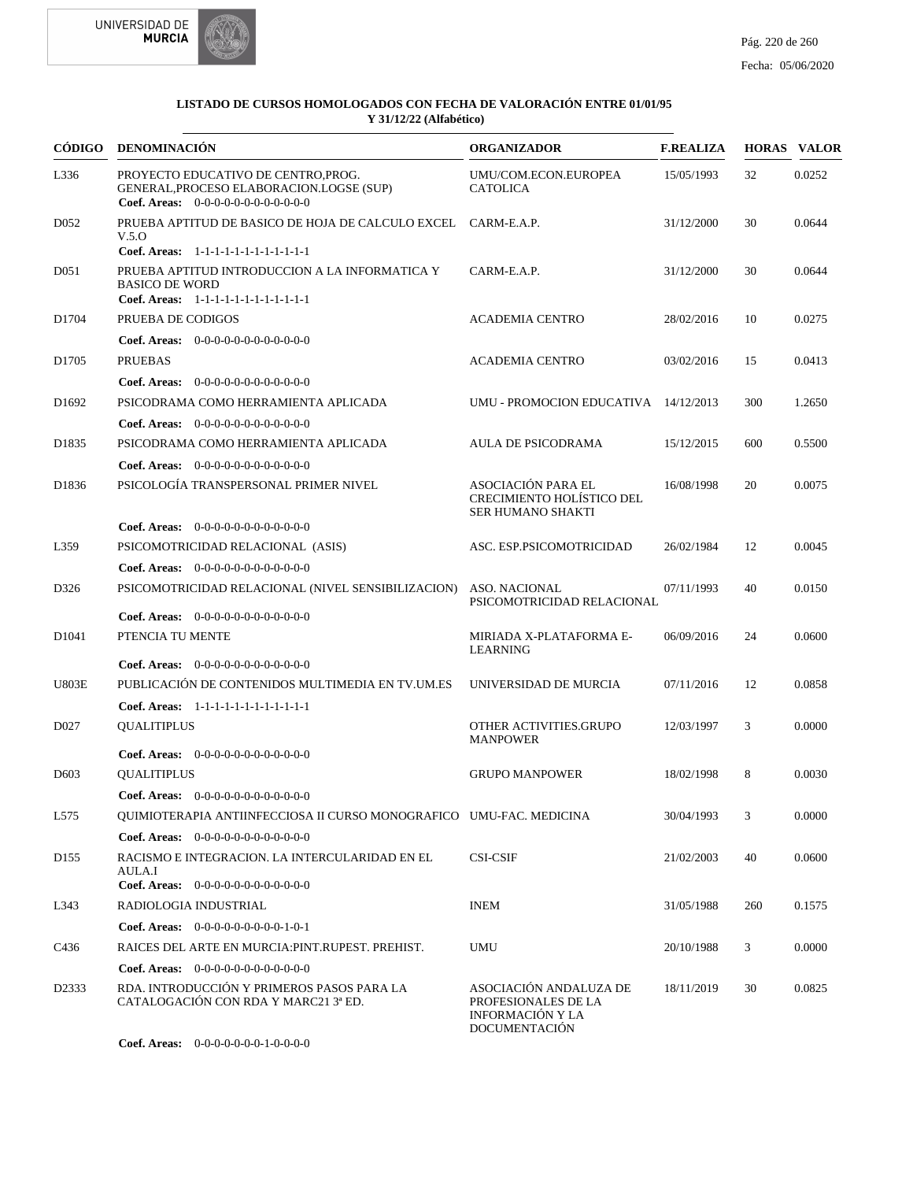



| CÓDIGO            | DENOMINACIÓN                                                                                                            | <b>ORGANIZADOR</b>                                                                        | <b>F.REALIZA</b> |     | <b>HORAS VALOR</b> |
|-------------------|-------------------------------------------------------------------------------------------------------------------------|-------------------------------------------------------------------------------------------|------------------|-----|--------------------|
| L336              | PROYECTO EDUCATIVO DE CENTRO, PROG.<br>GENERAL, PROCESO ELABORACION.LOGSE (SUP)<br>Coef. Areas: $0-0-0-0-0-0-0-0-0-0-0$ | UMU/COM.ECON.EUROPEA<br><b>CATOLICA</b>                                                   | 15/05/1993       | 32  | 0.0252             |
| D <sub>052</sub>  | PRUEBA APTITUD DE BASICO DE HOJA DE CALCULO EXCEL CARM-E.A.P.<br>V.5.0<br>Coef. Areas: 1-1-1-1-1-1-1-1-1-1-1-1-1        |                                                                                           | 31/12/2000       | 30  | 0.0644             |
| D <sub>051</sub>  | PRUEBA APTITUD INTRODUCCION A LA INFORMATICA Y<br><b>BASICO DE WORD</b><br>Coef. Areas: 1-1-1-1-1-1-1-1-1-1-1-1-1       | CARM-E.A.P.                                                                               | 31/12/2000       | 30  | 0.0644             |
| D1704             | PRUEBA DE CODIGOS                                                                                                       | <b>ACADEMIA CENTRO</b>                                                                    | 28/02/2016       | 10  | 0.0275             |
|                   | Coef. Areas: 0-0-0-0-0-0-0-0-0-0-0-0-0                                                                                  |                                                                                           |                  |     |                    |
| D <sub>1705</sub> | <b>PRUEBAS</b>                                                                                                          | <b>ACADEMIA CENTRO</b>                                                                    | 03/02/2016       | 15  | 0.0413             |
|                   | <b>Coef. Areas:</b> $0-0-0-0-0-0-0-0-0-0-0-0$                                                                           |                                                                                           |                  |     |                    |
| D <sub>1692</sub> | PSICODRAMA COMO HERRAMIENTA APLICADA                                                                                    | UMU - PROMOCION EDUCATIVA 14/12/2013                                                      |                  | 300 | 1.2650             |
|                   | <b>Coef. Areas:</b> $0-0-0-0-0-0-0-0-0-0-0-0$                                                                           |                                                                                           |                  |     |                    |
| D1835             | PSICODRAMA COMO HERRAMIENTA APLICADA                                                                                    | AULA DE PSICODRAMA                                                                        | 15/12/2015       | 600 | 0.5500             |
|                   | <b>Coef. Areas:</b> $0-0-0-0-0-0-0-0-0-0-0-0$                                                                           |                                                                                           |                  |     |                    |
| D <sub>1836</sub> | PSICOLOGÍA TRANSPERSONAL PRIMER NIVEL                                                                                   | <b>ASOCIACIÓN PARA EL</b><br>CRECIMIENTO HOLÍSTICO DEL<br><b>SER HUMANO SHAKTI</b>        | 16/08/1998       | 20  | 0.0075             |
|                   | <b>Coef. Areas:</b> $0-0-0-0-0-0-0-0-0-0-0-0$                                                                           |                                                                                           |                  |     |                    |
| L359              | PSICOMOTRICIDAD RELACIONAL (ASIS)                                                                                       | ASC. ESP.PSICOMOTRICIDAD                                                                  | 26/02/1984       | 12  | 0.0045             |
|                   | Coef. Areas: 0-0-0-0-0-0-0-0-0-0-0-0-0                                                                                  |                                                                                           |                  |     |                    |
| D326              | PSICOMOTRICIDAD RELACIONAL (NIVEL SENSIBILIZACION)                                                                      | <b>ASO. NACIONAL</b><br>PSICOMOTRICIDAD RELACIONAL                                        | 07/11/1993       | 40  | 0.0150             |
|                   | <b>Coef. Areas:</b> $0-0-0-0-0-0-0-0-0-0-0-0$                                                                           |                                                                                           |                  |     |                    |
| D <sub>1041</sub> | PTENCIA TU MENTE                                                                                                        | MIRIADA X-PLATAFORMA E-<br>LEARNING                                                       | 06/09/2016       | 24  | 0.0600             |
|                   | <b>Coef. Areas:</b> $0-0-0-0-0-0-0-0-0-0-0-0$                                                                           |                                                                                           |                  |     |                    |
| <b>U803E</b>      | PUBLICACIÓN DE CONTENIDOS MULTIMEDIA EN TV.UM.ES                                                                        | UNIVERSIDAD DE MURCIA                                                                     | 07/11/2016       | 12  | 0.0858             |
|                   | Coef. Areas: 1-1-1-1-1-1-1-1-1-1-1-1-1                                                                                  |                                                                                           |                  |     |                    |
| D <sub>027</sub>  | <b>QUALITIPLUS</b>                                                                                                      | OTHER ACTIVITIES.GRUPO<br><b>MANPOWER</b>                                                 | 12/03/1997       | 3   | 0.0000             |
|                   | <b>Coef. Areas:</b> $0-0-0-0-0-0-0-0-0-0-0-0$                                                                           |                                                                                           |                  |     |                    |
| D <sub>603</sub>  | <b>OUALITIPLUS</b>                                                                                                      | <b>GRUPO MANPOWER</b>                                                                     | 18/02/1998       | 8   | 0.0030             |
|                   | <b>Coef. Areas:</b> $0-0-0-0-0-0-0-0-0-0-0-0$                                                                           |                                                                                           |                  |     |                    |
| L575              | QUIMIOTERAPIA ANTIINFECCIOSA II CURSO MONOGRAFICO UMU-FAC. MEDICINA                                                     |                                                                                           | 30/04/1993       | 3   | 0.0000             |
|                   | Coef. Areas: $0-0-0-0-0-0-0-0-0-0-0$                                                                                    |                                                                                           |                  |     |                    |
| D <sub>155</sub>  | RACISMO E INTEGRACION. LA INTERCULARIDAD EN EL<br>AULA.I                                                                | <b>CSI-CSIF</b>                                                                           | 21/02/2003       | 40  | 0.0600             |
|                   | Coef. Areas: $0-0-0-0-0-0-0-0-0-0-0-0$                                                                                  |                                                                                           |                  |     |                    |
| L343              | RADIOLOGIA INDUSTRIAL                                                                                                   | <b>INEM</b>                                                                               | 31/05/1988       | 260 | 0.1575             |
|                   | Coef. Areas: $0-0-0-0-0-0-0-0-1-0-1$                                                                                    |                                                                                           |                  |     |                    |
| C436              | RAICES DEL ARTE EN MURCIA: PINT. RUPEST. PREHIST.                                                                       | UMU                                                                                       | 20/10/1988       | 3   | 0.0000             |
|                   | Coef. Areas: $0-0-0-0-0-0-0-0-0-0-0$                                                                                    |                                                                                           |                  |     |                    |
| D2333             | RDA. INTRODUCCIÓN Y PRIMEROS PASOS PARA LA<br>CATALOGACIÓN CON RDA Y MARC21 3ª ED.                                      | ASOCIACIÓN ANDALUZA DE<br>PROFESIONALES DE LA<br><b>INFORMACIÓN Y LA</b><br>DOCUMENTACIÓN | 18/11/2019       | 30  | 0.0825             |

0-0-0-0-0-0-0-1-0-0-0-0 **Coef. Areas:**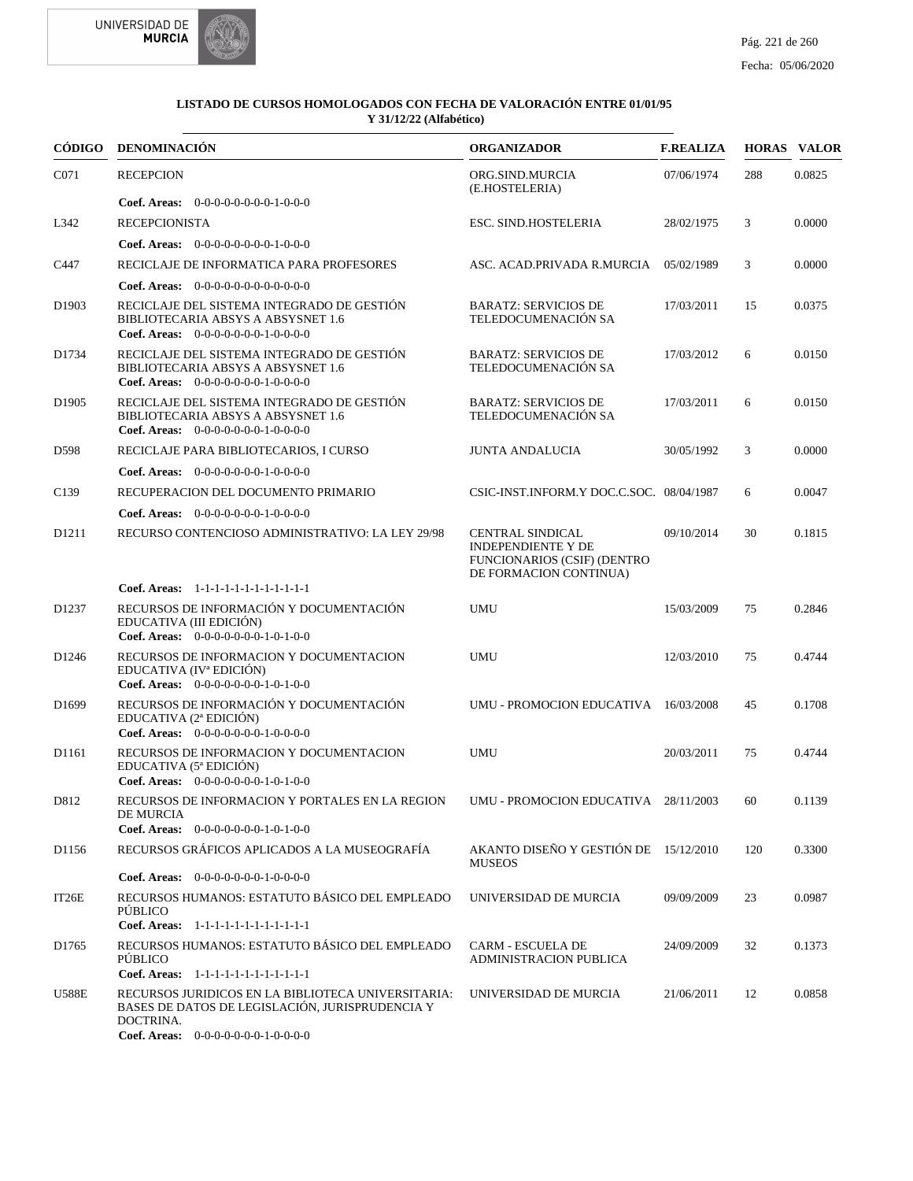



| CÓDIGO            | DENOMINACIÓN                                                                                                             | <b>ORGANIZADOR</b>                                                                                            | <b>F.REALIZA</b> |     | <b>HORAS VALOR</b> |
|-------------------|--------------------------------------------------------------------------------------------------------------------------|---------------------------------------------------------------------------------------------------------------|------------------|-----|--------------------|
| C071              | <b>RECEPCION</b>                                                                                                         | ORG.SIND.MURCIA<br>(E.HOSTELERIA)                                                                             | 07/06/1974       | 288 | 0.0825             |
|                   | Coef. Areas: 0-0-0-0-0-0-0-0-1-0-0-0                                                                                     |                                                                                                               |                  |     |                    |
| L342              | <b>RECEPCIONISTA</b>                                                                                                     | <b>ESC. SIND.HOSTELERIA</b>                                                                                   | 28/02/1975       | 3   | 0.0000             |
|                   | Coef. Areas: $0-0-0-0-0-0-0-1-0-0-0$                                                                                     |                                                                                                               |                  |     |                    |
| C447              | RECICLAJE DE INFORMATICA PARA PROFESORES                                                                                 | ASC. ACAD.PRIVADA R.MURCIA                                                                                    | 05/02/1989       | 3   | 0.0000             |
|                   | <b>Coef. Areas:</b> $0-0-0-0-0-0-0-0-0-0-0-0$                                                                            |                                                                                                               |                  |     |                    |
| D1903             | RECICLAJE DEL SISTEMA INTEGRADO DE GESTIÓN<br>BIBLIOTECARIA ABSYS A ABSYSNET 1.6<br>Coef. Areas: $0-0-0-0-0-0-1-0-0-0-0$ | <b>BARATZ: SERVICIOS DE</b><br>TELEDOCUMENACIÓN SA                                                            | 17/03/2011       | 15  | 0.0375             |
| D1734             | RECICLAJE DEL SISTEMA INTEGRADO DE GESTIÓN<br>BIBLIOTECARIA ABSYS A ABSYSNET 1.6<br>Coef. Areas: $0-0-0-0-0-0-1-0-0-0-0$ | <b>BARATZ: SERVICIOS DE</b><br>TELEDOCUMENACIÓN SA                                                            | 17/03/2012       | 6   | 0.0150             |
| D1905             | RECICLAJE DEL SISTEMA INTEGRADO DE GESTIÓN<br>BIBLIOTECARIA ABSYS A ABSYSNET 1.6<br>Coef. Areas: $0-0-0-0-0-0-1-0-0-0-0$ | <b>BARATZ: SERVICIOS DE</b><br>TELEDOCUMENACIÓN SA                                                            | 17/03/2011       | 6   | 0.0150             |
| D598              | RECICLAJE PARA BIBLIOTECARIOS, I CURSO                                                                                   | <b>JUNTA ANDALUCIA</b>                                                                                        | 30/05/1992       | 3   | 0.0000             |
|                   | Coef. Areas: $0-0-0-0-0-0-1-0-0-0-0$                                                                                     |                                                                                                               |                  |     |                    |
| C <sub>139</sub>  | RECUPERACION DEL DOCUMENTO PRIMARIO                                                                                      | CSIC-INST.INFORM.Y DOC.C.SOC. 08/04/1987                                                                      |                  | 6   | 0.0047             |
|                   | Coef. Areas: $0-0-0-0-0-0-1-0-0-0-0$                                                                                     |                                                                                                               |                  |     |                    |
| D <sub>1211</sub> | RECURSO CONTENCIOSO ADMINISTRATIVO: LA LEY 29/98                                                                         | <b>CENTRAL SINDICAL</b><br><b>INDEPENDIENTE Y DE</b><br>FUNCIONARIOS (CSIF) (DENTRO<br>DE FORMACION CONTINUA) | 09/10/2014       | 30  | 0.1815             |
|                   | Coef. Areas: 1-1-1-1-1-1-1-1-1-1-1-1-1                                                                                   |                                                                                                               |                  |     |                    |
| D <sub>1237</sub> | RECURSOS DE INFORMACIÓN Y DOCUMENTACIÓN<br>EDUCATIVA (III EDICIÓN)                                                       | <b>UMU</b>                                                                                                    | 15/03/2009       | 75  | 0.2846             |
|                   | Coef. Areas: $0-0-0-0-0-0-1-0-1-0-0$                                                                                     |                                                                                                               |                  |     |                    |
| D <sub>1246</sub> | RECURSOS DE INFORMACION Y DOCUMENTACION<br>EDUCATIVA (IV <sup>a</sup> EDICIÓN)<br>Coef. Areas: 0-0-0-0-0-0-0-1-0-1-0-0   | <b>UMU</b>                                                                                                    | 12/03/2010       | 75  | 0.4744             |
| D <sub>1699</sub> | RECURSOS DE INFORMACIÓN Y DOCUMENTACIÓN<br>EDUCATIVA (2ª EDICIÓN)<br>Coef. Areas: $0-0-0-0-0-0-1-0-0-0-0$                | UMU - PROMOCION EDUCATIVA 16/03/2008                                                                          |                  | 45  | 0.1708             |
| D1161             | RECURSOS DE INFORMACION Y DOCUMENTACION<br>EDUCATIVA (5ª EDICIÓN)<br>Coef. Areas: $0-0-0-0-0-0-1-0-1-0-0$                | <b>UMU</b>                                                                                                    | 20/03/2011       | 75  | 0.4744             |
| D812              | RECURSOS DE INFORMACION Y PORTALES EN LA REGION<br>DE MURCIA<br>Coef. Areas: 0-0-0-0-0-0-0-1-0-1-0-0                     | UMU - PROMOCION EDUCATIVA 28/11/2003                                                                          |                  | 60  | 0.1139             |
| D1156             | RECURSOS GRÁFICOS APLICADOS A LA MUSEOGRAFÍA                                                                             | AKANTO DISEÑO Y GESTIÓN DE 15/12/2010<br><b>MUSEOS</b>                                                        |                  | 120 | 0.3300             |
|                   | Coef. Areas: $0-0-0-0-0-0-1-0-0-0-0$                                                                                     |                                                                                                               |                  |     |                    |
| IT26E             | RECURSOS HUMANOS: ESTATUTO BÁSICO DEL EMPLEADO<br>PÚBLICO                                                                | UNIVERSIDAD DE MURCIA                                                                                         | 09/09/2009       | 23  | 0.0987             |
|                   | Coef. Areas: 1-1-1-1-1-1-1-1-1-1-1-1-1                                                                                   |                                                                                                               |                  |     |                    |
| D1765             | RECURSOS HUMANOS: ESTATUTO BÁSICO DEL EMPLEADO<br>PÚBLICO<br>Coef. Areas: 1-1-1-1-1-1-1-1-1-1-1-1-1                      | <b>CARM - ESCUELA DE</b><br><b>ADMINISTRACION PUBLICA</b>                                                     | 24/09/2009       | 32  | 0.1373             |
| <b>U588E</b>      | RECURSOS JURIDICOS EN LA BIBLIOTECA UNIVERSITARIA:<br>BASES DE DATOS DE LEGISLACIÓN, JURISPRUDENCIA Y<br>DOCTRINA.       | UNIVERSIDAD DE MURCIA                                                                                         | 21/06/2011       | 12  | 0.0858             |
|                   | Coef. Areas: $0-0-0-0-0-0-1-0-0-0-0$                                                                                     |                                                                                                               |                  |     |                    |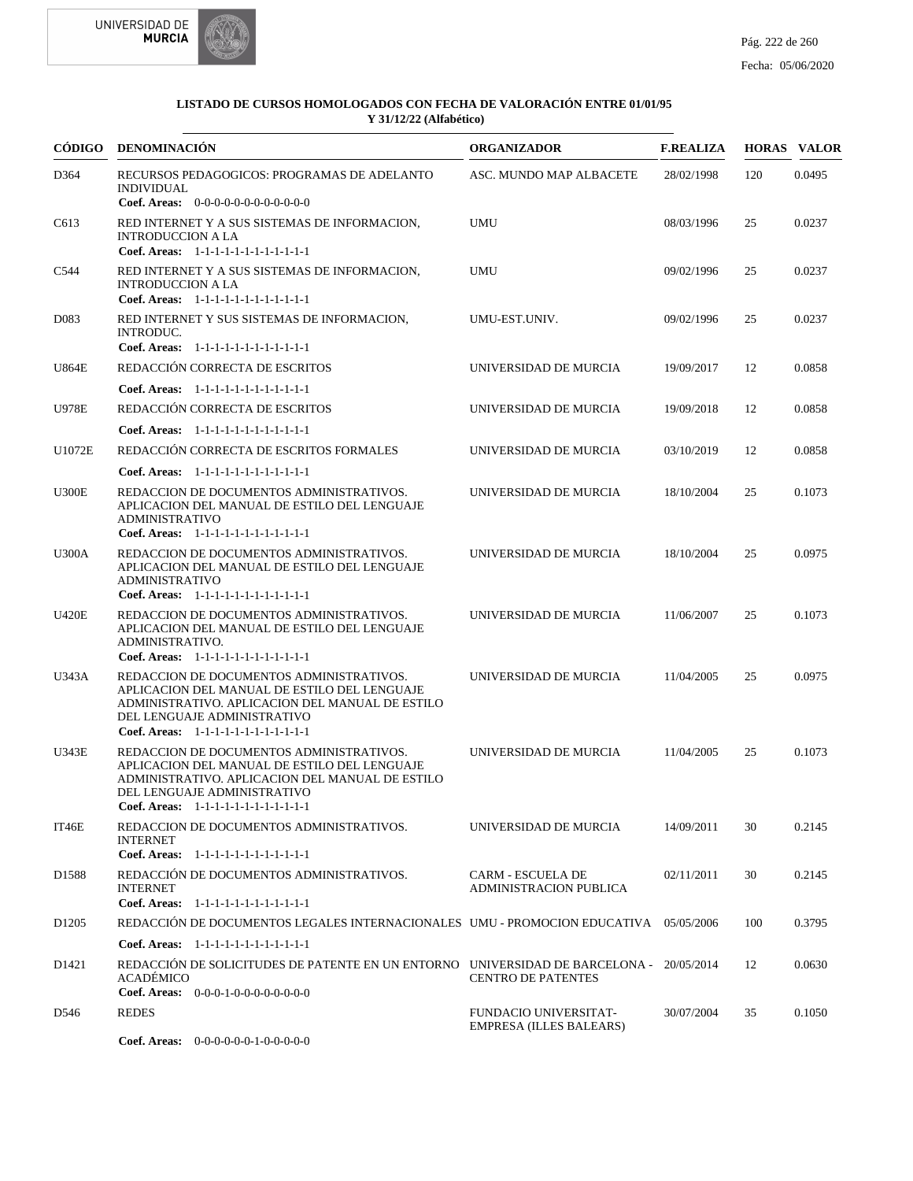



|                   | CÓDIGO DENOMINACIÓN                                                                                                                                                                                                  | <b>ORGANIZADOR</b>                                        | <b>F.REALIZA</b> |     | <b>HORAS VALOR</b> |
|-------------------|----------------------------------------------------------------------------------------------------------------------------------------------------------------------------------------------------------------------|-----------------------------------------------------------|------------------|-----|--------------------|
| D364              | RECURSOS PEDAGOGICOS: PROGRAMAS DE ADELANTO<br><b>INDIVIDUAL</b><br>Coef. Areas: 0-0-0-0-0-0-0-0-0-0-0-0-0                                                                                                           | ASC. MUNDO MAP ALBACETE                                   | 28/02/1998       | 120 | 0.0495             |
| C613              | RED INTERNET Y A SUS SISTEMAS DE INFORMACION,<br><b>INTRODUCCION A LA</b><br>Coef. Areas: 1-1-1-1-1-1-1-1-1-1-1-1-1                                                                                                  | <b>UMU</b>                                                | 08/03/1996       | 25  | 0.0237             |
| C544              | RED INTERNET Y A SUS SISTEMAS DE INFORMACION,<br><b>INTRODUCCION A LA</b><br>Coef. Areas: $1-1-1-1-1-1-1-1-1-1-1$                                                                                                    | <b>UMU</b>                                                | 09/02/1996       | 25  | 0.0237             |
| D <sub>0</sub> 83 | RED INTERNET Y SUS SISTEMAS DE INFORMACION,<br><b>INTRODUC.</b><br>Coef. Areas: 1-1-1-1-1-1-1-1-1-1-1-1-1                                                                                                            | UMU-EST.UNIV.                                             | 09/02/1996       | 25  | 0.0237             |
| <b>U864E</b>      | REDACCIÓN CORRECTA DE ESCRITOS                                                                                                                                                                                       | UNIVERSIDAD DE MURCIA                                     | 19/09/2017       | 12  | 0.0858             |
|                   | Coef. Areas: $1-1-1-1-1-1-1-1-1-1-1$                                                                                                                                                                                 |                                                           |                  |     |                    |
| <b>U978E</b>      | REDACCIÓN CORRECTA DE ESCRITOS                                                                                                                                                                                       | UNIVERSIDAD DE MURCIA                                     | 19/09/2018       | 12  | 0.0858             |
|                   | Coef. Areas: 1-1-1-1-1-1-1-1-1-1-1-1-1                                                                                                                                                                               |                                                           |                  |     |                    |
| U1072E            | REDACCIÓN CORRECTA DE ESCRITOS FORMALES                                                                                                                                                                              | UNIVERSIDAD DE MURCIA                                     | 03/10/2019       | 12  | 0.0858             |
|                   | Coef. Areas: 1-1-1-1-1-1-1-1-1-1-1-1-1                                                                                                                                                                               |                                                           |                  |     |                    |
| <b>U300E</b>      | REDACCION DE DOCUMENTOS ADMINISTRATIVOS.<br>APLICACION DEL MANUAL DE ESTILO DEL LENGUAJE<br><b>ADMINISTRATIVO</b>                                                                                                    | UNIVERSIDAD DE MURCIA                                     | 18/10/2004       | 25  | 0.1073             |
| <b>U300A</b>      | Coef. Areas: 1-1-1-1-1-1-1-1-1-1-1-1-1<br>REDACCION DE DOCUMENTOS ADMINISTRATIVOS.<br>APLICACION DEL MANUAL DE ESTILO DEL LENGUAJE<br><b>ADMINISTRATIVO</b><br>Coef. Areas: 1-1-1-1-1-1-1-1-1-1-1-1-1                | UNIVERSIDAD DE MURCIA                                     | 18/10/2004       | 25  | 0.0975             |
| <b>U420E</b>      | REDACCION DE DOCUMENTOS ADMINISTRATIVOS.<br>APLICACION DEL MANUAL DE ESTILO DEL LENGUAJE<br>ADMINISTRATIVO.                                                                                                          | UNIVERSIDAD DE MURCIA                                     | 11/06/2007       | 25  | 0.1073             |
| U343A             | Coef. Areas: 1-1-1-1-1-1-1-1-1-1-1-1-1<br>REDACCION DE DOCUMENTOS ADMINISTRATIVOS.                                                                                                                                   | UNIVERSIDAD DE MURCIA                                     | 11/04/2005       | 25  | 0.0975             |
|                   | APLICACION DEL MANUAL DE ESTILO DEL LENGUAJE<br>ADMINISTRATIVO. APLICACION DEL MANUAL DE ESTILO<br>DEL LENGUAJE ADMINISTRATIVO<br>Coef. Areas: 1-1-1-1-1-1-1-1-1-1-1-1-1                                             |                                                           |                  |     |                    |
| <b>U343E</b>      | REDACCION DE DOCUMENTOS ADMINISTRATIVOS.<br>APLICACION DEL MANUAL DE ESTILO DEL LENGUAJE<br>ADMINISTRATIVO. APLICACION DEL MANUAL DE ESTILO<br>DEL LENGUAJE ADMINISTRATIVO<br>Coef. Areas: 1-1-1-1-1-1-1-1-1-1-1-1-1 | UNIVERSIDAD DE MURCIA                                     | 11/04/2005       | 25  | 0.1073             |
| IT46E             | REDACCION DE DOCUMENTOS ADMINISTRATIVOS.<br><b>INTERNET</b><br>Coef. Areas: 1-1-1-1-1-1-1-1-1-1-1-1-1                                                                                                                | UNIVERSIDAD DE MURCIA                                     | 14/09/2011       | 30  | 0.2145             |
| D1588             | REDACCIÓN DE DOCUMENTOS ADMINISTRATIVOS.<br><b>INTERNET</b><br>Coef. Areas: 1-1-1-1-1-1-1-1-1-1-1-1-1                                                                                                                | <b>CARM - ESCUELA DE</b><br><b>ADMINISTRACION PUBLICA</b> | 02/11/2011       | 30  | 0.2145             |
| D <sub>1205</sub> | REDACCIÓN DE DOCUMENTOS LEGALES INTERNACIONALES UMU - PROMOCIÓN EDUCATIVA 05/05/2006                                                                                                                                 |                                                           |                  | 100 | 0.3795             |
|                   | Coef. Areas: 1-1-1-1-1-1-1-1-1-1-1-1-1                                                                                                                                                                               |                                                           |                  |     |                    |
| D <sub>1421</sub> | REDACCIÓN DE SOLICITUDES DE PATENTE EN UN ENTORNO UNIVERSIDAD DE BARCELONA - 20/05/2014<br>ACADÉMICO<br>Coef. Areas: $0-0-0-1-0-0-0-0-0-0-0$                                                                         | <b>CENTRO DE PATENTES</b>                                 |                  | 12  | 0.0630             |
| D546              | <b>REDES</b>                                                                                                                                                                                                         | FUNDACIO UNIVERSITAT-<br><b>EMPRESA (ILLES BALEARS)</b>   | 30/07/2004       | 35  | 0.1050             |
|                   | Coef. Areas: $0-0-0-0-0-1-0-0-0-0-0$                                                                                                                                                                                 |                                                           |                  |     |                    |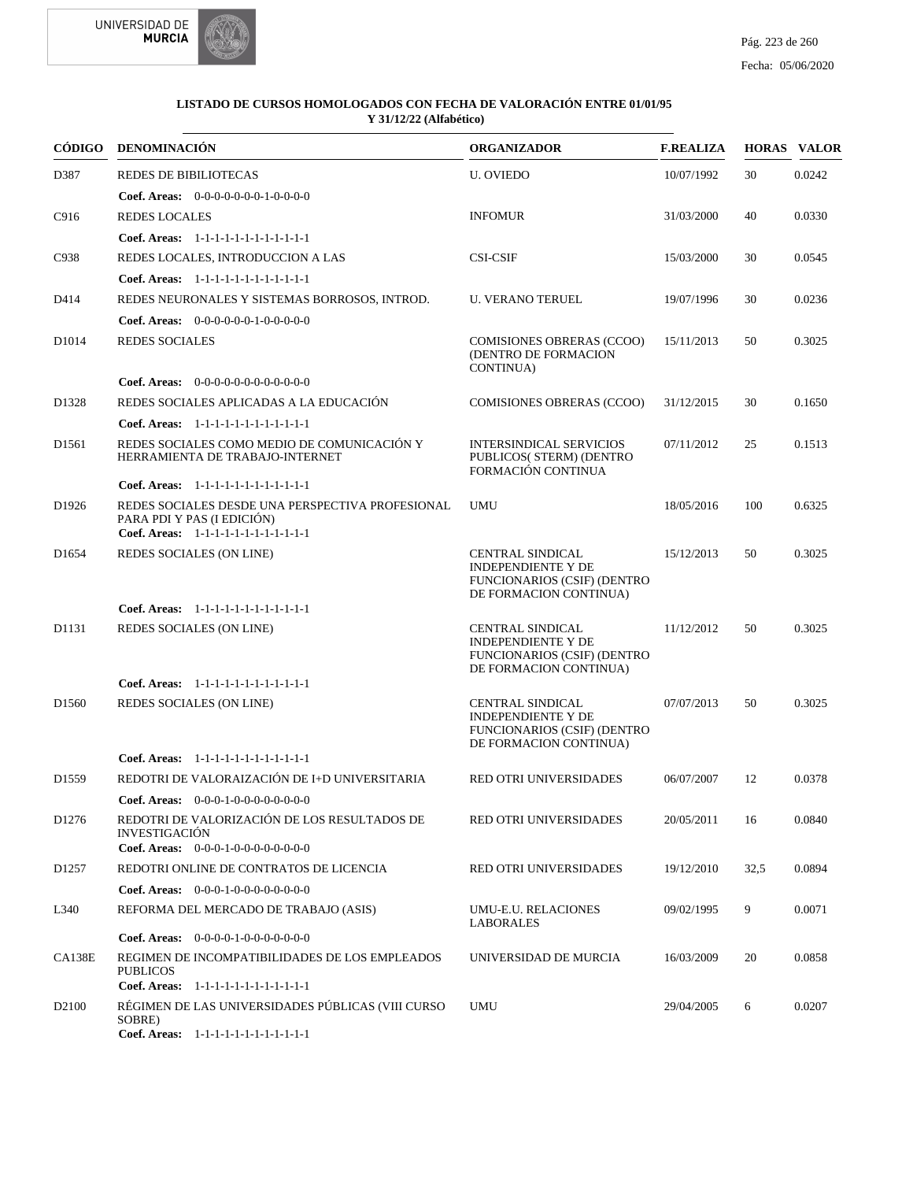

| CÓDIGO            | DENOMINACIÓN                                                                                                             | <b>ORGANIZADOR</b>                                                                                                   | <b>F.REALIZA</b> |      | <b>HORAS VALOR</b> |
|-------------------|--------------------------------------------------------------------------------------------------------------------------|----------------------------------------------------------------------------------------------------------------------|------------------|------|--------------------|
| D387              | <b>REDES DE BIBILIOTECAS</b>                                                                                             | <b>U. OVIEDO</b>                                                                                                     | 10/07/1992       | 30   | 0.0242             |
|                   | <b>Coef. Areas:</b> $0-0-0-0-0-0-1-0-0-0-0$                                                                              |                                                                                                                      |                  |      |                    |
| C916              | <b>REDES LOCALES</b>                                                                                                     | <b>INFOMUR</b>                                                                                                       | 31/03/2000       | 40   | 0.0330             |
|                   | Coef. Areas: 1-1-1-1-1-1-1-1-1-1-1-1-1                                                                                   |                                                                                                                      |                  |      |                    |
| C938              | REDES LOCALES, INTRODUCCION A LAS                                                                                        | <b>CSI-CSIF</b>                                                                                                      | 15/03/2000       | 30   | 0.0545             |
|                   | Coef. Areas: $1-1-1-1-1-1-1-1-1-1-1$                                                                                     |                                                                                                                      |                  |      |                    |
| D414              | REDES NEURONALES Y SISTEMAS BORROSOS, INTROD.                                                                            | <b>U. VERANO TERUEL</b>                                                                                              | 19/07/1996       | 30   | 0.0236             |
|                   | Coef. Areas: $0-0-0-0-0-1-0-0-0-0-0$                                                                                     |                                                                                                                      |                  |      |                    |
| D <sub>1014</sub> | <b>REDES SOCIALES</b>                                                                                                    | <b>COMISIONES OBRERAS (CCOO)</b><br>(DENTRO DE FORMACION<br><b>CONTINUA</b> )                                        | 15/11/2013       | 50   | 0.3025             |
|                   | <b>Coef. Areas:</b> $0-0-0-0-0-0-0-0-0-0-0-0$                                                                            |                                                                                                                      |                  |      |                    |
| D1328             | REDES SOCIALES APLICADAS A LA EDUCACIÓN                                                                                  | <b>COMISIONES OBRERAS (CCOO)</b>                                                                                     | 31/12/2015       | 30   | 0.1650             |
|                   | Coef. Areas: 1-1-1-1-1-1-1-1-1-1-1-1-1                                                                                   |                                                                                                                      |                  |      |                    |
| D1561             | REDES SOCIALES COMO MEDIO DE COMUNICACIÓN Y<br>HERRAMIENTA DE TRABAJO-INTERNET                                           | <b>INTERSINDICAL SERVICIOS</b><br>PUBLICOS( STERM) (DENTRO<br>FORMACIÓN CONTINUA                                     | 07/11/2012       | 25   | 0.1513             |
|                   | Coef. Areas: 1-1-1-1-1-1-1-1-1-1-1-1-1                                                                                   |                                                                                                                      |                  |      |                    |
| D1926             | REDES SOCIALES DESDE UNA PERSPECTIVA PROFESIONAL<br>PARA PDI Y PAS (I EDICIÓN)<br>Coef. Areas: 1-1-1-1-1-1-1-1-1-1-1-1-1 | UMU                                                                                                                  | 18/05/2016       | 100  | 0.6325             |
| D1654             | REDES SOCIALES (ON LINE)                                                                                                 | <b>CENTRAL SINDICAL</b><br><b>INDEPENDIENTE Y DE</b><br><b>FUNCIONARIOS (CSIF) (DENTRO</b><br>DE FORMACION CONTINUA) | 15/12/2013       | 50   | 0.3025             |
|                   | Coef. Areas: 1-1-1-1-1-1-1-1-1-1-1-1-1                                                                                   |                                                                                                                      |                  |      |                    |
| D1131             | REDES SOCIALES (ON LINE)                                                                                                 | <b>CENTRAL SINDICAL</b><br><b>INDEPENDIENTE Y DE</b><br><b>FUNCIONARIOS (CSIF) (DENTRO</b><br>DE FORMACION CONTINUA) | 11/12/2012       | 50   | 0.3025             |
|                   | Coef. Areas: 1-1-1-1-1-1-1-1-1-1-1-1-1                                                                                   |                                                                                                                      |                  |      |                    |
| D <sub>1560</sub> | REDES SOCIALES (ON LINE)                                                                                                 | CENTRAL SINDICAL<br><b>INDEPENDIENTE Y DE</b><br><b>FUNCIONARIOS (CSIF) (DENTRO</b><br>DE FORMACION CONTINUA)        | 07/07/2013       | 50   | 0.3025             |
|                   | Coef. Areas: 1-1-1-1-1-1-1-1-1-1-1-1-1                                                                                   |                                                                                                                      |                  |      |                    |
| D <sub>1559</sub> | REDOTRI DE VALORAIZACIÓN DE I+D UNIVERSITARIA                                                                            | <b>RED OTRI UNIVERSIDADES</b>                                                                                        | 06/07/2007       | 12   | 0.0378             |
|                   | <b>Coef. Areas:</b> $0-0-0-1-0-0-0-0-0-0-0$                                                                              |                                                                                                                      |                  |      |                    |
| D <sub>1276</sub> | REDOTRI DE VALORIZACIÓN DE LOS RESULTADOS DE<br><b>INVESTIGACIÓN</b><br>Coef. Areas: $0-0-0-1-0-0-0-0-0-0-0$             | RED OTRI UNIVERSIDADES                                                                                               | 20/05/2011       | 16   | 0.0840             |
| D <sub>1257</sub> | REDOTRI ONLINE DE CONTRATOS DE LICENCIA                                                                                  | RED OTRI UNIVERSIDADES                                                                                               | 19/12/2010       | 32,5 | 0.0894             |
|                   | Coef. Areas: 0-0-0-1-0-0-0-0-0-0-0-0                                                                                     |                                                                                                                      |                  |      |                    |
| L340              | REFORMA DEL MERCADO DE TRABAJO (ASIS)                                                                                    | UMU-E.U. RELACIONES<br><b>LABORALES</b>                                                                              | 09/02/1995       | 9    | 0.0071             |
|                   | Coef. Areas: $0-0-0-0-1-0-0-0-0-0-0$                                                                                     |                                                                                                                      |                  |      |                    |
| <b>CA138E</b>     | REGIMEN DE INCOMPATIBILIDADES DE LOS EMPLEADOS<br><b>PUBLICOS</b><br>Coef. Areas: 1-1-1-1-1-1-1-1-1-1-1-1-1              | UNIVERSIDAD DE MURCIA                                                                                                | 16/03/2009       | 20   | 0.0858             |
| D <sub>2100</sub> | RÉGIMEN DE LAS UNIVERSIDADES PÚBLICAS (VIII CURSO<br>SOBRE)<br>Coef. Areas: 1-1-1-1-1-1-1-1-1-1-1-1-1                    | UMU                                                                                                                  | 29/04/2005       | 6    | 0.0207             |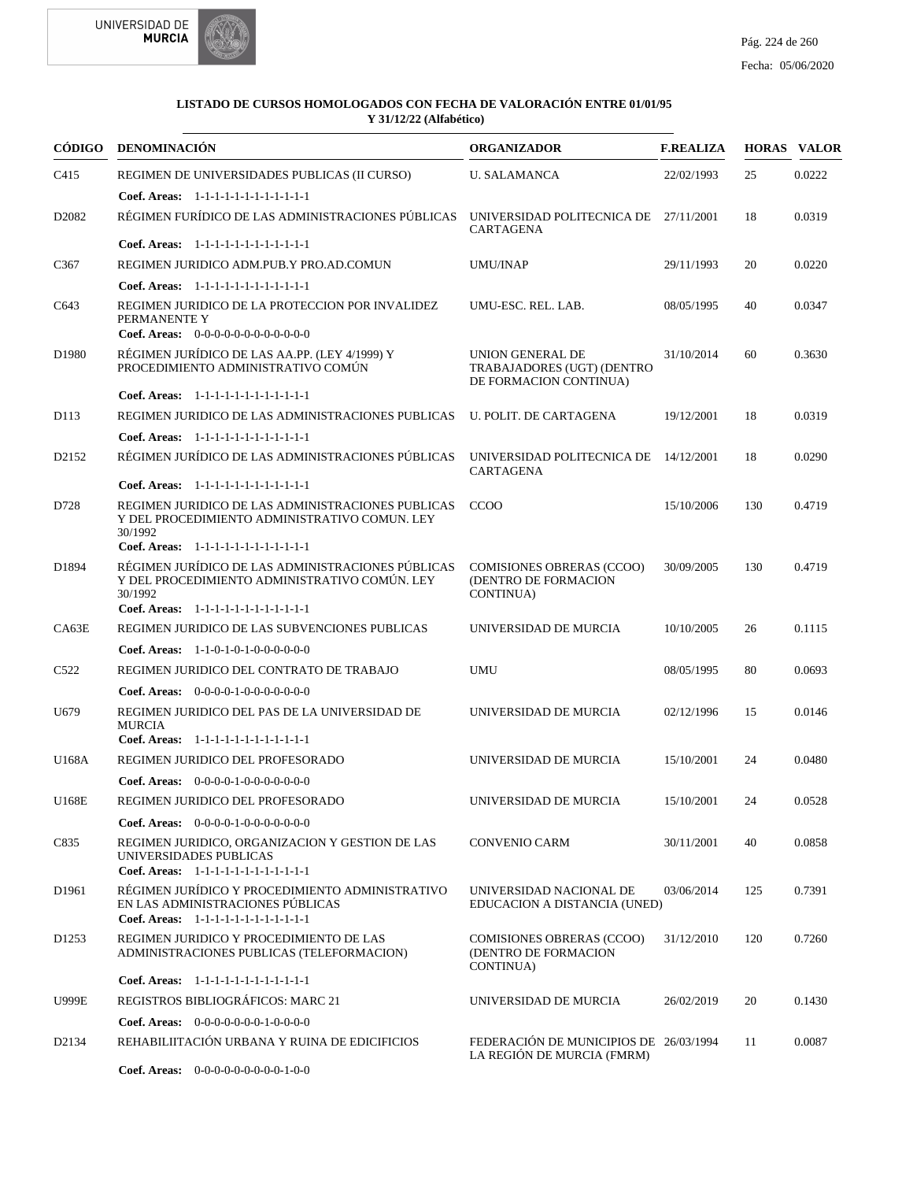



| CÓDIGO            | <b>DENOMINACIÓN</b>                                                                                                                                     | <b>ORGANIZADOR</b>                                                              | <b>F.REALIZA</b> |     | <b>HORAS VALOR</b> |
|-------------------|---------------------------------------------------------------------------------------------------------------------------------------------------------|---------------------------------------------------------------------------------|------------------|-----|--------------------|
| C <sub>415</sub>  | REGIMEN DE UNIVERSIDADES PUBLICAS (II CURSO)                                                                                                            | <b>U. SALAMANCA</b>                                                             | 22/02/1993       | 25  | 0.0222             |
|                   | Coef. Areas: 1-1-1-1-1-1-1-1-1-1-1-1-1                                                                                                                  |                                                                                 |                  |     |                    |
| D <sub>2082</sub> | RÉGIMEN FURÍDICO DE LAS ADMINISTRACIONES PÚBLICAS                                                                                                       | UNIVERSIDAD POLITECNICA DE<br><b>CARTAGENA</b>                                  | 27/11/2001       | 18  | 0.0319             |
|                   | Coef. Areas: $1-1-1-1-1-1-1-1-1-1-1$                                                                                                                    |                                                                                 |                  |     |                    |
| C <sub>367</sub>  | REGIMEN JURIDICO ADM.PUB.Y PRO.AD.COMUN                                                                                                                 | <b>UMU/INAP</b>                                                                 | 29/11/1993       | 20  | 0.0220             |
|                   | Coef. Areas: 1-1-1-1-1-1-1-1-1-1-1-1-1                                                                                                                  |                                                                                 |                  |     |                    |
| C643              | REGIMEN JURIDICO DE LA PROTECCION POR INVALIDEZ<br>PERMANENTE Y<br>Coef. Areas: $0-0-0-0-0-0-0-0-0-0-0-0$                                               | UMU-ESC. REL. LAB.                                                              | 08/05/1995       | 40  | 0.0347             |
| D1980             | RÉGIMEN JURÍDICO DE LAS AA.PP. (LEY 4/1999) Y<br>PROCEDIMIENTO ADMINISTRATIVO COMÚN                                                                     | <b>UNION GENERAL DE</b><br>TRABAJADORES (UGT) (DENTRO<br>DE FORMACION CONTINUA) | 31/10/2014       | 60  | 0.3630             |
|                   | Coef. Areas: 1-1-1-1-1-1-1-1-1-1-1-1-1                                                                                                                  |                                                                                 |                  |     |                    |
| D113              | REGIMEN JURIDICO DE LAS ADMINISTRACIONES PUBLICAS                                                                                                       | U. POLIT. DE CARTAGENA                                                          | 19/12/2001       | 18  | 0.0319             |
|                   | Coef. Areas: 1-1-1-1-1-1-1-1-1-1-1-1-1                                                                                                                  |                                                                                 |                  |     |                    |
| D <sub>2152</sub> | RÉGIMEN JURÍDICO DE LAS ADMINISTRACIONES PÚBLICAS                                                                                                       | UNIVERSIDAD POLITECNICA DE 14/12/2001<br><b>CARTAGENA</b>                       |                  | 18  | 0.0290             |
|                   | Coef. Areas: 1-1-1-1-1-1-1-1-1-1-1-1-1                                                                                                                  |                                                                                 |                  |     |                    |
| D728              | REGIMEN JURIDICO DE LAS ADMINISTRACIONES PUBLICAS<br>Y DEL PROCEDIMIENTO ADMINISTRATIVO COMUN. LEY<br>30/1992<br>Coef. Areas: 1-1-1-1-1-1-1-1-1-1-1-1-1 | CCOO                                                                            | 15/10/2006       | 130 | 0.4719             |
| D1894             | RÉGIMEN JURÍDICO DE LAS ADMINISTRACIONES PÚBLICAS                                                                                                       | <b>COMISIONES OBRERAS (CCOO)</b>                                                | 30/09/2005       | 130 | 0.4719             |
|                   | Y DEL PROCEDIMIENTO ADMINISTRATIVO COMÚN. LEY<br>30/1992<br>Coef. Areas: 1-1-1-1-1-1-1-1-1-1-1-1-1                                                      | (DENTRO DE FORMACION<br>CONTINUA)                                               |                  |     |                    |
| CA63E             | REGIMEN JURIDICO DE LAS SUBVENCIONES PUBLICAS                                                                                                           | UNIVERSIDAD DE MURCIA                                                           | 10/10/2005       | 26  | 0.1115             |
|                   | <b>Coef. Areas:</b> $1-1-0-1-0-1-0-0-0-0-0-0$                                                                                                           |                                                                                 |                  |     |                    |
| C <sub>522</sub>  | REGIMEN JURIDICO DEL CONTRATO DE TRABAJO                                                                                                                | <b>UMU</b>                                                                      | 08/05/1995       | 80  | 0.0693             |
|                   | Coef. Areas: $0-0-0-0-1-0-0-0-0-0-0-0$                                                                                                                  |                                                                                 |                  |     |                    |
| U679              | REGIMEN JURIDICO DEL PAS DE LA UNIVERSIDAD DE                                                                                                           | UNIVERSIDAD DE MURCIA                                                           | 02/12/1996       | 15  | 0.0146             |
|                   | <b>MURCIA</b><br>Coef. Areas: 1-1-1-1-1-1-1-1-1-1-1-1-1                                                                                                 |                                                                                 |                  |     |                    |
| U168A             | REGIMEN JURIDICO DEL PROFESORADO                                                                                                                        | UNIVERSIDAD DE MURCIA                                                           | 15/10/2001       | 24  | 0.0480             |
|                   | Coef. Areas: $0-0-0-0-1-0-0-0-0-0-0$                                                                                                                    |                                                                                 |                  |     |                    |
| U168E             | REGIMEN JURIDICO DEL PROFESORADO                                                                                                                        | UNIVERSIDAD DE MURCIA                                                           | 15/10/2001       | 24  | 0.0528             |
|                   | <b>Coef. Areas:</b> $0-0-0-0-1-0-0-0-0-0-0-0$                                                                                                           |                                                                                 |                  |     |                    |
| C835              | REGIMEN JURIDICO, ORGANIZACION Y GESTION DE LAS<br>UNIVERSIDADES PUBLICAS<br>Coef. Areas: 1-1-1-1-1-1-1-1-1-1-1-1-1                                     | <b>CONVENIO CARM</b>                                                            | 30/11/2001       | 40  | 0.0858             |
| D1961             | RÉGIMEN JURÍDICO Y PROCEDIMIENTO ADMINISTRATIVO                                                                                                         | UNIVERSIDAD NACIONAL DE                                                         | 03/06/2014       | 125 | 0.7391             |
|                   | EN LAS ADMINISTRACIONES PÚBLICAS<br>Coef. Areas: 1-1-1-1-1-1-1-1-1-1-1-1-1                                                                              | EDUCACION A DISTANCIA (UNED)                                                    |                  |     |                    |
| D <sub>1253</sub> | REGIMEN JURIDICO Y PROCEDIMIENTO DE LAS<br>ADMINISTRACIONES PUBLICAS (TELEFORMACION)                                                                    | <b>COMISIONES OBRERAS (CCOO)</b><br>(DENTRO DE FORMACION<br>CONTINUA)           | 31/12/2010       | 120 | 0.7260             |
|                   | Coef. Areas: 1-1-1-1-1-1-1-1-1-1-1-1-1                                                                                                                  |                                                                                 |                  |     |                    |
| <b>U999E</b>      | REGISTROS BIBLIOGRÁFICOS: MARC 21                                                                                                                       | UNIVERSIDAD DE MURCIA                                                           | 26/02/2019       | 20  | 0.1430             |
|                   | Coef. Areas: $0-0-0-0-0-0-1-0-0-0-0$                                                                                                                    |                                                                                 |                  |     |                    |
| D2134             | REHABILIITACIÓN URBANA Y RUINA DE EDICIFICIOS                                                                                                           | FEDERACIÓN DE MUNICIPIOS DE 26/03/1994<br>LA REGIÓN DE MURCIA (FMRM)            |                  | 11  | 0.0087             |
|                   | Coef. Areas: 0-0-0-0-0-0-0-0-0-1-0-0                                                                                                                    |                                                                                 |                  |     |                    |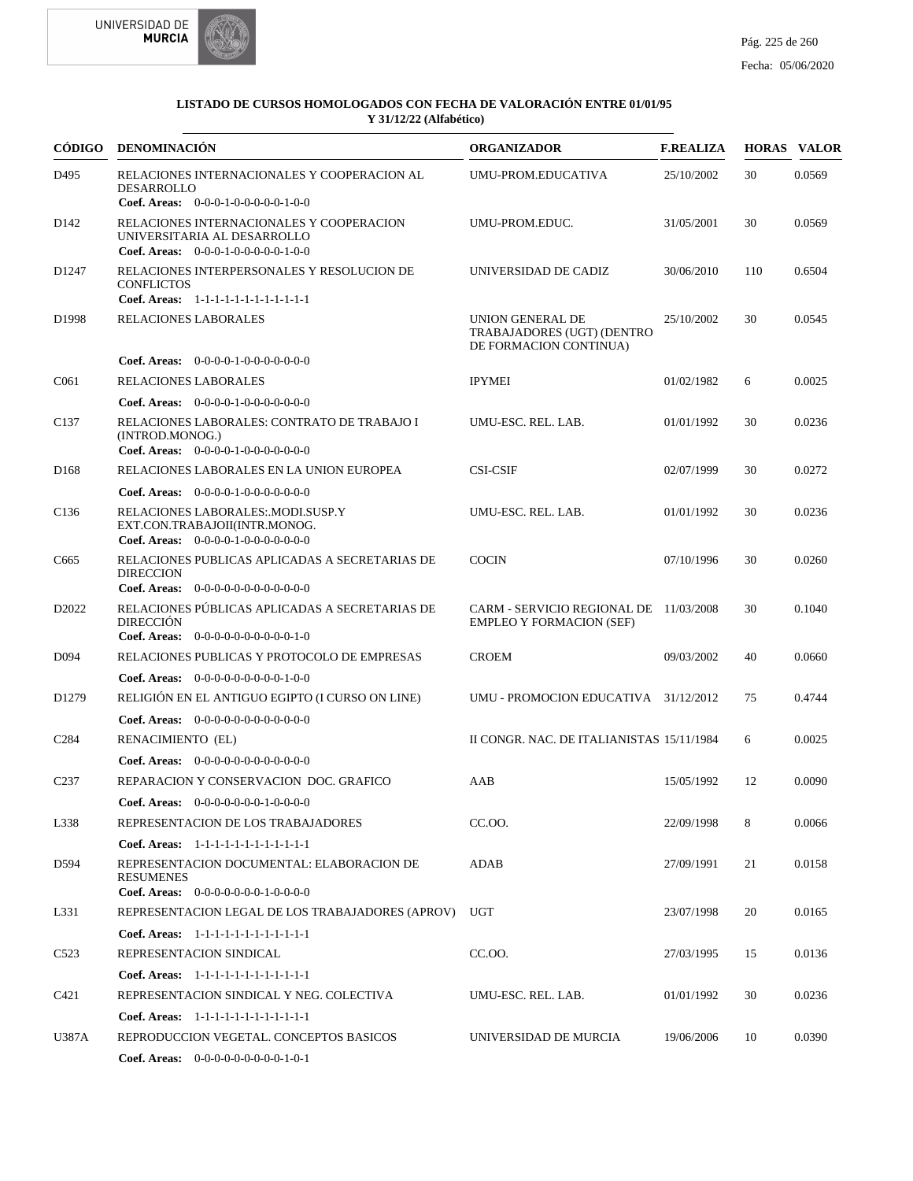



| CÓDIGO            | <b>DENOMINACIÓN</b>                                                                                             | <b>ORGANIZADOR</b>                                                        | <b>F.REALIZA</b> |     | <b>HORAS VALOR</b> |
|-------------------|-----------------------------------------------------------------------------------------------------------------|---------------------------------------------------------------------------|------------------|-----|--------------------|
| D495              | RELACIONES INTERNACIONALES Y COOPERACION AL<br>DESARROLLO<br>Coef. Areas: $0-0-0-1-0-0-0-0-1-0-0$               | UMU-PROM.EDUCATIVA                                                        | 25/10/2002       | 30  | 0.0569             |
| D <sub>142</sub>  | RELACIONES INTERNACIONALES Y COOPERACION<br>UNIVERSITARIA AL DESARROLLO<br>Coef. Areas: $0-0-0-1-0-0-0-0-1-0-0$ | UMU-PROM.EDUC.                                                            | 31/05/2001       | 30  | 0.0569             |
| D <sub>1247</sub> | RELACIONES INTERPERSONALES Y RESOLUCION DE<br><b>CONFLICTOS</b>                                                 | UNIVERSIDAD DE CADIZ                                                      | 30/06/2010       | 110 | 0.6504             |
| D <sub>1998</sub> | Coef. Areas: 1-1-1-1-1-1-1-1-1-1-1-1-1<br>RELACIONES LABORALES                                                  | UNION GENERAL DE<br>TRABAJADORES (UGT) (DENTRO<br>DE FORMACION CONTINUA)  | 25/10/2002       | 30  | 0.0545             |
|                   | <b>Coef. Areas:</b> $0-0-0-0-1-0-0-0-0-0-0-0$                                                                   |                                                                           |                  |     |                    |
| C <sub>061</sub>  | RELACIONES LABORALES                                                                                            | <b>IPYMEI</b>                                                             | 01/02/1982       | 6   | 0.0025             |
|                   | <b>Coef. Areas:</b> $0-0-0-0-1-0-0-0-0-0-0-0$                                                                   |                                                                           |                  |     |                    |
| C <sub>137</sub>  | RELACIONES LABORALES: CONTRATO DE TRABAJO I<br>(INTROD.MONOG.)<br>Coef. Areas: $0-0-0-0-1-0-0-0-0-0-0$          | UMU-ESC. REL. LAB.                                                        | 01/01/1992       | 30  | 0.0236             |
| D <sub>168</sub>  | RELACIONES LABORALES EN LA UNION EUROPEA                                                                        | <b>CSI-CSIF</b>                                                           | 02/07/1999       | 30  | 0.0272             |
|                   | Coef. Areas: $0-0-0-0-1-0-0-0-0-0-0$                                                                            |                                                                           |                  |     |                    |
| C <sub>136</sub>  | RELACIONES LABORALES: MODI SUSP Y<br>EXT.CON.TRABAJOII(INTR.MONOG.<br>Coef. Areas: $0-0-0-0-1-0-0-0-0-0-0$      | UMU-ESC. REL. LAB.                                                        | 01/01/1992       | 30  | 0.0236             |
| C665              | RELACIONES PUBLICAS APLICADAS A SECRETARIAS DE<br><b>DIRECCION</b><br>Coef. Areas: $0-0-0-0-0-0-0-0-0-0-0$      | <b>COCIN</b>                                                              | 07/10/1996       | 30  | 0.0260             |
| D <sub>2022</sub> | RELACIONES PÚBLICAS APLICADAS A SECRETARIAS DE<br><b>DIRECCIÓN</b><br>Coef. Areas: $0-0-0-0-0-0-0-0-0-1-0$      | CARM - SERVICIO REGIONAL DE 11/03/2008<br><b>EMPLEO Y FORMACION (SEF)</b> |                  | 30  | 0.1040             |
| D <sub>094</sub>  | RELACIONES PUBLICAS Y PROTOCOLO DE EMPRESAS                                                                     | <b>CROEM</b>                                                              | 09/03/2002       | 40  | 0.0660             |
|                   | <b>Coef. Areas:</b> $0-0-0-0-0-0-0-0-1-0-0$                                                                     |                                                                           |                  |     |                    |
| D <sub>1279</sub> | RELIGIÓN EN EL ANTIGUO EGIPTO (I CURSO ON LINE)                                                                 | UMU - PROMOCION EDUCATIVA 31/12/2012                                      |                  | 75  | 0.4744             |
|                   | Coef. Areas: 0-0-0-0-0-0-0-0-0-0-0-0-0                                                                          |                                                                           |                  |     |                    |
| C <sub>2</sub> 84 | RENACIMIENTO (EL)                                                                                               | II CONGR. NAC. DE ITALIANISTAS 15/11/1984                                 |                  | 6   | 0.0025             |
|                   | <b>Coef. Areas:</b> $0-0-0-0-0-0-0-0-0-0-0-0$                                                                   |                                                                           |                  |     |                    |
| C <sub>237</sub>  | REPARACION Y CONSERVACION DOC. GRAFICO                                                                          | AAB                                                                       | 15/05/1992       | 12  | 0.0090             |
|                   | <b>Coef. Areas:</b> $0-0-0-0-0-0-1-0-0-0-0$                                                                     |                                                                           |                  |     |                    |
| L338              | REPRESENTACION DE LOS TRABAJADORES                                                                              | CC.OO.                                                                    | 22/09/1998       | 8   | 0.0066             |
|                   | Coef. Areas: 1-1-1-1-1-1-1-1-1-1-1-1-1                                                                          |                                                                           |                  |     |                    |
| D594              | REPRESENTACION DOCUMENTAL: ELABORACION DE<br><b>RESUMENES</b>                                                   | ADAB                                                                      | 27/09/1991       | 21  | 0.0158             |
|                   | Coef. Areas: $0-0-0-0-0-0-1-0-0-0-0$                                                                            |                                                                           |                  |     |                    |
| L331              | REPRESENTACION LEGAL DE LOS TRABAJADORES (APROV)                                                                | UGT                                                                       | 23/07/1998       | 20  | 0.0165             |
|                   | Coef. Areas: 1-1-1-1-1-1-1-1-1-1-1-1-1                                                                          |                                                                           |                  |     |                    |
| C <sub>523</sub>  | REPRESENTACION SINDICAL                                                                                         | CC.OO.                                                                    | 27/03/1995       | 15  | 0.0136             |
|                   | Coef. Areas: 1-1-1-1-1-1-1-1-1-1-1-1-1                                                                          |                                                                           |                  |     |                    |
| C421              | REPRESENTACION SINDICAL Y NEG. COLECTIVA                                                                        | UMU-ESC. REL. LAB.                                                        | 01/01/1992       | 30  | 0.0236             |
|                   | Coef. Areas: 1-1-1-1-1-1-1-1-1-1-1-1-1                                                                          |                                                                           |                  |     |                    |
| U387A             | REPRODUCCION VEGETAL. CONCEPTOS BASICOS                                                                         | UNIVERSIDAD DE MURCIA                                                     | 19/06/2006       | 10  | 0.0390             |
|                   | Coef. Areas: $0-0-0-0-0-0-0-0-1-0-1$                                                                            |                                                                           |                  |     |                    |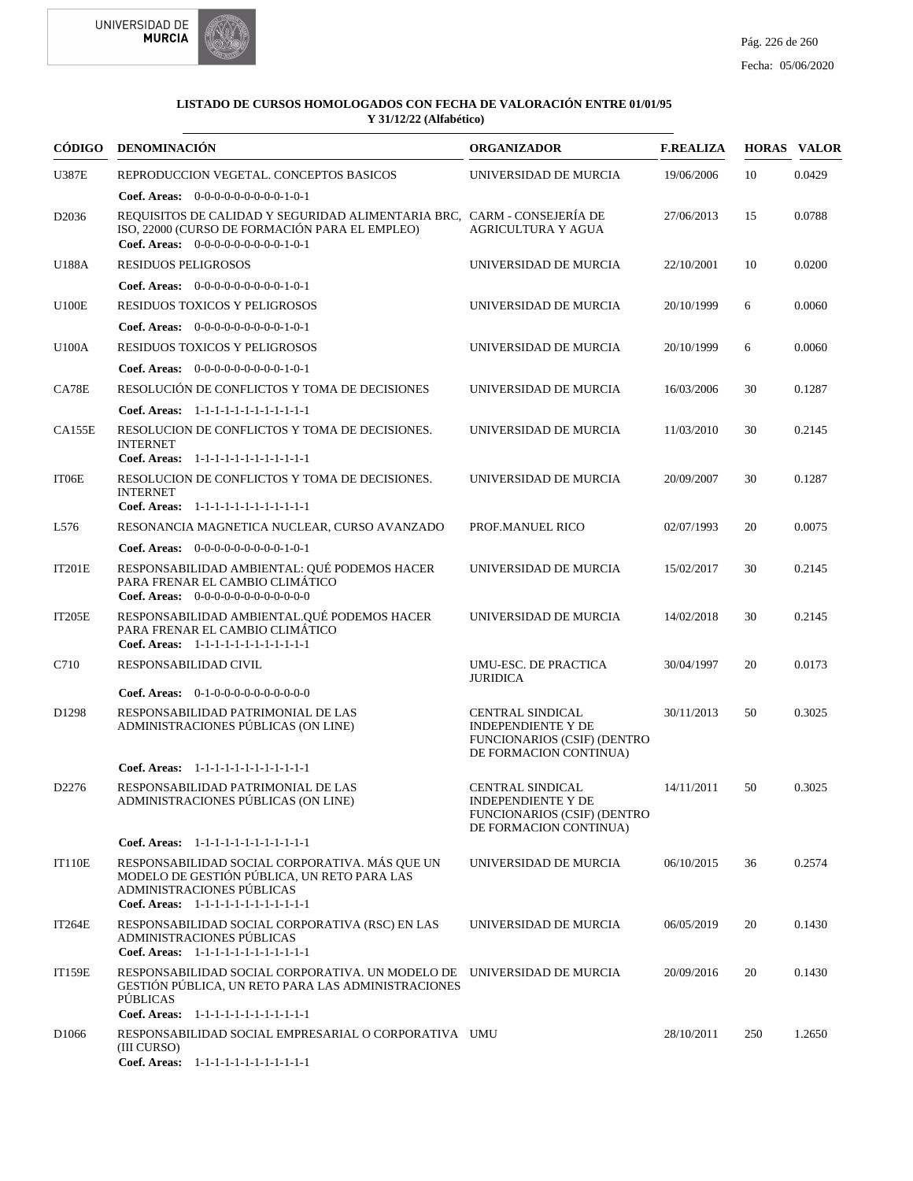



|                   | CÓDIGO DENOMINACIÓN                                                                                                                                                                | <b>ORGANIZADOR</b>                                                                                            | <b>F.REALIZA</b> |     | <b>HORAS VALOR</b> |
|-------------------|------------------------------------------------------------------------------------------------------------------------------------------------------------------------------------|---------------------------------------------------------------------------------------------------------------|------------------|-----|--------------------|
| <b>U387E</b>      | REPRODUCCION VEGETAL. CONCEPTOS BASICOS                                                                                                                                            | UNIVERSIDAD DE MURCIA                                                                                         | 19/06/2006       | 10  | 0.0429             |
|                   | Coef. Areas: $0-0-0-0-0-0-0-0-1-0-1$                                                                                                                                               |                                                                                                               |                  |     |                    |
| D2036             | REQUISITOS DE CALIDAD Y SEGURIDAD ALIMENTARIA BRC, CARM - CONSEJERÍA DE<br>ISO, 22000 (CURSO DE FORMACIÓN PARA EL EMPLEO)<br>Coef. Areas: $0-0-0-0-0-0-0-0-1-0-1$                  | <b>AGRICULTURA Y AGUA</b>                                                                                     | 27/06/2013       | 15  | 0.0788             |
| U188A             | <b>RESIDUOS PELIGROSOS</b>                                                                                                                                                         | UNIVERSIDAD DE MURCIA                                                                                         | 22/10/2001       | 10  | 0.0200             |
|                   | Coef. Areas: $0-0-0-0-0-0-0-0-1-0-1$                                                                                                                                               |                                                                                                               |                  |     |                    |
| <b>U100E</b>      | RESIDUOS TOXICOS Y PELIGROSOS                                                                                                                                                      | UNIVERSIDAD DE MURCIA                                                                                         | 20/10/1999       | 6   | 0.0060             |
|                   | Coef. Areas: $0-0-0-0-0-0-0-0-1-0-1$                                                                                                                                               |                                                                                                               |                  |     |                    |
| <b>U100A</b>      | RESIDUOS TOXICOS Y PELIGROSOS                                                                                                                                                      | UNIVERSIDAD DE MURCIA                                                                                         | 20/10/1999       | 6   | 0.0060             |
|                   | Coef. Areas: $0-0-0-0-0-0-0-0-1-0-1$                                                                                                                                               |                                                                                                               |                  |     |                    |
| CA78E             | RESOLUCIÓN DE CONFLICTOS Y TOMA DE DECISIONES                                                                                                                                      | UNIVERSIDAD DE MURCIA                                                                                         | 16/03/2006       | 30  | 0.1287             |
|                   | Coef. Areas: 1-1-1-1-1-1-1-1-1-1-1-1-1                                                                                                                                             |                                                                                                               |                  |     |                    |
| <b>CA155E</b>     | RESOLUCION DE CONFLICTOS Y TOMA DE DECISIONES.<br><b>INTERNET</b>                                                                                                                  | UNIVERSIDAD DE MURCIA                                                                                         | 11/03/2010       | 30  | 0.2145             |
|                   | Coef. Areas: 1-1-1-1-1-1-1-1-1-1-1-1-1<br>RESOLUCION DE CONFLICTOS Y TOMA DE DECISIONES.                                                                                           | UNIVERSIDAD DE MURCIA                                                                                         |                  |     |                    |
| IT06E             | <b>INTERNET</b><br>Coef. Areas: 1-1-1-1-1-1-1-1-1-1-1-1-1                                                                                                                          |                                                                                                               | 20/09/2007       | 30  | 0.1287             |
| L576              | RESONANCIA MAGNETICA NUCLEAR, CURSO AVANZADO                                                                                                                                       | PROF.MANUEL RICO                                                                                              | 02/07/1993       | 20  | 0.0075             |
|                   | Coef. Areas: 0-0-0-0-0-0-0-0-0-1-0-1                                                                                                                                               |                                                                                                               |                  |     |                    |
| <b>IT201E</b>     | RESPONSABILIDAD AMBIENTAL: QUÉ PODEMOS HACER<br>PARA FRENAR EL CAMBIO CLIMÁTICO<br>Coef. Areas: 0-0-0-0-0-0-0-0-0-0-0-0-0                                                          | UNIVERSIDAD DE MURCIA                                                                                         | 15/02/2017       | 30  | 0.2145             |
| <b>IT205E</b>     | RESPONSABILIDAD AMBIENTAL.QUÉ PODEMOS HACER<br>PARA FRENAR EL CAMBIO CLIMÁTICO<br>Coef. Areas: 1-1-1-1-1-1-1-1-1-1-1-1-1                                                           | UNIVERSIDAD DE MURCIA                                                                                         | 14/02/2018       | 30  | 0.2145             |
| C710              | RESPONSABILIDAD CIVIL                                                                                                                                                              | UMU-ESC. DE PRACTICA<br><b>JURIDICA</b>                                                                       | 30/04/1997       | 20  | 0.0173             |
|                   | <b>Coef. Areas:</b> $0-1-0-0-0-0-0-0-0-0-0$                                                                                                                                        |                                                                                                               |                  |     |                    |
| D <sub>1298</sub> | RESPONSABILIDAD PATRIMONIAL DE LAS<br>ADMINISTRACIONES PÚBLICAS (ON LINE)                                                                                                          | <b>CENTRAL SINDICAL</b><br><b>INDEPENDIENTE Y DE</b><br>FUNCIONARIOS (CSIF) (DENTRO<br>DE FORMACION CONTINUA) | 30/11/2013       | 50  | 0.3025             |
|                   | Coef. Areas: 1-1-1-1-1-1-1-1-1-1-1-1-1                                                                                                                                             |                                                                                                               |                  |     |                    |
| D2276             | RESPONSABILIDAD PATRIMONIAL DE LAS<br>ADMINISTRACIONES PÚBLICAS (ON LINE)                                                                                                          | <b>CENTRAL SINDICAL</b><br>INDEPENDIENTE Y DE<br>FUNCIONARIOS (CSIF) (DENTRO<br>DE FORMACION CONTINUA)        | 14/11/2011       | 50  | 0.3025             |
|                   | Coef. Areas: 1-1-1-1-1-1-1-1-1-1-1-1-1                                                                                                                                             |                                                                                                               |                  |     |                    |
| IT110E            | RESPONSABILIDAD SOCIAL CORPORATIVA. MÁS QUE UN<br>MODELO DE GESTIÓN PÚBLICA, UN RETO PARA LAS<br>ADMINISTRACIONES PÚBLICAS<br>Coef. Areas: 1-1-1-1-1-1-1-1-1-1-1-1-1               | UNIVERSIDAD DE MURCIA                                                                                         | 06/10/2015       | 36  | 0.2574             |
| <b>IT264E</b>     | RESPONSABILIDAD SOCIAL CORPORATIVA (RSC) EN LAS                                                                                                                                    | UNIVERSIDAD DE MURCIA                                                                                         | 06/05/2019       | 20  | 0.1430             |
|                   | ADMINISTRACIONES PÚBLICAS<br>Coef. Areas: 1-1-1-1-1-1-1-1-1-1-1-1-1                                                                                                                |                                                                                                               |                  |     |                    |
| <b>IT159E</b>     | RESPONSABILIDAD SOCIAL CORPORATIVA. UN MODELO DE UNIVERSIDAD DE MURCIA<br>GESTIÓN PÚBLICA. UN RETO PARA LAS ADMINISTRACIONES<br>PÚBLICAS<br>Coef. Areas: 1-1-1-1-1-1-1-1-1-1-1-1-1 |                                                                                                               | 20/09/2016       | 20  | 0.1430             |
| D <sub>1066</sub> | RESPONSABILIDAD SOCIAL EMPRESARIAL O CORPORATIVA UMU<br>(III CURSO)<br>Coef. Areas: 1-1-1-1-1-1-1-1-1-1-1-1-1                                                                      |                                                                                                               | 28/10/2011       | 250 | 1.2650             |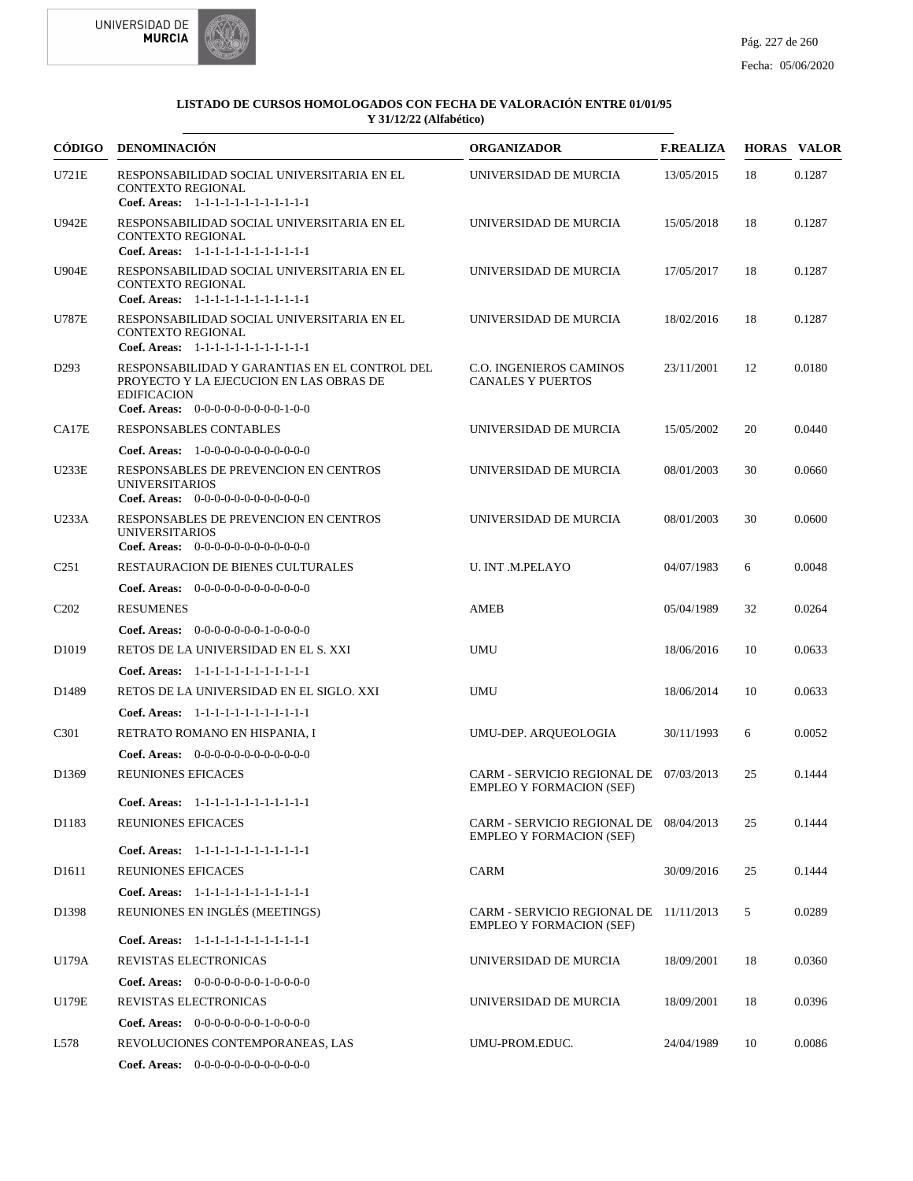



| <b>CÓDIGO</b>                 | <b>DENOMINACIÓN</b>                                                                                                                                           | <b>ORGANIZADOR</b>                                                        | <b>F.REALIZA</b> |    | <b>HORAS VALOR</b> |
|-------------------------------|---------------------------------------------------------------------------------------------------------------------------------------------------------------|---------------------------------------------------------------------------|------------------|----|--------------------|
| U721E                         | RESPONSABILIDAD SOCIAL UNIVERSITARIA EN EL<br><b>CONTEXTO REGIONAL</b><br>Coef. Areas: $1-1-1-1-1-1-1-1-1-1-1$                                                | UNIVERSIDAD DE MURCIA                                                     | 13/05/2015       | 18 | 0.1287             |
| U942E                         | RESPONSABILIDAD SOCIAL UNIVERSITARIA EN EL<br><b>CONTEXTO REGIONAL</b><br>Coef. Areas: 1-1-1-1-1-1-1-1-1-1-1-1-1                                              | UNIVERSIDAD DE MURCIA                                                     | 15/05/2018       | 18 | 0.1287             |
| <b>U904E</b>                  | RESPONSABILIDAD SOCIAL UNIVERSITARIA EN EL<br><b>CONTEXTO REGIONAL</b><br>Coef. Areas: 1-1-1-1-1-1-1-1-1-1-1-1-1                                              | UNIVERSIDAD DE MURCIA                                                     | 17/05/2017       | 18 | 0.1287             |
| <b>U787E</b>                  | RESPONSABILIDAD SOCIAL UNIVERSITARIA EN EL<br><b>CONTEXTO REGIONAL</b><br>Coef. Areas: $1-1-1-1-1-1-1-1-1-1-1$                                                | UNIVERSIDAD DE MURCIA                                                     | 18/02/2016       | 18 | 0.1287             |
| D <sub>293</sub>              | RESPONSABILIDAD Y GARANTIAS EN EL CONTROL DEL<br>PROYECTO Y LA EJECUCION EN LAS OBRAS DE<br><b>EDIFICACION</b><br><b>Coef. Areas:</b> $0-0-0-0-0-0-0-0-1-0-0$ | <b>C.O. INGENIEROS CAMINOS</b><br><b>CANALES Y PUERTOS</b>                | 23/11/2001       | 12 | 0.0180             |
| CA17E                         | <b>RESPONSABLES CONTABLES</b>                                                                                                                                 | UNIVERSIDAD DE MURCIA                                                     | 15/05/2002       | 20 | 0.0440             |
|                               | <b>Coef. Areas:</b> $1-0-0-0-0-0-0-0-0-0-0$                                                                                                                   |                                                                           |                  |    |                    |
| <b>U233E</b>                  | RESPONSABLES DE PREVENCION EN CENTROS<br><b>UNIVERSITARIOS</b><br>Coef. Areas: $0-0-0-0-0-0-0-0-0-0-0$                                                        | UNIVERSIDAD DE MURCIA                                                     | 08/01/2003       | 30 | 0.0660             |
| U233A                         | RESPONSABLES DE PREVENCION EN CENTROS<br><b>UNIVERSITARIOS</b><br>Coef. Areas: 0-0-0-0-0-0-0-0-0-0-0-0-0                                                      | UNIVERSIDAD DE MURCIA                                                     | 08/01/2003       | 30 | 0.0600             |
| C <sub>251</sub>              | RESTAURACION DE BIENES CULTURALES                                                                                                                             | <b>U. INT .M.PELAYO</b>                                                   | 04/07/1983       | 6  | 0.0048             |
|                               | <b>Coef. Areas:</b> $0-0-0-0-0-0-0-0-0-0-0-0$                                                                                                                 |                                                                           |                  |    |                    |
| C <sub>2</sub> 0 <sub>2</sub> | <b>RESUMENES</b>                                                                                                                                              | AMEB                                                                      | 05/04/1989       | 32 | 0.0264             |
|                               | <b>Coef. Areas:</b> $0-0-0-0-0-0-1-0-0-0-0$                                                                                                                   |                                                                           |                  |    |                    |
| D1019                         | RETOS DE LA UNIVERSIDAD EN EL S. XXI                                                                                                                          | <b>UMU</b>                                                                | 18/06/2016       | 10 | 0.0633             |
|                               | Coef. Areas: 1-1-1-1-1-1-1-1-1-1-1-1-1                                                                                                                        |                                                                           |                  |    |                    |
| D1489                         | RETOS DE LA UNIVERSIDAD EN EL SIGLO. XXI                                                                                                                      | <b>UMU</b>                                                                | 18/06/2014       | 10 | 0.0633             |
|                               | Coef. Areas: 1-1-1-1-1-1-1-1-1-1-1-1-1                                                                                                                        |                                                                           |                  |    |                    |
| C <sub>301</sub>              | RETRATO ROMANO EN HISPANIA, I                                                                                                                                 | UMU-DEP. AROUEOLOGIA                                                      | 30/11/1993       | 6  | 0.0052             |
|                               | <b>Coef. Areas:</b> $0-0-0-0-0-0-0-0-0-0-0-0$                                                                                                                 |                                                                           |                  |    |                    |
| D1369                         | <b>REUNIONES EFICACES</b><br>Coef. Areas: $1-1-1-1-1-1-1-1-1-1-1$                                                                                             | CARM - SERVICIO REGIONAL DE 07/03/2013<br><b>EMPLEO Y FORMACION (SEF)</b> |                  | 25 | 0.1444             |
| D1183                         | REUNIONES EFICACES                                                                                                                                            | CARM - SERVICIO REGIONAL DE 08/04/2013                                    |                  | 25 | 0.1444             |
|                               |                                                                                                                                                               | <b>EMPLEO Y FORMACION (SEF)</b>                                           |                  |    |                    |
|                               | Coef. Areas: 1-1-1-1-1-1-1-1-1-1-1-1-1                                                                                                                        |                                                                           |                  |    |                    |
| D <sub>1611</sub>             | <b>REUNIONES EFICACES</b>                                                                                                                                     | <b>CARM</b>                                                               | 30/09/2016       | 25 | 0.1444             |
|                               | Coef. Areas: 1-1-1-1-1-1-1-1-1-1-1-1-1                                                                                                                        |                                                                           |                  |    |                    |
| D1398                         | REUNIONES EN INGLÉS (MEETINGS)                                                                                                                                | CARM - SERVICIO REGIONAL DE 11/11/2013<br><b>EMPLEO Y FORMACION (SEF)</b> |                  | 5  | 0.0289             |
|                               | Coef. Areas: 1-1-1-1-1-1-1-1-1-1-1-1-1                                                                                                                        |                                                                           |                  |    |                    |
| U179A                         | REVISTAS ELECTRONICAS                                                                                                                                         | UNIVERSIDAD DE MURCIA                                                     | 18/09/2001       | 18 | 0.0360             |
|                               | <b>Coef. Areas:</b> $0-0-0-0-0-0-1-0-0-0-0$                                                                                                                   |                                                                           |                  |    |                    |
| U179E                         | REVISTAS ELECTRONICAS                                                                                                                                         | UNIVERSIDAD DE MURCIA                                                     | 18/09/2001       | 18 | 0.0396             |
|                               | <b>Coef. Areas:</b> $0-0-0-0-0-0-1-0-0-0-0$                                                                                                                   |                                                                           |                  |    |                    |
| L578                          | REVOLUCIONES CONTEMPORANEAS, LAS                                                                                                                              | UMU-PROM.EDUC.                                                            | 24/04/1989       | 10 | 0.0086             |
|                               | <b>Coef. Areas:</b> $0-0-0-0-0-0-0-0-0-0-0$                                                                                                                   |                                                                           |                  |    |                    |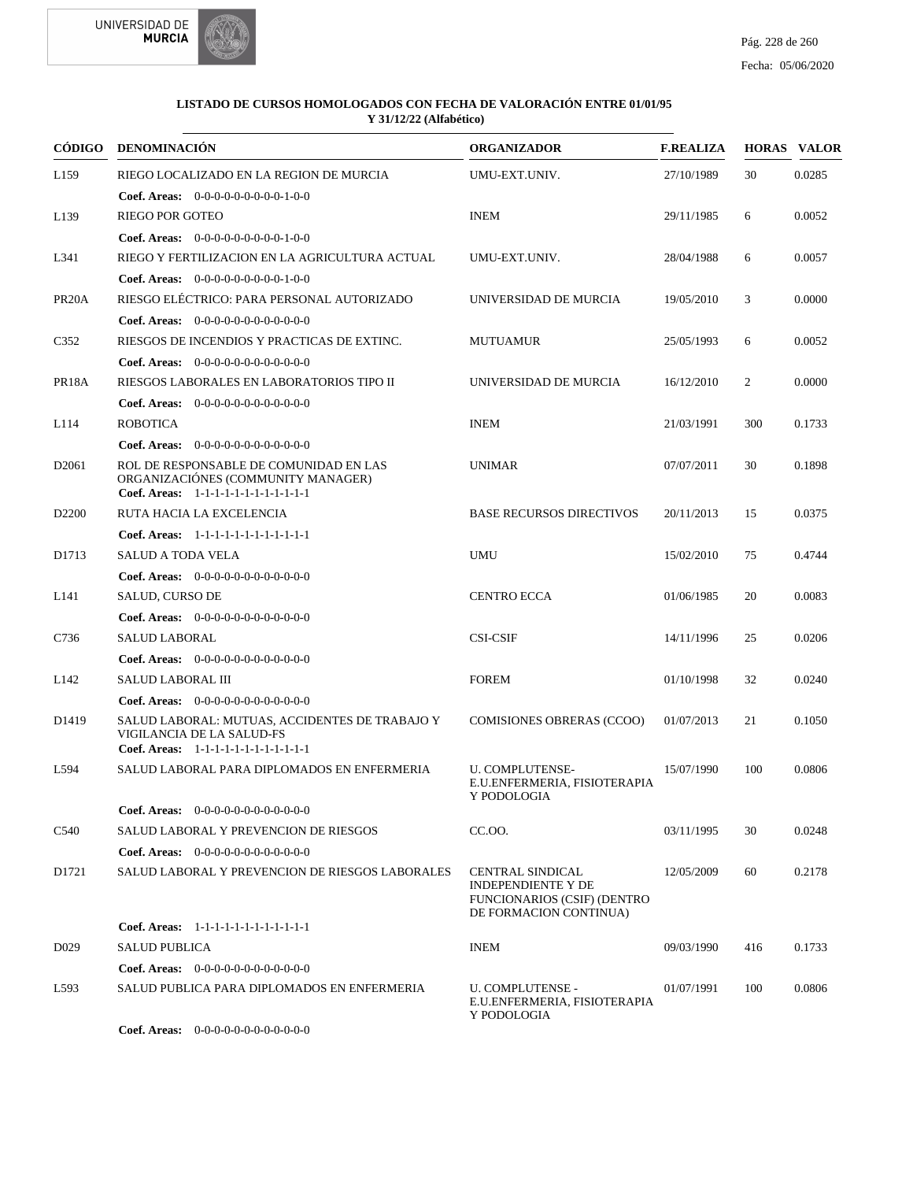



|                    | CÓDIGO DENOMINACIÓN                                                                                                    | <b>ORGANIZADOR</b>                                                                                            | <b>F.REALIZA</b> |     | <b>HORAS VALOR</b> |
|--------------------|------------------------------------------------------------------------------------------------------------------------|---------------------------------------------------------------------------------------------------------------|------------------|-----|--------------------|
| L <sub>159</sub>   | RIEGO LOCALIZADO EN LA REGION DE MURCIA<br><b>Coef. Areas:</b> $0-0-0-0-0-0-0-0-1-0-0$                                 | UMU-EXT.UNIV.                                                                                                 | 27/10/1989       | 30  | 0.0285             |
| L139               | <b>RIEGO POR GOTEO</b>                                                                                                 | <b>INEM</b>                                                                                                   | 29/11/1985       | 6   | 0.0052             |
|                    | Coef. Areas: 0-0-0-0-0-0-0-0-0-1-0-0                                                                                   |                                                                                                               |                  |     |                    |
| L341               | RIEGO Y FERTILIZACION EN LA AGRICULTURA ACTUAL                                                                         | UMU-EXT.UNIV.                                                                                                 | 28/04/1988       | 6   | 0.0057             |
|                    | Coef. Areas: 0-0-0-0-0-0-0-0-0-1-0-0                                                                                   |                                                                                                               |                  |     |                    |
| PR <sub>20</sub> A | RIESGO ELÉCTRICO: PARA PERSONAL AUTORIZADO                                                                             | UNIVERSIDAD DE MURCIA                                                                                         | 19/05/2010       | 3   | 0.0000             |
|                    | Coef. Areas: $0-0-0-0-0-0-0-0-0-0-0$                                                                                   |                                                                                                               |                  |     |                    |
| C <sub>352</sub>   | RIESGOS DE INCENDIOS Y PRACTICAS DE EXTINC.                                                                            | <b>MUTUAMUR</b>                                                                                               | 25/05/1993       | 6   | 0.0052             |
|                    | Coef. Areas: 0-0-0-0-0-0-0-0-0-0-0-0-0                                                                                 |                                                                                                               |                  |     |                    |
| PR18A              | RIESGOS LABORALES EN LABORATORIOS TIPO II                                                                              | UNIVERSIDAD DE MURCIA                                                                                         | 16/12/2010       | 2   | 0.0000             |
|                    | <b>Coef. Areas:</b> $0-0-0-0-0-0-0-0-0-0-0$                                                                            |                                                                                                               |                  |     |                    |
| L114               | <b>ROBOTICA</b>                                                                                                        | <b>INEM</b>                                                                                                   | 21/03/1991       | 300 | 0.1733             |
|                    | Coef. Areas: 0-0-0-0-0-0-0-0-0-0-0-0-0                                                                                 |                                                                                                               |                  |     |                    |
| D <sub>2061</sub>  | ROL DE RESPONSABLE DE COMUNIDAD EN LAS<br>ORGANIZACIÓNES (COMMUNITY MANAGER)<br>Coef. Areas: 1-1-1-1-1-1-1-1-1-1-1-1-1 | <b>UNIMAR</b>                                                                                                 | 07/07/2011       | 30  | 0.1898             |
| D <sub>2200</sub>  | RUTA HACIA LA EXCELENCIA                                                                                               | <b>BASE RECURSOS DIRECTIVOS</b>                                                                               | 20/11/2013       | 15  | 0.0375             |
|                    | Coef. Areas: 1-1-1-1-1-1-1-1-1-1-1-1-1                                                                                 |                                                                                                               |                  |     |                    |
| D1713              | SALUD A TODA VELA                                                                                                      | <b>UMU</b>                                                                                                    | 15/02/2010       | 75  | 0.4744             |
|                    | Coef. Areas: $0-0-0-0-0-0-0-0-0-0-0$                                                                                   |                                                                                                               |                  |     |                    |
| L141               | SALUD, CURSO DE                                                                                                        | <b>CENTRO ECCA</b>                                                                                            | 01/06/1985       | 20  | 0.0083             |
|                    | Coef. Areas: 0-0-0-0-0-0-0-0-0-0-0-0-0                                                                                 |                                                                                                               |                  |     |                    |
| C736               | <b>SALUD LABORAL</b>                                                                                                   | <b>CSI-CSIF</b>                                                                                               | 14/11/1996       | 25  | 0.0206             |
|                    | <b>Coef. Areas:</b> $0-0-0-0-0-0-0-0-0-0-0-0$                                                                          |                                                                                                               |                  |     |                    |
| L <sub>142</sub>   | SALUD LABORAL III                                                                                                      | <b>FOREM</b>                                                                                                  | 01/10/1998       | 32  | 0.0240             |
|                    | <b>Coef. Areas:</b> $0-0-0-0-0-0-0-0-0-0-0$                                                                            |                                                                                                               |                  |     |                    |
| D <sub>1419</sub>  | SALUD LABORAL: MUTUAS, ACCIDENTES DE TRABAJO Y<br>VIGILANCIA DE LA SALUD-FS<br>Coef. Areas: 1-1-1-1-1-1-1-1-1-1-1-1-1  | <b>COMISIONES OBRERAS (CCOO)</b>                                                                              | 01/07/2013       | 21  | 0.1050             |
| L594               | SALUD LABORAL PARA DIPLOMADOS EN ENFERMERIA                                                                            | <b>U. COMPLUTENSE-</b><br>E.U.ENFERMERIA, FISIOTERAPIA<br>Y PODOLOGIA                                         | 15/07/1990       | 100 | 0.0806             |
|                    | Coef. Areas: $0-0-0-0-0-0-0-0-0-0-0$                                                                                   |                                                                                                               |                  |     |                    |
| C540               | <b>SALUD LABORAL Y PREVENCION DE RIESGOS</b>                                                                           | CC.OO.                                                                                                        | 03/11/1995       | 30  | 0.0248             |
|                    | <b>Coef. Areas:</b> $0-0-0-0-0-0-0-0-0-0-0-0$                                                                          |                                                                                                               |                  |     |                    |
| D1721              | SALUD LABORAL Y PREVENCION DE RIESGOS LABORALES                                                                        | <b>CENTRAL SINDICAL</b><br><b>INDEPENDIENTE Y DE</b><br>FUNCIONARIOS (CSIF) (DENTRO<br>DE FORMACION CONTINUA) | 12/05/2009       | 60  | 0.2178             |
|                    | Coef. Areas: 1-1-1-1-1-1-1-1-1-1-1-1-1                                                                                 |                                                                                                               |                  |     |                    |
| D <sub>0</sub> 29  | <b>SALUD PUBLICA</b>                                                                                                   | <b>INEM</b>                                                                                                   | 09/03/1990       | 416 | 0.1733             |
|                    | <b>Coef. Areas:</b> $0-0-0-0-0-0-0-0-0-0-0$                                                                            |                                                                                                               |                  |     |                    |
| L593               | SALUD PUBLICA PARA DIPLOMADOS EN ENFERMERIA                                                                            | <b>U. COMPLUTENSE -</b><br>E.U.ENFERMERIA, FISIOTERAPIA<br>Y PODOLOGIA                                        | 01/07/1991       | 100 | 0.0806             |
|                    | Coef. Areas: 0-0-0-0-0-0-0-0-0-0-0-0-0                                                                                 |                                                                                                               |                  |     |                    |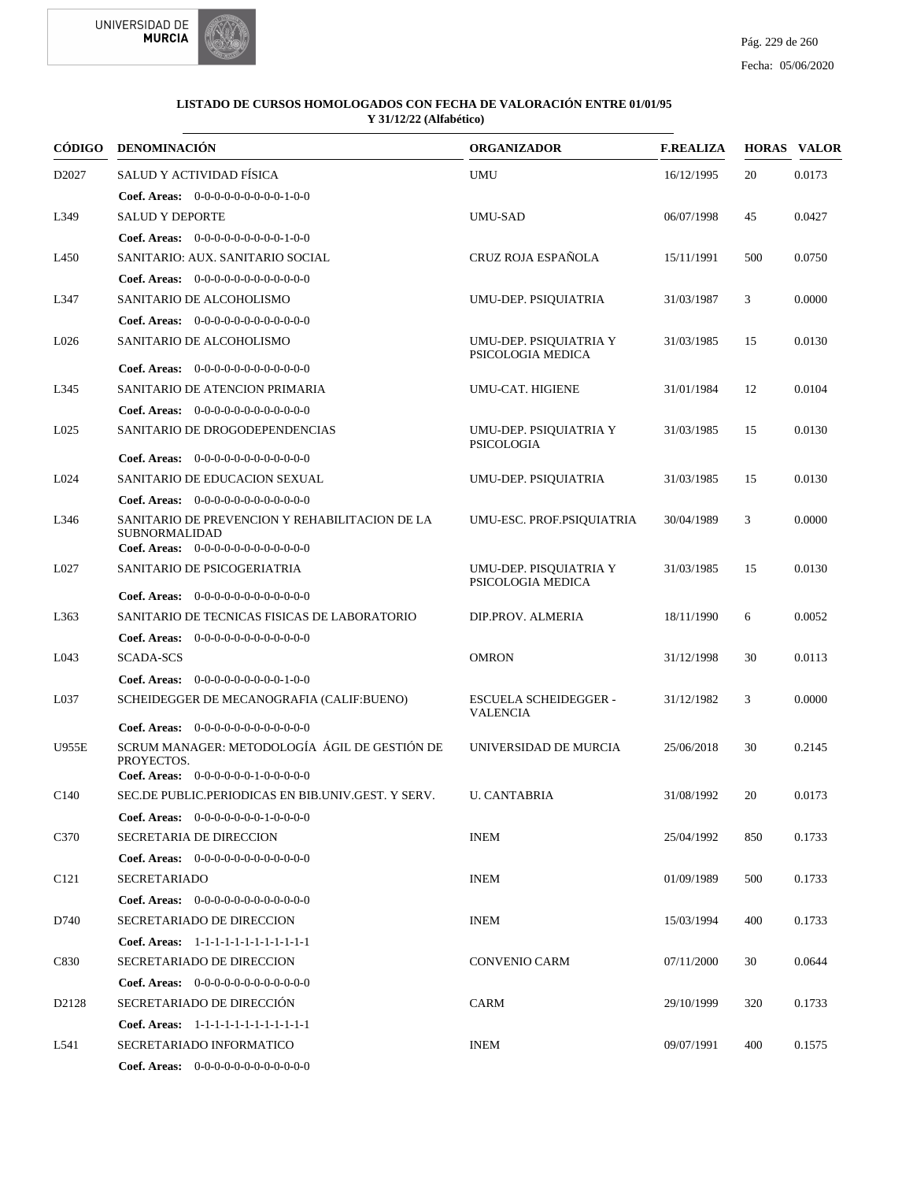



| <b>CÓDIGO</b>    | <b>DENOMINACIÓN</b>                                                                                        | <b>ORGANIZADOR</b>                              | <b>F.REALIZA</b> |     | <b>HORAS VALOR</b> |
|------------------|------------------------------------------------------------------------------------------------------------|-------------------------------------------------|------------------|-----|--------------------|
| D2027            | SALUD Y ACTIVIDAD FÍSICA                                                                                   | UMU                                             | 16/12/1995       | 20  | 0.0173             |
|                  | Coef. Areas: 0-0-0-0-0-0-0-0-0-1-0-0                                                                       |                                                 |                  |     |                    |
| L349             | <b>SALUD Y DEPORTE</b>                                                                                     | <b>UMU-SAD</b>                                  | 06/07/1998       | 45  | 0.0427             |
|                  | Coef. Areas: 0-0-0-0-0-0-0-0-0-1-0-0                                                                       |                                                 |                  |     |                    |
| L <sub>450</sub> | SANITARIO: AUX. SANITARIO SOCIAL                                                                           | CRUZ ROJA ESPAÑOLA                              | 15/11/1991       | 500 | 0.0750             |
|                  | <b>Coef. Areas:</b> $0-0-0-0-0-0-0-0-0-0-0-0$                                                              |                                                 |                  |     |                    |
| L347             | SANITARIO DE ALCOHOLISMO                                                                                   | UMU-DEP. PSIOUIATRIA                            | 31/03/1987       | 3   | 0.0000             |
|                  | <b>Coef. Areas:</b> $0-0-0-0-0-0-0-0-0-0-0-0$                                                              |                                                 |                  |     |                    |
| L026             | SANITARIO DE ALCOHOLISMO                                                                                   | UMU-DEP. PSIQUIATRIA Y<br>PSICOLOGIA MEDICA     | 31/03/1985       | 15  | 0.0130             |
|                  | <b>Coef. Areas:</b> $0-0-0-0-0-0-0-0-0-0-0-0$                                                              |                                                 |                  |     |                    |
| L345             | SANITARIO DE ATENCION PRIMARIA                                                                             | UMU-CAT. HIGIENE                                | 31/01/1984       | 12  | 0.0104             |
|                  | <b>Coef. Areas:</b> $0-0-0-0-0-0-0-0-0-0-0-0$                                                              |                                                 |                  |     |                    |
| L025             | SANITARIO DE DROGODEPENDENCIAS                                                                             | UMU-DEP. PSIQUIATRIA Y<br><b>PSICOLOGIA</b>     | 31/03/1985       | 15  | 0.0130             |
|                  | <b>Coef. Areas:</b> $0-0-0-0-0-0-0-0-0-0-0-0$                                                              |                                                 |                  |     |                    |
| L024             | SANITARIO DE EDUCACION SEXUAL                                                                              | UMU-DEP. PSIOUIATRIA                            | 31/03/1985       | 15  | 0.0130             |
|                  | <b>Coef. Areas:</b> $0-0-0-0-0-0-0-0-0-0-0-0$                                                              |                                                 |                  |     |                    |
| L346             | SANITARIO DE PREVENCION Y REHABILITACION DE LA<br><b>SUBNORMALIDAD</b>                                     | UMU-ESC. PROF.PSIQUIATRIA                       | 30/04/1989       | 3   | 0.0000             |
|                  | Coef. Areas: $0-0-0-0-0-0-0-0-0-0-0$                                                                       |                                                 |                  |     |                    |
| L027             | SANITARIO DE PSICOGERIATRIA                                                                                | UMU-DEP. PISQUIATRIA Y<br>PSICOLOGIA MEDICA     | 31/03/1985       | 15  | 0.0130             |
|                  | <b>Coef. Areas:</b> $0-0-0-0-0-0-0-0-0-0-0-0$                                                              |                                                 |                  |     |                    |
| L <sub>363</sub> | SANITARIO DE TECNICAS FISICAS DE LABORATORIO                                                               | DIP.PROV. ALMERIA                               | 18/11/1990       | 6   | 0.0052             |
|                  | <b>Coef. Areas:</b> $0-0-0-0-0-0-0-0-0-0-0-0$                                                              |                                                 |                  |     |                    |
| L043             | <b>SCADA-SCS</b>                                                                                           | <b>OMRON</b>                                    | 31/12/1998       | 30  | 0.0113             |
|                  | <b>Coef. Areas:</b> $0-0-0-0-0-0-0-0-1-0-0$                                                                |                                                 |                  |     |                    |
| L037             | SCHEIDEGGER DE MECANOGRAFIA (CALIF:BUENO)                                                                  | <b>ESCUELA SCHEIDEGGER -</b><br><b>VALENCIA</b> | 31/12/1982       | 3   | 0.0000             |
|                  | Coef. Areas: $0-0-0-0-0-0-0-0-0-0-0$                                                                       |                                                 |                  |     |                    |
| <b>U955E</b>     | SCRUM MANAGER: METODOLOGÍA ÁGIL DE GESTIÓN DE<br>PROYECTOS.<br><b>Coef. Areas:</b> $0-0-0-0-0-1-0-0-0-0-0$ | UNIVERSIDAD DE MURCIA                           | 25/06/2018       | 30  | 0.2145             |
| C <sub>140</sub> | SEC.DE PUBLIC.PERIODICAS EN BIB.UNIV.GEST. Y SERV.                                                         | <b>U. CANTABRIA</b>                             | 31/08/1992       | 20  | 0.0173             |
|                  | <b>Coef. Areas:</b> $0-0-0-0-0-0-1-0-0-0-0$                                                                |                                                 |                  |     |                    |
| C370             | SECRETARIA DE DIRECCION                                                                                    | <b>INEM</b>                                     | 25/04/1992       | 850 | 0.1733             |
|                  | <b>Coef. Areas:</b> $0-0-0-0-0-0-0-0-0-0-0-0$                                                              |                                                 |                  |     |                    |
| C <sub>121</sub> | SECRETARIADO                                                                                               | INEM                                            | 01/09/1989       | 500 | 0.1733             |
|                  | Coef. Areas: 0-0-0-0-0-0-0-0-0-0-0-0-0                                                                     |                                                 |                  |     |                    |
| D740             | SECRETARIADO DE DIRECCION                                                                                  | <b>INEM</b>                                     | 15/03/1994       | 400 | 0.1733             |
|                  | Coef. Areas: 1-1-1-1-1-1-1-1-1-1-1-1-1                                                                     |                                                 |                  |     |                    |
| C830             | SECRETARIADO DE DIRECCION                                                                                  | CONVENIO CARM                                   | 07/11/2000       | 30  | 0.0644             |
|                  |                                                                                                            |                                                 |                  |     |                    |
|                  | <b>Coef. Areas:</b> $0-0-0-0-0-0-0-0-0-0-0-0$                                                              |                                                 |                  |     |                    |
| D2128            | SECRETARIADO DE DIRECCIÓN                                                                                  | CARM                                            | 29/10/1999       | 320 | 0.1733             |
|                  | Coef. Areas: 1-1-1-1-1-1-1-1-1-1-1-1-1                                                                     |                                                 | 09/07/1991       | 400 |                    |
| L541             | SECRETARIADO INFORMATICO                                                                                   | <b>INEM</b>                                     |                  |     | 0.1575             |
|                  | Coef. Areas: $0-0-0-0-0-0-0-0-0-0-0$                                                                       |                                                 |                  |     |                    |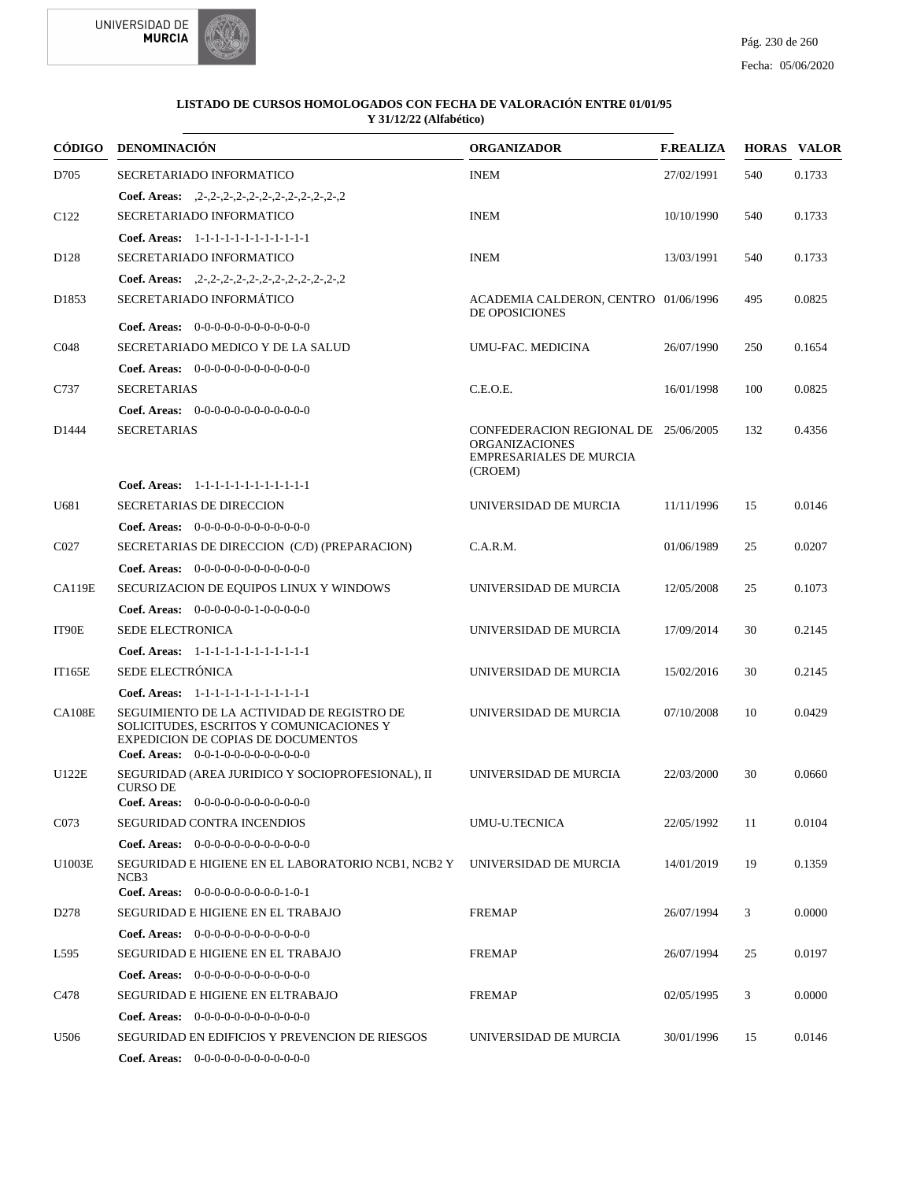

|                  | CÓDIGO DENOMINACIÓN                                                                                                                                                                  | <b>ORGANIZADOR</b>                                                                                         | <b>F.REALIZA</b> |     | <b>HORAS VALOR</b> |
|------------------|--------------------------------------------------------------------------------------------------------------------------------------------------------------------------------------|------------------------------------------------------------------------------------------------------------|------------------|-----|--------------------|
| D705             | SECRETARIADO INFORMATICO                                                                                                                                                             | <b>INEM</b>                                                                                                | 27/02/1991       | 540 | 0.1733             |
|                  | Coef. Areas: $2-2-2-2-2-2-2-2-2-2-2-2-2$                                                                                                                                             |                                                                                                            |                  |     |                    |
| C <sub>122</sub> | SECRETARIADO INFORMATICO                                                                                                                                                             | <b>INEM</b>                                                                                                | 10/10/1990       | 540 | 0.1733             |
|                  | Coef. Areas: 1-1-1-1-1-1-1-1-1-1-1-1-1                                                                                                                                               |                                                                                                            |                  |     |                    |
| D <sub>128</sub> | SECRETARIADO INFORMATICO                                                                                                                                                             | <b>INEM</b>                                                                                                | 13/03/1991       | 540 | 0.1733             |
|                  | Coef. Areas: $2-2-2-2-2-2-2-2-2-2-2-2-2$                                                                                                                                             |                                                                                                            |                  |     |                    |
| D1853            | SECRETARIADO INFORMÁTICO                                                                                                                                                             | ACADEMIA CALDERON, CENTRO 01/06/1996<br>DE OPOSICIONES                                                     |                  | 495 | 0.0825             |
|                  | Coef. Areas: 0-0-0-0-0-0-0-0-0-0-0-0-0                                                                                                                                               |                                                                                                            |                  |     |                    |
| C048             | SECRETARIADO MEDICO Y DE LA SALUD                                                                                                                                                    | UMU-FAC. MEDICINA                                                                                          | 26/07/1990       | 250 | 0.1654             |
|                  | Coef. Areas: 0-0-0-0-0-0-0-0-0-0-0-0-0                                                                                                                                               |                                                                                                            |                  |     |                    |
| C737             | <b>SECRETARIAS</b>                                                                                                                                                                   | C.E.O.E.                                                                                                   | 16/01/1998       | 100 | 0.0825             |
|                  | <b>Coef. Areas:</b> $0-0-0-0-0-0-0-0-0-0-0-0$                                                                                                                                        |                                                                                                            |                  |     |                    |
| D1444            | <b>SECRETARIAS</b>                                                                                                                                                                   | CONFEDERACION REGIONAL DE 25/06/2005<br><b>ORGANIZACIONES</b><br><b>EMPRESARIALES DE MURCIA</b><br>(CROEM) |                  | 132 | 0.4356             |
|                  | Coef. Areas: 1-1-1-1-1-1-1-1-1-1-1-1-1                                                                                                                                               |                                                                                                            |                  |     |                    |
| U681             | SECRETARIAS DE DIRECCION                                                                                                                                                             | UNIVERSIDAD DE MURCIA                                                                                      | 11/11/1996       | 15  | 0.0146             |
|                  | Coef. Areas: $0-0-0-0-0-0-0-0-0-0-0$                                                                                                                                                 |                                                                                                            |                  |     |                    |
| C <sub>027</sub> | SECRETARIAS DE DIRECCION (C/D) (PREPARACION)                                                                                                                                         | C.A.R.M.                                                                                                   | 01/06/1989       | 25  | 0.0207             |
|                  | Coef. Areas: $0-0-0-0-0-0-0-0-0-0-0$                                                                                                                                                 |                                                                                                            |                  |     |                    |
| <b>CA119E</b>    | SECURIZACION DE EQUIPOS LINUX Y WINDOWS                                                                                                                                              | UNIVERSIDAD DE MURCIA                                                                                      | 12/05/2008       | 25  | 0.1073             |
|                  | <b>Coef. Areas:</b> $0-0-0-0-0-1-0-0-0-0-0$                                                                                                                                          |                                                                                                            |                  |     |                    |
| IT90E            | <b>SEDE ELECTRONICA</b>                                                                                                                                                              | UNIVERSIDAD DE MURCIA                                                                                      | 17/09/2014       | 30  | 0.2145             |
|                  | Coef. Areas: 1-1-1-1-1-1-1-1-1-1-1-1-1                                                                                                                                               |                                                                                                            |                  |     |                    |
| <b>IT165E</b>    | SEDE ELECTRÓNICA                                                                                                                                                                     | UNIVERSIDAD DE MURCIA                                                                                      | 15/02/2016       | 30  | 0.2145             |
|                  | Coef. Areas: 1-1-1-1-1-1-1-1-1-1-1-1-1                                                                                                                                               |                                                                                                            |                  |     |                    |
| <b>CA108E</b>    | SEGUIMIENTO DE LA ACTIVIDAD DE REGISTRO DE<br>SOLICITUDES, ESCRITOS Y COMUNICACIONES Y<br><b>EXPEDICION DE COPIAS DE DOCUMENTOS</b><br><b>Coef. Areas:</b> $0-0-1-0-0-0-0-0-0-0-0-0$ | UNIVERSIDAD DE MURCIA                                                                                      | 07/10/2008       | 10  | 0.0429             |
| U122E            | SEGURIDAD (AREA JURIDICO Y SOCIOPROFESIONAL), II<br><b>CURSO DE</b><br><b>Coef. Areas:</b> $0-0-0-0-0-0-0-0-0-0-0$                                                                   | UNIVERSIDAD DE MURCIA                                                                                      | 22/03/2000       | 30  | 0.0660             |
| C073             | SEGURIDAD CONTRA INCENDIOS                                                                                                                                                           | UMU-U.TECNICA                                                                                              | 22/05/1992       | 11  | 0.0104             |
|                  | <b>Coef. Areas:</b> $0-0-0-0-0-0-0-0-0-0-0-0$                                                                                                                                        |                                                                                                            |                  |     |                    |
| U1003E           | SEGURIDAD E HIGIENE EN EL LABORATORIO NCB1, NCB2 Y UNIVERSIDAD DE MURCIA                                                                                                             |                                                                                                            | 14/01/2019       | 19  | 0.1359             |
|                  | NCB3<br>Coef. Areas: $0-0-0-0-0-0-0-0-1-0-1$                                                                                                                                         |                                                                                                            |                  |     |                    |
| D <sub>278</sub> | <b>SEGURIDAD E HIGIENE EN EL TRABAJO</b>                                                                                                                                             | <b>FREMAP</b>                                                                                              | 26/07/1994       | 3   | 0.0000             |
|                  | <b>Coef. Areas:</b> $0-0-0-0-0-0-0-0-0-0-0$                                                                                                                                          |                                                                                                            |                  |     |                    |
| L595             | <b>SEGURIDAD E HIGIENE EN EL TRABAJO</b>                                                                                                                                             | <b>FREMAP</b>                                                                                              | 26/07/1994       | 25  | 0.0197             |
|                  | Coef. Areas: $0-0-0-0-0-0-0-0-0-0-0$                                                                                                                                                 |                                                                                                            |                  |     |                    |
| C478             | <b>SEGURIDAD E HIGIENE EN ELTRABAJO</b>                                                                                                                                              | <b>FREMAP</b>                                                                                              | 02/05/1995       | 3   | 0.0000             |
|                  | Coef. Areas: $0-0-0-0-0-0-0-0-0-0-0$                                                                                                                                                 |                                                                                                            |                  |     |                    |
| U506             | SEGURIDAD EN EDIFICIOS Y PREVENCION DE RIESGOS                                                                                                                                       | UNIVERSIDAD DE MURCIA                                                                                      | 30/01/1996       | 15  | 0.0146             |
|                  | <b>Coef. Areas:</b> $0-0-0-0-0-0-0-0-0-0-0$                                                                                                                                          |                                                                                                            |                  |     |                    |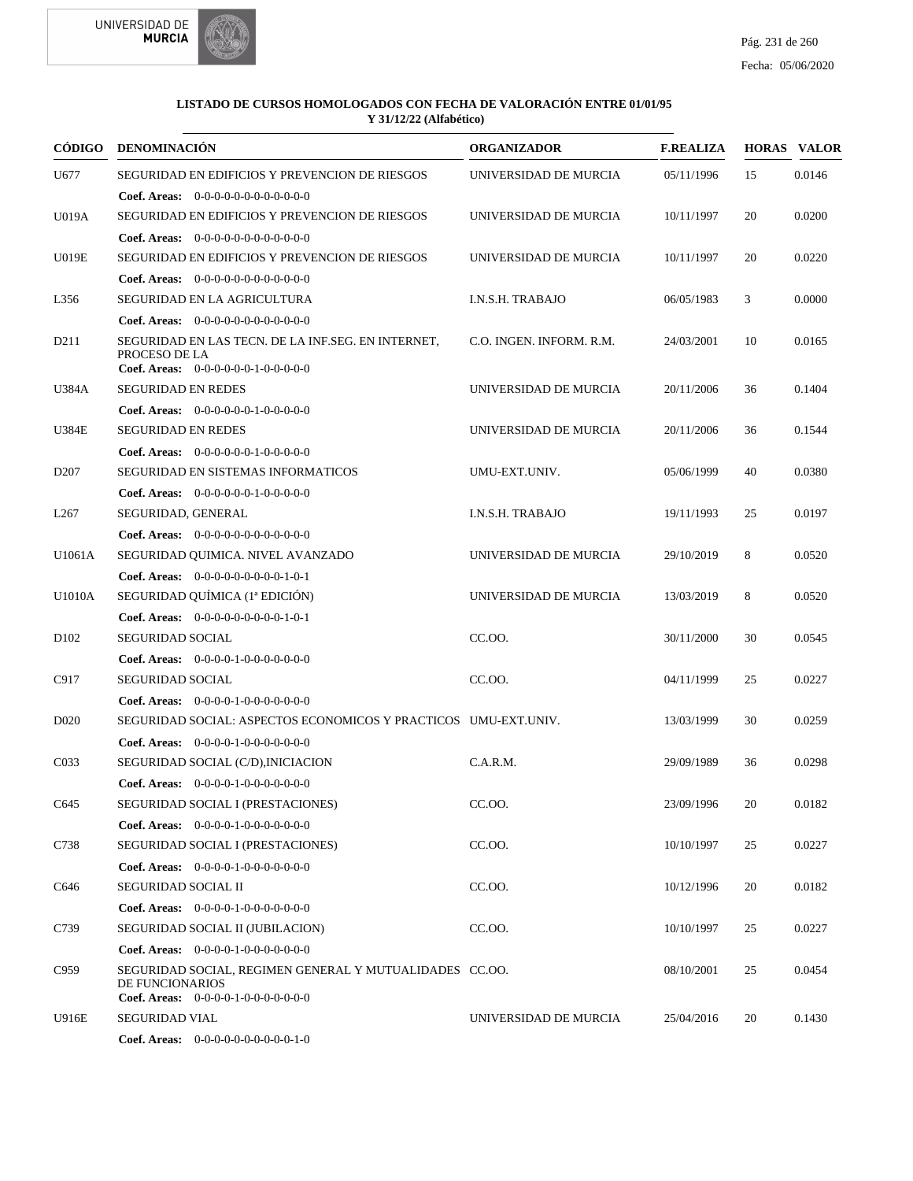

| CÓDIGO            | <b>DENOMINACIÓN</b>                                                                                                         | <b>ORGANIZADOR</b>       | <b>F.REALIZA</b> |    | <b>HORAS VALOR</b> |
|-------------------|-----------------------------------------------------------------------------------------------------------------------------|--------------------------|------------------|----|--------------------|
| U677              | <b>SEGURIDAD EN EDIFICIOS Y PREVENCION DE RIESGOS</b>                                                                       | UNIVERSIDAD DE MURCIA    | 05/11/1996       | 15 | 0.0146             |
|                   | <b>Coef. Areas:</b> $0-0-0-0-0-0-0-0-0-0-0-0$                                                                               |                          |                  |    |                    |
| U019A             | <b>SEGURIDAD EN EDIFICIOS Y PREVENCION DE RIESGOS</b>                                                                       | UNIVERSIDAD DE MURCIA    | 10/11/1997       | 20 | 0.0200             |
|                   | Coef. Areas: 0-0-0-0-0-0-0-0-0-0-0-0-0                                                                                      |                          |                  |    |                    |
| <b>U019E</b>      | <b>SEGURIDAD EN EDIFICIOS Y PREVENCION DE RIESGOS</b>                                                                       | UNIVERSIDAD DE MURCIA    | 10/11/1997       | 20 | 0.0220             |
|                   | <b>Coef. Areas:</b> $0-0-0-0-0-0-0-0-0-0-0-0$                                                                               |                          |                  |    |                    |
| L356              | SEGURIDAD EN LA AGRICULTURA                                                                                                 | I.N.S.H. TRABAJO         | 06/05/1983       | 3  | 0.0000             |
|                   | Coef. Areas: $0-0-0-0-0-0-0-0-0-0-0$                                                                                        |                          |                  |    |                    |
| D <sub>211</sub>  | SEGURIDAD EN LAS TECN. DE LA INF.SEG. EN INTERNET,<br>PROCESO DE LA<br>Coef. Areas: $0-0-0-0-0-1-0-0-0-0-0$                 | C.O. INGEN. INFORM. R.M. | 24/03/2001       | 10 | 0.0165             |
| U384A             | <b>SEGURIDAD EN REDES</b>                                                                                                   | UNIVERSIDAD DE MURCIA    | 20/11/2006       | 36 | 0.1404             |
|                   | Coef. Areas: $0-0-0-0-0-1-0-0-0-0-0$                                                                                        |                          |                  |    |                    |
| <b>U384E</b>      | <b>SEGURIDAD EN REDES</b>                                                                                                   | UNIVERSIDAD DE MURCIA    | 20/11/2006       | 36 | 0.1544             |
|                   | Coef. Areas: $0-0-0-0-0-1-0-0-0-0-0$                                                                                        |                          |                  |    |                    |
| D <sub>207</sub>  | <b>SEGURIDAD EN SISTEMAS INFORMATICOS</b>                                                                                   | UMU-EXT.UNIV.            | 05/06/1999       | 40 | 0.0380             |
|                   | Coef. Areas: $0-0-0-0-0-1-0-0-0-0-0$                                                                                        |                          |                  |    |                    |
| L <sub>267</sub>  | SEGURIDAD, GENERAL                                                                                                          | I.N.S.H. TRABAJO         | 19/11/1993       | 25 | 0.0197             |
|                   | Coef. Areas: $0-0-0-0-0-0-0-0-0-0-0$                                                                                        |                          |                  |    |                    |
| U1061A            | SEGURIDAD QUIMICA. NIVEL AVANZADO                                                                                           | UNIVERSIDAD DE MURCIA    | 29/10/2019       | 8  | 0.0520             |
|                   | Coef. Areas: $0-0-0-0-0-0-0-0-1-0-1$                                                                                        |                          |                  |    |                    |
| U1010A            | SEGURIDAD QUÍMICA (1ª EDICIÓN)                                                                                              | UNIVERSIDAD DE MURCIA    | 13/03/2019       | 8  | 0.0520             |
|                   | Coef. Areas: $0-0-0-0-0-0-0-0-1-0-1$                                                                                        |                          |                  |    |                    |
| D <sub>102</sub>  | <b>SEGURIDAD SOCIAL</b>                                                                                                     | CC.OO.                   | 30/11/2000       | 30 | 0.0545             |
|                   | Coef. Areas: $0-0-0-0-1-0-0-0-0-0-0$                                                                                        |                          |                  |    |                    |
| C917              | SEGURIDAD SOCIAL                                                                                                            | CC.OO.                   | 04/11/1999       | 25 | 0.0227             |
|                   | Coef. Areas: 0-0-0-0-1-0-0-0-0-0-0-0                                                                                        |                          |                  |    |                    |
| D <sub>0</sub> 20 | SEGURIDAD SOCIAL: ASPECTOS ECONOMICOS Y PRACTICOS UMU-EXT.UNIV.                                                             |                          | 13/03/1999       | 30 | 0.0259             |
|                   | Coef. Areas: $0-0-0-0-1-0-0-0-0-0-0$                                                                                        |                          |                  |    |                    |
| CO <sub>33</sub>  | SEGURIDAD SOCIAL (C/D), INICIACION                                                                                          | C.A.R.M.                 | 29/09/1989       | 36 | 0.0298             |
|                   | Coef. Areas: $0-0-0-0-1-0-0-0-0-0-0$                                                                                        |                          |                  |    |                    |
| C645              | SEGURIDAD SOCIAL I (PRESTACIONES)                                                                                           | CC.OO.                   | 23/09/1996       | 20 | 0.0182             |
|                   | Coef. Areas: $0-0-0-0-1-0-0-0-0-0-0$                                                                                        |                          |                  |    |                    |
| C738              | SEGURIDAD SOCIAL I (PRESTACIONES)                                                                                           | CC.OO.                   | 10/10/1997       | 25 | 0.0227             |
|                   | Coef. Areas: $0-0-0-0-1-0-0-0-0-0-0$                                                                                        |                          |                  |    |                    |
| C646              | SEGURIDAD SOCIAL II                                                                                                         | CC.00.                   | 10/12/1996       | 20 | 0.0182             |
|                   | Coef. Areas: $0-0-0-0-1-0-0-0-0-0-0$                                                                                        |                          |                  |    |                    |
| C739              | SEGURIDAD SOCIAL II (JUBILACION)                                                                                            | CC.00.                   | 10/10/1997       | 25 | 0.0227             |
|                   | <b>Coef. Areas:</b> $0-0-0-0-1-0-0-0-0-0-0-0$                                                                               |                          |                  |    |                    |
| C959              | SEGURIDAD SOCIAL, REGIMEN GENERAL Y MUTUALIDADES CC.OO.<br>DE FUNCIONARIOS<br><b>Coef. Areas:</b> $0-0-0-0-1-0-0-0-0-0-0-0$ |                          | 08/10/2001       | 25 | 0.0454             |
| U916E             | <b>SEGURIDAD VIAL</b>                                                                                                       | UNIVERSIDAD DE MURCIA    | 25/04/2016       | 20 | 0.1430             |
|                   | Coef. Areas: 0-0-0-0-0-0-0-0-0-0-1-0                                                                                        |                          |                  |    |                    |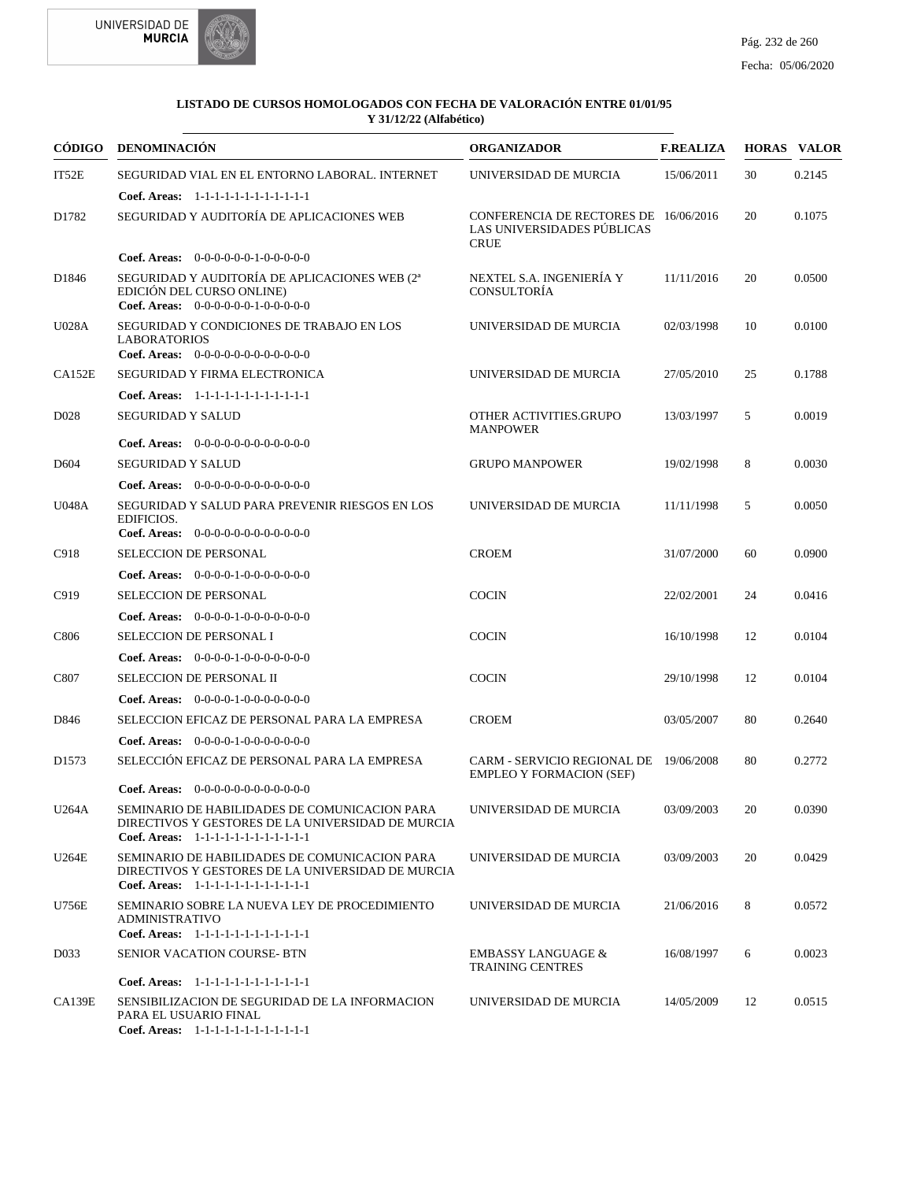



| <b>CÓDIGO</b>     | <b>DENOMINACIÓN</b>                                                                                                                          | <b>ORGANIZADOR</b>                                                                 | <b>F.REALIZA</b> |    | <b>HORAS VALOR</b> |
|-------------------|----------------------------------------------------------------------------------------------------------------------------------------------|------------------------------------------------------------------------------------|------------------|----|--------------------|
| IT52E             | SEGURIDAD VIAL EN EL ENTORNO LABORAL. INTERNET                                                                                               | UNIVERSIDAD DE MURCIA                                                              | 15/06/2011       | 30 | 0.2145             |
|                   | Coef. Areas: 1-1-1-1-1-1-1-1-1-1-1-1-1                                                                                                       |                                                                                    |                  |    |                    |
| D1782             | SEGURIDAD Y AUDITORÍA DE APLICACIONES WEB                                                                                                    | CONFERENCIA DE RECTORES DE 16/06/2016<br>LAS UNIVERSIDADES PÚBLICAS<br><b>CRUE</b> |                  | 20 | 0.1075             |
|                   | <b>Coef. Areas:</b> $0-0-0-0-0-1-0-0-0-0-0$                                                                                                  |                                                                                    |                  |    |                    |
| D1846             | SEGURIDAD Y AUDITORÍA DE APLICACIONES WEB (2 <sup>a</sup><br>EDICIÓN DEL CURSO ONLINE)<br>Coef. Areas: $0-0-0-0-0-1-0-0-0-0-0$               | NEXTEL S.A. INGENIERÍA Y<br>CONSULTORÍA                                            | 11/11/2016       | 20 | 0.0500             |
| U028A             | SEGURIDAD Y CONDICIONES DE TRABAJO EN LOS<br><b>LABORATORIOS</b><br>Coef. Areas: $0-0-0-0-0-0-0-0-0-0-0$                                     | UNIVERSIDAD DE MURCIA                                                              | 02/03/1998       | 10 | 0.0100             |
| CA152E            | SEGURIDAD Y FIRMA ELECTRONICA                                                                                                                | UNIVERSIDAD DE MURCIA                                                              | 27/05/2010       | 25 | 0.1788             |
|                   | Coef. Areas: $1-1-1-1-1-1-1-1-1-1-1$                                                                                                         |                                                                                    |                  |    |                    |
| D <sub>028</sub>  | <b>SEGURIDAD Y SALUD</b>                                                                                                                     | OTHER ACTIVITIES.GRUPO<br><b>MANPOWER</b>                                          | 13/03/1997       | 5  | 0.0019             |
|                   | <b>Coef. Areas:</b> $0-0-0-0-0-0-0-0-0-0-0-0$                                                                                                |                                                                                    |                  |    |                    |
| D <sub>604</sub>  | <b>SEGURIDAD Y SALUD</b>                                                                                                                     | <b>GRUPO MANPOWER</b>                                                              | 19/02/1998       | 8  | 0.0030             |
|                   | <b>Coef. Areas:</b> $0-0-0-0-0-0-0-0-0-0-0-0$                                                                                                |                                                                                    |                  |    |                    |
| U048A             | SEGURIDAD Y SALUD PARA PREVENIR RIESGOS EN LOS<br>EDIFICIOS.<br>Coef. Areas: 0-0-0-0-0-0-0-0-0-0-0-0-0                                       | UNIVERSIDAD DE MURCIA                                                              | 11/11/1998       | 5  | 0.0050             |
| C918              | <b>SELECCION DE PERSONAL</b>                                                                                                                 | <b>CROEM</b>                                                                       | 31/07/2000       | 60 | 0.0900             |
|                   | <b>Coef. Areas:</b> $0-0-0-0-1-0-0-0-0-0-0-0$                                                                                                |                                                                                    |                  |    |                    |
| C919              | <b>SELECCION DE PERSONAL</b>                                                                                                                 | <b>COCIN</b>                                                                       | 22/02/2001       | 24 | 0.0416             |
|                   | Coef. Areas: $0-0-0-0-1-0-0-0-0-0-0$                                                                                                         |                                                                                    |                  |    |                    |
| C806              | SELECCION DE PERSONAL I                                                                                                                      | <b>COCIN</b>                                                                       | 16/10/1998       | 12 | 0.0104             |
|                   | <b>Coef. Areas:</b> $0-0-0-0-1-0-0-0-0-0-0-0$                                                                                                |                                                                                    |                  |    |                    |
| C807              | SELECCION DE PERSONAL II                                                                                                                     | <b>COCIN</b>                                                                       | 29/10/1998       | 12 | 0.0104             |
|                   | <b>Coef. Areas:</b> $0-0-0-0-1-0-0-0-0-0-0-0$                                                                                                |                                                                                    |                  |    |                    |
| D846              | SELECCION EFICAZ DE PERSONAL PARA LA EMPRESA                                                                                                 | <b>CROEM</b>                                                                       | 03/05/2007       | 80 | 0.2640             |
|                   | <b>Coef. Areas:</b> $0-0-0-0-1-0-0-0-0-0-0-0$                                                                                                |                                                                                    |                  |    |                    |
| D <sub>1573</sub> | SELECCIÓN EFICAZ DE PERSONAL PARA LA EMPRESA                                                                                                 | CARM - SERVICIO REGIONAL DE 19/06/2008<br><b>EMPLEO Y FORMACION (SEF)</b>          |                  | 80 | 0.2772             |
|                   | <b>Coef. Areas:</b> $0-0-0-0-0-0-0-0-0-0-0-0$                                                                                                |                                                                                    |                  |    |                    |
| U264A             | SEMINARIO DE HABILIDADES DE COMUNICACION PARA<br>DIRECTIVOS Y GESTORES DE LA UNIVERSIDAD DE MURCIA<br>Coef. Areas: 1-1-1-1-1-1-1-1-1-1-1-1-1 | UNIVERSIDAD DE MURCIA                                                              | 03/09/2003       | 20 | 0.0390             |
| U264E             | SEMINARIO DE HABILIDADES DE COMUNICACION PARA<br>DIRECTIVOS Y GESTORES DE LA UNIVERSIDAD DE MURCIA<br>Coef. Areas: 1-1-1-1-1-1-1-1-1-1-1-1-1 | UNIVERSIDAD DE MURCIA                                                              | 03/09/2003       | 20 | 0.0429             |
| U756E             | SEMINARIO SOBRE LA NUEVA LEY DE PROCEDIMIENTO<br><b>ADMINISTRATIVO</b><br>Coef. Areas: 1-1-1-1-1-1-1-1-1-1-1-1-1                             | UNIVERSIDAD DE MURCIA                                                              | 21/06/2016       | 8  | 0.0572             |
| D <sub>0</sub> 33 | SENIOR VACATION COURSE- BTN                                                                                                                  | <b>EMBASSY LANGUAGE &amp;</b><br><b>TRAINING CENTRES</b>                           | 16/08/1997       | 6  | 0.0023             |
|                   | Coef. Areas: 1-1-1-1-1-1-1-1-1-1-1-1-1                                                                                                       |                                                                                    |                  |    |                    |
| <b>CA139E</b>     | SENSIBILIZACION DE SEGURIDAD DE LA INFORMACION<br>PARA EL USUARIO FINAL<br>Coef. Areas: 1-1-1-1-1-1-1-1-1-1-1-1-1                            | UNIVERSIDAD DE MURCIA                                                              | 14/05/2009       | 12 | 0.0515             |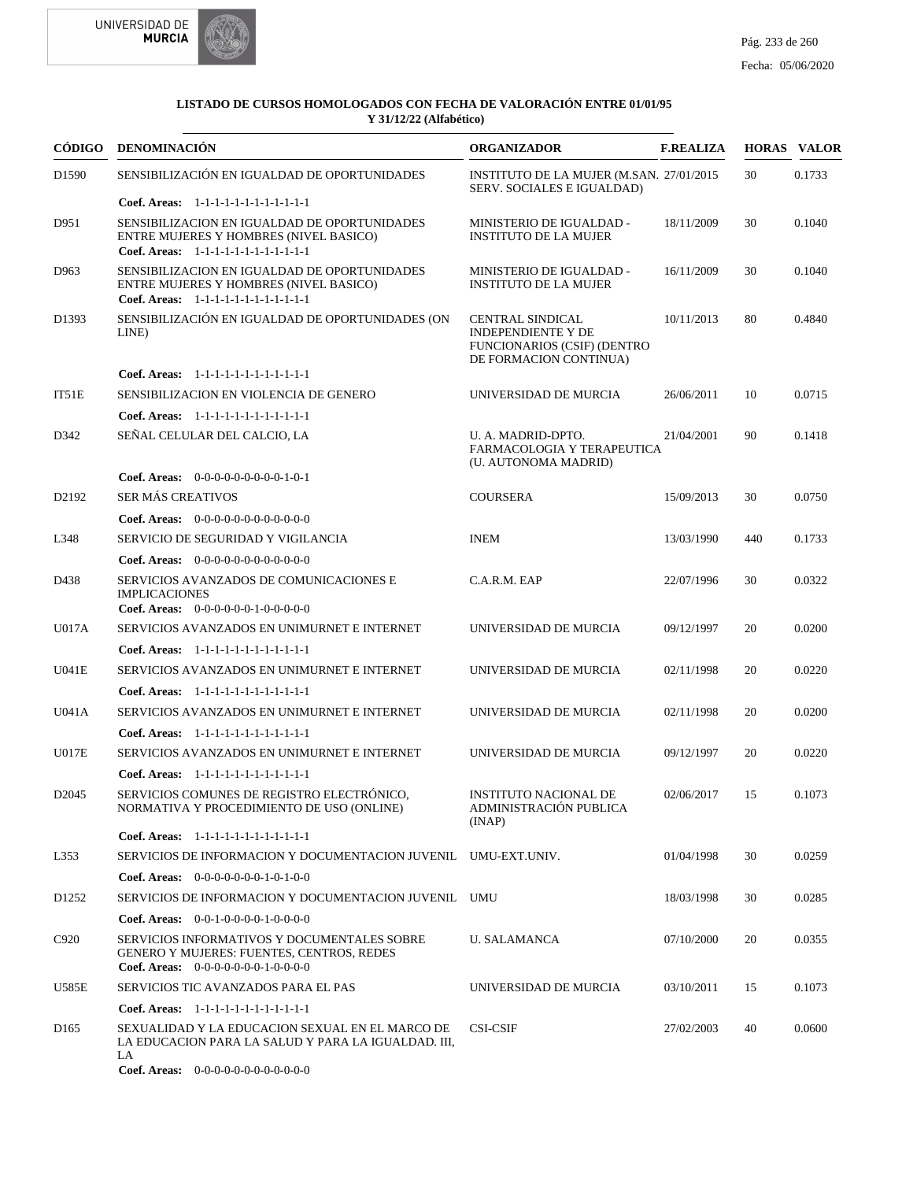



|                   | CÓDIGO DENOMINACIÓN                                                                                                                     | <b>ORGANIZADOR</b>                                                                                                   | <b>F.REALIZA</b> |     | <b>HORAS VALOR</b> |
|-------------------|-----------------------------------------------------------------------------------------------------------------------------------------|----------------------------------------------------------------------------------------------------------------------|------------------|-----|--------------------|
| D1590             | SENSIBILIZACIÓN EN IGUALDAD DE OPORTUNIDADES                                                                                            | INSTITUTO DE LA MUJER (M.SAN. 27/01/2015)<br>SERV. SOCIALES E IGUALDAD)                                              |                  | 30  | 0.1733             |
|                   | Coef. Areas: 1-1-1-1-1-1-1-1-1-1-1-1-1                                                                                                  |                                                                                                                      |                  |     |                    |
| D951              | SENSIBILIZACION EN IGUALDAD DE OPORTUNIDADES<br>ENTRE MUJERES Y HOMBRES (NIVEL BASICO)<br>Coef. Areas: 1-1-1-1-1-1-1-1-1-1-1-1-1        | MINISTERIO DE IGUALDAD -<br><b>INSTITUTO DE LA MUJER</b>                                                             | 18/11/2009       | 30  | 0.1040             |
| D963              | SENSIBILIZACION EN IGUALDAD DE OPORTUNIDADES<br>ENTRE MUJERES Y HOMBRES (NIVEL BASICO)<br>Coef. Areas: 1-1-1-1-1-1-1-1-1-1-1-1-1        | MINISTERIO DE IGUALDAD -<br><b>INSTITUTO DE LA MUJER</b>                                                             | 16/11/2009       | 30  | 0.1040             |
| D1393             | SENSIBILIZACIÓN EN IGUALDAD DE OPORTUNIDADES (ON<br>LINE)                                                                               | <b>CENTRAL SINDICAL</b><br><b>INDEPENDIENTE Y DE</b><br><b>FUNCIONARIOS (CSIF) (DENTRO</b><br>DE FORMACION CONTINUA) | 10/11/2013       | 80  | 0.4840             |
|                   | Coef. Areas: 1-1-1-1-1-1-1-1-1-1-1-1-1                                                                                                  |                                                                                                                      |                  |     |                    |
| IT51E             | SENSIBILIZACION EN VIOLENCIA DE GENERO                                                                                                  | UNIVERSIDAD DE MURCIA                                                                                                | 26/06/2011       | 10  | 0.0715             |
|                   | Coef. Areas: 1-1-1-1-1-1-1-1-1-1-1-1-1                                                                                                  |                                                                                                                      |                  |     |                    |
| D342              | SEÑAL CELULAR DEL CALCIO, LA                                                                                                            | U. A. MADRID-DPTO.<br>FARMACOLOGIA Y TERAPEUTICA<br>(U. AUTONOMA MADRID)                                             | 21/04/2001       | 90  | 0.1418             |
|                   | Coef. Areas: $0-0-0-0-0-0-0-0-1-0-1$                                                                                                    |                                                                                                                      |                  |     |                    |
| D2192             | <b>SER MÁS CREATIVOS</b>                                                                                                                | <b>COURSERA</b>                                                                                                      | 15/09/2013       | 30  | 0.0750             |
|                   | <b>Coef. Areas:</b> $0-0-0-0-0-0-0-0-0-0-0-0$                                                                                           |                                                                                                                      |                  |     |                    |
| L348              | SERVICIO DE SEGURIDAD Y VIGILANCIA                                                                                                      | <b>INEM</b>                                                                                                          | 13/03/1990       | 440 | 0.1733             |
|                   | Coef. Areas: $0-0-0-0-0-0-0-0-0-0-0$                                                                                                    |                                                                                                                      |                  |     |                    |
| D438              | SERVICIOS AVANZADOS DE COMUNICACIONES E<br><b>IMPLICACIONES</b><br>Coef. Areas: $0-0-0-0-0-1-0-0-0-0-0$                                 | C.A.R.M. EAP                                                                                                         | 22/07/1996       | 30  | 0.0322             |
| U017A             | SERVICIOS AVANZADOS EN UNIMURNET E INTERNET                                                                                             | UNIVERSIDAD DE MURCIA                                                                                                | 09/12/1997       | 20  | 0.0200             |
|                   | Coef. Areas: 1-1-1-1-1-1-1-1-1-1-1-1-1                                                                                                  |                                                                                                                      |                  |     |                    |
| U041E             | SERVICIOS AVANZADOS EN UNIMURNET E INTERNET                                                                                             | UNIVERSIDAD DE MURCIA                                                                                                | 02/11/1998       | 20  | 0.0220             |
|                   | Coef. Areas: $1-1-1-1-1-1-1-1-1-1-1$                                                                                                    |                                                                                                                      |                  |     |                    |
| U041A             | SERVICIOS AVANZADOS EN UNIMURNET E INTERNET                                                                                             | UNIVERSIDAD DE MURCIA                                                                                                | 02/11/1998       | 20  | 0.0200             |
|                   | Coef. Areas: 1-1-1-1-1-1-1-1-1-1-1-1-1                                                                                                  |                                                                                                                      |                  |     |                    |
| U017E             | SERVICIOS AVANZADOS EN UNIMURNET E INTERNET                                                                                             | UNIVERSIDAD DE MURCIA                                                                                                | 09/12/1997       | 20  | 0.0220             |
|                   | Coef. Areas: 1-1-1-1-1-1-1-1-1-1-1-1-1                                                                                                  |                                                                                                                      |                  |     |                    |
| D <sub>2045</sub> | SERVICIOS COMUNES DE REGISTRO ELECTRÓNICO.<br>NORMATIVA Y PROCEDIMIENTO DE USO (ONLINE)                                                 | <b>INSTITUTO NACIONAL DE</b><br>ADMINISTRACIÓN PUBLICA<br>(INAP)                                                     | 02/06/2017       | 15  | 0.1073             |
|                   | Coef. Areas: 1-1-1-1-1-1-1-1-1-1-1-1-1                                                                                                  |                                                                                                                      |                  |     |                    |
| L353              | SERVICIOS DE INFORMACION Y DOCUMENTACION JUVENIL UMU-EXT.UNIV.                                                                          |                                                                                                                      | 01/04/1998       | 30  | 0.0259             |
|                   | Coef. Areas: $0-0-0-0-0-0-1-0-1-0-0$                                                                                                    |                                                                                                                      |                  |     |                    |
| D <sub>1252</sub> | SERVICIOS DE INFORMACION Y DOCUMENTACION JUVENIL UMU                                                                                    |                                                                                                                      | 18/03/1998       | 30  | 0.0285             |
|                   | <b>Coef. Areas:</b> $0-0-1-0-0-0-1-0-0-0-0$                                                                                             |                                                                                                                      |                  |     |                    |
| C920              | SERVICIOS INFORMATIVOS Y DOCUMENTALES SOBRE<br><b>GENERO Y MUJERES: FUENTES, CENTROS, REDES</b><br>Coef. Areas: $0-0-0-0-0-0-1-0-0-0-0$ | <b>U. SALAMANCA</b>                                                                                                  | 07/10/2000       | 20  | 0.0355             |
| U585E             | SERVICIOS TIC AVANZADOS PARA EL PAS                                                                                                     | UNIVERSIDAD DE MURCIA                                                                                                | 03/10/2011       | 15  | 0.1073             |
|                   | Coef. Areas: 1-1-1-1-1-1-1-1-1-1-1-1-1                                                                                                  |                                                                                                                      |                  |     |                    |
| D <sub>165</sub>  | SEXUALIDAD Y LA EDUCACION SEXUAL EN EL MARCO DE<br>LA EDUCACION PARA LA SALUD Y PARA LA IGUALDAD. III,<br>LA                            | <b>CSI-CSIF</b>                                                                                                      | 27/02/2003       | 40  | 0.0600             |

0-0-0-0-0-0-0-0-0-0-0-0 **Coef. Areas:**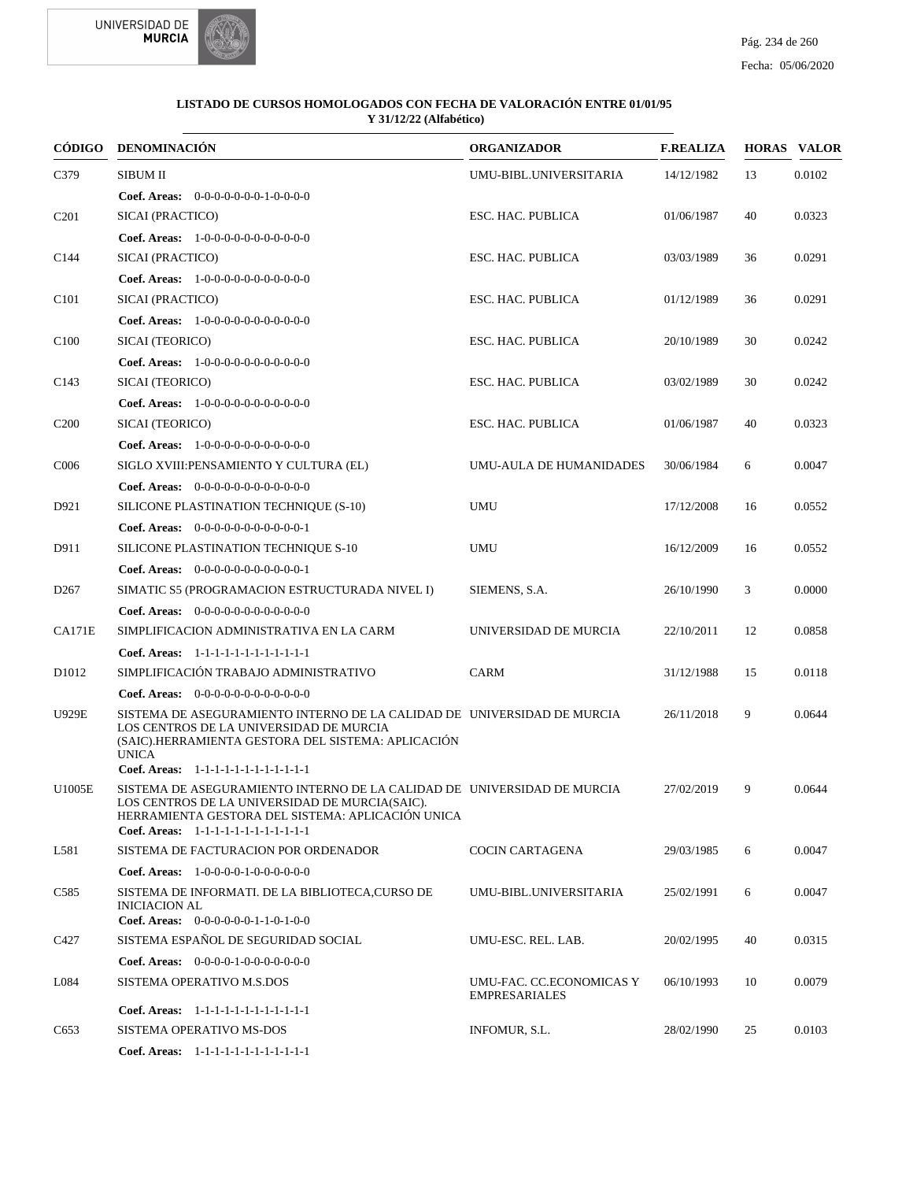



| CÓDIGO            | <b>DENOMINACIÓN</b>                                                                                                                                                                                                                                                | <b>ORGANIZADOR</b>                               | <b>F.REALIZA</b> |    | <b>HORAS VALOR</b> |
|-------------------|--------------------------------------------------------------------------------------------------------------------------------------------------------------------------------------------------------------------------------------------------------------------|--------------------------------------------------|------------------|----|--------------------|
| C379              | <b>SIBUM II</b>                                                                                                                                                                                                                                                    | UMU-BIBL.UNIVERSITARIA                           | 14/12/1982       | 13 | 0.0102             |
|                   | Coef. Areas: 0-0-0-0-0-0-0-1-0-0-0-0                                                                                                                                                                                                                               |                                                  |                  |    |                    |
| C <sub>201</sub>  | SICAI (PRACTICO)                                                                                                                                                                                                                                                   | ESC. HAC. PUBLICA                                | 01/06/1987       | 40 | 0.0323             |
|                   | Coef. Areas: 1-0-0-0-0-0-0-0-0-0-0-0-0                                                                                                                                                                                                                             |                                                  |                  |    |                    |
| C <sub>144</sub>  | SICAI (PRACTICO)                                                                                                                                                                                                                                                   | ESC. HAC. PUBLICA                                | 03/03/1989       | 36 | 0.0291             |
|                   | Coef. Areas: 1-0-0-0-0-0-0-0-0-0-0-0-0                                                                                                                                                                                                                             |                                                  |                  |    |                    |
| C <sub>101</sub>  | SICAI (PRACTICO)                                                                                                                                                                                                                                                   | ESC. HAC. PUBLICA                                | 01/12/1989       | 36 | 0.0291             |
|                   | Coef. Areas: 1-0-0-0-0-0-0-0-0-0-0-0-0                                                                                                                                                                                                                             |                                                  |                  |    |                    |
| C <sub>100</sub>  | SICAI (TEORICO)                                                                                                                                                                                                                                                    | ESC. HAC. PUBLICA                                | 20/10/1989       | 30 | 0.0242             |
|                   | Coef. Areas: 1-0-0-0-0-0-0-0-0-0-0-0-0                                                                                                                                                                                                                             |                                                  |                  |    |                    |
| C <sub>143</sub>  | SICAI (TEORICO)                                                                                                                                                                                                                                                    | ESC. HAC. PUBLICA                                | 03/02/1989       | 30 | 0.0242             |
|                   | Coef. Areas: 1-0-0-0-0-0-0-0-0-0-0-0                                                                                                                                                                                                                               |                                                  |                  |    |                    |
| C <sub>200</sub>  | SICAI (TEORICO)                                                                                                                                                                                                                                                    | ESC. HAC. PUBLICA                                | 01/06/1987       | 40 | 0.0323             |
|                   | Coef. Areas: 1-0-0-0-0-0-0-0-0-0-0-0                                                                                                                                                                                                                               |                                                  |                  |    |                    |
| C <sub>006</sub>  | SIGLO XVIII:PENSAMIENTO Y CULTURA (EL)                                                                                                                                                                                                                             | UMU-AULA DE HUMANIDADES                          | 30/06/1984       | 6  | 0.0047             |
|                   | Coef. Areas: $0-0-0-0-0-0-0-0-0-0-0$                                                                                                                                                                                                                               |                                                  |                  |    |                    |
| D921              | SILICONE PLASTINATION TECHNIQUE (S-10)                                                                                                                                                                                                                             | <b>UMU</b>                                       | 17/12/2008       | 16 | 0.0552             |
|                   | Coef. Areas: $0-0-0-0-0-0-0-0-0-0-0-1$                                                                                                                                                                                                                             |                                                  |                  |    |                    |
| D911              | SILICONE PLASTINATION TECHNIQUE S-10                                                                                                                                                                                                                               | <b>UMU</b>                                       | 16/12/2009       | 16 | 0.0552             |
|                   | Coef. Areas: $0-0-0-0-0-0-0-0-0-0-1$                                                                                                                                                                                                                               |                                                  |                  |    |                    |
| D <sub>267</sub>  | SIMATIC S5 (PROGRAMACION ESTRUCTURADA NIVEL I)                                                                                                                                                                                                                     | SIEMENS, S.A.                                    | 26/10/1990       | 3  | 0.0000             |
|                   | <b>Coef. Areas:</b> $0-0-0-0-0-0-0-0-0-0-0-0$                                                                                                                                                                                                                      |                                                  |                  |    |                    |
| <b>CA171E</b>     | SIMPLIFICACION ADMINISTRATIVA EN LA CARM                                                                                                                                                                                                                           | UNIVERSIDAD DE MURCIA                            | 22/10/2011       | 12 | 0.0858             |
|                   | Coef. Areas: 1-1-1-1-1-1-1-1-1-1-1-1-1                                                                                                                                                                                                                             |                                                  |                  |    |                    |
| D <sub>1012</sub> | SIMPLIFICACIÓN TRABAJO ADMINISTRATIVO                                                                                                                                                                                                                              | <b>CARM</b>                                      | 31/12/1988       | 15 | 0.0118             |
|                   | Coef. Areas: $0-0-0-0-0-0-0-0-0-0-0$                                                                                                                                                                                                                               |                                                  |                  |    |                    |
| <b>U929E</b>      | SISTEMA DE ASEGURAMIENTO INTERNO DE LA CALIDAD DE UNIVERSIDAD DE MURCIA<br>LOS CENTROS DE LA UNIVERSIDAD DE MURCIA<br>(SAIC).HERRAMIENTA GESTORA DEL SISTEMA: APLICACIÓN<br><b>UNICA</b>                                                                           |                                                  | 26/11/2018       | 9  | 0.0644             |
| U1005E            | Coef. Areas: 1-1-1-1-1-1-1-1-1-1-1-1-1<br>SISTEMA DE ASEGURAMIENTO INTERNO DE LA CALIDAD DE UNIVERSIDAD DE MURCIA<br>LOS CENTROS DE LA UNIVERSIDAD DE MURCIA(SAIC).<br>HERRAMIENTA GESTORA DEL SISTEMA: APLICACIÓN UNICA<br>Coef. Areas: 1-1-1-1-1-1-1-1-1-1-1-1-1 |                                                  | 27/02/2019       | 9  | 0.0644             |
| L581              | SISTEMA DE FACTURACION POR ORDENADOR                                                                                                                                                                                                                               | <b>COCIN CARTAGENA</b>                           | 29/03/1985       | 6  | 0.0047             |
|                   | <b>Coef. Areas:</b> $1-0-0-0-0-1-0-0-0-0-0-0$                                                                                                                                                                                                                      |                                                  |                  |    |                    |
| C585              | SISTEMA DE INFORMATI. DE LA BIBLIOTECA,CURSO DE<br><b>INICIACION AL</b><br>Coef. Areas: $0-0-0-0-0-1-1-0-1-0-0$                                                                                                                                                    | UMU-BIBL.UNIVERSITARIA                           | 25/02/1991       | 6  | 0.0047             |
| C427              | SISTEMA ESPAÑOL DE SEGURIDAD SOCIAL                                                                                                                                                                                                                                | UMU-ESC. REL. LAB.                               | 20/02/1995       | 40 | 0.0315             |
|                   | Coef. Areas: $0-0-0-0-1-0-0-0-0-0-0$                                                                                                                                                                                                                               |                                                  |                  |    |                    |
| L084              | SISTEMA OPERATIVO M.S.DOS                                                                                                                                                                                                                                          | UMU-FAC. CC.ECONOMICAS Y<br><b>EMPRESARIALES</b> | 06/10/1993       | 10 | 0.0079             |
|                   | Coef. Areas: 1-1-1-1-1-1-1-1-1-1-1-1-1                                                                                                                                                                                                                             |                                                  |                  |    |                    |
| C <sub>653</sub>  | SISTEMA OPERATIVO MS-DOS                                                                                                                                                                                                                                           | INFOMUR, S.L.                                    | 28/02/1990       | 25 | 0.0103             |
|                   | Coef. Areas: 1-1-1-1-1-1-1-1-1-1-1-1-1                                                                                                                                                                                                                             |                                                  |                  |    |                    |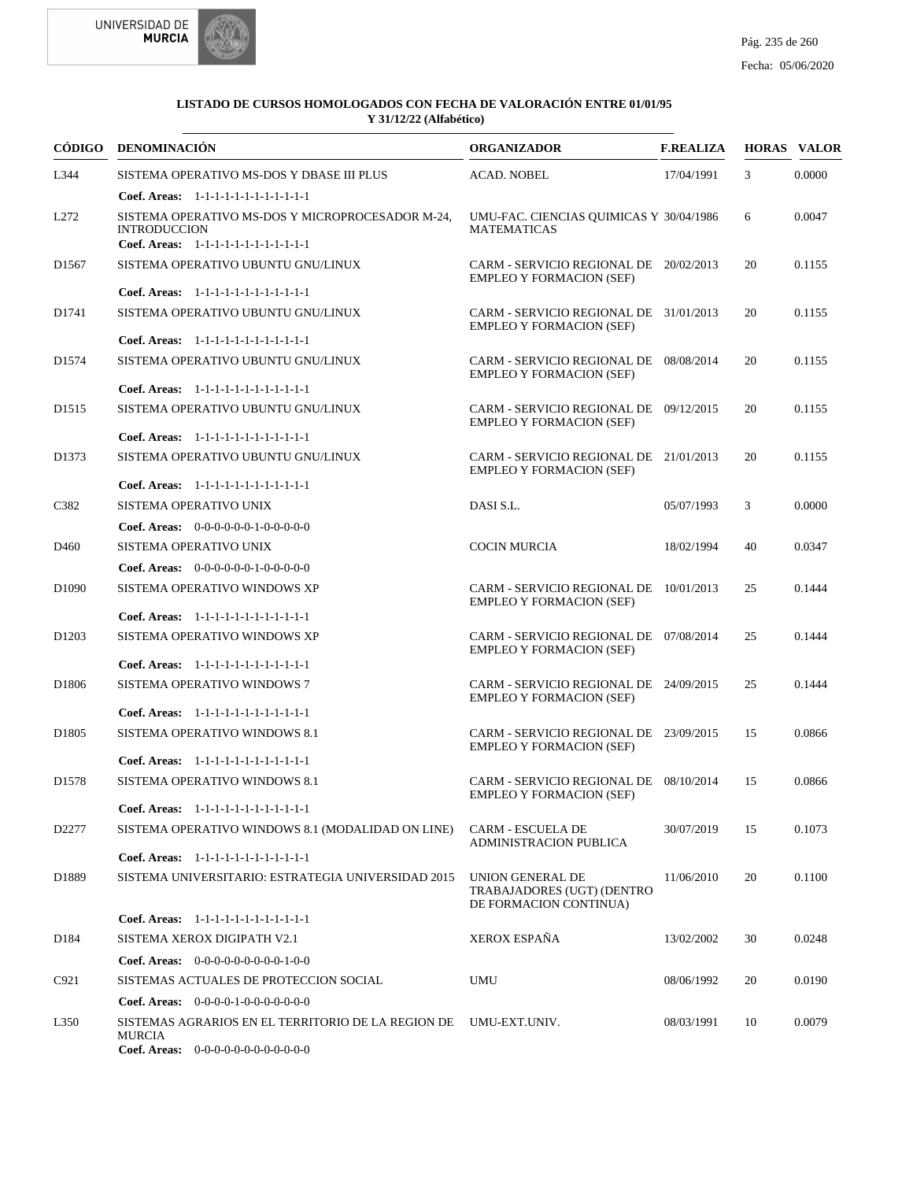



|                   | CÓDIGO DENOMINACIÓN                                                                                               | <b>ORGANIZADOR</b>                                                        | <b>F.REALIZA</b> |    | <b>HORAS VALOR</b> |
|-------------------|-------------------------------------------------------------------------------------------------------------------|---------------------------------------------------------------------------|------------------|----|--------------------|
| L344              | SISTEMA OPERATIVO MS-DOS Y DBASE III PLUS                                                                         | <b>ACAD. NOBEL</b>                                                        | 17/04/1991       | 3  | 0.0000             |
|                   | Coef. Areas: 1-1-1-1-1-1-1-1-1-1-1-1-1                                                                            |                                                                           |                  |    |                    |
| L <sub>272</sub>  | SISTEMA OPERATIVO MS-DOS Y MICROPROCESADOR M-24,<br><b>INTRODUCCION</b><br>Coef. Areas: 1-1-1-1-1-1-1-1-1-1-1-1-1 | UMU-FAC. CIENCIAS QUIMICAS Y 30/04/1986<br><b>MATEMATICAS</b>             |                  | 6  | 0.0047             |
| D <sub>1567</sub> | SISTEMA OPERATIVO UBUNTU GNU/LINUX                                                                                | CARM - SERVICIO REGIONAL DE 20/02/2013<br><b>EMPLEO Y FORMACION (SEF)</b> |                  | 20 | 0.1155             |
|                   | Coef. Areas: 1-1-1-1-1-1-1-1-1-1-1-1-1                                                                            |                                                                           |                  |    |                    |
| D1741             | SISTEMA OPERATIVO UBUNTU GNU/LINUX                                                                                | CARM - SERVICIO REGIONAL DE 31/01/2013<br><b>EMPLEO Y FORMACION (SEF)</b> |                  | 20 | 0.1155             |
|                   | Coef. Areas: 1-1-1-1-1-1-1-1-1-1-1-1-1                                                                            |                                                                           |                  |    |                    |
| D <sub>1574</sub> | SISTEMA OPERATIVO UBUNTU GNU/LINUX                                                                                | CARM - SERVICIO REGIONAL DE 08/08/2014<br><b>EMPLEO Y FORMACION (SEF)</b> |                  | 20 | 0.1155             |
|                   | Coef. Areas: 1-1-1-1-1-1-1-1-1-1-1-1-1                                                                            |                                                                           |                  |    |                    |
| D <sub>1515</sub> | SISTEMA OPERATIVO UBUNTU GNU/LINUX                                                                                | CARM - SERVICIO REGIONAL DE 09/12/2015<br><b>EMPLEO Y FORMACION (SEF)</b> |                  | 20 | 0.1155             |
|                   | Coef. Areas: 1-1-1-1-1-1-1-1-1-1-1-1-1                                                                            |                                                                           |                  |    |                    |
| D <sub>1373</sub> | SISTEMA OPERATIVO UBUNTU GNU/LINUX                                                                                | CARM - SERVICIO REGIONAL DE 21/01/2013<br><b>EMPLEO Y FORMACION (SEF)</b> |                  | 20 | 0.1155             |
|                   | Coef. Areas: 1-1-1-1-1-1-1-1-1-1-1-1-1                                                                            |                                                                           |                  |    |                    |
| C382              | SISTEMA OPERATIVO UNIX                                                                                            | DASI S.L.                                                                 | 05/07/1993       | 3  | 0.0000             |
|                   | Coef. Areas: $0-0-0-0-0-1-0-0-0-0-0$                                                                              |                                                                           |                  |    |                    |
| D <sub>460</sub>  | SISTEMA OPERATIVO UNIX                                                                                            | <b>COCIN MURCIA</b>                                                       | 18/02/1994       | 40 | 0.0347             |
|                   | <b>Coef. Areas:</b> $0-0-0-0-0-1-0-0-0-0-0$                                                                       |                                                                           |                  |    |                    |
| D <sub>1090</sub> | SISTEMA OPERATIVO WINDOWS XP                                                                                      | CARM - SERVICIO REGIONAL DE 10/01/2013<br><b>EMPLEO Y FORMACION (SEF)</b> |                  | 25 | 0.1444             |
|                   | Coef. Areas: 1-1-1-1-1-1-1-1-1-1-1-1-1                                                                            |                                                                           |                  |    |                    |
| D <sub>1203</sub> | SISTEMA OPERATIVO WINDOWS XP                                                                                      | CARM - SERVICIO REGIONAL DE 07/08/2014<br><b>EMPLEO Y FORMACION (SEF)</b> |                  | 25 | 0.1444             |
|                   | Coef. Areas: 1-1-1-1-1-1-1-1-1-1-1-1-1                                                                            |                                                                           |                  |    |                    |
| D <sub>1806</sub> | SISTEMA OPERATIVO WINDOWS 7                                                                                       | CARM - SERVICIO REGIONAL DE 24/09/2015<br><b>EMPLEO Y FORMACION (SEF)</b> |                  | 25 | 0.1444             |
|                   | Coef. Areas: 1-1-1-1-1-1-1-1-1-1-1-1-1                                                                            |                                                                           |                  |    |                    |
| D1805             | SISTEMA OPERATIVO WINDOWS 8.1                                                                                     | CARM - SERVICIO REGIONAL DE 23/09/2015<br><b>EMPLEO Y FORMACION (SEF)</b> |                  | 15 | 0.0866             |
|                   | Coef. Areas: 1-1-1-1-1-1-1-1-1-1-1-1-1                                                                            |                                                                           |                  |    |                    |
| D <sub>1578</sub> | SISTEMA OPERATIVO WINDOWS 8.1                                                                                     | CARM - SERVICIO REGIONAL DE 08/10/2014<br><b>EMPLEO Y FORMACION (SEF)</b> |                  | 15 | 0.0866             |
|                   | Coef. Areas: 1-1-1-1-1-1-1-1-1-1-1-1-1                                                                            |                                                                           |                  |    |                    |
| D2277             | SISTEMA OPERATIVO WINDOWS 8.1 (MODALIDAD ON LINE)                                                                 | CARM - ESCUELA DE<br><b>ADMINISTRACION PUBLICA</b>                        | 30/07/2019       | 15 | 0.1073             |
|                   | Coef. Areas: 1-1-1-1-1-1-1-1-1-1-1-1-1                                                                            |                                                                           |                  |    |                    |
| D1889             | SISTEMA UNIVERSITARIO: ESTRATEGIA UNIVERSIDAD 2015                                                                | UNION GENERAL DE<br>TRABAJADORES (UGT) (DENTRO<br>DE FORMACION CONTINUA)  | 11/06/2010       | 20 | 0.1100             |
|                   | Coef. Areas: 1-1-1-1-1-1-1-1-1-1-1-1-1                                                                            |                                                                           |                  |    |                    |
| D184              | SISTEMA XEROX DIGIPATH V2.1                                                                                       | XEROX ESPAÑA                                                              | 13/02/2002       | 30 | 0.0248             |
|                   | <b>Coef. Areas:</b> $0-0-0-0-0-0-0-0-1-0-0$                                                                       |                                                                           |                  |    |                    |
| C921              | SISTEMAS ACTUALES DE PROTECCION SOCIAL                                                                            | <b>UMU</b>                                                                | 08/06/1992       | 20 | 0.0190             |
|                   | <b>Coef. Areas:</b> $0-0-0-0-1-0-0-0-0-0-0-0$                                                                     |                                                                           |                  |    |                    |
| L350              | SISTEMAS AGRARIOS EN EL TERRITORIO DE LA REGION DE<br><b>MURCIA</b>                                               | UMU-EXT.UNIV.                                                             | 08/03/1991       | 10 | 0.0079             |
|                   | Coef. Areas: $0-0-0-0-0-0-0-0-0-0-0$                                                                              |                                                                           |                  |    |                    |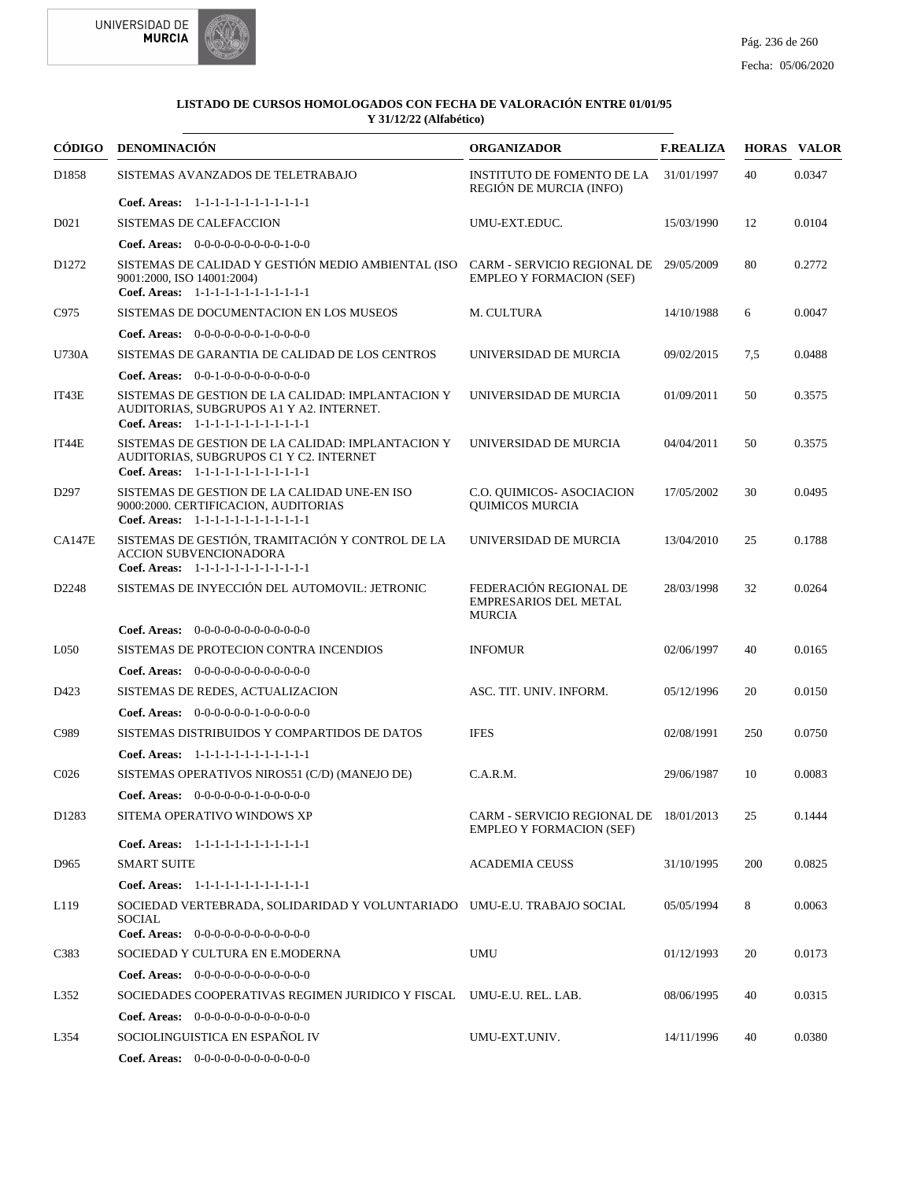

|                   | CÓDIGO DENOMINACIÓN                                                                                                                                               | <b>ORGANIZADOR</b>                                                        | <b>F.REALIZA</b> |     | <b>HORAS VALOR</b> |
|-------------------|-------------------------------------------------------------------------------------------------------------------------------------------------------------------|---------------------------------------------------------------------------|------------------|-----|--------------------|
| D1858             | SISTEMAS AVANZADOS DE TELETRABAJO                                                                                                                                 | <b>INSTITUTO DE FOMENTO DE LA</b><br>REGIÓN DE MURCIA (INFO)              | 31/01/1997       | 40  | 0.0347             |
|                   | Coef. Areas: 1-1-1-1-1-1-1-1-1-1-1-1-1                                                                                                                            |                                                                           |                  |     |                    |
| D <sub>021</sub>  | <b>SISTEMAS DE CALEFACCION</b>                                                                                                                                    | UMU-EXT.EDUC.                                                             | 15/03/1990       | 12  | 0.0104             |
|                   | <b>Coef. Areas:</b> $0-0-0-0-0-0-0-0-1-0-0$                                                                                                                       |                                                                           |                  |     |                    |
| D <sub>1272</sub> | SISTEMAS DE CALIDAD Y GESTIÓN MEDIO AMBIENTAL (ISO CARM - SERVICIO REGIONAL DE 29/05/2009<br>9001:2000, ISO 14001:2004)<br>Coef. Areas: 1-1-1-1-1-1-1-1-1-1-1-1-1 | <b>EMPLEO Y FORMACION (SEF)</b>                                           |                  | 80  | 0.2772             |
| C975              | SISTEMAS DE DOCUMENTACION EN LOS MUSEOS                                                                                                                           | M. CULTURA                                                                | 14/10/1988       | 6   | 0.0047             |
|                   | <b>Coef. Areas:</b> $0-0-0-0-0-0-1-0-0-0-0$                                                                                                                       |                                                                           |                  |     |                    |
| U730A             | SISTEMAS DE GARANTIA DE CALIDAD DE LOS CENTROS                                                                                                                    | UNIVERSIDAD DE MURCIA                                                     | 09/02/2015       | 7,5 | 0.0488             |
|                   | <b>Coef. Areas:</b> $0-0-1-0-0-0-0-0-0-0-0-0$                                                                                                                     |                                                                           |                  |     |                    |
| IT43E             | SISTEMAS DE GESTION DE LA CALIDAD: IMPLANTACION Y<br>AUDITORIAS, SUBGRUPOS A1 Y A2. INTERNET.<br>Coef. Areas: 1-1-1-1-1-1-1-1-1-1-1-1-1                           | UNIVERSIDAD DE MURCIA                                                     | 01/09/2011       | 50  | 0.3575             |
| IT44E             | SISTEMAS DE GESTION DE LA CALIDAD: IMPLANTACION Y<br>AUDITORIAS, SUBGRUPOS C1 Y C2. INTERNET<br>Coef. Areas: 1-1-1-1-1-1-1-1-1-1-1-1-1                            | UNIVERSIDAD DE MURCIA                                                     | 04/04/2011       | 50  | 0.3575             |
| D <sub>297</sub>  | SISTEMAS DE GESTION DE LA CALIDAD UNE-EN ISO<br>9000:2000. CERTIFICACION, AUDITORIAS<br>Coef. Areas: 1-1-1-1-1-1-1-1-1-1-1-1-1                                    | C.O. QUIMICOS- ASOCIACION<br><b>QUIMICOS MURCIA</b>                       | 17/05/2002       | 30  | 0.0495             |
| <b>CA147E</b>     | SISTEMAS DE GESTIÓN, TRAMITACIÓN Y CONTROL DE LA<br><b>ACCION SUBVENCIONADORA</b><br>Coef. Areas: 1-1-1-1-1-1-1-1-1-1-1-1-1                                       | UNIVERSIDAD DE MURCIA                                                     | 13/04/2010       | 25  | 0.1788             |
| D2248             | SISTEMAS DE INYECCIÓN DEL AUTOMOVIL: JETRONIC                                                                                                                     | FEDERACIÓN REGIONAL DE<br><b>EMPRESARIOS DEL METAL</b><br><b>MURCIA</b>   | 28/03/1998       | 32  | 0.0264             |
|                   | <b>Coef. Areas:</b> $0-0-0-0-0-0-0-0-0-0-0-0$                                                                                                                     |                                                                           |                  |     |                    |
| L <sub>050</sub>  | SISTEMAS DE PROTECION CONTRA INCENDIOS                                                                                                                            | <b>INFOMUR</b>                                                            | 02/06/1997       | 40  | 0.0165             |
|                   | <b>Coef. Areas:</b> $0-0-0-0-0-0-0-0-0-0-0-0$                                                                                                                     |                                                                           |                  |     |                    |
| D423              | SISTEMAS DE REDES, ACTUALIZACION                                                                                                                                  | ASC. TIT. UNIV. INFORM.                                                   | 05/12/1996       | 20  | 0.0150             |
|                   | Coef. Areas: $0-0-0-0-0-1-0-0-0-0-0$                                                                                                                              |                                                                           |                  |     |                    |
| C989              | SISTEMAS DISTRIBUIDOS Y COMPARTIDOS DE DATOS                                                                                                                      | <b>IFES</b>                                                               | 02/08/1991       | 250 | 0.0750             |
|                   | Coef. Areas: $1-1-1-1-1-1-1-1-1-1-1$                                                                                                                              |                                                                           |                  |     |                    |
| C <sub>026</sub>  | SISTEMAS OPERATIVOS NIROS51 (C/D) (MANEJO DE)                                                                                                                     | C.A.R.M.                                                                  | 29/06/1987       | 10  | 0.0083             |
|                   | Coef. Areas: $0-0-0-0-0-1-0-0-0-0-0$                                                                                                                              |                                                                           |                  |     |                    |
| D1283             | SITEMA OPERATIVO WINDOWS XP                                                                                                                                       | CARM - SERVICIO REGIONAL DE 18/01/2013<br><b>EMPLEO Y FORMACION (SEF)</b> |                  | 25  | 0.1444             |
|                   | Coef. Areas: 1-1-1-1-1-1-1-1-1-1-1-1-1                                                                                                                            |                                                                           |                  |     |                    |
| D965              | <b>SMART SUITE</b>                                                                                                                                                | <b>ACADEMIA CEUSS</b>                                                     | 31/10/1995       | 200 | 0.0825             |
|                   | Coef. Areas: 1-1-1-1-1-1-1-1-1-1-1-1-1                                                                                                                            |                                                                           |                  |     |                    |
| L <sub>119</sub>  | SOCIEDAD VERTEBRADA, SOLIDARIDAD Y VOLUNTARIADO UMU-E.U. TRABAJO SOCIAL<br><b>SOCIAL</b><br>Coef. Areas: 0-0-0-0-0-0-0-0-0-0-0-0-0                                |                                                                           | 05/05/1994       | 8   | 0.0063             |
| C383              | SOCIEDAD Y CULTURA EN E.MODERNA                                                                                                                                   | UMU                                                                       | 01/12/1993       | 20  | 0.0173             |
|                   | <b>Coef. Areas:</b> $0-0-0-0-0-0-0-0-0-0-0-0$                                                                                                                     |                                                                           |                  |     |                    |
| L352              | SOCIEDADES COOPERATIVAS REGIMEN JURIDICO Y FISCAL UMU-E.U. REL. LAB.                                                                                              |                                                                           | 08/06/1995       | 40  | 0.0315             |
|                   | <b>Coef. Areas:</b> $0-0-0-0-0-0-0-0-0-0-0-0$                                                                                                                     |                                                                           |                  |     |                    |
| L354              | SOCIOLINGUISTICA EN ESPAÑOL IV                                                                                                                                    | UMU-EXT.UNIV.                                                             | 14/11/1996       | 40  | 0.0380             |
|                   | Coef. Areas: 0-0-0-0-0-0-0-0-0-0-0-0-0                                                                                                                            |                                                                           |                  |     |                    |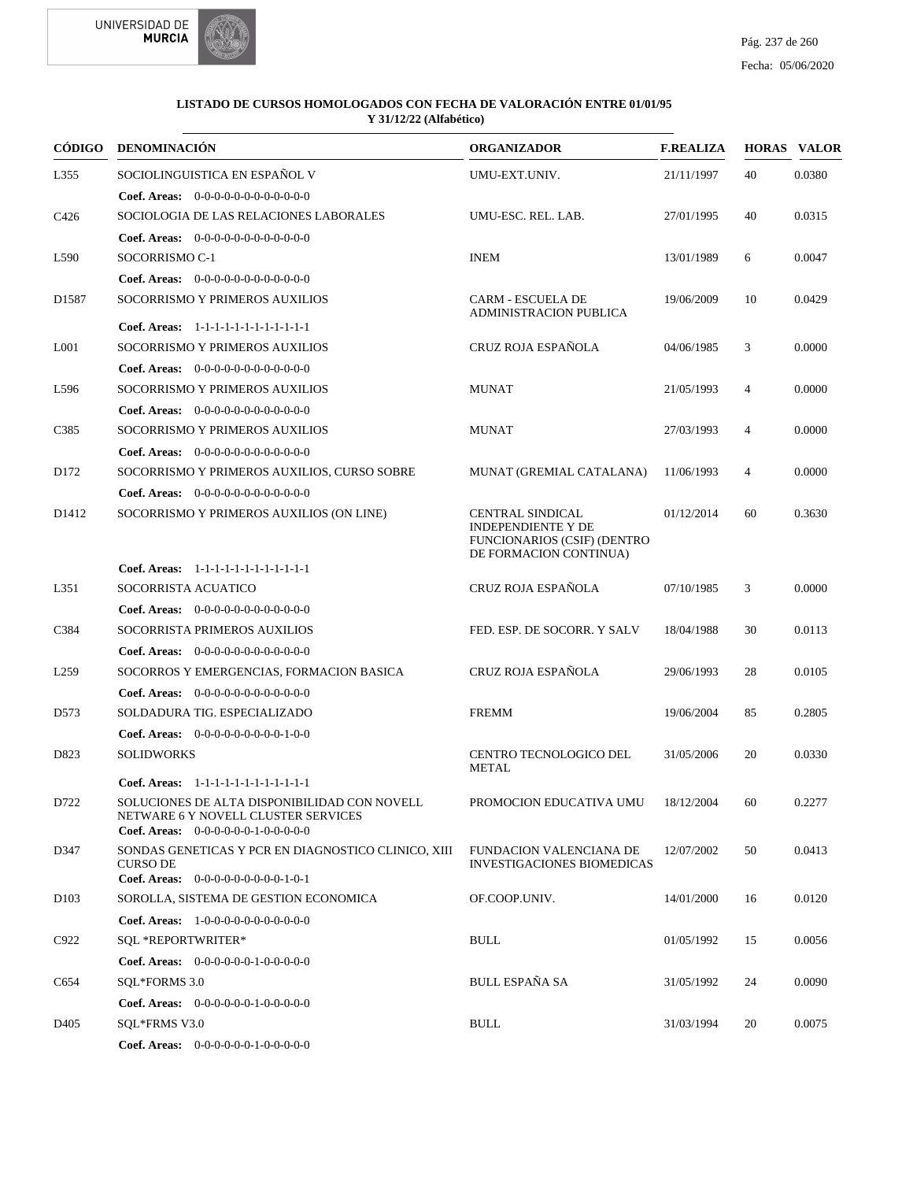



| CÓDIGO            | <b>DENOMINACIÓN</b>                                                                                                         | <b>ORGANIZADOR</b>                                                                                                   | <b>F.REALIZA</b> |                | <b>HORAS VALOR</b> |
|-------------------|-----------------------------------------------------------------------------------------------------------------------------|----------------------------------------------------------------------------------------------------------------------|------------------|----------------|--------------------|
| L355              | SOCIOLINGUISTICA EN ESPAÑOL V                                                                                               | UMU-EXT.UNIV.                                                                                                        | 21/11/1997       | 40             | 0.0380             |
|                   | Coef. Areas: $0-0-0-0-0-0-0-0-0-0-0$                                                                                        |                                                                                                                      |                  |                |                    |
| C <sub>426</sub>  | SOCIOLOGIA DE LAS RELACIONES LABORALES                                                                                      | UMU-ESC. REL. LAB.                                                                                                   | 27/01/1995       | 40             | 0.0315             |
|                   | Coef. Areas: 0-0-0-0-0-0-0-0-0-0-0-0-0                                                                                      |                                                                                                                      |                  |                |                    |
| L590              | SOCORRISMO C-1                                                                                                              | <b>INEM</b>                                                                                                          | 13/01/1989       | 6              | 0.0047             |
|                   | <b>Coef. Areas:</b> $0-0-0-0-0-0-0-0-0-0-0-0$                                                                               |                                                                                                                      |                  |                |                    |
| D <sub>1587</sub> | SOCORRISMO Y PRIMEROS AUXILIOS                                                                                              | <b>CARM - ESCUELA DE</b><br><b>ADMINISTRACION PUBLICA</b>                                                            | 19/06/2009       | 10             | 0.0429             |
|                   | Coef. Areas: 1-1-1-1-1-1-1-1-1-1-1-1-1                                                                                      |                                                                                                                      |                  |                |                    |
| L <sub>001</sub>  | SOCORRISMO Y PRIMEROS AUXILIOS                                                                                              | CRUZ ROJA ESPAÑOLA                                                                                                   | 04/06/1985       | 3              | 0.0000             |
|                   | <b>Coef. Areas:</b> $0-0-0-0-0-0-0-0-0-0-0-0$                                                                               |                                                                                                                      |                  |                |                    |
| L596              | SOCORRISMO Y PRIMEROS AUXILIOS                                                                                              | <b>MUNAT</b>                                                                                                         | 21/05/1993       | 4              | 0.0000             |
|                   | Coef. Areas: 0-0-0-0-0-0-0-0-0-0-0-0-0                                                                                      |                                                                                                                      |                  |                |                    |
| C <sub>3</sub> 85 | SOCORRISMO Y PRIMEROS AUXILIOS                                                                                              | MUNAT                                                                                                                | 27/03/1993       | 4              | 0.0000             |
|                   | <b>Coef. Areas:</b> $0-0-0-0-0-0-0-0-0-0-0-0$                                                                               |                                                                                                                      |                  |                |                    |
| D <sub>172</sub>  | SOCORRISMO Y PRIMEROS AUXILIOS, CURSO SOBRE                                                                                 | MUNAT (GREMIAL CATALANA)                                                                                             | 11/06/1993       | $\overline{4}$ | 0.0000             |
|                   | <b>Coef. Areas:</b> $0-0-0-0-0-0-0-0-0-0-0-0$                                                                               |                                                                                                                      |                  |                |                    |
| D <sub>1412</sub> | SOCORRISMO Y PRIMEROS AUXILIOS (ON LINE)                                                                                    | <b>CENTRAL SINDICAL</b><br><b>INDEPENDIENTE Y DE</b><br><b>FUNCIONARIOS (CSIF) (DENTRO</b><br>DE FORMACION CONTINUA) | 01/12/2014       | 60             | 0.3630             |
|                   | Coef. Areas: 1-1-1-1-1-1-1-1-1-1-1-1-1                                                                                      |                                                                                                                      |                  |                |                    |
| L351              | SOCORRISTA ACUATICO                                                                                                         | CRUZ ROJA ESPAÑOLA                                                                                                   | 07/10/1985       | 3              | 0.0000             |
|                   | <b>Coef. Areas:</b> $0-0-0-0-0-0-0-0-0-0-0-0$                                                                               |                                                                                                                      |                  |                |                    |
| C384              | SOCORRISTA PRIMEROS AUXILIOS                                                                                                | FED. ESP. DE SOCORR. Y SALV                                                                                          | 18/04/1988       | 30             | 0.0113             |
|                   | <b>Coef. Areas:</b> $0-0-0-0-0-0-0-0-0-0-0-0$                                                                               |                                                                                                                      |                  |                |                    |
| L <sub>259</sub>  | SOCORROS Y EMERGENCIAS, FORMACION BASICA                                                                                    | CRUZ ROJA ESPAÑOLA                                                                                                   | 29/06/1993       | 28             | 0.0105             |
|                   | <b>Coef. Areas:</b> $0-0-0-0-0-0-0-0-0-0-0-0$                                                                               |                                                                                                                      |                  |                |                    |
| D573              | SOLDADURA TIG. ESPECIALIZADO                                                                                                | <b>FREMM</b>                                                                                                         | 19/06/2004       | 85             | 0.2805             |
|                   | Coef. Areas: $0-0-0-0-0-0-0-0-1-0-0$                                                                                        |                                                                                                                      |                  |                |                    |
| D823              | <b>SOLIDWORKS</b>                                                                                                           | <b>CENTRO TECNOLOGICO DEL</b><br><b>METAL</b>                                                                        | 31/05/2006       | 20             | 0.0330             |
|                   | Coef. Areas: 1-1-1-1-1-1-1-1-1-1-1-1-1                                                                                      |                                                                                                                      |                  |                |                    |
| D722              | SOLUCIONES DE ALTA DISPONIBILIDAD CON NOVELL<br>NETWARE 6 Y NOVELL CLUSTER SERVICES<br>Coef. Areas: $0-0-0-0-0-1-0-0-0-0-0$ | PROMOCION EDUCATIVA UMU 18/12/2004                                                                                   |                  | 60             | 0.2277             |
| D347              | SONDAS GENETICAS Y PCR EN DIAGNOSTICO CLINICO, XIII<br><b>CURSO DE</b>                                                      | FUNDACION VALENCIANA DE<br><b>INVESTIGACIONES BIOMEDICAS</b>                                                         | 12/07/2002       | 50             | 0.0413             |
|                   | Coef. Areas: $0-0-0-0-0-0-0-0-1-0-1$                                                                                        | OF.COOP.UNIV.                                                                                                        |                  |                |                    |
| D <sub>103</sub>  | SOROLLA, SISTEMA DE GESTION ECONOMICA                                                                                       |                                                                                                                      | 14/01/2000       | 16             | 0.0120             |
|                   | <b>Coef. Areas:</b> $1-0-0-0-0-0-0-0-0-0-0-0$                                                                               |                                                                                                                      |                  |                |                    |
| C922              | SQL *REPORTWRITER*                                                                                                          | <b>BULL</b>                                                                                                          | 01/05/1992       | 15             | 0.0056             |
|                   | Coef. Areas: 0-0-0-0-0-0-1-0-0-0-0-0                                                                                        |                                                                                                                      |                  |                |                    |
| C654              | SQL*FORMS 3.0                                                                                                               | <b>BULL ESPAÑA SA</b>                                                                                                | 31/05/1992       | 24             | 0.0090             |
|                   | <b>Coef. Areas:</b> $0-0-0-0-0-1-0-0-0-0-0$                                                                                 |                                                                                                                      |                  |                |                    |
| D405              | SQL*FRMS V3.0                                                                                                               | <b>BULL</b>                                                                                                          | 31/03/1994       | 20             | 0.0075             |
|                   | Coef. Areas: 0-0-0-0-0-0-1-0-0-0-0-0                                                                                        |                                                                                                                      |                  |                |                    |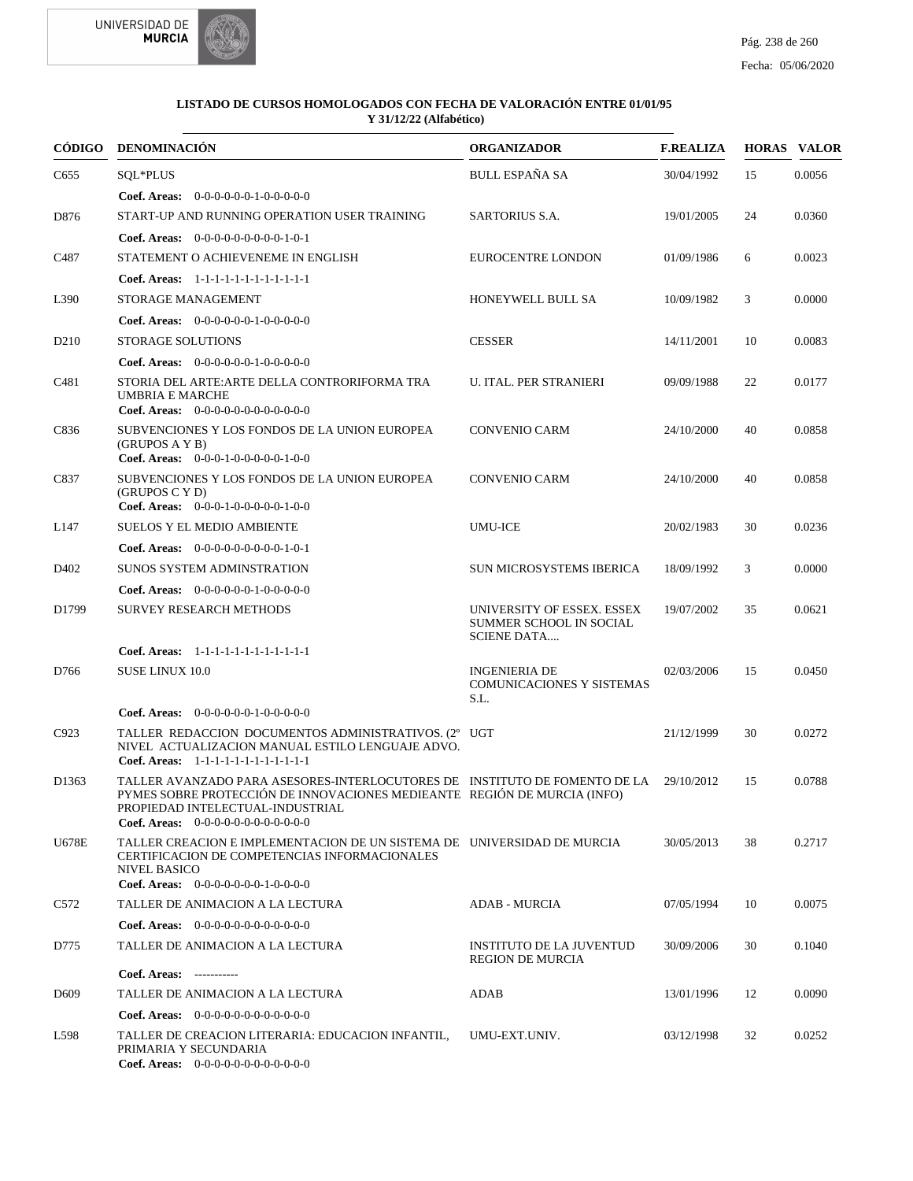



| CÓDIGO           | <b>DENOMINACIÓN</b>                                                                                                                                                                                                                         | <b>ORGANIZADOR</b>                                                          | <b>F.REALIZA</b> |    | <b>HORAS VALOR</b> |
|------------------|---------------------------------------------------------------------------------------------------------------------------------------------------------------------------------------------------------------------------------------------|-----------------------------------------------------------------------------|------------------|----|--------------------|
| C655             | SQL*PLUS                                                                                                                                                                                                                                    | <b>BULL ESPAÑA SA</b>                                                       | 30/04/1992       | 15 | 0.0056             |
|                  | <b>Coef. Areas:</b> $0-0-0-0-0-1-0-0-0-0-0$                                                                                                                                                                                                 |                                                                             |                  |    |                    |
| D876             | START-UP AND RUNNING OPERATION USER TRAINING                                                                                                                                                                                                | <b>SARTORIUS S.A.</b>                                                       | 19/01/2005       | 24 | 0.0360             |
|                  | <b>Coef. Areas:</b> $0-0-0-0-0-0-0-0-1-0-1$                                                                                                                                                                                                 |                                                                             |                  |    |                    |
| C <sub>487</sub> | STATEMENT O ACHIEVENEME IN ENGLISH                                                                                                                                                                                                          | EUROCENTRE LONDON                                                           | 01/09/1986       | 6  | 0.0023             |
|                  | Coef. Areas: 1-1-1-1-1-1-1-1-1-1-1-1-1                                                                                                                                                                                                      |                                                                             |                  |    |                    |
| L390             | STORAGE MANAGEMENT                                                                                                                                                                                                                          | HONEYWELL BULL SA                                                           | 10/09/1982       | 3  | 0.0000             |
|                  | Coef. Areas: $0-0-0-0-0-1-0-0-0-0-0$                                                                                                                                                                                                        |                                                                             |                  |    |                    |
| D <sub>210</sub> | <b>STORAGE SOLUTIONS</b>                                                                                                                                                                                                                    | <b>CESSER</b>                                                               | 14/11/2001       | 10 | 0.0083             |
|                  | Coef. Areas: $0-0-0-0-0-1-0-0-0-0-0$                                                                                                                                                                                                        |                                                                             |                  |    |                    |
| C <sub>481</sub> | STORIA DEL ARTE: ARTE DELLA CONTRORIFORMA TRA<br>UMBRIA E MARCHE<br>Coef. Areas: $0-0-0-0-0-0-0-0-0-0-0$                                                                                                                                    | <b>U. ITAL. PER STRANIERI</b>                                               | 09/09/1988       | 22 | 0.0177             |
| C836             | SUBVENCIONES Y LOS FONDOS DE LA UNION EUROPEA<br>(GRUPOS A Y B)<br>Coef. Areas: $0-0-0-1-0-0-0-0-1-0-0$                                                                                                                                     | <b>CONVENIO CARM</b>                                                        | 24/10/2000       | 40 | 0.0858             |
| C837             | SUBVENCIONES Y LOS FONDOS DE LA UNION EUROPEA<br>(GRUPOS C Y D)<br>Coef. Areas: 0-0-0-1-0-0-0-0-0-1-0-0                                                                                                                                     | <b>CONVENIO CARM</b>                                                        | 24/10/2000       | 40 | 0.0858             |
| L147             | <b>SUELOS Y EL MEDIO AMBIENTE</b>                                                                                                                                                                                                           | <b>UMU-ICE</b>                                                              | 20/02/1983       | 30 | 0.0236             |
|                  | <b>Coef. Areas:</b> $0-0-0-0-0-0-0-0-1-0-1$                                                                                                                                                                                                 |                                                                             |                  |    |                    |
| D <sub>402</sub> | <b>SUNOS SYSTEM ADMINSTRATION</b>                                                                                                                                                                                                           | SUN MICROSYSTEMS IBERICA                                                    | 18/09/1992       | 3  | 0.0000             |
|                  | <b>Coef. Areas:</b> $0-0-0-0-0-1-0-0-0-0-0$                                                                                                                                                                                                 |                                                                             |                  |    |                    |
| D1799            | <b>SURVEY RESEARCH METHODS</b>                                                                                                                                                                                                              | UNIVERSITY OF ESSEX. ESSEX<br>SUMMER SCHOOL IN SOCIAL<br><b>SCIENE DATA</b> | 19/07/2002       | 35 | 0.0621             |
|                  | Coef. Areas: 1-1-1-1-1-1-1-1-1-1-1-1-1                                                                                                                                                                                                      |                                                                             |                  |    |                    |
| D766             | <b>SUSE LINUX 10.0</b>                                                                                                                                                                                                                      | <b>INGENIERIA DE</b><br><b>COMUNICACIONES Y SISTEMAS</b><br>S.L.            | 02/03/2006       | 15 | 0.0450             |
|                  | <b>Coef. Areas:</b> $0-0-0-0-0-1-0-0-0-0-0$                                                                                                                                                                                                 |                                                                             |                  |    |                    |
| C923             | TALLER REDACCION DOCUMENTOS ADMINISTRATIVOS. (2° UGT<br>NIVEL ACTUALIZACION MANUAL ESTILO LENGUAJE ADVO.<br>Coef. Areas: 1-1-1-1-1-1-1-1-1-1-1-1-1                                                                                          |                                                                             | 21/12/1999       | 30 | 0.0272             |
| D1363            | TALLER AVANZADO PARA ASESORES-INTERLOCUTORES DE INSTITUTO DE FOMENTO DE LA<br>PYMES SOBRE PROTECCIÓN DE INNOVACIONES MEDIEANTE REGIÓN DE MURCIA (INFO)<br>PROPIEDAD INTELECTUAL-INDUSTRIAL<br><b>Coef. Areas:</b> $0-0-0-0-0-0-0-0-0-0-0-0$ |                                                                             | 29/10/2012       | 15 | 0.0788             |
| <b>U678E</b>     | TALLER CREACION E IMPLEMENTACION DE UN SISTEMA DE UNIVERSIDAD DE MURCIA<br>CERTIFICACION DE COMPETENCIAS INFORMACIONALES<br><b>NIVEL BASICO</b><br><b>Coef. Areas:</b> $0-0-0-0-0-0-1-0-0-0-0$                                              |                                                                             | 30/05/2013       | 38 | 0.2717             |
| C <sub>572</sub> | TALLER DE ANIMACION A LA LECTURA                                                                                                                                                                                                            | <b>ADAB - MURCIA</b>                                                        | 07/05/1994       | 10 | 0.0075             |
|                  | <b>Coef. Areas:</b> $0-0-0-0-0-0-0-0-0-0-0-0$                                                                                                                                                                                               |                                                                             |                  |    |                    |
| D775             | TALLER DE ANIMACION A LA LECTURA                                                                                                                                                                                                            | <b>INSTITUTO DE LA JUVENTUD</b><br><b>REGION DE MURCIA</b>                  | 30/09/2006       | 30 | 0.1040             |
|                  | Coef. Areas: -----------                                                                                                                                                                                                                    |                                                                             |                  |    |                    |
| D <sub>609</sub> | TALLER DE ANIMACION A LA LECTURA                                                                                                                                                                                                            | ADAB                                                                        | 13/01/1996       | 12 | 0.0090             |
|                  | <b>Coef. Areas:</b> $0-0-0-0-0-0-0-0-0-0-0-0$                                                                                                                                                                                               |                                                                             |                  |    |                    |
| L598             | TALLER DE CREACION LITERARIA: EDUCACION INFANTIL,<br>PRIMARIA Y SECUNDARIA<br>Coef. Areas: 0-0-0-0-0-0-0-0-0-0-0-0-0                                                                                                                        | UMU-EXT.UNIV.                                                               | 03/12/1998       | 32 | 0.0252             |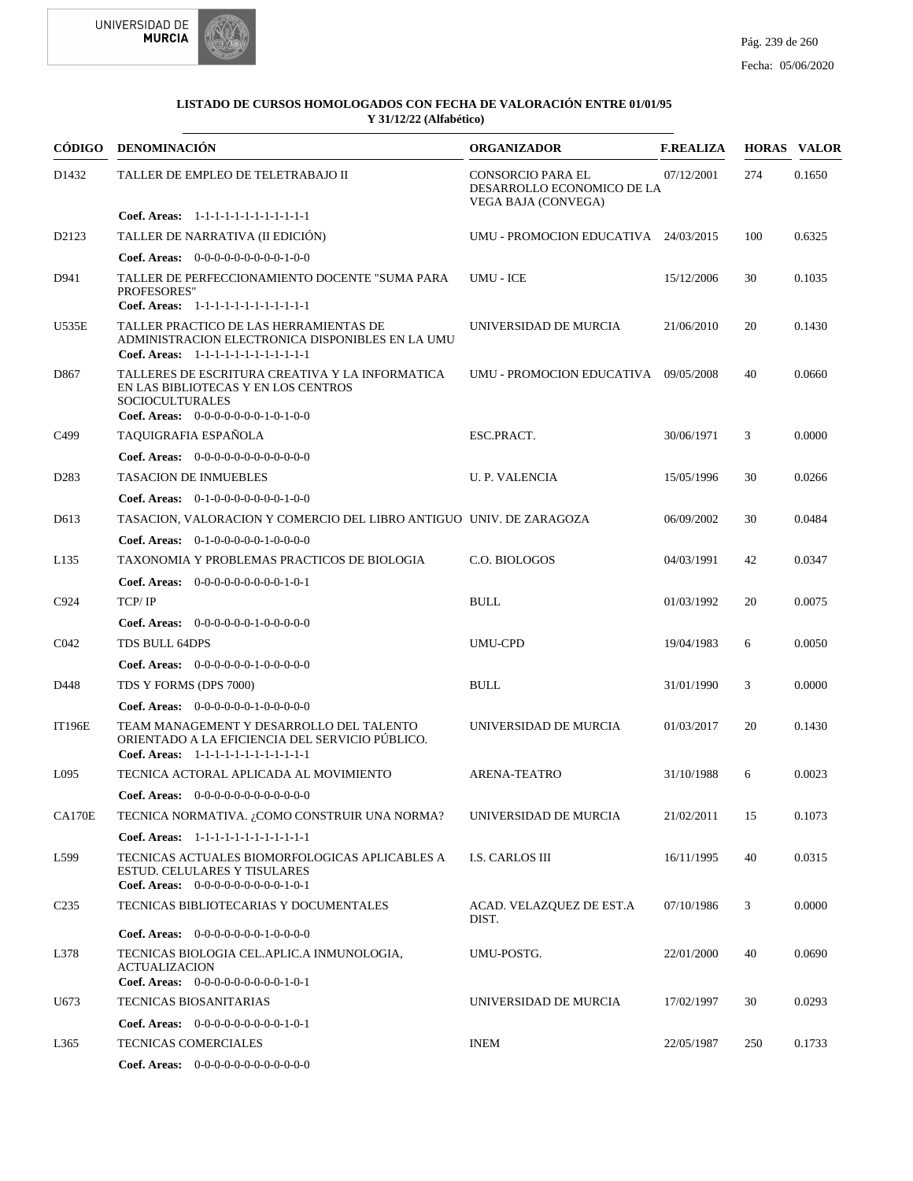



| <b>CÓDIGO</b>     | <b>DENOMINACIÓN</b>                                                                                                                                      | <b>ORGANIZADOR</b>                                                            | <b>F.REALIZA</b> |     | <b>HORAS VALOR</b> |
|-------------------|----------------------------------------------------------------------------------------------------------------------------------------------------------|-------------------------------------------------------------------------------|------------------|-----|--------------------|
| D1432             | TALLER DE EMPLEO DE TELETRABAJO II                                                                                                                       | <b>CONSORCIO PARA EL</b><br>DESARROLLO ECONOMICO DE LA<br>VEGA BAJA (CONVEGA) | 07/12/2001       | 274 | 0.1650             |
|                   | Coef. Areas: 1-1-1-1-1-1-1-1-1-1-1-1-1                                                                                                                   |                                                                               |                  |     |                    |
| D2123             | TALLER DE NARRATIVA (II EDICIÓN)                                                                                                                         | UMU - PROMOCION EDUCATIVA 24/03/2015                                          |                  | 100 | 0.6325             |
|                   | Coef. Areas: $0-0-0-0-0-0-0-0-1-0-0$                                                                                                                     |                                                                               |                  |     |                    |
| D941              | TALLER DE PERFECCIONAMIENTO DOCENTE "SUMA PARA<br><b>PROFESORES"</b><br>Coef. Areas: 1-1-1-1-1-1-1-1-1-1-1-1-1                                           | UMU - ICE                                                                     | 15/12/2006       | 30  | 0.1035             |
| U535E             | TALLER PRACTICO DE LAS HERRAMIENTAS DE<br>ADMINISTRACION ELECTRONICA DISPONIBLES EN LA UMU<br>Coef. Areas: 1-1-1-1-1-1-1-1-1-1-1-1-1                     | UNIVERSIDAD DE MURCIA                                                         | 21/06/2010       | 20  | 0.1430             |
| D867              | TALLERES DE ESCRITURA CREATIVA Y LA INFORMATICA<br>EN LAS BIBLIOTECAS Y EN LOS CENTROS<br><b>SOCIOCULTURALES</b><br>Coef. Areas: 0-0-0-0-0-0-0-1-0-1-0-0 | UMU - PROMOCION EDUCATIVA 09/05/2008                                          |                  | 40  | 0.0660             |
| C <sub>499</sub>  | TAQUIGRAFIA ESPAÑOLA                                                                                                                                     | ESC.PRACT.                                                                    | 30/06/1971       | 3   | 0.0000             |
|                   | Coef. Areas: $0-0-0-0-0-0-0-0-0-0-0$                                                                                                                     |                                                                               |                  |     |                    |
| D <sub>2</sub> 83 | <b>TASACION DE INMUEBLES</b>                                                                                                                             | <b>U. P. VALENCIA</b>                                                         | 15/05/1996       | 30  | 0.0266             |
|                   | Coef. Areas: 0-1-0-0-0-0-0-0-0-1-0-0                                                                                                                     |                                                                               |                  |     |                    |
| D <sub>6</sub> 13 | TASACION, VALORACION Y COMERCIO DEL LIBRO ANTIGUO UNIV. DE ZARAGOZA                                                                                      |                                                                               | 06/09/2002       | 30  | 0.0484             |
|                   | <b>Coef. Areas:</b> $0-1-0-0-0-0-1-0-0-0-0$                                                                                                              |                                                                               |                  |     |                    |
| L135              | TAXONOMIA Y PROBLEMAS PRACTICOS DE BIOLOGIA                                                                                                              | C.O. BIOLOGOS                                                                 | 04/03/1991       | 42  | 0.0347             |
|                   | <b>Coef. Areas:</b> $0-0-0-0-0-0-0-0-1-0-1$                                                                                                              |                                                                               |                  |     |                    |
| C924              | TCP/IP                                                                                                                                                   | <b>BULL</b>                                                                   | 01/03/1992       | 20  | 0.0075             |
|                   | <b>Coef. Areas:</b> $0-0-0-0-0-1-0-0-0-0-0$                                                                                                              |                                                                               |                  |     |                    |
| C <sub>042</sub>  | TDS BULL 64DPS                                                                                                                                           | <b>UMU-CPD</b>                                                                | 19/04/1983       | 6   | 0.0050             |
|                   | Coef. Areas: $0-0-0-0-0-1-0-0-0-0-0$                                                                                                                     |                                                                               |                  |     |                    |
| D448              | TDS Y FORMS (DPS 7000)                                                                                                                                   | <b>BULL</b>                                                                   | 31/01/1990       | 3   | 0.0000             |
|                   | Coef. Areas: 0-0-0-0-0-0-1-0-0-0-0-0                                                                                                                     |                                                                               |                  |     |                    |
| <b>IT196E</b>     | TEAM MANAGEMENT Y DESARROLLO DEL TALENTO<br>ORIENTADO A LA EFICIENCIA DEL SERVICIO PÚBLICO.<br>Coef. Areas: 1-1-1-1-1-1-1-1-1-1-1-1-1                    | UNIVERSIDAD DE MURCIA                                                         | 01/03/2017       | 20  | 0.1430             |
| L095              | TECNICA ACTORAL APLICADA AL MOVIMIENTO                                                                                                                   | <b>ARENA-TEATRO</b>                                                           | 31/10/1988       | 6   | 0.0023             |
|                   | <b>Coef. Areas:</b> $0-0-0-0-0-0-0-0-0-0-0-0$                                                                                                            |                                                                               |                  |     |                    |
| CA170E            | TECNICA NORMATIVA. ¿COMO CONSTRUIR UNA NORMA?                                                                                                            | UNIVERSIDAD DE MURCIA                                                         | 21/02/2011       | 15  | 0.1073             |
|                   | Coef. Areas: 1-1-1-1-1-1-1-1-1-1-1-1-1                                                                                                                   |                                                                               |                  |     |                    |
| L599              | TECNICAS ACTUALES BIOMORFOLOGICAS APLICABLES A<br><b>ESTUD. CELULARES Y TISULARES</b><br>Coef. Areas: 0-0-0-0-0-0-0-0-0-1-0-1                            | <b>I.S. CARLOS III</b>                                                        | 16/11/1995       | 40  | 0.0315             |
| C <sub>235</sub>  | TECNICAS BIBLIOTECARIAS Y DOCUMENTALES                                                                                                                   | ACAD. VELAZQUEZ DE EST.A<br>DIST.                                             | 07/10/1986       | 3   | 0.0000             |
|                   | <b>Coef. Areas:</b> $0-0-0-0-0-0-1-0-0-0-0$                                                                                                              |                                                                               |                  |     |                    |
| L378              | TECNICAS BIOLOGIA CEL.APLIC.A INMUNOLOGIA,<br><b>ACTUALIZACION</b><br>Coef. Areas: $0-0-0-0-0-0-0-0-1-0-1$                                               | UMU-POSTG.                                                                    | 22/01/2000       | 40  | 0.0690             |
| U673              | TECNICAS BIOSANITARIAS                                                                                                                                   | UNIVERSIDAD DE MURCIA                                                         | 17/02/1997       | 30  | 0.0293             |
|                   | Coef. Areas: $0-0-0-0-0-0-0-0-1-0-1$                                                                                                                     |                                                                               |                  |     |                    |
| L365              | TECNICAS COMERCIALES                                                                                                                                     | <b>INEM</b>                                                                   | 22/05/1987       | 250 | 0.1733             |
|                   | Coef. Areas: $0-0-0-0-0-0-0-0-0-0-0$                                                                                                                     |                                                                               |                  |     |                    |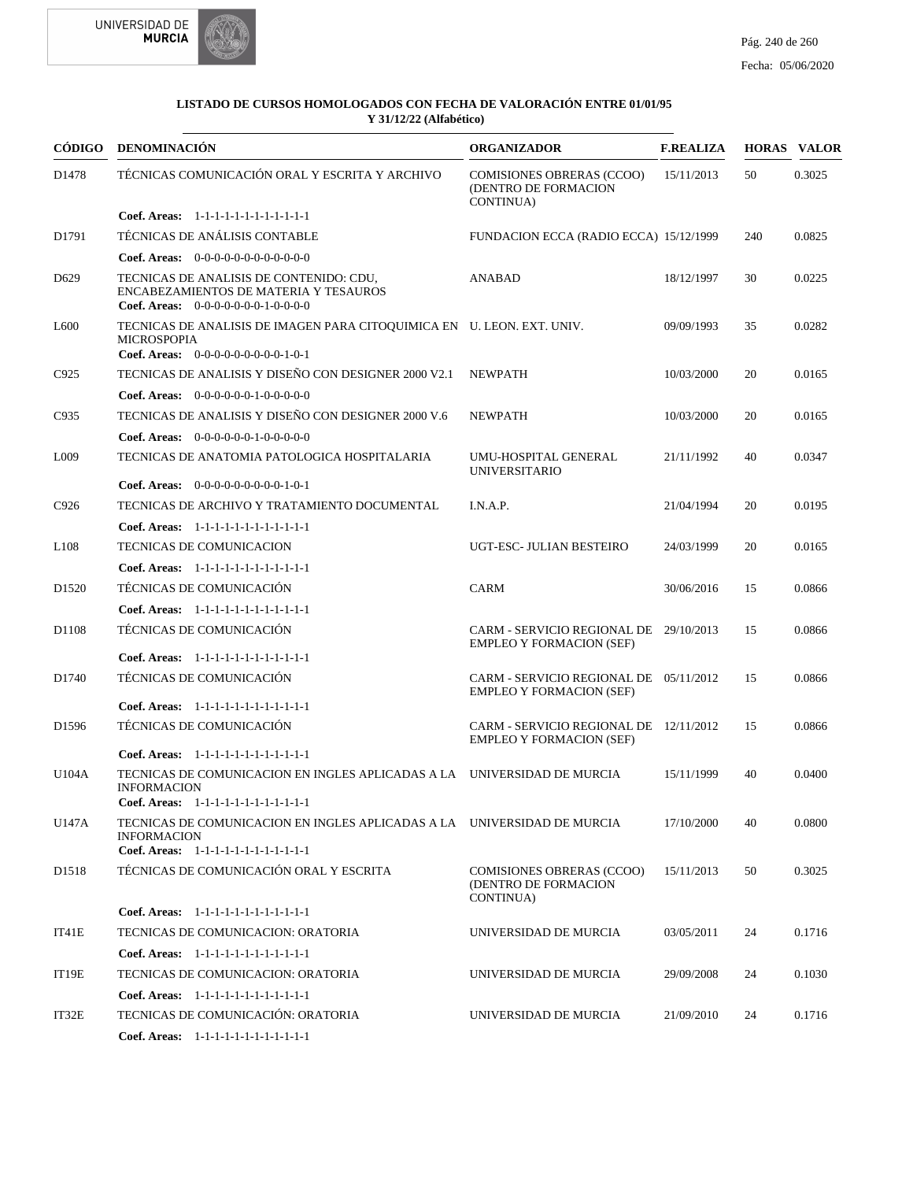



| CÓDIGO            | DENOMINACIÓN                                                                                                                            | <b>ORGANIZADOR</b>                                                        | <b>F.REALIZA</b> |     | <b>HORAS VALOR</b> |
|-------------------|-----------------------------------------------------------------------------------------------------------------------------------------|---------------------------------------------------------------------------|------------------|-----|--------------------|
| D1478             | TÉCNICAS COMUNICACIÓN ORAL Y ESCRITA Y ARCHIVO                                                                                          | <b>COMISIONES OBRERAS (CCOO)</b><br>(DENTRO DE FORMACION<br>CONTINUA)     | 15/11/2013       | 50  | 0.3025             |
|                   | Coef. Areas: 1-1-1-1-1-1-1-1-1-1-1-1-1                                                                                                  |                                                                           |                  |     |                    |
| D1791             | TÉCNICAS DE ANÁLISIS CONTABLE                                                                                                           | FUNDACION ECCA (RADIO ECCA) 15/12/1999                                    |                  | 240 | 0.0825             |
|                   | Coef. Areas: $0-0-0-0-0-0-0-0-0-0-0$                                                                                                    |                                                                           |                  |     |                    |
| D <sub>629</sub>  | TECNICAS DE ANALISIS DE CONTENIDO: CDU,<br>ENCABEZAMIENTOS DE MATERIA Y TESAUROS<br><b>Coef. Areas:</b> $0-0-0-0-0-0-1-0-0-0-0$         | <b>ANABAD</b>                                                             | 18/12/1997       | 30  | 0.0225             |
| L <sub>600</sub>  | TECNICAS DE ANALISIS DE IMAGEN PARA CITOQUIMICA EN U. LEON. EXT. UNIV.<br><b>MICROSPOPIA</b><br>Coef. Areas: $0-0-0-0-0-0-0-0-1-0-1$    |                                                                           | 09/09/1993       | 35  | 0.0282             |
| C925              | TECNICAS DE ANALISIS Y DISEÑO CON DESIGNER 2000 V2.1                                                                                    | <b>NEWPATH</b>                                                            | 10/03/2000       | 20  | 0.0165             |
|                   | Coef. Areas: 0-0-0-0-0-0-1-0-0-0-0-0                                                                                                    |                                                                           |                  |     |                    |
| C935              | TECNICAS DE ANALISIS Y DISEÑO CON DESIGNER 2000 V.6                                                                                     | <b>NEWPATH</b>                                                            | 10/03/2000       | 20  | 0.0165             |
|                   | <b>Coef. Areas:</b> $0-0-0-0-0-1-0-0-0-0-0$                                                                                             |                                                                           |                  |     |                    |
| L <sub>009</sub>  | TECNICAS DE ANATOMIA PATOLOGICA HOSPITALARIA                                                                                            | UMU-HOSPITAL GENERAL<br><b>UNIVERSITARIO</b>                              | 21/11/1992       | 40  | 0.0347             |
|                   | Coef. Areas: 0-0-0-0-0-0-0-0-0-1-0-1                                                                                                    |                                                                           |                  |     |                    |
| C926              | TECNICAS DE ARCHIVO Y TRATAMIENTO DOCUMENTAL                                                                                            | I.N.A.P.                                                                  | 21/04/1994       | 20  | 0.0195             |
|                   | Coef. Areas: 1-1-1-1-1-1-1-1-1-1-1-1-1                                                                                                  |                                                                           |                  |     |                    |
| L <sub>108</sub>  | <b>TECNICAS DE COMUNICACION</b>                                                                                                         | UGT-ESC- JULIAN BESTEIRO                                                  | 24/03/1999       | 20  | 0.0165             |
|                   | Coef. Areas: 1-1-1-1-1-1-1-1-1-1-1-1-1                                                                                                  |                                                                           |                  |     |                    |
| D <sub>1520</sub> | TÉCNICAS DE COMUNICACIÓN                                                                                                                | <b>CARM</b>                                                               | 30/06/2016       | 15  | 0.0866             |
|                   | Coef. Areas: 1-1-1-1-1-1-1-1-1-1-1-1-1                                                                                                  |                                                                           |                  |     |                    |
| D1108             | TÉCNICAS DE COMUNICACIÓN                                                                                                                | CARM - SERVICIO REGIONAL DE 29/10/2013<br><b>EMPLEO Y FORMACION (SEF)</b> |                  | 15  | 0.0866             |
|                   | Coef. Areas: 1-1-1-1-1-1-1-1-1-1-1-1-1                                                                                                  |                                                                           |                  |     |                    |
| D1740             | TÉCNICAS DE COMUNICACIÓN                                                                                                                | CARM - SERVICIO REGIONAL DE 05/11/2012<br><b>EMPLEO Y FORMACION (SEF)</b> |                  | 15  | 0.0866             |
|                   | Coef. Areas: 1-1-1-1-1-1-1-1-1-1-1-1-1<br>TÉCNICAS DE COMUNICACIÓN                                                                      |                                                                           |                  |     |                    |
| D1596             |                                                                                                                                         | CARM - SERVICIO REGIONAL DE 12/11/2012<br><b>EMPLEO Y FORMACION (SEF)</b> |                  | 15  | 0.0866             |
|                   | Coef. Areas: 1-1-1-1-1-1-1-1-1-1-1-1-1                                                                                                  |                                                                           |                  |     |                    |
| U104A             | TECNICAS DE COMUNICACION EN INGLES APLICADAS A LA UNIVERSIDAD DE MURCIA<br><b>INFORMACION</b><br>Coef. Areas: 1-1-1-1-1-1-1-1-1-1-1-1-1 |                                                                           | 15/11/1999       | 40  | 0.0400             |
| U147A             | TECNICAS DE COMUNICACION EN INGLES APLICADAS A LA UNIVERSIDAD DE MURCIA<br><b>INFORMACION</b>                                           |                                                                           | 17/10/2000       | 40  | 0.0800             |
|                   | Coef. Areas: 1-1-1-1-1-1-1-1-1-1-1-1-1                                                                                                  |                                                                           |                  |     |                    |
| D <sub>1518</sub> | TÉCNICAS DE COMUNICACIÓN ORAL Y ESCRITA                                                                                                 | <b>COMISIONES OBRERAS (CCOO)</b><br>(DENTRO DE FORMACION<br>CONTINUA)     | 15/11/2013       | 50  | 0.3025             |
|                   | Coef. Areas: 1-1-1-1-1-1-1-1-1-1-1-1-1                                                                                                  |                                                                           |                  |     |                    |
| IT41E             | TECNICAS DE COMUNICACION: ORATORIA                                                                                                      | UNIVERSIDAD DE MURCIA                                                     | 03/05/2011       | 24  | 0.1716             |
|                   | Coef. Areas: 1-1-1-1-1-1-1-1-1-1-1-1-1                                                                                                  |                                                                           |                  |     |                    |
| IT19E             | TECNICAS DE COMUNICACION: ORATORIA                                                                                                      | UNIVERSIDAD DE MURCIA                                                     | 29/09/2008       | 24  | 0.1030             |
|                   | Coef. Areas: 1-1-1-1-1-1-1-1-1-1-1-1-1                                                                                                  |                                                                           |                  |     |                    |
| IT32E             | TECNICAS DE COMUNICACIÓN: ORATORIA                                                                                                      | UNIVERSIDAD DE MURCIA                                                     | 21/09/2010       | 24  | 0.1716             |
|                   | Coef. Areas: $1-1-1-1-1-1-1-1-1-1-1$                                                                                                    |                                                                           |                  |     |                    |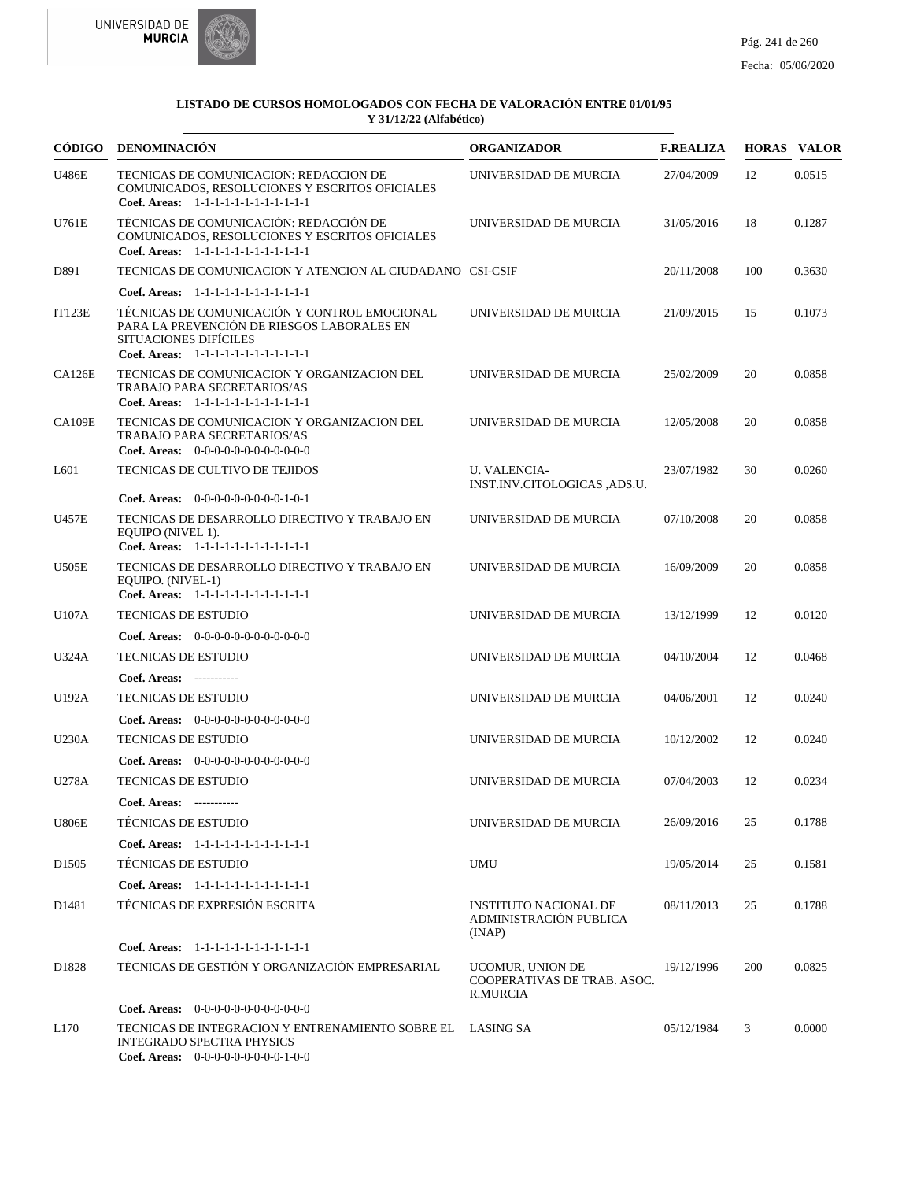



|                   | CÓDIGO DENOMINACIÓN                                                                                                                                           | <b>ORGANIZADOR</b>                                          | <b>F.REALIZA</b> |     | <b>HORAS VALOR</b> |
|-------------------|---------------------------------------------------------------------------------------------------------------------------------------------------------------|-------------------------------------------------------------|------------------|-----|--------------------|
| <b>U486E</b>      | TECNICAS DE COMUNICACION: REDACCION DE<br>COMUNICADOS, RESOLUCIONES Y ESCRITOS OFICIALES<br>Coef. Areas: 1-1-1-1-1-1-1-1-1-1-1-1-1                            | UNIVERSIDAD DE MURCIA                                       | 27/04/2009       | 12  | 0.0515             |
| U761E             | TÉCNICAS DE COMUNICACIÓN: REDACCIÓN DE<br>COMUNICADOS, RESOLUCIONES Y ESCRITOS OFICIALES<br>Coef. Areas: 1-1-1-1-1-1-1-1-1-1-1-1-1                            | UNIVERSIDAD DE MURCIA                                       | 31/05/2016       | 18  | 0.1287             |
| D891              | TECNICAS DE COMUNICACION Y ATENCION AL CIUDADANO CSI-CSIF                                                                                                     |                                                             | 20/11/2008       | 100 | 0.3630             |
|                   | Coef. Areas: 1-1-1-1-1-1-1-1-1-1-1-1-1                                                                                                                        |                                                             |                  |     |                    |
| <b>IT123E</b>     | TÉCNICAS DE COMUNICACIÓN Y CONTROL EMOCIONAL<br>PARA LA PREVENCIÓN DE RIESGOS LABORALES EN<br>SITUACIONES DIFÍCILES<br>Coef. Areas: 1-1-1-1-1-1-1-1-1-1-1-1-1 | UNIVERSIDAD DE MURCIA                                       | 21/09/2015       | 15  | 0.1073             |
| <b>CA126E</b>     | TECNICAS DE COMUNICACION Y ORGANIZACION DEL<br><b>TRABAJO PARA SECRETARIOS/AS</b><br>Coef. Areas: 1-1-1-1-1-1-1-1-1-1-1-1-1                                   | UNIVERSIDAD DE MURCIA                                       | 25/02/2009       | 20  | 0.0858             |
| <b>CA109E</b>     | TECNICAS DE COMUNICACION Y ORGANIZACION DEL<br>TRABAJO PARA SECRETARIOS/AS<br>Coef. Areas: $0-0-0-0-0-0-0-0-0-0-0$                                            | UNIVERSIDAD DE MURCIA                                       | 12/05/2008       | 20  | 0.0858             |
| L <sub>601</sub>  | TECNICAS DE CULTIVO DE TEJIDOS                                                                                                                                | <b>U. VALENCIA-</b>                                         | 23/07/1982       | 30  | 0.0260             |
|                   | Coef. Areas: 0-0-0-0-0-0-0-0-0-1-0-1                                                                                                                          | INST.INV.CITOLOGICAS ,ADS.U.                                |                  |     |                    |
| <b>U457E</b>      | TECNICAS DE DESARROLLO DIRECTIVO Y TRABAJO EN<br>EQUIPO (NIVEL 1).                                                                                            | UNIVERSIDAD DE MURCIA                                       | 07/10/2008       | 20  | 0.0858             |
| U505E             | Coef. Areas: 1-1-1-1-1-1-1-1-1-1-1-1-1<br>TECNICAS DE DESARROLLO DIRECTIVO Y TRABAJO EN<br>EQUIPO. (NIVEL-1)                                                  | UNIVERSIDAD DE MURCIA                                       | 16/09/2009       | 20  | 0.0858             |
|                   | Coef. Areas: 1-1-1-1-1-1-1-1-1-1-1-1-1                                                                                                                        |                                                             |                  |     |                    |
| U107A             | <b>TECNICAS DE ESTUDIO</b>                                                                                                                                    | UNIVERSIDAD DE MURCIA                                       | 13/12/1999       | 12  | 0.0120             |
|                   | Coef. Areas: 0-0-0-0-0-0-0-0-0-0-0-0-0                                                                                                                        |                                                             |                  |     |                    |
| <b>U324A</b>      | <b>TECNICAS DE ESTUDIO</b>                                                                                                                                    | UNIVERSIDAD DE MURCIA                                       | 04/10/2004       | 12  | 0.0468             |
|                   | Coef. Areas: -----------                                                                                                                                      |                                                             |                  |     |                    |
| U192A             | <b>TECNICAS DE ESTUDIO</b>                                                                                                                                    | UNIVERSIDAD DE MURCIA                                       | 04/06/2001       | 12  | 0.0240             |
|                   | <b>Coef. Areas:</b> $0-0-0-0-0-0-0-0-0-0-0-0$                                                                                                                 |                                                             |                  |     |                    |
| <b>U230A</b>      | <b>TECNICAS DE ESTUDIO</b>                                                                                                                                    | UNIVERSIDAD DE MURCIA                                       | 10/12/2002       | 12  | 0.0240             |
|                   | <b>Coef. Areas:</b> $0-0-0-0-0-0-0-0-0-0-0-0$                                                                                                                 |                                                             |                  |     |                    |
| U278A             | <b>TECNICAS DE ESTUDIO</b>                                                                                                                                    | UNIVERSIDAD DE MURCIA                                       | 07/04/2003       | 12  | 0.0234             |
|                   | Coef. Areas: -----------                                                                                                                                      |                                                             |                  |     |                    |
| <b>U806E</b>      | <b>TÉCNICAS DE ESTUDIO</b>                                                                                                                                    | UNIVERSIDAD DE MURCIA                                       | 26/09/2016       | 25  | 0.1788             |
|                   | Coef. Areas: 1-1-1-1-1-1-1-1-1-1-1-1-1                                                                                                                        |                                                             |                  |     |                    |
| D <sub>1505</sub> | <b>TÉCNICAS DE ESTUDIO</b>                                                                                                                                    | UMU                                                         | 19/05/2014       | 25  | 0.1581             |
|                   | Coef. Areas: 1-1-1-1-1-1-1-1-1-1-1-1-1                                                                                                                        |                                                             |                  |     |                    |
| D1481             | TÉCNICAS DE EXPRESIÓN ESCRITA                                                                                                                                 | INSTITUTO NACIONAL DE<br>ADMINISTRACIÓN PUBLICA<br>(INAP)   | 08/11/2013       | 25  | 0.1788             |
|                   | Coef. Areas: 1-1-1-1-1-1-1-1-1-1-1-1-1                                                                                                                        |                                                             |                  |     |                    |
| D1828             | TÉCNICAS DE GESTIÓN Y ORGANIZACIÓN EMPRESARIAL                                                                                                                | UCOMUR, UNION DE<br>COOPERATIVAS DE TRAB. ASOC.<br>R.MURCIA | 19/12/1996       | 200 | 0.0825             |
|                   | Coef. Areas: $0-0-0-0-0-0-0-0-0-0-0$                                                                                                                          |                                                             |                  |     |                    |
| L170              | TECNICAS DE INTEGRACION Y ENTRENAMIENTO SOBRE EL LASING SA<br><b>INTEGRADO SPECTRA PHYSICS</b><br>Coef. Areas: $0-0-0-0-0-0-0-0-1-0-0$                        |                                                             | 05/12/1984       | 3   | 0.0000             |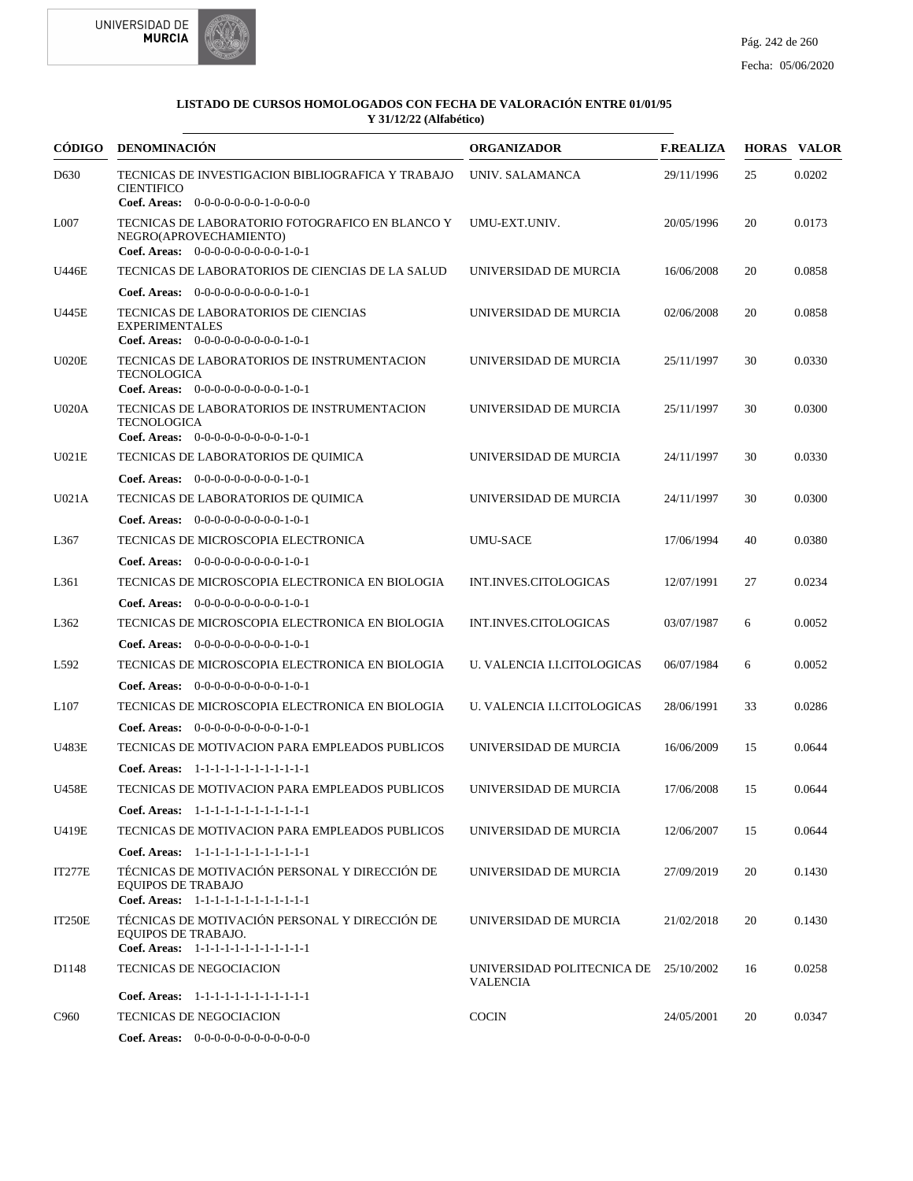



| <b>CÓDIGO</b>    | DENOMINACIÓN                                                                                                          | <b>ORGANIZADOR</b>                                       | <b>F.REALIZA</b> |    | <b>HORAS VALOR</b> |
|------------------|-----------------------------------------------------------------------------------------------------------------------|----------------------------------------------------------|------------------|----|--------------------|
| D630             | TECNICAS DE INVESTIGACION BIBLIOGRAFICA Y TRABAJO<br><b>CIENTIFICO</b><br>Coef. Areas: 0-0-0-0-0-0-0-1-0-0-0-0        | UNIV. SALAMANCA                                          | 29/11/1996       | 25 | 0.0202             |
| L007             | TECNICAS DE LABORATORIO FOTOGRAFICO EN BLANCO Y<br>NEGRO(APROVECHAMIENTO)<br>Coef. Areas: $0-0-0-0-0-0-0-0-1-0-1$     | UMU-EXT.UNIV.                                            | 20/05/1996       | 20 | 0.0173             |
| U446E            | TECNICAS DE LABORATORIOS DE CIENCIAS DE LA SALUD                                                                      | UNIVERSIDAD DE MURCIA                                    | 16/06/2008       | 20 | 0.0858             |
|                  | Coef. Areas: $0-0-0-0-0-0-0-0-1-0-1$                                                                                  |                                                          |                  |    |                    |
| U445E            | TECNICAS DE LABORATORIOS DE CIENCIAS<br><b>EXPERIMENTALES</b><br>Coef. Areas: $0-0-0-0-0-0-0-0-1-0-1$                 | UNIVERSIDAD DE MURCIA                                    | 02/06/2008       | 20 | 0.0858             |
| U020E            | TECNICAS DE LABORATORIOS DE INSTRUMENTACION<br><b>TECNOLOGICA</b><br>Coef. Areas: 0-0-0-0-0-0-0-0-0-1-0-1             | UNIVERSIDAD DE MURCIA                                    | 25/11/1997       | 30 | 0.0330             |
| <b>U020A</b>     | TECNICAS DE LABORATORIOS DE INSTRUMENTACION<br><b>TECNOLOGICA</b><br><b>Coef. Areas:</b> $0-0-0-0-0-0-0-0-1-0-1$      | UNIVERSIDAD DE MURCIA                                    | 25/11/1997       | 30 | 0.0300             |
| U021E            | TECNICAS DE LABORATORIOS DE QUIMICA                                                                                   | UNIVERSIDAD DE MURCIA                                    | 24/11/1997       | 30 | 0.0330             |
|                  | Coef. Areas: $0-0-0-0-0-0-0-0-1-0-1$                                                                                  |                                                          |                  |    |                    |
| U021A            | TECNICAS DE LABORATORIOS DE QUIMICA                                                                                   | UNIVERSIDAD DE MURCIA                                    | 24/11/1997       | 30 | 0.0300             |
|                  | Coef. Areas: $0-0-0-0-0-0-0-0-1-0-1$                                                                                  |                                                          |                  |    |                    |
| L367             | TECNICAS DE MICROSCOPIA ELECTRONICA                                                                                   | <b>UMU-SACE</b>                                          | 17/06/1994       | 40 | 0.0380             |
|                  | Coef. Areas: $0-0-0-0-0-0-0-0-1-0-1$                                                                                  |                                                          |                  |    |                    |
| L361             | TECNICAS DE MICROSCOPIA ELECTRONICA EN BIOLOGIA                                                                       | INT.INVES.CITOLOGICAS                                    | 12/07/1991       | 27 | 0.0234             |
|                  | <b>Coef. Areas:</b> $0-0-0-0-0-0-0-0-1-0-1$                                                                           |                                                          |                  |    |                    |
| L362             | TECNICAS DE MICROSCOPIA ELECTRONICA EN BIOLOGIA                                                                       | INT.INVES.CITOLOGICAS                                    | 03/07/1987       | 6  | 0.0052             |
|                  | Coef. Areas: $0-0-0-0-0-0-0-0-1-0-1$                                                                                  |                                                          |                  |    |                    |
| L592             | TECNICAS DE MICROSCOPIA ELECTRONICA EN BIOLOGIA                                                                       | U. VALENCIA I.I.CITOLOGICAS                              | 06/07/1984       | 6  | 0.0052             |
|                  | <b>Coef. Areas:</b> $0-0-0-0-0-0-0-0-1-0-1$                                                                           |                                                          |                  |    |                    |
| L <sub>107</sub> | TECNICAS DE MICROSCOPIA ELECTRONICA EN BIOLOGIA                                                                       | U. VALENCIA I.I.CITOLOGICAS                              | 28/06/1991       | 33 | 0.0286             |
|                  | Coef. Areas: $0-0-0-0-0-0-0-0-1-0-1$                                                                                  |                                                          |                  |    |                    |
| <b>U483E</b>     | TECNICAS DE MOTIVACION PARA EMPLEADOS PUBLICOS                                                                        | UNIVERSIDAD DE MURCIA                                    | 16/06/2009       | 15 | 0.0644             |
|                  | Coef. Areas: 1-1-1-1-1-1-1-1-1-1-1-1-1                                                                                |                                                          |                  |    |                    |
| <b>U458E</b>     | TECNICAS DE MOTIVACION PARA EMPLEADOS PUBLICOS                                                                        | UNIVERSIDAD DE MURCIA                                    | 17/06/2008       | 15 | 0.0644             |
|                  | Coef. Areas: 1-1-1-1-1-1-1-1-1-1-1-1-1                                                                                |                                                          |                  |    |                    |
| U419E            | TECNICAS DE MOTIVACION PARA EMPLEADOS PUBLICOS                                                                        | UNIVERSIDAD DE MURCIA                                    | 12/06/2007       | 15 | 0.0644             |
|                  | Coef. Areas: 1-1-1-1-1-1-1-1-1-1-1-1-1                                                                                |                                                          |                  |    |                    |
| IT277E           | TÉCNICAS DE MOTIVACIÓN PERSONAL Y DIRECCIÓN DE<br><b>EQUIPOS DE TRABAJO</b><br>Coef. Areas: 1-1-1-1-1-1-1-1-1-1-1-1-1 | UNIVERSIDAD DE MURCIA                                    | 27/09/2019       | 20 | 0.1430             |
| IT250E           | TÉCNICAS DE MOTIVACIÓN PERSONAL Y DIRECCIÓN DE<br>EQUIPOS DE TRABAJO.<br>Coef. Areas: 1-1-1-1-1-1-1-1-1-1-1-1-1       | UNIVERSIDAD DE MURCIA                                    | 21/02/2018       | 20 | 0.1430             |
| D1148            | <b>TECNICAS DE NEGOCIACION</b>                                                                                        | UNIVERSIDAD POLITECNICA DE 25/10/2002<br><b>VALENCIA</b> |                  | 16 | 0.0258             |
|                  | Coef. Areas: 1-1-1-1-1-1-1-1-1-1-1-1-1                                                                                |                                                          |                  |    |                    |
| C <sub>960</sub> | <b>TECNICAS DE NEGOCIACION</b>                                                                                        | <b>COCIN</b>                                             | 24/05/2001       | 20 | 0.0347             |
|                  | <b>Coef. Areas:</b> $0-0-0-0-0-0-0-0-0-0-0-0$                                                                         |                                                          |                  |    |                    |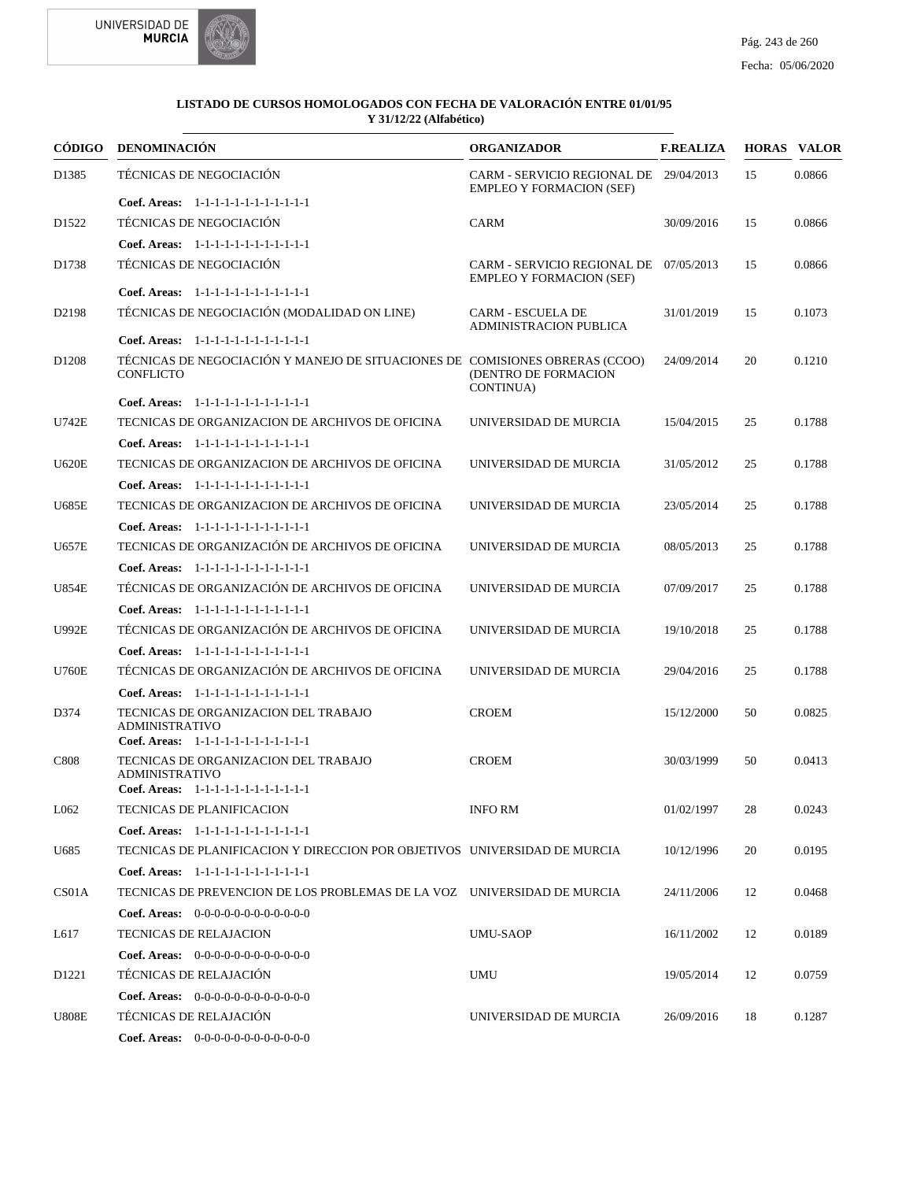



|                   | CÓDIGO DENOMINACIÓN                                                                              | <b>ORGANIZADOR</b>                                                        | <b>F.REALIZA</b> |    | <b>HORAS VALOR</b> |
|-------------------|--------------------------------------------------------------------------------------------------|---------------------------------------------------------------------------|------------------|----|--------------------|
| D1385             | TÉCNICAS DE NEGOCIACIÓN                                                                          | CARM - SERVICIO REGIONAL DE 29/04/2013<br><b>EMPLEO Y FORMACION (SEF)</b> |                  | 15 | 0.0866             |
|                   | Coef. Areas: 1-1-1-1-1-1-1-1-1-1-1-1-1                                                           |                                                                           |                  |    |                    |
| D <sub>1522</sub> | TÉCNICAS DE NEGOCIACIÓN                                                                          | <b>CARM</b>                                                               | 30/09/2016       | 15 | 0.0866             |
|                   | Coef. Areas: 1-1-1-1-1-1-1-1-1-1-1-1-1                                                           |                                                                           |                  |    |                    |
| D1738             | TÉCNICAS DE NEGOCIACIÓN                                                                          | CARM - SERVICIO REGIONAL DE 07/05/2013<br><b>EMPLEO Y FORMACION (SEF)</b> |                  | 15 | 0.0866             |
|                   | Coef. Areas: 1-1-1-1-1-1-1-1-1-1-1-1-1                                                           |                                                                           |                  |    |                    |
| D <sub>2198</sub> | TÉCNICAS DE NEGOCIACIÓN (MODALIDAD ON LINE)                                                      | <b>CARM - ESCUELA DE</b><br><b>ADMINISTRACION PUBLICA</b>                 | 31/01/2019       | 15 | 0.1073             |
|                   | Coef. Areas: 1-1-1-1-1-1-1-1-1-1-1-1-1                                                           |                                                                           |                  |    |                    |
| D <sub>1208</sub> | TÉCNICAS DE NEGOCIACIÓN Y MANEJO DE SITUACIONES DE COMISIONES OBRERAS (CCOO)<br><b>CONFLICTO</b> | (DENTRO DE FORMACION<br><b>CONTINUA</b> )                                 | 24/09/2014       | 20 | 0.1210             |
|                   | Coef. Areas: 1-1-1-1-1-1-1-1-1-1-1-1-1                                                           |                                                                           |                  |    |                    |
| <b>U742E</b>      | TECNICAS DE ORGANIZACION DE ARCHIVOS DE OFICINA                                                  | UNIVERSIDAD DE MURCIA                                                     | 15/04/2015       | 25 | 0.1788             |
|                   | Coef. Areas: 1-1-1-1-1-1-1-1-1-1-1-1-1                                                           |                                                                           |                  |    |                    |
| <b>U620E</b>      | TECNICAS DE ORGANIZACION DE ARCHIVOS DE OFICINA                                                  | UNIVERSIDAD DE MURCIA                                                     | 31/05/2012       | 25 | 0.1788             |
|                   | Coef. Areas: $1-1-1-1-1-1-1-1-1-1-1$                                                             |                                                                           |                  |    |                    |
| <b>U685E</b>      | TECNICAS DE ORGANIZACION DE ARCHIVOS DE OFICINA                                                  | UNIVERSIDAD DE MURCIA                                                     | 23/05/2014       | 25 | 0.1788             |
|                   | Coef. Areas: 1-1-1-1-1-1-1-1-1-1-1-1-1                                                           |                                                                           |                  |    |                    |
| <b>U657E</b>      | TECNICAS DE ORGANIZACIÓN DE ARCHIVOS DE OFICINA                                                  | UNIVERSIDAD DE MURCIA                                                     | 08/05/2013       | 25 | 0.1788             |
|                   | Coef. Areas: 1-1-1-1-1-1-1-1-1-1-1-1-1                                                           |                                                                           |                  |    |                    |
| <b>U854E</b>      | TÉCNICAS DE ORGANIZACIÓN DE ARCHIVOS DE OFICINA                                                  | UNIVERSIDAD DE MURCIA                                                     | 07/09/2017       | 25 | 0.1788             |
|                   | Coef. Areas: 1-1-1-1-1-1-1-1-1-1-1-1-1                                                           |                                                                           |                  |    |                    |
| <b>U992E</b>      | TÉCNICAS DE ORGANIZACIÓN DE ARCHIVOS DE OFICINA                                                  | UNIVERSIDAD DE MURCIA                                                     | 19/10/2018       | 25 | 0.1788             |
|                   | Coef. Areas: 1-1-1-1-1-1-1-1-1-1-1-1-1                                                           |                                                                           |                  |    |                    |
| <b>U760E</b>      | TÉCNICAS DE ORGANIZACIÓN DE ARCHIVOS DE OFICINA                                                  | UNIVERSIDAD DE MURCIA                                                     | 29/04/2016       | 25 | 0.1788             |
|                   | Coef. Areas: 1-1-1-1-1-1-1-1-1-1-1-1-1                                                           |                                                                           |                  |    |                    |
| D374              | TECNICAS DE ORGANIZACION DEL TRABAJO<br><b>ADMINISTRATIVO</b>                                    | <b>CROEM</b>                                                              | 15/12/2000       | 50 | 0.0825             |
|                   | Coef. Areas: 1-1-1-1-1-1-1-1-1-1-1-1-1<br>TECNICAS DE ORGANIZACION DEL TRABAJO                   |                                                                           |                  | 50 |                    |
| C808              | <b>ADMINISTRATIVO</b><br>Coef. Areas: 1-1-1-1-1-1-1-1-1-1-1-1-1                                  | <b>CROEM</b>                                                              | 30/03/1999       |    | 0.0413             |
| L062              | TECNICAS DE PLANIFICACION                                                                        | <b>INFO RM</b>                                                            | 01/02/1997       | 28 | 0.0243             |
|                   | Coef. Areas: 1-1-1-1-1-1-1-1-1-1-1-1-1                                                           |                                                                           |                  |    |                    |
| U685              | TECNICAS DE PLANIFICACION Y DIRECCION POR OBJETIVOS UNIVERSIDAD DE MURCIA                        |                                                                           | 10/12/1996       | 20 | 0.0195             |
|                   | Coef. Areas: 1-1-1-1-1-1-1-1-1-1-1-1-1                                                           |                                                                           |                  |    |                    |
| CS01A             | TECNICAS DE PREVENCION DE LOS PROBLEMAS DE LA VOZ UNIVERSIDAD DE MURCIA                          |                                                                           | 24/11/2006       | 12 | 0.0468             |
|                   | <b>Coef. Areas:</b> $0-0-0-0-0-0-0-0-0-0-0$                                                      |                                                                           |                  |    |                    |
| L617              | <b>TECNICAS DE RELAJACION</b>                                                                    | <b>UMU-SAOP</b>                                                           | 16/11/2002       | 12 | 0.0189             |
|                   | Coef. Areas: $0-0-0-0-0-0-0-0-0-0-0$                                                             |                                                                           |                  |    |                    |
| D <sub>1221</sub> | <b>TÉCNICAS DE RELAJACIÓN</b>                                                                    | UMU                                                                       | 19/05/2014       | 12 | 0.0759             |
|                   | Coef. Areas: $0-0-0-0-0-0-0-0-0-0-0$                                                             |                                                                           |                  |    |                    |
| <b>U808E</b>      | <b>TÉCNICAS DE RELAJACIÓN</b>                                                                    | UNIVERSIDAD DE MURCIA                                                     | 26/09/2016       | 18 | 0.1287             |
|                   | <b>Coef. Areas:</b> $0-0-0-0-0-0-0-0-0-0-0$                                                      |                                                                           |                  |    |                    |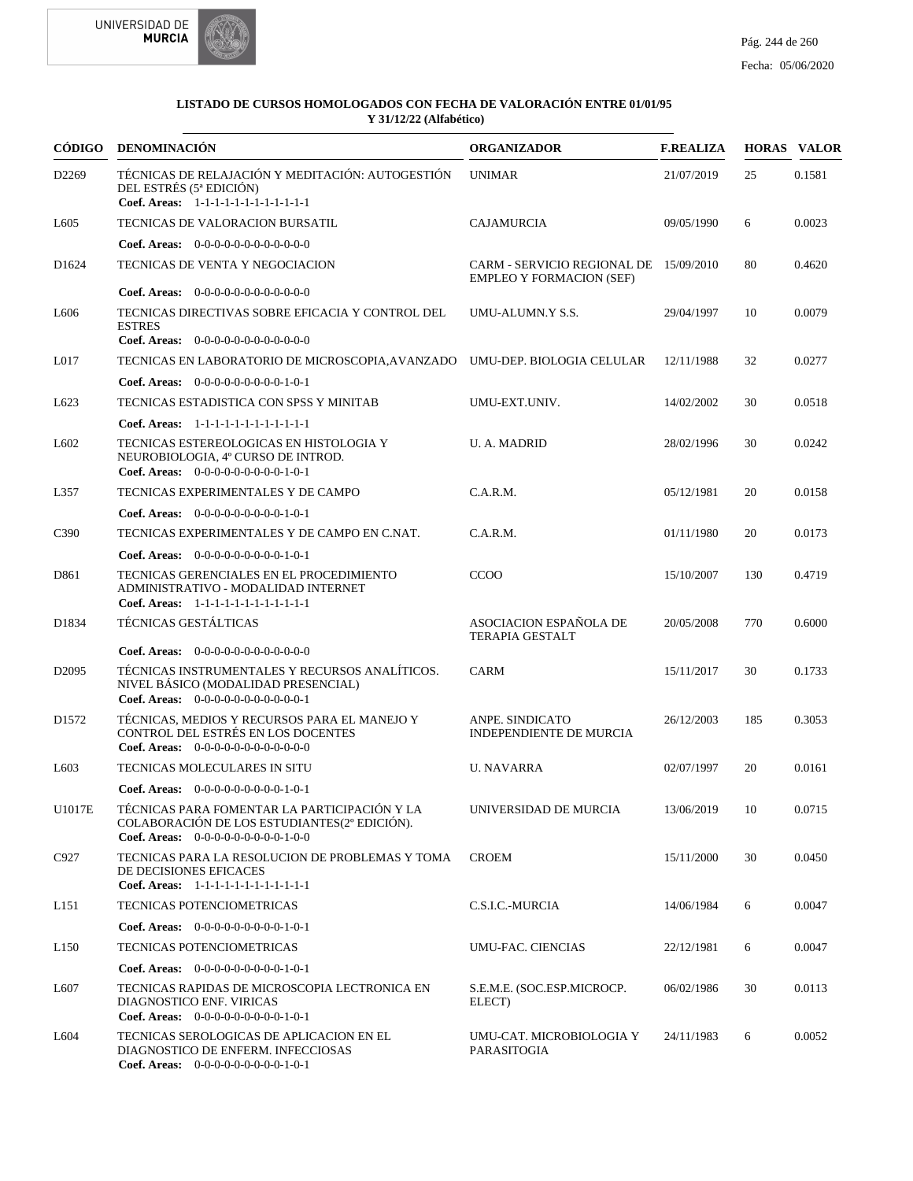



| CÓDIGO            | <b>DENOMINACIÓN</b>                                                                                                                  | <b>ORGANIZADOR</b>                                                        | <b>F.REALIZA</b> |     | <b>HORAS VALOR</b> |
|-------------------|--------------------------------------------------------------------------------------------------------------------------------------|---------------------------------------------------------------------------|------------------|-----|--------------------|
| D2269             | TÉCNICAS DE RELAJACIÓN Y MEDITACIÓN: AUTOGESTIÓN<br>DEL ESTRÉS (5ª EDICIÓN)<br>Coef. Areas: 1-1-1-1-1-1-1-1-1-1-1-1-1                | <b>UNIMAR</b>                                                             | 21/07/2019       | 25  | 0.1581             |
| L <sub>6</sub> 05 | TECNICAS DE VALORACION BURSATIL                                                                                                      | <b>CAJAMURCIA</b>                                                         | 09/05/1990       | 6   | 0.0023             |
|                   | Coef. Areas: $0-0-0-0-0-0-0-0-0-0-0$                                                                                                 |                                                                           |                  |     |                    |
| D <sub>1624</sub> | TECNICAS DE VENTA Y NEGOCIACION                                                                                                      | CARM - SERVICIO REGIONAL DE 15/09/2010<br><b>EMPLEO Y FORMACION (SEF)</b> |                  | 80  | 0.4620             |
|                   | Coef. Areas: $0-0-0-0-0-0-0-0-0-0-0-0$                                                                                               |                                                                           |                  |     |                    |
| L <sub>6</sub> 06 | TECNICAS DIRECTIVAS SOBRE EFICACIA Y CONTROL DEL<br><b>ESTRES</b><br>Coef. Areas: $0-0-0-0-0-0-0-0-0-0-0-0$                          | UMU-ALUMN.Y S.S.                                                          | 29/04/1997       | 10  | 0.0079             |
|                   |                                                                                                                                      |                                                                           |                  |     |                    |
| L <sub>017</sub>  | TECNICAS EN LABORATORIO DE MICROSCOPIA, AVANZADO UMU-DEP. BIOLOGIA CELULAR                                                           |                                                                           | 12/11/1988       | 32  | 0.0277             |
|                   | Coef. Areas: $0-0-0-0-0-0-0-0-1-0-1$                                                                                                 |                                                                           |                  |     |                    |
| L623              | TECNICAS ESTADISTICA CON SPSS Y MINITAB                                                                                              | UMU-EXT.UNIV.                                                             | 14/02/2002       | 30  | 0.0518             |
|                   | Coef. Areas: 1-1-1-1-1-1-1-1-1-1-1-1-1                                                                                               |                                                                           |                  |     |                    |
| L <sub>6</sub> 02 | TECNICAS ESTEREOLOGICAS EN HISTOLOGIA Y<br>NEUROBIOLOGIA, 4º CURSO DE INTROD.<br>Coef. Areas: $0-0-0-0-0-0-0-0-1-0-1$                | <b>U.A. MADRID</b>                                                        | 28/02/1996       | 30  | 0.0242             |
| L357              | TECNICAS EXPERIMENTALES Y DE CAMPO                                                                                                   | C.A.R.M.                                                                  | 05/12/1981       | 20  | 0.0158             |
|                   | Coef. Areas: $0-0-0-0-0-0-0-0-1-0-1$                                                                                                 |                                                                           |                  |     |                    |
| C <sub>390</sub>  | TECNICAS EXPERIMENTALES Y DE CAMPO EN C.NAT.                                                                                         | C.A.R.M.                                                                  | 01/11/1980       | 20  | 0.0173             |
|                   | Coef. Areas: 0-0-0-0-0-0-0-0-0-1-0-1                                                                                                 |                                                                           |                  |     |                    |
| D861              | TECNICAS GERENCIALES EN EL PROCEDIMIENTO<br>ADMINISTRATIVO - MODALIDAD INTERNET<br>Coef. Areas: 1-1-1-1-1-1-1-1-1-1-1-1-1            | <b>CCOO</b>                                                               | 15/10/2007       | 130 | 0.4719             |
| D1834             | TÉCNICAS GESTÁLTICAS                                                                                                                 | ASOCIACION ESPAÑOLA DE<br><b>TERAPIA GESTALT</b>                          | 20/05/2008       | 770 | 0.6000             |
|                   | Coef. Areas: $0-0-0-0-0-0-0-0-0-0-0$                                                                                                 |                                                                           |                  |     |                    |
| D <sub>2095</sub> | TÉCNICAS INSTRUMENTALES Y RECURSOS ANALÍTICOS.<br>NIVEL BÁSICO (MODALIDAD PRESENCIAL)<br>Coef. Areas: $0-0-0-0-0-0-0-0-0-0-1$        | <b>CARM</b>                                                               | 15/11/2017       | 30  | 0.1733             |
| D1572             | TÉCNICAS. MEDIOS Y RECURSOS PARA EL MANEJO Y<br>CONTROL DEL ESTRÉS EN LOS DOCENTES<br>Coef. Areas: $0-0-0-0-0-0-0-0-0-0-0$           | ANPE. SINDICATO<br><b>INDEPENDIENTE DE MURCIA</b>                         | 26/12/2003       | 185 | 0.3053             |
| L <sub>603</sub>  | TECNICAS MOLECULARES IN SITU                                                                                                         | <b>U. NAVARRA</b>                                                         | 02/07/1997       | 20  | 0.0161             |
|                   | Coef. Areas: $0-0-0-0-0-0-0-0-1-0-1$                                                                                                 |                                                                           |                  |     |                    |
| U1017E            | TÉCNICAS PARA FOMENTAR LA PARTICIPACIÓN Y LA<br>COLABORACIÓN DE LOS ESTUDIANTES(2° EDICIÓN).<br>Coef. Areas: $0-0-0-0-0-0-0-0-1-0-0$ | UNIVERSIDAD DE MURCIA                                                     | 13/06/2019       | 10  | 0.0715             |
| C927              | TECNICAS PARA LA RESOLUCION DE PROBLEMAS Y TOMA<br>DE DECISIONES EFICACES<br>Coef. Areas: 1-1-1-1-1-1-1-1-1-1-1-1-1                  | <b>CROEM</b>                                                              | 15/11/2000       | 30  | 0.0450             |
| L <sub>151</sub>  | <b>TECNICAS POTENCIOMETRICAS</b>                                                                                                     | C.S.I.C.-MURCIA                                                           | 14/06/1984       | 6   | 0.0047             |
|                   | Coef. Areas: $0-0-0-0-0-0-0-0-1-0-1$                                                                                                 |                                                                           |                  |     |                    |
| L <sub>150</sub>  | TECNICAS POTENCIOMETRICAS                                                                                                            | UMU-FAC. CIENCIAS                                                         | 22/12/1981       | 6   | 0.0047             |
|                   | <b>Coef. Areas:</b> $0-0-0-0-0-0-0-0-1-0-1$                                                                                          |                                                                           |                  |     |                    |
| L607              | TECNICAS RAPIDAS DE MICROSCOPIA LECTRONICA EN<br>DIAGNOSTICO ENF. VIRICAS<br>Coef. Areas: $0-0-0-0-0-0-0-0-1-0-1$                    | S.E.M.E. (SOC.ESP.MICROCP.<br>ELECT)                                      | 06/02/1986       | 30  | 0.0113             |
| L604              | TECNICAS SEROLOGICAS DE APLICACION EN EL<br>DIAGNOSTICO DE ENFERM. INFECCIOSAS<br>Coef. Areas: $0-0-0-0-0-0-0-0-1-0-1$               | UMU-CAT. MICROBIOLOGIA Y<br>PARASITOGIA                                   | 24/11/1983       | 6   | 0.0052             |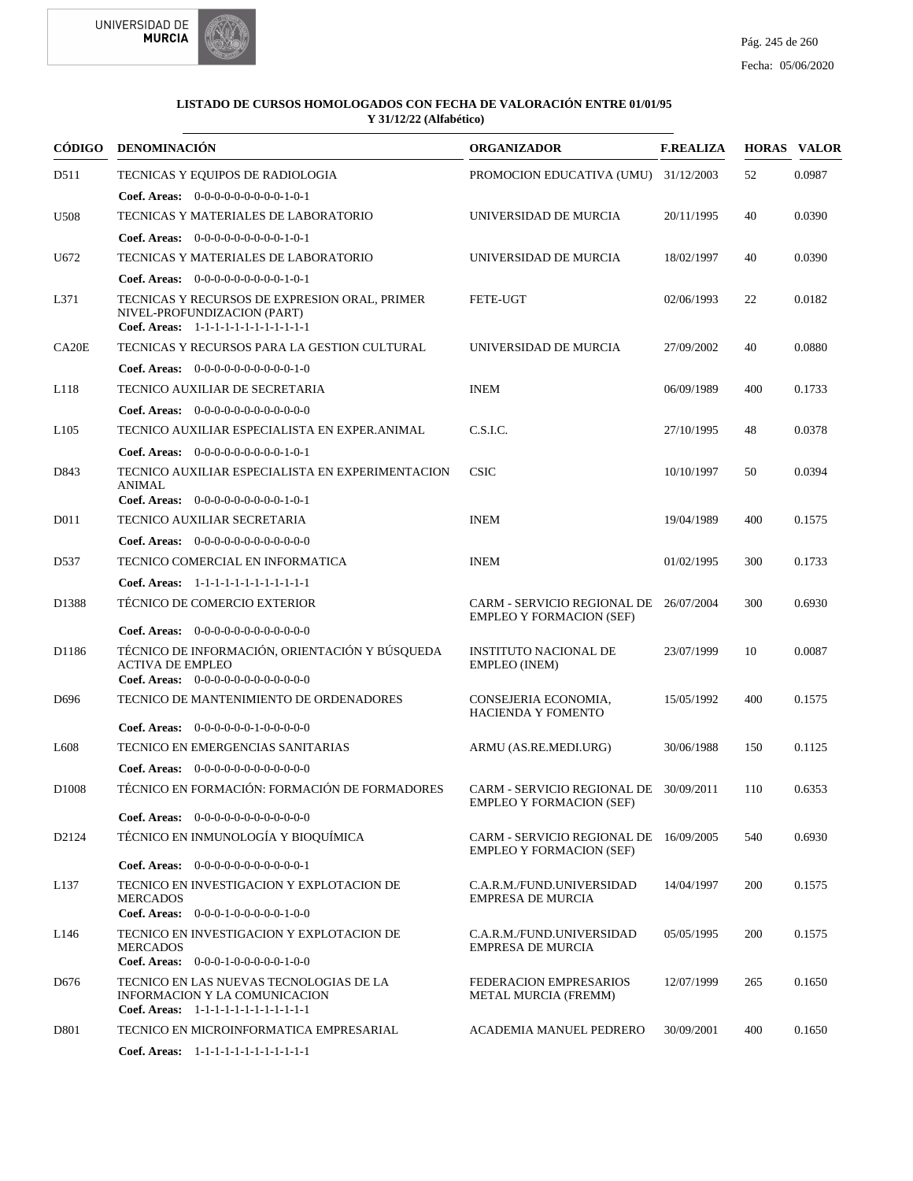



| CÓDIGO             | DENOMINACIÓN                                                                                                           | <b>ORGANIZADOR</b>                                                        | <b>F.REALIZA</b> |     | <b>HORAS VALOR</b> |
|--------------------|------------------------------------------------------------------------------------------------------------------------|---------------------------------------------------------------------------|------------------|-----|--------------------|
| D511               | TECNICAS Y EQUIPOS DE RADIOLOGIA                                                                                       | PROMOCION EDUCATIVA (UMU)                                                 | 31/12/2003       | 52  | 0.0987             |
|                    | Coef. Areas: $0-0-0-0-0-0-0-0-1-0-1$                                                                                   |                                                                           |                  |     |                    |
| U <sub>508</sub>   | TECNICAS Y MATERIALES DE LABORATORIO                                                                                   | UNIVERSIDAD DE MURCIA                                                     | 20/11/1995       | 40  | 0.0390             |
|                    | Coef. Areas: $0-0-0-0-0-0-0-0-1-0-1$                                                                                   |                                                                           |                  |     |                    |
| U672               | TECNICAS Y MATERIALES DE LABORATORIO                                                                                   | UNIVERSIDAD DE MURCIA                                                     | 18/02/1997       | 40  | 0.0390             |
|                    | <b>Coef. Areas:</b> $0-0-0-0-0-0-0-0-1-0-1$                                                                            |                                                                           |                  |     |                    |
| L371               | TECNICAS Y RECURSOS DE EXPRESION ORAL, PRIMER<br>NIVEL-PROFUNDIZACION (PART)<br>Coef. Areas: 1-1-1-1-1-1-1-1-1-1-1-1-1 | <b>FETE-UGT</b>                                                           | 02/06/1993       | 22  | 0.0182             |
| CA <sub>20</sub> E | TECNICAS Y RECURSOS PARA LA GESTION CULTURAL                                                                           | UNIVERSIDAD DE MURCIA                                                     | 27/09/2002       | 40  | 0.0880             |
|                    | <b>Coef. Areas:</b> $0-0-0-0-0-0-0-0-0-1-0$                                                                            |                                                                           |                  |     |                    |
| L118               | TECNICO AUXILIAR DE SECRETARIA                                                                                         | <b>INEM</b>                                                               | 06/09/1989       | 400 | 0.1733             |
|                    | <b>Coef. Areas:</b> $0-0-0-0-0-0-0-0-0-0-0-0$                                                                          |                                                                           |                  |     |                    |
| L <sub>105</sub>   | TECNICO AUXILIAR ESPECIALISTA EN EXPER.ANIMAL                                                                          | C.S.I.C.                                                                  | 27/10/1995       | 48  | 0.0378             |
|                    | <b>Coef. Areas:</b> $0-0-0-0-0-0-0-0-1-0-1$                                                                            |                                                                           |                  |     |                    |
| D843               | TECNICO AUXILIAR ESPECIALISTA EN EXPERIMENTACION<br><b>ANIMAL</b><br>Coef. Areas: 0-0-0-0-0-0-0-0-0-1-0-1              | <b>CSIC</b>                                                               | 10/10/1997       | 50  | 0.0394             |
| D <sub>011</sub>   | TECNICO AUXILIAR SECRETARIA                                                                                            | <b>INEM</b>                                                               | 19/04/1989       | 400 | 0.1575             |
|                    | Coef. Areas: 0-0-0-0-0-0-0-0-0-0-0-0-0                                                                                 |                                                                           |                  |     |                    |
| D537               | TECNICO COMERCIAL EN INFORMATICA                                                                                       | <b>INEM</b>                                                               | 01/02/1995       | 300 | 0.1733             |
|                    | Coef. Areas: 1-1-1-1-1-1-1-1-1-1-1-1-1                                                                                 |                                                                           |                  |     |                    |
| D1388              | TÉCNICO DE COMERCIO EXTERIOR                                                                                           | CARM - SERVICIO REGIONAL DE 26/07/2004<br><b>EMPLEO Y FORMACION (SEF)</b> |                  | 300 | 0.6930             |
|                    | Coef. Areas: $0-0-0-0-0-0-0-0-0-0-0$                                                                                   |                                                                           |                  |     |                    |
| D1186              | TÉCNICO DE INFORMACIÓN, ORIENTACIÓN Y BÚSQUEDA<br><b>ACTIVA DE EMPLEO</b><br>Coef. Areas: $0-0-0-0-0-0-0-0-0-0-0$      | <b>INSTITUTO NACIONAL DE</b><br>EMPLEO (INEM)                             | 23/07/1999       | 10  | 0.0087             |
| D <sub>696</sub>   | TECNICO DE MANTENIMIENTO DE ORDENADORES                                                                                | CONSEJERIA ECONOMIA,<br><b>HACIENDA Y FOMENTO</b>                         | 15/05/1992       | 400 | 0.1575             |
|                    | <b>Coef. Areas:</b> $0-0-0-0-0-1-0-0-0-0-0$                                                                            |                                                                           |                  |     |                    |
| L <sub>608</sub>   | TECNICO EN EMERGENCIAS SANITARIAS                                                                                      | ARMU (AS.RE.MEDI.URG)                                                     | 30/06/1988       | 150 | 0.1125             |
|                    | <b>Coef. Areas:</b> $0-0-0-0-0-0-0-0-0-0-0-0$                                                                          |                                                                           |                  |     |                    |
| D <sub>1008</sub>  | TÉCNICO EN FORMACIÓN: FORMACIÓN DE FORMADORES                                                                          | CARM - SERVICIO REGIONAL DE 30/09/2011<br>EMPLEO Y FORMACION (SEF)        |                  | 110 | 0.6353             |
|                    | <b>Coef. Areas:</b> $0-0-0-0-0-0-0-0-0-0-0-0$                                                                          |                                                                           |                  |     |                    |
| D2124              | TÉCNICO EN INMUNOLOGÍA Y BIOQUÍMICA<br>Coef. Areas: $0-0-0-0-0-0-0-0-0-0-1$                                            | CARM - SERVICIO REGIONAL DE 16/09/2005<br><b>EMPLEO Y FORMACION (SEF)</b> |                  | 540 | 0.6930             |
| L137               | TECNICO EN INVESTIGACION Y EXPLOTACION DE<br><b>MERCADOS</b><br>Coef. Areas: 0-0-0-1-0-0-0-0-0-1-0-0                   | C.A.R.M./FUND.UNIVERSIDAD<br><b>EMPRESA DE MURCIA</b>                     | 14/04/1997       | 200 | 0.1575             |
| L146               | TECNICO EN INVESTIGACION Y EXPLOTACION DE<br><b>MERCADOS</b><br>Coef. Areas: 0-0-0-1-0-0-0-0-0-1-0-0                   | C.A.R.M./FUND.UNIVERSIDAD<br><b>EMPRESA DE MURCIA</b>                     | 05/05/1995       | 200 | 0.1575             |
| D676               | TECNICO EN LAS NUEVAS TECNOLOGIAS DE LA<br>INFORMACION Y LA COMUNICACION<br>Coef. Areas: 1-1-1-1-1-1-1-1-1-1-1-1-1     | FEDERACION EMPRESARIOS<br><b>METAL MURCIA (FREMM)</b>                     | 12/07/1999       | 265 | 0.1650             |
| D <sub>801</sub>   | TECNICO EN MICROINFORMATICA EMPRESARIAL                                                                                | <b>ACADEMIA MANUEL PEDRERO</b>                                            | 30/09/2001       | 400 | 0.1650             |
|                    | Coef. Areas: 1-1-1-1-1-1-1-1-1-1-1-1-1                                                                                 |                                                                           |                  |     |                    |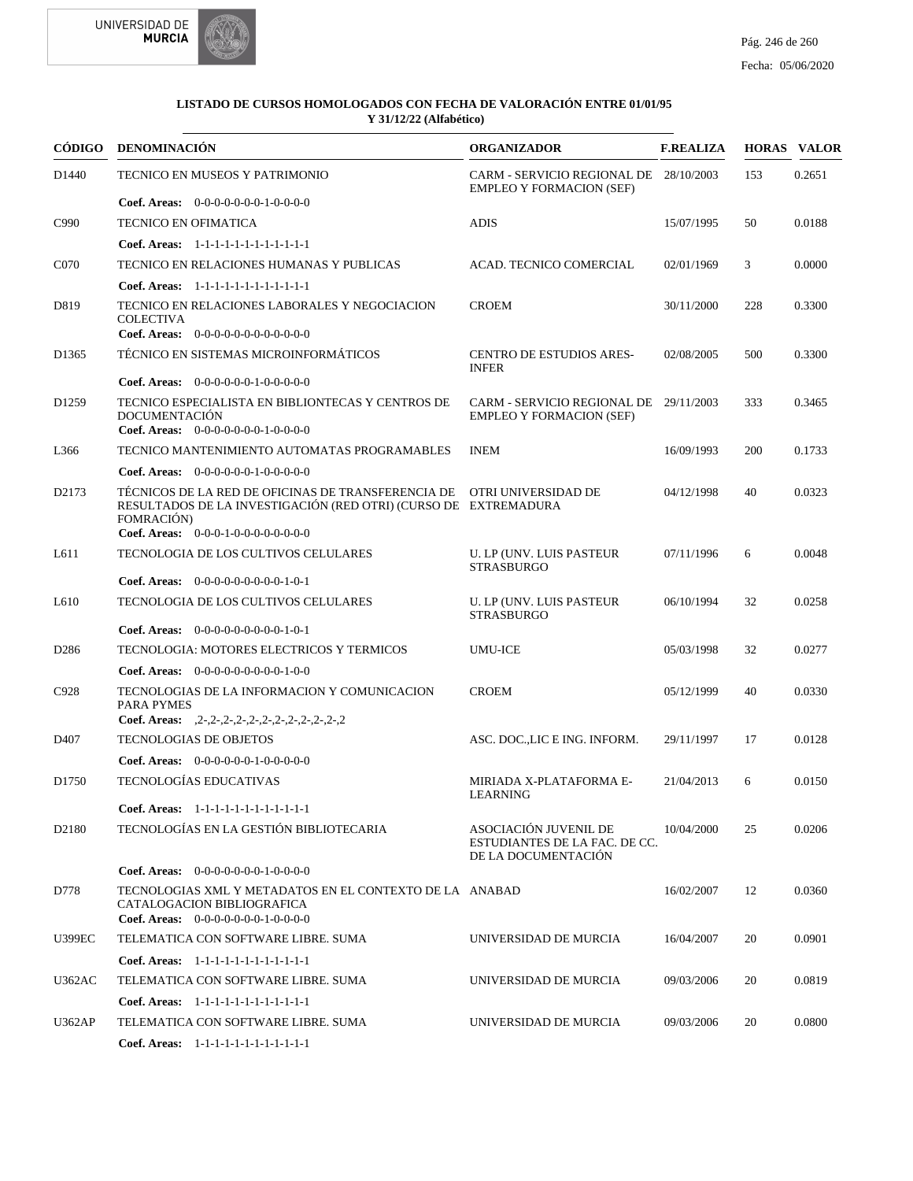



|                   | CÓDIGO DENOMINACIÓN                                                                                                                                     | <b>ORGANIZADOR</b>                                                            | <b>F.REALIZA</b> |     | <b>HORAS VALOR</b> |
|-------------------|---------------------------------------------------------------------------------------------------------------------------------------------------------|-------------------------------------------------------------------------------|------------------|-----|--------------------|
| D <sub>1440</sub> | TECNICO EN MUSEOS Y PATRIMONIO                                                                                                                          | CARM - SERVICIO REGIONAL DE 28/10/2003<br><b>EMPLEO Y FORMACION (SEF)</b>     |                  | 153 | 0.2651             |
|                   | Coef. Areas: $0-0-0-0-0-0-1-0-0-0-0$                                                                                                                    |                                                                               |                  |     |                    |
| C990              | <b>TECNICO EN OFIMATICA</b>                                                                                                                             | <b>ADIS</b>                                                                   | 15/07/1995       | 50  | 0.0188             |
|                   | Coef. Areas: $1-1-1-1-1-1-1-1-1-1-1$                                                                                                                    |                                                                               |                  |     |                    |
| C <sub>070</sub>  | TECNICO EN RELACIONES HUMANAS Y PUBLICAS                                                                                                                | ACAD. TECNICO COMERCIAL                                                       | 02/01/1969       | 3   | 0.0000             |
|                   | Coef. Areas: $1-1-1-1-1-1-1-1-1-1-1$                                                                                                                    |                                                                               |                  |     |                    |
| D819              | TECNICO EN RELACIONES LABORALES Y NEGOCIACION<br><b>COLECTIVA</b><br>Coef. Areas: $0-0-0-0-0-0-0-0-0-0-0$                                               | <b>CROEM</b>                                                                  | 30/11/2000       | 228 | 0.3300             |
| D <sub>1365</sub> | TÉCNICO EN SISTEMAS MICROINFORMÁTICOS                                                                                                                   | <b>CENTRO DE ESTUDIOS ARES-</b><br><b>INFER</b>                               | 02/08/2005       | 500 | 0.3300             |
|                   | <b>Coef. Areas:</b> $0-0-0-0-0-1-0-0-0-0-0$                                                                                                             |                                                                               |                  |     |                    |
| D <sub>1259</sub> | TECNICO ESPECIALISTA EN BIBLIONTECAS Y CENTROS DE<br><b>DOCUMENTACIÓN</b><br>Coef. Areas: $0-0-0-0-0-0-1-0-0-0-0$                                       | CARM - SERVICIO REGIONAL DE 29/11/2003<br><b>EMPLEO Y FORMACION (SEF)</b>     |                  | 333 | 0.3465             |
| L366              | TECNICO MANTENIMIENTO AUTOMATAS PROGRAMABLES                                                                                                            | <b>INEM</b>                                                                   | 16/09/1993       | 200 | 0.1733             |
|                   | Coef. Areas: $0-0-0-0-0-1-0-0-0-0-0$                                                                                                                    |                                                                               |                  |     |                    |
| D2173             | TÉCNICOS DE LA RED DE OFICINAS DE TRANSFERENCIA DE OTRI UNIVERSIDAD DE<br>RESULTADOS DE LA INVESTIGACIÓN (RED OTRI) (CURSO DE EXTREMADURA<br>FOMRACIÓN) |                                                                               | 04/12/1998       | 40  | 0.0323             |
|                   | Coef. Areas: $0-0-0-1-0-0-0-0-0-0-0$                                                                                                                    |                                                                               |                  |     |                    |
| L611              | TECNOLOGIA DE LOS CULTIVOS CELULARES<br><b>Coef. Areas:</b> $0-0-0-0-0-0-0-0-1-0-1$                                                                     | U. LP (UNV. LUIS PASTEUR<br><b>STRASBURGO</b>                                 | 07/11/1996       | 6   | 0.0048             |
| L610              |                                                                                                                                                         |                                                                               |                  | 32  | 0.0258             |
|                   | TECNOLOGIA DE LOS CULTIVOS CELULARES<br><b>Coef. Areas:</b> $0-0-0-0-0-0-0-0-1-0-1$                                                                     | U. LP (UNV. LUIS PASTEUR<br><b>STRASBURGO</b>                                 | 06/10/1994       |     |                    |
| D <sub>286</sub>  | TECNOLOGIA: MOTORES ELECTRICOS Y TERMICOS                                                                                                               | <b>UMU-ICE</b>                                                                | 05/03/1998       | 32  | 0.0277             |
|                   | <b>Coef. Areas:</b> $0-0-0-0-0-0-0-0-1-0-0$                                                                                                             |                                                                               |                  |     |                    |
| C928              | TECNOLOGIAS DE LA INFORMACION Y COMUNICACION<br>PARA PYMES                                                                                              | <b>CROEM</b>                                                                  | 05/12/1999       | 40  | 0.0330             |
|                   | Coef. Areas: $2-2-2-2-2-2-2-2-2-2-2-2-2$                                                                                                                |                                                                               |                  |     |                    |
| D <sub>407</sub>  | <b>TECNOLOGIAS DE OBJETOS</b>                                                                                                                           | ASC. DOCLIC E ING. INFORM.                                                    | 29/11/1997       | 17  | 0.0128             |
|                   | Coef. Areas: $0-0-0-0-0-1-0-0-0-0-0$                                                                                                                    |                                                                               |                  |     |                    |
| D <sub>1750</sub> | TECNOLOGÍAS EDUCATIVAS                                                                                                                                  | MIRIADA X-PLATAFORMA E-<br>LEARNING                                           | 21/04/2013       | 6   | 0.0150             |
|                   | Coef. Areas: 1-1-1-1-1-1-1-1-1-1-1-1-1                                                                                                                  |                                                                               |                  |     |                    |
| D <sub>2180</sub> | TECNOLOGÍAS EN LA GESTIÓN BIBLIOTECARIA                                                                                                                 | ASOCIACIÓN JUVENIL DE<br>ESTUDIANTES DE LA FAC. DE CC.<br>DE LA DOCUMENTACIÓN | 10/04/2000       | 25  | 0.0206             |
|                   | <b>Coef. Areas:</b> $0-0-0-0-0-0-1-0-0-0-0$                                                                                                             |                                                                               |                  |     |                    |
| D778              | TECNOLOGIAS XML Y METADATOS EN EL CONTEXTO DE LA ANABAD<br>CATALOGACION BIBLIOGRAFICA<br>Coef. Areas: $0-0-0-0-0-0-1-0-0-0-0$                           |                                                                               | 16/02/2007       | 12  | 0.0360             |
| <b>U399EC</b>     | TELEMATICA CON SOFTWARE LIBRE. SUMA                                                                                                                     | UNIVERSIDAD DE MURCIA                                                         | 16/04/2007       | 20  | 0.0901             |
|                   | Coef. Areas: 1-1-1-1-1-1-1-1-1-1-1-1-1                                                                                                                  |                                                                               |                  |     |                    |
| U362AC            | TELEMATICA CON SOFTWARE LIBRE. SUMA                                                                                                                     | UNIVERSIDAD DE MURCIA                                                         | 09/03/2006       | 20  | 0.0819             |
|                   | Coef. Areas: $1-1-1-1-1-1-1-1-1-1-1$                                                                                                                    |                                                                               |                  |     |                    |
| <b>U362AP</b>     | TELEMATICA CON SOFTWARE LIBRE. SUMA                                                                                                                     | UNIVERSIDAD DE MURCIA                                                         | 09/03/2006       | 20  | 0.0800             |
|                   | Coef. Areas: $1-1-1-1-1-1-1-1-1-1-1$                                                                                                                    |                                                                               |                  |     |                    |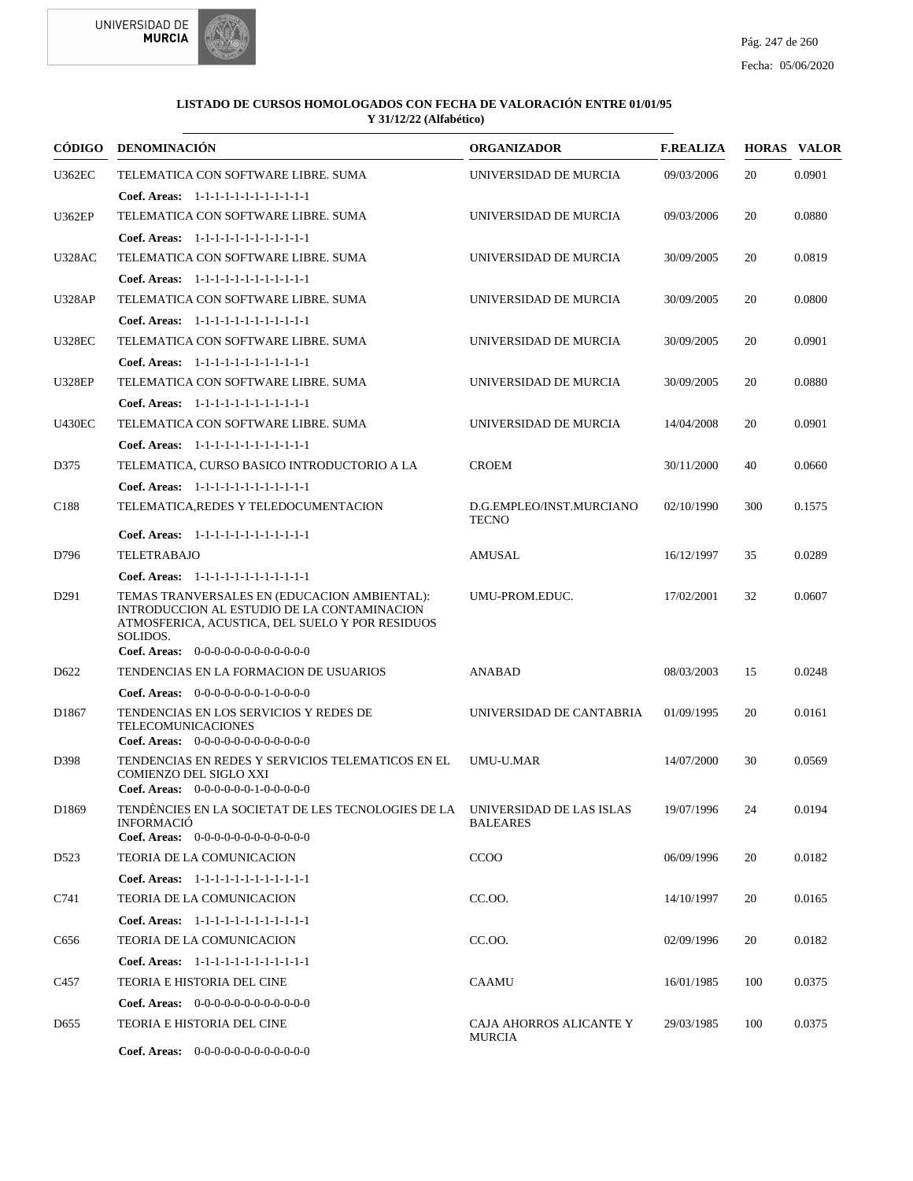

|                  | CÓDIGO DENOMINACIÓN                                                                                                                                        | <b>ORGANIZADOR</b>                | <b>F.REALIZA</b> |     | <b>HORAS VALOR</b> |
|------------------|------------------------------------------------------------------------------------------------------------------------------------------------------------|-----------------------------------|------------------|-----|--------------------|
| <b>U362EC</b>    | TELEMATICA CON SOFTWARE LIBRE. SUMA                                                                                                                        | UNIVERSIDAD DE MURCIA             | 09/03/2006       | 20  | 0.0901             |
|                  | Coef. Areas: $1-1-1-1-1-1-1-1-1-1-1$                                                                                                                       |                                   |                  |     |                    |
| <b>U362EP</b>    | TELEMATICA CON SOFTWARE LIBRE. SUMA                                                                                                                        | UNIVERSIDAD DE MURCIA             | 09/03/2006       | 20  | 0.0880             |
|                  | Coef. Areas: $1-1-1-1-1-1-1-1-1-1-1$                                                                                                                       |                                   |                  |     |                    |
| <b>U328AC</b>    | TELEMATICA CON SOFTWARE LIBRE. SUMA                                                                                                                        | UNIVERSIDAD DE MURCIA             | 30/09/2005       | 20  | 0.0819             |
|                  | Coef. Areas: $1-1-1-1-1-1-1-1-1-1-1$                                                                                                                       |                                   |                  |     |                    |
| <b>U328AP</b>    | TELEMATICA CON SOFTWARE LIBRE. SUMA                                                                                                                        | UNIVERSIDAD DE MURCIA             | 30/09/2005       | 20  | 0.0800             |
|                  | Coef. Areas: 1-1-1-1-1-1-1-1-1-1-1-1-1                                                                                                                     |                                   |                  |     |                    |
| <b>U328EC</b>    | TELEMATICA CON SOFTWARE LIBRE. SUMA                                                                                                                        | UNIVERSIDAD DE MURCIA             | 30/09/2005       | 20  | 0.0901             |
|                  | Coef. Areas: $1-1-1-1-1-1-1-1-1-1-1$                                                                                                                       |                                   |                  |     |                    |
| <b>U328EP</b>    | TELEMATICA CON SOFTWARE LIBRE. SUMA                                                                                                                        | UNIVERSIDAD DE MURCIA             | 30/09/2005       | 20  | 0.0880             |
|                  | Coef. Areas: 1-1-1-1-1-1-1-1-1-1-1-1-1                                                                                                                     |                                   |                  |     |                    |
| <b>U430EC</b>    | TELEMATICA CON SOFTWARE LIBRE. SUMA                                                                                                                        | UNIVERSIDAD DE MURCIA             | 14/04/2008       | 20  | 0.0901             |
|                  | Coef. Areas: 1-1-1-1-1-1-1-1-1-1-1-1-1                                                                                                                     |                                   |                  |     |                    |
| D375             | TELEMATICA, CURSO BASICO INTRODUCTORIO A LA                                                                                                                | <b>CROEM</b>                      | 30/11/2000       | 40  | 0.0660             |
|                  | Coef. Areas: 1-1-1-1-1-1-1-1-1-1-1-1-1                                                                                                                     |                                   |                  |     |                    |
| C <sub>188</sub> | TELEMATICA,REDES Y TELEDOCUMENTACION                                                                                                                       | D.G.EMPLEO/INST.MURCIANO          | 02/10/1990       | 300 | 0.1575             |
|                  | Coef. Areas: 1-1-1-1-1-1-1-1-1-1-1-1-1                                                                                                                     | <b>TECNO</b>                      |                  |     |                    |
| D796             | TELETRABAJO                                                                                                                                                |                                   |                  |     |                    |
|                  |                                                                                                                                                            | AMUSAL                            | 16/12/1997       | 35  | 0.0289             |
|                  | Coef. Areas: 1-1-1-1-1-1-1-1-1-1-1-1-1                                                                                                                     |                                   |                  |     |                    |
| D <sub>291</sub> | TEMAS TRANVERSALES EN (EDUCACION AMBIENTAL):<br>INTRODUCCION AL ESTUDIO DE LA CONTAMINACION<br>ATMOSFERICA, ACUSTICA, DEL SUELO Y POR RESIDUOS<br>SOLIDOS. | UMU-PROM.EDUC.                    | 17/02/2001       | 32  | 0.0607             |
|                  | <b>Coef. Areas:</b> $0-0-0-0-0-0-0-0-0-0-0-0$                                                                                                              |                                   |                  |     |                    |
| D622             | TENDENCIAS EN LA FORMACION DE USUARIOS                                                                                                                     | ANABAD                            | 08/03/2003       | 15  | 0.0248             |
|                  | Coef. Areas: $0-0-0-0-0-0-1-0-0-0-0$                                                                                                                       |                                   |                  |     |                    |
| D1867            | TENDENCIAS EN LOS SERVICIOS Y REDES DE<br><b>TELECOMUNICACIONES</b><br><b>Coef. Areas:</b> $0-0-0-0-0-0-0-0-0-0-0-0$                                       | UNIVERSIDAD DE CANTABRIA          | 01/09/1995       | 20  | 0.0161             |
| D398             | TENDENCIAS EN REDES Y SERVICIOS TELEMATICOS EN EL                                                                                                          | <b>UMU-U.MAR</b>                  | 14/07/2000       | 30  | 0.0569             |
|                  | <b>COMIENZO DEL SIGLO XXI</b>                                                                                                                              |                                   |                  |     |                    |
| D1869            | Coef. Areas: $0-0-0-0-0-1-0-0-0-0-0$<br>TENDÈNCIES EN LA SOCIETAT DE LES TECNOLOGIES DE LA                                                                 | UNIVERSIDAD DE LAS ISLAS          |                  |     |                    |
|                  | <b>INFORMACIO</b><br>Coef. Areas: $0-0-0-0-0-0-0-0-0-0-0$                                                                                                  | <b>BALEARES</b>                   | 19/07/1996       | 24  | 0.0194             |
| D <sub>523</sub> | TEORIA DE LA COMUNICACION                                                                                                                                  | <b>CCOO</b>                       | 06/09/1996       | 20  | 0.0182             |
|                  | Coef. Areas: 1-1-1-1-1-1-1-1-1-1-1-1-1                                                                                                                     |                                   |                  |     |                    |
| C741             | TEORIA DE LA COMUNICACION                                                                                                                                  | CC.OO.                            | 14/10/1997       | 20  | 0.0165             |
|                  | Coef. Areas: 1-1-1-1-1-1-1-1-1-1-1-1-1                                                                                                                     |                                   |                  |     |                    |
| C656             | TEORIA DE LA COMUNICACION                                                                                                                                  | CC.OO.                            | 02/09/1996       | 20  | 0.0182             |
|                  | Coef. Areas: $1-1-1-1-1-1-1-1-1-1-1$                                                                                                                       |                                   |                  |     |                    |
| C457             | TEORIA E HISTORIA DEL CINE                                                                                                                                 | CAAMU                             | 16/01/1985       | 100 | 0.0375             |
|                  | <b>Coef. Areas:</b> $0-0-0-0-0-0-0-0-0-0-0-0$                                                                                                              |                                   |                  |     |                    |
| D <sub>655</sub> | TEORIA E HISTORIA DEL CINE                                                                                                                                 | CAJA AHORROS ALICANTE Y<br>MURCIA | 29/03/1985       | 100 | 0.0375             |
|                  | Coef. Areas: 0-0-0-0-0-0-0-0-0-0-0-0-0                                                                                                                     |                                   |                  |     |                    |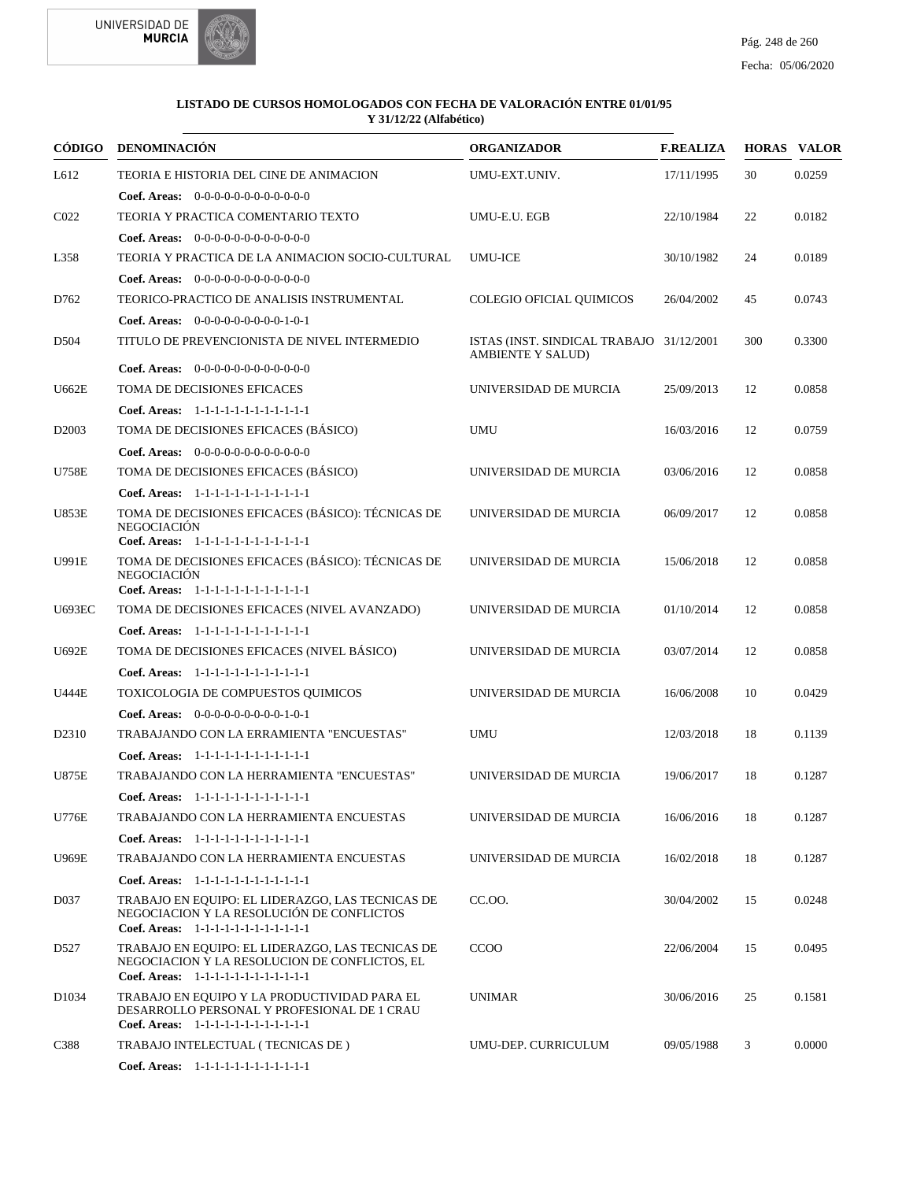



| <b>CÓDIGO</b>     | <b>DENOMINACIÓN</b>                                                                                                                     | <b>ORGANIZADOR</b>                                                   | <b>F.REALIZA</b> |     | <b>HORAS VALOR</b> |
|-------------------|-----------------------------------------------------------------------------------------------------------------------------------------|----------------------------------------------------------------------|------------------|-----|--------------------|
| L612              | TEORIA E HISTORIA DEL CINE DE ANIMACION                                                                                                 | UMU-EXT.UNIV.                                                        | 17/11/1995       | 30  | 0.0259             |
|                   | <b>Coef. Areas:</b> $0-0-0-0-0-0-0-0-0-0-0-0$                                                                                           |                                                                      |                  |     |                    |
| CO <sub>22</sub>  | TEORIA Y PRACTICA COMENTARIO TEXTO                                                                                                      | UMU-E.U. EGB                                                         | 22/10/1984       | 22  | 0.0182             |
|                   | Coef. Areas: $0-0-0-0-0-0-0-0-0-0-0-0$                                                                                                  |                                                                      |                  |     |                    |
| L358              | TEORIA Y PRACTICA DE LA ANIMACION SOCIO-CULTURAL                                                                                        | <b>UMU-ICE</b>                                                       | 30/10/1982       | 24  | 0.0189             |
|                   | <b>Coef. Areas:</b> $0-0-0-0-0-0-0-0-0-0-0$                                                                                             |                                                                      |                  |     |                    |
| D762              | TEORICO-PRACTICO DE ANALISIS INSTRUMENTAL                                                                                               | COLEGIO OFICIAL OUIMICOS                                             | 26/04/2002       | 45  | 0.0743             |
|                   | Coef. Areas: $0-0-0-0-0-0-0-0-1-0-1$                                                                                                    |                                                                      |                  |     |                    |
| D504              | TITULO DE PREVENCIONISTA DE NIVEL INTERMEDIO                                                                                            | ISTAS (INST. SINDICAL TRABAJO 31/12/2001<br><b>AMBIENTE Y SALUD)</b> |                  | 300 | 0.3300             |
|                   | <b>Coef. Areas:</b> $0-0-0-0-0-0-0-0-0-0-0$                                                                                             |                                                                      |                  |     |                    |
| <b>U662E</b>      | TOMA DE DECISIONES EFICACES                                                                                                             | UNIVERSIDAD DE MURCIA                                                | 25/09/2013       | 12  | 0.0858             |
|                   | Coef. Areas: 1-1-1-1-1-1-1-1-1-1-1-1-1                                                                                                  |                                                                      |                  |     |                    |
| D <sub>2003</sub> | TOMA DE DECISIONES EFICACES (BASICO)                                                                                                    | <b>UMU</b>                                                           | 16/03/2016       | 12  | 0.0759             |
|                   | Coef. Areas: $0-0-0-0-0-0-0-0-0-0-0$                                                                                                    |                                                                      |                  |     |                    |
| <b>U758E</b>      | TOMA DE DECISIONES EFICACES (BÁSICO)                                                                                                    | UNIVERSIDAD DE MURCIA                                                | 03/06/2016       | 12  | 0.0858             |
|                   | Coef. Areas: 1-1-1-1-1-1-1-1-1-1-1-1-1                                                                                                  |                                                                      |                  |     |                    |
| <b>U853E</b>      | TOMA DE DECISIONES EFICACES (BÁSICO): TÉCNICAS DE<br><b>NEGOCIACIÓN</b><br>Coef. Areas: 1-1-1-1-1-1-1-1-1-1-1-1-1                       | UNIVERSIDAD DE MURCIA                                                | 06/09/2017       | 12  | 0.0858             |
| U991E             | TOMA DE DECISIONES EFICACES (BÁSICO): TÉCNICAS DE<br><b>NEGOCIACIÓN</b><br>Coef. Areas: 1-1-1-1-1-1-1-1-1-1-1-1-1                       | UNIVERSIDAD DE MURCIA                                                | 15/06/2018       | 12  | 0.0858             |
| <b>U693EC</b>     | TOMA DE DECISIONES EFICACES (NIVEL AVANZADO)                                                                                            | UNIVERSIDAD DE MURCIA                                                | 01/10/2014       | 12  | 0.0858             |
|                   | Coef. Areas: 1-1-1-1-1-1-1-1-1-1-1-1-1                                                                                                  |                                                                      |                  |     |                    |
| U692E             | TOMA DE DECISIONES EFICACES (NIVEL BÁSICO)                                                                                              | UNIVERSIDAD DE MURCIA                                                | 03/07/2014       | 12  | 0.0858             |
|                   | Coef. Areas: 1-1-1-1-1-1-1-1-1-1-1-1-1                                                                                                  |                                                                      |                  |     |                    |
| <b>U444E</b>      | TOXICOLOGIA DE COMPUESTOS QUIMICOS                                                                                                      | UNIVERSIDAD DE MURCIA                                                | 16/06/2008       | 10  | 0.0429             |
|                   | Coef. Areas: $0-0-0-0-0-0-0-0-1-0-1$                                                                                                    |                                                                      |                  |     |                    |
| D <sub>2310</sub> | TRABAJANDO CON LA ERRAMIENTA "ENCUESTAS"                                                                                                | <b>UMU</b>                                                           | 12/03/2018       | 18  | 0.1139             |
|                   | Coef. Areas: 1-1-1-1-1-1-1-1-1-1-1-1-1                                                                                                  |                                                                      |                  |     |                    |
| <b>U875E</b>      | TRABAJANDO CON LA HERRAMIENTA "ENCUESTAS"                                                                                               | UNIVERSIDAD DE MURCIA                                                | 19/06/2017       | 18  | 0.1287             |
|                   | Coef. Areas: 1-1-1-1-1-1-1-1-1-1-1-1-1                                                                                                  |                                                                      |                  |     |                    |
| <b>U776E</b>      | TRABAJANDO CON LA HERRAMIENTA ENCUESTAS                                                                                                 | UNIVERSIDAD DE MURCIA                                                | 16/06/2016       | 18  | 0.1287             |
|                   | Coef. Areas: 1-1-1-1-1-1-1-1-1-1-1-1-1                                                                                                  |                                                                      |                  |     |                    |
| <b>U969E</b>      | TRABAJANDO CON LA HERRAMIENTA ENCUESTAS                                                                                                 | UNIVERSIDAD DE MURCIA                                                | 16/02/2018       | 18  | 0.1287             |
|                   | Coef. Areas: 1-1-1-1-1-1-1-1-1-1-1-1-1                                                                                                  |                                                                      |                  |     |                    |
| D037              | TRABAJO EN EQUIPO: EL LIDERAZGO, LAS TECNICAS DE<br>NEGOCIACION Y LA RESOLUCIÓN DE CONFLICTOS<br>Coef. Areas: 1-1-1-1-1-1-1-1-1-1-1-1-1 | CC.00.                                                               | 30/04/2002       | 15  | 0.0248             |
| D527              | TRABAJO EN EQUIPO: EL LIDERAZGO, LAS TECNICAS DE<br>NEGOCIACION Y LA RESOLUCION DE CONFLICTOS, EL                                       | <b>CCOO</b>                                                          | 22/06/2004       | 15  | 0.0495             |
|                   | Coef. Areas: 1-1-1-1-1-1-1-1-1-1-1-1-1                                                                                                  |                                                                      |                  |     |                    |
| D <sub>1034</sub> | TRABAJO EN EQUIPO Y LA PRODUCTIVIDAD PARA EL<br>DESARROLLO PERSONAL Y PROFESIONAL DE 1 CRAU<br>Coef. Areas: 1-1-1-1-1-1-1-1-1-1-1-1-1   | <b>UNIMAR</b>                                                        | 30/06/2016       | 25  | 0.1581             |
| C388              | TRABAJO INTELECTUAL (TECNICAS DE)                                                                                                       | UMU-DEP. CURRICULUM                                                  | 09/05/1988       | 3   | 0.0000             |
|                   | Coef. Areas: 1-1-1-1-1-1-1-1-1-1-1-1-1                                                                                                  |                                                                      |                  |     |                    |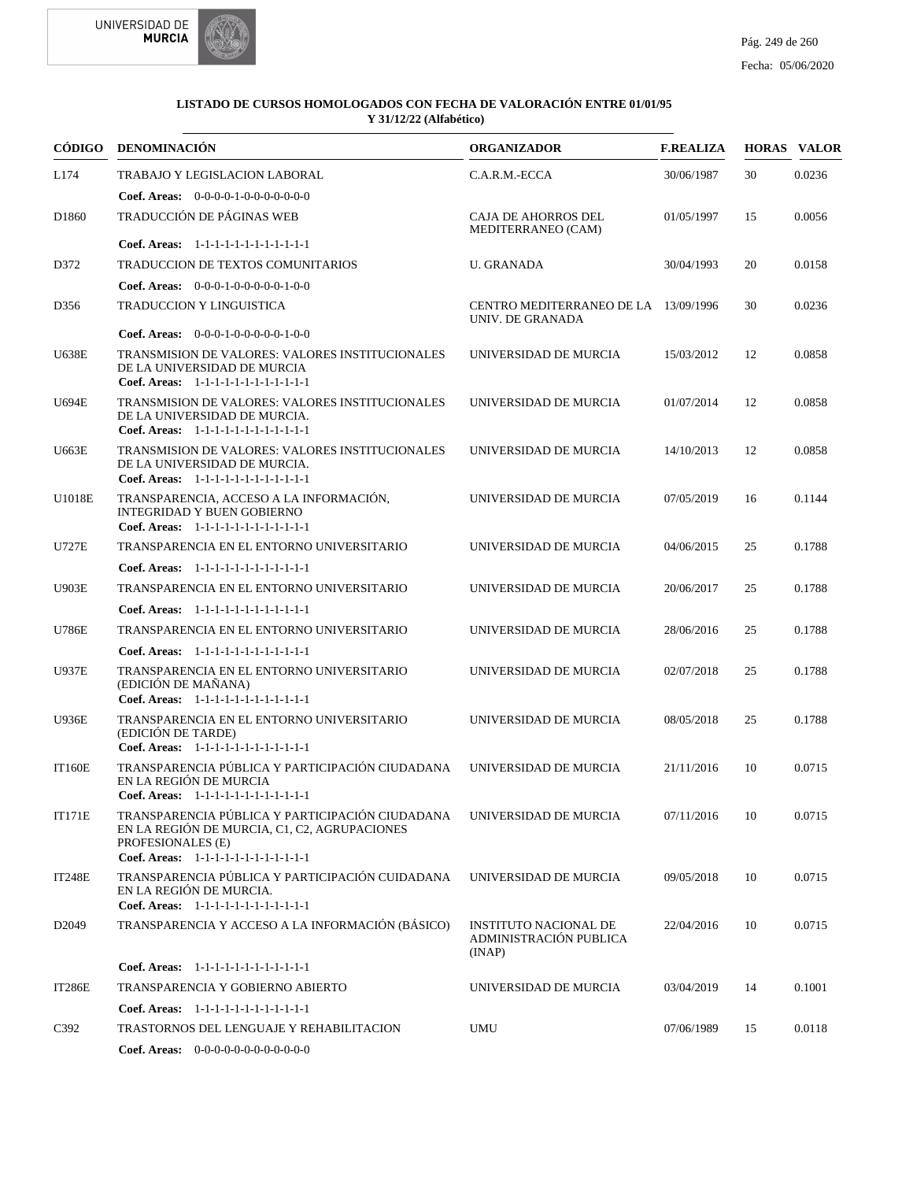



| CÓDIGO            | <b>DENOMINACIÓN</b>                                                                                                                                            | <b>ORGANIZADOR</b>                                               | <b>F.REALIZA</b> |    | <b>HORAS VALOR</b> |
|-------------------|----------------------------------------------------------------------------------------------------------------------------------------------------------------|------------------------------------------------------------------|------------------|----|--------------------|
| L174              | TRABAJO Y LEGISLACION LABORAL                                                                                                                                  | C.A.R.M.-ECCA                                                    | 30/06/1987       | 30 | 0.0236             |
|                   | <b>Coef. Areas:</b> $0-0-0-0-1-0-0-0-0-0-0-0$                                                                                                                  |                                                                  |                  |    |                    |
| D <sub>1860</sub> | TRADUCCIÓN DE PÁGINAS WEB                                                                                                                                      | CAJA DE AHORROS DEL<br>MEDITERRANEO (CAM)                        | 01/05/1997       | 15 | 0.0056             |
|                   | Coef. Areas: 1-1-1-1-1-1-1-1-1-1-1-1-1                                                                                                                         |                                                                  |                  |    |                    |
| D372              | TRADUCCION DE TEXTOS COMUNITARIOS                                                                                                                              | U. GRANADA                                                       | 30/04/1993       | 20 | 0.0158             |
|                   | <b>Coef. Areas:</b> $0-0-0-1-0-0-0-0-1-0-0$                                                                                                                    |                                                                  |                  |    |                    |
| D356              | TRADUCCION Y LINGUISTICA                                                                                                                                       | CENTRO MEDITERRANEO DE LA 13/09/1996<br>UNIV. DE GRANADA         |                  | 30 | 0.0236             |
|                   | Coef. Areas: $0-0-0-1-0-0-0-0-1-0-0$                                                                                                                           |                                                                  |                  |    |                    |
| <b>U638E</b>      | TRANSMISION DE VALORES: VALORES INSTITUCIONALES<br>DE LA UNIVERSIDAD DE MURCIA<br>Coef. Areas: 1-1-1-1-1-1-1-1-1-1-1-1-1                                       | UNIVERSIDAD DE MURCIA                                            | 15/03/2012       | 12 | 0.0858             |
| U694E             | TRANSMISION DE VALORES: VALORES INSTITUCIONALES<br>DE LA UNIVERSIDAD DE MURCIA.<br>Coef. Areas: 1-1-1-1-1-1-1-1-1-1-1-1-1                                      | UNIVERSIDAD DE MURCIA                                            | 01/07/2014       | 12 | 0.0858             |
| U663E             | TRANSMISION DE VALORES: VALORES INSTITUCIONALES<br>DE LA UNIVERSIDAD DE MURCIA.<br>Coef. Areas: 1-1-1-1-1-1-1-1-1-1-1-1-1                                      | UNIVERSIDAD DE MURCIA                                            | 14/10/2013       | 12 | 0.0858             |
| U1018E            | TRANSPARENCIA, ACCESO A LA INFORMACIÓN,<br><b>INTEGRIDAD Y BUEN GOBIERNO</b><br>Coef. Areas: 1-1-1-1-1-1-1-1-1-1-1-1-1                                         | UNIVERSIDAD DE MURCIA                                            | 07/05/2019       | 16 | 0.1144             |
| <b>U727E</b>      | TRANSPARENCIA EN EL ENTORNO UNIVERSITARIO                                                                                                                      | UNIVERSIDAD DE MURCIA                                            | 04/06/2015       | 25 | 0.1788             |
|                   | Coef. Areas: 1-1-1-1-1-1-1-1-1-1-1-1-1                                                                                                                         |                                                                  |                  |    |                    |
| <b>U903E</b>      | TRANSPARENCIA EN EL ENTORNO UNIVERSITARIO                                                                                                                      | UNIVERSIDAD DE MURCIA                                            | 20/06/2017       | 25 | 0.1788             |
|                   | Coef. Areas: 1-1-1-1-1-1-1-1-1-1-1-1-1                                                                                                                         |                                                                  |                  |    |                    |
| <b>U786E</b>      | TRANSPARENCIA EN EL ENTORNO UNIVERSITARIO                                                                                                                      | UNIVERSIDAD DE MURCIA                                            | 28/06/2016       | 25 | 0.1788             |
|                   | Coef. Areas: 1-1-1-1-1-1-1-1-1-1-1-1-1                                                                                                                         |                                                                  |                  |    |                    |
| U937E             | TRANSPARENCIA EN EL ENTORNO UNIVERSITARIO<br>(EDICIÓN DE MAÑANA)<br>Coef. Areas: 1-1-1-1-1-1-1-1-1-1-1-1-1                                                     | UNIVERSIDAD DE MURCIA                                            | 02/07/2018       | 25 | 0.1788             |
| <b>U936E</b>      | TRANSPARENCIA EN EL ENTORNO UNIVERSITARIO<br>(EDICIÓN DE TARDE)<br>Coef. Areas: 1-1-1-1-1-1-1-1-1-1-1-1-1                                                      | UNIVERSIDAD DE MURCIA                                            | 08/05/2018       | 25 | 0.1788             |
| IT160E            | TRANSPARENCIA PÚBLICA Y PARTICIPACIÓN CIUDADANA<br>EN LA REGIÓN DE MURCIA<br>Coef. Areas: 1-1-1-1-1-1-1-1-1-1-1-1-1                                            | UNIVERSIDAD DE MURCIA                                            | 21/11/2016       | 10 | 0.0715             |
| <b>IT171E</b>     | TRANSPARENCIA PÚBLICA Y PARTICIPACIÓN CIUDADANA<br>EN LA REGIÓN DE MURCIA. C1. C2. AGRUPACIONES<br>PROFESIONALES (E)<br>Coef. Areas: 1-1-1-1-1-1-1-1-1-1-1-1-1 | UNIVERSIDAD DE MURCIA                                            | 07/11/2016       | 10 | 0.0715             |
| <b>IT248E</b>     | TRANSPARENCIA PÚBLICA Y PARTICIPACIÓN CUIDADANA<br>EN LA REGIÓN DE MURCIA.<br>Coef. Areas: 1-1-1-1-1-1-1-1-1-1-1-1-1                                           | UNIVERSIDAD DE MURCIA                                            | 09/05/2018       | 10 | 0.0715             |
| D <sub>2049</sub> | TRANSPARENCIA Y ACCESO A LA INFORMACIÓN (BÁSICO)                                                                                                               | <b>INSTITUTO NACIONAL DE</b><br>ADMINISTRACIÓN PUBLICA<br>(INAP) | 22/04/2016       | 10 | 0.0715             |
|                   | Coef. Areas: 1-1-1-1-1-1-1-1-1-1-1-1-1                                                                                                                         |                                                                  |                  |    |                    |
| IT286E            | TRANSPARENCIA Y GOBIERNO ABIERTO                                                                                                                               | UNIVERSIDAD DE MURCIA                                            | 03/04/2019       | 14 | 0.1001             |
|                   | Coef. Areas: 1-1-1-1-1-1-1-1-1-1-1-1-1                                                                                                                         |                                                                  |                  |    |                    |
| C392              | TRASTORNOS DEL LENGUAJE Y REHABILITACION                                                                                                                       | UMU                                                              | 07/06/1989       | 15 | 0.0118             |
|                   | <b>Coef. Areas:</b> $0-0-0-0-0-0-0-0-0-0-0$                                                                                                                    |                                                                  |                  |    |                    |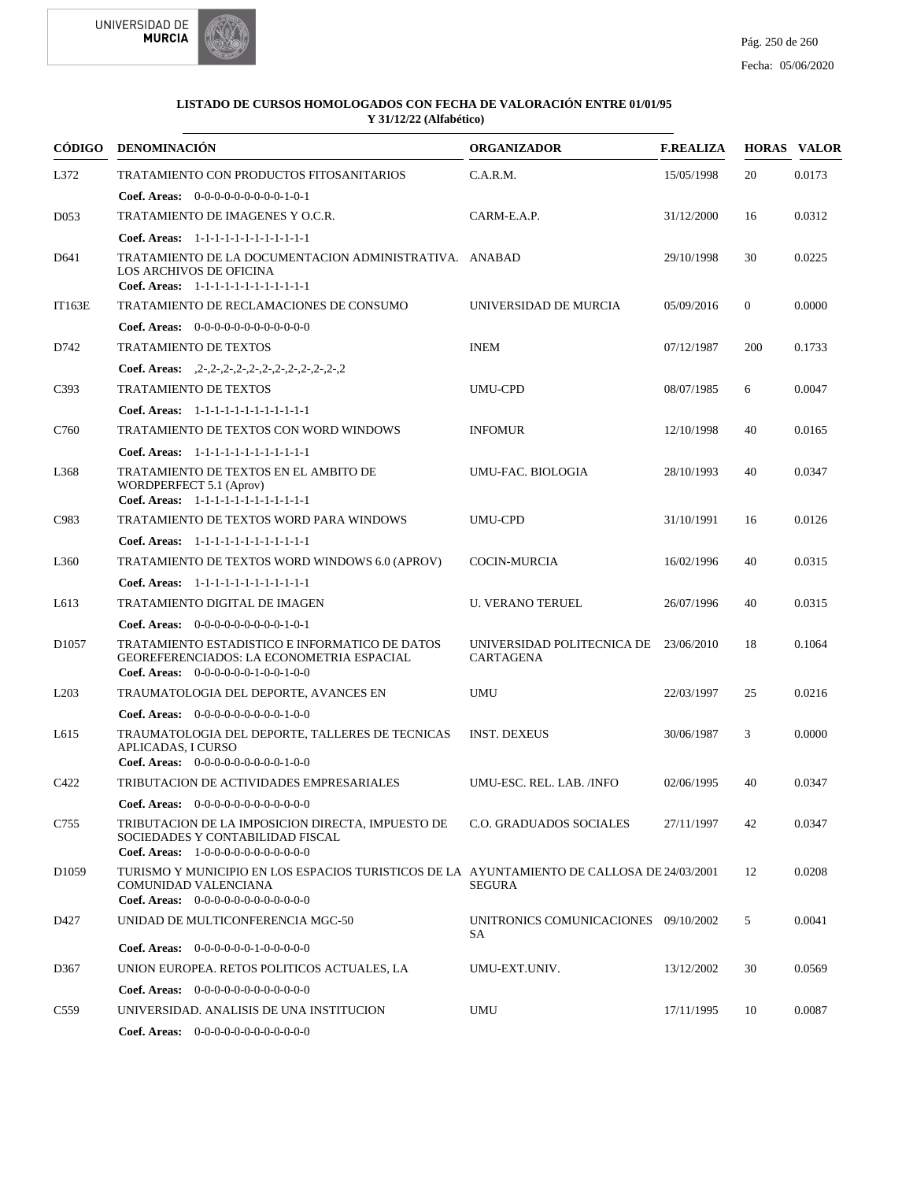



|                   | CÓDIGO DENOMINACIÓN                                                                                                                                                         | <b>ORGANIZADOR</b>                             | <b>F.REALIZA</b> |                | <b>HORAS VALOR</b> |
|-------------------|-----------------------------------------------------------------------------------------------------------------------------------------------------------------------------|------------------------------------------------|------------------|----------------|--------------------|
| L372              | TRATAMIENTO CON PRODUCTOS FITOSANITARIOS                                                                                                                                    | C.A.R.M.                                       | 15/05/1998       | 20             | 0.0173             |
| D <sub>053</sub>  | <b>Coef. Areas:</b> $0-0-0-0-0-0-0-0-1-0-1$<br>TRATAMIENTO DE IMAGENES Y O.C.R.                                                                                             | CARM-E.A.P.                                    | 31/12/2000       | 16             | 0.0312             |
| D641              | Coef. Areas: $1-1-1-1-1-1-1-1-1-1-1$<br>TRATAMIENTO DE LA DOCUMENTACION ADMINISTRATIVA. ANABAD<br>LOS ARCHIVOS DE OFICINA<br>Coef. Areas: 1-1-1-1-1-1-1-1-1-1-1-1-1         |                                                | 29/10/1998       | 30             | 0.0225             |
| <b>IT163E</b>     | TRATAMIENTO DE RECLAMACIONES DE CONSUMO<br>Coef. Areas: 0-0-0-0-0-0-0-0-0-0-0-0-0                                                                                           | UNIVERSIDAD DE MURCIA                          | 05/09/2016       | $\overline{0}$ | 0.0000             |
| D742              | <b>TRATAMIENTO DE TEXTOS</b><br>Coef. Areas: $2-2-2-2-2-2-2-2-2-2-2-2-2$                                                                                                    | <b>INEM</b>                                    | 07/12/1987       | 200            | 0.1733             |
| C393              | <b>TRATAMIENTO DE TEXTOS</b><br>Coef. Areas: 1-1-1-1-1-1-1-1-1-1-1-1-1                                                                                                      | <b>UMU-CPD</b>                                 | 08/07/1985       | 6              | 0.0047             |
| C760              | TRATAMIENTO DE TEXTOS CON WORD WINDOWS                                                                                                                                      | <b>INFOMUR</b>                                 | 12/10/1998       | 40             | 0.0165             |
| L368              | Coef. Areas: 1-1-1-1-1-1-1-1-1-1-1-1-1<br>TRATAMIENTO DE TEXTOS EN EL AMBITO DE<br>WORDPERFECT 5.1 (Aprov)<br>Coef. Areas: 1-1-1-1-1-1-1-1-1-1-1-1-1                        | UMU-FAC. BIOLOGIA                              | 28/10/1993       | 40             | 0.0347             |
| C983              | TRATAMIENTO DE TEXTOS WORD PARA WINDOWS<br>Coef. Areas: 1-1-1-1-1-1-1-1-1-1-1-1-1                                                                                           | <b>UMU-CPD</b>                                 | 31/10/1991       | 16             | 0.0126             |
| L <sub>360</sub>  | TRATAMIENTO DE TEXTOS WORD WINDOWS 6.0 (APROV)                                                                                                                              | <b>COCIN-MURCIA</b>                            | 16/02/1996       | 40             | 0.0315             |
| L613              | Coef. Areas: $1-1-1-1-1-1-1-1-1-1-1$<br>TRATAMIENTO DIGITAL DE IMAGEN                                                                                                       | <b>U. VERANO TERUEL</b>                        | 26/07/1996       | 40             | 0.0315             |
| D <sub>1057</sub> | Coef. Areas: $0-0-0-0-0-0-0-0-1-0-1$<br>TRATAMIENTO ESTADISTICO E INFORMATICO DE DATOS<br>GEOREFERENCIADOS: LA ECONOMETRIA ESPACIAL<br>Coef. Areas: $0-0-0-0-0-1-0-0-1-0-0$ | UNIVERSIDAD POLITECNICA DE<br><b>CARTAGENA</b> | 23/06/2010       | 18             | 0.1064             |
| L <sub>203</sub>  | TRAUMATOLOGIA DEL DEPORTE, AVANCES EN                                                                                                                                       | <b>UMU</b>                                     | 22/03/1997       | 25             | 0.0216             |
| L615              | Coef. Areas: $0-0-0-0-0-0-0-0-1-0-0$<br>TRAUMATOLOGIA DEL DEPORTE, TALLERES DE TECNICAS<br>APLICADAS, I CURSO<br>Coef. Areas: $0-0-0-0-0-0-0-0-1-0-0$                       | <b>INST. DEXEUS</b>                            | 30/06/1987       | 3              | 0.0000             |
| C422              | TRIBUTACION DE ACTIVIDADES EMPRESARIALES<br><b>Coef. Areas:</b> $0-0-0-0-0-0-0-0-0-0-0$                                                                                     | UMU-ESC. REL. LAB. /INFO                       | 02/06/1995       | 40             | 0.0347             |
| C755              | TRIBUTACION DE LA IMPOSICION DIRECTA, IMPUESTO DE C.O. GRADUADOS SOCIALES<br>SOCIEDADES Y CONTABILIDAD FISCAL<br>Coef. Areas: 1-0-0-0-0-0-0-0-0-0-0-0-0                     |                                                | 27/11/1997       | 42             | 0.0347             |
| D <sub>1059</sub> | TURISMO Y MUNICIPIO EN LOS ESPACIOS TURISTICOS DE LA AYUNTAMIENTO DE CALLOSA DE 24/03/2001<br>COMUNIDAD VALENCIANA<br>Coef. Areas: $0-0-0-0-0-0-0-0-0-0-0$                  | <b>SEGURA</b>                                  |                  | 12             | 0.0208             |
| D427              | UNIDAD DE MULTICONFERENCIA MGC-50                                                                                                                                           | UNITRONICS COMUNICACIONES 09/10/2002<br>SA     |                  | 5              | 0.0041             |
| D367              | Coef. Areas: $0-0-0-0-0-1-0-0-0-0-0$<br>UNION EUROPEA. RETOS POLITICOS ACTUALES, LA<br><b>Coef. Areas:</b> $0-0-0-0-0-0-0-0-0-0-0-0$                                        | UMU-EXT.UNIV.                                  | 13/12/2002       | 30             | 0.0569             |
| C <sub>559</sub>  | UNIVERSIDAD. ANALISIS DE UNA INSTITUCION<br><b>Coef. Areas:</b> $0-0-0-0-0-0-0-0-0-0-0$                                                                                     | <b>UMU</b>                                     | 17/11/1995       | 10             | 0.0087             |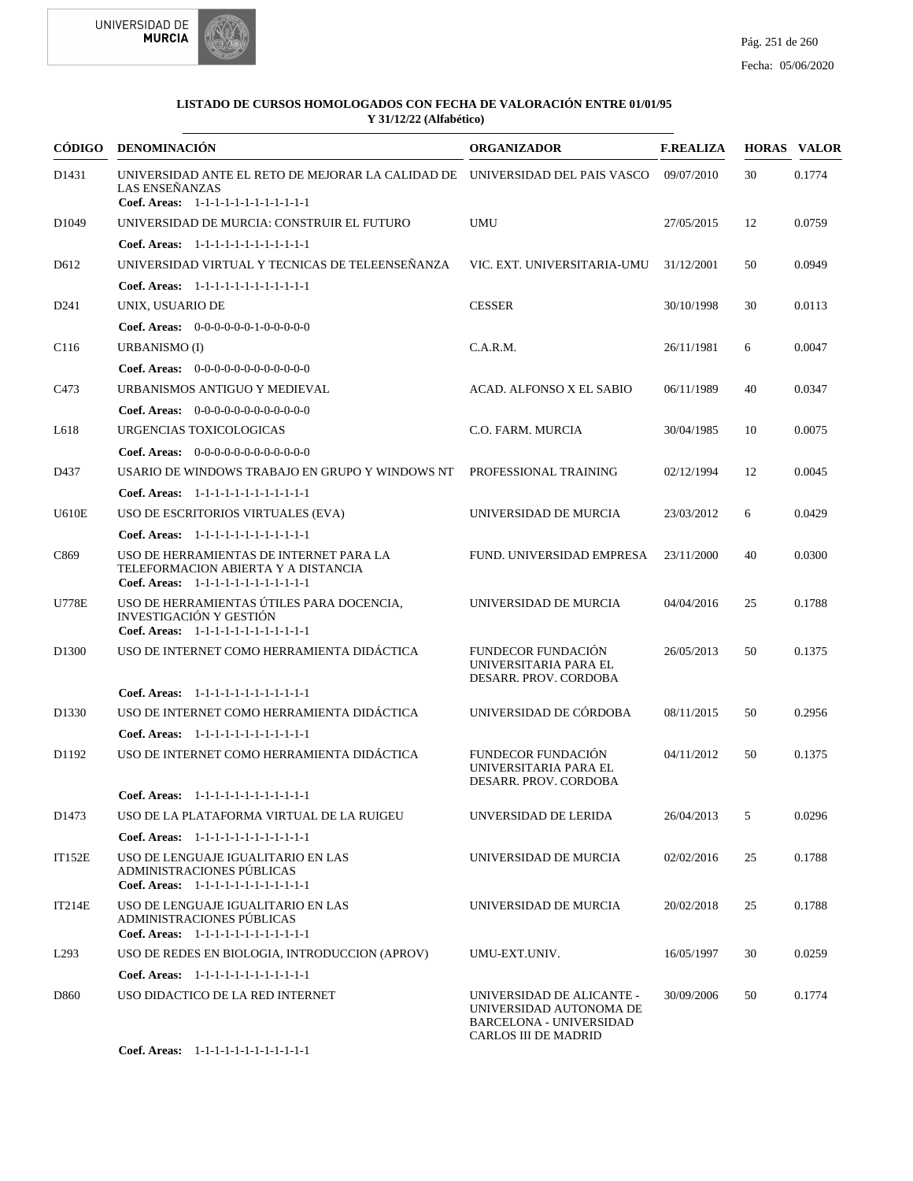



| CÓDIGO            | <b>DENOMINACIÓN</b>                                                                                                                      | <b>ORGANIZADOR</b>                                                                                             | <b>F.REALIZA</b> |    | <b>HORAS VALOR</b> |
|-------------------|------------------------------------------------------------------------------------------------------------------------------------------|----------------------------------------------------------------------------------------------------------------|------------------|----|--------------------|
| D1431             | UNIVERSIDAD ANTE EL RETO DE MEJORAR LA CALIDAD DE UNIVERSIDAD DEL PAIS VASCO<br>LAS ENSEÑANZAS<br>Coef. Areas: 1-1-1-1-1-1-1-1-1-1-1-1-1 |                                                                                                                | 09/07/2010       | 30 | 0.1774             |
| D <sub>1049</sub> | UNIVERSIDAD DE MURCIA: CONSTRUIR EL FUTURO                                                                                               | <b>UMU</b>                                                                                                     | 27/05/2015       | 12 | 0.0759             |
|                   | Coef. Areas: 1-1-1-1-1-1-1-1-1-1-1-1-1                                                                                                   |                                                                                                                |                  |    |                    |
| D <sub>612</sub>  | UNIVERSIDAD VIRTUAL Y TECNICAS DE TELEENSEÑANZA                                                                                          | VIC. EXT. UNIVERSITARIA-UMU                                                                                    | 31/12/2001       | 50 | 0.0949             |
|                   | Coef. Areas: 1-1-1-1-1-1-1-1-1-1-1-1-1                                                                                                   |                                                                                                                |                  |    |                    |
| D <sub>241</sub>  | UNIX, USUARIO DE                                                                                                                         | <b>CESSER</b>                                                                                                  | 30/10/1998       | 30 | 0.0113             |
|                   | Coef. Areas: $0-0-0-0-0-1-0-0-0-0-0$                                                                                                     |                                                                                                                |                  |    |                    |
| C <sub>116</sub>  | <b>URBANISMO (I)</b>                                                                                                                     | C.A.R.M.                                                                                                       | 26/11/1981       | 6  | 0.0047             |
|                   | <b>Coef. Areas:</b> $0-0-0-0-0-0-0-0-0-0-0-0$                                                                                            |                                                                                                                |                  |    |                    |
| C <sub>473</sub>  | URBANISMOS ANTIGUO Y MEDIEVAL                                                                                                            | ACAD. ALFONSO X EL SABIO                                                                                       | 06/11/1989       | 40 | 0.0347             |
|                   | <b>Coef. Areas:</b> $0-0-0-0-0-0-0-0-0-0-0-0$                                                                                            |                                                                                                                |                  |    |                    |
| L618              | URGENCIAS TOXICOLOGICAS                                                                                                                  | C.O. FARM. MURCIA                                                                                              | 30/04/1985       | 10 | 0.0075             |
|                   | Coef. Areas: $0-0-0-0-0-0-0-0-0-0-0$                                                                                                     |                                                                                                                |                  |    |                    |
| D437              | USARIO DE WINDOWS TRABAJO EN GRUPO Y WINDOWS NT                                                                                          | PROFESSIONAL TRAINING                                                                                          | 02/12/1994       | 12 | 0.0045             |
|                   | Coef. Areas: 1-1-1-1-1-1-1-1-1-1-1-1-1                                                                                                   |                                                                                                                |                  |    |                    |
| <b>U610E</b>      | USO DE ESCRITORIOS VIRTUALES (EVA)                                                                                                       | UNIVERSIDAD DE MURCIA                                                                                          | 23/03/2012       | 6  | 0.0429             |
|                   | Coef. Areas: 1-1-1-1-1-1-1-1-1-1-1-1-1                                                                                                   |                                                                                                                |                  |    |                    |
| C869              | USO DE HERRAMIENTAS DE INTERNET PARA LA<br>TELEFORMACION ABIERTA Y A DISTANCIA<br>Coef. Areas: 1-1-1-1-1-1-1-1-1-1-1-1-1                 | FUND. UNIVERSIDAD EMPRESA                                                                                      | 23/11/2000       | 40 | 0.0300             |
| <b>U778E</b>      | USO DE HERRAMIENTAS ÚTILES PARA DOCENCIA,<br>INVESTIGACIÓN Y GESTIÓN<br>Coef. Areas: 1-1-1-1-1-1-1-1-1-1-1-1-1                           | UNIVERSIDAD DE MURCIA                                                                                          | 04/04/2016       | 25 | 0.1788             |
| D <sub>1300</sub> | USO DE INTERNET COMO HERRAMIENTA DIDÁCTICA                                                                                               | <b>FUNDECOR FUNDACIÓN</b><br>UNIVERSITARIA PARA EL<br>DESARR. PROV. CORDOBA                                    | 26/05/2013       | 50 | 0.1375             |
|                   | Coef. Areas: $1-1-1-1-1-1-1-1-1-1-1$                                                                                                     |                                                                                                                |                  |    |                    |
| D <sub>1330</sub> | USO DE INTERNET COMO HERRAMIENTA DIDÁCTICA                                                                                               | UNIVERSIDAD DE CÓRDOBA                                                                                         | 08/11/2015       | 50 | 0.2956             |
|                   | Coef. Areas: $1-1-1-1-1-1-1-1-1-1-1$                                                                                                     |                                                                                                                |                  |    |                    |
| D1192             | USO DE INTERNET COMO HERRAMIENTA DIDÁCTICA                                                                                               | <b>FUNDECOR FUNDACIÓN</b><br>UNIVERSITARIA PARA EL<br>DESARR. PROV. CORDOBA                                    | 04/11/2012       | 50 | 0.1375             |
|                   | Coef. Areas: 1-1-1-1-1-1-1-1-1-1-1-1-1                                                                                                   |                                                                                                                |                  |    |                    |
| D <sub>1473</sub> | USO DE LA PLATAFORMA VIRTUAL DE LA RUIGEU                                                                                                | UNVERSIDAD DE LERIDA                                                                                           | 26/04/2013       | 5  | 0.0296             |
|                   | Coef. Areas: 1-1-1-1-1-1-1-1-1-1-1-1-1                                                                                                   |                                                                                                                |                  |    |                    |
| <b>IT152E</b>     | USO DE LENGUAJE IGUALITARIO EN LAS<br>ADMINISTRACIONES PÚBLICAS<br>Coef. Areas: 1-1-1-1-1-1-1-1-1-1-1-1-1                                | UNIVERSIDAD DE MURCIA                                                                                          | 02/02/2016       | 25 | 0.1788             |
| IT214E            | USO DE LENGUAJE IGUALITARIO EN LAS<br>ADMINISTRACIONES PÚBLICAS<br>Coef. Areas: 1-1-1-1-1-1-1-1-1-1-1-1-1                                | UNIVERSIDAD DE MURCIA                                                                                          | 20/02/2018       | 25 | 0.1788             |
| L293              | USO DE REDES EN BIOLOGIA, INTRODUCCION (APROV)                                                                                           | UMU-EXT.UNIV.                                                                                                  | 16/05/1997       | 30 | 0.0259             |
|                   | Coef. Areas: 1-1-1-1-1-1-1-1-1-1-1-1-1                                                                                                   |                                                                                                                |                  |    |                    |
| D860              | USO DIDACTICO DE LA RED INTERNET                                                                                                         | UNIVERSIDAD DE ALICANTE -<br>UNIVERSIDAD AUTONOMA DE<br><b>BARCELONA - UNIVERSIDAD</b><br>CARLOS III DE MADRID | 30/09/2006       | 50 | 0.1774             |

1-1-1-1-1-1-1-1-1-1-1-1 **Coef. Areas:**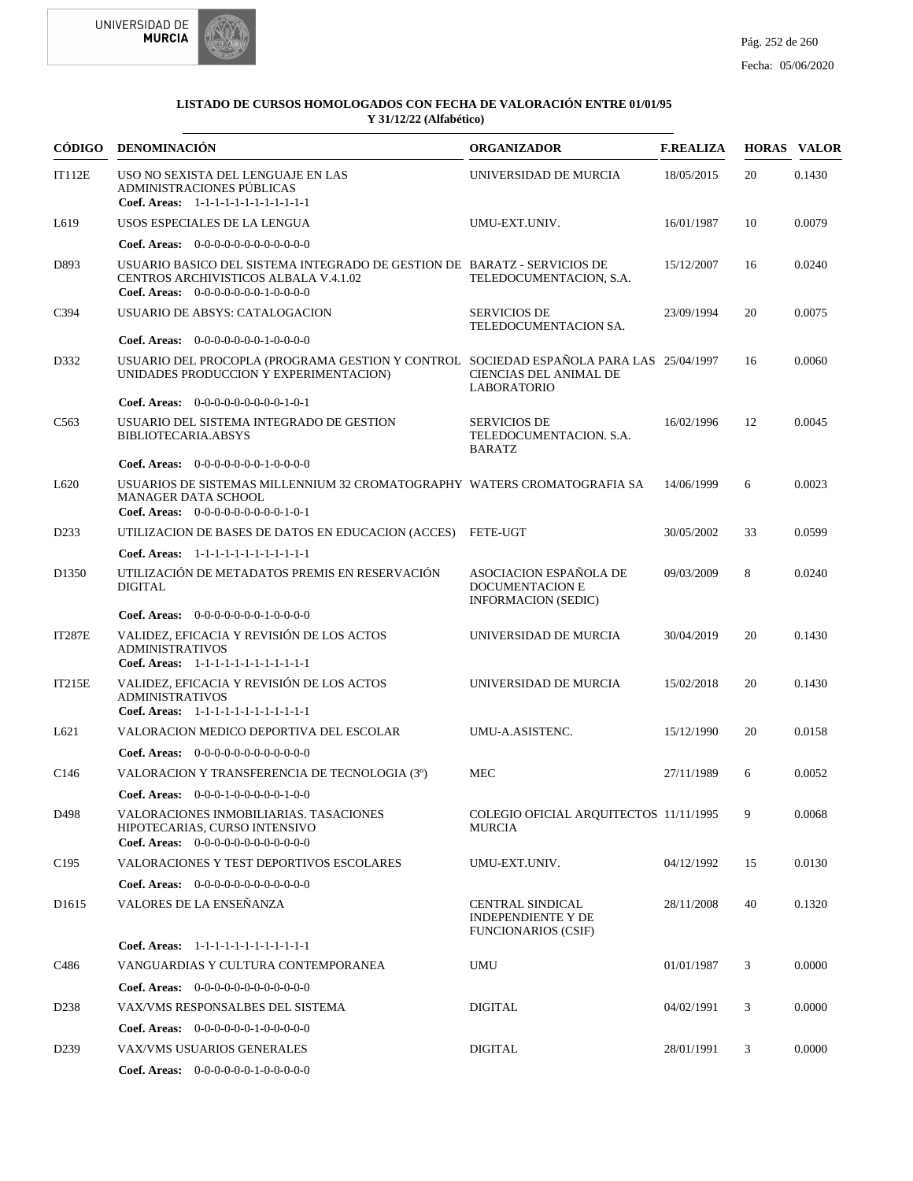



| CÓDIGO            | <b>DENOMINACIÓN</b>                                                                                                                                       | <b>ORGANIZADOR</b>                                                                 | <b>F.REALIZA</b> |    | <b>HORAS VALOR</b> |
|-------------------|-----------------------------------------------------------------------------------------------------------------------------------------------------------|------------------------------------------------------------------------------------|------------------|----|--------------------|
| IT112E            | USO NO SEXISTA DEL LENGUAJE EN LAS<br>ADMINISTRACIONES PÚBLICAS<br>Coef. Areas: 1-1-1-1-1-1-1-1-1-1-1-1-1                                                 | UNIVERSIDAD DE MURCIA                                                              | 18/05/2015       | 20 | 0.1430             |
| L <sub>619</sub>  | USOS ESPECIALES DE LA LENGUA                                                                                                                              | UMU-EXT.UNIV.                                                                      | 16/01/1987       | 10 | 0.0079             |
|                   | Coef. Areas: $0-0-0-0-0-0-0-0-0-0-0-0$                                                                                                                    |                                                                                    |                  |    |                    |
| D893              | USUARIO BASICO DEL SISTEMA INTEGRADO DE GESTION DE BARATZ - SERVICIOS DE<br>CENTROS ARCHIVISTICOS ALBALA V.4.1.02<br>Coef. Areas: $0-0-0-0-0-0-1-0-0-0-0$ | TELEDOCUMENTACION, S.A.                                                            | 15/12/2007       | 16 | 0.0240             |
| C394              | USUARIO DE ABSYS: CATALOGACION                                                                                                                            | <b>SERVICIOS DE</b><br>TELEDOCUMENTACION SA.                                       | 23/09/1994       | 20 | 0.0075             |
|                   | Coef. Areas: $0-0-0-0-0-0-1-0-0-0-0$                                                                                                                      |                                                                                    |                  |    |                    |
| D332              | USUARIO DEL PROCOPLA (PROGRAMA GESTION Y CONTROL SOCIEDAD ESPAÑOLA PARA LAS 25/04/1997<br>UNIDADES PRODUCCION Y EXPERIMENTACION)                          | CIENCIAS DEL ANIMAL DE<br><b>LABORATORIO</b>                                       |                  | 16 | 0.0060             |
|                   | Coef. Areas: $0-0-0-0-0-0-0-0-1-0-1$                                                                                                                      |                                                                                    |                  |    |                    |
| C <sub>563</sub>  | USUARIO DEL SISTEMA INTEGRADO DE GESTION<br><b>BIBLIOTECARIA.ABSYS</b>                                                                                    | <b>SERVICIOS DE</b><br>TELEDOCUMENTACION. S.A.<br><b>BARATZ</b>                    | 16/02/1996       | 12 | 0.0045             |
|                   | Coef. Areas: $0-0-0-0-0-0-1-0-0-0-0$                                                                                                                      |                                                                                    |                  |    |                    |
| L620              | USUARIOS DE SISTEMAS MILLENNIUM 32 CROMATOGRAPHY WATERS CROMATOGRAFIA SA<br><b>MANAGER DATA SCHOOL</b><br>Coef. Areas: $0-0-0-0-0-0-0-0-1-0-1$            |                                                                                    | 14/06/1999       | 6  | 0.0023             |
| D <sub>2</sub> 33 | UTILIZACION DE BASES DE DATOS EN EDUCACION (ACCES)                                                                                                        | FETE-UGT                                                                           | 30/05/2002       | 33 | 0.0599             |
|                   | Coef. Areas: 1-1-1-1-1-1-1-1-1-1-1-1-1                                                                                                                    |                                                                                    |                  |    |                    |
| D <sub>1350</sub> | UTILIZACIÓN DE METADATOS PREMIS EN RESERVACIÓN<br><b>DIGITAL</b>                                                                                          | ASOCIACION ESPAÑOLA DE<br><b>DOCUMENTACION E</b><br><b>INFORMACION (SEDIC)</b>     | 09/03/2009       | 8  | 0.0240             |
|                   | Coef. Areas: 0-0-0-0-0-0-0-1-0-0-0-0                                                                                                                      |                                                                                    |                  |    |                    |
| <b>IT287E</b>     | VALIDEZ, EFICACIA Y REVISIÓN DE LOS ACTOS<br><b>ADMINISTRATIVOS</b><br>Coef. Areas: 1-1-1-1-1-1-1-1-1-1-1-1-1                                             | UNIVERSIDAD DE MURCIA                                                              | 30/04/2019       | 20 | 0.1430             |
| IT215E            | VALIDEZ, EFICACIA Y REVISIÓN DE LOS ACTOS<br><b>ADMINISTRATIVOS</b><br>Coef. Areas: 1-1-1-1-1-1-1-1-1-1-1-1-1                                             | UNIVERSIDAD DE MURCIA                                                              | 15/02/2018       | 20 | 0.1430             |
| L621              | VALORACION MEDICO DEPORTIVA DEL ESCOLAR                                                                                                                   | UMU-A.ASISTENC.                                                                    | 15/12/1990       | 20 | 0.0158             |
|                   | <b>Coef. Areas:</b> $0-0-0-0-0-0-0-0-0-0-0-0$                                                                                                             |                                                                                    |                  |    |                    |
| C <sub>146</sub>  | VALORACION Y TRANSFERENCIA DE TECNOLOGIA (3°)                                                                                                             | <b>MEC</b>                                                                         | 27/11/1989       | 6  | 0.0052             |
|                   | Coef. Areas: $0-0-0-1-0-0-0-0-1-0-0$                                                                                                                      |                                                                                    |                  |    |                    |
| D498              | VALORACIONES INMOBILIARIAS. TASACIONES<br>HIPOTECARIAS, CURSO INTENSIVO<br>Coef. Areas: $0-0-0-0-0-0-0-0-0-0-0-0$                                         | COLEGIO OFICIAL ARQUITECTOS 11/11/1995<br><b>MURCIA</b>                            |                  | 9  | 0.0068             |
| C <sub>195</sub>  | VALORACIONES Y TEST DEPORTIVOS ESCOLARES                                                                                                                  | UMU-EXT.UNIV.                                                                      | 04/12/1992       | 15 | 0.0130             |
|                   | Coef. Areas: $0-0-0-0-0-0-0-0-0-0-0-0$                                                                                                                    |                                                                                    |                  |    |                    |
| D <sub>1615</sub> | VALORES DE LA ENSEÑANZA                                                                                                                                   | <b>CENTRAL SINDICAL</b><br><b>INDEPENDIENTE Y DE</b><br><b>FUNCIONARIOS (CSIF)</b> | 28/11/2008       | 40 | 0.1320             |
|                   | Coef. Areas: 1-1-1-1-1-1-1-1-1-1-1-1-1                                                                                                                    |                                                                                    |                  |    |                    |
| C486              | VANGUARDIAS Y CULTURA CONTEMPORANEA                                                                                                                       | <b>UMU</b>                                                                         | 01/01/1987       | 3  | 0.0000             |
|                   | <b>Coef. Areas:</b> $0-0-0-0-0-0-0-0-0-0-0$                                                                                                               |                                                                                    |                  |    |                    |
| D <sub>238</sub>  | VAX/VMS RESPONSALBES DEL SISTEMA                                                                                                                          | DIGITAL                                                                            | 04/02/1991       | 3  | 0.0000             |
|                   | <b>Coef. Areas:</b> $0-0-0-0-0-1-0-0-0-0-0$                                                                                                               |                                                                                    |                  |    |                    |
| D <sub>239</sub>  | VAX/VMS USUARIOS GENERALES                                                                                                                                | <b>DIGITAL</b>                                                                     | 28/01/1991       | 3  | 0.0000             |
|                   | Coef. Areas: 0-0-0-0-0-0-1-0-0-0-0-0                                                                                                                      |                                                                                    |                  |    |                    |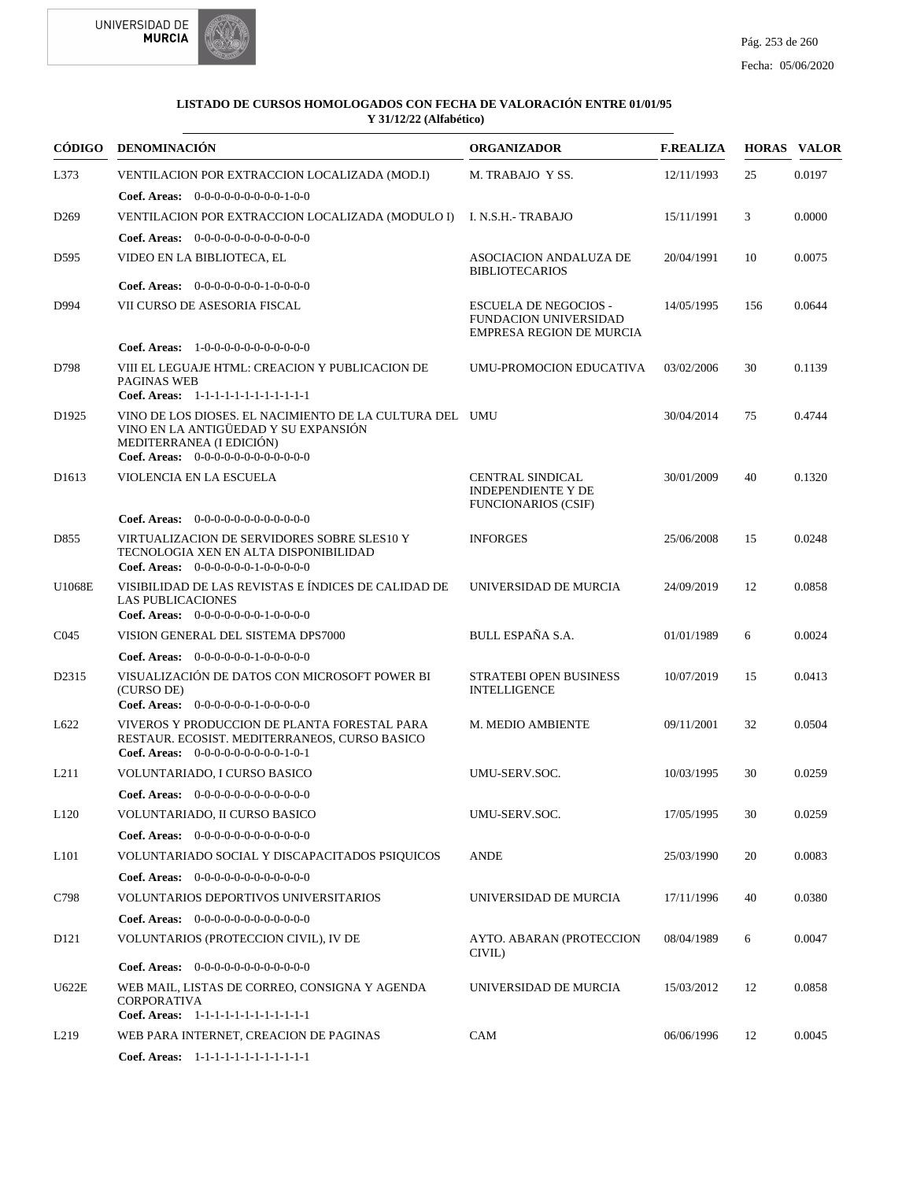



|                   | CÓDIGO DENOMINACIÓN                                                                                                                                                   | <b>ORGANIZADOR</b>                                                                              | <b>F.REALIZA</b> |     | <b>HORAS VALOR</b> |
|-------------------|-----------------------------------------------------------------------------------------------------------------------------------------------------------------------|-------------------------------------------------------------------------------------------------|------------------|-----|--------------------|
| L373              | VENTILACION POR EXTRACCION LOCALIZADA (MOD.I)                                                                                                                         | M. TRABAJO Y SS.                                                                                | 12/11/1993       | 25  | 0.0197             |
|                   | <b>Coef. Areas:</b> $0-0-0-0-0-0-0-0-1-0-0$                                                                                                                           |                                                                                                 |                  |     |                    |
| D <sub>269</sub>  | VENTILACION POR EXTRACCION LOCALIZADA (MODULO I)                                                                                                                      | I. N.S.H.- TRABAJO                                                                              | 15/11/1991       | 3   | 0.0000             |
|                   | Coef. Areas: $0-0-0-0-0-0-0-0-0-0-0$                                                                                                                                  |                                                                                                 |                  |     |                    |
| D <sub>595</sub>  | VIDEO EN LA BIBLIOTECA, EL                                                                                                                                            | ASOCIACION ANDALUZA DE<br><b>BIBLIOTECARIOS</b>                                                 | 20/04/1991       | 10  | 0.0075             |
|                   | <b>Coef. Areas:</b> $0-0-0-0-0-0-1-0-0-0-0$                                                                                                                           |                                                                                                 |                  |     |                    |
| D994              | VII CURSO DE ASESORIA FISCAL                                                                                                                                          | <b>ESCUELA DE NEGOCIOS -</b><br><b>FUNDACION UNIVERSIDAD</b><br><b>EMPRESA REGION DE MURCIA</b> | 14/05/1995       | 156 | 0.0644             |
|                   | <b>Coef. Areas:</b> $1-0-0-0-0-0-0-0-0-0-0-0$                                                                                                                         |                                                                                                 |                  |     |                    |
| D798              | VIII EL LEGUAJE HTML: CREACION Y PUBLICACION DE<br>PAGINAS WEB<br>Coef. Areas: 1-1-1-1-1-1-1-1-1-1-1-1-1                                                              | UMU-PROMOCION EDUCATIVA                                                                         | 03/02/2006       | 30  | 0.1139             |
| D <sub>1925</sub> | VINO DE LOS DIOSES. EL NACIMIENTO DE LA CULTURA DEL UMU<br>VINO EN LA ANTIGÜEDAD Y SU EXPANSIÓN<br>MEDITERRANEA (I EDICIÓN)<br>Coef. Areas: 0-0-0-0-0-0-0-0-0-0-0-0-0 |                                                                                                 | 30/04/2014       | 75  | 0.4744             |
| D <sub>1613</sub> | VIOLENCIA EN LA ESCUELA                                                                                                                                               | <b>CENTRAL SINDICAL</b><br><b>INDEPENDIENTE Y DE</b><br><b>FUNCIONARIOS (CSIF)</b>              | 30/01/2009       | 40  | 0.1320             |
|                   | <b>Coef. Areas:</b> $0-0-0-0-0-0-0-0-0-0-0-0$                                                                                                                         |                                                                                                 |                  |     |                    |
| D855              | VIRTUALIZACION DE SERVIDORES SOBRE SLES10 Y<br>TECNOLOGIA XEN EN ALTA DISPONIBILIDAD<br>Coef. Areas: $0-0-0-0-0-1-0-0-0-0-0$                                          | <b>INFORGES</b>                                                                                 | 25/06/2008       | 15  | 0.0248             |
| U1068E            | VISIBILIDAD DE LAS REVISTAS E ÍNDICES DE CALIDAD DE<br><b>LAS PUBLICACIONES</b><br><b>Coef. Areas:</b> $0-0-0-0-0-0-1-0-0-0-0$                                        | UNIVERSIDAD DE MURCIA                                                                           | 24/09/2019       | 12  | 0.0858             |
| CO <sub>45</sub>  | VISION GENERAL DEL SISTEMA DPS7000                                                                                                                                    | BULL ESPAÑA S.A.                                                                                | 01/01/1989       | 6   | 0.0024             |
|                   | <b>Coef. Areas:</b> $0-0-0-0-0-1-0-0-0-0-0$                                                                                                                           |                                                                                                 |                  |     |                    |
| D2315             | VISUALIZACIÓN DE DATOS CON MICROSOFT POWER BI<br>(CURSO DE)<br>Coef. Areas: $0-0-0-0-0-1-0-0-0-0-0$                                                                   | <b>STRATEBI OPEN BUSINESS</b><br><b>INTELLIGENCE</b>                                            | 10/07/2019       | 15  | 0.0413             |
| L622              | VIVEROS Y PRODUCCION DE PLANTA FORESTAL PARA<br>RESTAUR. ECOSIST. MEDITERRANEOS, CURSO BASICO<br><b>Coef. Areas:</b> $0-0-0-0-0-0-0-0-1-0-1$                          | M. MEDIO AMBIENTE                                                                               | 09/11/2001       | 32  | 0.0504             |
| L <sub>211</sub>  | VOLUNTARIADO, I CURSO BASICO                                                                                                                                          | UMU-SERV.SOC.                                                                                   | 10/03/1995       | 30  | 0.0259             |
|                   | <b>Coef. Areas:</b> $0-0-0-0-0-0-0-0-0-0-0-0$                                                                                                                         |                                                                                                 |                  |     |                    |
| L <sub>120</sub>  | VOLUNTARIADO, II CURSO BASICO                                                                                                                                         | UMU-SERV.SOC.                                                                                   | 17/05/1995       | 30  | 0.0259             |
|                   | Coef. Areas: $0-0-0-0-0-0-0-0-0-0-0$                                                                                                                                  |                                                                                                 |                  |     |                    |
| L <sub>101</sub>  | VOLUNTARIADO SOCIAL Y DISCAPACITADOS PSIQUICOS                                                                                                                        | <b>ANDE</b>                                                                                     | 25/03/1990       | 20  | 0.0083             |
|                   | <b>Coef. Areas:</b> $0-0-0-0-0-0-0-0-0-0-0-0$                                                                                                                         |                                                                                                 |                  |     |                    |
| C798              | VOLUNTARIOS DEPORTIVOS UNIVERSITARIOS                                                                                                                                 | UNIVERSIDAD DE MURCIA                                                                           | 17/11/1996       | 40  | 0.0380             |
|                   | Coef. Areas: $0-0-0-0-0-0-0-0-0-0-0-0$                                                                                                                                |                                                                                                 |                  |     |                    |
| D <sub>121</sub>  | VOLUNTARIOS (PROTECCION CIVIL), IV DE                                                                                                                                 | AYTO. ABARAN (PROTECCION<br>CIVIL)                                                              | 08/04/1989       | 6   | 0.0047             |
|                   | <b>Coef. Areas:</b> $0-0-0-0-0-0-0-0-0-0-0$                                                                                                                           |                                                                                                 |                  |     |                    |
| U622E             | WEB MAIL, LISTAS DE CORREO, CONSIGNA Y AGENDA<br><b>CORPORATIVA</b><br>Coef. Areas: 1-1-1-1-1-1-1-1-1-1-1-1-1                                                         | UNIVERSIDAD DE MURCIA                                                                           | 15/03/2012       | 12  | 0.0858             |
| L <sub>2</sub> 19 | WEB PARA INTERNET, CREACION DE PAGINAS                                                                                                                                | CAM                                                                                             | 06/06/1996       | 12  | 0.0045             |
|                   | Coef. Areas: 1-1-1-1-1-1-1-1-1-1-1-1-1                                                                                                                                |                                                                                                 |                  |     |                    |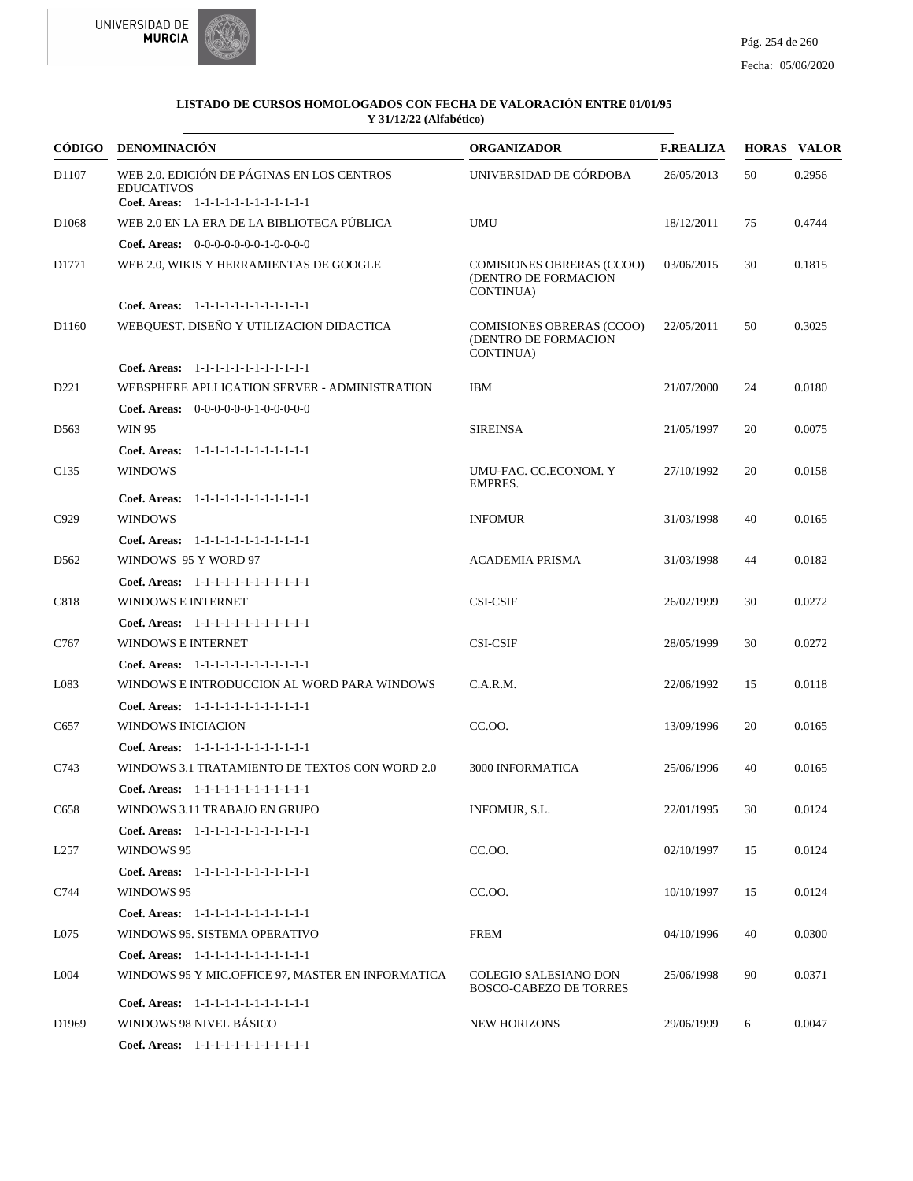



| <b>CÓDIGO</b>     | <b>DENOMINACIÓN</b>                                                             | <b>ORGANIZADOR</b>                                                            | <b>F.REALIZA</b> |    | <b>HORAS VALOR</b> |
|-------------------|---------------------------------------------------------------------------------|-------------------------------------------------------------------------------|------------------|----|--------------------|
| D1107             | WEB 2.0. EDICIÓN DE PÁGINAS EN LOS CENTROS<br><b>EDUCATIVOS</b>                 | UNIVERSIDAD DE CÓRDOBA                                                        | 26/05/2013       | 50 | 0.2956             |
|                   | Coef. Areas: 1-1-1-1-1-1-1-1-1-1-1-1-1                                          |                                                                               |                  |    |                    |
| D <sub>1068</sub> | WEB 2.0 EN LA ERA DE LA BIBLIOTECA PÚBLICA                                      | <b>UMU</b>                                                                    | 18/12/2011       | 75 | 0.4744             |
| D1771             | Coef. Areas: $0-0-0-0-0-0-1-0-0-0-0$<br>WEB 2.0, WIKIS Y HERRAMIENTAS DE GOOGLE | <b>COMISIONES OBRERAS (CCOO)</b><br>(DENTRO DE FORMACION<br>CONTINUA)         | 03/06/2015       | 30 | 0.1815             |
|                   | Coef. Areas: 1-1-1-1-1-1-1-1-1-1-1-1-1                                          |                                                                               |                  |    |                    |
| D1160             | WEBQUEST. DISEÑO Y UTILIZACION DIDACTICA                                        | <b>COMISIONES OBRERAS (CCOO)</b><br>(DENTRO DE FORMACION<br><b>CONTINUA</b> ) | 22/05/2011       | 50 | 0.3025             |
|                   | Coef. Areas: $1-1-1-1-1-1-1-1-1-1-1$                                            |                                                                               |                  |    |                    |
| D <sub>221</sub>  | WEBSPHERE APLLICATION SERVER - ADMINISTRATION                                   | <b>IBM</b>                                                                    | 21/07/2000       | 24 | 0.0180             |
|                   | Coef. Areas: $0-0-0-0-0-1-0-0-0-0-0$                                            |                                                                               |                  |    |                    |
| D <sub>563</sub>  | <b>WIN 95</b>                                                                   | <b>SIREINSA</b>                                                               | 21/05/1997       | 20 | 0.0075             |
|                   | Coef. Areas: 1-1-1-1-1-1-1-1-1-1-1-1-1                                          |                                                                               |                  |    |                    |
| C <sub>135</sub>  | <b>WINDOWS</b>                                                                  | UMU-FAC. CC.ECONOM. Y<br>EMPRES.                                              | 27/10/1992       | 20 | 0.0158             |
|                   | Coef. Areas: 1-1-1-1-1-1-1-1-1-1-1-1-1                                          |                                                                               |                  |    |                    |
| C929              | <b>WINDOWS</b>                                                                  | <b>INFOMUR</b>                                                                | 31/03/1998       | 40 | 0.0165             |
|                   | Coef. Areas: 1-1-1-1-1-1-1-1-1-1-1-1-1                                          |                                                                               |                  |    |                    |
| D <sub>562</sub>  | WINDOWS 95 Y WORD 97                                                            | <b>ACADEMIA PRISMA</b>                                                        | 31/03/1998       | 44 | 0.0182             |
|                   | Coef. Areas: 1-1-1-1-1-1-1-1-1-1-1-1-1                                          |                                                                               |                  |    |                    |
| C818              | WINDOWS E INTERNET                                                              | <b>CSI-CSIF</b>                                                               | 26/02/1999       | 30 | 0.0272             |
|                   | Coef. Areas: 1-1-1-1-1-1-1-1-1-1-1-1-1                                          |                                                                               |                  |    |                    |
| C767              | <b>WINDOWS E INTERNET</b>                                                       | <b>CSI-CSIF</b>                                                               | 28/05/1999       | 30 | 0.0272             |
|                   | Coef. Areas: $1-1-1-1-1-1-1-1-1-1-1$                                            |                                                                               |                  |    |                    |
| L083              | WINDOWS E INTRODUCCION AL WORD PARA WINDOWS                                     | C.A.R.M.                                                                      | 22/06/1992       | 15 | 0.0118             |
|                   | Coef. Areas: 1-1-1-1-1-1-1-1-1-1-1-1-1                                          |                                                                               |                  |    |                    |
| C657              | WINDOWS INICIACION                                                              | CC.OO.                                                                        | 13/09/1996       | 20 | 0.0165             |
|                   | Coef. Areas: 1-1-1-1-1-1-1-1-1-1-1-1-1                                          |                                                                               |                  |    |                    |
| C743              | WINDOWS 3.1 TRATAMIENTO DE TEXTOS CON WORD 2.0                                  | <b>3000 INFORMATICA</b>                                                       | 25/06/1996       | 40 | 0.0165             |
|                   | Coef. Areas: 1-1-1-1-1-1-1-1-1-1-1-1-1                                          |                                                                               |                  |    |                    |
| C658              | WINDOWS 3.11 TRABAJO EN GRUPO                                                   | INFOMUR, S.L.                                                                 | 22/01/1995       | 30 | 0.0124             |
|                   | Coef. Areas: 1-1-1-1-1-1-1-1-1-1-1-1-1                                          |                                                                               |                  |    |                    |
| L <sub>257</sub>  | WINDOWS 95                                                                      | CC.OO.                                                                        | 02/10/1997       | 15 | 0.0124             |
|                   | Coef. Areas: 1-1-1-1-1-1-1-1-1-1-1-1-1                                          |                                                                               |                  |    |                    |
| C744              | WINDOWS 95                                                                      | CC.OO.                                                                        | 10/10/1997       | 15 | 0.0124             |
|                   | Coef. Areas: 1-1-1-1-1-1-1-1-1-1-1-1-1                                          |                                                                               |                  |    |                    |
| L075              | WINDOWS 95. SISTEMA OPERATIVO                                                   | <b>FREM</b>                                                                   | 04/10/1996       | 40 | 0.0300             |
|                   | Coef. Areas: 1-1-1-1-1-1-1-1-1-1-1-1-1                                          |                                                                               |                  |    |                    |
| L <sub>004</sub>  | WINDOWS 95 Y MIC.OFFICE 97, MASTER EN INFORMATICA                               | <b>COLEGIO SALESIANO DON</b><br><b>BOSCO-CABEZO DE TORRES</b>                 | 25/06/1998       | 90 | 0.0371             |
|                   | Coef. Areas: 1-1-1-1-1-1-1-1-1-1-1-1-1                                          |                                                                               |                  |    |                    |
| D <sub>1969</sub> | WINDOWS 98 NIVEL BÁSICO                                                         | <b>NEW HORIZONS</b>                                                           | 29/06/1999       | 6  | 0.0047             |
|                   | Coef. Areas: 1-1-1-1-1-1-1-1-1-1-1-1-1                                          |                                                                               |                  |    |                    |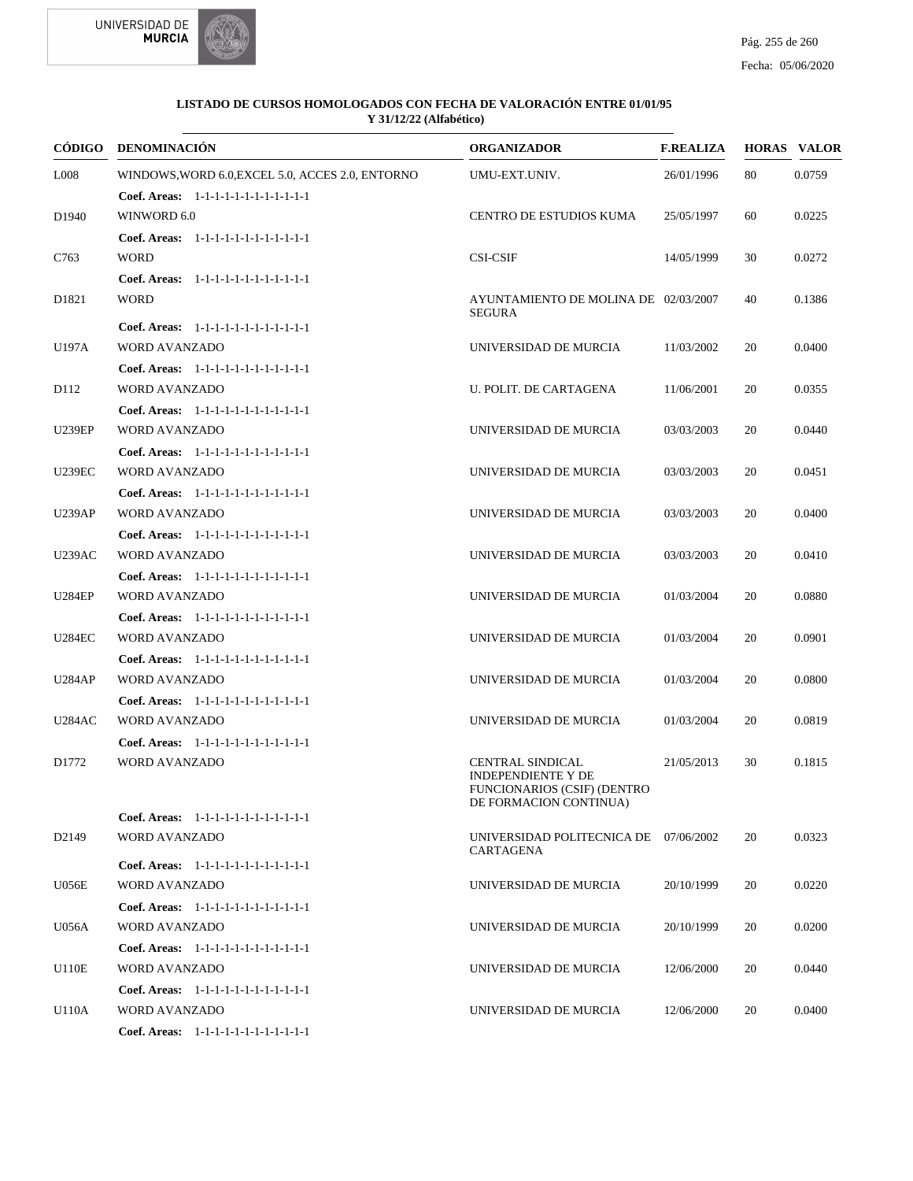



|                   | CÓDIGO DENOMINACIÓN                              | <b>ORGANIZADOR</b>                                                                                            | <b>F.REALIZA</b> |    | <b>HORAS VALOR</b> |
|-------------------|--------------------------------------------------|---------------------------------------------------------------------------------------------------------------|------------------|----|--------------------|
| L008              | WINDOWS, WORD 6.0, EXCEL 5.0, ACCES 2.0, ENTORNO | UMU-EXT.UNIV.                                                                                                 | 26/01/1996       | 80 | 0.0759             |
|                   | Coef. Areas: 1-1-1-1-1-1-1-1-1-1-1-1-1           |                                                                                                               |                  |    |                    |
| D <sub>1940</sub> | WINWORD 6.0                                      | CENTRO DE ESTUDIOS KUMA                                                                                       | 25/05/1997       | 60 | 0.0225             |
|                   | Coef. Areas: 1-1-1-1-1-1-1-1-1-1-1-1-1           |                                                                                                               |                  |    |                    |
| C763              | <b>WORD</b>                                      | <b>CSI-CSIF</b>                                                                                               | 14/05/1999       | 30 | 0.0272             |
|                   | Coef. Areas: 1-1-1-1-1-1-1-1-1-1-1-1-1           |                                                                                                               |                  |    |                    |
| D1821             | <b>WORD</b>                                      | AYUNTAMIENTO DE MOLINA DE 02/03/2007<br><b>SEGURA</b>                                                         |                  | 40 | 0.1386             |
|                   | Coef. Areas: 1-1-1-1-1-1-1-1-1-1-1-1-1           |                                                                                                               |                  |    |                    |
| U197A             | <b>WORD AVANZADO</b>                             | UNIVERSIDAD DE MURCIA                                                                                         | 11/03/2002       | 20 | 0.0400             |
|                   | Coef. Areas: $1-1-1-1-1-1-1-1-1-1-1$             |                                                                                                               |                  |    |                    |
| D112              | <b>WORD AVANZADO</b>                             | U. POLIT. DE CARTAGENA                                                                                        | 11/06/2001       | 20 | 0.0355             |
|                   | Coef. Areas: $1-1-1-1-1-1-1-1-1-1-1$             |                                                                                                               |                  |    |                    |
| <b>U239EP</b>     | <b>WORD AVANZADO</b>                             | UNIVERSIDAD DE MURCIA                                                                                         | 03/03/2003       | 20 | 0.0440             |
|                   | Coef. Areas: 1-1-1-1-1-1-1-1-1-1-1-1-1           |                                                                                                               |                  |    |                    |
| <b>U239EC</b>     | <b>WORD AVANZADO</b>                             | UNIVERSIDAD DE MURCIA                                                                                         | 03/03/2003       | 20 | 0.0451             |
|                   | Coef. Areas: $1-1-1-1-1-1-1-1-1-1-1$             |                                                                                                               |                  |    |                    |
| <b>U239AP</b>     | <b>WORD AVANZADO</b>                             | UNIVERSIDAD DE MURCIA                                                                                         | 03/03/2003       | 20 | 0.0400             |
|                   | Coef. Areas: 1-1-1-1-1-1-1-1-1-1-1-1-1           |                                                                                                               |                  |    |                    |
| <b>U239AC</b>     | <b>WORD AVANZADO</b>                             | UNIVERSIDAD DE MURCIA                                                                                         | 03/03/2003       | 20 | 0.0410             |
|                   | Coef. Areas: 1-1-1-1-1-1-1-1-1-1-1-1-1           |                                                                                                               |                  |    |                    |
| <b>U284EP</b>     | <b>WORD AVANZADO</b>                             | UNIVERSIDAD DE MURCIA                                                                                         | 01/03/2004       | 20 | 0.0880             |
|                   | Coef. Areas: 1-1-1-1-1-1-1-1-1-1-1-1-1           |                                                                                                               |                  |    |                    |
| <b>U284EC</b>     | <b>WORD AVANZADO</b>                             | UNIVERSIDAD DE MURCIA                                                                                         | 01/03/2004       | 20 | 0.0901             |
|                   | Coef. Areas: $1-1-1-1-1-1-1-1-1-1-1$             |                                                                                                               |                  |    |                    |
| <b>U284AP</b>     | <b>WORD AVANZADO</b>                             | UNIVERSIDAD DE MURCIA                                                                                         | 01/03/2004       | 20 | 0.0800             |
|                   | Coef. Areas: 1-1-1-1-1-1-1-1-1-1-1-1-1           |                                                                                                               |                  |    |                    |
| <b>U284AC</b>     | <b>WORD AVANZADO</b>                             | UNIVERSIDAD DE MURCIA                                                                                         | 01/03/2004       | 20 | 0.0819             |
|                   | Coef. Areas: 1-1-1-1-1-1-1-1-1-1-1-1-1           |                                                                                                               |                  |    |                    |
| D <sub>1772</sub> | <b>WORD AVANZADO</b>                             | <b>CENTRAL SINDICAL</b><br><b>INDEPENDIENTE Y DE</b><br>FUNCIONARIOS (CSIF) (DENTRO<br>DE FORMACION CONTINUA) | 21/05/2013       | 30 | 0.1815             |
|                   | Coef. Areas: 1-1-1-1-1-1-1-1-1-1-1-1-1           |                                                                                                               |                  |    |                    |
| D2149             | <b>WORD AVANZADO</b>                             | UNIVERSIDAD POLITECNICA DE 07/06/2002<br>CARTAGENA                                                            |                  | 20 | 0.0323             |
|                   | Coef. Areas: 1-1-1-1-1-1-1-1-1-1-1-1-1           |                                                                                                               |                  |    |                    |
| <b>U056E</b>      | <b>WORD AVANZADO</b>                             | UNIVERSIDAD DE MURCIA                                                                                         | 20/10/1999       | 20 | 0.0220             |
|                   | Coef. Areas: 1-1-1-1-1-1-1-1-1-1-1-1-1           |                                                                                                               |                  |    |                    |
| U056A             | <b>WORD AVANZADO</b>                             | UNIVERSIDAD DE MURCIA                                                                                         | 20/10/1999       | 20 | 0.0200             |
|                   | Coef. Areas: 1-1-1-1-1-1-1-1-1-1-1-1-1           |                                                                                                               |                  |    |                    |
| U110E             | <b>WORD AVANZADO</b>                             | UNIVERSIDAD DE MURCIA                                                                                         | 12/06/2000       | 20 | 0.0440             |
|                   | Coef. Areas: 1-1-1-1-1-1-1-1-1-1-1-1-1           |                                                                                                               |                  |    |                    |
| U110A             | <b>WORD AVANZADO</b>                             | UNIVERSIDAD DE MURCIA                                                                                         | 12/06/2000       | 20 | 0.0400             |
|                   | Coef. Areas: 1-1-1-1-1-1-1-1-1-1-1-1-1           |                                                                                                               |                  |    |                    |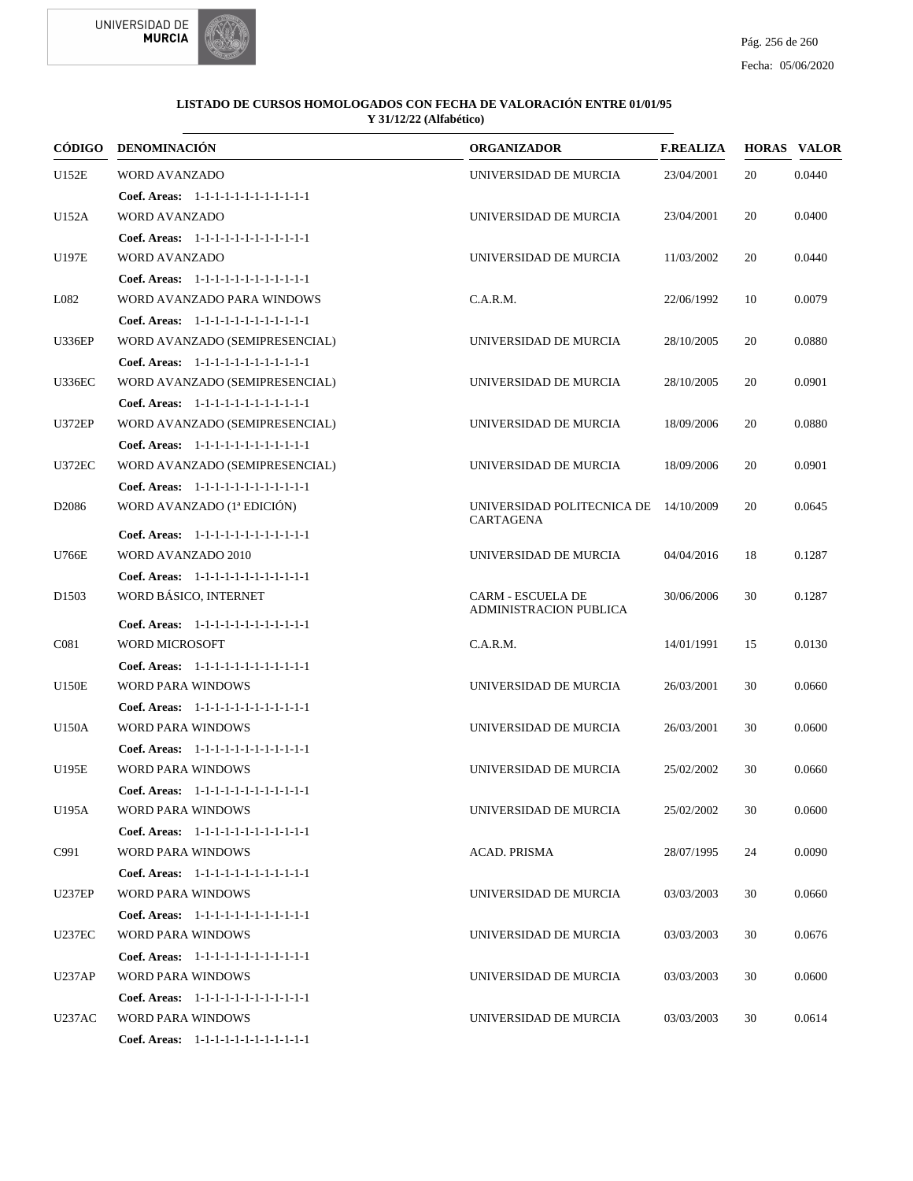



| CÓDIGO            | <b>DENOMINACIÓN</b>                    | <b>ORGANIZADOR</b>                                        | <b>F.REALIZA</b> |    | <b>HORAS VALOR</b> |
|-------------------|----------------------------------------|-----------------------------------------------------------|------------------|----|--------------------|
| <b>U152E</b>      | <b>WORD AVANZADO</b>                   | UNIVERSIDAD DE MURCIA                                     | 23/04/2001       | 20 | 0.0440             |
|                   | Coef. Areas: $1-1-1-1-1-1-1-1-1-1-1$   |                                                           |                  |    |                    |
| U152A             | <b>WORD AVANZADO</b>                   | UNIVERSIDAD DE MURCIA                                     | 23/04/2001       | 20 | 0.0400             |
|                   | Coef. Areas: 1-1-1-1-1-1-1-1-1-1-1-1-1 |                                                           |                  |    |                    |
| U197E             | <b>WORD AVANZADO</b>                   | UNIVERSIDAD DE MURCIA                                     | 11/03/2002       | 20 | 0.0440             |
|                   | Coef. Areas: 1-1-1-1-1-1-1-1-1-1-1-1-1 |                                                           |                  |    |                    |
| L082              | WORD AVANZADO PARA WINDOWS             | C.A.R.M.                                                  | 22/06/1992       | 10 | 0.0079             |
|                   | Coef. Areas: 1-1-1-1-1-1-1-1-1-1-1-1-1 |                                                           |                  |    |                    |
| <b>U336EP</b>     | WORD AVANZADO (SEMIPRESENCIAL)         | UNIVERSIDAD DE MURCIA                                     | 28/10/2005       | 20 | 0.0880             |
|                   | Coef. Areas: 1-1-1-1-1-1-1-1-1-1-1-1-1 |                                                           |                  |    |                    |
| <b>U336EC</b>     | WORD AVANZADO (SEMIPRESENCIAL)         | UNIVERSIDAD DE MURCIA                                     | 28/10/2005       | 20 | 0.0901             |
|                   | Coef. Areas: $1-1-1-1-1-1-1-1-1-1-1$   |                                                           |                  |    |                    |
| <b>U372EP</b>     | WORD AVANZADO (SEMIPRESENCIAL)         | UNIVERSIDAD DE MURCIA                                     | 18/09/2006       | 20 | 0.0880             |
|                   | Coef. Areas: 1-1-1-1-1-1-1-1-1-1-1-1-1 |                                                           |                  |    |                    |
| <b>U372EC</b>     | WORD AVANZADO (SEMIPRESENCIAL)         | UNIVERSIDAD DE MURCIA                                     | 18/09/2006       | 20 | 0.0901             |
|                   | Coef. Areas: 1-1-1-1-1-1-1-1-1-1-1-1-1 |                                                           |                  |    |                    |
| D <sub>2086</sub> | WORD AVANZADO (1ª EDICIÓN)             | UNIVERSIDAD POLITECNICA DE 14/10/2009                     |                  | 20 | 0.0645             |
|                   | Coef. Areas: 1-1-1-1-1-1-1-1-1-1-1-1-1 | CARTAGENA                                                 |                  |    |                    |
| U766E             | WORD AVANZADO 2010                     | UNIVERSIDAD DE MURCIA                                     | 04/04/2016       | 18 | 0.1287             |
|                   | Coef. Areas: 1-1-1-1-1-1-1-1-1-1-1-1-1 |                                                           |                  |    |                    |
| D <sub>1503</sub> | WORD BÁSICO, INTERNET                  | <b>CARM - ESCUELA DE</b><br><b>ADMINISTRACION PUBLICA</b> | 30/06/2006       | 30 | 0.1287             |
|                   | Coef. Areas: $1-1-1-1-1-1-1-1-1-1-1$   |                                                           |                  |    |                    |
| C <sub>081</sub>  | <b>WORD MICROSOFT</b>                  | C.A.R.M.                                                  | 14/01/1991       | 15 | 0.0130             |
|                   | Coef. Areas: 1-1-1-1-1-1-1-1-1-1-1-1-1 |                                                           |                  |    |                    |
| <b>U150E</b>      | WORD PARA WINDOWS                      | UNIVERSIDAD DE MURCIA                                     | 26/03/2001       | 30 | 0.0660             |
|                   | Coef. Areas: 1-1-1-1-1-1-1-1-1-1-1-1-1 |                                                           |                  |    |                    |
| U150A             | <b>WORD PARA WINDOWS</b>               | UNIVERSIDAD DE MURCIA                                     | 26/03/2001       | 30 | 0.0600             |
|                   | Coef. Areas: 1-1-1-1-1-1-1-1-1-1-1-1-1 |                                                           |                  |    |                    |
| U195E             | WORD PARA WINDOWS                      | UNIVERSIDAD DE MURCIA                                     | 25/02/2002       | 30 | 0.0660             |
|                   | Coef. Areas: 1-1-1-1-1-1-1-1-1-1-1-1-1 |                                                           |                  |    |                    |
| U195A             | WORD PARA WINDOWS                      | UNIVERSIDAD DE MURCIA                                     | 25/02/2002       | 30 | 0.0600             |
|                   | Coef. Areas: $1-1-1-1-1-1-1-1-1-1-1$   |                                                           |                  |    |                    |
| C991              | <b>WORD PARA WINDOWS</b>               | ACAD. PRISMA                                              | 28/07/1995       | 24 | 0.0090             |
|                   | Coef. Areas: 1-1-1-1-1-1-1-1-1-1-1-1-1 |                                                           |                  |    |                    |
| <b>U237EP</b>     | WORD PARA WINDOWS                      | UNIVERSIDAD DE MURCIA                                     | 03/03/2003       | 30 | 0.0660             |
|                   | Coef. Areas: 1-1-1-1-1-1-1-1-1-1-1-1-1 |                                                           |                  |    |                    |
| <b>U237EC</b>     | <b>WORD PARA WINDOWS</b>               | UNIVERSIDAD DE MURCIA                                     | 03/03/2003       | 30 | 0.0676             |
|                   | Coef. Areas: 1-1-1-1-1-1-1-1-1-1-1-1-1 |                                                           |                  |    |                    |
| <b>U237AP</b>     | WORD PARA WINDOWS                      | UNIVERSIDAD DE MURCIA                                     | 03/03/2003       | 30 | 0.0600             |
|                   | Coef. Areas: 1-1-1-1-1-1-1-1-1-1-1-1-1 |                                                           |                  |    |                    |
| U237AC            | WORD PARA WINDOWS                      | UNIVERSIDAD DE MURCIA                                     | 03/03/2003       | 30 | 0.0614             |
|                   | Coef. Areas: 1-1-1-1-1-1-1-1-1-1-1-1-1 |                                                           |                  |    |                    |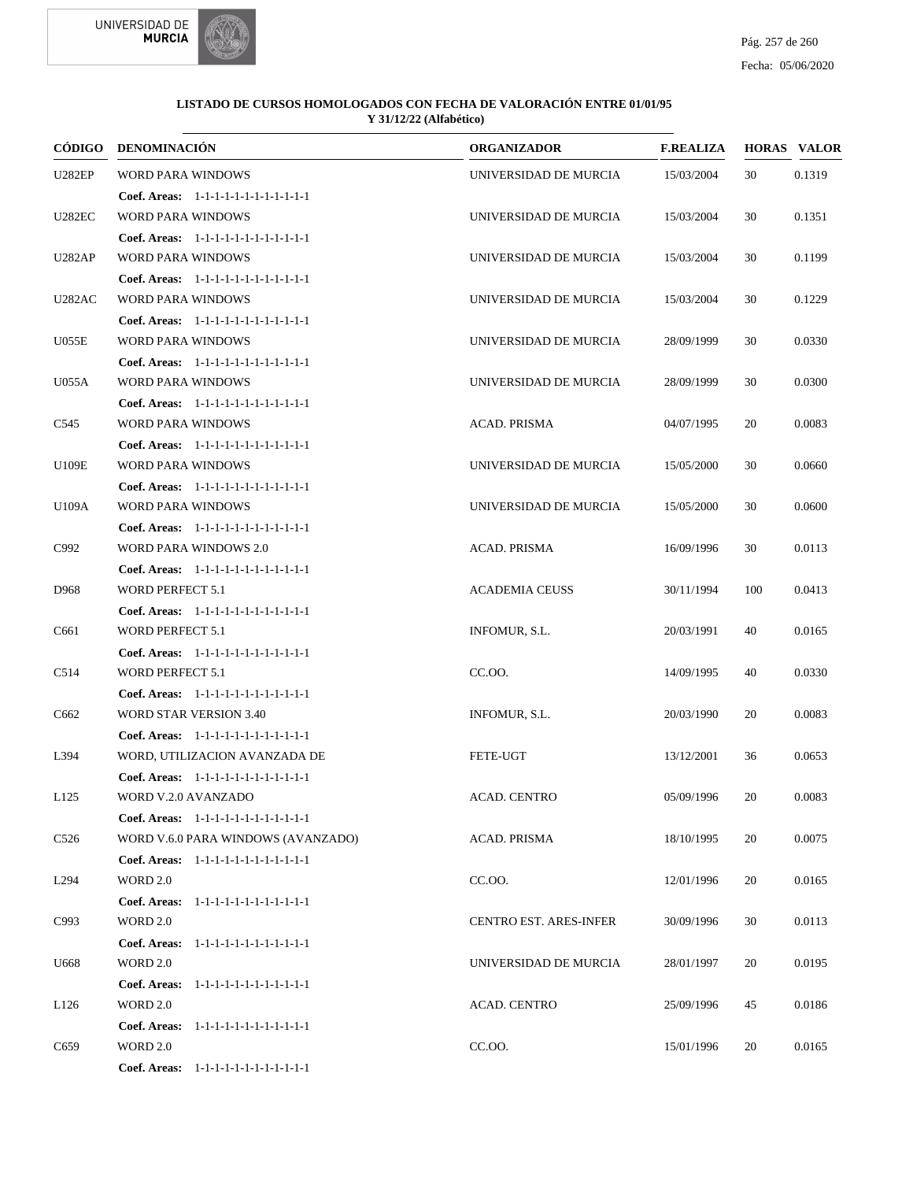



|                  | CÓDIGO DENOMINACIÓN                    | <b>ORGANIZADOR</b>            | <b>F.REALIZA</b> |     | <b>HORAS VALOR</b> |
|------------------|----------------------------------------|-------------------------------|------------------|-----|--------------------|
| <b>U282EP</b>    | <b>WORD PARA WINDOWS</b>               | UNIVERSIDAD DE MURCIA         | 15/03/2004       | 30  | 0.1319             |
|                  | Coef. Areas: 1-1-1-1-1-1-1-1-1-1-1-1-1 |                               |                  |     |                    |
| <b>U282EC</b>    | WORD PARA WINDOWS                      | UNIVERSIDAD DE MURCIA         | 15/03/2004       | 30  | 0.1351             |
|                  | Coef. Areas: 1-1-1-1-1-1-1-1-1-1-1-1-1 |                               |                  |     |                    |
| <b>U282AP</b>    | <b>WORD PARA WINDOWS</b>               | UNIVERSIDAD DE MURCIA         | 15/03/2004       | 30  | 0.1199             |
|                  | Coef. Areas: 1-1-1-1-1-1-1-1-1-1-1-1-1 |                               |                  |     |                    |
| U282AC           | <b>WORD PARA WINDOWS</b>               | UNIVERSIDAD DE MURCIA         | 15/03/2004       | 30  | 0.1229             |
|                  | Coef. Areas: 1-1-1-1-1-1-1-1-1-1-1-1-1 |                               |                  |     |                    |
| <b>U055E</b>     | <b>WORD PARA WINDOWS</b>               | UNIVERSIDAD DE MURCIA         | 28/09/1999       | 30  | 0.0330             |
|                  | Coef. Areas: 1-1-1-1-1-1-1-1-1-1-1-1-1 |                               |                  |     |                    |
| U055A            | <b>WORD PARA WINDOWS</b>               | UNIVERSIDAD DE MURCIA         | 28/09/1999       | 30  | 0.0300             |
|                  | Coef. Areas: 1-1-1-1-1-1-1-1-1-1-1-1-1 |                               |                  |     |                    |
| C545             | WORD PARA WINDOWS                      | ACAD. PRISMA                  | 04/07/1995       | 20  | 0.0083             |
|                  | Coef. Areas: 1-1-1-1-1-1-1-1-1-1-1-1-1 |                               |                  |     |                    |
| U109E            | <b>WORD PARA WINDOWS</b>               | UNIVERSIDAD DE MURCIA         | 15/05/2000       | 30  | 0.0660             |
|                  | Coef. Areas: 1-1-1-1-1-1-1-1-1-1-1-1-1 |                               |                  |     |                    |
| U109A            | <b>WORD PARA WINDOWS</b>               | UNIVERSIDAD DE MURCIA         | 15/05/2000       | 30  | 0.0600             |
|                  | Coef. Areas: 1-1-1-1-1-1-1-1-1-1-1-1-1 |                               |                  |     |                    |
| C992             | WORD PARA WINDOWS 2.0                  | ACAD. PRISMA                  | 16/09/1996       | 30  | 0.0113             |
|                  | Coef. Areas: 1-1-1-1-1-1-1-1-1-1-1-1-1 |                               |                  |     |                    |
| D968             | <b>WORD PERFECT 5.1</b>                | <b>ACADEMIA CEUSS</b>         | 30/11/1994       | 100 | 0.0413             |
|                  | Coef. Areas: 1-1-1-1-1-1-1-1-1-1-1-1-1 |                               |                  |     |                    |
| C661             | WORD PERFECT 5.1                       | INFOMUR, S.L.                 | 20/03/1991       | 40  | 0.0165             |
|                  | Coef. Areas: 1-1-1-1-1-1-1-1-1-1-1-1-1 |                               |                  |     |                    |
| C514             | WORD PERFECT 5.1                       | CC.OO.                        | 14/09/1995       | 40  | 0.0330             |
|                  | Coef. Areas: 1-1-1-1-1-1-1-1-1-1-1-1-1 |                               |                  |     |                    |
| C662             | <b>WORD STAR VERSION 3.40</b>          | INFOMUR, S.L.                 | 20/03/1990       | 20  | 0.0083             |
|                  | Coef. Areas: 1-1-1-1-1-1-1-1-1-1-1-1-1 |                               |                  |     |                    |
| L394             | WORD, UTILIZACION AVANZADA DE          | FETE-UGT                      | 13/12/2001       | 36  | 0.0653             |
|                  | Coef. Areas: 1-1-1-1-1-1-1-1-1-1-1-1-1 |                               |                  |     |                    |
| L <sub>125</sub> | WORD V.2.0 AVANZADO                    | <b>ACAD. CENTRO</b>           | 05/09/1996       | 20  | 0.0083             |
|                  | Coef. Areas: 1-1-1-1-1-1-1-1-1-1-1-1-1 |                               |                  |     |                    |
| C <sub>526</sub> | WORD V.6.0 PARA WINDOWS (AVANZADO)     | ACAD. PRISMA                  | 18/10/1995       | 20  | 0.0075             |
|                  | Coef. Areas: 1-1-1-1-1-1-1-1-1-1-1-1-1 |                               |                  |     |                    |
| L <sub>294</sub> | WORD 2.0                               | CC.00.                        | 12/01/1996       | 20  | 0.0165             |
|                  | Coef. Areas: 1-1-1-1-1-1-1-1-1-1-1-1-1 |                               |                  |     |                    |
| C993             | <b>WORD 2.0</b>                        | <b>CENTRO EST. ARES-INFER</b> | 30/09/1996       | 30  | 0.0113             |
|                  | Coef. Areas: 1-1-1-1-1-1-1-1-1-1-1-1-1 |                               |                  |     |                    |
| U668             | <b>WORD 2.0</b>                        | UNIVERSIDAD DE MURCIA         | 28/01/1997       | 20  | 0.0195             |
|                  | Coef. Areas: 1-1-1-1-1-1-1-1-1-1-1-1-1 |                               |                  |     |                    |
| L <sub>126</sub> | WORD 2.0                               | ACAD. CENTRO                  | 25/09/1996       | 45  | 0.0186             |
|                  | Coef. Areas: 1-1-1-1-1-1-1-1-1-1-1-1-1 |                               |                  |     |                    |
| C <sub>659</sub> | <b>WORD 2.0</b>                        | CC.00.                        | 15/01/1996       | 20  | 0.0165             |
|                  | Coef. Areas: 1-1-1-1-1-1-1-1-1-1-1-1-1 |                               |                  |     |                    |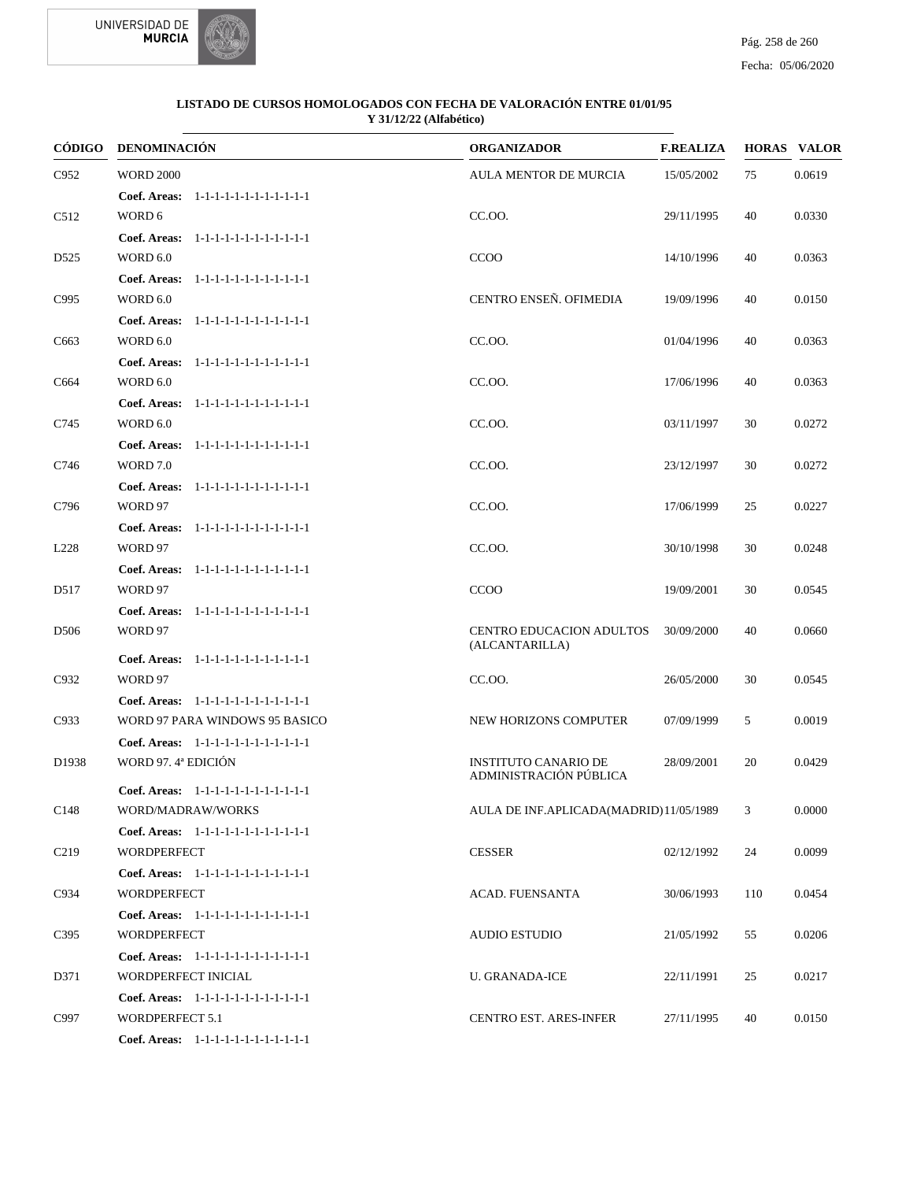



| CÓDIGO           | <b>DENOMINACIÓN</b>                                         | <b>ORGANIZADOR</b>                     | <b>F.REALIZA</b> |     | <b>HORAS VALOR</b> |
|------------------|-------------------------------------------------------------|----------------------------------------|------------------|-----|--------------------|
| C952             | <b>WORD 2000</b>                                            | <b>AULA MENTOR DE MURCIA</b>           | 15/05/2002       | 75  | 0.0619             |
|                  | Coef. Areas: 1-1-1-1-1-1-1-1-1-1-1-1-1                      |                                        |                  |     |                    |
| C <sub>512</sub> | WORD 6                                                      | CC.OO.                                 | 29/11/1995       | 40  | 0.0330             |
|                  | Coef. Areas:<br>1-1-1-1-1-1-1-1-1-1-1-1-1                   |                                        |                  |     |                    |
| D <sub>525</sub> | <b>WORD 6.0</b>                                             | CCOO                                   | 14/10/1996       | 40  | 0.0363             |
|                  | Coef. Areas: 1-1-1-1-1-1-1-1-1-1-1-1-1                      |                                        |                  |     |                    |
| C995             | <b>WORD 6.0</b>                                             | CENTRO ENSEÑ. OFIMEDIA                 | 19/09/1996       | 40  | 0.0150             |
|                  | Coef. Areas:<br>$1 - 1 - 1 - 1 - 1 - 1 - 1 - 1 - 1 - 1 - 1$ |                                        |                  |     |                    |
| C <sub>663</sub> | <b>WORD 6.0</b>                                             | CC.OO.                                 | 01/04/1996       | 40  | 0.0363             |
|                  | Coef. Areas:<br>1-1-1-1-1-1-1-1-1-1-1-1-1                   |                                        |                  |     |                    |
| C664             | <b>WORD 6.0</b>                                             | CC.OO.                                 | 17/06/1996       | 40  | 0.0363             |
|                  | Coef. Areas:<br>1-1-1-1-1-1-1-1-1-1-1-1-1                   |                                        |                  |     |                    |
| C745             | <b>WORD 6.0</b>                                             | CC.OO.                                 | 03/11/1997       | 30  | 0.0272             |
|                  | Coef. Areas: 1-1-1-1-1-1-1-1-1-1-1-1-1                      |                                        |                  |     |                    |
| C746             | <b>WORD 7.0</b>                                             | CC.OO.                                 | 23/12/1997       | 30  | 0.0272             |
|                  | Coef. Areas:<br>$1 - 1 - 1 - 1 - 1 - 1 - 1 - 1 - 1 - 1 - 1$ |                                        |                  |     |                    |
| C796             | WORD 97                                                     | CC.OO.                                 | 17/06/1999       | 25  | 0.0227             |
|                  | Coef. Areas: 1-1-1-1-1-1-1-1-1-1-1-1-1                      |                                        |                  |     |                    |
| L228             | WORD 97                                                     | CC.OO.                                 | 30/10/1998       | 30  | 0.0248             |
|                  | Coef. Areas: 1-1-1-1-1-1-1-1-1-1-1-1-1                      |                                        |                  |     |                    |
| D517             | WORD 97                                                     | <b>CCOO</b>                            | 19/09/2001       | 30  | 0.0545             |
|                  | Coef. Areas: 1-1-1-1-1-1-1-1-1-1-1-1-1                      |                                        |                  |     |                    |
| D <sub>506</sub> | WORD 97                                                     | CENTRO EDUCACION ADULTOS               | 30/09/2000       | 40  | 0.0660             |
|                  | Coef. Areas:<br>1-1-1-1-1-1-1-1-1-1-1-1-1                   | (ALCANTARILLA)                         |                  |     |                    |
| C932             | WORD 97                                                     | CC.OO.                                 | 26/05/2000       | 30  | 0.0545             |
|                  | Coef. Areas: 1-1-1-1-1-1-1-1-1-1-1-1-1                      |                                        |                  |     |                    |
| C933             | WORD 97 PARA WINDOWS 95 BASICO                              | NEW HORIZONS COMPUTER                  | 07/09/1999       | 5   | 0.0019             |
|                  | Coef. Areas: 1-1-1-1-1-1-1-1-1-1-1-1-1                      |                                        |                  |     |                    |
| D1938            | WORD 97. 4ª EDICIÓN                                         | <b>INSTITUTO CANARIO DE</b>            | 28/09/2001       | 20  | 0.0429             |
|                  |                                                             | ADMINISTRACIÓN PÚBLICA                 |                  |     |                    |
|                  | Coef. Areas: 1-1-1-1-1-1-1-1-1-1-1-1-1                      |                                        |                  |     |                    |
| C <sub>148</sub> | WORD/MADRAW/WORKS                                           | AULA DE INF.APLICADA(MADRID)11/05/1989 |                  | 3   | 0.0000             |
|                  | Coef. Areas: 1-1-1-1-1-1-1-1-1-1-1-1-1                      |                                        |                  |     |                    |
| C <sub>219</sub> | <b>WORDPERFECT</b>                                          | <b>CESSER</b>                          | 02/12/1992       | 24  | 0.0099             |
|                  | Coef. Areas: 1-1-1-1-1-1-1-1-1-1-1-1-1                      |                                        |                  |     |                    |
| C934             | <b>WORDPERFECT</b>                                          | ACAD. FUENSANTA                        | 30/06/1993       | 110 | 0.0454             |
|                  | Coef. Areas: 1-1-1-1-1-1-1-1-1-1-1-1-1                      |                                        |                  |     |                    |
| C395             | <b>WORDPERFECT</b>                                          | <b>AUDIO ESTUDIO</b>                   | 21/05/1992       | 55  | 0.0206             |
|                  | Coef. Areas: 1-1-1-1-1-1-1-1-1-1-1-1-1                      |                                        |                  |     |                    |
| D371             | WORDPERFECT INICIAL                                         | <b>U. GRANADA-ICE</b>                  | 22/11/1991       | 25  | 0.0217             |
|                  | Coef. Areas: 1-1-1-1-1-1-1-1-1-1-1-1-1                      |                                        |                  |     |                    |
| C997             | <b>WORDPERFECT 5.1</b>                                      | <b>CENTRO EST. ARES-INFER</b>          | 27/11/1995       | 40  | 0.0150             |
|                  | Coef. Areas: 1-1-1-1-1-1-1-1-1-1-1-1-1                      |                                        |                  |     |                    |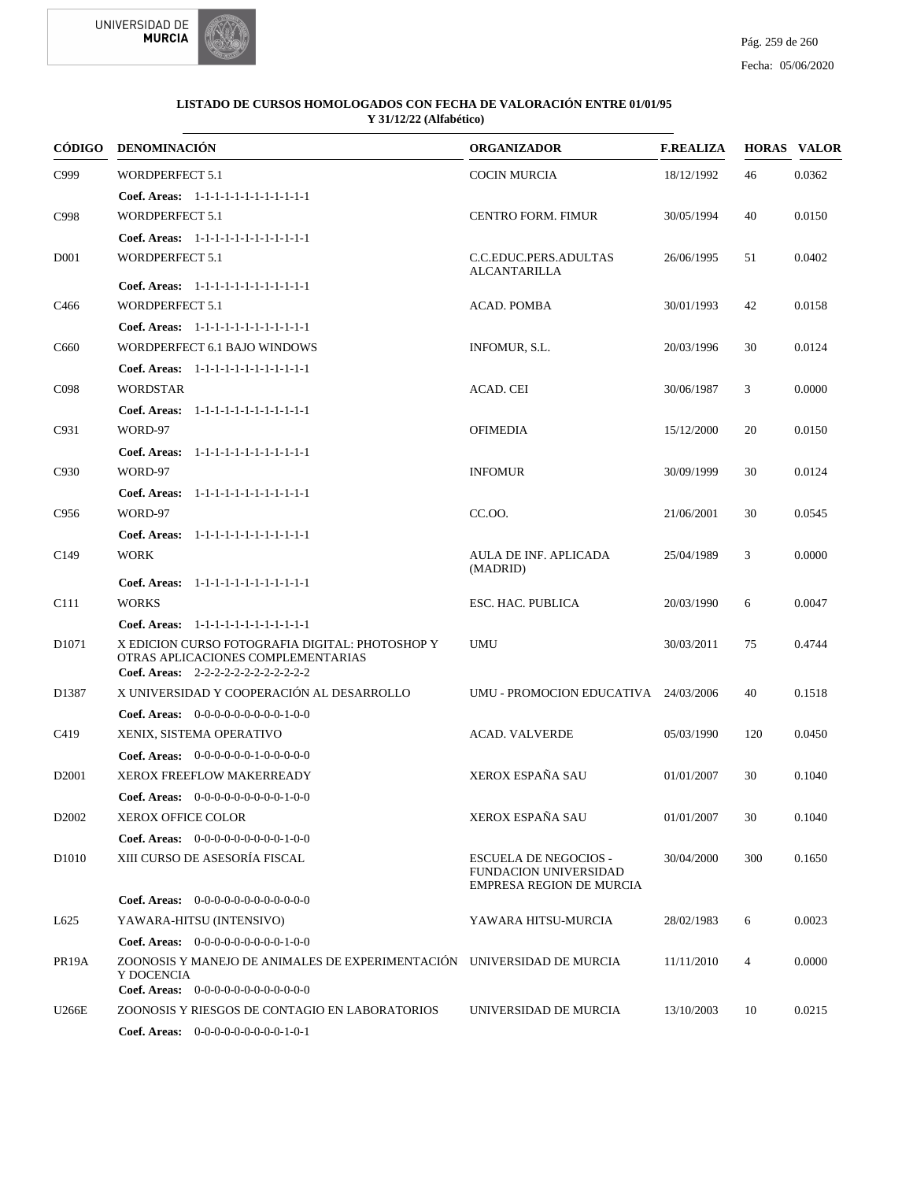



| CÓDIGO             | DENOMINACIÓN                                                                                                                          | <b>ORGANIZADOR</b>                                                                       | <b>F.REALIZA</b> |     | <b>HORAS VALOR</b> |
|--------------------|---------------------------------------------------------------------------------------------------------------------------------------|------------------------------------------------------------------------------------------|------------------|-----|--------------------|
| C999               | <b>WORDPERFECT 5.1</b>                                                                                                                | <b>COCIN MURCIA</b>                                                                      | 18/12/1992       | 46  | 0.0362             |
|                    | Coef. Areas: 1-1-1-1-1-1-1-1-1-1-1-1-1                                                                                                |                                                                                          |                  |     |                    |
| C998               | <b>WORDPERFECT 5.1</b>                                                                                                                | <b>CENTRO FORM. FIMUR</b>                                                                | 30/05/1994       | 40  | 0.0150             |
|                    | Coef. Areas: 1-1-1-1-1-1-1-1-1-1-1-1-1                                                                                                |                                                                                          |                  |     |                    |
| D <sub>001</sub>   | <b>WORDPERFECT 5.1</b>                                                                                                                | C.C.EDUC.PERS.ADULTAS<br><b>ALCANTARILLA</b>                                             | 26/06/1995       | 51  | 0.0402             |
|                    | Coef. Areas: $1-1-1-1-1-1-1-1-1-1-1$                                                                                                  |                                                                                          |                  |     |                    |
| C <sub>466</sub>   | <b>WORDPERFECT 5.1</b>                                                                                                                | ACAD. POMBA                                                                              | 30/01/1993       | 42  | 0.0158             |
|                    | Coef. Areas: 1-1-1-1-1-1-1-1-1-1-1-1-1                                                                                                |                                                                                          |                  |     |                    |
| C <sub>660</sub>   | WORDPERFECT 6.1 BAJO WINDOWS                                                                                                          | INFOMUR, S.L.                                                                            | 20/03/1996       | 30  | 0.0124             |
|                    | Coef. Areas: 1-1-1-1-1-1-1-1-1-1-1-1-1                                                                                                |                                                                                          |                  |     |                    |
| C <sub>098</sub>   | <b>WORDSTAR</b>                                                                                                                       | ACAD. CEI                                                                                | 30/06/1987       | 3   | 0.0000             |
|                    | Coef. Areas: 1-1-1-1-1-1-1-1-1-1-1-1-1                                                                                                |                                                                                          |                  |     |                    |
| C931               | WORD-97                                                                                                                               | <b>OFIMEDIA</b>                                                                          | 15/12/2000       | 20  | 0.0150             |
|                    | Coef. Areas: 1-1-1-1-1-1-1-1-1-1-1-1-1                                                                                                |                                                                                          |                  |     |                    |
| C930               | WORD-97                                                                                                                               | <b>INFOMUR</b>                                                                           | 30/09/1999       | 30  | 0.0124             |
|                    | Coef. Areas: 1-1-1-1-1-1-1-1-1-1-1-1-1                                                                                                |                                                                                          |                  |     |                    |
| C956               | WORD-97                                                                                                                               | CC.OO.                                                                                   | 21/06/2001       | 30  | 0.0545             |
|                    | Coef. Areas: 1-1-1-1-1-1-1-1-1-1-1-1-1                                                                                                |                                                                                          |                  |     |                    |
| C <sub>149</sub>   | <b>WORK</b>                                                                                                                           | AULA DE INF. APLICADA<br>(MADRID)                                                        | 25/04/1989       | 3   | 0.0000             |
|                    | Coef. Areas: 1-1-1-1-1-1-1-1-1-1-1-1-1                                                                                                |                                                                                          |                  |     |                    |
| C <sub>111</sub>   | <b>WORKS</b>                                                                                                                          | ESC. HAC. PUBLICA                                                                        | 20/03/1990       | 6   | 0.0047             |
|                    | Coef. Areas: 1-1-1-1-1-1-1-1-1-1-1-1-1                                                                                                |                                                                                          |                  |     |                    |
| D <sub>1071</sub>  | X EDICION CURSO FOTOGRAFIA DIGITAL: PHOTOSHOP Y<br>OTRAS APLICACIONES COMPLEMENTARIAS<br>Coef. Areas: 2-2-2-2-2-2-2-2-2-2-2-2         | <b>UMU</b>                                                                               | 30/03/2011       | 75  | 0.4744             |
| D1387              | X UNIVERSIDAD Y COOPERACIÓN AL DESARROLLO                                                                                             | UMU - PROMOCION EDUCATIVA 24/03/2006                                                     |                  | 40  | 0.1518             |
|                    | <b>Coef. Areas:</b> $0-0-0-0-0-0-0-0-1-0-0$                                                                                           |                                                                                          |                  |     |                    |
| C <sub>419</sub>   | XENIX, SISTEMA OPERATIVO                                                                                                              | <b>ACAD. VALVERDE</b>                                                                    | 05/03/1990       | 120 | 0.0450             |
|                    | Coef. Areas: $0-0-0-0-0-1-0-0-0-0-0$                                                                                                  |                                                                                          |                  |     |                    |
| D2001              | <b>XEROX FREEFLOW MAKERREADY</b>                                                                                                      | XEROX ESPAÑA SAU                                                                         | 01/01/2007       | 30  | 0.1040             |
|                    | <b>Coef. Areas:</b> $0-0-0-0-0-0-0-0-1-0-0$                                                                                           |                                                                                          |                  |     |                    |
| D <sub>2002</sub>  | <b>XEROX OFFICE COLOR</b>                                                                                                             | XEROX ESPAÑA SAU                                                                         | 01/01/2007       | 30  | 0.1040             |
|                    | Coef. Areas: $0-0-0-0-0-0-0-0-1-0-0$                                                                                                  |                                                                                          |                  |     |                    |
| D <sub>1010</sub>  | XIII CURSO DE ASESORÍA FISCAL                                                                                                         | <b>ESCUELA DE NEGOCIOS -</b><br>FUNDACION UNIVERSIDAD<br><b>EMPRESA REGION DE MURCIA</b> | 30/04/2000       | 300 | 0.1650             |
|                    | Coef. Areas: $0-0-0-0-0-0-0-0-0-0-0$                                                                                                  |                                                                                          |                  |     |                    |
| L625               | YAWARA-HITSU (INTENSIVO)                                                                                                              | YAWARA HITSU-MURCIA                                                                      | 28/02/1983       | 6   | 0.0023             |
|                    | Coef. Areas: $0-0-0-0-0-0-0-0-1-0-0$                                                                                                  |                                                                                          |                  |     |                    |
| PR <sub>19</sub> A | ZOONOSIS Y MANEJO DE ANIMALES DE EXPERIMENTACIÓN UNIVERSIDAD DE MURCIA<br>Y DOCENCIA<br><b>Coef. Areas:</b> $0-0-0-0-0-0-0-0-0-0-0-0$ |                                                                                          | 11/11/2010       | 4   | 0.0000             |
| U266E              | ZOONOSIS Y RIESGOS DE CONTAGIO EN LABORATORIOS                                                                                        | UNIVERSIDAD DE MURCIA                                                                    | 13/10/2003       | 10  | 0.0215             |
|                    | <b>Coef. Areas:</b> $0-0-0-0-0-0-0-0-1-0-1$                                                                                           |                                                                                          |                  |     |                    |